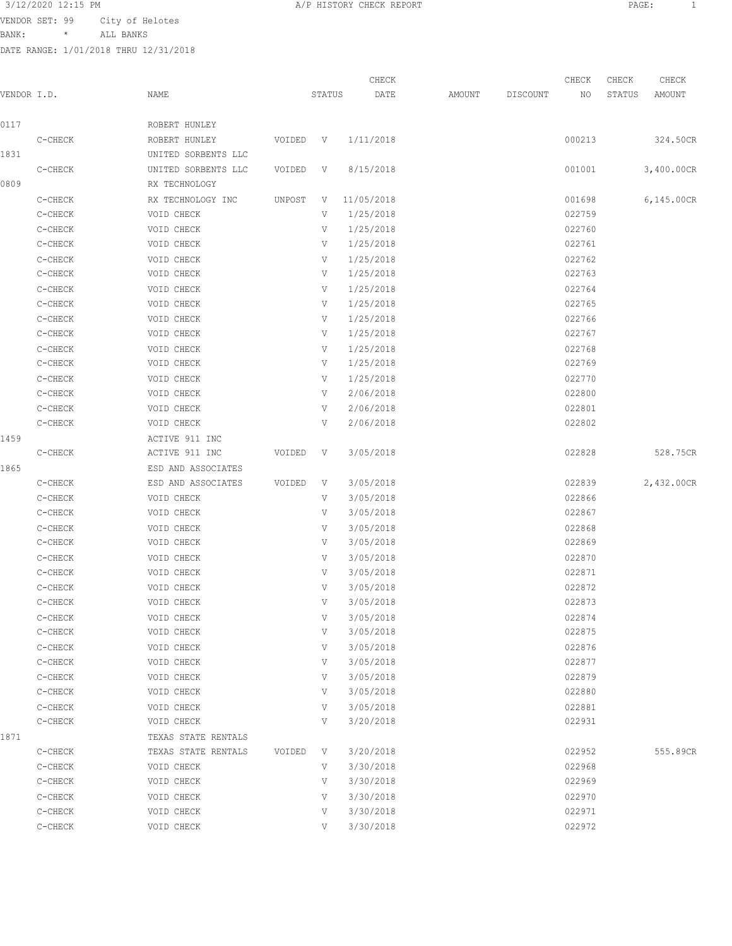VENDOR SET: 99 City of Helotes

BANK: \* ALL BANKS

| 3/12/2020 12:15 PM<br>$\overline{A}$ $\overline{C}$ $\overline{D}$ $\overline{M}$ | CHECK REPORT<br>T T T Q T Q T T T T<br>---------- | PAGE: |
|-----------------------------------------------------------------------------------|---------------------------------------------------|-------|
|                                                                                   |                                                   |       |

| VENDOR I.D. |                    | NAME                |        | STATUS      | CHECK<br>DATE | AMOUNT | DISCOUNT | CHECK<br>NO | CHECK<br>STATUS | CHECK<br>AMOUNT |
|-------------|--------------------|---------------------|--------|-------------|---------------|--------|----------|-------------|-----------------|-----------------|
| 0117        |                    | ROBERT HUNLEY       |        |             |               |        |          |             |                 |                 |
|             | C-CHECK            | ROBERT HUNLEY       | VOIDED | $\mathbf V$ | 1/11/2018     |        |          | 000213      |                 | 324.50CR        |
| 1831        |                    | UNITED SORBENTS LLC |        |             |               |        |          |             |                 |                 |
|             | C-CHECK            | UNITED SORBENTS LLC | VOIDED | V           | 8/15/2018     |        |          | 001001      |                 | 3,400.00CR      |
| 0809        |                    | RX TECHNOLOGY       |        |             |               |        |          |             |                 |                 |
|             | C-CHECK            | RX TECHNOLOGY INC   | UNPOST | V           | 11/05/2018    |        |          | 001698      |                 | 6,145.00CR      |
|             | C-CHECK            | VOID CHECK          |        | V           | 1/25/2018     |        |          | 022759      |                 |                 |
|             | C-CHECK            | VOID CHECK          |        | V           | 1/25/2018     |        |          | 022760      |                 |                 |
|             | C-CHECK            | VOID CHECK          |        | V           | 1/25/2018     |        |          | 022761      |                 |                 |
|             | C-CHECK            | VOID CHECK          |        | V           | 1/25/2018     |        |          | 022762      |                 |                 |
|             | C-CHECK            | VOID CHECK          |        | V           | 1/25/2018     |        |          | 022763      |                 |                 |
|             | C-CHECK            | VOID CHECK          |        | V           | 1/25/2018     |        |          | 022764      |                 |                 |
|             | C-CHECK            | VOID CHECK          |        | V           | 1/25/2018     |        |          | 022765      |                 |                 |
|             | C-CHECK            | VOID CHECK          |        | V           | 1/25/2018     |        |          | 022766      |                 |                 |
|             | C-CHECK            | VOID CHECK          |        | V           | 1/25/2018     |        |          | 022767      |                 |                 |
|             | C-CHECK            | VOID CHECK          |        | V           | 1/25/2018     |        |          | 022768      |                 |                 |
|             | C-CHECK            | VOID CHECK          |        | V           | 1/25/2018     |        |          | 022769      |                 |                 |
|             | C-CHECK            | VOID CHECK          |        | V           | 1/25/2018     |        |          | 022770      |                 |                 |
|             | C-CHECK            | VOID CHECK          |        | V           | 2/06/2018     |        |          | 022800      |                 |                 |
|             | C-CHECK            | VOID CHECK          |        | V           | 2/06/2018     |        |          | 022801      |                 |                 |
|             | C-CHECK            | VOID CHECK          |        | V           | 2/06/2018     |        |          | 022802      |                 |                 |
| 1459        |                    | ACTIVE 911 INC      |        |             |               |        |          |             |                 |                 |
|             | C-CHECK            | ACTIVE 911 INC      | VOIDED | V           | 3/05/2018     |        |          | 022828      |                 | 528.75CR        |
| 1865        |                    | ESD AND ASSOCIATES  |        |             |               |        |          |             |                 |                 |
|             | C-CHECK            | ESD AND ASSOCIATES  | VOIDED | V           | 3/05/2018     |        |          | 022839      |                 | 2,432.00CR      |
|             | C-CHECK            | VOID CHECK          |        | V           | 3/05/2018     |        |          | 022866      |                 |                 |
|             | C-CHECK            | VOID CHECK          |        | V           | 3/05/2018     |        |          | 022867      |                 |                 |
|             | C-CHECK            | VOID CHECK          |        | V           | 3/05/2018     |        |          | 022868      |                 |                 |
|             | C-CHECK            | VOID CHECK          |        | V           | 3/05/2018     |        |          | 022869      |                 |                 |
|             | C-CHECK            | VOID CHECK          |        | V           | 3/05/2018     |        |          | 022870      |                 |                 |
|             | C-CHECK            | VOID CHECK          |        | V           | 3/05/2018     |        |          | 022871      |                 |                 |
|             | C-CHECK            | VOID CHECK          |        | V           | 3/05/2018     |        |          | 022872      |                 |                 |
|             | C-CHECK            | VOID CHECK          |        | V           | 3/05/2018     |        |          | 022873      |                 |                 |
|             | C-CHECK            | VOID CHECK          |        | V           | 3/05/2018     |        |          | 022874      |                 |                 |
|             | C-CHECK            | VOID CHECK          |        | V           | 3/05/2018     |        |          | 022875      |                 |                 |
|             | C-CHECK            | VOID CHECK          |        | V           | 3/05/2018     |        |          | 022876      |                 |                 |
|             | C-CHECK            | VOID CHECK          |        | V           | 3/05/2018     |        |          | 022877      |                 |                 |
|             | C-CHECK            | VOID CHECK          |        | V           | 3/05/2018     |        |          | 022879      |                 |                 |
|             | C-CHECK            | VOID CHECK          |        | V           | 3/05/2018     |        |          | 022880      |                 |                 |
|             | C-CHECK            | VOID CHECK          |        | V<br>V      | 3/05/2018     |        |          | 022881      |                 |                 |
|             | C-CHECK            | VOID CHECK          |        |             | 3/20/2018     |        |          | 022931      |                 |                 |
| 1871        |                    | TEXAS STATE RENTALS |        |             | 3/20/2018     |        |          |             |                 |                 |
|             | C-CHECK            | TEXAS STATE RENTALS | VOIDED | V           |               |        |          | 022952      |                 | 555.89CR        |
|             | C-CHECK            | VOID CHECK          |        | V           | 3/30/2018     |        |          | 022968      |                 |                 |
|             | C-CHECK            | VOID CHECK          |        | V           | 3/30/2018     |        |          | 022969      |                 |                 |
|             |                    | VOID CHECK          |        | V           | 3/30/2018     |        |          | 022970      |                 |                 |
|             | C-CHECK<br>C-CHECK | VOID CHECK          |        | V           | 3/30/2018     |        |          | 022971      |                 |                 |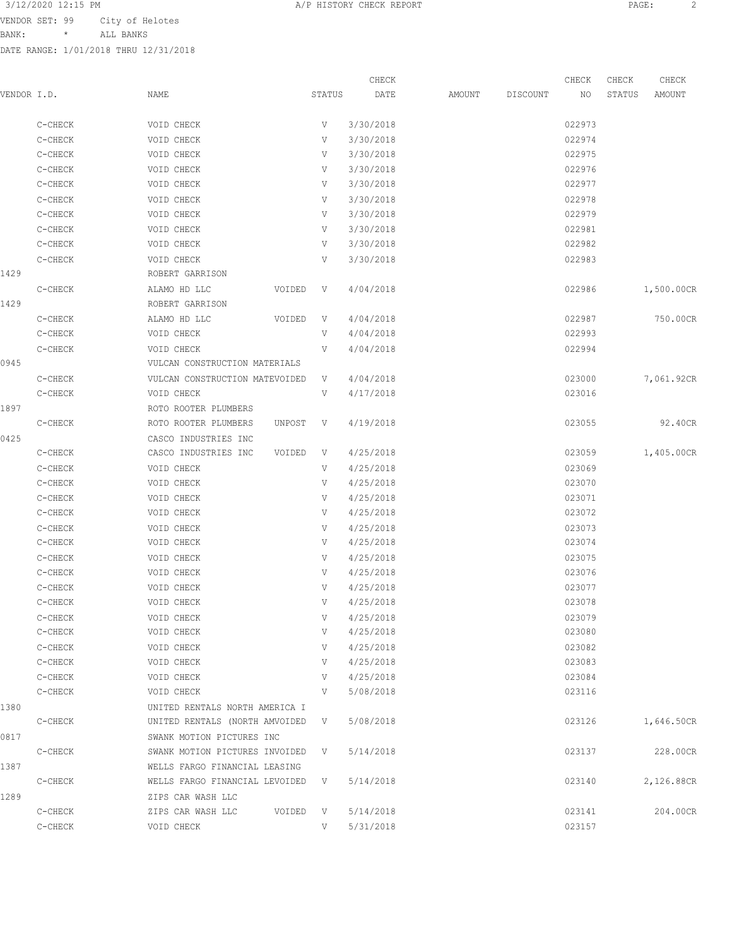BANK: \* ALL BANKS

|             |         |                                |        |              | CHECK                  |        |          | CHECK  | CHECK  | CHECK      |
|-------------|---------|--------------------------------|--------|--------------|------------------------|--------|----------|--------|--------|------------|
| VENDOR I.D. |         | NAME                           |        | STATUS       | DATE                   | AMOUNT | DISCOUNT | NO     | STATUS | AMOUNT     |
|             | C-CHECK | VOID CHECK                     |        | V            | 3/30/2018              |        |          | 022973 |        |            |
|             | C-CHECK | VOID CHECK                     |        | V            | 3/30/2018              |        |          | 022974 |        |            |
|             | C-CHECK | VOID CHECK                     |        | V            | 3/30/2018              |        |          | 022975 |        |            |
|             | C-CHECK | VOID CHECK                     |        | V            | 3/30/2018              |        |          | 022976 |        |            |
|             | C-CHECK | VOID CHECK                     |        | V            | 3/30/2018              |        |          | 022977 |        |            |
|             | C-CHECK | VOID CHECK                     |        | V            | 3/30/2018              |        |          | 022978 |        |            |
|             | C-CHECK | VOID CHECK                     |        | V            | 3/30/2018              |        |          | 022979 |        |            |
|             | C-CHECK | VOID CHECK                     |        | V            | 3/30/2018              |        |          | 022981 |        |            |
|             | C-CHECK | VOID CHECK                     |        | V            | 3/30/2018              |        |          | 022982 |        |            |
|             |         |                                |        |              |                        |        |          |        |        |            |
|             | C-CHECK | VOID CHECK                     |        | V            | 3/30/2018              |        |          | 022983 |        |            |
| 1429        |         | ROBERT GARRISON                |        |              |                        |        |          |        |        |            |
|             | C-CHECK | ALAMO HD LLC                   | VOIDED | V            | 4/04/2018              |        |          | 022986 |        | 1,500.00CR |
| 1429        |         | ROBERT GARRISON                |        |              |                        |        |          |        |        |            |
|             | C-CHECK | ALAMO HD LLC                   | VOIDED | V            | 4/04/2018              |        |          | 022987 |        | 750.00CR   |
|             | C-CHECK | VOID CHECK                     |        | V            | 4/04/2018              |        |          | 022993 |        |            |
|             | C-CHECK | VOID CHECK                     |        | V            | 4/04/2018              |        |          | 022994 |        |            |
| 0945        |         | VULCAN CONSTRUCTION MATERIALS  |        |              |                        |        |          |        |        |            |
|             | C-CHECK | VULCAN CONSTRUCTION MATEVOIDED |        | V            | 4/04/2018              |        |          | 023000 |        | 7,061.92CR |
|             | C-CHECK | VOID CHECK                     |        | V            | 4/17/2018              |        |          | 023016 |        |            |
| 1897        |         | ROTO ROOTER PLUMBERS           |        |              |                        |        |          |        |        |            |
|             | C-CHECK | ROTO ROOTER PLUMBERS           | UNPOST | V            | 4/19/2018              |        |          | 023055 |        | 92.40CR    |
| 0425        |         | CASCO INDUSTRIES INC           |        |              |                        |        |          |        |        |            |
|             | C-CHECK | CASCO INDUSTRIES INC           | VOIDED | V            | 4/25/2018              |        |          | 023059 |        | 1,405.00CR |
|             | C-CHECK | VOID CHECK                     |        | V            | 4/25/2018              |        |          | 023069 |        |            |
|             | C-CHECK | VOID CHECK                     |        | V            | 4/25/2018              |        |          | 023070 |        |            |
|             | C-CHECK | VOID CHECK                     |        | V            | 4/25/2018              |        |          | 023071 |        |            |
|             | C-CHECK | VOID CHECK                     |        | V            | 4/25/2018              |        |          | 023072 |        |            |
|             | C-CHECK | VOID CHECK                     |        | V            | 4/25/2018              |        |          | 023073 |        |            |
|             | C-CHECK | VOID CHECK                     |        | V            | 4/25/2018              |        |          | 023074 |        |            |
|             | C-CHECK | VOID CHECK                     |        | V            | 4/25/2018              |        |          | 023075 |        |            |
|             | C-CHECK | VOID CHECK                     |        | V            | 4/25/2018              |        |          | 023076 |        |            |
|             | C-CHECK | VOID CHECK                     |        | V            | 4/25/2018              |        |          | 023077 |        |            |
|             | C-CHECK | VOID CHECK                     |        | V            | 4/25/2018              |        |          | 023078 |        |            |
|             | C-CHECK | VOID CHECK                     |        | V            | 4/25/2018              |        |          | 023079 |        |            |
|             | C-CHECK | VOID CHECK                     |        | V            | 4/25/2018              |        |          | 023080 |        |            |
|             | C-CHECK |                                |        | V            |                        |        |          | 023082 |        |            |
|             |         | VOID CHECK                     |        | V            | 4/25/2018<br>4/25/2018 |        |          | 023083 |        |            |
|             | C-CHECK | VOID CHECK                     |        |              |                        |        |          |        |        |            |
|             | C-CHECK | VOID CHECK                     |        | V            | 4/25/2018              |        |          | 023084 |        |            |
|             | C-CHECK | VOID CHECK                     |        | V            | 5/08/2018              |        |          | 023116 |        |            |
| 1380        |         | UNITED RENTALS NORTH AMERICA I |        |              |                        |        |          |        |        |            |
|             | C-CHECK | UNITED RENTALS (NORTH AMVOIDED |        | V            | 5/08/2018              |        |          | 023126 |        | 1,646.50CR |
| 0817        |         | SWANK MOTION PICTURES INC      |        |              |                        |        |          |        |        |            |
|             | C-CHECK | SWANK MOTION PICTURES INVOIDED |        | V            | 5/14/2018              |        |          | 023137 |        | 228.00CR   |
| 1387        |         | WELLS FARGO FINANCIAL LEASING  |        |              |                        |        |          |        |        |            |
|             | C-CHECK | WELLS FARGO FINANCIAL LEVOIDED |        | V            | 5/14/2018              |        |          | 023140 |        | 2,126.88CR |
| 1289        |         | ZIPS CAR WASH LLC              |        |              |                        |        |          |        |        |            |
|             | C-CHECK | ZIPS CAR WASH LLC              | VOIDED | $\mathbf{V}$ | 5/14/2018              |        |          | 023141 |        | 204.00CR   |
|             | C-CHECK | VOID CHECK                     |        | V            | 5/31/2018              |        |          | 023157 |        |            |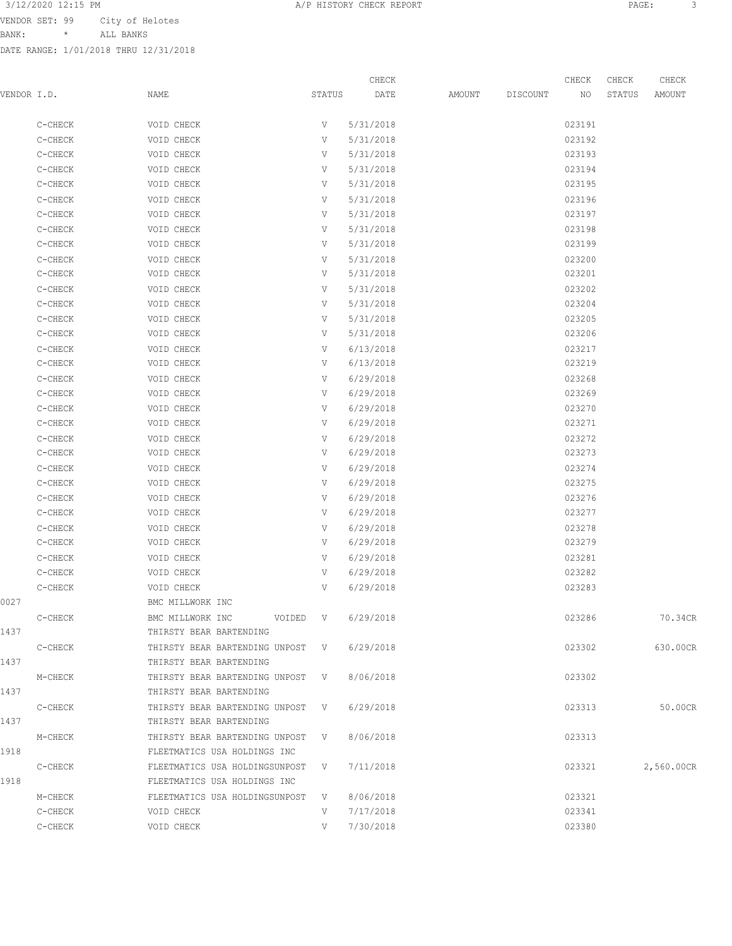BANK: \* ALL BANKS

DATE RANGE: 1/01/2018 THRU 12/31/2018

CHECK CHECK CHECK CHECK CHECK CHECK CHECK CHECK CHECK CHECK CHECK CHECK CHECK CHECK CHECK CHECK CHECK CHECK CHECK CHECK CHECK CHECK CHECK CHECK CHECK CHECK CHECK CHECK CHECK CHECK CHECK CHECK CHECK CHECK CHECK CHECK CHECK VENDOR I.D. NAME STATUS DATE AMOUNT DISCOUNT NO STATUS AMOUNT

|      | C-CHECK         | VOID CHECK                       | V   | 5/31/2018 | 023191 |            |
|------|-----------------|----------------------------------|-----|-----------|--------|------------|
|      | C-CHECK         | VOID CHECK                       | V   | 5/31/2018 | 023192 |            |
|      | C-CHECK         | VOID CHECK                       | V   | 5/31/2018 | 023193 |            |
|      | C-CHECK         | VOID CHECK                       | V   | 5/31/2018 | 023194 |            |
|      | C-CHECK         | VOID CHECK                       | V   | 5/31/2018 | 023195 |            |
|      | C-CHECK         | VOID CHECK                       | V   | 5/31/2018 | 023196 |            |
|      | C-CHECK         | VOID CHECK                       | V   | 5/31/2018 | 023197 |            |
|      | C-CHECK         | VOID CHECK                       | V   | 5/31/2018 | 023198 |            |
|      | C-CHECK         | VOID CHECK                       | V   | 5/31/2018 | 023199 |            |
|      | ${\tt C-CHECK}$ | VOID CHECK                       | V   | 5/31/2018 | 023200 |            |
|      | C-CHECK         | VOID CHECK                       | V   | 5/31/2018 | 023201 |            |
|      | C-CHECK         | VOID CHECK                       | V   | 5/31/2018 | 023202 |            |
|      | C-CHECK         | VOID CHECK                       | V   | 5/31/2018 | 023204 |            |
|      | C-CHECK         | VOID CHECK                       | V   | 5/31/2018 | 023205 |            |
|      | C-CHECK         | VOID CHECK                       | V   | 5/31/2018 | 023206 |            |
|      | C-CHECK         | VOID CHECK                       | V   | 6/13/2018 | 023217 |            |
|      | C-CHECK         | VOID CHECK                       | V   | 6/13/2018 | 023219 |            |
|      | C-CHECK         | VOID CHECK                       | V   | 6/29/2018 | 023268 |            |
|      | C-CHECK         | VOID CHECK                       | V   | 6/29/2018 | 023269 |            |
|      | C-CHECK         | VOID CHECK                       | V   | 6/29/2018 | 023270 |            |
|      | C-CHECK         | VOID CHECK                       | V   | 6/29/2018 | 023271 |            |
|      | C-CHECK         | VOID CHECK                       | V   | 6/29/2018 | 023272 |            |
|      | C-CHECK         | VOID CHECK                       | V   | 6/29/2018 | 023273 |            |
|      | C-CHECK         | VOID CHECK                       | V   | 6/29/2018 | 023274 |            |
|      | C-CHECK         | VOID CHECK                       | V   | 6/29/2018 | 023275 |            |
|      | C-CHECK         | VOID CHECK                       | V   | 6/29/2018 | 023276 |            |
|      | C-CHECK         | VOID CHECK                       | V   | 6/29/2018 | 023277 |            |
|      | C-CHECK         | VOID CHECK                       | V   | 6/29/2018 | 023278 |            |
|      | C-CHECK         | VOID CHECK                       | V   | 6/29/2018 | 023279 |            |
|      | C-CHECK         | VOID CHECK                       | V   | 6/29/2018 | 023281 |            |
|      | C-CHECK         | VOID CHECK                       | V   | 6/29/2018 | 023282 |            |
|      | C-CHECK         | VOID CHECK                       | V   | 6/29/2018 | 023283 |            |
| 0027 |                 | BMC MILLWORK INC                 |     |           |        |            |
|      | C-CHECK         | BMC MILLWORK INC<br>VOIDED       | V   | 6/29/2018 | 023286 | 70.34CR    |
| 1437 |                 | THIRSTY BEAR BARTENDING          |     |           |        |            |
|      | C-CHECK         | THIRSTY BEAR BARTENDING UNPOST V |     | 6/29/2018 | 023302 | 630.00CR   |
| 1437 |                 | THIRSTY BEAR BARTENDING          |     |           |        |            |
|      | M-CHECK         | THIRSTY BEAR BARTENDING UNPOST V |     | 8/06/2018 | 023302 |            |
| 1437 |                 | THIRSTY BEAR BARTENDING          |     |           |        |            |
|      | C-CHECK         | THIRSTY BEAR BARTENDING UNPOST V |     | 6/29/2018 | 023313 | 50.00CR    |
| 1437 |                 | THIRSTY BEAR BARTENDING          |     |           |        |            |
|      | M-CHECK         | THIRSTY BEAR BARTENDING UNPOST V |     | 8/06/2018 | 023313 |            |
| 1918 |                 | FLEETMATICS USA HOLDINGS INC     |     |           |        |            |
|      | C-CHECK         | FLEETMATICS USA HOLDINGSUNPOST V |     | 7/11/2018 | 023321 | 2,560.00CR |
| 1918 |                 | FLEETMATICS USA HOLDINGS INC     |     |           |        |            |
|      | M-CHECK         | FLEETMATICS USA HOLDINGSUNPOST   | V V | 8/06/2018 | 023321 |            |
|      | C-CHECK         | VOID CHECK                       | V   | 7/17/2018 | 023341 |            |
|      | C-CHECK         | VOID CHECK                       | V   | 7/30/2018 | 023380 |            |
|      |                 |                                  |     |           |        |            |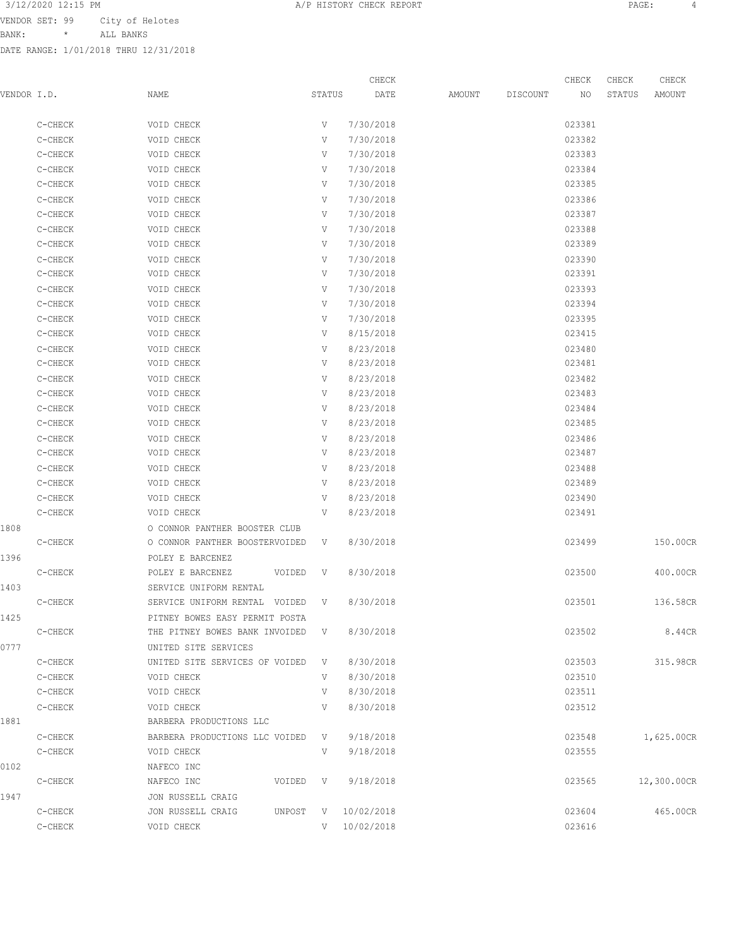BANK: \* ALL BANKS

|             |         |                                            |        | CHECK        |        |          | CHECK  | CHECK  | CHECK       |
|-------------|---------|--------------------------------------------|--------|--------------|--------|----------|--------|--------|-------------|
| VENDOR I.D. |         | NAME                                       | STATUS | DATE         | AMOUNT | DISCOUNT | NO     | STATUS | AMOUNT      |
|             | C-CHECK | VOID CHECK                                 | V      | 7/30/2018    |        |          | 023381 |        |             |
|             | C-CHECK | VOID CHECK                                 | V      | 7/30/2018    |        |          | 023382 |        |             |
|             | C-CHECK | VOID CHECK                                 | V      | 7/30/2018    |        |          | 023383 |        |             |
|             | C-CHECK | VOID CHECK                                 | V      | 7/30/2018    |        |          | 023384 |        |             |
|             | C-CHECK | VOID CHECK                                 | V      | 7/30/2018    |        |          | 023385 |        |             |
|             | C-CHECK | VOID CHECK                                 | V      | 7/30/2018    |        |          | 023386 |        |             |
|             | C-CHECK | VOID CHECK                                 | V      | 7/30/2018    |        |          | 023387 |        |             |
|             | C-CHECK | VOID CHECK                                 | V      | 7/30/2018    |        |          | 023388 |        |             |
|             | C-CHECK | VOID CHECK                                 | V      | 7/30/2018    |        |          | 023389 |        |             |
|             | C-CHECK | VOID CHECK                                 | V      | 7/30/2018    |        |          | 023390 |        |             |
|             | C-CHECK | VOID CHECK                                 | V      | 7/30/2018    |        |          | 023391 |        |             |
|             | C-CHECK | VOID CHECK                                 | V      | 7/30/2018    |        |          | 023393 |        |             |
|             | C-CHECK | VOID CHECK                                 | V      | 7/30/2018    |        |          | 023394 |        |             |
|             | C-CHECK | VOID CHECK                                 | V      | 7/30/2018    |        |          | 023395 |        |             |
|             | C-CHECK | VOID CHECK                                 | V      | 8/15/2018    |        |          | 023415 |        |             |
|             | C-CHECK | VOID CHECK                                 | V      | 8/23/2018    |        |          | 023480 |        |             |
|             | C-CHECK | VOID CHECK                                 | V      | 8/23/2018    |        |          | 023481 |        |             |
|             | C-CHECK | VOID CHECK                                 | V      | 8/23/2018    |        |          | 023482 |        |             |
|             | C-CHECK | VOID CHECK                                 | V      | 8/23/2018    |        |          | 023483 |        |             |
|             | C-CHECK | VOID CHECK                                 | V      | 8/23/2018    |        |          | 023484 |        |             |
|             | C-CHECK | VOID CHECK                                 | V      | 8/23/2018    |        |          | 023485 |        |             |
|             | C-CHECK | VOID CHECK                                 | V      | 8/23/2018    |        |          | 023486 |        |             |
|             | C-CHECK | VOID CHECK                                 | V      | 8/23/2018    |        |          | 023487 |        |             |
|             | C-CHECK | VOID CHECK                                 | V      | 8/23/2018    |        |          | 023488 |        |             |
|             | C-CHECK | VOID CHECK                                 | V      | 8/23/2018    |        |          | 023489 |        |             |
|             | C-CHECK | VOID CHECK                                 | V      | 8/23/2018    |        |          | 023490 |        |             |
|             | C-CHECK | VOID CHECK                                 | V      | 8/23/2018    |        |          | 023491 |        |             |
| 1808        |         | O CONNOR PANTHER BOOSTER CLUB              |        |              |        |          |        |        |             |
|             | C-CHECK | O CONNOR PANTHER BOOSTERVOIDED             | V      | 8/30/2018    |        |          | 023499 |        | 150.00CR    |
| 1396        |         | POLEY E BARCENEZ                           |        |              |        |          |        |        |             |
|             | C-CHECK | POLEY E BARCENEZ<br>VOIDED                 | V      | 8/30/2018    |        |          | 023500 |        | 400.00CR    |
| 1403        |         | SERVICE UNIFORM RENTAL                     |        |              |        |          |        |        |             |
|             | C-CHECK | SERVICE UNIFORM RENTAL VOIDED V            |        | 8/30/2018    |        |          | 023501 |        | 136.58CR    |
| 1425        |         | PITNEY BOWES EASY PERMIT POSTA             |        |              |        |          |        |        |             |
|             | C-CHECK | THE PITNEY BOWES BANK INVOIDED V 8/30/2018 |        |              |        |          | 023502 |        | 8.44CR      |
| 0777        |         | UNITED SITE SERVICES                       |        |              |        |          |        |        |             |
|             | C-CHECK | UNITED SITE SERVICES OF VOIDED V           |        | 8/30/2018    |        |          | 023503 |        | 315.98CR    |
|             | C-CHECK | VOID CHECK                                 | V      | 8/30/2018    |        |          | 023510 |        |             |
|             | C-CHECK | VOID CHECK                                 | V      | 8/30/2018    |        |          | 023511 |        |             |
|             | C-CHECK | VOID CHECK                                 | V      | 8/30/2018    |        |          | 023512 |        |             |
| 1881        |         | BARBERA PRODUCTIONS LLC                    |        |              |        |          |        |        |             |
|             | C-CHECK | BARBERA PRODUCTIONS LLC VOIDED V           |        | 9/18/2018    |        |          | 023548 |        | 1,625.00CR  |
|             | C-CHECK | VOID CHECK                                 | V      | 9/18/2018    |        |          | 023555 |        |             |
| 0102        |         | NAFECO INC                                 |        |              |        |          |        |        |             |
|             | C-CHECK | NAFECO INC<br>VOIDED V                     |        | 9/18/2018    |        |          | 023565 |        | 12,300.00CR |
| 1947        |         | JON RUSSELL CRAIG                          |        |              |        |          |        |        |             |
|             | C-CHECK | JON RUSSELL CRAIG<br>UNPOST                | V      | 10/02/2018   |        |          | 023604 |        | 465.00CR    |
|             | C-CHECK | VOID CHECK                                 |        | V 10/02/2018 |        |          | 023616 |        |             |
|             |         |                                            |        |              |        |          |        |        |             |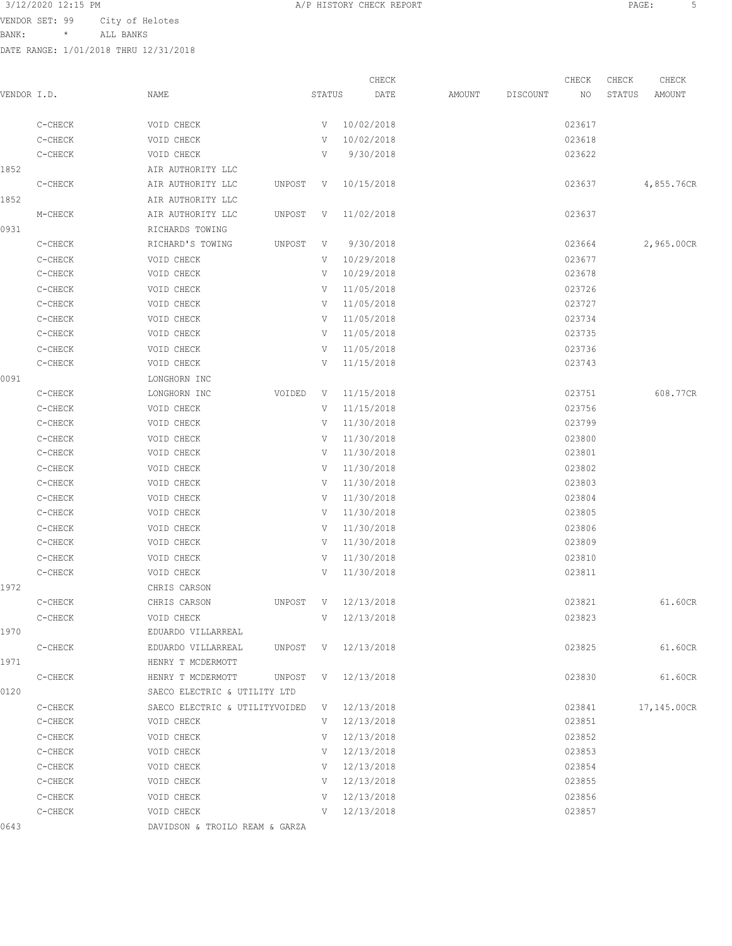VENDOR SET: 99 City of Helotes

BANK: \* ALL BANKS

DATE RANGE: 1/01/2018 THRU 12/31/2018

|             |         |                                |          |        | CHECK      |        |          | CHECK  | CHECK  | CHECK       |
|-------------|---------|--------------------------------|----------|--------|------------|--------|----------|--------|--------|-------------|
| VENDOR I.D. |         | NAME                           |          | STATUS | DATE       | AMOUNT | DISCOUNT | NO     | STATUS | AMOUNT      |
|             | C-CHECK | VOID CHECK                     |          | V      | 10/02/2018 |        |          | 023617 |        |             |
|             | C-CHECK | VOID CHECK                     |          | V      | 10/02/2018 |        |          | 023618 |        |             |
|             | C-CHECK | VOID CHECK                     |          | V      | 9/30/2018  |        |          | 023622 |        |             |
| 1852        |         | AIR AUTHORITY LLC              |          |        |            |        |          |        |        |             |
|             | C-CHECK | AIR AUTHORITY LLC              | UNPOST   | V      | 10/15/2018 |        |          | 023637 |        | 4,855.76CR  |
| 1852        |         | AIR AUTHORITY LLC              |          |        |            |        |          |        |        |             |
|             | M-CHECK | AIR AUTHORITY LLC              | UNPOST   | V      | 11/02/2018 |        |          | 023637 |        |             |
| 0931        |         | RICHARDS TOWING                |          |        |            |        |          |        |        |             |
|             | C-CHECK | RICHARD'S TOWING               | UNPOST   | V      | 9/30/2018  |        |          | 023664 |        | 2,965.00CR  |
|             | C-CHECK | VOID CHECK                     |          | V      | 10/29/2018 |        |          | 023677 |        |             |
|             | C-CHECK | VOID CHECK                     |          | V      | 10/29/2018 |        |          | 023678 |        |             |
|             | C-CHECK | VOID CHECK                     |          | V      | 11/05/2018 |        |          | 023726 |        |             |
|             | C-CHECK | VOID CHECK                     |          | V      | 11/05/2018 |        |          | 023727 |        |             |
|             | C-CHECK | VOID CHECK                     |          | V      | 11/05/2018 |        |          | 023734 |        |             |
|             | C-CHECK | VOID CHECK                     |          | V      | 11/05/2018 |        |          | 023735 |        |             |
|             | C-CHECK | VOID CHECK                     |          | V      | 11/05/2018 |        |          | 023736 |        |             |
|             | C-CHECK | VOID CHECK                     |          | V      | 11/15/2018 |        |          | 023743 |        |             |
| 0091        |         | LONGHORN INC                   |          |        |            |        |          |        |        |             |
|             | C-CHECK | LONGHORN INC                   | VOIDED   | V      | 11/15/2018 |        |          | 023751 |        | 608.77CR    |
|             | C-CHECK | VOID CHECK                     |          | V      | 11/15/2018 |        |          | 023756 |        |             |
|             | C-CHECK | VOID CHECK                     |          | V      | 11/30/2018 |        |          | 023799 |        |             |
|             | C-CHECK | VOID CHECK                     |          | V      | 11/30/2018 |        |          | 023800 |        |             |
|             | C-CHECK | VOID CHECK                     |          | V      | 11/30/2018 |        |          | 023801 |        |             |
|             | C-CHECK | VOID CHECK                     |          | V      | 11/30/2018 |        |          | 023802 |        |             |
|             | C-CHECK | VOID CHECK                     |          | V      | 11/30/2018 |        |          | 023803 |        |             |
|             | C-CHECK | VOID CHECK                     |          | V      | 11/30/2018 |        |          | 023804 |        |             |
|             | C-CHECK | VOID CHECK                     |          | V      | 11/30/2018 |        |          | 023805 |        |             |
|             | C-CHECK | VOID CHECK                     |          | V      | 11/30/2018 |        |          | 023806 |        |             |
|             | C-CHECK | VOID CHECK                     |          | V      | 11/30/2018 |        |          | 023809 |        |             |
|             | C-CHECK | VOID CHECK                     |          | V      | 11/30/2018 |        |          | 023810 |        |             |
|             | C-CHECK | VOID CHECK                     |          | V      | 11/30/2018 |        |          | 023811 |        |             |
| 1972        |         | CHRIS CARSON                   |          |        |            |        |          |        |        |             |
|             | C-CHECK | CHRIS CARSON                   | UNPOST   | V      | 12/13/2018 |        |          | 023821 |        | 61.60CR     |
|             | C-CHECK | VOID CHECK                     |          | V      | 12/13/2018 |        |          | 023823 |        |             |
| 1970        |         | EDUARDO VILLARREAL             |          |        |            |        |          |        |        |             |
|             | C-CHECK | EDUARDO VILLARREAL             | UNPOST V |        | 12/13/2018 |        |          | 023825 |        | 61.60CR     |
| 1971        |         | HENRY T MCDERMOTT              |          |        |            |        |          |        |        |             |
|             | C-CHECK | HENRY T MCDERMOTT              | UNPOST V |        | 12/13/2018 |        |          | 023830 |        | 61.60CR     |
| 0120        |         | SAECO ELECTRIC & UTILITY LTD   |          |        |            |        |          |        |        |             |
|             | C-CHECK | SAECO ELECTRIC & UTILITYVOIDED |          | V      | 12/13/2018 |        |          | 023841 |        | 17,145.00CR |
|             | C-CHECK | VOID CHECK                     |          | V      | 12/13/2018 |        |          | 023851 |        |             |
|             | C-CHECK | VOID CHECK                     |          | V      | 12/13/2018 |        |          | 023852 |        |             |
|             | C-CHECK | VOID CHECK                     |          | V –    | 12/13/2018 |        |          | 023853 |        |             |

0643 DAVIDSON & TROILO REAM & GARZA

 C-CHECK VOID CHECK V 12/13/2018 023854 C-CHECK VOID CHECK V 12/13/2018 023855 C-CHECK VOID CHECK V 12/13/2018 023856 C-CHECK VOID CHECK V 12/13/2018 023857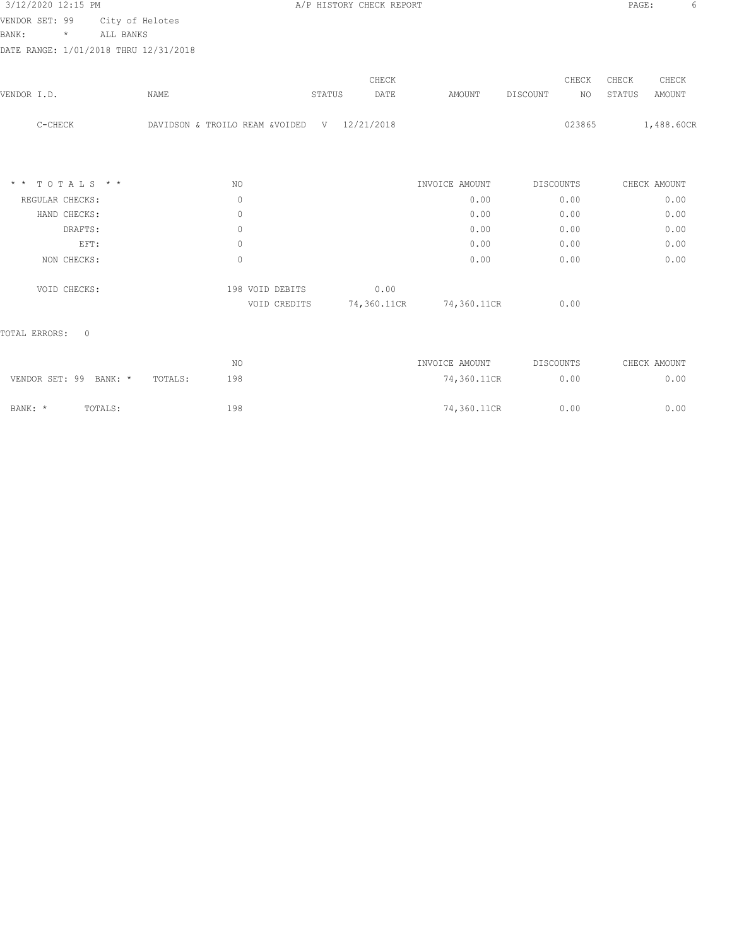| 3/12/2020 12:15 PM |         |                                       | A/P HISTORY CHECK REPORT |  | PAGE: |  |
|--------------------|---------|---------------------------------------|--------------------------|--|-------|--|
| VENDOR SET: 99     |         | City of Helotes                       |                          |  |       |  |
| BANK:              | $\star$ | ALL BANKS                             |                          |  |       |  |
|                    |         | DATE RANGE: 1/01/2018 THRU 12/31/2018 |                          |  |       |  |

| VENDOR I.D.                   | NAME                           | STATUS | CHECK<br>DATE | AMOUNT         | DISCOUNT | CHECK<br>NO.     | CHECK<br>STATUS | CHECK<br>AMOUNT |
|-------------------------------|--------------------------------|--------|---------------|----------------|----------|------------------|-----------------|-----------------|
| C-CHECK                       | DAVIDSON & TROILO REAM &VOIDED | V      | 12/21/2018    |                |          | 023865           |                 | 1,488.60CR      |
| TOTALS * *<br>$\star$ $\star$ | NO.                            |        |               | INVOICE AMOUNT |          | <b>DISCOUNTS</b> |                 | CHECK AMOUNT    |
| REGULAR CHECKS:               | $\mathbb O$                    |        |               | 0.00           |          | 0.00             |                 | 0.00            |
| HAND CHECKS:                  | $\mathbf{0}$                   |        |               | 0.00           |          | 0.00             |                 | 0.00            |
| DRAFTS:                       | $\mathbf{0}$                   |        |               | 0.00           |          | 0.00             |                 | 0.00            |
| EFT:                          | $\mathbf{0}$                   |        |               | 0.00           |          | 0.00             |                 | 0.00            |
| NON CHECKS:                   | $\circ$                        |        |               | 0.00           |          | 0.00             |                 | 0.00            |
| VOID CHECKS:                  | 198 VOID DEBITS                |        | 0.00          |                |          |                  |                 |                 |
|                               | VOID CREDITS                   |        | 74,360.11CR   | 74,360.11CR    |          | 0.00             |                 |                 |
| $\circ$<br>TOTAL ERRORS:      |                                |        |               |                |          |                  |                 |                 |

|                        |         |         | NO  | INVOICE AMOUNT | DISCOUNTS | CHECK AMOUNT |
|------------------------|---------|---------|-----|----------------|-----------|--------------|
| VENDOR SET: 99 BANK: * |         | TOTALS: | 198 | 74,360.11CR    | 0.00      | 0.00         |
| BANK: *                | TOTALS: |         | 198 | 74,360.11CR    | 0.00      | 0.00         |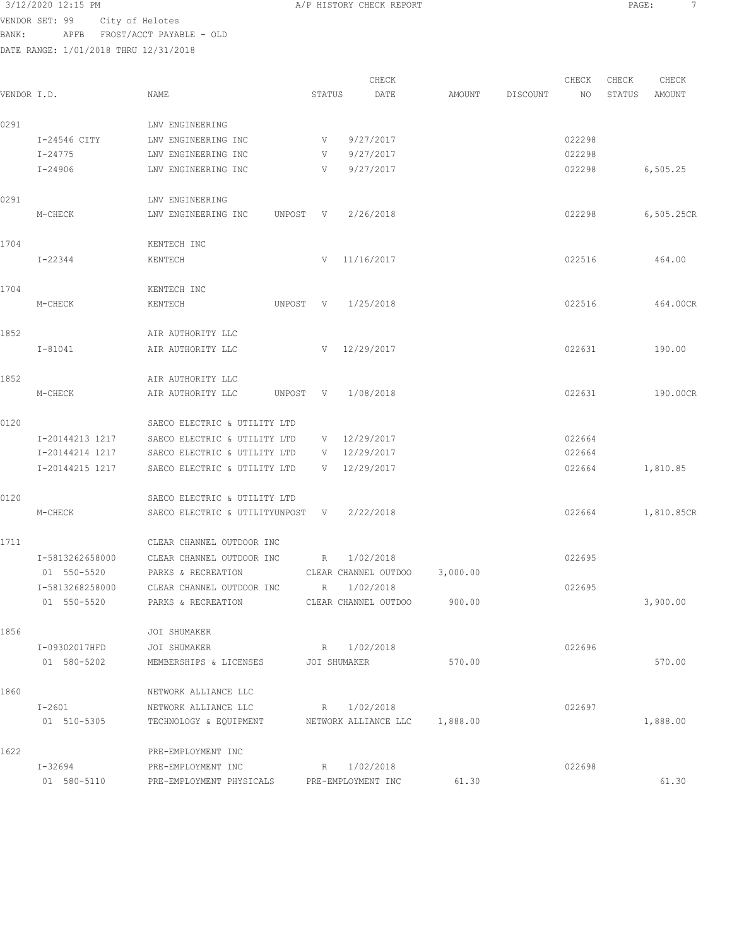VENDOR SET: 99 City of Helotes BANK: APFB FROST/ACCT PAYABLE - OLD

DATE RANGE: 1/01/2018 THRU 12/31/2018

CHECK CHECK CHECK CHECK CHECK CHECK CHECK CHECK CHECK CHECK CHECK CHECK CHECK CHECK CHECK CHECK CHECK CHECK CHECK CHECK CHECK CHECK CHECK CHECK CHECK CHECK CHECK CHECK CHECK CHECK CHECK CHECK CHECK CHECK CHECK CHECK CHECK VENDOR I.D. NAME STATUS DATE AMOUNT DISCOUNT NO STATUS AMOUNT 0291 LNV ENGINEERING I-24546 CITY LNV ENGINEERING INC V 9/27/2017 022298 I-24775 LNV ENGINEERING INC V 9/27/2017 022298 I-24906 LNV ENGINEERING INC V 9/27/2017 022298 6,505.25 0291 LNV ENGINEERING M-CHECK LNV ENGINEERING INC UNPOST V 2/26/2018 022298 6,505.25CR 1704 KENTECH INC I-22344 KENTECH V 11/16/2017 022516 464.00 1704 KENTECH INC M-CHECK KENTECH UNPOST V 1/25/2018 022516 464.00CR 1852 **AIR AUTHORITY LLC**  I-81041 AIR AUTHORITY LLC V 12/29/2017 022631 190.00 1852 **AIR AUTHORITY LLC**  M-CHECK AIR AUTHORITY LLC UNPOST V 1/08/2018 022631 190.00CR 0120 SAECO ELECTRIC & UTILITY LTD I-20144213 1217 SAECO ELECTRIC & UTILITY LTD V 12/29/2017 022664 I-20144214 1217 SAECO ELECTRIC & UTILITY LTD V 12/29/2017 022664 I-20144215 1217 SAECO ELECTRIC & UTILITY LTD V 12/29/2017 022664 1,810.85 0120 SAECO ELECTRIC & UTILITY LTD M-CHECK SAECO ELECTRIC & UTILITYUNPOST V 2/22/2018 022664 1,810.85CR 1711 CLEAR CHANNEL OUTDOOR INC I-5813262658000 CLEAR CHANNEL OUTDOOR INC R 1/02/2018 022695 01 550-5520 PARKS & RECREATION CLEAR CHANNEL OUTDOO 3,000.00 I-5813268258000 CLEAR CHANNEL OUTDOOR INC R 1/02/2018 022695 01 550-5520 PARKS & RECREATION CLEAR CHANNEL OUTDOO 900.00 300.00 3,900.00 1856 JOI SHUMAKER I-09302017HFD JOI SHUMAKER R 1/02/2018 022696 01 580-5202 MEMBERSHIPS & LICENSES JOI SHUMAKER 570.00 570.00 1860 NETWORK ALLIANCE LLC I-2601 NETWORK ALLIANCE LLC R 1/02/2018 022697 01 510-5305 TECHNOLOGY & EQUIPMENT NETWORK ALLIANCE LLC 1,888.00 1,889.00 1,888.00 1622 PRE-EMPLOYMENT INC I-32694 PRE-EMPLOYMENT INC R 1/02/2018 022698 01 580-5110 PRE-EMPLOYMENT PHYSICALS PRE-EMPLOYMENT INC 61.30 61.30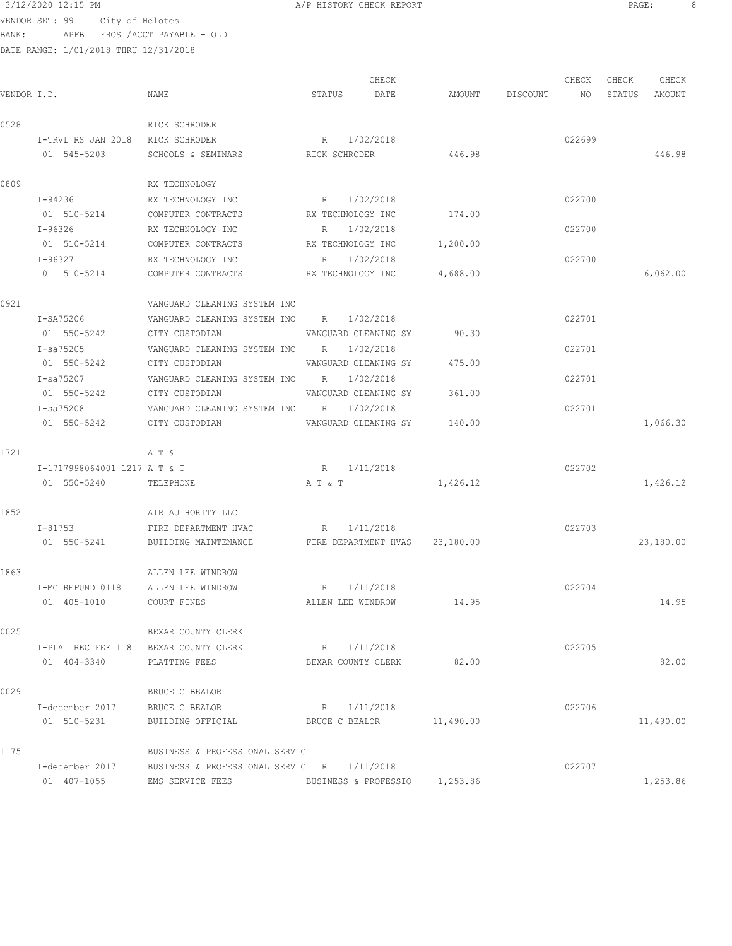VENDOR SET: 99 City of Helotes BANK: APFB FROST/ACCT PAYABLE - OLD

DATE RANGE: 1/01/2018 THRU 12/31/2018

CHECK CHECK CHECK CHECK .<br>In the other weakstates when the status of the contract of the extendio of the Status amount of the Mount of t<br>In the Status of the Status of the Status amount of the Status amount of the Status amount of the Status amou 0528 RICK SCHRODER I-TRVL RS JAN 2018 RICK SCHRODER R 1/02/2018 022699 01 545-5203 SCHOOLS & SEMINARS RICK SCHRODER 446.98 446.98 446.98 0809 RX TECHNOLOGY I-94236 RX TECHNOLOGY INC R 1/02/2018 022700 01 510-5214 COMPUTER CONTRACTS RX TECHNOLOGY INC 174.00 I-96326 RX TECHNOLOGY INC R 1/02/2018 022700 01 510-5214 COMPUTER CONTRACTS RX TECHNOLOGY INC 1,200.00 I-96327 RX TECHNOLOGY INC R 1/02/2018 022700 01 510-5214 COMPUTER CONTRACTS RX TECHNOLOGY INC  $4,688.00$  6,062.00 0921 VANGUARD CLEANING SYSTEM INC I-SA75206 VANGUARD CLEANING SYSTEM INC R 1/02/2018 022701 CITY CUSTODIAN VANGUARD CLEANING SY 90.30 I-sa75205 VANGUARD CLEANING SYSTEM INC R 1/02/2018 022701 01 550-5242 CITY CUSTODIAN VANGUARD CLEANING SY 475.00 I-sa75207 VANGUARD CLEANING SYSTEM INC R 1/02/2018 022701 01 550-5242 CITY CUSTODIAN VANGUARD CLEANING SY 361.00 I-sa75208 VANGUARD CLEANING SYSTEM INC R 1/02/2018 022701 01 550-5242 CITY CUSTODIAN VANGUARD CLEANING SY 140.00 1,066.30 1721 A T & T I-1717998064001 1217 A T & T R 1/11/2018 022702 01 550-5240 TELEPHONE A T & T 1,426.12 1,426.12 1,426.12 1852 AIR AUTHORITY LLC I-81753 FIRE DEPARTMENT HVAC R 1/11/2018 022703 01 550-5241 BUILDING MAINTENANCE FIRE DEPARTMENT HVAS 23,180.00 23,180.00 1863 ALLEN LEE WINDROW I-MC REFUND 0118 ALLEN LEE WINDROW R 1/11/2018 022704 01 405-1010 COURT FINES ALLEN LEE WINDROW 14.95 14.95 0025 BEXAR COUNTY CLERK I-PLAT REC FEE 118 BEXAR COUNTY CLERK R 1/11/2018 COUNTY CLERK R 1/11/2018 01 404-3340 PLATTING FEES BEXAR COUNTY CLERK 82.00 0029 BRUCE C BEALOR I-december 2017 BRUCE C BEALOR R 1/11/2018 8 01 510-5231 BUILDING OFFICIAL BRUCE C BEALOR 11,490.00 11,490.00 11,490.00 1175 BUSINESS & PROFESSIONAL SERVIC I-december 2017 BUSINESS & PROFESSIONAL SERVIC R 1/11/2018 022707 01 407-1055 EMS SERVICE FEES BUSINESS & PROFESSIO 1,253.86 1,253.86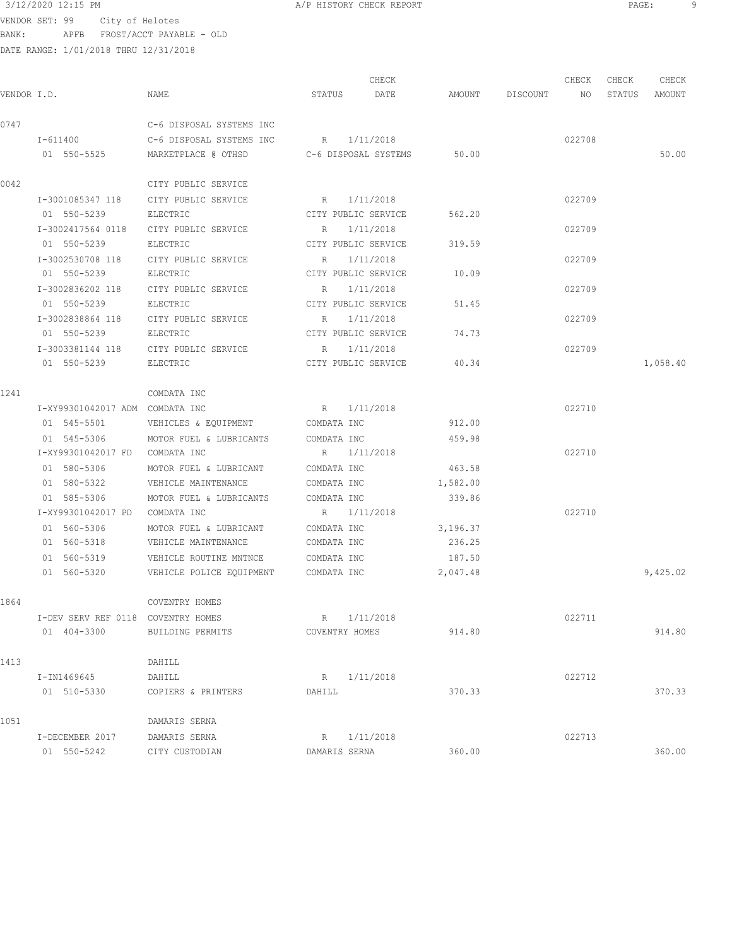VENDOR SET: 99 City of Helotes BANK: APFB FROST/ACCT PAYABLE - OLD DATE RANGE: 1/01/2018 THRU 12/31/2018

|             |                                    |                                  |                | CHECK                |          |          | CHECK  | CHECK  | CHECK    |
|-------------|------------------------------------|----------------------------------|----------------|----------------------|----------|----------|--------|--------|----------|
| VENDOR I.D. |                                    | NAME                             | STATUS         | DATE                 | AMOUNT   | DISCOUNT | NO     | STATUS | AMOUNT   |
| 0747        |                                    | C-6 DISPOSAL SYSTEMS INC         |                |                      |          |          |        |        |          |
|             | I-611400                           | C-6 DISPOSAL SYSTEMS INC         |                | R 1/11/2018          |          |          | 022708 |        |          |
|             | 01 550-5525                        | MARKETPLACE @ OTHSD              |                | C-6 DISPOSAL SYSTEMS | 50.00    |          |        |        | 50.00    |
| 0042        |                                    | CITY PUBLIC SERVICE              |                |                      |          |          |        |        |          |
|             | I-3001085347 118                   | CITY PUBLIC SERVICE              |                | R 1/11/2018          |          |          | 022709 |        |          |
|             | 01 550-5239                        | ELECTRIC                         |                | CITY PUBLIC SERVICE  | 562.20   |          |        |        |          |
|             | I-3002417564 0118                  | CITY PUBLIC SERVICE              | R              | 1/11/2018            |          |          | 022709 |        |          |
|             | 01 550-5239                        | ELECTRIC                         |                | CITY PUBLIC SERVICE  | 319.59   |          |        |        |          |
|             | I-3002530708 118                   | CITY PUBLIC SERVICE              | $R_{\rm c}$    | 1/11/2018            |          |          | 022709 |        |          |
|             | 01 550-5239                        | ELECTRIC                         |                | CITY PUBLIC SERVICE  | 10.09    |          |        |        |          |
|             | I-3002836202 118                   | CITY PUBLIC SERVICE              | $R_{\perp}$    | 1/11/2018            |          |          | 022709 |        |          |
|             | 01 550-5239                        | ELECTRIC                         |                | CITY PUBLIC SERVICE  | 51.45    |          |        |        |          |
|             | I-3002838864 118                   | CITY PUBLIC SERVICE              |                | R 1/11/2018          |          |          | 022709 |        |          |
|             | 01 550-5239                        | ELECTRIC                         |                | CITY PUBLIC SERVICE  | 74.73    |          |        |        |          |
|             | I-3003381144 118                   | CITY PUBLIC SERVICE              |                | R 1/11/2018          |          |          | 022709 |        |          |
|             | 01 550-5239                        | ELECTRIC                         |                | CITY PUBLIC SERVICE  | 40.34    |          |        |        | 1,058.40 |
| 1241        |                                    | COMDATA INC                      |                |                      |          |          |        |        |          |
|             | I-XY99301042017 ADM COMDATA INC    |                                  |                | R 1/11/2018          |          |          | 022710 |        |          |
|             | 01 545-5501                        | VEHICLES & EQUIPMENT COMDATA INC |                |                      | 912.00   |          |        |        |          |
|             | 01 545-5306                        | MOTOR FUEL & LUBRICANTS          | COMDATA INC    |                      | 459.98   |          |        |        |          |
|             | I-XY99301042017 FD COMDATA INC     |                                  |                | R 1/11/2018          |          |          | 022710 |        |          |
|             | 01 580-5306                        | MOTOR FUEL & LUBRICANT           | COMDATA INC    |                      | 463.58   |          |        |        |          |
|             | 01 580-5322                        | VEHICLE MAINTENANCE              | COMDATA INC    |                      | 1,582.00 |          |        |        |          |
|             | 01 585-5306                        | MOTOR FUEL & LUBRICANTS          | COMDATA INC    |                      | 339.86   |          |        |        |          |
|             | I-XY99301042017 PD                 | COMDATA INC                      |                | R 1/11/2018          |          |          | 022710 |        |          |
|             | 01 560-5306                        | MOTOR FUEL & LUBRICANT           | COMDATA INC    |                      | 3,196.37 |          |        |        |          |
|             | 01 560-5318                        | VEHICLE MAINTENANCE              | COMDATA INC    |                      | 236.25   |          |        |        |          |
|             | 01 560-5319                        | VEHICLE ROUTINE MNTNCE           | COMDATA INC    |                      | 187.50   |          |        |        |          |
|             | 01 560-5320                        | VEHICLE POLICE EQUIPMENT         | COMDATA INC    |                      | 2,047.48 |          |        |        | 9,425.02 |
| 1864        |                                    | COVENTRY HOMES                   |                |                      |          |          |        |        |          |
|             | I-DEV SERV REF 0118 COVENTRY HOMES |                                  | R              | 1/11/2018            |          |          | 022711 |        |          |
|             | 01 404-3300                        | BUILDING PERMITS                 | COVENTRY HOMES |                      | 914.80   |          |        |        | 914.80   |
| 1413        |                                    | DAHILL                           |                |                      |          |          |        |        |          |
|             | I-IN1469645                        | DAHILL                           |                | R 1/11/2018          |          |          | 022712 |        |          |
|             | 01 510-5330                        | COPIERS & PRINTERS               | DAHILL         |                      | 370.33   |          |        |        | 370.33   |
| 1051        |                                    | DAMARIS SERNA                    |                |                      |          |          |        |        |          |
|             | I-DECEMBER 2017                    | DAMARIS SERNA                    |                | R 1/11/2018          |          |          | 022713 |        |          |
|             | 01 550-5242                        | CITY CUSTODIAN                   | DAMARIS SERNA  |                      | 360.00   |          |        |        | 360.00   |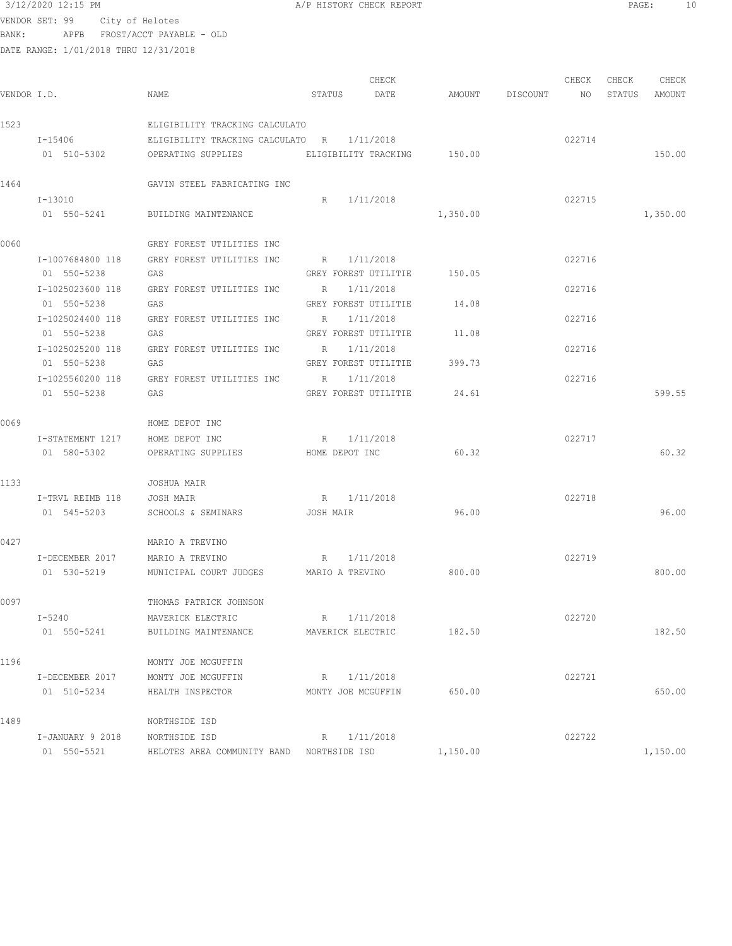3/12/2020 12:15 PM A/P HISTORY CHECK REPORT PAGE: 10 VENDOR SET: 99 City of Helotes BANK: APFB FROST/ACCT PAYABLE - OLD DATE RANGE: 1/01/2018 THRU 12/31/2018 CHECK CHECK CHECK CHECK VENDOR I.D. NAME STATUS DATE AMOUNT DISCOUNT NO STATUS AMOUNT 1523 ELIGIBILITY TRACKING CALCULATO I-15406 ELIGIBILITY TRACKING CALCULATO R 1/11/2018 022714 OPERATING SUPPLIES ELIGIBILITY TRACKING 150.00 150.00 150.00 1464 GAVIN STEEL FABRICATING INC I-13010 R 1/11/2018 022715 01 550-5241 BUILDING MAINTENANCE 1,350.00 1,350.00 0060 GREY FOREST UTILITIES INC I-1007684800 118 GREY FOREST UTILITIES INC R 1/11/2018 022716 01 550-5238 GAS GREY FOREST UTILITIE 150.05 I-1025023600 118 GREY FOREST UTILITIES INC R 1/11/2018 022716 01 550-5238 GAS GAS GREY FOREST UTILITIE 14.08 I-1025024400 118 GREY FOREST UTILITIES INC R 1/11/2018 022716 01 550-5238 GAS GREY FOREST UTILITIE 11.08 I-1025025200 118 GREY FOREST UTILITIES INC R 1/11/2018 022716 01 550-5238 GAS GREY FOREST UTILITIE 399.73 I-1025560200 118 GREY FOREST UTILITIES INC R 1/11/2018 022716 01 550-5238 GAS GREY FOREST UTILITIE 24.61 599.55 0069 HOME DEPOT INC I-STATEMENT 1217 HOME DEPOT INC R 1/11/2018 R 1/11/2018 01 580-5302 OPERATING SUPPLIES HOME DEPOT INC 60.32 60.32 1133 JOSHUA MAIR I-TRVL REIMB 118 JOSH MAIR R 1/11/2018 022718 01 545-5203 SCHOOLS & SEMINARS JOSH MAIR 96.00 96.00 0427 MARIO A TREVINO I-DECEMBER 2017 MARIO A TREVINO R 1/11/2018 022719 01 530-5219 MUNICIPAL COURT JUDGES MARIO A TREVINO 800.00 800.00 800.00 0097 THOMAS PATRICK JOHNSON I-5240 MAVERICK ELECTRIC R 1/11/2018 022720 01 550-5241 BUILDING MAINTENANCE MAVERICK ELECTRIC 182.50 182.50 182.50 1196 MONTY JOE MCGUFFIN I-DECEMBER 2017 MONTY JOE MCGUFFIN R 1/11/2018 022721 01 510-5234 HEALTH INSPECTOR MONTY JOE MCGUFFIN 650.00 650.00 1489 NORTHSIDE ISD I-JANUARY 9 2018 NORTHSIDE ISD R 1/11/2018 022722

01 550-5521 HELOTES AREA COMMUNITY BAND NORTHSIDE ISD 1,150.00 1,150.00 1,150.00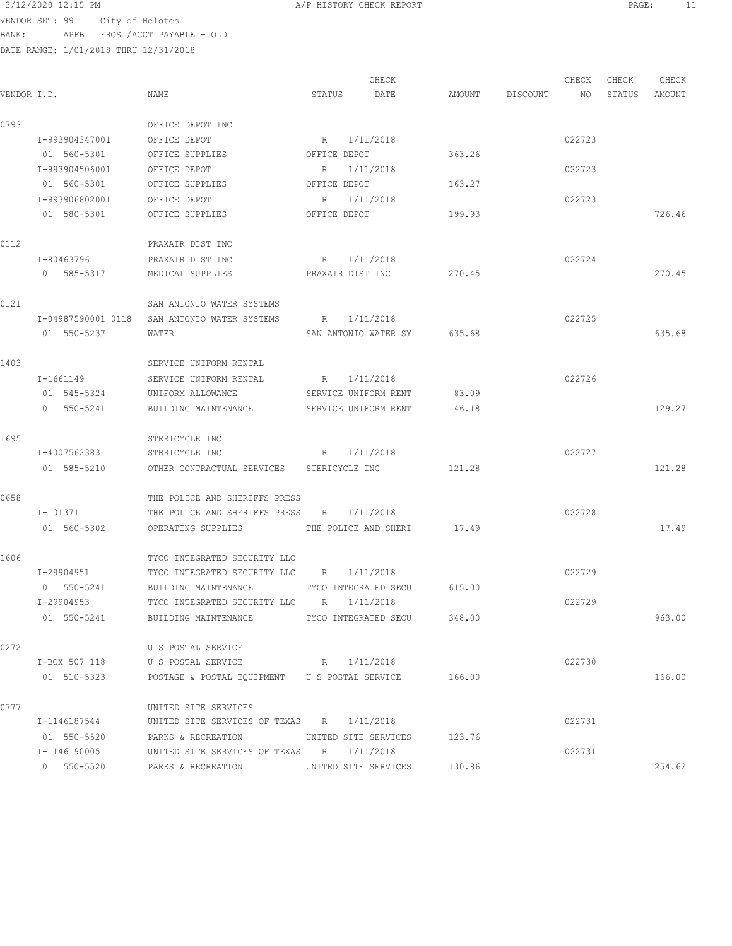VENDOR SET: 99 City of Helotes BANK: APFB FROST/ACCT PAYABLE - OLD

|             |                |                                                     |                  | CHECK                       |        |                 | CHECK  | CHECK  | CHECK  |
|-------------|----------------|-----------------------------------------------------|------------------|-----------------------------|--------|-----------------|--------|--------|--------|
| VENDOR I.D. |                | NAME                                                | STATUS           | DATE                        |        | AMOUNT DISCOUNT | NO     | STATUS | AMOUNT |
| 0793        |                | OFFICE DEPOT INC                                    |                  |                             |        |                 |        |        |        |
|             | I-993904347001 | OFFICE DEPOT                                        |                  | R 1/11/2018                 |        |                 | 022723 |        |        |
|             | 01 560-5301    | OFFICE SUPPLIES                                     | OFFICE DEPOT     |                             | 363.26 |                 |        |        |        |
|             | I-993904506001 | OFFICE DEPOT                                        |                  | R 1/11/2018                 |        |                 | 022723 |        |        |
|             | 01 560-5301    | OFFICE SUPPLIES                                     | OFFICE DEPOT     |                             | 163.27 |                 |        |        |        |
|             | I-993906802001 | OFFICE DEPOT                                        |                  | R 1/11/2018                 |        |                 | 022723 |        |        |
|             | 01 580-5301    | OFFICE SUPPLIES                                     | OFFICE DEPOT     |                             | 199.93 |                 |        |        | 726.46 |
| 0112        |                | PRAXAIR DIST INC                                    |                  |                             |        |                 |        |        |        |
|             | I-80463796     | PRAXAIR DIST INC                                    |                  | R 1/11/2018                 |        |                 | 022724 |        |        |
|             | 01 585-5317    | MEDICAL SUPPLIES                                    | PRAXAIR DIST INC |                             | 270.45 |                 |        |        | 270.45 |
| 0121        |                | SAN ANTONIO WATER SYSTEMS                           |                  |                             |        |                 |        |        |        |
|             |                | I-04987590001 0118 SAN ANTONIO WATER SYSTEMS        |                  | R 1/11/2018                 |        |                 | 022725 |        |        |
|             | 01 550-5237    | WATER                                               |                  | SAN ANTONIO WATER SY 635.68 |        |                 |        |        | 635.68 |
| 1403        |                | SERVICE UNIFORM RENTAL                              |                  |                             |        |                 |        |        |        |
|             | I-1661149      | SERVICE UNIFORM RENTAL                              |                  | R 1/11/2018                 |        |                 | 022726 |        |        |
|             | 01 545-5324    | UNIFORM ALLOWANCE                                   |                  | SERVICE UNIFORM RENT        | 83.09  |                 |        |        |        |
|             | 01 550-5241    | BUILDING MAINTENANCE SERVICE UNIFORM RENT           |                  |                             | 46.18  |                 |        |        | 129.27 |
| 1695        |                | STERICYCLE INC                                      |                  |                             |        |                 |        |        |        |
|             | I-4007562383   | STERICYCLE INC                                      |                  | R 1/11/2018                 |        |                 | 022727 |        |        |
|             | 01 585-5210    | OTHER CONTRACTUAL SERVICES STERICYCLE INC           |                  |                             | 121.28 |                 |        |        | 121.28 |
| 0658        |                | THE POLICE AND SHERIFFS PRESS                       |                  |                             |        |                 |        |        |        |
|             | I-101371       | THE POLICE AND SHERIFFS PRESS R 1/11/2018           |                  |                             |        |                 | 022728 |        |        |
|             | 01 560-5302    | OPERATING SUPPLIES THE POLICE AND SHERI 17.49       |                  |                             |        |                 |        |        | 17.49  |
| 1606        |                | TYCO INTEGRATED SECURITY LLC                        |                  |                             |        |                 |        |        |        |
|             | I-29904951     | TYCO INTEGRATED SECURITY LLC R 1/11/2018            |                  |                             |        |                 | 022729 |        |        |
|             | 01 550-5241    | BUILDING MAINTENANCE                                |                  | TYCO INTEGRATED SECU        | 615.00 |                 |        |        |        |
|             | I-29904953     | TYCO INTEGRATED SECURITY LLC R 1/11/2018            |                  |                             |        |                 | 022729 |        |        |
|             | 01 550-5241    | BUILDING MAINTENANCE TYCO INTEGRATED SECU 348.00    |                  |                             |        |                 |        |        | 963.00 |
| 0272        |                | U S POSTAL SERVICE                                  |                  |                             |        |                 |        |        |        |
|             | I-BOX 507 118  | U S POSTAL SERVICE                                  |                  | R 1/11/2018                 |        |                 | 022730 |        |        |
|             | 01 510-5323    | POSTAGE & POSTAL EQUIPMENT US POSTAL SERVICE 166.00 |                  |                             |        |                 |        |        | 166.00 |
| 0777        |                | UNITED SITE SERVICES                                |                  |                             |        |                 |        |        |        |
|             | I-1146187544   | UNITED SITE SERVICES OF TEXAS R 1/11/2018           |                  |                             |        |                 | 022731 |        |        |
|             | 01 550-5520    | PARKS & RECREATION UNITED SITE SERVICES             |                  |                             | 123.76 |                 |        |        |        |
|             | I-1146190005   | UNITED SITE SERVICES OF TEXAS R 1/11/2018           |                  |                             |        |                 | 022731 |        |        |
|             | 01 550-5520    | PARKS & RECREATION UNITED SITE SERVICES             |                  |                             | 130.86 |                 |        |        | 254.62 |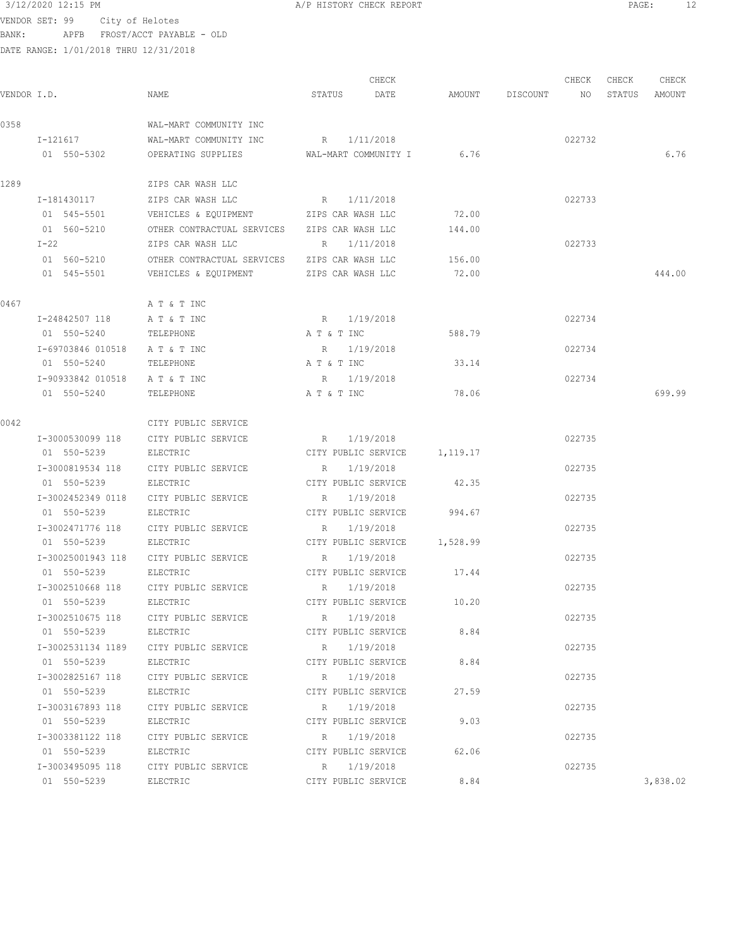$3/12/2020$  12:15 PM  $A/P$  HISTORY CHECK REPORT  $PAGE:$  PAGE: 12<br>VENDOR SET 29  $PFAGE:$ 

VENDOR SET: 99 City of Helotes BANK: APFB FROST/ACCT PAYABLE - OLD

|             |                   |                                              |                     | CHECK                         |        |                 | CHECK  | CHECK  | CHECK    |
|-------------|-------------------|----------------------------------------------|---------------------|-------------------------------|--------|-----------------|--------|--------|----------|
| VENDOR I.D. |                   | NAME                                         | STATUS              | DATE                          |        | AMOUNT DISCOUNT | NO     | STATUS | AMOUNT   |
| 0358        |                   | WAL-MART COMMUNITY INC                       |                     |                               |        |                 |        |        |          |
|             | $I - 121617$      | WAL-MART COMMUNITY INC                       | R 1/11/2018         |                               |        |                 | 022732 |        |          |
|             | 01 550-5302       | OPERATING SUPPLIES                           |                     | WAL-MART COMMUNITY I 6.76     |        |                 |        |        | 6.76     |
| 1289        |                   | ZIPS CAR WASH LLC                            |                     |                               |        |                 |        |        |          |
|             | I-181430117       | ZIPS CAR WASH LLC                            | R 1/11/2018         |                               |        |                 | 022733 |        |          |
|             | 01 545-5501       | VEHICLES & EQUIPMENT                         | ZIPS CAR WASH LLC   |                               | 72.00  |                 |        |        |          |
|             | 01 560-5210       | OTHER CONTRACTUAL SERVICES ZIPS CAR WASH LLC |                     |                               | 144.00 |                 |        |        |          |
|             | I-22              | ZIPS CAR WASH LLC                            | R 1/11/2018         |                               |        |                 | 022733 |        |          |
|             | 01 560-5210       | OTHER CONTRACTUAL SERVICES ZIPS CAR WASH LLC |                     |                               | 156.00 |                 |        |        |          |
|             | 01 545-5501       | VEHICLES & EQUIPMENT ZIPS CAR WASH LLC       |                     |                               | 72.00  |                 |        |        | 444.00   |
| 0467        |                   | A T & T INC                                  |                     |                               |        |                 |        |        |          |
|             | I-24842507 118    | A T & T INC                                  | R 1/19/2018         |                               |        |                 | 022734 |        |          |
|             | 01 550-5240       | TELEPHONE                                    | A T & T INC         |                               | 588.79 |                 |        |        |          |
|             | I-69703846 010518 | A T & T INC                                  | R 1/19/2018         |                               |        |                 | 022734 |        |          |
|             | 01 550-5240       | TELEPHONE                                    | A T & T INC         |                               | 33.14  |                 |        |        |          |
|             | I-90933842 010518 | A T & T INC                                  | R 1/19/2018         |                               |        |                 | 022734 |        |          |
|             | 01 550-5240       | TELEPHONE                                    | A T & T INC         |                               | 78.06  |                 |        |        | 699.99   |
| 0042        |                   | CITY PUBLIC SERVICE                          |                     |                               |        |                 |        |        |          |
|             | I-3000530099 118  | CITY PUBLIC SERVICE                          | $R_{\rm c}$         | 1/19/2018                     |        |                 | 022735 |        |          |
|             | 01 550-5239       | ELECTRIC                                     |                     | CITY PUBLIC SERVICE 1, 119.17 |        |                 |        |        |          |
|             | I-3000819534 118  | CITY PUBLIC SERVICE                          | R                   | 1/19/2018                     |        |                 | 022735 |        |          |
|             | 01 550-5239       | ELECTRIC                                     | CITY PUBLIC SERVICE |                               | 42.35  |                 |        |        |          |
|             | I-3002452349 0118 | CITY PUBLIC SERVICE                          | R                   | 1/19/2018                     |        |                 | 022735 |        |          |
|             | 01 550-5239       | ELECTRIC                                     | CITY PUBLIC SERVICE |                               | 994.67 |                 |        |        |          |
|             | I-3002471776 118  | CITY PUBLIC SERVICE                          | R                   | 1/19/2018                     |        |                 | 022735 |        |          |
|             | 01 550-5239       | ELECTRIC                                     |                     | CITY PUBLIC SERVICE 1,528.99  |        |                 |        |        |          |
|             | I-30025001943 118 | CITY PUBLIC SERVICE                          | $R_{\rm c}$         | 1/19/2018                     |        |                 | 022735 |        |          |
|             | 01 550-5239       | ELECTRIC                                     |                     | CITY PUBLIC SERVICE           | 17.44  |                 |        |        |          |
|             | I-3002510668 118  | CITY PUBLIC SERVICE                          | R                   | 1/19/2018                     |        |                 | 022735 |        |          |
|             | 01 550-5239       | ELECTRIC                                     |                     | CITY PUBLIC SERVICE           | 10.20  |                 |        |        |          |
|             | I-3002510675 118  | CITY PUBLIC SERVICE                          |                     | R 1/19/2018                   |        |                 | 022735 |        |          |
|             | 01 550-5239       | ELECTRIC                                     |                     | CITY PUBLIC SERVICE           | 8.84   |                 |        |        |          |
|             | I-3002531134 1189 | CITY PUBLIC SERVICE                          | $R_{\odot}$         | 1/19/2018                     |        |                 | 022735 |        |          |
|             | 01 550-5239       | ELECTRIC                                     |                     | CITY PUBLIC SERVICE           | 8.84   |                 |        |        |          |
|             | I-3002825167 118  | CITY PUBLIC SERVICE                          | R                   | 1/19/2018                     |        |                 | 022735 |        |          |
|             | 01 550-5239       | ELECTRIC                                     |                     | CITY PUBLIC SERVICE           | 27.59  |                 |        |        |          |
|             | I-3003167893 118  | CITY PUBLIC SERVICE                          | R                   | 1/19/2018                     |        |                 | 022735 |        |          |
|             | 01 550-5239       | ELECTRIC                                     |                     | CITY PUBLIC SERVICE           | 9.03   |                 |        |        |          |
|             | I-3003381122 118  | CITY PUBLIC SERVICE                          | R 1/19/2018         |                               |        |                 | 022735 |        |          |
|             | 01 550-5239       | ELECTRIC                                     |                     | CITY PUBLIC SERVICE           | 62.06  |                 |        |        |          |
|             | I-3003495095 118  | CITY PUBLIC SERVICE                          | R 1/19/2018         |                               |        |                 | 022735 |        |          |
|             | 01 550-5239       | ELECTRIC                                     |                     | CITY PUBLIC SERVICE           | 8.84   |                 |        |        | 3,838.02 |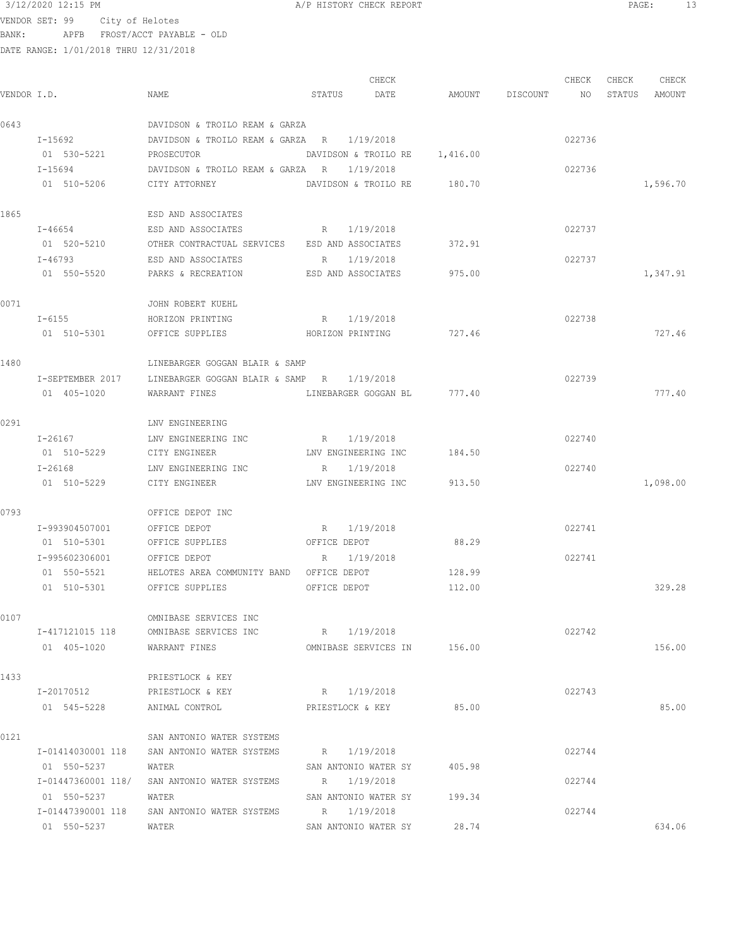3/12/2020 12:15 PM  $A/P$  HISTORY CHECK REPORT PAGE: 13 VENDOR SET: 99 City of Helotes BANK: APFB FROST/ACCT PAYABLE - OLD

|      |                             |                                                             |                     | CHECK                         |                    | CHECK  | CHECK | CHECK         |
|------|-----------------------------|-------------------------------------------------------------|---------------------|-------------------------------|--------------------|--------|-------|---------------|
|      | VENDOR I.D.                 | NAME                                                        | STATUS DATE         |                               | AMOUNT DISCOUNT NO |        |       | STATUS AMOUNT |
| 0643 |                             | DAVIDSON & TROILO REAM & GARZA                              |                     |                               |                    |        |       |               |
|      | $I - 15692$                 | DAVIDSON & TROILO REAM & GARZA R 1/19/2018                  |                     |                               |                    | 022736 |       |               |
|      | 01 530-5221                 | PROSECUTOR                                                  |                     | DAVIDSON & TROILO RE 1,416.00 |                    |        |       |               |
|      | $I - 15694$                 | DAVIDSON & TROILO REAM & GARZA R 1/19/2018                  |                     |                               |                    | 022736 |       |               |
|      | 01 510-5206                 | CITY ATTORNEY                                               |                     | DAVIDSON & TROILO RE 180.70   |                    |        |       | 1,596.70      |
| 1865 |                             | ESD AND ASSOCIATES                                          |                     |                               |                    |        |       |               |
|      | $I - 46654$                 | ESD AND ASSOCIATES                                          | R 1/19/2018         |                               |                    | 022737 |       |               |
|      | 01 520-5210                 | OTHER CONTRACTUAL SERVICES ESD AND ASSOCIATES               |                     |                               | 372.91             |        |       |               |
|      | I-46793                     | ESD AND ASSOCIATES                                          | R 1/19/2018         |                               |                    | 022737 |       |               |
|      |                             | 01 550-5520 PARKS & RECREATION ESD AND ASSOCIATES 975.00    |                     |                               |                    |        |       | 1,347.91      |
| 0071 |                             | JOHN ROBERT KUEHL                                           |                     |                               |                    |        |       |               |
|      | $I - 6155$                  | HORIZON PRINTING                                            | R 1/19/2018         |                               |                    | 022738 |       |               |
|      | 01 510-5301                 | OFFICE SUPPLIES HORIZON PRINTING                            |                     |                               | 727.46             |        |       | 727.46        |
| 1480 |                             | LINEBARGER GOGGAN BLAIR & SAMP                              |                     |                               |                    |        |       |               |
|      |                             | I-SEPTEMBER 2017 LINEBARGER GOGGAN BLAIR & SAMP R 1/19/2018 |                     |                               |                    | 022739 |       |               |
|      | 01 405-1020                 | WARRANT FINES                                               |                     | LINEBARGER GOGGAN BL 777.40   |                    |        |       | 777.40        |
| 0291 |                             | LNV ENGINEERING                                             |                     |                               |                    |        |       |               |
|      | I-26167                     | LNV ENGINEERING INC                                         | R 1/19/2018         |                               |                    | 022740 |       |               |
|      | 01 510-5229                 | CITY ENGINEER                                               | LNV ENGINEERING INC |                               | 184.50             |        |       |               |
|      | $I - 26168$                 | LNV ENGINEERING INC                                         | R 1/19/2018         |                               |                    | 022740 |       |               |
|      | 01 510-5229                 | CITY ENGINEER                                               |                     | LNV ENGINEERING INC 913.50    |                    |        |       | 1,098.00      |
| 0793 |                             | OFFICE DEPOT INC                                            |                     |                               |                    |        |       |               |
|      | I-993904507001              | OFFICE DEPOT                                                | R 1/19/2018         |                               |                    | 022741 |       |               |
|      | 01 510-5301                 | OFFICE SUPPLIES                                             | OFFICE DEPOT        |                               | 88.29              |        |       |               |
|      | I-995602306001              | OFFICE DEPOT                                                | R 1/19/2018         |                               |                    | 022741 |       |               |
|      | 01 550-5521                 | HELOTES AREA COMMUNITY BAND OFFICE DEPOT                    |                     |                               | 128.99             |        |       |               |
|      | 01 510-5301 OFFICE SUPPLIES |                                                             | OFFICE DEPOT        |                               | 112.00             |        |       | 329.28        |
| 0107 |                             | OMNIBASE SERVICES INC                                       |                     |                               |                    |        |       |               |
|      |                             | I-417121015 118 OMNIBASE SERVICES INC R 1/19/2018           |                     |                               |                    | 022742 |       |               |
|      | 01 405-1020                 | WARRANT FINES                                               |                     | OMNIBASE SERVICES IN 156.00   |                    |        |       | 156.00        |
| 1433 |                             | PRIESTLOCK & KEY                                            |                     |                               |                    |        |       |               |
|      | I-20170512                  | PRIESTLOCK & KEY                                            | R 1/19/2018         |                               |                    | 022743 |       |               |
|      | 01 545-5228                 | ANIMAL CONTROL                                              | PRIESTLOCK & KEY    |                               | 85.00              |        |       | 85.00         |
| 0121 |                             | SAN ANTONIO WATER SYSTEMS                                   |                     |                               |                    |        |       |               |
|      |                             | I-01414030001 118 SAN ANTONIO WATER SYSTEMS                 | R 1/19/2018         |                               |                    | 022744 |       |               |
|      | 01 550-5237                 | WATER                                                       |                     | SAN ANTONIO WATER SY 405.98   |                    |        |       |               |
|      |                             | I-01447360001 118/ SAN ANTONIO WATER SYSTEMS                | R 1/19/2018         |                               |                    | 022744 |       |               |
|      | 01 550-5237                 | WATER                                                       |                     | SAN ANTONIO WATER SY 199.34   |                    |        |       |               |
|      |                             | I-01447390001 118 SAN ANTONIO WATER SYSTEMS R 1/19/2018     |                     |                               |                    | 022744 |       |               |
|      | 01 550-5237                 | WATER                                                       |                     | SAN ANTONIO WATER SY          | 28.74              |        |       | 634.06        |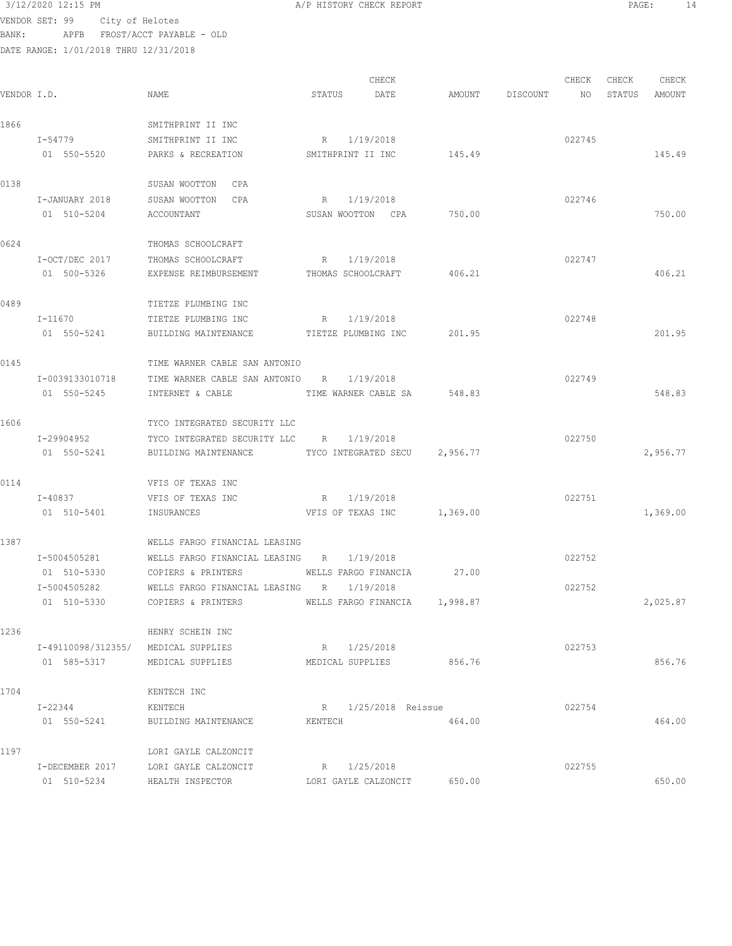| 3/12/2020 12:15 PM |                                                                                                                                             |                                                                                                                                                                                                                                                                                                                                                                                                                                                                   |                                                                                                                                                                                                                                                                                                                                                           |                                                                                                                                                                                                       |        |                                                          |        |                                                                               |
|--------------------|---------------------------------------------------------------------------------------------------------------------------------------------|-------------------------------------------------------------------------------------------------------------------------------------------------------------------------------------------------------------------------------------------------------------------------------------------------------------------------------------------------------------------------------------------------------------------------------------------------------------------|-----------------------------------------------------------------------------------------------------------------------------------------------------------------------------------------------------------------------------------------------------------------------------------------------------------------------------------------------------------|-------------------------------------------------------------------------------------------------------------------------------------------------------------------------------------------------------|--------|----------------------------------------------------------|--------|-------------------------------------------------------------------------------|
|                    |                                                                                                                                             |                                                                                                                                                                                                                                                                                                                                                                                                                                                                   |                                                                                                                                                                                                                                                                                                                                                           |                                                                                                                                                                                                       |        |                                                          |        |                                                                               |
|                    |                                                                                                                                             |                                                                                                                                                                                                                                                                                                                                                                                                                                                                   |                                                                                                                                                                                                                                                                                                                                                           |                                                                                                                                                                                                       |        |                                                          |        |                                                                               |
|                    |                                                                                                                                             |                                                                                                                                                                                                                                                                                                                                                                                                                                                                   |                                                                                                                                                                                                                                                                                                                                                           |                                                                                                                                                                                                       |        |                                                          |        |                                                                               |
|                    |                                                                                                                                             |                                                                                                                                                                                                                                                                                                                                                                                                                                                                   |                                                                                                                                                                                                                                                                                                                                                           |                                                                                                                                                                                                       |        |                                                          |        |                                                                               |
|                    |                                                                                                                                             | CHECK                                                                                                                                                                                                                                                                                                                                                                                                                                                             |                                                                                                                                                                                                                                                                                                                                                           |                                                                                                                                                                                                       | CHECK  | CHECK                                                    | CHECK  |                                                                               |
| VENDOR I.D.        | NAME                                                                                                                                        | STATUS<br>DATE                                                                                                                                                                                                                                                                                                                                                                                                                                                    | AMOUNT                                                                                                                                                                                                                                                                                                                                                    | DISCOUNT                                                                                                                                                                                              | NO     | STATUS                                                   | AMOUNT |                                                                               |
|                    |                                                                                                                                             |                                                                                                                                                                                                                                                                                                                                                                                                                                                                   |                                                                                                                                                                                                                                                                                                                                                           |                                                                                                                                                                                                       |        |                                                          |        |                                                                               |
|                    |                                                                                                                                             |                                                                                                                                                                                                                                                                                                                                                                                                                                                                   |                                                                                                                                                                                                                                                                                                                                                           |                                                                                                                                                                                                       |        |                                                          |        |                                                                               |
|                    |                                                                                                                                             |                                                                                                                                                                                                                                                                                                                                                                                                                                                                   |                                                                                                                                                                                                                                                                                                                                                           |                                                                                                                                                                                                       |        |                                                          |        |                                                                               |
|                    |                                                                                                                                             |                                                                                                                                                                                                                                                                                                                                                                                                                                                                   |                                                                                                                                                                                                                                                                                                                                                           |                                                                                                                                                                                                       |        |                                                          |        |                                                                               |
|                    | SUSAN WOOTTON<br>CPA                                                                                                                        |                                                                                                                                                                                                                                                                                                                                                                                                                                                                   |                                                                                                                                                                                                                                                                                                                                                           |                                                                                                                                                                                                       |        |                                                          |        |                                                                               |
| I-JANUARY 2018     | SUSAN WOOTTON<br>CPA                                                                                                                        | 1/19/2018<br>R                                                                                                                                                                                                                                                                                                                                                                                                                                                    |                                                                                                                                                                                                                                                                                                                                                           |                                                                                                                                                                                                       | 022746 |                                                          |        |                                                                               |
| 01 510-5204        | ACCOUNTANT                                                                                                                                  | SUSAN WOOTTON CPA                                                                                                                                                                                                                                                                                                                                                                                                                                                 | 750.00                                                                                                                                                                                                                                                                                                                                                    |                                                                                                                                                                                                       |        |                                                          | 750.00 |                                                                               |
|                    |                                                                                                                                             |                                                                                                                                                                                                                                                                                                                                                                                                                                                                   |                                                                                                                                                                                                                                                                                                                                                           |                                                                                                                                                                                                       |        |                                                          |        |                                                                               |
|                    | THOMAS SCHOOLCRAFT                                                                                                                          |                                                                                                                                                                                                                                                                                                                                                                                                                                                                   |                                                                                                                                                                                                                                                                                                                                                           |                                                                                                                                                                                                       |        |                                                          |        |                                                                               |
| I-OCT/DEC 2017     | THOMAS SCHOOLCRAFT                                                                                                                          | 1/19/2018<br>R                                                                                                                                                                                                                                                                                                                                                                                                                                                    |                                                                                                                                                                                                                                                                                                                                                           |                                                                                                                                                                                                       | 022747 |                                                          |        |                                                                               |
| 01 500-5326        | EXPENSE REIMBURSEMENT                                                                                                                       | THOMAS SCHOOLCRAFT                                                                                                                                                                                                                                                                                                                                                                                                                                                | 406.21                                                                                                                                                                                                                                                                                                                                                    |                                                                                                                                                                                                       |        |                                                          | 406.21 |                                                                               |
|                    |                                                                                                                                             |                                                                                                                                                                                                                                                                                                                                                                                                                                                                   |                                                                                                                                                                                                                                                                                                                                                           |                                                                                                                                                                                                       |        |                                                          |        |                                                                               |
|                    |                                                                                                                                             |                                                                                                                                                                                                                                                                                                                                                                                                                                                                   |                                                                                                                                                                                                                                                                                                                                                           |                                                                                                                                                                                                       |        |                                                          |        |                                                                               |
|                    |                                                                                                                                             |                                                                                                                                                                                                                                                                                                                                                                                                                                                                   |                                                                                                                                                                                                                                                                                                                                                           |                                                                                                                                                                                                       |        |                                                          |        |                                                                               |
|                    |                                                                                                                                             |                                                                                                                                                                                                                                                                                                                                                                                                                                                                   |                                                                                                                                                                                                                                                                                                                                                           |                                                                                                                                                                                                       |        |                                                          |        |                                                                               |
|                    |                                                                                                                                             |                                                                                                                                                                                                                                                                                                                                                                                                                                                                   |                                                                                                                                                                                                                                                                                                                                                           |                                                                                                                                                                                                       |        |                                                          |        |                                                                               |
|                    |                                                                                                                                             |                                                                                                                                                                                                                                                                                                                                                                                                                                                                   |                                                                                                                                                                                                                                                                                                                                                           |                                                                                                                                                                                                       |        |                                                          |        |                                                                               |
| 01 550-5245        | INTERNET & CABLE                                                                                                                            | TIME WARNER CABLE SA                                                                                                                                                                                                                                                                                                                                                                                                                                              | 548.83                                                                                                                                                                                                                                                                                                                                                    |                                                                                                                                                                                                       |        |                                                          | 548.83 |                                                                               |
|                    |                                                                                                                                             |                                                                                                                                                                                                                                                                                                                                                                                                                                                                   |                                                                                                                                                                                                                                                                                                                                                           |                                                                                                                                                                                                       |        |                                                          |        |                                                                               |
|                    | TYCO INTEGRATED SECURITY LLC                                                                                                                |                                                                                                                                                                                                                                                                                                                                                                                                                                                                   |                                                                                                                                                                                                                                                                                                                                                           |                                                                                                                                                                                                       |        |                                                          |        |                                                                               |
| I-29904952         | TYCO INTEGRATED SECURITY LLC                                                                                                                | 1/19/2018<br>R                                                                                                                                                                                                                                                                                                                                                                                                                                                    |                                                                                                                                                                                                                                                                                                                                                           |                                                                                                                                                                                                       | 022750 |                                                          |        |                                                                               |
| 01 550-5241        | BUILDING MAINTENANCE                                                                                                                        | TYCO INTEGRATED SECU                                                                                                                                                                                                                                                                                                                                                                                                                                              | 2,956.77                                                                                                                                                                                                                                                                                                                                                  |                                                                                                                                                                                                       |        |                                                          |        |                                                                               |
|                    |                                                                                                                                             |                                                                                                                                                                                                                                                                                                                                                                                                                                                                   |                                                                                                                                                                                                                                                                                                                                                           |                                                                                                                                                                                                       |        |                                                          |        |                                                                               |
|                    |                                                                                                                                             |                                                                                                                                                                                                                                                                                                                                                                                                                                                                   |                                                                                                                                                                                                                                                                                                                                                           |                                                                                                                                                                                                       |        |                                                          |        |                                                                               |
|                    |                                                                                                                                             |                                                                                                                                                                                                                                                                                                                                                                                                                                                                   |                                                                                                                                                                                                                                                                                                                                                           |                                                                                                                                                                                                       |        |                                                          |        |                                                                               |
|                    |                                                                                                                                             |                                                                                                                                                                                                                                                                                                                                                                                                                                                                   |                                                                                                                                                                                                                                                                                                                                                           |                                                                                                                                                                                                       |        |                                                          |        |                                                                               |
|                    |                                                                                                                                             |                                                                                                                                                                                                                                                                                                                                                                                                                                                                   |                                                                                                                                                                                                                                                                                                                                                           |                                                                                                                                                                                                       |        |                                                          |        |                                                                               |
|                    |                                                                                                                                             |                                                                                                                                                                                                                                                                                                                                                                                                                                                                   |                                                                                                                                                                                                                                                                                                                                                           |                                                                                                                                                                                                       |        |                                                          |        |                                                                               |
| 01 510-5330        |                                                                                                                                             |                                                                                                                                                                                                                                                                                                                                                                                                                                                                   | 27.00                                                                                                                                                                                                                                                                                                                                                     |                                                                                                                                                                                                       |        |                                                          |        |                                                                               |
| I-5004505282       |                                                                                                                                             |                                                                                                                                                                                                                                                                                                                                                                                                                                                                   |                                                                                                                                                                                                                                                                                                                                                           |                                                                                                                                                                                                       | 022752 |                                                          |        |                                                                               |
| 01 510-5330        | COPIERS & PRINTERS                                                                                                                          |                                                                                                                                                                                                                                                                                                                                                                                                                                                                   |                                                                                                                                                                                                                                                                                                                                                           |                                                                                                                                                                                                       |        |                                                          |        |                                                                               |
|                    |                                                                                                                                             |                                                                                                                                                                                                                                                                                                                                                                                                                                                                   |                                                                                                                                                                                                                                                                                                                                                           |                                                                                                                                                                                                       |        |                                                          |        |                                                                               |
|                    | HENRY SCHEIN INC                                                                                                                            |                                                                                                                                                                                                                                                                                                                                                                                                                                                                   |                                                                                                                                                                                                                                                                                                                                                           |                                                                                                                                                                                                       |        |                                                          |        |                                                                               |
|                    |                                                                                                                                             |                                                                                                                                                                                                                                                                                                                                                                                                                                                                   |                                                                                                                                                                                                                                                                                                                                                           |                                                                                                                                                                                                       | 022753 |                                                          |        |                                                                               |
| 01 585-5317        |                                                                                                                                             |                                                                                                                                                                                                                                                                                                                                                                                                                                                                   |                                                                                                                                                                                                                                                                                                                                                           |                                                                                                                                                                                                       |        |                                                          | 856.76 |                                                                               |
|                    |                                                                                                                                             |                                                                                                                                                                                                                                                                                                                                                                                                                                                                   |                                                                                                                                                                                                                                                                                                                                                           |                                                                                                                                                                                                       |        |                                                          |        |                                                                               |
|                    |                                                                                                                                             |                                                                                                                                                                                                                                                                                                                                                                                                                                                                   |                                                                                                                                                                                                                                                                                                                                                           |                                                                                                                                                                                                       |        |                                                          |        |                                                                               |
|                    |                                                                                                                                             |                                                                                                                                                                                                                                                                                                                                                                                                                                                                   |                                                                                                                                                                                                                                                                                                                                                           |                                                                                                                                                                                                       |        |                                                          |        |                                                                               |
|                    |                                                                                                                                             |                                                                                                                                                                                                                                                                                                                                                                                                                                                                   |                                                                                                                                                                                                                                                                                                                                                           |                                                                                                                                                                                                       |        |                                                          |        |                                                                               |
|                    | LORI GAYLE CALZONCIT                                                                                                                        |                                                                                                                                                                                                                                                                                                                                                                                                                                                                   |                                                                                                                                                                                                                                                                                                                                                           |                                                                                                                                                                                                       |        |                                                          |        |                                                                               |
| I-DECEMBER 2017    |                                                                                                                                             | R 1/25/2018                                                                                                                                                                                                                                                                                                                                                                                                                                                       |                                                                                                                                                                                                                                                                                                                                                           |                                                                                                                                                                                                       | 022755 |                                                          |        |                                                                               |
| 01 510-5234        | HEALTH INSPECTOR                                                                                                                            |                                                                                                                                                                                                                                                                                                                                                                                                                                                                   | 650.00                                                                                                                                                                                                                                                                                                                                                    |                                                                                                                                                                                                       |        |                                                          | 650.00 |                                                                               |
|                    | $I - 54779$<br>01 550-5520<br>I-11670<br>01 550-5241<br>I-0039133010718<br>I-40837<br>01 510-5401<br>I-5004505281<br>I-22344<br>01 550-5241 | VENDOR SET: 99 City of Helotes<br>APFB FROST/ACCT PAYABLE - OLD<br>DATE RANGE: 1/01/2018 THRU 12/31/2018<br>SMITHPRINT II INC<br>SMITHPRINT II INC<br>PARKS & RECREATION<br>TIETZE PLUMBING INC<br>TIETZE PLUMBING INC<br>BUILDING MAINTENANCE<br>VFIS OF TEXAS INC<br>VFIS OF TEXAS INC<br>INSURANCES<br>COPIERS & PRINTERS<br>I-49110098/312355/ MEDICAL SUPPLIES<br>MEDICAL SUPPLIES<br>KENTECH INC<br>KENTECH<br>BUILDING MAINTENANCE<br>LORI GAYLE CALZONCIT | 1/19/2018<br>R<br>SMITHPRINT II INC<br>1/19/2018<br>R<br>TIETZE PLUMBING INC<br>TIME WARNER CABLE SAN ANTONIO<br>1/19/2018<br>TIME WARNER CABLE SAN ANTONIO R<br>1/19/2018<br>R<br>VFIS OF TEXAS INC<br>WELLS FARGO FINANCIAL LEASING<br>WELLS FARGO FINANCIAL LEASING R 1/19/2018<br>WELLS FARGO FINANCIAL LEASING R 1/19/2018<br>R 1/25/2018<br>KENTECH | A/P HISTORY CHECK REPORT<br>145.49<br>201.95<br>1,369.00<br>WELLS FARGO FINANCIA<br>WELLS FARGO FINANCIA 1,998.87<br>MEDICAL SUPPLIES 856.76<br>R 1/25/2018 Reissue<br>464.00<br>LORI GAYLE CALZONCIT |        | 022745<br>022748<br>022749<br>022751<br>022752<br>022754 |        | PAGE:<br>14<br>145.49<br>201.95<br>2,956.77<br>1,369.00<br>2,025.87<br>464.00 |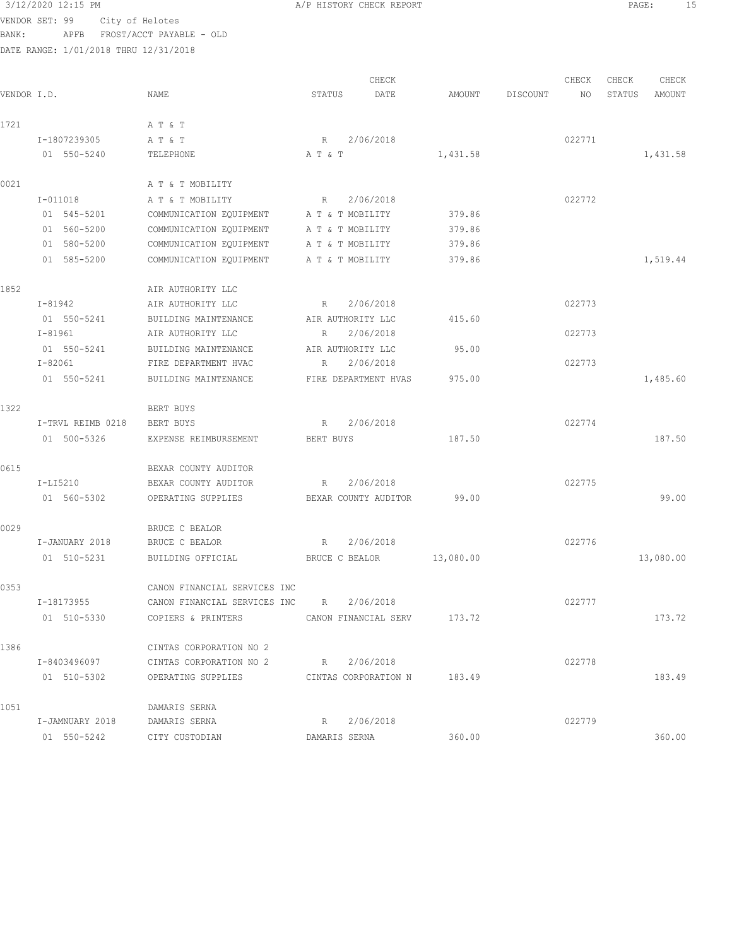# $3/12/2020$  12:15 PM  $A/P$  HISTORY CHECK REPORT  $\blacksquare$  PAGE: 15

VENDOR SET: 99 City of Helotes BANK: APFB FROST/ACCT PAYABLE - OLD

|             |                   |                                          |                   | CHECK                |           |          | CHECK  | CHECK  | CHECK     |
|-------------|-------------------|------------------------------------------|-------------------|----------------------|-----------|----------|--------|--------|-----------|
| VENDOR I.D. |                   | NAME                                     | STATUS            | DATE                 | AMOUNT    | DISCOUNT | NO     | STATUS | AMOUNT    |
| 1721        |                   | A T & T                                  |                   |                      |           |          |        |        |           |
|             | I-1807239305      | A T & T                                  | R                 | 2/06/2018            |           |          | 022771 |        |           |
|             | 01 550-5240       | TELEPHONE                                | A T & T           |                      | 1,431.58  |          |        |        | 1,431.58  |
| 0021        |                   | A T & T MOBILITY                         |                   |                      |           |          |        |        |           |
|             | $I-011018$        | A T & T MOBILITY                         | R                 | 2/06/2018            |           |          | 022772 |        |           |
|             | 01 545-5201       | COMMUNICATION EQUIPMENT                  | A T & T MOBILITY  |                      | 379.86    |          |        |        |           |
|             | 01 560-5200       | COMMUNICATION EQUIPMENT                  | A T & T MOBILITY  |                      | 379.86    |          |        |        |           |
|             | 01 580-5200       | COMMUNICATION EQUIPMENT                  | A T & T MOBILITY  |                      | 379.86    |          |        |        |           |
|             | 01 585-5200       | COMMUNICATION EQUIPMENT                  | A T & T MOBILITY  |                      | 379.86    |          |        |        | 1,519.44  |
| 1852        |                   | AIR AUTHORITY LLC                        |                   |                      |           |          |        |        |           |
|             | I-81942           | AIR AUTHORITY LLC                        | R                 | 2/06/2018            |           |          | 022773 |        |           |
|             | 01 550-5241       | BUILDING MAINTENANCE                     | AIR AUTHORITY LLC |                      | 415.60    |          |        |        |           |
|             | I-81961           | AIR AUTHORITY LLC                        | R                 | 2/06/2018            |           |          | 022773 |        |           |
|             | 01 550-5241       | BUILDING MAINTENANCE                     | AIR AUTHORITY LLC |                      | 95.00     |          |        |        |           |
|             | $I - 82061$       | FIRE DEPARTMENT HVAC                     | R                 | 2/06/2018            |           |          | 022773 |        |           |
|             | 01 550-5241       | BUILDING MAINTENANCE                     |                   | FIRE DEPARTMENT HVAS | 975.00    |          |        |        | 1,485.60  |
| 1322        |                   | BERT BUYS                                |                   |                      |           |          |        |        |           |
|             | I-TRVL REIMB 0218 | BERT BUYS                                | R                 | 2/06/2018            |           |          | 022774 |        |           |
|             | 01 500-5326       | EXPENSE REIMBURSEMENT                    | BERT BUYS         |                      | 187.50    |          |        |        | 187.50    |
| 0615        |                   | BEXAR COUNTY AUDITOR                     |                   |                      |           |          |        |        |           |
|             | I-LI5210          | BEXAR COUNTY AUDITOR                     | R                 | 2/06/2018            |           |          | 022775 |        |           |
|             | 01 560-5302       | OPERATING SUPPLIES                       |                   | BEXAR COUNTY AUDITOR | 99.00     |          |        |        | 99.00     |
| 0029        |                   | BRUCE C BEALOR                           |                   |                      |           |          |        |        |           |
|             | I-JANUARY 2018    | BRUCE C BEALOR                           | R                 | 2/06/2018            |           |          | 022776 |        |           |
|             | 01 510-5231       | BUILDING OFFICIAL                        | BRUCE C BEALOR    |                      | 13,080.00 |          |        |        | 13,080.00 |
| 0353        |                   | CANON FINANCIAL SERVICES INC             |                   |                      |           |          |        |        |           |
|             | I-18173955        | CANON FINANCIAL SERVICES INC R 2/06/2018 |                   |                      |           |          | 022777 |        |           |
|             | 01 510-5330       | COPIERS & PRINTERS                       |                   | CANON FINANCIAL SERV | 173.72    |          |        |        | 173.72    |
| 1386        |                   | CINTAS CORPORATION NO 2                  |                   |                      |           |          |        |        |           |
|             | I-8403496097      | CINTAS CORPORATION NO 2                  | R                 | 2/06/2018            |           |          | 022778 |        |           |
|             | 01 510-5302       | OPERATING SUPPLIES                       |                   | CINTAS CORPORATION N | 183.49    |          |        |        | 183.49    |
| 1051        |                   | DAMARIS SERNA                            |                   |                      |           |          |        |        |           |
|             | I-JAMNUARY 2018   | DAMARIS SERNA                            | R                 | 2/06/2018            |           |          | 022779 |        |           |
|             | 01 550-5242       | CITY CUSTODIAN                           | DAMARIS SERNA     |                      | 360.00    |          |        |        | 360.00    |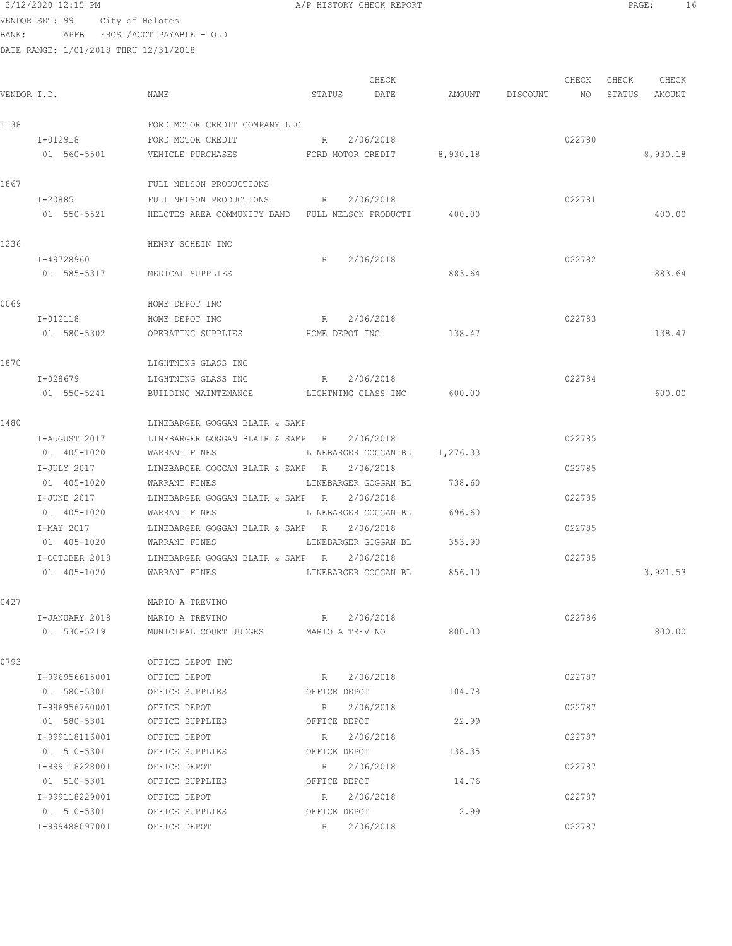VENDOR SET: 99 City of Helotes BANK: APFB FROST/ACCT PAYABLE - OLD

| VENDOR I.D. |                            | NAME                                                    | CHECK<br>STATUS<br>DATE           | AMOUNT | CHECK<br>DISCOUNT<br>NO | CHECK<br>CHECK<br>STATUS<br>AMOUNT |
|-------------|----------------------------|---------------------------------------------------------|-----------------------------------|--------|-------------------------|------------------------------------|
| 1138        |                            | FORD MOTOR CREDIT COMPANY LLC                           |                                   |        |                         |                                    |
|             | I-012918                   | FORD MOTOR CREDIT                                       | 2/06/2018<br>$R_{\rm{1}}$         |        | 022780                  |                                    |
|             | 01 560-5501                | VEHICLE PURCHASES                                       | FORD MOTOR CREDIT 8,930.18        |        |                         | 8,930.18                           |
| 1867        |                            | FULL NELSON PRODUCTIONS                                 |                                   |        |                         |                                    |
|             | I-20885                    | FULL NELSON PRODUCTIONS                                 | R 2/06/2018                       |        | 022781                  |                                    |
|             | 01 550-5521                | HELOTES AREA COMMUNITY BAND FULL NELSON PRODUCTI 400.00 |                                   |        |                         | 400.00                             |
| 1236        |                            | HENRY SCHEIN INC                                        |                                   |        |                         |                                    |
|             | I-49728960                 |                                                         | 2/06/2018<br>R                    |        | 022782                  |                                    |
|             | 01 585-5317                | MEDICAL SUPPLIES                                        |                                   | 883.64 |                         | 883.64                             |
| 0069        |                            | HOME DEPOT INC                                          |                                   |        |                         |                                    |
|             | I-012118                   | HOME DEPOT INC                                          | R 2/06/2018                       |        | 022783                  |                                    |
|             | 01 580-5302                | OPERATING SUPPLIES                                      | HOME DEPOT INC                    | 138.47 |                         | 138.47                             |
| 1870        |                            | LIGHTNING GLASS INC                                     |                                   |        |                         |                                    |
|             | I-028679                   | LIGHTNING GLASS INC                                     | 2/06/2018<br>R                    |        | 022784                  |                                    |
|             | 01 550-5241                | BUILDING MAINTENANCE LIGHTNING GLASS INC                |                                   | 600.00 |                         | 600.00                             |
| 1480        |                            | LINEBARGER GOGGAN BLAIR & SAMP                          |                                   |        |                         |                                    |
|             | I-AUGUST 2017              | LINEBARGER GOGGAN BLAIR & SAMP R 2/06/2018              |                                   |        | 022785                  |                                    |
|             | 01 405-1020                | WARRANT FINES                                           | LINEBARGER GOGGAN BL 1,276.33     |        |                         |                                    |
|             | I-JULY 2017                | LINEBARGER GOGGAN BLAIR & SAMP R                        | 2/06/2018                         |        | 022785                  |                                    |
|             | 01 405-1020                | WARRANT FINES                                           | LINEBARGER GOGGAN BL              | 738.60 |                         |                                    |
|             | I-JUNE 2017<br>01 405-1020 | LINEBARGER GOGGAN BLAIR & SAMP R<br>WARRANT FINES       | 2/06/2018<br>LINEBARGER GOGGAN BL | 696.60 | 022785                  |                                    |
|             | I-MAY 2017                 | LINEBARGER GOGGAN BLAIR & SAMP R                        | 2/06/2018                         |        | 022785                  |                                    |
|             | 01 405-1020                | WARRANT FINES                                           | LINEBARGER GOGGAN BL              | 353.90 |                         |                                    |
|             | I-OCTOBER 2018             | LINEBARGER GOGGAN BLAIR & SAMP R                        | 2/06/2018                         |        | 022785                  |                                    |
|             | 01 405-1020                | WARRANT FINES                                           | LINEBARGER GOGGAN BL              | 856.10 |                         | 3,921.53                           |
| 0427        |                            | MARIO A TREVINO                                         |                                   |        |                         |                                    |
|             | I-JANUARY 2018             | MARIO A TREVINO                                         | R 2/06/2018                       |        | 022786                  |                                    |
|             | 01 530-5219                | MUNICIPAL COURT JUDGES MARIO A TREVINO                  |                                   | 800.00 |                         | 800.00                             |
| 0793        |                            | OFFICE DEPOT INC                                        |                                   |        |                         |                                    |
|             | I-996956615001             | OFFICE DEPOT                                            | 2/06/2018<br>R                    |        | 022787                  |                                    |
|             | 01 580-5301                | OFFICE SUPPLIES                                         | OFFICE DEPOT                      | 104.78 |                         |                                    |
|             | I-996956760001             | OFFICE DEPOT                                            | 2/06/2018<br>R                    |        | 022787                  |                                    |
|             | 01 580-5301                | OFFICE SUPPLIES                                         | OFFICE DEPOT                      | 22.99  |                         |                                    |
|             | I-999118116001             | OFFICE DEPOT                                            | 2/06/2018<br>R                    |        | 022787                  |                                    |
|             | 01 510-5301                | OFFICE SUPPLIES                                         | OFFICE DEPOT                      | 138.35 |                         |                                    |
|             | I-999118228001             | OFFICE DEPOT                                            | 2/06/2018<br>R                    |        | 022787                  |                                    |
|             | 01 510-5301                | OFFICE SUPPLIES                                         | OFFICE DEPOT                      | 14.76  |                         |                                    |
|             | I-999118229001             | OFFICE DEPOT                                            | R<br>2/06/2018                    |        | 022787                  |                                    |
|             | 01 510-5301                | OFFICE SUPPLIES                                         | OFFICE DEPOT                      | 2.99   |                         |                                    |
|             | I-999488097001             | OFFICE DEPOT                                            | 2/06/2018<br>R                    |        | 022787                  |                                    |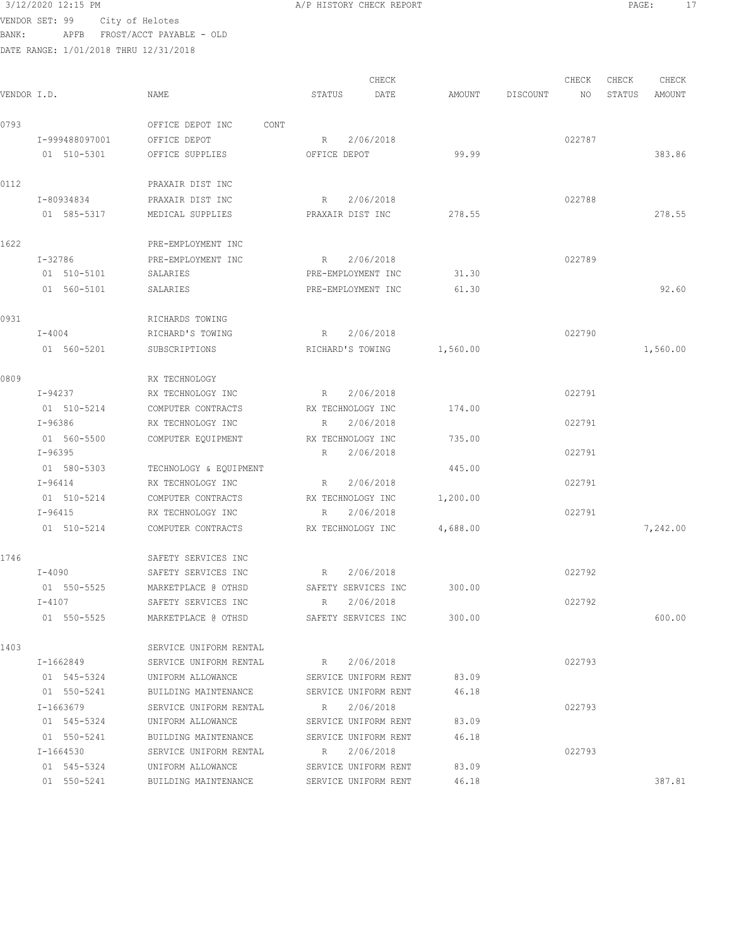VENDOR SET: 99 City of Helotes BANK: APFB FROST/ACCT PAYABLE - OLD

DATE RANGE: 1/01/2018 THRU 12/31/2018

CHECK CHECK CHECK CHECK .<br>In the other weakstates when the status of the contract of the extendio of the Status amount of the Mount of t<br>In the Status of the Status of the Status amount of the Status amount of the Status amount of the Status amou 0793 OFFICE DEPOT INC CONT I-999488097001 OFFICE DEPOT R 2/06/2018 022787 01 510-5301 OFFICE SUPPLIES OFFICE DEPOT 99.99 383.86 0112 PRAXAIR DIST INC I-80934834 PRAXAIR DIST INC R 2/06/2018 022788 01 585-5317 MEDICAL SUPPLIES PRAXAIR DIST INC 278.55 278.55 278.55 1622 PRE-EMPLOYMENT INC I-32786 PRE-EMPLOYMENT INC R 2/06/2018 022789 01 510-5101 SALARIES PRE-EMPLOYMENT INC 31.30 01 560-5101 SALARIES PRE-EMPLOYMENT INC 61.30 92.60 0931 RICHARDS TOWING I-4004 RICHARD'S TOWING R 2/06/2018 022790 01 560-5201 SUBSCRIPTIONS RICHARD'S TOWING 1,560.00 1,560-600 1,560.00 0809 RX TECHNOLOGY I-94237 RX TECHNOLOGY INC R 2/06/2018 022791 01 510-5214 COMPUTER CONTRACTS RX TECHNOLOGY INC 174.00 I-96386 RX TECHNOLOGY INC R 2/06/2018 022791 01 560-5500 COMPUTER EQUIPMENT RX TECHNOLOGY INC 735.00 I-96395 R 2/06/2018 022791 01 580-5303 TECHNOLOGY & EQUIPMENT 445.00 I-96414 RX TECHNOLOGY INC R 2/06/2018 022791 01 510-5214 COMPUTER CONTRACTS RX TECHNOLOGY INC 1,200.00 I-96415 RX TECHNOLOGY INC R 2/06/2018 022791 01 510-5214 COMPUTER CONTRACTS RX TECHNOLOGY INC  $4,688.00$  7,242.00 1746 SAFETY SERVICES INC I-4090 SAFETY SERVICES INC R 2/06/2018 022792 01 550-5525 MARKETPLACE @ OTHSD SAFETY SERVICES INC 300.00 I-4107 SAFETY SERVICES INC R 2/06/2018 022792 01 550-5525 MARKETPLACE @ OTHSD SAFETY SERVICES INC 300.00 600.00 1403 SERVICE UNIFORM RENTAL I-1662849 SERVICE UNIFORM RENTAL R 2/06/2018 022793 01 545-5324 UNIFORM ALLOWANCE SERVICE UNIFORM RENT 83.09 01 550-5241 BUILDING MAINTENANCE SERVICE UNIFORM RENT 46.18 I-1663679 SERVICE UNIFORM RENTAL R 2/06/2018 022793 01 545-5324 UNIFORM ALLOWANCE SERVICE UNIFORM RENT 83.09 01 550-5241 BUILDING MAINTENANCE SERVICE UNIFORM RENT 46.18 I-1664530 SERVICE UNIFORM RENTAL R 2/06/2018 022793 01 545-5324 UNIFORM ALLOWANCE SERVICE UNIFORM RENT 83.09 01 550-5241 BUILDING MAINTENANCE SERVICE UNIFORM RENT 46.18 387.81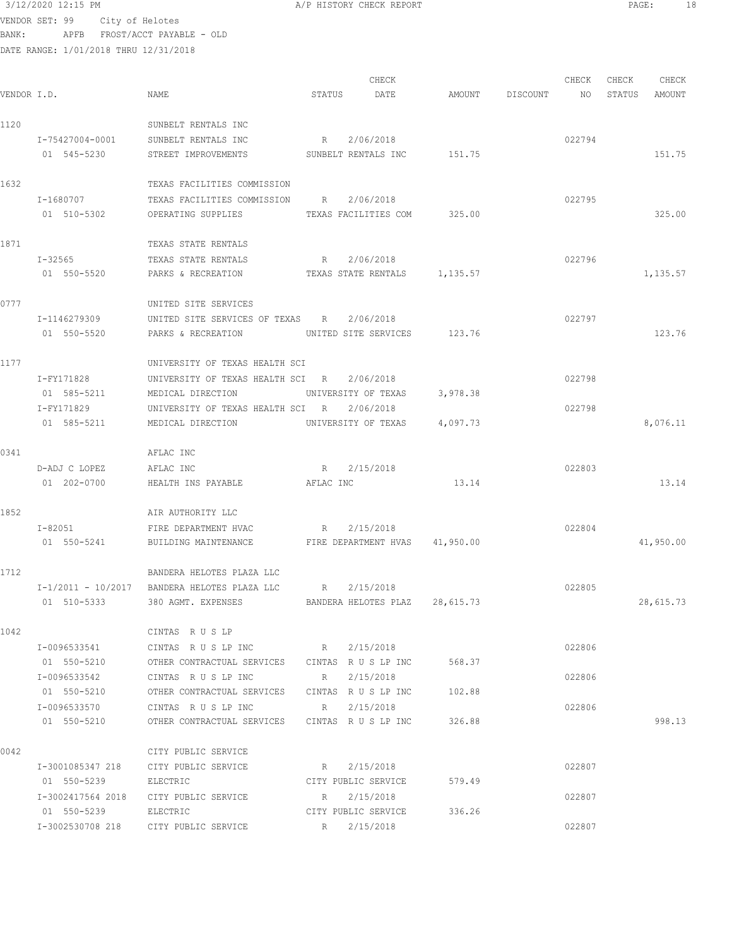# $3/12/2020$  12:15 PM  $A/P$  HISTORY CHECK REPORT  $\blacksquare$  PAGE: 18 VENDOR SET: 99 City of Helotes

BANK: APFB FROST/ACCT PAYABLE - OLD

| AMOUNT DISCOUNT NO<br>VENDOR I.D.<br>NAME<br>STATUS DATE<br>STATUS AMOUNT<br>1120<br>SUNBELT RENTALS INC<br>R 2/06/2018<br>I-75427004-0001<br>SUNBELT RENTALS INC<br>022794<br>STREET IMPROVEMENTS SUNBELT RENTALS INC 151.75<br>01 545-5230<br>151.75<br>1632<br>TEXAS FACILITIES COMMISSION<br>I-1680707<br>TEXAS FACILITIES COMMISSION R 2/06/2018<br>022795<br>OPERATING SUPPLIES TEXAS FACILITIES COM 325.00<br>325.00<br>01 510-5302<br>1871<br>TEXAS STATE RENTALS<br>022796<br>$I - 32565$<br>TEXAS STATE RENTALS<br>R 2/06/2018<br>01 550-5520 PARKS & RECREATION TEXAS STATE RENTALS 1,135.57<br>1,135.57<br>0777<br>UNITED SITE SERVICES<br>I-1146279309<br>UNITED SITE SERVICES OF TEXAS R 2/06/2018<br>022797<br>01 550-5520 PARKS & RECREATION UNITED SITE SERVICES 123.76<br>123.76<br>1177<br>UNIVERSITY OF TEXAS HEALTH SCI<br>I-FY171828<br>UNIVERSITY OF TEXAS HEALTH SCI R 2/06/2018<br>022798<br>01 585-5211<br>UNIVERSITY OF TEXAS 3,978.38<br>MEDICAL DIRECTION<br>I-FY171829<br>2/06/2018<br>022798<br>UNIVERSITY OF TEXAS HEALTH SCI R<br>01 585-5211<br>UNIVERSITY OF TEXAS 4,097.73<br>8,076.11<br>MEDICAL DIRECTION<br>0341<br>AFLAC INC<br>R 2/15/2018<br>D-ADJ C LOPEZ<br>AFLAC INC<br>022803<br>13.14<br>01 202-0700<br>HEALTH INS PAYABLE AFLAC INC<br>13.14<br>1852<br>AIR AUTHORITY LLC<br>$I - 82051$<br>R 2/15/2018<br>022804<br>FIRE DEPARTMENT HVAC<br>BUILDING MAINTENANCE FIRE DEPARTMENT HVAS 41,950.00<br>01 550-5241<br>41,950.00<br>1712<br>BANDERA HELOTES PLAZA LLC<br>I-1/2011 - 10/2017 BANDERA HELOTES PLAZA LLC R<br>2/15/2018<br>022805<br>BANDERA HELOTES PLAZ 28,615.73<br>01 510-5333<br>380 AGMT. EXPENSES<br>28,615.73<br>1042<br>CINTAS RUSLP<br>I-0096533541<br>CINTAS R U S LP INC $R = 2/15/2018$<br>022806<br>01 550-5210<br>OTHER CONTRACTUAL SERVICES CINTAS R U S LP INC<br>568.37<br>I-0096533542<br>CINTAS RUSLPINC<br>2/15/2018<br>022806<br>R<br>OTHER CONTRACTUAL SERVICES CINTAS R U S LP INC 102.88<br>01 550-5210<br>CINTAS RUSLPINC<br>2/15/2018<br>022806<br>I-0096533570<br>R<br>OTHER CONTRACTUAL SERVICES CINTAS R U S LP INC 326.88<br>998.13<br>01 550-5210<br>0042<br>CITY PUBLIC SERVICE<br>022807<br>I-3001085347 218 CITY PUBLIC SERVICE<br>R 2/15/2018<br>CITY PUBLIC SERVICE 579.49<br>01 550-5239<br>ELECTRIC<br>I-3002417564 2018 CITY PUBLIC SERVICE<br>R 2/15/2018<br>022807<br>CITY PUBLIC SERVICE 336.26<br>01 550-5239 ELECTRIC<br>I-3002530708 218 CITY PUBLIC SERVICE<br>R 2/15/2018<br>022807 |  |  | CHECK |  | CHECK | CHECK | CHECK |
|----------------------------------------------------------------------------------------------------------------------------------------------------------------------------------------------------------------------------------------------------------------------------------------------------------------------------------------------------------------------------------------------------------------------------------------------------------------------------------------------------------------------------------------------------------------------------------------------------------------------------------------------------------------------------------------------------------------------------------------------------------------------------------------------------------------------------------------------------------------------------------------------------------------------------------------------------------------------------------------------------------------------------------------------------------------------------------------------------------------------------------------------------------------------------------------------------------------------------------------------------------------------------------------------------------------------------------------------------------------------------------------------------------------------------------------------------------------------------------------------------------------------------------------------------------------------------------------------------------------------------------------------------------------------------------------------------------------------------------------------------------------------------------------------------------------------------------------------------------------------------------------------------------------------------------------------------------------------------------------------------------------------------------------------------------------------------------------------------------------------------------------------------------------------------------------------------------------------------------------------------------------------------------------------------------------------------------------------------------------------------------------------------------------------------------------------------------------------------------------------|--|--|-------|--|-------|-------|-------|
|                                                                                                                                                                                                                                                                                                                                                                                                                                                                                                                                                                                                                                                                                                                                                                                                                                                                                                                                                                                                                                                                                                                                                                                                                                                                                                                                                                                                                                                                                                                                                                                                                                                                                                                                                                                                                                                                                                                                                                                                                                                                                                                                                                                                                                                                                                                                                                                                                                                                                              |  |  |       |  |       |       |       |
|                                                                                                                                                                                                                                                                                                                                                                                                                                                                                                                                                                                                                                                                                                                                                                                                                                                                                                                                                                                                                                                                                                                                                                                                                                                                                                                                                                                                                                                                                                                                                                                                                                                                                                                                                                                                                                                                                                                                                                                                                                                                                                                                                                                                                                                                                                                                                                                                                                                                                              |  |  |       |  |       |       |       |
|                                                                                                                                                                                                                                                                                                                                                                                                                                                                                                                                                                                                                                                                                                                                                                                                                                                                                                                                                                                                                                                                                                                                                                                                                                                                                                                                                                                                                                                                                                                                                                                                                                                                                                                                                                                                                                                                                                                                                                                                                                                                                                                                                                                                                                                                                                                                                                                                                                                                                              |  |  |       |  |       |       |       |
|                                                                                                                                                                                                                                                                                                                                                                                                                                                                                                                                                                                                                                                                                                                                                                                                                                                                                                                                                                                                                                                                                                                                                                                                                                                                                                                                                                                                                                                                                                                                                                                                                                                                                                                                                                                                                                                                                                                                                                                                                                                                                                                                                                                                                                                                                                                                                                                                                                                                                              |  |  |       |  |       |       |       |
|                                                                                                                                                                                                                                                                                                                                                                                                                                                                                                                                                                                                                                                                                                                                                                                                                                                                                                                                                                                                                                                                                                                                                                                                                                                                                                                                                                                                                                                                                                                                                                                                                                                                                                                                                                                                                                                                                                                                                                                                                                                                                                                                                                                                                                                                                                                                                                                                                                                                                              |  |  |       |  |       |       |       |
|                                                                                                                                                                                                                                                                                                                                                                                                                                                                                                                                                                                                                                                                                                                                                                                                                                                                                                                                                                                                                                                                                                                                                                                                                                                                                                                                                                                                                                                                                                                                                                                                                                                                                                                                                                                                                                                                                                                                                                                                                                                                                                                                                                                                                                                                                                                                                                                                                                                                                              |  |  |       |  |       |       |       |
|                                                                                                                                                                                                                                                                                                                                                                                                                                                                                                                                                                                                                                                                                                                                                                                                                                                                                                                                                                                                                                                                                                                                                                                                                                                                                                                                                                                                                                                                                                                                                                                                                                                                                                                                                                                                                                                                                                                                                                                                                                                                                                                                                                                                                                                                                                                                                                                                                                                                                              |  |  |       |  |       |       |       |
|                                                                                                                                                                                                                                                                                                                                                                                                                                                                                                                                                                                                                                                                                                                                                                                                                                                                                                                                                                                                                                                                                                                                                                                                                                                                                                                                                                                                                                                                                                                                                                                                                                                                                                                                                                                                                                                                                                                                                                                                                                                                                                                                                                                                                                                                                                                                                                                                                                                                                              |  |  |       |  |       |       |       |
|                                                                                                                                                                                                                                                                                                                                                                                                                                                                                                                                                                                                                                                                                                                                                                                                                                                                                                                                                                                                                                                                                                                                                                                                                                                                                                                                                                                                                                                                                                                                                                                                                                                                                                                                                                                                                                                                                                                                                                                                                                                                                                                                                                                                                                                                                                                                                                                                                                                                                              |  |  |       |  |       |       |       |
|                                                                                                                                                                                                                                                                                                                                                                                                                                                                                                                                                                                                                                                                                                                                                                                                                                                                                                                                                                                                                                                                                                                                                                                                                                                                                                                                                                                                                                                                                                                                                                                                                                                                                                                                                                                                                                                                                                                                                                                                                                                                                                                                                                                                                                                                                                                                                                                                                                                                                              |  |  |       |  |       |       |       |
|                                                                                                                                                                                                                                                                                                                                                                                                                                                                                                                                                                                                                                                                                                                                                                                                                                                                                                                                                                                                                                                                                                                                                                                                                                                                                                                                                                                                                                                                                                                                                                                                                                                                                                                                                                                                                                                                                                                                                                                                                                                                                                                                                                                                                                                                                                                                                                                                                                                                                              |  |  |       |  |       |       |       |
|                                                                                                                                                                                                                                                                                                                                                                                                                                                                                                                                                                                                                                                                                                                                                                                                                                                                                                                                                                                                                                                                                                                                                                                                                                                                                                                                                                                                                                                                                                                                                                                                                                                                                                                                                                                                                                                                                                                                                                                                                                                                                                                                                                                                                                                                                                                                                                                                                                                                                              |  |  |       |  |       |       |       |
|                                                                                                                                                                                                                                                                                                                                                                                                                                                                                                                                                                                                                                                                                                                                                                                                                                                                                                                                                                                                                                                                                                                                                                                                                                                                                                                                                                                                                                                                                                                                                                                                                                                                                                                                                                                                                                                                                                                                                                                                                                                                                                                                                                                                                                                                                                                                                                                                                                                                                              |  |  |       |  |       |       |       |
|                                                                                                                                                                                                                                                                                                                                                                                                                                                                                                                                                                                                                                                                                                                                                                                                                                                                                                                                                                                                                                                                                                                                                                                                                                                                                                                                                                                                                                                                                                                                                                                                                                                                                                                                                                                                                                                                                                                                                                                                                                                                                                                                                                                                                                                                                                                                                                                                                                                                                              |  |  |       |  |       |       |       |
|                                                                                                                                                                                                                                                                                                                                                                                                                                                                                                                                                                                                                                                                                                                                                                                                                                                                                                                                                                                                                                                                                                                                                                                                                                                                                                                                                                                                                                                                                                                                                                                                                                                                                                                                                                                                                                                                                                                                                                                                                                                                                                                                                                                                                                                                                                                                                                                                                                                                                              |  |  |       |  |       |       |       |
|                                                                                                                                                                                                                                                                                                                                                                                                                                                                                                                                                                                                                                                                                                                                                                                                                                                                                                                                                                                                                                                                                                                                                                                                                                                                                                                                                                                                                                                                                                                                                                                                                                                                                                                                                                                                                                                                                                                                                                                                                                                                                                                                                                                                                                                                                                                                                                                                                                                                                              |  |  |       |  |       |       |       |
|                                                                                                                                                                                                                                                                                                                                                                                                                                                                                                                                                                                                                                                                                                                                                                                                                                                                                                                                                                                                                                                                                                                                                                                                                                                                                                                                                                                                                                                                                                                                                                                                                                                                                                                                                                                                                                                                                                                                                                                                                                                                                                                                                                                                                                                                                                                                                                                                                                                                                              |  |  |       |  |       |       |       |
|                                                                                                                                                                                                                                                                                                                                                                                                                                                                                                                                                                                                                                                                                                                                                                                                                                                                                                                                                                                                                                                                                                                                                                                                                                                                                                                                                                                                                                                                                                                                                                                                                                                                                                                                                                                                                                                                                                                                                                                                                                                                                                                                                                                                                                                                                                                                                                                                                                                                                              |  |  |       |  |       |       |       |
|                                                                                                                                                                                                                                                                                                                                                                                                                                                                                                                                                                                                                                                                                                                                                                                                                                                                                                                                                                                                                                                                                                                                                                                                                                                                                                                                                                                                                                                                                                                                                                                                                                                                                                                                                                                                                                                                                                                                                                                                                                                                                                                                                                                                                                                                                                                                                                                                                                                                                              |  |  |       |  |       |       |       |
|                                                                                                                                                                                                                                                                                                                                                                                                                                                                                                                                                                                                                                                                                                                                                                                                                                                                                                                                                                                                                                                                                                                                                                                                                                                                                                                                                                                                                                                                                                                                                                                                                                                                                                                                                                                                                                                                                                                                                                                                                                                                                                                                                                                                                                                                                                                                                                                                                                                                                              |  |  |       |  |       |       |       |
|                                                                                                                                                                                                                                                                                                                                                                                                                                                                                                                                                                                                                                                                                                                                                                                                                                                                                                                                                                                                                                                                                                                                                                                                                                                                                                                                                                                                                                                                                                                                                                                                                                                                                                                                                                                                                                                                                                                                                                                                                                                                                                                                                                                                                                                                                                                                                                                                                                                                                              |  |  |       |  |       |       |       |
|                                                                                                                                                                                                                                                                                                                                                                                                                                                                                                                                                                                                                                                                                                                                                                                                                                                                                                                                                                                                                                                                                                                                                                                                                                                                                                                                                                                                                                                                                                                                                                                                                                                                                                                                                                                                                                                                                                                                                                                                                                                                                                                                                                                                                                                                                                                                                                                                                                                                                              |  |  |       |  |       |       |       |
|                                                                                                                                                                                                                                                                                                                                                                                                                                                                                                                                                                                                                                                                                                                                                                                                                                                                                                                                                                                                                                                                                                                                                                                                                                                                                                                                                                                                                                                                                                                                                                                                                                                                                                                                                                                                                                                                                                                                                                                                                                                                                                                                                                                                                                                                                                                                                                                                                                                                                              |  |  |       |  |       |       |       |
|                                                                                                                                                                                                                                                                                                                                                                                                                                                                                                                                                                                                                                                                                                                                                                                                                                                                                                                                                                                                                                                                                                                                                                                                                                                                                                                                                                                                                                                                                                                                                                                                                                                                                                                                                                                                                                                                                                                                                                                                                                                                                                                                                                                                                                                                                                                                                                                                                                                                                              |  |  |       |  |       |       |       |
|                                                                                                                                                                                                                                                                                                                                                                                                                                                                                                                                                                                                                                                                                                                                                                                                                                                                                                                                                                                                                                                                                                                                                                                                                                                                                                                                                                                                                                                                                                                                                                                                                                                                                                                                                                                                                                                                                                                                                                                                                                                                                                                                                                                                                                                                                                                                                                                                                                                                                              |  |  |       |  |       |       |       |
|                                                                                                                                                                                                                                                                                                                                                                                                                                                                                                                                                                                                                                                                                                                                                                                                                                                                                                                                                                                                                                                                                                                                                                                                                                                                                                                                                                                                                                                                                                                                                                                                                                                                                                                                                                                                                                                                                                                                                                                                                                                                                                                                                                                                                                                                                                                                                                                                                                                                                              |  |  |       |  |       |       |       |
|                                                                                                                                                                                                                                                                                                                                                                                                                                                                                                                                                                                                                                                                                                                                                                                                                                                                                                                                                                                                                                                                                                                                                                                                                                                                                                                                                                                                                                                                                                                                                                                                                                                                                                                                                                                                                                                                                                                                                                                                                                                                                                                                                                                                                                                                                                                                                                                                                                                                                              |  |  |       |  |       |       |       |
|                                                                                                                                                                                                                                                                                                                                                                                                                                                                                                                                                                                                                                                                                                                                                                                                                                                                                                                                                                                                                                                                                                                                                                                                                                                                                                                                                                                                                                                                                                                                                                                                                                                                                                                                                                                                                                                                                                                                                                                                                                                                                                                                                                                                                                                                                                                                                                                                                                                                                              |  |  |       |  |       |       |       |
|                                                                                                                                                                                                                                                                                                                                                                                                                                                                                                                                                                                                                                                                                                                                                                                                                                                                                                                                                                                                                                                                                                                                                                                                                                                                                                                                                                                                                                                                                                                                                                                                                                                                                                                                                                                                                                                                                                                                                                                                                                                                                                                                                                                                                                                                                                                                                                                                                                                                                              |  |  |       |  |       |       |       |
|                                                                                                                                                                                                                                                                                                                                                                                                                                                                                                                                                                                                                                                                                                                                                                                                                                                                                                                                                                                                                                                                                                                                                                                                                                                                                                                                                                                                                                                                                                                                                                                                                                                                                                                                                                                                                                                                                                                                                                                                                                                                                                                                                                                                                                                                                                                                                                                                                                                                                              |  |  |       |  |       |       |       |
|                                                                                                                                                                                                                                                                                                                                                                                                                                                                                                                                                                                                                                                                                                                                                                                                                                                                                                                                                                                                                                                                                                                                                                                                                                                                                                                                                                                                                                                                                                                                                                                                                                                                                                                                                                                                                                                                                                                                                                                                                                                                                                                                                                                                                                                                                                                                                                                                                                                                                              |  |  |       |  |       |       |       |
|                                                                                                                                                                                                                                                                                                                                                                                                                                                                                                                                                                                                                                                                                                                                                                                                                                                                                                                                                                                                                                                                                                                                                                                                                                                                                                                                                                                                                                                                                                                                                                                                                                                                                                                                                                                                                                                                                                                                                                                                                                                                                                                                                                                                                                                                                                                                                                                                                                                                                              |  |  |       |  |       |       |       |
|                                                                                                                                                                                                                                                                                                                                                                                                                                                                                                                                                                                                                                                                                                                                                                                                                                                                                                                                                                                                                                                                                                                                                                                                                                                                                                                                                                                                                                                                                                                                                                                                                                                                                                                                                                                                                                                                                                                                                                                                                                                                                                                                                                                                                                                                                                                                                                                                                                                                                              |  |  |       |  |       |       |       |
|                                                                                                                                                                                                                                                                                                                                                                                                                                                                                                                                                                                                                                                                                                                                                                                                                                                                                                                                                                                                                                                                                                                                                                                                                                                                                                                                                                                                                                                                                                                                                                                                                                                                                                                                                                                                                                                                                                                                                                                                                                                                                                                                                                                                                                                                                                                                                                                                                                                                                              |  |  |       |  |       |       |       |
|                                                                                                                                                                                                                                                                                                                                                                                                                                                                                                                                                                                                                                                                                                                                                                                                                                                                                                                                                                                                                                                                                                                                                                                                                                                                                                                                                                                                                                                                                                                                                                                                                                                                                                                                                                                                                                                                                                                                                                                                                                                                                                                                                                                                                                                                                                                                                                                                                                                                                              |  |  |       |  |       |       |       |
|                                                                                                                                                                                                                                                                                                                                                                                                                                                                                                                                                                                                                                                                                                                                                                                                                                                                                                                                                                                                                                                                                                                                                                                                                                                                                                                                                                                                                                                                                                                                                                                                                                                                                                                                                                                                                                                                                                                                                                                                                                                                                                                                                                                                                                                                                                                                                                                                                                                                                              |  |  |       |  |       |       |       |
|                                                                                                                                                                                                                                                                                                                                                                                                                                                                                                                                                                                                                                                                                                                                                                                                                                                                                                                                                                                                                                                                                                                                                                                                                                                                                                                                                                                                                                                                                                                                                                                                                                                                                                                                                                                                                                                                                                                                                                                                                                                                                                                                                                                                                                                                                                                                                                                                                                                                                              |  |  |       |  |       |       |       |
|                                                                                                                                                                                                                                                                                                                                                                                                                                                                                                                                                                                                                                                                                                                                                                                                                                                                                                                                                                                                                                                                                                                                                                                                                                                                                                                                                                                                                                                                                                                                                                                                                                                                                                                                                                                                                                                                                                                                                                                                                                                                                                                                                                                                                                                                                                                                                                                                                                                                                              |  |  |       |  |       |       |       |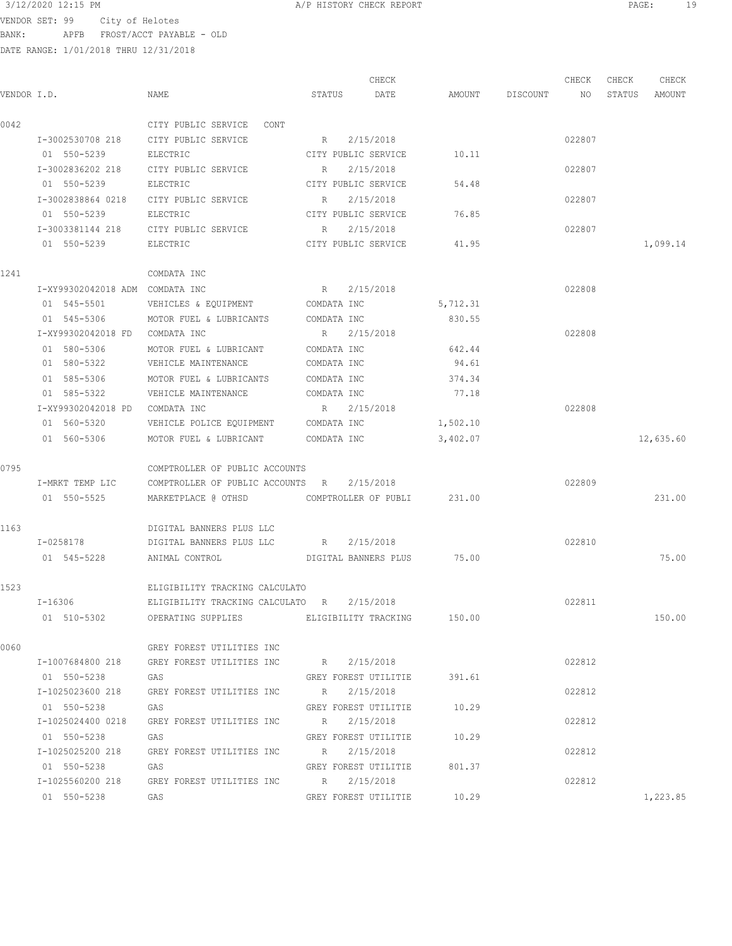VENDOR SET: 99 City of Helotes BANK: APFB FROST/ACCT PAYABLE - OLD

DATE RANGE: 1/01/2018 THRU 12/31/2018

 CHECK CHECK CHECK CHECK .<br>In the other weakstates when the status of the contract of the extendio of the Status amount of the Mount of t<br>In the Status of the Status of the Status amount of the Status amount of the Status amount of the Status amou 0042 CITY PUBLIC SERVICE CONT I-3002530708 218 CITY PUBLIC SERVICE R 2/15/2018 022807 01 550-5239 BLECTRIC CITY PUBLIC SERVICE 10.11 I-3002836202 218 CITY PUBLIC SERVICE R 2/15/2018 022807 01 550-5239 ELECTRIC CITY PUBLIC SERVICE 54.48 I-3002838864 0218 CITY PUBLIC SERVICE R 2/15/2018 022807 01 550-5239 ELECTRIC CITY PUBLIC SERVICE 76.85 I-3003381144 218 CITY PUBLIC SERVICE R 2/15/2018 022807 01 550-5239 BLECTRIC CITY PUBLIC SERVICE 41.95 1,099.14 1241 COMDATA INC I-XY99302042018 ADM COMDATA INC R 2/15/2018 022808 01 545-5501 VEHICLES & EQUIPMENT COMDATA INC 5,712.31 01 545-5306 MOTOR FUEL & LUBRICANTS COMDATA INC 830.55 I-XY99302042018 FD COMDATA INC R 2/15/2018 022808 01 580-5306 MOTOR FUEL & LUBRICANT COMDATA INC 642.44 01 580-5322 VEHICLE MAINTENANCE COMDATA INC 94.61 01 585-5306 MOTOR FUEL & LUBRICANTS COMDATA INC 374.34 01 585-5322 VEHICLE MAINTENANCE COMDATA INC 77.18 I-XY99302042018 PD COMDATA INC R 2/15/2018 022808 01 560-5320 VEHICLE POLICE EQUIPMENT COMDATA INC 1,502.10 01 560-5306 MOTOR FUEL & LUBRICANT COMDATA INC 3,402.07 12,635.60 0795 COMPTROLLER OF PUBLIC ACCOUNTS I-MRKT TEMP LIC COMPTROLLER OF PUBLIC ACCOUNTS R 2/15/2018 022809 01 550-5525 MARKETPLACE @ OTHSD COMPTROLLER OF PUBLI 231.00 231.00 1163 DIGITAL BANNERS PLUS LLC I-0258178 DIGITAL BANNERS PLUS LLC R 2/15/2018 022810 01 545-5228 ANIMAL CONTROL DIGITAL BANNERS PLUS 75.00 75.00 1523 ELIGIBILITY TRACKING CALCULATO I-16306 ELIGIBILITY TRACKING CALCULATO R 2/15/2018 022811 01 510-5302 OPERATING SUPPLIES ELIGIBILITY TRACKING 150.00 150.00 0060 GREY FOREST UTILITIES INC I-1007684800 218 GREY FOREST UTILITIES INC R 2/15/2018 022812 01 550-5238 GAS GAS GREY FOREST UTILITIE 391.61 I-1025023600 218 GREY FOREST UTILITIES INC R 2/15/2018 022812 01 550-5238 GAS GREY FOREST UTILITIE 10.29 I-1025024400 0218 GREY FOREST UTILITIES INC R 2/15/2018 022812 01 550-5238 GAS GREY FOREST UTILITIE 10.29 I-1025025200 218 GREY FOREST UTILITIES INC R 2/15/2018 022812 01 550-5238 GAS GAS GREY FOREST UTILITIE 801.37 I-1025560200 218 GREY FOREST UTILITIES INC R 2/15/2018 022812 01 550-5238 GAS GAS GREY FOREST UTILITIE 10.29 1,223.85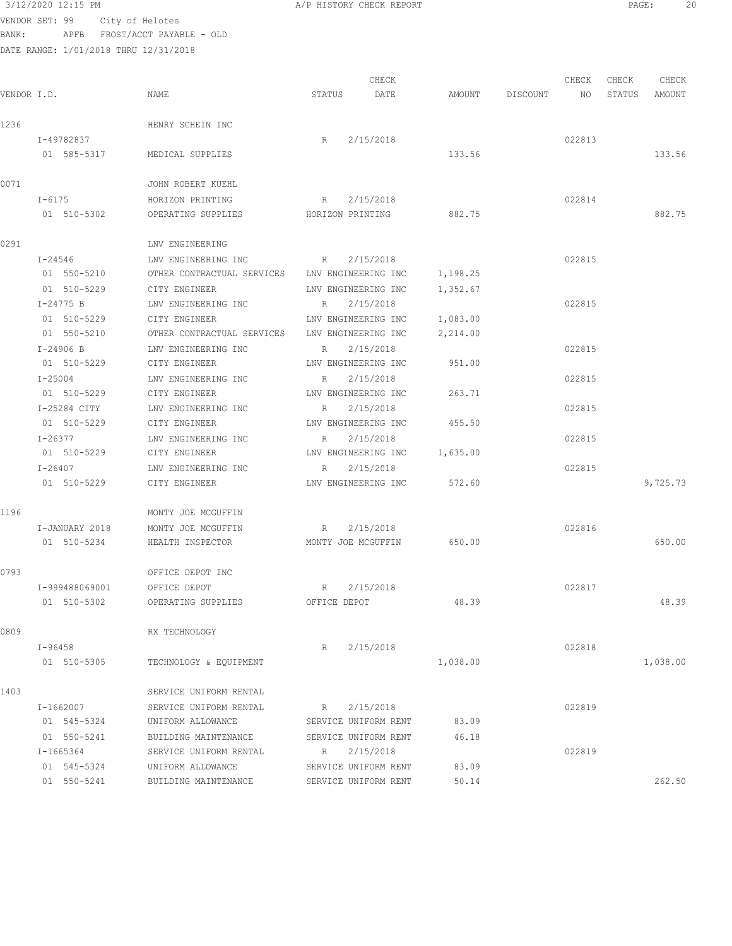VENDOR SET: 99 City of Helotes BANK: APFB FROST/ACCT PAYABLE - OLD

DATE RANGE: 1/01/2018 THRU 12/31/2018

CHECK CHECK CHECK CHECK VENDOR I.D. NAME STATUS DATE AMOUNT DISCOUNT NO STATUS AMOUNT 1236 HENRY SCHEIN INC I-49782837 R 2/15/2018 022813 01 585-5317 MEDICAL SUPPLIES 133.56 133.56 0071 JOHN ROBERT KUEHL I-6175 HORIZON PRINTING R 2/15/2018 022814 01 510-5302 OPERATING SUPPLIES HORIZON PRINTING 882.75 882.75 0291 LNV ENGINEERING I-24546 LNV ENGINEERING INC R 2/15/2018 022815 01 550-5210 OTHER CONTRACTUAL SERVICES LNV ENGINEERING INC 1,198.25 01 510-5229 CITY ENGINEER LNV ENGINEERING INC 1,352.67 I-24775 B LNV ENGINEERING INC R 2/15/2018 022815 01 510-5229 CITY ENGINEER LNV ENGINEERING INC 1,083.00<br>01 550-5210 OTHER CONTRACTUAL SERVICES LNV ENGINEERING INC 2,214.00 OTHER CONTRACTUAL SERVICES LNV ENGINEERING INC 2,214.00 I-24906 B LNV ENGINEERING INC R 2/15/2018 022815 01 510-5229 CITY ENGINEER LNV ENGINEERING INC 951.00 I-25004 LNV ENGINEERING INC R 2/15/2018 022815 01 510-5229 CITY ENGINEER LNV ENGINEERING INC 263.71 I-25284 CITY LNV ENGINEERING INC R 2/15/2018 022815 01 510-5229 CITY ENGINEER LNV ENGINEERING INC 455.50 I-26377 LNV ENGINEERING INC R 2/15/2018 022815 01 510-5229 CITY ENGINEER LNV ENGINEERING INC 1,635.00 I-26407 LNV ENGINEERING INC R 2/15/2018 022815 01 510-5229 CITY ENGINEER LNV ENGINEERING INC 572.60 572.60 9,725.73 1196 MONTY JOE MCGUFFIN I-JANUARY 2018 MONTY JOE MCGUFFIN R 2/15/2018 022816 01 510-5234 HEALTH INSPECTOR MONTY JOE MCGUFFIN 650.00 650.00 0793 OFFICE DEPOT INC I-999488069001 OFFICE DEPOT R 2/15/2018 022817 01 510-5302 OPERATING SUPPLIES OFFICE DEPOT 48.39 48.39 0809 RX TECHNOLOGY I-96458 R 2/15/2018 022818 01 510-5305 TECHNOLOGY & EQUIPMENT 1,038.00 1,038.00 1,038.00 1403 SERVICE UNIFORM RENTAL I-1662007 SERVICE UNIFORM RENTAL R 2/15/2018 022819 01 545-5324 UNIFORM ALLOWANCE SERVICE UNIFORM RENT 83.09 01 550-5241 BUILDING MAINTENANCE SERVICE UNIFORM RENT 46.18 I-1665364 SERVICE UNIFORM RENTAL R 2/15/2018 022819 01 545-5324 UNIFORM ALLOWANCE SERVICE UNIFORM RENT 83.09 01 550-5241 BUILDING MAINTENANCE SERVICE UNIFORM RENT 50.14 262.50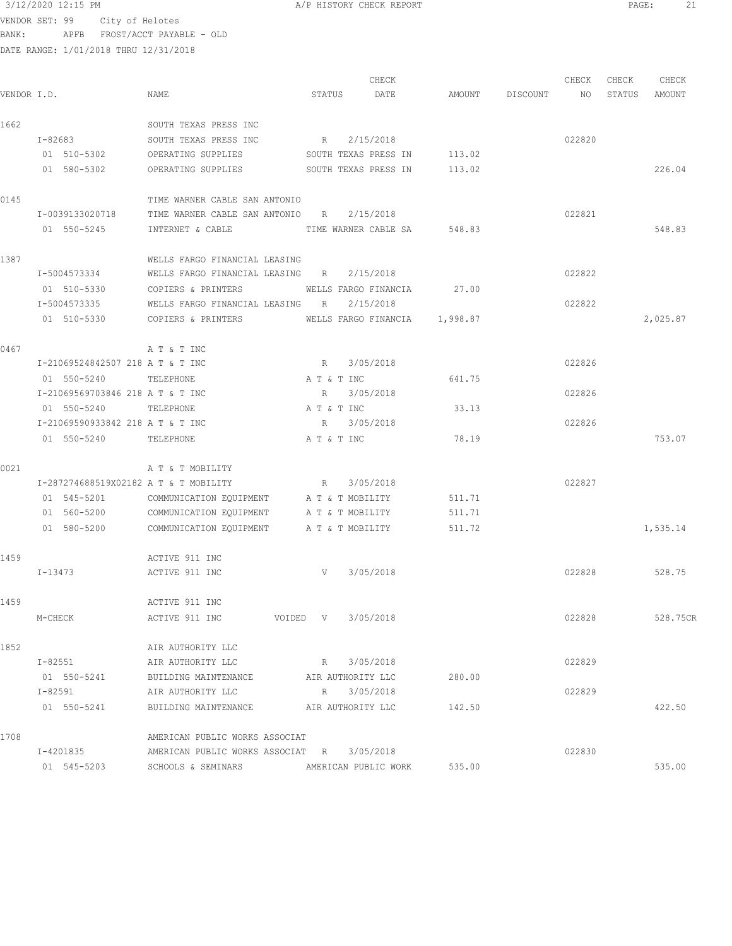VENDOR SET: 99 City of Helotes BANK: APFB FROST/ACCT PAYABLE - OLD

DATE RANGE: 1/01/2018 THRU 12/31/2018

CHECK CHECK CHECK CHECK .<br>In the other weakstates when the status of the contract of the extendio of the Status amount of the Mount of t<br>In the Status of the Status of the Status amount of the Status amount of the Status amount of the Status amou 1662 SOUTH TEXAS PRESS INC I-82683 SOUTH TEXAS PRESS INC R 2/15/2018 022820 01 510-5302 OPERATING SUPPLIES SOUTH TEXAS PRESS IN 113.02 01 580-5302 OPERATING SUPPLIES SOUTH TEXAS PRESS IN 113.02 226.04 0145 TIME WARNER CABLE SAN ANTONIO I-0039133020718 TIME WARNER CABLE SAN ANTONIO R 2/15/2018 022821 01 550-5245 INTERNET & CABLE TIME WARNER CABLE SA 548.83 548.83 1387 WELLS FARGO FINANCIAL LEASING I-5004573334 WELLS FARGO FINANCIAL LEASING R 2/15/2018 022822 01 510-5330 COPIERS & PRINTERS WELLS FARGO FINANCIA 27.00 I-5004573335 WELLS FARGO FINANCIAL LEASING R 2/15/2018 022822 01 510-5330 COPIERS & PRINTERS WELLS FARGO FINANCIA 1,998.87 2,025.87 0467 **A T & T INC**  I-21069524842507 218 A T & T INC R 3/05/2018 022826 01 550-5240 TELEPHONE A T & T INC 641.75 I-21069569703846 218 A T & T INC R 3/05/2018 022826 01 550-5240 TELEPHONE A T & T INC 33.13 I-21069590933842 218 A T & T INC R 3/05/2018 022826 01 550-5240 TELEPHONE A T & T INC 78.19 753.07 0021 A T & T MOBILITY I-287274688519X02182 A T & T MOBILITY R 3/05/2018 022827 01 545-5201 COMMUNICATION EQUIPMENT A T & T MOBILITY 511.71 01 560-5200 COMMUNICATION EQUIPMENT A T & T MOBILITY 511.71 01 580-5200 COMMUNICATION EQUIPMENT A T & T MOBILITY 511.72 1,535.14 1459 ACTIVE 911 INC I-13473 ACTIVE 911 INC V 3/05/2018 022828 528.75 1459 ACTIVE 911 INC M-CHECK ACTIVE 911 INC VOIDED V 3/05/2018 022828 528.75CR 1852 **1852** AIR AUTHORITY LLC<br>I-82551 **AIR AUTHORITY LLC**  I-82551 AIR AUTHORITY LLC R 3/05/2018 022829 01 550-5241 BUILDING MAINTENANCE AIR AUTHORITY LLC 280.00 I-82591 AIR AUTHORITY LLC R 3/05/2018 022829 01 550-5241 BUILDING MAINTENANCE AIR AUTHORITY LLC 142.50 422.50 422.50 1708 **AMERICAN PUBLIC WORKS ASSOCIAT**  I-4201835 AMERICAN PUBLIC WORKS ASSOCIAT R 3/05/2018 022830 01 545-5203 SCHOOLS & SEMINARS AMERICAN PUBLIC WORK 535.00 535.00 535.00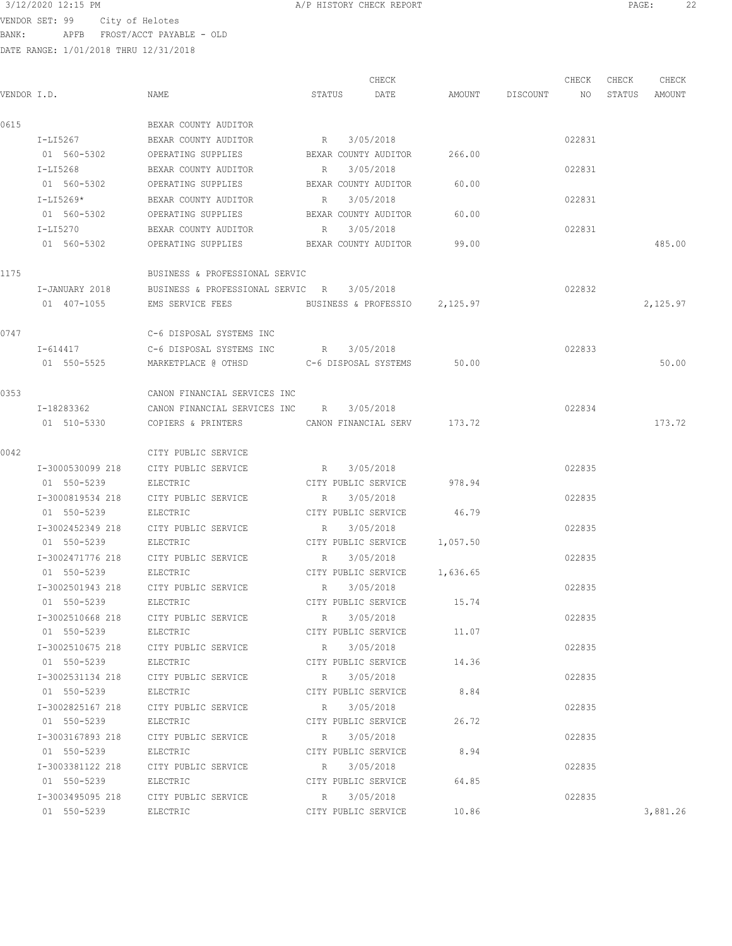$3/12/2020$  12:15 PM  $A/P$  HISTORY CHECK REPORT  $22$ <br>VENDOR SET 99  $A$  and  $A$  and  $A$  and  $B$  and  $B$  and  $B$  and  $B$  and  $B$  and  $B$  and  $B$  and  $B$  and  $B$  and  $B$  and  $B$  and  $B$  and  $B$  and  $B$  and  $B$  and  $B$  and  $B$ VENDOR SET: 99 City of Helotes

BANK: APFB FROST/ACCT PAYABLE - OLD

|             |                      |                                                  |             |             | CHECK                              |                              |                    | CHECK  | CHECK  | CHECK    |
|-------------|----------------------|--------------------------------------------------|-------------|-------------|------------------------------------|------------------------------|--------------------|--------|--------|----------|
| VENDOR I.D. |                      | NAME                                             | STATUS      |             | DATE                               |                              | AMOUNT DISCOUNT NO |        | STATUS | AMOUNT   |
| 0615        |                      | BEXAR COUNTY AUDITOR                             |             |             |                                    |                              |                    |        |        |          |
|             | I-LI5267             | BEXAR COUNTY AUDITOR                             | R           |             | 3/05/2018                          |                              |                    | 022831 |        |          |
|             | 01 560-5302          | OPERATING SUPPLIES                               |             |             | BEXAR COUNTY AUDITOR               | 266.00                       |                    |        |        |          |
|             | I-LI5268             | BEXAR COUNTY AUDITOR                             | R           |             | 3/05/2018                          |                              |                    | 022831 |        |          |
|             | 01 560-5302          | OPERATING SUPPLIES                               |             |             | BEXAR COUNTY AUDITOR               | 60.00                        |                    |        |        |          |
|             | I-LI5269*            | BEXAR COUNTY AUDITOR                             | $R_{\rm c}$ |             | 3/05/2018                          |                              |                    | 022831 |        |          |
|             | 01 560-5302          | OPERATING SUPPLIES                               |             |             | BEXAR COUNTY AUDITOR               | 60.00                        |                    |        |        |          |
|             | $T - T T 5270$       | BEXAR COUNTY AUDITOR                             | R           |             | 3/05/2018                          |                              |                    | 022831 |        |          |
|             | 01 560-5302          | OPERATING SUPPLIES BEXAR COUNTY AUDITOR          |             |             |                                    | 99.00                        |                    |        |        | 485.00   |
| 1175        |                      | BUSINESS & PROFESSIONAL SERVIC                   |             |             |                                    |                              |                    |        |        |          |
|             | I-JANUARY 2018       | BUSINESS & PROFESSIONAL SERVIC R 3/05/2018       |             |             |                                    |                              |                    | 022832 |        |          |
|             | 01 407-1055          | EMS SERVICE FEES BUSINESS & PROFESSIO 2,125.97   |             |             |                                    |                              |                    |        |        | 2,125.97 |
| 0747        |                      | C-6 DISPOSAL SYSTEMS INC                         |             |             |                                    |                              |                    |        |        |          |
|             | I-614417             | C-6 DISPOSAL SYSTEMS INC R 3/05/2018             |             |             |                                    |                              |                    | 022833 |        |          |
|             | 01 550-5525          | MARKETPLACE @ OTHSD                              |             |             | C-6 DISPOSAL SYSTEMS               | 50.00                        |                    |        |        | 50.00    |
|             |                      |                                                  |             |             |                                    |                              |                    |        |        |          |
| 0353        |                      | CANON FINANCIAL SERVICES INC                     |             |             |                                    |                              |                    |        |        |          |
|             | I-18283362           | CANON FINANCIAL SERVICES INC R                   |             |             | 3/05/2018                          |                              |                    | 022834 |        |          |
|             | 01 510-5330          | COPIERS & PRINTERS                               |             |             |                                    | CANON FINANCIAL SERV 173.72  |                    |        |        | 173.72   |
| 0042        |                      | CITY PUBLIC SERVICE                              |             |             |                                    |                              |                    |        |        |          |
|             | I-3000530099 218     | CITY PUBLIC SERVICE                              | R           |             | 3/05/2018                          |                              |                    | 022835 |        |          |
|             | 01 550-5239          | ELECTRIC                                         |             |             | CITY PUBLIC SERVICE                | 978.94                       |                    |        |        |          |
|             | I-3000819534 218     | CITY PUBLIC SERVICE                              | $R_{\rm c}$ |             | 3/05/2018                          |                              |                    | 022835 |        |          |
|             | 01 550-5239          | ELECTRIC                                         |             |             | CITY PUBLIC SERVICE                | 46.79                        |                    |        |        |          |
|             | I-3002452349 218     | CITY PUBLIC SERVICE                              | $R_{\rm c}$ |             | 3/05/2018                          |                              |                    | 022835 |        |          |
|             | 01 550-5239          | ELECTRIC                                         |             |             |                                    | CITY PUBLIC SERVICE 1,057.50 |                    |        |        |          |
|             | I-3002471776 218     | CITY PUBLIC SERVICE                              | R           |             | 3/05/2018                          |                              |                    | 022835 |        |          |
|             | 01 550-5239          | ELECTRIC                                         |             |             |                                    | CITY PUBLIC SERVICE 1,636.65 |                    |        |        |          |
|             | I-3002501943 218     | CITY PUBLIC SERVICE                              |             | R 3/05/2018 |                                    |                              |                    | 022835 |        |          |
|             | 01 550-5239          | ELECTRIC                                         |             |             |                                    | CITY PUBLIC SERVICE 15.74    |                    |        |        |          |
|             |                      | I-3002510668 218 CITY PUBLIC SERVICE             |             | R 3/05/2018 |                                    |                              |                    | 022835 |        |          |
|             | 01 550-5239 ELECTRIC |                                                  |             |             | CITY PUBLIC SERVICE                | 11.07                        |                    |        |        |          |
|             | I-3002510675 218     | CITY PUBLIC SERVICE                              | R           |             | 3/05/2018                          |                              |                    | 022835 |        |          |
|             | 01 550-5239          | ELECTRIC                                         |             |             | CITY PUBLIC SERVICE                | 14.36                        |                    |        |        |          |
|             | I-3002531134 218     | CITY PUBLIC SERVICE                              |             | R 3/05/2018 |                                    |                              |                    | 022835 |        |          |
|             | 01 550-5239          | ELECTRIC                                         |             |             | CITY PUBLIC SERVICE                | 8.84                         |                    |        |        |          |
|             | 01 550-5239          | I-3002825167 218 CITY PUBLIC SERVICE<br>ELECTRIC |             |             | R 3/05/2018<br>CITY PUBLIC SERVICE | 26.72                        |                    | 022835 |        |          |
|             |                      | I-3003167893 218 CITY PUBLIC SERVICE             |             |             | R 3/05/2018                        |                              |                    | 022835 |        |          |
|             | 01 550-5239          | ELECTRIC                                         |             |             |                                    | CITY PUBLIC SERVICE 8.94     |                    |        |        |          |
|             |                      | I-3003381122 218 CITY PUBLIC SERVICE R 3/05/2018 |             |             |                                    |                              |                    | 022835 |        |          |
|             | 01 550-5239          | ELECTRIC                                         |             |             | CITY PUBLIC SERVICE                | 64.85                        |                    |        |        |          |
|             |                      | I-3003495095 218 CITY PUBLIC SERVICE             |             | R 3/05/2018 |                                    |                              |                    | 022835 |        |          |
|             | 01 550-5239          | ELECTRIC                                         |             |             | CITY PUBLIC SERVICE                | 10.86                        |                    |        |        | 3,881.26 |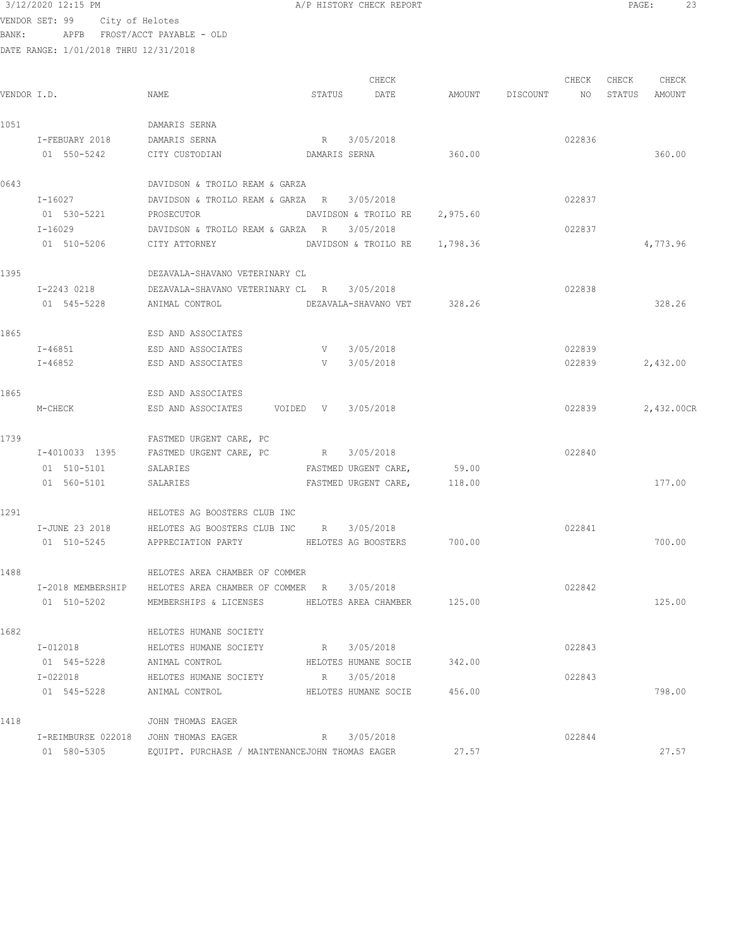VENDOR SET: 99 City of Helotes BANK: APFB FROST/ACCT PAYABLE - OLD

DATE RANGE: 1/01/2018 THRU 12/31/2018 CHECK CHECK CHECK CHECK .<br>In the other weakstates when the status of the contract of the extendio of the Status amount of the Mount of t<br>In the Status of the Status of the Status amount of the Status amount of the Status amount of the Status amou 1051 DAMARIS SERNA I-FEBUARY 2018 DAMARIS SERNA R 3/05/2018 R 305/2018 022836 01 550-5242 CITY CUSTODIAN DAMARIS SERNA 360.00 0643 DAVIDSON & TROILO REAM & GARZA I-16027 DAVIDSON & TROILO REAM & GARZA R 3/05/2018 022837 PROSECUTOR DAVIDSON & TROILO RE 2,975.60 I-16029 DAVIDSON & TROILO REAM & GARZA R 3/05/2018 022837 01 510-5206 CITY ATTORNEY DAVIDSON & TROILO RE 1,798.36 4,773.96 1395 DEZAVALA-SHAVANO VETERINARY CL I-2243 0218 DEZAVALA-SHAVANO VETERINARY CL R 3/05/2018 022838 01 545-5228 ANIMAL CONTROL DEZAVALA-SHAVANO VET 328.26 328.26 1865 ESD AND ASSOCIATES I-46851 ESD AND ASSOCIATES V 3/05/2018 022839 I-46852 ESD AND ASSOCIATES V 3/05/2018 022839 2,432.00 1865 ESD AND ASSOCIATES M-CHECK ESD AND ASSOCIATES VOIDED V 3/05/2018 022839 2,432.00CR 1739 **FASTMED URGENT CARE, PC**  I-4010033 1395 FASTMED URGENT CARE, PC R 3/05/2018 022840 01 510-5101 SALARIES FASTMED URGENT CARE, 59.00 01 560-5101 SALARIES FASTMED URGENT CARE, 118.00 177.00 1291 HELOTES AG BOOSTERS CLUB INC I-JUNE 23 2018 HELOTES AG BOOSTERS CLUB INC R 3/05/2018 022841 01 510-5245 APPRECIATION PARTY HELOTES AG BOOSTERS 700.00 700.00 1488 HELOTES AREA CHAMBER OF COMMER I-2018 MEMBERSHIP HELOTES AREA CHAMBER OF COMMER R 3/05/2018 022842 01 510-5202 MEMBERSHIPS & LICENSES HELOTES AREA CHAMBER 125.00 125.00 125.00

1682 HELOTES HUMANE SOCIETY I-012018 HELOTES HUMANE SOCIETY R 3/05/2018 022843 ANIMAL CONTROL **HELOTES HUMANE SOCIE** 342.00 I-022018 HELOTES HUMANE SOCIETY R 3/05/2018 022843 01 545-5228 ANIMAL CONTROL BELOTES HUMANE SOCIE 456.00 1418 JOHN THOMAS EAGER I-REIMBURSE 022018 JOHN THOMAS EAGER R 3/05/2018 01 580-5305 EQUIPT. PURCHASE / MAINTENANCEJOHN THOMAS EAGER 27.57 27.57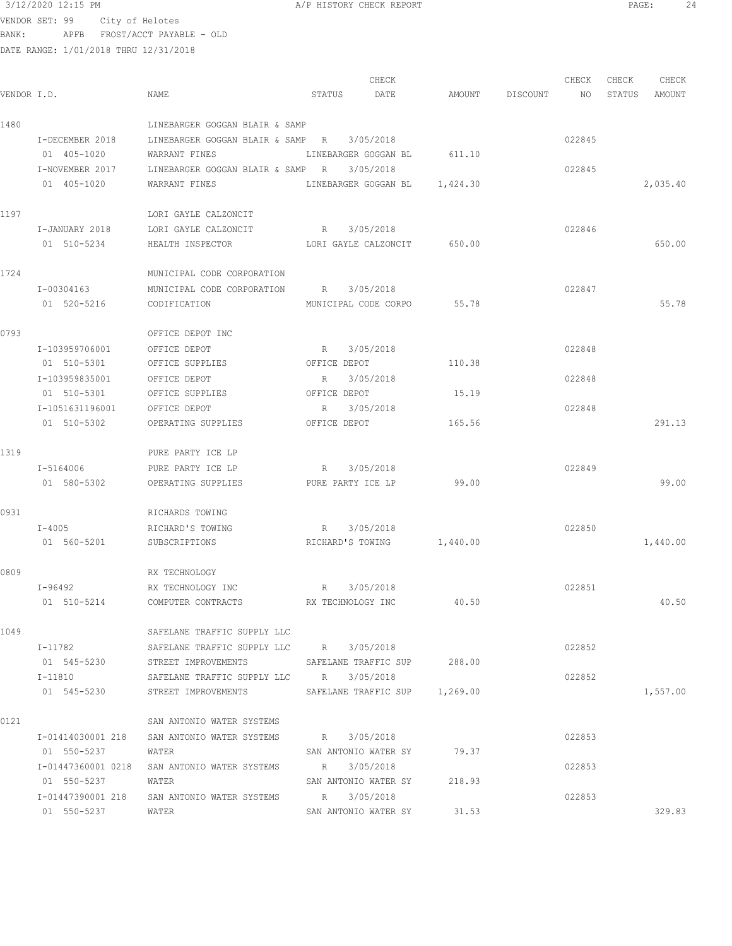VENDOR SET: 99 City of Helotes

BANK: APFB FROST/ACCT PAYABLE - OLD

| 3/12/2020 12:15 PM<br>the contract of the contract of the contract of the contract of the contract of the contract of the contract of | A/P HISTORY CHECK REPORT | PAGE |  |
|---------------------------------------------------------------------------------------------------------------------------------------|--------------------------|------|--|
|                                                                                                                                       |                          |      |  |

|             |                              |                                                          |              | CHECK                       |        |                    | CHECK  | CHECK  | CHECK    |
|-------------|------------------------------|----------------------------------------------------------|--------------|-----------------------------|--------|--------------------|--------|--------|----------|
| VENDOR I.D. |                              | NAME                                                     | STATUS DATE  |                             |        | AMOUNT DISCOUNT NO |        | STATUS | AMOUNT   |
| 1480        |                              | LINEBARGER GOGGAN BLAIR & SAMP                           |              |                             |        |                    |        |        |          |
|             | I-DECEMBER 2018              | LINEBARGER GOGGAN BLAIR & SAMP R                         |              | 3/05/2018                   |        |                    | 022845 |        |          |
|             | 01 405-1020                  | WARRANT FINES                                            |              | LINEBARGER GOGGAN BL 611.10 |        |                    |        |        |          |
|             | I-NOVEMBER 2017              | LINEBARGER GOGGAN BLAIR & SAMP R 3/05/2018               |              |                             |        |                    | 022845 |        |          |
|             | 01 405-1020                  | WARRANT FINES LINEBARGER GOGGAN BL 1,424.30              |              |                             |        |                    |        |        | 2,035.40 |
| 1197        |                              | LORI GAYLE CALZONCIT                                     |              |                             |        |                    |        |        |          |
|             | I-JANUARY 2018               | LORI GAYLE CALZONCIT R 3/05/2018                         |              |                             |        |                    | 022846 |        |          |
|             | 01 510-5234                  | HEALTH INSPECTOR TO LORI GAYLE CALZONCIT 650.00          |              |                             |        |                    |        |        | 650.00   |
| 1724        |                              | MUNICIPAL CODE CORPORATION                               |              |                             |        |                    |        |        |          |
|             | I-00304163                   | MUNICIPAL CODE CORPORATION R 3/05/2018                   |              |                             |        |                    | 022847 |        |          |
|             | 01 520-5216                  | CODIFICATION                                             |              | MUNICIPAL CODE CORPO 55.78  |        |                    |        |        | 55.78    |
| 0793        |                              | OFFICE DEPOT INC                                         |              |                             |        |                    |        |        |          |
|             | I-103959706001               | OFFICE DEPOT                                             | R 3/05/2018  |                             |        |                    | 022848 |        |          |
|             | 01 510-5301                  | OFFICE SUPPLIES                                          | OFFICE DEPOT |                             | 110.38 |                    |        |        |          |
|             | I-103959835001               | OFFICE DEPOT                                             | R            | 3/05/2018                   |        |                    | 022848 |        |          |
|             | 01 510-5301                  | OFFICE SUPPLIES                                          | OFFICE DEPOT |                             | 15.19  |                    |        |        |          |
|             | I-1051631196001 OFFICE DEPOT |                                                          | R            | 3/05/2018                   |        |                    | 022848 |        |          |
|             | 01 510-5302                  | OPERATING SUPPLIES                                       | OFFICE DEPOT |                             | 165.56 |                    |        |        | 291.13   |
| 1319        |                              | PURE PARTY ICE LP                                        |              |                             |        |                    |        |        |          |
|             | I-5164006                    | PURE PARTY ICE LP                                        | R 3/05/2018  |                             |        |                    | 022849 |        |          |
|             | 01 580-5302                  | OPERATING SUPPLIES                                       |              | PURE PARTY ICE LP           | 99.00  |                    |        |        | 99.00    |
| 0931        |                              | RICHARDS TOWING                                          |              |                             |        |                    |        |        |          |
|             | $I - 4005$                   | RICHARD'S TOWING                                         | R 3/05/2018  |                             |        |                    | 022850 |        |          |
|             | 01 560-5201                  | SUBSCRIPTIONS                                            |              | RICHARD'S TOWING 1,440.00   |        |                    |        |        | 1,440.00 |
| 0809        |                              | RX TECHNOLOGY                                            |              |                             |        |                    |        |        |          |
|             | $I - 96492$                  | RX TECHNOLOGY INC                                        |              | R 3/05/2018                 |        |                    | 022851 |        |          |
|             | $01 510 - 5214$              | COMPUTER CONTRACTS RX TECHNOLOGY INC 40.50               |              |                             |        |                    |        |        | 40.50    |
| 1049        |                              | SAFELANE TRAFFIC SUPPLY LLC                              |              |                             |        |                    |        |        |          |
|             | I-11782                      | SAFELANE TRAFFIC SUPPLY LLC R 3/05/2018                  |              |                             |        |                    | 022852 |        |          |
|             | 01 545-5230                  | STREET IMPROVEMENTS SAFELANE TRAFFIC SUP 288.00          |              |                             |        |                    |        |        |          |
|             | $I - 11810$                  | SAFELANE TRAFFIC SUPPLY LLC R 3/05/2018                  |              |                             |        |                    | 022852 |        |          |
|             | 01 545-5230                  | STREET IMPROVEMENTS SAFELANE TRAFFIC SUP 1,269.00        |              |                             |        |                    |        |        | 1,557.00 |
| 0121        |                              | SAN ANTONIO WATER SYSTEMS                                |              |                             |        |                    |        |        |          |
|             |                              | I-01414030001 218 SAN ANTONIO WATER SYSTEMS R 3/05/2018  |              |                             |        |                    | 022853 |        |          |
|             | 01 550-5237                  | WATER                                                    |              | SAN ANTONIO WATER SY 79.37  |        |                    |        |        |          |
|             |                              | I-01447360001 0218 SAN ANTONIO WATER SYSTEMS R 3/05/2018 |              |                             |        |                    | 022853 |        |          |
|             | 01 550-5237                  | WATER                                                    |              | SAN ANTONIO WATER SY 218.93 |        |                    |        |        |          |
|             | I-01447390001 218            | SAN ANTONIO WATER SYSTEMS R 3/05/2018                    |              |                             |        |                    | 022853 |        |          |
|             | 01 550-5237                  | WATER                                                    |              | SAN ANTONIO WATER SY 31.53  |        |                    |        |        | 329.83   |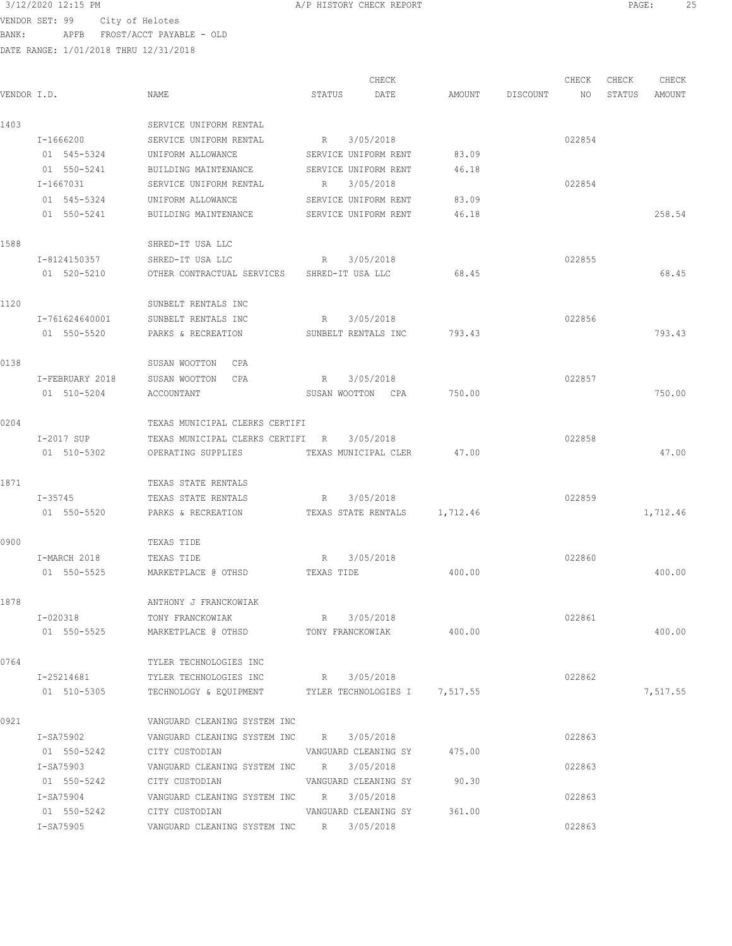VENDOR SET: 99 City of Helotes BANK: APFB FROST/ACCT PAYABLE - OLD

|             |                 |                                                        |             | CHECK                        |        |                 | CHECK  | CHECK  | CHECK    |
|-------------|-----------------|--------------------------------------------------------|-------------|------------------------------|--------|-----------------|--------|--------|----------|
| VENDOR I.D. |                 | NAME                                                   | STATUS      | DATE                         |        | AMOUNT DISCOUNT | NO.    | STATUS | AMOUNT   |
| 1403        |                 | SERVICE UNIFORM RENTAL                                 |             |                              |        |                 |        |        |          |
|             | $I - 1666200$   | SERVICE UNIFORM RENTAL                                 | R           | 3/05/2018                    |        |                 | 022854 |        |          |
|             | 01 545-5324     | UNIFORM ALLOWANCE                                      |             | SERVICE UNIFORM RENT         | 83.09  |                 |        |        |          |
|             | 01 550-5241     | BUILDING MAINTENANCE                                   |             | SERVICE UNIFORM RENT         | 46.18  |                 |        |        |          |
|             | I-1667031       | SERVICE UNIFORM RENTAL                                 | R 3/05/2018 |                              |        |                 | 022854 |        |          |
|             | 01 545-5324     | UNIFORM ALLOWANCE                                      |             | SERVICE UNIFORM RENT         | 83.09  |                 |        |        |          |
|             | 01 550-5241     | BUILDING MAINTENANCE                                   |             | SERVICE UNIFORM RENT         | 46.18  |                 |        |        | 258.54   |
| 1588        |                 | SHRED-IT USA LLC                                       |             |                              |        |                 |        |        |          |
|             | I-8124150357    | SHRED-IT USA LLC                                       |             | R 3/05/2018                  |        |                 | 022855 |        |          |
|             | 01 520-5210     | OTHER CONTRACTUAL SERVICES SHRED-IT USA LLC            |             |                              | 68.45  |                 |        |        | 68.45    |
| 1120        |                 | SUNBELT RENTALS INC                                    |             |                              |        |                 |        |        |          |
|             | I-761624640001  | SUNBELT RENTALS INC                                    | R 3/05/2018 |                              |        |                 | 022856 |        |          |
|             | 01 550-5520     | PARKS & RECREATION                                     |             | SUNBELT RENTALS INC          | 793.43 |                 |        |        | 793.43   |
| 0138        |                 | SUSAN WOOTTON CPA                                      |             |                              |        |                 |        |        |          |
|             | I-FEBRUARY 2018 | SUSAN WOOTTON<br>CPA                                   |             | R 3/05/2018                  |        |                 | 022857 |        |          |
|             | 01 510-5204     | ACCOUNTANT                                             |             | SUSAN WOOTTON CPA            | 750.00 |                 |        |        | 750.00   |
| 0204        |                 | TEXAS MUNICIPAL CLERKS CERTIFI                         |             |                              |        |                 |        |        |          |
|             | I-2017 SUP      | TEXAS MUNICIPAL CLERKS CERTIFI R                       |             | 3/05/2018                    |        |                 | 022858 |        |          |
|             | 01 510-5302     | OPERATING SUPPLIES                                     |             | TEXAS MUNICIPAL CLER         | 47.00  |                 |        |        | 47.00    |
| 1871        |                 | TEXAS STATE RENTALS                                    |             |                              |        |                 |        |        |          |
|             | I-35745         | TEXAS STATE RENTALS                                    | R           | 3/05/2018                    |        |                 | 022859 |        |          |
|             | 01 550-5520     | PARKS & RECREATION                                     |             | TEXAS STATE RENTALS 1,712.46 |        |                 |        |        | 1,712.46 |
|             |                 |                                                        |             |                              |        |                 |        |        |          |
| 0900        |                 | TEXAS TIDE                                             |             |                              |        |                 |        |        |          |
|             | I-MARCH 2018    | TEXAS TIDE                                             | R           | 3/05/2018                    |        |                 | 022860 |        |          |
|             | 01 550-5525     | MARKETPLACE @ OTHSD                                    | TEXAS TIDE  |                              | 400.00 |                 |        |        | 400.00   |
| 1878        |                 | ANTHONY J FRANCKOWIAK                                  |             |                              |        |                 |        |        |          |
|             | I-020318        | TONY FRANCKOWIAK                                       | R 3/05/2018 |                              |        |                 | 022861 |        |          |
|             | 01 550-5525     | MARKETPLACE @ OTHSD TONY FRANCKOWIAK 400.00            |             |                              |        |                 |        |        | 400.00   |
| 0764        |                 | TYLER TECHNOLOGIES INC                                 |             |                              |        |                 |        |        |          |
|             |                 | I-25214681 TYLER TECHNOLOGIES INC R 3/05/2018          |             |                              |        |                 | 022862 |        |          |
|             | 01 510-5305     | TECHNOLOGY & EQUIPMENT TYLER TECHNOLOGIES I 7,517.55   |             |                              |        |                 |        |        | 7,517.55 |
| 0921        |                 | VANGUARD CLEANING SYSTEM INC                           |             |                              |        |                 |        |        |          |
|             | I-SA75902       | VANGUARD CLEANING SYSTEM INC R 3/05/2018               |             |                              |        |                 | 022863 |        |          |
|             |                 | 01 550-5242 CITY CUSTODIAN VANGUARD CLEANING SY 475.00 |             |                              |        |                 |        |        |          |
|             | I-SA75903       | VANGUARD CLEANING SYSTEM INC R 3/05/2018               |             |                              |        |                 | 022863 |        |          |
|             | 01 550-5242     | CITY CUSTODIAN                                         |             | VANGUARD CLEANING SY         | 90.30  |                 |        |        |          |
|             | I-SA75904       | VANGUARD CLEANING SYSTEM INC R 3/05/2018               |             |                              |        |                 | 022863 |        |          |
|             | 01 550-5242     | CITY CUSTODIAN                                         |             | VANGUARD CLEANING SY 361.00  |        |                 |        |        |          |
|             | I-SA75905       | VANGUARD CLEANING SYSTEM INC R 3/05/2018               |             |                              |        |                 | 022863 |        |          |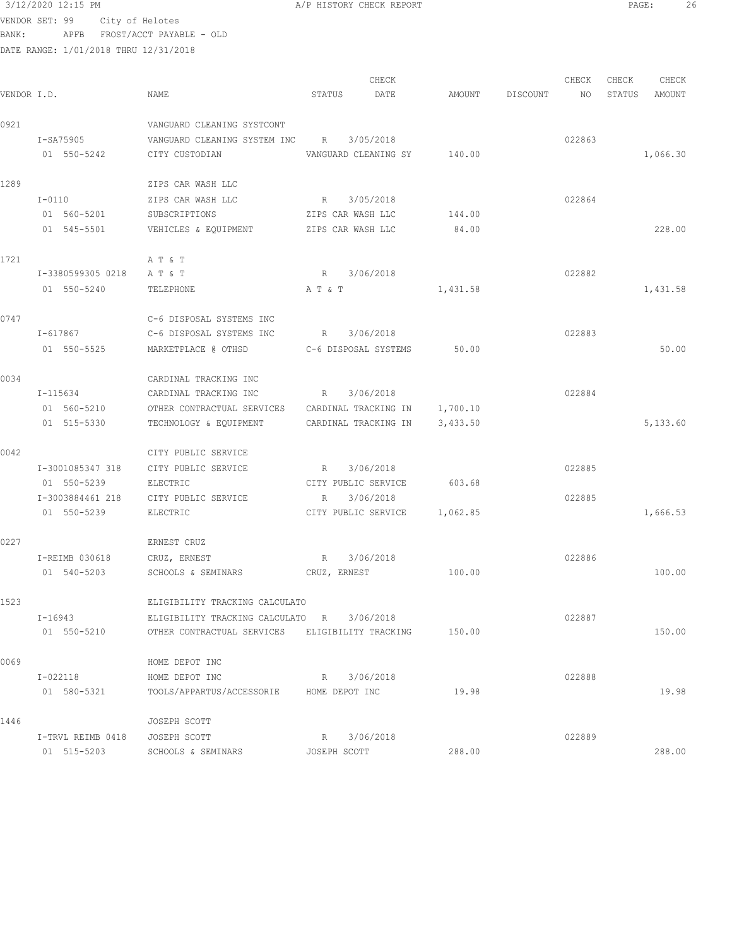## $3/12/2020$  12:15 PM  $A/P$  HISTORY CHECK REPORT PAGE: 26<br>VENDOR SET, 99  $\frac{1}{2}$  26

VENDOR SET: 99 City of Helotes BANK: APFB FROST/ACCT PAYABLE - OLD

|                 |                   |                                                 |                     | CHECK                        |          |          | CHECK  | CHECK  | CHECK    |
|-----------------|-------------------|-------------------------------------------------|---------------------|------------------------------|----------|----------|--------|--------|----------|
| VENDOR I.D.     |                   | NAME                                            | STATUS              | DATE                         | AMOUNT   | DISCOUNT | NO     | STATUS | AMOUNT   |
| 0921            |                   | VANGUARD CLEANING SYSTCONT                      |                     |                              |          |          |        |        |          |
|                 | I-SA75905         | VANGUARD CLEANING SYSTEM INC                    | $R_{\rm c}$         | 3/05/2018                    |          |          | 022863 |        |          |
|                 | 01 550-5242       | CITY CUSTODIAN                                  |                     | VANGUARD CLEANING SY         | 140.00   |          |        |        | 1,066.30 |
| 1289            |                   | ZIPS CAR WASH LLC                               |                     |                              |          |          |        |        |          |
|                 | I-0110            | ZIPS CAR WASH LLC                               | $R_{\rm c}$         | 3/05/2018                    |          |          | 022864 |        |          |
|                 | 01 560-5201       | SUBSCRIPTIONS                                   | ZIPS CAR WASH LLC   |                              | 144.00   |          |        |        |          |
|                 | 01 545-5501       | VEHICLES & EQUIPMENT ZIPS CAR WASH LLC          |                     |                              | 84.00    |          |        |        | 228.00   |
| 1721            |                   | A T & T                                         |                     |                              |          |          |        |        |          |
|                 | I-3380599305 0218 | A T & T                                         | R                   | 3/06/2018                    |          |          | 022882 |        |          |
|                 | 01 550-5240       | TELEPHONE                                       | A T & T             |                              | 1,431.58 |          |        |        | 1,431.58 |
| 0747            |                   | C-6 DISPOSAL SYSTEMS INC                        |                     |                              |          |          |        |        |          |
|                 | I-617867          | C-6 DISPOSAL SYSTEMS INC                        | R 3/06/2018         |                              |          |          | 022883 |        |          |
|                 | 01 550-5525       | MARKETPLACE @ OTHSD                             |                     | C-6 DISPOSAL SYSTEMS         | 50.00    |          |        |        | 50.00    |
| 0034            |                   | CARDINAL TRACKING INC                           |                     |                              |          |          |        |        |          |
|                 | I-115634          | CARDINAL TRACKING INC                           | $R_{\rm{max}}$      | 3/06/2018                    |          |          | 022884 |        |          |
|                 | 01 560-5210       | OTHER CONTRACTUAL SERVICES CARDINAL TRACKING IN |                     |                              | 1,700.10 |          |        |        |          |
|                 | 01 515-5330       | TECHNOLOGY & EQUIPMENT                          |                     | CARDINAL TRACKING IN         | 3,433.50 |          |        |        | 5,133.60 |
| 0042            |                   | CITY PUBLIC SERVICE                             |                     |                              |          |          |        |        |          |
|                 | I-3001085347 318  | CITY PUBLIC SERVICE                             | R                   | 3/06/2018                    |          |          | 022885 |        |          |
|                 | 01 550-5239       | ELECTRIC                                        | CITY PUBLIC SERVICE |                              | 603.68   |          |        |        |          |
|                 | I-3003884461 218  | CITY PUBLIC SERVICE                             | R                   | 3/06/2018                    |          |          | 022885 |        |          |
|                 | 01 550-5239       | ELECTRIC                                        |                     | CITY PUBLIC SERVICE 1,062.85 |          |          |        |        | 1,666.53 |
| 0227            |                   | ERNEST CRUZ                                     |                     |                              |          |          |        |        |          |
|                 | I-REIMB 030618    | CRUZ, ERNEST                                    | R                   | 3/06/2018                    |          |          | 022886 |        |          |
|                 | 01 540-5203       | SCHOOLS & SEMINARS                              | CRUZ, ERNEST        |                              | 100.00   |          |        |        | 100.00   |
| 1523            |                   | ELIGIBILITY TRACKING CALCULATO                  |                     |                              |          |          |        |        |          |
|                 | $I - 16943$       | ELIGIBILITY TRACKING CALCULATO R                |                     | 3/06/2018                    |          |          | 022887 |        |          |
|                 | 01 550-5210       | OTHER CONTRACTUAL SERVICES ELIGIBILITY TRACKING |                     |                              | 150.00   |          |        |        | 150.00   |
| 0069            |                   | HOME DEPOT INC                                  |                     |                              |          |          |        |        |          |
|                 | I-022118          | HOME DEPOT INC                                  |                     | R 3/06/2018                  |          |          | 022888 |        |          |
|                 | 01 580-5321       | TOOLS/APPARTUS/ACCESSORIE HOME DEPOT INC        |                     |                              | 19.98    |          |        |        | 19.98    |
| $1$ $1$ $1$ $6$ |                   | TOCTDU COOPT                                    |                     |                              |          |          |        |        |          |

| 1446 |                   | JOSEPH SCOTT       |                |        |        |        |
|------|-------------------|--------------------|----------------|--------|--------|--------|
|      | I-TRVL REIMB 0418 | JOSEPH SCOTT       | 3/06/2018<br>R |        | 022889 |        |
|      | 01 515-5203       | SCHOOLS & SEMINARS | JOSEPH SCOTT   | 288.00 |        | 288.00 |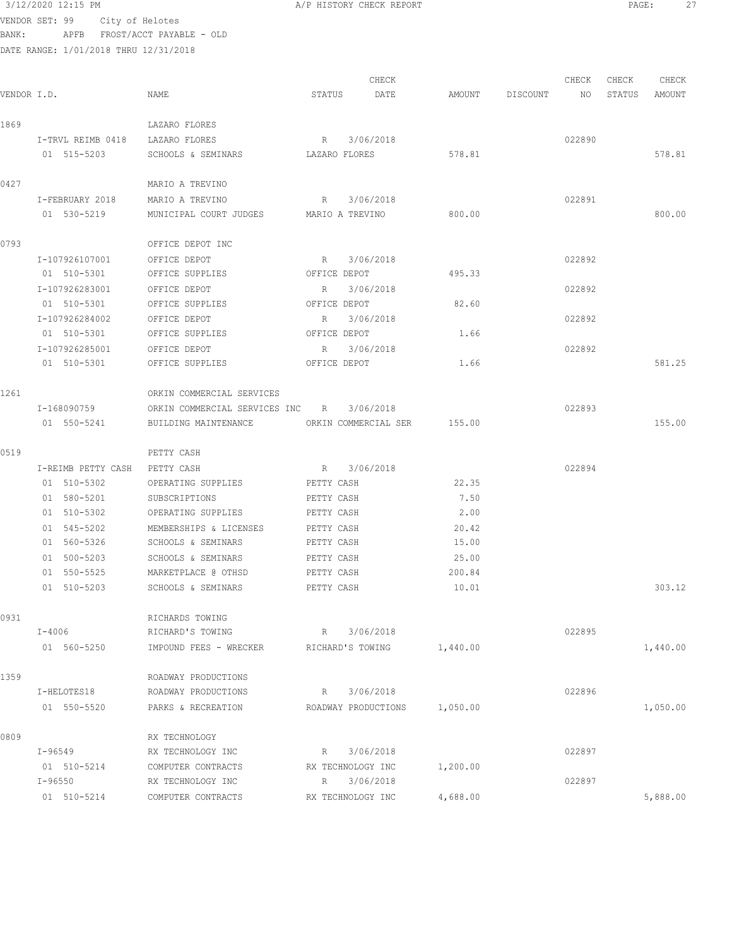| 3/12/2020 12:15 PM                    |                          | A/P HISTORY CHECK REPORT |                        |          |                | PAGE:<br>27 |
|---------------------------------------|--------------------------|--------------------------|------------------------|----------|----------------|-------------|
| VENDOR SET: 99                        | City of Helotes          |                          |                        |          |                |             |
| BANK:<br>APFB                         | FROST/ACCT PAYABLE - OLD |                          |                        |          |                |             |
| DATE RANGE: 1/01/2018 THRU 12/31/2018 |                          |                          |                        |          |                |             |
|                                       |                          |                          |                        |          |                |             |
|                                       |                          | CHECK                    |                        |          | CHECK<br>CHECK | CHECK       |
| VENDOR I.D.                           | NAME                     | STATUS<br>DATE           | AMOUNT                 | DISCOUNT | NO<br>STATUS   | AMOUNT      |
| 1869                                  | LAZARO FLORES            |                          |                        |          |                |             |
| I-TRVL REIMB 0418                     | LAZARO FLORES            | R 3/06/2018              |                        |          | 022890         |             |
| 01 515-5203                           | SCHOOLS & SEMINARS       | LAZARO FLORES            | 578.81                 |          |                | 578.81      |
| 0427                                  | MARIO A TREVINO          |                          |                        |          |                |             |
| I-FEBRUARY 2018                       | MARIO A TREVINO          | R 3/06/2018              |                        |          | 022891         |             |
| 01 530-5219                           | MUNICIPAL COURT JUDGES   | MARIO A TREVINO          | 800.00                 |          |                | 800.00      |
| 0793                                  | OFFICE DEPOT INC         |                          |                        |          |                |             |
| I-107926107001                        | OFFICE DEPOT             | 3/06/2018<br>R           |                        |          | 022892         |             |
| 01 510-5301                           | OFFICE SUPPLIES          | OFFICE DEPOT             | 495.33                 |          |                |             |
| I-107926283001                        | OFFICE DEPOT             | R<br>3/06/2018           |                        |          | 022892         |             |
| 01 510-5301                           | OFFICE SUPPLIES          | OFFICE DEPOT             | 82.60                  |          |                |             |
| I-107926284002                        | OFFICE DEPOT             | 3/06/2018<br>R           |                        |          | 022892         |             |
| 01 E10 E001                           | $\triangle$              | ARRIAR BRAG              | $\sim$ 1 $\sim$ $\sim$ |          |                |             |

I-107926285001 OFFICE DEPOT R 3/06/2018 022892

01 510-5301 OFFICE SUPPLIES OFFICE DEPOT 1.66

|      | 01 510-5301        | OFFICE SUPPLIES               | OFFICE DEPOT         | 1.66     |        | 581.25   |
|------|--------------------|-------------------------------|----------------------|----------|--------|----------|
| 1261 |                    | ORKIN COMMERCIAL SERVICES     |                      |          |        |          |
|      | I-168090759        | ORKIN COMMERCIAL SERVICES INC | 3/06/2018<br>R       |          | 022893 |          |
|      | 01 550-5241        | BUILDING MAINTENANCE          | ORKIN COMMERCIAL SER | 155.00   |        | 155.00   |
| 0519 |                    | PETTY CASH                    |                      |          |        |          |
|      | I-REIMB PETTY CASH | PETTY CASH                    | 3/06/2018<br>R       |          | 022894 |          |
|      | 01 510-5302        | OPERATING SUPPLIES            | PETTY CASH           | 22.35    |        |          |
|      | 01 580-5201        | SUBSCRIPTIONS                 | PETTY CASH           | 7.50     |        |          |
|      | 01 510-5302        | OPERATING SUPPLIES            | PETTY CASH           | 2.00     |        |          |
|      | 01 545-5202        | MEMBERSHIPS & LICENSES        | PETTY CASH           | 20.42    |        |          |
|      | 01 560-5326        | SCHOOLS & SEMINARS            | PETTY CASH           | 15.00    |        |          |
|      | 500-5203<br>01     | SCHOOLS & SEMINARS            | PETTY CASH           | 25.00    |        |          |
|      | 01 550-5525        | MARKETPLACE @ OTHSD           | PETTY CASH           | 200.84   |        |          |
|      | 01 510-5203        | SCHOOLS & SEMINARS            | PETTY CASH           | 10.01    |        | 303.12   |
| 0931 |                    | RICHARDS TOWING               |                      |          |        |          |
|      | $I - 4006$         | RICHARD'S TOWING              | R 3/06/2018          |          | 022895 |          |
|      | 01 560-5250        | IMPOUND FEES - WRECKER        | RICHARD'S TOWING     | 1,440.00 |        | 1,440.00 |
| 1359 |                    | ROADWAY PRODUCTIONS           |                      |          |        |          |
|      | T_UPT OTPR19       | PANDMAY PANDICTATANS          | <b>D</b> 3/06/2019   |          | 022896 |          |

|      | I-HELOTES18        | ROADWAY PRODUCTIONS | 3/06/2018<br>R      |          | 022896 |          |
|------|--------------------|---------------------|---------------------|----------|--------|----------|
|      | 550-5520<br>01     | PARKS & RECREATION  | ROADWAY PRODUCTIONS | 1,050.00 |        | 1,050.00 |
| 0809 |                    | RX TECHNOLOGY       |                     |          |        |          |
|      | $I - 96549$        | RX TECHNOLOGY INC   | 3/06/2018<br>R      |          | 022897 |          |
|      | $510 - 5214$<br>01 | COMPUTER CONTRACTS  | RX TECHNOLOGY INC   | 1,200.00 |        |          |
|      | $I - 96550$        | RX TECHNOLOGY INC   | 3/06/2018<br>R      |          | 022897 |          |
|      | 510-5214<br>01     | COMPUTER CONTRACTS  | RX TECHNOLOGY INC   | 4,688.00 |        | 5,888.00 |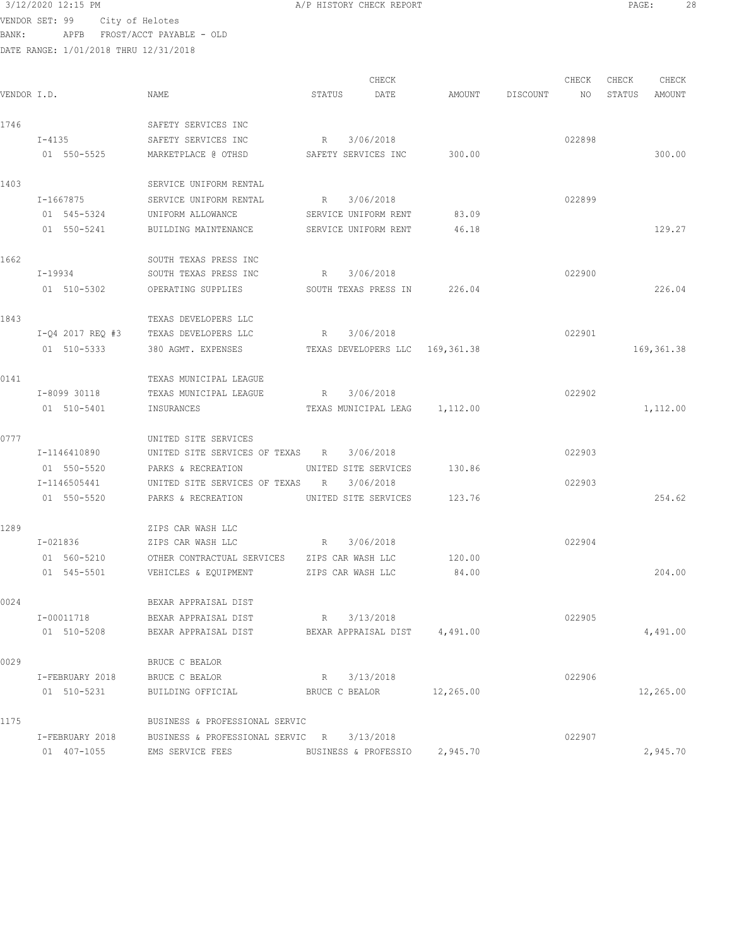3/12/2020 12:15 PM A/P HISTORY CHECK REPORT PAGE: 28 VENDOR SET: 99 City of Helotes BANK: APFB FROST/ACCT PAYABLE - OLD

DATE RANGE: 1/01/2018 THRU 12/31/2018 CHECK CHECK CHECK CHECK CHECK CHECK CHECK CHECK CHECK CHECK CHECK CHECK CHECK CHECK CHECK CHECK CHECK CHECK CHECK CHECK CHECK CHECK CHECK CHECK CHECK CHECK CHECK CHECK CHECK CHECK CHECK CHECK CHECK CHECK CHECK CHECK CHECK VENDOR I.D. NAME STATUS DATE AMOUNT DISCOUNT NO STATUS AMOUNT 1746 SAFETY SERVICES INC I-4135 SAFETY SERVICES INC R 3/06/2018 022898 01 550-5525 MARKETPLACE @ OTHSD SAFETY SERVICES INC 300.00 300.00 1403 SERVICE UNIFORM RENTAL I-1667875 SERVICE UNIFORM RENTAL R 3/06/2018 022899 01 545-5324 UNIFORM ALLOWANCE SERVICE UNIFORM RENT 83.09 01 550-5241 BUILDING MAINTENANCE SERVICE UNIFORM RENT 46.18 129.27 1662 SOUTH TEXAS PRESS INC<br>1-19934 SOUTH TEXAS PRESS INC SOUTH TEXAS PRESS INC R 3/06/2018 COUTH TEXAS PRESS INC 01 510-5302 OPERATING SUPPLIES SOUTH TEXAS PRESS IN 226.04 226.04 1843 TEXAS DEVELOPERS LLC I-Q4 2017 REQ #3 TEXAS DEVELOPERS LLC R 3/06/2018 022901 01 510-5333 380 AGMT. EXPENSES TEXAS DEVELOPERS LLC 169,361.38 169,361.38 0141 TEXAS MUNICIPAL LEAGUE I-8099 30118 TEXAS MUNICIPAL LEAGUE R 3/06/2018 022902 01 510-5401 INSURANCES TEXAS MUNICIPAL LEAG 1,112.00 1,112.00 0777 UNITED SITE SERVICES I-1146410890 UNITED SITE SERVICES OF TEXAS R 3/06/2018 022903 01 550-5520 PARKS & RECREATION UNITED SITE SERVICES 130.86 I-1146505441 UNITED SITE SERVICES OF TEXAS R 3/06/2018 022903 01 550-5520 PARKS & RECREATION UNITED SITE SERVICES 123.76 1289 ZIPS CAR WASH LLC I-021836 ZIPS CAR WASH LLC R 3/06/2018 022904 01 560-5210 OTHER CONTRACTUAL SERVICES ZIPS CAR WASH LLC 120.00<br>01 545-5501 VEHICLES & EQUIPMENT ZIPS CAR WASH LLC 84.00 VEHICLES & EQUIPMENT ZIPS CAR WASH LLC 84.00 84.00 204.00 0024 BEXAR APPRAISAL DIST I-00011718 BEXAR APPRAISAL DIST R 3/13/2018 022905 01 510-5208 BEXAR APPRAISAL DIST BEXAR APPRAISAL DIST 4,491.00 4,491.00 0029 BRUCE C BEALOR I-FEBRUARY 2018 BRUCE C BEALOR R 3/13/2018 022906 01 510-5231 BUILDING OFFICIAL BRUCE C BEALOR 12,265.00 12,269.00 1175 BUSINESS & PROFESSIONAL SERVIC I-FEBRUARY 2018 BUSINESS & PROFESSIONAL SERVIC R 3/13/2018 022907 01 407-1055 EMS SERVICE FEES BUSINESS & PROFESSIO 2,945.70 2,945.70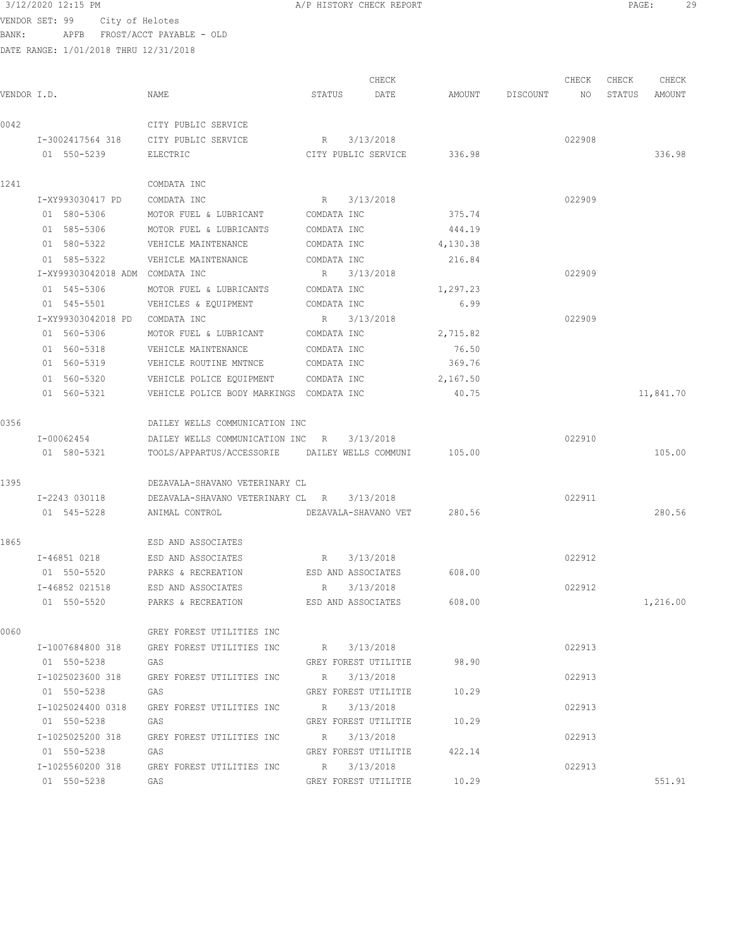## $3/12/2020$  12:15 PM  $A/P$  HISTORY CHECK REPORT  $\blacksquare$  PAGE: 29

VENDOR SET: 99 City of Helotes BANK: APFB FROST/ACCT PAYABLE - OLD

|             |                                 |                                                        |             | CHECK                       |          |          | CHECK  | CHECK  | CHECK     |
|-------------|---------------------------------|--------------------------------------------------------|-------------|-----------------------------|----------|----------|--------|--------|-----------|
| VENDOR I.D. |                                 | NAME                                                   | STATUS      | DATE                        | AMOUNT   | DISCOUNT | NO     | STATUS | AMOUNT    |
| 0042        |                                 | CITY PUBLIC SERVICE                                    |             |                             |          |          |        |        |           |
|             | I-3002417564 318                | CITY PUBLIC SERVICE                                    | R           | 3/13/2018                   |          |          | 022908 |        |           |
|             | 01 550-5239                     | ELECTRIC                                               |             | CITY PUBLIC SERVICE         | 336.98   |          |        |        | 336.98    |
| 1241        |                                 | COMDATA INC                                            |             |                             |          |          |        |        |           |
|             | I-XY993030417 PD                | COMDATA INC                                            | $R_{\odot}$ | 3/13/2018                   |          |          | 022909 |        |           |
|             | 01 580-5306                     | MOTOR FUEL & LUBRICANT                                 | COMDATA INC |                             | 375.74   |          |        |        |           |
|             | 01 585-5306                     | MOTOR FUEL & LUBRICANTS                                | COMDATA INC |                             | 444.19   |          |        |        |           |
|             | 01 580-5322                     | VEHICLE MAINTENANCE                                    | COMDATA INC |                             | 4,130.38 |          |        |        |           |
|             | 01 585-5322                     | VEHICLE MAINTENANCE                                    | COMDATA INC |                             | 216.84   |          |        |        |           |
|             | I-XY99303042018 ADM COMDATA INC |                                                        |             | R 3/13/2018                 |          |          | 022909 |        |           |
|             | 01 545-5306                     | MOTOR FUEL & LUBRICANTS                                | COMDATA INC |                             | 1,297.23 |          |        |        |           |
|             | 01 545-5501                     | VEHICLES & EQUIPMENT                                   | COMDATA INC |                             | 6.99     |          |        |        |           |
|             | I-XY99303042018 PD              | COMDATA INC                                            |             | R 3/13/2018                 |          |          | 022909 |        |           |
|             | 01 560-5306                     | MOTOR FUEL & LUBRICANT                                 | COMDATA INC |                             | 2,715.82 |          |        |        |           |
|             | 01 560-5318                     | VEHICLE MAINTENANCE                                    | COMDATA INC |                             | 76.50    |          |        |        |           |
|             | 01 560-5319                     | VEHICLE ROUTINE MNTNCE                                 | COMDATA INC |                             | 369.76   |          |        |        |           |
|             | 01 560-5320                     | VEHICLE POLICE EQUIPMENT                               | COMDATA INC |                             | 2,167.50 |          |        |        |           |
|             | 01 560-5321                     | VEHICLE POLICE BODY MARKINGS COMDATA INC               |             |                             | 40.75    |          |        |        | 11,841.70 |
| 0356        |                                 | DAILEY WELLS COMMUNICATION INC                         |             |                             |          |          |        |        |           |
|             | I-00062454                      | DAILEY WELLS COMMUNICATION INC                         | R           | 3/13/2018                   |          |          | 022910 |        |           |
|             | 01 580-5321                     | TOOLS/APPARTUS/ACCESSORIE                              |             | DAILEY WELLS COMMUNI        | 105.00   |          |        |        | 105.00    |
| 1395        |                                 | DEZAVALA-SHAVANO VETERINARY CL                         |             |                             |          |          |        |        |           |
|             | I-2243 030118                   | DEZAVALA-SHAVANO VETERINARY CL R                       |             | 3/13/2018                   |          |          | 022911 |        |           |
|             | 01 545-5228                     | ANIMAL CONTROL                                         |             | DEZAVALA-SHAVANO VET        | 280.56   |          |        |        | 280.56    |
| 1865        |                                 | ESD AND ASSOCIATES                                     |             |                             |          |          |        |        |           |
|             | I-46851 0218                    | ESD AND ASSOCIATES                                     | R           | 3/13/2018                   |          |          | 022912 |        |           |
|             | 01 550-5520                     | PARKS & RECREATION                                     |             | ESD AND ASSOCIATES          | 608.00   |          |        |        |           |
|             | I-46852 021518                  | ESD AND ASSOCIATES                                     | R           | 3/13/2018                   |          |          | 022912 |        |           |
|             | 01 550-5520                     | PARKS & RECREATION                                     |             | ESD AND ASSOCIATES          | 608.00   |          |        |        | 1,216.00  |
| 0060        |                                 | GREY FOREST UTILITIES INC                              |             |                             |          |          |        |        |           |
|             |                                 | I-1007684800 318 GREY FOREST UTILITIES INC R 3/13/2018 |             |                             |          |          | 022913 |        |           |
|             | 01 550-5238 GAS                 |                                                        |             | GREY FOREST UTILITIE        | 98.90    |          |        |        |           |
|             |                                 | I-1025023600 318 GREY FOREST UTILITIES INC R 3/13/2018 |             |                             |          |          | 022913 |        |           |
|             | 01 550-5238                     | GAS                                                    |             | GREY FOREST UTILITIE 10.29  |          |          |        |        |           |
|             | I-1025024400 0318               | GREY FOREST UTILITIES INC                              |             | R 3/13/2018                 |          |          | 022913 |        |           |
|             | 01 550-5238                     | GAS                                                    |             | GREY FOREST UTILITIE        | 10.29    |          |        |        |           |
|             | I-1025025200 318                | GREY FOREST UTILITIES INC                              |             | R 3/13/2018                 |          |          | 022913 |        |           |
|             | 01 550-5238                     | GAS                                                    |             | GREY FOREST UTILITIE 422.14 |          |          |        |        |           |
|             |                                 | I-1025560200 318 GREY FOREST UTILITIES INC R 3/13/2018 |             |                             |          |          | 022913 |        |           |
|             | 01 550-5238 GAS                 |                                                        |             | GREY FOREST UTILITIE 10.29  |          |          |        |        | 551.91    |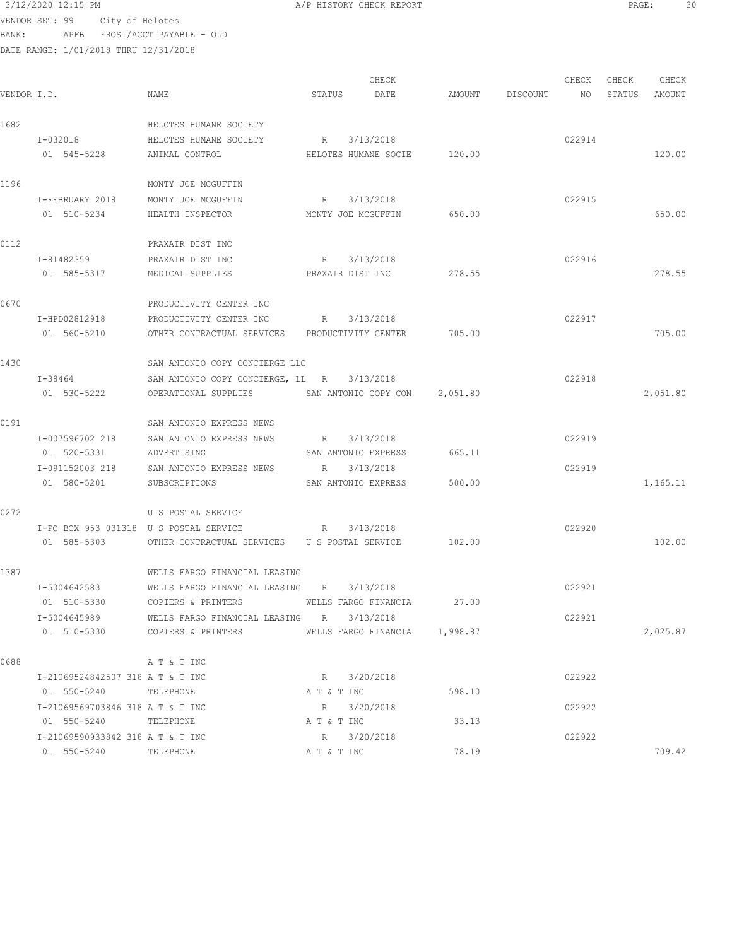3/12/2020 12:15 PM **A/P HISTORY CHECK REPORT PAGE:** 30 VENDOR SET: 99 City of Helotes

BANK: APFB FROST/ACCT PAYABLE - OLD DATE RANGE: 1/01/2018 THRU 12/31/2018

|             |                                                                                                                |                                                      |              | CHECK                         |                 | CHECK  | CHECK  | CHECK    |
|-------------|----------------------------------------------------------------------------------------------------------------|------------------------------------------------------|--------------|-------------------------------|-----------------|--------|--------|----------|
| VENDOR I.D. |                                                                                                                | NAME                                                 | STATUS       | DATE                          | AMOUNT DISCOUNT | NO     | STATUS | AMOUNT   |
| 1682        |                                                                                                                | HELOTES HUMANE SOCIETY                               |              |                               |                 |        |        |          |
|             | I-032018 and the set of the set of the set of the set of the set of the set of the set of the set of the set o | HELOTES HUMANE SOCIETY                               |              | R 3/13/2018                   |                 | 022914 |        |          |
|             | 01 545-5228                                                                                                    | ANIMAL CONTROL                                       |              | HELOTES HUMANE SOCIE 120.00   |                 |        |        | 120.00   |
| 1196        |                                                                                                                | MONTY JOE MCGUFFIN                                   |              |                               |                 |        |        |          |
|             | I-FEBRUARY 2018                                                                                                | MONTY JOE MCGUFFIN                                   |              | R 3/13/2018                   |                 | 022915 |        |          |
|             | 01 510-5234                                                                                                    | HEALTH INSPECTOR                                     |              | MONTY JOE MCGUFFIN 650.00     |                 |        |        | 650.00   |
| 0112        |                                                                                                                | PRAXAIR DIST INC                                     |              |                               |                 |        |        |          |
|             | I-81482359                                                                                                     | PRAXAIR DIST INC                                     |              | R 3/13/2018                   |                 | 022916 |        |          |
|             | 01 585-5317                                                                                                    | MEDICAL SUPPLIES<br>PRAXAIR DIST INC                 |              |                               | 278.55          |        |        | 278.55   |
| 0670        |                                                                                                                | PRODUCTIVITY CENTER INC                              |              |                               |                 |        |        |          |
|             | I-HPD02812918                                                                                                  | PRODUCTIVITY CENTER INC                              |              | R 3/13/2018                   |                 | 022917 |        |          |
|             | 01 560-5210                                                                                                    | OTHER CONTRACTUAL SERVICES PRODUCTIVITY CENTER       |              |                               | 705.00          |        |        | 705.00   |
| 1430        |                                                                                                                | SAN ANTONIO COPY CONCIERGE LLC                       |              |                               |                 |        |        |          |
|             | I-38464                                                                                                        | SAN ANTONIO COPY CONCIERGE, LL R 3/13/2018           |              |                               |                 | 022918 |        |          |
|             | 01 530-5222                                                                                                    | OPERATIONAL SUPPLIES SAN ANTONIO COPY CON 2,051.80   |              |                               |                 |        |        | 2,051.80 |
| 0191        |                                                                                                                | SAN ANTONIO EXPRESS NEWS                             |              |                               |                 |        |        |          |
|             | I-007596702 218                                                                                                | SAN ANTONIO EXPRESS NEWS                             |              | R 3/13/2018                   |                 | 022919 |        |          |
|             | 01 520-5331                                                                                                    | ADVERTISING                                          |              | SAN ANTONIO EXPRESS           | 665.11          |        |        |          |
|             |                                                                                                                | I-091152003 218 SAN ANTONIO EXPRESS NEWS             | $R_{\rm{B}}$ | 3/13/2018                     |                 | 022919 |        |          |
|             | 01 580-5201                                                                                                    | SUBSCRIPTIONS                                        |              | SAN ANTONIO EXPRESS           | 500.00          |        |        | 1,165.11 |
| 0272        |                                                                                                                | U S POSTAL SERVICE                                   |              |                               |                 |        |        |          |
|             | I-PO BOX 953 031318 U S POSTAL SERVICE                                                                         |                                                      |              | R 3/13/2018                   |                 | 022920 |        |          |
|             | 01 585-5303                                                                                                    | OTHER CONTRACTUAL SERVICES U S POSTAL SERVICE 102.00 |              |                               |                 |        |        | 102.00   |
| 1387        |                                                                                                                | WELLS FARGO FINANCIAL LEASING                        |              |                               |                 |        |        |          |
|             | I-5004642583                                                                                                   | WELLS FARGO FINANCIAL LEASING R                      |              | 3/13/2018                     |                 | 022921 |        |          |
|             | 01 510-5330                                                                                                    | COPIERS & PRINTERS                                   |              | WELLS FARGO FINANCIA          | 27.00           |        |        |          |
|             | I-5004645989                                                                                                   | WELLS FARGO FINANCIAL LEASING R 3/13/2018            |              |                               |                 | 022921 |        |          |
|             | 01 510-5330                                                                                                    | COPIERS & PRINTERS                                   |              | WELLS FARGO FINANCIA 1,998.87 |                 |        |        | 2,025.87 |
| 0688        |                                                                                                                | A T & T INC                                          |              |                               |                 |        |        |          |
|             | I-21069524842507 318 A T & T INC                                                                               |                                                      |              | R 3/20/2018                   |                 | 022922 |        |          |
|             | 01 550-5240                                                                                                    | TELEPHONE                                            | A T & T INC  |                               | 598.10          |        |        |          |
|             | I-21069569703846 318 A T & T INC                                                                               |                                                      | R            | 3/20/2018                     |                 | 022922 |        |          |
|             | 01 550-5240                                                                                                    | TELEPHONE                                            | A T & T INC  |                               | 33.13           |        |        |          |
|             | I-21069590933842 318 A T & T INC                                                                               | TELEPHONE                                            |              | R 3/20/2018                   | 78.19           | 022922 |        | 709.42   |
|             | 01 550-5240                                                                                                    |                                                      | A T & T INC  |                               |                 |        |        |          |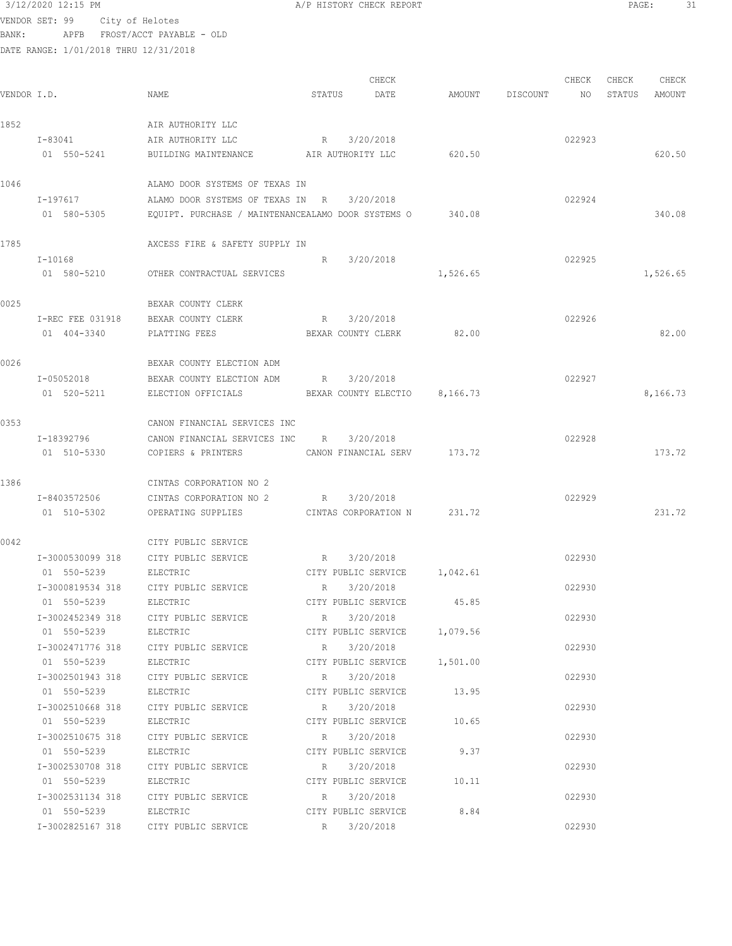# $3/12/2020$  12:15 PM  $A/P$  HISTORY CHECK REPORT  $\begin{array}{ccc} 3/12/2020 & 12:15 & \text{PM} \\ 99 & 13 & 31 & \text{PM} \\ 1000 & 13 & 31 & \text{PM} \end{array}$

VENDOR SET: 99 City of Helotes BANK: APFB FROST/ACCT PAYABLE - OLD

|             |                  |                                                           |             | CHECK                         |          |                 | CHECK  | CHECK  | CHECK    |
|-------------|------------------|-----------------------------------------------------------|-------------|-------------------------------|----------|-----------------|--------|--------|----------|
| VENDOR I.D. |                  | NAME                                                      | STATUS      | DATE                          |          | AMOUNT DISCOUNT | NO     | STATUS | AMOUNT   |
| 1852        |                  | AIR AUTHORITY LLC                                         |             |                               |          |                 |        |        |          |
|             | I-83041          | AIR AUTHORITY LLC                                         |             | R 3/20/2018                   |          |                 | 022923 |        |          |
|             | 01 550-5241      | BUILDING MAINTENANCE                                      |             | AIR AUTHORITY LLC             | 620.50   |                 |        |        | 620.50   |
| 1046        |                  | ALAMO DOOR SYSTEMS OF TEXAS IN                            |             |                               |          |                 |        |        |          |
|             | I-197617         | ALAMO DOOR SYSTEMS OF TEXAS IN R                          |             | 3/20/2018                     |          |                 | 022924 |        |          |
|             | 01 580-5305      | EQUIPT. PURCHASE / MAINTENANCEALAMO DOOR SYSTEMS O 340.08 |             |                               |          |                 |        |        | 340.08   |
| 1785        |                  | AXCESS FIRE & SAFETY SUPPLY IN                            |             |                               |          |                 |        |        |          |
|             | I-10168          |                                                           | R           | 3/20/2018                     |          |                 | 022925 |        |          |
|             | 01 580-5210      | OTHER CONTRACTUAL SERVICES                                |             |                               | 1,526.65 |                 |        |        | 1,526.65 |
| 0025        |                  | BEXAR COUNTY CLERK                                        |             |                               |          |                 |        |        |          |
|             | I-REC FEE 031918 | BEXAR COUNTY CLERK                                        | R           | 3/20/2018                     |          |                 | 022926 |        |          |
|             | 01 404-3340      | PLATTING FEES                                             |             | BEXAR COUNTY CLERK            | 82.00    |                 |        |        | 82.00    |
| 0026        |                  | BEXAR COUNTY ELECTION ADM                                 |             |                               |          |                 |        |        |          |
|             | I-05052018       | BEXAR COUNTY ELECTION ADM                                 | R           | 3/20/2018                     |          |                 | 022927 |        |          |
|             | 01 520-5211      | ELECTION OFFICIALS                                        |             | BEXAR COUNTY ELECTIO 8,166.73 |          |                 |        |        | 8,166.73 |
| 0353        |                  | CANON FINANCIAL SERVICES INC                              |             |                               |          |                 |        |        |          |
|             | I-18392796       | CANON FINANCIAL SERVICES INC                              | R           | 3/20/2018                     |          |                 | 022928 |        |          |
|             | 01 510-5330      | COPIERS & PRINTERS                                        |             | CANON FINANCIAL SERV 173.72   |          |                 |        |        | 173.72   |
| 1386        |                  | CINTAS CORPORATION NO 2                                   |             |                               |          |                 |        |        |          |
|             | I-8403572506     | CINTAS CORPORATION NO 2                                   | R           | 3/20/2018                     |          |                 | 022929 |        |          |
|             | 01 510-5302      | OPERATING SUPPLIES                                        |             | CINTAS CORPORATION N 231.72   |          |                 |        |        | 231.72   |
| 0042        |                  | CITY PUBLIC SERVICE                                       |             |                               |          |                 |        |        |          |
|             | I-3000530099 318 | CITY PUBLIC SERVICE                                       | $R_{\rm c}$ | 3/20/2018                     |          |                 | 022930 |        |          |
|             | 01 550-5239      | ELECTRIC                                                  |             | CITY PUBLIC SERVICE 1,042.61  |          |                 |        |        |          |
|             | I-3000819534 318 | CITY PUBLIC SERVICE                                       | R           | 3/20/2018                     |          |                 | 022930 |        |          |
|             | 01 550-5239      | ELECTRIC                                                  |             | CITY PUBLIC SERVICE           | 45.85    |                 |        |        |          |
|             | I-3002452349 318 | CITY PUBLIC SERVICE                                       |             | R 3/20/2018                   |          |                 | 022930 |        |          |
|             | 01 550-5239      | ELECTRIC                                                  |             | CITY PUBLIC SERVICE 1,079.56  |          |                 |        |        |          |
|             |                  | I-3002471776 318 CITY PUBLIC SERVICE                      | R           | 3/20/2018                     |          |                 | 022930 |        |          |
|             | 01 550-5239      | ELECTRIC                                                  |             | CITY PUBLIC SERVICE 1,501.00  |          |                 |        |        |          |
|             | I-3002501943 318 | CITY PUBLIC SERVICE                                       | R           | 3/20/2018                     |          |                 | 022930 |        |          |
|             | 01 550-5239      | ELECTRIC                                                  |             | CITY PUBLIC SERVICE 13.95     |          |                 |        |        |          |
|             | I-3002510668 318 | CITY PUBLIC SERVICE                                       |             | R 3/20/2018                   |          |                 | 022930 |        |          |
|             | 01 550-5239      | ELECTRIC                                                  |             | CITY PUBLIC SERVICE           | 10.65    |                 |        |        |          |
|             | I-3002510675 318 | CITY PUBLIC SERVICE                                       |             | R 3/20/2018                   |          |                 | 022930 |        |          |
|             | 01 550-5239      | ELECTRIC                                                  |             | CITY PUBLIC SERVICE           | 9.37     |                 |        |        |          |
|             | I-3002530708 318 | CITY PUBLIC SERVICE                                       |             | R 3/20/2018                   |          |                 | 022930 |        |          |
|             | 01 550-5239      | ELECTRIC                                                  |             | CITY PUBLIC SERVICE 10.11     |          |                 |        |        |          |
|             |                  | I-3002531134 318 CITY PUBLIC SERVICE                      |             | R 3/20/2018                   |          |                 | 022930 |        |          |
|             |                  | 01 550-5239 ELECTRIC                                      |             | CITY PUBLIC SERVICE 8.84      |          |                 |        |        |          |
|             |                  | I-3002825167 318 CITY PUBLIC SERVICE                      |             | R 3/20/2018                   |          |                 | 022930 |        |          |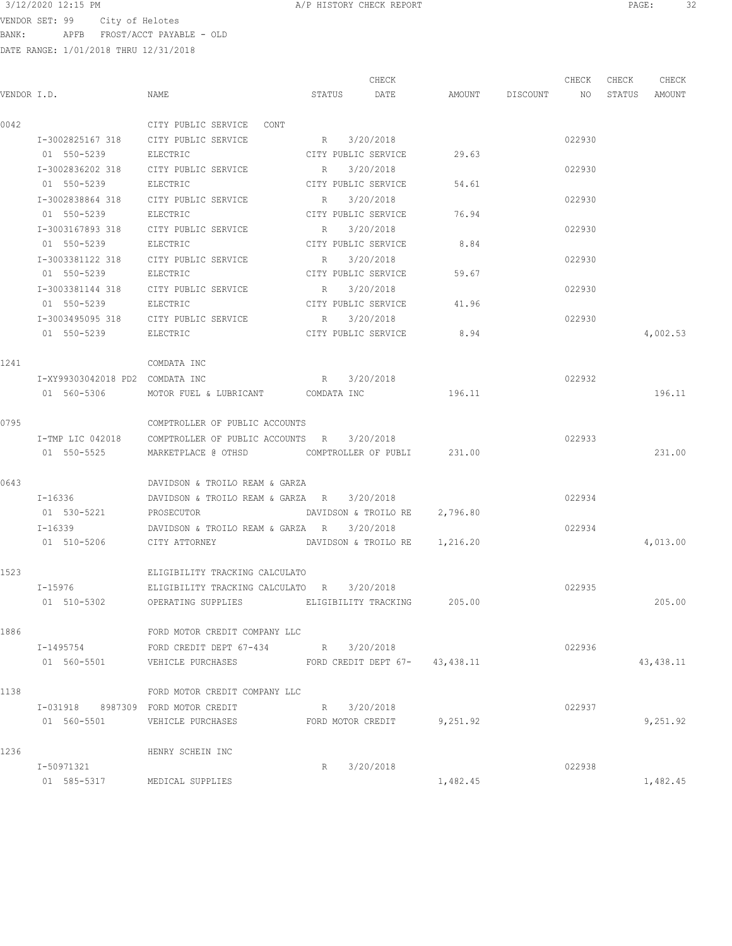VENDOR SET: 99 City of Helotes BANK: APFB FROST/ACCT PAYABLE - OLD

|      |                                    |                                                              |             | CHECK                |                               |                    | CHECK  | CHECK | CHECK         |
|------|------------------------------------|--------------------------------------------------------------|-------------|----------------------|-------------------------------|--------------------|--------|-------|---------------|
|      | VENDOR I.D.                        | NAME                                                         | STATUS      | DATE                 |                               | AMOUNT DISCOUNT NO |        |       | STATUS AMOUNT |
| 0042 |                                    | CITY PUBLIC SERVICE CONT                                     |             |                      |                               |                    |        |       |               |
|      |                                    | I-3002825167 318 CITY PUBLIC SERVICE                         | R 3/20/2018 |                      |                               |                    | 022930 |       |               |
|      | 01 550-5239                        | ELECTRIC                                                     |             | CITY PUBLIC SERVICE  | 29.63                         |                    |        |       |               |
|      |                                    | I-3002836202 318 CITY PUBLIC SERVICE                         | R           | 3/20/2018            |                               |                    | 022930 |       |               |
|      | 01 550-5239                        | ELECTRIC                                                     |             | CITY PUBLIC SERVICE  | 54.61                         |                    |        |       |               |
|      | I-3002838864 318                   | CITY PUBLIC SERVICE                                          | R           | 3/20/2018            |                               |                    | 022930 |       |               |
|      | 01 550-5239                        | ELECTRIC                                                     |             |                      | CITY PUBLIC SERVICE 76.94     |                    |        |       |               |
|      | I-3003167893 318                   | CITY PUBLIC SERVICE                                          | R           | 3/20/2018            |                               |                    | 022930 |       |               |
|      | 01 550-5239                        | ELECTRIC                                                     |             | CITY PUBLIC SERVICE  | 8.84                          |                    |        |       |               |
|      | I-3003381122 318                   | CITY PUBLIC SERVICE                                          | R           | 3/20/2018            |                               |                    | 022930 |       |               |
|      | 01 550-5239                        | ELECTRIC                                                     |             | CITY PUBLIC SERVICE  | 59.67                         |                    |        |       |               |
|      |                                    | I-3003381144 318 CITY PUBLIC SERVICE                         | $\mathbb R$ | 3/20/2018            |                               |                    | 022930 |       |               |
|      | 01 550-5239                        | ELECTRIC                                                     |             | CITY PUBLIC SERVICE  | 41.96                         |                    |        |       |               |
|      |                                    | I-3003495095 318 CITY PUBLIC SERVICE                         | R           | 3/20/2018            |                               |                    | 022930 |       |               |
|      | 01 550-5239 ELECTRIC               |                                                              |             |                      | CITY PUBLIC SERVICE 8.94      |                    |        |       | 4,002.53      |
| 1241 |                                    | COMDATA INC                                                  |             |                      |                               |                    |        |       |               |
|      | I-XY99303042018 PD2 COMDATA INC    |                                                              | R 3/20/2018 |                      |                               |                    | 022932 |       |               |
|      | 01 560-5306                        | MOTOR FUEL & LUBRICANT COMDATA INC                           |             |                      | 196.11                        |                    |        |       | 196.11        |
| 0795 |                                    | COMPTROLLER OF PUBLIC ACCOUNTS                               |             |                      |                               |                    |        |       |               |
|      |                                    | I-TMP LIC 042018 COMPTROLLER OF PUBLIC ACCOUNTS R 3/20/2018  |             |                      |                               |                    | 022933 |       |               |
|      | 01 550-5525                        | MARKETPLACE @ OTHSD                                          |             |                      | COMPTROLLER OF PUBLI 231.00   |                    |        |       | 231.00        |
| 0643 |                                    | DAVIDSON & TROILO REAM & GARZA                               |             |                      |                               |                    |        |       |               |
|      | $I - 16336$                        | DAVIDSON & TROILO REAM & GARZA R                             |             | 3/20/2018            |                               |                    | 022934 |       |               |
|      | 01 530-5221                        | PROSECUTOR                                                   |             | DAVIDSON & TROILO RE | 2,796.80                      |                    |        |       |               |
|      |                                    |                                                              |             | 3/20/2018            |                               |                    | 022934 |       |               |
|      | 01 510-5206 CITY ATTORNEY          |                                                              |             |                      | DAVIDSON & TROILO RE 1,216.20 |                    |        |       | 4,013.00      |
| 1523 |                                    | ELIGIBILITY TRACKING CALCULATO                               |             |                      |                               |                    |        |       |               |
|      | $I - 15976$                        | ELIGIBILITY TRACKING CALCULATO R                             |             | 3/20/2018            |                               |                    | 022935 |       |               |
|      | 01 510-5302                        | OPERATING SUPPLIES                                           |             |                      | ELIGIBILITY TRACKING 205.00   |                    |        |       | 205.00        |
| 1886 |                                    | FORD MOTOR CREDIT COMPANY LLC                                |             |                      |                               |                    |        |       |               |
|      | I-1495754                          | FORD CREDIT DEPT 67-434 R 3/20/2018                          |             |                      |                               |                    | 022936 |       |               |
|      |                                    | 01 560-5501 VEHICLE PURCHASES FORD CREDIT DEPT 67- 43,438.11 |             |                      |                               |                    |        |       | 43,438.11     |
| 1138 |                                    | FORD MOTOR CREDIT COMPANY LLC                                |             |                      |                               |                    |        |       |               |
|      | I-031918 8987309 FORD MOTOR CREDIT |                                                              | R 3/20/2018 |                      |                               |                    | 022937 |       |               |
|      | 01 560-5501                        | VEHICLE PURCHASES FORD MOTOR CREDIT 9,251.92                 |             |                      |                               |                    |        |       | 9,251.92      |
| 1236 |                                    | HENRY SCHEIN INC                                             |             |                      |                               |                    |        |       |               |
|      | I-50971321                         |                                                              | R           | 3/20/2018            |                               |                    | 022938 |       |               |
|      | 01 585-5317                        | MEDICAL SUPPLIES                                             |             |                      | 1,482.45                      |                    |        |       | 1,482.45      |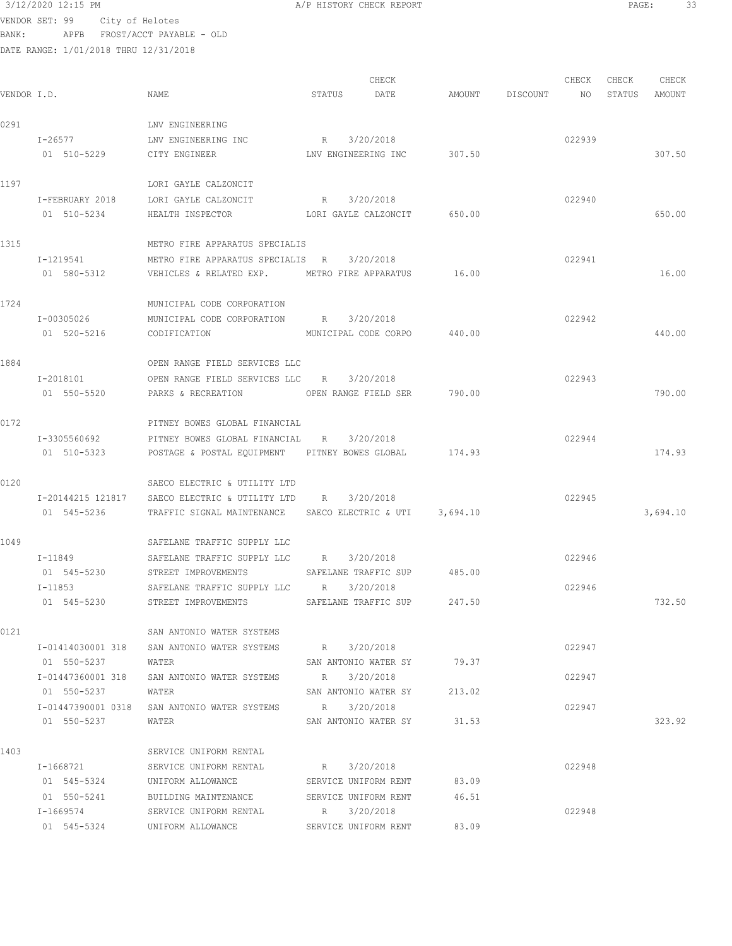3/12/2020 12:15 PM **A/P HISTORY CHECK REPORT PAGE:** 33 VENDOR SET: 99 City of Helotes

BANK: APFB FROST/ACCT PAYABLE - OLD

| 0291<br>LNV ENGINEERING<br>R 3/20/2018<br>022939<br>I-26577<br>LNV ENGINEERING INC<br>01 510-5229<br>LNV ENGINEERING INC<br>307.50<br>CITY ENGINEER<br>1197<br>LORI GAYLE CALZONCIT<br>3/20/2018<br>022940<br>I-FEBRUARY 2018<br>LORI GAYLE CALZONCIT<br>R<br>01 510-5234<br>HEALTH INSPECTOR LORI GAYLE CALZONCIT 650.00<br>1315<br>METRO FIRE APPARATUS SPECIALIS<br>I-1219541<br>3/20/2018<br>022941<br>METRO FIRE APPARATUS SPECIALIS R<br>01 580-5312<br>16.00<br>VEHICLES & RELATED EXP. METRO FIRE APPARATUS<br>1724<br>MUNICIPAL CODE CORPORATION<br>022942<br>I-00305026<br>MUNICIPAL CODE CORPORATION R 3/20/2018<br>01 520-5216<br>440.00<br>CODIFICATION<br>MUNICIPAL CODE CORPO<br>1884<br>OPEN RANGE FIELD SERVICES LLC<br>OPEN RANGE FIELD SERVICES LLC R 3/20/2018<br>022943<br>I-2018101<br>01 550-5520<br>790.00<br>OPEN RANGE FIELD SER<br>PARKS & RECREATION<br>0172<br>PITNEY BOWES GLOBAL FINANCIAL<br>I-3305560692<br>3/20/2018<br>022944<br>PITNEY BOWES GLOBAL FINANCIAL R<br>01 510-5323<br>174.93<br>POSTAGE & POSTAL EQUIPMENT PITNEY BOWES GLOBAL<br>0120<br>SAECO ELECTRIC & UTILITY LTD<br>022945<br>I-20144215 121817<br>3/20/2018<br>SAECO ELECTRIC & UTILITY LTD R<br>01 545-5236<br>TRAFFIC SIGNAL MAINTENANCE SAECO ELECTRIC & UTI 3,694.10<br>1049<br>SAFELANE TRAFFIC SUPPLY LLC<br>3/20/2018<br>022946<br>$I-11849$<br>SAFELANE TRAFFIC SUPPLY LLC<br>R<br>SAFELANE TRAFFIC SUP 485.00<br>01 545-5230<br>STREET IMPROVEMENTS<br>SAFELANE TRAFFIC SUPPLY LLC R<br>022946<br>I-11853<br>3/20/2018<br>01 545-5230<br>STREET IMPROVEMENTS<br>247.50<br>SAFELANE TRAFFIC SUP<br>0121<br>SAN ANTONIO WATER SYSTEMS<br>I-01414030001 318<br>SAN ANTONIO WATER SYSTEMS R 3/20/2018<br>022947<br>SAN ANTONIO WATER SY 79.37<br>01 550-5237<br>WATER<br>I-01447360001 318 SAN ANTONIO WATER SYSTEMS<br>R 3/20/2018<br>022947<br>SAN ANTONIO WATER SY 213.02<br>01 550-5237<br>WATER | CHECK<br>STATUS<br>AMOUNT |
|------------------------------------------------------------------------------------------------------------------------------------------------------------------------------------------------------------------------------------------------------------------------------------------------------------------------------------------------------------------------------------------------------------------------------------------------------------------------------------------------------------------------------------------------------------------------------------------------------------------------------------------------------------------------------------------------------------------------------------------------------------------------------------------------------------------------------------------------------------------------------------------------------------------------------------------------------------------------------------------------------------------------------------------------------------------------------------------------------------------------------------------------------------------------------------------------------------------------------------------------------------------------------------------------------------------------------------------------------------------------------------------------------------------------------------------------------------------------------------------------------------------------------------------------------------------------------------------------------------------------------------------------------------------------------------------------------------------------------------------------------------------------------------------------------------------------------------------------------------------------------------------------------------------|---------------------------|
|                                                                                                                                                                                                                                                                                                                                                                                                                                                                                                                                                                                                                                                                                                                                                                                                                                                                                                                                                                                                                                                                                                                                                                                                                                                                                                                                                                                                                                                                                                                                                                                                                                                                                                                                                                                                                                                                                                                  |                           |
|                                                                                                                                                                                                                                                                                                                                                                                                                                                                                                                                                                                                                                                                                                                                                                                                                                                                                                                                                                                                                                                                                                                                                                                                                                                                                                                                                                                                                                                                                                                                                                                                                                                                                                                                                                                                                                                                                                                  |                           |
|                                                                                                                                                                                                                                                                                                                                                                                                                                                                                                                                                                                                                                                                                                                                                                                                                                                                                                                                                                                                                                                                                                                                                                                                                                                                                                                                                                                                                                                                                                                                                                                                                                                                                                                                                                                                                                                                                                                  | 307.50                    |
|                                                                                                                                                                                                                                                                                                                                                                                                                                                                                                                                                                                                                                                                                                                                                                                                                                                                                                                                                                                                                                                                                                                                                                                                                                                                                                                                                                                                                                                                                                                                                                                                                                                                                                                                                                                                                                                                                                                  |                           |
|                                                                                                                                                                                                                                                                                                                                                                                                                                                                                                                                                                                                                                                                                                                                                                                                                                                                                                                                                                                                                                                                                                                                                                                                                                                                                                                                                                                                                                                                                                                                                                                                                                                                                                                                                                                                                                                                                                                  |                           |
|                                                                                                                                                                                                                                                                                                                                                                                                                                                                                                                                                                                                                                                                                                                                                                                                                                                                                                                                                                                                                                                                                                                                                                                                                                                                                                                                                                                                                                                                                                                                                                                                                                                                                                                                                                                                                                                                                                                  | 650.00                    |
|                                                                                                                                                                                                                                                                                                                                                                                                                                                                                                                                                                                                                                                                                                                                                                                                                                                                                                                                                                                                                                                                                                                                                                                                                                                                                                                                                                                                                                                                                                                                                                                                                                                                                                                                                                                                                                                                                                                  |                           |
|                                                                                                                                                                                                                                                                                                                                                                                                                                                                                                                                                                                                                                                                                                                                                                                                                                                                                                                                                                                                                                                                                                                                                                                                                                                                                                                                                                                                                                                                                                                                                                                                                                                                                                                                                                                                                                                                                                                  |                           |
|                                                                                                                                                                                                                                                                                                                                                                                                                                                                                                                                                                                                                                                                                                                                                                                                                                                                                                                                                                                                                                                                                                                                                                                                                                                                                                                                                                                                                                                                                                                                                                                                                                                                                                                                                                                                                                                                                                                  | 16.00                     |
|                                                                                                                                                                                                                                                                                                                                                                                                                                                                                                                                                                                                                                                                                                                                                                                                                                                                                                                                                                                                                                                                                                                                                                                                                                                                                                                                                                                                                                                                                                                                                                                                                                                                                                                                                                                                                                                                                                                  |                           |
|                                                                                                                                                                                                                                                                                                                                                                                                                                                                                                                                                                                                                                                                                                                                                                                                                                                                                                                                                                                                                                                                                                                                                                                                                                                                                                                                                                                                                                                                                                                                                                                                                                                                                                                                                                                                                                                                                                                  |                           |
|                                                                                                                                                                                                                                                                                                                                                                                                                                                                                                                                                                                                                                                                                                                                                                                                                                                                                                                                                                                                                                                                                                                                                                                                                                                                                                                                                                                                                                                                                                                                                                                                                                                                                                                                                                                                                                                                                                                  | 440.00                    |
|                                                                                                                                                                                                                                                                                                                                                                                                                                                                                                                                                                                                                                                                                                                                                                                                                                                                                                                                                                                                                                                                                                                                                                                                                                                                                                                                                                                                                                                                                                                                                                                                                                                                                                                                                                                                                                                                                                                  |                           |
|                                                                                                                                                                                                                                                                                                                                                                                                                                                                                                                                                                                                                                                                                                                                                                                                                                                                                                                                                                                                                                                                                                                                                                                                                                                                                                                                                                                                                                                                                                                                                                                                                                                                                                                                                                                                                                                                                                                  |                           |
|                                                                                                                                                                                                                                                                                                                                                                                                                                                                                                                                                                                                                                                                                                                                                                                                                                                                                                                                                                                                                                                                                                                                                                                                                                                                                                                                                                                                                                                                                                                                                                                                                                                                                                                                                                                                                                                                                                                  | 790.00                    |
|                                                                                                                                                                                                                                                                                                                                                                                                                                                                                                                                                                                                                                                                                                                                                                                                                                                                                                                                                                                                                                                                                                                                                                                                                                                                                                                                                                                                                                                                                                                                                                                                                                                                                                                                                                                                                                                                                                                  |                           |
|                                                                                                                                                                                                                                                                                                                                                                                                                                                                                                                                                                                                                                                                                                                                                                                                                                                                                                                                                                                                                                                                                                                                                                                                                                                                                                                                                                                                                                                                                                                                                                                                                                                                                                                                                                                                                                                                                                                  |                           |
|                                                                                                                                                                                                                                                                                                                                                                                                                                                                                                                                                                                                                                                                                                                                                                                                                                                                                                                                                                                                                                                                                                                                                                                                                                                                                                                                                                                                                                                                                                                                                                                                                                                                                                                                                                                                                                                                                                                  | 174.93                    |
|                                                                                                                                                                                                                                                                                                                                                                                                                                                                                                                                                                                                                                                                                                                                                                                                                                                                                                                                                                                                                                                                                                                                                                                                                                                                                                                                                                                                                                                                                                                                                                                                                                                                                                                                                                                                                                                                                                                  |                           |
|                                                                                                                                                                                                                                                                                                                                                                                                                                                                                                                                                                                                                                                                                                                                                                                                                                                                                                                                                                                                                                                                                                                                                                                                                                                                                                                                                                                                                                                                                                                                                                                                                                                                                                                                                                                                                                                                                                                  |                           |
|                                                                                                                                                                                                                                                                                                                                                                                                                                                                                                                                                                                                                                                                                                                                                                                                                                                                                                                                                                                                                                                                                                                                                                                                                                                                                                                                                                                                                                                                                                                                                                                                                                                                                                                                                                                                                                                                                                                  | 3,694.10                  |
|                                                                                                                                                                                                                                                                                                                                                                                                                                                                                                                                                                                                                                                                                                                                                                                                                                                                                                                                                                                                                                                                                                                                                                                                                                                                                                                                                                                                                                                                                                                                                                                                                                                                                                                                                                                                                                                                                                                  |                           |
|                                                                                                                                                                                                                                                                                                                                                                                                                                                                                                                                                                                                                                                                                                                                                                                                                                                                                                                                                                                                                                                                                                                                                                                                                                                                                                                                                                                                                                                                                                                                                                                                                                                                                                                                                                                                                                                                                                                  |                           |
|                                                                                                                                                                                                                                                                                                                                                                                                                                                                                                                                                                                                                                                                                                                                                                                                                                                                                                                                                                                                                                                                                                                                                                                                                                                                                                                                                                                                                                                                                                                                                                                                                                                                                                                                                                                                                                                                                                                  |                           |
|                                                                                                                                                                                                                                                                                                                                                                                                                                                                                                                                                                                                                                                                                                                                                                                                                                                                                                                                                                                                                                                                                                                                                                                                                                                                                                                                                                                                                                                                                                                                                                                                                                                                                                                                                                                                                                                                                                                  |                           |
|                                                                                                                                                                                                                                                                                                                                                                                                                                                                                                                                                                                                                                                                                                                                                                                                                                                                                                                                                                                                                                                                                                                                                                                                                                                                                                                                                                                                                                                                                                                                                                                                                                                                                                                                                                                                                                                                                                                  | 732.50                    |
|                                                                                                                                                                                                                                                                                                                                                                                                                                                                                                                                                                                                                                                                                                                                                                                                                                                                                                                                                                                                                                                                                                                                                                                                                                                                                                                                                                                                                                                                                                                                                                                                                                                                                                                                                                                                                                                                                                                  |                           |
|                                                                                                                                                                                                                                                                                                                                                                                                                                                                                                                                                                                                                                                                                                                                                                                                                                                                                                                                                                                                                                                                                                                                                                                                                                                                                                                                                                                                                                                                                                                                                                                                                                                                                                                                                                                                                                                                                                                  |                           |
|                                                                                                                                                                                                                                                                                                                                                                                                                                                                                                                                                                                                                                                                                                                                                                                                                                                                                                                                                                                                                                                                                                                                                                                                                                                                                                                                                                                                                                                                                                                                                                                                                                                                                                                                                                                                                                                                                                                  |                           |
|                                                                                                                                                                                                                                                                                                                                                                                                                                                                                                                                                                                                                                                                                                                                                                                                                                                                                                                                                                                                                                                                                                                                                                                                                                                                                                                                                                                                                                                                                                                                                                                                                                                                                                                                                                                                                                                                                                                  |                           |
|                                                                                                                                                                                                                                                                                                                                                                                                                                                                                                                                                                                                                                                                                                                                                                                                                                                                                                                                                                                                                                                                                                                                                                                                                                                                                                                                                                                                                                                                                                                                                                                                                                                                                                                                                                                                                                                                                                                  |                           |
| R 3/20/2018<br>I-01447390001 0318 SAN ANTONIO WATER SYSTEMS<br>022947<br>SAN ANTONIO WATER SY 31.53<br>01 550-5237<br>WATER                                                                                                                                                                                                                                                                                                                                                                                                                                                                                                                                                                                                                                                                                                                                                                                                                                                                                                                                                                                                                                                                                                                                                                                                                                                                                                                                                                                                                                                                                                                                                                                                                                                                                                                                                                                      | 323.92                    |
|                                                                                                                                                                                                                                                                                                                                                                                                                                                                                                                                                                                                                                                                                                                                                                                                                                                                                                                                                                                                                                                                                                                                                                                                                                                                                                                                                                                                                                                                                                                                                                                                                                                                                                                                                                                                                                                                                                                  |                           |
| 1403<br>SERVICE UNIFORM RENTAL                                                                                                                                                                                                                                                                                                                                                                                                                                                                                                                                                                                                                                                                                                                                                                                                                                                                                                                                                                                                                                                                                                                                                                                                                                                                                                                                                                                                                                                                                                                                                                                                                                                                                                                                                                                                                                                                                   |                           |
| I-1668721<br>SERVICE UNIFORM RENTAL R 3/20/2018<br>022948<br>01 545-5324<br>UNIFORM ALLOWANCE SERVICE UNIFORM RENT 83.09                                                                                                                                                                                                                                                                                                                                                                                                                                                                                                                                                                                                                                                                                                                                                                                                                                                                                                                                                                                                                                                                                                                                                                                                                                                                                                                                                                                                                                                                                                                                                                                                                                                                                                                                                                                         |                           |
| 01 550-5241<br>BUILDING MAINTENANCE SERVICE UNIFORM RENT<br>46.51                                                                                                                                                                                                                                                                                                                                                                                                                                                                                                                                                                                                                                                                                                                                                                                                                                                                                                                                                                                                                                                                                                                                                                                                                                                                                                                                                                                                                                                                                                                                                                                                                                                                                                                                                                                                                                                |                           |
| SERVICE UNIFORM RENTAL R 3/20/2018<br>022948<br>$I - 1669574$                                                                                                                                                                                                                                                                                                                                                                                                                                                                                                                                                                                                                                                                                                                                                                                                                                                                                                                                                                                                                                                                                                                                                                                                                                                                                                                                                                                                                                                                                                                                                                                                                                                                                                                                                                                                                                                    |                           |
| 83.09<br>01 545-5324<br>UNIFORM ALLOWANCE<br>SERVICE UNIFORM RENT                                                                                                                                                                                                                                                                                                                                                                                                                                                                                                                                                                                                                                                                                                                                                                                                                                                                                                                                                                                                                                                                                                                                                                                                                                                                                                                                                                                                                                                                                                                                                                                                                                                                                                                                                                                                                                                |                           |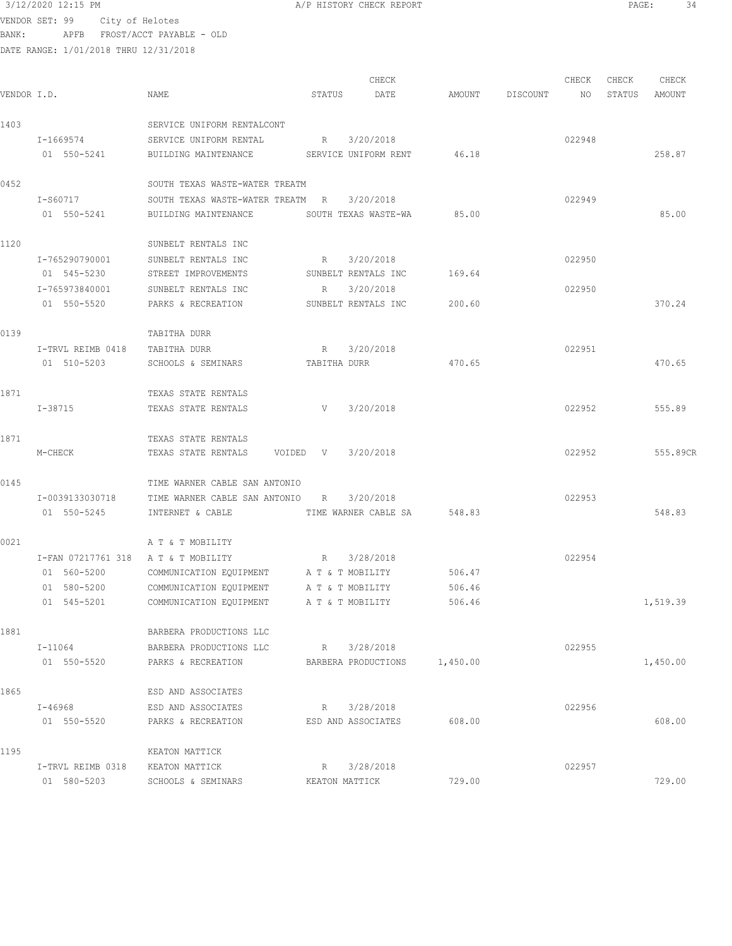## $3/12/2020$  12:15 PM  $A/P$  HISTORY CHECK REPORT PAGE: 34 VENDOR SET: 99 City of Helotes

BANK: APFB FROST/ACCT PAYABLE - OLD

|             |                                     |                                           | CHECK                      |          |          | CHECK  | CHECK  | CHECK    |
|-------------|-------------------------------------|-------------------------------------------|----------------------------|----------|----------|--------|--------|----------|
| VENDOR I.D. |                                     | NAME                                      | STATUS<br>DATE             | AMOUNT   | DISCOUNT | NO     | STATUS | AMOUNT   |
| 1403        |                                     | SERVICE UNIFORM RENTALCONT                |                            |          |          |        |        |          |
|             | I-1669574                           | SERVICE UNIFORM RENTAL                    | 3/20/2018<br>R             |          |          | 022948 |        |          |
|             | 01 550-5241                         | BUILDING MAINTENANCE                      | SERVICE UNIFORM RENT       | 46.18    |          |        |        | 258.87   |
| 0452        |                                     | SOUTH TEXAS WASTE-WATER TREATM            |                            |          |          |        |        |          |
|             | I-S60717                            | SOUTH TEXAS WASTE-WATER TREATM R          | 3/20/2018                  |          |          | 022949 |        |          |
|             | 01 550-5241                         | BUILDING MAINTENANCE SOUTH TEXAS WASTE-WA |                            | 85.00    |          |        |        | 85.00    |
| 1120        |                                     | SUNBELT RENTALS INC                       |                            |          |          |        |        |          |
|             | I-765290790001                      | SUNBELT RENTALS INC                       | 3/20/2018<br>R             |          |          | 022950 |        |          |
|             | 01 545-5230                         | STREET IMPROVEMENTS                       | SUNBELT RENTALS INC        | 169.64   |          |        |        |          |
|             | I-765973840001                      | SUNBELT RENTALS INC                       | 3/20/2018<br>R             |          |          | 022950 |        |          |
|             | 01 550-5520                         | PARKS & RECREATION                        | SUNBELT RENTALS INC        | 200.60   |          |        |        | 370.24   |
| 0139        |                                     | TABITHA DURR                              |                            |          |          |        |        |          |
|             | I-TRVL REIMB 0418                   | TABITHA DURR                              | R<br>3/20/2018             |          |          | 022951 |        |          |
|             | 01 510-5203                         | SCHOOLS & SEMINARS                        | TABITHA DURR               | 470.65   |          |        |        | 470.65   |
| 1871        |                                     | TEXAS STATE RENTALS                       |                            |          |          |        |        |          |
|             | I-38715                             | TEXAS STATE RENTALS                       | 3/20/2018<br>$V$ and $V$   |          |          | 022952 |        | 555.89   |
| 1871        |                                     | TEXAS STATE RENTALS                       |                            |          |          |        |        |          |
|             | M-CHECK                             | TEXAS STATE RENTALS                       | 3/20/2018<br>VOIDED V      |          |          | 022952 |        | 555.89CR |
| 0145        |                                     | TIME WARNER CABLE SAN ANTONIO             |                            |          |          |        |        |          |
|             | I-0039133030718                     | TIME WARNER CABLE SAN ANTONIO R           | 3/20/2018                  |          |          | 022953 |        |          |
|             | 01 550-5245                         | INTERNET & CABLE                          | TIME WARNER CABLE SA       | 548.83   |          |        |        | 548.83   |
| 0021        |                                     | A T & T MOBILITY                          |                            |          |          |        |        |          |
|             | I-FAN 07217761 318 A T & T MOBILITY |                                           | 3/28/2018<br>$R_{\rm max}$ |          |          | 022954 |        |          |
|             | 01 560-5200                         | COMMUNICATION EQUIPMENT A T & T MOBILITY  |                            | 506.47   |          |        |        |          |
|             | 01 580-5200                         | COMMUNICATION EQUIPMENT                   | A T & T MOBILITY           | 506.46   |          |        |        |          |
|             | 01 545-5201                         | COMMUNICATION EQUIPMENT                   | A T & T MOBILITY           | 506.46   |          |        |        | 1,519.39 |
| 1881        |                                     | BARBERA PRODUCTIONS LLC                   |                            |          |          |        |        |          |
|             | I-11064                             | BARBERA PRODUCTIONS LLC                   | 3/28/2018<br>R             |          |          | 022955 |        |          |
|             | 01 550-5520                         | PARKS & RECREATION                        | BARBERA PRODUCTIONS        | 1,450.00 |          |        |        | 1,450.00 |
| 1865        |                                     | ESD AND ASSOCIATES                        |                            |          |          |        |        |          |
|             | I-46968                             | ESD AND ASSOCIATES                        | 3/28/2018<br>R             |          |          | 022956 |        |          |
|             | 01 550-5520                         | PARKS & RECREATION                        | ESD AND ASSOCIATES         | 608.00   |          |        |        | 608.00   |
| 1195        |                                     | KEATON MATTICK                            |                            |          |          |        |        |          |
|             | I-TRVL REIMB 0318                   | KEATON MATTICK                            | 3/28/2018<br>R             |          |          | 022957 |        |          |
|             | 01 580-5203                         | SCHOOLS & SEMINARS                        | KEATON MATTICK             | 729.00   |          |        |        | 729.00   |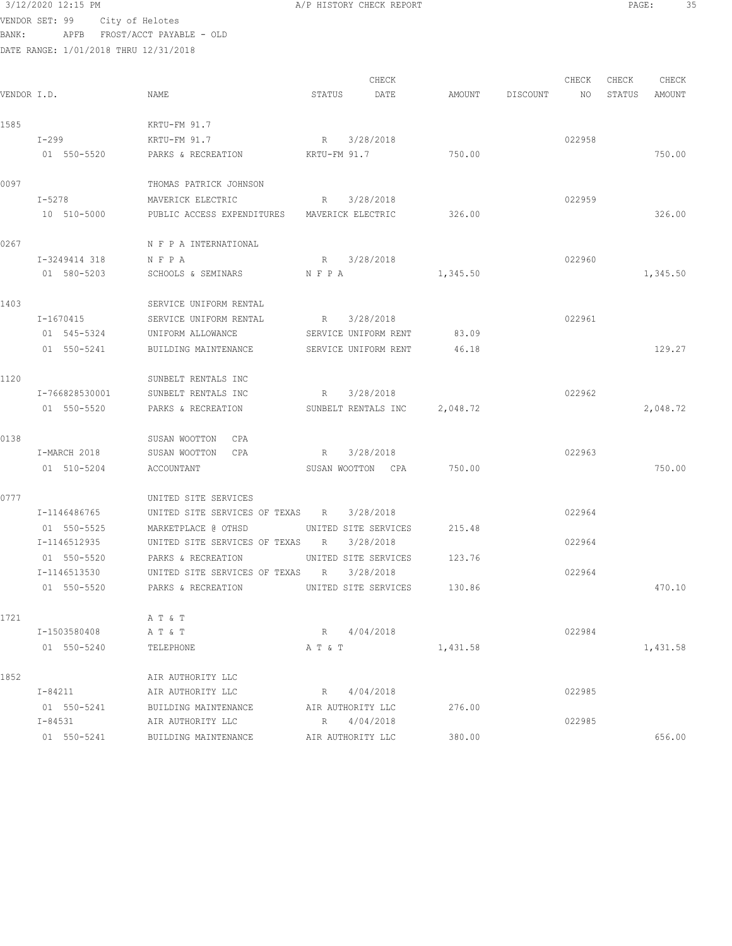3/12/2020 12:15 PM A/P HISTORY CHECK REPORT PAGE: 35 VENDOR SET: 99 City of Helotes BANK: APFB FROST/ACCT PAYABLE - OLD DATE RANGE: 1/01/2018 THRU 12/31/2018

CHECK CHECK CHECK CHECK CHECK CHECK CHECK CHECK CHECK CHECK CHECK CHECK CHECK CHECK CHECK CHECK CHECK CHECK CHECK CHECK CHECK CHECK CHECK CHECK CHECK CHECK CHECK CHECK CHECK CHECK CHECK CHECK CHECK CHECK CHECK CHECK CHECK VENDOR I.D. NAME STATUS DATE AMOUNT DISCOUNT NO STATUS AMOUNT 1585 KRTU-FM 91.7 I-299 KRTU-FM 91.7 R 3/28/2018 022958 01 550-5520 PARKS & RECREATION KRTU-FM 91.7 750.00 750.00 0097 THOMAS PATRICK JOHNSON I-5278 MAVERICK ELECTRIC R 3/28/2018 022959 10 510-5000 PUBLIC ACCESS EXPENDITURES MAVERICK ELECTRIC 326.00 326.00 0267 N F P A INTERNATIONAL I-3249414 318 N F P A R 3/28/2018 022960 01 580-5203 SCHOOLS & SEMINARS N F P A 1,345.50 1,345.50 1,345.50 1403 SERVICE UNIFORM RENTAL I-1670415 SERVICE UNIFORM RENTAL R 3/28/2018 022961 01 545-5324 UNIFORM ALLOWANCE SERVICE UNIFORM RENT 83.09 01 550-5241 BUILDING MAINTENANCE SERVICE UNIFORM RENT 46.18 129.27 1120 SUNBELT RENTALS INC I-766828530001 SUNBELT RENTALS INC R 3/28/2018 022962 01 550-5520 PARKS & RECREATION SUNBELT RENTALS INC 2,048.72 0138 SUSAN WOOTTON CPA I-MARCH 2018 SUSAN WOOTTON CPA R 3/28/2018 022963 01 510-5204 ACCOUNTANT SUSAN WOOTTON CPA 750.00 750.00 0777 UNITED SITE SERVICES I-1146486765 UNITED SITE SERVICES OF TEXAS R 3/28/2018 022964 01 550-5525 MARKETPLACE @ OTHSD UNITED SITE SERVICES 215.48 I-1146512935 UNITED SITE SERVICES OF TEXAS R 3/28/2018 022964 01 550-5520 PARKS & RECREATION UNITED SITE SERVICES 123.76 I-1146513530 UNITED SITE SERVICES OF TEXAS R 3/28/2018 022964 01 550-5520 PARKS & RECREATION UNITED SITE SERVICES 130.86 470.10 1721 A T & T I-1503580408 A T & T R 4/04/2018 022984 01 550-5240 TELEPHONE A T & T 1,431.58 1,431.58 1,431.58 1852 **AIR AUTHORITY LLC** I-84211 AIR AUTHORITY LLC R 4/04/2018 8 (22985 01 550-5241 BUILDING MAINTENANCE AIR AUTHORITY LLC 276.00 I-84531 AIR AUTHORITY LLC R 4/04/2018 022985 01 550-5241 BUILDING MAINTENANCE AIR AUTHORITY LLC 380.00 656.00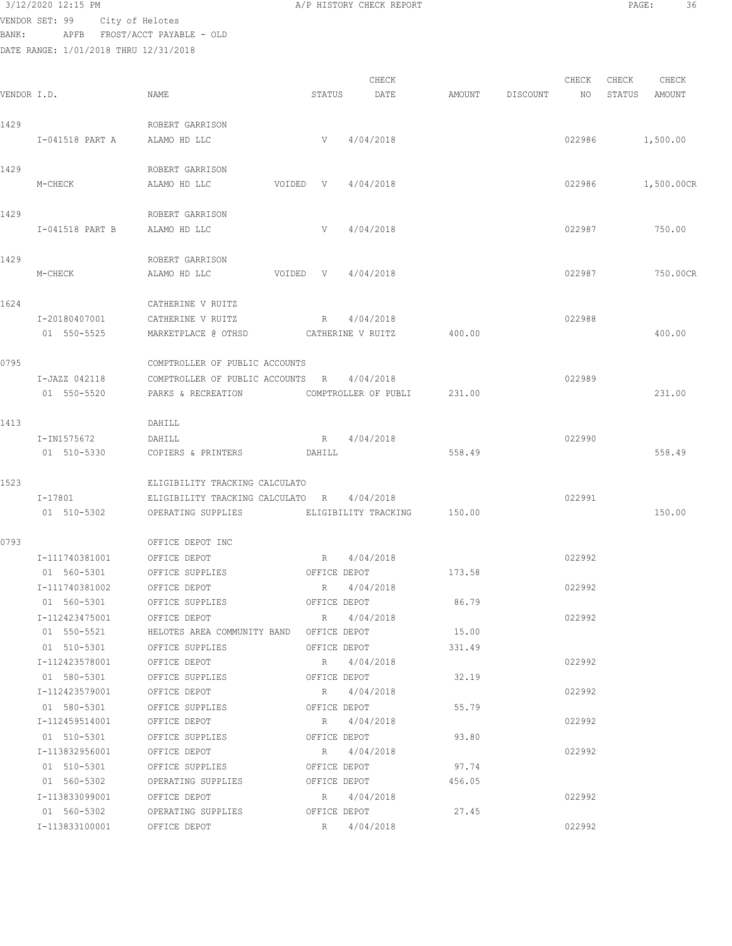VENDOR SET: 99 City of Helotes BANK: APFB FROST/ACCT PAYABLE - OLD

|             |                 |                                            |              | CHECK                       |        |          | CHECK  | CHECK  | CHECK      |
|-------------|-----------------|--------------------------------------------|--------------|-----------------------------|--------|----------|--------|--------|------------|
| VENDOR I.D. |                 | NAME                                       | STATUS       | DATE                        | AMOUNT | DISCOUNT | NO     | STATUS | AMOUNT     |
| 1429        |                 | ROBERT GARRISON                            |              |                             |        |          |        |        |            |
|             | I-041518 PART A | ALAMO HD LLC                               |              | V 4/04/2018                 |        |          | 022986 |        | 1,500.00   |
| 1429        |                 | ROBERT GARRISON                            |              |                             |        |          |        |        |            |
|             | M-CHECK         | ALAMO HD LLC                               | VOIDED V     | 4/04/2018                   |        |          | 022986 |        | 1,500.00CR |
| 1429        |                 | ROBERT GARRISON                            |              |                             |        |          |        |        |            |
|             | I-041518 PART B | ALAMO HD LLC                               | V            | 4/04/2018                   |        |          | 022987 |        | 750.00     |
| 1429        |                 | ROBERT GARRISON                            |              |                             |        |          |        |        |            |
|             | M-CHECK         | ALAMO HD LLC<br>VOIDED                     | V            | 4/04/2018                   |        |          | 022987 |        | 750.00CR   |
| 1624        |                 | CATHERINE V RUITZ                          |              |                             |        |          |        |        |            |
|             | I-20180407001   | CATHERINE V RUITZ                          | R            | 4/04/2018                   |        |          | 022988 |        |            |
|             | 01 550-5525     | MARKETPLACE @ OTHSD                        |              | CATHERINE V RUITZ           | 400.00 |          |        |        | 400.00     |
| 0795        |                 | COMPTROLLER OF PUBLIC ACCOUNTS             |              |                             |        |          |        |        |            |
|             | I-JAZZ 042118   | COMPTROLLER OF PUBLIC ACCOUNTS R 4/04/2018 |              |                             |        |          | 022989 |        |            |
|             | 01 550-5520     | PARKS & RECREATION                         |              | COMPTROLLER OF PUBLI        | 231.00 |          |        |        | 231.00     |
| 1413        |                 | DAHILL                                     |              |                             |        |          |        |        |            |
|             | I-IN1575672     | DAHILL                                     |              | R 4/04/2018                 |        |          | 022990 |        |            |
|             | 01 510-5330     | COPIERS & PRINTERS                         | DAHILL       |                             | 558.49 |          |        |        | 558.49     |
| 1523        |                 | ELIGIBILITY TRACKING CALCULATO             |              |                             |        |          |        |        |            |
|             | $I-17801$       | ELIGIBILITY TRACKING CALCULATO R 4/04/2018 |              |                             |        |          | 022991 |        |            |
|             | 01 510-5302     | OPERATING SUPPLIES                         |              | ELIGIBILITY TRACKING 150.00 |        |          |        |        | 150.00     |
| 0793        |                 | OFFICE DEPOT INC                           |              |                             |        |          |        |        |            |
|             | I-111740381001  | OFFICE DEPOT                               | R            | 4/04/2018                   |        |          | 022992 |        |            |
|             | 01 560-5301     | OFFICE SUPPLIES                            | OFFICE DEPOT |                             | 173.58 |          |        |        |            |
|             | I-111740381002  | OFFICE DEPOT                               | R            | 4/04/2018                   |        |          | 022992 |        |            |
|             | 01 560-5301     | OFFICE SUPPLIES                            | OFFICE DEPOT |                             | 86.79  |          |        |        |            |
|             | I-112423475001  | OFFICE DEPOT                               |              | R 4/04/2018                 |        |          | 022992 |        |            |
|             | 01 550-5521     | HELOTES AREA COMMUNITY BAND OFFICE DEPOT   |              |                             | 15.00  |          |        |        |            |
|             | 01 510-5301     | OFFICE SUPPLIES                            | OFFICE DEPOT |                             | 331.49 |          |        |        |            |
|             | I-112423578001  | OFFICE DEPOT                               | $R_{\perp}$  | 4/04/2018                   |        |          | 022992 |        |            |
|             | 01 580-5301     | OFFICE SUPPLIES                            | OFFICE DEPOT |                             | 32.19  |          |        |        |            |
|             | I-112423579001  | OFFICE DEPOT                               | R            | 4/04/2018                   |        |          | 022992 |        |            |
|             | 01 580-5301     | OFFICE SUPPLIES                            | OFFICE DEPOT |                             | 55.79  |          |        |        |            |
|             | I-112459514001  | OFFICE DEPOT                               | R            | 4/04/2018                   |        |          | 022992 |        |            |
|             | 01 510-5301     | OFFICE SUPPLIES                            | OFFICE DEPOT |                             | 93.80  |          |        |        |            |
|             | I-113832956001  | OFFICE DEPOT                               |              | R 4/04/2018                 |        |          | 022992 |        |            |
|             | 01 510-5301     | OFFICE SUPPLIES                            | OFFICE DEPOT |                             | 97.74  |          |        |        |            |
|             | 01 560-5302     | OPERATING SUPPLIES                         | OFFICE DEPOT |                             | 456.05 |          |        |        |            |
|             | I-113833099001  | OFFICE DEPOT                               |              | R 4/04/2018                 |        |          | 022992 |        |            |
|             | 01 560-5302     | OPERATING SUPPLIES                         | OFFICE DEPOT |                             | 27.45  |          |        |        |            |
|             | I-113833100001  | OFFICE DEPOT                               | R            | 4/04/2018                   |        |          | 022992 |        |            |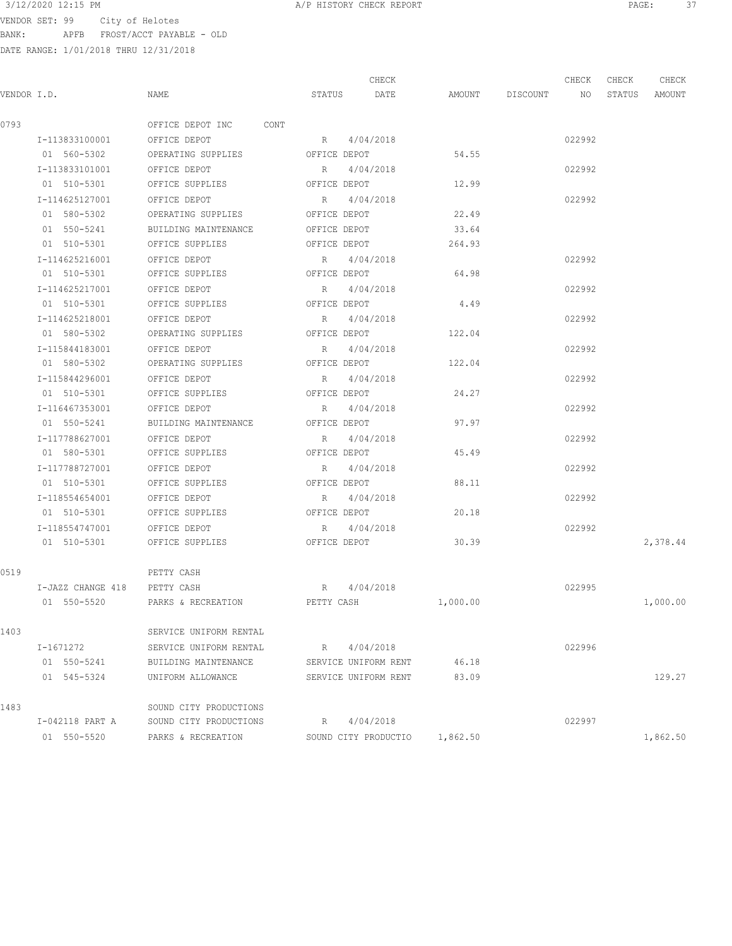$3/12/2020$  12:15 PM  $A/P$  HISTORY CHECK REPORT  $\overline{PAGE}$ : 37 VENDOR SET: 99 City of Helotes

BANK: APFB FROST/ACCT PAYABLE - OLD

|             |                              |                                 |              | CHECK                |          |                    | CHECK  | CHECK  | CHECK    |
|-------------|------------------------------|---------------------------------|--------------|----------------------|----------|--------------------|--------|--------|----------|
| VENDOR I.D. |                              | NAME                            | STATUS       | DATE                 |          | AMOUNT DISCOUNT NO |        | STATUS | AMOUNT   |
| 0793        |                              | OFFICE DEPOT INC CONT           |              |                      |          |                    |        |        |          |
|             | I-113833100001 OFFICE DEPOT  |                                 | R 4/04/2018  |                      |          |                    | 022992 |        |          |
|             |                              | 01 560-5302 OPERATING SUPPLIES  | OFFICE DEPOT |                      | 54.55    |                    |        |        |          |
|             | I-113833101001               | OFFICE DEPOT                    | $R_{\rm c}$  | 4/04/2018            |          |                    | 022992 |        |          |
|             | 01 510-5301                  | OFFICE SUPPLIES                 | OFFICE DEPOT |                      | 12.99    |                    |        |        |          |
|             | I-114625127001               | OFFICE DEPOT                    | R            | 4/04/2018            |          |                    | 022992 |        |          |
|             | 01 580-5302                  | OPERATING SUPPLIES              | OFFICE DEPOT |                      | 22.49    |                    |        |        |          |
|             | 01 550-5241                  | BUILDING MAINTENANCE            | OFFICE DEPOT |                      | 33.64    |                    |        |        |          |
|             | 01 510-5301                  | OFFICE SUPPLIES                 | OFFICE DEPOT |                      | 264.93   |                    |        |        |          |
|             | I-114625216001               | OFFICE DEPOT                    | R 4/04/2018  |                      |          |                    | 022992 |        |          |
|             | 01 510-5301                  | OFFICE SUPPLIES                 | OFFICE DEPOT |                      | 64.98    |                    |        |        |          |
|             | I-114625217001               | OFFICE DEPOT                    | R 4/04/2018  |                      |          |                    | 022992 |        |          |
|             | 01 510-5301                  | OFFICE SUPPLIES                 | OFFICE DEPOT |                      | 4.49     |                    |        |        |          |
|             | I-114625218001               | OFFICE DEPOT                    | R 4/04/2018  |                      |          |                    | 022992 |        |          |
|             | 01 580-5302                  | OPERATING SUPPLIES OFFICE DEPOT |              |                      | 122.04   |                    |        |        |          |
|             | I-115844183001               | OFFICE DEPOT                    | R 4/04/2018  |                      |          |                    | 022992 |        |          |
|             | 01 580-5302                  | OPERATING SUPPLIES              | OFFICE DEPOT |                      | 122.04   |                    |        |        |          |
|             | I-115844296001               | OFFICE DEPOT                    | R 4/04/2018  |                      |          |                    | 022992 |        |          |
|             | 01 510-5301                  | OFFICE SUPPLIES                 | OFFICE DEPOT |                      | 24.27    |                    |        |        |          |
|             | I-116467353001               | OFFICE DEPOT                    | R 4/04/2018  |                      |          |                    | 022992 |        |          |
|             | 01 550-5241                  | BUILDING MAINTENANCE            | OFFICE DEPOT |                      | 97.97    |                    |        |        |          |
|             | I-117788627001               | OFFICE DEPOT                    | R            | 4/04/2018            |          |                    | 022992 |        |          |
|             | 01 580-5301                  | OFFICE SUPPLIES                 | OFFICE DEPOT |                      | 45.49    |                    |        |        |          |
|             | I-117788727001               | OFFICE DEPOT                    | R            | 4/04/2018            |          |                    | 022992 |        |          |
|             | 01 510-5301                  | OFFICE SUPPLIES                 | OFFICE DEPOT |                      | 88.11    |                    |        |        |          |
|             | I-118554654001               | OFFICE DEPOT                    | R            | 4/04/2018            |          |                    | 022992 |        |          |
|             | 01 510-5301                  | OFFICE SUPPLIES                 | OFFICE DEPOT |                      | 20.18    |                    |        |        |          |
|             | I-118554747001               | OFFICE DEPOT                    | $R_{\rm c}$  | 4/04/2018            |          |                    | 022992 |        |          |
|             | 01 510-5301                  | OFFICE SUPPLIES                 | OFFICE DEPOT |                      | 30.39    |                    |        |        | 2,378.44 |
| 0519        |                              | PETTY CASH                      |              |                      |          |                    |        |        |          |
|             | I-JAZZ CHANGE 418 PETTY CASH |                                 | R 4/04/2018  |                      |          |                    | 022995 |        |          |
|             | 01 550-5520                  | PARKS & RECREATION              | PETTY CASH   |                      | 1,000.00 |                    |        |        | 1,000.00 |
| 1403        |                              | SERVICE UNIFORM RENTAL          |              |                      |          |                    |        |        |          |
|             | I-1671272                    | SERVICE UNIFORM RENTAL          | R            | 4/04/2018            |          |                    | 022996 |        |          |
|             | 01 550-5241                  | BUILDING MAINTENANCE            |              | SERVICE UNIFORM RENT | 46.18    |                    |        |        |          |
|             | 01 545-5324                  | UNIFORM ALLOWANCE               |              | SERVICE UNIFORM RENT | 83.09    |                    |        |        | 129.27   |
| 1483        |                              | SOUND CITY PRODUCTIONS          |              |                      |          |                    |        |        |          |
|             | I-042118 PART A              | SOUND CITY PRODUCTIONS          | R            | 4/04/2018            |          |                    | 022997 |        |          |
|             | 01 550-5520                  | PARKS & RECREATION              |              | SOUND CITY PRODUCTIO | 1,862.50 |                    |        |        | 1,862.50 |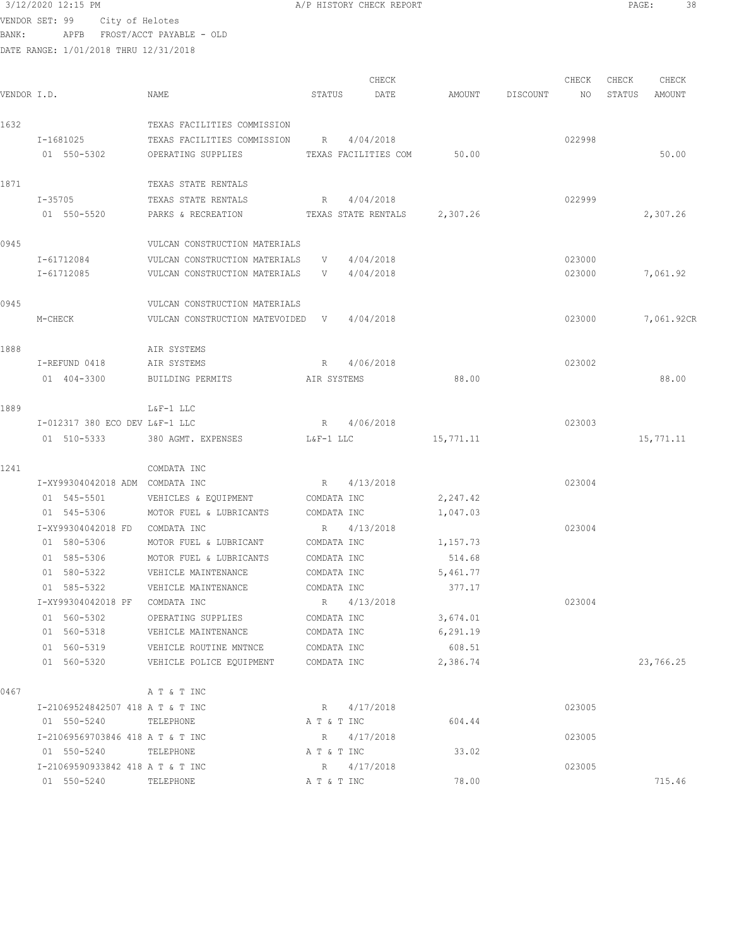3/12/2020 12:15 PM **A/P HISTORY CHECK REPORT PAGE:** 38<br>
VENDOR SET · 99 ACHI OF Unlisted

VENDOR SET: 99 City of Helotes BANK: APFB FROST/ACCT PAYABLE - OLD

|             |                                  |                                            |             | CHECK                        |           |          | CHECK  | CHECK  | CHECK      |
|-------------|----------------------------------|--------------------------------------------|-------------|------------------------------|-----------|----------|--------|--------|------------|
| VENDOR I.D. |                                  | NAME                                       | STATUS      | DATE                         | AMOUNT    | DISCOUNT | NO     | STATUS | AMOUNT     |
| 1632        |                                  | TEXAS FACILITIES COMMISSION                |             |                              |           |          |        |        |            |
|             | I-1681025                        | TEXAS FACILITIES COMMISSION                | R           | 4/04/2018                    |           |          | 022998 |        |            |
|             | 01 550-5302                      | OPERATING SUPPLIES                         |             | TEXAS FACILITIES COM         | 50.00     |          |        |        | 50.00      |
| 1871        |                                  | TEXAS STATE RENTALS                        |             |                              |           |          |        |        |            |
|             | I-35705                          | TEXAS STATE RENTALS                        | R           | 4/04/2018                    |           |          | 022999 |        |            |
|             | 01 550-5520                      | PARKS & RECREATION                         |             | TEXAS STATE RENTALS 2,307.26 |           |          |        |        | 2,307.26   |
| 0945        |                                  | VULCAN CONSTRUCTION MATERIALS              |             |                              |           |          |        |        |            |
|             | I-61712084                       | VULCAN CONSTRUCTION MATERIALS              | V           | 4/04/2018                    |           |          | 023000 |        |            |
|             | I-61712085                       | VULCAN CONSTRUCTION MATERIALS              | V —         | 4/04/2018                    |           |          | 023000 |        | 7,061.92   |
| 0945        |                                  | VULCAN CONSTRUCTION MATERIALS              |             |                              |           |          |        |        |            |
|             | M-CHECK                          | VULCAN CONSTRUCTION MATEVOIDED V 4/04/2018 |             |                              |           |          | 023000 |        | 7,061.92CR |
| 1888        |                                  | AIR SYSTEMS                                |             |                              |           |          |        |        |            |
|             | I-REFUND 0418                    | AIR SYSTEMS                                |             | R 4/06/2018                  |           |          | 023002 |        |            |
|             | 01 404-3300                      | BUILDING PERMITS                           | AIR SYSTEMS |                              | 88.00     |          |        |        | 88.00      |
| 1889        |                                  | L&F-1 LLC                                  |             |                              |           |          |        |        |            |
|             | I-012317 380 ECO DEV L&F-1 LLC   |                                            |             | R 4/06/2018                  |           |          | 023003 |        |            |
|             | 01 510-5333                      | 380 AGMT. EXPENSES                         | L&F-1 LLC   |                              | 15,771.11 |          |        |        | 15,771.11  |
| 1241        |                                  | COMDATA INC                                |             |                              |           |          |        |        |            |
|             | I-XY99304042018 ADM COMDATA INC  |                                            | R           | 4/13/2018                    |           |          | 023004 |        |            |
|             | 01 545-5501                      | VEHICLES & EQUIPMENT                       | COMDATA INC |                              | 2,247.42  |          |        |        |            |
|             | 01 545-5306                      | MOTOR FUEL & LUBRICANTS                    | COMDATA INC |                              | 1,047.03  |          |        |        |            |
|             | I-XY99304042018 FD               | COMDATA INC                                |             | R 4/13/2018                  |           |          | 023004 |        |            |
|             | 01 580-5306                      | MOTOR FUEL & LUBRICANT                     | COMDATA INC |                              | 1,157.73  |          |        |        |            |
|             | 01 585-5306                      | MOTOR FUEL & LUBRICANTS                    | COMDATA INC |                              | 514.68    |          |        |        |            |
|             | 01 580-5322                      | VEHICLE MAINTENANCE                        | COMDATA INC |                              | 5,461.77  |          |        |        |            |
|             | 01 585-5322                      | VEHICLE MAINTENANCE                        | COMDATA INC |                              | 377.17    |          |        |        |            |
|             | I-XY99304042018 PF               | COMDATA INC                                |             | R 4/13/2018                  |           |          | 023004 |        |            |
|             | 01 560-5302                      | OPERATING SUPPLIES                         | COMDATA INC |                              | 3,674.01  |          |        |        |            |
|             | 01 560-5318                      | VEHICLE MAINTENANCE                        | COMDATA INC |                              | 6,291.19  |          |        |        |            |
|             | 01 560-5319                      | VEHICLE ROUTINE MNTNCE                     | COMDATA INC |                              | 608.51    |          |        |        |            |
|             | 01 560-5320                      | VEHICLE POLICE EQUIPMENT                   | COMDATA INC |                              | 2,386.74  |          |        |        | 23,766.25  |
| 0467        |                                  | A T & T INC                                |             |                              |           |          |        |        |            |
|             | I-21069524842507 418 A T & T INC |                                            |             | R 4/17/2018                  |           |          | 023005 |        |            |
|             | 01 550-5240                      | TELEPHONE                                  | A T & T INC |                              | 604.44    |          |        |        |            |
|             | I-21069569703846 418 A T & T INC |                                            |             | R 4/17/2018                  |           |          | 023005 |        |            |
|             | 01 550-5240 TELEPHONE            |                                            | A T & T INC |                              | 33.02     |          |        |        |            |
|             | I-21069590933842 418 A T & T INC |                                            | R           | 4/17/2018                    |           |          | 023005 |        |            |
|             | 01 550-5240                      | TELEPHONE                                  | A T & T INC |                              | 78.00     |          |        |        | 715.46     |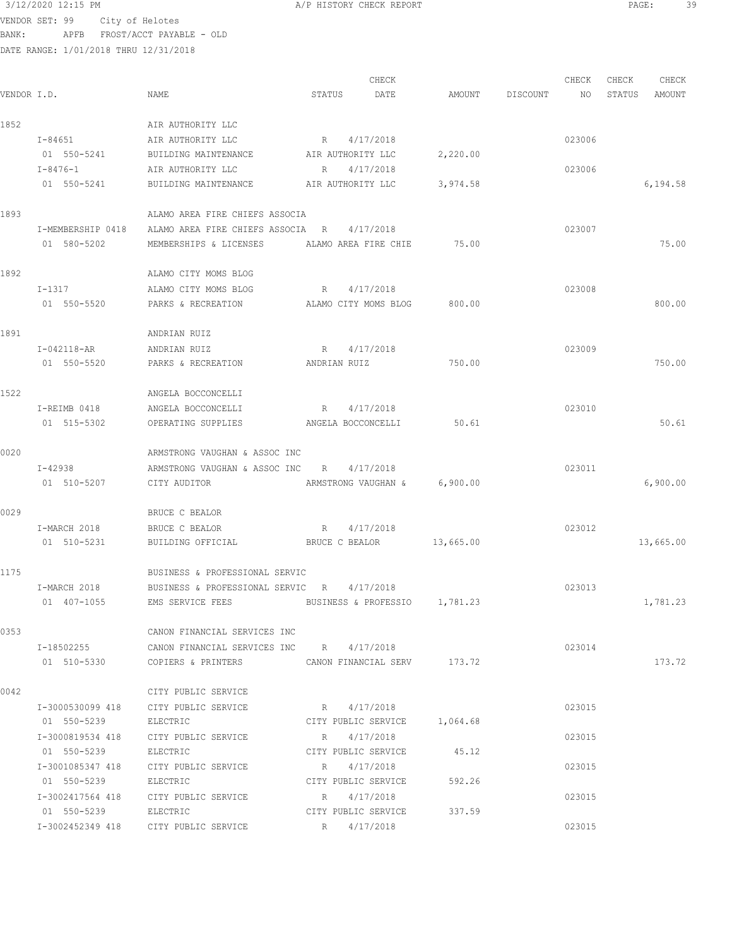VENDOR SET: 99 City of Helotes BANK: APFB FROST/ACCT PAYABLE - OLD

DATE RANGE: 1/01/2018 THRU 12/31/2018

CHECK CHECK CHECK CHECK CHECK CHECK CHECK CHECK CHECK CHECK CHECK CHECK CHECK CHECK CHECK CHECK CHECK CHECK CHECK CHECK CHECK CHECK CHECK CHECK CHECK CHECK CHECK CHECK CHECK CHECK CHECK CHECK CHECK CHECK CHECK CHECK CHECK VENDOR I.D. NAME STATUS DATE AMOUNT DISCOUNT NO STATUS AMOUNT 1852 <br>
1-84651 <br>
1-84651 <br>
1-850-5241 BUILDING MAINTENANCE I-84651 AIR AUTHORITY LLC R 4/17/2018 023006 BUILDING MAINTENANCE AIR AUTHORITY LLC 2,220.00 I-8476-1 AIR AUTHORITY LLC R 4/17/2018 023006 01 550-5241 BUILDING MAINTENANCE AIR AUTHORITY LLC 3,974.58 6,194.58 6,194.58 1893 ALAMO AREA FIRE CHIEFS ASSOCIA I-MEMBERSHIP 0418 ALAMO AREA FIRE CHIEFS ASSOCIA R 4/17/2018 023007 01 580-5202 MEMBERSHIPS & LICENSES ALAMO AREA FIRE CHIE 75.00 75.00 1892 ALAMO CITY MOMS BLOG I-1317 ALAMO CITY MOMS BLOG R 4/17/2018 023008 01 550-5520 PARKS & RECREATION ALAMO CITY MOMS BLOG 800.00 800.00 1891 **ANDRIAN RUIZ**  I-042118-AR ANDRIAN RUIZ R 4/17/2018 023009 01 550-5520 PARKS & RECREATION ANDRIAN RUIZ 750.00 750.00 1522 ANGELA BOCCONCELLI I-REIMB 0418 ANGELA BOCCONCELLI R 4/17/2018 023010 01 515-5302 OPERATING SUPPLIES ANGELA BOCCONCELLI 50.61 50.61 0020 ARMSTRONG VAUGHAN & ASSOC INC I-42938 ARMSTRONG VAUGHAN & ASSOC INC R 4/17/2018 023011 01 510-5207 CITY AUDITOR ARMSTRONG VAUGHAN & 6,900.00 6,900.00 0029 BRUCE C BEALOR I-MARCH 2018 BRUCE C BEALOR R 4/17/2018<br>
01 510-5231 BUILDING OFFICIAL BRUCE C BEALOR 13,665.00 01 510-5231 BUILDING OFFICIAL BRUCE C BEALOR 13,665.00 13,065.00 13,665.00 1175 BUSINESS & PROFESSIONAL SERVIC I-MARCH 2018 BUSINESS & PROFESSIONAL SERVIC R 4/17/2018 023013 01 407-1055 EMS SERVICE FEES BUSINESS & PROFESSIO 1,781.23 1,781.23 0353 CANON FINANCIAL SERVICES INC I-18502255 CANON FINANCIAL SERVICES INC R 4/17/2018 023014 01 510-5330 COPIERS & PRINTERS CANON FINANCIAL SERV 173.72 173.72 0042 CITY PUBLIC SERVICE I-3000530099 418 CITY PUBLIC SERVICE R 4/17/2018 023015 01 550-5239 ELECTRIC CITY PUBLIC SERVICE 1,064.68 I-3000819534 418 CITY PUBLIC SERVICE R 4/17/2018 023015 01 550-5239 ELECTRIC CITY PUBLIC SERVICE 45.12 I-3001085347 418 CITY PUBLIC SERVICE R 4/17/2018 023015 01 550-5239 ELECTRIC CITY PUBLIC SERVICE 592.26 I-3002417564 418 CITY PUBLIC SERVICE R 4/17/2018 023015 01 550-5239 ELECTRIC CITY PUBLIC SERVICE 337.59 I-3002452349 418 CITY PUBLIC SERVICE R 4/17/2018 023015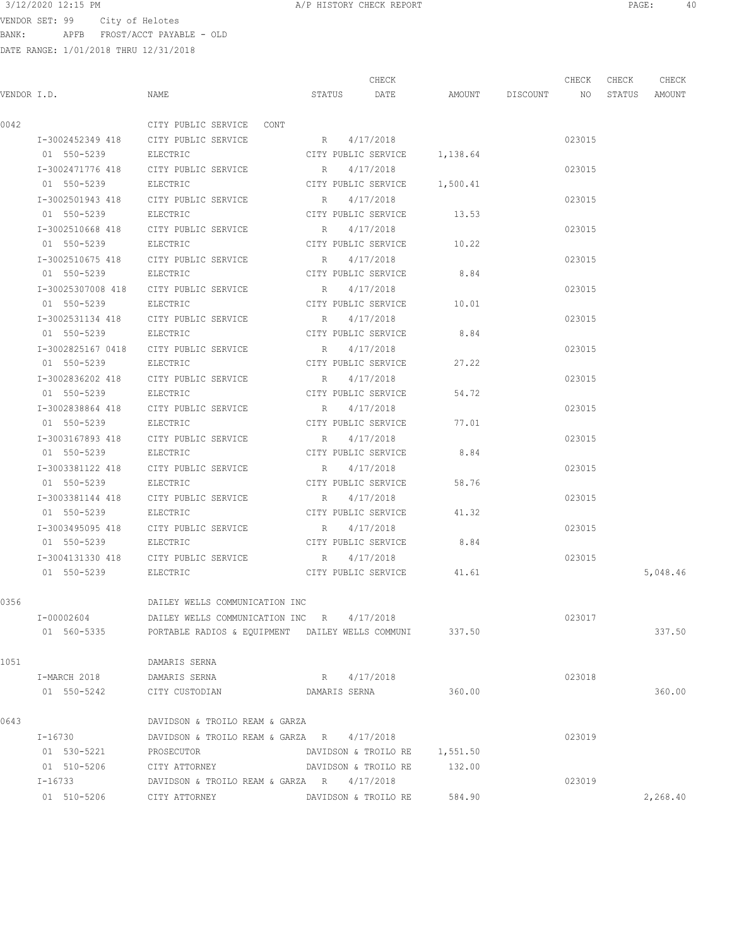$3/12/2020$  12:15 PM  $A/P$  HISTORY CHECK REPORT  $\blacksquare$  PAGE:  $40$ <br>VENDOR SET 99  $\blacksquare$  City of Polotos

VENDOR SET: 99 City of Helotes BANK: APFB FROST/ACCT PAYABLE - OLD

|      |                   |                                                  |                      | CHECK                                  |          |                    | CHECK  | CHECK  | CHECK    |
|------|-------------------|--------------------------------------------------|----------------------|----------------------------------------|----------|--------------------|--------|--------|----------|
|      | VENDOR I.D.       | NAME                                             | STATUS               | DATE                                   |          | AMOUNT DISCOUNT NO |        | STATUS | AMOUNT   |
| 0042 |                   | CITY PUBLIC SERVICE CONT                         |                      |                                        |          |                    |        |        |          |
|      |                   | I-3002452349 418 CITY PUBLIC SERVICE             | R 4/17/2018          |                                        |          |                    | 023015 |        |          |
|      | 01 550-5239       | ELECTRIC                                         |                      | CITY PUBLIC SERVICE 1,138.64           |          |                    |        |        |          |
|      | I-3002471776 418  | CITY PUBLIC SERVICE                              | R                    | 4/17/2018                              |          |                    | 023015 |        |          |
|      | 01 550-5239       | ELECTRIC                                         |                      | CITY PUBLIC SERVICE 1,500.41           |          |                    |        |        |          |
|      | I-3002501943 418  | CITY PUBLIC SERVICE                              | R                    | 4/17/2018                              |          |                    | 023015 |        |          |
|      | 01 550-5239       | ELECTRIC                                         |                      | CITY PUBLIC SERVICE                    | 13.53    |                    |        |        |          |
|      | I-3002510668 418  | CITY PUBLIC SERVICE                              | R                    | 4/17/2018                              |          |                    | 023015 |        |          |
|      | 01 550-5239       | ELECTRIC                                         | CITY PUBLIC SERVICE  |                                        | 10.22    |                    |        |        |          |
|      | I-3002510675 418  | CITY PUBLIC SERVICE                              | $R_{\rm c}$          | 4/17/2018                              |          |                    | 023015 |        |          |
|      | 01 550-5239       | ELECTRIC                                         | CITY PUBLIC SERVICE  |                                        | 8.84     |                    |        |        |          |
|      | I-30025307008 418 | CITY PUBLIC SERVICE                              | $R_{\rm c}$          | 4/17/2018                              |          |                    | 023015 |        |          |
|      | 01 550-5239       | ELECTRIC                                         | CITY PUBLIC SERVICE  |                                        | 10.01    |                    |        |        |          |
|      | I-3002531134 418  | CITY PUBLIC SERVICE                              | R                    | 4/17/2018                              |          |                    | 023015 |        |          |
|      | 01 550-5239       | ELECTRIC                                         |                      | CITY PUBLIC SERVICE                    | 8.84     |                    |        |        |          |
|      | I-3002825167 0418 | CITY PUBLIC SERVICE                              | $R_{\rm{1}}$         | 4/17/2018                              |          |                    | 023015 |        |          |
|      | 01 550-5239       | ELECTRIC                                         |                      | CITY PUBLIC SERVICE                    | 27.22    |                    |        |        |          |
|      | I-3002836202 418  | CITY PUBLIC SERVICE                              | R                    | 4/17/2018                              |          |                    | 023015 |        |          |
|      | 01 550-5239       | ELECTRIC                                         |                      | CITY PUBLIC SERVICE                    | 54.72    |                    |        |        |          |
|      | I-3002838864 418  | CITY PUBLIC SERVICE                              | R                    | 4/17/2018                              |          |                    | 023015 |        |          |
|      | 01 550-5239       | ELECTRIC                                         | CITY PUBLIC SERVICE  |                                        | 77.01    |                    |        |        |          |
|      | I-3003167893 418  | CITY PUBLIC SERVICE                              | R                    | 4/17/2018                              |          |                    | 023015 |        |          |
|      | 01 550-5239       | ELECTRIC                                         | CITY PUBLIC SERVICE  |                                        | 8.84     |                    |        |        |          |
|      | I-3003381122 418  | CITY PUBLIC SERVICE                              | R                    | 4/17/2018                              |          |                    | 023015 |        |          |
|      | 01 550-5239       | ELECTRIC                                         | CITY PUBLIC SERVICE  |                                        | 58.76    |                    |        |        |          |
|      | I-3003381144 418  | CITY PUBLIC SERVICE                              | R                    | 4/17/2018                              |          |                    | 023015 |        |          |
|      | 01 550-5239       | ELECTRIC                                         | CITY PUBLIC SERVICE  |                                        | 41.32    |                    |        |        |          |
|      | I-3003495095 418  | CITY PUBLIC SERVICE                              | R                    | 4/17/2018                              |          |                    | 023015 |        |          |
|      | 01 550-5239       | ELECTRIC                                         |                      | CITY PUBLIC SERVICE                    | 8.84     |                    |        |        |          |
|      | I-3004131330 418  | CITY PUBLIC SERVICE<br>ELECTRIC                  | $R_{\rm c}$          | 4/17/2018<br>CITY PUBLIC SERVICE 41.61 |          |                    | 023015 |        |          |
|      | 01 550-5239       |                                                  |                      |                                        |          |                    |        |        | 5,048.46 |
| 0356 |                   | DAILEY WELLS COMMUNICATION INC                   |                      |                                        |          |                    |        |        |          |
|      | I-00002604        | DAILEY WELLS COMMUNICATION INC R 4/17/2018       |                      |                                        |          |                    | 023017 |        |          |
|      | 01 560-5335       | PORTABLE RADIOS & EQUIPMENT DAILEY WELLS COMMUNI |                      |                                        | 337.50   |                    |        |        | 337.50   |
| 1051 |                   | DAMARIS SERNA                                    |                      |                                        |          |                    |        |        |          |
|      | I-MARCH 2018      | DAMARIS SERNA                                    |                      | R 4/17/2018                            |          |                    | 023018 |        |          |
|      | 01 550-5242       | CITY CUSTODIAN                                   | DAMARIS SERNA        |                                        | 360.00   |                    |        |        | 360.00   |
| 0643 |                   | DAVIDSON & TROILO REAM & GARZA                   |                      |                                        |          |                    |        |        |          |
|      | I-16730           | DAVIDSON & TROILO REAM & GARZA R                 |                      | 4/17/2018                              |          |                    | 023019 |        |          |
|      | 01 530-5221       | PROSECUTOR                                       |                      | DAVIDSON & TROILO RE                   | 1,551.50 |                    |        |        |          |
|      | 01 510-5206       | CITY ATTORNEY                                    |                      | DAVIDSON & TROILO RE                   | 132.00   |                    |        |        |          |
|      | I-16733           | DAVIDSON & TROILO REAM & GARZA R 4/17/2018       |                      |                                        |          |                    | 023019 |        |          |
|      | 01 510-5206       | CITY ATTORNEY                                    | DAVIDSON & TROILO RE |                                        | 584.90   |                    |        |        | 2,268.40 |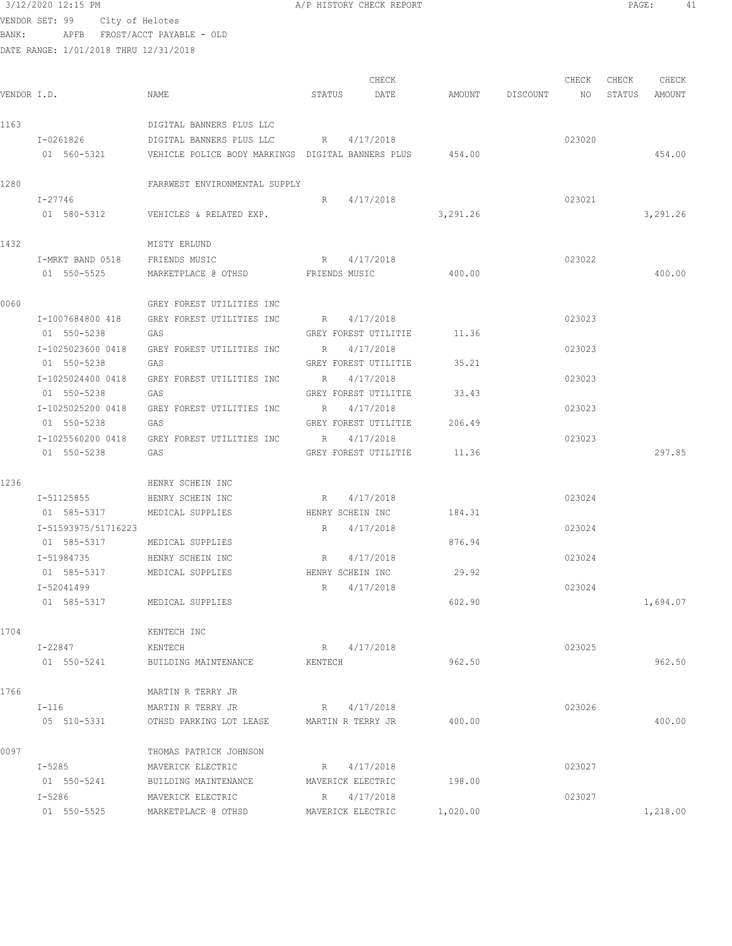3/12/2020 12:15 PM A/P HISTORY CHECK REPORT PAGE: 41 VENDOR SET: 99 City of Helotes BANK: APFB FROST/ACCT PAYABLE - OLD DATE RANGE

|             | DATE RANGE: 1/01/2018 THRU 12/31/2018 |                                                                      |         |                             |          |                                  |        |             |          |
|-------------|---------------------------------------|----------------------------------------------------------------------|---------|-----------------------------|----------|----------------------------------|--------|-------------|----------|
|             |                                       |                                                                      |         | CHECK                       |          |                                  |        | CHECK CHECK | CHECK    |
| VENDOR I.D. |                                       | NAME                                                                 | STATUS  | DATE                        |          | AMOUNT DISCOUNT NO STATUS AMOUNT |        |             |          |
| 1163        |                                       | DIGITAL BANNERS PLUS LLC                                             |         |                             |          |                                  |        |             |          |
|             |                                       | $I-0261826$ DIGITAL BANNERS PLUS LLC R $4/17/2018$                   |         |                             |          |                                  | 023020 |             |          |
|             |                                       | 01 560-5321 VEHICLE POLICE BODY MARKINGS DIGITAL BANNERS PLUS 454.00 |         |                             |          |                                  |        |             | 454.00   |
| 1280        |                                       | FARRWEST ENVIRONMENTAL SUPPLY                                        |         |                             |          |                                  |        |             |          |
|             | I-27746                               |                                                                      |         | R 4/17/2018                 |          |                                  | 023021 |             |          |
|             |                                       | 01 580-5312 VEHICLES & RELATED EXP.                                  |         |                             | 3,291.26 |                                  |        |             | 3,291.26 |
| 1432        |                                       | MISTY ERLUND                                                         |         |                             |          |                                  |        |             |          |
|             | I-MRKT BAND 0518 FRIENDS MUSIC        |                                                                      |         | R 4/17/2018                 |          |                                  | 023022 |             |          |
|             | 01 550-5525                           | MARKETPLACE @ OTHSD FRIENDS MUSIC                                    |         |                             | 400.00   |                                  |        |             | 400.00   |
| 0060        |                                       | GREY FOREST UTILITIES INC                                            |         |                             |          |                                  |        |             |          |
|             | I-1007684800 418                      | GREY FOREST UTILITIES INC                                            |         | R 4/17/2018                 |          |                                  | 023023 |             |          |
|             | 01 550-5238                           | GAS                                                                  |         | GREY FOREST UTILITIE 11.36  |          |                                  |        |             |          |
|             | I-1025023600 0418                     | GREY FOREST UTILITIES INC                                            | R       | 4/17/2018                   |          |                                  | 023023 |             |          |
|             | 01 550-5238                           | GAS                                                                  |         | GREY FOREST UTILITIE        | 35.21    |                                  |        |             |          |
|             | I-1025024400 0418                     | GREY FOREST UTILITIES INC                                            | R       | 4/17/2018                   |          |                                  | 023023 |             |          |
|             | 01 550-5238                           | GAS                                                                  |         | GREY FOREST UTILITIE 33.43  |          |                                  |        |             |          |
|             | I-1025025200 0418                     | GREY FOREST UTILITIES INC                                            |         | R 4/17/2018                 |          |                                  | 023023 |             |          |
|             | 01 550-5238                           | GAS                                                                  |         | GREY FOREST UTILITIE 206.49 |          |                                  |        |             |          |
|             |                                       | I-1025560200 0418 GREY FOREST UTILITIES INC                          |         | R 4/17/2018                 |          |                                  | 023023 |             |          |
|             | 01 550-5238                           | GAS                                                                  |         | GREY FOREST UTILITIE 11.36  |          |                                  |        |             | 297.85   |
| 1236        |                                       | HENRY SCHEIN INC                                                     |         |                             |          |                                  |        |             |          |
|             | I-51125855 HENRY SCHEIN INC           |                                                                      |         | R 4/17/2018                 |          |                                  | 023024 |             |          |
|             | 01 585-5317 MEDICAL SUPPLIES          |                                                                      |         | HENRY SCHEIN INC 184.31     |          |                                  |        |             |          |
|             | I-51593975/51716223                   |                                                                      |         | R 4/17/2018                 |          |                                  | 023024 |             |          |
|             | 01 585-5317 MEDICAL SUPPLIES          |                                                                      |         |                             | 876.94   |                                  |        |             |          |
|             | I-51984735                            | HENRY SCHEIN INC                                                     |         | R 4/17/2018                 |          |                                  | 023024 |             |          |
|             | 01 585-5317                           | MEDICAL SUPPLIES HENRY SCHEIN INC                                    |         |                             | 29.92    |                                  |        |             |          |
|             | I-52041499                            |                                                                      | R       | 4/17/2018                   |          |                                  | 023024 |             |          |
|             | 01 585-5317                           | MEDICAL SUPPLIES                                                     |         |                             | 602.90   |                                  |        |             | 1,694.07 |
| 1704        |                                       | KENTECH INC                                                          |         |                             |          |                                  |        |             |          |
|             | I-22847                               | KENTECH                                                              |         | R 4/17/2018                 |          |                                  | 023025 |             |          |
|             | 01 550-5241                           | BUILDING MAINTENANCE                                                 | KENTECH |                             | 962.50   |                                  |        |             | 962.50   |
| 1766        |                                       | MARTIN R TERRY JR                                                    |         |                             |          |                                  |        |             |          |
|             | $I-116$                               | MARTIN R TERRY JR                                                    |         | R 4/17/2018                 |          |                                  | 023026 |             |          |
|             | 05 510-5331                           | OTHSD PARKING LOT LEASE                                              |         | MARTIN R TERRY JR           | 400.00   |                                  |        |             | 400.00   |

| 0097           | THOMAS PATRICK JOHNSON |                   |          |        |          |
|----------------|------------------------|-------------------|----------|--------|----------|
| $I - 5285$     | MAVERICK ELECTRIC      | 4/17/2018<br>R    |          | 023027 |          |
| 550-5241<br>01 | BUILDING MAINTENANCE   | MAVERICK ELECTRIC | 198.00   |        |          |
| $I-5286$       | MAVERICK ELECTRIC      | 4/17/2018<br>R    |          | 023027 |          |
| 550-5525<br>01 | MARKETPLACE @ OTHSD    | MAVERICK ELECTRIC | 1,020.00 |        | 1,218.00 |
|                |                        |                   |          |        |          |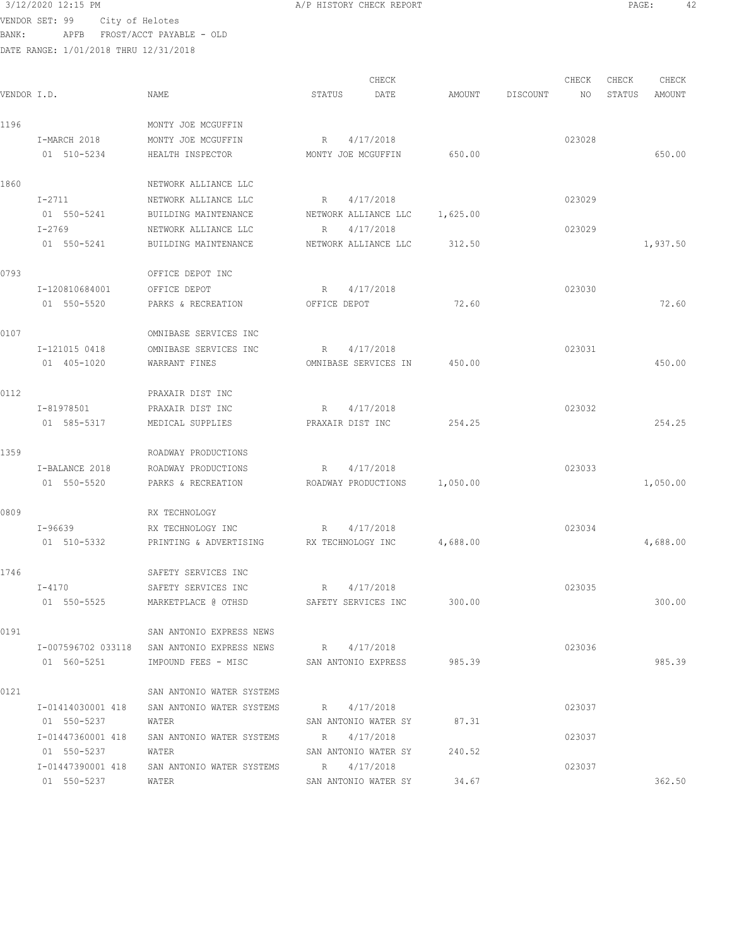3/12/2020 12:15 PM A/P HISTORY CHECK REPORT PAGE: 42 VENDOR SET: 99 City of Helotes BANK: APFB FROST/ACCT PAYABLE - OLD

DATE RANGE: 1/01/2018 THRU 12/31/2018 CHECK CHECK CHECK CHECK CHECK CHECK CHECK CHECK CHECK CHECK CHECK CHECK CHECK CHECK CHECK CHECK CHECK CHECK CHECK CHECK CHECK CHECK CHECK CHECK CHECK CHECK CHECK CHECK CHECK CHECK CHECK CHECK CHECK CHECK CHECK CHECK CHECK VENDOR I.D. NAME STATUS DATE AMOUNT DISCOUNT NO STATUS AMOUNT 1196 MONTY JOE MCGUFFIN I-MARCH 2018 MONTY JOE MCGUFFIN R 4/17/2018 023028 01 510-5234 HEALTH INSPECTOR MONTY JOE MCGUFFIN 650.00 650.00 650.00 1860 NETWORK ALLIANCE LLC I-2711 NETWORK ALLIANCE LLC R 4/17/2018 023029 01 550-5241 BUILDING MAINTENANCE NETWORK ALLIANCE LLC 1,625.00 I-2769 NETWORK ALLIANCE LLC R 4/17/2018 023029 01 550-5241 BUILDING MAINTENANCE NETWORK ALLIANCE LLC 312.50 1,937.50 1,937.50 0793 OFFICE DEPOT INC I-120810684001 OFFICE DEPOT R 4/17/2018 R 4/17/2018 01 550-5520 PARKS & RECREATION OFFICE DEPOT 72.60 72.60 0107 OMNIBASE SERVICES INC I-121015 0418 OMNIBASE SERVICES INC R 4/17/2018 023031 01 405-1020 WARRANT FINES OMNIBASE SERVICES IN 450.00 450.00 0112 PRAXAIR DIST INC I-81978501 PRAXAIR DIST INC R 4/17/2018 R 4017/2018 01 585-5317 MEDICAL SUPPLIES PRAXAIR DIST INC 254.25 254.25 1359 ROADWAY PRODUCTIONS I-BALANCE 2018 ROADWAY PRODUCTIONS R 4/17/2018 023033 01 550-5520 PARKS & RECREATION ROADWAY PRODUCTIONS 1,050.00 1,050.00 0809 RX TECHNOLOGY I-96639 RX TECHNOLOGY INC R 4/17/2018 023034 01 510-5332 PRINTING & ADVERTISING RX TECHNOLOGY INC  $4,688.00$   $4,688.00$ 1746 SAFETY SERVICES INC I-4170 SAFETY SERVICES INC R 4/17/2018 023035 01 550-5525 MARKETPLACE @ OTHSD SAFETY SERVICES INC 300.00 300.00 0191 SAN ANTONIO EXPRESS NEWS I-007596702 033118 SAN ANTONIO EXPRESS NEWS R 4/17/2018 023036 01 560-5251 IMPOUND FEES - MISC SAN ANTONIO EXPRESS 985.39 985.39

0121 SAN ANTONIO WATER SYSTEMS I-01414030001 418 SAN ANTONIO WATER SYSTEMS R 4/17/2018 023037 01 550-5237 WATER SAN ANTONIO WATER SY 87.31 I-01447360001 418 SAN ANTONIO WATER SYSTEMS R 4/17/2018 023037 01 550-5237 WATER WATER SAN ANTONIO WATER SY 240.52 I-01447390001 418 SAN ANTONIO WATER SYSTEMS R 4/17/2018 023037 01 550-5237 WATER SAN ANTONIO WATER SY 34.67 362.50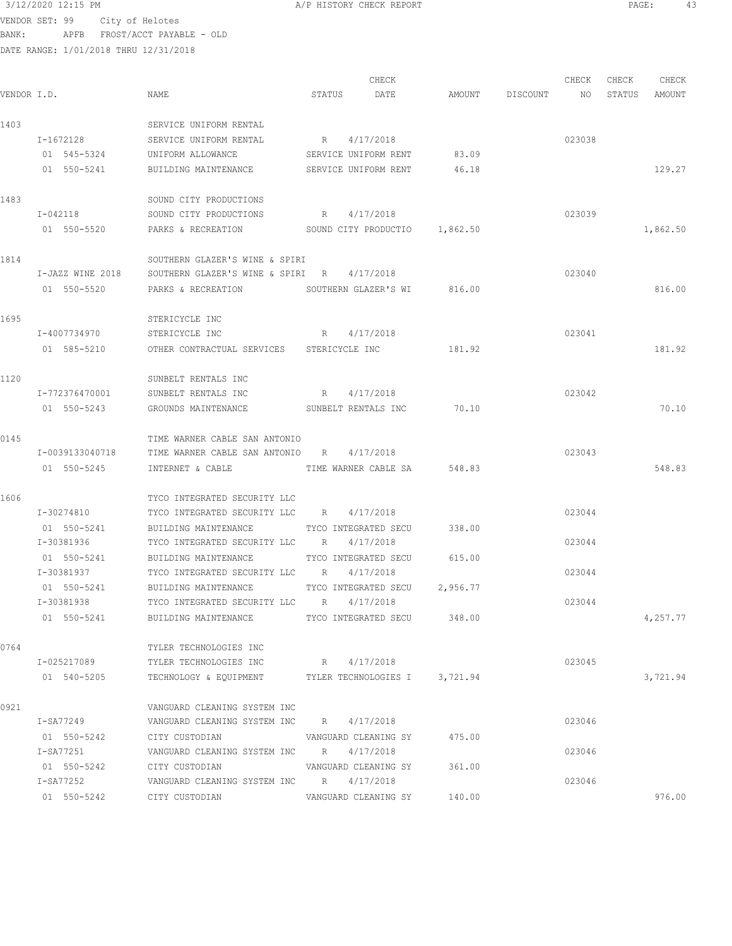$3/12/2020$  12:15 PM  $A/P$  HISTORY CHECK REPORT  $\blacksquare$  PAGE: 43 VENDOR SET: 99 City of Helotes BANK: APFB FROST/ACCT PAYABLE - OLD

| VENDOR I.D. |                                 | NAME                                                                                      | STATUS | CHECK<br>DATE                                | AMOUNT         | DISCOUNT | CHECK<br>NO | CHECK<br>STATUS | CHECK<br>AMOUNT |
|-------------|---------------------------------|-------------------------------------------------------------------------------------------|--------|----------------------------------------------|----------------|----------|-------------|-----------------|-----------------|
| 1403        | I-1672128                       | SERVICE UNIFORM RENTAL<br>SERVICE UNIFORM RENTAL                                          | R      | 4/17/2018                                    |                |          | 023038      |                 |                 |
|             | 01 545-5324<br>01 550-5241      | UNIFORM ALLOWANCE<br>BUILDING MAINTENANCE                                                 |        | SERVICE UNIFORM RENT<br>SERVICE UNIFORM RENT | 83.09<br>46.18 |          |             |                 | 129.27          |
| 1483        | I-042118                        | SOUND CITY PRODUCTIONS<br>SOUND CITY PRODUCTIONS                                          |        | R 4/17/2018                                  |                |          | 023039      |                 |                 |
|             | 01 550-5520                     | PARKS & RECREATION SOUND CITY PRODUCTIO 1,862.50                                          |        |                                              |                |          |             |                 | 1,862.50        |
| 1814        |                                 | SOUTHERN GLAZER'S WINE & SPIRI                                                            |        |                                              |                |          |             |                 |                 |
|             | I-JAZZ WINE 2018<br>01 550-5520 | SOUTHERN GLAZER'S WINE & SPIRI R 4/17/2018<br>PARKS & RECREATION                          |        | SOUTHERN GLAZER'S WI                         | 816.00         |          | 023040      |                 | 816.00          |
| 1695        |                                 | STERICYCLE INC                                                                            |        |                                              |                |          |             |                 |                 |
|             | I-4007734970<br>01 585-5210     | STERICYCLE INC<br>OTHER CONTRACTUAL SERVICES STERICYCLE INC                               |        | R 4/17/2018                                  | 181.92         |          | 023041      |                 | 181.92          |
| 1120        |                                 | SUNBELT RENTALS INC                                                                       |        |                                              |                |          |             |                 |                 |
|             | I-772376470001<br>01 550-5243   | SUNBELT RENTALS INC<br>GROUNDS MAINTENANCE SUNBELT RENTALS INC 70.10                      | R      | 4/17/2018                                    |                |          | 023042      |                 | 70.10           |
| 0145        |                                 | TIME WARNER CABLE SAN ANTONIO                                                             |        |                                              |                |          |             |                 |                 |
|             | I-0039133040718<br>01 550-5245  | TIME WARNER CABLE SAN ANTONIO R 4/17/2018<br>INTERNET & CABLE <b>TIME WARNER CABLE SA</b> |        |                                              | 548.83         |          | 023043      |                 | 548.83          |
| 1606        |                                 | TYCO INTEGRATED SECURITY LLC                                                              |        |                                              |                |          |             |                 |                 |
|             | I-30274810<br>01 550-5241       | TYCO INTEGRATED SECURITY LLC R 4/17/2018<br>BUILDING MAINTENANCE                          |        | TYCO INTEGRATED SECU                         | 338.00         |          | 023044      |                 |                 |
|             | I-30381936<br>01 550-5241       | TYCO INTEGRATED SECURITY LLC R<br>BUILDING MAINTENANCE                                    |        | 4/17/2018<br>TYCO INTEGRATED SECU            | 615.00         |          | 023044      |                 |                 |
|             | I-30381937<br>01 550-5241       | TYCO INTEGRATED SECURITY LLC R<br>BUILDING MAINTENANCE                                    |        | 4/17/2018<br>TYCO INTEGRATED SECU 2,956.77   |                |          | 023044      |                 |                 |
|             | I-30381938<br>01 550-5241       | TYCO INTEGRATED SECURITY LLC R 4/17/2018<br>BUILDING MAINTENANCE                          |        | TYCO INTEGRATED SECU 348.00                  |                |          | 023044      |                 | 4,257.77        |
| 0764        |                                 | TYLER TECHNOLOGIES INC                                                                    |        |                                              |                |          |             |                 |                 |
|             | I-025217089<br>01 540-5205      | TYLER TECHNOLOGIES INC<br>TECHNOLOGY & EQUIPMENT TYLER TECHNOLOGIES I                     |        | R 4/17/2018                                  | 3,721.94       |          | 023045      |                 | 3,721.94        |
| 0921        |                                 | VANGUARD CLEANING SYSTEM INC                                                              |        |                                              |                |          |             |                 |                 |
|             | I-SA77249<br>01 550-5242        | VANGUARD CLEANING SYSTEM INC R 4/17/2018<br>CITY CUSTODIAN                                |        | VANGUARD CLEANING SY                         | 475.00         |          | 023046      |                 |                 |
|             | I-SA77251<br>01 550-5242        | VANGUARD CLEANING SYSTEM INC R 4/17/2018<br>CITY CUSTODIAN                                |        | VANGUARD CLEANING SY                         | 361.00         |          | 023046      |                 |                 |
|             | I-SA77252<br>01 550-5242        | VANGUARD CLEANING SYSTEM INC R 4/17/2018<br>CITY CUSTODIAN                                |        | VANGUARD CLEANING SY 140.00                  |                |          | 023046      |                 | 976.00          |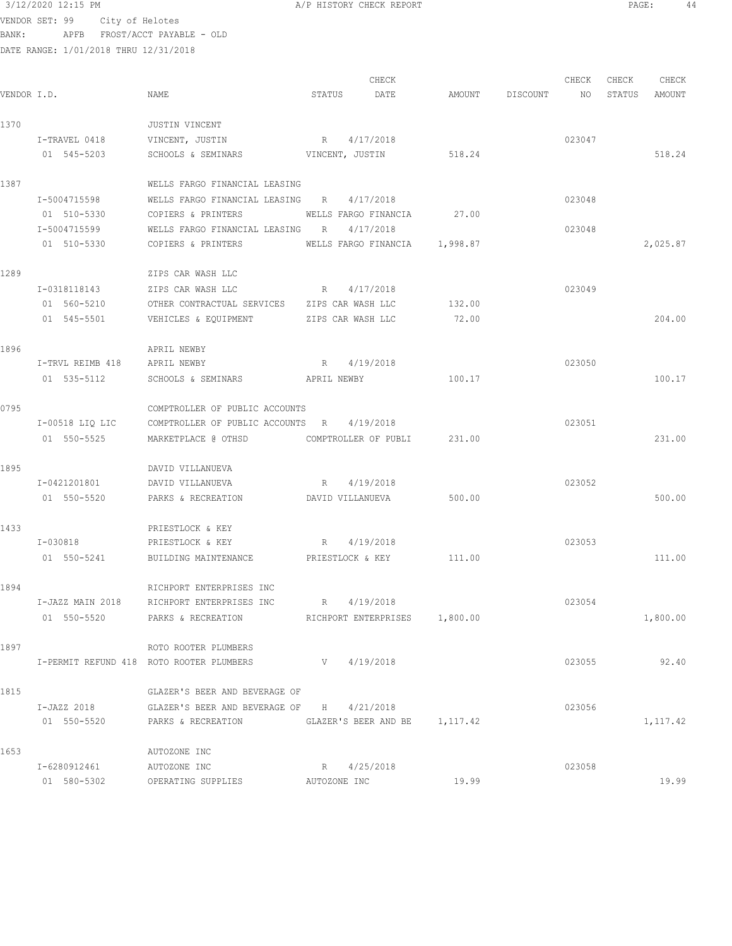## $3/12/2020$  12:15 PM  $A/P$  HISTORY CHECK REPORT  $\begin{array}{ccc} 3/12/2020 & 12:15 & \text{PM} \end{array}$  PAGE: 44

VENDOR SET: 99 City of Helotes BANK: APFB FROST/ACCT PAYABLE - OLD

| VENDOR I.D. |                  | NAME                                                    | STATUS       | CHECK<br>DATE                 | AMOUNT | DISCOUNT | CHECK<br>NO | CHECK<br>STATUS | CHECK<br>AMOUNT |  |
|-------------|------------------|---------------------------------------------------------|--------------|-------------------------------|--------|----------|-------------|-----------------|-----------------|--|
| 1370        |                  | JUSTIN VINCENT                                          |              |                               |        |          |             |                 |                 |  |
|             | I-TRAVEL 0418    | VINCENT, JUSTIN                                         | $R_{\odot}$  | 4/17/2018                     |        |          | 023047      |                 |                 |  |
|             | 01 545-5203      | SCHOOLS & SEMINARS                                      |              | VINCENT, JUSTIN               | 518.24 |          |             |                 | 518.24          |  |
| 1387        |                  | WELLS FARGO FINANCIAL LEASING                           |              |                               |        |          |             |                 |                 |  |
|             | I-5004715598     | WELLS FARGO FINANCIAL LEASING                           | R            | 4/17/2018                     |        |          | 023048      |                 |                 |  |
|             | 01 510-5330      | COPIERS & PRINTERS                                      |              | WELLS FARGO FINANCIA          | 27.00  |          |             |                 |                 |  |
|             | I-5004715599     | WELLS FARGO FINANCIAL LEASING                           | R            | 4/17/2018                     |        |          | 023048      |                 |                 |  |
|             | 01 510-5330      | COPIERS & PRINTERS                                      |              | WELLS FARGO FINANCIA 1,998.87 |        |          |             |                 | 2,025.87        |  |
| 1289        |                  | ZIPS CAR WASH LLC                                       |              |                               |        |          |             |                 |                 |  |
|             | I-0318118143     | ZIPS CAR WASH LLC                                       | R            | 4/17/2018                     |        |          | 023049      |                 |                 |  |
|             | 01 560-5210      | OTHER CONTRACTUAL SERVICES ZIPS CAR WASH LLC            |              |                               | 132.00 |          |             |                 |                 |  |
|             | 01 545-5501      | VEHICLES & EQUIPMENT                                    |              | ZIPS CAR WASH LLC             | 72.00  |          |             |                 | 204.00          |  |
| 1896        |                  | APRIL NEWBY                                             |              |                               |        |          |             |                 |                 |  |
|             | I-TRVL REIMB 418 | APRIL NEWBY                                             | R            | 4/19/2018                     |        |          | 023050      |                 |                 |  |
|             | 01 535-5112      | SCHOOLS & SEMINARS                                      | APRIL NEWBY  |                               | 100.17 |          |             |                 | 100.17          |  |
| 0795        |                  | COMPTROLLER OF PUBLIC ACCOUNTS                          |              |                               |        |          |             |                 |                 |  |
|             | I-00518 LIQ LIC  | COMPTROLLER OF PUBLIC ACCOUNTS R                        |              | 4/19/2018                     |        |          | 023051      |                 |                 |  |
|             | 01 550-5525      | MARKETPLACE @ OTHSD                                     |              | COMPTROLLER OF PUBLI          | 231.00 |          |             |                 | 231.00          |  |
| 1895        |                  | DAVID VILLANUEVA                                        |              |                               |        |          |             |                 |                 |  |
|             | I-0421201801     | DAVID VILLANUEVA                                        | R            | 4/19/2018                     |        |          | 023052      |                 |                 |  |
|             | 01 550-5520      | PARKS & RECREATION                                      |              | DAVID VILLANUEVA              | 500.00 |          |             |                 | 500.00          |  |
| 1433        |                  | PRIESTLOCK & KEY                                        |              |                               |        |          |             |                 |                 |  |
|             | I-030818         | PRIESTLOCK & KEY                                        | R            | 4/19/2018                     |        |          | 023053      |                 |                 |  |
|             | 01 550-5241      | BUILDING MAINTENANCE                                    |              | PRIESTLOCK & KEY              | 111.00 |          |             |                 | 111.00          |  |
| 1894        |                  | RICHPORT ENTERPRISES INC                                |              |                               |        |          |             |                 |                 |  |
|             | I-JAZZ MAIN 2018 | RICHPORT ENTERPRISES INC                                |              | R 4/19/2018                   |        |          | 023054      |                 |                 |  |
|             | 01 550-5520      | PARKS & RECREATION <b>RICHPORT ENTERPRISES</b> 1,800.00 |              |                               |        |          |             |                 | 1,800.00        |  |
| 1897        |                  | ROTO ROOTER PLUMBERS                                    |              |                               |        |          |             |                 |                 |  |
|             |                  | I-PERMIT REFUND 418 ROTO ROOTER PLUMBERS                |              | V 4/19/2018                   |        |          | 023055      |                 | 92.40           |  |
| 1815        |                  | GLAZER'S BEER AND BEVERAGE OF                           |              |                               |        |          |             |                 |                 |  |
|             | I-JAZZ 2018      | GLAZER'S BEER AND BEVERAGE OF H 4/21/2018               |              |                               |        |          | 023056      |                 |                 |  |
|             | 01 550-5520      | PARKS & RECREATION                                      |              | GLAZER'S BEER AND BE 1,117.42 |        |          |             |                 | 1,117.42        |  |
| 1653        |                  | AUTOZONE INC                                            |              |                               |        |          |             |                 |                 |  |
|             | I-6280912461     | AUTOZONE INC                                            |              | R 4/25/2018                   |        |          | 023058      |                 |                 |  |
|             | 01 580-5302      | OPERATING SUPPLIES                                      | AUTOZONE INC |                               | 19.99  |          |             |                 | 19.99           |  |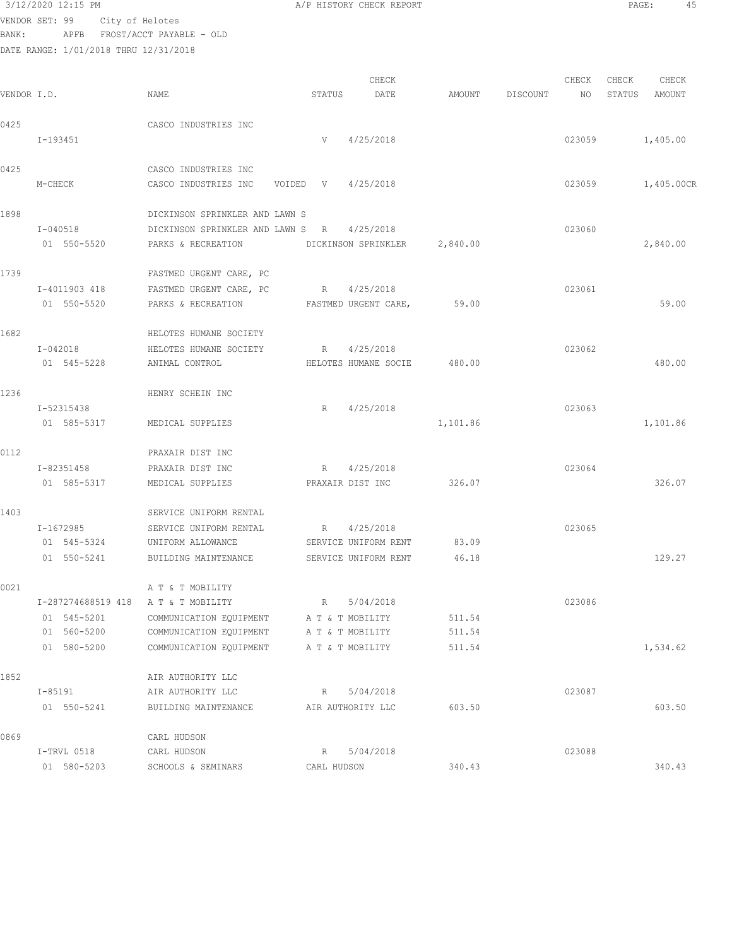| 3/12/2020 12:15 PM |                                        | A/P HISTORY CHECK REPORT | PAGE: | 45 |
|--------------------|----------------------------------------|--------------------------|-------|----|
|                    | VENDOR SET: 99 City of Helotes         |                          |       |    |
| BANK:              | APFB FROST/ACCT PAYABLE - OLD          |                          |       |    |
|                    | DATE RANGE· 1/01/2018 THRII 12/31/2018 |                          |       |    |

|             |                                     |                                               |                    | CHECK                        |          |          | CHECK  | CHECK  | CHECK           |
|-------------|-------------------------------------|-----------------------------------------------|--------------------|------------------------------|----------|----------|--------|--------|-----------------|
| VENDOR I.D. |                                     | NAME                                          | STATUS             | DATE                         | AMOUNT   | DISCOUNT | NO.    | STATUS | AMOUNT          |
| 0425        |                                     | CASCO INDUSTRIES INC                          |                    |                              |          |          |        |        |                 |
|             | I-193451                            |                                               |                    | $V = 4/25/2018$              |          |          |        |        | 023059 1,405.00 |
| 0425        |                                     | CASCO INDUSTRIES INC                          |                    |                              |          |          |        |        |                 |
|             | M-CHECK                             | CASCO INDUSTRIES INC                          | VOIDED V 4/25/2018 |                              |          |          | 023059 |        | 1,405.00CR      |
| 1898        |                                     | DICKINSON SPRINKLER AND LAWN S                |                    |                              |          |          |        |        |                 |
|             | I-040518                            | DICKINSON SPRINKLER AND LAWN S R              |                    | 4/25/2018                    |          |          | 023060 |        |                 |
|             | 01 550-5520                         | PARKS & RECREATION                            |                    | DICKINSON SPRINKLER 2,840.00 |          |          |        |        | 2,840.00        |
| 1739        |                                     | FASTMED URGENT CARE, PC                       |                    |                              |          |          |        |        |                 |
|             | I-4011903 418                       | FASTMED URGENT CARE, PC                       |                    | R 4/25/2018                  |          |          | 023061 |        |                 |
|             | 01 550-5520                         | PARKS & RECREATION FASTMED URGENT CARE, 59.00 |                    |                              |          |          |        |        | 59.00           |
| 1682        |                                     | HELOTES HUMANE SOCIETY                        |                    |                              |          |          |        |        |                 |
|             | $I - 042018$                        | HELOTES HUMANE SOCIETY                        | R 4/25/2018        |                              |          |          | 023062 |        |                 |
|             | 01 545-5228                         | ANIMAL CONTROL                                |                    | HELOTES HUMANE SOCIE         | 480.00   |          |        |        | 480.00          |
| 1236        |                                     | HENRY SCHEIN INC                              |                    |                              |          |          |        |        |                 |
|             | I-52315438                          |                                               | R                  | 4/25/2018                    |          |          | 023063 |        |                 |
|             | 01 585-5317                         | MEDICAL SUPPLIES                              |                    |                              | 1,101.86 |          |        |        | 1,101.86        |
| 0112        |                                     | PRAXAIR DIST INC                              |                    |                              |          |          |        |        |                 |
|             | I-82351458                          | PRAXAIR DIST INC                              |                    | R 4/25/2018                  |          |          | 023064 |        |                 |
|             | 01 585-5317                         | MEDICAL SUPPLIES                              |                    | PRAXAIR DIST INC             | 326.07   |          |        |        | 326.07          |
| 1403        |                                     | SERVICE UNIFORM RENTAL                        |                    |                              |          |          |        |        |                 |
|             | I-1672985                           | SERVICE UNIFORM RENTAL                        | $R$ and $R$        | 4/25/2018                    |          |          | 023065 |        |                 |
|             | 01 545-5324                         | UNIFORM ALLOWANCE                             |                    | SERVICE UNIFORM RENT         | 83.09    |          |        |        |                 |
|             | 01 550-5241                         | BUILDING MAINTENANCE                          |                    | SERVICE UNIFORM RENT         | 46.18    |          |        |        | 129.27          |
| 0021        |                                     | A T & T MOBILITY                              |                    |                              |          |          |        |        |                 |
|             | I-287274688519 418 A T & T MOBILITY |                                               | R 5/04/2018        |                              |          |          | 023086 |        |                 |
|             | 01 545-5201                         | COMMUNICATION EQUIPMENT                       |                    | A T & T MOBILITY             | 511.54   |          |        |        |                 |
|             | 01 560-5200                         | COMMUNICATION EQUIPMENT                       |                    | A T & T MOBILITY             | 511.54   |          |        |        |                 |
|             | 01 580-5200                         | COMMUNICATION EQUIPMENT                       |                    | A T & T MOBILITY             | 511.54   |          |        |        | 1,534.62        |
| 1852        |                                     | AIR AUTHORITY LLC                             |                    |                              |          |          |        |        |                 |
|             | $I - 85191$                         | AIR AUTHORITY LLC                             | R                  | 5/04/2018                    |          |          | 023087 |        |                 |
|             | 01 550-5241                         | BUILDING MAINTENANCE                          |                    | AIR AUTHORITY LLC            | 603.50   |          |        |        | 603.50          |
| 0869        |                                     | CARL HUDSON                                   |                    |                              |          |          |        |        |                 |
|             | I-TRVL 0518                         | CARL HUDSON                                   | $R_{\perp}$        | 5/04/2018                    |          |          | 023088 |        |                 |
|             | 01 580-5203                         | SCHOOLS & SEMINARS                            | CARL HUDSON        |                              | 340.43   |          |        |        | 340.43          |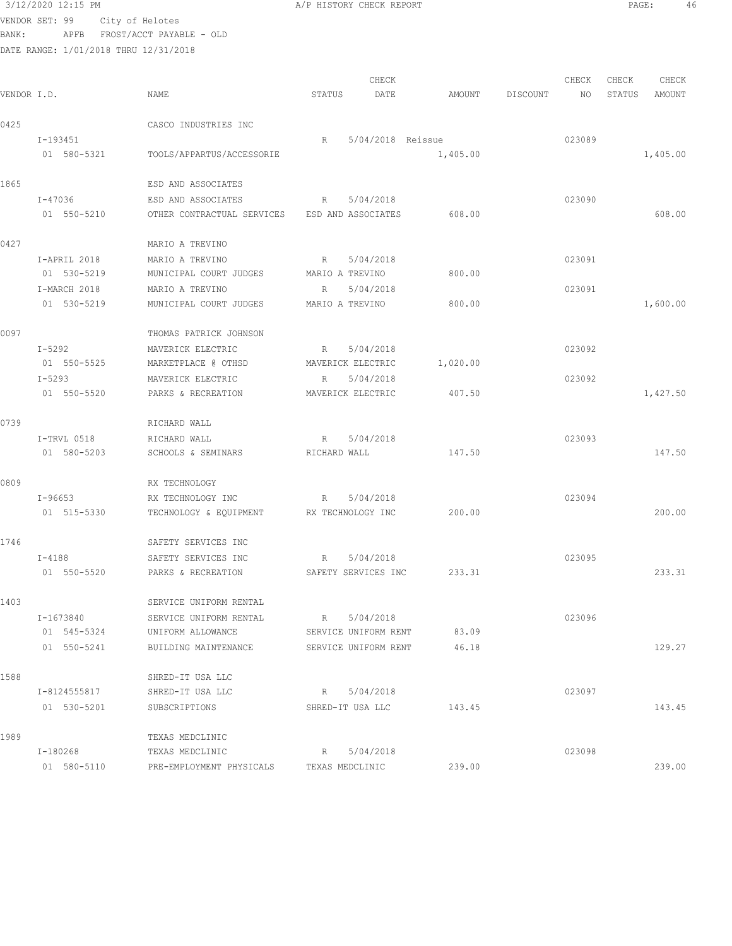## 3/12/2020 12:15 PM **A/P HISTORY CHECK REPORT PAGE:** 46 VENDOR SET: 99 City of Helotes

BANK: APFB FROST/ACCT PAYABLE - OLD

|             |              |                                               |                 | CHECK                |          |          | CHECK  | CHECK  | CHECK    |
|-------------|--------------|-----------------------------------------------|-----------------|----------------------|----------|----------|--------|--------|----------|
| VENDOR I.D. |              | NAME                                          | STATUS          | DATE                 | AMOUNT   | DISCOUNT | NO     | STATUS | AMOUNT   |
| 0425        |              | CASCO INDUSTRIES INC                          |                 |                      |          |          |        |        |          |
|             | I-193451     |                                               | R               | 5/04/2018 Reissue    |          |          | 023089 |        |          |
|             | 01 580-5321  | TOOLS/APPARTUS/ACCESSORIE                     |                 |                      | 1,405.00 |          |        |        | 1,405.00 |
| 1865        |              | ESD AND ASSOCIATES                            |                 |                      |          |          |        |        |          |
|             | I-47036      | ESD AND ASSOCIATES                            | R               | 5/04/2018            |          |          | 023090 |        |          |
|             | 01 550-5210  | OTHER CONTRACTUAL SERVICES ESD AND ASSOCIATES |                 |                      | 608.00   |          |        |        | 608.00   |
| 0427        |              | MARIO A TREVINO                               |                 |                      |          |          |        |        |          |
|             | I-APRIL 2018 | MARIO A TREVINO                               | $R_{\rm c}$     | 5/04/2018            |          |          | 023091 |        |          |
|             | 01 530-5219  | MUNICIPAL COURT JUDGES                        | MARIO A TREVINO |                      | 800.00   |          |        |        |          |
|             | I-MARCH 2018 | MARIO A TREVINO                               | R               | 5/04/2018            |          |          | 023091 |        |          |
|             | 01 530-5219  | MUNICIPAL COURT JUDGES                        | MARIO A TREVINO |                      | 800.00   |          |        |        | 1,600.00 |
| 0097        |              | THOMAS PATRICK JOHNSON                        |                 |                      |          |          |        |        |          |
|             | I-5292       | MAVERICK ELECTRIC                             | R               | 5/04/2018            |          |          | 023092 |        |          |
|             | 01 550-5525  | MARKETPLACE @ OTHSD                           |                 | MAVERICK ELECTRIC    | 1,020.00 |          |        |        |          |
|             | $I - 5293$   | MAVERICK ELECTRIC                             | R               | 5/04/2018            |          |          | 023092 |        |          |
|             | 01 550-5520  | PARKS & RECREATION                            |                 | MAVERICK ELECTRIC    | 407.50   |          |        |        | 1,427.50 |
| 0739        |              | RICHARD WALL                                  |                 |                      |          |          |        |        |          |
|             | I-TRVL 0518  | RICHARD WALL                                  | R               | 5/04/2018            |          |          | 023093 |        |          |
|             | 01 580-5203  | SCHOOLS & SEMINARS                            | RICHARD WALL    |                      | 147.50   |          |        |        | 147.50   |
| 0809        |              | RX TECHNOLOGY                                 |                 |                      |          |          |        |        |          |
|             | I-96653      | RX TECHNOLOGY INC                             | R               | 5/04/2018            |          |          | 023094 |        |          |
|             | 01 515-5330  | TECHNOLOGY & EQUIPMENT                        |                 | RX TECHNOLOGY INC    | 200.00   |          |        |        | 200.00   |
| 1746        |              | SAFETY SERVICES INC                           |                 |                      |          |          |        |        |          |
|             | I-4188       | SAFETY SERVICES INC                           | R               | 5/04/2018            |          |          | 023095 |        |          |
|             | 01 550-5520  | PARKS & RECREATION                            |                 | SAFETY SERVICES INC  | 233.31   |          |        |        | 233.31   |
| 1403        |              | SERVICE UNIFORM RENTAL                        |                 |                      |          |          |        |        |          |
|             | I-1673840    | SERVICE UNIFORM RENTAL                        | R               | 5/04/2018            |          |          | 023096 |        |          |
|             | 01 545-5324  | UNIFORM ALLOWANCE                             |                 | SERVICE UNIFORM RENT | 83.09    |          |        |        |          |
|             | 01 550-5241  | BUILDING MAINTENANCE                          |                 | SERVICE UNIFORM RENT | 46.18    |          |        |        | 129.27   |
| 1588        |              | SHRED-IT USA LLC                              |                 |                      |          |          |        |        |          |
|             | I-8124555817 | SHRED-IT USA LLC                              |                 | R 5/04/2018          |          |          | 023097 |        |          |
|             | 01 530-5201  | SUBSCRIPTIONS                                 |                 | SHRED-IT USA LLC     | 143.45   |          |        |        | 143.45   |
| 1989        |              | TEXAS MEDCLINIC                               |                 |                      |          |          |        |        |          |
|             | I-180268     | TEXAS MEDCLINIC                               | R               | 5/04/2018            |          |          | 023098 |        |          |
|             | 01 580-5110  | PRE-EMPLOYMENT PHYSICALS                      |                 | TEXAS MEDCLINIC      | 239.00   |          |        |        | 239.00   |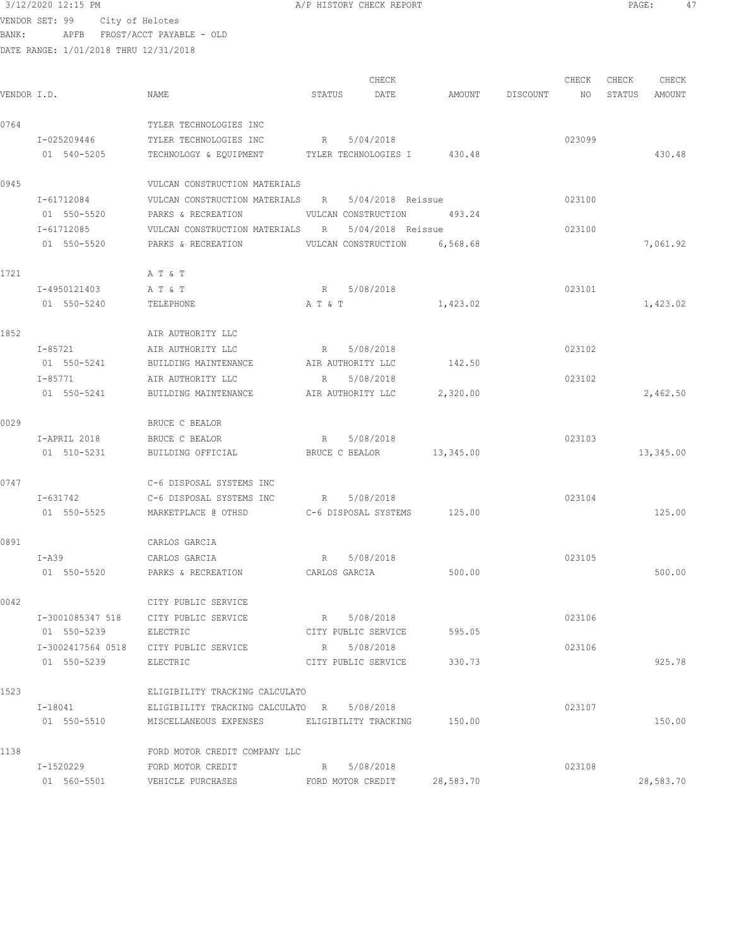## $3/12/2020$  12:15 PM  $A/P$  HISTORY CHECK REPORT  $\overline{PAGE}$ : 47 VENDOR SET: 99 City of Helotes BANK: APFB FROST/ACCT PAYABLE - OLD

| VENDOR I.D. |                            | NAME                                                                       | STATUS        | CHECK<br>DATE                     | AMOUNT    | DISCOUNT | CHECK<br>NO | CHECK<br>STATUS | CHECK<br>AMOUNT |
|-------------|----------------------------|----------------------------------------------------------------------------|---------------|-----------------------------------|-----------|----------|-------------|-----------------|-----------------|
| 0764        | I-025209446<br>01 540-5205 | TYLER TECHNOLOGIES INC<br>TYLER TECHNOLOGIES INC<br>TECHNOLOGY & EQUIPMENT | R             | 5/04/2018<br>TYLER TECHNOLOGIES I | 430.48    |          | 023099      |                 | 430.48          |
| 0945        |                            | VULCAN CONSTRUCTION MATERIALS                                              |               |                                   |           |          |             |                 |                 |
|             | I-61712084                 | VULCAN CONSTRUCTION MATERIALS R                                            |               | 5/04/2018 Reissue                 |           |          | 023100      |                 |                 |
|             | 01 550-5520                | PARKS & RECREATION                                                         |               | VULCAN CONSTRUCTION               | 493.24    |          |             |                 |                 |
|             | I-61712085                 | VULCAN CONSTRUCTION MATERIALS                                              | R             | 5/04/2018 Reissue                 |           |          | 023100      |                 |                 |
|             | 01 550-5520                | PARKS & RECREATION                                                         |               | VULCAN CONSTRUCTION               | 6,568.68  |          |             |                 | 7,061.92        |
| 1721        |                            | A T & T                                                                    |               |                                   |           |          |             |                 |                 |
|             | I-4950121403               | A T & T                                                                    | $R_{\rm max}$ | 5/08/2018                         |           |          | 023101      |                 |                 |
|             | 01 550-5240                | TELEPHONE                                                                  | A T & T       |                                   | 1,423.02  |          |             |                 | 1,423.02        |
| 1852        |                            | AIR AUTHORITY LLC                                                          |               |                                   |           |          |             |                 |                 |
|             | I-85721                    | AIR AUTHORITY LLC                                                          | R             | 5/08/2018                         |           |          | 023102      |                 |                 |
|             | 01 550-5241                | BUILDING MAINTENANCE                                                       |               | AIR AUTHORITY LLC                 | 142.50    |          |             |                 |                 |
|             | I-85771                    | AIR AUTHORITY LLC                                                          | R             | 5/08/2018                         |           |          | 023102      |                 |                 |
|             | 01 550-5241                | BUILDING MAINTENANCE                                                       |               | AIR AUTHORITY LLC                 | 2,320.00  |          |             |                 | 2,462.50        |
| 0029        |                            | BRUCE C BEALOR                                                             |               |                                   |           |          |             |                 |                 |
|             | I-APRIL 2018               | BRUCE C BEALOR                                                             | $R_{\rm c}$   | 5/08/2018                         |           |          | 023103      |                 |                 |
|             | 01 510-5231                | BUILDING OFFICIAL                                                          |               | BRUCE C BEALOR                    | 13,345.00 |          |             |                 | 13,345.00       |
| 0747        |                            | C-6 DISPOSAL SYSTEMS INC                                                   |               |                                   |           |          |             |                 |                 |
|             | I-631742                   | C-6 DISPOSAL SYSTEMS INC                                                   | R             | 5/08/2018                         |           |          | 023104      |                 |                 |
|             | 01 550-5525                | MARKETPLACE @ OTHSD                                                        |               | C-6 DISPOSAL SYSTEMS              | 125.00    |          |             |                 | 125.00          |
| 0891        |                            | CARLOS GARCIA                                                              |               |                                   |           |          |             |                 |                 |
|             | I-A39                      | CARLOS GARCIA                                                              | R             | 5/08/2018                         |           |          | 023105      |                 |                 |
|             | 01 550-5520                | PARKS & RECREATION                                                         |               | CARLOS GARCIA                     | 500.00    |          |             |                 | 500.00          |
| 0042        |                            | CITY PUBLIC SERVICE                                                        |               |                                   |           |          |             |                 |                 |
|             | I-3001085347 518           | CITY PUBLIC SERVICE                                                        |               | R 5/08/2018                       |           |          | 023106      |                 |                 |
|             | 01 550-5239                | ELECTRIC                                                                   |               | CITY PUBLIC SERVICE               | 595.05    |          |             |                 |                 |
|             | I-3002417564 0518          | CITY PUBLIC SERVICE                                                        |               | R 5/08/2018                       |           |          | 023106      |                 |                 |
|             | 01 550-5239                | ELECTRIC                                                                   |               | CITY PUBLIC SERVICE               | 330.73    |          |             |                 | 925.78          |
| 1523        |                            | ELIGIBILITY TRACKING CALCULATO                                             |               |                                   |           |          |             |                 |                 |
|             | I-18041                    | ELIGIBILITY TRACKING CALCULATO R 5/08/2018                                 |               |                                   |           |          | 023107      |                 |                 |
|             | 01 550-5510                | MISCELLANEOUS EXPENSES                                                     |               | ELIGIBILITY TRACKING              | 150.00    |          |             |                 | 150.00          |

| 1138        | FORD MOTOR CREDIT COMPANY LLC |                   |           |        |           |
|-------------|-------------------------------|-------------------|-----------|--------|-----------|
| I-1520229   | FORD MOTOR CREDIT             | R 5/08/2018       |           | 023108 |           |
| 01 560-5501 | VEHICLE PURCHASES             | FORD MOTOR CREDIT | 28,583.70 |        | 28,583.70 |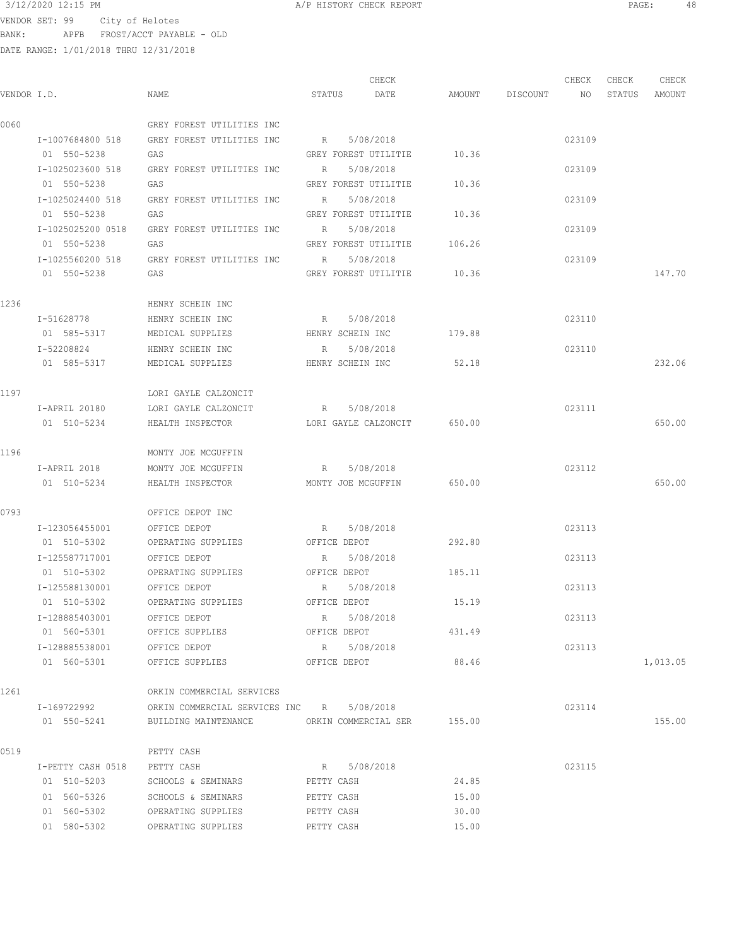$3/12/2020$  12:15 PM  $\,$  A/P HISTORY CHECK REPORT  $\,$  PAGE: 48 VENDOR SET: 99 City of Helotes BANK: APFB FROST/ACCT PAYABLE - OLD

|             |                   |                                            |                  | CHECK                       |        |                 | CHECK           | CHECK  | CHECK    |
|-------------|-------------------|--------------------------------------------|------------------|-----------------------------|--------|-----------------|-----------------|--------|----------|
| VENDOR I.D. |                   | NAME                                       | STATUS           | DATE                        |        | AMOUNT DISCOUNT | NO <sub>N</sub> | STATUS | AMOUNT   |
| 0060        |                   | GREY FOREST UTILITIES INC                  |                  |                             |        |                 |                 |        |          |
|             | I-1007684800 518  | GREY FOREST UTILITIES INC                  | R 5/08/2018      |                             |        |                 | 023109          |        |          |
|             | 01 550-5238       | GAS                                        |                  | GREY FOREST UTILITIE 10.36  |        |                 |                 |        |          |
|             | I-1025023600 518  | GREY FOREST UTILITIES INC                  | R                | 5/08/2018                   |        |                 | 023109          |        |          |
|             | 01 550-5238       | GAS                                        |                  | GREY FOREST UTILITIE        | 10.36  |                 |                 |        |          |
|             | I-1025024400 518  | GREY FOREST UTILITIES INC                  | R                | 5/08/2018                   |        |                 | 023109          |        |          |
|             | 01 550-5238       | GAS                                        |                  | GREY FOREST UTILITIE        | 10.36  |                 |                 |        |          |
|             | I-1025025200 0518 | GREY FOREST UTILITIES INC                  | R                | 5/08/2018                   |        |                 | 023109          |        |          |
|             | 01 550-5238       | GAS                                        |                  | GREY FOREST UTILITIE 106.26 |        |                 |                 |        |          |
|             | I-1025560200 518  | GREY FOREST UTILITIES INC                  | R                | 5/08/2018                   |        |                 | 023109          |        |          |
|             | 01 550-5238       | GAS                                        |                  | GREY FOREST UTILITIE 10.36  |        |                 |                 |        | 147.70   |
| 1236        |                   | HENRY SCHEIN INC                           |                  |                             |        |                 |                 |        |          |
|             | I-51628778        | HENRY SCHEIN INC                           | R 5/08/2018      |                             |        |                 | 023110          |        |          |
|             | 01 585-5317       | MEDICAL SUPPLIES                           |                  | HENRY SCHEIN INC 179.88     |        |                 |                 |        |          |
|             | I-52208824        | HENRY SCHEIN INC                           | R 5/08/2018      |                             |        |                 | 023110          |        |          |
|             | 01 585-5317       | MEDICAL SUPPLIES                           | HENRY SCHEIN INC |                             | 52.18  |                 |                 |        | 232.06   |
|             |                   |                                            |                  |                             |        |                 |                 |        |          |
| 1197        |                   | LORI GAYLE CALZONCIT                       |                  |                             |        |                 |                 |        |          |
|             | I-APRIL 20180     | LORI GAYLE CALZONCIT                       | R 5/08/2018      |                             |        |                 | 023111          |        |          |
|             | 01 510-5234       | HEALTH INSPECTOR                           |                  | LORI GAYLE CALZONCIT 650.00 |        |                 |                 |        | 650.00   |
| 1196        |                   | MONTY JOE MCGUFFIN                         |                  |                             |        |                 |                 |        |          |
|             | I-APRIL 2018      | MONTY JOE MCGUFFIN                         | R 5/08/2018      |                             |        |                 | 023112          |        |          |
|             | 01 510-5234       | HEALTH INSPECTOR MONTY JOE MCGUFFIN 650.00 |                  |                             |        |                 |                 |        | 650.00   |
| 0793        |                   | OFFICE DEPOT INC                           |                  |                             |        |                 |                 |        |          |
|             | I-123056455001    | OFFICE DEPOT                               | R                | 5/08/2018                   |        |                 | 023113          |        |          |
|             | 01 510-5302       | OPERATING SUPPLIES                         | OFFICE DEPOT     |                             | 292.80 |                 |                 |        |          |
|             | I-125587717001    | OFFICE DEPOT                               | $R_{\perp}$      | 5/08/2018                   |        |                 | 023113          |        |          |
|             | 01 510-5302       | OPERATING SUPPLIES                         | OFFICE DEPOT     |                             | 185.11 |                 |                 |        |          |
|             | I-125588130001    | OFFICE DEPOT                               | R 5/08/2018      |                             |        |                 | 023113          |        |          |
|             | 01 510-5302       | OPERATING SUPPLIES                         | OFFICE DEPOT     |                             | 15.19  |                 |                 |        |          |
|             | I-128885403001    | OFFICE DEPOT                               | R                | 5/08/2018                   |        |                 | 023113          |        |          |
|             | 01 560-5301       | OFFICE SUPPLIES                            | OFFICE DEPOT     |                             | 431.49 |                 |                 |        |          |
|             | I-128885538001    | OFFICE DEPOT                               | R                | 5/08/2018                   |        |                 | 023113          |        |          |
|             | 01 560-5301       | OFFICE SUPPLIES                            | OFFICE DEPOT     |                             | 88.46  |                 |                 |        | 1,013.05 |
| 1261        |                   | ORKIN COMMERCIAL SERVICES                  |                  |                             |        |                 |                 |        |          |
|             | I-169722992       | ORKIN COMMERCIAL SERVICES INC R 5/08/2018  |                  |                             |        |                 | 023114          |        |          |
|             | 01 550-5241       | BUILDING MAINTENANCE                       |                  | ORKIN COMMERCIAL SER 155.00 |        |                 |                 |        | 155.00   |
|             |                   |                                            |                  |                             |        |                 |                 |        |          |
| 0519        |                   | PETTY CASH                                 |                  |                             |        |                 |                 |        |          |
|             | I-PETTY CASH 0518 | PETTY CASH                                 | R 5/08/2018      |                             |        |                 | 023115          |        |          |
|             | 01 510-5203       | SCHOOLS & SEMINARS                         | PETTY CASH       |                             | 24.85  |                 |                 |        |          |
|             | 01 560-5326       | SCHOOLS & SEMINARS                         | PETTY CASH       |                             | 15.00  |                 |                 |        |          |
|             | 01 560-5302       | OPERATING SUPPLIES                         | PETTY CASH       |                             | 30.00  |                 |                 |        |          |
|             | 01 580-5302       | OPERATING SUPPLIES                         | PETTY CASH       |                             | 15.00  |                 |                 |        |          |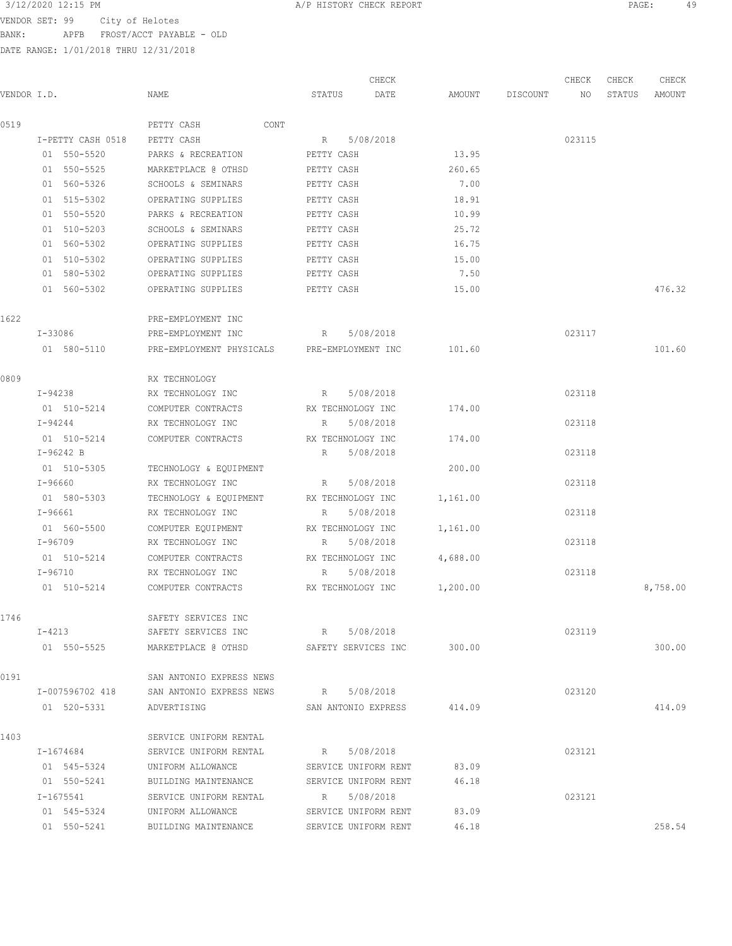VENDOR SET: 99 City of Helotes BANK: APFB FROST/ACCT PAYABLE - OLD

| VENDOR I.D. |                   | NAME                                                       | STATUS                     | CHECK<br>DATE              |          | AMOUNT DISCOUNT | CHECK<br>NO | CHECK<br>STATUS | CHECK<br>AMOUNT |
|-------------|-------------------|------------------------------------------------------------|----------------------------|----------------------------|----------|-----------------|-------------|-----------------|-----------------|
| 0519        |                   | CONT<br>PETTY CASH                                         |                            |                            |          |                 |             |                 |                 |
|             | I-PETTY CASH 0518 | PETTY CASH                                                 | R 5/08/2018                |                            |          |                 | 023115      |                 |                 |
|             | 01 550-5520       | PARKS & RECREATION                                         | PETTY CASH                 |                            | 13.95    |                 |             |                 |                 |
|             | 01 550-5525       | MARKETPLACE @ OTHSD                                        | PETTY CASH                 |                            | 260.65   |                 |             |                 |                 |
|             | 01 560-5326       | SCHOOLS & SEMINARS                                         | PETTY CASH                 |                            | 7.00     |                 |             |                 |                 |
|             | 01 515-5302       | OPERATING SUPPLIES                                         | PETTY CASH                 |                            | 18.91    |                 |             |                 |                 |
|             | 01 550-5520       | PARKS & RECREATION                                         | PETTY CASH                 |                            | 10.99    |                 |             |                 |                 |
|             | 01 510-5203       | SCHOOLS & SEMINARS                                         | PETTY CASH                 |                            | 25.72    |                 |             |                 |                 |
|             | 01 560-5302       | OPERATING SUPPLIES                                         | PETTY CASH                 |                            | 16.75    |                 |             |                 |                 |
|             | 01 510-5302       | OPERATING SUPPLIES                                         | PETTY CASH                 |                            | 15.00    |                 |             |                 |                 |
|             | 01 580-5302       | OPERATING SUPPLIES                                         | PETTY CASH                 |                            | 7.50     |                 |             |                 |                 |
|             | 01 560-5302       | OPERATING SUPPLIES                                         | PETTY CASH                 |                            | 15.00    |                 |             |                 | 476.32          |
| 1622        |                   | PRE-EMPLOYMENT INC                                         |                            |                            |          |                 |             |                 |                 |
|             | I-33086           | PRE-EMPLOYMENT INC                                         | R 5/08/2018                |                            |          |                 | 023117      |                 |                 |
|             | 01 580-5110       | PRE-EMPLOYMENT PHYSICALS PRE-EMPLOYMENT INC                |                            |                            | 101.60   |                 |             |                 | 101.60          |
| 0809        |                   | RX TECHNOLOGY                                              |                            |                            |          |                 |             |                 |                 |
|             | I-94238           | RX TECHNOLOGY INC                                          | R                          | 5/08/2018                  |          |                 | 023118      |                 |                 |
|             | 01 510-5214       | COMPUTER CONTRACTS                                         | RX TECHNOLOGY INC          |                            | 174.00   |                 |             |                 |                 |
|             | I-94244           | RX TECHNOLOGY INC                                          | R                          | 5/08/2018                  |          |                 | 023118      |                 |                 |
|             | 01 510-5214       | COMPUTER CONTRACTS                                         | RX TECHNOLOGY INC          |                            | 174.00   |                 |             |                 |                 |
|             | $I-96242 B$       |                                                            | R                          | 5/08/2018                  |          |                 | 023118      |                 |                 |
|             | 01 510-5305       | TECHNOLOGY & EQUIPMENT                                     |                            |                            | 200.00   |                 |             |                 |                 |
|             | I-96660           | RX TECHNOLOGY INC                                          | R                          | 5/08/2018                  |          |                 | 023118      |                 |                 |
|             | 01 580-5303       | TECHNOLOGY & EQUIPMENT                                     | RX TECHNOLOGY INC          |                            | 1,161.00 |                 |             |                 |                 |
|             | I-96661           | RX TECHNOLOGY INC                                          | R                          | 5/08/2018                  |          |                 | 023118      |                 |                 |
|             | 01 560-5500       | COMPUTER EQUIPMENT                                         | RX TECHNOLOGY INC          |                            | 1,161.00 |                 |             |                 |                 |
|             | I-96709           | RX TECHNOLOGY INC                                          | R 5/08/2018                |                            |          |                 | 023118      |                 |                 |
|             | 01 510-5214       | COMPUTER CONTRACTS                                         | RX TECHNOLOGY INC          |                            | 4,688.00 |                 |             |                 |                 |
|             | I-96710           | RX TECHNOLOGY INC                                          | R 5/08/2018                |                            |          |                 | 023118      |                 |                 |
|             | 01 510-5214       | COMPUTER CONTRACTS                                         | RX TECHNOLOGY INC          |                            | 1,200.00 |                 |             |                 | 8,758.00        |
| 1746        |                   | SAFETY SERVICES INC                                        |                            |                            |          |                 |             |                 |                 |
|             | $I - 4213$        | SAFETY SERVICES INC<br>R 5/08/2018                         |                            |                            |          |                 | 023119      |                 |                 |
|             |                   | 01 550-5525 MARKETPLACE @ OTHSD SAFETY SERVICES INC 300.00 |                            |                            |          |                 |             |                 | 300.00          |
| 0191        |                   | SAN ANTONIO EXPRESS NEWS                                   |                            |                            |          |                 |             |                 |                 |
|             |                   | I-007596702 418 SAN ANTONIO EXPRESS NEWS                   | R 5/08/2018                |                            |          |                 | 023120      |                 |                 |
|             | 01 520-5331       | ADVERTISING                                                | SAN ANTONIO EXPRESS 414.09 |                            |          |                 |             |                 | 414.09          |
| 1403        |                   | SERVICE UNIFORM RENTAL                                     |                            |                            |          |                 |             |                 |                 |
|             | I-1674684         | SERVICE UNIFORM RENTAL                                     | R 5/08/2018                |                            |          |                 | 023121      |                 |                 |
|             | 01 545-5324       | UNIFORM ALLOWANCE SERVICE UNIFORM RENT                     |                            |                            | 83.09    |                 |             |                 |                 |
|             | 01 550-5241       | BUILDING MAINTENANCE SERVICE UNIFORM RENT                  |                            |                            | 46.18    |                 |             |                 |                 |
|             | I-1675541         | SERVICE UNIFORM RENTAL R 5/08/2018                         |                            |                            |          |                 | 023121      |                 |                 |
|             | 01 545-5324       | UNIFORM ALLOWANCE                                          |                            | SERVICE UNIFORM RENT 83.09 |          |                 |             |                 |                 |
|             | 01 550-5241       | BUILDING MAINTENANCE                                       | SERVICE UNIFORM RENT       |                            | 46.18    |                 |             |                 | 258.54          |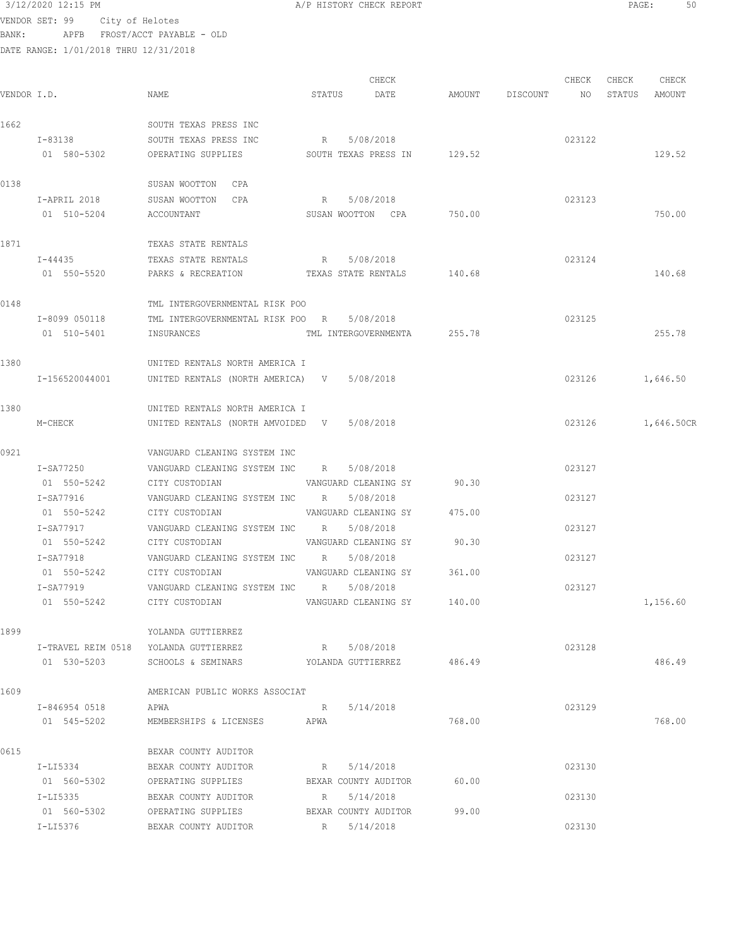## 3/12/2020 12:15 PM **A/P HISTORY CHECK REPORT PAGE:** 50 VENDOR SET: 99 City of Helotes BANK: APFB FROST/ACCT PAYABLE - OLD

| VENDOR I.D. |                | NAME                                            | STATUS      | CHECK<br>DATE               |        | AMOUNT DISCOUNT NO STATUS | CHECK  | CHECK | CHECK<br>AMOUNT   |
|-------------|----------------|-------------------------------------------------|-------------|-----------------------------|--------|---------------------------|--------|-------|-------------------|
|             |                |                                                 |             |                             |        |                           |        |       |                   |
| 1662        |                | SOUTH TEXAS PRESS INC                           |             |                             |        |                           |        |       |                   |
|             | I-83138        | SOUTH TEXAS PRESS INC                           | R 5/08/2018 |                             |        |                           | 023122 |       |                   |
|             | 01 580-5302    | OPERATING SUPPLIES SOUTH TEXAS PRESS IN 129.52  |             |                             |        |                           |        |       | 129.52            |
| 0138        |                | SUSAN WOOTTON CPA                               |             |                             |        |                           |        |       |                   |
|             | I-APRIL 2018   | SUSAN WOOTTON CPA                               | R 5/08/2018 |                             |        |                           | 023123 |       |                   |
|             | 01 510-5204    | ACCOUNTANT                                      |             | SUSAN WOOTTON CPA           | 750.00 |                           |        |       | 750.00            |
| 1871        |                | TEXAS STATE RENTALS                             |             |                             |        |                           |        |       |                   |
|             | $I - 44435$    | TEXAS STATE RENTALS                             | R 5/08/2018 |                             |        |                           | 023124 |       |                   |
|             | 01 550-5520    | PARKS & RECREATION TEXAS STATE RENTALS 140.68   |             |                             |        |                           |        |       | 140.68            |
|             |                |                                                 |             |                             |        |                           |        |       |                   |
| 0148        |                | TML INTERGOVERNMENTAL RISK POO                  |             |                             |        |                           |        |       |                   |
|             | I-8099 050118  | TML INTERGOVERNMENTAL RISK POO R 5/08/2018      |             |                             |        |                           | 023125 |       |                   |
|             | 01 510-5401    | INSURANCES                                      |             | TML INTERGOVERNMENTA 255.78 |        |                           |        |       | 255.78            |
| 1380        |                | UNITED RENTALS NORTH AMERICA I                  |             |                             |        |                           |        |       |                   |
|             | I-156520044001 | UNITED RENTALS (NORTH AMERICA) V 5/08/2018      |             |                             |        |                           |        |       | 023126 1,646.50   |
|             |                |                                                 |             |                             |        |                           |        |       |                   |
| 1380        |                | UNITED RENTALS NORTH AMERICA I                  |             |                             |        |                           |        |       |                   |
|             | M-CHECK        | UNITED RENTALS (NORTH AMVOIDED V 5/08/2018      |             |                             |        |                           |        |       | 023126 1,646.50CR |
| 0921        |                | VANGUARD CLEANING SYSTEM INC                    |             |                             |        |                           |        |       |                   |
|             | I-SA77250      | VANGUARD CLEANING SYSTEM INC R 5/08/2018        |             |                             |        |                           | 023127 |       |                   |
|             | 01 550-5242    | CITY CUSTODIAN 60.30 VANGUARD CLEANING SY       |             |                             |        |                           |        |       |                   |
|             | I-SA77916      | VANGUARD CLEANING SYSTEM INC R 5/08/2018        |             |                             |        |                           | 023127 |       |                   |
|             |                | 01 550-5242 CITY CUSTODIAN WANGUARD CLEANING SY |             |                             | 475.00 |                           |        |       |                   |
|             | I-SA77917      | VANGUARD CLEANING SYSTEM INC R 5/08/2018        |             |                             |        |                           | 023127 |       |                   |
|             | 01 550-5242    | CITY CUSTODIAN                                  |             | VANGUARD CLEANING SY 90.30  |        |                           |        |       |                   |
|             | I-SA77918      | VANGUARD CLEANING SYSTEM INC R 5/08/2018        |             |                             |        |                           | 023127 |       |                   |
|             | 01 550-5242    | CITY CUSTODIAN                                  |             | VANGUARD CLEANING SY 361.00 |        |                           |        |       |                   |
|             | T-SA77919      | VANGUARD CLEANING SYSTEM INC R 5/08/2018        |             |                             |        |                           | 023127 |       |                   |
|             | 01 550-5242    | CITY CUSTODIAN                                  |             | VANGUARD CLEANING SY        | 140.00 |                           |        |       | 1,156.60          |
| 1899        |                | YOLANDA GUTTIERREZ                              |             |                             |        |                           |        |       |                   |
|             |                | I-TRAVEL REIM 0518 YOLANDA GUTTIERREZ           | R 5/08/2018 |                             |        |                           | 023128 |       |                   |
|             | 01 530-5203    | SCHOOLS & SEMINARS TOLANDA GUTTIERREZ 486.49    |             |                             |        |                           |        |       | 486.49            |
| 1609        |                | AMERICAN PUBLIC WORKS ASSOCIAT                  |             |                             |        |                           |        |       |                   |
|             | I-846954 0518  | APWA                                            | R 5/14/2018 |                             |        |                           | 023129 |       |                   |
|             | 01 545-5202    | MEMBERSHIPS & LICENSES APWA                     |             |                             | 768.00 |                           |        |       | 768.00            |
|             |                |                                                 |             |                             |        |                           |        |       |                   |
| 0615        |                | BEXAR COUNTY AUDITOR                            |             |                             |        |                           |        |       |                   |
|             | I-LI5334       | BEXAR COUNTY AUDITOR                            | R 5/14/2018 |                             |        |                           | 023130 |       |                   |
|             | 01 560-5302    | OPERATING SUPPLIES                              |             | BEXAR COUNTY AUDITOR        | 60.00  |                           |        |       |                   |
|             | I-LI5335       | BEXAR COUNTY AUDITOR                            | R 5/14/2018 |                             |        |                           | 023130 |       |                   |
|             | 01 560-5302    | OPERATING SUPPLIES                              | R           | BEXAR COUNTY AUDITOR        | 99.00  |                           | 023130 |       |                   |
|             | I-LI5376       | BEXAR COUNTY AUDITOR                            |             | 5/14/2018                   |        |                           |        |       |                   |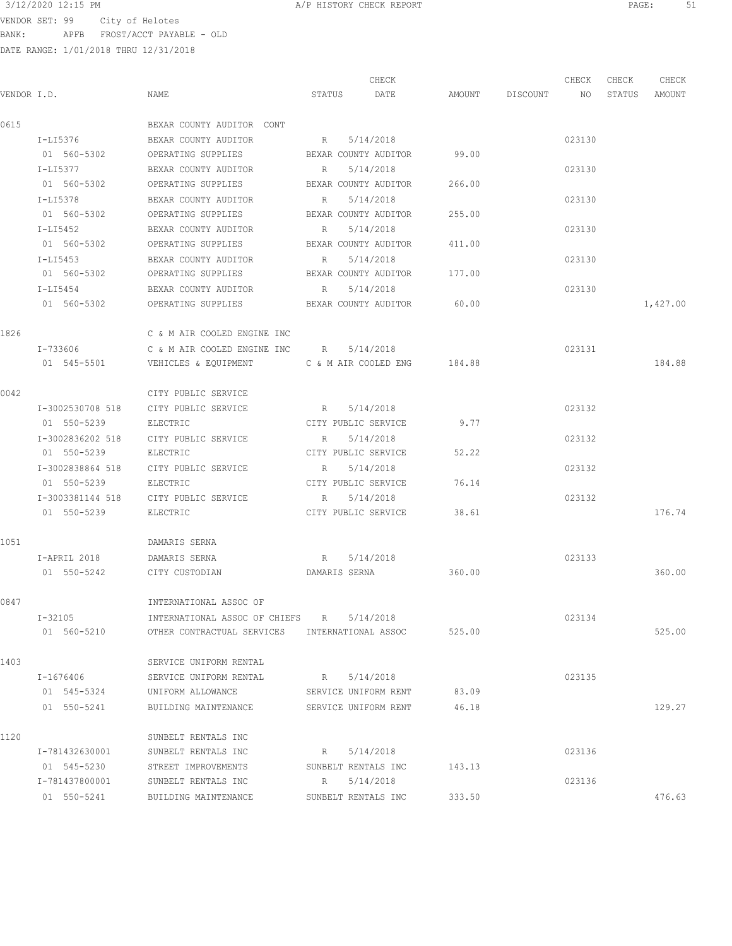$3/12/2020$  12:15 PM  $A/P$  HISTORY CHECK REPORT  $\overline{PAGE:}$  PAGE: 51 VENDOR SET: 99 City of Helotes BANK: APFB FROST/ACCT PAYABLE - OLD

|             |                  |                                                  |                      | CHECK                       |        |                    | CHECK  | CHECK  | CHECK    |
|-------------|------------------|--------------------------------------------------|----------------------|-----------------------------|--------|--------------------|--------|--------|----------|
| VENDOR I.D. |                  | NAME                                             | STATUS               | DATE                        |        | AMOUNT DISCOUNT NO |        | STATUS | AMOUNT   |
| 0615        |                  | BEXAR COUNTY AUDITOR CONT                        |                      |                             |        |                    |        |        |          |
|             | I-LI5376         | BEXAR COUNTY AUDITOR                             | R                    | 5/14/2018                   |        |                    | 023130 |        |          |
|             | 01 560-5302      | OPERATING SUPPLIES                               |                      | BEXAR COUNTY AUDITOR        | 99.00  |                    |        |        |          |
|             | I-LI5377         | BEXAR COUNTY AUDITOR                             | R                    | 5/14/2018                   |        |                    | 023130 |        |          |
|             | 01 560-5302      | OPERATING SUPPLIES                               |                      | BEXAR COUNTY AUDITOR        | 266.00 |                    |        |        |          |
|             | I-LI5378         | BEXAR COUNTY AUDITOR                             | R                    | 5/14/2018                   |        |                    | 023130 |        |          |
|             | 01 560-5302      | OPERATING SUPPLIES                               | BEXAR COUNTY AUDITOR |                             | 255.00 |                    |        |        |          |
|             | I-LI5452         | BEXAR COUNTY AUDITOR                             | $R_{\rm c}$          | 5/14/2018                   |        |                    | 023130 |        |          |
|             | 01 560-5302      | OPERATING SUPPLIES                               |                      | BEXAR COUNTY AUDITOR 411.00 |        |                    |        |        |          |
|             | I-LI5453         | BEXAR COUNTY AUDITOR                             | $R_{\rm c}$          | 5/14/2018                   |        |                    | 023130 |        |          |
|             |                  | 01 560-5302 OPERATING SUPPLIES                   |                      | BEXAR COUNTY AUDITOR 177.00 |        |                    |        |        |          |
|             | I-LI5454         | BEXAR COUNTY AUDITOR                             | R 5/14/2018          |                             |        |                    | 023130 |        |          |
|             | 01 560-5302      | OPERATING SUPPLIES BEXAR COUNTY AUDITOR 60.00    |                      |                             |        |                    |        |        | 1,427.00 |
| 1826        |                  | C & M AIR COOLED ENGINE INC                      |                      |                             |        |                    |        |        |          |
|             | I-733606         | C & M AIR COOLED ENGINE INC $R = 5/14/2018$      |                      |                             |        |                    | 023131 |        |          |
|             | 01 545-5501      | VEHICLES & EQUIPMENT C & M AIR COOLED ENG 184.88 |                      |                             |        |                    |        |        | 184.88   |
| 0042        |                  | CITY PUBLIC SERVICE                              |                      |                             |        |                    |        |        |          |
|             | I-3002530708 518 | CITY PUBLIC SERVICE                              | R 5/14/2018          |                             |        |                    | 023132 |        |          |
|             | 01 550-5239      | ELECTRIC                                         | CITY PUBLIC SERVICE  |                             | 9.77   |                    |        |        |          |
|             | I-3002836202 518 | CITY PUBLIC SERVICE                              | R                    | 5/14/2018                   |        |                    | 023132 |        |          |
|             | 01 550-5239      | ELECTRIC                                         | CITY PUBLIC SERVICE  |                             | 52.22  |                    |        |        |          |
|             | I-3002838864 518 | CITY PUBLIC SERVICE                              | R                    | 5/14/2018                   |        |                    | 023132 |        |          |
|             | 01 550-5239      | ELECTRIC                                         | CITY PUBLIC SERVICE  |                             | 76.14  |                    |        |        |          |
|             | I-3003381144 518 | CITY PUBLIC SERVICE                              | R                    | 5/14/2018                   |        |                    | 023132 |        |          |
|             | 01 550-5239      | ELECTRIC                                         |                      | CITY PUBLIC SERVICE         | 38.61  |                    |        |        | 176.74   |
| 1051        |                  | DAMARIS SERNA                                    |                      |                             |        |                    |        |        |          |
|             | I-APRIL 2018     | DAMARIS SERNA                                    | R 5/14/2018          |                             |        |                    | 023133 |        |          |
|             | 01 550-5242      | CITY CUSTODIAN                                   | DAMARIS SERNA        |                             | 360.00 |                    |        |        | 360.00   |
| 0847        |                  | INTERNATIONAL ASSOC OF                           |                      |                             |        |                    |        |        |          |
|             | $I - 32105$      | INTERNATIONAL ASSOC OF CHIEFS                    | R                    | 5/14/2018                   |        |                    | 023134 |        |          |
|             | 01 560-5210      | OTHER CONTRACTUAL SERVICES INTERNATIONAL ASSOC   |                      |                             | 525.00 |                    |        |        | 525.00   |
| 1403        |                  | SERVICE UNIFORM RENTAL                           |                      |                             |        |                    |        |        |          |
|             | I-1676406        | SERVICE UNIFORM RENTAL                           | R                    | 5/14/2018                   |        |                    | 023135 |        |          |
|             | 01 545-5324      | UNIFORM ALLOWANCE                                |                      | SERVICE UNIFORM RENT        | 83.09  |                    |        |        |          |
|             | 01 550-5241      | BUILDING MAINTENANCE                             |                      | SERVICE UNIFORM RENT        | 46.18  |                    |        |        | 129.27   |
| 1120        |                  | SUNBELT RENTALS INC                              |                      |                             |        |                    |        |        |          |
|             | I-781432630001   | SUNBELT RENTALS INC                              | R                    | 5/14/2018                   |        |                    | 023136 |        |          |
|             | 01 545-5230      | STREET IMPROVEMENTS                              | SUNBELT RENTALS INC  |                             | 143.13 |                    |        |        |          |
|             | I-781437800001   | SUNBELT RENTALS INC                              | R                    | 5/14/2018                   |        |                    | 023136 |        |          |
|             | 01 550-5241      | BUILDING MAINTENANCE                             | SUNBELT RENTALS INC  |                             | 333.50 |                    |        |        | 476.63   |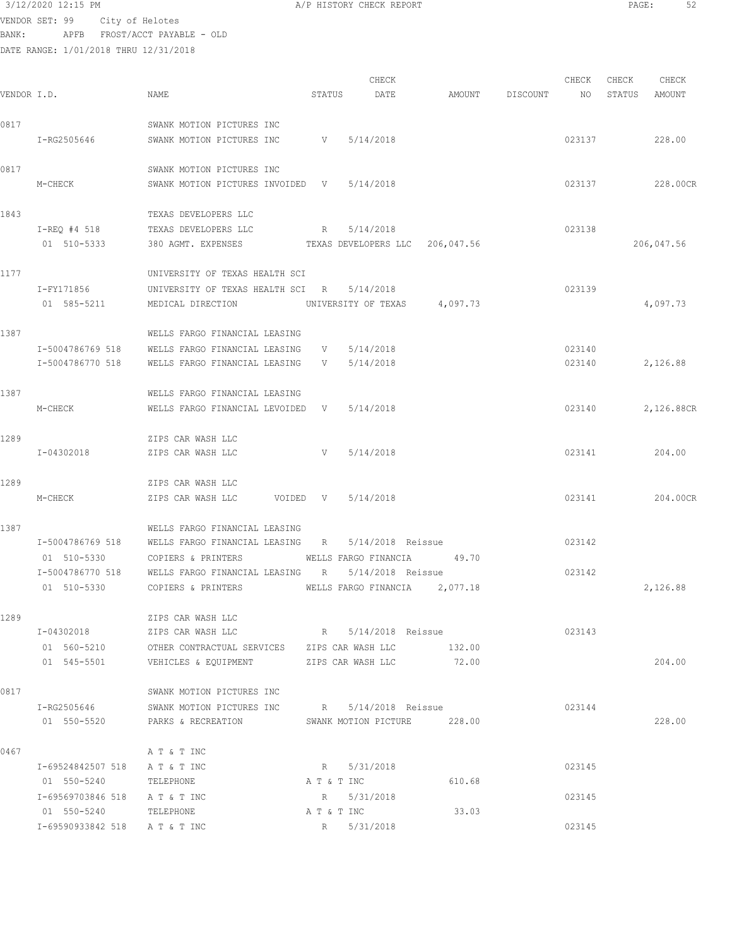VENDOR SET: 99 City of Helotes

BANK: APFB FROST/ACCT PAYABLE - OLD

DATE RANGE: 1/01/2018 THRU 12/31/2018

CHECK CHECK CHECK CHECK VENDOR I.D. NAME STATUS DATE AMOUNT DISCOUNT NO STATUS AMOUNT 0817 SWANK MOTION PICTURES INC I-RG2505646 SWANK MOTION PICTURES INC <br>
V 5/14/2018<br>
O23137 0817 SWANK MOTION PICTURES INC M-CHECK SWANK MOTION PICTURES INVOIDED V 5/14/2018 023137 228.00CR 1843 TEXAS DEVELOPERS LLC I-REQ #4 518 TEXAS DEVELOPERS LLC R 5/14/2018 023138 01 510-5333 380 AGMT. EXPENSES TEXAS DEVELOPERS LLC 206,047.56 206,047.56 1177 UNIVERSITY OF TEXAS HEALTH SCI I-FY171856 UNIVERSITY OF TEXAS HEALTH SCI R 5/14/2018 023139 01 585-5211 MEDICAL DIRECTION UNIVERSITY OF TEXAS 4,097.73 4,097.73 1387 WELLS FARGO FINANCIAL LEASING I-5004786769 518 WELLS FARGO FINANCIAL LEASING V 5/14/2018 023140 I-5004786770 518 WELLS FARGO FINANCIAL LEASING V 5/14/2018 023140 2,126.88 1387 WELLS FARGO FINANCIAL LEASING M-CHECK WELLS FARGO FINANCIAL LEVOIDED V 5/14/2018 023140 023140 2,126.88CR 1289 ZIPS CAR WASH LLC I-04302018 ZIPS CAR WASH LLC V 5/14/2018 023141 204.00 1289 ZIPS CAR WASH LLC M-CHECK ZIPS CAR WASH LLC VOIDED V 5/14/2018 023141 204.00CR 1387 WELLS FARGO FINANCIAL LEASING I-5004786769 518 WELLS FARGO FINANCIAL LEASING R 5/14/2018 Reissue 023142 01 510-5330 COPIERS & PRINTERS WELLS FARGO FINANCIA 49.70 I-5004786770 518 WELLS FARGO FINANCIAL LEASING R 5/14/2018 Reissue 023142 01 510-5330 COPIERS & PRINTERS WELLS FARGO FINANCIA 2,077.18 2,120.88 1289 ZIPS CAR WASH LLC I-04302018 ZIPS CAR WASH LLC R 5/14/2018 Reissue 023143 01 560-5210 OTHER CONTRACTUAL SERVICES ZIPS CAR WASH LLC 132.00 01 545-5501 VEHICLES & EQUIPMENT ZIPS CAR WASH LLC 72.00 204.00 0817 SWANK MOTION PICTURES INC I-RG2505646 SWANK MOTION PICTURES INC R 5/14/2018 Reissue 023144 01 550-5520 PARKS & RECREATION SWANK MOTION PICTURE 228.00 228.00 0467 A T & T INC I-69524842507 518 A T & T INC R 5/31/2018 023145 01 550-5240 TELEPHONE A T & T INC 610.68 I-69569703846 518 A T & T INC R 5/31/2018 023145 01 550-5240 TELEPHONE A T & T INC 33.03 I-69590933842 518 A T & T INC R 5/31/2018 023145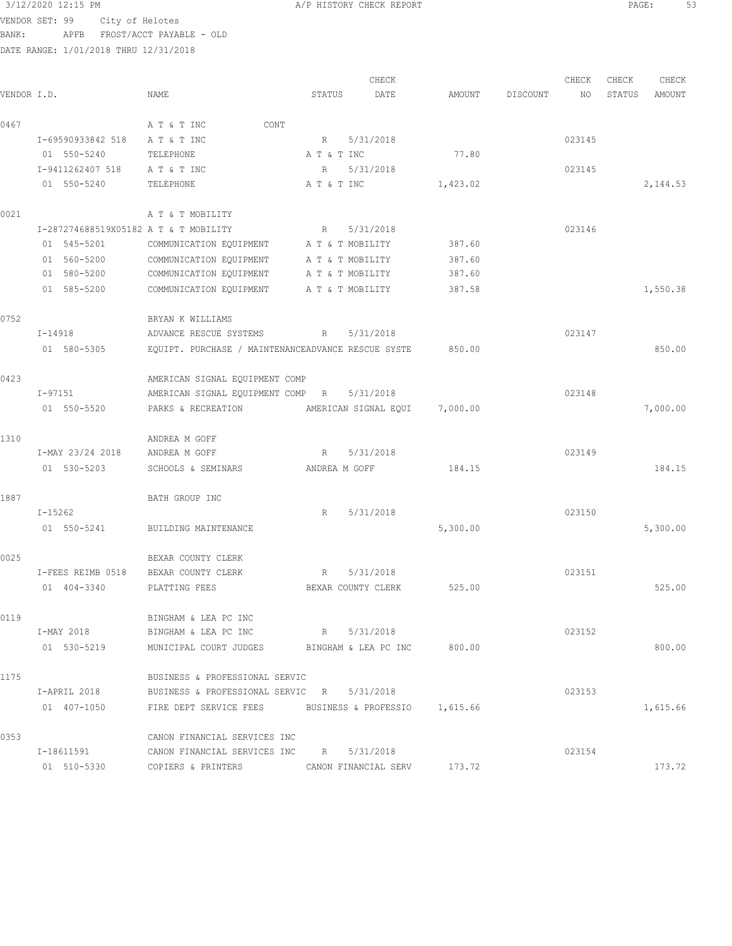# $3/12/2020$  12:15 PM  $A/P$  HISTORY CHECK REPORT  $\overline{PAGE:}$  PAGE: 53

VENDOR SET: 99 City of Helotes BANK: APFB FROST/ACCT PAYABLE - OLD

|             |                                       |                                                      |                  | CHECK                |          |          | CHECK  | CHECK  | CHECK    |
|-------------|---------------------------------------|------------------------------------------------------|------------------|----------------------|----------|----------|--------|--------|----------|
| VENDOR I.D. |                                       | NAME                                                 | STATUS           | DATE                 | AMOUNT   | DISCOUNT | NO     | STATUS | AMOUNT   |
| 0467        |                                       | A T & T INC<br>CONT                                  |                  |                      |          |          |        |        |          |
|             | I-69590933842 518                     | A T & T INC                                          | R                | 5/31/2018            |          |          | 023145 |        |          |
|             | 01 550-5240                           | TELEPHONE                                            | A T & T INC      |                      | 77.80    |          |        |        |          |
|             | I-9411262407 518                      | A T & T INC                                          | R                | 5/31/2018            |          |          | 023145 |        |          |
|             | 01 550-5240                           | TELEPHONE                                            | A T & T INC      |                      | 1,423.02 |          |        |        | 2,144.53 |
| 0021        |                                       | A T & T MOBILITY                                     |                  |                      |          |          |        |        |          |
|             | I-287274688519X05182 A T & T MOBILITY |                                                      | R                | 5/31/2018            |          |          | 023146 |        |          |
|             | 01 545-5201                           | COMMUNICATION EQUIPMENT A T & T MOBILITY             |                  |                      | 387.60   |          |        |        |          |
|             | 01 560-5200                           | COMMUNICATION EQUIPMENT                              | A T & T MOBILITY |                      | 387.60   |          |        |        |          |
|             | 01 580-5200                           | COMMUNICATION EQUIPMENT                              | A T & T MOBILITY |                      | 387.60   |          |        |        |          |
|             | 01 585-5200                           | COMMUNICATION EQUIPMENT                              | A T & T MOBILITY |                      | 387.58   |          |        |        | 1,550.38 |
| 0752        |                                       | BRYAN K WILLIAMS                                     |                  |                      |          |          |        |        |          |
|             | I-14918                               | ADVANCE RESCUE SYSTEMS                               | R                | 5/31/2018            |          |          | 023147 |        |          |
|             | 01 580-5305                           | EQUIPT. PURCHASE / MAINTENANCEADVANCE RESCUE SYSTE   |                  |                      | 850.00   |          |        |        | 850.00   |
| 0423        |                                       | AMERICAN SIGNAL EQUIPMENT COMP                       |                  |                      |          |          |        |        |          |
|             | I-97151                               | AMERICAN SIGNAL EQUIPMENT COMP R                     |                  | 5/31/2018            |          |          | 023148 |        |          |
|             | 01 550-5520                           | PARKS & RECREATION                                   |                  | AMERICAN SIGNAL EQUI | 7,000.00 |          |        |        | 7,000.00 |
| 1310        |                                       | ANDREA M GOFF                                        |                  |                      |          |          |        |        |          |
|             | I-MAY 23/24 2018                      | ANDREA M GOFF                                        | $R_{\odot}$      | 5/31/2018            |          |          | 023149 |        |          |
|             | 01 530-5203                           | SCHOOLS & SEMINARS                                   | ANDREA M GOFF    |                      | 184.15   |          |        |        | 184.15   |
| 1887        |                                       | BATH GROUP INC                                       |                  |                      |          |          |        |        |          |
|             | $I - 15262$                           |                                                      | R                | 5/31/2018            |          |          | 023150 |        |          |
|             | 01 550-5241                           | BUILDING MAINTENANCE                                 |                  |                      | 5,300.00 |          |        |        | 5,300.00 |
| 0025        |                                       | BEXAR COUNTY CLERK                                   |                  |                      |          |          |        |        |          |
|             | I-FEES REIMB 0518                     | BEXAR COUNTY CLERK                                   | R                | 5/31/2018            |          |          | 023151 |        |          |
|             | 01 404-3340                           | PLATTING FEES                                        |                  | BEXAR COUNTY CLERK   | 525.00   |          |        |        | 525.00   |
| 0119        |                                       | BINGHAM & LEA PC INC                                 |                  |                      |          |          |        |        |          |
|             | I-MAY 2018                            | BINGHAM & LEA PC INC                                 |                  | R 5/31/2018          |          |          | 023152 |        |          |
|             | 01 530-5219                           | MUNICIPAL COURT JUDGES BINGHAM & LEA PC INC 800.00   |                  |                      |          |          |        |        | 800.00   |
| 1175        |                                       | BUSINESS & PROFESSIONAL SERVIC                       |                  |                      |          |          |        |        |          |
|             | I-APRIL 2018                          | BUSINESS & PROFESSIONAL SERVIC R 5/31/2018           |                  |                      |          |          | 023153 |        |          |
|             | 01 407-1050                           | FIRE DEPT SERVICE FEES BUSINESS & PROFESSIO 1,615.66 |                  |                      |          |          |        |        | 1,615.66 |
| 0353        |                                       | CANON FINANCIAL SERVICES INC                         |                  |                      |          |          |        |        |          |
|             | I-18611591                            | CANON FINANCIAL SERVICES INC R                       |                  | 5/31/2018            |          |          | 023154 |        |          |
|             | 01 510-5330                           | COPIERS & PRINTERS CANON FINANCIAL SERV 173.72       |                  |                      |          |          |        |        | 173.72   |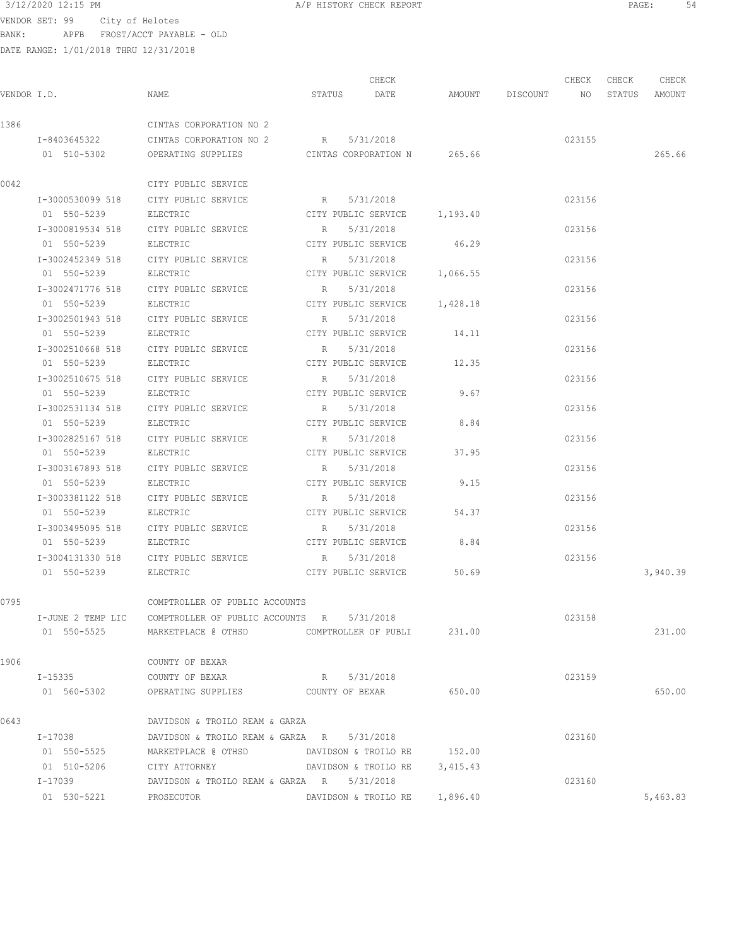$3/12/2020$  12:15 PM  $A/P$  HISTORY CHECK REPORT  $\overline{S4}$ VENDOR SET: 99 City of Helotes BANK: APFB FROST/ACCT PAYABLE - OLD

|      |                   |                                                  |                              | CHECK                         |          |                    | CHECK  | CHECK | CHECK         |
|------|-------------------|--------------------------------------------------|------------------------------|-------------------------------|----------|--------------------|--------|-------|---------------|
|      | VENDOR I.D.       | NAME                                             | STATUS                       | DATE                          |          | AMOUNT DISCOUNT NO |        |       | STATUS AMOUNT |
| 1386 |                   | CINTAS CORPORATION NO 2                          |                              |                               |          |                    |        |       |               |
|      |                   | I-8403645322 CINTAS CORPORATION NO 2 R 5/31/2018 |                              |                               |          |                    | 023155 |       |               |
|      | 01 510-5302       | OPERATING SUPPLIES                               | CINTAS CORPORATION N 265.66  |                               |          |                    |        |       | 265.66        |
| 0042 |                   | CITY PUBLIC SERVICE                              |                              |                               |          |                    |        |       |               |
|      | I-3000530099 518  | CITY PUBLIC SERVICE                              | R 5/31/2018                  |                               |          |                    | 023156 |       |               |
|      | 01 550-5239       | ELECTRIC                                         | CITY PUBLIC SERVICE 1,193.40 |                               |          |                    |        |       |               |
|      | I-3000819534 518  | CITY PUBLIC SERVICE                              | R                            | 5/31/2018                     |          |                    | 023156 |       |               |
|      | 01 550-5239       | ELECTRIC                                         |                              | CITY PUBLIC SERVICE           | 46.29    |                    |        |       |               |
|      | I-3002452349 518  | CITY PUBLIC SERVICE                              | R                            | 5/31/2018                     |          |                    | 023156 |       |               |
|      | 01 550-5239       | ELECTRIC                                         |                              | CITY PUBLIC SERVICE 1,066.55  |          |                    |        |       |               |
|      | I-3002471776 518  | CITY PUBLIC SERVICE                              | R                            | 5/31/2018                     |          |                    | 023156 |       |               |
|      | 01 550-5239       | ELECTRIC                                         | CITY PUBLIC SERVICE 1,428.18 |                               |          |                    |        |       |               |
|      | I-3002501943 518  | CITY PUBLIC SERVICE                              | R                            | 5/31/2018                     |          |                    | 023156 |       |               |
|      | 01 550-5239       | ELECTRIC                                         | CITY PUBLIC SERVICE 14.11    |                               |          |                    |        |       |               |
|      | I-3002510668 518  | CITY PUBLIC SERVICE                              | $$\mathbbm{R}$$              | 5/31/2018                     |          |                    | 023156 |       |               |
|      | 01 550-5239       | ELECTRIC                                         | CITY PUBLIC SERVICE 12.35    |                               |          |                    |        |       |               |
|      | I-3002510675 518  | CITY PUBLIC SERVICE                              | R 5/31/2018                  |                               |          |                    | 023156 |       |               |
|      | 01 550-5239       | ELECTRIC                                         | CITY PUBLIC SERVICE          |                               | 9.67     |                    |        |       |               |
|      | I-3002531134 518  | CITY PUBLIC SERVICE                              | R 5/31/2018                  |                               |          |                    | 023156 |       |               |
|      | 01 550-5239       | ELECTRIC                                         | CITY PUBLIC SERVICE          |                               | 8.84     |                    |        |       |               |
|      | I-3002825167 518  | CITY PUBLIC SERVICE                              | $R_{\rm c}$                  | 5/31/2018                     |          |                    | 023156 |       |               |
|      | 01 550-5239       | ELECTRIC                                         |                              | CITY PUBLIC SERVICE           | 37.95    |                    |        |       |               |
|      | I-3003167893 518  | CITY PUBLIC SERVICE                              | R                            | 5/31/2018                     |          |                    | 023156 |       |               |
|      | 01 550-5239       | ELECTRIC                                         | CITY PUBLIC SERVICE          |                               | 9.15     |                    |        |       |               |
|      | I-3003381122 518  | CITY PUBLIC SERVICE                              | R                            | 5/31/2018                     |          |                    | 023156 |       |               |
|      | 01 550-5239       | ELECTRIC                                         |                              | CITY PUBLIC SERVICE           | 54.37    |                    |        |       |               |
|      | I-3003495095 518  | CITY PUBLIC SERVICE                              | R                            | 5/31/2018                     |          |                    | 023156 |       |               |
|      | 01 550-5239       | ELECTRIC                                         |                              | CITY PUBLIC SERVICE 8.84      |          |                    |        |       |               |
|      | I-3004131330 518  | CITY PUBLIC SERVICE                              | R                            | 5/31/2018                     |          |                    | 023156 |       |               |
|      | 01 550-5239       | ELECTRIC                                         | CITY PUBLIC SERVICE 50.69    |                               |          |                    |        |       | 3,940.39      |
| 0795 |                   | COMPTROLLER OF PUBLIC ACCOUNTS                   |                              |                               |          |                    |        |       |               |
|      | I-JUNE 2 TEMP LIC | COMPTROLLER OF PUBLIC ACCOUNTS R                 |                              | 5/31/2018                     |          |                    | 023158 |       |               |
|      | 01 550-5525       | MARKETPLACE @ OTHSD                              |                              | COMPTROLLER OF PUBLI 231.00   |          |                    |        |       | 231.00        |
| 1906 |                   | COUNTY OF BEXAR                                  |                              |                               |          |                    |        |       |               |
|      | I-15335           | COUNTY OF BEXAR                                  | R 5/31/2018                  |                               |          |                    | 023159 |       |               |
|      | 01 560-5302       | OPERATING SUPPLIES COUNTY OF BEXAR               |                              |                               | 650.00   |                    |        |       | 650.00        |
| 0643 |                   | DAVIDSON & TROILO REAM & GARZA                   |                              |                               |          |                    |        |       |               |
|      | I-17038           | DAVIDSON & TROILO REAM & GARZA R                 |                              | 5/31/2018                     |          |                    | 023160 |       |               |
|      | 01 550-5525       | MARKETPLACE @ OTHSD                              | DAVIDSON & TROILO RE         |                               | 152.00   |                    |        |       |               |
|      | 01 510-5206       | CITY ATTORNEY                                    | DAVIDSON & TROILO RE         |                               | 3,415.43 |                    |        |       |               |
|      | I-17039           | DAVIDSON & TROILO REAM & GARZA R 5/31/2018       |                              |                               |          |                    | 023160 |       |               |
|      | 01 530-5221       | PROSECUTOR                                       |                              | DAVIDSON & TROILO RE 1,896.40 |          |                    |        |       | 5,463.83      |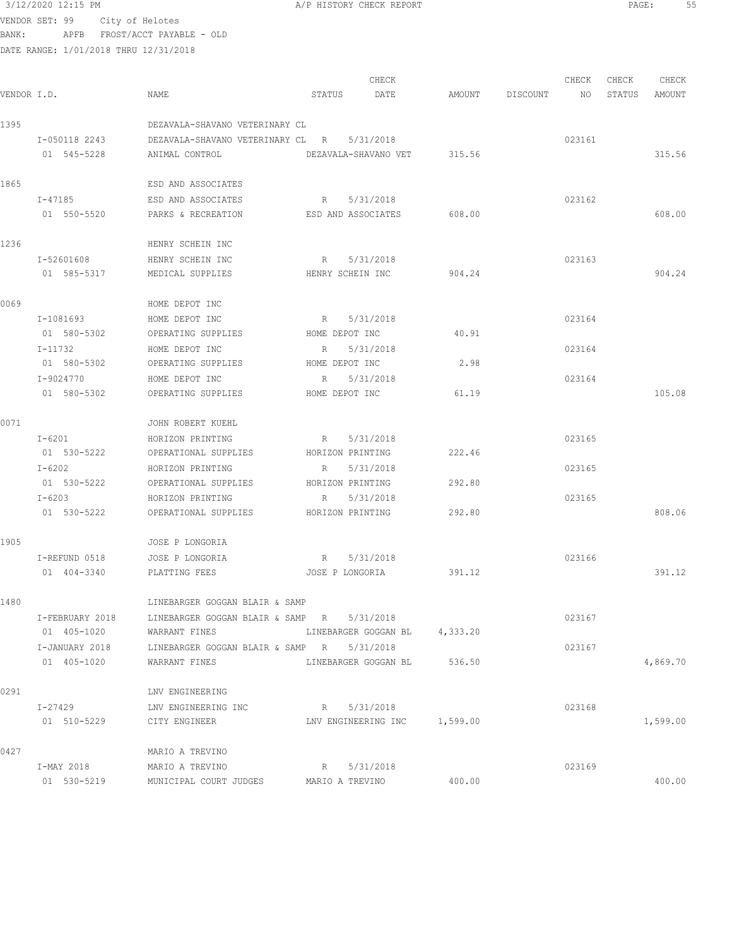VENDOR SET: 99 City of Helotes BANK: APFB FROST/ACCT PAYABLE - OLD

|      | DATE RANGE: 1/01/2018 THRU 12/31/2018 |                                            |                                                    |        |             |        |        |        |  |
|------|---------------------------------------|--------------------------------------------|----------------------------------------------------|--------|-------------|--------|--------|--------|--|
|      |                                       |                                            | CHECK                                              |        |             | CHECK  | CHECK  | CHECK  |  |
|      | VENDOR I.D.                           | NAME                                       | STATUS<br>DATE                                     | AMOUNT | DISCOUNT NO |        | STATUS | AMOUNT |  |
| 1395 |                                       | DEZAVALA-SHAVANO VETERINARY CL             |                                                    |        |             |        |        |        |  |
|      | I-050118 2243                         | DEZAVALA-SHAVANO VETERINARY CL R 5/31/2018 |                                                    |        |             | 023161 |        |        |  |
|      | 01 545-5228                           |                                            | ANIMAL CONTROL CONTROL DEZAVALA-SHAVANO VET 315.56 |        |             |        |        | 315.56 |  |
| 1865 |                                       | ESD AND ASSOCIATES                         |                                                    |        |             |        |        |        |  |
|      | I-47185                               | ESD AND ASSOCIATES                         | R 5/31/2018                                        |        |             | 023162 |        |        |  |
|      | 01 550-5520                           | PARKS & RECREATION                         | ESD AND ASSOCIATES                                 | 608.00 |             |        |        | 608.00 |  |
| 1236 |                                       | HENRY SCHEIN INC                           |                                                    |        |             |        |        |        |  |
|      | I-52601608                            | HENRY SCHEIN INC                           | R 5/31/2018                                        |        |             | 023163 |        |        |  |
|      | 01 585-5317                           | MEDICAL SUPPLIES                           | HENRY SCHEIN INC                                   | 904.24 |             |        |        | 904.24 |  |
| 0069 |                                       | HOME DEPOT INC                             |                                                    |        |             |        |        |        |  |
|      | I-1081693                             | HOME DEPOT INC                             | R 5/31/2018                                        |        |             | 023164 |        |        |  |
|      | 01 580-5302                           | OPERATING SUPPLIES                         | HOME DEPOT INC                                     | 40.91  |             |        |        |        |  |
|      | I-11732                               | HOME DEPOT INC                             | R<br>5/31/2018                                     |        |             | 023164 |        |        |  |
|      | 01 580-5302                           | OPERATING SUPPLIES                         | HOME DEPOT INC                                     | 2.98   |             |        |        |        |  |
|      | I-9024770                             | HOME DEPOT INC                             | R 5/31/2018                                        |        |             | 023164 |        |        |  |
|      | 01 580-5302                           | OPERATING SUPPLIES                         | HOME DEPOT INC                                     | 61.19  |             |        |        | 105.08 |  |
| 0071 |                                       | JOHN ROBERT KUEHL                          |                                                    |        |             |        |        |        |  |
|      | I-6201                                | HORIZON PRINTING                           | R<br>5/31/2018                                     |        |             | 023165 |        |        |  |
|      | 01 530-5222                           | OPERATIONAL SUPPLIES                       | HORIZON PRINTING                                   | 222.46 |             |        |        |        |  |
|      | $I - 6202$                            | HORIZON PRINTING                           | 5/31/2018<br>R                                     |        |             | 023165 |        |        |  |
|      | 01 530-5222                           | OPERATIONAL SUPPLIES                       | HORIZON PRINTING                                   | 292.80 |             |        |        |        |  |
|      | $T - 6203$                            | HORIZON PRINTING                           | R 5/31/2018                                        |        |             | 023165 |        |        |  |

| 1905 |                     | JOSE P LONGORIA                  |                      |          |        |        |
|------|---------------------|----------------------------------|----------------------|----------|--------|--------|
|      | I-REFUND 0518       | JOSE P LONGORIA                  | 5/31/2018<br>R       |          | 023166 |        |
|      | 404-3340<br>01.     | PLATTING FEES                    | JOSE P LONGORIA      | 391.12   |        | 391.12 |
| 1480 |                     | LINEBARGER GOGGAN BLAIR & SAMP   |                      |          |        |        |
|      | I-FEBRUARY 2018     | LINEBARGER GOGGAN BLAIR & SAMP R | 5/31/2018            |          | 023167 |        |
|      | $405 - 1020$<br>01. | WARRANT FINES                    | LINEBARGER GOGGAN BL | 4,333.20 |        |        |
|      | I-JANUARY 2018      | LINEBARGER GOGGAN BLAIR & SAMP   | 5/31/2018<br>R       |          | 023167 |        |

01 530-5222 OPERATIONAL SUPPLIES HORIZON PRINTING 292.80 808.06

| 0291 |                 | LNV ENGINEERING        |                     |          |        |          |
|------|-----------------|------------------------|---------------------|----------|--------|----------|
|      | $I - 27429$     | LNV ENGINEERING INC    | 5/31/2018<br>R      |          | 023168 |          |
|      | 510-5229<br>01. | CITY ENGINEER          | LNV ENGINEERING INC | 1,599.00 |        | 1,599.00 |
| 0427 |                 | MARIO A TREVINO        |                     |          |        |          |
|      | I-MAY 2018      | MARIO A TREVINO        | 5/31/2018<br>R      |          | 023169 |          |
|      | 530-5219<br>01  | MUNICIPAL COURT JUDGES | MARIO A TREVINO     | 400.00   |        | 400.00   |

01 405-1020 WARRANT FINES LINEBARGER GOGGAN BL 536.50 536.50 4,869.70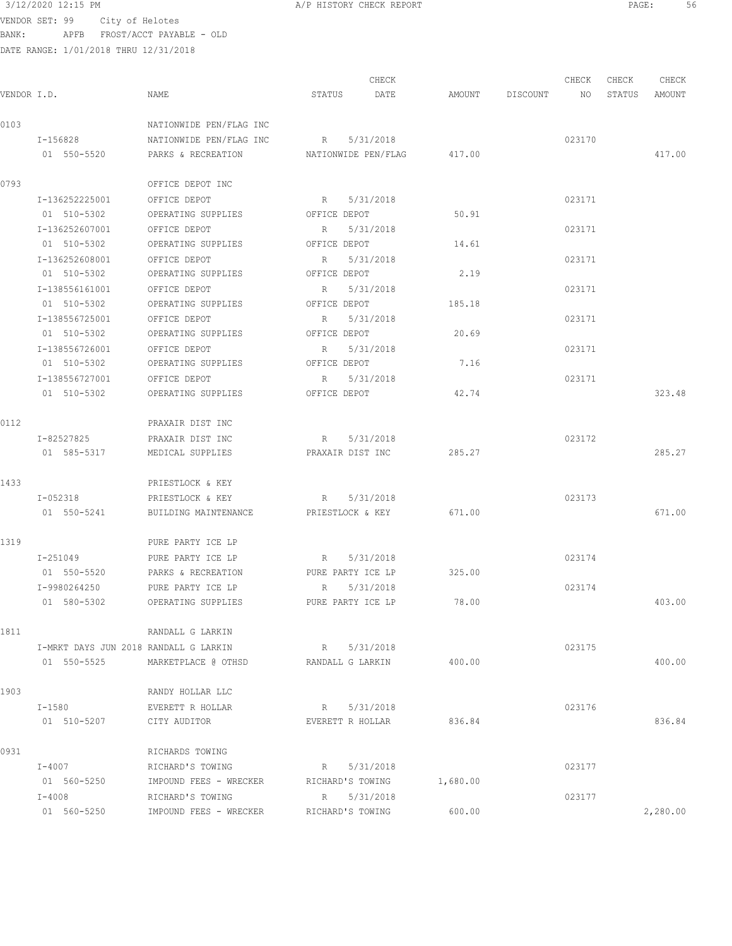$3/12/2020$  12:15 PM  $A/P$  HISTORY CHECK REPORT  $\overline{PAGE}$ : 56<br>VENDOR SET : 49  $\overline{OSE}$ : 56 VENDOR SET: 99 City of Helotes BANK: APFB FROST/ACCT PAYABLE - OLD

|             |                                       |                         |                     | CHECK     |          |                 | CHECK  | CHECK  | CHECK    |
|-------------|---------------------------------------|-------------------------|---------------------|-----------|----------|-----------------|--------|--------|----------|
| VENDOR I.D. |                                       | NAME                    | STATUS              | DATE      |          | AMOUNT DISCOUNT | NO     | STATUS | AMOUNT   |
| 0103        |                                       | NATIONWIDE PEN/FLAG INC |                     |           |          |                 |        |        |          |
|             | I-156828                              | NATIONWIDE PEN/FLAG INC | R 5/31/2018         |           |          |                 | 023170 |        |          |
|             | 01 550-5520                           | PARKS & RECREATION      | NATIONWIDE PEN/FLAG |           | 417.00   |                 |        |        | 417.00   |
| 0793        |                                       | OFFICE DEPOT INC        |                     |           |          |                 |        |        |          |
|             | I-136252225001                        | OFFICE DEPOT            | R 5/31/2018         |           |          |                 | 023171 |        |          |
|             | 01 510-5302                           | OPERATING SUPPLIES      | OFFICE DEPOT        |           | 50.91    |                 |        |        |          |
|             | I-136252607001                        | OFFICE DEPOT            | R                   | 5/31/2018 |          |                 | 023171 |        |          |
|             | 01 510-5302                           | OPERATING SUPPLIES      | OFFICE DEPOT        |           | 14.61    |                 |        |        |          |
|             | I-136252608001                        | OFFICE DEPOT            | R                   | 5/31/2018 |          |                 | 023171 |        |          |
|             | 01 510-5302                           | OPERATING SUPPLIES      | OFFICE DEPOT        |           | 2.19     |                 |        |        |          |
|             | I-138556161001                        | OFFICE DEPOT            | $R_{\rm c}$         | 5/31/2018 |          |                 | 023171 |        |          |
|             | 01 510-5302                           | OPERATING SUPPLIES      | OFFICE DEPOT        |           | 185.18   |                 |        |        |          |
|             | I-138556725001                        | OFFICE DEPOT            | R                   | 5/31/2018 |          |                 | 023171 |        |          |
|             | 01 510-5302                           | OPERATING SUPPLIES      | OFFICE DEPOT        |           | 20.69    |                 |        |        |          |
|             | I-138556726001                        | OFFICE DEPOT            | R 5/31/2018         |           |          |                 | 023171 |        |          |
|             | 01 510-5302                           | OPERATING SUPPLIES      | OFFICE DEPOT        |           | 7.16     |                 |        |        |          |
|             | I-138556727001                        | OFFICE DEPOT            | R 5/31/2018         |           |          |                 | 023171 |        |          |
|             | 01 510-5302                           | OPERATING SUPPLIES      | OFFICE DEPOT        |           | 42.74    |                 |        |        | 323.48   |
| 0112        |                                       | PRAXAIR DIST INC        |                     |           |          |                 |        |        |          |
|             | I-82527825                            | PRAXAIR DIST INC        | R 5/31/2018         |           |          |                 | 023172 |        |          |
|             | 01 585-5317                           | MEDICAL SUPPLIES        | PRAXAIR DIST INC    |           | 285.27   |                 |        |        | 285.27   |
| 1433        |                                       | PRIESTLOCK & KEY        |                     |           |          |                 |        |        |          |
|             | I-052318                              | PRIESTLOCK & KEY        | R 5/31/2018         |           |          |                 | 023173 |        |          |
|             | 01 550-5241                           | BUILDING MAINTENANCE    | PRIESTLOCK & KEY    |           | 671.00   |                 |        |        | 671.00   |
| 1319        |                                       | PURE PARTY ICE LP       |                     |           |          |                 |        |        |          |
|             | I-251049                              | PURE PARTY ICE LP       | R 5/31/2018         |           |          |                 | 023174 |        |          |
|             | 01 550-5520                           | PARKS & RECREATION      | PURE PARTY ICE LP   |           | 325.00   |                 |        |        |          |
|             | I-9980264250                          | PURE PARTY ICE LP       | R                   | 5/31/2018 |          |                 | 023174 |        |          |
|             | 01 580-5302                           | OPERATING SUPPLIES      | PURE PARTY ICE LP   |           | 78.00    |                 |        |        | 403.00   |
| 1811        |                                       | RANDALL G LARKIN        |                     |           |          |                 |        |        |          |
|             | I-MRKT DAYS JUN 2018 RANDALL G LARKIN |                         | R 5/31/2018         |           |          |                 | 023175 |        |          |
|             | 01 550-5525                           | MARKETPLACE @ OTHSD     | RANDALL G LARKIN    |           | 400.00   |                 |        |        | 400.00   |
| 1903        |                                       | RANDY HOLLAR LLC        |                     |           |          |                 |        |        |          |
|             | I-1580                                | EVERETT R HOLLAR        | R 5/31/2018         |           |          |                 | 023176 |        |          |
|             | 01 510-5207                           | CITY AUDITOR            | EVERETT R HOLLAR    |           | 836.84   |                 |        |        | 836.84   |
| 0931        |                                       | RICHARDS TOWING         |                     |           |          |                 |        |        |          |
|             | I-4007                                | RICHARD'S TOWING        | R 5/31/2018         |           |          |                 | 023177 |        |          |
|             | 01 560-5250                           | IMPOUND FEES - WRECKER  | RICHARD'S TOWING    |           | 1,680.00 |                 |        |        |          |
|             | I-4008                                | RICHARD'S TOWING        | R 5/31/2018         |           |          |                 | 023177 |        |          |
|             | 01 560-5250                           | IMPOUND FEES - WRECKER  | RICHARD'S TOWING    |           | 600.00   |                 |        |        | 2,280.00 |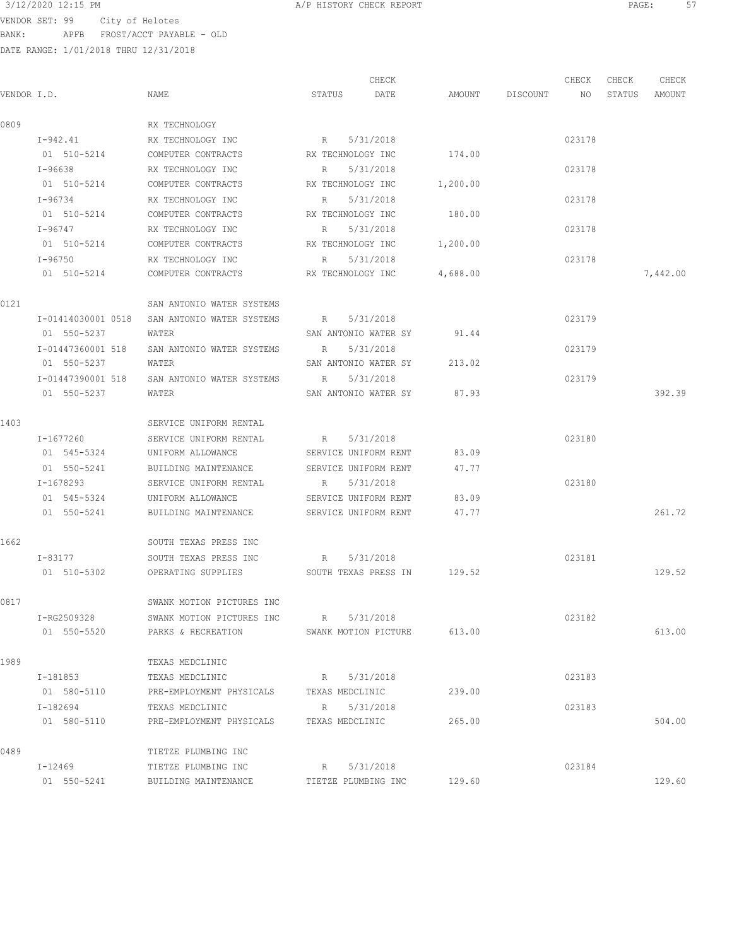3/12/2020 12:15 PM A/P HISTORY CHECK REPORT PAGE: 57 VENDOR SET: 99 City of Helotes

BANK: APFB FROST/ACCT PAYABLE - OLD

| VENDOR I.D. |                         | NAME                                  | CHECK<br>STATUS<br>DATE             |          | AMOUNT DISCOUNT | CHECK<br>NO | CHECK<br>STATUS | CHECK<br>AMOUNT |
|-------------|-------------------------|---------------------------------------|-------------------------------------|----------|-----------------|-------------|-----------------|-----------------|
| 0809        |                         | RX TECHNOLOGY                         |                                     |          |                 |             |                 |                 |
|             |                         | RX TECHNOLOGY INC                     |                                     |          |                 |             |                 |                 |
|             | I-942.41<br>01 510-5214 | COMPUTER CONTRACTS                    | 5/31/2018<br>R<br>RX TECHNOLOGY INC | 174.00   |                 | 023178      |                 |                 |
|             | I-96638                 | RX TECHNOLOGY INC                     | 5/31/2018<br>R                      |          |                 | 023178      |                 |                 |
|             | 01 510-5214             | COMPUTER CONTRACTS                    | RX TECHNOLOGY INC                   | 1,200.00 |                 |             |                 |                 |
|             | I-96734                 | RX TECHNOLOGY INC                     | R<br>5/31/2018                      |          |                 | 023178      |                 |                 |
|             | 01 510-5214             | COMPUTER CONTRACTS                    | RX TECHNOLOGY INC                   | 180.00   |                 |             |                 |                 |
|             | $I - 96747$             | RX TECHNOLOGY INC                     | 5/31/2018<br>$R_{\rm c}$            |          |                 | 023178      |                 |                 |
|             | 01 510-5214             | COMPUTER CONTRACTS                    | RX TECHNOLOGY INC                   | 1,200.00 |                 |             |                 |                 |
|             | I-96750                 | RX TECHNOLOGY INC                     | 5/31/2018<br>R                      |          |                 | 023178      |                 |                 |
|             | 01 510-5214             | COMPUTER CONTRACTS TECHNOLOGY INC     |                                     | 4,688.00 |                 |             |                 | 7,442.00        |
| 0121        |                         | SAN ANTONIO WATER SYSTEMS             |                                     |          |                 |             |                 |                 |
|             | I-01414030001 0518      | SAN ANTONIO WATER SYSTEMS R 5/31/2018 |                                     |          |                 | 023179      |                 |                 |
|             | 01 550-5237             | WATER                                 | SAN ANTONIO WATER SY 91.44          |          |                 |             |                 |                 |
|             | I-01447360001 518       | SAN ANTONIO WATER SYSTEMS             | R<br>5/31/2018                      |          |                 | 023179      |                 |                 |
|             | 01 550-5237             | WATER                                 | SAN ANTONIO WATER SY                | 213.02   |                 |             |                 |                 |
|             | I-01447390001 518       | SAN ANTONIO WATER SYSTEMS             | $R_{\perp}$<br>5/31/2018            |          |                 | 023179      |                 |                 |
|             | 01 550-5237             | WATER                                 | SAN ANTONIO WATER SY                | 87.93    |                 |             |                 | 392.39          |
| 1403        |                         | SERVICE UNIFORM RENTAL                |                                     |          |                 |             |                 |                 |
|             | I-1677260               | SERVICE UNIFORM RENTAL                | 5/31/2018<br>R                      |          |                 | 023180      |                 |                 |
|             | 01 545-5324             | UNIFORM ALLOWANCE                     | SERVICE UNIFORM RENT                | 83.09    |                 |             |                 |                 |
|             | 01 550-5241             | BUILDING MAINTENANCE                  | SERVICE UNIFORM RENT                | 47.77    |                 |             |                 |                 |
|             | I-1678293               | SERVICE UNIFORM RENTAL                | 5/31/2018<br>$R_{\rm c}$            |          |                 | 023180      |                 |                 |
|             | 01 545-5324             | UNIFORM ALLOWANCE                     | SERVICE UNIFORM RENT                | 83.09    |                 |             |                 |                 |
|             | 01 550-5241             | BUILDING MAINTENANCE                  | SERVICE UNIFORM RENT                | 47.77    |                 |             |                 | 261.72          |
|             |                         |                                       |                                     |          |                 |             |                 |                 |
| 1662        |                         | SOUTH TEXAS PRESS INC                 |                                     |          |                 |             |                 |                 |
|             | I-83177                 | SOUTH TEXAS PRESS INC                 | 5/31/2018<br>R                      |          |                 | 023181      |                 |                 |
|             | 01 510-5302             | OPERATING SUPPLIES                    | SOUTH TEXAS PRESS IN 129.52         |          |                 |             |                 | 129.52          |
| 0817        |                         | SWANK MOTION PICTURES INC             |                                     |          |                 |             |                 |                 |
|             | I-RG2509328             | SWANK MOTION PICTURES INC             | 5/31/2018<br>R                      |          |                 | 023182      |                 |                 |
|             | 01 550-5520             | PARKS & RECREATION                    | SWANK MOTION PICTURE                | 613.00   |                 |             |                 | 613.00          |
| 1989        |                         | TEXAS MEDCLINIC                       |                                     |          |                 |             |                 |                 |
|             | I-181853                | TEXAS MEDCLINIC                       | 5/31/2018<br>R                      |          |                 | 023183      |                 |                 |
|             | 01 580-5110             | PRE-EMPLOYMENT PHYSICALS              | TEXAS MEDCLINIC                     | 239.00   |                 |             |                 |                 |
|             | I-182694                | TEXAS MEDCLINIC                       | 5/31/2018<br>R                      |          |                 | 023183      |                 |                 |
|             | 01 580-5110             | PRE-EMPLOYMENT PHYSICALS              | TEXAS MEDCLINIC                     | 265.00   |                 |             |                 | 504.00          |
| 0489        |                         | TIETZE PLUMBING INC                   |                                     |          |                 |             |                 |                 |
|             | I-12469                 | TIETZE PLUMBING INC                   | 5/31/2018<br>R                      |          |                 | 023184      |                 |                 |
|             | 01 550-5241             | BUILDING MAINTENANCE                  | TIETZE PLUMBING INC                 | 129.60   |                 |             |                 | 129.60          |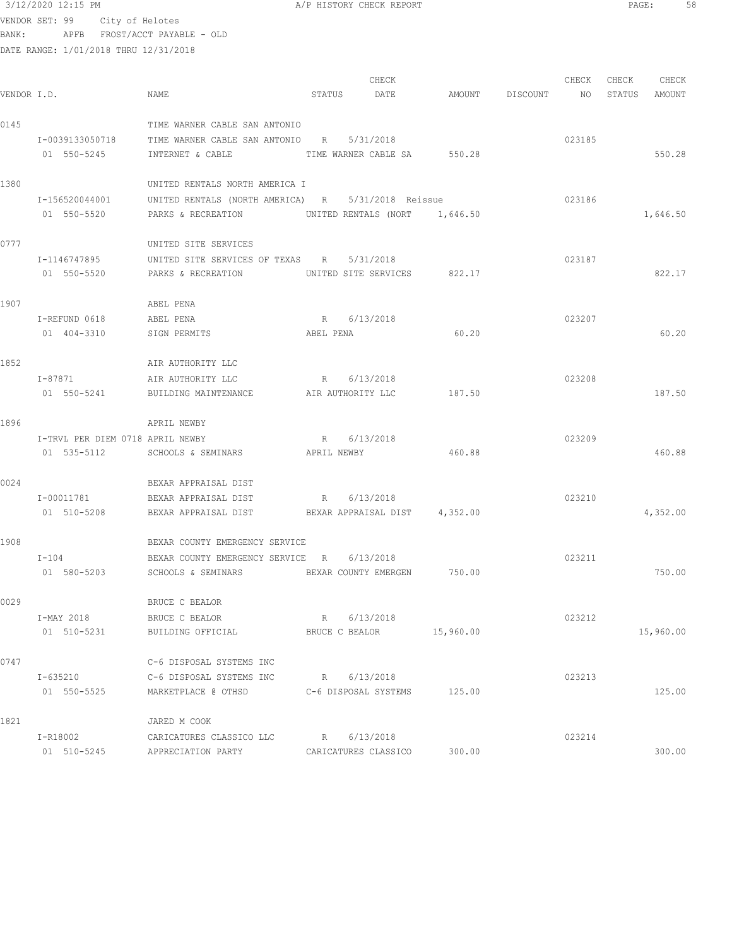3/12/2020 12:15 PM A/P HISTORY CHECK REPORT PAGE: 58 VENDOR SET: 99 City of Helotes BANK: APFB FROST/ACCT PAYABLE - OLD

DATE RANGE: 1/01/2018 THRU 12/31/2018

CHECK CHECK CHECK CHECK VENDOR I.D. NAME STATUS DATE AMOUNT DISCOUNT NO STATUS AMOUNT 0145 TIME WARNER CABLE SAN ANTONIO I-0039133050718 TIME WARNER CABLE SAN ANTONIO R 5/31/2018 023185 01 550-5245 INTERNET & CABLE TIME WARNER CABLE SA 550.28 550.28 550.28 1380 UNITED RENTALS NORTH AMERICA I I-156520044001 UNITED RENTALS (NORTH AMERICA) R 5/31/2018 Reissue 023186 01 550-5520 PARKS & RECREATION UNITED RENTALS (NORT 1,646.50 1,646.50 1,646.50 0777 UNITED SITE SERVICES I-1146747895 UNITED SITE SERVICES OF TEXAS R 5/31/2018 023187 01 550-5520 PARKS & RECREATION UNITED SITE SERVICES 822.17 822.17 1907 ABEL PENA I-REFUND 0618 ABEL PENA R 6/13/2018 023207 01 404-3310 SIGN PERMITS ABEL PENA 60.20 60.20 60.20 1852 **AIR AUTHORITY LLC**  I-87871 AIR AUTHORITY LLC R 6/13/2018 023208 01 550-5241 BUILDING MAINTENANCE AIR AUTHORITY LLC 187.50 187.50 187.50 1896 **APRIL NEWBY** I-TRVL PER DIEM 0718 APRIL NEWBY R 6/13/2018 R 6/13/2018 01 535-5112 SCHOOLS & SEMINARS APRIL NEWBY 460.88 460.88 460.88 0024 BEXAR APPRAISAL DIST I-00011781 BEXAR APPRAISAL DIST R 6/13/2018 023210 01 510-5208 BEXAR APPRAISAL DIST BEXAR APPRAISAL DIST 4,352.00 4,352.00 1908 BEXAR COUNTY EMERGENCY SERVICE I-104 BEXAR COUNTY EMERGENCY SERVICE R 6/13/2018 023211 01 580-5203 SCHOOLS & SEMINARS BEXAR COUNTY EMERGEN 750.00 0029 BRUCE C BEALOR I-MAY 2018 BRUCE C BEALOR R 6/13/2018 8. 023212 01 510-5231 BUILDING OFFICIAL BRUCE C BEALOR 15,960.00 15,960.00 15,960.00 0747 C-6 DISPOSAL SYSTEMS INC I-635210 C-6 DISPOSAL SYSTEMS INC R 6/13/2018 023213 01 550-5525 MARKETPLACE @ OTHSD C-6 DISPOSAL SYSTEMS 125.00 125.00 1821 JARED M COOK<br>I-R18002 CARICATURES C I-R18002 CARICATURES CLASSICO LLC R 6/13/2018 023214 01 510-5245 APPRECIATION PARTY CARICATURES CLASSICO 300.00 300.00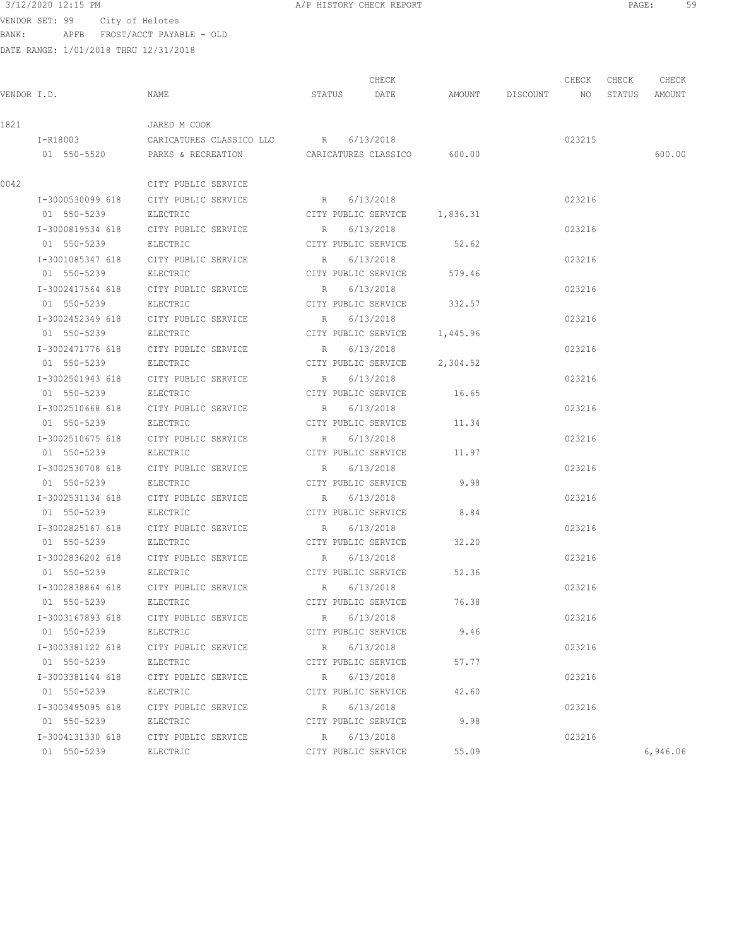VENDOR SET: 99 City of Helotes BANK: APFB FROST/ACCT PAYABLE - OLD

|      |                  |                                               |             | CHECK                        |          |                    | CHECK  | CHECK | CHECK         |
|------|------------------|-----------------------------------------------|-------------|------------------------------|----------|--------------------|--------|-------|---------------|
|      | VENDOR I.D.      | NAME                                          | STATUS      | DATE                         |          | AMOUNT DISCOUNT NO |        |       | STATUS AMOUNT |
| 1821 |                  | JARED M COOK                                  |             |                              |          |                    |        |       |               |
|      |                  | I-R18003 CARICATURES CLASSICO LLC R 6/13/2018 |             |                              |          |                    | 023215 |       |               |
|      |                  | 01 550-5520 PARKS & RECREATION                |             | CARICATURES CLASSICO 600.00  |          |                    |        |       | 600.00        |
| 0042 |                  | CITY PUBLIC SERVICE                           |             |                              |          |                    |        |       |               |
|      | I-3000530099 618 | CITY PUBLIC SERVICE                           |             | R 6/13/2018                  |          |                    | 023216 |       |               |
|      | 01 550-5239      | ELECTRIC                                      |             | CITY PUBLIC SERVICE 1,836.31 |          |                    |        |       |               |
|      | I-3000819534 618 | CITY PUBLIC SERVICE                           | R           | 6/13/2018                    |          |                    | 023216 |       |               |
|      | 01 550-5239      | ELECTRIC                                      |             | CITY PUBLIC SERVICE          | 52.62    |                    |        |       |               |
|      | I-3001085347 618 | CITY PUBLIC SERVICE                           | R           | 6/13/2018                    |          |                    | 023216 |       |               |
|      | 01 550-5239      | ELECTRIC                                      |             | CITY PUBLIC SERVICE          | 579.46   |                    |        |       |               |
|      | I-3002417564 618 | CITY PUBLIC SERVICE                           |             | R 6/13/2018                  |          |                    | 023216 |       |               |
|      | 01 550-5239      | ELECTRIC                                      |             | CITY PUBLIC SERVICE 332.57   |          |                    |        |       |               |
|      |                  | I-3002452349 618 CITY PUBLIC SERVICE          |             | R 6/13/2018                  |          |                    | 023216 |       |               |
|      | 01 550-5239      | ELECTRIC                                      |             | CITY PUBLIC SERVICE 1,445.96 |          |                    |        |       |               |
|      | I-3002471776 618 | CITY PUBLIC SERVICE                           |             | R 6/13/2018                  |          |                    | 023216 |       |               |
|      | 01 550-5239      | ELECTRIC                                      |             | CITY PUBLIC SERVICE          | 2,304.52 |                    |        |       |               |
|      | I-3002501943 618 | CITY PUBLIC SERVICE                           |             | R 6/13/2018                  |          |                    | 023216 |       |               |
|      | 01 550-5239      | ELECTRIC                                      |             | CITY PUBLIC SERVICE 16.65    |          |                    |        |       |               |
|      | I-3002510668 618 | CITY PUBLIC SERVICE                           |             | R 6/13/2018                  |          |                    | 023216 |       |               |
|      | 01 550-5239      | ELECTRIC                                      |             | CITY PUBLIC SERVICE          | 11.34    |                    |        |       |               |
|      | I-3002510675 618 | CITY PUBLIC SERVICE                           | $R_{\rm c}$ | 6/13/2018                    |          |                    | 023216 |       |               |
|      | 01 550-5239      | ELECTRIC                                      |             | CITY PUBLIC SERVICE          | 11.97    |                    |        |       |               |
|      | I-3002530708 618 | CITY PUBLIC SERVICE                           | R           | 6/13/2018                    |          |                    | 023216 |       |               |
|      | 01 550-5239      | ELECTRIC                                      |             | CITY PUBLIC SERVICE          | 9.98     |                    |        |       |               |
|      | I-3002531134 618 | CITY PUBLIC SERVICE                           | R           | 6/13/2018                    |          |                    | 023216 |       |               |
|      | 01 550-5239      | ELECTRIC                                      |             | CITY PUBLIC SERVICE          | 8.84     |                    |        |       |               |
|      | I-3002825167 618 | CITY PUBLIC SERVICE                           | R           | 6/13/2018                    |          |                    | 023216 |       |               |
|      | 01 550-5239      | ELECTRIC                                      |             | CITY PUBLIC SERVICE          | 32.20    |                    |        |       |               |
|      | I-3002836202 618 | CITY PUBLIC SERVICE                           | R           | 6/13/2018                    |          |                    | 023216 |       |               |
|      | 01 550-5239      | ELECTRIC                                      |             | CITY PUBLIC SERVICE          | 52.36    |                    |        |       |               |
|      |                  | I-3002838864 618 CITY PUBLIC SERVICE          |             | R 6/13/2018                  |          |                    | 023216 |       |               |
|      | 01 550-5239      | ELECTRIC                                      |             | CITY PUBLIC SERVICE          | 76.38    |                    |        |       |               |
|      | I-3003167893 618 | CITY PUBLIC SERVICE                           |             | 6/13/2018<br>R               |          |                    | 023216 |       |               |
|      | 01 550-5239      | ELECTRIC                                      |             | CITY PUBLIC SERVICE          | 9.46     |                    |        |       |               |
|      | I-3003381122 618 | CITY PUBLIC SERVICE                           | R           | 6/13/2018                    |          |                    | 023216 |       |               |
|      | 01 550-5239      | ELECTRIC                                      |             | CITY PUBLIC SERVICE          | 57.77    |                    |        |       |               |
|      | I-3003381144 618 | CITY PUBLIC SERVICE                           | R           | 6/13/2018                    |          |                    | 023216 |       |               |
|      | 01 550-5239      | ELECTRIC                                      |             | CITY PUBLIC SERVICE          | 42.60    |                    |        |       |               |
|      | I-3003495095 618 | CITY PUBLIC SERVICE                           | R           | 6/13/2018                    |          |                    | 023216 |       |               |
|      | 01 550-5239      | ELECTRIC                                      |             | CITY PUBLIC SERVICE          | 9.98     |                    |        |       |               |
|      | I-3004131330 618 | CITY PUBLIC SERVICE                           |             | 6/13/2018<br>R               |          |                    | 023216 |       |               |
|      | 01 550-5239      | ELECTRIC                                      |             | CITY PUBLIC SERVICE          | 55.09    |                    |        |       | 6,946.06      |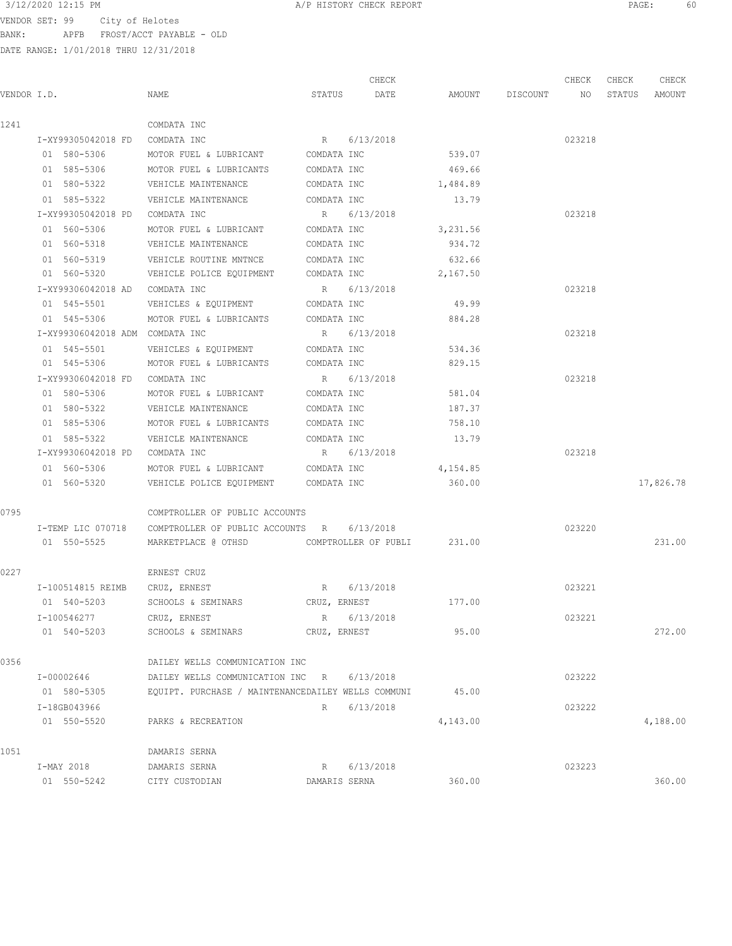VENDOR SET: 99 City of Helotes BANK: APFB FROST/ACCT PAYABLE - OLD

|             |                    |                                                    |               | CHECK       |          |          | CHECK  | CHECK  | CHECK     |
|-------------|--------------------|----------------------------------------------------|---------------|-------------|----------|----------|--------|--------|-----------|
| VENDOR I.D. |                    | NAME                                               | STATUS        | DATE        | AMOUNT   | DISCOUNT | NO     | STATUS | AMOUNT    |
| 1241        |                    | COMDATA INC                                        |               |             |          |          |        |        |           |
|             |                    | I-XY99305042018 FD COMDATA INC                     |               | R 6/13/2018 |          |          | 023218 |        |           |
|             | 01 580-5306        | MOTOR FUEL & LUBRICANT                             | COMDATA INC   |             | 539.07   |          |        |        |           |
|             | 01 585-5306        | MOTOR FUEL & LUBRICANTS                            | COMDATA INC   |             | 469.66   |          |        |        |           |
|             | 01 580-5322        | VEHICLE MAINTENANCE                                | COMDATA INC   |             | 1,484.89 |          |        |        |           |
|             | 01 585-5322        | VEHICLE MAINTENANCE                                | COMDATA INC   |             | 13.79    |          |        |        |           |
|             |                    | I-XY99305042018 PD COMDATA INC                     |               | R 6/13/2018 |          |          | 023218 |        |           |
|             | 01 560-5306        | MOTOR FUEL & LUBRICANT                             | COMDATA INC   |             | 3,231.56 |          |        |        |           |
|             | 01 560-5318        | VEHICLE MAINTENANCE                                | COMDATA INC   |             | 934.72   |          |        |        |           |
|             | 01 560-5319        | VEHICLE ROUTINE MNTNCE COMDATA INC                 |               |             | 632.66   |          |        |        |           |
|             | 01 560-5320        | VEHICLE POLICE EQUIPMENT COMDATA INC               |               |             | 2,167.50 |          |        |        |           |
|             | I-XY99306042018 AD | COMDATA INC                                        |               | R 6/13/2018 |          |          | 023218 |        |           |
|             | 01 545-5501        | VEHICLES & EQUIPMENT COMDATA INC                   |               |             | 49.99    |          |        |        |           |
|             | 01 545-5306        | MOTOR FUEL & LUBRICANTS COMDATA INC                |               |             | 884.28   |          |        |        |           |
|             |                    | I-XY99306042018 ADM COMDATA INC                    |               | R 6/13/2018 |          |          | 023218 |        |           |
|             | 01 545-5501        | VEHICLES & EQUIPMENT                               | COMDATA INC   |             | 534.36   |          |        |        |           |
|             | 01 545-5306        | MOTOR FUEL & LUBRICANTS                            | COMDATA INC   |             | 829.15   |          |        |        |           |
|             |                    | I-XY99306042018 FD COMDATA INC                     |               | R 6/13/2018 |          |          | 023218 |        |           |
|             | 01 580-5306        | MOTOR FUEL & LUBRICANT                             | COMDATA INC   |             | 581.04   |          |        |        |           |
|             | 01 580-5322        |                                                    |               |             | 187.37   |          |        |        |           |
|             | 01 585-5306        | VEHICLE MAINTENANCE                                | COMDATA INC   |             |          |          |        |        |           |
|             |                    | MOTOR FUEL & LUBRICANTS                            | COMDATA INC   |             | 758.10   |          |        |        |           |
|             | 01 585-5322        | VEHICLE MAINTENANCE                                | COMDATA INC   |             | 13.79    |          |        |        |           |
|             |                    | I-XY99306042018 PD COMDATA INC                     | R             | 6/13/2018   |          |          | 023218 |        |           |
|             | 01 560-5306        | MOTOR FUEL & LUBRICANT COMDATA INC                 |               |             | 4,154.85 |          |        |        |           |
|             | 01 560-5320        | VEHICLE POLICE EQUIPMENT COMDATA INC               |               |             | 360.00   |          |        |        | 17,826.78 |
| 0795        |                    | COMPTROLLER OF PUBLIC ACCOUNTS                     |               |             |          |          |        |        |           |
|             | I-TEMP LIC 070718  | COMPTROLLER OF PUBLIC ACCOUNTS R                   |               | 6/13/2018   |          |          | 023220 |        |           |
|             | 01 550-5525        | MARKETPLACE @ OTHSD COMPTROLLER OF PUBLI           |               |             | 231.00   |          |        |        | 231.00    |
| 0227        |                    | ERNEST CRUZ                                        |               |             |          |          |        |        |           |
|             |                    | I-100514815 REIMB CRUZ, ERNEST                     |               | R 6/13/2018 |          |          | 023221 |        |           |
|             | 01 540-5203        | SCHOOLS & SEMINARS                                 | CRUZ, ERNEST  |             | 177.00   |          |        |        |           |
|             | I-100546277        | CRUZ, ERNEST                                       |               | R 6/13/2018 |          |          | 023221 |        |           |
|             | 01 540-5203        | SCHOOLS & SEMINARS                                 | CRUZ, ERNEST  |             | 95.00    |          |        |        | 272.00    |
| 0356        |                    | DAILEY WELLS COMMUNICATION INC                     |               |             |          |          |        |        |           |
|             | I-00002646         | DAILEY WELLS COMMUNICATION INC                     | R             | 6/13/2018   |          |          | 023222 |        |           |
|             | 01 580-5305        | EQUIPT. PURCHASE / MAINTENANCEDAILEY WELLS COMMUNI |               |             | 45.00    |          |        |        |           |
|             | I-18GB043966       |                                                    | R             | 6/13/2018   |          |          | 023222 |        |           |
|             | 01 550-5520        | PARKS & RECREATION                                 |               |             | 4,143.00 |          |        |        | 4,188.00  |
|             |                    |                                                    |               |             |          |          |        |        |           |
| 1051        |                    | DAMARIS SERNA                                      |               |             |          |          |        |        |           |
|             | I-MAY 2018         | DAMARIS SERNA                                      | R             | 6/13/2018   |          |          | 023223 |        |           |
|             | 01 550-5242        | CITY CUSTODIAN                                     | DAMARIS SERNA |             | 360.00   |          |        |        | 360.00    |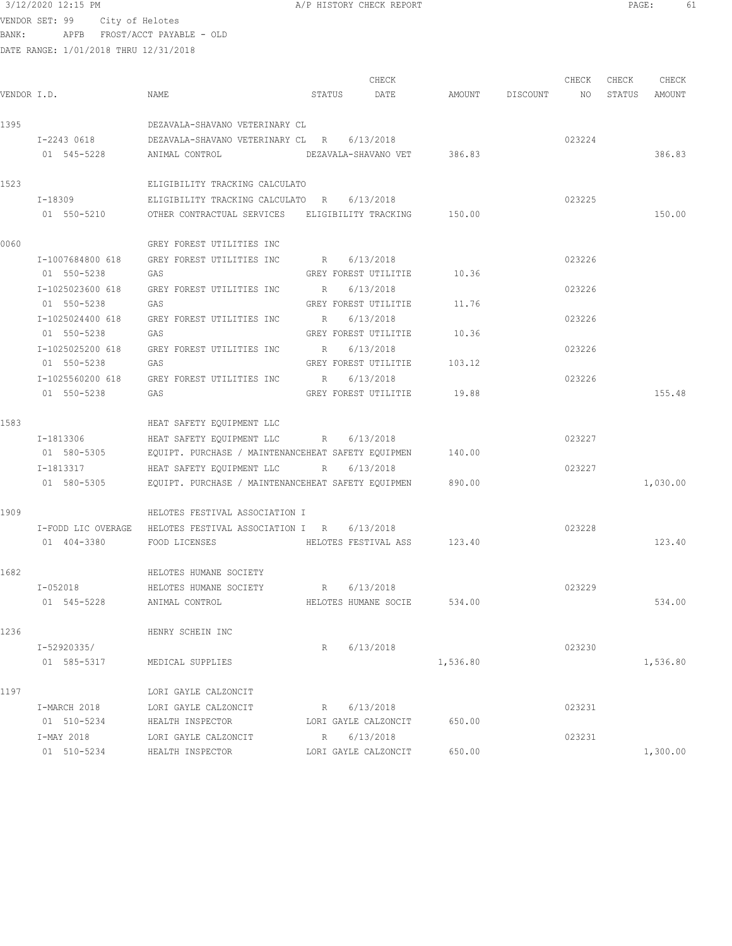|             | 3/12/2020 12:15 PM              |                 |                                                                | A/P HISTORY CHECK REPORT    |                      |          |                 |        | $\mathtt{PAGE}$ : |          | 61 |
|-------------|---------------------------------|-----------------|----------------------------------------------------------------|-----------------------------|----------------------|----------|-----------------|--------|-------------------|----------|----|
|             | VENDOR SET: 99                  | City of Helotes |                                                                |                             |                      |          |                 |        |                   |          |    |
| BANK:       |                                 |                 | APFB FROST/ACCT PAYABLE - OLD                                  |                             |                      |          |                 |        |                   |          |    |
|             |                                 |                 | DATE RANGE: 1/01/2018 THRU 12/31/2018                          |                             |                      |          |                 |        |                   |          |    |
|             |                                 |                 |                                                                |                             | CHECK                |          |                 | CHECK  | CHECK             | CHECK    |    |
| VENDOR I.D. |                                 |                 | NAME                                                           | STATUS                      | DATE                 |          | AMOUNT DISCOUNT | NO     | STATUS            | AMOUNT   |    |
|             |                                 |                 |                                                                |                             |                      |          |                 |        |                   |          |    |
| 1395        |                                 |                 | DEZAVALA-SHAVANO VETERINARY CL                                 |                             |                      |          |                 |        |                   |          |    |
|             | I-2243 0618                     |                 | DEZAVALA-SHAVANO VETERINARY CL R                               |                             | 6/13/2018            |          |                 | 023224 |                   |          |    |
|             | 01 545-5228                     |                 | ANIMAL CONTROL                                                 | DEZAVALA-SHAVANO VET 386.83 |                      |          |                 |        |                   | 386.83   |    |
| 1523        |                                 |                 | ELIGIBILITY TRACKING CALCULATO                                 |                             |                      |          |                 |        |                   |          |    |
|             | I-18309                         |                 | ELIGIBILITY TRACKING CALCULATO R                               |                             | 6/13/2018            |          |                 | 023225 |                   |          |    |
|             | 01 550-5210                     |                 | OTHER CONTRACTUAL SERVICES ELIGIBILITY TRACKING 150.00         |                             |                      |          |                 |        |                   | 150.00   |    |
| 0060        |                                 |                 | GREY FOREST UTILITIES INC                                      |                             |                      |          |                 |        |                   |          |    |
|             | I-1007684800 618                |                 | GREY FOREST UTILITIES INC                                      | R 6/13/2018                 |                      |          |                 | 023226 |                   |          |    |
|             | 01 550-5238                     |                 | GAS                                                            | GREY FOREST UTILITIE        |                      | 10.36    |                 |        |                   |          |    |
|             | I-1025023600 618                |                 | GREY FOREST UTILITIES INC                                      | R                           | 6/13/2018            |          |                 | 023226 |                   |          |    |
|             | 01 550-5238                     |                 | GAS                                                            | GREY FOREST UTILITIE        |                      | 11.76    |                 |        |                   |          |    |
|             | I-1025024400 618                |                 | GREY FOREST UTILITIES INC                                      | R                           | 6/13/2018            |          |                 | 023226 |                   |          |    |
|             | 01 550-5238                     |                 | GAS                                                            | GREY FOREST UTILITIE        |                      | 10.36    |                 |        |                   |          |    |
|             | I-1025025200 618<br>01 550-5238 |                 | GREY FOREST UTILITIES INC<br>GAS                               | R<br>GREY FOREST UTILITIE   | 6/13/2018            | 103.12   |                 | 023226 |                   |          |    |
|             | I-1025560200 618                |                 | GREY FOREST UTILITIES INC                                      | $R_{\perp}$                 | 6/13/2018            |          |                 | 023226 |                   |          |    |
|             | 01 550-5238                     |                 | GAS                                                            |                             | GREY FOREST UTILITIE | 19.88    |                 |        |                   | 155.48   |    |
| 1583        |                                 |                 | HEAT SAFETY EQUIPMENT LLC                                      |                             |                      |          |                 |        |                   |          |    |
|             | I-1813306                       |                 | HEAT SAFETY EQUIPMENT LLC                                      | R 6/13/2018                 |                      |          |                 | 023227 |                   |          |    |
|             |                                 |                 | 01 580-5305 EQUIPT. PURCHASE / MAINTENANCEHEAT SAFETY EQUIPMEN |                             |                      | 140.00   |                 |        |                   |          |    |
|             | I-1813317                       |                 | HEAT SAFETY EQUIPMENT LLC                                      | R                           | 6/13/2018            |          |                 | 023227 |                   |          |    |
|             | 01 580-5305                     |                 | EQUIPT. PURCHASE / MAINTENANCEHEAT SAFETY EQUIPMEN 890.00      |                             |                      |          |                 |        |                   | 1,030.00 |    |
| 1909        |                                 |                 | HELOTES FESTIVAL ASSOCIATION I                                 |                             |                      |          |                 |        |                   |          |    |
|             |                                 |                 | I-FODD LIC OVERAGE HELOTES FESTIVAL ASSOCIATION I R            |                             | 6/13/2018            |          |                 | 023228 |                   |          |    |
|             | 01 404-3380                     |                 | FOOD LICENSES                                                  | HELOTES FESTIVAL ASS        |                      | 123.40   |                 |        |                   | 123.40   |    |
| 1682        |                                 |                 | HELOTES HUMANE SOCIETY                                         |                             |                      |          |                 |        |                   |          |    |
|             | I-052018                        |                 | HELOTES HUMANE SOCIETY                                         | R 6/13/2018                 |                      |          |                 | 023229 |                   |          |    |
|             | 01 545-5228                     |                 | ANIMAL CONTROL                                                 | HELOTES HUMANE SOCIE        |                      | 534.00   |                 |        |                   | 534.00   |    |
| 1236        |                                 |                 | HENRY SCHEIN INC                                               |                             |                      |          |                 |        |                   |          |    |
|             | I-52920335/                     |                 |                                                                | R                           | 6/13/2018            |          |                 | 023230 |                   |          |    |
|             | 01 585-5317                     |                 | MEDICAL SUPPLIES                                               |                             |                      | 1,536.80 |                 |        |                   | 1,536.80 |    |

1197 LORI GAYLE CALZONCIT I-MARCH 2018 LORI GAYLE CALZONCIT R 6/13/2018 023231 01 510-5234 HEALTH INSPECTOR LORI GAYLE CALZONCIT 650.00 I-MAY 2018 LORI GAYLE CALZONCIT R 6/13/2018 023231 01 510-5234 HEALTH INSPECTOR LORI GAYLE CALZONCIT 650.00 1,300.00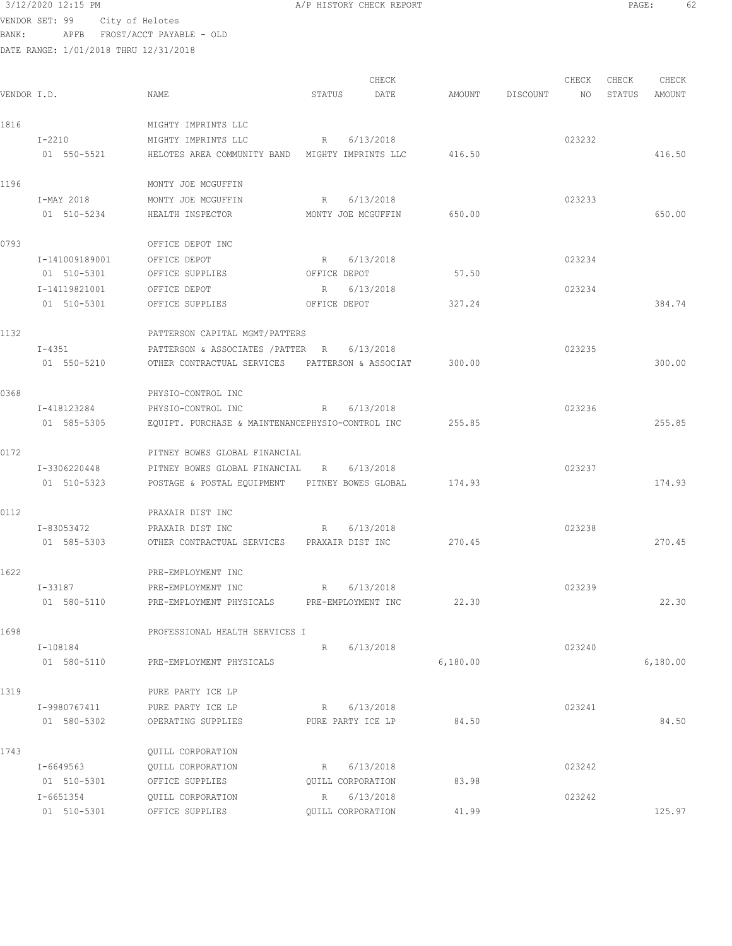|       | 3/12/2020 12:15 PM                    |                                                  | A/P HISTORY CHECK REPORT |          |          |        | PAGE:  | 62       |  |
|-------|---------------------------------------|--------------------------------------------------|--------------------------|----------|----------|--------|--------|----------|--|
|       | VENDOR SET: 99 City of Helotes        |                                                  |                          |          |          |        |        |          |  |
| BANK: |                                       | APFB FROST/ACCT PAYABLE - OLD                    |                          |          |          |        |        |          |  |
|       | DATE RANGE: 1/01/2018 THRU 12/31/2018 |                                                  |                          |          |          |        |        |          |  |
|       |                                       |                                                  | CHECK                    |          |          | CHECK  | CHECK  | CHECK    |  |
|       | VENDOR I.D.                           | NAME                                             | STATUS<br>DATE           | AMOUNT   | DISCOUNT | NO     | STATUS | AMOUNT   |  |
|       |                                       |                                                  |                          |          |          |        |        |          |  |
| 1816  |                                       | MIGHTY IMPRINTS LLC                              |                          |          |          |        |        |          |  |
|       | $I-2210$                              | MIGHTY IMPRINTS LLC                              | 6/13/2018<br>R           |          |          | 023232 |        |          |  |
|       | 01 550-5521                           | HELOTES AREA COMMUNITY BAND MIGHTY IMPRINTS LLC  |                          | 416.50   |          |        |        | 416.50   |  |
| 1196  |                                       | MONTY JOE MCGUFFIN                               |                          |          |          |        |        |          |  |
|       | I-MAY 2018                            | MONTY JOE MCGUFFIN                               | R 6/13/2018              |          |          | 023233 |        |          |  |
|       | 01 510-5234                           | HEALTH INSPECTOR                                 | MONTY JOE MCGUFFIN       | 650.00   |          |        |        | 650.00   |  |
| 0793  |                                       | OFFICE DEPOT INC                                 |                          |          |          |        |        |          |  |
|       | I-141009189001                        | OFFICE DEPOT                                     | 6/13/2018<br>R           |          |          | 023234 |        |          |  |
|       | 01 510-5301                           | OFFICE SUPPLIES                                  | OFFICE DEPOT             | 57.50    |          |        |        |          |  |
|       | I-14119821001                         | OFFICE DEPOT                                     | 6/13/2018<br>R           |          |          | 023234 |        |          |  |
|       | 01 510-5301                           | OFFICE SUPPLIES                                  | OFFICE DEPOT             | 327.24   |          |        |        | 384.74   |  |
| 1132  |                                       | PATTERSON CAPITAL MGMT/PATTERS                   |                          |          |          |        |        |          |  |
|       | I-4351                                | PATTERSON & ASSOCIATES / PATTER R                | 6/13/2018                |          |          | 023235 |        |          |  |
|       | 01 550-5210                           | OTHER CONTRACTUAL SERVICES                       | PATTERSON & ASSOCIAT     | 300.00   |          |        |        | 300.00   |  |
| 0368  |                                       | PHYSIO-CONTROL INC                               |                          |          |          |        |        |          |  |
|       | I-418123284                           | PHYSIO-CONTROL INC                               | 6/13/2018<br>R           |          |          | 023236 |        |          |  |
|       | 01 585-5305                           | EQUIPT. PURCHASE & MAINTENANCEPHYSIO-CONTROL INC |                          | 255.85   |          |        |        | 255.85   |  |
| 0172  |                                       | PITNEY BOWES GLOBAL FINANCIAL                    |                          |          |          |        |        |          |  |
|       | I-3306220448                          | PITNEY BOWES GLOBAL FINANCIAL R                  | 6/13/2018                |          |          | 023237 |        |          |  |
|       | 01 510-5323                           | POSTAGE & POSTAL EQUIPMENT PITNEY BOWES GLOBAL   |                          | 174.93   |          |        |        | 174.93   |  |
| 0112  |                                       | PRAXAIR DIST INC                                 |                          |          |          |        |        |          |  |
|       | I-83053472                            | PRAXAIR DIST INC                                 | R 6/13/2018              |          |          | 023238 |        |          |  |
|       | 01 585-5303                           | OTHER CONTRACTUAL SERVICES PRAXAIR DIST INC      |                          | 270.45   |          |        |        | 270.45   |  |
| 1622  |                                       | PRE-EMPLOYMENT INC                               |                          |          |          |        |        |          |  |
|       | I-33187                               | PRE-EMPLOYMENT INC                               | R 6/13/2018              |          |          | 023239 |        |          |  |
|       | 01 580-5110                           | PRE-EMPLOYMENT PHYSICALS PRE-EMPLOYMENT INC      |                          | 22.30    |          |        |        | 22.30    |  |
| 1698  |                                       | PROFESSIONAL HEALTH SERVICES I                   |                          |          |          |        |        |          |  |
|       | I-108184                              |                                                  | R 6/13/2018              |          |          | 023240 |        |          |  |
|       | 01 580-5110                           | PRE-EMPLOYMENT PHYSICALS                         |                          | 6,180.00 |          |        |        | 6,180.00 |  |
| 1319  |                                       | PURE PARTY ICE LP                                |                          |          |          |        |        |          |  |
|       | I-9980767411                          | PURE PARTY ICE LP                                | R 6/13/2018              |          |          | 023241 |        |          |  |
|       | 01 580-5302                           | OPERATING SUPPLIES                               | PURE PARTY ICE LP        | 84.50    |          |        |        | 84.50    |  |
| 1743  |                                       | QUILL CORPORATION                                |                          |          |          |        |        |          |  |
|       | I-6649563                             | QUILL CORPORATION                                | R 6/13/2018              |          |          | 023242 |        |          |  |

01 510-5301 OFFICE SUPPLIES QUILL CORPORATION 83.98

I-6651354 QUILL CORPORATION R 6/13/2018 023242

01 510-5301 OFFICE SUPPLIES QUILL CORPORATION 41.99 25.97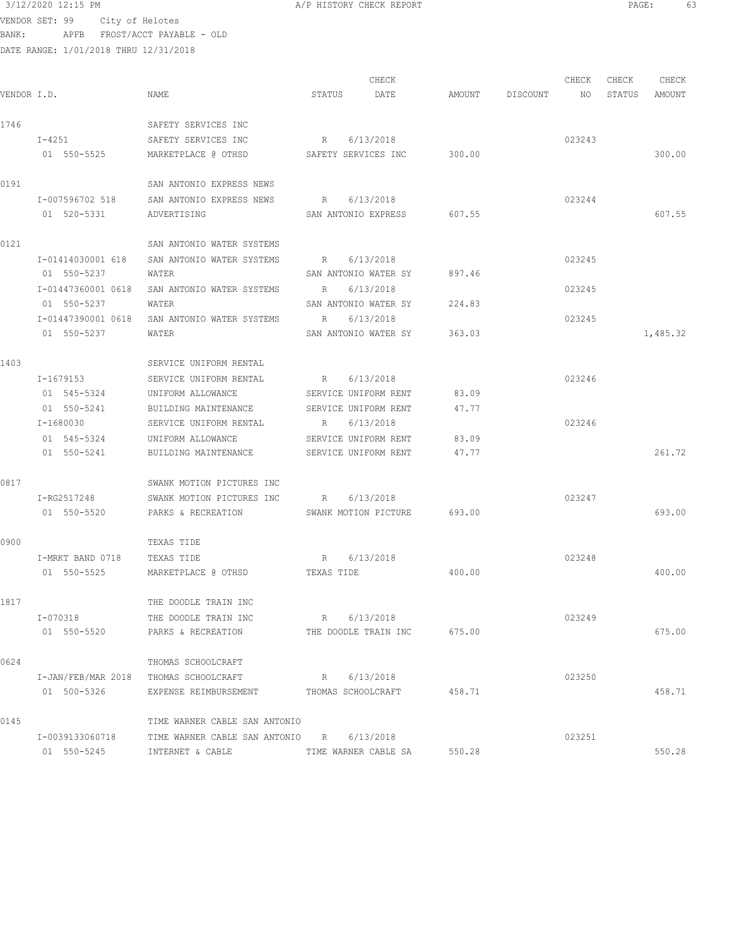VENDOR SET: 99 City of Helotes BANK: APFB FROST/ACCT PAYABLE - OLD DATE RANGE: 1/01/2018 THRU 12/31/2018

|             |                    |                                                 |             | CHECK                       |        |                    | CHECK  | CHECK  | CHECK    |
|-------------|--------------------|-------------------------------------------------|-------------|-----------------------------|--------|--------------------|--------|--------|----------|
| VENDOR I.D. |                    | NAME                                            | STATUS      | DATE                        |        | AMOUNT DISCOUNT NO |        | STATUS | AMOUNT   |
| 1746        |                    | SAFETY SERVICES INC                             |             |                             |        |                    |        |        |          |
|             | $I-4251$           | SAFETY SERVICES INC                             |             | R 6/13/2018                 |        |                    | 023243 |        |          |
|             | 01 550-5525        | MARKETPLACE @ OTHSD                             |             | SAFETY SERVICES INC 300.00  |        |                    |        |        | 300.00   |
| 0191        |                    | SAN ANTONIO EXPRESS NEWS                        |             |                             |        |                    |        |        |          |
|             | I-007596702 518    | SAN ANTONIO EXPRESS NEWS                        |             | R 6/13/2018                 |        |                    | 023244 |        |          |
|             | 01 520-5331        | ADVERTISING                                     |             | SAN ANTONIO EXPRESS 607.55  |        |                    |        |        | 607.55   |
| 0121        |                    | SAN ANTONIO WATER SYSTEMS                       |             |                             |        |                    |        |        |          |
|             | I-01414030001 618  | SAN ANTONIO WATER SYSTEMS                       |             | R 6/13/2018                 |        |                    | 023245 |        |          |
|             | 01 550-5237        | WATER                                           |             | SAN ANTONIO WATER SY        | 897.46 |                    |        |        |          |
|             | I-01447360001 0618 | SAN ANTONIO WATER SYSTEMS                       |             | R 6/13/2018                 |        |                    | 023245 |        |          |
|             | 01 550-5237        | WATER                                           |             | SAN ANTONIO WATER SY        | 224.83 |                    |        |        |          |
|             |                    | I-01447390001 0618 SAN ANTONIO WATER SYSTEMS    |             | R 6/13/2018                 |        |                    | 023245 |        |          |
|             | 01 550-5237        | WATER                                           |             | SAN ANTONIO WATER SY 363.03 |        |                    |        |        | 1,485.32 |
| 1403        |                    | SERVICE UNIFORM RENTAL                          |             |                             |        |                    |        |        |          |
|             | $I - 1679153$      | SERVICE UNIFORM RENTAL                          |             | R 6/13/2018                 |        |                    | 023246 |        |          |
|             | 01 545-5324        | UNIFORM ALLOWANCE                               |             | SERVICE UNIFORM RENT        | 83.09  |                    |        |        |          |
|             | 01 550-5241        | BUILDING MAINTENANCE                            |             | SERVICE UNIFORM RENT        | 47.77  |                    |        |        |          |
|             | I-1680030          | SERVICE UNIFORM RENTAL                          | $R_{\rm c}$ | 6/13/2018                   |        |                    | 023246 |        |          |
|             | 01 545-5324        | UNIFORM ALLOWANCE                               |             | SERVICE UNIFORM RENT        | 83.09  |                    |        |        |          |
|             | 01 550-5241        | BUILDING MAINTENANCE                            |             | SERVICE UNIFORM RENT        | 47.77  |                    |        |        | 261.72   |
| 0817        |                    | SWANK MOTION PICTURES INC                       |             |                             |        |                    |        |        |          |
|             | I-RG2517248        | SWANK MOTION PICTURES INC R 6/13/2018           |             |                             |        |                    | 023247 |        |          |
|             | 01 550-5520        | PARKS & RECREATION 5WANK MOTION PICTURE 693.00  |             |                             |        |                    |        |        | 693.00   |
| 0900        |                    | TEXAS TIDE                                      |             |                             |        |                    |        |        |          |
|             | I-MRKT BAND 0718   | TEXAS TIDE                                      | R           | 6/13/2018                   |        |                    | 023248 |        |          |
|             | 01 550-5525        | MARKETPLACE @ OTHSD                             |             | TEXAS TIDE 400.00           |        |                    |        |        | 400.00   |
| 1817        |                    | THE DOODLE TRAIN INC                            |             |                             |        |                    |        |        |          |
|             | I-070318           | THE DOODLE TRAIN INC                            |             | R 6/13/2018                 |        |                    | 023249 |        |          |
|             | 01 550-5520        | PARKS & RECREATION                              |             | THE DOODLE TRAIN INC 675.00 |        |                    |        |        | 675.00   |
| 0624        |                    | THOMAS SCHOOLCRAFT                              |             |                             |        |                    |        |        |          |
|             |                    | I-JAN/FEB/MAR 2018 THOMAS SCHOOLCRAFT           |             | R 6/13/2018                 |        |                    | 023250 |        |          |
|             | 01 500-5326        | EXPENSE REIMBURSEMENT THOMAS SCHOOLCRAFT 458.71 |             |                             |        |                    |        |        | 458.71   |
| 0145        |                    | TIME WARNER CABLE SAN ANTONIO                   |             |                             |        |                    |        |        |          |
|             | I-0039133060718    | TIME WARNER CABLE SAN ANTONIO R 6/13/2018       |             |                             |        |                    | 023251 |        |          |
|             | 01 550-5245        | INTERNET & CABLE TIME WARNER CABLE SA           |             |                             | 550.28 |                    |        |        | 550.28   |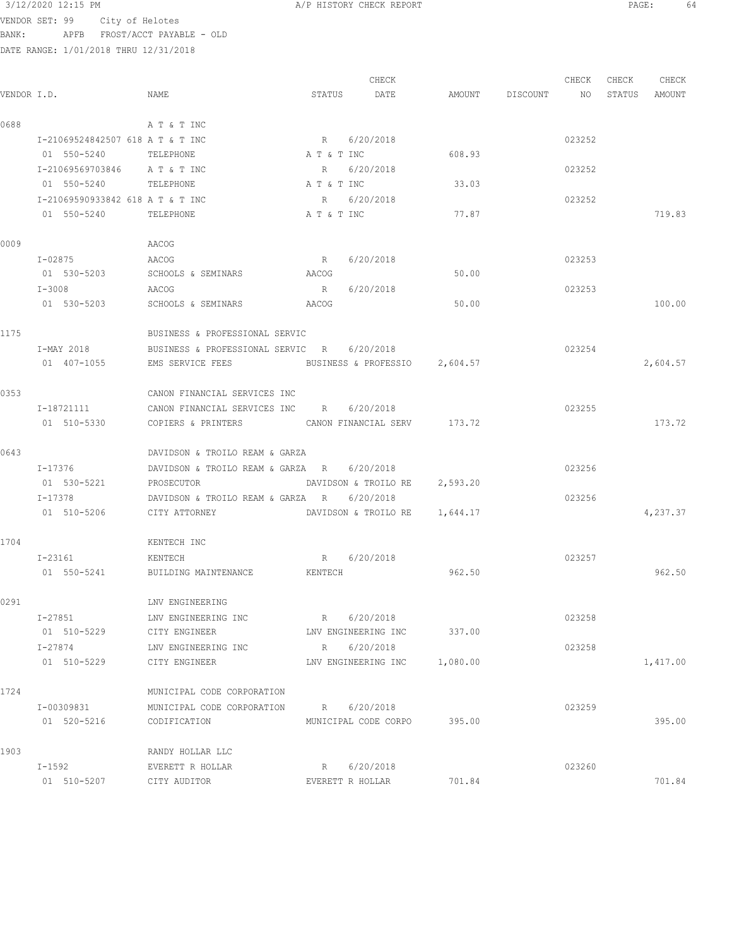|       | 3/12/2020 12:15 PM                    |                                                          |         | A/P HISTORY CHECK REPORT      |                    |        |       | PAGE: 64      |  |
|-------|---------------------------------------|----------------------------------------------------------|---------|-------------------------------|--------------------|--------|-------|---------------|--|
|       | VENDOR SET: 99 City of Helotes        |                                                          |         |                               |                    |        |       |               |  |
| BANK: | APFB FROST/ACCT PAYABLE - OLD         |                                                          |         |                               |                    |        |       |               |  |
|       | DATE RANGE: 1/01/2018 THRU 12/31/2018 |                                                          |         |                               |                    |        |       |               |  |
|       |                                       |                                                          |         |                               |                    |        |       |               |  |
|       |                                       |                                                          |         | CHECK                         |                    | CHECK  | CHECK | CHECK         |  |
|       | VENDOR I.D.                           | NAME                                                     |         | STATUS DATE                   | AMOUNT DISCOUNT NO |        |       | STATUS AMOUNT |  |
| 0688  |                                       | A T & T INC                                              |         |                               |                    |        |       |               |  |
|       | I-21069524842507 618 A T & T INC      |                                                          |         | R 6/20/2018                   |                    | 023252 |       |               |  |
|       | 01 550-5240 TELEPHONE                 |                                                          |         | A T & T INC                   | 608.93             |        |       |               |  |
|       | I-21069569703846 A T & T INC          |                                                          |         | R 6/20/2018                   |                    | 023252 |       |               |  |
|       | 01 550-5240 TELEPHONE                 |                                                          |         | A T & T INC                   | 33.03              |        |       |               |  |
|       | I-21069590933842 618 A T & T INC      |                                                          |         | R 6/20/2018                   |                    | 023252 |       |               |  |
|       | 01 550-5240 TELEPHONE                 |                                                          |         | A T & T INC                   | 77.87              |        |       | 719.83        |  |
|       |                                       |                                                          |         |                               |                    |        |       |               |  |
| 0009  |                                       | AACOG                                                    |         |                               |                    |        |       |               |  |
|       | I-02875 AACOG                         |                                                          |         | R 6/20/2018                   |                    | 023253 |       |               |  |
|       |                                       | 01 530-5203 SCHOOLS & SEMINARS                           | AACOG   |                               | 50.00              |        |       |               |  |
|       | I-3008                                | AACOG                                                    | R       | 6/20/2018                     |                    | 023253 |       |               |  |
|       | 01 530-5203                           | SCHOOLS & SEMINARS                                       | AACOG   |                               | 50.00              |        |       | 100.00        |  |
|       |                                       |                                                          |         |                               |                    |        |       |               |  |
| 1175  |                                       | BUSINESS & PROFESSIONAL SERVIC                           |         |                               |                    |        |       |               |  |
|       | I-MAY 2018                            | BUSINESS & PROFESSIONAL SERVIC R 6/20/2018               |         |                               |                    | 023254 |       |               |  |
|       | 01 407-1055                           | EMS SERVICE FEES                                         |         | BUSINESS & PROFESSIO 2,604.57 |                    |        |       | 2,604.57      |  |
|       |                                       |                                                          |         |                               |                    |        |       |               |  |
| 0353  |                                       | CANON FINANCIAL SERVICES INC                             |         |                               |                    |        |       |               |  |
|       | I-18721111                            | CANON FINANCIAL SERVICES INC R 6/20/2018                 |         |                               |                    | 023255 |       |               |  |
|       | 01 510-5330                           | COPIERS & PRINTERS CANON FINANCIAL SERV 173.72           |         |                               |                    |        |       | 173.72        |  |
|       |                                       |                                                          |         |                               |                    |        |       |               |  |
| 0643  |                                       | DAVIDSON & TROILO REAM & GARZA                           |         |                               |                    |        |       |               |  |
|       | I-17376<br>01 530-5221                | DAVIDSON & TROILO REAM & GARZA R 6/20/2018<br>PROSECUTOR |         | DAVIDSON & TROILO RE 2,593.20 |                    | 023256 |       |               |  |
|       | $I - 17378$                           | DAVIDSON & TROILO REAM & GARZA R 6/20/2018               |         |                               |                    | 023256 |       |               |  |
|       | 01 510-5206 CITY ATTORNEY             |                                                          |         | DAVIDSON & TROILO RE 1,644.17 |                    |        |       | 4,237.37      |  |
|       |                                       |                                                          |         |                               |                    |        |       |               |  |
| 1704  |                                       | KENTECH INC                                              |         |                               |                    |        |       |               |  |
|       | I-23161                               | KENTECH                                                  |         | R 6/20/2018                   |                    | 023257 |       |               |  |
|       | 01 550-5241                           | BUILDING MAINTENANCE                                     | KENTECH |                               | 962.50             |        |       | 962.50        |  |
|       |                                       |                                                          |         |                               |                    |        |       |               |  |
| 0291  |                                       | LNV ENGINEERING                                          |         |                               |                    |        |       |               |  |
|       | I-27851                               | LNV ENGINEERING INC                                      |         | R 6/20/2018                   |                    | 023258 |       |               |  |
|       | 01 510-5229                           | CITY ENGINEER                                            |         | LNV ENGINEERING INC           | 337.00             |        |       |               |  |
|       | I-27874                               | LNV ENGINEERING INC                                      |         | R 6/20/2018                   |                    | 023258 |       |               |  |
|       | 01 510-5229                           | CITY ENGINEER                                            |         | LNV ENGINEERING INC           | 1,080.00           |        |       | 1,417.00      |  |
|       |                                       |                                                          |         |                               |                    |        |       |               |  |
| 1724  |                                       | MUNICIPAL CODE CORPORATION                               |         |                               |                    |        |       |               |  |
|       | I-00309831                            | MUNICIPAL CODE CORPORATION R 6/20/2018                   |         |                               |                    | 023259 |       |               |  |
|       | 01 520-5216                           | CODIFICATION                                             |         | MUNICIPAL CODE CORPO 395.00   |                    |        |       | 395.00        |  |
|       |                                       |                                                          |         |                               |                    |        |       |               |  |
| 1903  |                                       | RANDY HOLLAR LLC                                         |         |                               |                    |        |       |               |  |
|       | I-1592                                | EVERETT R HOLLAR                                         |         | R 6/20/2018                   |                    | 023260 |       |               |  |

01 510-5207 CITY AUDITOR EVERETT R HOLLAR 701.84 701.84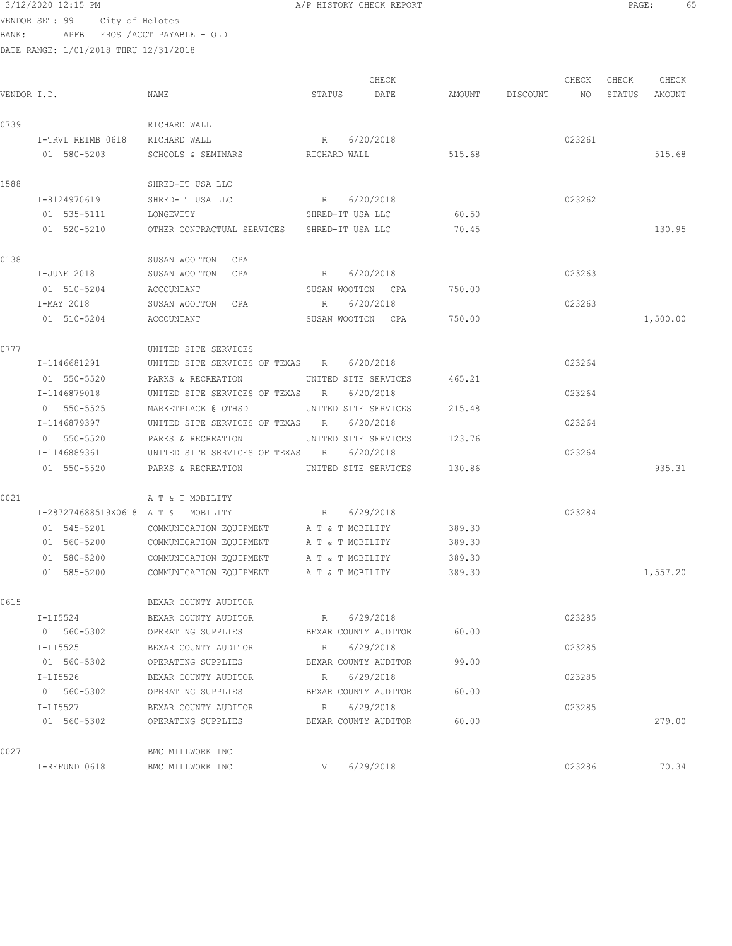3/12/2020 12:15 PM A/P HISTORY CHECK REPORT PAGE: 65 VENDOR SET: 99 City of Helotes BANK: APFB FROST/ACCT PAYABLE - OLD

| VENDOR I.D. |                                      | NAME                                                   | STATUS               | CHECK<br>DATE        | AMOUNT | DISCOUNT | CHECK<br>NO | CHECK<br>STATUS | CHECK<br><b>AMOUNT</b> |
|-------------|--------------------------------------|--------------------------------------------------------|----------------------|----------------------|--------|----------|-------------|-----------------|------------------------|
| 0739        |                                      | RICHARD WALL                                           |                      |                      |        |          |             |                 |                        |
|             | I-TRVL REIMB 0618                    | RICHARD WALL                                           | R                    | 6/20/2018            |        |          | 023261      |                 |                        |
|             | 01 580-5203                          | SCHOOLS & SEMINARS                                     | RICHARD WALL         |                      | 515.68 |          |             |                 | 515.68                 |
| 1588        |                                      | SHRED-IT USA LLC                                       |                      |                      |        |          |             |                 |                        |
|             | I-8124970619                         | SHRED-IT USA LLC                                       | R 6/20/2018          |                      |        |          | 023262      |                 |                        |
|             | 01 535-5111                          | LONGEVITY                                              | SHRED-IT USA LLC     |                      | 60.50  |          |             |                 |                        |
|             | 01 520-5210                          | OTHER CONTRACTUAL SERVICES SHRED-IT USA LLC            |                      |                      | 70.45  |          |             |                 | 130.95                 |
| 0138        |                                      | SUSAN WOOTTON CPA                                      |                      |                      |        |          |             |                 |                        |
|             | I-JUNE 2018                          | SUSAN WOOTTON CPA                                      | R                    | 6/20/2018            |        |          | 023263      |                 |                        |
|             | 01 510-5204                          | ACCOUNTANT                                             | SUSAN WOOTTON CPA    |                      | 750.00 |          |             |                 |                        |
|             | I-MAY 2018                           | SUSAN WOOTTON CPA                                      | R                    | 6/20/2018            |        |          | 023263      |                 |                        |
|             | 01 510-5204                          | ACCOUNTANT                                             | SUSAN WOOTTON CPA    |                      | 750.00 |          |             |                 | 1,500.00               |
| 0777        |                                      | UNITED SITE SERVICES                                   |                      |                      |        |          |             |                 |                        |
|             | I-1146681291                         | UNITED SITE SERVICES OF TEXAS R                        |                      | 6/20/2018            |        |          | 023264      |                 |                        |
|             | 01 550-5520                          | PARKS & RECREATION                                     | UNITED SITE SERVICES |                      | 465.21 |          |             |                 |                        |
|             | I-1146879018                         | UNITED SITE SERVICES OF TEXAS R                        |                      | 6/20/2018            |        |          | 023264      |                 |                        |
|             | 01 550-5525<br>I-1146879397          | MARKETPLACE @ OTHSD<br>UNITED SITE SERVICES OF TEXAS R | UNITED SITE SERVICES | 6/20/2018            | 215.48 |          | 023264      |                 |                        |
|             | 01 550-5520                          | PARKS & RECREATION                                     |                      | UNITED SITE SERVICES | 123.76 |          |             |                 |                        |
|             | I-1146889361                         | UNITED SITE SERVICES OF TEXAS R                        |                      | 6/20/2018            |        |          | 023264      |                 |                        |
|             | 01 550-5520                          | PARKS & RECREATION                                     | UNITED SITE SERVICES |                      | 130.86 |          |             |                 | 935.31                 |
| 0021        |                                      | A T & T MOBILITY                                       |                      |                      |        |          |             |                 |                        |
|             | I-287274688519X0618 A T & T MOBILITY |                                                        | R                    | 6/29/2018            |        |          | 023284      |                 |                        |
|             | 01 545-5201                          | COMMUNICATION EQUIPMENT                                | A T & T MOBILITY     |                      | 389.30 |          |             |                 |                        |
|             | 01 560-5200                          | COMMUNICATION EQUIPMENT                                | A T & T MOBILITY     |                      | 389.30 |          |             |                 |                        |
|             | 01 580-5200                          | COMMUNICATION EQUIPMENT                                | A T & T MOBILITY     |                      | 389.30 |          |             |                 |                        |
|             | 01 585-5200                          | COMMUNICATION EQUIPMENT                                | A T & T MOBILITY     |                      | 389.30 |          |             |                 | 1,557.20               |
| 0615        |                                      | BEXAR COUNTY AUDITOR                                   |                      |                      |        |          |             |                 |                        |
|             | $I-LI5524$                           | BEXAR COUNTY AUDITOR R                                 |                      | 6/29/2018            |        |          | 023285      |                 |                        |
|             | 01 560-5302                          | OPERATING SUPPLIES BEXAR COUNTY AUDITOR 60.00          |                      |                      |        |          |             |                 |                        |
|             | I-LI5525                             | BEXAR COUNTY AUDITOR                                   | R 6/29/2018          |                      |        |          | 023285      |                 |                        |
|             | 01 560-5302                          | OPERATING SUPPLIES                                     |                      | BEXAR COUNTY AUDITOR | 99.00  |          |             |                 |                        |
|             | I-LI5526                             | BEXAR COUNTY AUDITOR                                   | R 6/29/2018          |                      |        |          | 023285      |                 |                        |
|             | 01 560-5302                          | OPERATING SUPPLIES                                     | BEXAR COUNTY AUDITOR |                      | 60.00  |          |             |                 |                        |
|             | I-LI5527                             | BEXAR COUNTY AUDITOR                                   | R 6/29/2018          |                      |        |          | 023285      |                 |                        |
|             | 01 560-5302                          | OPERATING SUPPLIES                                     |                      | BEXAR COUNTY AUDITOR | 60.00  |          |             |                 | 279.00                 |
| 0027        |                                      | BMC MILLWORK INC                                       |                      |                      |        |          |             |                 |                        |
|             | I-REFUND 0618                        | BMC MILLWORK INC                                       | $V$ 6/29/2018        |                      |        |          | 023286      |                 | 70.34                  |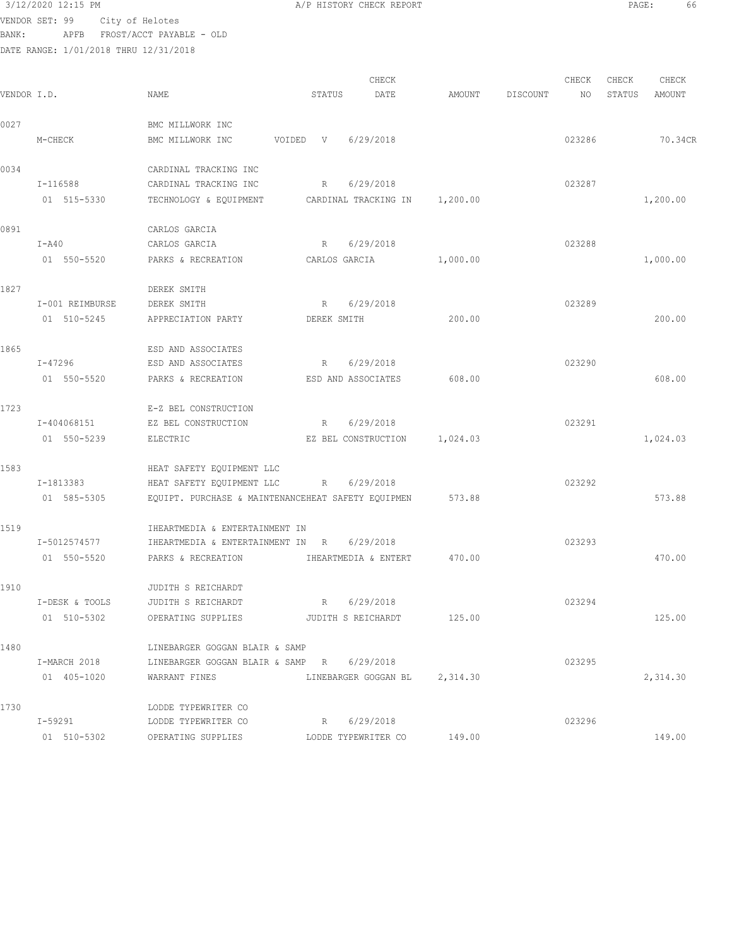## $3/12/2020$  12:15 PM  $A/P$  HISTORY CHECK REPORT  $\blacksquare$  PAGE: 66

VENDOR SET: 99 City of Helotes BANK: APFB FROST/ACCT PAYABLE - OLD

|             |                 |                                                    |               | CHECK                      |          |          | CHECK  | CHECK  | CHECK    |
|-------------|-----------------|----------------------------------------------------|---------------|----------------------------|----------|----------|--------|--------|----------|
| VENDOR I.D. |                 | NAME                                               | STATUS        | DATE                       | AMOUNT   | DISCOUNT | NO     | STATUS | AMOUNT   |
| 0027        |                 | BMC MILLWORK INC                                   |               |                            |          |          |        |        |          |
|             | M-CHECK         | BMC MILLWORK INC                                   | VOIDED V      | 6/29/2018                  |          |          | 023286 |        | 70.34CR  |
| 0034        |                 | CARDINAL TRACKING INC                              |               |                            |          |          |        |        |          |
|             | I-116588        | CARDINAL TRACKING INC                              | R             | 6/29/2018                  |          |          | 023287 |        |          |
|             | 01 515-5330     | TECHNOLOGY & EQUIPMENT                             |               | CARDINAL TRACKING IN       | 1,200.00 |          |        |        | 1,200.00 |
| 0891        |                 | CARLOS GARCIA                                      |               |                            |          |          |        |        |          |
|             | $I - A40$       | CARLOS GARCIA                                      | R             | 6/29/2018                  |          |          | 023288 |        |          |
|             | 01 550-5520     | PARKS & RECREATION                                 | CARLOS GARCIA |                            | 1,000.00 |          |        |        | 1,000.00 |
| 1827        |                 | DEREK SMITH                                        |               |                            |          |          |        |        |          |
|             | I-001 REIMBURSE | DEREK SMITH                                        | R             | 6/29/2018                  |          |          | 023289 |        |          |
|             | 01 510-5245     | APPRECIATION PARTY                                 | DEREK SMITH   |                            | 200.00   |          |        |        | 200.00   |
| 1865        |                 | ESD AND ASSOCIATES                                 |               |                            |          |          |        |        |          |
|             | I-47296         | ESD AND ASSOCIATES                                 | $R_{\perp}$   | 6/29/2018                  |          |          | 023290 |        |          |
|             | 01 550-5520     | PARKS & RECREATION                                 |               | ESD AND ASSOCIATES         | 608.00   |          |        |        | 608.00   |
| 1723        |                 | E-Z BEL CONSTRUCTION                               |               |                            |          |          |        |        |          |
|             | I-404068151     | EZ BEL CONSTRUCTION                                | R             | 6/29/2018                  |          |          | 023291 |        |          |
|             | 01 550-5239     | ELECTRIC                                           |               | EZ BEL CONSTRUCTION        | 1,024.03 |          |        |        | 1,024.03 |
| 1583        |                 | HEAT SAFETY EQUIPMENT LLC                          |               |                            |          |          |        |        |          |
|             | I-1813383       | HEAT SAFETY EQUIPMENT LLC                          | R             | 6/29/2018                  |          |          | 023292 |        |          |
|             | 01 585-5305     | EQUIPT. PURCHASE & MAINTENANCEHEAT SAFETY EQUIPMEN |               |                            | 573.88   |          |        |        | 573.88   |
| 1519        |                 | IHEARTMEDIA & ENTERTAINMENT IN                     |               |                            |          |          |        |        |          |
|             | I-5012574577    | IHEARTMEDIA & ENTERTAINMENT IN R                   |               | 6/29/2018                  |          |          | 023293 |        |          |
|             | 01 550-5520     | PARKS & RECREATION <b>IHEARTMEDIA &amp; ENTERT</b> |               |                            | 470.00   |          |        |        | 470.00   |
| 1910        |                 | JUDITH S REICHARDT                                 |               |                            |          |          |        |        |          |
|             | I-DESK & TOOLS  | JUDITH S REICHARDT                                 | R             | 6/29/2018                  |          |          | 023294 |        |          |
|             | 01 510-5302     | OPERATING SUPPLIES                                 |               | JUDITH S REICHARDT         | 125.00   |          |        |        | 125.00   |
| 1480        |                 | LINEBARGER GOGGAN BLAIR & SAMP                     |               |                            |          |          |        |        |          |
|             | I-MARCH 2018    | LINEBARGER GOGGAN BLAIR & SAMP R                   |               | 6/29/2018                  |          |          | 023295 |        |          |
|             | 01 405-1020     | WARRANT FINES                                      |               | LINEBARGER GOGGAN BL       | 2,314.30 |          |        |        | 2,314.30 |
| 1730        |                 | LODDE TYPEWRITER CO                                |               |                            |          |          |        |        |          |
|             | I-59291         | LODDE TYPEWRITER CO                                | R             | 6/29/2018                  |          |          | 023296 |        |          |
|             | 01 510-5302     | OPERATING SUPPLIES                                 |               | LODDE TYPEWRITER CO 149.00 |          |          |        |        | 149.00   |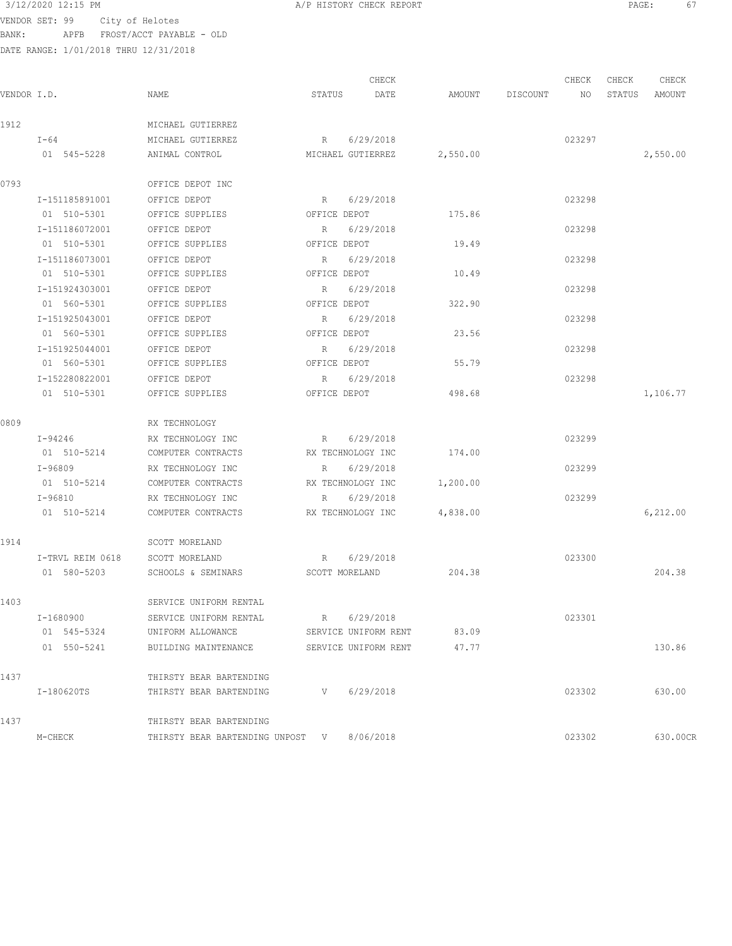$3/12/2020$  12:15 PM  $A/P$  HISTORY CHECK REPORT  $\overline{PAGE}$ : 67

VENDOR SET: 99 City of Helotes BANK: APFB FROST/ACCT PAYABLE - OLD

|             |                |                                            |              | CHECK                |          |                    | CHECK  | CHECK | CHECK         |
|-------------|----------------|--------------------------------------------|--------------|----------------------|----------|--------------------|--------|-------|---------------|
| VENDOR I.D. |                | NAME                                       | STATUS       | DATE                 |          | AMOUNT DISCOUNT NO |        |       | STATUS AMOUNT |
| 1912        |                | MICHAEL GUTIERREZ                          |              |                      |          |                    |        |       |               |
|             | I-64           | MICHAEL GUTIERREZ                          |              | R 6/29/2018          |          |                    | 023297 |       |               |
|             | 01 545-5228    | ANIMAL CONTROL                             |              | MICHAEL GUTIERREZ    | 2,550.00 |                    |        |       | 2,550.00      |
| 0793        |                | OFFICE DEPOT INC                           |              |                      |          |                    |        |       |               |
|             | I-151185891001 | OFFICE DEPOT                               |              | R 6/29/2018          |          |                    | 023298 |       |               |
|             | 01 510-5301    | OFFICE SUPPLIES                            |              | OFFICE DEPOT         | 175.86   |                    |        |       |               |
|             | I-151186072001 | OFFICE DEPOT                               |              | R 6/29/2018          |          |                    | 023298 |       |               |
|             | 01 510-5301    | OFFICE SUPPLIES                            |              | OFFICE DEPOT         | 19.49    |                    |        |       |               |
|             | I-151186073001 | OFFICE DEPOT                               |              | R 6/29/2018          |          |                    | 023298 |       |               |
|             | 01 510-5301    | OFFICE SUPPLIES                            |              | OFFICE DEPOT         | 10.49    |                    |        |       |               |
|             | I-151924303001 | OFFICE DEPOT                               |              | R 6/29/2018          |          |                    | 023298 |       |               |
|             | 01 560-5301    | OFFICE SUPPLIES                            |              | OFFICE DEPOT         | 322.90   |                    |        |       |               |
|             | I-151925043001 | OFFICE DEPOT                               |              | R 6/29/2018          |          |                    | 023298 |       |               |
|             | 01 560-5301    | OFFICE SUPPLIES                            |              | OFFICE DEPOT         | 23.56    |                    |        |       |               |
|             | I-151925044001 | OFFICE DEPOT                               |              | R 6/29/2018          |          |                    | 023298 |       |               |
|             | 01 560-5301    | OFFICE SUPPLIES                            | OFFICE DEPOT |                      | 55.79    |                    |        |       |               |
|             | I-152280822001 | OFFICE DEPOT                               |              | R 6/29/2018          |          |                    | 023298 |       |               |
|             | 01 510-5301    | OFFICE SUPPLIES                            | OFFICE DEPOT |                      | 498.68   |                    |        |       | 1,106.77      |
| 0809        |                | RX TECHNOLOGY                              |              |                      |          |                    |        |       |               |
|             | $I-94246$      | RX TECHNOLOGY INC                          |              | R 6/29/2018          |          |                    | 023299 |       |               |
|             | 01 510-5214    | COMPUTER CONTRACTS                         |              | RX TECHNOLOGY INC    | 174.00   |                    |        |       |               |
|             | I-96809        | RX TECHNOLOGY INC                          | $R$ and $R$  | 6/29/2018            |          |                    | 023299 |       |               |
|             | 01 510-5214    | COMPUTER CONTRACTS                         |              | RX TECHNOLOGY INC    | 1,200.00 |                    |        |       |               |
|             | I-96810        | RX TECHNOLOGY INC                          |              | R 6/29/2018          |          |                    | 023299 |       |               |
|             | 01 510-5214    | COMPUTER CONTRACTS                         |              | RX TECHNOLOGY INC    | 4,838.00 |                    |        |       | 6,212.00      |
| 1914        |                | SCOTT MORELAND                             |              |                      |          |                    |        |       |               |
|             |                | I-TRVL REIM 0618 SCOTT MORELAND            |              | R 6/29/2018          |          |                    | 023300 |       |               |
|             |                | 01 580-5203 SCHOOLS & SEMINARS             |              | SCOTT MORELAND       | 204.38   |                    |        |       | 204.38        |
| 1403        |                | SERVICE UNIFORM RENTAL                     |              |                      |          |                    |        |       |               |
|             | I-1680900      | SERVICE UNIFORM RENTAL                     | $R \sim$     | 6/29/2018            |          |                    | 023301 |       |               |
|             | 01 545-5324    | UNIFORM ALLOWANCE                          |              | SERVICE UNIFORM RENT | 83.09    |                    |        |       |               |
|             | 01 550-5241    | BUILDING MAINTENANCE                       |              | SERVICE UNIFORM RENT | 47.77    |                    |        |       | 130.86        |
| 1437        |                | THIRSTY BEAR BARTENDING                    |              |                      |          |                    |        |       |               |
|             | I-180620TS     | THIRSTY BEAR BARTENDING                    | V            | 6/29/2018            |          |                    | 023302 |       | 630.00        |
| 1437        |                | THIRSTY BEAR BARTENDING                    |              |                      |          |                    |        |       |               |
|             | M-CHECK        | THIRSTY BEAR BARTENDING UNPOST V 8/06/2018 |              |                      |          |                    | 023302 |       | 630.00CR      |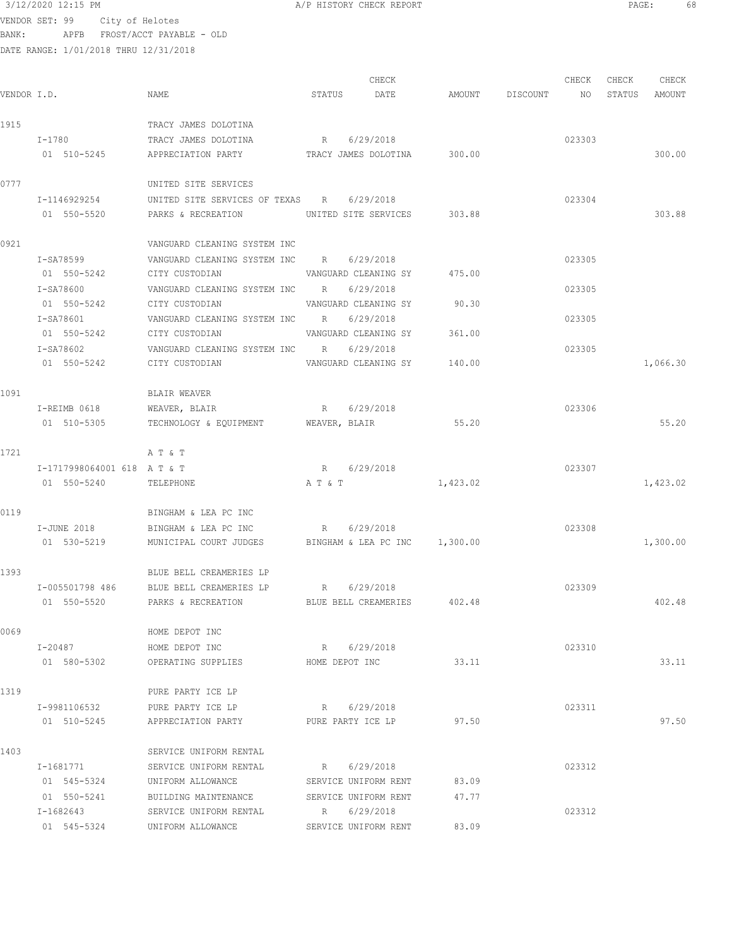# $3/12/2020$  12:15 PM  $A/P$  HISTORY CHECK REPORT  $\overline{PAGE:}$  PAGE: 68

VENDOR SET: 99 City of Helotes BANK: APFB FROST/ACCT PAYABLE - OLD

| VENDOR I.D. |                            | NAME                                                 | STATUS DATE          | CHECK                       | AMOUNT DISCOUNT NO | CHECK  | CHECK<br>STATUS AMOUNT | CHECK    |
|-------------|----------------------------|------------------------------------------------------|----------------------|-----------------------------|--------------------|--------|------------------------|----------|
| 1915        |                            | TRACY JAMES DOLOTINA                                 |                      |                             |                    |        |                        |          |
|             | $I-1780$                   | TRACY JAMES DOLOTINA                                 | R 6/29/2018          |                             |                    | 023303 |                        |          |
|             | 01 510-5245                | APPRECIATION PARTY                                   |                      | TRACY JAMES DOLOTINA 300.00 |                    |        |                        | 300.00   |
| 0777        |                            | UNITED SITE SERVICES                                 |                      |                             |                    |        |                        |          |
|             | I-1146929254               | UNITED SITE SERVICES OF TEXAS R 6/29/2018            |                      |                             |                    | 023304 |                        |          |
|             | 01 550-5520                | PARKS & RECREATION UNITED SITE SERVICES 303.88       |                      |                             |                    |        |                        | 303.88   |
| 0921        |                            | VANGUARD CLEANING SYSTEM INC                         |                      |                             |                    |        |                        |          |
|             | I-SA78599                  | VANGUARD CLEANING SYSTEM INC R 6/29/2018             |                      |                             |                    | 023305 |                        |          |
|             | 01 550-5242                | CITY CUSTODIAN 600 VANGUARD CLEANING SY 475.00       |                      |                             |                    |        |                        |          |
|             | I-SA78600                  | VANGUARD CLEANING SYSTEM INC R 6/29/2018             |                      |                             |                    | 023305 |                        |          |
|             | 01 550-5242                | CITY CUSTODIAN                                       |                      | VANGUARD CLEANING SY 90.30  |                    |        |                        |          |
|             | I-SA78601                  | VANGUARD CLEANING SYSTEM INC R 6/29/2018             |                      |                             |                    | 023305 |                        |          |
|             | 01 550-5242                | CITY CUSTODIAN                                       |                      | VANGUARD CLEANING SY 361.00 |                    |        |                        |          |
|             | I-SA78602                  | VANGUARD CLEANING SYSTEM INC R 6/29/2018             |                      |                             |                    | 023305 |                        |          |
|             | 01 550-5242                | CITY CUSTODIAN                                       |                      | VANGUARD CLEANING SY 140.00 |                    |        |                        | 1,066.30 |
| 1091        |                            | BLAIR WEAVER                                         |                      |                             |                    |        |                        |          |
|             | I-REIMB 0618               | WEAVER, BLAIR R 6/29/2018                            |                      |                             |                    | 023306 |                        |          |
|             | 01 510-5305                | TECHNOLOGY & EQUIPMENT WEAVER, BLAIR 55.20           |                      |                             |                    |        |                        | 55.20    |
| 1721        |                            | A T & T                                              |                      |                             |                    |        |                        |          |
|             | I-1717998064001 618 AT & T |                                                      | R 6/29/2018          |                             |                    | 023307 |                        |          |
|             | 01 550-5240                | TELEPHONE                                            | A T & T              |                             | 1,423.02           |        |                        | 1,423.02 |
| 0119        |                            | BINGHAM & LEA PC INC                                 |                      |                             |                    |        |                        |          |
|             | I-JUNE 2018                | BINGHAM & LEA PC INC                                 | R 6/29/2018          |                             |                    | 023308 |                        |          |
|             | 01 530-5219                | MUNICIPAL COURT JUDGES BINGHAM & LEA PC INC 1,300.00 |                      |                             |                    |        |                        | 1,300.00 |
| 1393        |                            | BLUE BELL CREAMERIES LP                              |                      |                             |                    |        |                        |          |
|             |                            | I-005501798 486 BLUE BELL CREAMERIES LP R 6/29/2018  |                      |                             |                    | 023309 |                        |          |
|             | 01 550-5520                | PARKS & RECREATION                                   |                      | BLUE BELL CREAMERIES 402.48 |                    |        |                        | 402.48   |
| 0069        |                            | HOME DEPOT INC                                       |                      |                             |                    |        |                        |          |
|             | I-20487                    | HOME DEPOT INC                                       | R 6/29/2018          |                             |                    | 023310 |                        |          |
|             | 01 580-5302                | OPERATING SUPPLIES                                   | HOME DEPOT INC       |                             | 33.11              |        |                        | 33.11    |
| 1319        |                            | PURE PARTY ICE LP                                    |                      |                             |                    |        |                        |          |
|             | I-9981106532               | PURE PARTY ICE LP                                    | R 6/29/2018          |                             |                    | 023311 |                        |          |
|             | 01 510-5245                | APPRECIATION PARTY                                   | PURE PARTY ICE LP    |                             | 97.50              |        |                        | 97.50    |
| 1403        |                            | SERVICE UNIFORM RENTAL                               |                      |                             |                    |        |                        |          |
|             | I-1681771                  | SERVICE UNIFORM RENTAL                               | R 6/29/2018          |                             |                    | 023312 |                        |          |
|             | 01 545-5324                | UNIFORM ALLOWANCE SERVICE UNIFORM RENT               |                      |                             | 83.09              |        |                        |          |
|             | 01 550-5241                | BUILDING MAINTENANCE SERVICE UNIFORM RENT            |                      |                             | 47.77              |        |                        |          |
|             | I-1682643                  | SERVICE UNIFORM RENTAL                               | R 6/29/2018          |                             |                    | 023312 |                        |          |
|             | 01 545-5324                | UNIFORM ALLOWANCE                                    | SERVICE UNIFORM RENT |                             | 83.09              |        |                        |          |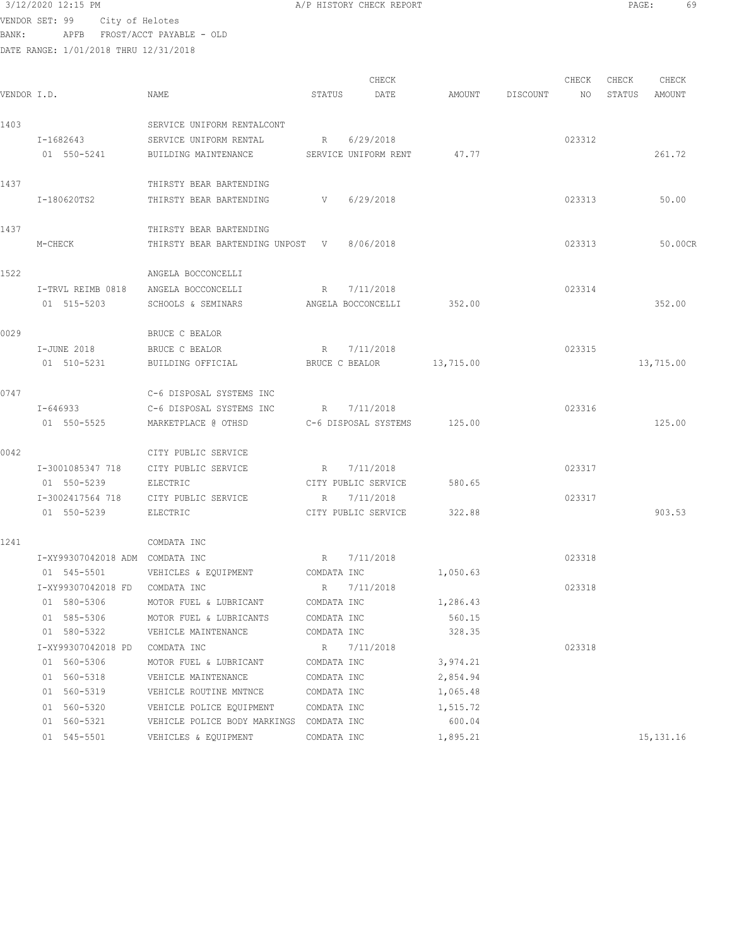VENDOR SET: 99 City of Helotes BANK: APFB FROST/ACCT PAYABLE - OLD

DATE RANGE: 1/01/2018 THRU 12/31/2018

CHECK CHECK CHECK CHECK CHECK CHECK CHECK CHECK CHECK CHECK CHECK CHECK CHECK CHECK CHECK CHECK CHECK CHECK CHECK CHECK CHECK CHECK CHECK CHECK CHECK CHECK CHECK CHECK CHECK CHECK CHECK CHECK CHECK CHECK CHECK CHECK CHECK VENDOR I.D. NAME STATUS DATE AMOUNT DISCOUNT NO STATUS AMOUNT 1403 SERVICE UNIFORM RENTALCONT I-1682643 SERVICE UNIFORM RENTAL R 6/29/2018 8 01 550-5241 BUILDING MAINTENANCE SERVICE UNIFORM RENT 47.77 261.72 1437 THIRSTY BEAR BARTENDING I-180620TS2 THIRSTY BEAR BARTENDING V 6/29/2018 023313 50.00 1437 THIRSTY BEAR BARTENDING M-CHECK THIRSTY BEAR BARTENDING UNPOST V 8/06/2018 023313 50.00CR 1522 ANGELA BOCCONCELLI I-TRVL REIMB 0818 ANGELA BOCCONCELLI R 7/11/2018 023314 01 515-5203 SCHOOLS & SEMINARS ANGELA BOCCONCELLI 352.00 352.00 352.00 0029 BRUCE C BEALOR I-JUNE 2018 BRUCE C BEALOR R 7/11/2018 023315 01 510-5231 BUILDING OFFICIAL BRUCE C BEALOR 13,715.00 13,719 13,715.00 0747 C-6 DISPOSAL SYSTEMS INC I-646933 C-6 DISPOSAL SYSTEMS INC R 7/11/2018 023316 01 550-5525 MARKETPLACE @ OTHSD C-6 DISPOSAL SYSTEMS 125.00 125.00 0042 CITY PUBLIC SERVICE I-3001085347 718 CITY PUBLIC SERVICE R 7/11/2018 023317 01 550-5239 BLECTRIC CITY PUBLIC SERVICE 580.65 I-3002417564 718 CITY PUBLIC SERVICE R 7/11/2018 023317 01 550-5239 BLECTRIC CITY PUBLIC SERVICE 322.88 1241 COMDATA INC I-XY99307042018 ADM COMDATA INC R 7/11/2018 023318 01 545-5501 VEHICLES & EQUIPMENT COMDATA INC 1,050.63 I-XY99307042018 FD COMDATA INC R 7/11/2018 023318 01 580-5306 MOTOR FUEL & LUBRICANT COMDATA INC  $1,286.43$ 01 585-5306 MOTOR FUEL & LUBRICANTS COMDATA INC 560.15 01 580-5322 VEHICLE MAINTENANCE COMDATA INC 328.35 I-XY99307042018 PD COMDATA INC R 7/11/2018 023318 01 560-5306 MOTOR FUEL & LUBRICANT COMDATA INC 3,974.21 01 560-5318 VEHICLE MAINTENANCE COMDATA INC 2,854.94 01 560-5319 VEHICLE ROUTINE MNTNCE COMDATA INC 1,065.48 01 560-5320 VEHICLE POLICE EQUIPMENT COMDATA INC 1,515.72 01 560-5321 VEHICLE POLICE BODY MARKINGS COMDATA INC 600.04 01 545-5501 VEHICLES & EQUIPMENT COMDATA INC 1,895.21 15,131.16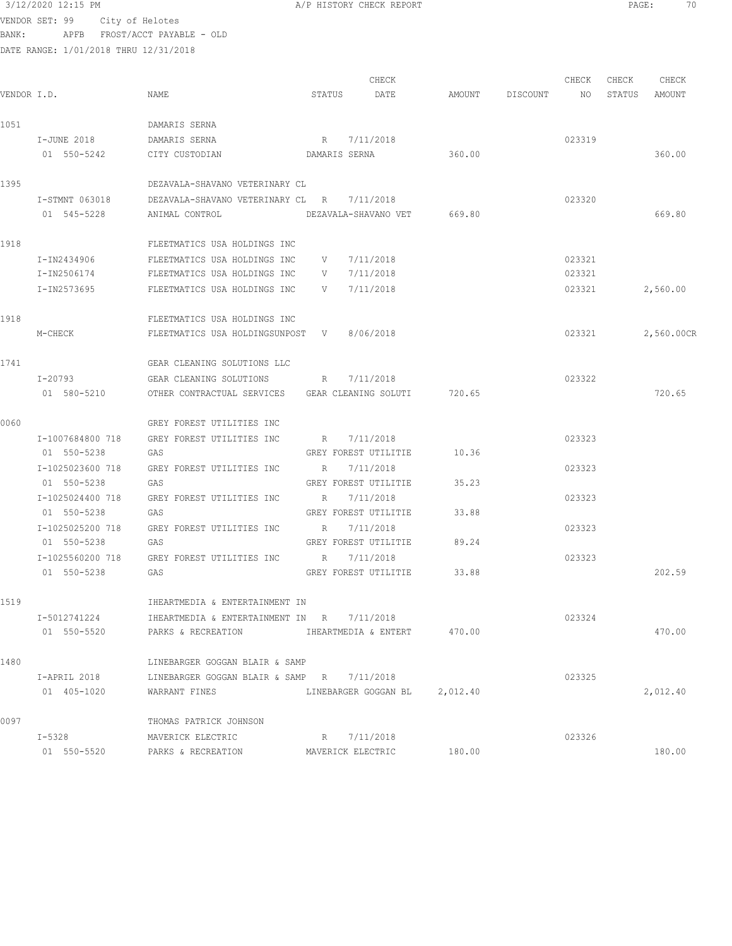| 3/12/2020 12:15 PM |  |
|--------------------|--|
|                    |  |

A/P HISTORY CHECK REPORT PAGE: 70

VENDOR SET: 99 City of Helotes BANK: APFB FROST/ACCT PAYABLE - OLD

| VENDOR I.D. |                  | NAME                                                          | STATUS | CHECK<br>DATE                 | AMOUNT DISCOUNT NO | CHECK  | CHECK | CHECK<br>STATUS AMOUNT |
|-------------|------------------|---------------------------------------------------------------|--------|-------------------------------|--------------------|--------|-------|------------------------|
| 1051        |                  | DAMARIS SERNA                                                 |        |                               |                    |        |       |                        |
|             | I-JUNE 2018      | DAMARIS SERNA                                                 |        | R 7/11/2018                   |                    | 023319 |       |                        |
|             | 01 550-5242      | CITY CUSTODIAN                                                |        | DAMARIS SERNA 360.00          |                    |        |       | 360.00                 |
| 1395        |                  | DEZAVALA-SHAVANO VETERINARY CL                                |        |                               |                    |        |       |                        |
|             | I-STMNT 063018   | DEZAVALA-SHAVANO VETERINARY CL R 7/11/2018                    |        |                               |                    | 023320 |       |                        |
|             | 01 545-5228      | ANIMAL CONTROL DEZAVALA-SHAVANO VET 669.80                    |        |                               |                    |        |       | 669.80                 |
| 1918        |                  | FLEETMATICS USA HOLDINGS INC                                  |        |                               |                    |        |       |                        |
|             | I-IN2434906      | FLEETMATICS USA HOLDINGS INC                                  |        | V 7/11/2018                   |                    | 023321 |       |                        |
|             | I-IN2506174      | FLEETMATICS USA HOLDINGS INC V                                |        | 7/11/2018                     |                    | 023321 |       |                        |
|             | I-IN2573695      | FLEETMATICS USA HOLDINGS INC V 7/11/2018                      |        |                               |                    |        |       | 023321 2,560.00        |
| 1918        |                  | FLEETMATICS USA HOLDINGS INC                                  |        |                               |                    |        |       |                        |
|             | M-CHECK          | FLEETMATICS USA HOLDINGSUNPOST V 8/06/2018                    |        |                               |                    | 023321 |       | 2,560.00CR             |
| 1741        |                  | GEAR CLEANING SOLUTIONS LLC                                   |        |                               |                    |        |       |                        |
|             |                  | I-20793 GEAR CLEANING SOLUTIONS R 7/11/2018                   |        |                               |                    | 023322 |       |                        |
|             | 01 580-5210      | OTHER CONTRACTUAL SERVICES GEAR CLEANING SOLUTI 720.65        |        |                               |                    |        |       | 720.65                 |
| 0060        |                  | GREY FOREST UTILITIES INC                                     |        |                               |                    |        |       |                        |
|             | I-1007684800 718 | GREY FOREST UTILITIES INC R 7/11/2018                         |        |                               |                    | 023323 |       |                        |
|             | 01 550-5238      | GAS                                                           |        | GREY FOREST UTILITIE          | 10.36              |        |       |                        |
|             | I-1025023600 718 | GREY FOREST UTILITIES INC                                     |        | R 7/11/2018                   |                    | 023323 |       |                        |
|             | 01 550-5238      | GAS                                                           |        | GREY FOREST UTILITIE          | 35.23              |        |       |                        |
|             | I-1025024400 718 | GREY FOREST UTILITIES INC B 7/11/2018                         |        |                               |                    | 023323 |       |                        |
|             | 01 550-5238      | GAS                                                           |        | GREY FOREST UTILITIE 33.88    |                    |        |       |                        |
|             |                  | I-1025025200 718 GREY FOREST UTILITIES INC R 7/11/2018        |        |                               |                    | 023323 |       |                        |
|             | 01 550-5238      | GAS                                                           |        | GREY FOREST UTILITIE 89.24    |                    |        |       |                        |
|             | 01 550-5238      | I-1025560200 718 GREY FOREST UTILITIES INC R 7/11/2018<br>GAS |        | GREY FOREST UTILITIE 33.88    |                    | 023323 |       | 202.59                 |
|             |                  |                                                               |        |                               |                    |        |       |                        |
| 1519        |                  | IHEARTMEDIA & ENTERTAINMENT IN                                |        |                               |                    |        |       |                        |
|             | I-5012741224     | IHEARTMEDIA & ENTERTAINMENT IN R 7/11/2018                    |        |                               |                    | 023324 |       |                        |
|             | 01 550-5520      | PARKS & RECREATION <b>IHEARTMEDIA &amp; ENTERT</b> 470.00     |        |                               |                    |        |       | 470.00                 |
| 1480        |                  | LINEBARGER GOGGAN BLAIR & SAMP                                |        |                               |                    |        |       |                        |
|             | I-APRIL 2018     | LINEBARGER GOGGAN BLAIR & SAMP R 7/11/2018                    |        |                               |                    | 023325 |       |                        |
|             | 01 405-1020      | WARRANT FINES                                                 |        | LINEBARGER GOGGAN BL 2,012.40 |                    |        |       | 2,012.40               |
| 0097        |                  | THOMAS PATRICK JOHNSON                                        |        |                               |                    |        |       |                        |
|             | I-5328           | MAVERICK ELECTRIC                                             |        | R 7/11/2018                   |                    | 023326 |       |                        |
|             | 01 550-5520      | PARKS & RECREATION                                            |        | MAVERICK ELECTRIC             | 180.00             |        |       | 180.00                 |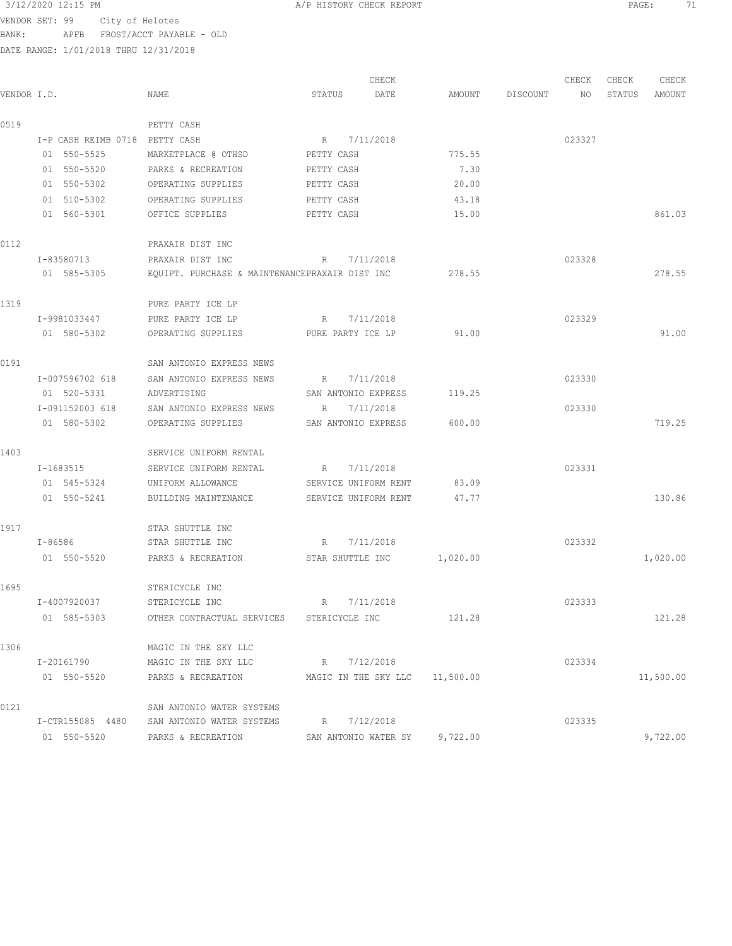VENDOR SET: 99 City of Helotes BANK: APFB FROST/ACCT PAYABLE - OLD

|             |                                |                                                |                                | CHECK                |          |                 | CHECK  | CHECK  | CHECK     |
|-------------|--------------------------------|------------------------------------------------|--------------------------------|----------------------|----------|-----------------|--------|--------|-----------|
| VENDOR I.D. |                                | NAME                                           | STATUS                         | DATE                 |          | AMOUNT DISCOUNT | NO     | STATUS | AMOUNT    |
| 0519        |                                | PETTY CASH                                     |                                |                      |          |                 |        |        |           |
|             | I-P CASH REIMB 0718 PETTY CASH |                                                | R 7/11/2018                    |                      |          |                 | 023327 |        |           |
|             | 01 550-5525                    | MARKETPLACE @ OTHSD                            | PETTY CASH                     |                      | 775.55   |                 |        |        |           |
|             | 01 550-5520                    | PARKS & RECREATION                             | PETTY CASH                     |                      | 7.30     |                 |        |        |           |
|             | 01 550-5302                    | OPERATING SUPPLIES                             | PETTY CASH                     |                      | 20.00    |                 |        |        |           |
|             | 01 510-5302                    | OPERATING SUPPLIES                             | PETTY CASH                     |                      | 43.18    |                 |        |        |           |
|             | 01 560-5301                    | OFFICE SUPPLIES                                | PETTY CASH                     |                      | 15.00    |                 |        |        | 861.03    |
| 0112        |                                | PRAXAIR DIST INC                               |                                |                      |          |                 |        |        |           |
|             | I-83580713                     | PRAXAIR DIST INC                               | R                              | 7/11/2018            |          |                 | 023328 |        |           |
|             | 01 585-5305                    | EQUIPT. PURCHASE & MAINTENANCEPRAXAIR DIST INC |                                |                      | 278.55   |                 |        |        | 278.55    |
| 1319        |                                | PURE PARTY ICE LP                              |                                |                      |          |                 |        |        |           |
|             | I-9981033447                   | PURE PARTY ICE LP                              | R                              | 7/11/2018            |          |                 | 023329 |        |           |
|             | 01 580-5302                    | OPERATING SUPPLIES                             | PURE PARTY ICE LP              |                      | 91.00    |                 |        |        | 91.00     |
| 0191        |                                | SAN ANTONIO EXPRESS NEWS                       |                                |                      |          |                 |        |        |           |
|             | I-007596702 618                | SAN ANTONIO EXPRESS NEWS                       | $R_{\odot}$                    | 7/11/2018            |          |                 | 023330 |        |           |
|             | 01 520-5331                    | ADVERTISING                                    | SAN ANTONIO EXPRESS            |                      | 119.25   |                 |        |        |           |
|             | I-091152003 618                | SAN ANTONIO EXPRESS NEWS                       | $R_{\rm c}$                    | 7/11/2018            |          |                 | 023330 |        |           |
|             | 01 580-5302                    | OPERATING SUPPLIES                             | SAN ANTONIO EXPRESS            |                      | 600.00   |                 |        |        | 719.25    |
| 1403        |                                | SERVICE UNIFORM RENTAL                         |                                |                      |          |                 |        |        |           |
|             | I-1683515                      | SERVICE UNIFORM RENTAL                         | R                              | 7/11/2018            |          |                 | 023331 |        |           |
|             | 01 545-5324                    | UNIFORM ALLOWANCE                              | SERVICE UNIFORM RENT           |                      | 83.09    |                 |        |        |           |
|             | 01 550-5241                    | BUILDING MAINTENANCE                           | SERVICE UNIFORM RENT           |                      | 47.77    |                 |        |        | 130.86    |
| 1917        |                                | STAR SHUTTLE INC                               |                                |                      |          |                 |        |        |           |
|             | I-86586                        | STAR SHUTTLE INC                               | $R_{\odot}$                    | 7/11/2018            |          |                 | 023332 |        |           |
|             | 01 550-5520                    | PARKS & RECREATION                             | STAR SHUTTLE INC               |                      | 1,020.00 |                 |        |        | 1,020.00  |
| 1695        |                                | STERICYCLE INC                                 |                                |                      |          |                 |        |        |           |
|             | I-4007920037                   | STERICYCLE INC                                 | R 7/11/2018                    |                      |          |                 | 023333 |        |           |
|             | 01 585-5303                    | OTHER CONTRACTUAL SERVICES                     | STERICYCLE INC                 |                      | 121.28   |                 |        |        | 121.28    |
| 1306        |                                | MAGIC IN THE SKY LLC                           |                                |                      |          |                 |        |        |           |
|             | I-20161790                     | MAGIC IN THE SKY LLC                           | R 7/12/2018                    |                      |          |                 | 023334 |        |           |
|             | 01 550-5520                    | PARKS & RECREATION                             | MAGIC IN THE SKY LLC 11,500.00 |                      |          |                 |        |        | 11,500.00 |
| 0121        |                                | SAN ANTONIO WATER SYSTEMS                      |                                |                      |          |                 |        |        |           |
|             | I-CTR155085 4480               | SAN ANTONIO WATER SYSTEMS                      | R 7/12/2018                    |                      |          |                 | 023335 |        |           |
|             | 01 550-5520                    | PARKS & RECREATION                             |                                | SAN ANTONIO WATER SY | 9,722.00 |                 |        |        | 9,722.00  |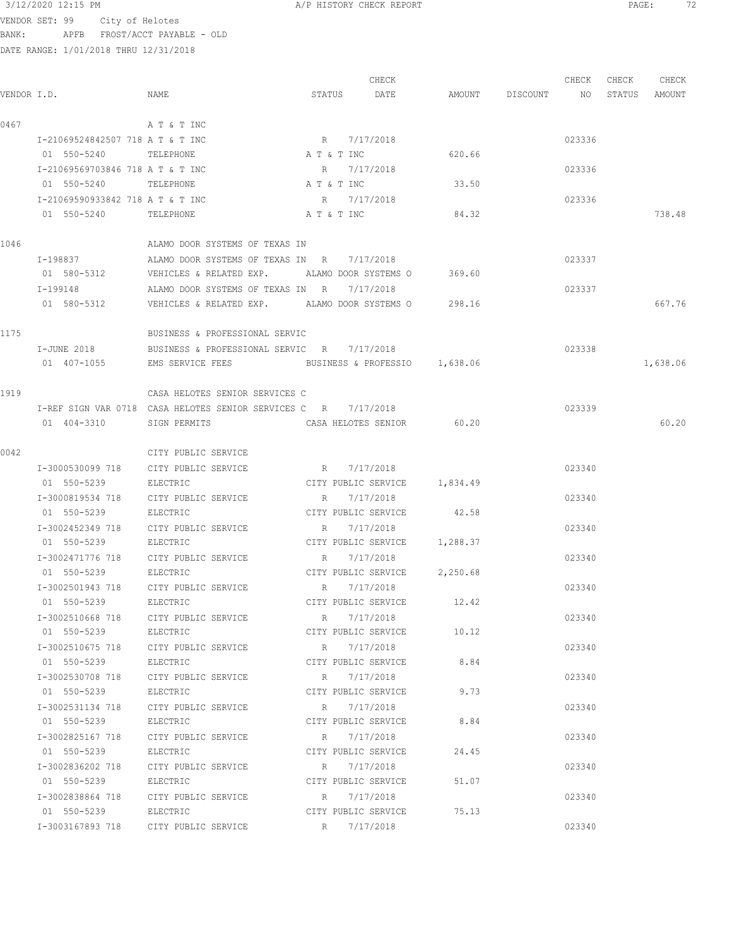VENDOR SET: 99 City of Helotes BANK: APFB FROST/ACCT PAYABLE - OLD

DATE RANGE: 1/01/2018 THRU 12/31/2018

 CHECK CHECK CHECK CHECK VENDOR I.D. NAME STATUS DATE AMOUNT DISCOUNT NO STATUS AMOUNT 0467 A T & T INC I-21069524842507 718 A T & T INC R 7/17/2018 023336 01 550-5240 TELEPHONE A T & T INC 620.66 I-21069569703846 718 A T & T INC R 7/17/2018 023336 01 550-5240 TELEPHONE A T & T INC 33.50 I-21069590933842 718 A T & T INC R 7/17/2018 023336 01 550-5240 TELEPHONE A T & T INC 84.32 738.48 1046 ALAMO DOOR SYSTEMS OF TEXAS IN I-198837 ALAMO DOOR SYSTEMS OF TEXAS IN R 7/17/2018 023337 01 580-5312 VEHICLES & RELATED EXP. ALAMO DOOR SYSTEMS O 369.60 I-199148 ALAMO DOOR SYSTEMS OF TEXAS IN R 7/17/2018 023337 01 580-5312 VEHICLES & RELATED EXP. ALAMO DOOR SYSTEMS O 298.16 667.76 1175 BUSINESS & PROFESSIONAL SERVIC I-JUNE 2018 BUSINESS & PROFESSIONAL SERVIC R 7/17/2018 023338 01 407-1055 EMS SERVICE FEES BUSINESS & PROFESSIO 1,638.06 1,638.06 1,638.06 1919 CASA HELOTES SENIOR SERVICES C I-REF SIGN VAR 0718 CASA HELOTES SENIOR SERVICES C R 7/17/2018 023339 01 404-3310 SIGN PERMITS CASA HELOTES SENIOR 60.20 60.20 0042 CITY PUBLIC SERVICE I-3000530099 718 CITY PUBLIC SERVICE R 7/17/2018 023340 01 550-5239 ELECTRIC CITY PUBLIC SERVICE 1,834.49 I-3000819534 718 CITY PUBLIC SERVICE R 7/17/2018 023340 01 550-5239 ELECTRIC CITY PUBLIC SERVICE 42.58 I-3002452349 718 CITY PUBLIC SERVICE R 7/17/2018 023340 01 550-5239 BLECTRIC CITY PUBLIC SERVICE 1,288.37 I-3002471776 718 CITY PUBLIC SERVICE R 7/17/2018 023340 01 550-5239 ELECTRIC CITY PUBLIC SERVICE 2,250.68 I-3002501943 718 CITY PUBLIC SERVICE R 7/17/2018 8 023340 01 550-5239 BLECTRIC CITY PUBLIC SERVICE 12.42 I-3002510668 718 CITY PUBLIC SERVICE R 7/17/2018 023340 01 550-5239 BLECTRIC CITY PUBLIC SERVICE 10.12 I-3002510675 718 CITY PUBLIC SERVICE R 7/17/2018 023340 01 550-5239 ELECTRIC CITY PUBLIC SERVICE 8.84 I-3002530708 718 CITY PUBLIC SERVICE R 7/17/2018 023340 01 550-5239 BLECTRIC CITY PUBLIC SERVICE 9.73 I-3002531134 718 CITY PUBLIC SERVICE R 7/17/2018 023340 01 550-5239 BLECTRIC CITY PUBLIC SERVICE 8.84 I-3002825167 718 CITY PUBLIC SERVICE R 7/17/2018 8 023340 01 550-5239 ELECTRIC CITY PUBLIC SERVICE 24.45 I-3002836202 718 CITY PUBLIC SERVICE R 7/17/2018 023340 01 550-5239 ELECTRIC CITY PUBLIC SERVICE 51.07 I-3002838864 718 CITY PUBLIC SERVICE R 7/17/2018 023340 01 550-5239 ELECTRIC CITY PUBLIC SERVICE 75.13 I-3003167893 718 CITY PUBLIC SERVICE R 7/17/2018 023340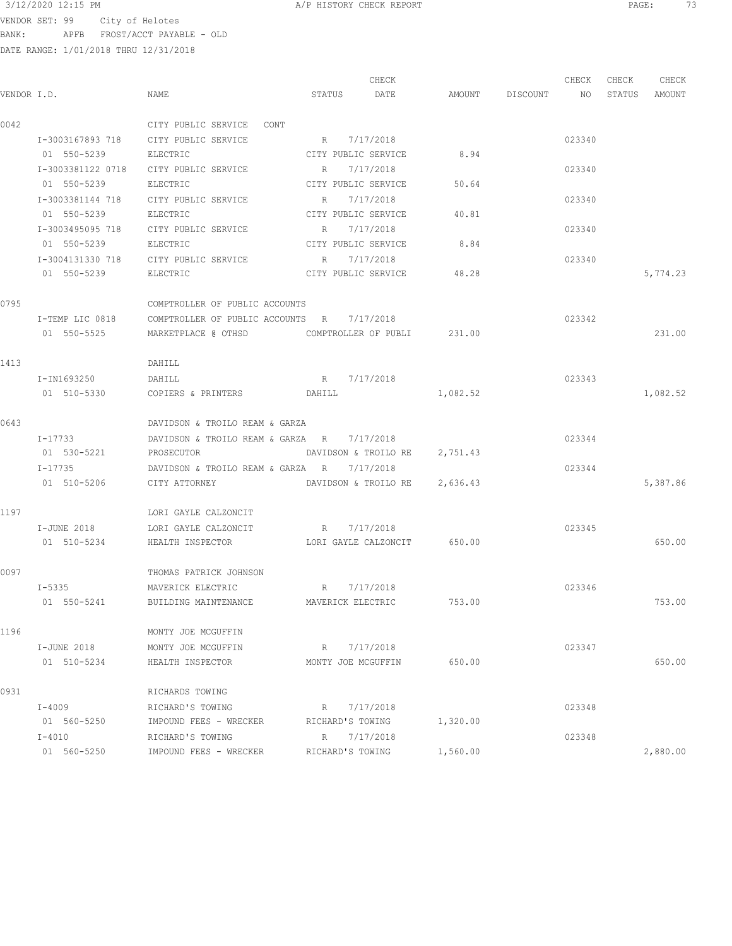3/12/2020 12:15 PM A/P HISTORY CHECK REPORT PAGE: 73 VENDOR SET: 99 City of Helotes BANK: APFB FROST/ACCT PAYABLE - OLD

|             |                   |                                                  |                     | CHECK                       |                    | CHECK  | CHECK  | CHECK    |
|-------------|-------------------|--------------------------------------------------|---------------------|-----------------------------|--------------------|--------|--------|----------|
| VENDOR I.D. |                   | NAME                                             | STATUS              | DATE                        | AMOUNT DISCOUNT NO |        | STATUS | AMOUNT   |
| 0042        |                   | CITY PUBLIC SERVICE CONT                         |                     |                             |                    |        |        |          |
|             | I-3003167893 718  | CITY PUBLIC SERVICE                              | R 7/17/2018         |                             |                    | 023340 |        |          |
|             | 01 550-5239       | ELECTRIC                                         | CITY PUBLIC SERVICE |                             | 8.94               |        |        |          |
|             | I-3003381122 0718 | CITY PUBLIC SERVICE                              | R                   | 7/17/2018                   |                    | 023340 |        |          |
|             | 01 550-5239       | ELECTRIC                                         | CITY PUBLIC SERVICE |                             | 50.64              |        |        |          |
|             | I-3003381144 718  | CITY PUBLIC SERVICE                              | $R_{\rm c}$         | 7/17/2018                   |                    | 023340 |        |          |
|             | 01 550-5239       | ELECTRIC                                         | CITY PUBLIC SERVICE |                             | 40.81              |        |        |          |
|             | I-3003495095 718  | CITY PUBLIC SERVICE                              | R                   | 7/17/2018                   |                    | 023340 |        |          |
|             | 01 550-5239       | ELECTRIC                                         | CITY PUBLIC SERVICE |                             | 8.84               |        |        |          |
|             |                   | I-3004131330 718 CITY PUBLIC SERVICE R 7/17/2018 |                     |                             |                    | 023340 |        |          |
|             | 01 550-5239       | ELECTRIC                                         |                     | CITY PUBLIC SERVICE 48.28   |                    |        |        | 5,774.23 |
| 0795        |                   | COMPTROLLER OF PUBLIC ACCOUNTS                   |                     |                             |                    |        |        |          |
|             | I-TEMP LIC 0818   | COMPTROLLER OF PUBLIC ACCOUNTS R 7/17/2018       |                     |                             |                    | 023342 |        |          |
|             | 01 550-5525       | MARKETPLACE @ OTHSD COMPTROLLER OF PUBLI 231.00  |                     |                             |                    |        |        | 231.00   |
| 1413        |                   | DAHILL                                           |                     |                             |                    |        |        |          |
|             | I-IN1693250       | DAHILL                                           | R 7/17/2018         |                             |                    | 023343 |        |          |
|             | 01 510-5330       | COPIERS & PRINTERS DAHILL                        |                     |                             | 1,082.52           |        |        | 1,082.52 |
| 0643        |                   | DAVIDSON & TROILO REAM & GARZA                   |                     |                             |                    |        |        |          |
|             | $I - 17733$       | DAVIDSON & TROILO REAM & GARZA R 7/17/2018       |                     |                             |                    | 023344 |        |          |
|             | 01 530-5221       | PROSECUTOR                                       |                     | DAVIDSON & TROILO RE        | 2,751.43           |        |        |          |
|             | $I - 17735$       | DAVIDSON & TROILO REAM & GARZA R                 |                     | 7/17/2018                   |                    | 023344 |        |          |
|             | 01 510-5206       | CITY ATTORNEY                                    |                     | DAVIDSON & TROILO RE        | 2,636.43           |        |        | 5,387.86 |
| 1197        |                   | LORI GAYLE CALZONCIT                             |                     |                             |                    |        |        |          |
|             | I-JUNE 2018       | LORI GAYLE CALZONCIT                             | R 7/17/2018         |                             |                    | 023345 |        |          |
|             | 01 510-5234       | HEALTH INSPECTOR                                 |                     | LORI GAYLE CALZONCIT 650.00 |                    |        |        | 650.00   |
| 0097        |                   | THOMAS PATRICK JOHNSON                           |                     |                             |                    |        |        |          |
|             | I-5335            | MAVERICK ELECTRIC R 7/17/2018                    |                     |                             |                    | 023346 |        |          |
|             | 01 550-5241       | BUILDING MAINTENANCE                             | MAVERICK ELECTRIC   |                             | 753.00             |        |        | 753.00   |
| 1196        |                   | MONTY JOE MCGUFFIN                               |                     |                             |                    |        |        |          |
|             | I-JUNE 2018       | MONTY JOE MCGUFFIN                               | R                   | 7/17/2018                   |                    | 023347 |        |          |
|             | 01 510-5234       | HEALTH INSPECTOR                                 | MONTY JOE MCGUFFIN  |                             | 650.00             |        |        | 650.00   |
| 0931        |                   | RICHARDS TOWING                                  |                     |                             |                    |        |        |          |
|             | I-4009            | RICHARD'S TOWING                                 | R                   | 7/17/2018                   |                    | 023348 |        |          |
|             | 01 560-5250       | IMPOUND FEES - WRECKER                           | RICHARD'S TOWING    |                             | 1,320.00           |        |        |          |
|             | $I-4010$          | RICHARD'S TOWING                                 | R                   | 7/17/2018                   |                    | 023348 |        |          |
|             | 01 560-5250       | IMPOUND FEES - WRECKER                           | RICHARD'S TOWING    |                             | 1,560.00           |        |        | 2,880.00 |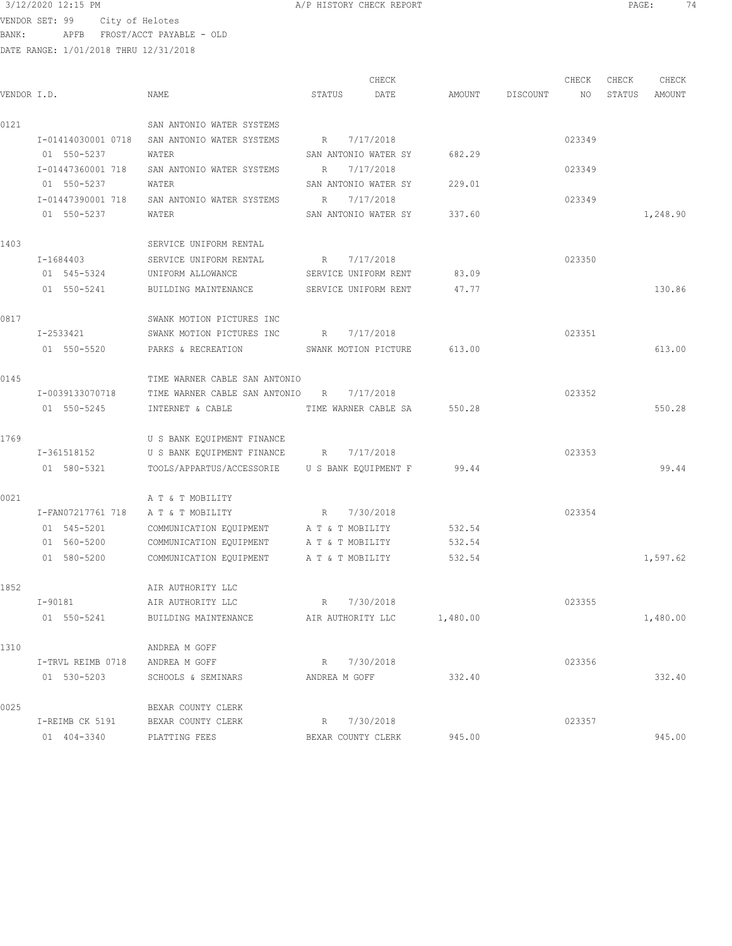$3/12/2020$  12:15 PM  $A/P$  HISTORY CHECK REPORT  $\blacksquare$  PAGE: 74 VENDOR SET: 99 City of Helotes BANK: APFB FROST/ACCT PAYABLE - OLD

|             |                    |                                          |                      | CHECK                |          |          | CHECK  | CHECK  | CHECK    |
|-------------|--------------------|------------------------------------------|----------------------|----------------------|----------|----------|--------|--------|----------|
| VENDOR I.D. |                    | <b>NAME</b>                              | STATUS               | DATE                 | AMOUNT   | DISCOUNT | NO     | STATUS | AMOUNT   |
| 0121        |                    | SAN ANTONIO WATER SYSTEMS                |                      |                      |          |          |        |        |          |
|             | I-01414030001 0718 | SAN ANTONIO WATER SYSTEMS                | $R_{\rm{B}}$         | 7/17/2018            |          |          | 023349 |        |          |
|             | 01 550-5237        | WATER                                    | SAN ANTONIO WATER SY |                      | 682.29   |          |        |        |          |
|             | I-01447360001 718  | SAN ANTONIO WATER SYSTEMS                | R                    | 7/17/2018            |          |          | 023349 |        |          |
|             | 01 550-5237        | WATER                                    | SAN ANTONIO WATER SY |                      | 229.01   |          |        |        |          |
|             | I-01447390001 718  | SAN ANTONIO WATER SYSTEMS                | R                    | 7/17/2018            |          |          | 023349 |        |          |
|             | 01 550-5237        | WATER                                    | SAN ANTONIO WATER SY |                      | 337.60   |          |        |        | 1,248.90 |
| 1403        |                    | SERVICE UNIFORM RENTAL                   |                      |                      |          |          |        |        |          |
|             | I-1684403          | SERVICE UNIFORM RENTAL                   | R                    | 7/17/2018            |          |          | 023350 |        |          |
|             | 01 545-5324        | UNIFORM ALLOWANCE                        | SERVICE UNIFORM RENT |                      | 83.09    |          |        |        |          |
|             | 01 550-5241        | BUILDING MAINTENANCE                     | SERVICE UNIFORM RENT |                      | 47.77    |          |        |        | 130.86   |
| 0817        |                    | SWANK MOTION PICTURES INC                |                      |                      |          |          |        |        |          |
|             | I-2533421          | SWANK MOTION PICTURES INC                | R                    | 7/17/2018            |          |          | 023351 |        |          |
|             | 01 550-5520        | PARKS & RECREATION                       | SWANK MOTION PICTURE |                      | 613.00   |          |        |        | 613.00   |
| 0145        |                    | TIME WARNER CABLE SAN ANTONIO            |                      |                      |          |          |        |        |          |
|             | I-0039133070718    | TIME WARNER CABLE SAN ANTONIO R          |                      | 7/17/2018            |          |          | 023352 |        |          |
|             | 01 550-5245        | INTERNET & CABLE                         | TIME WARNER CABLE SA |                      | 550.28   |          |        |        | 550.28   |
| 1769        |                    | U S BANK EQUIPMENT FINANCE               |                      |                      |          |          |        |        |          |
|             | I-361518152        | U S BANK EQUIPMENT FINANCE R 7/17/2018   |                      |                      |          |          | 023353 |        |          |
|             | 01 580-5321        | TOOLS/APPARTUS/ACCESSORIE                |                      | U S BANK EQUIPMENT F | 99.44    |          |        |        | 99.44    |
| 0021        |                    | A T & T MOBILITY                         |                      |                      |          |          |        |        |          |
|             | I-FAN07217761 718  | A T & T MOBILITY                         | R                    | 7/30/2018            |          |          | 023354 |        |          |
|             | 01 545-5201        | COMMUNICATION EQUIPMENT A T & T MOBILITY |                      |                      | 532.54   |          |        |        |          |
|             | 01 560-5200        | COMMUNICATION EQUIPMENT A T & T MOBILITY |                      |                      | 532.54   |          |        |        |          |
|             | 01 580-5200        | COMMUNICATION EQUIPMENT A T & T MOBILITY |                      |                      | 532.54   |          |        |        | 1,597.62 |
| 1852        |                    | AIR AUTHORITY LLC                        |                      |                      |          |          |        |        |          |
|             | I-90181            | AIR AUTHORITY LLC                        | R                    | 7/30/2018            |          |          | 023355 |        |          |
|             | 01 550-5241        | BUILDING MAINTENANCE                     |                      | AIR AUTHORITY LLC    | 1,480.00 |          |        |        | 1,480.00 |
| 1310        |                    | ANDREA M GOFF                            |                      |                      |          |          |        |        |          |
|             | I-TRVL REIMB 0718  | ANDREA M GOFF                            | R 7/30/2018          |                      |          |          | 023356 |        |          |
|             | 01 530-5203        | SCHOOLS & SEMINARS                       | ANDREA M GOFF        |                      | 332.40   |          |        |        | 332.40   |
| 0025        |                    | BEXAR COUNTY CLERK                       |                      |                      |          |          |        |        |          |
|             | I-REIMB CK 5191    | BEXAR COUNTY CLERK                       | R                    | 7/30/2018            |          |          | 023357 |        |          |
|             | 01 404-3340        | PLATTING FEES                            | BEXAR COUNTY CLERK   |                      | 945.00   |          |        |        | 945.00   |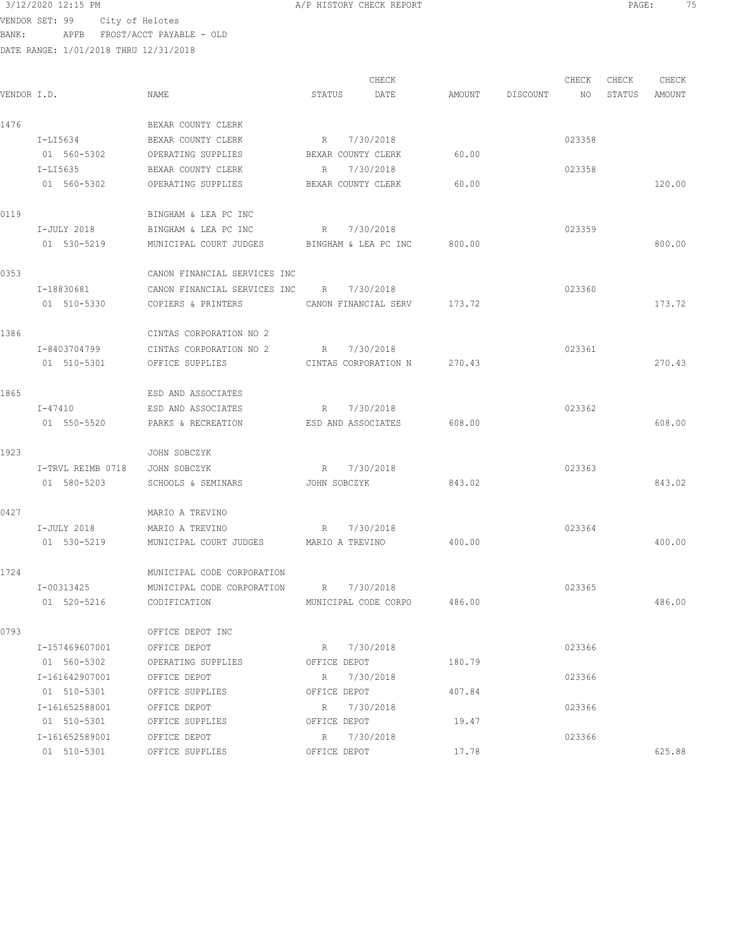VENDOR SET: 99 City of Helotes

BANK: APFB FROST/ACCT PAYABLE - OLD

DATE RANGE: 1/01/2018 THRU 12/31/2018

CHECK CHECK CHECK CHECK CHECK CHECK CHECK CHECK CHECK CHECK CHECK CHECK CHECK CHECK CHECK CHECK CHECK CHECK CHECK CHECK CHECK CHECK CHECK CHECK CHECK CHECK CHECK CHECK CHECK CHECK CHECK CHECK CHECK CHECK CHECK CHECK CHECK VENDOR I.D. NAME STATUS DATE AMOUNT DISCOUNT NO STATUS AMOUNT 1476 BEXAR COUNTY CLERK I-LI5634 BEXAR COUNTY CLERK R 7/30/2018 R 7/30/2018 01 560-5302 OPERATING SUPPLIES BEXAR COUNTY CLERK 60.00 I-LI5635 BEXAR COUNTY CLERK R 7/30/2018 023358 023358 01 560-5302 OPERATING SUPPLIES BEXAR COUNTY CLERK 60.00 60.00 120.00 0119 BINGHAM & LEA PC INC I-JULY 2018 BINGHAM & LEA PC INC R 7/30/2018 023359 01 530-5219 MUNICIPAL COURT JUDGES BINGHAM & LEA PC INC 800.00 0353 CANON FINANCIAL SERVICES INC I-18830681 CANON FINANCIAL SERVICES INC R 7/30/2018 023360 01 510-5330 COPIERS & PRINTERS CANON FINANCIAL SERV 173.72 173.72 1386 CINTAS CORPORATION NO 2 I-8403704799 CINTAS CORPORATION NO 2 R 7/30/2018 023361 01 510-5301 OFFICE SUPPLIES CINTAS CORPORATION N 270.43 270.43 1865 ESD AND ASSOCIATES I-47410 ESD AND ASSOCIATES R 7/30/2018 023362 01 550-5520 PARKS & RECREATION ESD AND ASSOCIATES 608.00 608.00 1923 JOHN SOBCZYK I-TRVL REIMB 0718 JOHN SOBCZYK R 7/30/2018 023363 01 580-5203 SCHOOLS & SEMINARS JOHN SOBCZYK 843.02 843.02 843.02 0427 MARIO A TREVINO I-JULY 2018 MARIO A TREVINO R 7/30/2018 023364 01 530-5219 MUNICIPAL COURT JUDGES MARIO A TREVINO 400.00 400.00 1724 MUNICIPAL CODE CORPORATION I-00313425 MUNICIPAL CODE CORPORATION R 7/30/2018 023365 01 520-5216 CODIFICATION MUNICIPAL CODE CORPO 486.00 486.00 0793 OFFICE DEPOT INC I-157469607001 OFFICE DEPOT R 7/30/2018 023366 01 560-5302 OPERATING SUPPLIES OFFICE DEPOT 180.79 I-161642907001 OFFICE DEPOT R 7/30/2018 R 7/30 R 01 510-5301 OFFICE SUPPLIES OFFICE DEPOT 407.84 I-161652588001 OFFICE DEPOT R 7/30/2018 023366 01 510-5301 OFFICE SUPPLIES OFFICE DEPOT 19.47 I-161652589001 OFFICE DEPOT R 7/30/2018 023366 01 510-5301 OFFICE SUPPLIES OFFICE DEPOT 17.78 625.88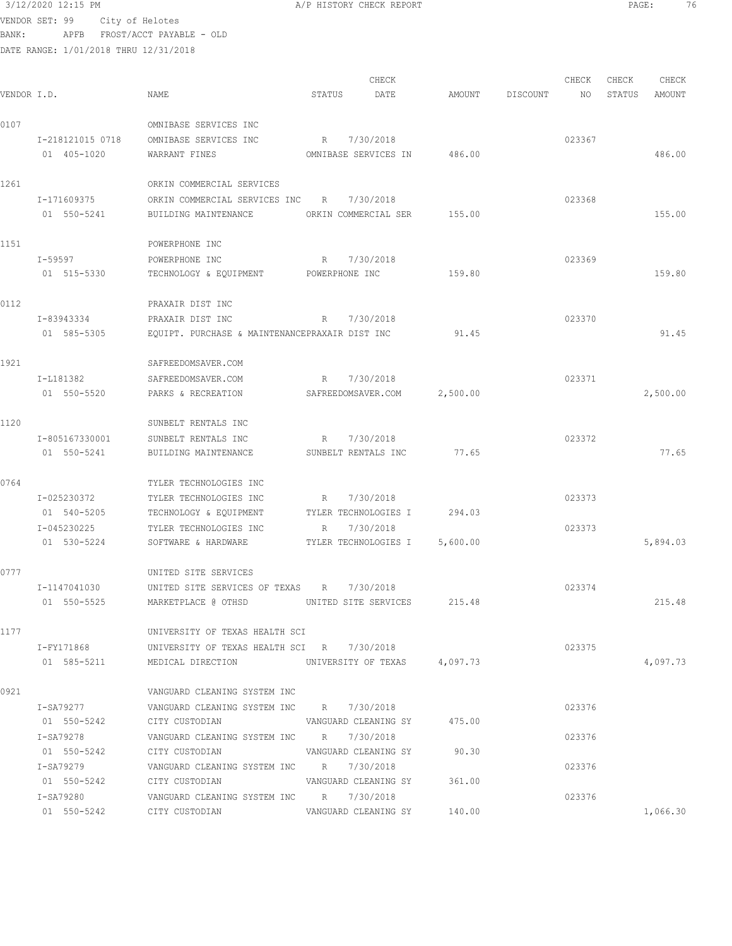## 3/12/2020 12:15 PM A/P HISTORY CHECK REPORT PAGE: 76 VENDOR SET: 99 City of Helotes

BANK: APFB FROST/ACCT PAYABLE - OLD

| VENDOR I.D. |                  | NAME                                                                                                         | STATUS               | CHECK<br>DATE               | AMOUNT   | DISCOUNT | CHECK<br>NO. | CHECK<br>STATUS | CHECK<br>AMOUNT |
|-------------|------------------|--------------------------------------------------------------------------------------------------------------|----------------------|-----------------------------|----------|----------|--------------|-----------------|-----------------|
| 0107        |                  | OMNIBASE SERVICES INC                                                                                        |                      |                             |          |          |              |                 |                 |
|             | I-218121015 0718 | OMNIBASE SERVICES INC                                                                                        | R 7/30/2018          |                             |          |          | 023367       |                 |                 |
|             | 01 405-1020      | WARRANT FINES                                                                                                |                      | OMNIBASE SERVICES IN        | 486.00   |          |              |                 | 486.00          |
| 1261        |                  | ORKIN COMMERCIAL SERVICES                                                                                    |                      |                             |          |          |              |                 |                 |
|             | I-171609375      | ORKIN COMMERCIAL SERVICES INC R                                                                              |                      | 7/30/2018                   |          |          | 023368       |                 |                 |
|             | 01 550-5241      | BUILDING MAINTENANCE                                                                                         | ORKIN COMMERCIAL SER |                             | 155.00   |          |              |                 | 155.00          |
| 1151        |                  | POWERPHONE INC                                                                                               |                      |                             |          |          |              |                 |                 |
|             | I-59597          | POWERPHONE INC                                                                                               | R                    | 7/30/2018                   |          |          | 023369       |                 |                 |
|             | 01 515-5330      | TECHNOLOGY & EQUIPMENT POWERPHONE INC                                                                        |                      |                             | 159.80   |          |              |                 | 159.80          |
| 0112        |                  | PRAXAIR DIST INC                                                                                             |                      |                             |          |          |              |                 |                 |
|             | I-83943334       | PRAXAIR DIST INC                                                                                             | R                    | 7/30/2018                   |          |          | 023370       |                 |                 |
|             | 01 585-5305      | EQUIPT. PURCHASE & MAINTENANCEPRAXAIR DIST INC                                                               |                      |                             | 91.45    |          |              |                 | 91.45           |
| 1921        |                  | SAFREEDOMSAVER.COM                                                                                           |                      |                             |          |          |              |                 |                 |
|             | I-L181382        | SAFREEDOMSAVER.COM                                                                                           | R                    | 7/30/2018                   |          |          | 023371       |                 |                 |
|             | 01 550-5520      | PARKS & RECREATION                                                                                           | SAFREEDOMSAVER.COM   |                             | 2,500.00 |          |              |                 | 2,500.00        |
| 1120        |                  | SUNBELT RENTALS INC                                                                                          |                      |                             |          |          |              |                 |                 |
|             | I-805167330001   | SUNBELT RENTALS INC                                                                                          | $R \sim$             | 7/30/2018                   |          |          | 023372       |                 |                 |
|             | 01 550-5241      | BUILDING MAINTENANCE                                                                                         | SUNBELT RENTALS INC  |                             | 77.65    |          |              |                 | 77.65           |
| 0764        |                  | TYLER TECHNOLOGIES INC                                                                                       |                      |                             |          |          |              |                 |                 |
|             | I-025230372      | TYLER TECHNOLOGIES INC                                                                                       | R                    | 7/30/2018                   |          |          | 023373       |                 |                 |
|             | 01 540-5205      | TECHNOLOGY & EQUIPMENT                                                                                       |                      | TYLER TECHNOLOGIES I 294.03 |          |          |              |                 |                 |
|             | I-045230225      | TYLER TECHNOLOGIES INC                                                                                       | R                    | 7/30/2018                   |          |          | 023373       |                 |                 |
|             | 01 530-5224      | SOFTWARE & HARDWARE                                                                                          |                      | TYLER TECHNOLOGIES I        | 5,600.00 |          |              |                 | 5,894.03        |
| 0777        |                  | UNITED SITE SERVICES                                                                                         |                      |                             |          |          |              |                 |                 |
|             | I-1147041030     | UNITED SITE SERVICES OF TEXAS R 7/30/2018                                                                    |                      |                             |          |          | 023374       |                 |                 |
|             | 01 550-5525      | MARKETPLACE @ OTHSD                                                                                          | UNITED SITE SERVICES |                             | 215.48   |          |              |                 | 215.48          |
| 1177        |                  | UNIVERSITY OF TEXAS HEALTH SCI                                                                               |                      |                             |          |          |              |                 |                 |
|             | I-FY171868       | UNIVERSITY OF TEXAS HEALTH SCI R 7/30/2018                                                                   |                      |                             |          |          | 023375       |                 |                 |
|             | 01 585-5211      | MEDICAL DIRECTION UNIVERSITY OF TEXAS 4,097.73                                                               |                      |                             |          |          |              |                 | 4,097.73        |
| 0921        |                  | VANGUARD CLEANING SYSTEM INC                                                                                 |                      |                             |          |          |              |                 |                 |
|             | I-SA79277        | VANGUARD CLEANING SYSTEM INC R 7/30/2018                                                                     |                      |                             |          |          | 023376       |                 |                 |
|             | 01 550-5242      | CITY CUSTODIAN VANGUARD CLEANING SY 475.00                                                                   |                      |                             |          |          |              |                 |                 |
|             | I-SA79278        | VANGUARD CLEANING SYSTEM INC R 7/30/2018                                                                     |                      |                             |          |          | 023376       |                 |                 |
|             | 01 550-5242      | CITY CUSTODIAN VANGUARD CLEANING SY 90.30                                                                    |                      |                             |          |          |              |                 |                 |
|             |                  | I-SA79279 VANGUARD CLEANING SYSTEM INC R 7/30/2018                                                           |                      |                             |          |          | 023376       |                 |                 |
|             |                  | 01 550-5242 CITY CUSTODIAN VANGUARD CLEANING SY 361.00<br>I-SA79280 VANGUARD CLEANING SYSTEM INC R 7/30/2018 |                      |                             |          |          | 023376       |                 |                 |
|             |                  | 01 550-5242 CITY CUSTODIAN VANGUARD CLEANING SY 140.00                                                       |                      |                             |          |          |              |                 | 1,066.30        |
|             |                  |                                                                                                              |                      |                             |          |          |              |                 |                 |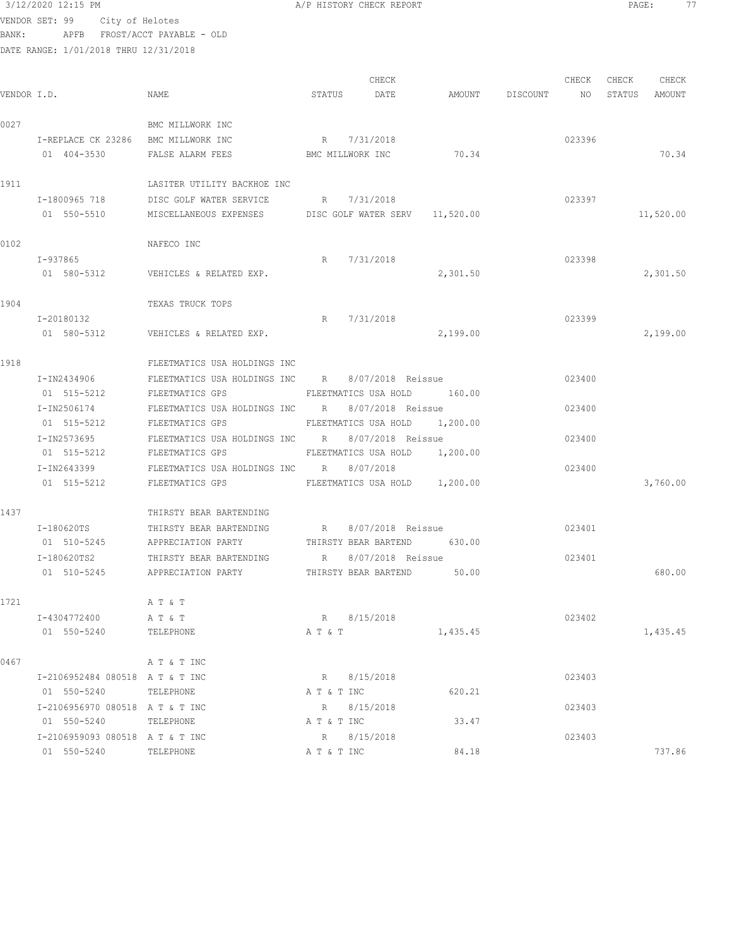|             | 3/12/2020 12:15 PM                    |                                                               |         | A/P HISTORY CHECK REPORT      |                    |        | $\texttt{PAGE:}$ |           | 77 |
|-------------|---------------------------------------|---------------------------------------------------------------|---------|-------------------------------|--------------------|--------|------------------|-----------|----|
|             | VENDOR SET: 99 City of Helotes        |                                                               |         |                               |                    |        |                  |           |    |
| BANK:       |                                       | APFB FROST/ACCT PAYABLE - OLD                                 |         |                               |                    |        |                  |           |    |
|             | DATE RANGE: 1/01/2018 THRU 12/31/2018 |                                                               |         |                               |                    |        |                  |           |    |
|             |                                       |                                                               |         |                               |                    |        |                  |           |    |
|             |                                       |                                                               |         | CHECK                         |                    | CHECK  | CHECK            | CHECK     |    |
| VENDOR I.D. |                                       | NAME                                                          | STATUS  | DATE                          | AMOUNT DISCOUNT NO |        | STATUS AMOUNT    |           |    |
| 0027        |                                       | BMC MILLWORK INC                                              |         |                               |                    |        |                  |           |    |
|             | I-REPLACE CK 23286 BMC MILLWORK INC   |                                                               |         | R 7/31/2018                   |                    | 023396 |                  |           |    |
|             | 01 404-3530                           | FALSE ALARM FEES<br>BMC MILLWORK INC                          |         |                               | 70.34              |        |                  | 70.34     |    |
|             |                                       |                                                               |         |                               |                    |        |                  |           |    |
| 1911        |                                       | LASITER UTILITY BACKHOE INC                                   |         |                               |                    |        |                  |           |    |
|             | I-1800965 718                         | DISC GOLF WATER SERVICE                                       |         | R 7/31/2018                   |                    | 023397 |                  |           |    |
|             | 01 550-5510                           | MISCELLANEOUS EXPENSES DISC GOLF WATER SERV 11,520.00         |         |                               |                    |        |                  | 11,520.00 |    |
|             |                                       |                                                               |         |                               |                    |        |                  |           |    |
| 0102        |                                       | NAFECO INC                                                    |         |                               |                    |        |                  |           |    |
|             | I-937865                              |                                                               | R       | 7/31/2018                     |                    | 023398 |                  |           |    |
|             | 01 580-5312                           | VEHICLES & RELATED EXP.                                       |         |                               | 2,301.50           |        |                  | 2,301.50  |    |
|             |                                       |                                                               |         |                               |                    |        |                  |           |    |
| 1904        |                                       | TEXAS TRUCK TOPS                                              |         |                               |                    |        |                  |           |    |
|             | I-20180132                            |                                                               | R       | 7/31/2018                     |                    | 023399 |                  |           |    |
|             | 01 580-5312                           | VEHICLES & RELATED EXP.                                       |         |                               | 2,199.00           |        |                  | 2,199.00  |    |
| 1918        |                                       | FLEETMATICS USA HOLDINGS INC                                  |         |                               |                    |        |                  |           |    |
|             | I-IN2434906                           | FLEETMATICS USA HOLDINGS INC R 8/07/2018 Reissue              |         |                               |                    | 023400 |                  |           |    |
|             | 01 515-5212                           | FLEETMATICS GPS                                               |         | FLEETMATICS USA HOLD 160.00   |                    |        |                  |           |    |
|             | I-IN2506174                           | FLEETMATICS USA HOLDINGS INC R 8/07/2018 Reissue              |         |                               |                    | 023400 |                  |           |    |
|             | 01 515-5212                           | FLEETMATICS GPS                                               |         | FLEETMATICS USA HOLD 1,200.00 |                    |        |                  |           |    |
|             | I-IN2573695                           | FLEETMATICS USA HOLDINGS INC R 8/07/2018 Reissue              |         |                               |                    | 023400 |                  |           |    |
|             | 01 515-5212                           | FLEETMATICS GPS                                               |         | FLEETMATICS USA HOLD 1,200.00 |                    |        |                  |           |    |
|             | I-IN2643399                           | FLEETMATICS USA HOLDINGS INC R 8/07/2018                      |         |                               |                    | 023400 |                  |           |    |
|             | 01 515-5212                           | FLEETMATICS GPS                                               |         | FLEETMATICS USA HOLD 1,200.00 |                    |        |                  | 3,760.00  |    |
|             |                                       |                                                               |         |                               |                    |        |                  |           |    |
| 1437        |                                       | THIRSTY BEAR BARTENDING                                       |         |                               |                    |        |                  |           |    |
|             |                                       | I-180620TS THIRSTY BEAR BARTENDING R 8/07/2018 Reissue 623401 |         |                               |                    |        |                  |           |    |
|             | 01 510-5245                           | APPRECIATION PARTY                                            |         | THIRSTY BEAR BARTEND          | 630.00             |        |                  |           |    |
|             | I-180620TS2<br>01 510-5245            | THIRSTY BEAR BARTENDING                                       |         | R 8/07/2018 Reissue           | 50.00              | 023401 |                  | 680.00    |    |
|             |                                       | APPRECIATION PARTY                                            |         | THIRSTY BEAR BARTEND          |                    |        |                  |           |    |
| 1721        |                                       | A T & T                                                       |         |                               |                    |        |                  |           |    |
|             | I-4304772400                          | A T & T                                                       |         | R 8/15/2018                   |                    | 023402 |                  |           |    |
|             | 01 550-5240                           | TELEPHONE                                                     | A T & T |                               | 1,435.45           |        |                  | 1,435.45  |    |
|             |                                       |                                                               |         |                               |                    |        |                  |           |    |
| 0467        |                                       | A T & T INC                                                   |         |                               |                    |        |                  |           |    |
|             | I-2106952484 080518 A T & T INC       |                                                               |         | R 8/15/2018                   |                    | 023403 |                  |           |    |

| I-2106952484 080518 A T & T INC |                  | R           | 8/15/2018   |        | 023403 |        |
|---------------------------------|------------------|-------------|-------------|--------|--------|--------|
| 01 550-5240                     | TELEPHONE        | A T & T INC |             | 620.21 |        |        |
| I-2106956970 080518 A T & T INC |                  |             | R 8/15/2018 |        | 023403 |        |
| 01 550-5240                     | TELEPHONE        | A T & T INC |             | 33.47  |        |        |
| I-2106959093 080518 A T & T INC |                  | R           | 8/15/2018   |        | 023403 |        |
| 01 550-5240                     | <b>TELEPHONE</b> | A T & T INC |             | 84.18  |        | 737.86 |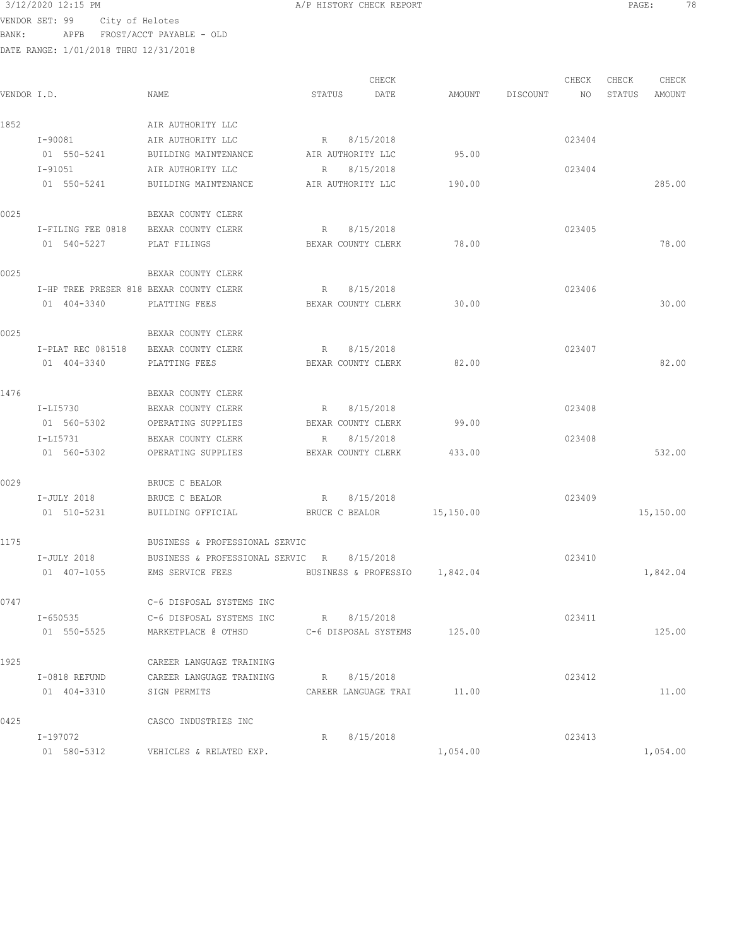VENDOR SET: 99 City of Helotes BANK: APFB FROST/ACCT PAYABLE - OLD

|             |                                         |                                                    |                             | CHECK                |                 | CHECK  | CHECK  | CHECK     |
|-------------|-----------------------------------------|----------------------------------------------------|-----------------------------|----------------------|-----------------|--------|--------|-----------|
| VENDOR I.D. |                                         | NAME                                               | STATUS                      | DATE                 | AMOUNT DISCOUNT | NO     | STATUS | AMOUNT    |
| 1852        |                                         | AIR AUTHORITY LLC                                  |                             |                      |                 |        |        |           |
|             | I-90081                                 | AIR AUTHORITY LLC                                  | R 8/15/2018                 |                      |                 | 023404 |        |           |
|             |                                         | 01 550-5241 BUILDING MAINTENANCE AIR AUTHORITY LLC |                             |                      | 95.00           |        |        |           |
|             | I-91051                                 | AIR AUTHORITY LLC                                  | R 8/15/2018                 |                      |                 | 023404 |        |           |
|             | 01 550-5241                             | BUILDING MAINTENANCE AIR AUTHORITY LLC             |                             |                      | 190.00          |        |        | 285.00    |
| 0025        |                                         | BEXAR COUNTY CLERK                                 |                             |                      |                 |        |        |           |
|             | I-FILING FEE 0818 BEXAR COUNTY CLERK    |                                                    | R 8/15/2018                 |                      |                 | 023405 |        |           |
|             | 01 540-5227 PLAT FILINGS                |                                                    | BEXAR COUNTY CLERK 78.00    |                      |                 |        |        | 78.00     |
| 0025        |                                         | BEXAR COUNTY CLERK                                 |                             |                      |                 |        |        |           |
|             | I-HP TREE PRESER 818 BEXAR COUNTY CLERK |                                                    | R 8/15/2018                 |                      |                 | 023406 |        |           |
|             | 01 404-3340 PLATTING FEES               |                                                    | BEXAR COUNTY CLERK          |                      | 30.00           |        |        | 30.00     |
| 0025        |                                         | BEXAR COUNTY CLERK                                 |                             |                      |                 |        |        |           |
|             | I-PLAT REC 081518 BEXAR COUNTY CLERK    |                                                    | $R_{\perp}$                 | 8/15/2018            |                 | 023407 |        |           |
|             | 01 404-3340                             | PLATTING FEES                                      | BEXAR COUNTY CLERK          |                      | 82.00           |        |        | 82.00     |
| 1476        |                                         | BEXAR COUNTY CLERK                                 |                             |                      |                 |        |        |           |
|             | I-LI5730                                | BEXAR COUNTY CLERK                                 | R 8/15/2018                 |                      |                 | 023408 |        |           |
|             | 01 560-5302                             | OPERATING SUPPLIES                                 | BEXAR COUNTY CLERK          |                      | 99.00           |        |        |           |
|             | I-LI5731                                | BEXAR COUNTY CLERK                                 | R                           | 8/15/2018            |                 | 023408 |        |           |
|             | 01 560-5302                             | OPERATING SUPPLIES                                 | BEXAR COUNTY CLERK          |                      | 433.00          |        |        | 532.00    |
| 0029        |                                         | BRUCE C BEALOR                                     |                             |                      |                 |        |        |           |
|             | I-JULY 2018                             | BRUCE C BEALOR                                     | R 8/15/2018                 |                      |                 | 023409 |        |           |
|             | 01 510-5231                             | BUILDING OFFICIAL BRUCE C BEALOR 15,150.00         |                             |                      |                 |        |        | 15,150.00 |
| 1175        |                                         | BUSINESS & PROFESSIONAL SERVIC                     |                             |                      |                 |        |        |           |
|             | I-JULY 2018                             | BUSINESS & PROFESSIONAL SERVIC R 8/15/2018         |                             |                      |                 | 023410 |        |           |
|             | 01 407-1055                             | EMS SERVICE FEES BUSINESS & PROFESSIO 1,842.04     |                             |                      |                 |        |        | 1,842.04  |
| 0747        |                                         | C-6 DISPOSAL SYSTEMS INC                           |                             |                      |                 |        |        |           |
|             | I-650535                                | C-6 DISPOSAL SYSTEMS INC                           | R 8/15/2018                 |                      |                 | 023411 |        |           |
|             | 01 550-5525                             | MARKETPLACE @ OTHSD                                | C-6 DISPOSAL SYSTEMS 125.00 |                      |                 |        |        | 125.00    |
| 1925        |                                         | CAREER LANGUAGE TRAINING                           |                             |                      |                 |        |        |           |
|             | I-0818 REFUND                           | CAREER LANGUAGE TRAINING                           | R                           | 8/15/2018            |                 | 023412 |        |           |
|             | 01 404-3310                             | SIGN PERMITS                                       |                             | CAREER LANGUAGE TRAI | 11.00           |        |        | 11.00     |
| 0425        |                                         | CASCO INDUSTRIES INC                               |                             |                      |                 |        |        |           |
|             | I-197072                                |                                                    | R                           | 8/15/2018            |                 | 023413 |        |           |
|             | 01 580-5312                             | VEHICLES & RELATED EXP.                            |                             |                      | 1,054.00        |        |        | 1,054.00  |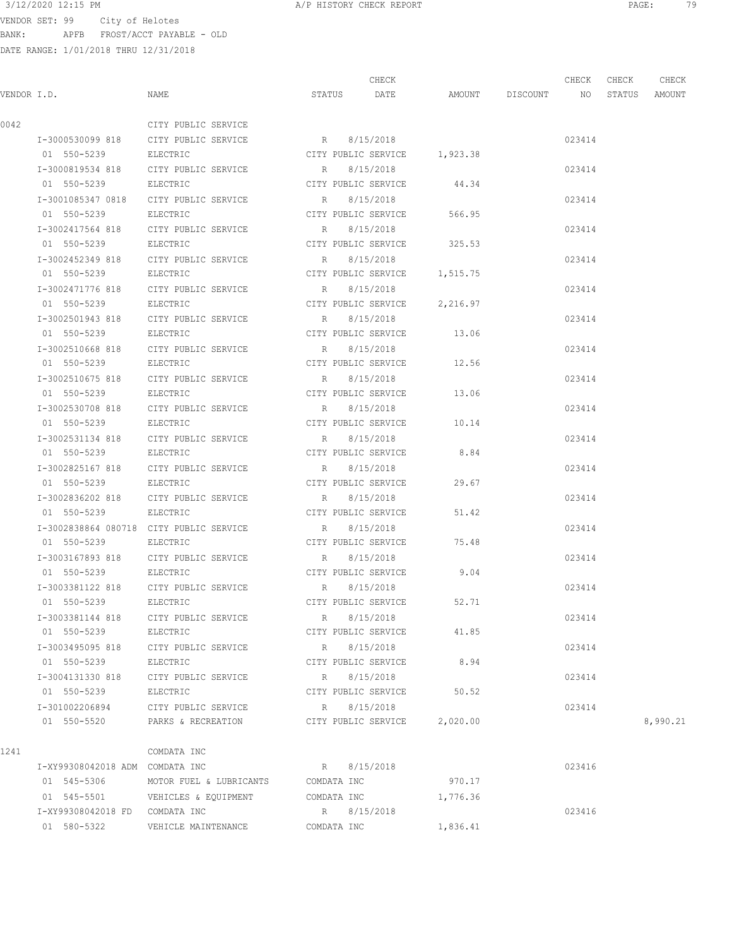3/12/2020 12:15 PM A/P HISTORY CHECK REPORT PAGE: 79 VENDOR SET: 99 City of Helotes BANK: APFB FROST/ACCT PAYABLE - OLD

|             |                                 |                                         |                           | CHECK               |                              |             | CHECK  | CHECK  | CHECK    |
|-------------|---------------------------------|-----------------------------------------|---------------------------|---------------------|------------------------------|-------------|--------|--------|----------|
| VENDOR I.D. |                                 | NAME                                    | STATUS                    | DATE                | AMOUNT                       | DISCOUNT NO |        | STATUS | AMOUNT   |
| 0042        |                                 | CITY PUBLIC SERVICE                     |                           |                     |                              |             |        |        |          |
|             | I-3000530099 818                | CITY PUBLIC SERVICE                     | R 8/15/2018               |                     |                              |             | 023414 |        |          |
|             | 01 550-5239                     | ELECTRIC                                |                           |                     | CITY PUBLIC SERVICE 1,923.38 |             |        |        |          |
|             | I-3000819534 818                | CITY PUBLIC SERVICE                     | R                         | 8/15/2018           |                              |             | 023414 |        |          |
|             | 01 550-5239                     | ELECTRIC                                | CITY PUBLIC SERVICE       |                     | 44.34                        |             |        |        |          |
|             | I-3001085347 0818               | CITY PUBLIC SERVICE                     | R                         | 8/15/2018           |                              |             | 023414 |        |          |
|             | 01 550-5239                     | ELECTRIC                                | CITY PUBLIC SERVICE       |                     | 566.95                       |             |        |        |          |
|             | I-3002417564 818                | CITY PUBLIC SERVICE                     | R                         | 8/15/2018           |                              |             | 023414 |        |          |
|             | 01 550-5239                     | ELECTRIC                                | CITY PUBLIC SERVICE       |                     | 325.53                       |             |        |        |          |
|             | I-3002452349 818                | CITY PUBLIC SERVICE                     | R                         | 8/15/2018           |                              |             | 023414 |        |          |
|             | 01 550-5239                     | ELECTRIC                                |                           | CITY PUBLIC SERVICE | 1,515.75                     |             |        |        |          |
|             | I-3002471776 818                | CITY PUBLIC SERVICE                     | R                         | 8/15/2018           |                              |             | 023414 |        |          |
|             | 01 550-5239                     | ELECTRIC                                |                           | CITY PUBLIC SERVICE | 2,216.97                     |             |        |        |          |
|             | I-3002501943 818                | CITY PUBLIC SERVICE                     | R                         | 8/15/2018           |                              |             | 023414 |        |          |
|             | 01 550-5239                     | ELECTRIC                                |                           | CITY PUBLIC SERVICE | 13.06                        |             |        |        |          |
|             | I-3002510668 818                | CITY PUBLIC SERVICE                     | R                         | 8/15/2018           |                              |             | 023414 |        |          |
|             | 01 550-5239                     | ELECTRIC                                | CITY PUBLIC SERVICE       |                     | 12.56                        |             |        |        |          |
|             | I-3002510675 818                | CITY PUBLIC SERVICE                     | R                         | 8/15/2018           |                              |             | 023414 |        |          |
|             | 01 550-5239                     | ELECTRIC                                | CITY PUBLIC SERVICE       |                     | 13.06                        |             |        |        |          |
|             | I-3002530708 818                | CITY PUBLIC SERVICE                     | R                         | 8/15/2018           |                              |             | 023414 |        |          |
|             | 01 550-5239                     | ELECTRIC                                | CITY PUBLIC SERVICE 10.14 |                     |                              |             |        |        |          |
|             | I-3002531134 818                | CITY PUBLIC SERVICE                     | R                         | 8/15/2018           |                              |             | 023414 |        |          |
|             | 01 550-5239                     | ELECTRIC                                | CITY PUBLIC SERVICE       |                     | 8.84                         |             |        |        |          |
|             | I-3002825167 818                | CITY PUBLIC SERVICE                     | R                         | 8/15/2018           |                              |             | 023414 |        |          |
|             | 01 550-5239                     | ELECTRIC                                |                           | CITY PUBLIC SERVICE | 29.67                        |             |        |        |          |
|             | I-3002836202 818                | CITY PUBLIC SERVICE                     | R                         | 8/15/2018           |                              |             | 023414 |        |          |
|             | 01 550-5239                     | ELECTRIC                                | CITY PUBLIC SERVICE       |                     | 51.42                        |             |        |        |          |
|             |                                 | I-3002838864 080718 CITY PUBLIC SERVICE | R                         | 8/15/2018           |                              |             | 023414 |        |          |
|             | 01 550-5239                     | ELECTRIC                                | CITY PUBLIC SERVICE       |                     | 75.48                        |             |        |        |          |
|             | I-3003167893 818                | CITY PUBLIC SERVICE                     | R                         | 8/15/2018           |                              |             | 023414 |        |          |
|             | 01 550-5239                     | ELECTRIC                                | CITY PUBLIC SERVICE       |                     | 9.04                         |             |        |        |          |
|             | I-3003381122 818                | CITY PUBLIC SERVICE                     | R                         | 8/15/2018           |                              |             | 023414 |        |          |
|             | 01 550-5239                     | ELECTRIC                                | CITY PUBLIC SERVICE       |                     | 52.71                        |             |        |        |          |
|             | I-3003381144 818                | CITY PUBLIC SERVICE                     | R                         | 8/15/2018           |                              |             | 023414 |        |          |
|             | 01 550-5239                     | ELECTRIC                                | CITY PUBLIC SERVICE       |                     | 41.85                        |             |        |        |          |
|             | I-3003495095 818                | CITY PUBLIC SERVICE                     | R                         | 8/15/2018           |                              |             | 023414 |        |          |
|             | 01 550-5239                     | ELECTRIC                                | CITY PUBLIC SERVICE       |                     | 8.94                         |             |        |        |          |
|             | I-3004131330 818                | CITY PUBLIC SERVICE                     | R                         | 8/15/2018           |                              |             | 023414 |        |          |
|             | 01 550-5239                     | ELECTRIC                                | CITY PUBLIC SERVICE       |                     | 50.52                        |             |        |        |          |
|             | I-301002206894                  | CITY PUBLIC SERVICE                     | R                         | 8/15/2018           |                              |             | 023414 |        |          |
|             | 01 550-5520                     | PARKS & RECREATION                      | CITY PUBLIC SERVICE       |                     | 2,020.00                     |             |        |        | 8,990.21 |
| 1241        |                                 | COMDATA INC                             |                           |                     |                              |             |        |        |          |
|             | I-XY99308042018 ADM COMDATA INC |                                         | R                         | 8/15/2018           |                              |             | 023416 |        |          |
|             | 01 545-5306                     | MOTOR FUEL & LUBRICANTS                 | COMDATA INC               |                     | 970.17                       |             |        |        |          |
|             | 01 545-5501                     | VEHICLES & EQUIPMENT                    | COMDATA INC               |                     | 1,776.36                     |             |        |        |          |
|             | I-XY99308042018 FD COMDATA INC  |                                         | R 8/15/2018               |                     |                              |             | 023416 |        |          |
|             | 01 580-5322                     | VEHICLE MAINTENANCE                     | COMDATA INC               |                     | 1,836.41                     |             |        |        |          |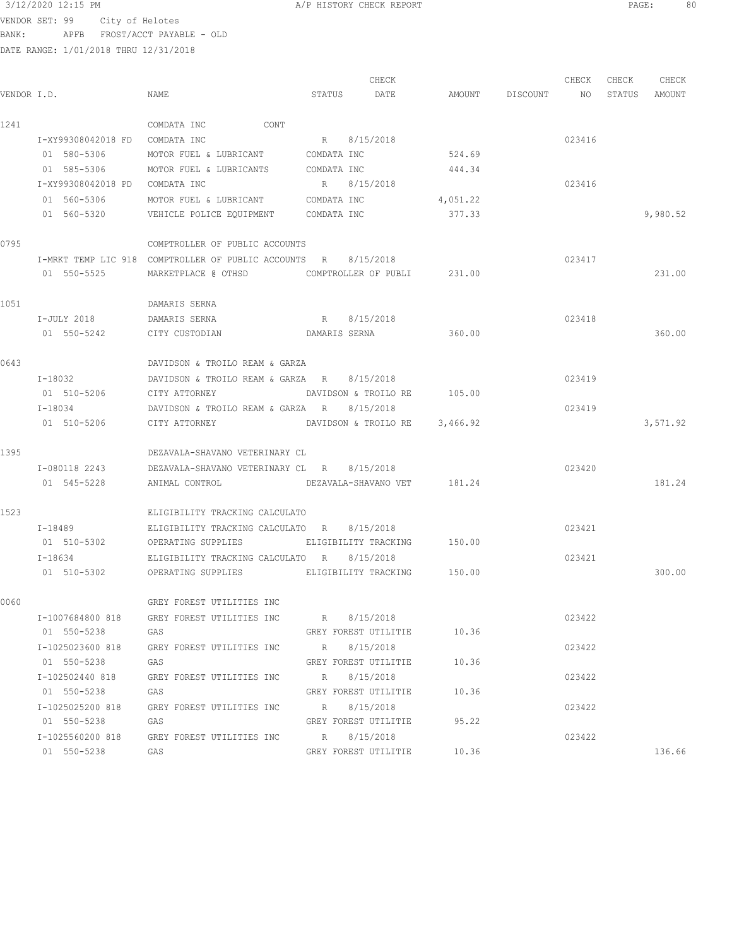$3/12/2020$  12:15 PM  $\,$  A/P HISTORY CHECK REPORT  $\,$  PAGE: 80 VENDOR SET: 99 City of Helotes BANK: APFB FROST/ACCT PAYABLE - OLD

| VENDOR I.D. |                                | NAME                                                           |        | CHECK<br>DATE                 |          |                    | CHECK  | CHECK<br>STATUS | CHECK<br>AMOUNT |
|-------------|--------------------------------|----------------------------------------------------------------|--------|-------------------------------|----------|--------------------|--------|-----------------|-----------------|
|             |                                |                                                                | STATUS |                               |          | AMOUNT DISCOUNT NO |        |                 |                 |
| 1241        |                                | CONT<br>COMDATA INC                                            |        |                               |          |                    |        |                 |                 |
|             | I-XY99308042018 FD COMDATA INC |                                                                |        | R 8/15/2018                   |          |                    | 023416 |                 |                 |
|             | 01 580-5306                    | MOTOR FUEL & LUBRICANT COMDATA INC                             |        |                               | 524.69   |                    |        |                 |                 |
|             | 01 585-5306                    | MOTOR FUEL & LUBRICANTS                                        |        | COMDATA INC                   | 444.34   |                    |        |                 |                 |
|             | I-XY99308042018 PD COMDATA INC |                                                                |        | R 8/15/2018                   |          |                    | 023416 |                 |                 |
|             | 01 560-5306                    | MOTOR FUEL & LUBRICANT COMDATA INC                             |        |                               | 4,051.22 |                    |        |                 |                 |
|             | 01 560-5320                    | VEHICLE POLICE EQUIPMENT COMDATA INC                           |        |                               | 377.33   |                    |        |                 | 9,980.52        |
| 0795        |                                | COMPTROLLER OF PUBLIC ACCOUNTS                                 |        |                               |          |                    |        |                 |                 |
|             |                                | I-MRKT TEMP LIC 918 COMPTROLLER OF PUBLIC ACCOUNTS R 8/15/2018 |        |                               |          |                    | 023417 |                 |                 |
|             | 01 550-5525                    | MARKETPLACE @ OTHSD                                            |        | COMPTROLLER OF PUBLI 231.00   |          |                    |        |                 | 231.00          |
| 1051        |                                | DAMARIS SERNA                                                  |        |                               |          |                    |        |                 |                 |
|             | I-JULY 2018                    | DAMARIS SERNA                                                  |        | R 8/15/2018                   |          |                    | 023418 |                 |                 |
|             | 01 550-5242                    | CITY CUSTODIAN                                                 |        | DAMARIS SERNA 360.00          |          |                    |        |                 | 360.00          |
| 0643        |                                | DAVIDSON & TROILO REAM & GARZA                                 |        |                               |          |                    |        |                 |                 |
|             | I-18032                        | DAVIDSON & TROILO REAM & GARZA R                               |        | 8/15/2018                     |          |                    | 023419 |                 |                 |
|             | 01 510-5206                    | CITY ATTORNEY                                                  |        | DAVIDSON & TROILO RE 105.00   |          |                    |        |                 |                 |
|             | I-18034                        | DAVIDSON & TROILO REAM & GARZA R                               |        | 8/15/2018                     |          |                    | 023419 |                 |                 |
|             | 01 510-5206                    | CITY ATTORNEY                                                  |        | DAVIDSON & TROILO RE 3,466.92 |          |                    |        |                 | 3,571.92        |
|             |                                |                                                                |        |                               |          |                    |        |                 |                 |
| 1395        |                                | DEZAVALA-SHAVANO VETERINARY CL                                 |        |                               |          |                    |        |                 |                 |
|             | I-080118 2243                  | DEZAVALA-SHAVANO VETERINARY CL R 8/15/2018                     |        |                               |          |                    | 023420 |                 |                 |
|             | 01 545-5228                    | ANIMAL CONTROL DEZAVALA-SHAVANO VET 181.24                     |        |                               |          |                    |        |                 | 181.24          |
| 1523        |                                | ELIGIBILITY TRACKING CALCULATO                                 |        |                               |          |                    |        |                 |                 |
|             | $I - 18489$                    | ELIGIBILITY TRACKING CALCULATO R 8/15/2018                     |        |                               |          |                    | 023421 |                 |                 |
|             | 01 510-5302                    | OPERATING SUPPLIES                                             |        | ELIGIBILITY TRACKING 150.00   |          |                    |        |                 |                 |
|             | $I - 18634$                    | ELIGIBILITY TRACKING CALCULATO R 8/15/2018                     |        |                               |          |                    | 023421 |                 |                 |
|             | 01 510-5302                    | OPERATING SUPPLIES FELIGIBILITY TRACKING                       |        |                               | 150.00   |                    |        |                 | 300.00          |
| 0060        |                                | GREY FOREST UTILITIES INC                                      |        |                               |          |                    |        |                 |                 |
|             | I-1007684800 818               | GREY FOREST UTILITIES INC R 8/15/2018                          |        |                               |          |                    | 023422 |                 |                 |
|             | 01 550-5238                    | GAS                                                            |        | GREY FOREST UTILITIE 10.36    |          |                    |        |                 |                 |
|             | I-1025023600 818               | GREY FOREST UTILITIES INC R 8/15/2018                          |        |                               |          |                    | 023422 |                 |                 |
|             | 01 550-5238                    | GAS                                                            |        | GREY FOREST UTILITIE 10.36    |          |                    |        |                 |                 |
|             |                                | I-102502440 818 GREY FOREST UTILITIES INC R 8/15/2018          |        |                               |          |                    | 023422 |                 |                 |
|             | 01 550-5238                    | GAS                                                            |        | GREY FOREST UTILITIE 10.36    |          |                    |        |                 |                 |
|             | I-1025025200 818               | GREY FOREST UTILITIES INC R 8/15/2018                          |        |                               |          |                    | 023422 |                 |                 |
|             | 01 550-5238                    | GAS                                                            |        | GREY FOREST UTILITIE          | 95.22    |                    |        |                 |                 |
|             | I-1025560200 818               | GREY FOREST UTILITIES INC R 8/15/2018                          |        |                               |          |                    | 023422 |                 |                 |
|             | 01 550-5238                    | GAS                                                            |        | GREY FOREST UTILITIE          | 10.36    |                    |        |                 | 136.66          |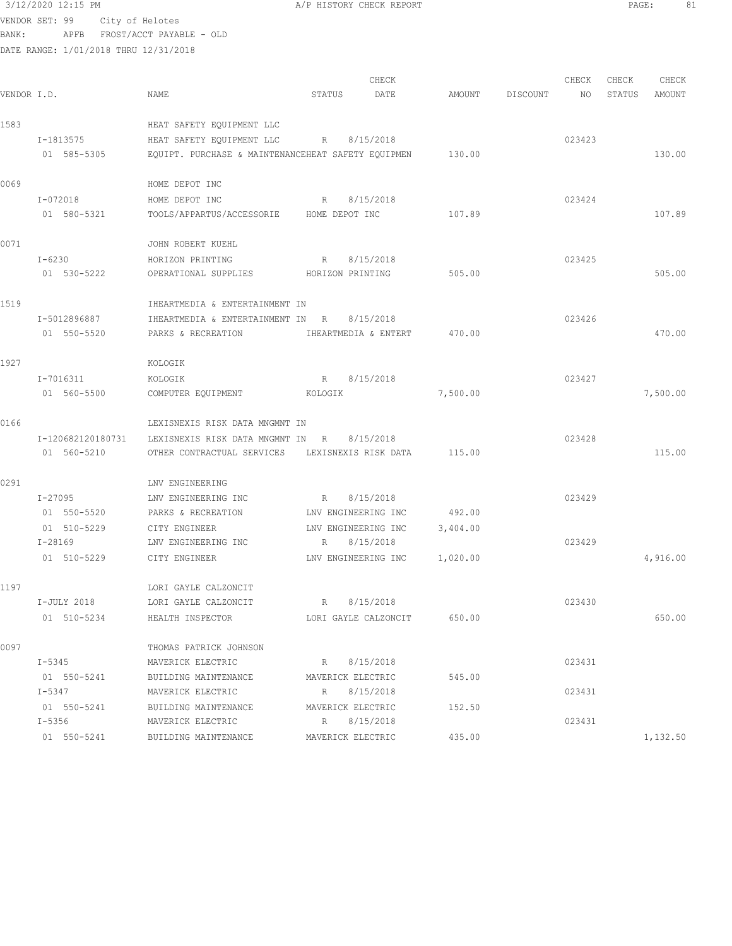### $3/12/2020$  12:15 PM  $A/P$  HISTORY CHECK REPORT PAGE: 81 VENDOR SET: 99 City of Helotes BANK: APFB FROST/ACCT PAYABLE - OLD

| VENDOR I.D. |                   | NAME                                                      | STATUS               | CHECK<br>DATE | AMOUNT   | DISCOUNT | CHECK<br>NO | CHECK<br>STATUS | CHECK<br>AMOUNT |
|-------------|-------------------|-----------------------------------------------------------|----------------------|---------------|----------|----------|-------------|-----------------|-----------------|
| 1583        |                   | HEAT SAFETY EQUIPMENT LLC                                 |                      |               |          |          |             |                 |                 |
|             | I-1813575         | HEAT SAFETY EQUIPMENT LLC                                 | R                    | 8/15/2018     |          |          | 023423      |                 |                 |
|             | 01 585-5305       | EQUIPT. PURCHASE & MAINTENANCEHEAT SAFETY EQUIPMEN 130.00 |                      |               |          |          |             |                 | 130.00          |
| 0069        |                   | HOME DEPOT INC                                            |                      |               |          |          |             |                 |                 |
|             | I-072018          | HOME DEPOT INC                                            | R                    | 8/15/2018     |          |          | 023424      |                 |                 |
|             | 01 580-5321       | TOOLS/APPARTUS/ACCESSORIE HOME DEPOT INC                  |                      |               | 107.89   |          |             |                 | 107.89          |
| 0071        |                   | JOHN ROBERT KUEHL                                         |                      |               |          |          |             |                 |                 |
|             | I-6230            | HORIZON PRINTING                                          | R                    | 8/15/2018     |          |          | 023425      |                 |                 |
|             | 01 530-5222       | OPERATIONAL SUPPLIES                                      | HORIZON PRINTING     |               | 505.00   |          |             |                 | 505.00          |
| 1519        |                   | IHEARTMEDIA & ENTERTAINMENT IN                            |                      |               |          |          |             |                 |                 |
|             | I-5012896887      | IHEARTMEDIA & ENTERTAINMENT IN R                          |                      | 8/15/2018     |          |          | 023426      |                 |                 |
|             | 01 550-5520       | PARKS & RECREATION                                        | IHEARTMEDIA & ENTERT |               | 470.00   |          |             |                 | 470.00          |
| 1927        |                   | KOLOGIK                                                   |                      |               |          |          |             |                 |                 |
|             | I-7016311         | KOLOGIK                                                   | R 8/15/2018          |               |          |          | 023427      |                 |                 |
|             | 01 560-5500       | COMPUTER EQUIPMENT                                        | <b>KOLOGIK</b>       |               | 7,500.00 |          |             |                 | 7,500.00        |
| 0166        |                   | LEXISNEXIS RISK DATA MNGMNT IN                            |                      |               |          |          |             |                 |                 |
|             | I-120682120180731 | LEXISNEXIS RISK DATA MNGMNT IN R                          |                      | 8/15/2018     |          |          | 023428      |                 |                 |
|             | 01 560-5210       | OTHER CONTRACTUAL SERVICES LEXISNEXIS RISK DATA           |                      |               | 115.00   |          |             |                 | 115.00          |
| 0291        |                   | LNV ENGINEERING                                           |                      |               |          |          |             |                 |                 |
|             | I-27095           | LNV ENGINEERING INC                                       | R                    | 8/15/2018     |          |          | 023429      |                 |                 |
|             | 01 550-5520       | PARKS & RECREATION                                        | LNV ENGINEERING INC  |               | 492.00   |          |             |                 |                 |
|             | 01 510-5229       | CITY ENGINEER                                             | LNV ENGINEERING INC  |               | 3,404.00 |          |             |                 |                 |
|             | I-28169           | LNV ENGINEERING INC                                       | R 8/15/2018          |               |          |          | 023429      |                 |                 |
|             | 01 510-5229       | CITY ENGINEER                                             | LNV ENGINEERING INC  |               | 1,020.00 |          |             |                 | 4,916.00        |
| 1197        |                   | LORI GAYLE CALZONCIT                                      |                      |               |          |          |             |                 |                 |
|             | I-JULY 2018       | LORI GAYLE CALZONCIT                                      | R 8/15/2018          |               |          |          | 023430      |                 |                 |
|             | 01 510-5234       | HEALTH INSPECTOR                                          | LORI GAYLE CALZONCIT |               | 650.00   |          |             |                 | 650.00          |
| 0097        |                   | THOMAS PATRICK JOHNSON                                    |                      |               |          |          |             |                 |                 |
|             | I-5345            | MAVERICK ELECTRIC                                         | R 8/15/2018          |               |          |          | 023431      |                 |                 |
|             | 01 550-5241       | BUILDING MAINTENANCE                                      | MAVERICK ELECTRIC    |               | 545.00   |          |             |                 |                 |
|             | I-5347            | MAVERICK ELECTRIC                                         | R 8/15/2018          |               |          |          | 023431      |                 |                 |
|             | 01 550-5241       | BUILDING MAINTENANCE                                      | MAVERICK ELECTRIC    |               | 152.50   |          |             |                 |                 |
|             | I-5356            | MAVERICK ELECTRIC                                         | R 8/15/2018          |               |          |          | 023431      |                 |                 |
|             | 01 550-5241       | BUILDING MAINTENANCE                                      | MAVERICK ELECTRIC    |               | 435.00   |          |             |                 | 1,132.50        |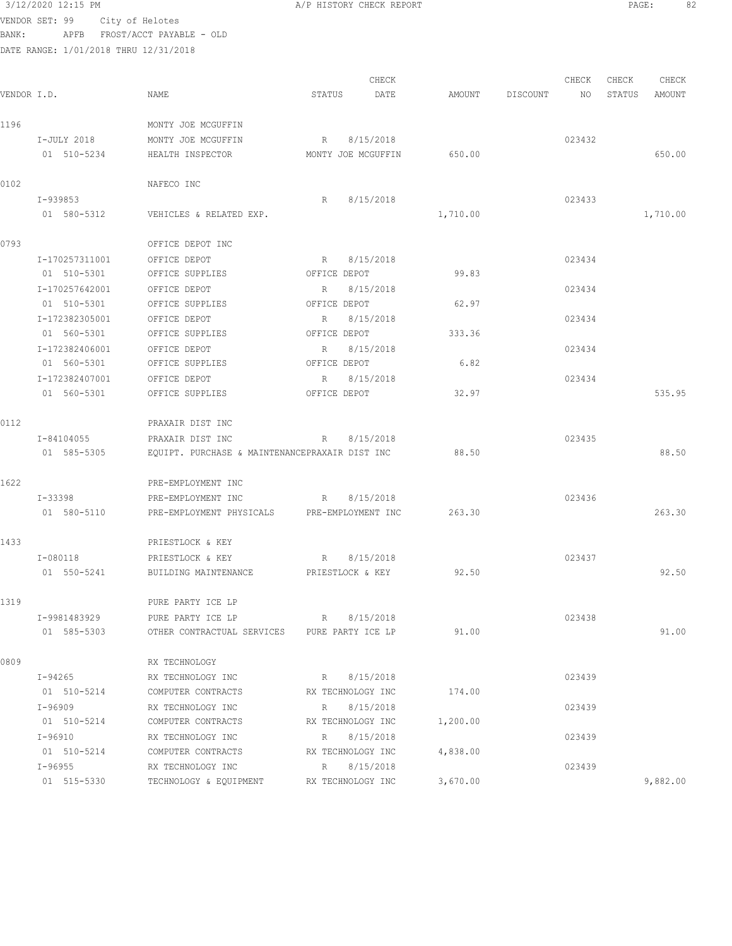|             |                | VENDOR SET: 99 City of Helotes        |                                                |              |                    |          |          |        |        |          |
|-------------|----------------|---------------------------------------|------------------------------------------------|--------------|--------------------|----------|----------|--------|--------|----------|
| BANK:       |                | APFB FROST/ACCT PAYABLE - OLD         |                                                |              |                    |          |          |        |        |          |
|             |                | DATE RANGE: 1/01/2018 THRU 12/31/2018 |                                                |              |                    |          |          |        |        |          |
|             |                |                                       |                                                |              | CHECK              |          |          | CHECK  | CHECK  | CHECK    |
| VENDOR I.D. |                | NAME                                  |                                                | STATUS       | DATE               | AMOUNT   | DISCOUNT | NO.    | STATUS | AMOUNT   |
|             |                |                                       |                                                |              |                    |          |          |        |        |          |
| 1196        |                |                                       | MONTY JOE MCGUFFIN                             |              |                    |          |          |        |        |          |
|             | I-JULY 2018    |                                       | MONTY JOE MCGUFFIN                             | $R_{\odot}$  | 8/15/2018          |          |          | 023432 |        |          |
|             | 01 510-5234    |                                       | HEALTH INSPECTOR                               |              | MONTY JOE MCGUFFIN | 650.00   |          |        |        | 650.00   |
|             |                |                                       |                                                |              |                    |          |          |        |        |          |
| 0102        |                | NAFECO INC                            |                                                |              |                    |          |          |        |        |          |
|             | I-939853       |                                       |                                                | R            | 8/15/2018          |          |          | 023433 |        |          |
|             | 01 580-5312    |                                       | VEHICLES & RELATED EXP.                        |              |                    | 1,710.00 |          |        |        | 1,710.00 |
|             |                |                                       |                                                |              |                    |          |          |        |        |          |
| 0793        |                |                                       | OFFICE DEPOT INC                               |              |                    |          |          |        |        |          |
|             | I-170257311001 |                                       | OFFICE DEPOT                                   | R            | 8/15/2018          |          |          | 023434 |        |          |
|             | 01 510-5301    |                                       | OFFICE SUPPLIES                                | OFFICE DEPOT |                    | 99.83    |          |        |        |          |
|             | I-170257642001 |                                       | OFFICE DEPOT                                   | R            | 8/15/2018          |          |          | 023434 |        |          |
|             | 01 510-5301    |                                       | OFFICE SUPPLIES                                |              | OFFICE DEPOT       | 62.97    |          |        |        |          |
|             | I-172382305001 |                                       | OFFICE DEPOT                                   | $R_{\rm c}$  | 8/15/2018          |          |          | 023434 |        |          |
|             | 01 560-5301    |                                       | OFFICE SUPPLIES                                | OFFICE DEPOT |                    | 333.36   |          |        |        |          |
|             | I-172382406001 |                                       | OFFICE DEPOT                                   | $R_{\odot}$  | 8/15/2018          |          |          | 023434 |        |          |
|             | 01 560-5301    |                                       | OFFICE SUPPLIES                                | OFFICE DEPOT |                    | 6.82     |          |        |        |          |
|             | I-172382407001 |                                       | OFFICE DEPOT                                   | R            | 8/15/2018          |          |          | 023434 |        |          |
|             | 01 560-5301    |                                       | OFFICE SUPPLIES                                | OFFICE DEPOT |                    | 32.97    |          |        |        | 535.95   |
| 0112        |                |                                       | PRAXAIR DIST INC                               |              |                    |          |          |        |        |          |
|             | I-84104055     |                                       | PRAXAIR DIST INC                               | R            | 8/15/2018          |          |          | 023435 |        |          |
|             | 01 585-5305    |                                       | EQUIPT. PURCHASE & MAINTENANCEPRAXAIR DIST INC |              |                    | 88.50    |          |        |        | 88.50    |
|             |                |                                       |                                                |              |                    |          |          |        |        |          |
| 1622        |                |                                       | PRE-EMPLOYMENT INC                             |              |                    |          |          |        |        |          |
|             | I-33398        |                                       | PRE-EMPLOYMENT INC                             | R            | 8/15/2018          |          |          | 023436 |        |          |
|             | 01 580-5110    |                                       | PRE-EMPLOYMENT PHYSICALS PRE-EMPLOYMENT INC    |              |                    | 263.30   |          |        |        | 263.30   |
|             |                |                                       |                                                |              |                    |          |          |        |        |          |
| 1433        |                |                                       | PRIESTLOCK & KEY                               |              |                    |          |          |        |        |          |
|             | I-080118       |                                       | PRIESTLOCK & KEY                               | R            | 8/15/2018          |          |          | 023437 |        |          |
|             | 01 550-5241    |                                       | BUILDING MAINTENANCE                           |              | PRIESTLOCK & KEY   | 92.50    |          |        |        | 92.50    |
|             |                |                                       |                                                |              |                    |          |          |        |        |          |
| 1319        |                |                                       | PURE PARTY ICE LP                              |              |                    |          |          |        |        |          |
|             | I-9981483929   |                                       | PURE PARTY ICE LP                              | $R$ and $R$  | 8/15/2018          |          |          | 023438 |        |          |
|             | 01 585-5303    |                                       | OTHER CONTRACTUAL SERVICES PURE PARTY ICE LP   |              |                    | 91.00    |          |        |        | 91.00    |
|             |                |                                       |                                                |              |                    |          |          |        |        |          |
| 0809        |                |                                       | RX TECHNOLOGY                                  |              |                    |          |          |        |        |          |
|             | I-94265        |                                       | RX TECHNOLOGY INC                              | R            | 8/15/2018          |          |          | 023439 |        |          |
|             | 01 510-5214    |                                       | COMPUTER CONTRACTS                             |              | RX TECHNOLOGY INC  | 174.00   |          |        |        |          |
|             | I-96909        |                                       | RX TECHNOLOGY INC                              | R            | 8/15/2018          |          |          | 023439 |        |          |
|             | 01 510-5214    |                                       | COMPUTER CONTRACTS                             |              | RX TECHNOLOGY INC  | 1,200.00 |          |        |        |          |
|             | I-96910        |                                       | RX TECHNOLOGY INC                              | R            | 8/15/2018          |          |          | 023439 |        |          |
|             | 01 510-5214    |                                       | COMPUTER CONTRACTS                             |              | RX TECHNOLOGY INC  | 4,838.00 |          |        |        |          |
|             | I-96955        |                                       | RX TECHNOLOGY INC                              | R            | 8/15/2018          |          |          | 023439 |        |          |
|             | 01 515-5330    |                                       | TECHNOLOGY & EQUIPMENT                         |              | RX TECHNOLOGY INC  | 3,670.00 |          |        |        | 9,882.00 |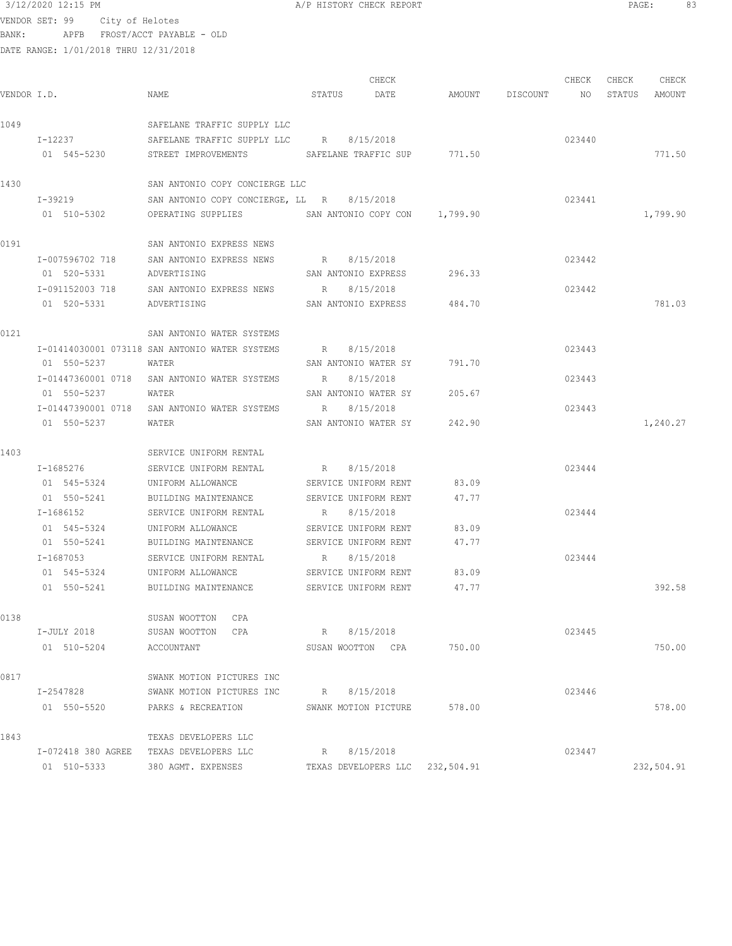## $3/12/2020$  12:15 PM  $A/P$  HISTORY CHECK REPORT  $\overline{PAGE:}$  PAGE: 83 VENDOR SET: 99 City of Helotes

BANK: APFB FROST/ACCT PAYABLE - OLD

|             |             |                                                            |                      | CHECK                |                                 | CHECK  | CHECK | CHECK         |
|-------------|-------------|------------------------------------------------------------|----------------------|----------------------|---------------------------------|--------|-------|---------------|
| VENDOR I.D. |             | NAME                                                       | STATUS DATE          |                      | AMOUNT DISCOUNT NO              |        |       | STATUS AMOUNT |
| 1049        |             | SAFELANE TRAFFIC SUPPLY LLC                                |                      |                      |                                 |        |       |               |
|             |             | I-12237 SAFELANE TRAFFIC SUPPLY LLC R 8/15/2018            |                      |                      |                                 | 023440 |       |               |
|             | 01 545-5230 | STREET IMPROVEMENTS                                        |                      |                      | SAFELANE TRAFFIC SUP 771.50     |        |       | 771.50        |
| 1430        |             | SAN ANTONIO COPY CONCIERGE LLC                             |                      |                      |                                 |        |       |               |
|             | I-39219     | SAN ANTONIO COPY CONCIERGE, LL R 8/15/2018                 |                      |                      |                                 | 023441 |       |               |
|             | 01 510-5302 | OPERATING SUPPLIES SAN ANTONIO COPY CON 1,799.90           |                      |                      |                                 |        |       | 1,799.90      |
| 0191        |             | SAN ANTONIO EXPRESS NEWS                                   |                      |                      |                                 |        |       |               |
|             |             | I-007596702 718 SAN ANTONIO EXPRESS NEWS R 8/15/2018       |                      |                      |                                 | 023442 |       |               |
|             | 01 520-5331 | ADVERTISING                                                |                      |                      | SAN ANTONIO EXPRESS 296.33      |        |       |               |
|             |             | I-091152003 718 SAN ANTONIO EXPRESS NEWS R 8/15/2018       |                      |                      |                                 | 023442 |       |               |
|             | 01 520-5331 | SAN ANTONIO EXPRESS 484.70<br>ADVERTISING                  |                      |                      |                                 |        |       | 781.03        |
| 0121        |             | SAN ANTONIO WATER SYSTEMS                                  |                      |                      |                                 |        |       |               |
|             |             | I-01414030001 073118 SAN ANTONIO WATER SYSTEMS R 8/15/2018 |                      |                      |                                 | 023443 |       |               |
|             | 01 550-5237 | WATER                                                      |                      |                      | SAN ANTONIO WATER SY 791.70     |        |       |               |
|             |             | I-01447360001 0718 SAN ANTONIO WATER SYSTEMS               | R 8/15/2018          |                      |                                 | 023443 |       |               |
|             | 01 550-5237 | WATER                                                      |                      | SAN ANTONIO WATER SY | 205.67                          |        |       |               |
|             |             | I-01447390001 0718 SAN ANTONIO WATER SYSTEMS               | R 8/15/2018          |                      |                                 | 023443 |       |               |
|             | 01 550-5237 | WATER                                                      |                      |                      | SAN ANTONIO WATER SY 242.90     |        |       | 1,240.27      |
| 1403        |             | SERVICE UNIFORM RENTAL                                     |                      |                      |                                 |        |       |               |
|             | I-1685276   | SERVICE UNIFORM RENTAL                                     | R 8/15/2018          |                      |                                 | 023444 |       |               |
|             | 01 545-5324 | UNIFORM ALLOWANCE                                          | SERVICE UNIFORM RENT |                      | 83.09                           |        |       |               |
|             | 01 550-5241 | BUILDING MAINTENANCE SERVICE UNIFORM RENT                  |                      |                      | 47.77                           |        |       |               |
|             | I-1686152   | SERVICE UNIFORM RENTAL                                     | $R_{\rm max}$        | 8/15/2018            |                                 | 023444 |       |               |
|             | 01 545-5324 | UNIFORM ALLOWANCE                                          | SERVICE UNIFORM RENT |                      | 83.09                           |        |       |               |
|             | 01 550-5241 | BUILDING MAINTENANCE                                       | SERVICE UNIFORM RENT |                      | 47.77                           |        |       |               |
|             | I-1687053   | SERVICE UNIFORM RENTAL                                     | R 8/15/2018          |                      |                                 | 023444 |       |               |
|             | 01 545-5324 | UNIFORM ALLOWANCE                                          |                      | SERVICE UNIFORM RENT | 83.09                           |        |       |               |
|             |             | 01 550-5241 BUILDING MAINTENANCE                           |                      |                      | SERVICE UNIFORM RENT 47.77      |        |       | 392.58        |
| 0138        |             | SUSAN WOOTTON<br>CPA                                       |                      |                      |                                 |        |       |               |
|             | I-JULY 2018 | SUSAN WOOTTON CPA                                          | R 8/15/2018          |                      |                                 | 023445 |       |               |
|             | 01 510-5204 | ACCOUNTANT                                                 |                      |                      | SUSAN WOOTTON CPA 750.00        |        |       | 750.00        |
| 0817        |             | SWANK MOTION PICTURES INC                                  |                      |                      |                                 |        |       |               |
|             | I-2547828   | SWANK MOTION PICTURES INC                                  | R                    | 8/15/2018            |                                 | 023446 |       |               |
|             | 01 550-5520 | PARKS & RECREATION                                         |                      | SWANK MOTION PICTURE | 578.00                          |        |       | 578.00        |
| 1843        |             | TEXAS DEVELOPERS LLC                                       |                      |                      |                                 |        |       |               |
|             |             | I-072418 380 AGREE TEXAS DEVELOPERS LLC                    | R                    | 8/15/2018            |                                 | 023447 |       |               |
|             | 01 510-5333 | 380 AGMT. EXPENSES                                         |                      |                      | TEXAS DEVELOPERS LLC 232,504.91 |        |       | 232,504.91    |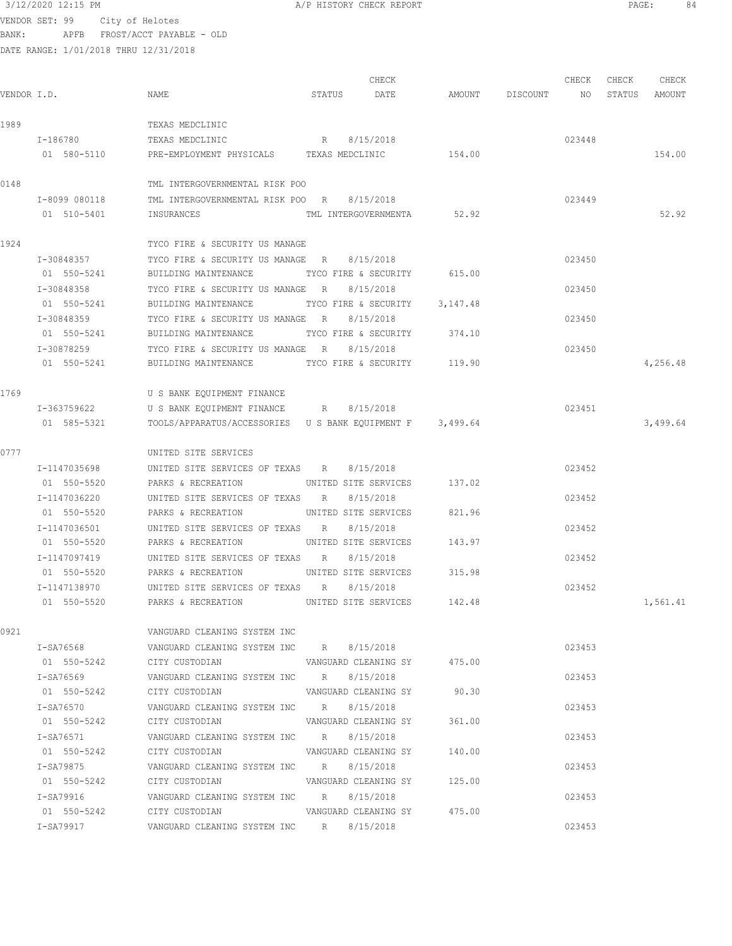VENDOR SET: 99 City of Helotes BANK: APFB FROST/ACCT PAYABLE - OLD

DATE RANGE: 1/01/2018 THRU 12/31/2018

| VENDOR I.D. |               | NAME                                                     | STATUS       | CHECK<br>DATE               |        | AMOUNT DISCOUNT | CHECK<br>NO | CHECK<br>STATUS | CHECK<br>AMOUNT |
|-------------|---------------|----------------------------------------------------------|--------------|-----------------------------|--------|-----------------|-------------|-----------------|-----------------|
| 1989        |               | TEXAS MEDCLINIC                                          |              |                             |        |                 |             |                 |                 |
|             | I-186780      | TEXAS MEDCLINIC                                          | $R_{\rm{1}}$ | 8/15/2018                   |        |                 | 023448      |                 |                 |
|             | 01 580-5110   | PRE-EMPLOYMENT PHYSICALS TEXAS MEDCLINIC                 |              |                             | 154.00 |                 |             |                 | 154.00          |
| 0148        |               | TML INTERGOVERNMENTAL RISK POO                           |              |                             |        |                 |             |                 |                 |
|             | I-8099 080118 | TML INTERGOVERNMENTAL RISK POO R                         |              | 8/15/2018                   |        |                 | 023449      |                 |                 |
|             | 01 510-5401   | INSURANCES                                               |              | TML INTERGOVERNMENTA 52.92  |        |                 |             |                 | 52.92           |
| 1924        |               | TYCO FIRE & SECURITY US MANAGE                           |              |                             |        |                 |             |                 |                 |
|             | I-30848357    | TYCO FIRE & SECURITY US MANAGE R                         |              | 8/15/2018                   |        |                 | 023450      |                 |                 |
|             | 01 550-5241   | BUILDING MAINTENANCE                                     |              | TYCO FIRE & SECURITY 615.00 |        |                 |             |                 |                 |
|             | I-30848358    | TYCO FIRE & SECURITY US MANAGE R                         |              | 8/15/2018                   |        |                 | 023450      |                 |                 |
|             | 01 550-5241   | BUILDING MAINTENANCE TYCO FIRE & SECURITY 3,147.48       |              |                             |        |                 |             |                 |                 |
|             | I-30848359    | TYCO FIRE & SECURITY US MANAGE R                         |              | 8/15/2018                   |        |                 | 023450      |                 |                 |
|             | 01 550-5241   | BUILDING MAINTENANCE TYCO FIRE & SECURITY 374.10         |              |                             |        |                 |             |                 |                 |
|             | I-30878259    | TYCO FIRE & SECURITY US MANAGE R                         |              | 8/15/2018                   |        |                 | 023450      |                 |                 |
|             | 01 550-5241   | BUILDING MAINTENANCE TYCO FIRE & SECURITY 119.90         |              |                             |        |                 |             |                 | 4,256.48        |
|             |               |                                                          |              |                             |        |                 |             |                 |                 |
| 1769        |               | U S BANK EQUIPMENT FINANCE                               |              |                             |        |                 |             |                 |                 |
|             | I-363759622   | U S BANK EQUIPMENT FINANCE R                             |              | 8/15/2018                   |        |                 | 023451      |                 |                 |
|             | 01 585-5321   | TOOLS/APPARATUS/ACCESSORIES US BANK EQUIPMENT F 3,499.64 |              |                             |        |                 |             |                 | 3,499.64        |
| 0777        |               | UNITED SITE SERVICES                                     |              |                             |        |                 |             |                 |                 |
|             | I-1147035698  | UNITED SITE SERVICES OF TEXAS R                          |              | 8/15/2018                   |        |                 | 023452      |                 |                 |
|             | 01 550-5520   | PARKS & RECREATION                                       |              | UNITED SITE SERVICES        | 137.02 |                 |             |                 |                 |
|             | I-1147036220  | UNITED SITE SERVICES OF TEXAS                            | R            | 8/15/2018                   |        |                 | 023452      |                 |                 |
|             | 01 550-5520   | PARKS & RECREATION                                       |              | UNITED SITE SERVICES        | 821.96 |                 |             |                 |                 |
|             | I-1147036501  | UNITED SITE SERVICES OF TEXAS                            | R            | 8/15/2018                   |        |                 | 023452      |                 |                 |
|             | 01 550-5520   | PARKS & RECREATION                                       |              | UNITED SITE SERVICES        | 143.97 |                 |             |                 |                 |
|             | I-1147097419  | UNITED SITE SERVICES OF TEXAS                            | R            | 8/15/2018                   |        |                 | 023452      |                 |                 |
|             | 01 550-5520   | PARKS & RECREATION                                       |              | UNITED SITE SERVICES 315.98 |        |                 |             |                 |                 |
|             | I-1147138970  | UNITED SITE SERVICES OF TEXAS R                          |              | 8/15/2018                   |        |                 | 023452      |                 |                 |
|             | 01 550-5520   | PARKS & RECREATION UNITED SITE SERVICES 142.48           |              |                             |        |                 |             |                 | 1,561.41        |
| 0921        |               | VANGUARD CLEANING SYSTEM INC                             |              |                             |        |                 |             |                 |                 |
|             | I-SA76568     | VANGUARD CLEANING SYSTEM INC R 8/15/2018                 |              |                             |        |                 | 023453      |                 |                 |
|             | 01 550-5242   | CITY CUSTODIAN                                           |              | VANGUARD CLEANING SY 475.00 |        |                 |             |                 |                 |
|             | I-SA76569     | VANGUARD CLEANING SYSTEM INC R 8/15/2018                 |              |                             |        |                 | 023453      |                 |                 |
|             |               | 01 550-5242 CITY CUSTODIAN                               |              | VANGUARD CLEANING SY        | 90.30  |                 |             |                 |                 |
|             | I-SA76570     | VANGUARD CLEANING SYSTEM INC R                           |              | 8/15/2018                   |        |                 | 023453      |                 |                 |
|             |               | 01 550-5242 CITY CUSTODIAN                               |              | VANGUARD CLEANING SY        | 361.00 |                 |             |                 |                 |
|             | I-SA76571     | VANGUARD CLEANING SYSTEM INC R 8/15/2018                 |              |                             |        |                 | 023453      |                 |                 |
|             |               | 01 550-5242 CITY CUSTODIAN                               |              | VANGUARD CLEANING SY        | 140.00 |                 |             |                 |                 |
|             | I-SA79875     | VANGUARD CLEANING SYSTEM INC R 8/15/2018                 |              |                             |        |                 | 023453      |                 |                 |
|             | 01 550-5242   | CITY CUSTODIAN                                           |              | VANGUARD CLEANING SY        | 125.00 |                 |             |                 |                 |
|             | I-SA79916     | VANGUARD CLEANING SYSTEM INC R 8/15/2018                 |              |                             |        |                 | 023453      |                 |                 |
|             | 01 550-5242   | CITY CUSTODIAN                                           |              | VANGUARD CLEANING SY        | 475.00 |                 |             |                 |                 |
|             |               |                                                          |              |                             |        |                 |             |                 |                 |

I-SA79917 VANGUARD CLEANING SYSTEM INC R 8/15/2018 023453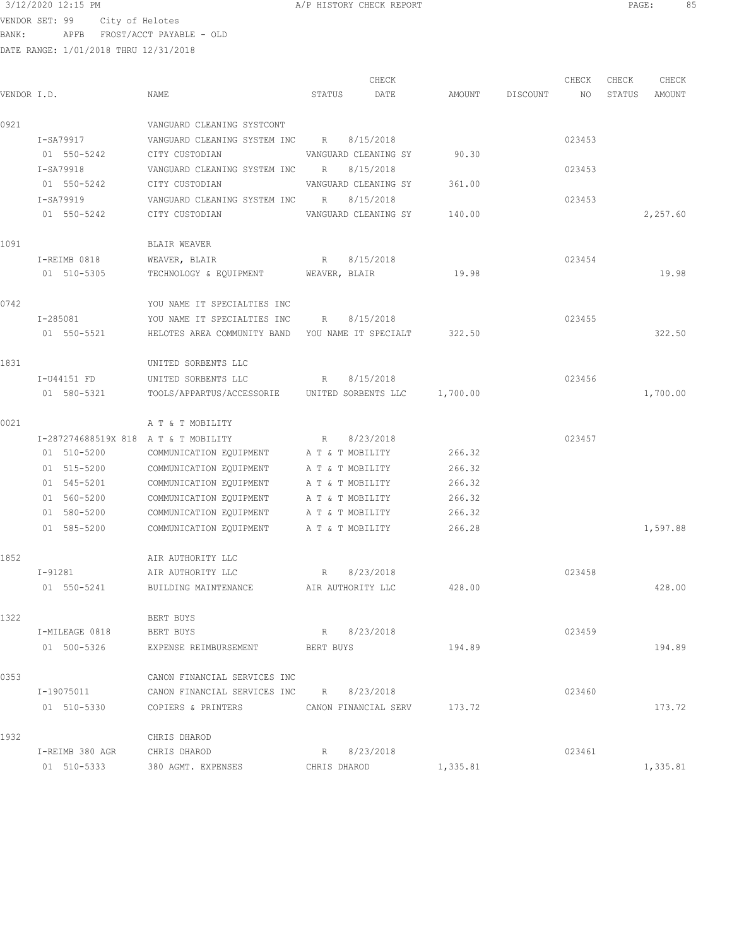3/12/2020 12:15 PM A/P HISTORY CHECK REPORT PAGE: 85 VENDOR SET: 99 City of Helotes BANK: APFB FROST/ACCT PAYABLE - OLD

| VENDOR I.D. |                                      | NAME                                                   | STATUS               | CHECK<br>DATE | AMOUNT   | DISCOUNT | CHECK<br>NO | CHECK<br>STATUS | CHECK<br>AMOUNT |
|-------------|--------------------------------------|--------------------------------------------------------|----------------------|---------------|----------|----------|-------------|-----------------|-----------------|
| 0921        |                                      | VANGUARD CLEANING SYSTCONT                             |                      |               |          |          |             |                 |                 |
|             | I-SA79917                            | VANGUARD CLEANING SYSTEM INC                           | R                    | 8/15/2018     |          |          | 023453      |                 |                 |
|             | 01 550-5242                          | CITY CUSTODIAN                                         | VANGUARD CLEANING SY |               | 90.30    |          |             |                 |                 |
|             | I-SA79918                            | VANGUARD CLEANING SYSTEM INC                           | $R_{\rm{B}}$         | 8/15/2018     |          |          | 023453      |                 |                 |
|             | 01 550-5242                          | CITY CUSTODIAN                                         | VANGUARD CLEANING SY |               | 361.00   |          |             |                 |                 |
|             | I-SA79919                            | VANGUARD CLEANING SYSTEM INC R                         |                      | 8/15/2018     |          |          | 023453      |                 |                 |
|             | 01 550-5242                          | CITY CUSTODIAN                                         | VANGUARD CLEANING SY |               | 140.00   |          |             |                 | 2,257.60        |
| 1091        |                                      | BLAIR WEAVER                                           |                      |               |          |          |             |                 |                 |
|             | I-REIMB 0818                         | WEAVER, BLAIR                                          | R 8/15/2018          |               |          |          | 023454      |                 |                 |
|             | 01 510-5305                          | TECHNOLOGY & EQUIPMENT WEAVER, BLAIR                   |                      |               | 19.98    |          |             |                 | 19.98           |
| 0742        |                                      | YOU NAME IT SPECIALTIES INC                            |                      |               |          |          |             |                 |                 |
|             | I-285081                             | YOU NAME IT SPECIALTIES INC R 8/15/2018                |                      |               |          |          | 023455      |                 |                 |
|             | 01 550-5521                          | HELOTES AREA COMMUNITY BAND YOU NAME IT SPECIALT       |                      |               | 322.50   |          |             |                 | 322.50          |
| 1831        |                                      | UNITED SORBENTS LLC                                    |                      |               |          |          |             |                 |                 |
|             | I-U44151 FD                          | UNITED SORBENTS LLC                                    | R                    | 8/15/2018     |          |          | 023456      |                 |                 |
|             | 01 580-5321                          | TOOLS/APPARTUS/ACCESSORIE UNITED SORBENTS LLC 1,700.00 |                      |               |          |          |             |                 | 1,700.00        |
| 0021        |                                      | A T & T MOBILITY                                       |                      |               |          |          |             |                 |                 |
|             | I-287274688519X 818 A T & T MOBILITY |                                                        | R 8/23/2018          |               |          |          | 023457      |                 |                 |
|             | 01 510-5200                          | COMMUNICATION EQUIPMENT                                | A T & T MOBILITY     |               | 266.32   |          |             |                 |                 |
|             | 01 515-5200                          | COMMUNICATION EQUIPMENT                                | A T & T MOBILITY     |               | 266.32   |          |             |                 |                 |
|             | 01 545-5201                          | COMMUNICATION EQUIPMENT                                | A T & T MOBILITY     |               | 266.32   |          |             |                 |                 |
|             | 01 560-5200                          | COMMUNICATION EQUIPMENT                                | A T & T MOBILITY     |               | 266.32   |          |             |                 |                 |
|             | 01 580-5200                          | COMMUNICATION EQUIPMENT A T & T MOBILITY               |                      |               | 266.32   |          |             |                 |                 |
|             | 01 585-5200                          | COMMUNICATION EQUIPMENT A T & T MOBILITY               |                      |               | 266.28   |          |             |                 | 1,597.88        |
| 1852        |                                      | AIR AUTHORITY LLC                                      |                      |               |          |          |             |                 |                 |
|             | I-91281                              | AIR AUTHORITY LLC                                      | R                    | 8/23/2018     |          |          | 023458      |                 |                 |
|             | 01 550-5241                          | BUILDING MAINTENANCE AIR AUTHORITY LLC                 |                      |               | 428.00   |          |             |                 | 428.00          |
| 1322        |                                      | BERT BUYS                                              |                      |               |          |          |             |                 |                 |
|             | I-MILEAGE 0818                       | BERT BUYS                                              | R 8/23/2018          |               |          |          | 023459      |                 |                 |
|             | 01 500-5326                          | EXPENSE REIMBURSEMENT                                  | BERT BUYS            |               | 194.89   |          |             |                 | 194.89          |
| 0353        |                                      | CANON FINANCIAL SERVICES INC                           |                      |               |          |          |             |                 |                 |
|             | I-19075011                           | CANON FINANCIAL SERVICES INC                           | R 8/23/2018          |               |          |          | 023460      |                 |                 |
|             | 01 510-5330                          | COPIERS & PRINTERS                                     | CANON FINANCIAL SERV |               | 173.72   |          |             |                 | 173.72          |
| 1932        |                                      | CHRIS DHAROD                                           |                      |               |          |          |             |                 |                 |
|             | I-REIMB 380 AGR                      | CHRIS DHAROD                                           | R                    | 8/23/2018     |          |          | 023461      |                 |                 |
|             | 01 510-5333                          | 380 AGMT. EXPENSES                                     | CHRIS DHAROD         |               | 1,335.81 |          |             |                 | 1,335.81        |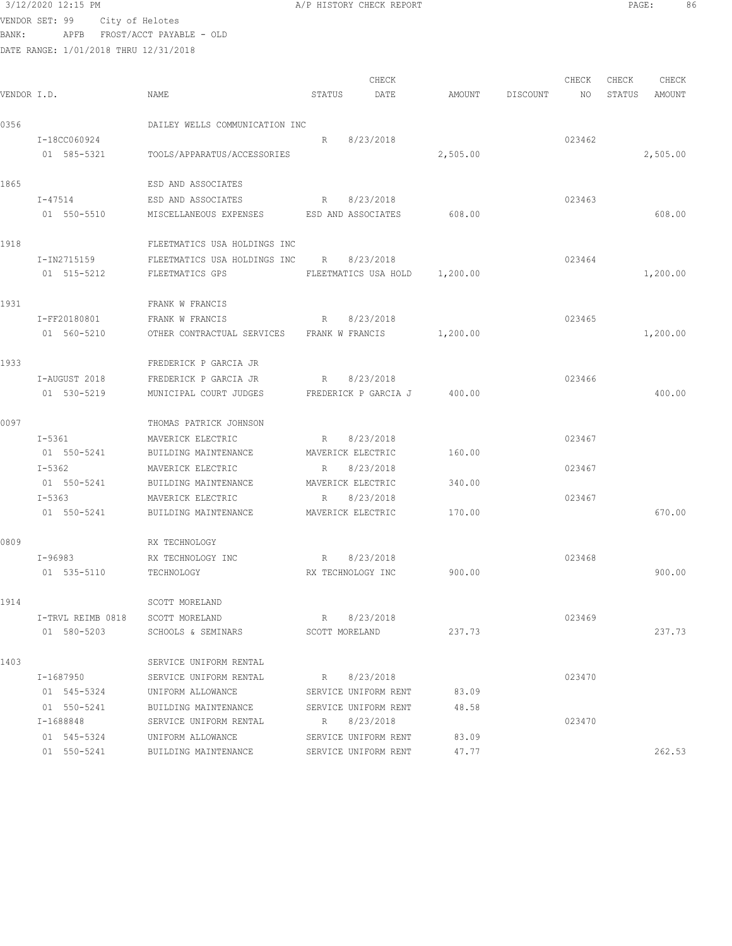VENDOR SET: 99 City of Helotes BANK: APFB FROST/ACCT PAYABLE - OLD

DATE RANGE: 1/01/2018 THRU 12/31/2018

|  | P HISTORY CHECK REPORT |  |  |  |
|--|------------------------|--|--|--|
|--|------------------------|--|--|--|

CHECK CHECK CHECK CHECK CHECK CHECK CHECK CHECK CHECK CHECK CHECK CHECK CHECK CHECK CHECK CHECK CHECK CHECK CHECK CHECK CHECK CHECK CHECK CHECK CHECK CHECK CHECK CHECK CHECK CHECK CHECK CHECK CHECK CHECK CHECK CHECK CHECK VENDOR I.D. NAME STATUS DATE AMOUNT DISCOUNT NO STATUS AMOUNT 0356 DAILEY WELLS COMMUNICATION INC I-18CC060924 R 8/23/2018 023462 01 585-5321 TOOLS/APPARATUS/ACCESSORIES 2,505.00 2,505.00 1865 ESD AND ASSOCIATES I-47514 ESD AND ASSOCIATES R 8/23/2018 R 8/23/2018 01 550-5510 MISCELLANEOUS EXPENSES ESD AND ASSOCIATES 608.00 608.00 1918 FLEETMATICS USA HOLDINGS INC I-IN2715159 FLEETMATICS USA HOLDINGS INC R 8/23/2018 023464 01 515-5212 FLEETMATICS GPS FLEETMATICS USA HOLD 1,200.00 1,200.00 1,200.00 1931 **FRANK W FRANCIS**  I-FF20180801 FRANK W FRANCIS R 8/23/2018 023465 01 560-5210 OTHER CONTRACTUAL SERVICES FRANK W FRANCIS 1,200.00 1,200.00 1,200.00 1933 FREDERICK P GARCIA JR I-AUGUST 2018 FREDERICK P GARCIA JR R 8/23/2018 023466 01 530-5219 MUNICIPAL COURT JUDGES FREDERICK P GARCIA J 400.00 400.00 400.00 0097 THOMAS PATRICK JOHNSON I-5361 MAVERICK ELECTRIC R 8/23/2018 023467 01 550-5241 BUILDING MAINTENANCE MAVERICK ELECTRIC 160.00 I-5362 MAVERICK ELECTRIC R 8/23/2018 023467 01 550-5241 BUILDING MAINTENANCE MAVERICK ELECTRIC 340.00 I-5363 MAVERICK ELECTRIC R 8/23/2018 023467 01 550-5241 BUILDING MAINTENANCE MAVERICK ELECTRIC 170.00 670.00 670.00 0809 RX TECHNOLOGY I-96983 RX TECHNOLOGY INC R 8/23/2018 023468 01 535-5110 TECHNOLOGY RX TECHNOLOGY INC 900.00 900.00 900.00 900.00 1914 SCOTT MORELAND I-TRVL REIMB 0818 SCOTT MORELAND R 8/23/2018 023469 01 580-5203 SCHOOLS & SEMINARS SCOTT MORELAND 237.73 237.73 1403 SERVICE UNIFORM RENTAL I-1687950 SERVICE UNIFORM RENTAL R 8/23/2018 023470 01 545-5324 UNIFORM ALLOWANCE SERVICE UNIFORM RENT 83.09 01 550-5241 BUILDING MAINTENANCE SERVICE UNIFORM RENT 48.58 I-1688848 SERVICE UNIFORM RENTAL R 8/23/2018 023470 01 545-5324 UNIFORM ALLOWANCE SERVICE UNIFORM RENT 83.09 01 550-5241 BUILDING MAINTENANCE SERVICE UNIFORM RENT 47.77 262.53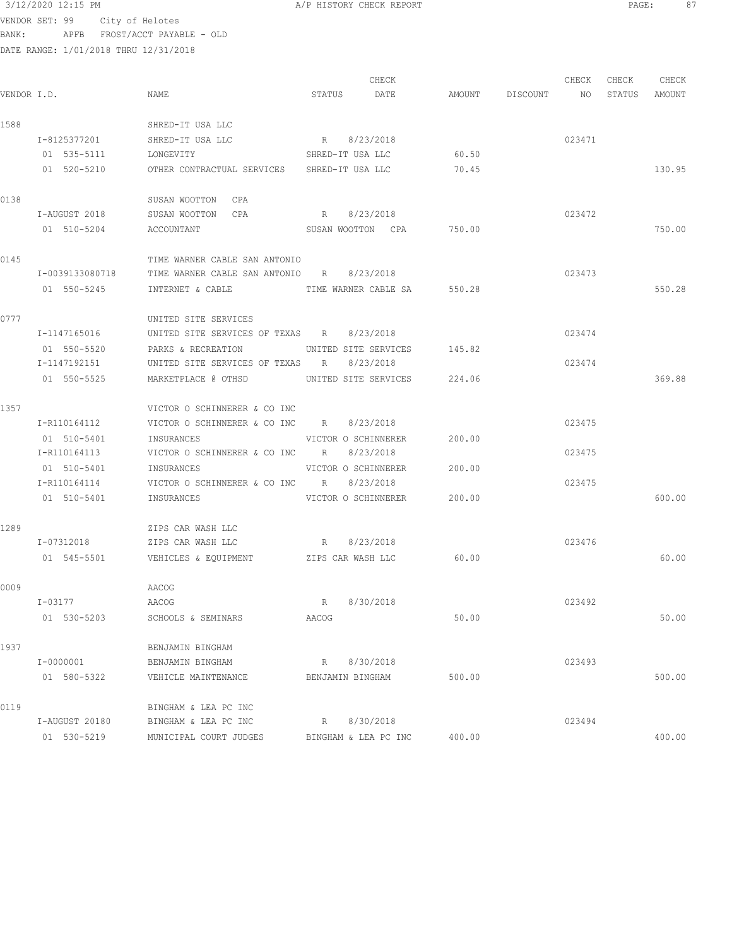VENDOR SET: 99 City of Helotes BANK: APFB FROST/ACCT PAYABLE - OLD

DATE RANGE: 1/01/2018 THRU 12/31/2018

CHECK CHECK CHECK CHECK CHECK CHECK CHECK CHECK CHECK CHECK CHECK CHECK CHECK CHECK CHECK CHECK CHECK CHECK CHECK CHECK CHECK CHECK CHECK CHECK CHECK CHECK CHECK CHECK CHECK CHECK CHECK CHECK CHECK CHECK CHECK CHECK CHECK VENDOR I.D. NAME STATUS DATE AMOUNT DISCOUNT NO STATUS AMOUNT 1588 SHRED-IT USA LLC I-8125377201 SHRED-IT USA LLC R 8/23/2018 023471 01 535-5111 LONGEVITY SHRED-IT USA LLC 60.50 01 520-5210 OTHER CONTRACTUAL SERVICES SHRED-IT USA LLC 70.45 130.95 0138 SUSAN WOOTTON CPA I-AUGUST 2018 SUSAN WOOTTON CPA R 8/23/2018 023472 01 510-5204 ACCOUNTANT SUSAN WOOTTON CPA 750.00 750.00 0145 TIME WARNER CABLE SAN ANTONIO I-0039133080718 TIME WARNER CABLE SAN ANTONIO R 8/23/2018 023473 01 550-5245 INTERNET & CABLE TIME WARNER CABLE SA 550.28 550.28 550.28 0777 UNITED SITE SERVICES I-1147165016 UNITED SITE SERVICES OF TEXAS R 8/23/2018 023474 01 550-5520 PARKS & RECREATION UNITED SITE SERVICES 145.82 I-1147192151 UNITED SITE SERVICES OF TEXAS R 8/23/2018 023474 01 550-5525 MARKETPLACE @ OTHSD UNITED SITE SERVICES 224.06 369.88 1357 VICTOR O SCHINNERER & CO INC I-R110164112 VICTOR O SCHINNERER & CO INC R 8/23/2018 023475 01 510-5401 INSURANCES VICTOR O SCHINNERER 200.00 I-R110164113 VICTOR O SCHINNERER & CO INC R 8/23/2018 023475 01 510-5401 INSURANCES VICTOR O SCHINNERER 200.00 I-R110164114 VICTOR O SCHINNERER & CO INC R 8/23/2018 023475 01 510-5401 INSURANCES VICTOR O SCHINNERER 200.00 600.00 1289 ZIPS CAR WASH LLC I-07312018 ZIPS CAR WASH LLC R 8/23/2018 023476 01 545-5501 VEHICLES & EQUIPMENT ZIPS CAR WASH LLC 60.00 60.00 60.00 60.00 0009 AACOG I-03177 AACOG R 8/30/2018 023492 01 530-5203 SCHOOLS & SEMINARS AACOG 50.00 50.00 1937 BENJAMIN BINGHAM I-0000001 BENJAMIN BINGHAM R 8/30/2018 023493 01 580-5322 VEHICLE MAINTENANCE BENJAMIN BINGHAM 500.00 500.00 0119 BINGHAM & LEA PC INC I-AUGUST 20180 BINGHAM & LEA PC INC R 8/30/2018 023494 01 530-5219 MUNICIPAL COURT JUDGES BINGHAM & LEA PC INC 400.00 400.00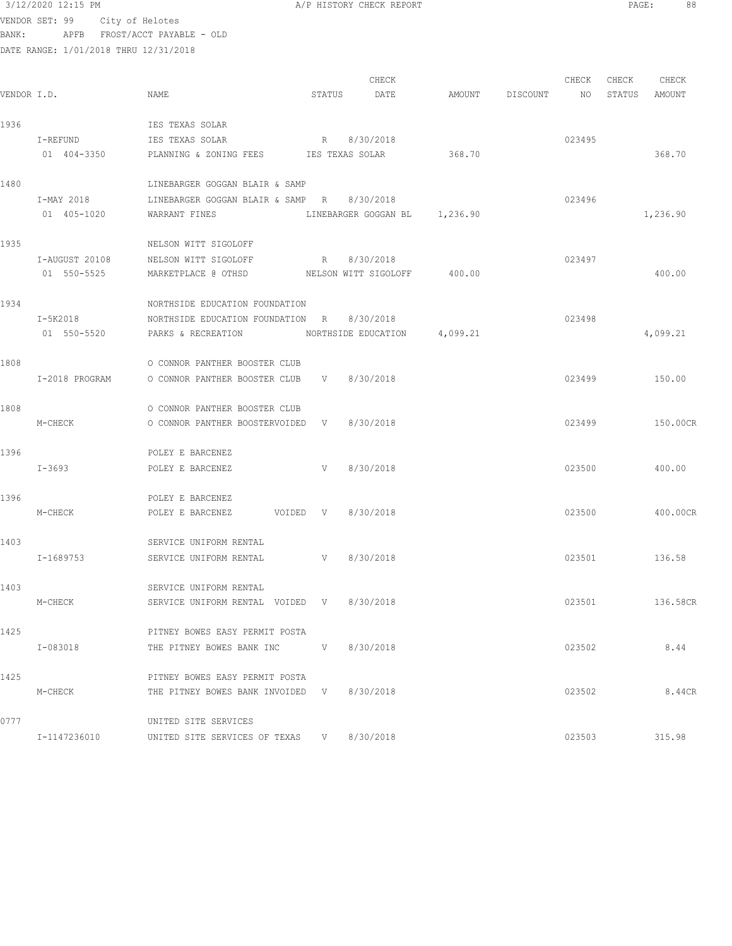| 3/12/2020 12:15 PM |                                                                                                 |                                                                                                                                                                                                                                |                                                                                                                                                                                                                                                      |                                                                                                                                                                                                                                                                                                                                                                                                                                   |                                                                                                                                                        |        |                                                        |                                                          |                                                                                                                                    |
|--------------------|-------------------------------------------------------------------------------------------------|--------------------------------------------------------------------------------------------------------------------------------------------------------------------------------------------------------------------------------|------------------------------------------------------------------------------------------------------------------------------------------------------------------------------------------------------------------------------------------------------|-----------------------------------------------------------------------------------------------------------------------------------------------------------------------------------------------------------------------------------------------------------------------------------------------------------------------------------------------------------------------------------------------------------------------------------|--------------------------------------------------------------------------------------------------------------------------------------------------------|--------|--------------------------------------------------------|----------------------------------------------------------|------------------------------------------------------------------------------------------------------------------------------------|
| VENDOR SET: 99     |                                                                                                 |                                                                                                                                                                                                                                |                                                                                                                                                                                                                                                      |                                                                                                                                                                                                                                                                                                                                                                                                                                   |                                                                                                                                                        |        |                                                        |                                                          |                                                                                                                                    |
|                    |                                                                                                 |                                                                                                                                                                                                                                |                                                                                                                                                                                                                                                      |                                                                                                                                                                                                                                                                                                                                                                                                                                   |                                                                                                                                                        |        |                                                        |                                                          |                                                                                                                                    |
|                    |                                                                                                 |                                                                                                                                                                                                                                |                                                                                                                                                                                                                                                      |                                                                                                                                                                                                                                                                                                                                                                                                                                   |                                                                                                                                                        |        |                                                        |                                                          |                                                                                                                                    |
|                    |                                                                                                 |                                                                                                                                                                                                                                |                                                                                                                                                                                                                                                      |                                                                                                                                                                                                                                                                                                                                                                                                                                   |                                                                                                                                                        |        | CHECK                                                  |                                                          |                                                                                                                                    |
| VENDOR I.D.        | NAME                                                                                            |                                                                                                                                                                                                                                | DATE                                                                                                                                                                                                                                                 |                                                                                                                                                                                                                                                                                                                                                                                                                                   |                                                                                                                                                        | NO     | STATUS                                                 | AMOUNT                                                   |                                                                                                                                    |
|                    |                                                                                                 |                                                                                                                                                                                                                                |                                                                                                                                                                                                                                                      |                                                                                                                                                                                                                                                                                                                                                                                                                                   |                                                                                                                                                        |        |                                                        |                                                          |                                                                                                                                    |
|                    | IES TEXAS SOLAR                                                                                 |                                                                                                                                                                                                                                |                                                                                                                                                                                                                                                      |                                                                                                                                                                                                                                                                                                                                                                                                                                   |                                                                                                                                                        |        |                                                        |                                                          |                                                                                                                                    |
|                    |                                                                                                 |                                                                                                                                                                                                                                |                                                                                                                                                                                                                                                      |                                                                                                                                                                                                                                                                                                                                                                                                                                   |                                                                                                                                                        |        |                                                        |                                                          |                                                                                                                                    |
|                    |                                                                                                 |                                                                                                                                                                                                                                |                                                                                                                                                                                                                                                      |                                                                                                                                                                                                                                                                                                                                                                                                                                   |                                                                                                                                                        |        |                                                        |                                                          |                                                                                                                                    |
|                    |                                                                                                 |                                                                                                                                                                                                                                |                                                                                                                                                                                                                                                      |                                                                                                                                                                                                                                                                                                                                                                                                                                   |                                                                                                                                                        |        |                                                        |                                                          |                                                                                                                                    |
| I-MAY 2018         |                                                                                                 |                                                                                                                                                                                                                                |                                                                                                                                                                                                                                                      |                                                                                                                                                                                                                                                                                                                                                                                                                                   |                                                                                                                                                        | 023496 |                                                        |                                                          |                                                                                                                                    |
| 01 405-1020        | WARRANT FINES                                                                                   |                                                                                                                                                                                                                                |                                                                                                                                                                                                                                                      |                                                                                                                                                                                                                                                                                                                                                                                                                                   |                                                                                                                                                        |        |                                                        |                                                          |                                                                                                                                    |
|                    |                                                                                                 |                                                                                                                                                                                                                                |                                                                                                                                                                                                                                                      |                                                                                                                                                                                                                                                                                                                                                                                                                                   |                                                                                                                                                        |        |                                                        |                                                          |                                                                                                                                    |
|                    |                                                                                                 |                                                                                                                                                                                                                                |                                                                                                                                                                                                                                                      |                                                                                                                                                                                                                                                                                                                                                                                                                                   |                                                                                                                                                        |        |                                                        |                                                          |                                                                                                                                    |
|                    |                                                                                                 |                                                                                                                                                                                                                                |                                                                                                                                                                                                                                                      |                                                                                                                                                                                                                                                                                                                                                                                                                                   |                                                                                                                                                        |        |                                                        |                                                          |                                                                                                                                    |
|                    |                                                                                                 |                                                                                                                                                                                                                                |                                                                                                                                                                                                                                                      |                                                                                                                                                                                                                                                                                                                                                                                                                                   |                                                                                                                                                        |        |                                                        |                                                          |                                                                                                                                    |
|                    |                                                                                                 |                                                                                                                                                                                                                                |                                                                                                                                                                                                                                                      |                                                                                                                                                                                                                                                                                                                                                                                                                                   |                                                                                                                                                        |        |                                                        |                                                          |                                                                                                                                    |
| I-5K2018           |                                                                                                 |                                                                                                                                                                                                                                |                                                                                                                                                                                                                                                      |                                                                                                                                                                                                                                                                                                                                                                                                                                   |                                                                                                                                                        | 023498 |                                                        |                                                          |                                                                                                                                    |
| 01 550-5520        | PARKS & RECREATION                                                                              |                                                                                                                                                                                                                                |                                                                                                                                                                                                                                                      |                                                                                                                                                                                                                                                                                                                                                                                                                                   |                                                                                                                                                        |        |                                                        |                                                          |                                                                                                                                    |
|                    |                                                                                                 |                                                                                                                                                                                                                                |                                                                                                                                                                                                                                                      |                                                                                                                                                                                                                                                                                                                                                                                                                                   |                                                                                                                                                        |        |                                                        |                                                          |                                                                                                                                    |
|                    |                                                                                                 |                                                                                                                                                                                                                                |                                                                                                                                                                                                                                                      |                                                                                                                                                                                                                                                                                                                                                                                                                                   |                                                                                                                                                        |        |                                                        |                                                          |                                                                                                                                    |
|                    |                                                                                                 |                                                                                                                                                                                                                                |                                                                                                                                                                                                                                                      |                                                                                                                                                                                                                                                                                                                                                                                                                                   |                                                                                                                                                        |        |                                                        |                                                          |                                                                                                                                    |
|                    | O CONNOR PANTHER BOOSTER CLUB                                                                   |                                                                                                                                                                                                                                |                                                                                                                                                                                                                                                      |                                                                                                                                                                                                                                                                                                                                                                                                                                   |                                                                                                                                                        |        |                                                        |                                                          |                                                                                                                                    |
| M-CHECK            |                                                                                                 |                                                                                                                                                                                                                                | 8/30/2018                                                                                                                                                                                                                                            |                                                                                                                                                                                                                                                                                                                                                                                                                                   |                                                                                                                                                        | 023499 |                                                        |                                                          |                                                                                                                                    |
|                    |                                                                                                 |                                                                                                                                                                                                                                |                                                                                                                                                                                                                                                      |                                                                                                                                                                                                                                                                                                                                                                                                                                   |                                                                                                                                                        |        |                                                        |                                                          |                                                                                                                                    |
|                    |                                                                                                 |                                                                                                                                                                                                                                |                                                                                                                                                                                                                                                      |                                                                                                                                                                                                                                                                                                                                                                                                                                   |                                                                                                                                                        |        |                                                        |                                                          |                                                                                                                                    |
|                    |                                                                                                 |                                                                                                                                                                                                                                |                                                                                                                                                                                                                                                      |                                                                                                                                                                                                                                                                                                                                                                                                                                   |                                                                                                                                                        |        |                                                        |                                                          |                                                                                                                                    |
|                    | POLEY E BARCENEZ                                                                                |                                                                                                                                                                                                                                |                                                                                                                                                                                                                                                      |                                                                                                                                                                                                                                                                                                                                                                                                                                   |                                                                                                                                                        |        |                                                        |                                                          |                                                                                                                                    |
| M-CHECK            |                                                                                                 |                                                                                                                                                                                                                                |                                                                                                                                                                                                                                                      |                                                                                                                                                                                                                                                                                                                                                                                                                                   |                                                                                                                                                        |        |                                                        |                                                          |                                                                                                                                    |
|                    |                                                                                                 |                                                                                                                                                                                                                                |                                                                                                                                                                                                                                                      |                                                                                                                                                                                                                                                                                                                                                                                                                                   |                                                                                                                                                        |        |                                                        |                                                          |                                                                                                                                    |
|                    | SERVICE UNIFORM RENTAL                                                                          |                                                                                                                                                                                                                                |                                                                                                                                                                                                                                                      |                                                                                                                                                                                                                                                                                                                                                                                                                                   |                                                                                                                                                        |        |                                                        |                                                          |                                                                                                                                    |
| I-1689753          |                                                                                                 |                                                                                                                                                                                                                                |                                                                                                                                                                                                                                                      |                                                                                                                                                                                                                                                                                                                                                                                                                                   |                                                                                                                                                        |        |                                                        | 136.58                                                   |                                                                                                                                    |
|                    |                                                                                                 |                                                                                                                                                                                                                                |                                                                                                                                                                                                                                                      |                                                                                                                                                                                                                                                                                                                                                                                                                                   |                                                                                                                                                        |        |                                                        |                                                          |                                                                                                                                    |
| M-CHECK            |                                                                                                 |                                                                                                                                                                                                                                |                                                                                                                                                                                                                                                      |                                                                                                                                                                                                                                                                                                                                                                                                                                   |                                                                                                                                                        |        |                                                        |                                                          |                                                                                                                                    |
|                    |                                                                                                 |                                                                                                                                                                                                                                |                                                                                                                                                                                                                                                      |                                                                                                                                                                                                                                                                                                                                                                                                                                   |                                                                                                                                                        |        |                                                        |                                                          |                                                                                                                                    |
|                    |                                                                                                 |                                                                                                                                                                                                                                |                                                                                                                                                                                                                                                      |                                                                                                                                                                                                                                                                                                                                                                                                                                   |                                                                                                                                                        |        |                                                        |                                                          |                                                                                                                                    |
| I-083018           |                                                                                                 |                                                                                                                                                                                                                                |                                                                                                                                                                                                                                                      |                                                                                                                                                                                                                                                                                                                                                                                                                                   |                                                                                                                                                        |        |                                                        | 8.44                                                     |                                                                                                                                    |
|                    |                                                                                                 |                                                                                                                                                                                                                                |                                                                                                                                                                                                                                                      |                                                                                                                                                                                                                                                                                                                                                                                                                                   |                                                                                                                                                        |        |                                                        |                                                          |                                                                                                                                    |
|                    |                                                                                                 |                                                                                                                                                                                                                                |                                                                                                                                                                                                                                                      |                                                                                                                                                                                                                                                                                                                                                                                                                                   |                                                                                                                                                        |        |                                                        |                                                          |                                                                                                                                    |
|                    |                                                                                                 |                                                                                                                                                                                                                                |                                                                                                                                                                                                                                                      |                                                                                                                                                                                                                                                                                                                                                                                                                                   |                                                                                                                                                        |        |                                                        |                                                          |                                                                                                                                    |
|                    | I-REFUND<br>01 404-3350<br>I-AUGUST 20108<br>01 550-5525<br>I-2018 PROGRAM<br>I-3693<br>M-CHECK | City of Helotes<br>APFB FROST/ACCT PAYABLE - OLD<br>DATE RANGE: 1/01/2018 THRU 12/31/2018<br>IES TEXAS SOLAR<br>NELSON WITT SIGOLOFF<br>NELSON WITT SIGOLOFF<br>POLEY E BARCENEZ<br>POLEY E BARCENEZ<br>SERVICE UNIFORM RENTAL | LINEBARGER GOGGAN BLAIR & SAMP<br>LINEBARGER GOGGAN BLAIR & SAMP R<br>R<br>NORTHSIDE EDUCATION FOUNDATION<br>O CONNOR PANTHER BOOSTER CLUB<br>O CONNOR PANTHER BOOSTER CLUB<br>V<br>PITNEY BOWES EASY PERMIT POSTA<br>PITNEY BOWES EASY PERMIT POSTA | CHECK<br>STATUS<br>R 8/30/2018<br>PLANNING & ZONING FEES TES TEXAS SOLAR<br>8/30/2018<br>8/30/2018<br>NORTHSIDE EDUCATION FOUNDATION R 8/30/2018<br>V 8/30/2018<br>O CONNOR PANTHER BOOSTERVOIDED V<br>8/30/2018<br>POLEY E BARCENEZ VOIDED V 8/30/2018<br>SERVICE UNIFORM RENTAL V 8/30/2018<br>SERVICE UNIFORM RENTAL VOIDED V 8/30/2018<br>THE PITNEY BOWES BANK INC V 8/30/2018<br>THE PITNEY BOWES BANK INVOIDED V 8/30/2018 | A/P HISTORY CHECK REPORT<br>368.70<br>LINEBARGER GOGGAN BL 1,236.90<br>MARKETPLACE @ OTHSD MELSON WITT SIGOLOFF 400.00<br>NORTHSIDE EDUCATION 4,099.21 |        | CHECK<br>AMOUNT DISCOUNT<br>023495<br>023497<br>023500 | 023499<br>023500<br>023501<br>023501<br>023502<br>023502 | PAGE:<br>88<br>CHECK<br>368.70<br>1,236.90<br>400.00<br>4,099.21<br>150.00<br>150.00CR<br>400.00<br>400.00CR<br>136.58CR<br>8.44CR |

I-1147236010 UNITED SITE SERVICES OF TEXAS V 8/30/2018 023503 315.98

0777 UNITED SITE SERVICES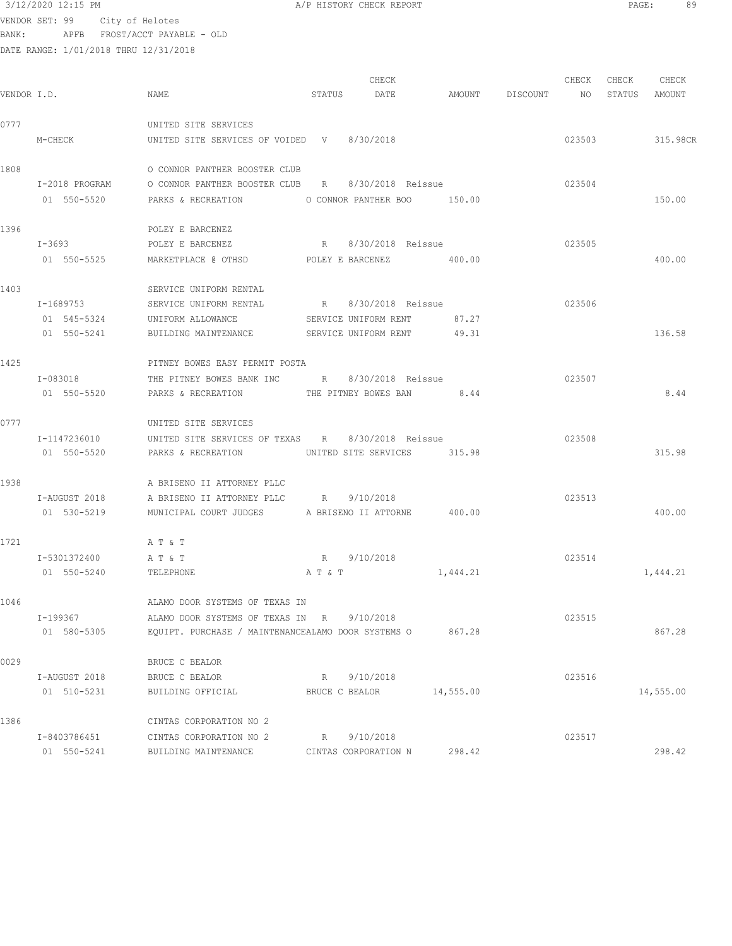# $3/12/2020$  12:15 PM  $A/P$  HISTORY CHECK REPORT  $\blacksquare$  PAGE: 89

VENDOR SET: 99 City of Helotes BANK: APFB FROST/ACCT PAYABLE - OLD

|             |                |                                                    |                | CHECK                       |                    | CHECK  | CHECK  | CHECK         |
|-------------|----------------|----------------------------------------------------|----------------|-----------------------------|--------------------|--------|--------|---------------|
| VENDOR I.D. |                | NAME                                               | STATUS         | DATE                        | AMOUNT DISCOUNT NO |        |        | STATUS AMOUNT |
| 0777        |                | UNITED SITE SERVICES                               |                |                             |                    |        |        |               |
|             | M-CHECK        | UNITED SITE SERVICES OF VOIDED V 8/30/2018         |                |                             |                    |        | 023503 | 315.98CR      |
| 1808        |                | O CONNOR PANTHER BOOSTER CLUB                      |                |                             |                    |        |        |               |
|             | I-2018 PROGRAM | O CONNOR PANTHER BOOSTER CLUB R                    |                | 8/30/2018 Reissue           |                    | 023504 |        |               |
|             | 01 550-5520    | PARKS & RECREATION 0 CONNOR PANTHER BOO 150.00     |                |                             |                    |        |        | 150.00        |
| 1396        |                | POLEY E BARCENEZ                                   |                |                             |                    |        |        |               |
|             | $I - 3693$     | POLEY E BARCENEZ                                   |                |                             |                    | 023505 |        |               |
|             | 01 550-5525    |                                                    |                |                             |                    |        |        | 400.00        |
| 1403        |                | SERVICE UNIFORM RENTAL                             |                |                             |                    |        |        |               |
|             | I-1689753      | SERVICE UNIFORM RENTAL R 8/30/2018 Reissue         |                |                             |                    | 023506 |        |               |
|             | 01 545-5324    | UNIFORM ALLOWANCE SERVICE UNIFORM RENT 87.27       |                |                             |                    |        |        |               |
|             | 01 550-5241    | BUILDING MAINTENANCE SERVICE UNIFORM RENT 49.31    |                |                             |                    |        |        | 136.58        |
| 1425        |                | PITNEY BOWES EASY PERMIT POSTA                     |                |                             |                    |        |        |               |
|             | I-083018       | THE PITNEY BOWES BANK INC R 8/30/2018 Reissue      |                |                             |                    | 023507 |        |               |
|             | 01 550-5520    | PARKS & RECREATION THE PITNEY BOWES BAN 8.44       |                |                             |                    |        |        | 8.44          |
| 0777        |                | UNITED SITE SERVICES                               |                |                             |                    |        |        |               |
|             | I-1147236010   | UNITED SITE SERVICES OF TEXAS R 8/30/2018 Reissue  |                |                             |                    | 023508 |        |               |
|             | 01 550-5520    | PARKS & RECREATION                                 |                | UNITED SITE SERVICES 315.98 |                    |        |        | 315.98        |
| 1938        |                | A BRISENO II ATTORNEY PLLC                         |                |                             |                    |        |        |               |
|             | I-AUGUST 2018  | A BRISENO II ATTORNEY PLLC R 9/10/2018             |                |                             |                    | 023513 |        |               |
|             | 01 530-5219    | MUNICIPAL COURT JUDGES A BRISENO II ATTORNE 400.00 |                |                             |                    |        |        | 400.00        |
| 1721        |                | A T & T                                            |                |                             |                    |        |        |               |
|             | I-5301372400   | AT & T                                             |                | R 9/10/2018                 |                    | 023514 |        |               |
|             | 01 550-5240    | TELEPHONE                                          |                | A T & T                     | 1,444.21           |        |        | 1,444.21      |
| 1046        |                | ALAMO DOOR SYSTEMS OF TEXAS IN                     |                |                             |                    |        |        |               |
|             | I-199367       | ALAMO DOOR SYSTEMS OF TEXAS IN R                   |                | 9/10/2018                   |                    | 023515 |        |               |
|             | 01 580-5305    | EQUIPT. PURCHASE / MAINTENANCEALAMO DOOR SYSTEMS O |                |                             | 867.28             |        |        | 867.28        |
| 0029        |                | BRUCE C BEALOR                                     |                |                             |                    |        |        |               |
|             | I-AUGUST 2018  | BRUCE C BEALOR                                     | R              | 9/10/2018                   |                    | 023516 |        |               |
|             | 01 510-5231    | BUILDING OFFICIAL                                  | BRUCE C BEALOR |                             | 14,555.00          |        |        | 14,555.00     |
| 1386        |                | CINTAS CORPORATION NO 2                            |                |                             |                    |        |        |               |
|             | I-8403786451   | CINTAS CORPORATION NO 2                            | R              | 9/10/2018                   |                    | 023517 |        |               |
|             | 01 550-5241    | BUILDING MAINTENANCE                               |                | CINTAS CORPORATION N        | 298.42             |        |        | 298.42        |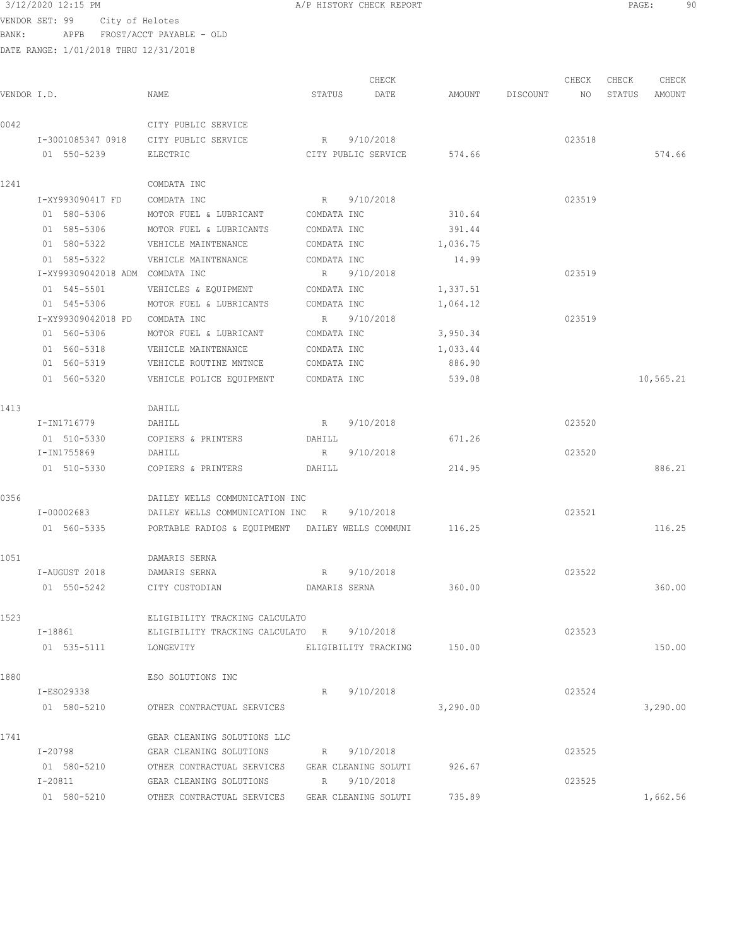| 3/12/2020 12:15 PM |                                       | A/P HISTORY CHECK REPORT | PAGE: | 90. |
|--------------------|---------------------------------------|--------------------------|-------|-----|
|                    | VENDOR SET: 99 City of Helotes        |                          |       |     |
| BANK:              | APFB FROST/ACCT PAYABLE - OLD         |                          |       |     |
|                    | DATE RANGE: 1/01/2018 THRU 12/31/2018 |                          |       |     |

|             |                                 |                                                  |               | CHECK                       |          |          | CHECK  | CHECK  | CHECK     |
|-------------|---------------------------------|--------------------------------------------------|---------------|-----------------------------|----------|----------|--------|--------|-----------|
| VENDOR I.D. |                                 | NAME                                             | STATUS        | DATE                        | AMOUNT   | DISCOUNT | NO     | STATUS | AMOUNT    |
| 0042        |                                 | CITY PUBLIC SERVICE                              |               |                             |          |          |        |        |           |
|             | I-3001085347 0918               | CITY PUBLIC SERVICE                              | R             | 9/10/2018                   |          |          | 023518 |        |           |
|             | 01 550-5239                     | ELECTRIC                                         |               | CITY PUBLIC SERVICE         | 574.66   |          |        |        | 574.66    |
| 1241        |                                 | COMDATA INC                                      |               |                             |          |          |        |        |           |
|             | I-XY993090417 FD                | COMDATA INC                                      | R             | 9/10/2018                   |          |          | 023519 |        |           |
|             | 01 580-5306                     | MOTOR FUEL & LUBRICANT                           | COMDATA INC   |                             | 310.64   |          |        |        |           |
|             | 01 585-5306                     | MOTOR FUEL & LUBRICANTS                          | COMDATA INC   |                             | 391.44   |          |        |        |           |
|             | 01 580-5322                     | VEHICLE MAINTENANCE                              | COMDATA INC   |                             | 1,036.75 |          |        |        |           |
|             | 01 585-5322                     | VEHICLE MAINTENANCE                              | COMDATA INC   |                             | 14.99    |          |        |        |           |
|             | I-XY99309042018 ADM COMDATA INC |                                                  | R             | 9/10/2018                   |          |          | 023519 |        |           |
|             | 01 545-5501                     | VEHICLES & EQUIPMENT                             | COMDATA INC   |                             | 1,337.51 |          |        |        |           |
|             | 01 545-5306                     | MOTOR FUEL & LUBRICANTS                          | COMDATA INC   |                             | 1,064.12 |          |        |        |           |
|             | I-XY99309042018 PD              | COMDATA INC                                      | R             | 9/10/2018                   |          |          | 023519 |        |           |
|             | 01 560-5306                     | MOTOR FUEL & LUBRICANT                           | COMDATA INC   |                             | 3,950.34 |          |        |        |           |
|             | 01 560-5318                     | VEHICLE MAINTENANCE                              | COMDATA INC   |                             | 1,033.44 |          |        |        |           |
|             | 01 560-5319                     | VEHICLE ROUTINE MNTNCE                           | COMDATA INC   |                             | 886.90   |          |        |        |           |
|             | 01 560-5320                     | VEHICLE POLICE EQUIPMENT                         | COMDATA INC   |                             | 539.08   |          |        |        | 10,565.21 |
|             |                                 |                                                  |               |                             |          |          |        |        |           |
| 1413        |                                 | DAHILL                                           |               | 9/10/2018                   |          |          | 023520 |        |           |
|             | I-IN1716779                     | DAHILL                                           | R             |                             |          |          |        |        |           |
|             | 01 510-5330                     | COPIERS & PRINTERS                               | DAHILL        |                             | 671.26   |          |        |        |           |
|             | I-IN1755869<br>01 510-5330      | DAHILL                                           | R             | 9/10/2018                   | 214.95   |          | 023520 |        | 886.21    |
|             |                                 | COPIERS & PRINTERS                               | DAHILL        |                             |          |          |        |        |           |
| 0356        |                                 | DAILEY WELLS COMMUNICATION INC                   |               |                             |          |          |        |        |           |
|             | I-00002683                      | DAILEY WELLS COMMUNICATION INC                   | R             | 9/10/2018                   |          |          | 023521 |        |           |
|             | 01 560-5335                     | PORTABLE RADIOS & EQUIPMENT DAILEY WELLS COMMUNI |               |                             | 116.25   |          |        |        | 116.25    |
| 1051        |                                 | DAMARIS SERNA                                    |               |                             |          |          |        |        |           |
|             | I-AUGUST 2018                   | DAMARIS SERNA                                    | R             | 9/10/2018                   |          |          | 023522 |        |           |
|             | 01 550-5242                     | CITY CUSTODIAN                                   | DAMARIS SERNA |                             | 360.00   |          |        |        | 360.00    |
| 1523        |                                 | ELIGIBILITY TRACKING CALCULATO                   |               |                             |          |          |        |        |           |
|             | I-18861                         | ELIGIBILITY TRACKING CALCULATO R 9/10/2018       |               |                             |          |          | 023523 |        |           |
|             | 01 535-5111                     | LONGEVITY                                        |               | ELIGIBILITY TRACKING 150.00 |          |          |        |        | 150.00    |
| 1880        |                                 | ESO SOLUTIONS INC                                |               |                             |          |          |        |        |           |
|             | I-ES029338                      |                                                  |               | R 9/10/2018                 |          |          | 023524 |        |           |
|             | 01 580-5210                     | OTHER CONTRACTUAL SERVICES                       |               |                             | 3,290.00 |          |        |        | 3,290.00  |
|             |                                 |                                                  |               |                             |          |          |        |        |           |
| 1741        |                                 | GEAR CLEANING SOLUTIONS LLC                      |               |                             |          |          |        |        |           |
|             | I-20798                         | GEAR CLEANING SOLUTIONS                          | R             | 9/10/2018                   |          |          | 023525 |        |           |
|             | 01 580-5210                     | OTHER CONTRACTUAL SERVICES                       |               | GEAR CLEANING SOLUTI        | 926.67   |          |        |        |           |
|             | I-20811                         | GEAR CLEANING SOLUTIONS                          |               | R 9/10/2018                 |          |          | 023525 |        |           |
|             | 01 580-5210                     | OTHER CONTRACTUAL SERVICES                       |               | GEAR CLEANING SOLUTI        | 735.89   |          |        |        | 1,662.56  |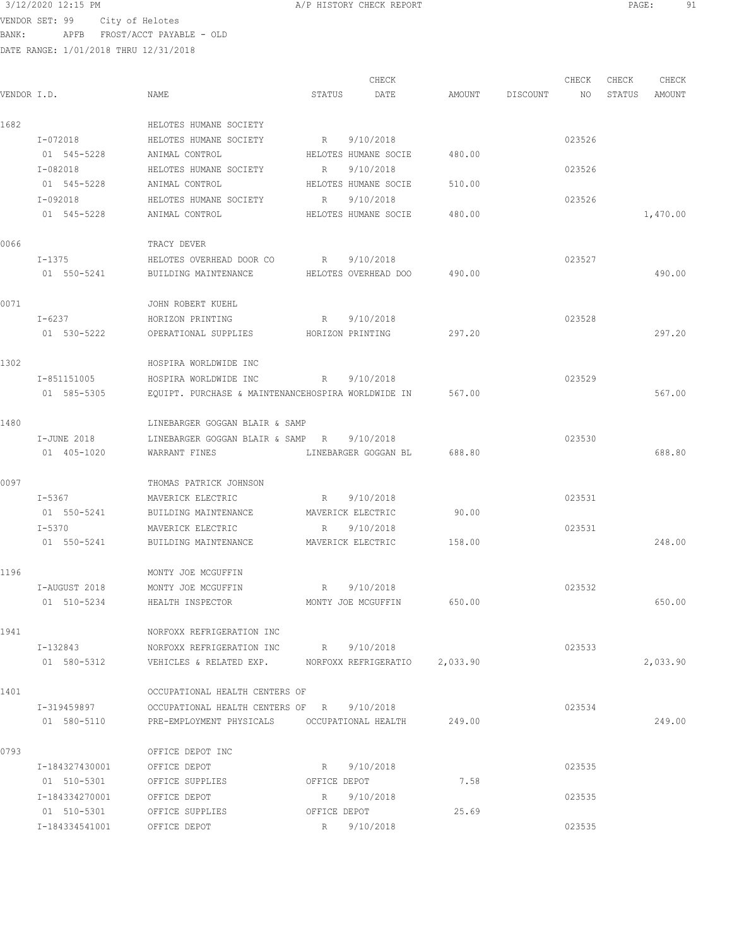| 3/12/2020 12:15 PM             |  | A/P HISTORY CHECK REPORT | PAGE |  |
|--------------------------------|--|--------------------------|------|--|
| VENDOR SET, 99 City of Holotes |  |                          |      |  |

| VENDOR I.D. |                               | NAME                                                  | STATUS       | CHECK<br>DATE        | AMOUNT | DISCOUNT | CHECK<br>NO. | CHECK<br>STATUS | CHECK<br>AMOUNT |
|-------------|-------------------------------|-------------------------------------------------------|--------------|----------------------|--------|----------|--------------|-----------------|-----------------|
| 1682        |                               | HELOTES HUMANE SOCIETY                                |              |                      |        |          |              |                 |                 |
|             | I-072018                      | HELOTES HUMANE SOCIETY                                | R            | 9/10/2018            |        |          | 023526       |                 |                 |
|             | 01 545-5228                   | ANIMAL CONTROL                                        |              | HELOTES HUMANE SOCIE | 480.00 |          |              |                 |                 |
|             | I-082018                      | HELOTES HUMANE SOCIETY                                | R            | 9/10/2018            |        |          | 023526       |                 |                 |
|             | 01 545-5228                   | ANIMAL CONTROL                                        |              | HELOTES HUMANE SOCIE | 510.00 |          |              |                 |                 |
|             | I-092018                      | HELOTES HUMANE SOCIETY                                | R            | 9/10/2018            |        |          | 023526       |                 |                 |
|             | 01 545-5228                   | ANIMAL CONTROL                                        |              | HELOTES HUMANE SOCIE | 480.00 |          |              |                 | 1,470.00        |
| 0066        |                               | TRACY DEVER                                           |              |                      |        |          |              |                 |                 |
|             | $I-1375$                      | HELOTES OVERHEAD DOOR CO                              | R            | 9/10/2018            |        |          | 023527       |                 |                 |
|             | 01 550-5241                   | BUILDING MAINTENANCE                                  |              | HELOTES OVERHEAD DOO | 490.00 |          |              |                 | 490.00          |
| 0071        |                               | JOHN ROBERT KUEHL                                     |              |                      |        |          |              |                 |                 |
|             | I-6237                        | HORIZON PRINTING                                      | R            | 9/10/2018            |        |          | 023528       |                 |                 |
|             | 01 530-5222                   | OPERATIONAL SUPPLIES                                  |              | HORIZON PRINTING     | 297.20 |          |              |                 | 297.20          |
| 1302        |                               | HOSPIRA WORLDWIDE INC                                 |              |                      |        |          |              |                 |                 |
|             | I-851151005                   | HOSPIRA WORLDWIDE INC                                 | R            | 9/10/2018            |        |          | 023529       |                 |                 |
|             | 01 585-5305                   | EQUIPT. PURCHASE & MAINTENANCEHOSPIRA WORLDWIDE IN    |              |                      | 567.00 |          |              |                 | 567.00          |
| 1480        |                               | LINEBARGER GOGGAN BLAIR & SAMP                        |              |                      |        |          |              |                 |                 |
|             | I-JUNE 2018                   | LINEBARGER GOGGAN BLAIR & SAMP R                      |              | 9/10/2018            |        |          | 023530       |                 |                 |
|             | 01 405-1020                   | WARRANT FINES                                         |              | LINEBARGER GOGGAN BL | 688.80 |          |              |                 | 688.80          |
| 0097        |                               | THOMAS PATRICK JOHNSON                                |              |                      |        |          |              |                 |                 |
|             | I-5367                        | MAVERICK ELECTRIC                                     | R            | 9/10/2018            |        |          | 023531       |                 |                 |
|             | 01 550-5241                   | BUILDING MAINTENANCE                                  |              | MAVERICK ELECTRIC    | 90.00  |          |              |                 |                 |
|             | $I - 5370$                    | MAVERICK ELECTRIC                                     | R            | 9/10/2018            |        |          | 023531       |                 |                 |
|             | 01 550-5241                   | BUILDING MAINTENANCE                                  |              | MAVERICK ELECTRIC    | 158.00 |          |              |                 | 248.00          |
| 1196        |                               | MONTY JOE MCGUFFIN                                    |              |                      |        |          |              |                 |                 |
|             | I-AUGUST 2018                 | MONTY JOE MCGUFFIN                                    | R            | 9/10/2018            |        |          | 023532       |                 |                 |
|             | 01 510-5234                   | HEALTH INSPECTOR                                      |              | MONTY JOE MCGUFFIN   | 650.00 |          |              |                 | 650.00          |
| 1941        |                               | NORFOXX REFRIGERATION INC                             |              |                      |        |          |              |                 |                 |
|             | I-132843                      | NORFOXX REFRIGERATION INC                             |              | R 9/10/2018          |        |          | 023533       |                 |                 |
|             | 01 580-5312                   | VEHICLES & RELATED EXP. MORFOXX REFRIGERATIO 2,033.90 |              |                      |        |          |              |                 | 2,033.90        |
| 1401        |                               | OCCUPATIONAL HEALTH CENTERS OF                        |              |                      |        |          |              |                 |                 |
|             | I-319459897                   | OCCUPATIONAL HEALTH CENTERS OF R 9/10/2018            |              |                      |        |          | 023534       |                 |                 |
|             | 01 580-5110                   | PRE-EMPLOYMENT PHYSICALS OCCUPATIONAL HEALTH 249.00   |              |                      |        |          |              |                 | 249.00          |
| 0793        |                               | OFFICE DEPOT INC                                      |              |                      |        |          |              |                 |                 |
|             | I-184327430001                | OFFICE DEPOT                                          | $R$ and $R$  | 9/10/2018            |        |          | 023535       |                 |                 |
|             | 01 510-5301                   | OFFICE SUPPLIES                                       | OFFICE DEPOT |                      | 7.58   |          |              |                 |                 |
|             | I-184334270001                | OFFICE DEPOT                                          | R            | 9/10/2018            |        |          | 023535       |                 |                 |
|             | 01 510-5301<br>I-184334541001 | OFFICE SUPPLIES<br>OFFICE DEPOT                       | OFFICE DEPOT | R 9/10/2018          | 25.69  |          | 023535       |                 |                 |
|             |                               |                                                       |              |                      |        |          |              |                 |                 |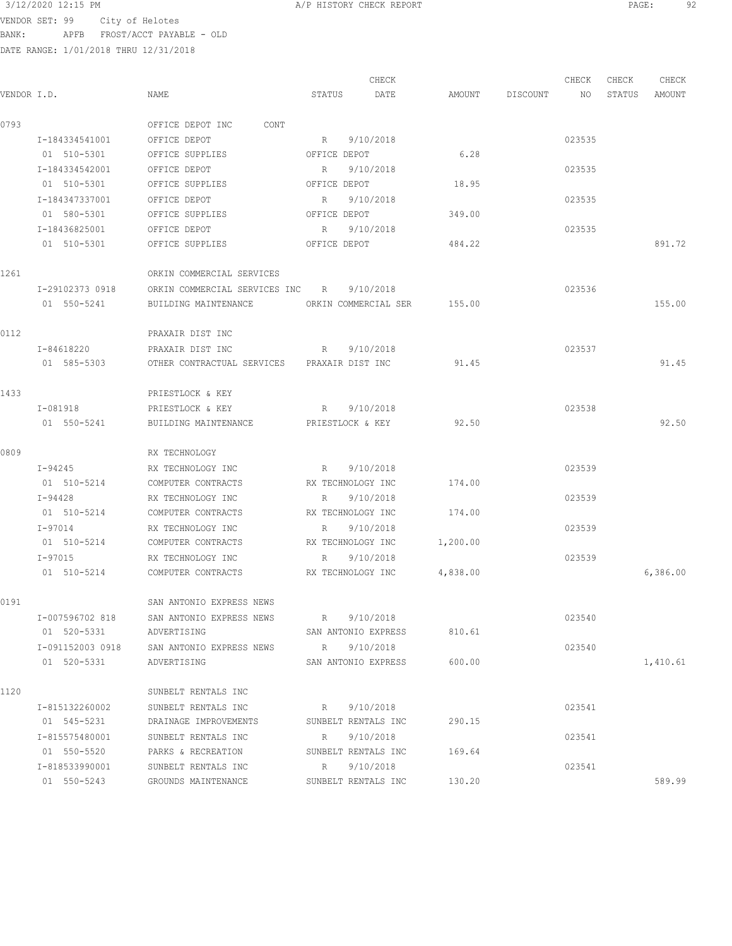VENDOR SET: 99 City of Helotes

BANK: APFB FROST/ACCT PAYABLE - OLD

DATE RANGE: 1/01/2018 THRU 12/31/2018

CHECK CHECK CHECK CHECK CHECK CHECK CHECK CHECK CHECK CHECK CHECK CHECK CHECK CHECK CHECK CHECK CHECK CHECK CHECK CHECK CHECK CHECK CHECK CHECK CHECK CHECK CHECK CHECK CHECK CHECK CHECK CHECK CHECK CHECK CHECK CHECK CHECK VENDOR I.D. NAME STATUS DATE AMOUNT DISCOUNT NO STATUS AMOUNT 0793 OFFICE DEPOT INC CONT I-184334541001 OFFICE DEPOT R 9/10/2018 023535 01 510-5301 OFFICE SUPPLIES OFFICE DEPOT 6.28 I-184334542001 OFFICE DEPOT R 9/10/2018 023535 01 510-5301 OFFICE SUPPLIES OFFICE DEPOT 18.95 I-184347337001 OFFICE DEPOT R 9/10/2018 023535 01 580-5301 OFFICE SUPPLIES OFFICE DEPOT 349.00 I-18436825001 OFFICE DEPOT R 9/10/2018 023535 01 510-5301 OFFICE SUPPLIES OFFICE DEPOT 484.22 891.72 1261 ORKIN COMMERCIAL SERVICES I-29102373 0918 ORKIN COMMERCIAL SERVICES INC R 9/10/2018 023536 01 550-5241 BUILDING MAINTENANCE ORKIN COMMERCIAL SER 155.00 155.00 0112 PRAXAIR DIST INC I-84618220 PRAXAIR DIST INC R 9/10/2018 023537 01 585-5303 OTHER CONTRACTUAL SERVICES PRAXAIR DIST INC 91.45 91.45 1433 PRIESTLOCK & KEY I-081918 PRIESTLOCK & KEY R 9/10/2018 R 9010/2018 01 550-5241 BUILDING MAINTENANCE PRIESTLOCK & KEY 92.50 92.50 92.50 0809 RX TECHNOLOGY I-94245 RX TECHNOLOGY INC R 9/10/2018 R 9/10/2018 01 510-5214 COMPUTER CONTRACTS RX TECHNOLOGY INC 174.00 I-94428 RX TECHNOLOGY INC R 9/10/2018 023539 01 510-5214 COMPUTER CONTRACTS RX TECHNOLOGY INC 174.00 I-97014 RX TECHNOLOGY INC R 9/10/2018 023539 01 510-5214 COMPUTER CONTRACTS RX TECHNOLOGY INC 1,200.00 I-97015 RX TECHNOLOGY INC R 9/10/2018 023539 01 510-5214 COMPUTER CONTRACTS RX TECHNOLOGY INC  $4,838.00$  6,386.00 6,386.00 0191 SAN ANTONIO EXPRESS NEWS I-007596702 818 SAN ANTONIO EXPRESS NEWS R 9/10/2018 023540 01 520-5331 ADVERTISING SAN ANTONIO EXPRESS 810.61 I-091152003 0918 SAN ANTONIO EXPRESS NEWS R 9/10/2018 023540 01 520-5331 ADVERTISING SAN ANTONIO EXPRESS 600.00 1120 SUNBELT RENTALS INC I-815132260002 SUNBELT RENTALS INC R 9/10/2018 023541 01 545-5231 DRAINAGE IMPROVEMENTS SUNBELT RENTALS INC 290.15 I-815575480001 SUNBELT RENTALS INC R 9/10/2018 023541 01 550-5520 PARKS & RECREATION SUNBELT RENTALS INC 169.64 I-818533990001 SUNBELT RENTALS INC R 9/10/2018 023541 01 550-5243 GROUNDS MAINTENANCE SUNBELT RENTALS INC 130.20 589.99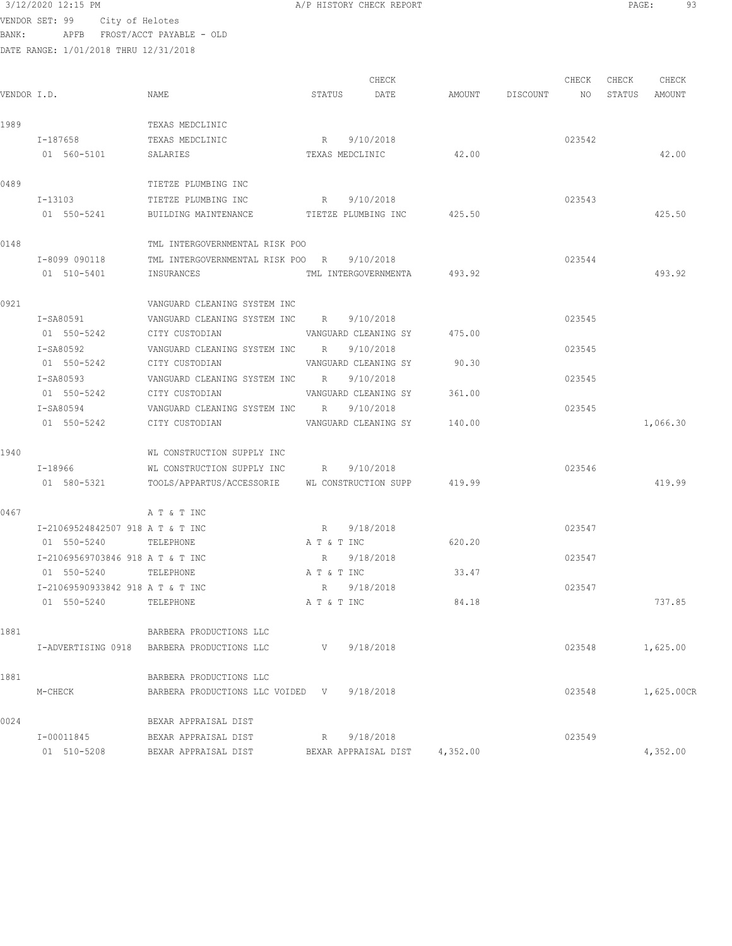| 3/12/2020 12:15 PM |  |
|--------------------|--|
|                    |  |

|             |                                  |                                                       |        | CHECK                       |          |             | CHECK  | CHECK | CHECK         |
|-------------|----------------------------------|-------------------------------------------------------|--------|-----------------------------|----------|-------------|--------|-------|---------------|
| VENDOR I.D. |                                  | NAME                                                  | STATUS | DATE                        | AMOUNT   | DISCOUNT NO |        |       | STATUS AMOUNT |
| 1989        |                                  | TEXAS MEDCLINIC                                       |        |                             |          |             |        |       |               |
|             | I-187658                         | TEXAS MEDCLINIC                                       |        | R 9/10/2018                 |          |             | 023542 |       |               |
|             | 01 560-5101                      | SALARIES                                              |        | TEXAS MEDCLINIC             | 42.00    |             |        |       | 42.00         |
| 0489        |                                  | TIETZE PLUMBING INC                                   |        |                             |          |             |        |       |               |
|             | I-13103                          | TIETZE PLUMBING INC                                   |        | R 9/10/2018                 |          |             | 023543 |       |               |
|             | 01 550-5241                      | BUILDING MAINTENANCE TIETZE PLUMBING INC 425.50       |        |                             |          |             |        |       | 425.50        |
| 0148        |                                  | TML INTERGOVERNMENTAL RISK POO                        |        |                             |          |             |        |       |               |
|             | I-8099 090118                    | TML INTERGOVERNMENTAL RISK POO R 9/10/2018            |        |                             |          |             | 023544 |       |               |
|             | 01 510-5401                      | INSURANCES                                            |        | TML INTERGOVERNMENTA 493.92 |          |             |        |       | 493.92        |
| 0921        |                                  | VANGUARD CLEANING SYSTEM INC                          |        |                             |          |             |        |       |               |
|             | I-SA80591                        | VANGUARD CLEANING SYSTEM INC R 9/10/2018              |        |                             |          |             | 023545 |       |               |
|             | 01 550-5242                      | CITY CUSTODIAN                                        |        | VANGUARD CLEANING SY        | 475.00   |             |        |       |               |
|             | T-SA80592                        | VANGUARD CLEANING SYSTEM INC R 9/10/2018              |        |                             |          |             | 023545 |       |               |
|             | 01 550-5242                      | CITY CUSTODIAN                                        |        | VANGUARD CLEANING SY        | 90.30    |             |        |       |               |
|             | I-SA80593                        | VANGUARD CLEANING SYSTEM INC R 9/10/2018              |        |                             |          |             | 023545 |       |               |
|             | 01 550-5242 CITY CUSTODIAN       |                                                       |        | VANGUARD CLEANING SY        | 361.00   |             |        |       |               |
|             | I-SA80594                        | VANGUARD CLEANING SYSTEM INC R 9/10/2018              |        |                             |          |             | 023545 |       |               |
|             | 01 550-5242                      | CITY CUSTODIAN                                        |        | VANGUARD CLEANING SY        | 140.00   |             |        |       | 1,066.30      |
| 1940        |                                  | WL CONSTRUCTION SUPPLY INC                            |        |                             |          |             |        |       |               |
|             | I-18966                          | WL CONSTRUCTION SUPPLY INC B 9/10/2018                |        |                             |          |             | 023546 |       |               |
|             | 01 580-5321                      | TOOLS/APPARTUS/ACCESSORIE WL CONSTRUCTION SUPP 419.99 |        |                             |          |             |        |       | 419.99        |
| 0467        |                                  | A T & T INC                                           |        |                             |          |             |        |       |               |
|             | I-21069524842507 918 A T & T INC |                                                       |        | R 9/18/2018                 |          |             | 023547 |       |               |
|             | 01 550-5240 TELEPHONE            |                                                       |        | A T & T INC                 | 620.20   |             |        |       |               |
|             | I-21069569703846 918 A T & T INC |                                                       |        | R 9/18/2018                 |          |             | 023547 |       |               |
|             | 01 550-5240 TELEPHONE            |                                                       |        | A T & T INC                 | 33.47    |             |        |       |               |
|             | I-21069590933842 918 A T & T INC |                                                       |        | R 9/18/2018                 |          |             | 023547 |       |               |
|             | 01 550-5240 TELEPHONE            |                                                       |        | A T & T INC                 | 84.18    |             |        |       | 737.85        |
| 1881        |                                  | BARBERA PRODUCTIONS LLC                               |        |                             |          |             |        |       |               |
|             |                                  | I-ADVERTISING 0918 BARBERA PRODUCTIONS LLC            | V –    | 9/18/2018                   |          |             | 023548 |       | 1,625.00      |
| 1881        |                                  | BARBERA PRODUCTIONS LLC                               |        |                             |          |             |        |       |               |
|             | M-CHECK                          | BARBERA PRODUCTIONS LLC VOIDED V                      |        | 9/18/2018                   |          |             | 023548 |       | 1,625.00CR    |
| 0024        |                                  | BEXAR APPRAISAL DIST                                  |        |                             |          |             |        |       |               |
|             | I-00011845                       | BEXAR APPRAISAL DIST                                  | R      | 9/18/2018                   |          |             | 023549 |       |               |
|             | 01 510-5208                      | BEXAR APPRAISAL DIST                                  |        | BEXAR APPRAISAL DIST        | 4,352.00 |             |        |       | 4,352.00      |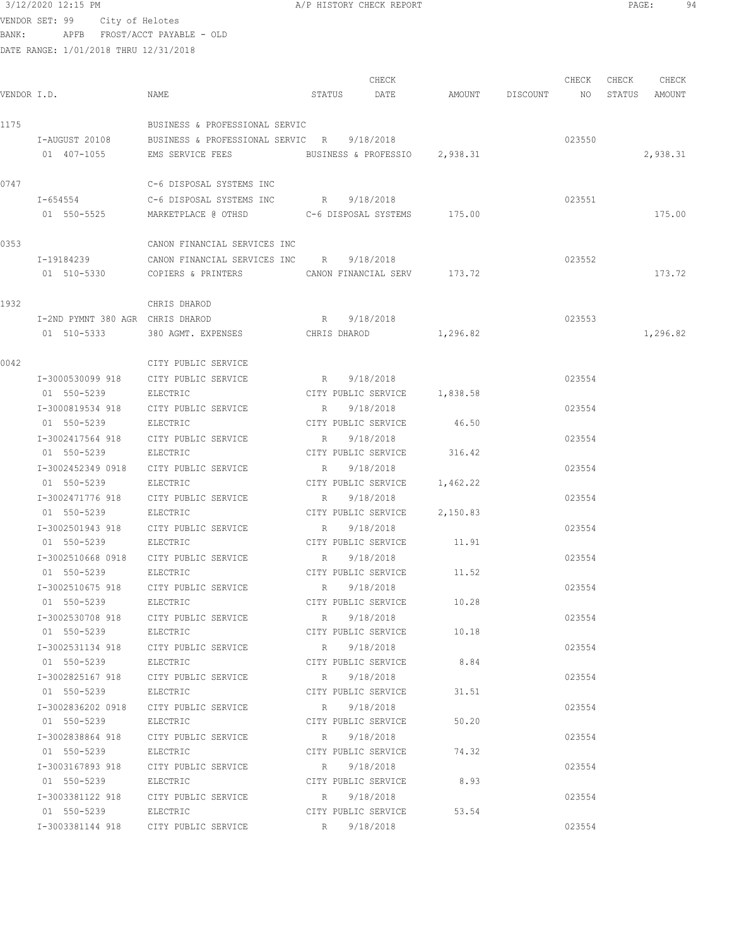| 3/12/2020 12:15 PM             |  | A/P HISTORY CHECK REPORT | PAGE |  |
|--------------------------------|--|--------------------------|------|--|
| VENDOR SET: 99 City of Helotes |  |                          |      |  |

| VENDOR I.D. |                                  | NAME                                                                                                                    |             | CHECK<br>STATUS DATE         | AMOUNT DISCOUNT NO STATUS AMOUNT | CHECK  | CHECK | CHECK    |
|-------------|----------------------------------|-------------------------------------------------------------------------------------------------------------------------|-------------|------------------------------|----------------------------------|--------|-------|----------|
| 1175        |                                  | BUSINESS & PROFESSIONAL SERVIC                                                                                          |             |                              |                                  |        |       |          |
|             |                                  | I-AUGUST 20108 BUSINESS & PROFESSIONAL SERVIC R 9/18/2018<br>01 407-1055 EMS SERVICE FEES BUSINESS & PROFESSIO 2,938.31 |             |                              |                                  | 023550 |       | 2,938.31 |
| 0747        |                                  | C-6 DISPOSAL SYSTEMS INC                                                                                                |             |                              |                                  |        |       |          |
|             | $I - 654554$                     | C-6 DISPOSAL SYSTEMS INC                                                                                                |             | R 9/18/2018                  |                                  | 023551 |       |          |
|             | 01 550-5525                      |                                                                                                                         |             |                              |                                  |        |       | 175.00   |
| 0353        |                                  | CANON FINANCIAL SERVICES INC                                                                                            |             |                              |                                  |        |       |          |
|             | I-19184239                       | CANON FINANCIAL SERVICES INC R 9/18/2018                                                                                |             |                              |                                  | 023552 |       |          |
|             | 01 510-5330                      | COPIERS & PRINTERS CANON FINANCIAL SERV 173.72                                                                          |             |                              |                                  |        |       | 173.72   |
| 1932        |                                  | CHRIS DHAROD                                                                                                            |             |                              |                                  |        |       |          |
|             | I-2ND PYMNT 380 AGR CHRIS DHAROD |                                                                                                                         |             | R 9/18/2018                  |                                  | 023553 |       |          |
|             | 01 510-5333                      | 380 AGMT. EXPENSES CHRIS DHAROD 1,296.82                                                                                |             |                              |                                  |        |       | 1,296.82 |
| 0042        |                                  | CITY PUBLIC SERVICE                                                                                                     |             |                              |                                  |        |       |          |
|             |                                  | I-3000530099 918 CITY PUBLIC SERVICE                                                                                    |             | R 9/18/2018                  |                                  | 023554 |       |          |
|             | 01 550-5239                      | ELECTRIC                                                                                                                |             | CITY PUBLIC SERVICE 1,838.58 |                                  |        |       |          |
|             | I-3000819534 918                 | CITY PUBLIC SERVICE                                                                                                     | $R_{\rm c}$ | 9/18/2018                    |                                  | 023554 |       |          |
|             | 01 550-5239                      | ELECTRIC                                                                                                                |             | CITY PUBLIC SERVICE          | 46.50                            |        |       |          |
|             | I-3002417564 918                 | CITY PUBLIC SERVICE                                                                                                     | R           | 9/18/2018                    |                                  | 023554 |       |          |
|             | 01 550-5239                      | ELECTRIC                                                                                                                |             | CITY PUBLIC SERVICE 316.42   |                                  |        |       |          |
|             |                                  | I-3002452349 0918 CITY PUBLIC SERVICE                                                                                   | R           | 9/18/2018                    |                                  | 023554 |       |          |
|             | 01 550-5239                      | ELECTRIC                                                                                                                |             | CITY PUBLIC SERVICE 1,462.22 |                                  |        |       |          |
|             | I-3002471776 918                 | CITY PUBLIC SERVICE                                                                                                     | R           | 9/18/2018                    |                                  | 023554 |       |          |
|             | 01 550-5239                      | ELECTRIC                                                                                                                |             | CITY PUBLIC SERVICE          | 2,150.83                         |        |       |          |
|             | I-3002501943 918                 | CITY PUBLIC SERVICE                                                                                                     | R           | 9/18/2018                    |                                  | 023554 |       |          |
|             | 01 550-5239                      | ELECTRIC                                                                                                                |             | CITY PUBLIC SERVICE 11.91    |                                  |        |       |          |
|             |                                  | I-3002510668 0918 CITY PUBLIC SERVICE                                                                                   | R           | 9/18/2018                    |                                  | 023554 |       |          |
|             | 01 550-5239                      | ELECTRIC                                                                                                                |             | CITY PUBLIC SERVICE          | 11.52                            |        |       |          |
|             | I-3002510675 918                 | CITY PUBLIC SERVICE                                                                                                     | R           | 9/18/2018                    |                                  | 023554 |       |          |
|             | 01 550-5239                      | ELECTRIC                                                                                                                |             | CITY PUBLIC SERVICE          | 10.28                            |        |       |          |
|             |                                  | I-3002530708 918 CITY PUBLIC SERVICE R 9/18/2018                                                                        |             |                              |                                  | 023554 |       |          |
|             |                                  | 01 550-5239 ELECTRIC                                                                                                    |             | CITY PUBLIC SERVICE 10.18    |                                  |        |       |          |
|             |                                  | I-3002531134 918 CITY PUBLIC SERVICE R 9/18/2018                                                                        |             |                              |                                  | 023554 |       |          |
|             |                                  | 01 550-5239 ELECTRIC                                                                                                    |             | CITY PUBLIC SERVICE 8.84     |                                  |        |       |          |
|             |                                  | I-3002825167 918 CITY PUBLIC SERVICE R 9/18/2018                                                                        |             |                              |                                  | 023554 |       |          |
|             |                                  | 01 550-5239 ELECTRIC                                                                                                    |             | CITY PUBLIC SERVICE          | 31.51                            |        |       |          |
|             |                                  | I-3002836202 0918 CITY PUBLIC SERVICE R 9/18/2018                                                                       |             |                              |                                  | 023554 |       |          |
|             |                                  | 01 550-5239 ELECTRIC                                                                                                    |             | CITY PUBLIC SERVICE          | 50.20                            |        |       |          |
|             |                                  | I-3002838864 918 CITY PUBLIC SERVICE                                                                                    |             | R 9/18/2018                  |                                  | 023554 |       |          |
|             | 01 550-5239                      | ELECTRIC                                                                                                                |             | CITY PUBLIC SERVICE          | 74.32                            |        |       |          |
|             |                                  | I-3003167893 918 CITY PUBLIC SERVICE                                                                                    |             | R 9/18/2018                  |                                  | 023554 |       |          |
|             | 01 550-5239 ELECTRIC             |                                                                                                                         |             | CITY PUBLIC SERVICE          | 8.93                             |        |       |          |
|             |                                  | I-3003381122 918 CITY PUBLIC SERVICE                                                                                    |             | R 9/18/2018                  |                                  | 023554 |       |          |
|             | 01 550-5239 ELECTRIC             |                                                                                                                         |             | CITY PUBLIC SERVICE 53.54    |                                  |        |       |          |
|             |                                  | I-3003381144 918 CITY PUBLIC SERVICE                                                                                    |             | R 9/18/2018                  |                                  | 023554 |       |          |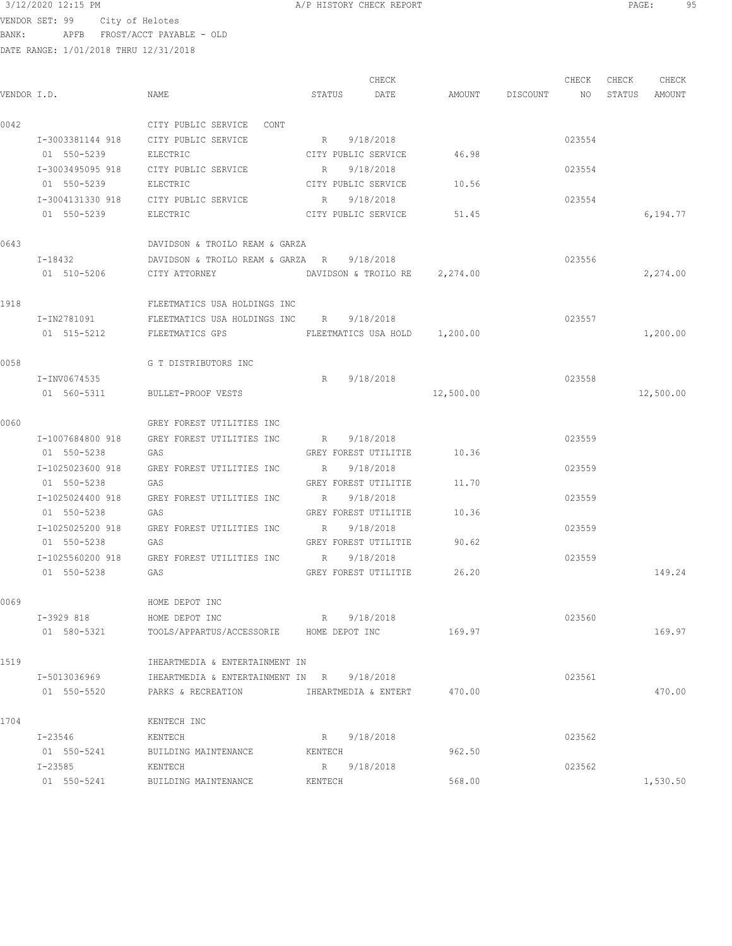VENDOR SET: 99 City of Helotes BANK: APFB FROST/ACCT PAYABLE - OLD

|             |                  |                                                           |         | CHECK                         |                                  | CHECK  | CHECK | CHECK     |
|-------------|------------------|-----------------------------------------------------------|---------|-------------------------------|----------------------------------|--------|-------|-----------|
| VENDOR I.D. |                  | NAME                                                      |         | STATUS DATE                   | AMOUNT DISCOUNT NO STATUS AMOUNT |        |       |           |
| 0042        |                  | CITY PUBLIC SERVICE CONT                                  |         |                               |                                  |        |       |           |
|             |                  | I-3003381144 918 CITY PUBLIC SERVICE                      |         | R 9/18/2018                   |                                  | 023554 |       |           |
|             | 01 550-5239      | ELECTRIC                                                  |         | CITY PUBLIC SERVICE 46.98     |                                  |        |       |           |
|             | I-3003495095 918 | CITY PUBLIC SERVICE                                       |         | R 9/18/2018                   |                                  | 023554 |       |           |
|             | 01 550-5239      | ELECTRIC                                                  |         | CITY PUBLIC SERVICE 10.56     |                                  |        |       |           |
|             |                  | I-3004131330 918 CITY PUBLIC SERVICE R 9/18/2018          |         |                               |                                  | 023554 |       |           |
|             | 01 550-5239      | ELECTRIC                                                  |         | CITY PUBLIC SERVICE 51.45     |                                  |        |       | 6,194.77  |
| 0643        |                  | DAVIDSON & TROILO REAM & GARZA                            |         |                               |                                  |        |       |           |
|             | I-18432          | DAVIDSON & TROILO REAM & GARZA R 9/18/2018                |         |                               |                                  | 023556 |       |           |
|             | 01 510-5206      | CITY ATTORNEY                                             |         | DAVIDSON & TROILO RE 2,274.00 |                                  |        |       | 2,274.00  |
| 1918        |                  | FLEETMATICS USA HOLDINGS INC                              |         |                               |                                  |        |       |           |
|             | I-IN2781091      | FLEETMATICS USA HOLDINGS INC R 9/18/2018                  |         |                               |                                  | 023557 |       |           |
|             | 01 515-5212      | FLEETMATICS GPS                                           |         | FLEETMATICS USA HOLD 1,200.00 |                                  |        |       | 1,200.00  |
| 0058        |                  | G T DISTRIBUTORS INC                                      |         |                               |                                  |        |       |           |
|             | I-INV0674535     |                                                           |         | R 9/18/2018                   |                                  | 023558 |       |           |
|             | 01 560-5311      | BULLET-PROOF VESTS                                        |         |                               | 12,500.00                        |        |       | 12,500.00 |
| 0060        |                  | GREY FOREST UTILITIES INC                                 |         |                               |                                  |        |       |           |
|             | I-1007684800 918 | GREY FOREST UTILITIES INC                                 | R       | 9/18/2018                     |                                  | 023559 |       |           |
|             | 01 550-5238      | GAS                                                       |         | GREY FOREST UTILITIE          | 10.36                            |        |       |           |
|             | I-1025023600 918 | GREY FOREST UTILITIES INC                                 |         | R 9/18/2018                   |                                  | 023559 |       |           |
|             | 01 550-5238      | GAS                                                       |         | GREY FOREST UTILITIE          | 11.70                            |        |       |           |
|             | I-1025024400 918 | GREY FOREST UTILITIES INC R 9/18/2018                     |         |                               |                                  | 023559 |       |           |
|             | 01 550-5238      | GAS                                                       |         | GREY FOREST UTILITIE          | 10.36                            |        |       |           |
|             |                  | I-1025025200 918 GREY FOREST UTILITIES INC R 9/18/2018    |         |                               |                                  | 023559 |       |           |
|             | 01 550-5238      | GAS                                                       |         | GREY FOREST UTILITIE 90.62    |                                  |        |       |           |
|             |                  | I-1025560200 918 GREY FOREST UTILITIES INC R 9/18/2018    |         |                               |                                  | 023559 |       |           |
|             | 01 550-5238      | GAS                                                       |         | GREY FOREST UTILITIE 26.20    |                                  |        |       | 149.24    |
| 0069        |                  | HOME DEPOT INC                                            |         |                               |                                  |        |       |           |
|             | I-3929 818       | HOME DEPOT INC                                            |         | R 9/18/2018                   |                                  | 023560 |       |           |
|             | 01 580-5321      | TOOLS/APPARTUS/ACCESSORIE HOME DEPOT INC                  |         |                               | 169.97                           |        |       | 169.97    |
| 1519        |                  | IHEARTMEDIA & ENTERTAINMENT IN                            |         |                               |                                  |        |       |           |
|             | I-5013036969     | IHEARTMEDIA & ENTERTAINMENT IN R 9/18/2018                |         |                               |                                  | 023561 |       |           |
|             | 01 550-5520      | PARKS & RECREATION <b>IHEARTMEDIA &amp; ENTERT</b> 470.00 |         |                               |                                  |        |       | 470.00    |
| 1704        |                  | KENTECH INC                                               |         |                               |                                  |        |       |           |
|             | I-23546          | KENTECH                                                   |         | 9/18/2018<br>R                |                                  | 023562 |       |           |
|             | 01 550-5241      | BUILDING MAINTENANCE                                      | KENTECH |                               | 962.50                           |        |       |           |
|             | I-23585          | KENTECH                                                   | R       | 9/18/2018                     |                                  | 023562 |       |           |
|             | 01 550-5241      | BUILDING MAINTENANCE                                      | KENTECH |                               | 568.00                           |        |       | 1,530.50  |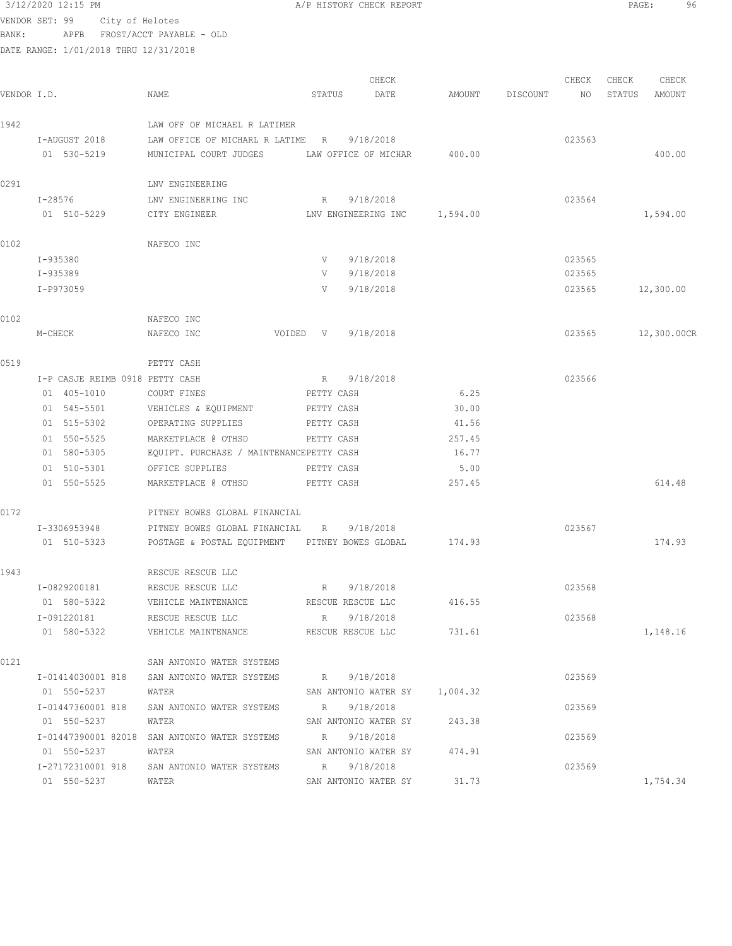|             | 3/12/2020 12:15 PM                    |                                                       | A/P HISTORY CHECK REPORT         |        |                  |              | PAGE:<br>96 |
|-------------|---------------------------------------|-------------------------------------------------------|----------------------------------|--------|------------------|--------------|-------------|
|             | VENDOR SET: 99<br>City of Helotes     |                                                       |                                  |        |                  |              |             |
| BANK:       |                                       | APFB FROST/ACCT PAYABLE - OLD                         |                                  |        |                  |              |             |
|             | DATE RANGE: 1/01/2018 THRU 12/31/2018 |                                                       |                                  |        |                  |              |             |
|             |                                       |                                                       | CHECK                            |        | CHECK            | CHECK        | CHECK       |
| VENDOR I.D. |                                       | NAME                                                  | STATUS<br>DATE                   | AMOUNT | DISCOUNT         | NO<br>STATUS | AMOUNT      |
|             |                                       |                                                       |                                  |        |                  |              |             |
| 1942        |                                       | LAW OFF OF MICHAEL R LATIMER                          |                                  |        |                  |              |             |
|             | I-AUGUST 2018                         | LAW OFFICE OF MICHARL R LATIME R                      | 9/18/2018                        |        | 023563           |              |             |
|             | 01 530-5219                           | MUNICIPAL COURT JUDGES                                | LAW OFFICE OF MICHAR             | 400.00 |                  |              | 400.00      |
| 0291        |                                       | LNV ENGINEERING                                       |                                  |        |                  |              |             |
|             | I-28576                               | LNV ENGINEERING INC                                   | 9/18/2018<br>R                   |        | 023564           |              |             |
|             | 01 510-5229                           | CITY ENGINEER                                         | LNV ENGINEERING INC 1,594.00     |        |                  |              | 1,594.00    |
|             |                                       |                                                       |                                  |        |                  |              |             |
| 0102        |                                       | NAFECO INC                                            |                                  |        |                  |              |             |
|             | I-935380<br>I-935389                  |                                                       | 9/18/2018<br>V<br>9/18/2018<br>V |        | 023565<br>023565 |              |             |
|             | I-P973059                             |                                                       | 9/18/2018<br>V                   |        | 023565           |              | 12,300.00   |
|             |                                       |                                                       |                                  |        |                  |              |             |
| 0102        |                                       | NAFECO INC                                            |                                  |        |                  |              |             |
|             | M-CHECK                               | NAFECO INC                                            | VOIDED V<br>9/18/2018            |        | 023565           |              | 12,300.00CR |
| 0519        |                                       | PETTY CASH                                            |                                  |        |                  |              |             |
|             | I-P CASJE REIMB 0918 PETTY CASH       |                                                       | 9/18/2018<br>R                   |        | 023566           |              |             |
|             | 01 405-1010                           | COURT FINES                                           | PETTY CASH                       | 6.25   |                  |              |             |
|             | 01 545-5501                           | VEHICLES & EQUIPMENT                                  | PETTY CASH                       | 30.00  |                  |              |             |
|             | 01 515-5302                           | OPERATING SUPPLIES                                    | PETTY CASH                       | 41.56  |                  |              |             |
|             | 01 550-5525                           | MARKETPLACE @ OTHSD                                   | PETTY CASH                       | 257.45 |                  |              |             |
|             | 01 580-5305                           | EQUIPT. PURCHASE / MAINTENANCEPETTY CASH              |                                  | 16.77  |                  |              |             |
|             | 01 510-5301                           | OFFICE SUPPLIES                                       | PETTY CASH                       | 5.00   |                  |              |             |
|             | 01 550-5525                           | MARKETPLACE @ OTHSD                                   | PETTY CASH                       | 257.45 |                  |              | 614.48      |
| 0172        |                                       | PITNEY BOWES GLOBAL FINANCIAL                         |                                  |        |                  |              |             |
|             | I-3306953948                          | PITNEY BOWES GLOBAL FINANCIAL                         | 9/18/2018<br>R                   |        | 023567           |              |             |
|             | 01 510-5323                           | POSTAGE & POSTAL EQUIPMENT PITNEY BOWES GLOBAL 174.93 |                                  |        |                  |              | 174.93      |
| 1943        |                                       | RESCUE RESCUE LLC                                     |                                  |        |                  |              |             |
|             | I-0829200181                          | RESCUE RESCUE LLC                                     | R 9/18/2018                      |        | 023568           |              |             |
|             | 01 580-5322                           | VEHICLE MAINTENANCE<br>RESCUE RESCUE LLC              |                                  | 416.55 |                  |              |             |
|             | I-091220181                           | RESCUE RESCUE LLC                                     | 9/18/2018<br>R                   |        | 023568           |              |             |
|             | 01 580-5322                           | VEHICLE MAINTENANCE BESCUE RESCUE LLC                 |                                  | 731.61 |                  |              | 1,148.16    |
| 0121        |                                       | SAN ANTONIO WATER SYSTEMS                             |                                  |        |                  |              |             |
|             | I-01414030001 818                     | SAN ANTONIO WATER SYSTEMS                             | R 9/18/2018                      |        | 023569           |              |             |
|             | 01 550-5237                           | WATER                                                 | SAN ANTONIO WATER SY 1,004.32    |        |                  |              |             |
|             |                                       | I-01447360001 818 SAN ANTONIO WATER SYSTEMS           | R 9/18/2018                      |        | 023569           |              |             |
|             | 01 550-5237                           | WATER                                                 | SAN ANTONIO WATER SY 243.38      |        |                  |              |             |

SAN ANTONIO WATER SY 243.38

01 550-5237 WATER SAN ANTONIO WATER SY 31.73 1,754.34

I-01447390001 82018 SAN ANTONIO WATER SYSTEMS R 9/18/2018 023569

I-27172310001 918 SAN ANTONIO WATER SYSTEMS R 9/18/2018 023569

01 550-5237 WATER SAN ANTONIO WATER SY 474.91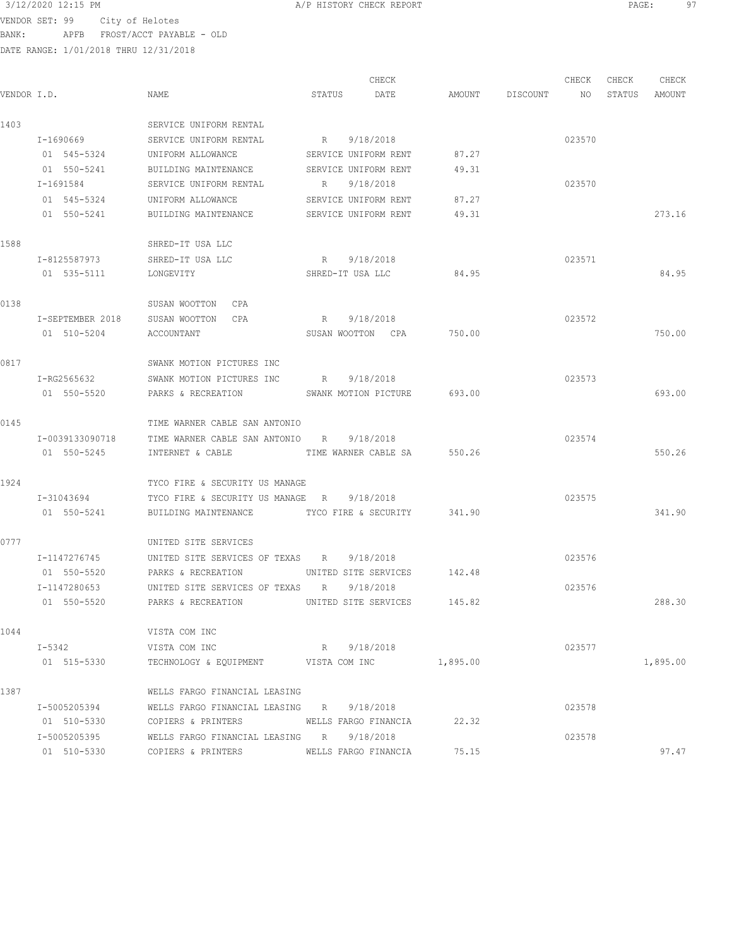3/12/2020 12:15 PM **A/P HISTORY CHECK REPORT PAGE:** 97<br>VENDOR SET : 98 ACL: 25 Valities VENDOR SET: 99 City of Helotes BANK: APFB FROST/ACCT PAYABLE - OLD

|             |                  |                                                |               | CHECK                       |                 | CHECK  | CHECK  | CHECK    |
|-------------|------------------|------------------------------------------------|---------------|-----------------------------|-----------------|--------|--------|----------|
| VENDOR I.D. |                  | NAME                                           | STATUS        | DATE                        | AMOUNT DISCOUNT | NO     | STATUS | AMOUNT   |
| 1403        |                  | SERVICE UNIFORM RENTAL                         |               |                             |                 |        |        |          |
|             | I-1690669        | SERVICE UNIFORM RENTAL                         |               | R 9/18/2018                 |                 | 023570 |        |          |
|             | 01 545-5324      | UNIFORM ALLOWANCE                              |               | SERVICE UNIFORM RENT        | 87.27           |        |        |          |
|             | 01 550-5241      | BUILDING MAINTENANCE                           |               | SERVICE UNIFORM RENT        | 49.31           |        |        |          |
|             | I-1691584        | SERVICE UNIFORM RENTAL                         |               | R 9/18/2018                 |                 | 023570 |        |          |
|             | 01 545-5324      | UNIFORM ALLOWANCE                              |               | SERVICE UNIFORM RENT        | 87.27           |        |        |          |
|             | 01 550-5241      | BUILDING MAINTENANCE                           |               | SERVICE UNIFORM RENT        | 49.31           |        |        | 273.16   |
| 1588        |                  | SHRED-IT USA LLC                               |               |                             |                 |        |        |          |
|             | I-8125587973     | SHRED-IT USA LLC                               |               | R 9/18/2018                 |                 | 023571 |        |          |
|             | 01 535-5111      | LONGEVITY                                      |               | SHRED-IT USA LLC            | 84.95           |        |        | 84.95    |
| 0138        |                  | SUSAN WOOTTON CPA                              |               |                             |                 |        |        |          |
|             | I-SEPTEMBER 2018 | SUSAN WOOTTON CPA                              |               | R 9/18/2018                 |                 | 023572 |        |          |
|             | 01 510-5204      | ACCOUNTANT                                     |               | SUSAN WOOTTON CPA           | 750.00          |        |        | 750.00   |
| 0817        |                  | SWANK MOTION PICTURES INC                      |               |                             |                 |        |        |          |
|             | I-RG2565632      | SWANK MOTION PICTURES INC                      |               | R 9/18/2018                 |                 | 023573 |        |          |
|             | 01 550-5520      | PARKS & RECREATION                             |               | SWANK MOTION PICTURE 693.00 |                 |        |        | 693.00   |
| 0145        |                  | TIME WARNER CABLE SAN ANTONIO                  |               |                             |                 |        |        |          |
|             | I-0039133090718  | TIME WARNER CABLE SAN ANTONIO R 9/18/2018      |               |                             |                 | 023574 |        |          |
|             | 01 550-5245      | INTERNET & CABLE                               |               | TIME WARNER CABLE SA 550.26 |                 |        |        | 550.26   |
| 1924        |                  | TYCO FIRE & SECURITY US MANAGE                 |               |                             |                 |        |        |          |
|             | I-31043694       | TYCO FIRE & SECURITY US MANAGE R               |               | 9/18/2018                   |                 | 023575 |        |          |
|             | 01 550-5241      | BUILDING MAINTENANCE                           |               | TYCO FIRE & SECURITY 341.90 |                 |        |        | 341.90   |
| 0777        |                  | UNITED SITE SERVICES                           |               |                             |                 |        |        |          |
|             | I-1147276745     | UNITED SITE SERVICES OF TEXAS R 9/18/2018      |               |                             |                 | 023576 |        |          |
|             | 01 550-5520      | PARKS & RECREATION UNITED SITE SERVICES 142.48 |               |                             |                 |        |        |          |
|             | I-1147280653     | UNITED SITE SERVICES OF TEXAS R                |               | 9/18/2018                   |                 | 023576 |        |          |
|             | 01 550-5520      | PARKS & RECREATION                             |               | UNITED SITE SERVICES        | 145.82          |        |        | 288.30   |
| 1044        |                  | VISTA COM INC                                  |               |                             |                 |        |        |          |
|             | I-5342           | VISTA COM INC                                  |               | R 9/18/2018                 |                 | 023577 |        |          |
|             | 01 515-5330      | TECHNOLOGY & EQUIPMENT                         | VISTA COM INC |                             | 1,895.00        |        |        | 1,895.00 |
| 1387        |                  | WELLS FARGO FINANCIAL LEASING                  |               |                             |                 |        |        |          |
|             | I-5005205394     | WELLS FARGO FINANCIAL LEASING R 9/18/2018      |               |                             |                 | 023578 |        |          |
|             | 01 510-5330      | COPIERS & PRINTERS                             |               | WELLS FARGO FINANCIA        | 22.32           |        |        |          |
|             | I-5005205395     | WELLS FARGO FINANCIAL LEASING R 9/18/2018      |               |                             |                 | 023578 |        |          |
|             | 01 510-5330      | COPIERS & PRINTERS                             |               | WELLS FARGO FINANCIA        | 75.15           |        |        | 97.47    |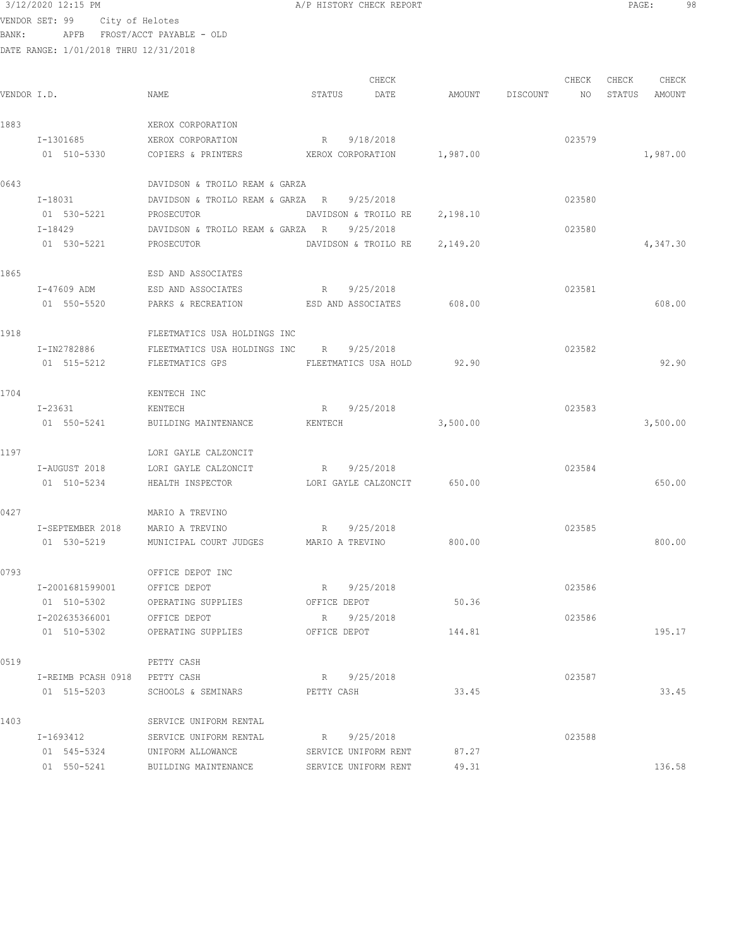| 3/12/2020 12:15 PM                    |                                | A/P HISTORY CHECK REPORT |           |          |          |        | PAGE:  | 98       |  |
|---------------------------------------|--------------------------------|--------------------------|-----------|----------|----------|--------|--------|----------|--|
| VENDOR SET: 99                        | City of Helotes                |                          |           |          |          |        |        |          |  |
| BANK:<br>APFB                         | FROST/ACCT PAYABLE - OLD       |                          |           |          |          |        |        |          |  |
| DATE RANGE: 1/01/2018 THRU 12/31/2018 |                                |                          |           |          |          |        |        |          |  |
|                                       |                                |                          | CHECK     |          |          | CHECK  | CHECK  | CHECK    |  |
| VENDOR I.D.                           | NAME                           | STATUS                   | DATE      | AMOUNT   | DISCOUNT | NO.    | STATUS | AMOUNT   |  |
| 1883                                  | XEROX CORPORATION              |                          |           |          |          |        |        |          |  |
| I-1301685                             | XEROX CORPORATION              | R                        | 9/18/2018 |          |          | 023579 |        |          |  |
| 01 510-5330                           | COPIERS & PRINTERS             | XEROX CORPORATION        |           | 1,987.00 |          |        |        | 1,987.00 |  |
| 0012                                  | DAUTROOM C MROTIO DRAM C CARRA |                          |           |          |          |        |        |          |  |

| 0643 |             | DAVIDSON & TROILO REAM & GARZA   |                      |          |        |          |
|------|-------------|----------------------------------|----------------------|----------|--------|----------|
|      | I-18031     | DAVIDSON & TROILO REAM & GARZA   | 9/25/2018<br>R       |          | 023580 |          |
|      | 01 530-5221 | PROSECUTOR                       | DAVIDSON & TROILO RE | 2,198.10 |        |          |
|      | I-18429     | DAVIDSON & TROILO REAM & GARZA R | 9/25/2018            |          | 023580 |          |
|      | 01 530-5221 | PROSECUTOR                       | DAVIDSON & TROILO RE | 2,149.20 |        | 4,347.30 |
| 1865 |             | ESD AND ASSOCIATES               |                      |          |        |          |
|      | I-47609 ADM | ESD AND ASSOCIATES               | R<br>9/25/2018       |          | 023581 |          |
|      | 01 550-5520 | PARKS & RECREATION               | ESD AND ASSOCIATES   | 608.00   |        | 608.00   |
| 1918 |             | FLEETMATICS USA HOLDINGS INC     |                      |          |        |          |
|      | I-IN2782886 | FLEETMATICS USA HOLDINGS INC     | 9/25/2018<br>R       |          | 023582 |          |
|      | 01 515-5212 | FLEETMATICS GPS                  | FLEETMATICS USA HOLD | 92.90    |        | 92.90    |
| 1704 |             | KENTECH INC                      |                      |          |        |          |
|      | $I - 23631$ | KENTECH                          | R<br>9/25/2018       |          | 023583 |          |
|      | 01 550-5241 | BUILDING MAINTENANCE             | KENTECH              | 3,500.00 |        | 3,500.00 |

| 1197 |                | LORI GAYLE CALZONCIT |                      |        |        |        |
|------|----------------|----------------------|----------------------|--------|--------|--------|
|      | I-AUGUST 2018  | LORI GAYLE CALZONCIT | 9/25/2018<br>R       |        | 023584 |        |
|      | 510-5234<br>01 | HEALTH INSPECTOR     | LORI GAYLE CALZONCIT | 650.00 |        | 650.00 |
|      |                |                      |                      |        |        |        |
| 0427 |                | MARIO A TREVINO      |                      |        |        |        |

|      | I-SEPTEMBER 2018   | MARIO A TREVINO        | 9/25/2018<br>R  |        | 023585 |        |
|------|--------------------|------------------------|-----------------|--------|--------|--------|
|      | 01 530-5219        | MUNICIPAL COURT JUDGES | MARIO A TREVINO | 800.00 |        | 800.00 |
| 0793 |                    | OFFICE DEPOT INC       |                 |        |        |        |
|      | I-2001681599001    | OFFICE DEPOT           | R<br>9/25/2018  |        | 023586 |        |
|      | 01 510-5302        | OPERATING SUPPLIES     | OFFICE DEPOT    | 50.36  |        |        |
|      | I-202635366001     | OFFICE DEPOT           | 9/25/2018<br>R  |        | 023586 |        |
|      | 01 510-5302        | OPERATING SUPPLIES     | OFFICE DEPOT    | 144.81 |        | 195.17 |
| 0519 |                    | PETTY CASH             |                 |        |        |        |
|      | I-REIMB PCASH 0918 | PETTY CASH             | R<br>9/25/2018  |        | 023587 |        |
|      | 01 515-5203        | SCHOOLS & SEMINARS     | PETTY CASH      | 33.45  |        | 33.45  |
| 1403 |                    | SERVICE UNIFORM RENTAL |                 |        |        |        |
|      | I-1693412          | SERVICE UNIFORM RENTAL | R<br>9/25/2018  |        | 023588 |        |

01 550-5241 BUILDING MAINTENANCE SERVICE UNIFORM RENT 49.31 136.58

01 545-5324 UNIFORM ALLOWANCE SERVICE UNIFORM RENT 87.27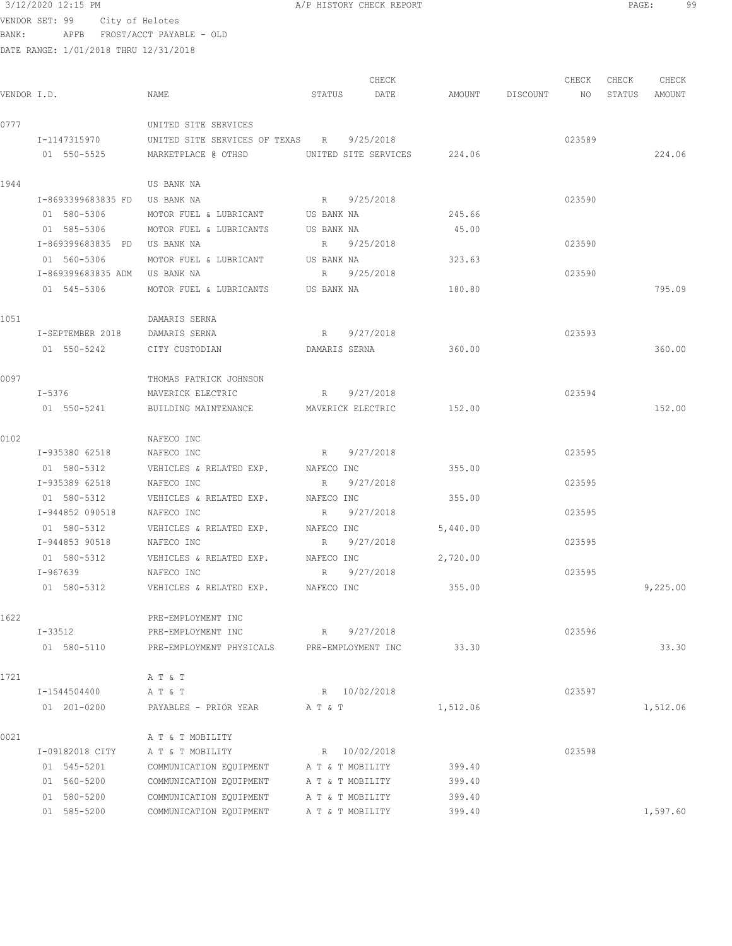| 3/12/2020 12:15 PM |      |                                       | A/P HISTORY CHECK REPORT |       |       | PAGE: |       | 99 |
|--------------------|------|---------------------------------------|--------------------------|-------|-------|-------|-------|----|
| VENDOR SET: 99     |      | City of Helotes                       |                          |       |       |       |       |    |
| BANK:              | APFB | FROST/ACCT PAYABLE - OLD              |                          |       |       |       |       |    |
|                    |      | DATE RANGE: 1/01/2018 THRU 12/31/2018 |                          |       |       |       |       |    |
|                    |      |                                       |                          |       |       |       |       |    |
|                    |      |                                       |                          | CHECK | CHECK | CHECK | CHECK |    |
|                    |      |                                       |                          |       |       |       |       |    |

| VENDOR I.D. |                                | NAME                                                  |         | STATUS DATE        |          | AMOUNT DISCOUNT NO STATUS AMOUNT |        |          |
|-------------|--------------------------------|-------------------------------------------------------|---------|--------------------|----------|----------------------------------|--------|----------|
| 0777        |                                | UNITED SITE SERVICES                                  |         |                    |          |                                  |        |          |
|             | I-1147315970                   | UNITED SITE SERVICES OF TEXAS R 9/25/2018             |         |                    |          |                                  | 023589 |          |
|             | 01 550-5525                    | MARKETPLACE @ OTHSD    UNITED SITE SERVICES    224.06 |         |                    |          |                                  |        | 224.06   |
| 1944        |                                | US BANK NA                                            |         |                    |          |                                  |        |          |
|             | I-8693399683835 FD US BANK NA  |                                                       |         | R 9/25/2018        |          |                                  | 023590 |          |
|             | 01 580-5306                    | MOTOR FUEL & LUBRICANT US BANK NA                     |         |                    | 245.66   |                                  |        |          |
|             | 01 585-5306                    | MOTOR FUEL & LUBRICANTS US BANK NA                    |         |                    | 45.00    |                                  |        |          |
|             | I-869399683835 PD US BANK NA   |                                                       |         | R 9/25/2018        |          |                                  | 023590 |          |
|             | 01 560-5306                    | MOTOR FUEL & LUBRICANT US BANK NA                     |         |                    | 323.63   |                                  |        |          |
|             | I-869399683835 ADM US BANK NA  |                                                       |         | R 9/25/2018        |          |                                  | 023590 |          |
|             | 01 545-5306                    | MOTOR FUEL & LUBRICANTS US BANK NA                    |         |                    | 180.80   |                                  |        | 795.09   |
| 1051        |                                | DAMARIS SERNA                                         |         |                    |          |                                  |        |          |
|             | I-SEPTEMBER 2018 DAMARIS SERNA |                                                       |         | R 9/27/2018        |          |                                  | 023593 |          |
|             | 01 550-5242 CITY CUSTODIAN     |                                                       |         | DAMARIS SERNA      | 360.00   |                                  |        | 360.00   |
| 0097        |                                | THOMAS PATRICK JOHNSON                                |         |                    |          |                                  |        |          |
|             | $I-5376$                       | MAVERICK ELECTRIC                                     |         | R 9/27/2018        |          |                                  | 023594 |          |
|             | 01 550-5241                    | BUILDING MAINTENANCE MAVERICK ELECTRIC 152.00         |         |                    |          |                                  |        | 152.00   |
| 0102        |                                | NAFECO INC                                            |         |                    |          |                                  |        |          |
|             | I-935380 62518 NAFECO INC      | R 9/27/2018                                           |         |                    |          |                                  | 023595 |          |
|             |                                | 01 580-5312 VEHICLES & RELATED EXP. MAFECO INC        |         |                    | 355.00   |                                  |        |          |
|             | I-935389 62518                 | NAFECO INC                                            |         | R 9/27/2018        |          |                                  | 023595 |          |
|             | 01 580-5312                    | VEHICLES & RELATED EXP. MAFECO INC                    |         |                    | 355.00   |                                  |        |          |
|             | I-944852 090518                | NAFECO INC                                            |         | R 9/27/2018        |          |                                  | 023595 |          |
|             | 01 580-5312                    | VEHICLES & RELATED EXP. MAFECO INC                    |         |                    | 5,440.00 |                                  |        |          |
|             | I-944853 90518                 | NAFECO INC                                            | R       | 9/27/2018          |          |                                  | 023595 |          |
|             | 01 580-5312                    | VEHICLES & RELATED EXP. MAFECO INC                    |         |                    | 2,720.00 |                                  |        |          |
|             | I-967639 NAFECO INC            |                                                       | R       | 9/27/2018          |          |                                  | 023595 |          |
|             |                                | 01 580-5312   VEHICLES & RELATED EXP.   NAFECO INC    |         | 355.00             |          |                                  |        | 9,225.00 |
| 1622        |                                | PRE-EMPLOYMENT INC                                    |         |                    |          |                                  |        |          |
|             | $I - 33512$                    | PRE-EMPLOYMENT INC                                    | R       | 9/27/2018          |          |                                  | 023596 |          |
|             | 01 580-5110                    | PRE-EMPLOYMENT PHYSICALS                              |         | PRE-EMPLOYMENT INC | 33.30    |                                  |        | 33.30    |
| 1721        |                                | A T & T                                               |         |                    |          |                                  |        |          |
|             | I-1544504400                   | A T & T                                               |         | R 10/02/2018       |          |                                  | 023597 |          |
|             | 01 201-0200                    | PAYABLES - PRIOR YEAR                                 | A T & T |                    | 1,512.06 |                                  |        | 1,512.06 |
| 0021        |                                | A T & T MOBILITY                                      |         |                    |          |                                  |        |          |
|             | I-09182018 CITY                | A T & T MOBILITY                                      |         | R 10/02/2018       |          |                                  | 023598 |          |
|             | 01 545-5201                    | COMMUNICATION EQUIPMENT                               |         | A T & T MOBILITY   | 399.40   |                                  |        |          |
|             | 01 560-5200                    | COMMUNICATION EQUIPMENT                               |         | A T & T MOBILITY   | 399.40   |                                  |        |          |
|             | 01 580-5200                    | COMMUNICATION EQUIPMENT                               |         | A T & T MOBILITY   | 399.40   |                                  |        |          |
|             | 01 585-5200                    | COMMUNICATION EQUIPMENT                               |         | A T & T MOBILITY   | 399.40   |                                  |        | 1,597.60 |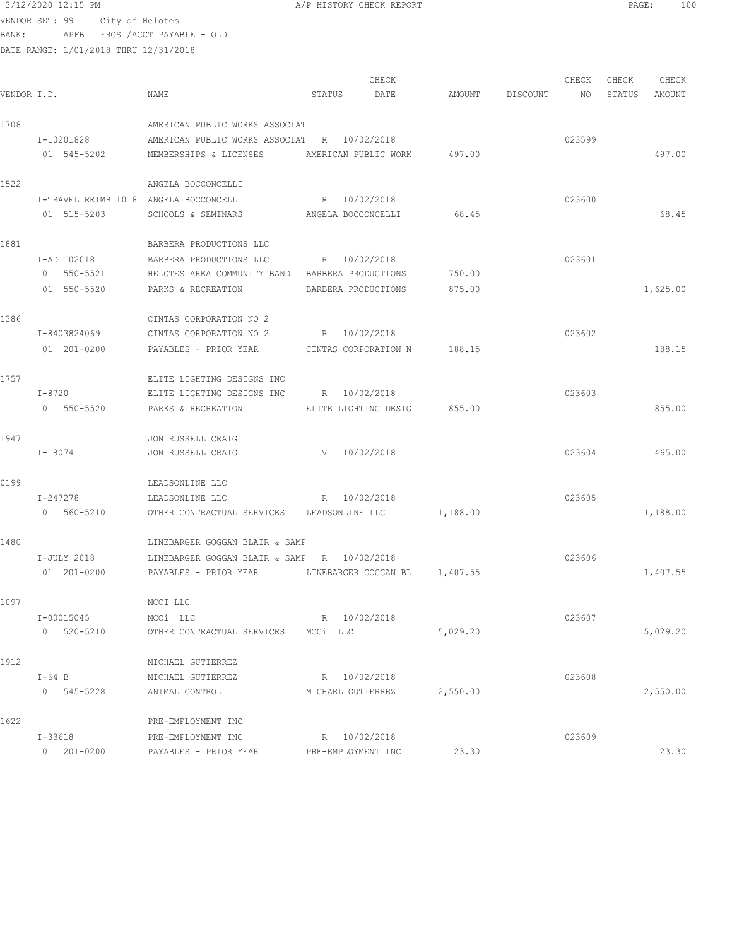| 3/12/2020 12:15 PM | A/P HISTORY CHECK REPORT | PAGE: | 100 |
|--------------------|--------------------------|-------|-----|
|                    |                          |       |     |

| VENDOR I.D. |                                                       | <b>NAME</b>                                                                                             | STATUS   | CHECK<br>DATE                 | AMOUNT   | DISCOUNT | CHECK<br>NO | CHECK<br>STATUS | CHECK<br>AMOUNT |
|-------------|-------------------------------------------------------|---------------------------------------------------------------------------------------------------------|----------|-------------------------------|----------|----------|-------------|-----------------|-----------------|
| 1708        | I-10201828<br>01 545-5202                             | AMERICAN PUBLIC WORKS ASSOCIAT<br>AMERICAN PUBLIC WORKS ASSOCIAT R 10/02/2018<br>MEMBERSHIPS & LICENSES |          | AMERICAN PUBLIC WORK          | 497.00   |          | 023599      |                 | 497.00          |
| 1522        |                                                       | ANGELA BOCCONCELLI                                                                                      |          |                               |          |          |             |                 |                 |
|             | I-TRAVEL REIMB 1018 ANGELA BOCCONCELLI<br>01 515-5203 | SCHOOLS & SEMINARS<br>ANGELA BOCCONCELLI                                                                |          | R 10/02/2018                  | 68.45    |          | 023600      |                 | 68.45           |
| 1881        |                                                       | BARBERA PRODUCTIONS LLC                                                                                 |          |                               |          |          |             |                 |                 |
|             | I-AD 102018                                           | BARBERA PRODUCTIONS LLC                                                                                 |          | R 10/02/2018                  |          |          | 023601      |                 |                 |
|             | 01 550-5521                                           | HELOTES AREA COMMUNITY BAND BARBERA PRODUCTIONS                                                         |          |                               | 750.00   |          |             |                 |                 |
|             | 01 550-5520                                           | PARKS & RECREATION                                                                                      |          | BARBERA PRODUCTIONS           | 875.00   |          |             |                 | 1,625.00        |
| 1386        |                                                       | CINTAS CORPORATION NO 2                                                                                 |          |                               |          |          |             |                 |                 |
|             | I-8403824069                                          | CINTAS CORPORATION NO 2                                                                                 |          | R 10/02/2018                  |          |          | 023602      |                 |                 |
|             | 01 201-0200                                           | PAYABLES - PRIOR YEAR CINTAS CORPORATION N 188.15                                                       |          |                               |          |          |             |                 | 188.15          |
| 1757        |                                                       | ELITE LIGHTING DESIGNS INC                                                                              |          |                               |          |          |             |                 |                 |
|             | I-8720                                                | ELITE LIGHTING DESIGNS INC                                                                              |          | R 10/02/2018                  |          |          | 023603      |                 |                 |
|             | 01 550-5520                                           | PARKS & RECREATION                                                                                      |          | ELITE LIGHTING DESIG          | 855.00   |          |             |                 | 855.00          |
| 1947        |                                                       | JON RUSSELL CRAIG                                                                                       |          |                               |          |          |             |                 |                 |
|             | I-18074                                               | JON RUSSELL CRAIG                                                                                       |          | V 10/02/2018                  |          |          | 023604      |                 | 465.00          |
| 0199        |                                                       | LEADSONLINE LLC                                                                                         |          |                               |          |          |             |                 |                 |
|             | I-247278                                              | LEADSONLINE LLC                                                                                         |          | R 10/02/2018                  |          |          | 023605      |                 |                 |
|             | 01 560-5210                                           | OTHER CONTRACTUAL SERVICES LEADSONLINE LLC                                                              |          |                               | 1,188.00 |          |             |                 | 1,188.00        |
| 1480        |                                                       | LINEBARGER GOGGAN BLAIR & SAMP                                                                          |          |                               |          |          |             |                 |                 |
|             | I-JULY 2018                                           | LINEBARGER GOGGAN BLAIR & SAMP R 10/02/2018                                                             |          |                               |          |          | 023606      |                 |                 |
|             | 01 201-0200                                           | PAYABLES - PRIOR YEAR                                                                                   |          | LINEBARGER GOGGAN BL 1,407.55 |          |          |             |                 | 1,407.55        |
| 1097        |                                                       | MCCI LLC                                                                                                |          |                               |          |          |             |                 |                 |
|             | I-00015045                                            | MCCi LLC                                                                                                |          | R 10/02/2018                  |          |          | 023607      |                 |                 |
|             | 01 520-5210                                           | OTHER CONTRACTUAL SERVICES                                                                              | MCCi LLC |                               | 5,029.20 |          |             |                 | 5,029.20        |
| 1912        |                                                       | MICHAEL GUTIERREZ                                                                                       |          |                               |          |          |             |                 |                 |
|             | $I-64$ B                                              | MICHAEL GUTIERREZ                                                                                       |          | R 10/02/2018                  |          |          | 023608      |                 |                 |
|             | 01 545-5228                                           | ANIMAL CONTROL                                                                                          |          | MICHAEL GUTIERREZ             | 2,550.00 |          |             |                 | 2,550.00        |
| 1622        |                                                       | PRE-EMPLOYMENT INC                                                                                      |          |                               |          |          |             |                 |                 |
|             | I-33618                                               | PRE-EMPLOYMENT INC                                                                                      |          | R 10/02/2018                  |          |          | 023609      |                 |                 |
|             | 01 201-0200                                           | PAYABLES - PRIOR YEAR                                                                                   |          | PRE-EMPLOYMENT INC            | 23.30    |          |             |                 | 23.30           |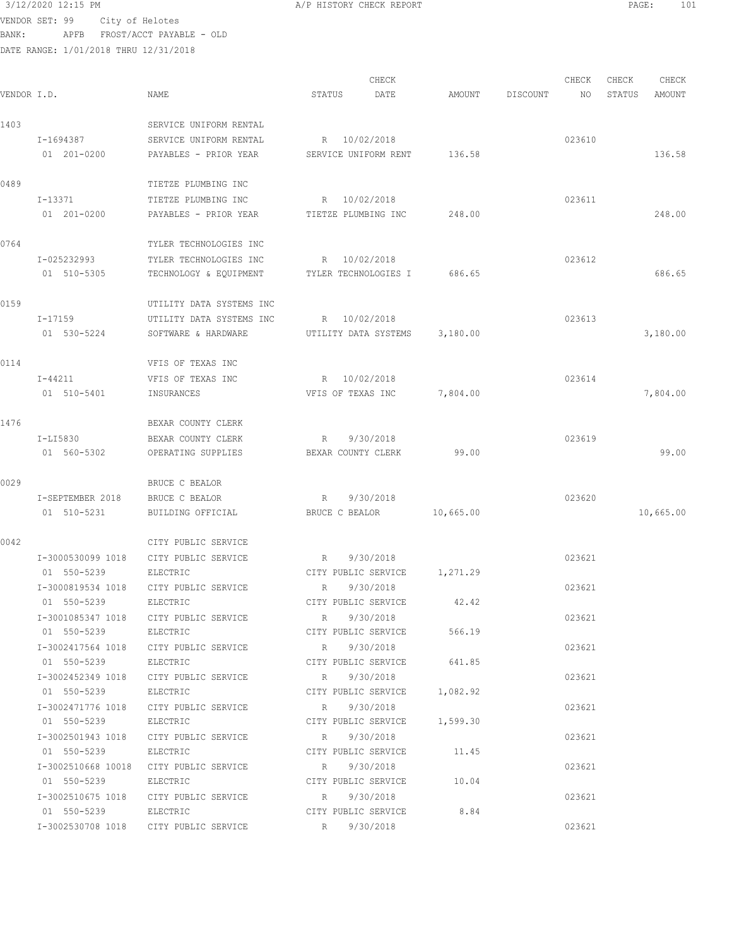3/12/2020 12:15 PM A/P HISTORY CHECK REPORT PAGE: 101 VENDOR SET: 99 City of Helotes

BANK: APFB FROST/ACCT PAYABLE - OLD DATE RANGE: 1/01/2018 THRU 12/31/2018

|             |                      |                                                    |                     | CHECK                        |           |          | CHECK  | CHECK  | CHECK     |
|-------------|----------------------|----------------------------------------------------|---------------------|------------------------------|-----------|----------|--------|--------|-----------|
| VENDOR I.D. |                      | NAME                                               | STATUS              | DATE                         | AMOUNT    | DISCOUNT | NO     | STATUS | AMOUNT    |
| 1403        |                      | SERVICE UNIFORM RENTAL                             |                     |                              |           |          |        |        |           |
|             | I-1694387            | SERVICE UNIFORM RENTAL                             |                     | R 10/02/2018                 |           |          | 023610 |        |           |
|             | 01 201-0200          | PAYABLES - PRIOR YEAR                              |                     | SERVICE UNIFORM RENT         | 136.58    |          |        |        | 136.58    |
| 0489        |                      | TIETZE PLUMBING INC                                |                     |                              |           |          |        |        |           |
|             | I-13371              | TIETZE PLUMBING INC                                |                     | R 10/02/2018                 |           |          | 023611 |        |           |
|             | 01 201-0200          | PAYABLES - PRIOR YEAR                              | TIETZE PLUMBING INC |                              | 248.00    |          |        |        | 248.00    |
| 0764        |                      | TYLER TECHNOLOGIES INC                             |                     |                              |           |          |        |        |           |
|             | I-025232993          | TYLER TECHNOLOGIES INC                             | R 10/02/2018        |                              |           |          | 023612 |        |           |
|             | 01 510-5305          | TECHNOLOGY & EQUIPMENT                             |                     | TYLER TECHNOLOGIES I         | 686.65    |          |        |        | 686.65    |
| 0159        |                      | UTILITY DATA SYSTEMS INC                           |                     |                              |           |          |        |        |           |
|             | I-17159              | UTILITY DATA SYSTEMS INC                           |                     | R 10/02/2018                 |           |          | 023613 |        |           |
|             | 01 530-5224          | SOFTWARE & HARDWARE                                |                     | UTILITY DATA SYSTEMS         | 3,180.00  |          |        |        | 3,180.00  |
| 0114        |                      | VFIS OF TEXAS INC                                  |                     |                              |           |          |        |        |           |
|             | I-44211              | VFIS OF TEXAS INC                                  |                     | R 10/02/2018                 |           |          | 023614 |        |           |
|             | 01 510-5401          | INSURANCES                                         | VFIS OF TEXAS INC   |                              | 7,804.00  |          |        |        | 7,804.00  |
| 1476        |                      | BEXAR COUNTY CLERK                                 |                     |                              |           |          |        |        |           |
|             | I-LI5830             | BEXAR COUNTY CLERK                                 | R                   | 9/30/2018                    |           |          | 023619 |        |           |
|             | 01 560-5302          | OPERATING SUPPLIES                                 |                     | BEXAR COUNTY CLERK           | 99.00     |          |        |        | 99.00     |
| 0029        |                      | BRUCE C BEALOR                                     |                     |                              |           |          |        |        |           |
|             | I-SEPTEMBER 2018     | BRUCE C BEALOR                                     | R                   | 9/30/2018                    |           |          | 023620 |        |           |
|             | 01 510-5231          | BUILDING OFFICIAL                                  | BRUCE C BEALOR      |                              | 10,665.00 |          |        |        | 10,665.00 |
| 0042        |                      | CITY PUBLIC SERVICE                                |                     |                              |           |          |        |        |           |
|             | I-3000530099 1018    | CITY PUBLIC SERVICE                                | R                   | 9/30/2018                    |           |          | 023621 |        |           |
|             | 01 550-5239          | ELECTRIC                                           |                     | CITY PUBLIC SERVICE          | 1,271.29  |          |        |        |           |
|             | I-3000819534 1018    | CITY PUBLIC SERVICE                                | R                   | 9/30/2018                    |           |          | 023621 |        |           |
|             | 01 550-5239          | ELECTRIC                                           |                     | CITY PUBLIC SERVICE          | 42.42     |          |        |        |           |
|             | I-3001085347 1018    | CITY PUBLIC SERVICE                                | R                   | 9/30/2018                    |           |          | 023621 |        |           |
|             | 01 550-5239          | ELECTRIC                                           |                     | CITY PUBLIC SERVICE          | 566.19    |          |        |        |           |
|             |                      | I-3002417564 1018 CITY PUBLIC SERVICE              | R                   | 9/30/2018                    |           |          | 023621 |        |           |
|             | 01 550-5239          | ELECTRIC                                           |                     | CITY PUBLIC SERVICE          | 641.85    |          |        |        |           |
|             |                      | I-3002452349 1018 CITY PUBLIC SERVICE              |                     | R 9/30/2018                  |           |          | 023621 |        |           |
|             | 01 550-5239          | ELECTRIC                                           |                     | CITY PUBLIC SERVICE 1,082.92 |           |          |        |        |           |
|             |                      | I-3002471776 1018 CITY PUBLIC SERVICE              |                     | R 9/30/2018                  |           |          | 023621 |        |           |
|             | 01 550-5239 ELECTRIC |                                                    |                     | CITY PUBLIC SERVICE 1,599.30 |           |          |        |        |           |
|             |                      | I-3002501943 1018 CITY PUBLIC SERVICE              | R 9/30/2018         |                              |           |          | 023621 |        |           |
|             | 01 550-5239          | ELECTRIC                                           |                     | CITY PUBLIC SERVICE 11.45    |           |          |        |        |           |
|             |                      | I-3002510668 10018 CITY PUBLIC SERVICE R 9/30/2018 |                     |                              |           |          | 023621 |        |           |
|             | 01 550-5239          | ELECTRIC                                           |                     | CITY PUBLIC SERVICE 10.04    |           |          |        |        |           |
|             | I-3002510675 1018    | CITY PUBLIC SERVICE R 9/30/2018                    |                     |                              |           |          | 023621 |        |           |
|             | 01 550-5239          | ELECTRIC<br>I-3002530708 1018 CITY PUBLIC SERVICE  | R 9/30/2018         | CITY PUBLIC SERVICE 8.84     |           |          | 023621 |        |           |
|             |                      |                                                    |                     |                              |           |          |        |        |           |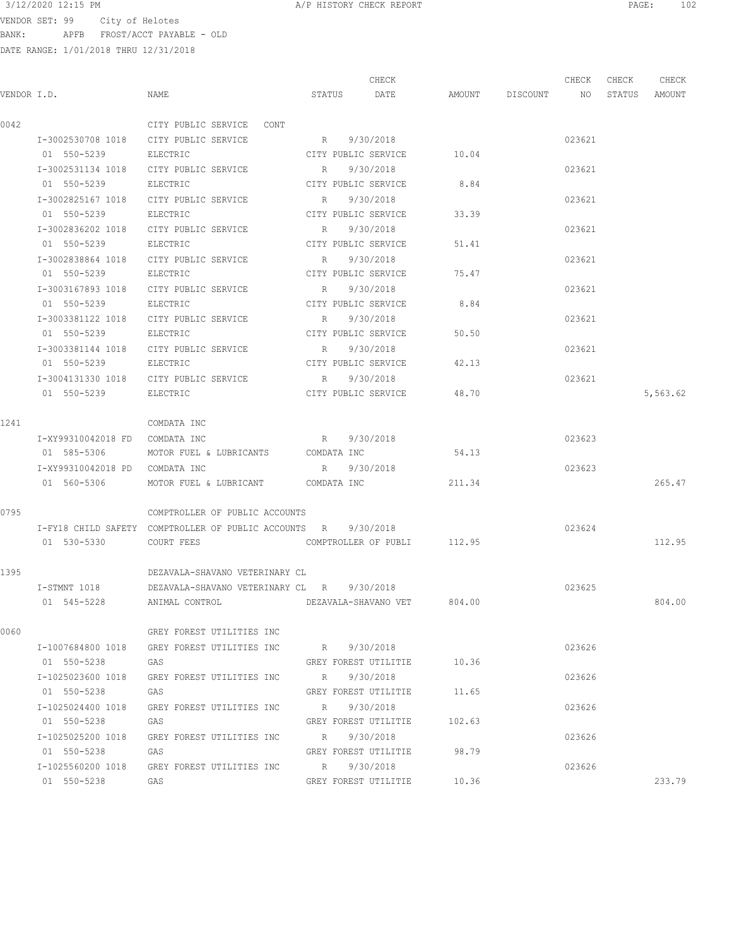VENDOR SET: 99 City of Helotes BANK: APFB FROST/ACCT PAYABLE - OLD

|             |                                |                                                      |                     | CHECK                       |                 | CHECK  | CHECK  | CHECK    |
|-------------|--------------------------------|------------------------------------------------------|---------------------|-----------------------------|-----------------|--------|--------|----------|
| VENDOR I.D. |                                | NAME                                                 | STATUS              | DATE                        | AMOUNT DISCOUNT | NO.    | STATUS | AMOUNT   |
| 0042        |                                | CITY PUBLIC SERVICE CONT                             |                     |                             |                 |        |        |          |
|             |                                | I-3002530708 1018 CITY PUBLIC SERVICE                | R 9/30/2018         |                             |                 | 023621 |        |          |
|             | 01 550-5239                    | ELECTRIC                                             | CITY PUBLIC SERVICE |                             | 10.04           |        |        |          |
|             | I-3002531134 1018              | CITY PUBLIC SERVICE                                  | R                   | 9/30/2018                   |                 | 023621 |        |          |
|             | 01 550-5239                    | ELECTRIC                                             | CITY PUBLIC SERVICE |                             | 8.84            |        |        |          |
|             | I-3002825167 1018              | CITY PUBLIC SERVICE                                  | R                   | 9/30/2018                   |                 | 023621 |        |          |
|             | 01 550-5239                    | ELECTRIC                                             | CITY PUBLIC SERVICE |                             | 33.39           |        |        |          |
|             | I-3002836202 1018              | CITY PUBLIC SERVICE                                  | R                   | 9/30/2018                   |                 | 023621 |        |          |
|             | 01 550-5239                    | ELECTRIC                                             | CITY PUBLIC SERVICE |                             | 51.41           |        |        |          |
|             | I-3002838864 1018              | CITY PUBLIC SERVICE                                  | R                   | 9/30/2018                   |                 | 023621 |        |          |
|             | 01 550-5239                    | ELECTRIC                                             | CITY PUBLIC SERVICE |                             | 75.47           |        |        |          |
|             | I-3003167893 1018              | CITY PUBLIC SERVICE                                  | R                   | 9/30/2018                   |                 | 023621 |        |          |
|             | 01 550-5239                    | ELECTRIC                                             |                     | CITY PUBLIC SERVICE         | 8.84            |        |        |          |
|             |                                | I-3003381122 1018 CITY PUBLIC SERVICE                | R                   | 9/30/2018                   |                 | 023621 |        |          |
|             | 01 550-5239                    | ELECTRIC                                             |                     | CITY PUBLIC SERVICE         | 50.50           |        |        |          |
|             | I-3003381144 1018              | CITY PUBLIC SERVICE                                  | R                   | 9/30/2018                   |                 | 023621 |        |          |
|             | 01 550-5239                    | ELECTRIC                                             | CITY PUBLIC SERVICE |                             | 42.13           |        |        |          |
|             | I-3004131330 1018              | CITY PUBLIC SERVICE                                  | R 9/30/2018         |                             |                 | 023621 |        |          |
|             | 01 550-5239                    | ELECTRIC                                             |                     | CITY PUBLIC SERVICE         | 48.70           |        |        | 5,563.62 |
| 1241        |                                | COMDATA INC                                          |                     |                             |                 |        |        |          |
|             | I-XY99310042018 FD COMDATA INC |                                                      | R 9/30/2018         |                             |                 | 023623 |        |          |
|             | 01 585-5306                    | MOTOR FUEL & LUBRICANTS COMDATA INC                  |                     |                             | 54.13           |        |        |          |
|             | I-XY99310042018 PD COMDATA INC |                                                      | R 9/30/2018         |                             |                 | 023623 |        |          |
|             | 01 560-5306                    | MOTOR FUEL & LUBRICANT COMDATA INC                   |                     |                             | 211.34          |        |        | 265.47   |
|             |                                |                                                      |                     |                             |                 |        |        |          |
| 0795        |                                | COMPTROLLER OF PUBLIC ACCOUNTS                       |                     |                             |                 |        |        |          |
|             |                                | I-FY18 CHILD SAFETY COMPTROLLER OF PUBLIC ACCOUNTS R |                     | 9/30/2018                   |                 | 023624 |        |          |
|             | 01 530-5330                    | COURT FEES                                           |                     | COMPTROLLER OF PUBLI 112.95 |                 |        |        | 112.95   |
| 1395        |                                | DEZAVALA-SHAVANO VETERINARY CL                       |                     |                             |                 |        |        |          |
|             | I-STMNT 1018                   | DEZAVALA-SHAVANO VETERINARY CL R 9/30/2018           |                     |                             |                 | 023625 |        |          |
|             | 01 545-5228                    | ANIMAL CONTROL DEZAVALA-SHAVANO VET 804.00           |                     |                             |                 |        |        | 804.00   |
| 0060        |                                | GREY FOREST UTILITIES INC                            |                     |                             |                 |        |        |          |
|             |                                | I-1007684800 1018 GREY FOREST UTILITIES INC          | R 9/30/2018         |                             |                 | 023626 |        |          |
|             | 01 550-5238                    | GAS                                                  |                     | GREY FOREST UTILITIE 10.36  |                 |        |        |          |
|             | I-1025023600 1018              | GREY FOREST UTILITIES INC R 9/30/2018                |                     |                             |                 | 023626 |        |          |
|             | 01 550-5238                    | GAS                                                  |                     | GREY FOREST UTILITIE 11.65  |                 |        |        |          |
|             | I-1025024400 1018              | GREY FOREST UTILITIES INC                            | R 9/30/2018         |                             |                 | 023626 |        |          |
|             | 01 550-5238                    | GAS                                                  |                     | GREY FOREST UTILITIE 102.63 |                 |        |        |          |
|             | I-1025025200 1018              | GREY FOREST UTILITIES INC                            | R 9/30/2018         |                             |                 | 023626 |        |          |
|             | 01 550-5238                    | GAS                                                  |                     | GREY FOREST UTILITIE        | 98.79           |        |        |          |
|             |                                | I-1025560200 1018 GREY FOREST UTILITIES INC          | R 9/30/2018         |                             |                 | 023626 |        |          |
|             | 01 550-5238 GAS                |                                                      |                     | GREY FOREST UTILITIE 10.36  |                 |        |        | 233.79   |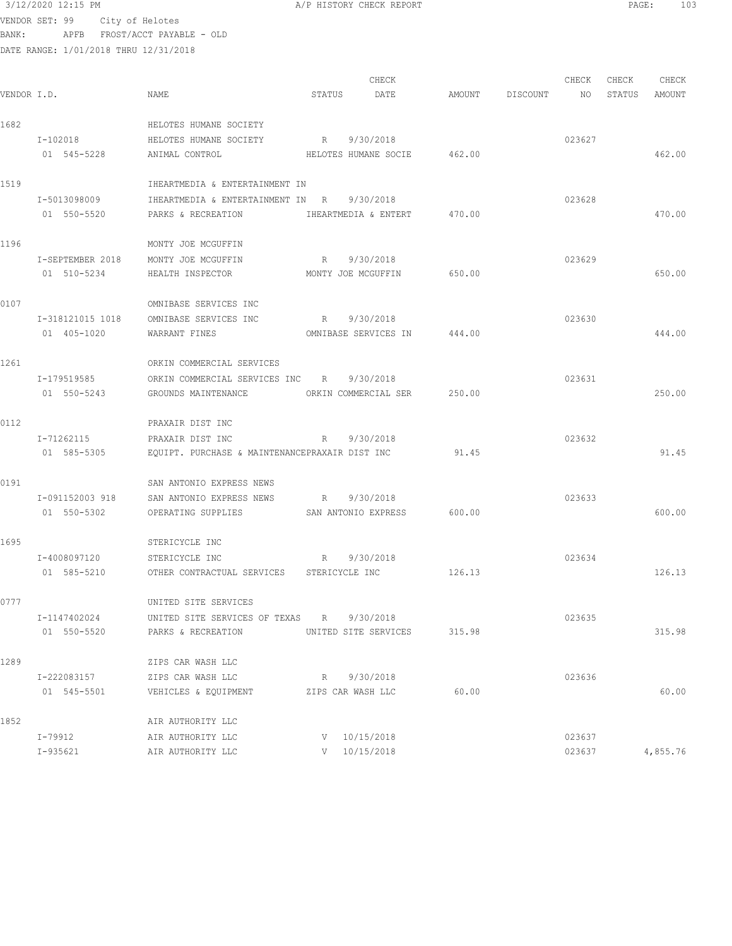3/12/2020 12:15 PM A/P HISTORY CHECK REPORT PAGE: 103 VENDOR SET: 99 City of Helotes BANK: APFB FROST/ACCT PAYABLE - OLD DATE RA

|             | DATE RANGE: 1/01/2018 THRU 12/31/2018 |                                                |        |                                  |        |          |             |                 |                 |
|-------------|---------------------------------------|------------------------------------------------|--------|----------------------------------|--------|----------|-------------|-----------------|-----------------|
| VENDOR I.D. |                                       | NAME                                           | STATUS | CHECK<br>DATE                    | AMOUNT | DISCOUNT | CHECK<br>NO | CHECK<br>STATUS | CHECK<br>AMOUNT |
| 1682        |                                       | HELOTES HUMANE SOCIETY                         |        |                                  |        |          |             |                 |                 |
|             | I-102018                              | HELOTES HUMANE SOCIETY                         | R      | 9/30/2018                        |        |          | 023627      |                 |                 |
|             | 01 545-5228                           | ANIMAL CONTROL                                 |        | HELOTES HUMANE SOCIE             | 462.00 |          |             |                 | 462.00          |
|             |                                       |                                                |        |                                  |        |          |             |                 |                 |
| 1519        |                                       | IHEARTMEDIA & ENTERTAINMENT IN                 |        |                                  |        |          |             |                 |                 |
|             | I-5013098009                          | IHEARTMEDIA & ENTERTAINMENT IN R               |        | 9/30/2018                        |        |          | 023628      |                 |                 |
|             | 01 550-5520                           | PARKS & RECREATION                             |        | IHEARTMEDIA & ENTERT             | 470.00 |          |             |                 | 470.00          |
| 1196        |                                       | MONTY JOE MCGUFFIN                             |        |                                  |        |          |             |                 |                 |
|             | I-SEPTEMBER 2018                      | MONTY JOE MCGUFFIN                             | R      | 9/30/2018                        |        |          | 023629      |                 |                 |
|             | 01 510-5234                           | HEALTH INSPECTOR                               |        | MONTY JOE MCGUFFIN               | 650.00 |          |             |                 | 650.00          |
|             |                                       |                                                |        |                                  |        |          |             |                 |                 |
| 0107        |                                       | OMNIBASE SERVICES INC                          |        |                                  |        |          |             |                 |                 |
|             | I-318121015 1018                      | OMNIBASE SERVICES INC                          | R      | 9/30/2018                        |        |          | 023630      |                 |                 |
|             | 01 405-1020                           | WARRANT FINES                                  |        | OMNIBASE SERVICES IN 444.00      |        |          |             |                 | 444.00          |
| 1261        |                                       | ORKIN COMMERCIAL SERVICES                      |        |                                  |        |          |             |                 |                 |
|             | I-179519585                           | ORKIN COMMERCIAL SERVICES INC R                |        | 9/30/2018                        |        |          | 023631      |                 |                 |
|             | 01 550-5243                           | GROUNDS MAINTENANCE                            |        | ORKIN COMMERCIAL SER             | 250.00 |          |             |                 | 250.00          |
|             |                                       |                                                |        |                                  |        |          |             |                 |                 |
| 0112        |                                       | PRAXAIR DIST INC                               |        |                                  |        |          |             |                 |                 |
|             | I-71262115                            | PRAXAIR DIST INC                               | R      | 9/30/2018                        |        |          | 023632      |                 |                 |
|             | 01 585-5305                           | EQUIPT. PURCHASE & MAINTENANCEPRAXAIR DIST INC |        |                                  | 91.45  |          |             |                 | 91.45           |
| 0191        |                                       | SAN ANTONIO EXPRESS NEWS                       |        |                                  |        |          |             |                 |                 |
|             | I-091152003 918                       | SAN ANTONIO EXPRESS NEWS                       | R      | 9/30/2018                        |        |          | 023633      |                 |                 |
|             | 01 550-5302                           | OPERATING SUPPLIES                             |        | SAN ANTONIO EXPRESS              | 600.00 |          |             |                 | 600.00          |
|             |                                       |                                                |        |                                  |        |          |             |                 |                 |
| 1695        |                                       | STERICYCLE INC                                 |        |                                  |        |          |             |                 |                 |
|             | I-4008097120                          | STERICYCLE INC                                 | R      | 9/30/2018                        |        |          | 023634      |                 |                 |
|             | 01 585-5210                           | OTHER CONTRACTUAL SERVICES STERICYCLE INC      |        |                                  | 126.13 |          |             |                 | 126.13          |
| 0777        |                                       | UNITED SITE SERVICES                           |        |                                  |        |          |             |                 |                 |
|             | I-1147402024                          | UNITED SITE SERVICES OF TEXAS R 9/30/2018      |        |                                  |        |          | 023635      |                 |                 |
|             | 01 550-5520                           | PARKS & RECREATION                             |        | UNITED SITE SERVICES             | 315.98 |          |             |                 | 315.98          |
|             |                                       |                                                |        |                                  |        |          |             |                 |                 |
| 1289        |                                       | ZIPS CAR WASH LLC                              |        |                                  |        |          |             |                 |                 |
|             | I-222083157<br>01 545-5501            | ZIPS CAR WASH LLC                              |        | R 9/30/2018<br>ZIPS CAR WASH LLC | 60.00  |          | 023636      |                 | 60.00           |
|             |                                       | VEHICLES & EQUIPMENT                           |        |                                  |        |          |             |                 |                 |
| 1852        |                                       | AIR AUTHORITY LLC                              |        |                                  |        |          |             |                 |                 |
|             | I-79912                               | AIR AUTHORITY LLC                              |        | $V = 10/15/2018$                 |        |          | 023637      |                 |                 |
|             | $I-935621$                            | AIR AUTHORITY LLC                              |        | $V = 10/15/2018$                 |        |          | 023637      |                 | 4,855.76        |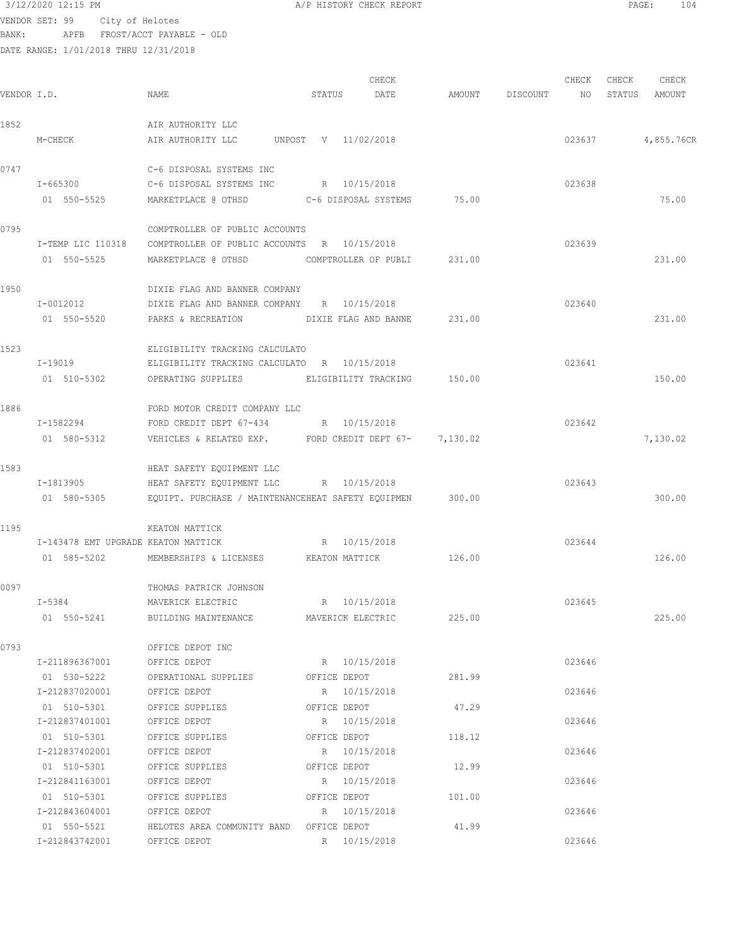VENDOR SET: 99 City of Helotes BANK: APFB FROST/ACCT PAYABLE - OLD

| VENDOR I.D. |                                                                | NAME                                                                                                                             | STATUS | CHECK<br>DATE                  | AMOUNT | DISCOUNT | CHECK<br>NO      | CHECK | CHECK<br>STATUS AMOUNT |
|-------------|----------------------------------------------------------------|----------------------------------------------------------------------------------------------------------------------------------|--------|--------------------------------|--------|----------|------------------|-------|------------------------|
| 1852        |                                                                | AIR AUTHORITY LLC                                                                                                                |        |                                |        |          |                  |       |                        |
|             | M-CHECK                                                        | AIR AUTHORITY LLC                                                                                                                |        | UNPOST V 11/02/2018            |        |          | 023637           |       | 4,855.76CR             |
| 0747        | I-665300<br>01 550-5525                                        | C-6 DISPOSAL SYSTEMS INC<br>C-6 DISPOSAL SYSTEMS INC                                                                             |        | R 10/15/2018                   | 75.00  |          | 023638           |       | 75.00                  |
| 0795        | I-TEMP LIC 110318<br>01 550-5525                               | COMPTROLLER OF PUBLIC ACCOUNTS<br>COMPTROLLER OF PUBLIC ACCOUNTS R 10/15/2018<br>MARKETPLACE @ OTHSD COMPTROLLER OF PUBLI 231.00 |        |                                |        |          | 023639           |       | 231.00                 |
| 1950        | I-0012012<br>01 550-5520                                       | DIXIE FLAG AND BANNER COMPANY<br>DIXIE FLAG AND BANNER COMPANY R 10/15/2018<br>PARKS & RECREATION                                |        | DIXIE FLAG AND BANNE           | 231.00 |          | 023640           |       | 231.00                 |
| 1523        | I-19019<br>01 510-5302                                         | ELIGIBILITY TRACKING CALCULATO<br>ELIGIBILITY TRACKING CALCULATO R 10/15/2018<br>OPERATING SUPPLIES                              |        | ELIGIBILITY TRACKING           | 150.00 |          | 023641           |       | 150.00                 |
| 1886        | I-1582294<br>01 580-5312                                       | FORD MOTOR CREDIT COMPANY LLC<br>FORD CREDIT DEPT 67-434<br>VEHICLES & RELATED EXP. FORD CREDIT DEPT 67- 7,130.02                |        | R 10/15/2018                   |        |          | 023642           |       | 7,130.02               |
| 1583        | I-1813905<br>01 580-5305                                       | HEAT SAFETY EQUIPMENT LLC<br>HEAT SAFETY EQUIPMENT LLC R 10/15/2018<br>EQUIPT. PURCHASE / MAINTENANCEHEAT SAFETY EQUIPMEN 300.00 |        |                                |        |          | 023643           |       | 300.00                 |
| 1195        | I-143478 EMT UPGRADE KEATON MATTICK<br>01 585-5202             | KEATON MATTICK<br>MEMBERSHIPS & LICENSES                                                                                         |        | R 10/15/2018<br>KEATON MATTICK | 126.00 |          | 023644           |       | 126.00                 |
| 0097        | $I - 5384$                                                     | THOMAS PATRICK JOHNSON<br>MAVERICK ELECTRIC<br>01 550-5241 BUILDING MAINTENANCE MAVERICK ELECTRIC 225.00                         |        | R 10/15/2018                   |        |          | 023645           |       | 225.00                 |
| 0793        | I-211896367001<br>01 530-5222                                  | OFFICE DEPOT INC<br>OFFICE DEPOT<br>OPERATIONAL SUPPLIES OFFICE DEPOT                                                            |        | R 10/15/2018                   | 281.99 |          | 023646           |       |                        |
|             | I-212837020001 OFFICE DEPOT<br>I-212837401001                  | 01 510-5301 OFFICE SUPPLIES OFFICE DEPOT<br>OFFICE DEPOT R 10/15/2018<br>OFFICE SUPPLIES OFFICE DEPOT 118.12                     |        | R 10/15/2018                   | 47.29  |          | 023646<br>023646 |       |                        |
|             | 01 510-5301<br>I-212837402001<br>01 510-5301<br>I-212841163001 | OFFICE DEPOT R 10/15/2018<br>OFFICE SUPPLIES<br>OFFICE DEPOT                                                                     |        | OFFICE DEPOT<br>R 10/15/2018   | 12.99  |          | 023646<br>023646 |       |                        |
|             | 01 510-5301<br>I-212843604001                                  | OFFICE SUPPLIES<br>OFFICE DEPOT                                                                                                  |        | OFFICE DEPOT<br>R 10/15/2018   | 101.00 |          | 023646           |       |                        |
|             | 01 550-5521<br>I-212843742001                                  | HELOTES AREA COMMUNITY BAND OFFICE DEPOT<br>R 10/15/2018<br>OFFICE DEPOT                                                         |        |                                | 41.99  |          | 023646           |       |                        |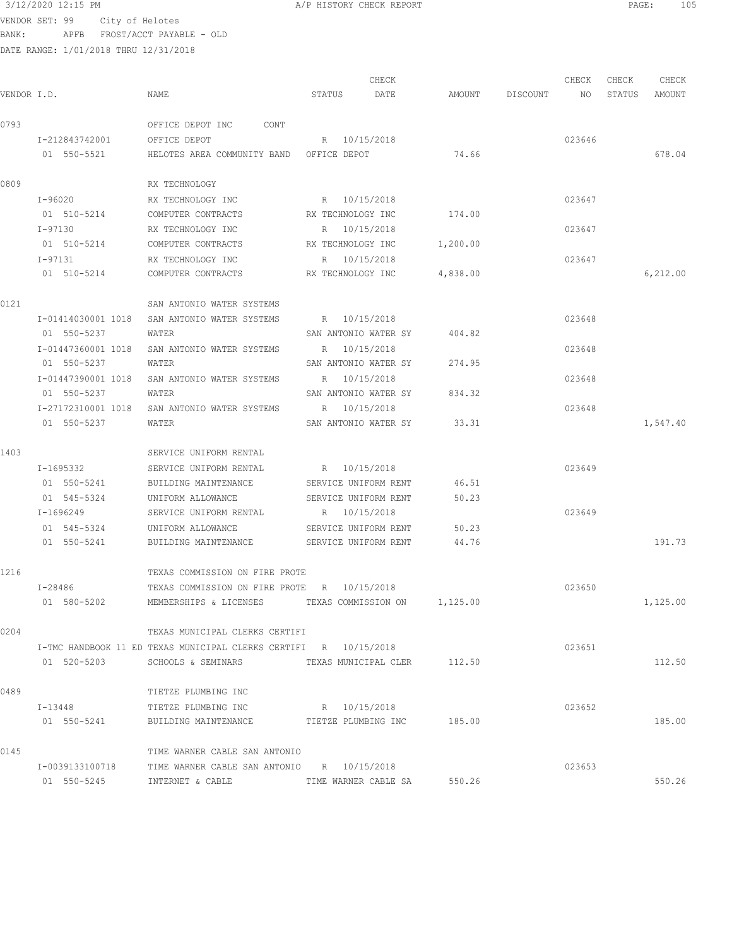| 3/12/2020 12:15 PM |                                         | A/P HISTORY CHECK REPORT | PAGE: | 105 |
|--------------------|-----------------------------------------|--------------------------|-------|-----|
|                    | VENDOR SET: 99 City of Helotes          |                          |       |     |
| <b>DANK •</b>      | חזה – הזמגיאס ה <i>יחיח</i> ו/הפתח המסת |                          |       |     |

| VENDOR I.D. |                    | NAME                                                             | STATUS            | CHECK<br>DATE               |                              | AMOUNT DISCOUNT NO STATUS AMOUNT | CHECK  | CHECK | CHECK     |
|-------------|--------------------|------------------------------------------------------------------|-------------------|-----------------------------|------------------------------|----------------------------------|--------|-------|-----------|
| 0793        |                    | OFFICE DEPOT INC CONT                                            |                   |                             |                              |                                  |        |       |           |
|             | I-212843742001     | OFFICE DEPOT                                                     | R 10/15/2018      |                             |                              |                                  | 023646 |       |           |
|             | 01 550-5521        | HELOTES AREA COMMUNITY BAND OFFICE DEPOT                         |                   |                             | 74.66                        |                                  |        |       | 678.04    |
| 0809        |                    | RX TECHNOLOGY                                                    |                   |                             |                              |                                  |        |       |           |
|             | I-96020            | RX TECHNOLOGY INC                                                | R 10/15/2018      |                             |                              |                                  | 023647 |       |           |
|             | 01 510-5214        | COMPUTER CONTRACTS                                               | RX TECHNOLOGY INC |                             | 174.00                       |                                  |        |       |           |
|             | I-97130            | RX TECHNOLOGY INC                                                | R 10/15/2018      |                             |                              |                                  | 023647 |       |           |
|             | 01 510-5214        | COMPUTER CONTRACTS                                               | RX TECHNOLOGY INC |                             | 1,200.00                     |                                  |        |       |           |
|             | I-97131            | RX TECHNOLOGY INC                                                | R 10/15/2018      |                             |                              |                                  | 023647 |       |           |
|             | 01 510-5214        | COMPUTER CONTRACTS                                               |                   | RX TECHNOLOGY INC 4,838.00  |                              |                                  |        |       | 6, 212.00 |
| 0121        |                    | SAN ANTONIO WATER SYSTEMS                                        |                   |                             |                              |                                  |        |       |           |
|             |                    | I-01414030001 1018 SAN ANTONIO WATER SYSTEMS                     | R 10/15/2018      |                             |                              |                                  | 023648 |       |           |
|             | 01 550-5237        | WATER                                                            |                   | SAN ANTONIO WATER SY 404.82 |                              |                                  |        |       |           |
|             | I-01447360001 1018 | SAN ANTONIO WATER SYSTEMS                                        | R 10/15/2018      |                             |                              |                                  | 023648 |       |           |
|             | 01 550-5237        | WATER                                                            |                   | SAN ANTONIO WATER SY        | 274.95                       |                                  |        |       |           |
|             | I-01447390001 1018 | SAN ANTONIO WATER SYSTEMS                                        | R 10/15/2018      |                             |                              |                                  | 023648 |       |           |
|             | 01 550-5237        | WATER                                                            |                   | SAN ANTONIO WATER SY 834.32 |                              |                                  |        |       |           |
|             |                    | I-27172310001 1018 SAN ANTONIO WATER SYSTEMS                     | R 10/15/2018      |                             |                              |                                  | 023648 |       |           |
|             | 01 550-5237        | WATER                                                            |                   | SAN ANTONIO WATER SY 33.31  |                              |                                  |        |       | 1,547.40  |
| 1403        |                    | SERVICE UNIFORM RENTAL                                           |                   |                             |                              |                                  |        |       |           |
|             | I-1695332          | SERVICE UNIFORM RENTAL                                           | R 10/15/2018      |                             |                              |                                  | 023649 |       |           |
|             | 01 550-5241        | BUILDING MAINTENANCE                                             |                   | SERVICE UNIFORM RENT        | 46.51                        |                                  |        |       |           |
|             | 01 545-5324        | UNIFORM ALLOWANCE SERVICE UNIFORM RENT                           |                   |                             | 50.23                        |                                  |        |       |           |
|             | I-1696249          | SERVICE UNIFORM RENTAL                                           | R 10/15/2018      |                             |                              |                                  | 023649 |       |           |
|             | 01 545-5324        | UNIFORM ALLOWANCE                                                |                   | SERVICE UNIFORM RENT        | 50.23                        |                                  |        |       |           |
|             | 01 550-5241        | BUILDING MAINTENANCE SERVICE UNIFORM RENT                        |                   |                             | 44.76                        |                                  |        |       | 191.73    |
| 1216        |                    | TEXAS COMMISSION ON FIRE PROTE                                   |                   |                             |                              |                                  |        |       |           |
|             | I-28486            | TEXAS COMMISSION ON FIRE PROTE R 10/15/2018                      |                   |                             |                              |                                  | 023650 |       |           |
|             | 01 580-5202        | MEMBERSHIPS & LICENSES                                           |                   |                             | TEXAS COMMISSION ON 1,125.00 |                                  |        |       | 1,125.00  |
| 0204        |                    | TEXAS MUNICIPAL CLERKS CERTIFI                                   |                   |                             |                              |                                  |        |       |           |
|             |                    | I-TMC HANDBOOK 11 ED TEXAS MUNICIPAL CLERKS CERTIFI R 10/15/2018 |                   |                             |                              |                                  | 023651 |       |           |
|             |                    | 01 520-5203 SCHOOLS & SEMINARS TEXAS MUNICIPAL CLER 112.50       |                   |                             |                              |                                  |        |       | 112.50    |
| 0489        |                    | TIETZE PLUMBING INC                                              |                   |                             |                              |                                  |        |       |           |
|             |                    | I-13448 TIETZE PLUMBING INC                                      | R 10/15/2018      |                             |                              |                                  | 023652 |       |           |
|             |                    | 01 550-5241 BUILDING MAINTENANCE TIETZE PLUMBING INC 185.00      |                   |                             |                              |                                  |        |       | 185.00    |
| 0145        |                    | TIME WARNER CABLE SAN ANTONIO                                    |                   |                             |                              |                                  |        |       |           |
|             | I-0039133100718    | TIME WARNER CABLE SAN ANTONIO R 10/15/2018                       |                   |                             |                              |                                  | 023653 |       |           |
|             | 01 550-5245        | INTERNET & CABLE                                                 |                   | TIME WARNER CABLE SA        | 550.26                       |                                  |        |       | 550.26    |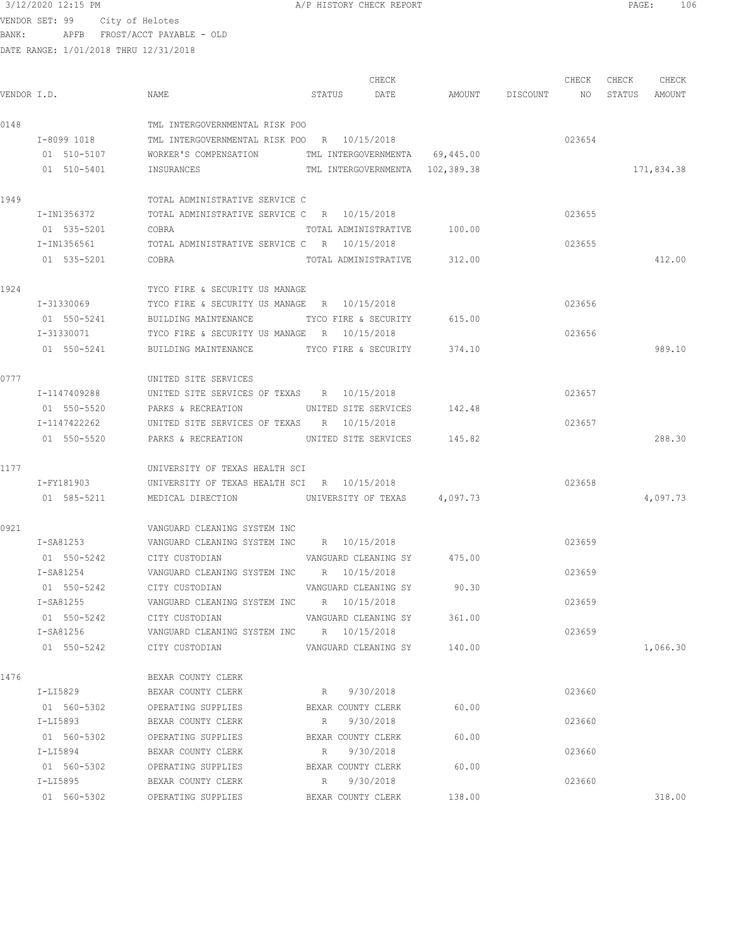$3/12/2020$  12:15 PM  $A/P$  HISTORY CHECK REPORT  $PAGE:$  106 VENDOR SET: 99 City of Helotes

BANK: APFB FROST/ACCT PAYABLE - OLD

|             |              |                                                      |                      | CHECK                |                                 | CHECK  | CHECK  | CHECK      |
|-------------|--------------|------------------------------------------------------|----------------------|----------------------|---------------------------------|--------|--------|------------|
| VENDOR I.D. |              | NAME                                                 | STATUS               | DATE                 | AMOUNT DISCOUNT NO              |        | STATUS | AMOUNT     |
| 0148        |              | TML INTERGOVERNMENTAL RISK POO                       |                      |                      |                                 |        |        |            |
|             | I-8099 1018  | TML INTERGOVERNMENTAL RISK POO R 10/15/2018          |                      |                      |                                 | 023654 |        |            |
|             | 01 510-5107  | WORKER'S COMPENSATION TML INTERGOVERNMENTA 69,445.00 |                      |                      |                                 |        |        |            |
|             | 01 510-5401  | INSURANCES                                           |                      |                      | TML INTERGOVERNMENTA 102,389.38 |        |        | 171,834.38 |
| 1949        |              | TOTAL ADMINISTRATIVE SERVICE C                       |                      |                      |                                 |        |        |            |
|             | I-IN1356372  | TOTAL ADMINISTRATIVE SERVICE C R 10/15/2018          |                      |                      |                                 | 023655 |        |            |
|             | 01 535-5201  | COBRA                                                |                      |                      | TOTAL ADMINISTRATIVE 100.00     |        |        |            |
|             | I-IN1356561  | TOTAL ADMINISTRATIVE SERVICE C R 10/15/2018          |                      |                      |                                 | 023655 |        |            |
|             | 01 535-5201  | COBRA                                                |                      |                      | TOTAL ADMINISTRATIVE 312.00     |        |        | 412.00     |
| 1924        |              | TYCO FIRE & SECURITY US MANAGE                       |                      |                      |                                 |        |        |            |
|             | I-31330069   | TYCO FIRE & SECURITY US MANAGE R 10/15/2018          |                      |                      |                                 | 023656 |        |            |
|             | 01 550-5241  | BUILDING MAINTENANCE                                 |                      | TYCO FIRE & SECURITY | 615.00                          |        |        |            |
|             | I-31330071   | TYCO FIRE & SECURITY US MANAGE R 10/15/2018          |                      |                      |                                 | 023656 |        |            |
|             | 01 550-5241  | BUILDING MAINTENANCE TYCO FIRE & SECURITY 374.10     |                      |                      |                                 |        |        | 989.10     |
| 0777        |              | UNITED SITE SERVICES                                 |                      |                      |                                 |        |        |            |
|             | I-1147409288 | UNITED SITE SERVICES OF TEXAS R 10/15/2018           |                      |                      |                                 | 023657 |        |            |
|             | 01 550-5520  | PARKS & RECREATION                                   | UNITED SITE SERVICES |                      | 142.48                          |        |        |            |
|             | I-1147422262 | UNITED SITE SERVICES OF TEXAS R 10/15/2018           |                      |                      |                                 | 023657 |        |            |
|             | 01 550-5520  | PARKS & RECREATION                                   |                      |                      | UNITED SITE SERVICES 145.82     |        |        | 288.30     |
| 1177        |              | UNIVERSITY OF TEXAS HEALTH SCI                       |                      |                      |                                 |        |        |            |
|             | I-FY181903   | UNIVERSITY OF TEXAS HEALTH SCI R 10/15/2018          |                      |                      |                                 | 023658 |        |            |
|             | 01 585-5211  | MEDICAL DIRECTION UNIVERSITY OF TEXAS 4,097.73       |                      |                      |                                 |        |        | 4,097.73   |
| 0921        |              | VANGUARD CLEANING SYSTEM INC                         |                      |                      |                                 |        |        |            |
|             | I-SA81253    | VANGUARD CLEANING SYSTEM INC R 10/15/2018            |                      |                      |                                 | 023659 |        |            |
|             | 01 550-5242  | CITY CUSTODIAN <b>WANGUARD CLEANING SY</b> 475.00    |                      |                      |                                 |        |        |            |
|             | I-SA81254    | VANGUARD CLEANING SYSTEM INC R 10/15/2018            |                      |                      |                                 | 023659 |        |            |
|             | 01 550-5242  | VANGUARD CLEANING SY 90.30<br>CITY CUSTODIAN         |                      |                      |                                 |        |        |            |
|             | I-SA81255    | VANGUARD CLEANING SYSTEM INC R 10/15/2018            |                      |                      |                                 | 023659 |        |            |
|             | 01 550-5242  | CITY CUSTODIAN                                       | VANGUARD CLEANING SY |                      | 361.00                          |        |        |            |
|             | I-SA81256    | VANGUARD CLEANING SYSTEM INC R 10/15/2018            |                      |                      |                                 | 023659 |        |            |
|             | 01 550-5242  | CITY CUSTODIAN                                       |                      | VANGUARD CLEANING SY | 140.00                          |        |        | 1,066.30   |
| 1476        |              | BEXAR COUNTY CLERK                                   |                      |                      |                                 |        |        |            |
|             | I-LI5829     | BEXAR COUNTY CLERK                                   | R 9/30/2018          |                      |                                 | 023660 |        |            |
|             | 01 560-5302  | OPERATING SUPPLIES                                   | BEXAR COUNTY CLERK   |                      | 60.00                           |        |        |            |
|             | I-LI5893     | BEXAR COUNTY CLERK                                   | R 9/30/2018          |                      |                                 | 023660 |        |            |
|             | 01 560-5302  | OPERATING SUPPLIES                                   | BEXAR COUNTY CLERK   |                      | 60.00                           |        |        |            |
|             | I-LI5894     | BEXAR COUNTY CLERK                                   | R 9/30/2018          |                      |                                 | 023660 |        |            |
|             | 01 560-5302  | OPERATING SUPPLIES                                   | BEXAR COUNTY CLERK   |                      | 60.00                           |        |        |            |
|             | I-LI5895     | BEXAR COUNTY CLERK                                   | R 9/30/2018          |                      |                                 | 023660 |        |            |
|             |              | 01 560-5302 OPERATING SUPPLIES                       |                      | BEXAR COUNTY CLERK   | 138.00                          |        |        | 318.00     |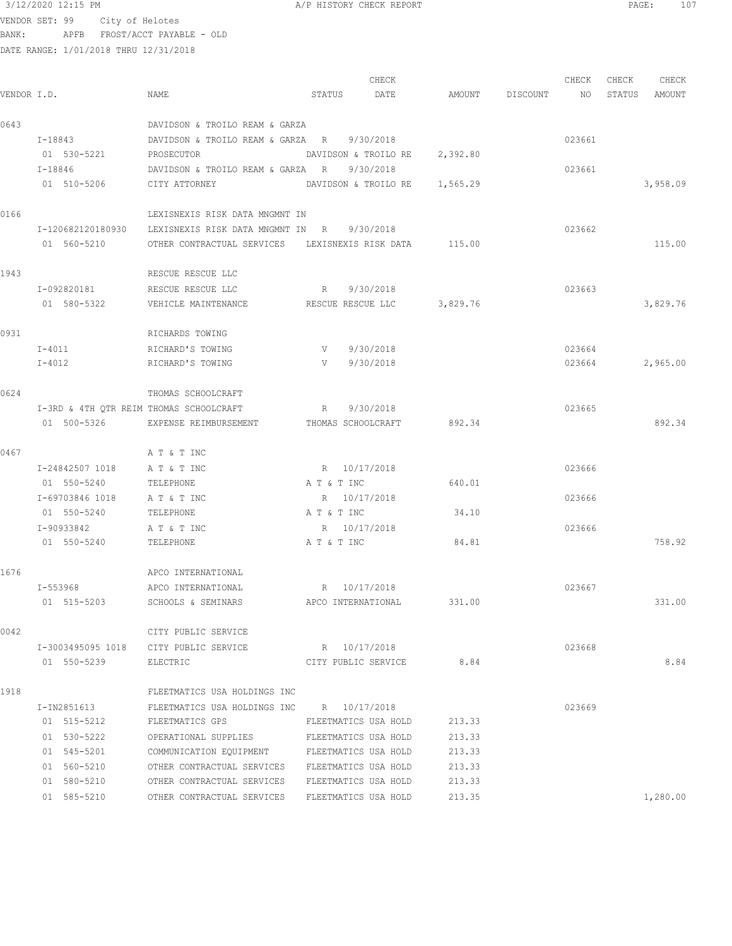|             | DATE RANGE: 1/01/2018 THRU 12/31/2018 |                                                              |                               |        |                    |        |               |          |
|-------------|---------------------------------------|--------------------------------------------------------------|-------------------------------|--------|--------------------|--------|---------------|----------|
|             |                                       |                                                              | CHECK                         |        |                    | CHECK  | CHECK         | CHECK    |
| VENDOR I.D. |                                       | NAME                                                         | STATUS DATE                   |        | AMOUNT DISCOUNT NO |        | STATUS AMOUNT |          |
| 0643        |                                       | DAVIDSON & TROILO REAM & GARZA                               |                               |        |                    |        |               |          |
|             | I-18843                               | DAVIDSON & TROILO REAM & GARZA R 9/30/2018                   |                               |        |                    | 023661 |               |          |
|             | 01 530-5221                           | PROSECUTOR                                                   | DAVIDSON & TROILO RE 2,392.80 |        |                    |        |               |          |
|             | I-18846                               | DAVIDSON & TROILO REAM & GARZA R                             | 9/30/2018                     |        |                    | 023661 |               |          |
|             | 01 510-5206 CITY ATTORNEY             |                                                              | DAVIDSON & TROILO RE 1,565.29 |        |                    |        |               | 3,958.09 |
| 0166        |                                       | LEXISNEXIS RISK DATA MNGMNT IN                               |                               |        |                    |        |               |          |
|             |                                       | I-120682120180930 LEXISNEXIS RISK DATA MNGMNT IN R 9/30/2018 |                               |        |                    | 023662 |               |          |
|             | 01 560-5210                           | OTHER CONTRACTUAL SERVICES LEXISNEXIS RISK DATA 115.00       |                               |        |                    |        |               | 115.00   |
| 1943        |                                       | RESCUE RESCUE LLC                                            |                               |        |                    |        |               |          |
|             | I-092820181                           | RESCUE RESCUE LLC                                            | R 9/30/2018                   |        |                    | 023663 |               |          |
|             | 01 580-5322                           | VEHICLE MAINTENANCE                                          | RESCUE RESCUE LLC 3,829.76    |        |                    |        |               | 3,829.76 |
| 0931        |                                       | RICHARDS TOWING                                              |                               |        |                    |        |               |          |
|             | I-4011                                | RICHARD'S TOWING                                             | V 9/30/2018                   |        |                    | 023664 |               |          |
|             | I-4012                                | RICHARD'S TOWING                                             | V 9/30/2018                   |        |                    | 023664 |               | 2,965.00 |
| 0624        |                                       | THOMAS SCHOOLCRAFT                                           |                               |        |                    |        |               |          |
|             |                                       | I-3RD & 4TH QTR REIM THOMAS SCHOOLCRAFT                      | 9/30/2018<br>R                |        |                    | 023665 |               |          |
|             |                                       | 01 500-5326 EXPENSE REIMBURSEMENT THOMAS SCHOOLCRAFT         |                               | 892.34 |                    |        |               | 892.34   |
| 0467        |                                       | A T & T INC                                                  |                               |        |                    |        |               |          |
|             | I-24842507 1018                       | A T & T INC                                                  | R 10/17/2018                  |        |                    | 023666 |               |          |
|             | 01 550-5240                           | TELEPHONE                                                    | A T & T INC                   | 640.01 |                    |        |               |          |
|             | I-69703846 1018                       | A T & T INC                                                  | R 10/17/2018                  |        |                    | 023666 |               |          |
|             | 01 550-5240                           | TELEPHONE                                                    | A T & T INC                   | 34.10  |                    |        |               |          |
|             | I-90933842                            | A T & T INC                                                  | R 10/17/2018                  |        |                    | 023666 |               |          |
|             | 01 550-5240                           | TELEPHONE                                                    | A T & T INC                   | 84.81  |                    |        |               | 758.92   |
| 1676        |                                       | APCO INTERNATIONAL                                           |                               |        |                    |        |               |          |
|             | I-553968                              | APCO INTERNATIONAL                                           | R 10/17/2018                  |        |                    | 023667 |               |          |
|             | 01 515-5203                           | SCHOOLS & SEMINARS                                           | APCO INTERNATIONAL            | 331.00 |                    |        |               | 331.00   |
| 0042        |                                       | CITY PUBLIC SERVICE                                          |                               |        |                    |        |               |          |
|             | I-3003495095 1018                     | CITY PUBLIC SERVICE                                          | R 10/17/2018                  |        |                    | 023668 |               |          |
|             | 01 550-5239                           | ELECTRIC                                                     | CITY PUBLIC SERVICE           | 8.84   |                    |        |               | 8.84     |
| 1918        |                                       | FLEETMATICS USA HOLDINGS INC                                 |                               |        |                    |        |               |          |
|             | I-IN2851613                           | FLEETMATICS USA HOLDINGS INC R 10/17/2018                    |                               |        |                    | 023669 |               |          |
|             | 01 515-5212                           | FLEETMATICS GPS                                              | FLEETMATICS USA HOLD          | 213.33 |                    |        |               |          |
|             | 01 530-5222                           | OPERATIONAL SUPPLIES FLEETMATICS USA HOLD                    |                               | 213.33 |                    |        |               |          |
|             | 01 545-5201                           | COMMUNICATION EQUIPMENT                                      | FLEETMATICS USA HOLD          | 213.33 |                    |        |               |          |

 01 560-5210 OTHER CONTRACTUAL SERVICES FLEETMATICS USA HOLD 213.33 01 580-5210 OTHER CONTRACTUAL SERVICES FLEETMATICS USA HOLD 213.33

01 585-5210 OTHER CONTRACTUAL SERVICES FLEETMATICS USA HOLD 213.35 1,280.00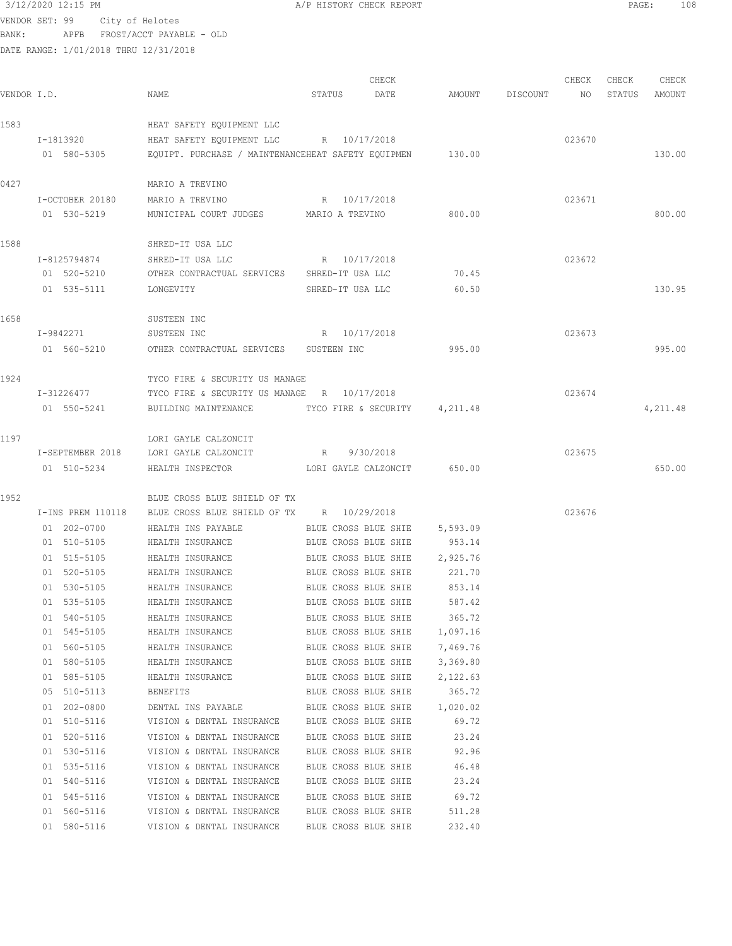### $3/12/2020$  12:15 PM  $A/P$  HISTORY CHECK REPORT  $\blacksquare$  PAGE: 108 VENDOR SET: 99 City of Helotes BANK: APFB FROST/ACCT PAYABLE - OLD DATE RANGE: 1/01/2018 THRU 12/31/2018

|             |                   |                                                    |                      | CHECK      |          |          | CHECK  | CHECK  | CHECK    |
|-------------|-------------------|----------------------------------------------------|----------------------|------------|----------|----------|--------|--------|----------|
| VENDOR I.D. |                   | NAME                                               | STATUS               | DATE       | AMOUNT   | DISCOUNT | NO     | STATUS | AMOUNT   |
| 1583        |                   | HEAT SAFETY EQUIPMENT LLC                          |                      |            |          |          |        |        |          |
|             | I-1813920         | HEAT SAFETY EQUIPMENT LLC                          | R 10/17/2018         |            |          |          | 023670 |        |          |
|             | 01 580-5305       | EQUIPT. PURCHASE / MAINTENANCEHEAT SAFETY EQUIPMEN |                      |            | 130.00   |          |        |        | 130.00   |
|             |                   |                                                    |                      |            |          |          |        |        |          |
| 0427        |                   | MARIO A TREVINO                                    |                      |            |          |          |        |        |          |
|             | I-OCTOBER 20180   | MARIO A TREVINO                                    | R 10/17/2018         |            |          |          | 023671 |        |          |
|             | 01 530-5219       | MUNICIPAL COURT JUDGES MARIO A TREVINO             |                      |            | 800.00   |          |        |        | 800.00   |
| 1588        |                   | SHRED-IT USA LLC                                   |                      |            |          |          |        |        |          |
|             | I-8125794874      | SHRED-IT USA LLC                                   | R 10/17/2018         |            |          |          | 023672 |        |          |
|             | 01 520-5210       | OTHER CONTRACTUAL SERVICES                         | SHRED-IT USA LLC     |            | 70.45    |          |        |        |          |
|             | 01 535-5111       | LONGEVITY                                          | SHRED-IT USA LLC     |            | 60.50    |          |        |        | 130.95   |
|             |                   |                                                    |                      |            |          |          |        |        |          |
| 1658        |                   | SUSTEEN INC                                        |                      |            |          |          |        |        |          |
|             | I-9842271         | SUSTEEN INC                                        | R                    | 10/17/2018 |          |          | 023673 |        |          |
|             | 01 560-5210       | OTHER CONTRACTUAL SERVICES                         | SUSTEEN INC          |            | 995.00   |          |        |        | 995.00   |
| 1924        |                   | TYCO FIRE & SECURITY US MANAGE                     |                      |            |          |          |        |        |          |
|             | I-31226477        | TYCO FIRE & SECURITY US MANAGE R 10/17/2018        |                      |            |          |          | 023674 |        |          |
|             | 01 550-5241       | BUILDING MAINTENANCE                               | TYCO FIRE & SECURITY |            | 4,211.48 |          |        |        | 4,211.48 |
| 1197        |                   | LORI GAYLE CALZONCIT                               |                      |            |          |          |        |        |          |
|             | I-SEPTEMBER 2018  | LORI GAYLE CALZONCIT                               | R                    | 9/30/2018  |          |          | 023675 |        |          |
|             | 01 510-5234       | HEALTH INSPECTOR                                   | LORI GAYLE CALZONCIT |            | 650.00   |          |        |        | 650.00   |
|             |                   |                                                    |                      |            |          |          |        |        |          |
| 1952        |                   | BLUE CROSS BLUE SHIELD OF TX                       |                      |            |          |          |        |        |          |
|             | I-INS PREM 110118 | BLUE CROSS BLUE SHIELD OF TX                       | R                    | 10/29/2018 |          |          | 023676 |        |          |
|             | 01 202-0700       | HEALTH INS PAYABLE                                 | BLUE CROSS BLUE SHIE |            | 5,593.09 |          |        |        |          |
|             | 01 510-5105       | HEALTH INSURANCE                                   | BLUE CROSS BLUE SHIE |            | 953.14   |          |        |        |          |
|             | 01 515-5105       | HEALTH INSURANCE                                   | BLUE CROSS BLUE SHIE |            | 2,925.76 |          |        |        |          |
|             | 01 520-5105       | HEALTH INSURANCE                                   | BLUE CROSS BLUE SHIE |            | 221.70   |          |        |        |          |
|             | 01 530-5105       | HEALTH INSURANCE                                   | BLUE CROSS BLUE SHIE |            | 853.14   |          |        |        |          |
|             | 01 535-5105       | HEALTH INSURANCE                                   | BLUE CROSS BLUE SHIE |            | 587.42   |          |        |        |          |
|             | 01 540-5105       | HEALTH INSURANCE                                   | BLUE CROSS BLUE SHIE |            | 365.72   |          |        |        |          |
|             | 01 545-5105       | HEALTH INSURANCE                                   | BLUE CROSS BLUE SHIE |            | 1,097.16 |          |        |        |          |
|             | 01 560-5105       | HEALTH INSURANCE                                   | BLUE CROSS BLUE SHIE |            | 7,469.76 |          |        |        |          |
|             | 01 580-5105       | HEALTH INSURANCE                                   | BLUE CROSS BLUE SHIE |            | 3,369.80 |          |        |        |          |
|             | 01 585-5105       | HEALTH INSURANCE                                   | BLUE CROSS BLUE SHIE |            | 2,122.63 |          |        |        |          |
|             | 05 510-5113       | BENEFITS                                           | BLUE CROSS BLUE SHIE |            | 365.72   |          |        |        |          |
|             | 01 202-0800       | DENTAL INS PAYABLE                                 | BLUE CROSS BLUE SHIE |            | 1,020.02 |          |        |        |          |
|             | 01 510-5116       | VISION & DENTAL INSURANCE                          | BLUE CROSS BLUE SHIE |            | 69.72    |          |        |        |          |
|             | 01 520-5116       | VISION & DENTAL INSURANCE                          | BLUE CROSS BLUE SHIE |            | 23.24    |          |        |        |          |
|             | 01 530-5116       | VISION & DENTAL INSURANCE                          | BLUE CROSS BLUE SHIE |            | 92.96    |          |        |        |          |
|             | 01 535-5116       | VISION & DENTAL INSURANCE                          | BLUE CROSS BLUE SHIE |            | 46.48    |          |        |        |          |
|             | 01 540-5116       | VISION & DENTAL INSURANCE                          | BLUE CROSS BLUE SHIE |            | 23.24    |          |        |        |          |
|             | 01 545-5116       | VISION & DENTAL INSURANCE                          | BLUE CROSS BLUE SHIE |            | 69.72    |          |        |        |          |
|             | 01 560-5116       | VISION & DENTAL INSURANCE                          | BLUE CROSS BLUE SHIE |            | 511.28   |          |        |        |          |
|             | 01 580-5116       | VISION & DENTAL INSURANCE                          | BLUE CROSS BLUE SHIE |            | 232.40   |          |        |        |          |
|             |                   |                                                    |                      |            |          |          |        |        |          |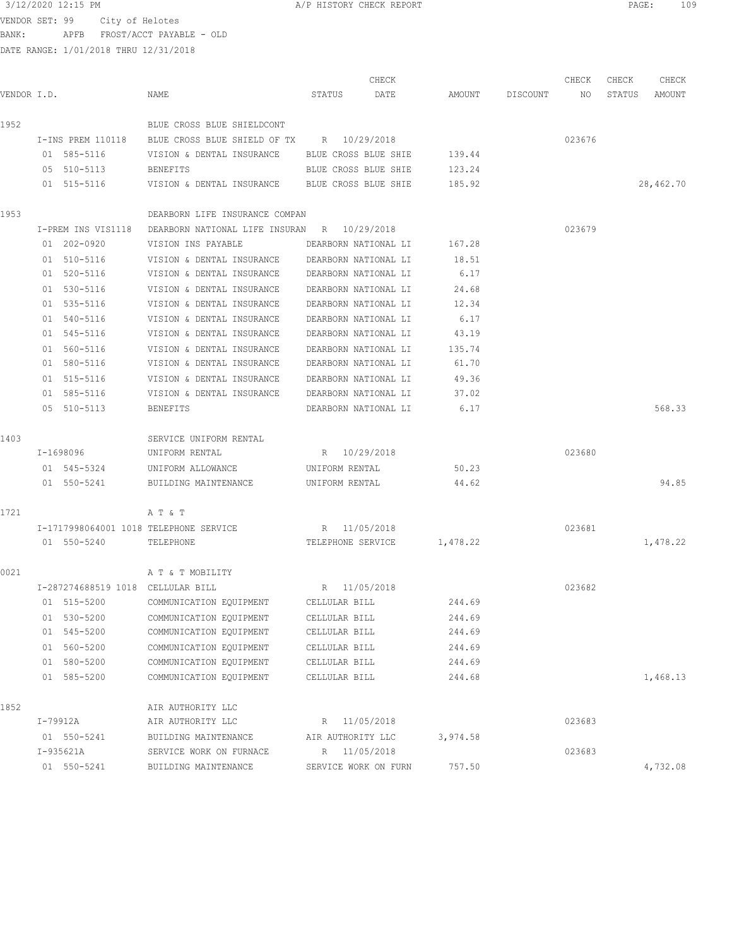|             |                                                                                                      |                                                                |                            | CHECK |          |                 | CHECK  | CHECK  | CHECK     |
|-------------|------------------------------------------------------------------------------------------------------|----------------------------------------------------------------|----------------------------|-------|----------|-----------------|--------|--------|-----------|
| VENDOR I.D. |                                                                                                      | NAME                                                           | STATUS<br>DATE             |       |          | AMOUNT DISCOUNT | NO     | STATUS | AMOUNT    |
| 1952        |                                                                                                      | BLUE CROSS BLUE SHIELDCONT                                     |                            |       |          |                 |        |        |           |
|             |                                                                                                      | I-INS PREM 110118 BLUE CROSS BLUE SHIELD OF TX R 10/29/2018    |                            |       |          |                 | 023676 |        |           |
|             | 01 585-5116                                                                                          | VISION & DENTAL INSURANCE BLUE CROSS BLUE SHIE                 |                            |       | 139.44   |                 |        |        |           |
|             | 05 510-5113                                                                                          | BENEFITS                                                       | BLUE CROSS BLUE SHIE       |       | 123.24   |                 |        |        |           |
|             | 01 515-5116                                                                                          | VISION & DENTAL INSURANCE BLUE CROSS BLUE SHIE                 |                            |       | 185.92   |                 |        |        | 28,462.70 |
| 1953        |                                                                                                      | DEARBORN LIFE INSURANCE COMPAN                                 |                            |       |          |                 |        |        |           |
|             |                                                                                                      | I-PREM INS VIS1118 DEARBORN NATIONAL LIFE INSURAN R 10/29/2018 |                            |       |          |                 | 023679 |        |           |
|             | 01 202-0920                                                                                          | VISION INS PAYABLE THE DEARBORN NATIONAL LI 167.28             |                            |       |          |                 |        |        |           |
|             |                                                                                                      | 01 510-5116 VISION & DENTAL INSURANCE DEARBORN NATIONAL LI     |                            |       | 18.51    |                 |        |        |           |
|             |                                                                                                      | 01 520-5116 VISION & DENTAL INSURANCE DEARBORN NATIONAL LI     |                            |       | 6.17     |                 |        |        |           |
|             | 01 530-5116                                                                                          | VISION & DENTAL INSURANCE DEARBORN NATIONAL LI                 |                            |       | 24.68    |                 |        |        |           |
|             | 01 535-5116                                                                                          | VISION & DENTAL INSURANCE DEARBORN NATIONAL LI                 |                            |       | 12.34    |                 |        |        |           |
|             | 01 540-5116                                                                                          | VISION & DENTAL INSURANCE DEARBORN NATIONAL LI                 |                            |       | 6.17     |                 |        |        |           |
|             | 01 545-5116                                                                                          | VISION & DENTAL INSURANCE                                      | DEARBORN NATIONAL LI       |       | 43.19    |                 |        |        |           |
|             | 01 560-5116                                                                                          | VISION & DENTAL INSURANCE                                      | DEARBORN NATIONAL LI       |       | 135.74   |                 |        |        |           |
|             | 01 580-5116                                                                                          | VISION & DENTAL INSURANCE                                      | DEARBORN NATIONAL LI       |       | 61.70    |                 |        |        |           |
|             | 01 515-5116                                                                                          | VISION & DENTAL INSURANCE                                      | DEARBORN NATIONAL LI       |       | 49.36    |                 |        |        |           |
|             | 01 585-5116                                                                                          | VISION & DENTAL INSURANCE DEARBORN NATIONAL LI                 |                            |       | 37.02    |                 |        |        |           |
|             | 05 510-5113                                                                                          | BENEFITS                                                       | DEARBORN NATIONAL LI 6.17  |       |          |                 |        |        | 568.33    |
| 1403        |                                                                                                      | SERVICE UNIFORM RENTAL                                         |                            |       |          |                 |        |        |           |
|             | I-1698096 and the set of the set of the set of the set of the set of the set of the set of the set o | UNIFORM RENTAL                                                 | R 10/29/2018               |       |          |                 | 023680 |        |           |
|             |                                                                                                      | 01 545-5324 UNIFORM ALLOWANCE                                  | UNIFORM RENTAL             |       | 50.23    |                 |        |        |           |
|             |                                                                                                      | 01 550-5241 BUILDING MAINTENANCE                               | UNIFORM RENTAL             |       | 44.62    |                 |        |        | 94.85     |
| 1721        |                                                                                                      | A T & T                                                        |                            |       |          |                 |        |        |           |
|             |                                                                                                      | I-1717998064001 1018 TELEPHONE SERVICE                         | R 11/05/2018               |       |          |                 | 023681 |        |           |
|             | 01 550-5240 TELEPHONE                                                                                |                                                                | TELEPHONE SERVICE 1,478.22 |       |          |                 |        |        | 1,478.22  |
| 0021        |                                                                                                      | A T & T MOBILITY                                               |                            |       |          |                 |        |        |           |
|             | I-287274688519 1018 CELLULAR BILL                                                                    |                                                                | R 11/05/2018               |       |          |                 | 023682 |        |           |
|             | 01 515-5200                                                                                          | COMMUNICATION EQUIPMENT                                        | CELLULAR BILL              |       | 244.69   |                 |        |        |           |
|             | 01 530-5200                                                                                          | COMMUNICATION EQUIPMENT                                        | CELLULAR BILL              |       | 244.69   |                 |        |        |           |
|             | 01 545-5200                                                                                          | COMMUNICATION EQUIPMENT                                        | CELLULAR BILL              |       | 244.69   |                 |        |        |           |
|             | 01 560-5200                                                                                          | COMMUNICATION EQUIPMENT                                        | CELLULAR BILL              |       | 244.69   |                 |        |        |           |
|             | 01 580-5200                                                                                          | COMMUNICATION EQUIPMENT                                        | CELLULAR BILL              |       | 244.69   |                 |        |        |           |
|             | 01 585-5200                                                                                          | COMMUNICATION EQUIPMENT                                        | CELLULAR BILL              |       | 244.68   |                 |        |        | 1,468.13  |
| 1852        |                                                                                                      | AIR AUTHORITY LLC                                              |                            |       |          |                 |        |        |           |
|             | I-79912A                                                                                             | AIR AUTHORITY LLC                                              | R 11/05/2018               |       |          |                 | 023683 |        |           |
|             | 01 550-5241                                                                                          | BUILDING MAINTENANCE                                           | AIR AUTHORITY LLC          |       | 3,974.58 |                 |        |        |           |
|             | I-935621A                                                                                            | SERVICE WORK ON FURNACE                                        | R 11/05/2018               |       |          |                 | 023683 |        |           |
|             | 01 550-5241                                                                                          | BUILDING MAINTENANCE                                           | SERVICE WORK ON FURN       |       | 757.50   |                 |        |        | 4,732.08  |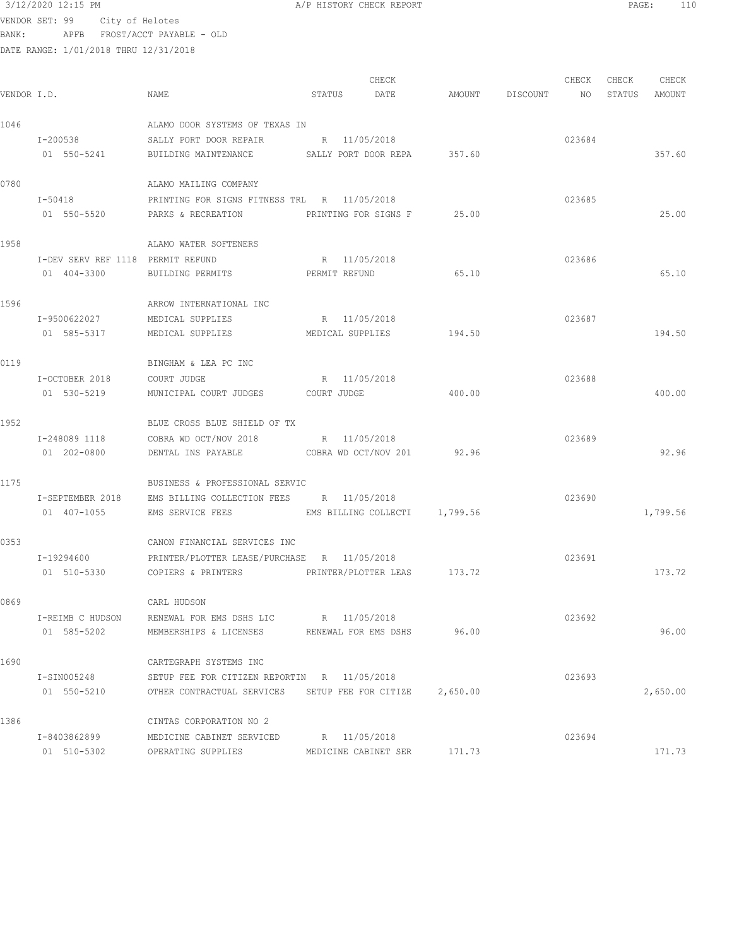## $3/12/2020$  12:15 PM  $A/P$  HISTORY CHECK REPORT  $\blacksquare$  PAGE: 110 VENDOR SET: 99 City of Helotes BANK: APFB FROST/ACCT PAYABLE - OLD

|             |                                   |                                                           |        | CHECK                |                    | CHECK  | CHECK         | CHECK    |
|-------------|-----------------------------------|-----------------------------------------------------------|--------|----------------------|--------------------|--------|---------------|----------|
| VENDOR I.D. |                                   | NAME                                                      | STATUS | DATE                 | AMOUNT DISCOUNT NO |        | STATUS AMOUNT |          |
| 1046        |                                   | ALAMO DOOR SYSTEMS OF TEXAS IN                            |        |                      |                    |        |               |          |
|             | I-200538                          | SALLY PORT DOOR REPAIR                                    |        | R 11/05/2018         |                    | 023684 |               |          |
|             | 01 550-5241                       | BUILDING MAINTENANCE SALLY PORT DOOR REPA 357.60          |        |                      |                    |        |               | 357.60   |
| 0780        |                                   | ALAMO MAILING COMPANY                                     |        |                      |                    |        |               |          |
|             | $I - 50418$                       | PRINTING FOR SIGNS FITNESS TRL R 11/05/2018               |        |                      |                    | 023685 |               |          |
|             |                                   | 01 550-5520 PARKS & RECREATION PRINTING FOR SIGNS F 25.00 |        |                      |                    |        |               | 25.00    |
| 1958        |                                   | ALAMO WATER SOFTENERS                                     |        |                      |                    |        |               |          |
|             | I-DEV SERV REF 1118 PERMIT REFUND |                                                           |        | R 11/05/2018         |                    | 023686 |               |          |
|             | 01 404-3300                       | BUILDING PERMITS FERMIT REFUND                            |        |                      | 65.10              |        |               | 65.10    |
| 1596        |                                   | ARROW INTERNATIONAL INC                                   |        |                      |                    |        |               |          |
|             | I-9500622027                      | MEDICAL SUPPLIES                                          |        | R 11/05/2018         |                    | 023687 |               |          |
|             | 01 585-5317                       | MEDICAL SUPPLIES                                          |        | MEDICAL SUPPLIES     | 194.50             |        |               | 194.50   |
| 0119        |                                   | BINGHAM & LEA PC INC                                      |        |                      |                    |        |               |          |
|             | I-OCTOBER 2018                    | COURT JUDGE                                               |        | R 11/05/2018         |                    | 023688 |               |          |
|             | 01 530-5219                       | MUNICIPAL COURT JUDGES COURT JUDGE                        |        |                      | 400.00             |        |               | 400.00   |
| 1952        |                                   | BLUE CROSS BLUE SHIELD OF TX                              |        |                      |                    |        |               |          |
|             |                                   | I-248089 1118 COBRA WD OCT/NOV 2018 R 11/05/2018          |        |                      |                    | 023689 |               |          |
|             | 01 202-0800                       | DENTAL INS PAYABLE COBRA WD OCT/NOV 201 92.96             |        |                      |                    |        |               | 92.96    |
| 1175        |                                   | BUSINESS & PROFESSIONAL SERVIC                            |        |                      |                    |        |               |          |
|             |                                   | I-SEPTEMBER 2018 EMS BILLING COLLECTION FEES R 11/05/2018 |        |                      |                    | 023690 |               |          |
|             | 01 407-1055                       | EMS SERVICE FEES THE SEMS BILLING COLLECTI 1,799.56       |        |                      |                    |        |               | 1,799.56 |
| 0353        |                                   | CANON FINANCIAL SERVICES INC                              |        |                      |                    |        |               |          |
|             | I-19294600                        | PRINTER/PLOTTER LEASE/PURCHASE R 11/05/2018               |        |                      |                    | 023691 |               |          |
|             | 01 510-5330                       | COPIERS & PRINTERS PRINTER/PLOTTER LEAS 173.72            |        |                      |                    |        |               | 173.72   |
| 0869        |                                   | CARL HUDSON                                               |        |                      |                    |        |               |          |
|             | I-REIMB C HUDSON                  | RENEWAL FOR EMS DSHS LIC                                  |        | R 11/05/2018         |                    | 023692 |               |          |
|             | 01 585-5202                       | MEMBERSHIPS & LICENSES                                    |        | RENEWAL FOR EMS DSHS | 96.00              |        |               | 96.00    |
| 1690        |                                   | CARTEGRAPH SYSTEMS INC                                    |        |                      |                    |        |               |          |
|             | I-SIN005248                       | SETUP FEE FOR CITIZEN REPORTIN R 11/05/2018               |        |                      |                    | 023693 |               |          |
|             | 01 550-5210                       | OTHER CONTRACTUAL SERVICES SETUP FEE FOR CITIZE           |        |                      | 2,650.00           |        |               | 2,650.00 |
| 1386        |                                   | CINTAS CORPORATION NO 2                                   |        |                      |                    |        |               |          |
|             | I-8403862899                      | MEDICINE CABINET SERVICED                                 |        | R 11/05/2018         | 171.73             | 023694 |               |          |
|             | 01 510-5302                       | OPERATING SUPPLIES                                        |        | MEDICINE CABINET SER |                    |        |               | 171.73   |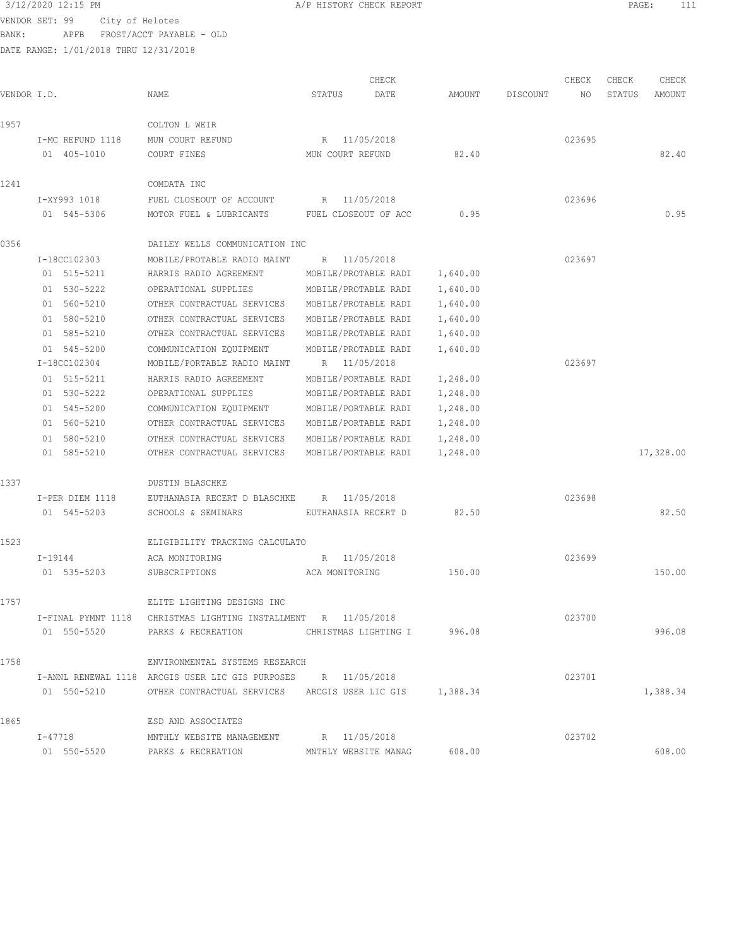VENDOR SET: 99 City of Helotes BANK: APFB FROST/ACCT PAYABLE - OLD

DATE RANGE: 1/01/2018 THRU 12/31/2018

 CHECK CHECK CHECK CHECK VENDOR I.D. NAME STATUS DATE AMOUNT DISCOUNT NO STATUS AMOUNT 1957 COLTON L WEIR I-MC REFUND 1118 MUN COURT REFUND R 11/05/2018 023695 01 405-1010 COURT FINES MUN COURT REFUND 82.40 82.40 1241 COMDATA INC I-XY993 1018 FUEL CLOSEOUT OF ACCOUNT R 11/05/2018 023696 01 545-5306 MOTOR FUEL & LUBRICANTS FUEL CLOSEOUT OF ACC 0.95 0.95 0356 DAILEY WELLS COMMUNICATION INC I-18CC102303 MOBILE/PROTABLE RADIO MAINT R 11/05/2018 023697 01 515-5211 HARRIS RADIO AGREEMENT MOBILE/PROTABLE RADI 1,640.00 01 530-5222 OPERATIONAL SUPPLIES MOBILE/PROTABLE RADI 1,640.00 01 560-5210 OTHER CONTRACTUAL SERVICES MOBILE/PROTABLE RADI 1,640.00 01 580-5210 OTHER CONTRACTUAL SERVICES MOBILE/PROTABLE RADI 1,640.00 01 585-5210 OTHER CONTRACTUAL SERVICES MOBILE/PROTABLE RADI 1,640.00 01 545-5200 COMMUNICATION EQUIPMENT MOBILE/PROTABLE RADI 1,640.00 I-18CC102304 MOBILE/PORTABLE RADIO MAINT R 11/05/2018 023697 01 515-5211 HARRIS RADIO AGREEMENT MOBILE/PORTABLE RADI 1,248.00 01 530-5222 OPERATIONAL SUPPLIES MOBILE/PORTABLE RADI 1,248.00 01 545-5200 COMMUNICATION EQUIPMENT MOBILE/PORTABLE RADI 1,248.00 01 560-5210 OTHER CONTRACTUAL SERVICES MOBILE/PORTABLE RADI 1,248.00 01 580-5210 OTHER CONTRACTUAL SERVICES MOBILE/PORTABLE RADI 1,248.00 01 585-5210 OTHER CONTRACTUAL SERVICES MOBILE/PORTABLE RADI 1,248.00 17,328.00 1337 DUSTIN BLASCHKE I-PER DIEM 1118 EUTHANASIA RECERT D BLASCHKE R 11/05/2018 023698 01 545-5203 SCHOOLS & SEMINARS EUTHANASIA RECERT D 82.50 82.50 82.50 1523 ELIGIBILITY TRACKING CALCULATO I-19144 ACA MONITORING R 11/05/2018 023699 01 535-5203 SUBSCRIPTIONS ACA MONITORING 150.00 150.00 1757 ELITE LIGHTING DESIGNS INC I-FINAL PYMNT 1118 CHRISTMAS LIGHTING INSTALLMENT R 11/05/2018 023700 01 550-5520 PARKS & RECREATION CHRISTMAS LIGHTING I 996.08 996.08 1758 ENVIRONMENTAL SYSTEMS RESEARCH I-ANNL RENEWAL 1118 ARCGIS USER LIC GIS PURPOSES R 11/05/2018 023701 01 550-5210 OTHER CONTRACTUAL SERVICES ARCGIS USER LIC GIS 1,388.34 1,388.34 1865 ESD AND ASSOCIATES I-47718 MNTHLY WEBSITE MANAGEMENT R 11/05/2018 023702 01 550-5520 PARKS & RECREATION MNTHLY WEBSITE MANAG 608.00 608.00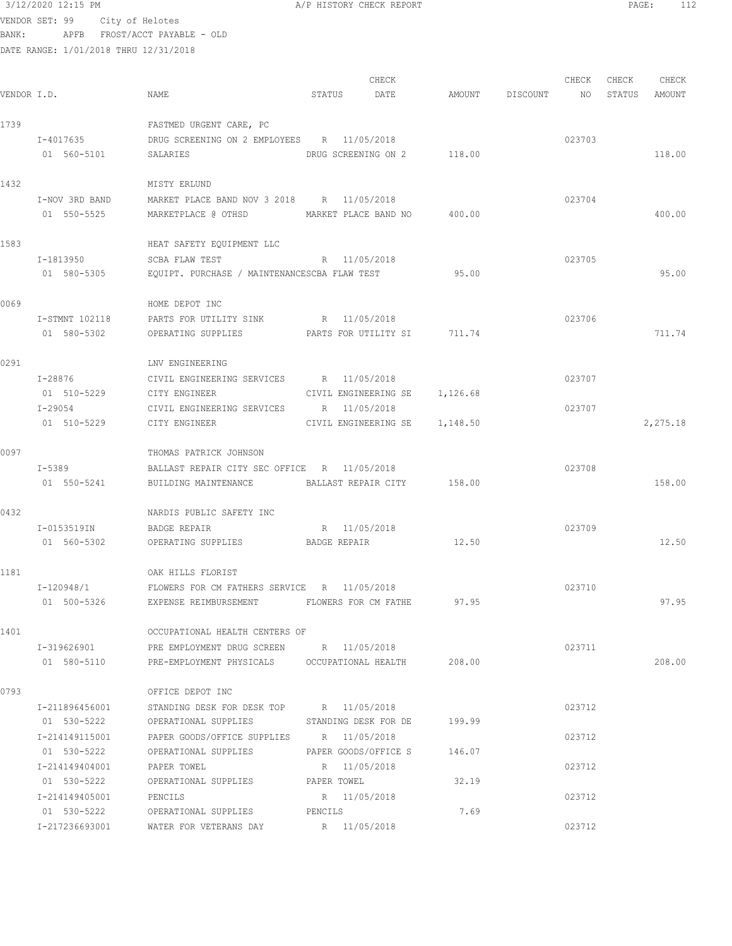VENDOR SET: 99 City of Helotes BANK: APFB FROST/ACCT PAYABLE - OLD

|             |                |                                                                                    |             | CHECK                         |                 | CHECK           | CHECK | CHECK         |
|-------------|----------------|------------------------------------------------------------------------------------|-------------|-------------------------------|-----------------|-----------------|-------|---------------|
| VENDOR I.D. |                | NAME                                                                               | STATUS      | DATE                          | AMOUNT DISCOUNT | NO <sub>N</sub> |       | STATUS AMOUNT |
| 1739        |                | FASTMED URGENT CARE, PC                                                            |             |                               |                 |                 |       |               |
|             | I-4017635      | DRUG SCREENING ON 2 EMPLOYEES R 11/05/2018                                         |             |                               |                 | 023703          |       |               |
|             | 01 560-5101    | SALARIES                                                                           |             | DRUG SCREENING ON 2 118.00    |                 |                 |       | 118.00        |
| 1432        |                | MISTY ERLUND                                                                       |             |                               |                 |                 |       |               |
|             | I-NOV 3RD BAND | MARKET PLACE BAND NOV 3 2018 R 11/05/2018                                          |             |                               |                 | 023704          |       |               |
|             | 01 550-5525    | MARKETPLACE @ OTHSD MARKET PLACE BAND NO 400.00                                    |             |                               |                 |                 |       | 400.00        |
| 1583        |                | HEAT SAFETY EQUIPMENT LLC                                                          |             |                               |                 |                 |       |               |
|             | I-1813950      | R 11/05/2018<br>SCBA FLAW TEST                                                     |             |                               |                 | 023705          |       |               |
|             | 01 580-5305    | EQUIPT. PURCHASE / MAINTENANCESCBA FLAW TEST                       95.00           |             |                               |                 |                 |       | 95.00         |
| 0069        |                | HOME DEPOT INC                                                                     |             |                               |                 |                 |       |               |
|             |                | I-STMNT 102118 PARTS FOR UTILITY SINK R 11/05/2018                                 |             |                               |                 | 023706          |       |               |
|             | 01 580-5302    | OPERATING SUPPLIES <b>PARTS FOR UTILITY SI</b> 711.74                              |             |                               |                 |                 |       | 711.74        |
| 0291        |                | LNV ENGINEERING                                                                    |             |                               |                 |                 |       |               |
|             | I-28876        | CIVIL ENGINEERING SERVICES B 11/05/2018                                            |             |                               |                 | 023707          |       |               |
|             | 01 510-5229    | CITY ENGINEER                                                                      |             | CIVIL ENGINEERING SE 1,126.68 |                 |                 |       |               |
|             | I-29054        | CIVIL ENGINEERING SERVICES R 11/05/2018                                            |             |                               |                 | 023707          |       |               |
|             | 01 510-5229    | CITY ENGINEER                                                                      |             | CIVIL ENGINEERING SE 1,148.50 |                 |                 |       | 2,275.18      |
| 0097        |                | THOMAS PATRICK JOHNSON                                                             |             |                               |                 |                 |       |               |
|             | $I - 5389$     | BALLAST REPAIR CITY SEC OFFICE R 11/05/2018                                        |             |                               |                 | 023708          |       |               |
|             | 01 550-5241    | BUILDING MAINTENANCE                                                               |             | BALLAST REPAIR CITY 158.00    |                 |                 |       | 158.00        |
| 0432        |                | NARDIS PUBLIC SAFETY INC                                                           |             |                               |                 |                 |       |               |
|             | I-0153519IN    | BADGE REPAIR                                                                       |             | R 11/05/2018                  |                 | 023709          |       |               |
|             | 01 560-5302    | OPERATING SUPPLIES                                                                 |             | BADGE REPAIR                  | 12.50           |                 |       | 12.50         |
| 1181        |                | OAK HILLS FLORIST                                                                  |             |                               |                 |                 |       |               |
|             | I-120948/1     | FLOWERS FOR CM FATHERS SERVICE R 11/05/2018                                        |             |                               |                 | 023710          |       |               |
|             | 01 500-5326    | EXPENSE REIMBURSEMENT                                                              |             | FLOWERS FOR CM FATHE          | 97.95           |                 |       | 97.95         |
| 1401        |                | OCCUPATIONAL HEALTH CENTERS OF                                                     |             |                               |                 |                 |       |               |
|             | I-319626901    | PRE EMPLOYMENT DRUG SCREEN R 11/05/2018                                            |             |                               |                 | 023711          |       |               |
|             |                | 01 580-5110 PRE-EMPLOYMENT PHYSICALS OCCUPATIONAL HEALTH 208.00                    |             |                               |                 |                 |       | 208.00        |
| 0793        |                | OFFICE DEPOT INC                                                                   |             |                               |                 |                 |       |               |
|             | I-211896456001 | STANDING DESK FOR DESK TOP R 11/05/2018                                            |             |                               |                 | 023712          |       |               |
|             | 01 530-5222    | OPERATIONAL SUPPLIES STANDING DESK FOR DE                                          |             |                               | 199.99          |                 |       |               |
|             | I-214149115001 | PAPER GOODS/OFFICE SUPPLIES R 11/05/2018                                           |             |                               |                 | 023712          |       |               |
|             | 01 530-5222    | OPERATIONAL SUPPLIES                                                               |             | PAPER GOODS/OFFICE S          | 146.07          |                 |       |               |
|             | I-214149404001 | PAPER TOWEL                                                                        |             | R 11/05/2018                  |                 | 023712          |       |               |
|             | 01 530-5222    | OPERATIONAL SUPPLIES                                                               | PAPER TOWEL |                               | 32.19           |                 |       |               |
|             | I-214149405001 | PENCILS                                                                            |             | R 11/05/2018                  |                 | 023712          |       |               |
|             | 01 530-5222    | OPERATIONAL SUPPLIES PENCILS<br>I-217236693001 WATER FOR VETERANS DAY R 11/05/2018 |             |                               | 7.69            | 023712          |       |               |
|             |                |                                                                                    |             |                               |                 |                 |       |               |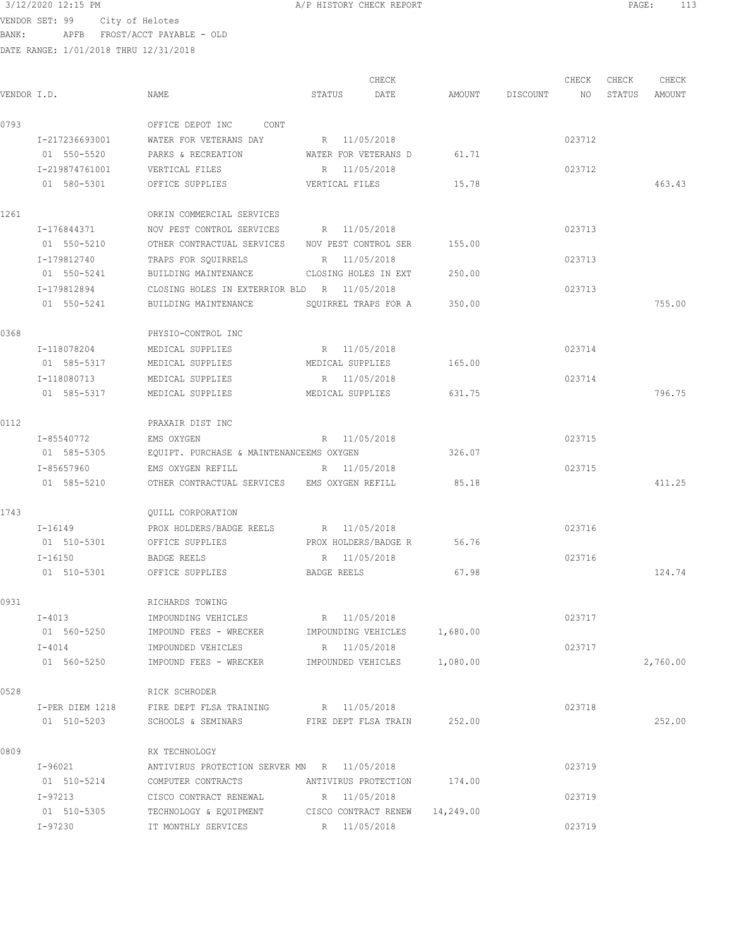DATE RANGE: 1/01/2018 THRU 12/31/2018

CHECK CHECK CHECK CHECK .<br>In the other weakstates when the status of the contract of the extendio of the Status amount of the Mount of t<br>In the Status of the Status of the Status amount of the Status amount of the Status amount of the Status amou 0793 OFFICE DEPOT INC CONT I-217236693001 WATER FOR VETERANS DAY R 11/05/2018 023712 01 550-5520 PARKS & RECREATION WATER FOR VETERANS D 61.71 I-219874761001 VERTICAL FILES R 11/05/2018 023712 01 580-5301 OFFICE SUPPLIES VERTICAL FILES 15.78 463.43 1261 ORKIN COMMERCIAL SERVICES I-176844371 NOV PEST CONTROL SERVICES R 11/05/2018 023713 01 550-5210 OTHER CONTRACTUAL SERVICES NOV PEST CONTROL SER 155.00 I-179812740 TRAPS FOR SQUIRRELS R 11/05/2018 023713 01 550-5241 BUILDING MAINTENANCE CLOSING HOLES IN EXT 250.00 I-179812894 CLOSING HOLES IN EXTERRIOR BLD R 11/05/2018 023713 01 550-5241 BUILDING MAINTENANCE SQUIRREL TRAPS FOR A 350.00 755.00 0368 PHYSIO-CONTROL INC I-118078204 MEDICAL SUPPLIES R 11/05/2018 023714 01 585-5317 MEDICAL SUPPLIES MEDICAL SUPPLIES 165.00 I-118080713 MEDICAL SUPPLIES R 11/05/2018 023714 01 585-5317 MEDICAL SUPPLIES MEDICAL SUPPLIES 631.75 796.75 0112 PRAXAIR DIST INC I-85540772 EMS OXYGEN R 11/05/2018 023715 01 585-5305 EQUIPT. PURCHASE & MAINTENANCEEMS OXYGEN 326.07 I-85657960 EMS OXYGEN REFILL R 11/05/2018 023715 01 585-5210 OTHER CONTRACTUAL SERVICES EMS OXYGEN REFILL 85.18 411.25 1743 QUILL CORPORATION I-16149 PROX HOLDERS/BADGE REELS R 11/05/2018<br>
01 510-5301 OFFICE SUPPLIES PROX HOLDERS/BADGE R 56.76 OFFICE SUPPLIES PROX HOLDERS/BADGE R 56.76 I-16150 BADGE REELS R 11/05/2018 023716 01 510-5301 OFFICE SUPPLIES BADGE REELS 67.98 67.98 124.74 0931 RICHARDS TOWING I-4013 IMPOUNDING VEHICLES R 11/05/2018 023717 01 560-5250 IMPOUND FEES - WRECKER IMPOUNDING VEHICLES 1,680.00 I-4014 IMPOUNDED VEHICLES R 11/05/2018 023717 01 560-5250 IMPOUND FEES - WRECKER IMPOUNDED VEHICLES 1,080.00 2,760.00 0528 RICK SCHRODER I-PER DIEM 1218 FIRE DEPT FLSA TRAINING R 11/05/2018 023718 01 510-5203 SCHOOLS & SEMINARS FIRE DEPT FLSA TRAIN 252.00 252.00 0809 RX TECHNOLOGY I-96021 ANTIVIRUS PROTECTION SERVER MN R 11/05/2018 023719 01 510-5214 COMPUTER CONTRACTS ANTIVIRUS PROTECTION 174.00 I-97213 CISCO CONTRACT RENEWAL R 11/05/2018 023719 01 510-5305 TECHNOLOGY & EQUIPMENT CISCO CONTRACT RENEW 14,249.00 I-97230 IT MONTHLY SERVICES R 11/05/2018 023719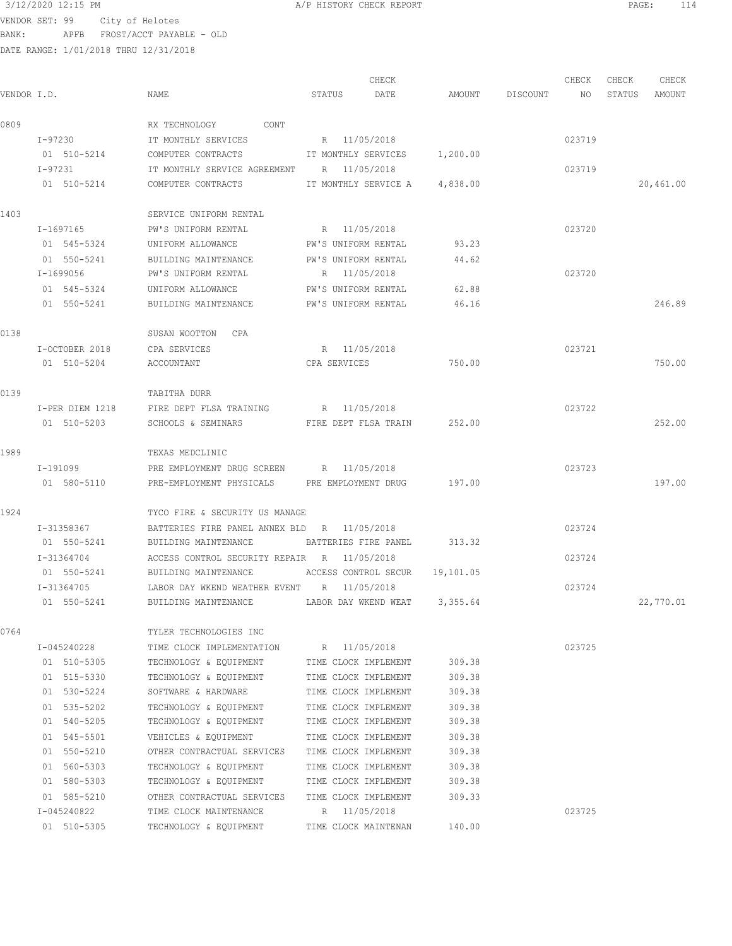DATE RANGE: 1/01/2018 THRU 12/31/2018

 CHECK CHECK CHECK CHECK .<br>In the other weapon of the Search Status Date and a the Discount and Status amount Amount Amount and the Statu 0809 RX TECHNOLOGY CONT I-97230 IT MONTHLY SERVICES R 11/05/2018 023719 01 510-5214 COMPUTER CONTRACTS IT MONTHLY SERVICES 1,200.00 I-97231 IT MONTHLY SERVICE AGREEMENT R 11/05/2018 023719 01 510-5214 COMPUTER CONTRACTS IT MONTHLY SERVICE A 4,838.00 20,461.00 1403 SERVICE UNIFORM RENTAL I-1697165 PW'S UNIFORM RENTAL R 11/05/2018 023720 01 545-5324 UNIFORM ALLOWANCE PW'S UNIFORM RENTAL 93.23 01 550-5241 BUILDING MAINTENANCE PW'S UNIFORM RENTAL 44.62 I-1699056 PW'S UNIFORM RENTAL R 11/05/2018 023720 01 545-5324 UNIFORM ALLOWANCE PW'S UNIFORM RENTAL 62.88 01 550-5241 BUILDING MAINTENANCE PW'S UNIFORM RENTAL 46.16 246.89 0138 SUSAN WOOTTON CPA I-OCTOBER 2018 CPA SERVICES R 11/05/2018 023721 01 510-5204 ACCOUNTANT CPA SERVICES 750.00 750.00 0139 TABITHA DURR I-PER DIEM 1218 FIRE DEPT FLSA TRAINING R 11/05/2018 023722 01 510-5203 SCHOOLS & SEMINARS FIRE DEPT FLSA TRAIN 252.00 252.00 1989 TEXAS MEDCLINIC I-191099 PRE EMPLOYMENT DRUG SCREEN R 11/05/2018 023723 01 580-5110 PRE-EMPLOYMENT PHYSICALS PRE EMPLOYMENT DRUG 197.00 197.00 1924 TYCO FIRE & SECURITY US MANAGE I-31358367 BATTERIES FIRE PANEL ANNEX BLD R 11/05/2018 023724 01 550-5241 BUILDING MAINTENANCE BATTERIES FIRE PANEL 313.32 I-31364704 ACCESS CONTROL SECURITY REPAIR R 11/05/2018 023724 01 550-5241 BUILDING MAINTENANCE ACCESS CONTROL SECUR 19,101.05 I-31364705 LABOR DAY WKEND WEATHER EVENT R 11/05/2018 023724 01 550-5241 BUILDING MAINTENANCE LABOR DAY WKEND WEAT 3,355.64 22,770.01 0764 TYLER TECHNOLOGIES INC I-045240228 TIME CLOCK IMPLEMENTATION R 11/05/2018 023725 01 510-5305 TECHNOLOGY & EQUIPMENT TIME CLOCK IMPLEMENT 309.38 01 515-5330 TECHNOLOGY & EQUIPMENT TIME CLOCK IMPLEMENT 309.38 01 530-5224 SOFTWARE & HARDWARE TIME CLOCK IMPLEMENT 309.38 01 535-5202 TECHNOLOGY & EQUIPMENT TIME CLOCK IMPLEMENT 309.38 01 540-5205 TECHNOLOGY & EQUIPMENT TIME CLOCK IMPLEMENT 309.38 01 545-5501 VEHICLES & EQUIPMENT TIME CLOCK IMPLEMENT 309.38 01 550-5210 OTHER CONTRACTUAL SERVICES TIME CLOCK IMPLEMENT 309.38 01 560-5303 TECHNOLOGY & EQUIPMENT TIME CLOCK IMPLEMENT 309.38 01 580-5303 TECHNOLOGY & EQUIPMENT TIME CLOCK IMPLEMENT 309.38 01 585-5210 OTHER CONTRACTUAL SERVICES TIME CLOCK IMPLEMENT 309.33 I-045240822 TIME CLOCK MAINTENANCE R 11/05/2018 023725 01 510-5305 TECHNOLOGY & EQUIPMENT TIME CLOCK MAINTENAN 140.00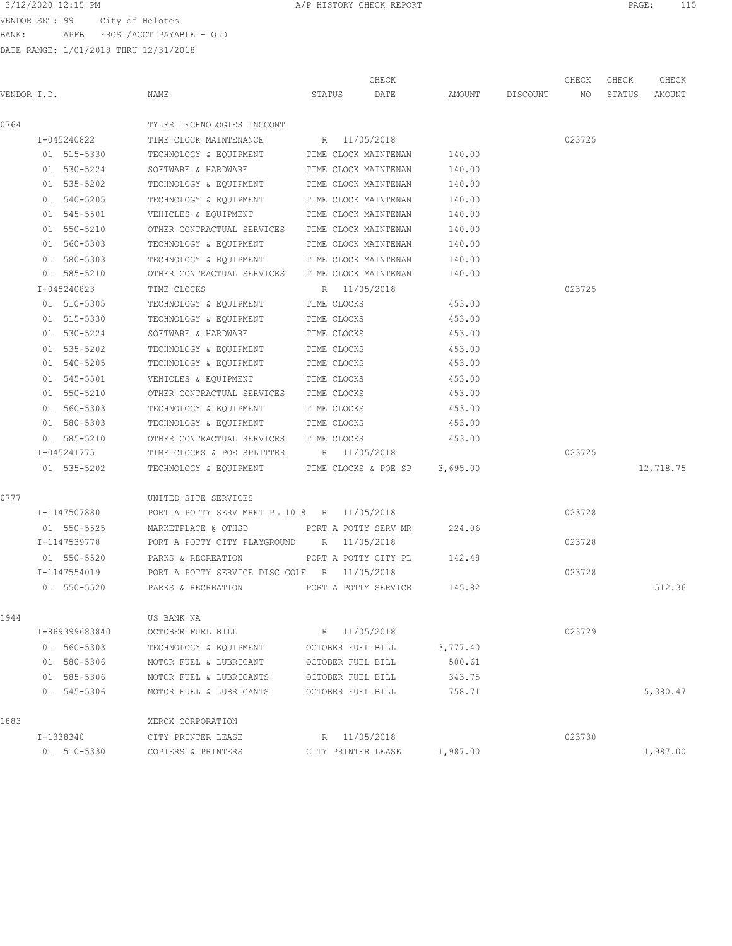VENDOR SET: 99 City of Helotes BANK: APFB FROST/ACCT PAYABLE - OLD

|                |                                                 | CHECK                |          |          | CHECK  | CHECK  | CHECK     |
|----------------|-------------------------------------------------|----------------------|----------|----------|--------|--------|-----------|
| VENDOR I.D.    | NAME                                            | STATUS<br>DATE       | AMOUNT   | DISCOUNT | NO     | STATUS | AMOUNT    |
| 0764           | TYLER TECHNOLOGIES INCCONT                      |                      |          |          |        |        |           |
| I-045240822    | TIME CLOCK MAINTENANCE                          | R 11/05/2018         |          |          | 023725 |        |           |
| 01 515-5330    | TECHNOLOGY & EQUIPMENT TIME CLOCK MAINTENAN     |                      | 140.00   |          |        |        |           |
| 01 530-5224    | SOFTWARE & HARDWARE                             | TIME CLOCK MAINTENAN | 140.00   |          |        |        |           |
| 01 535-5202    | TECHNOLOGY & EQUIPMENT TIME CLOCK MAINTENAN     |                      | 140.00   |          |        |        |           |
| 01 540-5205    | TECHNOLOGY & EQUIPMENT                          | TIME CLOCK MAINTENAN | 140.00   |          |        |        |           |
| 01 545-5501    | VEHICLES & EQUIPMENT                            | TIME CLOCK MAINTENAN | 140.00   |          |        |        |           |
| 01 550-5210    | OTHER CONTRACTUAL SERVICES TIME CLOCK MAINTENAN |                      | 140.00   |          |        |        |           |
| 01 560-5303    | TECHNOLOGY & EQUIPMENT                          | TIME CLOCK MAINTENAN | 140.00   |          |        |        |           |
| 01 580-5303    | TECHNOLOGY & EQUIPMENT TIME CLOCK MAINTENAN     |                      | 140.00   |          |        |        |           |
| 01 585-5210    | OTHER CONTRACTUAL SERVICES TIME CLOCK MAINTENAN |                      | 140.00   |          |        |        |           |
| I-045240823    | TIME CLOCKS                                     | R 11/05/2018         |          |          | 023725 |        |           |
| 01 510-5305    | TECHNOLOGY & EQUIPMENT                          | TIME CLOCKS          | 453.00   |          |        |        |           |
| 01 515-5330    | TECHNOLOGY & EQUIPMENT                          | TIME CLOCKS          | 453.00   |          |        |        |           |
| 01 530-5224    | SOFTWARE & HARDWARE                             | TIME CLOCKS          | 453.00   |          |        |        |           |
| 01 535-5202    | TECHNOLOGY & EQUIPMENT                          | TIME CLOCKS          | 453.00   |          |        |        |           |
| 01 540-5205    | TECHNOLOGY & EQUIPMENT                          | TIME CLOCKS          | 453.00   |          |        |        |           |
| 01 545-5501    | VEHICLES & EQUIPMENT                            | TIME CLOCKS          | 453.00   |          |        |        |           |
| 01 550-5210    | OTHER CONTRACTUAL SERVICES TIME CLOCKS          |                      | 453.00   |          |        |        |           |
| 01 560-5303    | TECHNOLOGY & EQUIPMENT                          | TIME CLOCKS          | 453.00   |          |        |        |           |
| 01 580-5303    | TECHNOLOGY & EQUIPMENT                          | TIME CLOCKS          | 453.00   |          |        |        |           |
| 01 585-5210    | OTHER CONTRACTUAL SERVICES TIME CLOCKS          |                      | 453.00   |          |        |        |           |
| I-045241775    | TIME CLOCKS & POE SPLITTER R 11/05/2018         |                      |          |          | 023725 |        |           |
| 01 535-5202    | TECHNOLOGY & EQUIPMENT                          | TIME CLOCKS & POE SP | 3,695.00 |          |        |        | 12,718.75 |
| 0777           | UNITED SITE SERVICES                            |                      |          |          |        |        |           |
| I-1147507880   | PORT A POTTY SERV MRKT PL 1018 R 11/05/2018     |                      |          |          | 023728 |        |           |
| 01 550-5525    | MARKETPLACE @ OTHSD                             | PORT A POTTY SERV MR | 224.06   |          |        |        |           |
| I-1147539778   | PORT A POTTY CITY PLAYGROUND                    | R 11/05/2018         |          |          | 023728 |        |           |
| 01 550-5520    | PARKS & RECREATION                              | PORT A POTTY CITY PL | 142.48   |          |        |        |           |
| I-1147554019   | PORT A POTTY SERVICE DISC GOLF R 11/05/2018     |                      |          |          | 023728 |        |           |
| 01 550-5520    | PARKS & RECREATION                              | PORT A POTTY SERVICE | 145.82   |          |        |        | 512.36    |
| 1944           | US BANK NA                                      |                      |          |          |        |        |           |
| I-869399683840 | OCTOBER FUEL BILL                               | 11/05/2018<br>R      |          |          | 023729 |        |           |
| 01 560-5303    | TECHNOLOGY & EQUIPMENT                          | OCTOBER FUEL BILL    | 3,777.40 |          |        |        |           |
| 01 580-5306    | MOTOR FUEL & LUBRICANT                          | OCTOBER FUEL BILL    | 500.61   |          |        |        |           |
| 01 585-5306    | MOTOR FUEL & LUBRICANTS                         | OCTOBER FUEL BILL    | 343.75   |          |        |        |           |
| 01 545-5306    | MOTOR FUEL & LUBRICANTS                         | OCTOBER FUEL BILL    | 758.71   |          |        |        | 5,380.47  |
| 1883           | XEROX CORPORATION                               |                      |          |          |        |        |           |
| I-1338340      | CITY PRINTER LEASE                              | 11/05/2018<br>R      |          |          | 023730 |        |           |
| 01 510-5330    | COPIERS & PRINTERS                              | CITY PRINTER LEASE   | 1,987.00 |          |        |        | 1,987.00  |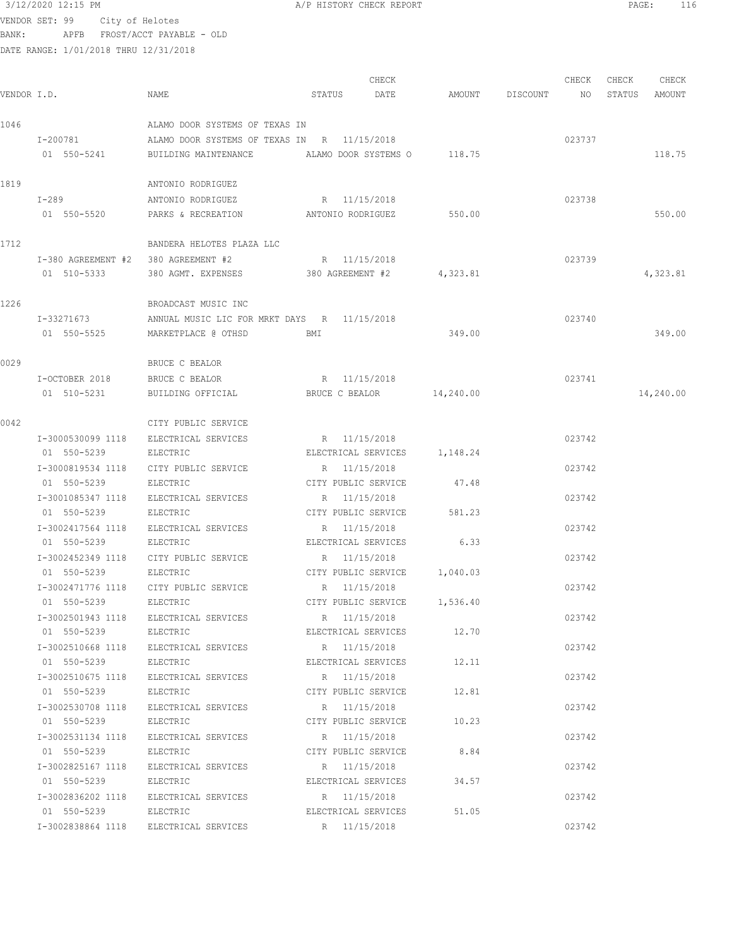## $3/12/2020$  12:15 PM  $A/P$  HISTORY CHECK REPORT  $\blacksquare$  PAGE: 116 VENDOR SET: 99 City of Helotes

BANK: APFB FROST/ACCT PAYABLE - OLD

| VENDOR I.D. |                                     | NAME                                                          | STATUS              | CHECK<br>DATE       |                              | AMOUNT DISCOUNT NO | CHECK  | CHECK<br>STATUS | CHECK<br>AMOUNT |
|-------------|-------------------------------------|---------------------------------------------------------------|---------------------|---------------------|------------------------------|--------------------|--------|-----------------|-----------------|
|             |                                     |                                                               |                     |                     |                              |                    |        |                 |                 |
| 1046        |                                     | ALAMO DOOR SYSTEMS OF TEXAS IN                                |                     |                     |                              |                    |        |                 |                 |
|             | I-200781                            | ALAMO DOOR SYSTEMS OF TEXAS IN R 11/15/2018                   |                     |                     |                              |                    | 023737 |                 |                 |
|             | 01 550-5241                         | BUILDING MAINTENANCE                                          |                     |                     | ALAMO DOOR SYSTEMS 0 118.75  |                    |        |                 | 118.75          |
| 1819        |                                     | ANTONIO RODRIGUEZ                                             |                     |                     |                              |                    |        |                 |                 |
|             | $I-289$                             | ANTONIO RODRIGUEZ                                             | R 11/15/2018        |                     |                              |                    | 023738 |                 |                 |
|             | 01 550-5520                         | PARKS & RECREATION ANTONIO RODRIGUEZ                          |                     |                     | 550.00                       |                    |        |                 | 550.00          |
| 1712        |                                     | BANDERA HELOTES PLAZA LLC                                     |                     |                     |                              |                    |        |                 |                 |
|             | I-380 AGREEMENT #2 380 AGREEMENT #2 |                                                               | R 11/15/2018        |                     |                              |                    | 023739 |                 |                 |
|             | 01 510-5333                         | 380 AGMT. EXPENSES 380 AGREEMENT #2                           |                     |                     | 4,323.81                     |                    |        |                 | 4,323.81        |
|             |                                     |                                                               |                     |                     |                              |                    |        |                 |                 |
| 1226        |                                     | BROADCAST MUSIC INC                                           |                     |                     |                              |                    |        |                 |                 |
|             | I-33271673                          | ANNUAL MUSIC LIC FOR MRKT DAYS R 11/15/2018                   |                     |                     |                              |                    | 023740 |                 |                 |
|             | 01 550-5525                         | MARKETPLACE @ OTHSD                                           | BMI                 |                     | 349.00                       |                    |        |                 | 349.00          |
| 0029        |                                     | BRUCE C BEALOR                                                |                     |                     |                              |                    |        |                 |                 |
|             | I-OCTOBER 2018                      | BRUCE C BEALOR                                                | R 11/15/2018        |                     |                              |                    | 023741 |                 |                 |
|             | 01 510-5231                         | BUILDING OFFICIAL BRUCE C BEALOR 14,240.00                    |                     |                     |                              |                    |        |                 | 14,240.00       |
| 0042        |                                     | CITY PUBLIC SERVICE                                           |                     |                     |                              |                    |        |                 |                 |
|             | I-3000530099 1118                   | ELECTRICAL SERVICES                                           | R 11/15/2018        |                     |                              |                    | 023742 |                 |                 |
|             | 01 550-5239                         | ELECTRIC                                                      |                     |                     | ELECTRICAL SERVICES 1,148.24 |                    |        |                 |                 |
|             | I-3000819534 1118                   | CITY PUBLIC SERVICE                                           | R 11/15/2018        |                     |                              |                    | 023742 |                 |                 |
|             | 01 550-5239                         | ELECTRIC                                                      | CITY PUBLIC SERVICE |                     | 47.48                        |                    |        |                 |                 |
|             | I-3001085347 1118                   | ELECTRICAL SERVICES                                           | R 11/15/2018        |                     |                              |                    | 023742 |                 |                 |
|             | 01 550-5239                         | ELECTRIC                                                      | CITY PUBLIC SERVICE |                     | 581.23                       |                    |        |                 |                 |
|             | I-3002417564 1118                   | ELECTRICAL SERVICES                                           | R 11/15/2018        |                     |                              |                    | 023742 |                 |                 |
|             | 01 550-5239                         | ELECTRIC                                                      | ELECTRICAL SERVICES |                     | 6.33                         |                    |        |                 |                 |
|             | I-3002452349 1118                   | CITY PUBLIC SERVICE                                           | R 11/15/2018        |                     |                              |                    | 023742 |                 |                 |
|             | 01 550-5239                         | ELECTRIC                                                      |                     |                     | CITY PUBLIC SERVICE 1,040.03 |                    |        |                 |                 |
|             | I-3002471776 1118                   | CITY PUBLIC SERVICE                                           | R 11/15/2018        |                     |                              |                    | 023742 |                 |                 |
|             | 01 550-5239                         | ELECTRIC                                                      |                     |                     | CITY PUBLIC SERVICE 1,536.40 |                    |        |                 |                 |
|             |                                     | I-3002501943 1118 ELECTRICAL SERVICES                         | R 11/15/2018        |                     |                              |                    | 023742 |                 |                 |
|             | 01 550-5239                         | ELECTRIC                                                      |                     |                     | ELECTRICAL SERVICES 12.70    |                    |        |                 |                 |
|             |                                     | I-3002510668 1118 ELECTRICAL SERVICES                         | R 11/15/2018        |                     |                              |                    | 023742 |                 |                 |
|             | 01 550-5239 ELECTRIC                |                                                               |                     | ELECTRICAL SERVICES | 12.11                        |                    |        |                 |                 |
|             |                                     | I-3002510675 1118 ELECTRICAL SERVICES                         | R 11/15/2018        |                     |                              |                    | 023742 |                 |                 |
|             | 01 550-5239 ELECTRIC                |                                                               |                     | CITY PUBLIC SERVICE | 12.81                        |                    |        |                 |                 |
|             |                                     | I-3002530708 1118 ELECTRICAL SERVICES                         | R 11/15/2018        |                     |                              |                    | 023742 |                 |                 |
|             |                                     | 01 550-5239 ELECTRIC                                          |                     |                     | CITY PUBLIC SERVICE 10.23    |                    |        |                 |                 |
|             |                                     | I-3002531134 1118 ELECTRICAL SERVICES<br>01 550-5239 ELECTRIC | R 11/15/2018        |                     |                              |                    | 023742 |                 |                 |
|             |                                     | I-3002825167 1118 ELECTRICAL SERVICES                         | R 11/15/2018        |                     | CITY PUBLIC SERVICE 8.84     |                    | 023742 |                 |                 |
|             | 01 550-5239                         | ELECTRIC                                                      |                     | ELECTRICAL SERVICES | 34.57                        |                    |        |                 |                 |
|             |                                     | I-3002836202 1118 ELECTRICAL SERVICES                         | R 11/15/2018        |                     |                              |                    | 023742 |                 |                 |
|             | 01 550-5239                         | ELECTRIC                                                      |                     | ELECTRICAL SERVICES | 51.05                        |                    |        |                 |                 |
|             |                                     | I-3002838864 1118 ELECTRICAL SERVICES                         | R 11/15/2018        |                     |                              |                    | 023742 |                 |                 |
|             |                                     |                                                               |                     |                     |                              |                    |        |                 |                 |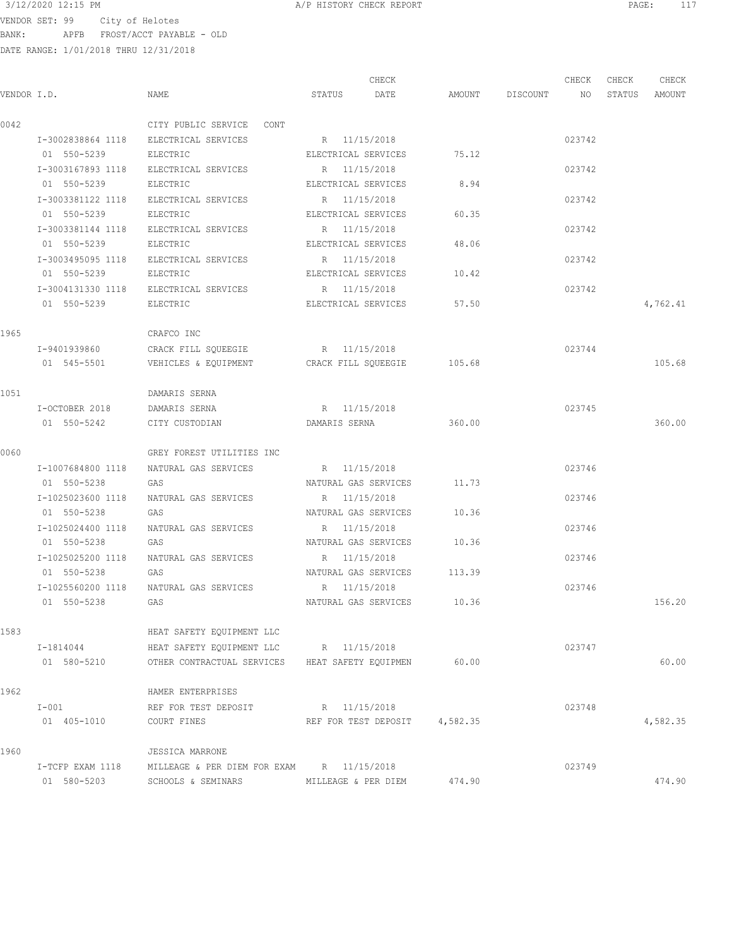|                          | 3/12/2020 12:15 PM                    |                 | A/P HISTORY CHECK REPORT |        |          |       | PAGE:  | 117    |  |
|--------------------------|---------------------------------------|-----------------|--------------------------|--------|----------|-------|--------|--------|--|
| VENDOR SET: 99           | City of Helotes                       |                 |                          |        |          |       |        |        |  |
| BANK:<br>APFB            | FROST/ACCT PAYABLE - OLD              |                 |                          |        |          |       |        |        |  |
|                          | DATE RANGE: 1/01/2018 THRU 12/31/2018 |                 |                          |        |          |       |        |        |  |
|                          |                                       |                 |                          |        |          |       |        |        |  |
|                          |                                       |                 | CHECK                    |        |          | CHECK | CHECK  | CHECK  |  |
| VENDOR I.D.              | NAME                                  | STATUS          | DATE                     | AMOUNT | DISCOUNT | NO.   | STATUS | AMOUNT |  |
|                          |                                       |                 |                          |        |          |       |        |        |  |
| $\bigcap_{n=1}^{\infty}$ | $C$ דחום מתקפס מד זכוות מחד           | C <sub>OM</sub> |                          |        |          |       |        |        |  |

| 0042 |                   | CITY PUBLIC SERVICE CONT                                          |                               |        |        |          |
|------|-------------------|-------------------------------------------------------------------|-------------------------------|--------|--------|----------|
|      |                   | I-3002838864 1118 ELECTRICAL SERVICES                             | R 11/15/2018                  |        | 023742 |          |
|      | 01 550-5239       | ELECTRIC                                                          | ELECTRICAL SERVICES           | 75.12  |        |          |
|      |                   | I-3003167893 1118 ELECTRICAL SERVICES                             | R 11/15/2018                  |        | 023742 |          |
|      | 01 550-5239       | ELECTRIC                                                          | ELECTRICAL SERVICES           | 8.94   |        |          |
|      | I-3003381122 1118 | ELECTRICAL SERVICES                                               | R 11/15/2018                  |        | 023742 |          |
|      | 01 550-5239       | ELECTRIC                                                          | ELECTRICAL SERVICES           | 60.35  |        |          |
|      |                   | I-3003381144 1118 ELECTRICAL SERVICES                             | R 11/15/2018                  |        | 023742 |          |
|      | 01 550-5239       | ELECTRIC                                                          | ELECTRICAL SERVICES           | 48.06  |        |          |
|      |                   | I-3003495095 1118 ELECTRICAL SERVICES                             | R 11/15/2018                  |        | 023742 |          |
|      | 01 550-5239       | ELECTRIC                                                          | ELECTRICAL SERVICES           | 10.42  |        |          |
|      |                   | I-3004131330 1118 ELECTRICAL SERVICES                             | R 11/15/2018                  |        | 023742 |          |
|      | 01 550-5239       | ELECTRIC                                                          | ELECTRICAL SERVICES           | 57.50  |        | 4,762.41 |
| 1965 |                   | CRAFCO INC                                                        |                               |        |        |          |
|      | I-9401939860      | CRACK FILL SQUEEGIE                                               | R 11/15/2018                  |        | 023744 |          |
|      |                   | 01 545-5501   VEHICLES & EQUIPMENT   CRACK FILL SQUEEGIE   105.68 |                               |        |        | 105.68   |
| 1051 |                   | DAMARIS SERNA                                                     |                               |        |        |          |
|      | I-OCTOBER 2018    | DAMARIS SERNA                                                     | R 11/15/2018                  |        | 023745 |          |
|      | 01 550-5242       | CITY CUSTODIAN                                                    | DAMARIS SERNA                 | 360.00 |        | 360.00   |
| 0060 |                   | GREY FOREST UTILITIES INC                                         |                               |        |        |          |
|      | I-1007684800 1118 | NATURAL GAS SERVICES                                              | R 11/15/2018                  |        | 023746 |          |
|      | 01 550-5238       | GAS                                                               | NATURAL GAS SERVICES          | 11.73  |        |          |
|      | I-1025023600 1118 | NATURAL GAS SERVICES                                              | R 11/15/2018                  |        | 023746 |          |
|      | 01 550-5238       | GAS                                                               | NATURAL GAS SERVICES          | 10.36  |        |          |
|      | I-1025024400 1118 | NATURAL GAS SERVICES                                              | R 11/15/2018                  |        | 023746 |          |
|      | 01 550-5238       | GAS                                                               | NATURAL GAS SERVICES          | 10.36  |        |          |
|      | I-1025025200 1118 | NATURAL GAS SERVICES                                              | R 11/15/2018                  |        | 023746 |          |
|      | 01 550-5238       | GAS                                                               | NATURAL GAS SERVICES 113.39   |        |        |          |
|      |                   | I-1025560200 1118 NATURAL GAS SERVICES                            | R 11/15/2018                  |        | 023746 |          |
|      | 01 550-5238       | GAS                                                               | NATURAL GAS SERVICES 10.36    |        |        | 156.20   |
| 1583 |                   | HEAT SAFETY EQUIPMENT LLC                                         |                               |        |        |          |
|      | I-1814044         | HEAT SAFETY EQUIPMENT LLC R 11/15/2018                            |                               |        | 023747 |          |
|      |                   | 01 580-5210 OTHER CONTRACTUAL SERVICES HEAT SAFETY EQUIPMEN       |                               | 60.00  |        | 60.00    |
| 1962 |                   | HAMER ENTERPRISES                                                 |                               |        |        |          |
|      | $I-001$           | REF FOR TEST DEPOSIT                                              | R 11/15/2018                  |        | 023748 |          |
|      | 01 405-1010       | COURT FINES                                                       | REF FOR TEST DEPOSIT 4,582.35 |        |        | 4,582.35 |
| 1960 |                   | <b>JESSICA MARRONE</b>                                            |                               |        |        |          |
|      |                   | I-TCFP EXAM 1118 MILLEAGE & PER DIEM FOR EXAM R 11/15/2018        |                               |        | 023749 |          |
|      | 01 580-5203       | SCHOOLS & SEMINARS                                                | MILLEAGE & PER DIEM           | 474.90 |        | 474.90   |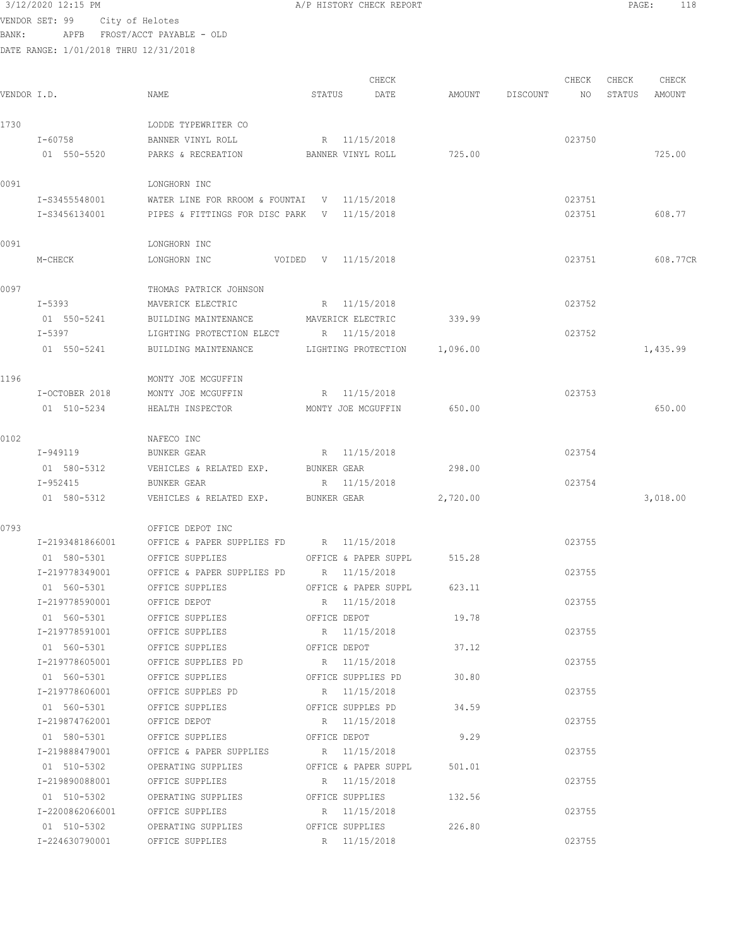$3/12/2020$  12:15 PM  $A/P$  HISTORY CHECK REPORT  $\blacksquare$  PAGE: 118 VENDOR SET: 99 City of Helotes

BANK: APFB FROST/ACCT PAYABLE - OLD

| VENDOR I.D. |                 | NAME                                            | STATUS      | CHECK<br>DATE        | AMOUNT   | DISCOUNT | CHECK<br>NO | CHECK<br>STATUS | CHECK<br>AMOUNT |
|-------------|-----------------|-------------------------------------------------|-------------|----------------------|----------|----------|-------------|-----------------|-----------------|
|             |                 |                                                 |             |                      |          |          |             |                 |                 |
| 1730        |                 | LODDE TYPEWRITER CO                             |             |                      |          |          |             |                 |                 |
|             | I-60758         | BANNER VINYL ROLL                               |             | R 11/15/2018         |          |          | 023750      |                 |                 |
|             | 01 550-5520     | PARKS & RECREATION                              |             | BANNER VINYL ROLL    | 725.00   |          |             |                 | 725.00          |
| 0091        |                 | LONGHORN INC                                    |             |                      |          |          |             |                 |                 |
|             | I-S3455548001   | WATER LINE FOR RROOM & FOUNTAI $V = 11/15/2018$ |             |                      |          |          | 023751      |                 |                 |
|             | I-S3456134001   | PIPES & FITTINGS FOR DISC PARK V 11/15/2018     |             |                      |          |          | 023751      |                 | 608.77          |
| 0091        |                 | LONGHORN INC                                    |             |                      |          |          |             |                 |                 |
|             | M-CHECK         | LONGHORN INC                                    |             | VOIDED V 11/15/2018  |          |          | 023751      |                 | 608.77CR        |
| 0097        |                 | THOMAS PATRICK JOHNSON                          |             |                      |          |          |             |                 |                 |
|             | I-5393          | MAVERICK ELECTRIC                               |             | R 11/15/2018         |          |          | 023752      |                 |                 |
|             | 01 550-5241     | BUILDING MAINTENANCE                            |             | MAVERICK ELECTRIC    | 339.99   |          |             |                 |                 |
|             | I-5397          | LIGHTING PROTECTION ELECT                       |             | R 11/15/2018         |          |          | 023752      |                 |                 |
|             | 01 550-5241     |                                                 |             |                      |          |          |             |                 |                 |
|             |                 | BUILDING MAINTENANCE                            |             | LIGHTING PROTECTION  | 1,096.00 |          |             |                 | 1,435.99        |
| 1196        |                 | MONTY JOE MCGUFFIN                              |             |                      |          |          |             |                 |                 |
|             | I-OCTOBER 2018  | MONTY JOE MCGUFFIN                              |             | R 11/15/2018         |          |          | 023753      |                 |                 |
|             | 01 510-5234     | HEALTH INSPECTOR                                |             | MONTY JOE MCGUFFIN   | 650.00   |          |             |                 | 650.00          |
| 0102        |                 | NAFECO INC                                      |             |                      |          |          |             |                 |                 |
|             | I-949119        | BUNKER GEAR                                     |             | R 11/15/2018         |          |          | 023754      |                 |                 |
|             | 01 580-5312     | VEHICLES & RELATED EXP.                         | BUNKER GEAR |                      | 298.00   |          |             |                 |                 |
|             | I-952415        | BUNKER GEAR                                     |             | R 11/15/2018         |          |          | 023754      |                 |                 |
|             | 01 580-5312     | VEHICLES & RELATED EXP.                         |             | BUNKER GEAR          | 2,720.00 |          |             |                 | 3,018.00        |
| 0793        |                 | OFFICE DEPOT INC                                |             |                      |          |          |             |                 |                 |
|             | I-2193481866001 | OFFICE & PAPER SUPPLIES FD R 11/15/2018         |             |                      |          |          | 023755      |                 |                 |
|             | 01 580-5301     | OFFICE SUPPLIES                                 |             | OFFICE & PAPER SUPPL | 515.28   |          |             |                 |                 |
|             | I-219778349001  | OFFICE & PAPER SUPPLIES PD R 11/15/2018         |             |                      |          |          | 023755      |                 |                 |
|             | 01 560-5301     | OFFICE SUPPLIES                                 |             | OFFICE & PAPER SUPPL | 623.11   |          |             |                 |                 |
|             | I-219778590001  | OFFICE DEPOT                                    |             | R 11/15/2018         |          |          | 023755      |                 |                 |
|             | 01 560-5301     | OFFICE SUPPLIES                                 |             | OFFICE DEPOT         | 19.78    |          |             |                 |                 |
|             | I-219778591001  | OFFICE SUPPLIES                                 |             | R 11/15/2018         |          |          | 023755      |                 |                 |
|             | 01 560-5301     | OFFICE SUPPLIES                                 |             | OFFICE DEPOT         | 37.12    |          |             |                 |                 |
|             | I-219778605001  | OFFICE SUPPLIES PD                              |             | R 11/15/2018         |          |          | 023755      |                 |                 |
|             | 01 560-5301     | OFFICE SUPPLIES                                 |             | OFFICE SUPPLIES PD   | 30.80    |          |             |                 |                 |
|             | I-219778606001  | OFFICE SUPPLES PD                               |             | R 11/15/2018         |          |          | 023755      |                 |                 |
|             | 01 560-5301     | OFFICE SUPPLIES                                 |             | OFFICE SUPPLES PD    | 34.59    |          |             |                 |                 |
|             | I-219874762001  | OFFICE DEPOT                                    |             | R 11/15/2018         |          |          | 023755      |                 |                 |
|             | 01 580-5301     | OFFICE SUPPLIES OFFICE DEPOT                    |             |                      | 9.29     |          |             |                 |                 |
|             | I-219888479001  | OFFICE & PAPER SUPPLIES R 11/15/2018            |             |                      |          |          | 023755      |                 |                 |
|             | 01 510-5302     | OPERATING SUPPLIES OFFICE & PAPER SUPPL         |             |                      | 501.01   |          |             |                 |                 |
|             | I-219890088001  | OFFICE SUPPLIES R 11/15/2018                    |             |                      |          |          | 023755      |                 |                 |
|             | 01 510-5302     | OPERATING SUPPLIES OFFICE SUPPLIES              |             |                      | 132.56   |          |             |                 |                 |
|             | I-2200862066001 | OFFICE SUPPLIES                                 |             | R 11/15/2018         |          |          | 023755      |                 |                 |
|             | 01 510-5302     | OPERATING SUPPLIES                              |             | OFFICE SUPPLIES      | 226.80   |          |             |                 |                 |
|             | I-224630790001  | OFFICE SUPPLIES                                 |             | R 11/15/2018         |          |          | 023755      |                 |                 |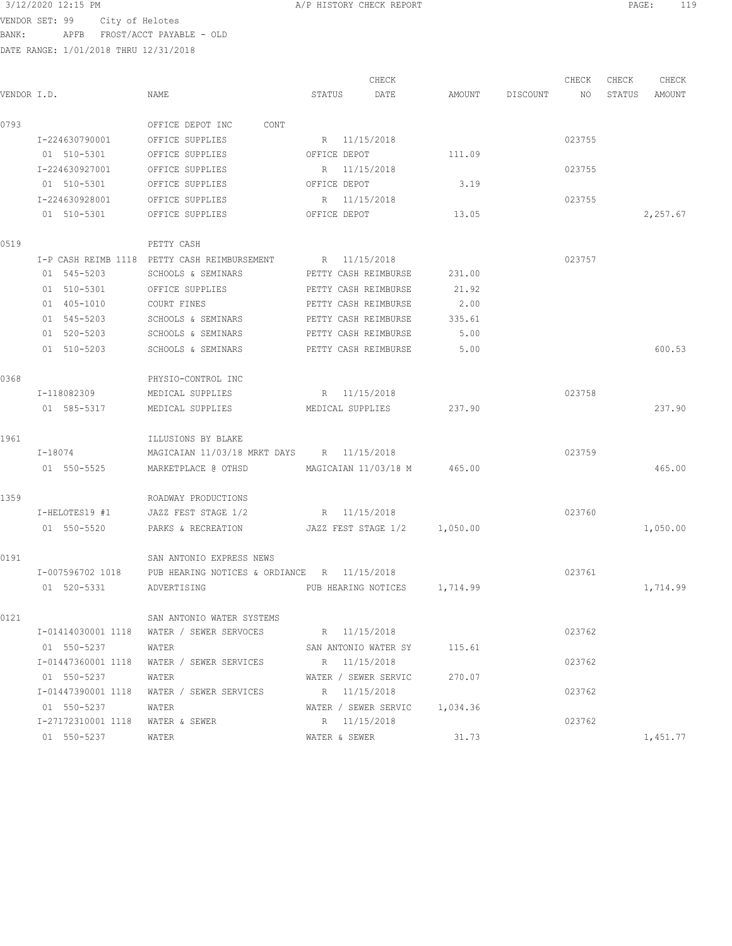VENDOR SET: 99 City of Helotes BANK: APFB FROST/ACCT PAYABLE - OLD

|             |                    |                                              |               | CHECK                        |          |          | CHECK  | CHECK  | CHECK    |
|-------------|--------------------|----------------------------------------------|---------------|------------------------------|----------|----------|--------|--------|----------|
| VENDOR I.D. |                    | NAME                                         | STATUS        | DATE                         | AMOUNT   | DISCOUNT | NO     | STATUS | AMOUNT   |
| 0793        |                    | OFFICE DEPOT INC<br>CONT                     |               |                              |          |          |        |        |          |
|             | I-224630790001     | OFFICE SUPPLIES                              |               | R 11/15/2018                 |          |          | 023755 |        |          |
|             | 01 510-5301        | OFFICE SUPPLIES                              | OFFICE DEPOT  |                              | 111.09   |          |        |        |          |
|             | I-224630927001     | OFFICE SUPPLIES                              | R             | 11/15/2018                   |          |          | 023755 |        |          |
|             | 01 510-5301        | OFFICE SUPPLIES                              | OFFICE DEPOT  |                              | 3.19     |          |        |        |          |
|             | I-224630928001     | OFFICE SUPPLIES                              | R             | 11/15/2018                   |          |          | 023755 |        |          |
|             | 01 510-5301        | OFFICE SUPPLIES                              | OFFICE DEPOT  |                              | 13.05    |          |        |        | 2,257.67 |
| 0519        |                    | PETTY CASH                                   |               |                              |          |          |        |        |          |
|             |                    | I-P CASH REIMB 1118 PETTY CASH REIMBURSEMENT |               | R 11/15/2018                 |          |          | 023757 |        |          |
|             | 01 545-5203        | SCHOOLS & SEMINARS                           |               | PETTY CASH REIMBURSE         | 231.00   |          |        |        |          |
|             | 01 510-5301        | OFFICE SUPPLIES                              |               | PETTY CASH REIMBURSE         | 21.92    |          |        |        |          |
|             | 01 405-1010        | COURT FINES                                  |               | PETTY CASH REIMBURSE         | 2.00     |          |        |        |          |
|             | 01 545-5203        | SCHOOLS & SEMINARS                           |               | PETTY CASH REIMBURSE         | 335.61   |          |        |        |          |
|             | 01 520-5203        | SCHOOLS & SEMINARS                           |               | PETTY CASH REIMBURSE         | 5.00     |          |        |        |          |
|             | 01 510-5203        | SCHOOLS & SEMINARS                           |               | PETTY CASH REIMBURSE         | 5.00     |          |        |        | 600.53   |
| 0368        |                    | PHYSIO-CONTROL INC                           |               |                              |          |          |        |        |          |
|             | I-118082309        | MEDICAL SUPPLIES                             |               | R 11/15/2018                 |          |          | 023758 |        |          |
|             | 01 585-5317        | MEDICAL SUPPLIES                             |               | MEDICAL SUPPLIES             | 237.90   |          |        |        | 237.90   |
| 1961        |                    | ILLUSIONS BY BLAKE                           |               |                              |          |          |        |        |          |
|             | I-18074            | MAGICAIAN 11/03/18 MRKT DAYS R 11/15/2018    |               |                              |          |          | 023759 |        |          |
|             | 01 550-5525        | MARKETPLACE @ OTHSD                          |               | MAGICAIAN 11/03/18 M         | 465.00   |          |        |        | 465.00   |
| 1359        |                    | ROADWAY PRODUCTIONS                          |               |                              |          |          |        |        |          |
|             | I-HELOTES19 #1     | JAZZ FEST STAGE 1/2                          |               | R 11/15/2018                 |          |          | 023760 |        |          |
|             | 01 550-5520        | PARKS & RECREATION                           |               | JAZZ FEST STAGE 1/2          | 1,050.00 |          |        |        | 1,050.00 |
| 0191        |                    | SAN ANTONIO EXPRESS NEWS                     |               |                              |          |          |        |        |          |
|             | I-007596702 1018   | PUB HEARING NOTICES & ORDIANCE R 11/15/2018  |               |                              |          |          | 023761 |        |          |
|             | 01 520-5331        | ADVERTISING                                  |               | PUB HEARING NOTICES 1,714.99 |          |          |        |        | 1,714.99 |
| 0121        |                    | SAN ANTONIO WATER SYSTEMS                    |               |                              |          |          |        |        |          |
|             | I-01414030001 1118 | WATER / SEWER SERVOCES                       |               | R 11/15/2018                 |          |          | 023762 |        |          |
|             | 01 550-5237        | WATER                                        |               | SAN ANTONIO WATER SY         | 115.61   |          |        |        |          |
|             | I-01447360001 1118 | WATER / SEWER SERVICES                       |               | R 11/15/2018                 |          |          | 023762 |        |          |
|             | 01 550-5237        | WATER                                        |               | WATER / SEWER SERVIC         | 270.07   |          |        |        |          |
|             | I-01447390001 1118 | WATER / SEWER SERVICES                       |               | R 11/15/2018                 |          |          | 023762 |        |          |
|             | 01 550-5237        | WATER                                        |               | WATER / SEWER SERVIC         | 1,034.36 |          |        |        |          |
|             | I-27172310001 1118 | WATER & SEWER                                |               | R 11/15/2018                 |          |          | 023762 |        |          |
|             | 01 550-5237        | WATER                                        | WATER & SEWER |                              | 31.73    |          |        |        | 1,451.77 |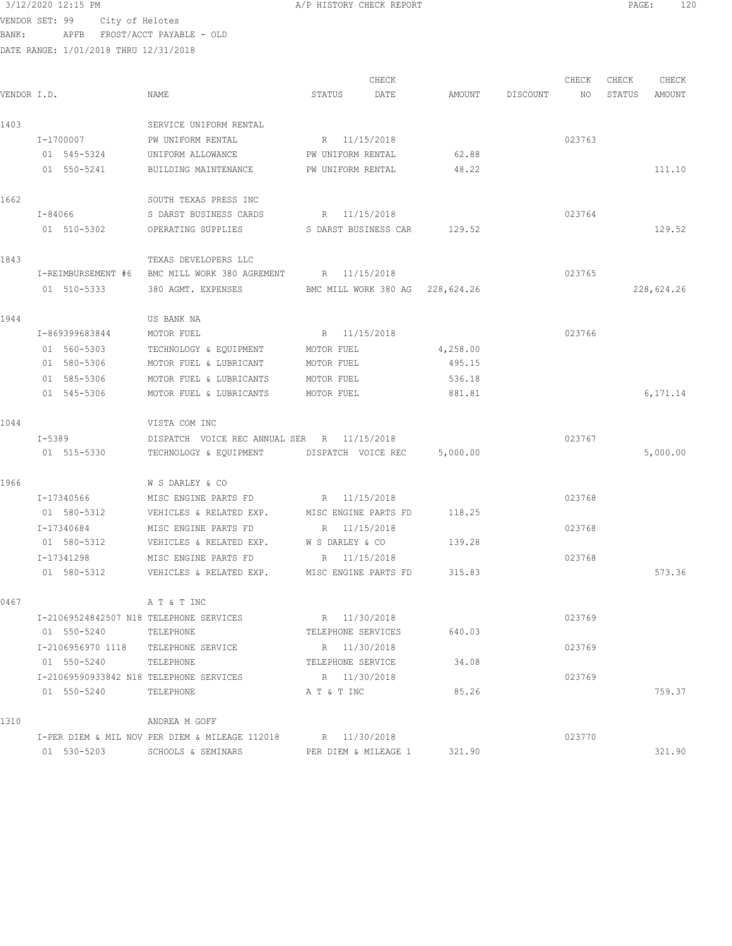$3/12/2020$  12:15 PM  $A/P$  HISTORY CHECK REPORT  $PAGE:$  PAGE: 120 VENDOR SET: 99 City of Helotes BANK: APFB FROST/ACCT PAYABLE - OLD

| VENDOR I.D. |                                         | NAME                                                        | CHECK<br>STATUS<br>DATE         | AMOUNT   | DISCOUNT | CHECK<br>NO. | CHECK<br>STATUS | CHECK<br>AMOUNT |
|-------------|-----------------------------------------|-------------------------------------------------------------|---------------------------------|----------|----------|--------------|-----------------|-----------------|
|             |                                         |                                                             |                                 |          |          |              |                 |                 |
| 1403        |                                         | SERVICE UNIFORM RENTAL                                      |                                 |          |          |              |                 |                 |
|             | I-1700007                               | PW UNIFORM RENTAL                                           | R 11/15/2018                    |          |          | 023763       |                 |                 |
|             | 01 545-5324                             | UNIFORM ALLOWANCE                                           | PW UNIFORM RENTAL               | 62.88    |          |              |                 |                 |
|             | 01 550-5241                             | BUILDING MAINTENANCE                                        | PW UNIFORM RENTAL               | 48.22    |          |              |                 | 111.10          |
| 1662        |                                         | SOUTH TEXAS PRESS INC                                       |                                 |          |          |              |                 |                 |
|             | I-84066                                 | S DARST BUSINESS CARDS                                      | R 11/15/2018                    |          |          | 023764       |                 |                 |
|             | 01 510-5302                             | OPERATING SUPPLIES                                          | S DARST BUSINESS CAR            | 129.52   |          |              |                 | 129.52          |
| 1843        |                                         | TEXAS DEVELOPERS LLC                                        |                                 |          |          |              |                 |                 |
|             | I-REIMBURSEMENT #6                      | BMC MILL WORK 380 AGREMENT                                  | R 11/15/2018                    |          |          | 023765       |                 |                 |
|             | 01 510-5333                             | 380 AGMT. EXPENSES                                          | BMC MILL WORK 380 AG 228,624.26 |          |          |              |                 | 228,624.26      |
| 1944        |                                         | US BANK NA                                                  |                                 |          |          |              |                 |                 |
|             | I-869399683844                          | MOTOR FUEL                                                  | R 11/15/2018                    |          |          | 023766       |                 |                 |
|             | 01 560-5303                             | TECHNOLOGY & EQUIPMENT                                      | MOTOR FUEL                      | 4,258.00 |          |              |                 |                 |
|             | 01 580-5306                             | MOTOR FUEL & LUBRICANT                                      | MOTOR FUEL                      | 495.15   |          |              |                 |                 |
|             | 01 585-5306                             | MOTOR FUEL & LUBRICANTS                                     | MOTOR FUEL                      | 536.18   |          |              |                 |                 |
|             | 01 545-5306                             | MOTOR FUEL & LUBRICANTS                                     | MOTOR FUEL                      | 881.81   |          |              |                 | 6,171.14        |
| 1044        |                                         | VISTA COM INC                                               |                                 |          |          |              |                 |                 |
|             | I-5389                                  | DISPATCH VOICE REC ANNUAL SER R 11/15/2018                  |                                 |          |          | 023767       |                 |                 |
|             | 01 515-5330                             | TECHNOLOGY & EQUIPMENT                                      | DISPATCH VOICE REC              | 5,000.00 |          |              |                 | 5,000.00        |
| 1966        |                                         | W S DARLEY & CO                                             |                                 |          |          |              |                 |                 |
|             | I-17340566                              | MISC ENGINE PARTS FD                                        | R 11/15/2018                    |          |          | 023768       |                 |                 |
|             | 01 580-5312                             | VEHICLES & RELATED EXP.                                     | MISC ENGINE PARTS FD            | 118.25   |          |              |                 |                 |
|             | I-17340684                              | MISC ENGINE PARTS FD                                        | 11/15/2018<br>R                 |          |          | 023768       |                 |                 |
|             | 01 580-5312                             | VEHICLES & RELATED EXP.                                     | W S DARLEY & CO                 | 139.28   |          |              |                 |                 |
|             | I-17341298                              | MISC ENGINE PARTS FD                                        | 11/15/2018<br>R                 |          |          | 023768       |                 |                 |
|             | 01 580-5312                             | VEHICLES & RELATED EXP.                                     | MISC ENGINE PARTS FD            | 315.83   |          |              |                 | 573.36          |
| 0467        |                                         | A T & T INC                                                 |                                 |          |          |              |                 |                 |
|             | I-21069524842507 N18 TELEPHONE SERVICES |                                                             | R 11/30/2018                    |          |          | 023769       |                 |                 |
|             | 01 550-5240                             | TELEPHONE                                                   | TELEPHONE SERVICES              | 640.03   |          |              |                 |                 |
|             | I-2106956970 1118                       | TELEPHONE SERVICE                                           | R 11/30/2018                    |          |          | 023769       |                 |                 |
|             | 01 550-5240                             | TELEPHONE                                                   | TELEPHONE SERVICE               | 34.08    |          |              |                 |                 |
|             | I-21069590933842 N18 TELEPHONE SERVICES |                                                             | R 11/30/2018                    |          |          | 023769       |                 |                 |
|             | 01 550-5240                             | TELEPHONE                                                   | A T & T INC                     | 85.26    |          |              |                 | 759.37          |
| 1310        |                                         | ANDREA M GOFF                                               |                                 |          |          |              |                 |                 |
|             |                                         | I-PER DIEM & MIL NOV PER DIEM & MILEAGE 112018 R 11/30/2018 |                                 |          |          | 023770       |                 |                 |
|             | 01 530-5203                             | SCHOOLS & SEMINARS                                          | PER DIEM & MILEAGE 1            | 321.90   |          |              |                 | 321.90          |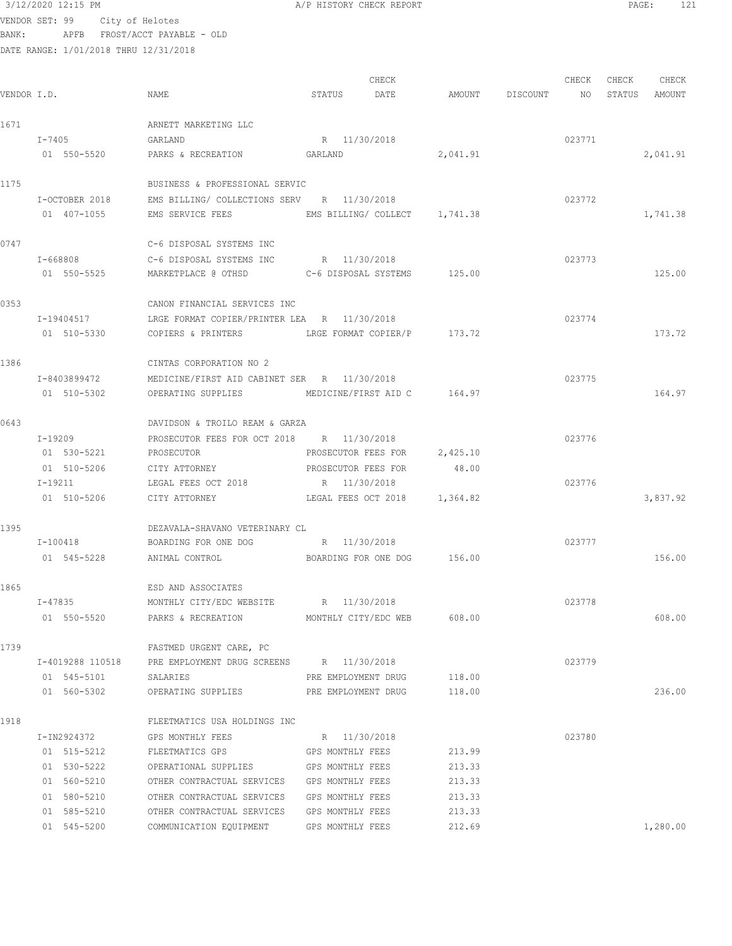VENDOR SET: 99 City of Helotes BANK: APFB FROST/ACCT PAYABLE - OLD

| VENDOR I.D. |                            | NAME                                                                                    | STATUS DATE         | CHECK                        | AMOUNT DISCOUNT NO | CHECK  | CHECK | CHECK<br>STATUS AMOUNT |
|-------------|----------------------------|-----------------------------------------------------------------------------------------|---------------------|------------------------------|--------------------|--------|-------|------------------------|
|             |                            |                                                                                         |                     |                              |                    |        |       |                        |
| 1671        |                            | ARNETT MARKETING LLC                                                                    |                     |                              |                    |        |       |                        |
|             | I-7405                     | GARLAND                                                                                 | R 11/30/2018        |                              |                    | 023771 |       |                        |
|             | 01 550-5520                | PARKS & RECREATION GARLAND                                                              |                     |                              | 2,041.91           |        |       | 2,041.91               |
| 1175        |                            | BUSINESS & PROFESSIONAL SERVIC                                                          |                     |                              |                    |        |       |                        |
|             | I-OCTOBER 2018             | EMS BILLING/ COLLECTIONS SERV R 11/30/2018                                              |                     |                              |                    | 023772 |       |                        |
|             | 01 407-1055                | EMS SERVICE FEES EMS BILLING/ COLLECT 1,741.38                                          |                     |                              |                    |        |       | 1,741.38               |
| 0747        |                            | C-6 DISPOSAL SYSTEMS INC                                                                |                     |                              |                    |        |       |                        |
|             |                            | I-668808 C-6 DISPOSAL SYSTEMS INC R 11/30/2018                                          |                     |                              |                    | 023773 |       |                        |
|             |                            | 01 550-5525 MARKETPLACE @ OTHSD C-6 DISPOSAL SYSTEMS 125.00                             |                     |                              |                    |        |       | 125.00                 |
| 0353        |                            | CANON FINANCIAL SERVICES INC                                                            |                     |                              |                    |        |       |                        |
|             | I-19404517                 | LRGE FORMAT COPIER/PRINTER LEA R 11/30/2018                                             |                     |                              |                    | 023774 |       |                        |
|             | 01 510-5330                | COPIERS & PRINTERS LRGE FORMAT COPIER/P 173.72                                          |                     |                              |                    |        |       | 173.72                 |
| 1386        |                            | CINTAS CORPORATION NO 2                                                                 |                     |                              |                    |        |       |                        |
|             | I-8403899472               | MEDICINE/FIRST AID CABINET SER R 11/30/2018                                             |                     |                              |                    | 023775 |       |                        |
|             | 01 510-5302                | OPERATING SUPPLIES                                                                      |                     | MEDICINE/FIRST AID C 164.97  |                    |        |       | 164.97                 |
| 0643        |                            | DAVIDSON & TROILO REAM & GARZA                                                          |                     |                              |                    |        |       |                        |
|             | $I-19209$                  | PROSECUTOR FEES FOR OCT 2018 R 11/30/2018                                               |                     |                              |                    | 023776 |       |                        |
|             | 01 530-5221                | PROSECUTOR                                                                              |                     | PROSECUTOR FEES FOR 2,425.10 |                    |        |       |                        |
|             | 01 510-5206 CITY ATTORNEY  |                                                                                         | PROSECUTOR FEES FOR |                              | 48.00              |        |       |                        |
|             | I-19211                    | LEGAL FEES OCT 2018                                                                     | R 11/30/2018        |                              |                    | 023776 |       |                        |
|             | 01 510-5206                | CITY ATTORNEY                                                                           |                     | LEGAL FEES OCT 2018 1,364.82 |                    |        |       | 3,837.92               |
| 1395        |                            | DEZAVALA-SHAVANO VETERINARY CL                                                          |                     |                              |                    |        |       |                        |
|             | I-100418                   | BOARDING FOR ONE DOG R 11/30/2018                                                       |                     |                              |                    | 023777 |       |                        |
|             |                            | 01 545-5228 ANIMAL CONTROL BOARDING FOR ONE DOG 156.00                                  |                     |                              |                    |        |       | 156.00                 |
| 1865        |                            | ESD AND ASSOCIATES                                                                      |                     |                              |                    |        |       |                        |
|             | I-47835                    | MONTHLY CITY/EDC WEBSITE                                                                | R 11/30/2018        |                              |                    | 023778 |       |                        |
|             | 01 550-5520                | PARKS & RECREATION MONTHLY CITY/EDC WEB                                                 |                     |                              | 608.00             |        |       | 608.00                 |
| 1739        |                            | FASTMED URGENT CARE, PC                                                                 |                     |                              |                    |        |       |                        |
|             | I-4019288 110518           | PRE EMPLOYMENT DRUG SCREENS R 11/30/2018                                                |                     |                              |                    | 023779 |       |                        |
|             | 01 545-5101                | SALARIES                                                                                | PRE EMPLOYMENT DRUG |                              | 118.00             |        |       |                        |
|             | 01 560-5302                | OPERATING SUPPLIES                                                                      | PRE EMPLOYMENT DRUG |                              | 118.00             |        |       | 236.00                 |
| 1918        |                            | FLEETMATICS USA HOLDINGS INC                                                            |                     |                              |                    |        |       |                        |
|             | I-IN2924372                | GPS MONTHLY FEES                                                                        | R 11/30/2018        |                              |                    | 023780 |       |                        |
|             | 01 515-5212                | FLEETMATICS GPS                                                                         | GPS MONTHLY FEES    |                              | 213.99             |        |       |                        |
|             | 01 530-5222                | OPERATIONAL SUPPLIES GPS MONTHLY FEES                                                   |                     |                              | 213.33             |        |       |                        |
|             | 01 560-5210                | OTHER CONTRACTUAL SERVICES GPS MONTHLY FEES                                             |                     |                              | 213.33             |        |       |                        |
|             | 01 580-5210                | OTHER CONTRACTUAL SERVICES GPS MONTHLY FEES                                             |                     |                              | 213.33<br>213.33   |        |       |                        |
|             | 01 585-5210<br>01 545-5200 | OTHER CONTRACTUAL SERVICES GPS MONTHLY FEES<br>COMMUNICATION EQUIPMENT GPS MONTHLY FEES |                     |                              | 212.69             |        |       | 1,280.00               |
|             |                            |                                                                                         |                     |                              |                    |        |       |                        |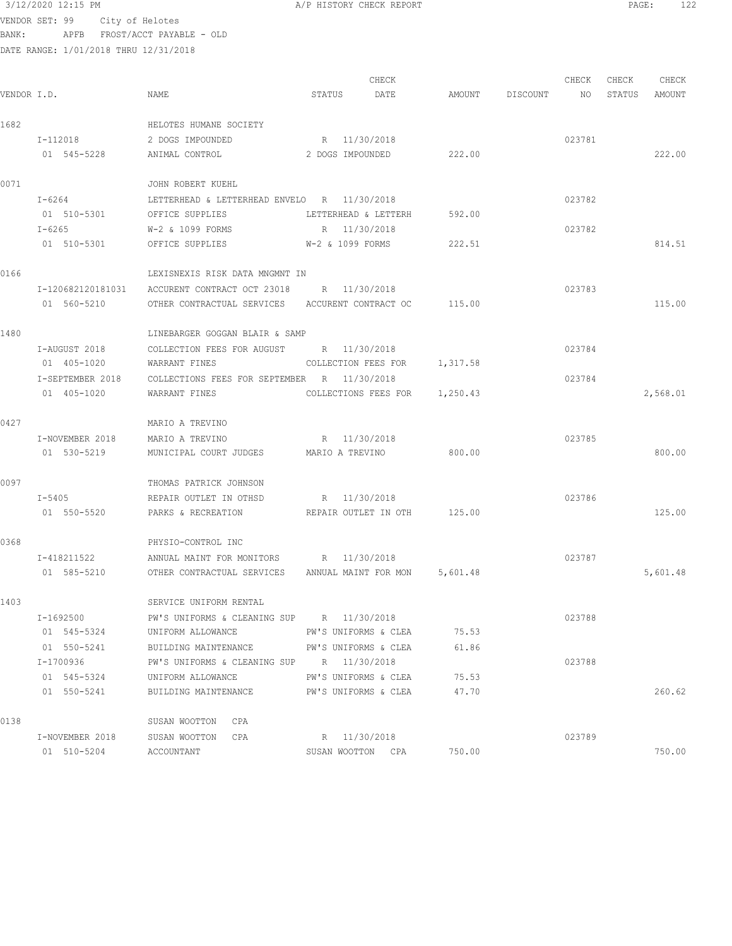$3/12/2020$  12:15 PM  $A/P$  HISTORY CHECK REPORT  $PAGE:$  PAGE: 122<br>VENDOR SET 99  $C_1 + U_2 + U_3$ VENDOR SET: 99 City of Helotes

BANK: APFB FROST/ACCT PAYABLE - OLD

| VENDOR I.D. |                  | NAME                                                       | STATUS                           | CHECK<br>DATE                 |          | AMOUNT DISCOUNT | CHECK<br>NO <sub>1</sub> | CHECK<br>STATUS | CHECK<br>AMOUNT |
|-------------|------------------|------------------------------------------------------------|----------------------------------|-------------------------------|----------|-----------------|--------------------------|-----------------|-----------------|
| 1682        |                  |                                                            |                                  |                               |          |                 |                          |                 |                 |
|             | I-112018         | HELOTES HUMANE SOCIETY<br>2 DOGS IMPOUNDED                 |                                  |                               |          |                 |                          |                 |                 |
|             | 01 545-5228      | ANIMAL CONTROL                                             | R 11/30/2018<br>2 DOGS IMPOUNDED |                               | 222.00   |                 | 023781                   |                 | 222.00          |
|             |                  |                                                            |                                  |                               |          |                 |                          |                 |                 |
| 0071        |                  | JOHN ROBERT KUEHL                                          |                                  |                               |          |                 |                          |                 |                 |
|             | I-6264           | LETTERHEAD & LETTERHEAD ENVELO R 11/30/2018                |                                  |                               |          |                 | 023782                   |                 |                 |
|             | 01 510-5301      | OFFICE SUPPLIES                                            |                                  | LETTERHEAD & LETTERH          | 592.00   |                 |                          |                 |                 |
|             | $I - 6265$       | W-2 & 1099 FORMS                                           | R 11/30/2018                     |                               |          |                 | 023782                   |                 |                 |
|             | 01 510-5301      | OFFICE SUPPLIES W-2 & 1099 FORMS                           |                                  |                               | 222.51   |                 |                          |                 | 814.51          |
| 0166        |                  | LEXISNEXIS RISK DATA MNGMNT IN                             |                                  |                               |          |                 |                          |                 |                 |
|             |                  | I-120682120181031 ACCURENT CONTRACT OCT 23018 R 11/30/2018 |                                  |                               |          |                 | 023783                   |                 |                 |
|             | 01 560-5210      | OTHER CONTRACTUAL SERVICES ACCURENT CONTRACT OC            |                                  |                               | 115.00   |                 |                          |                 | 115.00          |
| 1480        |                  | LINEBARGER GOGGAN BLAIR & SAMP                             |                                  |                               |          |                 |                          |                 |                 |
|             | I-AUGUST 2018    | COLLECTION FEES FOR AUGUST R 11/30/2018                    |                                  |                               |          |                 | 023784                   |                 |                 |
|             | 01 405-1020      | WARRANT FINES                                              |                                  | COLLECTION FEES FOR           | 1,317.58 |                 |                          |                 |                 |
|             | I-SEPTEMBER 2018 | COLLECTIONS FEES FOR SEPTEMBER R 11/30/2018                |                                  |                               |          |                 | 023784                   |                 |                 |
|             | 01 405-1020      | WARRANT FINES                                              |                                  | COLLECTIONS FEES FOR 1,250.43 |          |                 |                          |                 | 2,568.01        |
| 0427        |                  | MARIO A TREVINO                                            |                                  |                               |          |                 |                          |                 |                 |
|             | I-NOVEMBER 2018  | MARIO A TREVINO                                            | R 11/30/2018                     |                               |          |                 | 023785                   |                 |                 |
|             | 01 530-5219      | MUNICIPAL COURT JUDGES                                     | MARIO A TREVINO                  |                               | 800.00   |                 |                          |                 | 800.00          |
| 0097        |                  | THOMAS PATRICK JOHNSON                                     |                                  |                               |          |                 |                          |                 |                 |
|             | $I - 5405$       | REPAIR OUTLET IN OTHSD                                     | R 11/30/2018                     |                               |          |                 | 023786                   |                 |                 |
|             | 01 550-5520      | PARKS & RECREATION                                         |                                  | REPAIR OUTLET IN OTH 125.00   |          |                 |                          |                 | 125.00          |
| 0368        |                  | PHYSIO-CONTROL INC                                         |                                  |                               |          |                 |                          |                 |                 |
|             | I-418211522      | ANNUAL MAINT FOR MONITORS R 11/30/2018                     |                                  |                               |          |                 | 023787                   |                 |                 |
|             | 01 585-5210      | OTHER CONTRACTUAL SERVICES ANNUAL MAINT FOR MON 5,601.48   |                                  |                               |          |                 |                          |                 | 5,601.48        |
|             |                  |                                                            |                                  |                               |          |                 |                          |                 |                 |
| 1403        |                  | SERVICE UNIFORM RENTAL                                     |                                  |                               |          |                 |                          |                 |                 |
|             | I-1692500        | PW'S UNIFORMS & CLEANING SUP R 11/30/2018                  |                                  |                               |          |                 | 023788                   |                 |                 |
|             | 01 545-5324      | UNIFORM ALLOWANCE                                          |                                  | PW'S UNIFORMS & CLEA          | 75.53    |                 |                          |                 |                 |
|             | 01 550-5241      | BUILDING MAINTENANCE                                       |                                  | PW'S UNIFORMS & CLEA          | 61.86    |                 |                          |                 |                 |
|             | I-1700936        | PW'S UNIFORMS & CLEANING SUP R 11/30/2018                  |                                  |                               |          |                 | 023788                   |                 |                 |
|             | 01 545-5324      | UNIFORM ALLOWANCE                                          |                                  | PW'S UNIFORMS & CLEA          | 75.53    |                 |                          |                 |                 |
|             | 01 550-5241      | BUILDING MAINTENANCE                                       |                                  | PW'S UNIFORMS & CLEA          | 47.70    |                 |                          |                 | 260.62          |
| 0138        |                  | SUSAN WOOTTON CPA                                          |                                  |                               |          |                 |                          |                 |                 |
|             | I-NOVEMBER 2018  | SUSAN WOOTTON<br>CPA                                       |                                  | R 11/30/2018                  |          |                 | 023789                   |                 |                 |
|             | 01 510-5204      | ACCOUNTANT                                                 |                                  | SUSAN WOOTTON CPA             | 750.00   |                 |                          |                 | 750.00          |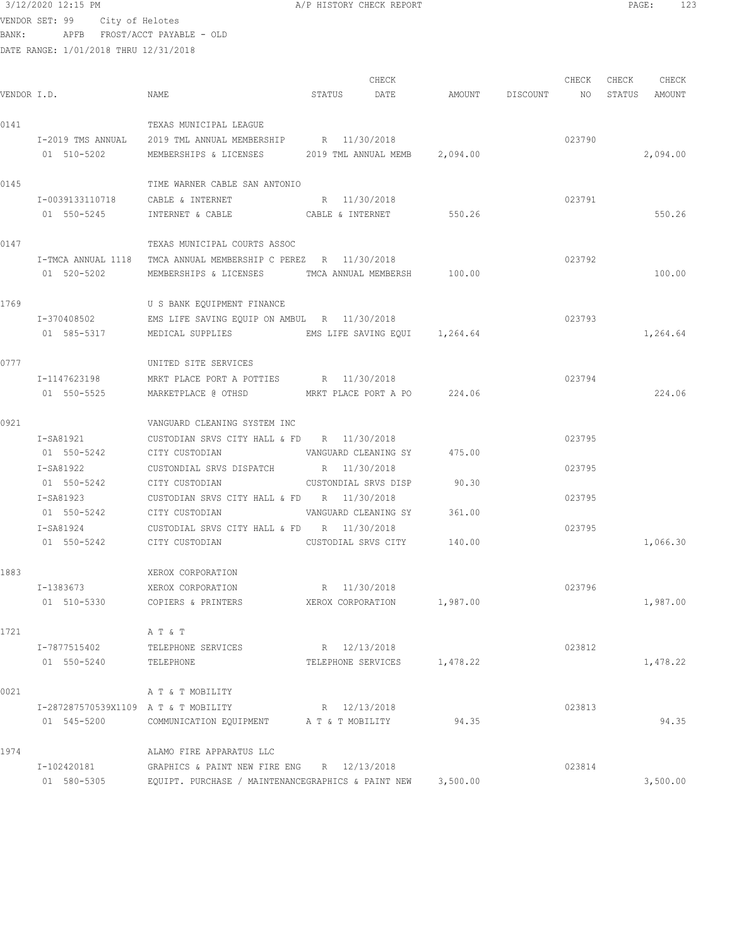VENDOR SET: 99 City of Helotes BANK: APFB FROST/ACCT PAYABLE - OLD

DATE RANGE: 1/01/2018 THRU 12/31/2018

CHECK CHECK CHECK CHECK VENDOR I.D. NAME STATUS DATE AMOUNT DISCOUNT NO STATUS AMOUNT 0141 TEXAS MUNICIPAL LEAGUE I-2019 TMS ANNUAL 2019 TML ANNUAL MEMBERSHIP R 11/30/2018 023790 01 510-5202 MEMBERSHIPS & LICENSES 2019 TML ANNUAL MEMB 2,094.00 2,094.00 2,094.00 0145 TIME WARNER CABLE SAN ANTONIO I-0039133110718 CABLE & INTERNET R 11/30/2018 023791 01 550-5245 INTERNET & CABLE 6 CABLE & INTERNET 550.26 550-26 550.26 0147 TEXAS MUNICIPAL COURTS ASSOC I-TMCA ANNUAL 1118 TMCA ANNUAL MEMBERSHIP C PEREZ R 11/30/2018 023792 01 520-5202 MEMBERSHIPS & LICENSES TMCA ANNUAL MEMBERSH 100.00 100.00 100.00 1769 U S BANK EQUIPMENT FINANCE I-370408502 EMS LIFE SAVING EQUIP ON AMBUL R 11/30/2018 023793 01 585-5317 MEDICAL SUPPLIES EMS LIFE SAVING EQUI 1,264.64 1,264.64 0777 UNITED SITE SERVICES I-1147623198 MRKT PLACE PORT A POTTIES R 11/30/2018 023794 01 550-5525 MARKETPLACE @ OTHSD MRKT PLACE PORT A PO 224.06 224.06 0921 VANGUARD CLEANING SYSTEM INC I-SA81921 CUSTODIAN SRVS CITY HALL & FD R 11/30/2018 023795 01 550-5242 CITY CUSTODIAN VANGUARD CLEANING SY 475.00 I-SA81922 CUSTONDIAL SRVS DISPATCH R 11/30/2018 023795 01 550-5242 CITY CUSTODIAN CUSTONDIAL SRVS DISP 90.30 I-SA81923 CUSTODIAN SRVS CITY HALL & FD R 11/30/2018 023795 01 550-5242 CITY CUSTODIAN VANGUARD CLEANING SY 361.00 I-SA81924 CUSTODIAL SRVS CITY HALL & FD R 11/30/2018 023795 01 550-5242 CITY CUSTODIAN CUSTODIAL SRVS CITY 140.00 1,066.30 1883 XEROX CORPORATION I-1383673 XEROX CORPORATION R 11/30/2018 023796 01 510-5330 COPIERS & PRINTERS XEROX CORPORATION 1,987.00 1,987.00 1,987.00 1721 A T & T I-7877515402 TELEPHONE SERVICES R 12/13/2018 023812 01 550-5240 TELEPHONE TELEPHONE SERVICES 1,478.22 1,478.22 0021 A T & T MOBILITY I-287287570539X1109 A T & T MOBILITY R 12/13/2018 023813 01 545-5200 COMMUNICATION EQUIPMENT A T & T MOBILITY 94.35 94.35 1974 ALAMO FIRE APPARATUS LLC I-102420181 GRAPHICS & PAINT NEW FIRE ENG R 12/13/2018 023814 01 580-5305 EQUIPT. PURCHASE / MAINTENANCEGRAPHICS & PAINT NEW 3,500.00 3,500.00 3,500.00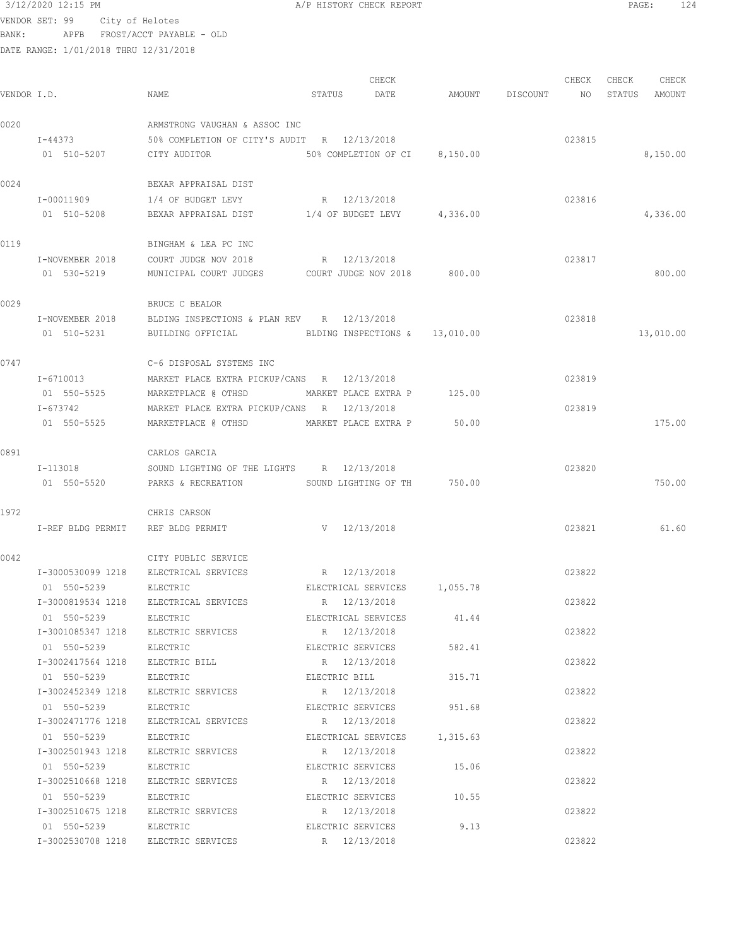## $3/12/2020$  12:15 PM  $A/P$  HISTORY CHECK REPORT  $PAGE:$  PAGE: 124 VENDOR SET: 99 City of Helotes BANK: APFB FROST/ACCT PAYABLE - OLD

| VENDOR I.D. |                            | NAME                                                        | STATUS | CHECK<br>DATE                  | AMOUNT | DISCOUNT | CHECK<br>NO | CHECK<br>STATUS | CHECK<br>AMOUNT |
|-------------|----------------------------|-------------------------------------------------------------|--------|--------------------------------|--------|----------|-------------|-----------------|-----------------|
|             |                            |                                                             |        |                                |        |          |             |                 |                 |
| 0020        |                            | ARMSTRONG VAUGHAN & ASSOC INC                               |        |                                |        |          |             |                 |                 |
|             | $I - 44373$<br>01 510-5207 | 50% COMPLETION OF CITY'S AUDIT R 12/13/2018<br>CITY AUDITOR |        | 50% COMPLETION OF CI 8,150.00  |        |          | 023815      |                 | 8,150.00        |
| 0024        |                            | BEXAR APPRAISAL DIST                                        |        |                                |        |          |             |                 |                 |
|             | I-00011909                 | 1/4 OF BUDGET LEVY                                          |        | R 12/13/2018                   |        |          | 023816      |                 |                 |
|             | 01 510-5208                | BEXAR APPRAISAL DIST 1/4 OF BUDGET LEVY 4,336.00            |        |                                |        |          |             |                 | 4,336.00        |
| 0119        |                            | BINGHAM & LEA PC INC                                        |        |                                |        |          |             |                 |                 |
|             | I-NOVEMBER 2018            | COURT JUDGE NOV 2018                                        |        | R 12/13/2018                   |        |          | 023817      |                 |                 |
|             | 01 530-5219                | MUNICIPAL COURT JUDGES COURT JUDGE NOV 2018 800.00          |        |                                |        |          |             |                 | 800.00          |
| 0029        |                            | BRUCE C BEALOR                                              |        |                                |        |          |             |                 |                 |
|             | I-NOVEMBER 2018            | BLDING INSPECTIONS & PLAN REV R 12/13/2018                  |        |                                |        |          | 023818      |                 |                 |
|             | 01 510-5231                | BUILDING OFFICIAL                                           |        | BLDING INSPECTIONS & 13,010.00 |        |          |             |                 | 13,010.00       |
| 0747        |                            | C-6 DISPOSAL SYSTEMS INC                                    |        |                                |        |          |             |                 |                 |
|             | I-6710013                  | MARKET PLACE EXTRA PICKUP/CANS R 12/13/2018                 |        |                                |        |          | 023819      |                 |                 |
|             | 01 550-5525                | MARKETPLACE @ OTHSD MARKET PLACE EXTRA P 125.00             |        |                                |        |          |             |                 |                 |
|             | I-673742                   | MARKET PLACE EXTRA PICKUP/CANS R 12/13/2018                 |        |                                |        |          | 023819      |                 |                 |
|             | 01 550-5525                | MARKETPLACE @ OTHSD MARKET PLACE EXTRA P                    |        |                                | 50.00  |          |             |                 | 175.00          |
| 0891        |                            | CARLOS GARCIA                                               |        |                                |        |          |             |                 |                 |
|             | I-113018                   | SOUND LIGHTING OF THE LIGHTS R 12/13/2018                   |        |                                |        |          | 023820      |                 |                 |
|             | 01 550-5520                | PARKS & RECREATION SOUND LIGHTING OF TH 750.00              |        |                                |        |          |             |                 | 750.00          |
| 1972        |                            | CHRIS CARSON                                                |        |                                |        |          |             |                 |                 |
|             | I-REF BLDG PERMIT          | REF BLDG PERMIT                                             |        | V 12/13/2018                   |        |          | 023821      |                 | 61.60           |
| 0042        |                            | CITY PUBLIC SERVICE                                         |        |                                |        |          |             |                 |                 |
|             |                            | I-3000530099 1218 ELECTRICAL SERVICES                       |        | R 12/13/2018                   |        |          | 023822      |                 |                 |
|             | 01 550-5239                | ELECTRIC                                                    |        | ELECTRICAL SERVICES 1,055.78   |        |          |             |                 |                 |
|             |                            | I-3000819534 1218 ELECTRICAL SERVICES                       |        | R 12/13/2018                   |        |          | 023822      |                 |                 |
|             | 01 550-5239 ELECTRIC       |                                                             |        | ELECTRICAL SERVICES 41.44      |        |          |             |                 |                 |
|             |                            | I-3001085347 1218 ELECTRIC SERVICES R 12/13/2018            |        |                                |        |          | 023822      |                 |                 |
|             |                            | 01 550-5239 ELECTRIC ELECTRIC ELECTRIC SERVICES 582.41      |        |                                |        |          |             |                 |                 |
|             |                            | I-3002417564 1218 ELECTRIC BILL R 12/13/2018                |        |                                |        |          | 023822      |                 |                 |
|             | 01 550-5239                | ELECTRIC                                                    |        | ELECTRIC BILL 315.71           |        |          |             |                 |                 |
|             |                            | I-3002452349 1218 ELECTRIC SERVICES                         |        | R 12/13/2018                   |        |          | 023822      |                 |                 |
|             | 01 550-5239                | ELECTRIC                                                    |        | ELECTRIC SERVICES              | 951.68 |          |             |                 |                 |
|             | I-3002471776 1218          | ELECTRICAL SERVICES                                         |        | R 12/13/2018                   |        |          | 023822      |                 |                 |
|             | 01 550-5239                | ELECTRIC                                                    |        | ELECTRICAL SERVICES 1,315.63   |        |          |             |                 |                 |
|             |                            | I-3002501943 1218 ELECTRIC SERVICES                         |        | R 12/13/2018                   |        |          | 023822      |                 |                 |
|             | 01 550-5239                | ELECTRIC                                                    |        | ELECTRIC SERVICES              | 15.06  |          |             |                 |                 |
|             |                            | I-3002510668 1218 ELECTRIC SERVICES                         |        | R 12/13/2018                   |        |          | 023822      |                 |                 |
|             | 01 550-5239                | ELECTRIC                                                    |        | ELECTRIC SERVICES 10.55        |        |          |             |                 |                 |
|             |                            | I-3002510675 1218 ELECTRIC SERVICES                         |        | R 12/13/2018                   |        |          | 023822      |                 |                 |
|             | 01 550-5239 ELECTRIC       |                                                             |        | ELECTRIC SERVICES              | 9.13   |          | 023822      |                 |                 |
|             |                            | I-3002530708 1218 ELECTRIC SERVICES                         |        | R 12/13/2018                   |        |          |             |                 |                 |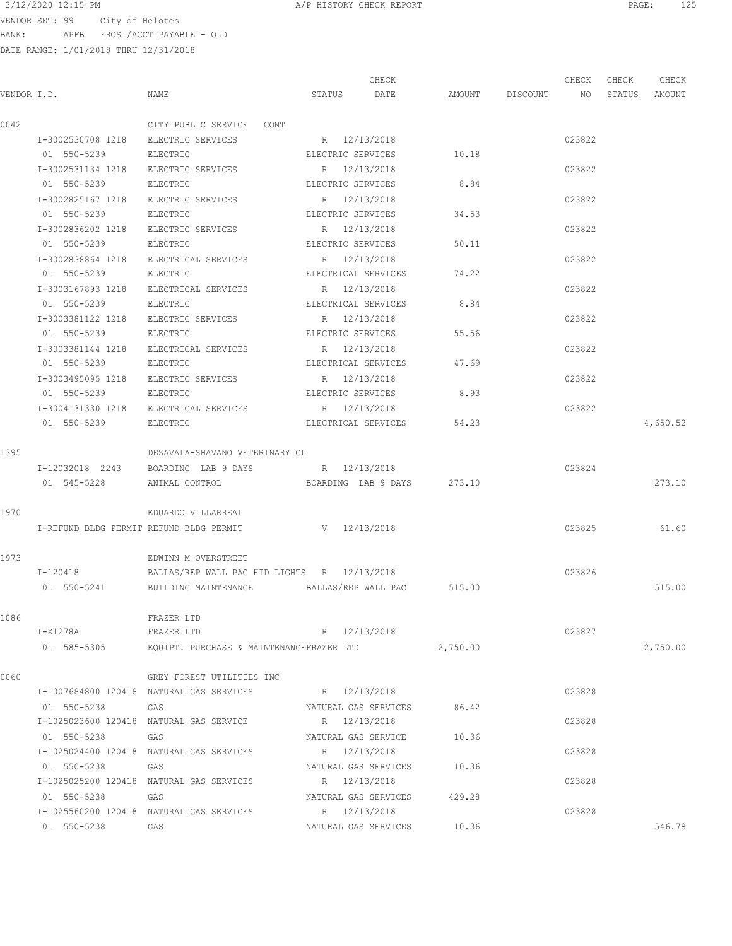## $3/12/2020$  12:15 PM  $A/P$  HISTORY CHECK REPORT  $\blacksquare$  PAGE: 125

VENDOR SET: 99 City of Helotes BANK: APFB FROST/ACCT PAYABLE - OLD

| VENDOR I.D. |                                     | NAME                                                          | STATUS DATE         | CHECK                       | AMOUNT DISCOUNT NO STATUS AMOUNT | CHECK  | CHECK | CHECK    |
|-------------|-------------------------------------|---------------------------------------------------------------|---------------------|-----------------------------|----------------------------------|--------|-------|----------|
|             |                                     |                                                               |                     |                             |                                  |        |       |          |
| 0042        |                                     | CITY PUBLIC SERVICE CONT                                      |                     |                             |                                  |        |       |          |
|             |                                     | I-3002530708 1218 ELECTRIC SERVICES                           | R 12/13/2018        |                             |                                  | 023822 |       |          |
|             | 01 550-5239                         | ELECTRIC                                                      | ELECTRIC SERVICES   |                             | 10.18                            |        |       |          |
|             | I-3002531134 1218 ELECTRIC SERVICES |                                                               | R 12/13/2018        |                             |                                  | 023822 |       |          |
|             | 01 550-5239                         | ELECTRIC                                                      | ELECTRIC SERVICES   |                             | 8.84                             |        |       |          |
|             |                                     | I-3002825167 1218 ELECTRIC SERVICES                           | R 12/13/2018        |                             |                                  | 023822 |       |          |
|             | 01 550-5239 ELECTRIC                |                                                               | ELECTRIC SERVICES   |                             | 34.53                            |        |       |          |
|             |                                     | I-3002836202 1218 ELECTRIC SERVICES                           | R 12/13/2018        |                             |                                  | 023822 |       |          |
|             | 01 550-5239 ELECTRIC                |                                                               |                     | ELECTRIC SERVICES           | 50.11                            |        |       |          |
|             |                                     | I-3002838864 1218 ELECTRICAL SERVICES                         | R 12/13/2018        |                             |                                  | 023822 |       |          |
|             | 01 550-5239                         | ELECTRIC                                                      |                     | ELECTRICAL SERVICES 74.22   |                                  |        |       |          |
|             |                                     | I-3003167893 1218 ELECTRICAL SERVICES                         | R 12/13/2018        |                             |                                  | 023822 |       |          |
|             | 01 550-5239                         | ELECTRIC                                                      | ELECTRICAL SERVICES |                             | 8.84                             |        |       |          |
|             |                                     | I-3003381122 1218 ELECTRIC SERVICES                           | R 12/13/2018        |                             |                                  | 023822 |       |          |
|             | 01 550-5239                         | ELECTRIC                                                      | ELECTRIC SERVICES   |                             | 55.56                            |        |       |          |
|             |                                     | I-3003381144 1218 ELECTRICAL SERVICES                         | R 12/13/2018        |                             |                                  | 023822 |       |          |
|             | 01 550-5239                         | ELECTRIC                                                      | ELECTRICAL SERVICES |                             | 47.69                            |        |       |          |
|             |                                     | I-3003495095 1218 ELECTRIC SERVICES                           | R 12/13/2018        |                             |                                  | 023822 |       |          |
|             | 01 550-5239                         | ELECTRIC                                                      | ELECTRIC SERVICES   |                             | 8.93                             |        |       |          |
|             |                                     | I-3004131330 1218 ELECTRICAL SERVICES                         | R 12/13/2018        |                             |                                  | 023822 |       |          |
|             | 01 550-5239                         | ELECTRIC                                                      |                     | ELECTRICAL SERVICES 54.23   |                                  |        |       | 4,650.52 |
| 1395        |                                     | DEZAVALA-SHAVANO VETERINARY CL                                |                     |                             |                                  |        |       |          |
|             |                                     | I-12032018 2243 BOARDING LAB 9 DAYS R 12/13/2018              |                     |                             |                                  | 023824 |       |          |
|             | 01 545-5228                         | BOARDING LAB 9 DAYS 273.10<br>ANIMAL CONTROL                  |                     |                             |                                  |        |       | 273.10   |
|             |                                     |                                                               |                     |                             |                                  |        |       |          |
| 1970        |                                     | EDUARDO VILLARREAL                                            |                     |                             |                                  |        |       |          |
|             |                                     | I-REFUND BLDG PERMIT REFUND BLDG PERMIT V 12/13/2018          |                     |                             |                                  | 023825 |       | 61.60    |
| 1973        |                                     | EDWINN M OVERSTREET                                           |                     |                             |                                  |        |       |          |
|             | I-120418                            | BALLAS/REP WALL PAC HID LIGHTS R 12/13/2018                   |                     |                             |                                  | 023826 |       |          |
|             |                                     | 01 550-5241 BUILDING MAINTENANCE BALLAS/REP WALL PAC 515.00   |                     |                             |                                  |        |       | 515.00   |
| 1086        |                                     | FRAZER LTD                                                    |                     |                             |                                  |        |       |          |
|             | I-X1278A                            | FRAZER LTD                                                    | R 12/13/2018        |                             |                                  | 023827 |       |          |
|             |                                     | 01 585-5305 EQUIPT. PURCHASE & MAINTENANCEFRAZER LTD 2,750.00 |                     |                             |                                  |        |       | 2,750.00 |
|             |                                     |                                                               |                     |                             |                                  |        |       |          |
| 0060        |                                     | GREY FOREST UTILITIES INC                                     |                     |                             |                                  |        |       |          |
|             |                                     | I-1007684800 120418 NATURAL GAS SERVICES                      | R 12/13/2018        |                             |                                  | 023828 |       |          |
|             | 01 550-5238<br><b>GAS</b>           |                                                               |                     | NATURAL GAS SERVICES        | 86.42                            |        |       |          |
|             |                                     | I-1025023600 120418 NATURAL GAS SERVICE                       | R 12/13/2018        |                             |                                  | 023828 |       |          |
|             | 01 550-5238 GAS                     |                                                               |                     | NATURAL GAS SERVICE         | 10.36                            |        |       |          |
|             |                                     | I-1025024400 120418 NATURAL GAS SERVICES                      | R 12/13/2018        |                             |                                  | 023828 |       |          |
|             | 01 550-5238 GAS                     |                                                               |                     | NATURAL GAS SERVICES 10.36  |                                  |        |       |          |
|             |                                     | I-1025025200 120418 NATURAL GAS SERVICES                      | R 12/13/2018        |                             |                                  | 023828 |       |          |
|             | 01 550-5238 GAS                     |                                                               |                     | NATURAL GAS SERVICES 429.28 |                                  |        |       |          |
|             |                                     | I-1025560200 120418 NATURAL GAS SERVICES                      | R 12/13/2018        |                             |                                  | 023828 |       |          |
|             | 01 550-5238 GAS                     |                                                               |                     | NATURAL GAS SERVICES 10.36  |                                  |        |       | 546.78   |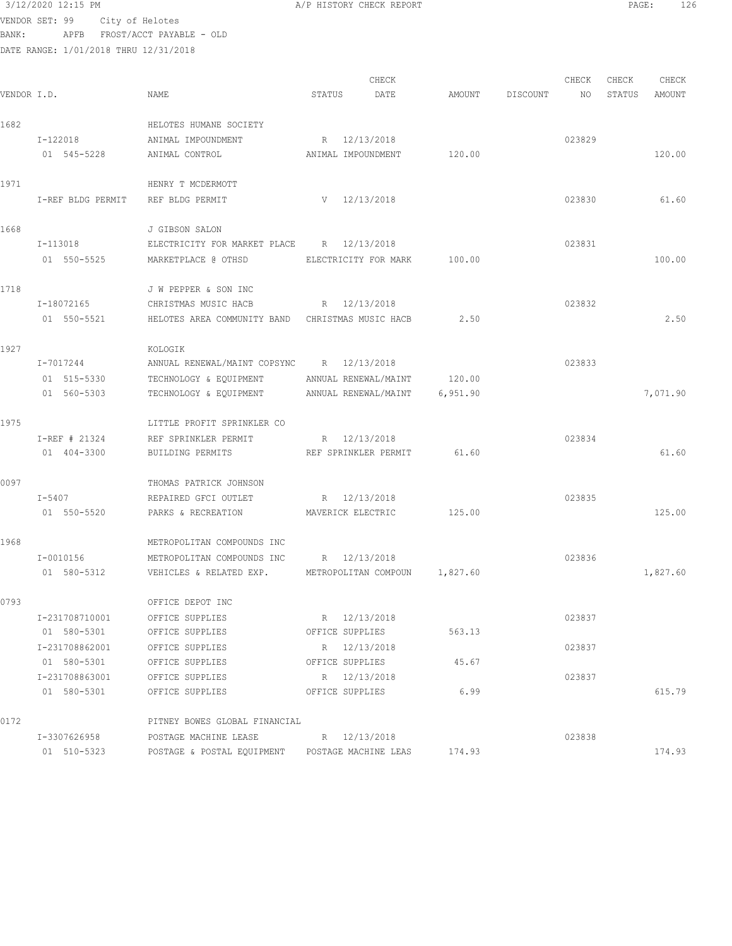VENDOR SET: 99 City of Helotes BANK: APFB FROST/ACCT PAYABLE - OLD

| VENDOR I.D. |                   | NAME                                             | STATUS | CHECK<br>DATE                 | AMOUNT   | DISCOUNT | CHECK<br>NO | CHECK<br>STATUS | CHECK<br>AMOUNT |
|-------------|-------------------|--------------------------------------------------|--------|-------------------------------|----------|----------|-------------|-----------------|-----------------|
| 1682        |                   | HELOTES HUMANE SOCIETY                           |        |                               |          |          |             |                 |                 |
|             | I-122018          | ANIMAL IMPOUNDMENT                               |        | R 12/13/2018                  |          |          | 023829      |                 |                 |
|             | 01 545-5228       | ANIMAL CONTROL                                   |        | ANIMAL IMPOUNDMENT            | 120.00   |          |             |                 | 120.00          |
| 1971        |                   | HENRY T MCDERMOTT                                |        |                               |          |          |             |                 |                 |
|             | I-REF BLDG PERMIT | REF BLDG PERMIT                                  |        | V 12/13/2018                  |          |          | 023830      |                 | 61.60           |
| 1668        |                   | J GIBSON SALON                                   |        |                               |          |          |             |                 |                 |
|             | I-113018          | ELECTRICITY FOR MARKET PLACE R 12/13/2018        |        |                               |          |          | 023831      |                 |                 |
|             | 01 550-5525       | MARKETPLACE @ OTHSD                              |        | ELECTRICITY FOR MARK          | 100.00   |          |             |                 | 100.00          |
| 1718        |                   | J W PEPPER & SON INC                             |        |                               |          |          |             |                 |                 |
|             | I-18072165        | CHRISTMAS MUSIC HACB                             |        | R 12/13/2018                  |          |          | 023832      |                 |                 |
|             | 01 550-5521       | HELOTES AREA COMMUNITY BAND CHRISTMAS MUSIC HACB |        |                               | 2.50     |          |             |                 | 2.50            |
| 1927        |                   | KOLOGIK                                          |        |                               |          |          |             |                 |                 |
|             | I-7017244         | ANNUAL RENEWAL/MAINT COPSYNC R 12/13/2018        |        |                               |          |          | 023833      |                 |                 |
|             | 01 515-5330       | TECHNOLOGY & EQUIPMENT                           |        | ANNUAL RENEWAL/MAINT          | 120.00   |          |             |                 |                 |
|             | 01 560-5303       | TECHNOLOGY & EQUIPMENT                           |        | ANNUAL RENEWAL/MAINT          | 6,951.90 |          |             |                 | 7,071.90        |
| 1975        |                   | LITTLE PROFIT SPRINKLER CO                       |        |                               |          |          |             |                 |                 |
|             | I-REF # 21324     | REF SPRINKLER PERMIT                             |        | R 12/13/2018                  |          |          | 023834      |                 |                 |
|             | 01 404-3300       | BUILDING PERMITS                                 |        | REF SPRINKLER PERMIT          | 61.60    |          |             |                 | 61.60           |
| 0097        |                   | THOMAS PATRICK JOHNSON                           |        |                               |          |          |             |                 |                 |
|             | $I - 5407$        | REPAIRED GFCI OUTLET                             |        | R 12/13/2018                  |          |          | 023835      |                 |                 |
|             | 01 550-5520       | PARKS & RECREATION                               |        | MAVERICK ELECTRIC             | 125.00   |          |             |                 | 125.00          |
| 1968        |                   | METROPOLITAN COMPOUNDS INC                       |        |                               |          |          |             |                 |                 |
|             | $I - 0010156$     | METROPOLITAN COMPOUNDS INC                       |        | R 12/13/2018                  |          |          | 023836      |                 |                 |
|             | 01 580-5312       | VEHICLES & RELATED EXP.                          |        | METROPOLITAN COMPOUN 1,827.60 |          |          |             |                 | 1,827.60        |
| 0793        |                   | OFFICE DEPOT INC                                 |        |                               |          |          |             |                 |                 |
|             | I-231708710001    | OFFICE SUPPLIES                                  |        | R 12/13/2018                  |          |          | 023837      |                 |                 |
|             | 01 580-5301       | OFFICE SUPPLIES                                  |        | OFFICE SUPPLIES               | 563.13   |          |             |                 |                 |
|             | I-231708862001    | OFFICE SUPPLIES                                  |        | R 12/13/2018                  |          |          | 023837      |                 |                 |
|             | 01 580-5301       | OFFICE SUPPLIES                                  |        | OFFICE SUPPLIES               | 45.67    |          |             |                 |                 |
|             | I-231708863001    | OFFICE SUPPLIES                                  |        | R 12/13/2018                  |          |          | 023837      |                 |                 |
|             | 01 580-5301       | OFFICE SUPPLIES                                  |        | OFFICE SUPPLIES               | 6.99     |          |             |                 | 615.79          |
| 0172        |                   | PITNEY BOWES GLOBAL FINANCIAL                    |        |                               |          |          |             |                 |                 |
|             | I-3307626958      | POSTAGE MACHINE LEASE                            |        | R 12/13/2018                  |          |          | 023838      |                 |                 |
|             | 01 510-5323       | POSTAGE & POSTAL EQUIPMENT                       |        | POSTAGE MACHINE LEAS          | 174.93   |          |             |                 | 174.93          |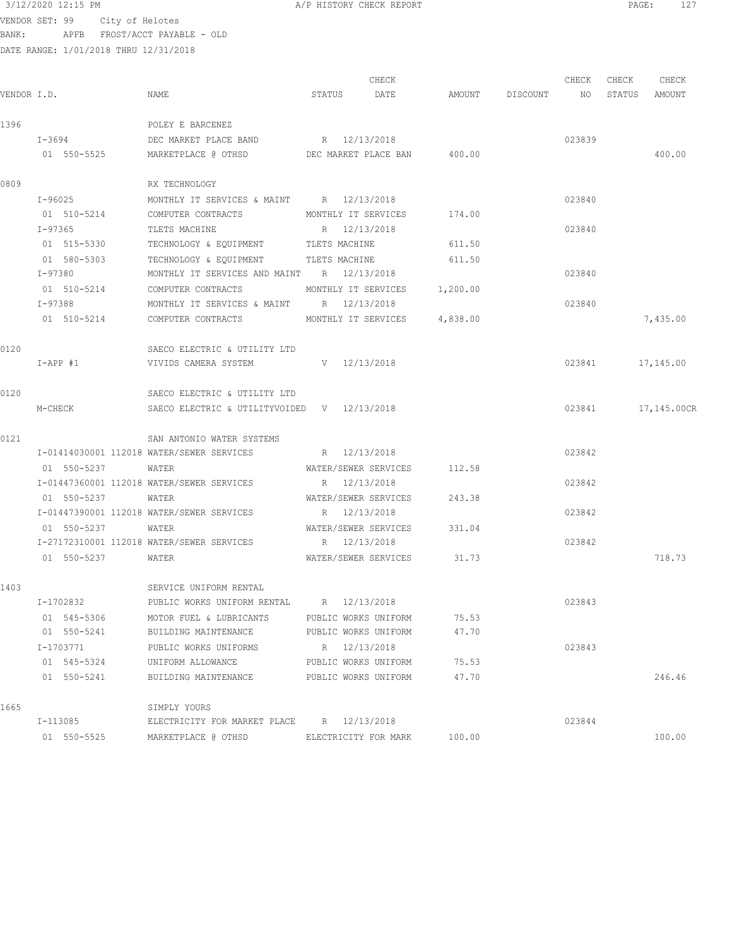VENDOR SET: 99 City of Helotes BANK: APFB FROST/ACCT PAYABLE - OLD

|             |             |                                             | CHECK                        |          |                 | CHECK  | CHECK  | CHECK            |
|-------------|-------------|---------------------------------------------|------------------------------|----------|-----------------|--------|--------|------------------|
| VENDOR I.D. |             | NAME                                        | DATE<br>STATUS               |          | AMOUNT DISCOUNT | NO     | STATUS | AMOUNT           |
| 1396        |             | POLEY E BARCENEZ                            |                              |          |                 |        |        |                  |
|             | $I - 3694$  | DEC MARKET PLACE BAND                       | R 12/13/2018                 |          |                 | 023839 |        |                  |
|             | 01 550-5525 | MARKETPLACE @ OTHSD                         | DEC MARKET PLACE BAN 400.00  |          |                 |        |        | 400.00           |
| 0809        |             | RX TECHNOLOGY                               |                              |          |                 |        |        |                  |
|             | I-96025     | MONTHLY IT SERVICES & MAINT R 12/13/2018    |                              |          |                 | 023840 |        |                  |
|             | 01 510-5214 | COMPUTER CONTRACTS                          | MONTHLY IT SERVICES          | 174.00   |                 |        |        |                  |
|             | I-97365     | TLETS MACHINE                               | R 12/13/2018                 |          |                 | 023840 |        |                  |
|             | 01 515-5330 | TECHNOLOGY & EQUIPMENT TLETS MACHINE        |                              | 611.50   |                 |        |        |                  |
|             | 01 580-5303 | TECHNOLOGY & EQUIPMENT TLETS MACHINE        |                              | 611.50   |                 |        |        |                  |
|             | I-97380     | MONTHLY IT SERVICES AND MAINT R 12/13/2018  |                              |          |                 | 023840 |        |                  |
|             |             | 01 510-5214 COMPUTER CONTRACTS              | MONTHLY IT SERVICES 1,200.00 |          |                 |        |        |                  |
|             | I-97388     | MONTHLY IT SERVICES & MAINT R 12/13/2018    |                              |          |                 | 023840 |        |                  |
|             | 01 510-5214 | COMPUTER CONTRACTS MONTHLY IT SERVICES      |                              | 4,838.00 |                 |        |        | 7,435.00         |
| 0120        |             | SAECO ELECTRIC & UTILITY LTD                |                              |          |                 |        |        |                  |
|             | $I-APP$ #1  | VIVIDS CAMERA SYSTEM                        | V 12/13/2018                 |          |                 |        |        | 023841 17,145.00 |
| 0120        |             | SAECO ELECTRIC & UTILITY LTD                |                              |          |                 |        |        |                  |
|             | M-CHECK     | SAECO ELECTRIC & UTILITYVOIDED V 12/13/2018 |                              |          |                 | 023841 |        | 17,145.00CR      |
| 0121        |             | SAN ANTONIO WATER SYSTEMS                   |                              |          |                 |        |        |                  |
|             |             | I-01414030001 112018 WATER/SEWER SERVICES   | R 12/13/2018                 |          |                 | 023842 |        |                  |
|             | 01 550-5237 | WATER                                       | WATER/SEWER SERVICES         | 112.58   |                 |        |        |                  |
|             |             | I-01447360001 112018 WATER/SEWER SERVICES   | R 12/13/2018                 |          |                 | 023842 |        |                  |
|             | 01 550-5237 | WATER                                       | WATER/SEWER SERVICES         | 243.38   |                 |        |        |                  |
|             |             | I-01447390001 112018 WATER/SEWER SERVICES   | R 12/13/2018                 |          |                 | 023842 |        |                  |
|             | 01 550-5237 | WATER                                       | WATER/SEWER SERVICES         | 331.04   |                 |        |        |                  |
|             |             | I-27172310001 112018 WATER/SEWER SERVICES   | R 12/13/2018                 |          |                 | 023842 |        |                  |
|             | 01 550-5237 | WATER                                       | WATER/SEWER SERVICES 31.73   |          |                 |        |        | 718.73           |
| 1403        |             | SERVICE UNIFORM RENTAL                      |                              |          |                 |        |        |                  |
|             | I-1702832   | PUBLIC WORKS UNIFORM RENTAL R 12/13/2018    |                              |          |                 | 023843 |        |                  |
|             | 01 545-5306 | MOTOR FUEL & LUBRICANTS                     | PUBLIC WORKS UNIFORM         | 75.53    |                 |        |        |                  |
|             | 01 550-5241 | BUILDING MAINTENANCE                        | PUBLIC WORKS UNIFORM         | 47.70    |                 |        |        |                  |
|             | I-1703771   | PUBLIC WORKS UNIFORMS                       | R 12/13/2018                 |          |                 | 023843 |        |                  |
|             | 01 545-5324 | UNIFORM ALLOWANCE                           | PUBLIC WORKS UNIFORM         | 75.53    |                 |        |        |                  |
|             | 01 550-5241 | BUILDING MAINTENANCE                        | PUBLIC WORKS UNIFORM         | 47.70    |                 |        |        | 246.46           |
| 1665        |             | SIMPLY YOURS                                |                              |          |                 |        |        |                  |
|             | I-113085    | ELECTRICITY FOR MARKET PLACE                | R 12/13/2018                 |          |                 | 023844 |        |                  |
|             | 01 550-5525 | MARKETPLACE @ OTHSD                         | ELECTRICITY FOR MARK         | 100.00   |                 |        |        | 100.00           |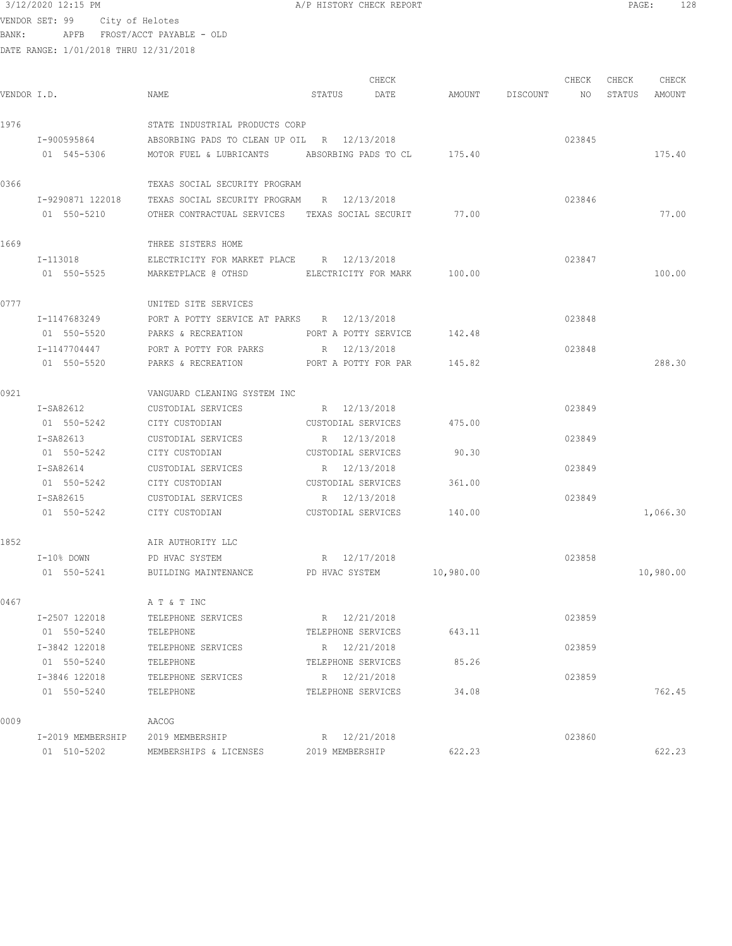VENDOR SET: 99 City of Helotes BANK: APFB FROST/ACCT PAYABLE - OLD

| VENDOR I.D. |                   | NAME                                            | STATUS               | CHECK<br>DATE        |           | AMOUNT DISCOUNT NO | CHECK  | CHECK<br>STATUS | CHECK<br>AMOUNT |
|-------------|-------------------|-------------------------------------------------|----------------------|----------------------|-----------|--------------------|--------|-----------------|-----------------|
| 1976        |                   | STATE INDUSTRIAL PRODUCTS CORP                  |                      |                      |           |                    |        |                 |                 |
|             | I-900595864       | ABSORBING PADS TO CLEAN UP OIL R 12/13/2018     |                      |                      |           |                    | 023845 |                 |                 |
|             | 01 545-5306       | MOTOR FUEL & LUBRICANTS ABSORBING PADS TO CL    |                      |                      | 175.40    |                    |        |                 | 175.40          |
| 0366        |                   | TEXAS SOCIAL SECURITY PROGRAM                   |                      |                      |           |                    |        |                 |                 |
|             | I-9290871 122018  | TEXAS SOCIAL SECURITY PROGRAM R 12/13/2018      |                      |                      |           |                    | 023846 |                 |                 |
|             | 01 550-5210       | OTHER CONTRACTUAL SERVICES TEXAS SOCIAL SECURIT |                      |                      | 77.00     |                    |        |                 | 77.00           |
| 1669        |                   | THREE SISTERS HOME                              |                      |                      |           |                    |        |                 |                 |
|             | I-113018          | ELECTRICITY FOR MARKET PLACE R 12/13/2018       |                      |                      |           |                    | 023847 |                 |                 |
|             | 01 550-5525       | MARKETPLACE @ OTHSD                             |                      | ELECTRICITY FOR MARK | 100.00    |                    |        |                 | 100.00          |
| 0777        |                   | UNITED SITE SERVICES                            |                      |                      |           |                    |        |                 |                 |
|             | I-1147683249      | PORT A POTTY SERVICE AT PARKS R 12/13/2018      |                      |                      |           |                    | 023848 |                 |                 |
|             | 01 550-5520       | PARKS & RECREATION                              | PORT A POTTY SERVICE |                      | 142.48    |                    |        |                 |                 |
|             | I-1147704447      | PORT A POTTY FOR PARKS                          | R 12/13/2018         |                      |           |                    | 023848 |                 |                 |
|             | 01 550-5520       | PARKS & RECREATION                              | PORT A POTTY FOR PAR |                      | 145.82    |                    |        |                 | 288.30          |
| 0921        |                   | VANGUARD CLEANING SYSTEM INC                    |                      |                      |           |                    |        |                 |                 |
|             | I-SA82612         | CUSTODIAL SERVICES                              | R 12/13/2018         |                      |           |                    | 023849 |                 |                 |
|             | 01 550-5242       | CITY CUSTODIAN                                  | CUSTODIAL SERVICES   |                      | 475.00    |                    |        |                 |                 |
|             | I-SA82613         | CUSTODIAL SERVICES                              | R 12/13/2018         |                      |           |                    | 023849 |                 |                 |
|             | 01 550-5242       | CITY CUSTODIAN                                  | CUSTODIAL SERVICES   |                      | 90.30     |                    |        |                 |                 |
|             | I-SA82614         | CUSTODIAL SERVICES                              | R 12/13/2018         |                      |           |                    | 023849 |                 |                 |
|             | 01 550-5242       | CITY CUSTODIAN                                  | CUSTODIAL SERVICES   |                      | 361.00    |                    |        |                 |                 |
|             | $I-SA82615$       | CUSTODIAL SERVICES                              | R 12/13/2018         |                      |           |                    | 023849 |                 |                 |
|             | 01 550-5242       | CITY CUSTODIAN                                  | CUSTODIAL SERVICES   |                      | 140.00    |                    |        |                 | 1,066.30        |
| 1852        |                   | AIR AUTHORITY LLC                               |                      |                      |           |                    |        |                 |                 |
|             | I-10% DOWN        | PD HVAC SYSTEM                                  | R 12/17/2018         |                      |           |                    | 023858 |                 |                 |
|             | 01 550-5241       | BUILDING MAINTENANCE                            | PD HVAC SYSTEM       |                      | 10,980.00 |                    |        |                 | 10,980.00       |
| 0467        |                   | A T & T INC                                     |                      |                      |           |                    |        |                 |                 |
|             | I-2507 122018     | TELEPHONE SERVICES                              | R 12/21/2018         |                      |           |                    | 023859 |                 |                 |
|             | 01 550-5240       | TELEPHONE                                       | TELEPHONE SERVICES   |                      | 643.11    |                    |        |                 |                 |
|             | I-3842 122018     | TELEPHONE SERVICES                              |                      | R 12/21/2018         |           |                    | 023859 |                 |                 |
|             | 01 550-5240       | TELEPHONE                                       | TELEPHONE SERVICES   |                      | 85.26     |                    |        |                 |                 |
|             | I-3846 122018     | TELEPHONE SERVICES                              | R 12/21/2018         |                      |           |                    | 023859 |                 |                 |
|             | 01 550-5240       | TELEPHONE                                       | TELEPHONE SERVICES   |                      | 34.08     |                    |        |                 | 762.45          |
| 0009        |                   | AACOG                                           |                      |                      |           |                    |        |                 |                 |
|             | I-2019 MEMBERSHIP | 2019 MEMBERSHIP                                 | R 12/21/2018         |                      |           |                    | 023860 |                 |                 |
|             | 01 510-5202       | MEMBERSHIPS & LICENSES                          | 2019 MEMBERSHIP      |                      | 622.23    |                    |        |                 | 622.23          |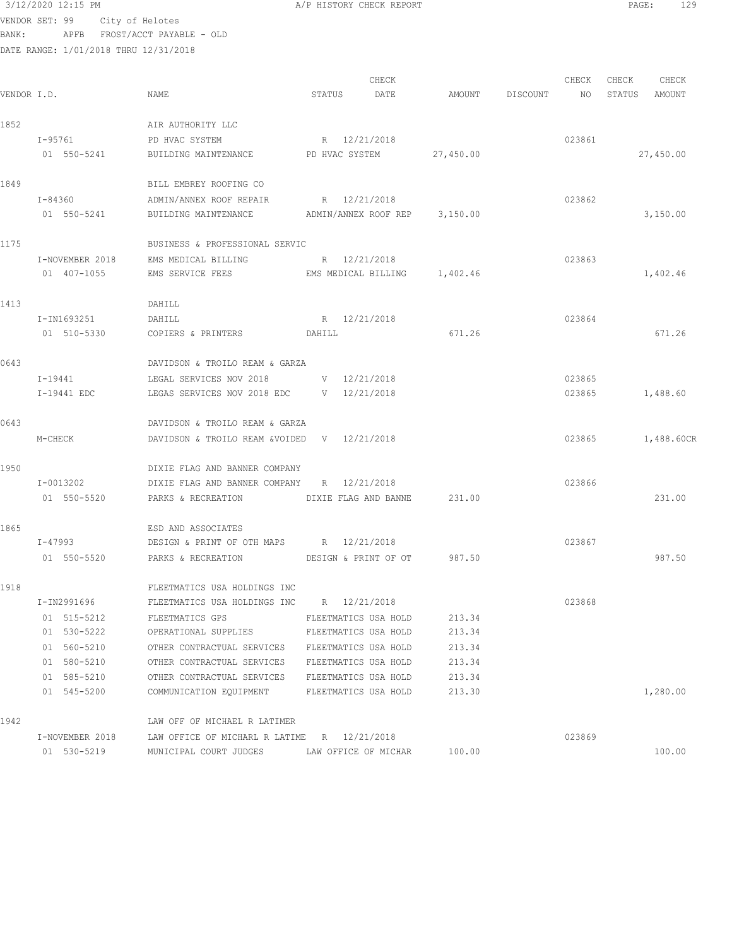|             | 3/12/2020 12:15 PM                    |                                                 | A/P HISTORY CHECK REPORT      |           |                 |        | PAGE:         | 129        |
|-------------|---------------------------------------|-------------------------------------------------|-------------------------------|-----------|-----------------|--------|---------------|------------|
|             | VENDOR SET: 99 City of Helotes        |                                                 |                               |           |                 |        |               |            |
| BANK:       |                                       | APFB FROST/ACCT PAYABLE - OLD                   |                               |           |                 |        |               |            |
|             | DATE RANGE: 1/01/2018 THRU 12/31/2018 |                                                 |                               |           |                 |        |               |            |
|             |                                       |                                                 | CHECK                         |           |                 | CHECK  | CHECK         | CHECK      |
| VENDOR I.D. |                                       | NAME                                            | STATUS<br>DATE                |           | AMOUNT DISCOUNT | NO     | STATUS AMOUNT |            |
|             |                                       |                                                 |                               |           |                 |        |               |            |
| 1852        |                                       | AIR AUTHORITY LLC                               |                               |           |                 |        |               |            |
|             | $I - 95761$                           | PD HVAC SYSTEM                                  | R 12/21/2018                  |           |                 | 023861 |               |            |
|             | 01 550-5241                           | BUILDING MAINTENANCE PD HVAC SYSTEM             |                               | 27,450.00 |                 |        |               | 27,450.00  |
| 1849        |                                       | BILL EMBREY ROOFING CO                          |                               |           |                 |        |               |            |
|             | I-84360                               | ADMIN/ANNEX ROOF REPAIR                         | R 12/21/2018                  |           |                 | 023862 |               |            |
|             | 01 550-5241                           | BUILDING MAINTENANCE                            | ADMIN/ANNEX ROOF REP 3,150.00 |           |                 |        |               | 3,150.00   |
| 1175        |                                       | BUSINESS & PROFESSIONAL SERVIC                  |                               |           |                 |        |               |            |
|             | I-NOVEMBER 2018                       | EMS MEDICAL BILLING                             | R 12/21/2018                  |           |                 | 023863 |               |            |
|             | 01 407-1055                           | EMS SERVICE FEES EMS MEDICAL BILLING 1,402.46   |                               |           |                 |        |               | 1,402.46   |
| 1413        |                                       | DAHILL                                          |                               |           |                 |        |               |            |
|             | I-IN1693251                           | DAHILL                                          | R 12/21/2018                  |           |                 | 023864 |               |            |
|             | 01 510-5330                           | COPIERS & PRINTERS DAHILL                       |                               | 671.26    |                 |        |               | 671.26     |
| 0643        |                                       | DAVIDSON & TROILO REAM & GARZA                  |                               |           |                 |        |               |            |
|             | I-19441                               | LEGAL SERVICES NOV 2018                         | $V = 12/21/2018$              |           |                 | 023865 |               |            |
|             | I-19441 EDC                           | LEGAS SERVICES NOV 2018 EDC                     | V 12/21/2018                  |           |                 | 023865 |               | 1,488.60   |
| 0643        |                                       | DAVIDSON & TROILO REAM & GARZA                  |                               |           |                 |        |               |            |
|             | M-CHECK                               | DAVIDSON & TROILO REAM &VOIDED V 12/21/2018     |                               |           |                 | 023865 |               | 1,488.60CR |
| 1950        |                                       | DIXIE FLAG AND BANNER COMPANY                   |                               |           |                 |        |               |            |
|             | I-0013202                             | DIXIE FLAG AND BANNER COMPANY                   | R 12/21/2018                  |           |                 | 023866 |               |            |
|             | 01 550-5520                           | PARKS & RECREATION                              | DIXIE FLAG AND BANNE 231.00   |           |                 |        |               | 231.00     |
| 1865        |                                       | ESD AND ASSOCIATES                              |                               |           |                 |        |               |            |
|             | I-47993                               | DESIGN & PRINT OF OTH MAPS                      | R 12/21/2018                  |           |                 | 023867 |               |            |
|             | 01 550-5520                           | PARKS & RECREATION DESIGN & PRINT OF OT         |                               | 987.50    |                 |        |               | 987.50     |
| 1918        |                                       | FLEETMATICS USA HOLDINGS INC                    |                               |           |                 |        |               |            |
|             | I-IN2991696                           | FLEETMATICS USA HOLDINGS INC                    | R 12/21/2018                  |           |                 | 023868 |               |            |
|             | 01 515-5212                           | FLEETMATICS GPS                                 | FLEETMATICS USA HOLD          | 213.34    |                 |        |               |            |
|             | 01 530-5222                           | OPERATIONAL SUPPLIES                            | FLEETMATICS USA HOLD          | 213.34    |                 |        |               |            |
|             | 01 560-5210                           | OTHER CONTRACTUAL SERVICES FLEETMATICS USA HOLD |                               | 213.34    |                 |        |               |            |
|             | 01 580-5210                           | OTHER CONTRACTUAL SERVICES FLEETMATICS USA HOLD |                               | 213.34    |                 |        |               |            |
|             | 01 585-5210                           | OTHER CONTRACTUAL SERVICES FLEETMATICS USA HOLD |                               | 213.34    |                 |        |               |            |
|             | 01 545-5200                           | COMMUNICATION EQUIPMENT FLEETMATICS USA HOLD    |                               | 213.30    |                 |        |               | 1,280.00   |
| 1942        |                                       | LAW OFF OF MICHAEL R LATIMER                    |                               |           |                 |        |               |            |

I-NOVEMBER 2018 LAW OFFICE OF MICHARL R LATIME R 12/21/2018 023869

01 530-5219 MUNICIPAL COURT JUDGES LAW OFFICE OF MICHAR 100.00 100.00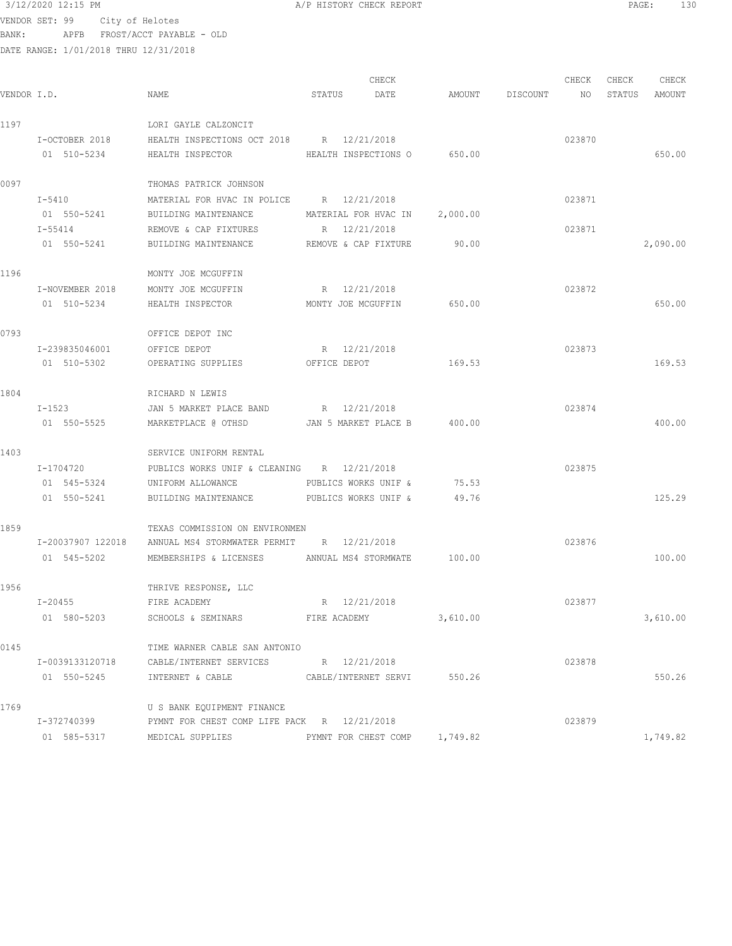$3/12/2020$  12:15 PM  $A/P$  HISTORY CHECK REPORT  $\blacksquare$  PAGE: 130 VENDOR SET: 99 City of Helotes

BANK: APFB FROST/ACCT PAYABLE - OLD DATE RANGE: 1/01/2018 THRU 12/31/2018

|             |                   |                                                    |                      | CHECK                         |          |          | CHECK  | CHECK  | CHECK    |
|-------------|-------------------|----------------------------------------------------|----------------------|-------------------------------|----------|----------|--------|--------|----------|
| VENDOR I.D. |                   | NAME                                               | STATUS               | DATE                          | AMOUNT   | DISCOUNT | NO     | STATUS | AMOUNT   |
| 1197        |                   | LORI GAYLE CALZONCIT                               |                      |                               |          |          |        |        |          |
|             | I-OCTOBER 2018    | HEALTH INSPECTIONS OCT 2018 R 12/21/2018           |                      |                               |          |          | 023870 |        |          |
|             | 01 510-5234       | HEALTH INSPECTOR                                   |                      | HEALTH INSPECTIONS O 650.00   |          |          |        |        | 650.00   |
| 0097        |                   | THOMAS PATRICK JOHNSON                             |                      |                               |          |          |        |        |          |
|             | $I-5410$          | MATERIAL FOR HVAC IN POLICE R 12/21/2018           |                      |                               |          |          | 023871 |        |          |
|             | 01 550-5241       | BUILDING MAINTENANCE                               |                      | MATERIAL FOR HVAC IN          | 2,000.00 |          |        |        |          |
|             | I-55414           | REMOVE & CAP FIXTURES                              | R 12/21/2018         |                               |          |          | 023871 |        |          |
|             | 01 550-5241       | BUILDING MAINTENANCE                               |                      | REMOVE & CAP FIXTURE          | 90.00    |          |        |        | 2,090.00 |
| 1196        |                   | MONTY JOE MCGUFFIN                                 |                      |                               |          |          |        |        |          |
|             | I-NOVEMBER 2018   | MONTY JOE MCGUFFIN                                 | R 12/21/2018         |                               |          |          | 023872 |        |          |
|             | 01 510-5234       | HEALTH INSPECTOR                                   | MONTY JOE MCGUFFIN   |                               | 650.00   |          |        |        | 650.00   |
| 0793        |                   | OFFICE DEPOT INC                                   |                      |                               |          |          |        |        |          |
|             | I-239835046001    | OFFICE DEPOT                                       | R 12/21/2018         |                               |          |          | 023873 |        |          |
|             | 01 510-5302       | OPERATING SUPPLIES                                 | OFFICE DEPOT         |                               | 169.53   |          |        |        | 169.53   |
| 1804        |                   | RICHARD N LEWIS                                    |                      |                               |          |          |        |        |          |
|             | I-1523            | JAN 5 MARKET PLACE BAND R 12/21/2018               |                      |                               |          |          | 023874 |        |          |
|             | 01 550-5525       | MARKETPLACE @ OTHSD                                | JAN 5 MARKET PLACE B |                               | 400.00   |          |        |        | 400.00   |
| 1403        |                   | SERVICE UNIFORM RENTAL                             |                      |                               |          |          |        |        |          |
|             | I-1704720         | PUBLICS WORKS UNIF & CLEANING R 12/21/2018         |                      |                               |          |          | 023875 |        |          |
|             | 01 545-5324       | UNIFORM ALLOWANCE                                  | PUBLICS WORKS UNIF & |                               | 75.53    |          |        |        |          |
|             | 01 550-5241       | BUILDING MAINTENANCE                               | PUBLICS WORKS UNIF & |                               | 49.76    |          |        |        | 125.29   |
| 1859        |                   | TEXAS COMMISSION ON ENVIRONMEN                     |                      |                               |          |          |        |        |          |
|             | I-20037907 122018 | ANNUAL MS4 STORMWATER PERMIT R 12/21/2018          |                      |                               |          |          | 023876 |        |          |
|             | 01 545-5202       | MEMBERSHIPS & LICENSES ANNUAL MS4 STORMWATE 100.00 |                      |                               |          |          |        |        | 100.00   |
| 1956        |                   | THRIVE RESPONSE, LLC                               |                      |                               |          |          |        |        |          |
|             | I-20455           | R 12/21/2018<br>FIRE ACADEMY                       |                      |                               |          |          | 023877 |        |          |
|             | 01 580-5203       | SCHOOLS & SEMINARS                                 | FIRE ACADEMY         |                               | 3,610.00 |          |        |        | 3,610.00 |
| 0145        |                   | TIME WARNER CABLE SAN ANTONIO                      |                      |                               |          |          |        |        |          |
|             | I-0039133120718   | CABLE/INTERNET SERVICES R 12/21/2018               |                      |                               |          |          | 023878 |        |          |
|             |                   | 01 550-5245 INTERNET & CABLE                       |                      | CABLE/INTERNET SERVI 550.26   |          |          |        |        | 550.26   |
| 1769        |                   | U S BANK EQUIPMENT FINANCE                         |                      |                               |          |          |        |        |          |
|             | I-372740399       | PYMNT FOR CHEST COMP LIFE PACK R 12/21/2018        |                      |                               |          |          | 023879 |        |          |
|             | 01 585-5317       | MEDICAL SUPPLIES                                   |                      | PYMNT FOR CHEST COMP 1,749.82 |          |          |        |        | 1,749.82 |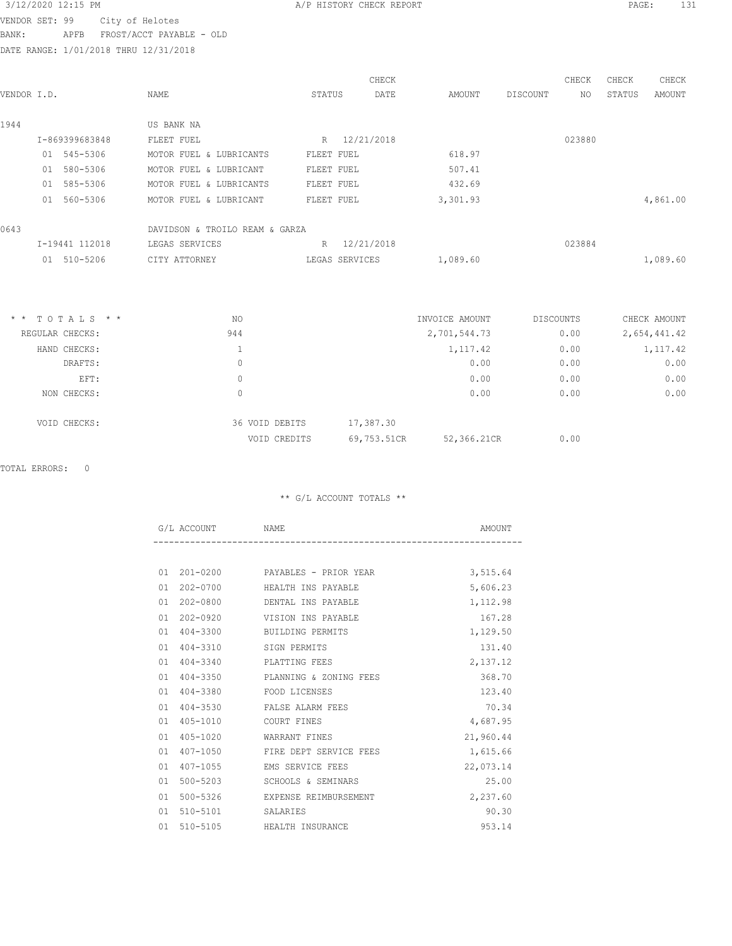VENDOR SET: 99 City of Helotes BANK: APFB FROST/ACCT PAYABLE - OLD

DATE RANGE: 1/01/2018 THRU 12/31/2018

| VENDOR I.D. |    |                | NAME                           | STATUS     |                | CHECK<br>DATE | AMOUNT   | DISCOUNT | CHECK<br>NO. | CHECK<br>STATUS | CHECK<br>AMOUNT |
|-------------|----|----------------|--------------------------------|------------|----------------|---------------|----------|----------|--------------|-----------------|-----------------|
| 1944        |    |                | US BANK NA                     |            |                |               |          |          |              |                 |                 |
|             |    | I-869399683848 | FLEET FUEL                     | R          | 12/21/2018     |               |          |          | 023880       |                 |                 |
|             |    | 01 545-5306    | MOTOR FUEL & LUBRICANTS        | FLEET FUEL |                |               | 618.97   |          |              |                 |                 |
|             | 01 | 580-5306       | MOTOR FUEL & LUBRICANT         | FLEET FUEL |                |               | 507.41   |          |              |                 |                 |
|             |    | 01 585-5306    | MOTOR FUEL & LUBRICANTS        | FLEET FUEL |                |               | 432.69   |          |              |                 |                 |
|             | 01 | 560-5306       | MOTOR FUEL & LUBRICANT         | FLEET FUEL |                |               | 3,301.93 |          |              |                 | 4,861.00        |
| 0643        |    |                | DAVIDSON & TROILO REAM & GARZA |            |                |               |          |          |              |                 |                 |
|             |    | I-19441 112018 | LEGAS SERVICES                 | R          |                | 12/21/2018    |          |          | 023884       |                 |                 |
|             |    | 01 510-5206    | CITY ATTORNEY                  |            | LEGAS SERVICES |               | 1,089.60 |          |              |                 | 1,089.60        |

| $*$ * TOTALS * * | NO             | INVOICE AMOUNT             | DISCOUNTS | CHECK AMOUNT |
|------------------|----------------|----------------------------|-----------|--------------|
| REGULAR CHECKS:  | 944            | 2,701,544.73               | 0.00      | 2,654,441.42 |
| HAND CHECKS:     |                | 1,117.42                   | 0.00      | 1,117.42     |
| DRAFTS:          | 0              | 0.00                       | 0.00      | 0.00         |
| EFT:             | 0              | 0.00                       | 0.00      | 0.00         |
| NON CHECKS:      | $\Omega$       | 0.00                       | 0.00      | 0.00         |
| VOID CHECKS:     | 36 VOID DEBITS | 17,387.30                  |           |              |
|                  | VOID CREDITS   | 69,753.51CR<br>52,366.21CR | 0.00      |              |

TOTAL ERRORS: 0

| G/L ACCOUNT NAME   |                                     | AMOUNT    |
|--------------------|-------------------------------------|-----------|
|                    |                                     |           |
|                    | 01  201-0200  PAYABLES - PRIOR YEAR | 3,515.64  |
| 01 202-0700        | HEALTH INS PAYABLE                  | 5,606.23  |
| 01 202-0800        | DENTAL INS PAYABLE                  | 1,112.98  |
| $01202 - 0920$     | VISION INS PAYABLE                  | 167.28    |
| 01 404-3300        | BUILDING PERMITS                    | 1,129.50  |
| 01 404-3310        | SIGN PERMITS                        | 131.40    |
| 01 404-3340        | PLATTING FEES                       | 2,137.12  |
| 01 404-3350        | PLANNING & ZONING FEES              | 368.70    |
|                    | 01 404-3380 FOOD LICENSES           | 123.40    |
|                    | 01 404-3530 FALSE ALARM FEES        | 70.34     |
| 01 405-1010        | COURT FINES                         | 4,687.95  |
| 01 405-1020        | WARRANT FINES                       | 21,960.44 |
| 01 407-1050        | FIRE DEPT SERVICE FEES              | 1,615.66  |
| 407-1055<br>01     | EMS SERVICE FEES                    | 22,073.14 |
| 01 500-5203        | SCHOOLS & SEMINARS                  | 25.00     |
| 01 500-5326        | EXPENSE REIMBURSEMENT               | 2,237.60  |
| 01 510-5101        | SALARIES                            | 90.30     |
| $510 - 5105$<br>01 | HEALTH INSURANCE                    | 953.14    |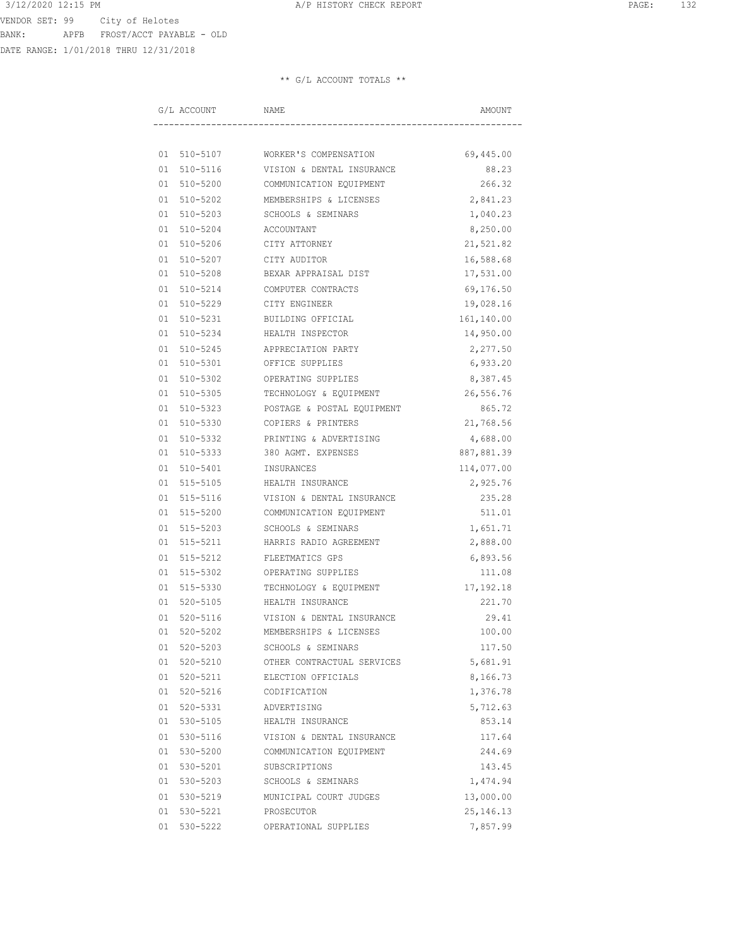DATE RANGE: 1/01/2018 THRU 12/31/2018

| G/L ACCOUNT | NAME                              | AMOUNT      |
|-------------|-----------------------------------|-------------|
|             |                                   |             |
|             | 01 510-5107 WORKER'S COMPENSATION | 69,445.00   |
| 01 510-5116 | VISION & DENTAL INSURANCE         | 88.23       |
| 01 510-5200 | COMMUNICATION EQUIPMENT           | 266.32      |
| 01 510-5202 | MEMBERSHIPS & LICENSES            | 2,841.23    |
| 01 510-5203 | SCHOOLS & SEMINARS                | 1,040.23    |
| 01 510-5204 | ACCOUNTANT                        | 8,250.00    |
| 01 510-5206 | CITY ATTORNEY                     | 21,521.82   |
| 01 510-5207 | CITY AUDITOR                      | 16,588.68   |
| 01 510-5208 | BEXAR APPRAISAL DIST              | 17,531.00   |
| 01 510-5214 | COMPUTER CONTRACTS                | 69,176.50   |
| 01 510-5229 | CITY ENGINEER                     | 19,028.16   |
| 01 510-5231 | BUILDING OFFICIAL                 | 161,140.00  |
| 01 510-5234 | HEALTH INSPECTOR                  | 14,950.00   |
| 01 510-5245 | APPRECIATION PARTY                | 2,277.50    |
| 01 510-5301 | OFFICE SUPPLIES                   | 6,933.20    |
| 01 510-5302 | OPERATING SUPPLIES                | 8,387.45    |
| 01 510-5305 | TECHNOLOGY & EQUIPMENT            | 26,556.76   |
| 01 510-5323 | POSTAGE & POSTAL EQUIPMENT        | 865.72      |
| 01 510-5330 | COPIERS & PRINTERS                | 21,768.56   |
| 01 510-5332 | PRINTING & ADVERTISING            | 4,688.00    |
| 01 510-5333 | 380 AGMT. EXPENSES                | 887,881.39  |
| 01 510-5401 | INSURANCES                        | 114,077.00  |
| 01 515-5105 | HEALTH INSURANCE                  | 2,925.76    |
| 01 515-5116 | VISION & DENTAL INSURANCE         | 235.28      |
| 01 515-5200 | COMMUNICATION EQUIPMENT           | 511.01      |
| 01 515-5203 | SCHOOLS & SEMINARS                | 1,651.71    |
| 01 515-5211 | HARRIS RADIO AGREEMENT            | 2,888.00    |
| 01 515-5212 | FLEETMATICS GPS                   | 6,893.56    |
| 01 515-5302 | OPERATING SUPPLIES                | 111.08      |
| 01 515-5330 | TECHNOLOGY & EQUIPMENT            | 17,192.18   |
| 01 520-5105 | HEALTH INSURANCE                  | 221.70      |
| 01 520-5116 | VISION & DENTAL INSURANCE         | 29.41       |
| 01 520-5202 | MEMBERSHIPS & LICENSES            | 100.00      |
| 01 520-5203 | SCHOOLS & SEMINARS                | 117.50      |
| 01 520-5210 | OTHER CONTRACTUAL SERVICES        | 5,681.91    |
| 01 520-5211 | ELECTION OFFICIALS                | 8,166.73    |
| 01 520-5216 | CODIFICATION                      | 1,376.78    |
| 01 520-5331 | ADVERTISING                       | 5,712.63    |
| 01 530-5105 | HEALTH INSURANCE                  | 853.14      |
| 01 530-5116 | VISION & DENTAL INSURANCE         | 117.64      |
| 01 530-5200 | COMMUNICATION EQUIPMENT           | 244.69      |
| 01 530-5201 | SUBSCRIPTIONS                     | 143.45      |
| 01 530-5203 | SCHOOLS & SEMINARS                | 1,474.94    |
| 01 530-5219 | MUNICIPAL COURT JUDGES            | 13,000.00   |
| 01 530-5221 | PROSECUTOR                        | 25, 146. 13 |
| 01 530-5222 | OPERATIONAL SUPPLIES              | 7,857.99    |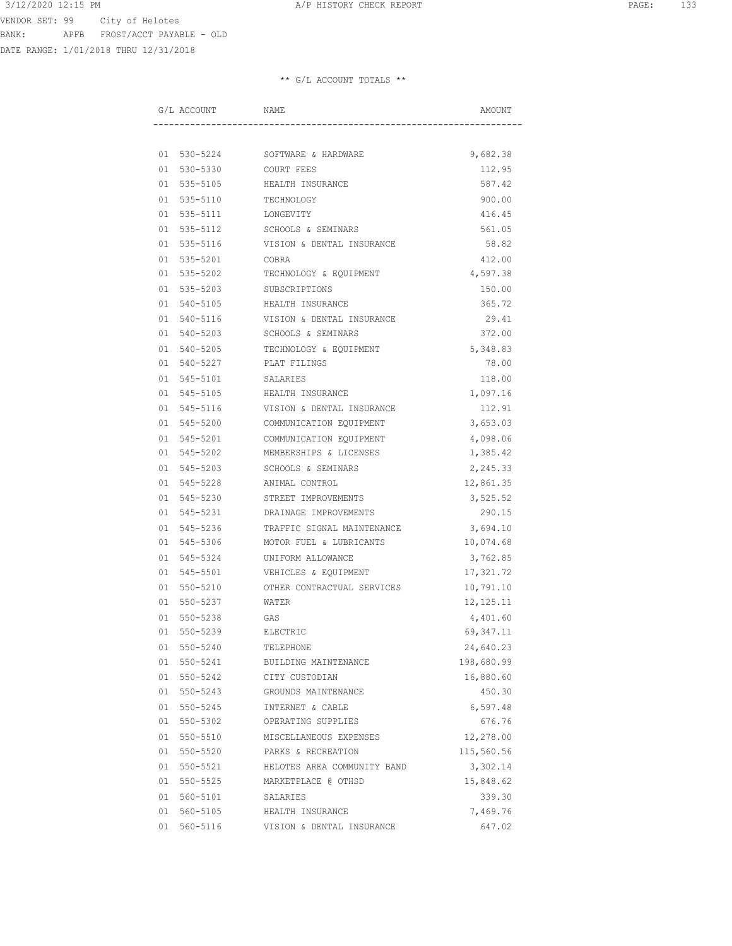DATE RANGE: 1/01/2018 THRU 12/31/2018

| G/L ACCOUNT NAME  |                                       | AMOUNT      |
|-------------------|---------------------------------------|-------------|
|                   |                                       |             |
|                   | 01 530-5224 SOFTWARE & HARDWARE       | 9,682.38    |
| 01 530-5330       | COURT FEES                            | 112.95      |
| 01 535-5105       | HEALTH INSURANCE                      | 587.42      |
| 01 535-5110       | TECHNOLOGY                            | 900.00      |
| 01 535-5111       | LONGEVITY                             | 416.45      |
| 01 535-5112       | SCHOOLS & SEMINARS                    | 561.05      |
| 01 535-5116       | VISION & DENTAL INSURANCE             | 58.82       |
| 01 535-5201 COBRA |                                       | 412.00      |
|                   | 01 535-5202 TECHNOLOGY & EQUIPMENT    | 4,597.38    |
|                   | 01 535-5203 SUBSCRIPTIONS             | 150.00      |
|                   | 01 540-5105 HEALTH INSURANCE          | 365.72      |
|                   | 01 540-5116 VISION & DENTAL INSURANCE | 29.41       |
|                   | 01 540-5203 SCHOOLS & SEMINARS        | 372.00      |
| 01 540-5205       | TECHNOLOGY & EQUIPMENT                | 5,348.83    |
| 01 540-5227       | PLAT FILINGS                          | 78.00       |
| 01 545-5101       | SALARIES                              | 118.00      |
| 01 545-5105       | HEALTH INSURANCE                      | 1,097.16    |
| 01 545-5116       | VISION & DENTAL INSURANCE             | 112.91      |
| 01 545-5200       | COMMUNICATION EQUIPMENT               | 3,653.03    |
|                   | 01 545-5201 COMMUNICATION EQUIPMENT   | 4,098.06    |
|                   | 01 545-5202 MEMBERSHIPS & LICENSES    | 1,385.42    |
|                   | 01 545-5203 SCHOOLS & SEMINARS        | 2,245.33    |
|                   | 01 545-5228 ANIMAL CONTROL            | 12,861.35   |
|                   | 01 545-5230 STREET IMPROVEMENTS       | 3,525.52    |
|                   | 01 545-5231 DRAINAGE IMPROVEMENTS     | 290.15      |
| 01 545-5236       | TRAFFIC SIGNAL MAINTENANCE            | 3,694.10    |
| 01 545-5306       | MOTOR FUEL & LUBRICANTS               | 10,074.68   |
| 01 545-5324       | UNIFORM ALLOWANCE                     | 3,762.85    |
| 01 545-5501       | VEHICLES & EQUIPMENT                  | 17,321.72   |
| 01 550-5210       | OTHER CONTRACTUAL SERVICES            | 10,791.10   |
| 01 550-5237       | WATER                                 | 12, 125. 11 |
| 01 550-5238       | <b>GAS</b>                            | 4,401.60    |
| 01 550-5239       | ELECTRIC                              | 69, 347.11  |
| 01 550-5240       | TELEPHONE                             | 24,640.23   |
| 01 550-5241       | BUILDING MAINTENANCE                  | 198,680.99  |
| 01 550-5242       | CITY CUSTODIAN                        | 16,880.60   |
| 01 550-5243       | GROUNDS MAINTENANCE                   | 450.30      |
| 01 550-5245       | INTERNET & CABLE                      | 6,597.48    |
| 01 550-5302       | OPERATING SUPPLIES                    | 676.76      |
| 01 550-5510       | MISCELLANEOUS EXPENSES                | 12,278.00   |
| 01 550-5520       | PARKS & RECREATION                    | 115,560.56  |
| 01 550-5521       | HELOTES AREA COMMUNITY BAND           | 3,302.14    |
| 01 550-5525       | MARKETPLACE @ OTHSD                   | 15,848.62   |
| 01 560-5101       | SALARIES                              | 339.30      |
| 01 560-5105       | HEALTH INSURANCE                      | 7,469.76    |
| 01 560-5116       | VISION & DENTAL INSURANCE             | 647.02      |
|                   |                                       |             |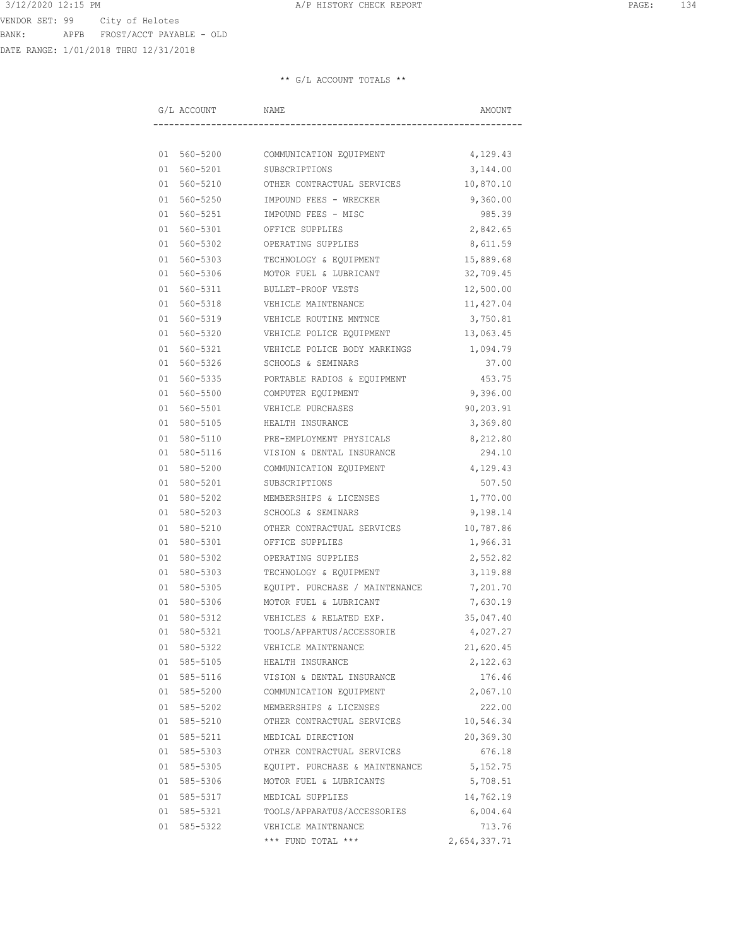DATE RANGE: 1/01/2018 THRU 12/31/2018

| G/L ACCOUNT | NAME                                              | AMOUNT       |
|-------------|---------------------------------------------------|--------------|
|             |                                                   |              |
|             | 01 560-5200 COMMUNICATION EQUIPMENT               | 4,129.43     |
|             | 01 560-5201 SUBSCRIPTIONS                         | 3,144.00     |
|             | 01 560-5210 OTHER CONTRACTUAL SERVICES            | 10,870.10    |
| 01 560-5250 | IMPOUND FEES - WRECKER                            | 9,360.00     |
| 01 560-5251 | IMPOUND FEES - MISC                               | 985.39       |
| 01 560-5301 | OFFICE SUPPLIES                                   | 2,842.65     |
| 01 560-5302 | OPERATING SUPPLIES                                | 8,611.59     |
| 01 560-5303 | TECHNOLOGY & EQUIPMENT                            | 15,889.68    |
| 01 560-5306 | MOTOR FUEL & LUBRICANT                            | 32,709.45    |
| 01 560-5311 | BULLET-PROOF VESTS                                | 12,500.00    |
| 01 560-5318 | VEHICLE MAINTENANCE                               | 11,427.04    |
| 01 560-5319 | VEHICLE ROUTINE MNTNCE                            | 3,750.81     |
| 01 560-5320 | VEHICLE POLICE EQUIPMENT                          | 13,063.45    |
|             | 01 560-5321 VEHICLE POLICE BODY MARKINGS 1,094.79 |              |
| 01 560-5326 | SCHOOLS & SEMINARS                                | 37.00        |
| 01 560-5335 | PORTABLE RADIOS & EQUIPMENT                       | 453.75       |
| 01 560-5500 | COMPUTER EQUIPMENT                                | 9,396.00     |
| 01 560-5501 | VEHICLE PURCHASES                                 | 90,203.91    |
| 01 580-5105 | HEALTH INSURANCE                                  | 3,369.80     |
| 01 580-5110 | PRE-EMPLOYMENT PHYSICALS                          | 8,212.80     |
| 01 580-5116 | VISION & DENTAL INSURANCE                         | 294.10       |
| 01 580-5200 | COMMUNICATION EQUIPMENT                           | 4,129.43     |
| 01 580-5201 | SUBSCRIPTIONS                                     | 507.50       |
| 01 580-5202 | MEMBERSHIPS & LICENSES                            | 1,770.00     |
| 01 580-5203 | SCHOOLS & SEMINARS                                | 9,198.14     |
| 01 580-5210 | OTHER CONTRACTUAL SERVICES 10,787.86              |              |
| 01 580-5301 | OFFICE SUPPLIES                                   | 1,966.31     |
| 01 580-5302 | OPERATING SUPPLIES                                | 2,552.82     |
| 01 580-5303 | TECHNOLOGY & EQUIPMENT                            | 3,119.88     |
| 01 580-5305 | EQUIPT. PURCHASE / MAINTENANCE                    | 7,201.70     |
| 01 580-5306 | MOTOR FUEL & LUBRICANT                            | 7,630.19     |
| 01 580-5312 | VEHICLES & RELATED EXP.                           | 35,047.40    |
| 01 580-5321 | TOOLS/APPARTUS/ACCESSORIE                         | 4,027.27     |
| 01 580-5322 | VEHICLE MAINTENANCE                               | 21,620.45    |
| 01 585-5105 | HEALTH INSURANCE                                  | 2,122.63     |
| 01 585-5116 | VISION & DENTAL INSURANCE                         | 176.46       |
| 01 585-5200 | COMMUNICATION EQUIPMENT                           | 2,067.10     |
| 01 585-5202 | MEMBERSHIPS & LICENSES                            | 222.00       |
| 01 585-5210 | OTHER CONTRACTUAL SERVICES                        | 10,546.34    |
| 01 585-5211 | MEDICAL DIRECTION                                 | 20,369.30    |
| 01 585-5303 | OTHER CONTRACTUAL SERVICES                        | 676.18       |
| 01 585-5305 | EQUIPT. PURCHASE & MAINTENANCE                    | 5,152.75     |
| 01 585-5306 | MOTOR FUEL & LUBRICANTS                           | 5,708.51     |
| 01 585-5317 | MEDICAL SUPPLIES                                  | 14,762.19    |
| 01 585-5321 | TOOLS/APPARATUS/ACCESSORIES                       | 6,004.64     |
| 01 585-5322 | VEHICLE MAINTENANCE                               | 713.76       |
|             | *** FUND TOTAL ***                                | 2,654,337.71 |
|             |                                                   |              |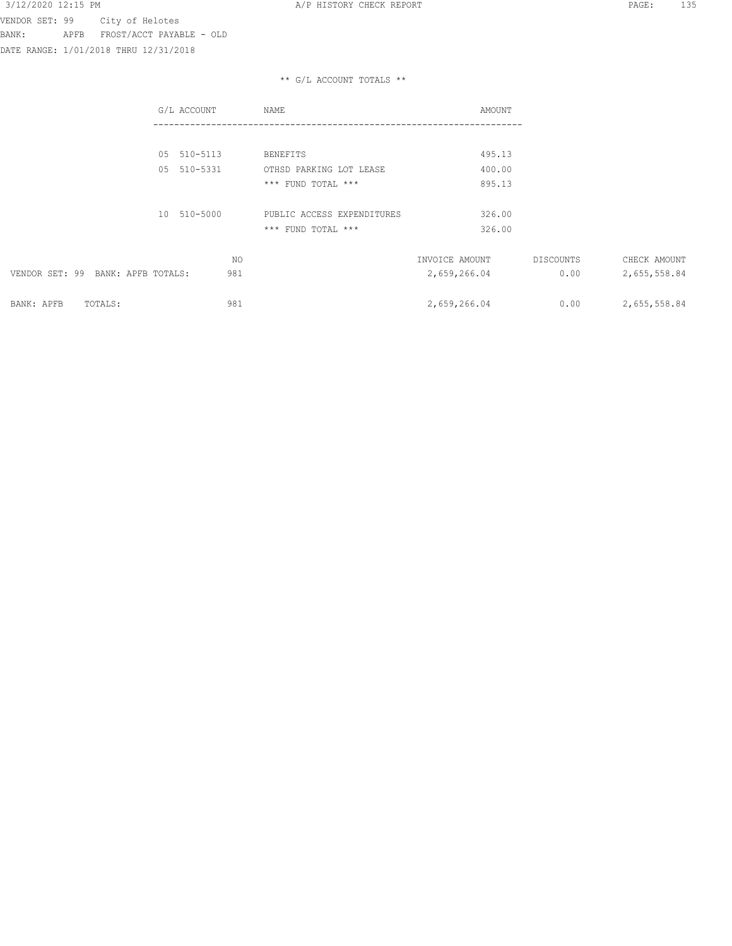DATE RANGE: 1/01/2018 THRU 12/31/2018

|                                      | G/L ACCOUNT    | NAME                       | AMOUNT         |           |              |
|--------------------------------------|----------------|----------------------------|----------------|-----------|--------------|
|                                      |                |                            |                |           |              |
|                                      | 05 510-5113    | BENEFITS                   | 495.13         |           |              |
|                                      | 510-5331<br>05 | OTHSD PARKING LOT LEASE    | 400.00         |           |              |
|                                      |                | *** FUND TOTAL ***         | 895.13         |           |              |
|                                      | 10 510-5000    | PUBLIC ACCESS EXPENDITURES | 326.00         |           |              |
|                                      |                | *** FUND TOTAL ***         | 326.00         |           |              |
|                                      | NO             |                            | INVOICE AMOUNT | DISCOUNTS | CHECK AMOUNT |
| VENDOR SET: 99<br>BANK: APFB TOTALS: | 981            |                            | 2,659,266.04   | 0.00      | 2,655,558.84 |
| BANK: APFB<br>TOTALS:                | 981            |                            | 2,659,266.04   | 0.00      | 2,655,558.84 |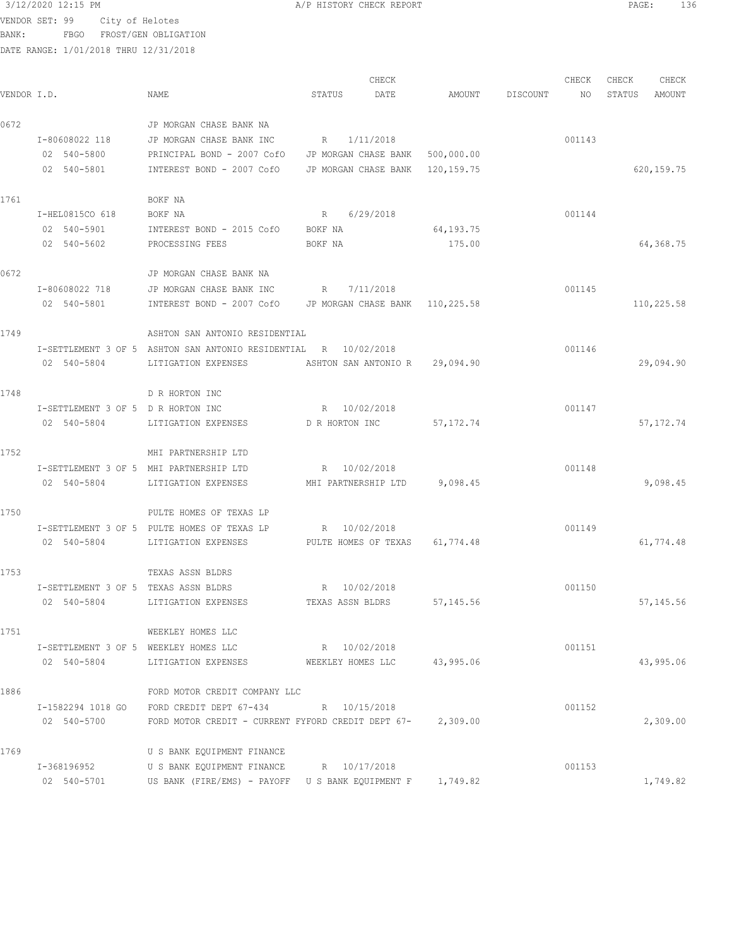VENDOR SET: 99 City of Helotes

BANK: FBGO FROST/GEN OBLIGATION

DATE RANGE: 1/01/2018 THRU 12/31/2018

CHECK CHECK CHECK CHECK CHECK CHECK CHECK CHECK CHECK CHECK CHECK CHECK CHECK CHECK CHECK CHECK CHECK CHECK CHECK CHECK CHECK CHECK CHECK CHECK CHECK CHECK CHECK CHECK CHECK CHECK CHECK CHECK CHECK CHECK CHECK CHECK CHECK VENDOR I.D. NAME STATUS DATE AMOUNT DISCOUNT NO STATUS AMOUNT 0672 JP MORGAN CHASE BANK NA I-80608022 118 JP MORGAN CHASE BANK INC R 1/11/2018 001143 02 540-5800 PRINCIPAL BOND - 2007 CofO JP MORGAN CHASE BANK 500,000.00 02 540-5801 INTEREST BOND - 2007 CofO JP MORGAN CHASE BANK 120,159.75 620,159.75 1761 BOKF NA I-HEL0815CO 618 BOKF NA R 6/29/2018 001144 02 540-5901 INTEREST BOND - 2015 CofO BOKF NA 64,193.75 02 540-5602 PROCESSING FEES BOKF NA 175.00 64,368.75 0672 JP MORGAN CHASE BANK NA I-80608022 718 JP MORGAN CHASE BANK INC R 7/11/2018 02 540-5801 INTEREST BOND - 2007 CofO JP MORGAN CHASE BANK 110,225.58 110,225.58 110,225.58 1749 ASHTON SAN ANTONIO RESIDENTIAL I-SETTLEMENT 3 OF 5 ASHTON SAN ANTONIO RESIDENTIAL R 10/02/2018 001146 02 540-5804 LITIGATION EXPENSES ASHTON SAN ANTONIO R 29,094.90 29,094.90 1748 D R HORTON INC I-SETTLEMENT 3 OF 5 D R HORTON INC R 10/02/2018 001147 02 540-5804 LITIGATION EXPENSES DR HORTON INC 57,172.74 57,172.74 57,172.74 1752 MHI PARTNERSHIP LTD I-SETTLEMENT 3 OF 5 MHI PARTNERSHIP LTD R 10/02/2018 001148 02 540-5804 LITIGATION EXPENSES MHI PARTNERSHIP LTD 9,098.45 9,098.45 1750 PULTE HOMES OF TEXAS LP I-SETTLEMENT 3 OF 5 PULTE HOMES OF TEXAS LP R  $10/02/2018$  001149 02 540-5804 LITIGATION EXPENSES PULTE HOMES OF TEXAS 61,774.48 1753 TEXAS ASSN BLDRS I-SETTLEMENT 3 OF 5 TEXAS ASSN BLDRS R 10/02/2018 8 R 10/02/2018 02 540-5804 LITIGATION EXPENSES TEXAS ASSN BLDRS 57,145.56 57,145.56 1751 WEEKLEY HOMES LLC I-SETTLEMENT 3 OF 5 WEEKLEY HOMES LLC R 10/02/2018 001151 02 540-5804 LITIGATION EXPENSES WEEKLEY HOMES LLC 43,995.06 43,995.06 43,995.06 1886 FORD MOTOR CREDIT COMPANY LLC I-1582294 1018 GO FORD CREDIT DEPT 67-434 R 10/15/2018 001152 02 540-5700 FORD MOTOR CREDIT - CURRENT FYFORD CREDIT DEPT 67- 2,309.00 2,309.00 1769 U S BANK EQUIPMENT FINANCE I-368196952 U S BANK EQUIPMENT FINANCE R 10/17/2018 001153 02 540-5701 US BANK (FIRE/EMS) - PAYOFF U S BANK EQUIPMENT F 1,749.82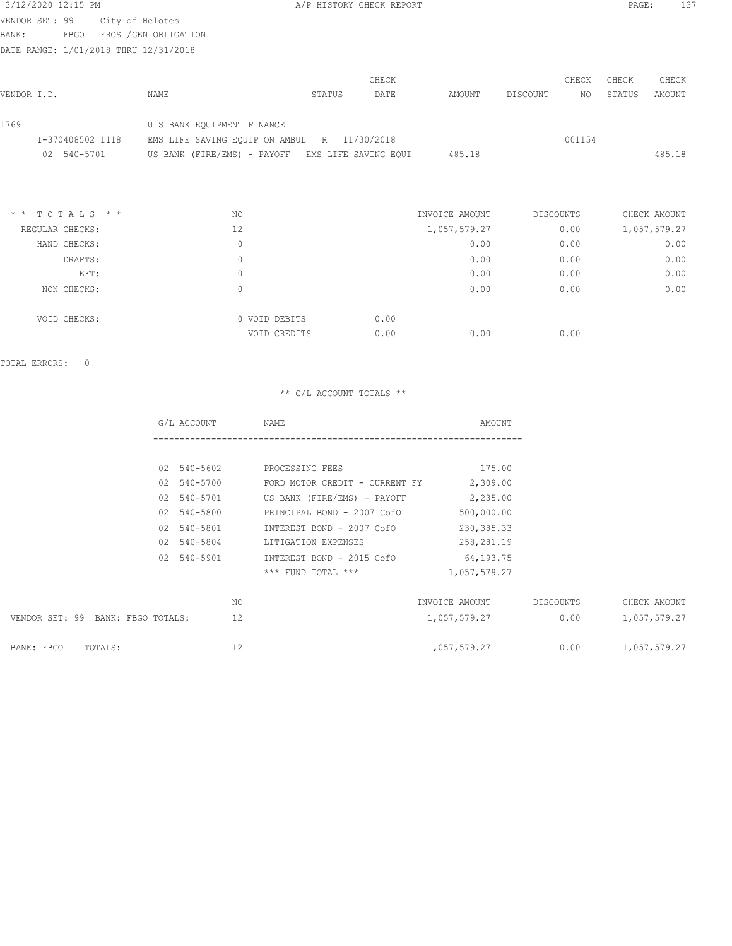## 3/12/2020 12:15 PM **A/P HISTORY CHECK REPORT PAGE:** 137 VENDOR SET: 99 City of Helotes

BANK: FBGO FROST/GEN OBLIGATION

DATE RANGE: 1/01/2018 THRU 12/31/2018

|                  |                                                  |        | CHECK |        |          | CHECK  | CHECK  | CHECK  |
|------------------|--------------------------------------------------|--------|-------|--------|----------|--------|--------|--------|
| VENDOR I.D.      | NAME                                             | STATUS | DATE  | AMOUNT | DISCOUNT | NO.    | STATUS | AMOUNT |
| 1769             | U S BANK EOUIPMENT FINANCE                       |        |       |        |          |        |        |        |
| I-370408502 1118 | EMS LIFE SAVING EQUIP ON AMBUL R 11/30/2018      |        |       |        |          | 001154 |        |        |
| 540-5701<br>02   | US BANK (FIRE/EMS) - PAYOFF EMS LIFE SAVING EQUI |        |       | 485.18 |          |        |        | 485.18 |

| $*$ * TOTALS * * | NO.           | INVOICE AMOUNT | DISCOUNTS | CHECK AMOUNT |
|------------------|---------------|----------------|-----------|--------------|
| REGULAR CHECKS:  | 12            | 1,057,579.27   | 0.00      | 1,057,579.27 |
| HAND CHECKS:     | 0             | 0.00           | 0.00      | 0.00         |
| DRAFTS:          | 0             | 0.00           | 0.00      | 0.00         |
| EFT:             | 0             | 0.00           | 0.00      | 0.00         |
| NON CHECKS:      | 0             | 0.00           | 0.00      | 0.00         |
| VOID CHECKS:     | 0 VOID DEBITS | 0.00           |           |              |
|                  | VOID CREDITS  | 0.00<br>0.00   | 0.00      |              |

TOTAL ERRORS: 0

|                                   | G/L ACCOUNT | NAME                           | AMOUNT         |           |              |
|-----------------------------------|-------------|--------------------------------|----------------|-----------|--------------|
|                                   |             |                                |                |           |              |
|                                   | 02 540-5602 | PROCESSING FEES                | 175.00         |           |              |
|                                   | 02 540-5700 | FORD MOTOR CREDIT - CURRENT FY | 2,309.00       |           |              |
|                                   | 02 540-5701 | US BANK (FIRE/EMS) - PAYOFF    | 2,235.00       |           |              |
|                                   | 02 540-5800 | PRINCIPAL BOND - 2007 CofO     | 500,000.00     |           |              |
|                                   | 02 540-5801 | INTEREST BOND - 2007 CofO      | 230, 385. 33   |           |              |
|                                   | 02 540-5804 | LITIGATION EXPENSES            | 258,281.19     |           |              |
|                                   | 02 540-5901 | INTEREST BOND - 2015 CofO      | 64,193.75      |           |              |
|                                   |             | *** FUND TOTAL ***             | 1,057,579.27   |           |              |
|                                   | NO.         |                                | INVOICE AMOUNT | DISCOUNTS | CHECK AMOUNT |
| VENDOR SET: 99 BANK: FBGO TOTALS: | 12          |                                | 1,057,579.27   | 0.00      | 1,057,579.27 |
| BANK: FBGO<br>TOTALS:             | 12          |                                | 1,057,579.27   | 0.00      | 1,057,579.27 |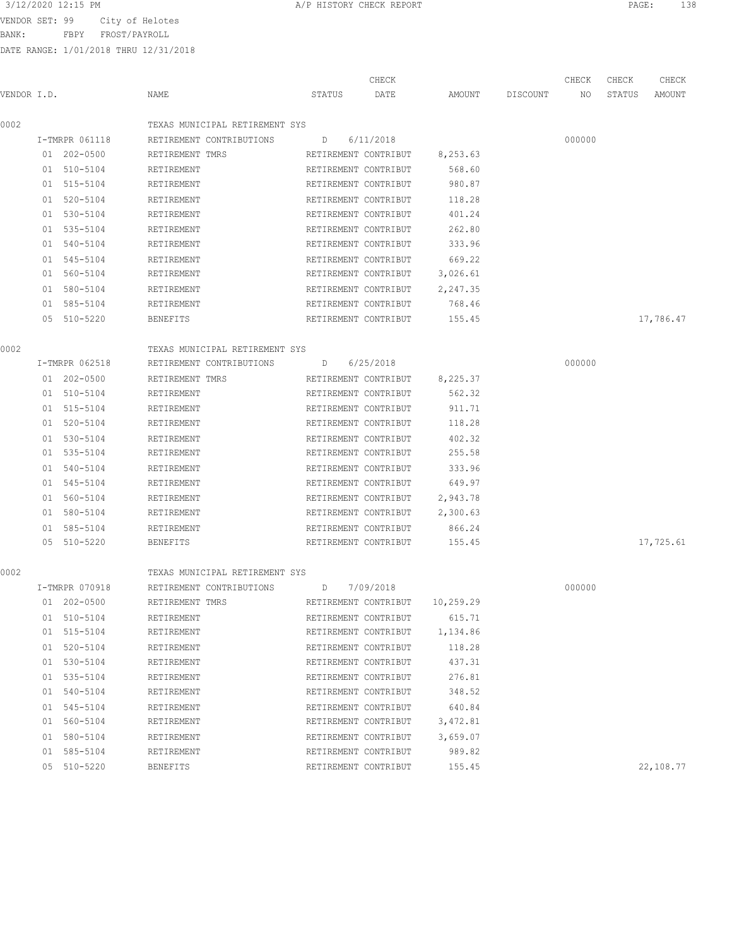VENDOR SET: 99 City of Helotes

BANK: FBPY FROST/PAYROLL

DATE RANGE: 1/01/2018 THRU 12/31/2018

| VENDOR I.D. |                | NAME                           | CHECK<br>STATUS<br>DATE        | AMOUNT   | DISCOUNT | CHECK<br>NO | CHECK<br>STATUS | CHECK<br>AMOUNT |
|-------------|----------------|--------------------------------|--------------------------------|----------|----------|-------------|-----------------|-----------------|
|             |                |                                |                                |          |          |             |                 |                 |
| 0002        |                | TEXAS MUNICIPAL RETIREMENT SYS |                                |          |          |             |                 |                 |
|             | I-TMRPR 061118 | RETIREMENT CONTRIBUTIONS       | 6/11/2018<br>D                 |          |          | 000000      |                 |                 |
|             | 01 202-0500    | RETIREMENT TMRS                | RETIREMENT CONTRIBUT           | 8,253.63 |          |             |                 |                 |
|             | 01 510-5104    | RETIREMENT                     | RETIREMENT CONTRIBUT           | 568.60   |          |             |                 |                 |
|             | 01 515-5104    | RETIREMENT                     | RETIREMENT CONTRIBUT           | 980.87   |          |             |                 |                 |
|             | 01 520-5104    | RETIREMENT                     | RETIREMENT CONTRIBUT           | 118.28   |          |             |                 |                 |
|             | 01 530-5104    | RETIREMENT                     | RETIREMENT CONTRIBUT           | 401.24   |          |             |                 |                 |
|             | 01 535-5104    | RETIREMENT                     | RETIREMENT CONTRIBUT           | 262.80   |          |             |                 |                 |
|             | 01 540-5104    | RETIREMENT                     | RETIREMENT CONTRIBUT           | 333.96   |          |             |                 |                 |
|             | 01 545-5104    | RETIREMENT                     | RETIREMENT CONTRIBUT           | 669.22   |          |             |                 |                 |
|             | 01 560-5104    | RETIREMENT                     | RETIREMENT CONTRIBUT           | 3,026.61 |          |             |                 |                 |
|             | 01 580-5104    | RETIREMENT                     | RETIREMENT CONTRIBUT           | 2,247.35 |          |             |                 |                 |
|             | 01 585-5104    | RETIREMENT                     | RETIREMENT CONTRIBUT           | 768.46   |          |             |                 |                 |
|             | 05 510-5220    | BENEFITS                       | RETIREMENT CONTRIBUT           | 155.45   |          |             |                 | 17,786.47       |
| 0002        |                | TEXAS MUNICIPAL RETIREMENT SYS |                                |          |          |             |                 |                 |
|             | I-TMRPR 062518 | RETIREMENT CONTRIBUTIONS       | 6/25/2018<br>D                 |          |          | 000000      |                 |                 |
|             | 01 202-0500    | RETIREMENT TMRS                | RETIREMENT CONTRIBUT           | 8,225.37 |          |             |                 |                 |
|             | 01 510-5104    | RETIREMENT                     | RETIREMENT CONTRIBUT           | 562.32   |          |             |                 |                 |
|             | 01 515-5104    | RETIREMENT                     | RETIREMENT CONTRIBUT           | 911.71   |          |             |                 |                 |
|             | 01 520-5104    | RETIREMENT                     | RETIREMENT CONTRIBUT           | 118.28   |          |             |                 |                 |
|             | 01 530-5104    | RETIREMENT                     | RETIREMENT CONTRIBUT           | 402.32   |          |             |                 |                 |
|             | 01 535-5104    | RETIREMENT                     | RETIREMENT CONTRIBUT           | 255.58   |          |             |                 |                 |
|             | 01 540-5104    | RETIREMENT                     | RETIREMENT CONTRIBUT           | 333.96   |          |             |                 |                 |
|             | 01 545-5104    | RETIREMENT                     | RETIREMENT CONTRIBUT           | 649.97   |          |             |                 |                 |
|             | 01 560-5104    | RETIREMENT                     | RETIREMENT CONTRIBUT           | 2,943.78 |          |             |                 |                 |
|             | 01 580-5104    | RETIREMENT                     | RETIREMENT CONTRIBUT           | 2,300.63 |          |             |                 |                 |
|             | 01 585-5104    | RETIREMENT                     | RETIREMENT CONTRIBUT           | 866.24   |          |             |                 |                 |
|             | 05 510-5220    | BENEFITS                       | RETIREMENT CONTRIBUT           | 155.45   |          |             |                 | 17,725.61       |
| 0002        |                | TEXAS MUNICIPAL RETIREMENT SYS |                                |          |          |             |                 |                 |
|             | I-TMRPR 070918 | RETIREMENT CONTRIBUTIONS       | 7/09/2018<br>D                 |          |          | 000000      |                 |                 |
|             | 01 202-0500    | RETIREMENT TMRS                | RETIREMENT CONTRIBUT 10,259.29 |          |          |             |                 |                 |
|             | 01 510-5104    | RETIREMENT                     | RETIREMENT CONTRIBUT           | 615.71   |          |             |                 |                 |
|             | 01 515-5104    | RETIREMENT                     | RETIREMENT CONTRIBUT           | 1,134.86 |          |             |                 |                 |
|             | 01 520-5104    | RETIREMENT                     | RETIREMENT CONTRIBUT           | 118.28   |          |             |                 |                 |
|             | 01 530-5104    | RETIREMENT                     | RETIREMENT CONTRIBUT           | 437.31   |          |             |                 |                 |
|             | 01 535-5104    | RETIREMENT                     | RETIREMENT CONTRIBUT           | 276.81   |          |             |                 |                 |
|             | 01 540-5104    | RETIREMENT                     | RETIREMENT CONTRIBUT           | 348.52   |          |             |                 |                 |
|             | 01 545-5104    | RETIREMENT                     | RETIREMENT CONTRIBUT           | 640.84   |          |             |                 |                 |
|             | 01 560-5104    | RETIREMENT                     | RETIREMENT CONTRIBUT           | 3,472.81 |          |             |                 |                 |
|             | 01 580-5104    | RETIREMENT                     | RETIREMENT CONTRIBUT           | 3,659.07 |          |             |                 |                 |
|             | 01 585-5104    | RETIREMENT                     | RETIREMENT CONTRIBUT           | 989.82   |          |             |                 |                 |
|             |                |                                |                                |          |          |             |                 |                 |

05 510-5220 BENEFITS RETIREMENT CONTRIBUT 155.45 22,108.77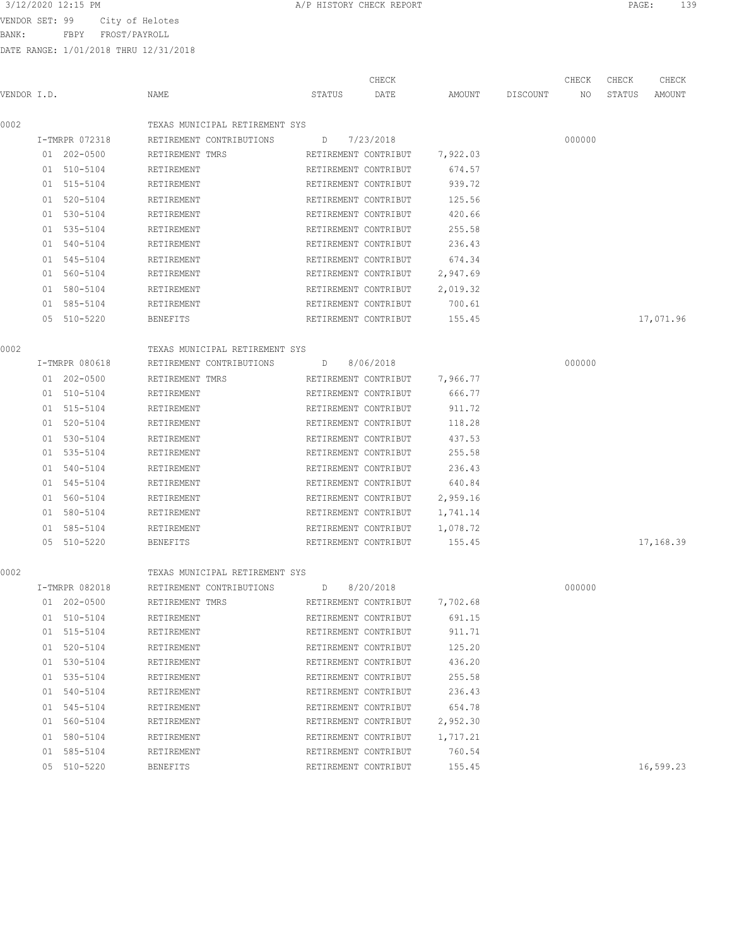VENDOR SET: 99 City of Helotes

BANK: FBPY FROST/PAYROLL

DATE RANGE: 1/01/2018 THRU 12/31/2018

|             |                |                                |                      | CHECK                |          |          | CHECK  | CHECK  | CHECK     |
|-------------|----------------|--------------------------------|----------------------|----------------------|----------|----------|--------|--------|-----------|
| VENDOR I.D. |                | NAME                           | STATUS               | DATE                 | AMOUNT   | DISCOUNT | NO     | STATUS | AMOUNT    |
|             |                |                                |                      |                      |          |          |        |        |           |
| 0002        |                | TEXAS MUNICIPAL RETIREMENT SYS |                      |                      |          |          |        |        |           |
|             | I-TMRPR 072318 | RETIREMENT CONTRIBUTIONS       | D                    | 7/23/2018            |          |          | 000000 |        |           |
|             | 01 202-0500    | RETIREMENT TMRS                | RETIREMENT CONTRIBUT |                      | 7,922.03 |          |        |        |           |
|             | 01 510-5104    | RETIREMENT                     | RETIREMENT CONTRIBUT |                      | 674.57   |          |        |        |           |
|             | 01 515-5104    | RETIREMENT                     | RETIREMENT CONTRIBUT |                      | 939.72   |          |        |        |           |
|             | 01 520-5104    | RETIREMENT                     | RETIREMENT CONTRIBUT |                      | 125.56   |          |        |        |           |
|             | 01 530-5104    | RETIREMENT                     | RETIREMENT CONTRIBUT |                      | 420.66   |          |        |        |           |
|             | 01 535-5104    | RETIREMENT                     | RETIREMENT CONTRIBUT |                      | 255.58   |          |        |        |           |
|             | 01 540-5104    | RETIREMENT                     | RETIREMENT CONTRIBUT |                      | 236.43   |          |        |        |           |
|             | 01 545-5104    | RETIREMENT                     | RETIREMENT CONTRIBUT |                      | 674.34   |          |        |        |           |
|             | 01 560-5104    | RETIREMENT                     | RETIREMENT CONTRIBUT |                      | 2,947.69 |          |        |        |           |
|             | 01 580-5104    | RETIREMENT                     | RETIREMENT CONTRIBUT |                      | 2,019.32 |          |        |        |           |
|             | 01 585-5104    | RETIREMENT                     | RETIREMENT CONTRIBUT |                      | 700.61   |          |        |        |           |
|             | 05 510-5220    | BENEFITS                       | RETIREMENT CONTRIBUT |                      | 155.45   |          |        |        | 17,071.96 |
|             |                |                                |                      |                      |          |          |        |        |           |
| 0002        |                | TEXAS MUNICIPAL RETIREMENT SYS |                      |                      |          |          |        |        |           |
|             | I-TMRPR 080618 | RETIREMENT CONTRIBUTIONS       | $D \qquad \qquad$    | 8/06/2018            |          |          | 000000 |        |           |
|             | 01 202-0500    | RETIREMENT TMRS                | RETIREMENT CONTRIBUT |                      | 7,966.77 |          |        |        |           |
|             | 01 510-5104    | RETIREMENT                     | RETIREMENT CONTRIBUT |                      | 666.77   |          |        |        |           |
|             | 01 515-5104    | RETIREMENT                     | RETIREMENT CONTRIBUT |                      | 911.72   |          |        |        |           |
|             | 01 520-5104    | RETIREMENT                     | RETIREMENT CONTRIBUT |                      | 118.28   |          |        |        |           |
|             | 01 530-5104    | RETIREMENT                     | RETIREMENT CONTRIBUT |                      | 437.53   |          |        |        |           |
|             | 01 535-5104    | RETIREMENT                     | RETIREMENT CONTRIBUT |                      | 255.58   |          |        |        |           |
|             | 01 540-5104    | RETIREMENT                     | RETIREMENT CONTRIBUT |                      | 236.43   |          |        |        |           |
|             | 01 545-5104    | RETIREMENT                     | RETIREMENT CONTRIBUT |                      | 640.84   |          |        |        |           |
|             | 01 560-5104    | RETIREMENT                     | RETIREMENT CONTRIBUT |                      | 2,959.16 |          |        |        |           |
|             | 01 580-5104    | RETIREMENT                     | RETIREMENT CONTRIBUT |                      | 1,741.14 |          |        |        |           |
|             | 01 585-5104    | RETIREMENT                     | RETIREMENT CONTRIBUT |                      | 1,078.72 |          |        |        |           |
|             | 05 510-5220    | BENEFITS                       | RETIREMENT CONTRIBUT |                      | 155.45   |          |        |        | 17,168.39 |
| 0002        |                | TEXAS MUNICIPAL RETIREMENT SYS |                      |                      |          |          |        |        |           |
|             | I-TMRPR 082018 | RETIREMENT CONTRIBUTIONS       | $D \qquad \qquad$    | 8/20/2018            |          |          | 000000 |        |           |
|             | 01 202-0500    | RETIREMENT TMRS                |                      | RETIREMENT CONTRIBUT | 7,702.68 |          |        |        |           |
|             | 01 510-5104    | RETIREMENT                     | RETIREMENT CONTRIBUT |                      | 691.15   |          |        |        |           |
|             | 01 515-5104    | RETIREMENT                     | RETIREMENT CONTRIBUT |                      | 911.71   |          |        |        |           |
|             | 01 520-5104    | RETIREMENT                     | RETIREMENT CONTRIBUT |                      | 125.20   |          |        |        |           |
|             | 01 530-5104    | RETIREMENT                     | RETIREMENT CONTRIBUT |                      | 436.20   |          |        |        |           |
|             | 01 535-5104    | RETIREMENT                     | RETIREMENT CONTRIBUT |                      | 255.58   |          |        |        |           |
|             | 01 540-5104    | RETIREMENT                     | RETIREMENT CONTRIBUT |                      | 236.43   |          |        |        |           |
|             | 01 545-5104    | RETIREMENT                     | RETIREMENT CONTRIBUT |                      | 654.78   |          |        |        |           |
|             | 01 560-5104    | RETIREMENT                     | RETIREMENT CONTRIBUT |                      | 2,952.30 |          |        |        |           |
|             |                |                                |                      |                      |          |          |        |        |           |

01 580-5104 RETIREMENT RETIREMENT RETIREMENT CONTRIBUT 1,717.21 01 585-5104 RETIREMENT RETIREMENT CONTRIBUT 760.54

05 510-5220 BENEFITS RETIREMENT CONTRIBUT 155.45 16,599.23

3/12/2020 12:15 PM A/P HISTORY CHECK REPORT PAGE: 139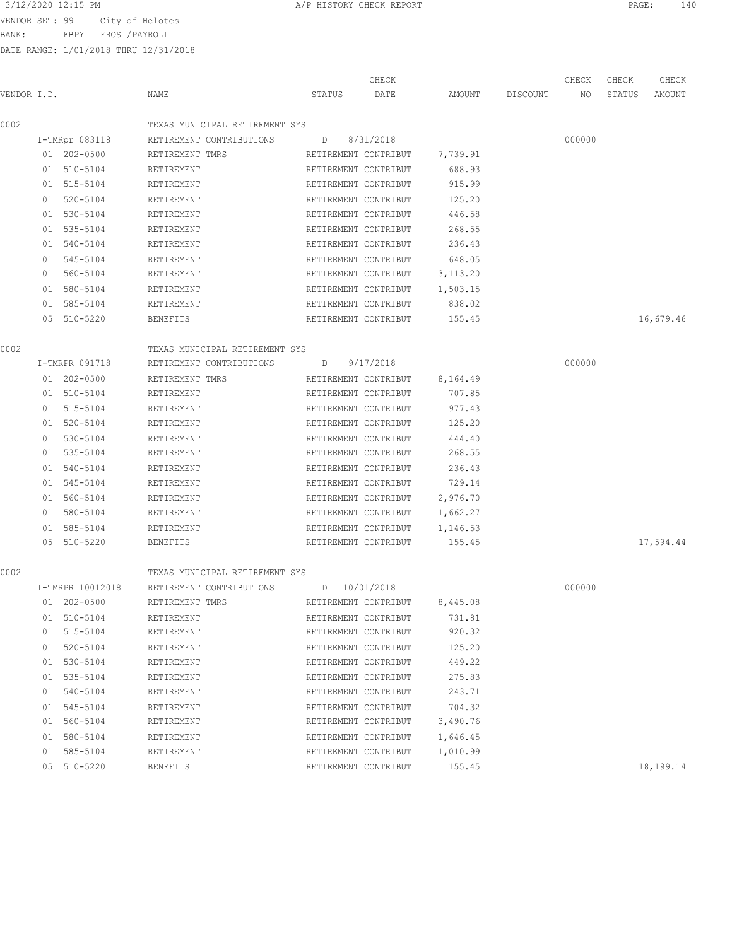VENDOR SET: 99 City of Helotes

BANK: FBPY FROST/PAYROLL

DATE RANGE: 1/01/2018 THRU 12/31/2018

|             |                  | NAME                           | STATUS               | CHECK<br>DATE        | AMOUNT   |          | CHECK  | CHECK<br>STATUS | CHECK<br>AMOUNT |
|-------------|------------------|--------------------------------|----------------------|----------------------|----------|----------|--------|-----------------|-----------------|
| VENDOR I.D. |                  |                                |                      |                      |          | DISCOUNT | NO.    |                 |                 |
| 0002        |                  | TEXAS MUNICIPAL RETIREMENT SYS |                      |                      |          |          |        |                 |                 |
|             | I-TMRpr 083118   | RETIREMENT CONTRIBUTIONS       | D                    | 8/31/2018            |          |          | 000000 |                 |                 |
|             | 01 202-0500      | RETIREMENT TMRS                | RETIREMENT CONTRIBUT |                      | 7,739.91 |          |        |                 |                 |
|             | 01 510-5104      | RETIREMENT                     | RETIREMENT CONTRIBUT |                      | 688.93   |          |        |                 |                 |
|             | 01 515-5104      | RETIREMENT                     | RETIREMENT CONTRIBUT |                      | 915.99   |          |        |                 |                 |
|             | 01 520-5104      | RETIREMENT                     | RETIREMENT CONTRIBUT |                      | 125.20   |          |        |                 |                 |
|             | 01 530-5104      | RETIREMENT                     | RETIREMENT CONTRIBUT |                      | 446.58   |          |        |                 |                 |
|             | 01 535-5104      | RETIREMENT                     | RETIREMENT CONTRIBUT |                      | 268.55   |          |        |                 |                 |
|             | 01 540-5104      | RETIREMENT                     | RETIREMENT CONTRIBUT |                      | 236.43   |          |        |                 |                 |
|             | 01 545-5104      | RETIREMENT                     | RETIREMENT CONTRIBUT |                      | 648.05   |          |        |                 |                 |
|             | 01 560-5104      | RETIREMENT                     | RETIREMENT CONTRIBUT |                      | 3,113.20 |          |        |                 |                 |
|             | 01 580-5104      | RETIREMENT                     | RETIREMENT CONTRIBUT |                      | 1,503.15 |          |        |                 |                 |
|             | 01 585-5104      | RETIREMENT                     | RETIREMENT CONTRIBUT |                      | 838.02   |          |        |                 |                 |
|             | 05 510-5220      | <b>BENEFITS</b>                | RETIREMENT CONTRIBUT |                      | 155.45   |          |        |                 | 16,679.46       |
| 0002        |                  | TEXAS MUNICIPAL RETIREMENT SYS |                      |                      |          |          |        |                 |                 |
|             | I-TMRPR 091718   | RETIREMENT CONTRIBUTIONS       | D                    | 9/17/2018            |          |          | 000000 |                 |                 |
|             | 01 202-0500      | RETIREMENT TMRS                | RETIREMENT CONTRIBUT |                      | 8,164.49 |          |        |                 |                 |
|             | 01 510-5104      | RETIREMENT                     | RETIREMENT CONTRIBUT |                      | 707.85   |          |        |                 |                 |
|             | 01 515-5104      | RETIREMENT                     | RETIREMENT CONTRIBUT |                      | 977.43   |          |        |                 |                 |
|             | 01 520-5104      | RETIREMENT                     | RETIREMENT CONTRIBUT |                      | 125.20   |          |        |                 |                 |
|             | 01 530-5104      | RETIREMENT                     | RETIREMENT CONTRIBUT |                      | 444.40   |          |        |                 |                 |
|             | 01 535-5104      | RETIREMENT                     | RETIREMENT CONTRIBUT |                      | 268.55   |          |        |                 |                 |
|             | 01 540-5104      | RETIREMENT                     | RETIREMENT CONTRIBUT |                      | 236.43   |          |        |                 |                 |
|             | 01 545-5104      | RETIREMENT                     | RETIREMENT CONTRIBUT |                      | 729.14   |          |        |                 |                 |
|             | 01 560-5104      | RETIREMENT                     | RETIREMENT CONTRIBUT |                      | 2,976.70 |          |        |                 |                 |
|             | 01 580-5104      | RETIREMENT                     | RETIREMENT CONTRIBUT |                      | 1,662.27 |          |        |                 |                 |
|             | 01 585-5104      | RETIREMENT                     |                      | RETIREMENT CONTRIBUT | 1,146.53 |          |        |                 |                 |
|             | 05 510-5220      | <b>BENEFITS</b>                | RETIREMENT CONTRIBUT |                      | 155.45   |          |        |                 | 17,594.44       |
| 0002        |                  | TEXAS MUNICIPAL RETIREMENT SYS |                      |                      |          |          |        |                 |                 |
|             | I-TMRPR 10012018 | RETIREMENT CONTRIBUTIONS       | D 10/01/2018         |                      |          |          | 000000 |                 |                 |
|             | 01 202-0500      | RETIREMENT TMRS                |                      | RETIREMENT CONTRIBUT | 8,445.08 |          |        |                 |                 |
|             | 01 510-5104      | RETIREMENT                     | RETIREMENT CONTRIBUT |                      | 731.81   |          |        |                 |                 |
|             | 01 515-5104      | RETIREMENT                     | RETIREMENT CONTRIBUT |                      | 920.32   |          |        |                 |                 |
|             | 01 520-5104      | RETIREMENT                     | RETIREMENT CONTRIBUT |                      | 125.20   |          |        |                 |                 |
|             | 01 530-5104      | RETIREMENT                     | RETIREMENT CONTRIBUT |                      | 449.22   |          |        |                 |                 |
|             | 01 535-5104      | RETIREMENT                     | RETIREMENT CONTRIBUT |                      | 275.83   |          |        |                 |                 |
|             | 01 540-5104      | RETIREMENT                     | RETIREMENT CONTRIBUT |                      | 243.71   |          |        |                 |                 |
|             | 01 545-5104      | RETIREMENT                     | RETIREMENT CONTRIBUT |                      | 704.32   |          |        |                 |                 |
|             | 01 560-5104      | RETIREMENT                     | RETIREMENT CONTRIBUT |                      | 3,490.76 |          |        |                 |                 |

 01 580-5104 RETIREMENT RETIREMENT CONTRIBUT 1,646.45 01 585-5104 RETIREMENT RETIREMENT CONTRIBUT 1,010.99

05 510-5220 BENEFITS RETIREMENT CONTRIBUT 155.45 18,199.14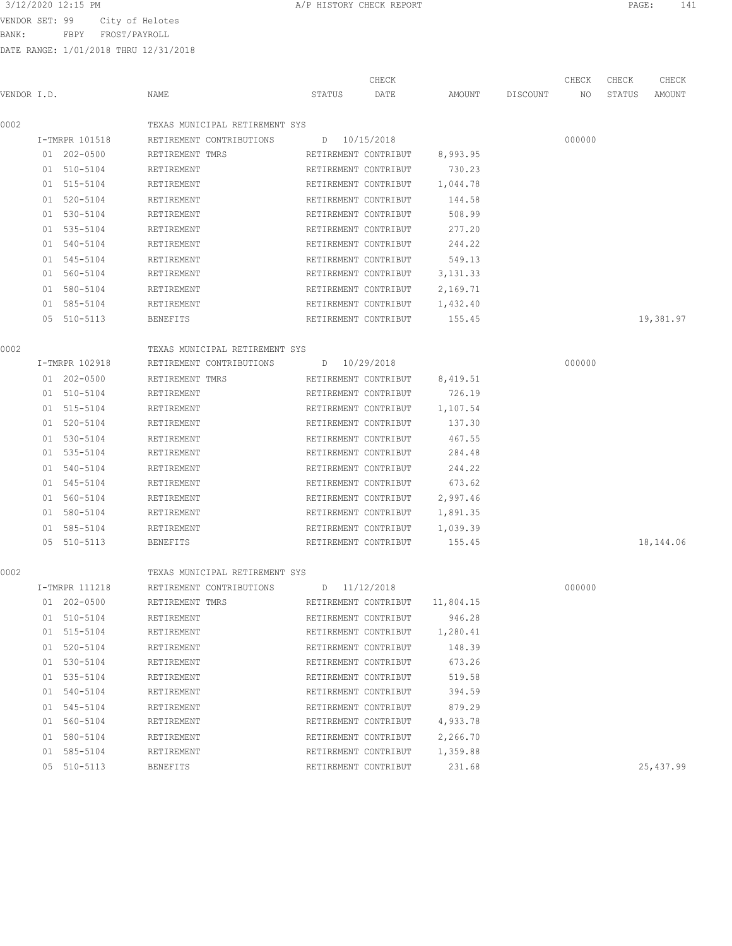VENDOR SET: 99 City of Helotes

BANK: FBPY FROST/PAYROLL

DATE RANGE: 1/01/2018 THRU 12/31/2018

|             |                |                                | CHECK                |                                |          | CHECK  | CHECK  | CHECK     |
|-------------|----------------|--------------------------------|----------------------|--------------------------------|----------|--------|--------|-----------|
| VENDOR I.D. |                | NAME                           | STATUS<br>DATE       | AMOUNT                         | DISCOUNT | NO     | STATUS | AMOUNT    |
| 0002        |                | TEXAS MUNICIPAL RETIREMENT SYS |                      |                                |          |        |        |           |
|             | I-TMRPR 101518 | RETIREMENT CONTRIBUTIONS       | D 10/15/2018         |                                |          | 000000 |        |           |
|             | 01 202-0500    | RETIREMENT TMRS                | RETIREMENT CONTRIBUT | 8,993.95                       |          |        |        |           |
|             | 01 510-5104    | RETIREMENT                     | RETIREMENT CONTRIBUT | 730.23                         |          |        |        |           |
|             | 01 515-5104    | RETIREMENT                     | RETIREMENT CONTRIBUT | 1,044.78                       |          |        |        |           |
|             | 01 520-5104    | RETIREMENT                     | RETIREMENT CONTRIBUT | 144.58                         |          |        |        |           |
|             | 01 530-5104    | RETIREMENT                     | RETIREMENT CONTRIBUT | 508.99                         |          |        |        |           |
|             | 01 535-5104    | RETIREMENT                     | RETIREMENT CONTRIBUT | 277.20                         |          |        |        |           |
|             | 01 540-5104    | RETIREMENT                     | RETIREMENT CONTRIBUT | 244.22                         |          |        |        |           |
|             | 01 545-5104    | RETIREMENT                     | RETIREMENT CONTRIBUT | 549.13                         |          |        |        |           |
|             | 01 560-5104    | RETIREMENT                     | RETIREMENT CONTRIBUT | 3, 131.33                      |          |        |        |           |
|             | 01 580-5104    | RETIREMENT                     | RETIREMENT CONTRIBUT | 2,169.71                       |          |        |        |           |
|             | 01 585-5104    | RETIREMENT                     | RETIREMENT CONTRIBUT | 1,432.40                       |          |        |        |           |
|             | 05 510-5113    | BENEFITS                       | RETIREMENT CONTRIBUT | 155.45                         |          |        |        | 19,381.97 |
| 0002        |                | TEXAS MUNICIPAL RETIREMENT SYS |                      |                                |          |        |        |           |
|             | I-TMRPR 102918 | RETIREMENT CONTRIBUTIONS       | D 10/29/2018         |                                |          | 000000 |        |           |
|             | 01 202-0500    | RETIREMENT TMRS                | RETIREMENT CONTRIBUT | 8,419.51                       |          |        |        |           |
|             | 01 510-5104    | RETIREMENT                     | RETIREMENT CONTRIBUT | 726.19                         |          |        |        |           |
|             | 01 515-5104    | RETIREMENT                     | RETIREMENT CONTRIBUT | 1,107.54                       |          |        |        |           |
|             | 01 520-5104    | RETIREMENT                     | RETIREMENT CONTRIBUT | 137.30                         |          |        |        |           |
|             | 01 530-5104    | RETIREMENT                     | RETIREMENT CONTRIBUT | 467.55                         |          |        |        |           |
|             | 01 535-5104    | RETIREMENT                     | RETIREMENT CONTRIBUT | 284.48                         |          |        |        |           |
|             | 01 540-5104    | RETIREMENT                     | RETIREMENT CONTRIBUT | 244.22                         |          |        |        |           |
|             | 01 545-5104    | RETIREMENT                     | RETIREMENT CONTRIBUT | 673.62                         |          |        |        |           |
|             | 01 560-5104    | RETIREMENT                     | RETIREMENT CONTRIBUT | 2,997.46                       |          |        |        |           |
|             | 01 580-5104    | RETIREMENT                     | RETIREMENT CONTRIBUT | 1,891.35                       |          |        |        |           |
|             | 01 585-5104    | RETIREMENT                     | RETIREMENT CONTRIBUT | 1,039.39                       |          |        |        |           |
|             | 05 510-5113    | BENEFITS                       | RETIREMENT CONTRIBUT | 155.45                         |          |        |        | 18,144.06 |
| 0002        |                | TEXAS MUNICIPAL RETIREMENT SYS |                      |                                |          |        |        |           |
|             | I-TMRPR 111218 | RETIREMENT CONTRIBUTIONS       | D 11/12/2018         |                                |          | 000000 |        |           |
|             | 01 202-0500    | RETIREMENT TMRS                |                      | RETIREMENT CONTRIBUT 11,804.15 |          |        |        |           |
|             | 01 510-5104    | RETIREMENT                     | RETIREMENT CONTRIBUT | 946.28                         |          |        |        |           |
|             | 01 515-5104    | RETIREMENT                     | RETIREMENT CONTRIBUT | 1,280.41                       |          |        |        |           |
|             | 01 520-5104    | RETIREMENT                     | RETIREMENT CONTRIBUT | 148.39                         |          |        |        |           |
|             | 01 530-5104    | RETIREMENT                     | RETIREMENT CONTRIBUT | 673.26                         |          |        |        |           |
|             | 01 535-5104    | RETIREMENT                     | RETIREMENT CONTRIBUT | 519.58                         |          |        |        |           |
|             | 01 540-5104    | RETIREMENT                     | RETIREMENT CONTRIBUT | 394.59                         |          |        |        |           |
|             | 01 545-5104    | RETIREMENT                     | RETIREMENT CONTRIBUT | 879.29                         |          |        |        |           |
|             | 01 560-5104    | RETIREMENT                     | RETIREMENT CONTRIBUT | 4,933.78                       |          |        |        |           |
|             | 01 580-5104    | RETIREMENT                     | RETIREMENT CONTRIBUT | 2,266.70                       |          |        |        |           |
|             | 01 585-5104    | RETIREMENT                     | RETIREMENT CONTRIBUT | 1,359.88                       |          |        |        |           |

05 510-5113 BENEFITS RETIREMENT CONTRIBUT 231.68 25,437.99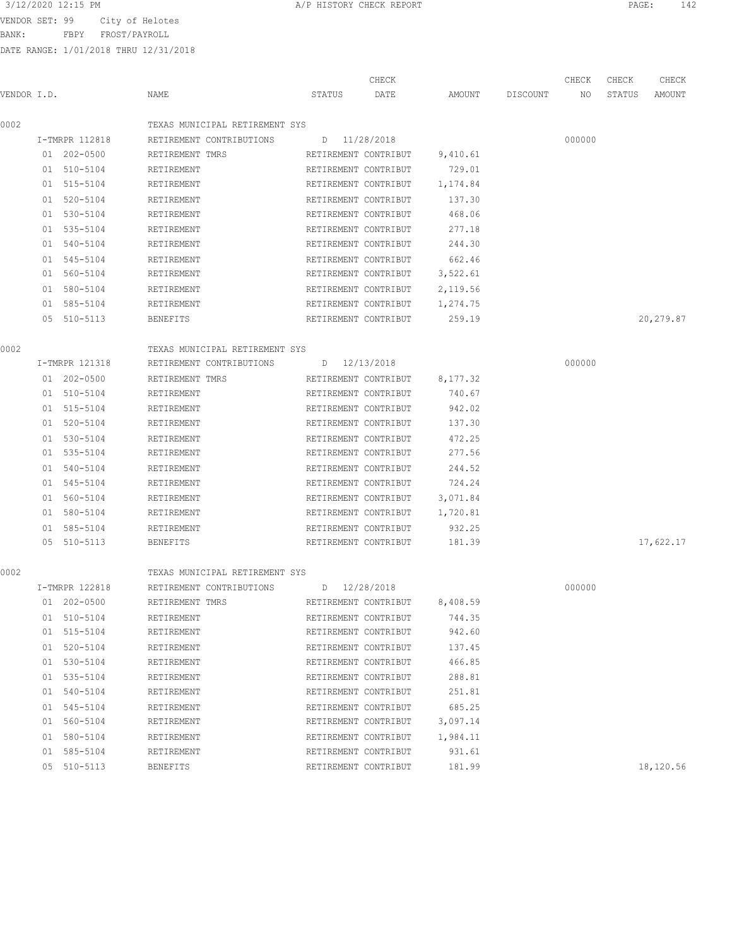VENDOR SET: 99 City of Helotes

BANK: FBPY FROST/PAYROLL

DATE RANGE: 1/01/2018 THRU 12/31/2018

| VENDOR I.D. |                | NAME                           | CHECK<br>STATUS<br>DATE | AMOUNT   | DISCOUNT | CHECK<br>NO | CHECK<br>STATUS | CHECK<br>AMOUNT |
|-------------|----------------|--------------------------------|-------------------------|----------|----------|-------------|-----------------|-----------------|
| 0002        |                | TEXAS MUNICIPAL RETIREMENT SYS |                         |          |          |             |                 |                 |
|             | I-TMRPR 112818 | RETIREMENT CONTRIBUTIONS       | D 11/28/2018            |          |          | 000000      |                 |                 |
|             | 01 202-0500    | RETIREMENT TMRS                | RETIREMENT CONTRIBUT    | 9,410.61 |          |             |                 |                 |
|             | 01 510-5104    | RETIREMENT                     | RETIREMENT CONTRIBUT    | 729.01   |          |             |                 |                 |
|             | 01 515-5104    | RETIREMENT                     | RETIREMENT CONTRIBUT    | 1,174.84 |          |             |                 |                 |
|             | 01 520-5104    | RETIREMENT                     | RETIREMENT CONTRIBUT    | 137.30   |          |             |                 |                 |
|             | 01 530-5104    | RETIREMENT                     | RETIREMENT CONTRIBUT    | 468.06   |          |             |                 |                 |
|             | 01 535-5104    | RETIREMENT                     | RETIREMENT CONTRIBUT    | 277.18   |          |             |                 |                 |
|             | 01 540-5104    | RETIREMENT                     | RETIREMENT CONTRIBUT    | 244.30   |          |             |                 |                 |
|             | 01 545-5104    | RETIREMENT                     | RETIREMENT CONTRIBUT    | 662.46   |          |             |                 |                 |
|             | 01 560-5104    | RETIREMENT                     | RETIREMENT CONTRIBUT    | 3,522.61 |          |             |                 |                 |
|             | 01 580-5104    | RETIREMENT                     | RETIREMENT CONTRIBUT    | 2,119.56 |          |             |                 |                 |
|             | 01 585-5104    | RETIREMENT                     | RETIREMENT CONTRIBUT    | 1,274.75 |          |             |                 |                 |
|             | 05 510-5113    | <b>BENEFITS</b>                | RETIREMENT CONTRIBUT    | 259.19   |          |             |                 | 20,279.87       |
| 0002        |                | TEXAS MUNICIPAL RETIREMENT SYS |                         |          |          |             |                 |                 |
|             | I-TMRPR 121318 | RETIREMENT CONTRIBUTIONS       | D 12/13/2018            |          |          | 000000      |                 |                 |
|             | 01 202-0500    | RETIREMENT TMRS                | RETIREMENT CONTRIBUT    | 8,177.32 |          |             |                 |                 |
|             | 01 510-5104    | RETIREMENT                     | RETIREMENT CONTRIBUT    | 740.67   |          |             |                 |                 |
|             | 01 515-5104    | RETIREMENT                     | RETIREMENT CONTRIBUT    | 942.02   |          |             |                 |                 |
|             | 01 520-5104    | RETIREMENT                     | RETIREMENT CONTRIBUT    | 137.30   |          |             |                 |                 |
|             | 01 530-5104    | RETIREMENT                     | RETIREMENT CONTRIBUT    | 472.25   |          |             |                 |                 |
|             | 01 535-5104    | RETIREMENT                     | RETIREMENT CONTRIBUT    | 277.56   |          |             |                 |                 |
|             | 01 540-5104    | RETIREMENT                     | RETIREMENT CONTRIBUT    | 244.52   |          |             |                 |                 |
|             | 01 545-5104    | RETIREMENT                     | RETIREMENT CONTRIBUT    | 724.24   |          |             |                 |                 |
|             | 01 560-5104    | RETIREMENT                     | RETIREMENT CONTRIBUT    | 3,071.84 |          |             |                 |                 |
|             | 01 580-5104    | RETIREMENT                     | RETIREMENT CONTRIBUT    | 1,720.81 |          |             |                 |                 |
|             | 01 585-5104    | RETIREMENT                     | RETIREMENT CONTRIBUT    | 932.25   |          |             |                 |                 |
|             | 05 510-5113    | <b>BENEFITS</b>                | RETIREMENT CONTRIBUT    | 181.39   |          |             |                 | 17,622.17       |
| 0002        |                | TEXAS MUNICIPAL RETIREMENT SYS |                         |          |          |             |                 |                 |
|             | I-TMRPR 122818 | RETIREMENT CONTRIBUTIONS       | D 12/28/2018            |          |          | 000000      |                 |                 |
|             | 01 202-0500    | RETIREMENT TMRS                | RETIREMENT CONTRIBUT    | 8,408.59 |          |             |                 |                 |
|             | 01 510-5104    | RETIREMENT                     | RETIREMENT CONTRIBUT    | 744.35   |          |             |                 |                 |
|             | 01 515-5104    | RETIREMENT                     | RETIREMENT CONTRIBUT    | 942.60   |          |             |                 |                 |
|             | 01 520-5104    | RETIREMENT                     | RETIREMENT CONTRIBUT    | 137.45   |          |             |                 |                 |
|             | 01 530-5104    | RETIREMENT                     | RETIREMENT CONTRIBUT    | 466.85   |          |             |                 |                 |
|             | 01 535-5104    | RETIREMENT                     | RETIREMENT CONTRIBUT    | 288.81   |          |             |                 |                 |
|             | 01 540-5104    | RETIREMENT                     | RETIREMENT CONTRIBUT    | 251.81   |          |             |                 |                 |
|             | 01 545-5104    | RETIREMENT                     | RETIREMENT CONTRIBUT    | 685.25   |          |             |                 |                 |
|             | 01 560-5104    | RETIREMENT                     | RETIREMENT CONTRIBUT    | 3,097.14 |          |             |                 |                 |
|             | 01 580-5104    | RETIREMENT                     | RETIREMENT CONTRIBUT    | 1,984.11 |          |             |                 |                 |
|             | 01 585-5104    | RETIREMENT                     | RETIREMENT CONTRIBUT    | 931.61   |          |             |                 |                 |
|             |                |                                |                         |          |          |             |                 |                 |

3/12/2020 12:15 PM **A/P HISTORY CHECK REPORT PAGE:** 142

05 510-5113 BENEFITS RETIREMENT CONTRIBUT 181.99 18,120.56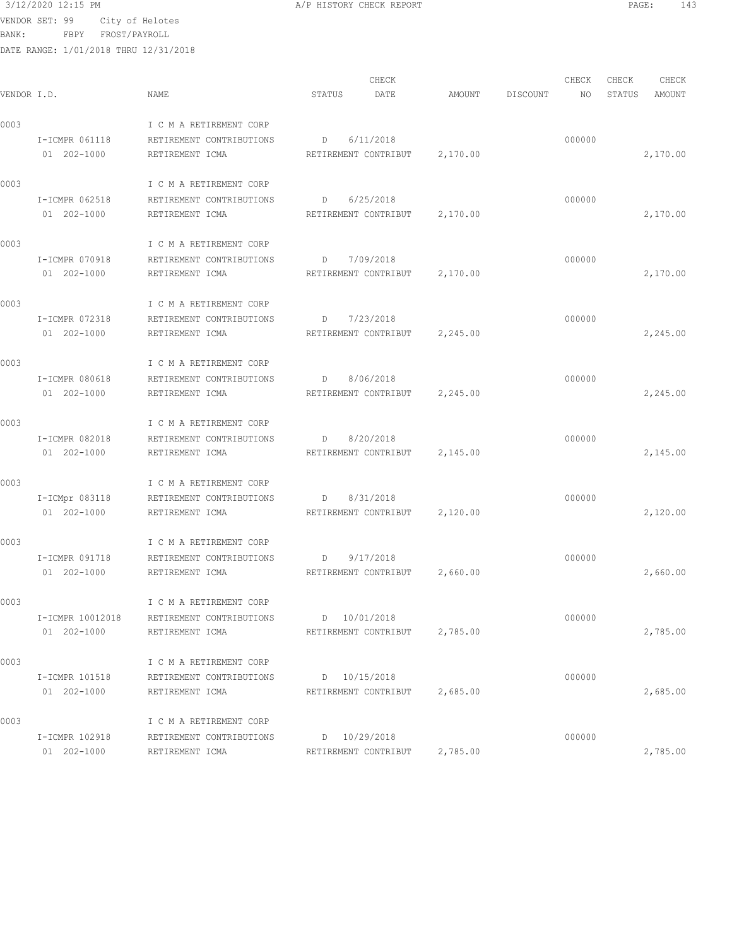VENDOR SET: 99 City of Helotes

BANK: FBPY FROST/PAYROLL

| 3/12/2020 12:15 PM | A/P HISTORY CHECK REPORT | PAGE. |  |
|--------------------|--------------------------|-------|--|
|--------------------|--------------------------|-------|--|

| VENDOR I.D. |                                 | NAME                                                                   | CHECK<br>DATE<br>STATUS                           | AMOUNT   | DISCOUNT | CHECK<br>NO | CHECK<br>STATUS | CHECK<br>AMOUNT |
|-------------|---------------------------------|------------------------------------------------------------------------|---------------------------------------------------|----------|----------|-------------|-----------------|-----------------|
| 0003        | I-ICMPR 061118<br>01 202-1000   | I C M A RETIREMENT CORP<br>RETIREMENT CONTRIBUTIONS<br>RETIREMENT ICMA | 6/11/2018<br>D<br>RETIREMENT CONTRIBUT            | 2,170.00 |          | 000000      |                 | 2,170.00        |
| 0003        | I-ICMPR 062518<br>01 202-1000   | I C M A RETIREMENT CORP<br>RETIREMENT CONTRIBUTIONS<br>RETIREMENT ICMA | 6/25/2018<br>D<br>RETIREMENT CONTRIBUT 2,170.00   |          |          | 000000      |                 | 2,170.00        |
| 0003        | I-ICMPR 070918<br>01 202-1000   | I C M A RETIREMENT CORP<br>RETIREMENT CONTRIBUTIONS<br>RETIREMENT ICMA | D 7/09/2018<br>RETIREMENT CONTRIBUT 2,170.00      |          |          | 000000      |                 | 2,170.00        |
| 0003        | I-ICMPR 072318<br>01 202-1000   | I C M A RETIREMENT CORP<br>RETIREMENT CONTRIBUTIONS<br>RETIREMENT ICMA | $D \t 7/23/2018$<br>RETIREMENT CONTRIBUT 2,245.00 |          |          | 000000      |                 | 2,245.00        |
| 0003        | I-ICMPR 080618<br>01 202-1000   | I C M A RETIREMENT CORP<br>RETIREMENT CONTRIBUTIONS<br>RETIREMENT ICMA | D 8/06/2018<br>RETIREMENT CONTRIBUT 2,245.00      |          |          | 000000      |                 | 2,245.00        |
| 0003        | I-ICMPR 082018<br>01 202-1000   | I C M A RETIREMENT CORP<br>RETIREMENT CONTRIBUTIONS<br>RETIREMENT ICMA | 8/20/2018<br>D<br>RETIREMENT CONTRIBUT 2,145.00   |          |          | 000000      |                 | 2,145.00        |
| 0003        | I-ICMpr 083118<br>01 202-1000   | I C M A RETIREMENT CORP<br>RETIREMENT CONTRIBUTIONS<br>RETIREMENT ICMA | $D \t 8/31/2018$<br>RETIREMENT CONTRIBUT          | 2,120.00 |          | 000000      |                 | 2,120.00        |
| 0003        | I-ICMPR 091718<br>01 202-1000   | I C M A RETIREMENT CORP<br>RETIREMENT CONTRIBUTIONS<br>RETIREMENT ICMA | D<br>9/17/2018<br>RETIREMENT CONTRIBUT 2,660.00   |          |          | 000000      |                 | 2,660.00        |
| 0003        | I-ICMPR 10012018<br>01 202-1000 | I C M A RETIREMENT CORP<br>RETIREMENT CONTRIBUTIONS<br>RETIREMENT ICMA | D 10/01/2018<br>RETIREMENT CONTRIBUT              | 2,785.00 |          | 000000      |                 | 2,785.00        |
| 0003        | I-ICMPR 101518<br>01 202-1000   | I C M A RETIREMENT CORP<br>RETIREMENT CONTRIBUTIONS<br>RETIREMENT ICMA | D 10/15/2018<br>RETIREMENT CONTRIBUT              | 2,685.00 |          | 000000      |                 | 2,685.00        |
| 0003        | I-ICMPR 102918<br>01 202-1000   | I C M A RETIREMENT CORP<br>RETIREMENT CONTRIBUTIONS<br>RETIREMENT ICMA | D 10/29/2018<br>RETIREMENT CONTRIBUT              | 2,785.00 |          | 000000      |                 | 2,785.00        |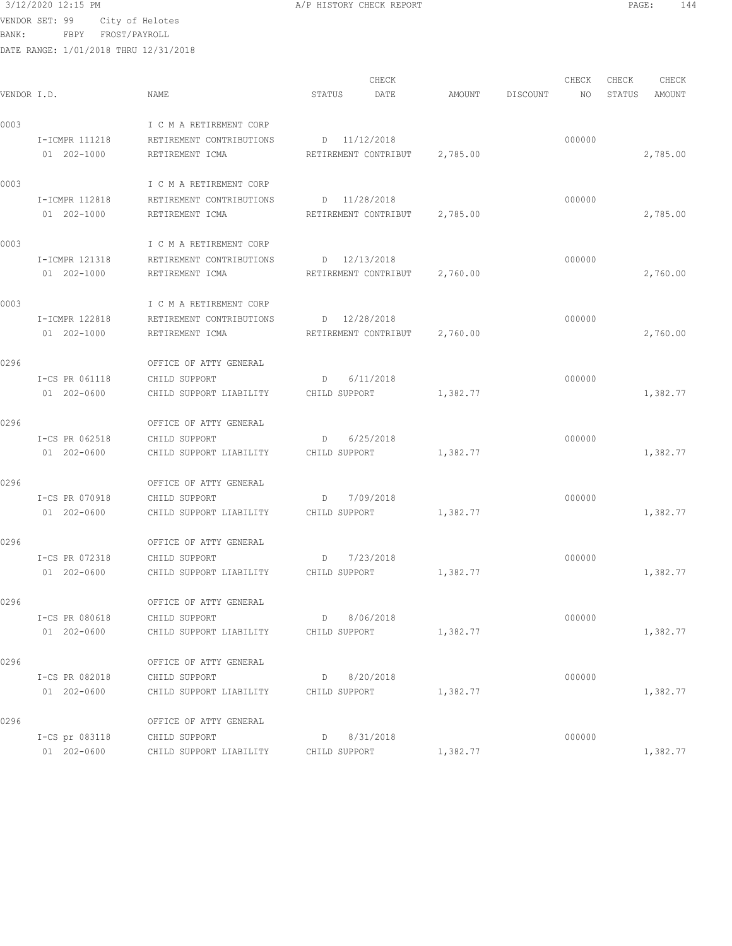VENDOR SET: 99 City of Helotes

BANK: FBPY FROST/PAYROLL

DATE RANGE: 1/01/2018 THRU 12/31/2018

|             | DIIID ININUD, I/VI/LVIV IIINV IL/JI/LVIV |                          |                                |          |          |        |        |          |
|-------------|------------------------------------------|--------------------------|--------------------------------|----------|----------|--------|--------|----------|
|             |                                          |                          | CHECK                          |          |          | CHECK  | CHECK  | CHECK    |
| VENDOR I.D. |                                          | NAME                     | STATUS<br>DATE                 | AMOUNT   | DISCOUNT | NO     | STATUS | AMOUNT   |
| 0003        |                                          | I C M A RETIREMENT CORP  |                                |          |          |        |        |          |
|             | I-ICMPR 111218                           | RETIREMENT CONTRIBUTIONS | D 11/12/2018                   |          |          | 000000 |        |          |
|             | 01 202-1000                              | RETIREMENT ICMA          | RETIREMENT CONTRIBUT 2,785.00  |          |          |        |        | 2,785.00 |
| 0003        |                                          | I C M A RETIREMENT CORP  |                                |          |          |        |        |          |
|             | I-ICMPR 112818                           | RETIREMENT CONTRIBUTIONS | D 11/28/2018                   |          |          | 000000 |        |          |
|             | 01 202-1000                              | RETIREMENT ICMA          | RETIREMENT CONTRIBUT           | 2,785.00 |          |        |        | 2,785.00 |
| 0003        |                                          | I C M A RETIREMENT CORP  |                                |          |          |        |        |          |
|             | I-ICMPR 121318                           | RETIREMENT CONTRIBUTIONS | D 12/13/2018                   |          |          | 000000 |        |          |
|             | 01 202-1000                              | RETIREMENT ICMA          | RETIREMENT CONTRIBUT           | 2,760.00 |          |        |        | 2,760.00 |
| 0003        |                                          | I C M A RETIREMENT CORP  |                                |          |          |        |        |          |
|             | I-ICMPR 122818                           | RETIREMENT CONTRIBUTIONS | D 12/28/2018                   |          |          | 000000 |        |          |
|             | 01 202-1000                              | RETIREMENT ICMA          | RETIREMENT CONTRIBUT 2,760.00  |          |          |        |        | 2,760.00 |
| 0296        |                                          | OFFICE OF ATTY GENERAL   |                                |          |          |        |        |          |
|             | I-CS PR 061118                           | CHILD SUPPORT            | D 6/11/2018                    |          |          | 000000 |        |          |
|             | 01 202-0600                              | CHILD SUPPORT LIABILITY  | CHILD SUPPORT                  | 1,382.77 |          |        |        | 1,382.77 |
| 0296        |                                          | OFFICE OF ATTY GENERAL   |                                |          |          |        |        |          |
|             | I-CS PR 062518                           | CHILD SUPPORT            | $D$ 6/25/2018                  |          |          | 000000 |        |          |
|             | 01 202-0600                              | CHILD SUPPORT LIABILITY  | CHILD SUPPORT                  | 1,382.77 |          |        |        | 1,382.77 |
| 0296        |                                          | OFFICE OF ATTY GENERAL   |                                |          |          |        |        |          |
|             | I-CS PR 070918                           | CHILD SUPPORT            | 7/09/2018<br>D                 |          |          | 000000 |        |          |
|             | 01 202-0600                              | CHILD SUPPORT LIABILITY  | CHILD SUPPORT                  | 1,382.77 |          |        |        | 1,382.77 |
| 0296        |                                          | OFFICE OF ATTY GENERAL   |                                |          |          |        |        |          |
|             | I-CS PR 072318                           | CHILD SUPPORT            | 7/23/2018<br>$D \qquad \qquad$ |          |          | 000000 |        |          |
|             | 01 202-0600                              | CHILD SUPPORT LIABILITY  | CHILD SUPPORT                  | 1,382.77 |          |        |        | 1,382.77 |
| 0296        |                                          | OFFICE OF ATTY GENERAL   |                                |          |          |        |        |          |
|             | I-CS PR 080618                           | CHILD SUPPORT            | 8/06/2018<br>D                 |          |          | 000000 |        |          |
|             | 01 202-0600                              | CHILD SUPPORT LIABILITY  | CHILD SUPPORT                  | 1,382.77 |          |        |        | 1,382.77 |

0296 OFFICE OF ATTY GENERAL

01 202-0600 CHILD SUPPORT LIABILITY CHILD SUPPORT 1,382.77 1,382.77 0296 OFFICE OF ATTY GENERAL

I-CS pr 083118 CHILD SUPPORT D 8/31/2018 000000

01 202-0600 CHILD SUPPORT LIABILITY CHILD SUPPORT 1,382.77 1,382.77

I-CS PR 082018 CHILD SUPPORT D 8/20/2018 000000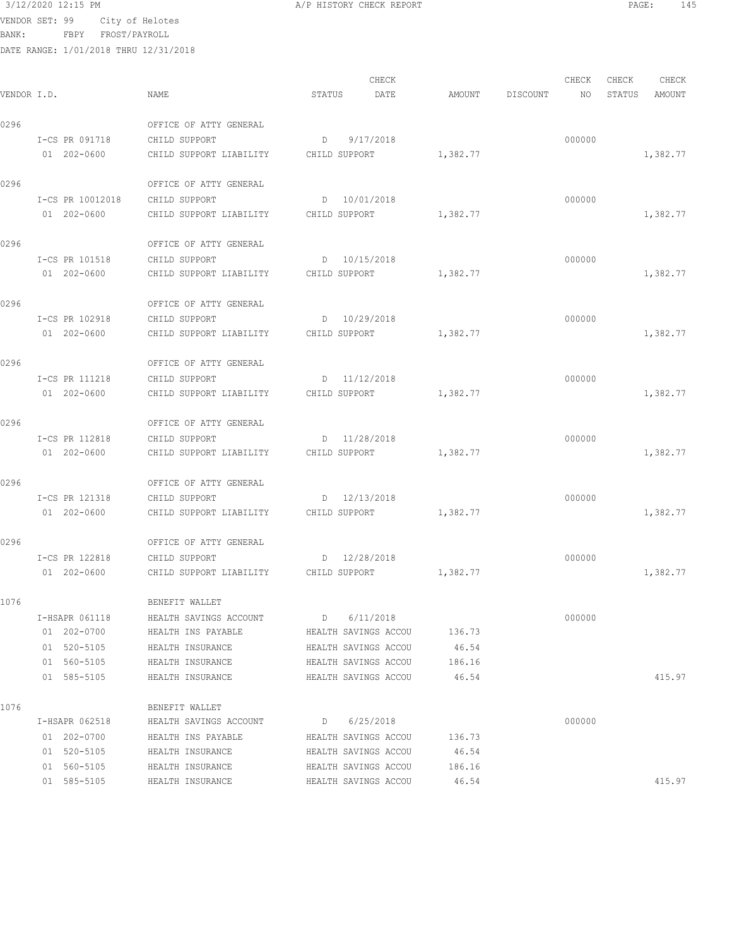VENDOR SET: 99 City of Helotes

BANK: FBPY FROST/PAYROLL

| /P HISTORY CHECK REPORT |  |  |
|-------------------------|--|--|
|                         |  |  |

| VENDOR I.D. |                  | NAME                                  | CHECK<br>STATUS<br>DATE       | AMOUNT   | CHECK<br>DISCOUNT<br>NO. | CHECK<br>CHECK<br>STATUS<br>AMOUNT |
|-------------|------------------|---------------------------------------|-------------------------------|----------|--------------------------|------------------------------------|
|             |                  |                                       |                               |          |                          |                                    |
| 0296        |                  | OFFICE OF ATTY GENERAL                |                               |          |                          |                                    |
|             | I-CS PR 091718   | CHILD SUPPORT                         | 9/17/2018<br>D                |          | 000000                   |                                    |
|             | 01 202-0600      | CHILD SUPPORT LIABILITY               | CHILD SUPPORT                 | 1,382.77 |                          | 1,382.77                           |
| 0296        |                  | OFFICE OF ATTY GENERAL                |                               |          |                          |                                    |
|             | I-CS PR 10012018 | CHILD SUPPORT                         | D 10/01/2018                  |          | 000000                   |                                    |
|             | 01 202-0600      | CHILD SUPPORT LIABILITY               | CHILD SUPPORT                 | 1,382.77 |                          | 1,382.77                           |
| 0296        |                  | OFFICE OF ATTY GENERAL                |                               |          |                          |                                    |
|             | I-CS PR 101518   | CHILD SUPPORT                         | D 10/15/2018                  |          | 000000                   |                                    |
|             | 01 202-0600      | CHILD SUPPORT LIABILITY               | CHILD SUPPORT                 | 1,382.77 |                          | 1,382.77                           |
| 0296        |                  | OFFICE OF ATTY GENERAL                |                               |          |                          |                                    |
|             | I-CS PR 102918   | CHILD SUPPORT                         | D 10/29/2018                  |          | 000000                   |                                    |
|             | 01 202-0600      | CHILD SUPPORT LIABILITY CHILD SUPPORT |                               | 1,382.77 |                          | 1,382.77                           |
| 0296        |                  | OFFICE OF ATTY GENERAL                |                               |          |                          |                                    |
|             | I-CS PR 111218   | CHILD SUPPORT                         | D 11/12/2018                  |          | 000000                   |                                    |
|             | 01 202-0600      | CHILD SUPPORT LIABILITY CHILD SUPPORT |                               | 1,382.77 |                          | 1,382.77                           |
| 0296        |                  | OFFICE OF ATTY GENERAL                |                               |          |                          |                                    |
|             | I-CS PR 112818   | CHILD SUPPORT                         | D 11/28/2018                  |          | 000000                   |                                    |
|             | 01 202-0600      | CHILD SUPPORT LIABILITY               | CHILD SUPPORT                 | 1,382.77 |                          | 1,382.77                           |
| 0296        |                  | OFFICE OF ATTY GENERAL                |                               |          |                          |                                    |
|             | I-CS PR 121318   | CHILD SUPPORT                         | D 12/13/2018                  |          | 000000                   |                                    |
|             | 01 202-0600      | CHILD SUPPORT LIABILITY               | CHILD SUPPORT                 | 1,382.77 |                          | 1,382.77                           |
|             |                  |                                       |                               |          |                          |                                    |
| 0296        |                  | OFFICE OF ATTY GENERAL                |                               |          |                          |                                    |
|             | I-CS PR 122818   | CHILD SUPPORT                         | D 12/28/2018<br>CHILD SUPPORT |          | 000000                   |                                    |
|             | 01 202-0600      | CHILD SUPPORT LIABILITY               |                               | 1,382.77 |                          | 1,382.77                           |
| 1076        |                  | BENEFIT WALLET                        |                               |          |                          |                                    |
|             | I-HSAPR 061118   | HEALTH SAVINGS ACCOUNT                | D 6/11/2018                   |          | 000000                   |                                    |
|             | 01 202-0700      | HEALTH INS PAYABLE                    | HEALTH SAVINGS ACCOU          | 136.73   |                          |                                    |
|             | 01 520-5105      | HEALTH INSURANCE                      | HEALTH SAVINGS ACCOU          | 46.54    |                          |                                    |
|             | 01 560-5105      | HEALTH INSURANCE                      | HEALTH SAVINGS ACCOU          | 186.16   |                          |                                    |
|             | 01 585-5105      | HEALTH INSURANCE                      | HEALTH SAVINGS ACCOU          | 46.54    |                          | 415.97                             |
| 1076        |                  | BENEFIT WALLET                        |                               |          |                          |                                    |
|             | I-HSAPR 062518   | HEALTH SAVINGS ACCOUNT                | D 6/25/2018                   |          | 000000                   |                                    |
|             | 01 202-0700      | HEALTH INS PAYABLE                    | HEALTH SAVINGS ACCOU          | 136.73   |                          |                                    |
|             | 01 520-5105      | HEALTH INSURANCE                      | HEALTH SAVINGS ACCOU          | 46.54    |                          |                                    |
|             | 01 560-5105      | HEALTH INSURANCE                      | HEALTH SAVINGS ACCOU          | 186.16   |                          |                                    |
|             | 01 585-5105      | HEALTH INSURANCE                      | HEALTH SAVINGS ACCOU          | 46.54    |                          | 415.97                             |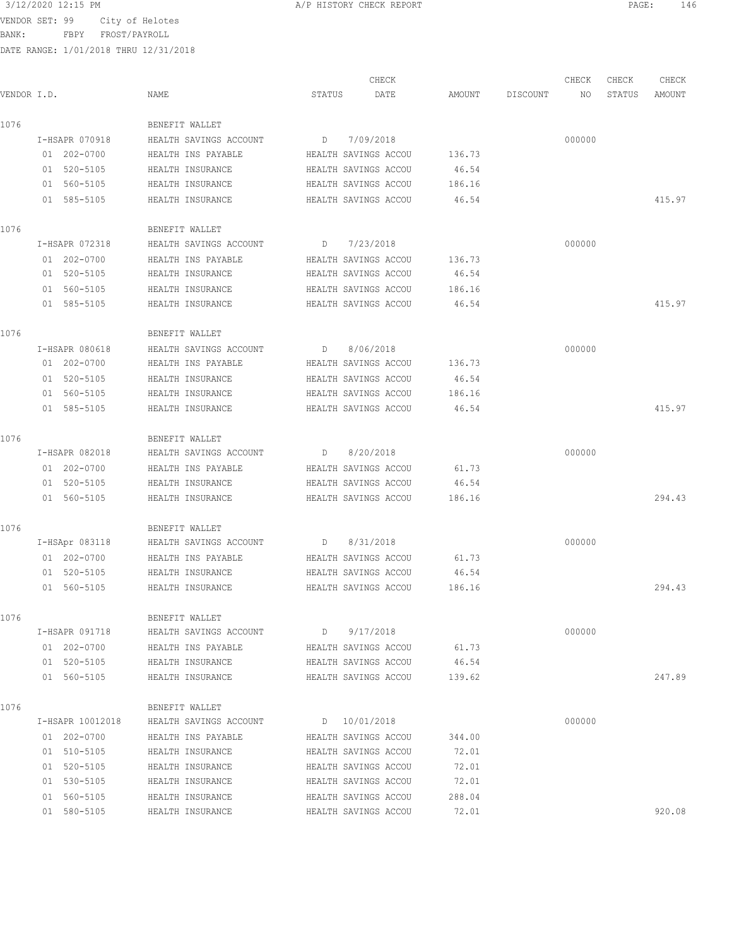BANK: FBPY FROST/PAYROLL

|             |                  |                        |                      | CHECK                |        |          | CHECK  | CHECK  | CHECK  |
|-------------|------------------|------------------------|----------------------|----------------------|--------|----------|--------|--------|--------|
| VENDOR I.D. |                  | NAME                   | STATUS               | DATE                 | AMOUNT | DISCOUNT | NO     | STATUS | AMOUNT |
| 1076        |                  | BENEFIT WALLET         |                      |                      |        |          |        |        |        |
|             | I-HSAPR 070918   | HEALTH SAVINGS ACCOUNT | D                    | 7/09/2018            |        |          | 000000 |        |        |
|             | 01 202-0700      | HEALTH INS PAYABLE     |                      | HEALTH SAVINGS ACCOU | 136.73 |          |        |        |        |
|             | 01 520-5105      | HEALTH INSURANCE       |                      | HEALTH SAVINGS ACCOU | 46.54  |          |        |        |        |
|             | 01 560-5105      | HEALTH INSURANCE       |                      | HEALTH SAVINGS ACCOU | 186.16 |          |        |        |        |
|             | 01 585-5105      | HEALTH INSURANCE       |                      | HEALTH SAVINGS ACCOU | 46.54  |          |        |        | 415.97 |
| 1076        |                  | BENEFIT WALLET         |                      |                      |        |          |        |        |        |
|             | I-HSAPR 072318   | HEALTH SAVINGS ACCOUNT | D                    | 7/23/2018            |        |          | 000000 |        |        |
|             | 01 202-0700      | HEALTH INS PAYABLE     | HEALTH SAVINGS ACCOU |                      | 136.73 |          |        |        |        |
|             | 01 520-5105      | HEALTH INSURANCE       | HEALTH SAVINGS ACCOU |                      | 46.54  |          |        |        |        |
|             | 01 560-5105      | HEALTH INSURANCE       |                      | HEALTH SAVINGS ACCOU | 186.16 |          |        |        |        |
|             | 01 585-5105      | HEALTH INSURANCE       |                      | HEALTH SAVINGS ACCOU | 46.54  |          |        |        | 415.97 |
| 1076        |                  | BENEFIT WALLET         |                      |                      |        |          |        |        |        |
|             | I-HSAPR 080618   | HEALTH SAVINGS ACCOUNT | D                    | 8/06/2018            |        |          | 000000 |        |        |
|             | 01 202-0700      | HEALTH INS PAYABLE     | HEALTH SAVINGS ACCOU |                      | 136.73 |          |        |        |        |
|             | 01 520-5105      | HEALTH INSURANCE       |                      | HEALTH SAVINGS ACCOU | 46.54  |          |        |        |        |
|             | 01 560-5105      | HEALTH INSURANCE       |                      | HEALTH SAVINGS ACCOU | 186.16 |          |        |        |        |
|             | 01 585-5105      | HEALTH INSURANCE       |                      | HEALTH SAVINGS ACCOU | 46.54  |          |        |        | 415.97 |
| 1076        |                  | BENEFIT WALLET         |                      |                      |        |          |        |        |        |
|             | I-HSAPR 082018   | HEALTH SAVINGS ACCOUNT | D                    | 8/20/2018            |        |          | 000000 |        |        |
|             | 01 202-0700      | HEALTH INS PAYABLE     |                      | HEALTH SAVINGS ACCOU | 61.73  |          |        |        |        |
|             | 01 520-5105      | HEALTH INSURANCE       |                      | HEALTH SAVINGS ACCOU | 46.54  |          |        |        |        |
|             | 01 560-5105      | HEALTH INSURANCE       |                      | HEALTH SAVINGS ACCOU | 186.16 |          |        |        | 294.43 |
|             |                  |                        |                      |                      |        |          |        |        |        |
| 1076        |                  | BENEFIT WALLET         |                      |                      |        |          |        |        |        |
|             | I-HSApr 083118   | HEALTH SAVINGS ACCOUNT | D                    | 8/31/2018            |        |          | 000000 |        |        |
|             | 01 202-0700      | HEALTH INS PAYABLE     | HEALTH SAVINGS ACCOU |                      | 61.73  |          |        |        |        |
|             | 01 520-5105      | HEALTH INSURANCE       | HEALTH SAVINGS ACCOU |                      | 46.54  |          |        |        |        |
|             | 01 560-5105      | HEALTH INSURANCE       |                      | HEALTH SAVINGS ACCOU | 186.16 |          |        |        | 294.43 |
| 1076        |                  | BENEFIT WALLET         |                      |                      |        |          |        |        |        |
|             | I-HSAPR 091718   | HEALTH SAVINGS ACCOUNT | D                    | 9/17/2018            |        |          | 000000 |        |        |
|             | 01 202-0700      | HEALTH INS PAYABLE     |                      | HEALTH SAVINGS ACCOU | 61.73  |          |        |        |        |
|             | 01 520-5105      | HEALTH INSURANCE       |                      | HEALTH SAVINGS ACCOU | 46.54  |          |        |        |        |
|             | 01 560-5105      | HEALTH INSURANCE       |                      | HEALTH SAVINGS ACCOU | 139.62 |          |        |        | 247.89 |
| 1076        |                  | BENEFIT WALLET         |                      |                      |        |          |        |        |        |
|             | I-HSAPR 10012018 | HEALTH SAVINGS ACCOUNT |                      | D 10/01/2018         |        |          | 000000 |        |        |
|             | 01 202-0700      | HEALTH INS PAYABLE     |                      | HEALTH SAVINGS ACCOU | 344.00 |          |        |        |        |
|             | 01 510-5105      | HEALTH INSURANCE       |                      | HEALTH SAVINGS ACCOU | 72.01  |          |        |        |        |
|             | 01 520-5105      | HEALTH INSURANCE       |                      | HEALTH SAVINGS ACCOU | 72.01  |          |        |        |        |
|             | 01 530-5105      | HEALTH INSURANCE       |                      | HEALTH SAVINGS ACCOU | 72.01  |          |        |        |        |
|             | 01 560-5105      | HEALTH INSURANCE       |                      | HEALTH SAVINGS ACCOU | 288.04 |          |        |        |        |
|             | 01 580-5105      | HEALTH INSURANCE       |                      | HEALTH SAVINGS ACCOU | 72.01  |          |        |        | 920.08 |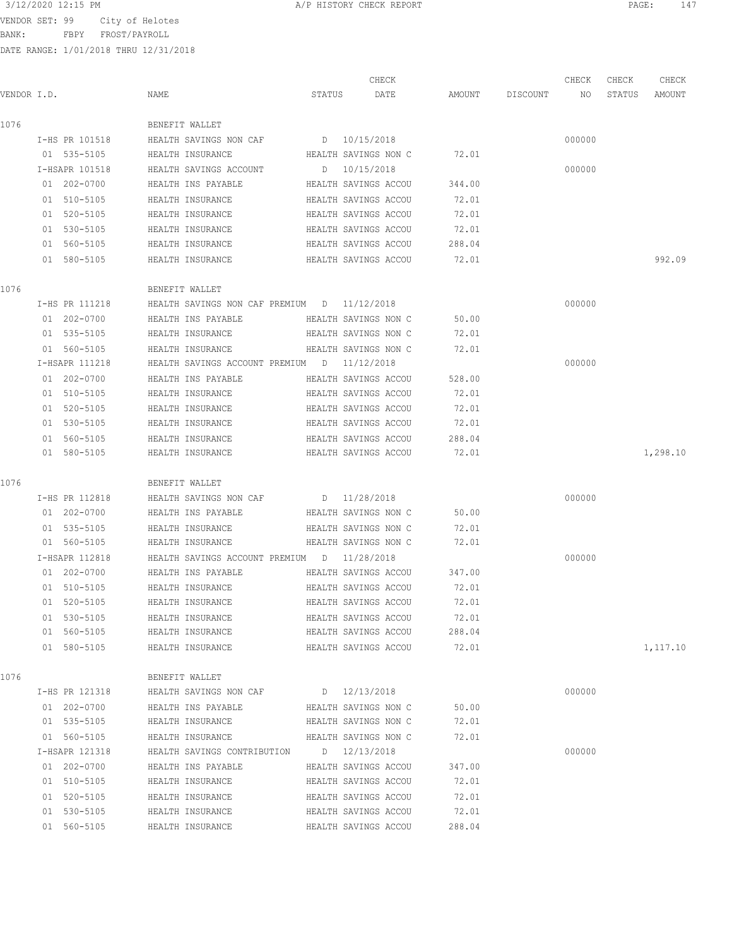BANK: FBPY FROST/PAYROLL

| 3/12/2020 12:15 PM | CHECK REPORT<br>A/P HISTORY | PAGE | $\sim$ $\sim$ |
|--------------------|-----------------------------|------|---------------|
|                    |                             |      |               |

|                |                                             | CHECK                |        |          | CHECK  | CHECK  | CHECK    |
|----------------|---------------------------------------------|----------------------|--------|----------|--------|--------|----------|
| VENDOR I.D.    | NAME                                        | STATUS<br>DATE       | AMOUNT | DISCOUNT | NO     | STATUS | AMOUNT   |
| 1076           | BENEFIT WALLET                              |                      |        |          |        |        |          |
| I-HS PR 101518 | HEALTH SAVINGS NON CAF                      | D 10/15/2018         |        |          | 000000 |        |          |
| 01 535-5105    | HEALTH INSURANCE                            | HEALTH SAVINGS NON C | 72.01  |          |        |        |          |
| I-HSAPR 101518 | HEALTH SAVINGS ACCOUNT                      | D 10/15/2018         |        |          | 000000 |        |          |
| 01 202-0700    | HEALTH INS PAYABLE                          | HEALTH SAVINGS ACCOU | 344.00 |          |        |        |          |
| 01 510-5105    | HEALTH INSURANCE                            | HEALTH SAVINGS ACCOU | 72.01  |          |        |        |          |
| 01 520-5105    | HEALTH INSURANCE                            | HEALTH SAVINGS ACCOU | 72.01  |          |        |        |          |
| 01 530-5105    | HEALTH INSURANCE                            | HEALTH SAVINGS ACCOU | 72.01  |          |        |        |          |
| 01 560-5105    | HEALTH INSURANCE                            | HEALTH SAVINGS ACCOU | 288.04 |          |        |        |          |
| 01 580-5105    | HEALTH INSURANCE                            | HEALTH SAVINGS ACCOU | 72.01  |          |        |        | 992.09   |
| 1076           | BENEFIT WALLET                              |                      |        |          |        |        |          |
| I-HS PR 111218 | HEALTH SAVINGS NON CAF PREMIUM D 11/12/2018 |                      |        |          | 000000 |        |          |
| 01 202-0700    | HEALTH INS PAYABLE                          | HEALTH SAVINGS NON C | 50.00  |          |        |        |          |
| 01 535-5105    | HEALTH INSURANCE                            | HEALTH SAVINGS NON C | 72.01  |          |        |        |          |
| 01 560-5105    | HEALTH INSURANCE                            | HEALTH SAVINGS NON C | 72.01  |          |        |        |          |
| I-HSAPR 111218 | HEALTH SAVINGS ACCOUNT PREMIUM D 11/12/2018 |                      |        |          | 000000 |        |          |
| 01 202-0700    | HEALTH INS PAYABLE                          | HEALTH SAVINGS ACCOU | 528.00 |          |        |        |          |
| 01 510-5105    | HEALTH INSURANCE                            | HEALTH SAVINGS ACCOU | 72.01  |          |        |        |          |
| 01 520-5105    | HEALTH INSURANCE                            | HEALTH SAVINGS ACCOU | 72.01  |          |        |        |          |
| 01 530-5105    | HEALTH INSURANCE                            | HEALTH SAVINGS ACCOU | 72.01  |          |        |        |          |
| 01 560-5105    | HEALTH INSURANCE                            | HEALTH SAVINGS ACCOU | 288.04 |          |        |        |          |
| 01 580-5105    | HEALTH INSURANCE                            | HEALTH SAVINGS ACCOU | 72.01  |          |        |        | 1,298.10 |
| 1076           | BENEFIT WALLET                              |                      |        |          |        |        |          |
| I-HS PR 112818 | HEALTH SAVINGS NON CAF                      | D 11/28/2018         |        |          | 000000 |        |          |
| 01 202-0700    | HEALTH INS PAYABLE                          | HEALTH SAVINGS NON C | 50.00  |          |        |        |          |
| 01 535-5105    | HEALTH INSURANCE                            | HEALTH SAVINGS NON C | 72.01  |          |        |        |          |
| 01 560-5105    | HEALTH INSURANCE                            | HEALTH SAVINGS NON C | 72.01  |          |        |        |          |
| I-HSAPR 112818 | HEALTH SAVINGS ACCOUNT PREMIUM D 11/28/2018 |                      |        |          | 000000 |        |          |
| 01 202-0700    | HEALTH INS PAYABLE                          | HEALTH SAVINGS ACCOU | 347.00 |          |        |        |          |
| 01 510-5105    | HEALTH INSURANCE                            | HEALTH SAVINGS ACCOU | 72.01  |          |        |        |          |
| 01 520-5105    | HEALTH INSURANCE                            | HEALTH SAVINGS ACCOU | 72.01  |          |        |        |          |
| 01 530-5105    | HEALTH INSURANCE                            | HEALTH SAVINGS ACCOU | 72.01  |          |        |        |          |
| 01 560-5105    | HEALTH INSURANCE                            | HEALTH SAVINGS ACCOU | 288.04 |          |        |        |          |
| 01 580-5105    | HEALTH INSURANCE                            | HEALTH SAVINGS ACCOU | 72.01  |          |        |        | 1,117.10 |
| 1076           | BENEFIT WALLET                              |                      |        |          |        |        |          |
| I-HS PR 121318 | HEALTH SAVINGS NON CAF                      | D 12/13/2018         |        |          | 000000 |        |          |
| 01 202-0700    | HEALTH INS PAYABLE                          | HEALTH SAVINGS NON C | 50.00  |          |        |        |          |
| 01 535-5105    | HEALTH INSURANCE                            | HEALTH SAVINGS NON C | 72.01  |          |        |        |          |
| 01 560-5105    | HEALTH INSURANCE                            | HEALTH SAVINGS NON C | 72.01  |          |        |        |          |
| I-HSAPR 121318 | HEALTH SAVINGS CONTRIBUTION D 12/13/2018    |                      |        |          | 000000 |        |          |
| 01 202-0700    | HEALTH INS PAYABLE                          | HEALTH SAVINGS ACCOU | 347.00 |          |        |        |          |
| 01 510-5105    | HEALTH INSURANCE                            | HEALTH SAVINGS ACCOU | 72.01  |          |        |        |          |
| 01 520-5105    | HEALTH INSURANCE                            | HEALTH SAVINGS ACCOU | 72.01  |          |        |        |          |
| 01 530-5105    | HEALTH INSURANCE                            | HEALTH SAVINGS ACCOU | 72.01  |          |        |        |          |
| 01 560-5105    | HEALTH INSURANCE                            | HEALTH SAVINGS ACCOU | 288.04 |          |        |        |          |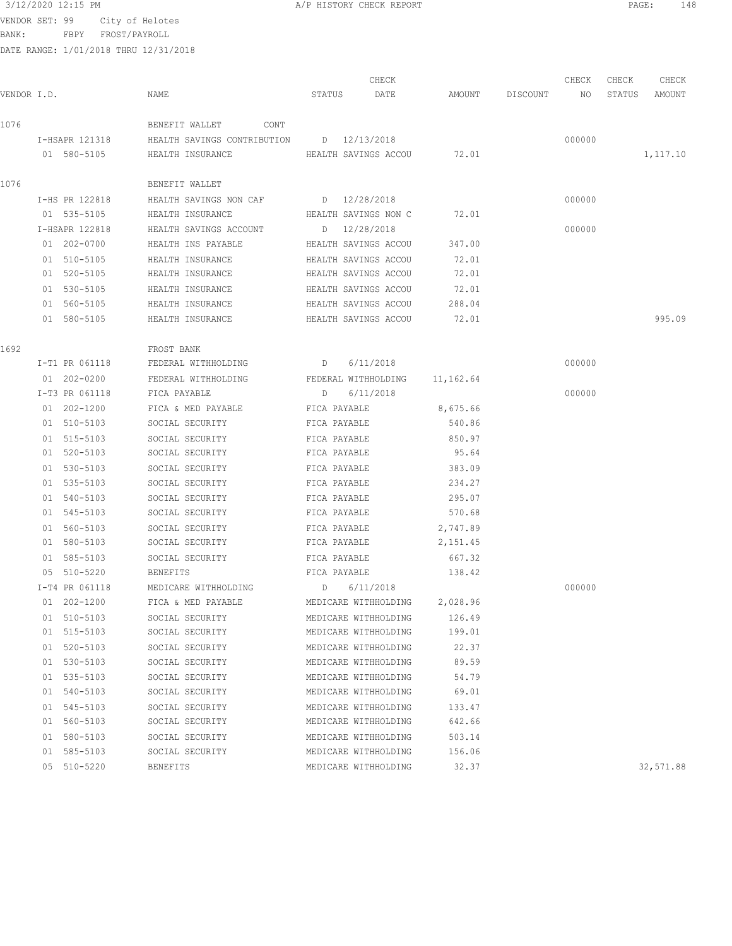BANK: FBPY FROST/PAYROLL

|             |                            |                                          |                      | CHECK                                        |                |                    | CHECK  | CHECK  | CHECK     |
|-------------|----------------------------|------------------------------------------|----------------------|----------------------------------------------|----------------|--------------------|--------|--------|-----------|
| VENDOR I.D. |                            | NAME                                     | STATUS               | DATE                                         |                | AMOUNT DISCOUNT NO |        | STATUS | AMOUNT    |
| 1076        |                            | BENEFIT WALLET CONT                      |                      |                                              |                |                    |        |        |           |
|             | I-HSAPR 121318             | HEALTH SAVINGS CONTRIBUTION D 12/13/2018 |                      |                                              |                |                    | 000000 |        |           |
|             | 01 580-5105                | HEALTH INSURANCE                         |                      | HEALTH SAVINGS ACCOU 72.01                   |                |                    |        |        | 1,117.10  |
| 1076        |                            | BENEFIT WALLET                           |                      |                                              |                |                    |        |        |           |
|             | I-HS PR 122818             | HEALTH SAVINGS NON CAF D 12/28/2018      |                      |                                              |                |                    | 000000 |        |           |
|             | 01 535-5105                | HEALTH INSURANCE                         | HEALTH SAVINGS NON C |                                              | 72.01          |                    |        |        |           |
|             | I-HSAPR 122818             | HEALTH SAVINGS ACCOUNT                   |                      | D 12/28/2018                                 |                |                    | 000000 |        |           |
|             | 01 202-0700                | HEALTH INS PAYABLE                       | HEALTH SAVINGS ACCOU |                                              | 347.00         |                    |        |        |           |
|             | 01 510-5105                | HEALTH INSURANCE                         | HEALTH SAVINGS ACCOU |                                              | 72.01          |                    |        |        |           |
|             | 01 520-5105                | HEALTH INSURANCE                         |                      | HEALTH SAVINGS ACCOU                         | 72.01          |                    |        |        |           |
|             | 01 530-5105                | HEALTH INSURANCE                         |                      | HEALTH SAVINGS ACCOU                         | 72.01          |                    |        |        |           |
|             | 01 560-5105                | HEALTH INSURANCE                         | HEALTH SAVINGS ACCOU |                                              | 288.04         |                    |        |        |           |
|             | 01 580-5105                | HEALTH INSURANCE                         |                      | HEALTH SAVINGS ACCOU                         | 72.01          |                    |        |        | 995.09    |
| 1692        |                            | FROST BANK                               |                      |                                              |                |                    |        |        |           |
|             | I-T1 PR 061118             | FEDERAL WITHHOLDING                      | $D = 6/11/2018$      |                                              |                |                    | 000000 |        |           |
|             | 01 202-0200                | FEDERAL WITHHOLDING                      |                      | FEDERAL WITHHOLDING 11,162.64                |                |                    |        |        |           |
|             | I-T3 PR 061118             | FICA PAYABLE                             | D                    | 6/11/2018                                    |                |                    | 000000 |        |           |
|             | 01 202-1200                | FICA & MED PAYABLE                       | FICA PAYABLE         |                                              | 8,675.66       |                    |        |        |           |
|             | 01 510-5103                | SOCIAL SECURITY                          | FICA PAYABLE         |                                              | 540.86         |                    |        |        |           |
|             | 01 515-5103                | SOCIAL SECURITY                          | FICA PAYABLE         |                                              | 850.97         |                    |        |        |           |
|             | 01 520-5103                | SOCIAL SECURITY                          | FICA PAYABLE         |                                              | 95.64          |                    |        |        |           |
|             | 01 530-5103                | SOCIAL SECURITY                          | FICA PAYABLE         |                                              | 383.09         |                    |        |        |           |
|             | 01 535-5103                | SOCIAL SECURITY                          | FICA PAYABLE         |                                              | 234.27         |                    |        |        |           |
|             | 01 540-5103                | SOCIAL SECURITY                          | FICA PAYABLE         |                                              | 295.07         |                    |        |        |           |
|             | 01 545-5103                | SOCIAL SECURITY                          | FICA PAYABLE         |                                              | 570.68         |                    |        |        |           |
|             | 01 560-5103                | SOCIAL SECURITY                          | FICA PAYABLE         |                                              | 2,747.89       |                    |        |        |           |
|             | 01 580-5103                | SOCIAL SECURITY                          | FICA PAYABLE         |                                              | 2,151.45       |                    |        |        |           |
|             | 01 585-5103                | SOCIAL SECURITY                          | FICA PAYABLE         |                                              | 667.32         |                    |        |        |           |
|             | 05 510-5220                | <b>BENEFITS</b>                          | FICA PAYABLE         |                                              | 138.42         |                    |        |        |           |
|             | I-T4 PR 061118             | MEDICARE WITHHOLDING                     | D 6/11/2018          |                                              |                |                    | 000000 |        |           |
|             | 01 202-1200                | FICA & MED PAYABLE                       |                      | MEDICARE WITHHOLDING                         | 2,028.96       |                    |        |        |           |
|             | 01 510-5103                | SOCIAL SECURITY                          |                      | MEDICARE WITHHOLDING                         | 126.49         |                    |        |        |           |
|             | 01 515-5103                | SOCIAL SECURITY                          |                      | MEDICARE WITHHOLDING                         | 199.01         |                    |        |        |           |
|             | 01 520-5103<br>01 530-5103 | SOCIAL SECURITY<br>SOCIAL SECURITY       |                      | MEDICARE WITHHOLDING<br>MEDICARE WITHHOLDING | 22.37<br>89.59 |                    |        |        |           |
|             | 01 535-5103                | SOCIAL SECURITY                          |                      | MEDICARE WITHHOLDING                         | 54.79          |                    |        |        |           |
|             | 01 540-5103                | SOCIAL SECURITY                          |                      | MEDICARE WITHHOLDING                         | 69.01          |                    |        |        |           |
|             | 01 545-5103                | SOCIAL SECURITY                          |                      | MEDICARE WITHHOLDING                         | 133.47         |                    |        |        |           |
|             | 01 560-5103                | SOCIAL SECURITY                          |                      | MEDICARE WITHHOLDING                         | 642.66         |                    |        |        |           |
|             | 01 580-5103                | SOCIAL SECURITY                          |                      | MEDICARE WITHHOLDING                         | 503.14         |                    |        |        |           |
|             | 01 585-5103                | SOCIAL SECURITY                          |                      | MEDICARE WITHHOLDING                         | 156.06         |                    |        |        |           |
|             | 05 510-5220                | BENEFITS                                 |                      | MEDICARE WITHHOLDING                         | 32.37          |                    |        |        | 32,571.88 |
|             |                            |                                          |                      |                                              |                |                    |        |        |           |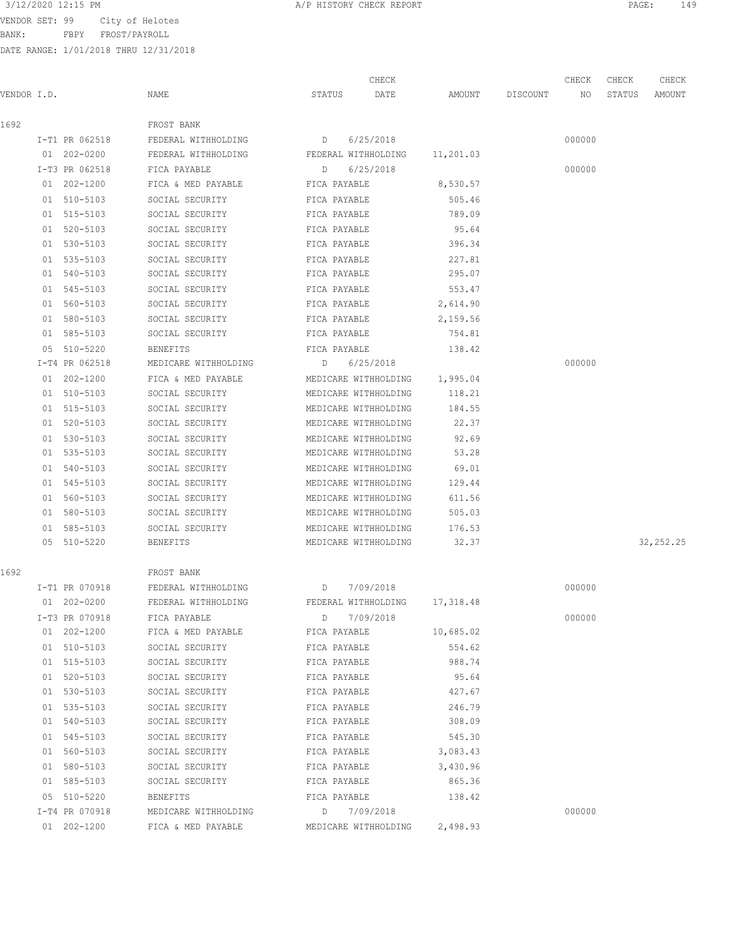BANK: FBPY FROST/PAYROLL

|             |                |                                                                 |              | CHECK                |           |          | CHECK  | CHECK  | CHECK      |
|-------------|----------------|-----------------------------------------------------------------|--------------|----------------------|-----------|----------|--------|--------|------------|
| VENDOR I.D. |                | NAME                                                            | STATUS       | DATE                 | AMOUNT    | DISCOUNT | NO     | STATUS | AMOUNT     |
| 1692        |                | FROST BANK                                                      |              |                      |           |          |        |        |            |
|             | I-T1 PR 062518 | FEDERAL WITHHOLDING                                             | D            | 6/25/2018            |           |          | 000000 |        |            |
|             | 01 202-0200    | FEDERAL WITHHOLDING                                             |              | FEDERAL WITHHOLDING  | 11,201.03 |          |        |        |            |
|             | I-T3 PR 062518 | FICA PAYABLE                                                    | D            | 6/25/2018            |           |          | 000000 |        |            |
|             | 01 202-1200    | FICA & MED PAYABLE                                              | FICA PAYABLE |                      | 8,530.57  |          |        |        |            |
|             | 01 510-5103    | SOCIAL SECURITY                                                 | FICA PAYABLE |                      | 505.46    |          |        |        |            |
|             | 01 515-5103    | SOCIAL SECURITY                                                 | FICA PAYABLE |                      | 789.09    |          |        |        |            |
|             | 01 520-5103    | SOCIAL SECURITY                                                 | FICA PAYABLE |                      | 95.64     |          |        |        |            |
|             | 01 530-5103    | SOCIAL SECURITY                                                 | FICA PAYABLE |                      | 396.34    |          |        |        |            |
|             | 01 535-5103    | SOCIAL SECURITY                                                 | FICA PAYABLE |                      | 227.81    |          |        |        |            |
|             | 01 540-5103    | SOCIAL SECURITY                                                 | FICA PAYABLE |                      | 295.07    |          |        |        |            |
|             | 01 545-5103    | SOCIAL SECURITY                                                 | FICA PAYABLE |                      | 553.47    |          |        |        |            |
|             | 01 560-5103    | SOCIAL SECURITY                                                 | FICA PAYABLE |                      | 2,614.90  |          |        |        |            |
|             | 01 580-5103    | SOCIAL SECURITY                                                 | FICA PAYABLE |                      | 2,159.56  |          |        |        |            |
|             | 01 585-5103    | SOCIAL SECURITY                                                 | FICA PAYABLE |                      | 754.81    |          |        |        |            |
|             | 05 510-5220    | <b>BENEFITS</b>                                                 | FICA PAYABLE |                      | 138.42    |          |        |        |            |
|             | I-T4 PR 062518 | MEDICARE WITHHOLDING                                            | D            | 6/25/2018            |           |          | 000000 |        |            |
|             | 01 202-1200    | FICA & MED PAYABLE                                              |              | MEDICARE WITHHOLDING | 1,995.04  |          |        |        |            |
|             | 01 510-5103    | SOCIAL SECURITY                                                 |              | MEDICARE WITHHOLDING | 118.21    |          |        |        |            |
|             | 01 515-5103    | SOCIAL SECURITY                                                 |              | MEDICARE WITHHOLDING | 184.55    |          |        |        |            |
|             | 01 520-5103    | SOCIAL SECURITY                                                 |              | MEDICARE WITHHOLDING | 22.37     |          |        |        |            |
|             | 01 530-5103    | SOCIAL SECURITY                                                 |              | MEDICARE WITHHOLDING | 92.69     |          |        |        |            |
|             | 01 535-5103    | SOCIAL SECURITY                                                 |              | MEDICARE WITHHOLDING | 53.28     |          |        |        |            |
|             | 01 540-5103    | SOCIAL SECURITY                                                 |              | MEDICARE WITHHOLDING | 69.01     |          |        |        |            |
|             | 01 545-5103    | SOCIAL SECURITY                                                 |              | MEDICARE WITHHOLDING | 129.44    |          |        |        |            |
|             | 01 560-5103    | SOCIAL SECURITY                                                 |              | MEDICARE WITHHOLDING | 611.56    |          |        |        |            |
|             | 01 580-5103    | SOCIAL SECURITY                                                 |              | MEDICARE WITHHOLDING | 505.03    |          |        |        |            |
|             | 01 585-5103    | SOCIAL SECURITY                                                 |              | MEDICARE WITHHOLDING | 176.53    |          |        |        |            |
|             | 05 510-5220    | BENEFITS                                                        |              | MEDICARE WITHHOLDING | 32.37     |          |        |        | 32, 252.25 |
| 1692        |                | FROST BANK                                                      |              |                      |           |          |        |        |            |
|             | I-T1 PR 070918 | FEDERAL WITHHOLDING<br><u>Daniel Barbara a Daniel Barbara a</u> |              | 7/09/2018            |           |          | 000000 |        |            |
|             | 01 202-0200    | FEDERAL WITHHOLDING                                             |              | FEDERAL WITHHOLDING  | 17,318.48 |          |        |        |            |
|             | I-T3 PR 070918 | FICA PAYABLE                                                    |              | D 7/09/2018          |           |          | 000000 |        |            |
|             | 01 202-1200    | FICA & MED PAYABLE                                              | FICA PAYABLE |                      | 10,685.02 |          |        |        |            |
|             | 01 510-5103    | SOCIAL SECURITY                                                 | FICA PAYABLE |                      | 554.62    |          |        |        |            |
|             | 01 515-5103    | SOCIAL SECURITY                                                 | FICA PAYABLE |                      | 988.74    |          |        |        |            |
|             | 01 520-5103    | SOCIAL SECURITY                                                 | FICA PAYABLE |                      | 95.64     |          |        |        |            |
|             | 01 530-5103    | SOCIAL SECURITY                                                 | FICA PAYABLE |                      | 427.67    |          |        |        |            |
|             | 01 535-5103    | SOCIAL SECURITY                                                 | FICA PAYABLE |                      | 246.79    |          |        |        |            |
|             | 01 540-5103    | SOCIAL SECURITY                                                 | FICA PAYABLE |                      | 308.09    |          |        |        |            |
|             | 01 545-5103    | SOCIAL SECURITY                                                 | FICA PAYABLE |                      | 545.30    |          |        |        |            |
|             | 01 560-5103    | SOCIAL SECURITY                                                 | FICA PAYABLE |                      | 3,083.43  |          |        |        |            |
|             | 01 580-5103    | SOCIAL SECURITY                                                 | FICA PAYABLE |                      | 3,430.96  |          |        |        |            |
|             | 01 585-5103    | SOCIAL SECURITY<br>FICA PAYABLE                                 |              |                      | 865.36    |          |        |        |            |
|             | 05 510-5220    | BENEFITS                                                        |              | FICA PAYABLE         | 138.42    |          |        |        |            |
|             | I-T4 PR 070918 | MEDICARE WITHHOLDING                                            |              | D 7/09/2018          |           |          | 000000 |        |            |
|             | 01 202-1200    | FICA & MED PAYABLE                                              |              | MEDICARE WITHHOLDING | 2,498.93  |          |        |        |            |
|             |                |                                                                 |              |                      |           |          |        |        |            |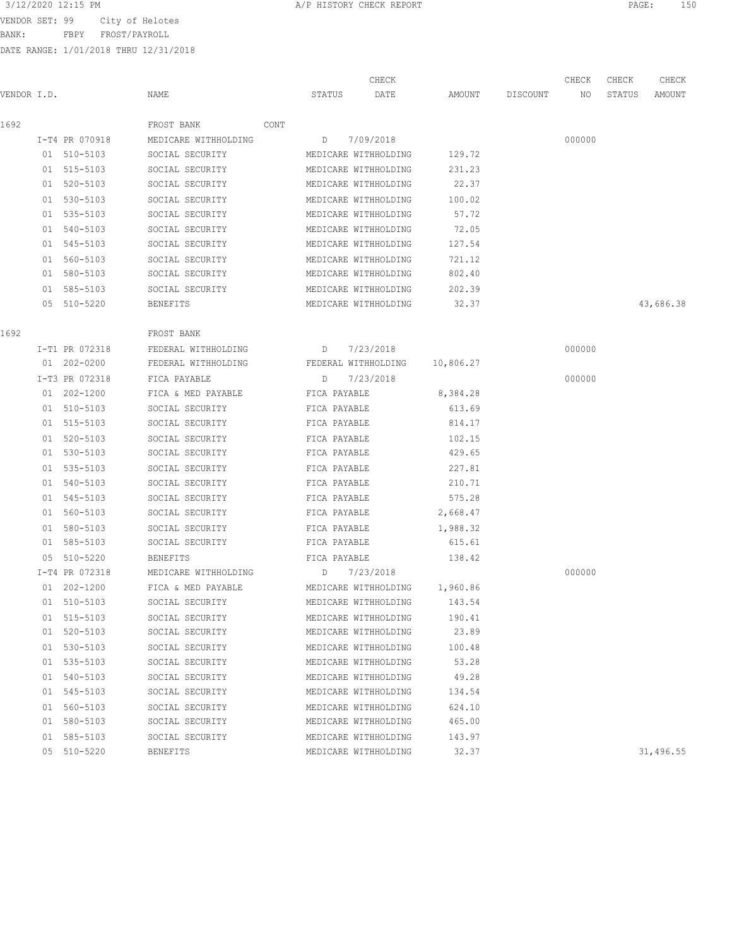BANK: FBPY FROST/PAYROLL

| 3/12/2020 12:15 PM<br>A/P HISTORY CHECK REPORT<br>PAGE |  |
|--------------------------------------------------------|--|
|--------------------------------------------------------|--|

|             |                |                                    |              | CHECK                |           |          | CHECK  | CHECK  | CHECK     |
|-------------|----------------|------------------------------------|--------------|----------------------|-----------|----------|--------|--------|-----------|
| VENDOR I.D. |                | NAME                               | STATUS       | DATE                 | AMOUNT    | DISCOUNT | NO     | STATUS | AMOUNT    |
| 1692        |                | FROST BANK<br>CONT                 |              |                      |           |          |        |        |           |
|             | I-T4 PR 070918 | MEDICARE WITHHOLDING               |              | D 7/09/2018          |           |          | 000000 |        |           |
|             | 01 510-5103    | SOCIAL SECURITY                    |              | MEDICARE WITHHOLDING | 129.72    |          |        |        |           |
|             | 01 515-5103    | SOCIAL SECURITY                    |              | MEDICARE WITHHOLDING | 231.23    |          |        |        |           |
|             | 01 520-5103    | SOCIAL SECURITY                    |              | MEDICARE WITHHOLDING | 22.37     |          |        |        |           |
|             | 01 530-5103    | SOCIAL SECURITY                    |              | MEDICARE WITHHOLDING | 100.02    |          |        |        |           |
|             | 01 535-5103    | SOCIAL SECURITY                    |              | MEDICARE WITHHOLDING | 57.72     |          |        |        |           |
|             | 01 540-5103    | SOCIAL SECURITY                    |              | MEDICARE WITHHOLDING | 72.05     |          |        |        |           |
|             | 01 545-5103    | SOCIAL SECURITY                    |              | MEDICARE WITHHOLDING | 127.54    |          |        |        |           |
|             | 01 560-5103    | SOCIAL SECURITY                    |              | MEDICARE WITHHOLDING | 721.12    |          |        |        |           |
|             | 01 580-5103    | SOCIAL SECURITY                    |              | MEDICARE WITHHOLDING | 802.40    |          |        |        |           |
|             | 01 585-5103    | SOCIAL SECURITY                    |              | MEDICARE WITHHOLDING | 202.39    |          |        |        |           |
|             | 05 510-5220    | BENEFITS                           |              | MEDICARE WITHHOLDING | 32.37     |          |        |        | 43,686.38 |
| 1692        |                | FROST BANK                         |              |                      |           |          |        |        |           |
|             | I-T1 PR 072318 | FEDERAL WITHHOLDING                |              | D 7/23/2018          |           |          | 000000 |        |           |
|             | 01 202-0200    | FEDERAL WITHHOLDING                |              | FEDERAL WITHHOLDING  | 10,806.27 |          |        |        |           |
|             | I-T3 PR 072318 | FICA PAYABLE                       | D            | 7/23/2018            |           |          | 000000 |        |           |
|             | 01 202-1200    | FICA & MED PAYABLE                 | FICA PAYABLE |                      | 8,384.28  |          |        |        |           |
|             | 01 510-5103    | SOCIAL SECURITY                    |              | FICA PAYABLE         | 613.69    |          |        |        |           |
|             | 01 515-5103    | SOCIAL SECURITY                    |              | FICA PAYABLE         | 814.17    |          |        |        |           |
|             | 01 520-5103    | SOCIAL SECURITY                    |              | FICA PAYABLE         | 102.15    |          |        |        |           |
|             | 01 530-5103    | SOCIAL SECURITY                    |              | FICA PAYABLE         | 429.65    |          |        |        |           |
|             | 01 535-5103    | SOCIAL SECURITY                    |              | FICA PAYABLE         | 227.81    |          |        |        |           |
|             | 01 540-5103    | SOCIAL SECURITY                    |              | FICA PAYABLE         | 210.71    |          |        |        |           |
|             | 01 545-5103    | SOCIAL SECURITY                    |              | FICA PAYABLE         | 575.28    |          |        |        |           |
|             | 01 560-5103    | SOCIAL SECURITY                    |              | FICA PAYABLE         | 2,668.47  |          |        |        |           |
|             | 01 580-5103    |                                    |              |                      |           |          |        |        |           |
|             | 01 585-5103    | SOCIAL SECURITY                    | FICA PAYABLE |                      | 1,988.32  |          |        |        |           |
|             |                | SOCIAL SECURITY<br><b>BENEFITS</b> | FICA PAYABLE |                      | 615.61    |          |        |        |           |
|             | 05 510-5220    | MEDICARE WITHHOLDING               |              | FICA PAYABLE         | 138.42    |          |        |        |           |
|             | I-T4 PR 072318 |                                    | D            | 7/23/2018            |           |          | 000000 |        |           |
|             | 01 202-1200    | FICA & MED PAYABLE                 |              | MEDICARE WITHHOLDING | 1,960.86  |          |        |        |           |
|             | 01 510-5103    | SOCIAL SECURITY                    |              | MEDICARE WITHHOLDING | 143.54    |          |        |        |           |
|             | 01 515-5103    | SOCIAL SECURITY                    |              | MEDICARE WITHHOLDING | 190.41    |          |        |        |           |
|             | 01 520-5103    | SOCIAL SECURITY                    |              | MEDICARE WITHHOLDING | 23.89     |          |        |        |           |
|             | 01 530-5103    | SOCIAL SECURITY                    |              | MEDICARE WITHHOLDING | 100.48    |          |        |        |           |
|             | 01 535-5103    | SOCIAL SECURITY                    |              | MEDICARE WITHHOLDING | 53.28     |          |        |        |           |
|             | 01 540-5103    | SOCIAL SECURITY                    |              | MEDICARE WITHHOLDING | 49.28     |          |        |        |           |
|             | 01 545-5103    | SOCIAL SECURITY                    |              | MEDICARE WITHHOLDING | 134.54    |          |        |        |           |
|             | 01 560-5103    | SOCIAL SECURITY                    |              | MEDICARE WITHHOLDING | 624.10    |          |        |        |           |
|             | 01 580-5103    | SOCIAL SECURITY                    |              | MEDICARE WITHHOLDING | 465.00    |          |        |        |           |
|             | 01 585-5103    | SOCIAL SECURITY                    |              | MEDICARE WITHHOLDING | 143.97    |          |        |        |           |
|             | 05 510-5220    | <b>BENEFITS</b>                    |              | MEDICARE WITHHOLDING | 32.37     |          |        |        | 31,496.55 |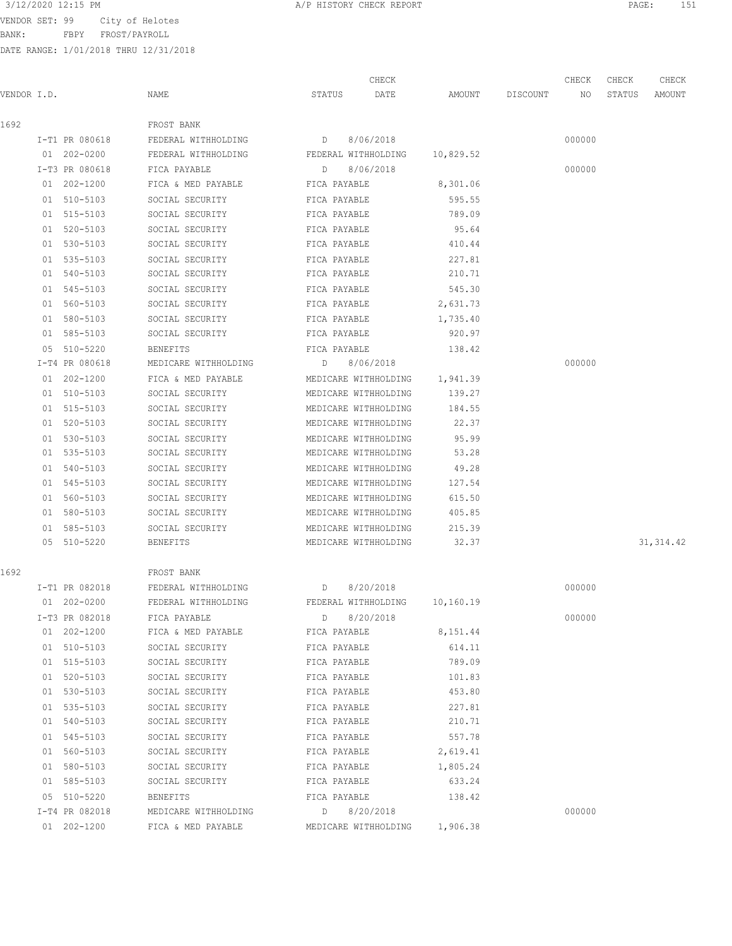BANK: FBPY FROST/PAYROLL

|             |                |                                 |                      | CHECK                |                 | CHECK  | CHECK  | CHECK      |
|-------------|----------------|---------------------------------|----------------------|----------------------|-----------------|--------|--------|------------|
| VENDOR I.D. |                | NAME                            | STATUS               | DATE                 | AMOUNT DISCOUNT | NO     | STATUS | AMOUNT     |
| 1692        |                | FROST BANK                      |                      |                      |                 |        |        |            |
|             | I-T1 PR 080618 | FEDERAL WITHHOLDING             | D                    | 8/06/2018            |                 | 000000 |        |            |
|             | 01 202-0200    | FEDERAL WITHHOLDING             | FEDERAL WITHHOLDING  |                      | 10,829.52       |        |        |            |
|             | I-T3 PR 080618 | FICA PAYABLE                    | D                    | 8/06/2018            |                 | 000000 |        |            |
|             | 01 202-1200    | FICA & MED PAYABLE              | FICA PAYABLE         |                      | 8,301.06        |        |        |            |
|             | 01 510-5103    | SOCIAL SECURITY                 | FICA PAYABLE         |                      | 595.55          |        |        |            |
|             | 01 515-5103    | SOCIAL SECURITY                 | FICA PAYABLE         |                      | 789.09          |        |        |            |
|             | 01 520-5103    | SOCIAL SECURITY                 | FICA PAYABLE         |                      | 95.64           |        |        |            |
|             | 01 530-5103    | SOCIAL SECURITY                 | FICA PAYABLE         |                      | 410.44          |        |        |            |
|             | 01 535-5103    | SOCIAL SECURITY                 | FICA PAYABLE         |                      | 227.81          |        |        |            |
|             | 01 540-5103    | SOCIAL SECURITY                 | FICA PAYABLE         |                      | 210.71          |        |        |            |
|             | 01 545-5103    | SOCIAL SECURITY                 | FICA PAYABLE         |                      | 545.30          |        |        |            |
|             | 01 560-5103    | SOCIAL SECURITY                 | FICA PAYABLE         |                      | 2,631.73        |        |        |            |
|             | 01 580-5103    | SOCIAL SECURITY                 | FICA PAYABLE         |                      | 1,735.40        |        |        |            |
|             | 01 585-5103    | SOCIAL SECURITY                 | FICA PAYABLE         |                      | 920.97          |        |        |            |
|             | 05 510-5220    | <b>BENEFITS</b>                 | FICA PAYABLE         |                      | 138.42          |        |        |            |
|             | I-T4 PR 080618 | MEDICARE WITHHOLDING            | D 8/06/2018          |                      |                 | 000000 |        |            |
|             | 01 202-1200    | FICA & MED PAYABLE              | MEDICARE WITHHOLDING |                      | 1,941.39        |        |        |            |
|             | 01 510-5103    | SOCIAL SECURITY                 | MEDICARE WITHHOLDING |                      | 139.27          |        |        |            |
|             | 01 515-5103    | SOCIAL SECURITY                 | MEDICARE WITHHOLDING |                      | 184.55          |        |        |            |
|             | 01 520-5103    | SOCIAL SECURITY                 | MEDICARE WITHHOLDING |                      | 22.37           |        |        |            |
|             | 01 530-5103    | SOCIAL SECURITY                 | MEDICARE WITHHOLDING |                      | 95.99           |        |        |            |
|             | 01 535-5103    | SOCIAL SECURITY                 | MEDICARE WITHHOLDING |                      | 53.28           |        |        |            |
|             | 01 540-5103    | SOCIAL SECURITY                 | MEDICARE WITHHOLDING |                      | 49.28           |        |        |            |
|             | 01 545-5103    | SOCIAL SECURITY                 | MEDICARE WITHHOLDING |                      | 127.54          |        |        |            |
|             | 01 560-5103    | SOCIAL SECURITY                 | MEDICARE WITHHOLDING |                      | 615.50          |        |        |            |
|             | 01 580-5103    | SOCIAL SECURITY                 | MEDICARE WITHHOLDING |                      | 405.85          |        |        |            |
|             | 01 585-5103    | SOCIAL SECURITY                 | MEDICARE WITHHOLDING |                      | 215.39          |        |        |            |
|             | 05 510-5220    | BENEFITS                        | MEDICARE WITHHOLDING |                      | 32.37           |        |        | 31, 314.42 |
| 1692        |                | FROST BANK                      |                      |                      |                 |        |        |            |
|             | I-T1 PR 082018 | FEDERAL WITHHOLDING             | $\Box$               | 8/20/2018            |                 | 000000 |        |            |
|             | 01 202-0200    | FEDERAL WITHHOLDING             |                      | FEDERAL WITHHOLDING  | 10,160.19       |        |        |            |
|             | I-T3 PR 082018 | FICA PAYABLE                    | $D \qquad \qquad$    | 8/20/2018            |                 | 000000 |        |            |
|             | 01 202-1200    | FICA & MED PAYABLE FICA PAYABLE |                      |                      | 8,151.44        |        |        |            |
|             | 01 510-5103    | SOCIAL SECURITY                 | FICA PAYABLE         |                      | 614.11          |        |        |            |
|             | 01 515-5103    | SOCIAL SECURITY                 | FICA PAYABLE         |                      | 789.09          |        |        |            |
|             | 01 520-5103    | SOCIAL SECURITY                 | FICA PAYABLE         |                      | 101.83          |        |        |            |
|             | 01 530-5103    | SOCIAL SECURITY                 | FICA PAYABLE         |                      | 453.80          |        |        |            |
|             | 01 535-5103    | SOCIAL SECURITY                 | FICA PAYABLE         |                      | 227.81          |        |        |            |
|             | 01 540-5103    | SOCIAL SECURITY                 | FICA PAYABLE         |                      | 210.71          |        |        |            |
|             | 01 545-5103    | SOCIAL SECURITY                 | FICA PAYABLE         |                      | 557.78          |        |        |            |
|             | 01 560-5103    | SOCIAL SECURITY                 | FICA PAYABLE         |                      | 2,619.41        |        |        |            |
|             | 01 580-5103    | SOCIAL SECURITY                 | FICA PAYABLE         |                      | 1,805.24        |        |        |            |
|             | 01 585-5103    | SOCIAL SECURITY FICA PAYABLE    |                      |                      | 633.24          |        |        |            |
|             | 05 510-5220    | BENEFITS                        | FICA PAYABLE         |                      | 138.42          |        |        |            |
|             | I-T4 PR 082018 | MEDICARE WITHHOLDING            | $D$ 8/20/2018        |                      |                 | 000000 |        |            |
|             | 01 202-1200    | FICA & MED PAYABLE              |                      | MEDICARE WITHHOLDING | 1,906.38        |        |        |            |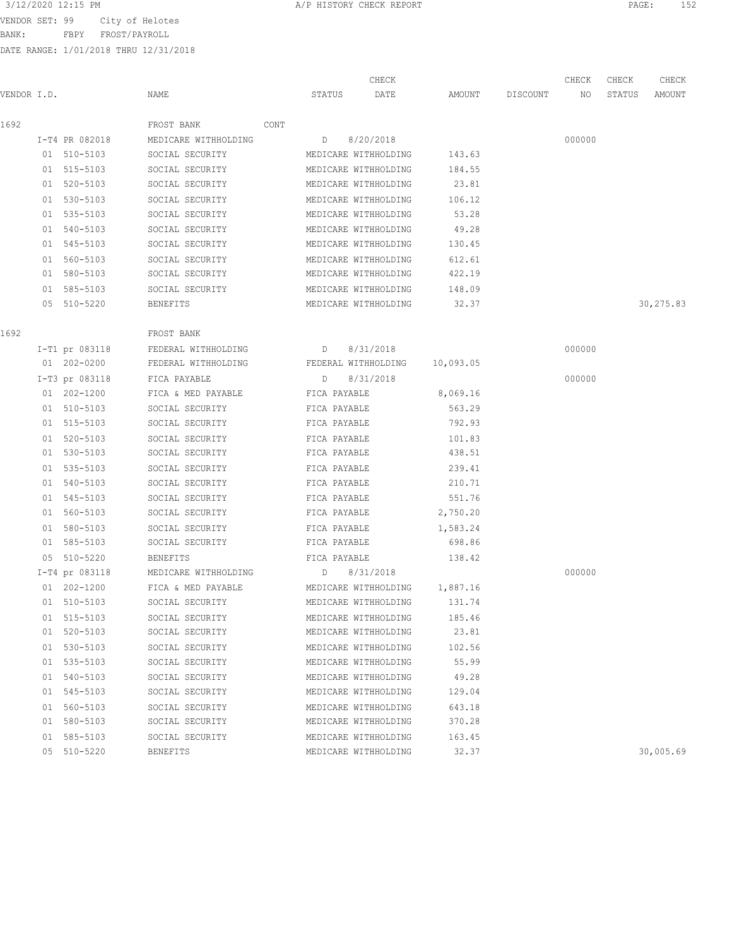BANK: FBPY FROST/PAYROLL

| 3/12/2020 12:15 PM<br>A/P HISTORY CHECK REPORT<br>PAGE | ユニウ<br>19 Z |
|--------------------------------------------------------|-------------|
|--------------------------------------------------------|-------------|

|             |                |                      |      |                   | CHECK                |           |          | CHECK  | CHECK  | CHECK     |
|-------------|----------------|----------------------|------|-------------------|----------------------|-----------|----------|--------|--------|-----------|
| VENDOR I.D. |                | NAME                 |      | STATUS            | DATE                 | AMOUNT    | DISCOUNT | NO     | STATUS | AMOUNT    |
| 1692        |                | FROST BANK           | CONT |                   |                      |           |          |        |        |           |
|             | I-T4 PR 082018 | MEDICARE WITHHOLDING |      | D                 | 8/20/2018            |           |          | 000000 |        |           |
|             | 01 510-5103    | SOCIAL SECURITY      |      |                   | MEDICARE WITHHOLDING | 143.63    |          |        |        |           |
|             | 01 515-5103    | SOCIAL SECURITY      |      |                   | MEDICARE WITHHOLDING | 184.55    |          |        |        |           |
|             | 01 520-5103    | SOCIAL SECURITY      |      |                   | MEDICARE WITHHOLDING | 23.81     |          |        |        |           |
|             | 01 530-5103    | SOCIAL SECURITY      |      |                   | MEDICARE WITHHOLDING | 106.12    |          |        |        |           |
|             | 01 535-5103    | SOCIAL SECURITY      |      |                   | MEDICARE WITHHOLDING | 53.28     |          |        |        |           |
|             | 01 540-5103    | SOCIAL SECURITY      |      |                   | MEDICARE WITHHOLDING | 49.28     |          |        |        |           |
|             | 01 545-5103    | SOCIAL SECURITY      |      |                   | MEDICARE WITHHOLDING | 130.45    |          |        |        |           |
|             | 01 560-5103    | SOCIAL SECURITY      |      |                   | MEDICARE WITHHOLDING | 612.61    |          |        |        |           |
|             | 01 580-5103    | SOCIAL SECURITY      |      |                   | MEDICARE WITHHOLDING | 422.19    |          |        |        |           |
|             | 01 585-5103    | SOCIAL SECURITY      |      |                   | MEDICARE WITHHOLDING | 148.09    |          |        |        |           |
|             | 05 510-5220    | BENEFITS             |      |                   | MEDICARE WITHHOLDING | 32.37     |          |        |        | 30,275.83 |
| 1692        |                | FROST BANK           |      |                   |                      |           |          |        |        |           |
|             | I-T1 pr 083118 | FEDERAL WITHHOLDING  |      | D                 | 8/31/2018            |           |          | 000000 |        |           |
|             | 01 202-0200    | FEDERAL WITHHOLDING  |      |                   | FEDERAL WITHHOLDING  | 10,093.05 |          |        |        |           |
|             | I-T3 pr 083118 | FICA PAYABLE         |      | D                 | 8/31/2018            |           |          | 000000 |        |           |
|             | 01 202-1200    | FICA & MED PAYABLE   |      | FICA PAYABLE      |                      | 8,069.16  |          |        |        |           |
|             | 01 510-5103    | SOCIAL SECURITY      |      | FICA PAYABLE      |                      | 563.29    |          |        |        |           |
|             | 01 515-5103    | SOCIAL SECURITY      |      | FICA PAYABLE      |                      | 792.93    |          |        |        |           |
|             | 01 520-5103    | SOCIAL SECURITY      |      | FICA PAYABLE      |                      | 101.83    |          |        |        |           |
|             | 01 530-5103    | SOCIAL SECURITY      |      | FICA PAYABLE      |                      | 438.51    |          |        |        |           |
|             | 01 535-5103    | SOCIAL SECURITY      |      | FICA PAYABLE      |                      | 239.41    |          |        |        |           |
|             | 01 540-5103    | SOCIAL SECURITY      |      | FICA PAYABLE      |                      | 210.71    |          |        |        |           |
|             | 01 545-5103    | SOCIAL SECURITY      |      | FICA PAYABLE      |                      | 551.76    |          |        |        |           |
|             | 01 560-5103    | SOCIAL SECURITY      |      | FICA PAYABLE      |                      | 2,750.20  |          |        |        |           |
|             | 01 580-5103    | SOCIAL SECURITY      |      | FICA PAYABLE      |                      | 1,583.24  |          |        |        |           |
|             | 01 585-5103    | SOCIAL SECURITY      |      | FICA PAYABLE      |                      | 698.86    |          |        |        |           |
|             | 05 510-5220    | <b>BENEFITS</b>      |      | FICA PAYABLE      |                      | 138.42    |          |        |        |           |
|             | I-T4 pr 083118 | MEDICARE WITHHOLDING |      | $D \qquad \qquad$ | 8/31/2018            |           |          | 000000 |        |           |
|             | 01 202-1200    | FICA & MED PAYABLE   |      |                   | MEDICARE WITHHOLDING | 1,887.16  |          |        |        |           |
|             | 01 510-5103    | SOCIAL SECURITY      |      |                   | MEDICARE WITHHOLDING | 131.74    |          |        |        |           |
|             | 01 515-5103    | SOCIAL SECURITY      |      |                   | MEDICARE WITHHOLDING | 185.46    |          |        |        |           |
|             | 01 520-5103    | SOCIAL SECURITY      |      |                   | MEDICARE WITHHOLDING | 23.81     |          |        |        |           |
|             | 01 530-5103    | SOCIAL SECURITY      |      |                   | MEDICARE WITHHOLDING | 102.56    |          |        |        |           |
|             | 01 535-5103    | SOCIAL SECURITY      |      |                   | MEDICARE WITHHOLDING | 55.99     |          |        |        |           |
|             | 01 540-5103    | SOCIAL SECURITY      |      |                   | MEDICARE WITHHOLDING | 49.28     |          |        |        |           |
|             | 01 545-5103    | SOCIAL SECURITY      |      |                   | MEDICARE WITHHOLDING | 129.04    |          |        |        |           |
|             | 01 560-5103    | SOCIAL SECURITY      |      |                   | MEDICARE WITHHOLDING | 643.18    |          |        |        |           |
|             | 01 580-5103    | SOCIAL SECURITY      |      |                   | MEDICARE WITHHOLDING | 370.28    |          |        |        |           |
|             | 01 585-5103    | SOCIAL SECURITY      |      |                   | MEDICARE WITHHOLDING | 163.45    |          |        |        |           |
|             | 05 510-5220    | BENEFITS             |      |                   | MEDICARE WITHHOLDING | 32.37     |          |        |        | 30,005.69 |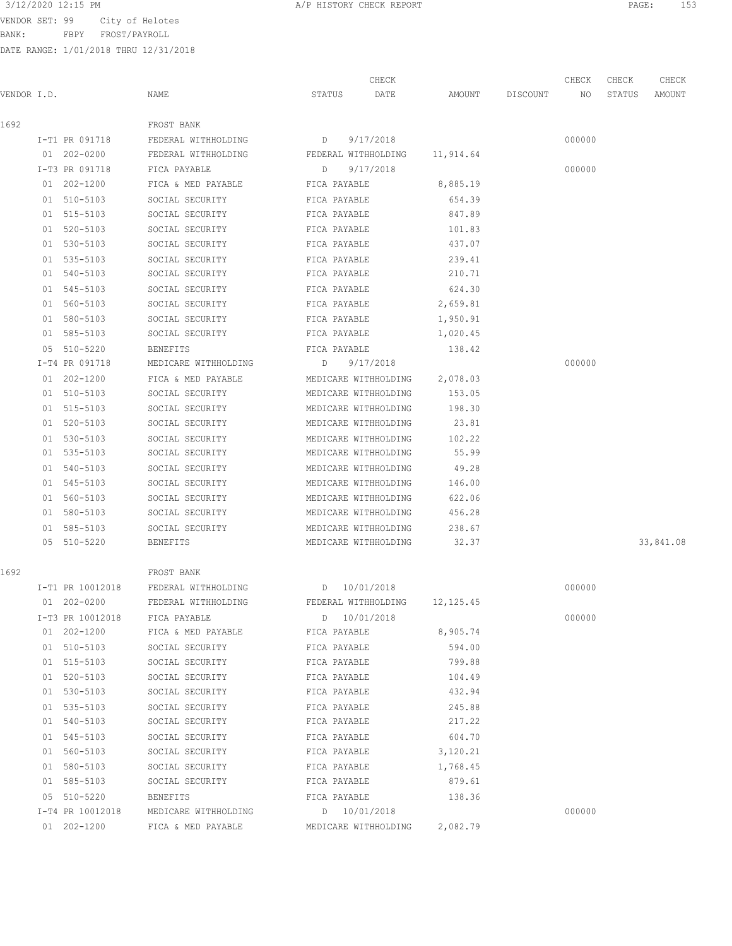BANK: FBPY FROST/PAYROLL

|             |                  |                                                              | CHECK                         |          |                    | CHECK  | CHECK  | CHECK     |
|-------------|------------------|--------------------------------------------------------------|-------------------------------|----------|--------------------|--------|--------|-----------|
| VENDOR I.D. |                  | NAME                                                         | STATUS<br>DATE                |          | AMOUNT DISCOUNT NO |        | STATUS | AMOUNT    |
| 1692        |                  | FROST BANK                                                   |                               |          |                    |        |        |           |
|             | I-T1 PR 091718   | FEDERAL WITHHOLDING                                          | D<br>9/17/2018                |          |                    | 000000 |        |           |
|             | 01 202-0200      | FEDERAL WITHHOLDING                                          | FEDERAL WITHHOLDING 11,914.64 |          |                    |        |        |           |
|             | I-T3 PR 091718   | FICA PAYABLE                                                 | 9/17/2018<br>D                |          |                    | 000000 |        |           |
|             | $01 202 - 1200$  | FICA & MED PAYABLE                                           | FICA PAYABLE                  | 8,885.19 |                    |        |        |           |
|             | 01 510-5103      | SOCIAL SECURITY                                              | FICA PAYABLE                  | 654.39   |                    |        |        |           |
|             | 01 515-5103      | SOCIAL SECURITY                                              | FICA PAYABLE                  | 847.89   |                    |        |        |           |
|             | 01 520-5103      | SOCIAL SECURITY                                              | FICA PAYABLE                  | 101.83   |                    |        |        |           |
|             | 01 530-5103      | SOCIAL SECURITY                                              | FICA PAYABLE                  | 437.07   |                    |        |        |           |
|             | 01 535-5103      | SOCIAL SECURITY                                              | FICA PAYABLE                  | 239.41   |                    |        |        |           |
|             | 01 540-5103      | SOCIAL SECURITY                                              | FICA PAYABLE                  | 210.71   |                    |        |        |           |
|             | 01 545-5103      | SOCIAL SECURITY                                              | FICA PAYABLE                  | 624.30   |                    |        |        |           |
|             | 01 560-5103      | SOCIAL SECURITY                                              | FICA PAYABLE                  | 2,659.81 |                    |        |        |           |
|             | 01 580-5103      | SOCIAL SECURITY                                              | FICA PAYABLE                  | 1,950.91 |                    |        |        |           |
|             | 01 585-5103      | SOCIAL SECURITY                                              | FICA PAYABLE                  | 1,020.45 |                    |        |        |           |
|             | 05 510-5220      | <b>BENEFITS</b>                                              | FICA PAYABLE                  | 138.42   |                    |        |        |           |
|             | I-T4 PR 091718   | MEDICARE WITHHOLDING                                         | D<br>9/17/2018                |          |                    | 000000 |        |           |
|             | $01 202 - 1200$  | FICA & MED PAYABLE                                           | MEDICARE WITHHOLDING          | 2,078.03 |                    |        |        |           |
|             | 01 510-5103      | SOCIAL SECURITY                                              | MEDICARE WITHHOLDING          | 153.05   |                    |        |        |           |
|             | 01 515-5103      | SOCIAL SECURITY                                              | MEDICARE WITHHOLDING          | 198.30   |                    |        |        |           |
|             | 01 520-5103      | SOCIAL SECURITY                                              | MEDICARE WITHHOLDING          | 23.81    |                    |        |        |           |
|             | 01 530-5103      | SOCIAL SECURITY                                              | MEDICARE WITHHOLDING          | 102.22   |                    |        |        |           |
|             | 01 535-5103      | SOCIAL SECURITY                                              | MEDICARE WITHHOLDING          | 55.99    |                    |        |        |           |
|             | 01 540-5103      | SOCIAL SECURITY                                              | MEDICARE WITHHOLDING          | 49.28    |                    |        |        |           |
|             | 01 545-5103      | SOCIAL SECURITY                                              | MEDICARE WITHHOLDING          | 146.00   |                    |        |        |           |
|             | 01 560-5103      | SOCIAL SECURITY                                              | MEDICARE WITHHOLDING          | 622.06   |                    |        |        |           |
|             | 01 580-5103      | SOCIAL SECURITY                                              | MEDICARE WITHHOLDING          | 456.28   |                    |        |        |           |
|             | 01 585-5103      | SOCIAL SECURITY                                              | MEDICARE WITHHOLDING          | 238.67   |                    |        |        |           |
|             | 05 510-5220      | BENEFITS                                                     | MEDICARE WITHHOLDING          | 32.37    |                    |        |        | 33,841.08 |
| 1692        |                  | FROST BANK                                                   |                               |          |                    |        |        |           |
|             | I-T1 PR 10012018 | FEDERAL WITHHOLDING                                          | D 10/01/2018                  |          |                    | 000000 |        |           |
|             | 01 202-0200      | FEDERAL WITHHOLDING FEDERAL WITHHOLDING 12,125.45            |                               |          |                    |        |        |           |
|             |                  | I-T3 PR 10012018 FICA PAYABLE                                | D 10/01/2018                  |          |                    | 000000 |        |           |
|             | 01 202-1200      | FICA & MED PAYABLE FICA PAYABLE                              |                               | 8,905.74 |                    |        |        |           |
|             | 01 510-5103      | SOCIAL SECURITY                                              | FICA PAYABLE                  | 594.00   |                    |        |        |           |
|             | 01 515-5103      | SOCIAL SECURITY FICA PAYABLE                                 |                               | 799.88   |                    |        |        |           |
|             | 01 520-5103      | SOCIAL SECURITY FICA PAYABLE 104.49                          |                               |          |                    |        |        |           |
|             | 01 530-5103      | SOCIAL SECURITY FICA PAYABLE 432.94                          |                               |          |                    |        |        |           |
|             | 01 535-5103      | SOCIAL SECURITY FICA PAYABLE 245.88                          |                               |          |                    |        |        |           |
|             | 01 540-5103      | SOCIAL SECURITY FICA PAYABLE 217.22                          |                               |          |                    |        |        |           |
|             | 01 545-5103      | SOCIAL SECURITY FICA PAYABLE 604.70                          |                               |          |                    |        |        |           |
|             | 01 560-5103      | SOCIAL SECURITY FICA PAYABLE                                 |                               | 3,120.21 |                    |        |        |           |
|             | 01 580-5103      | SOCIAL SECURITY                                              | FICA PAYABLE                  | 1,768.45 |                    |        |        |           |
|             | 01 585-5103      | SOCIAL SECURITY                                              | FICA PAYABLE                  | 879.61   |                    |        |        |           |
|             | 05 510-5220      | BENEFITS                                                     | FICA PAYABLE                  | 138.36   |                    |        |        |           |
|             |                  | I-T4 PR 10012018 MEDICARE WITHHOLDING                        | D 10/01/2018                  |          |                    | 000000 |        |           |
|             |                  | 01 202-1200 FICA & MED PAYABLE MEDICARE WITHHOLDING 2,082.79 |                               |          |                    |        |        |           |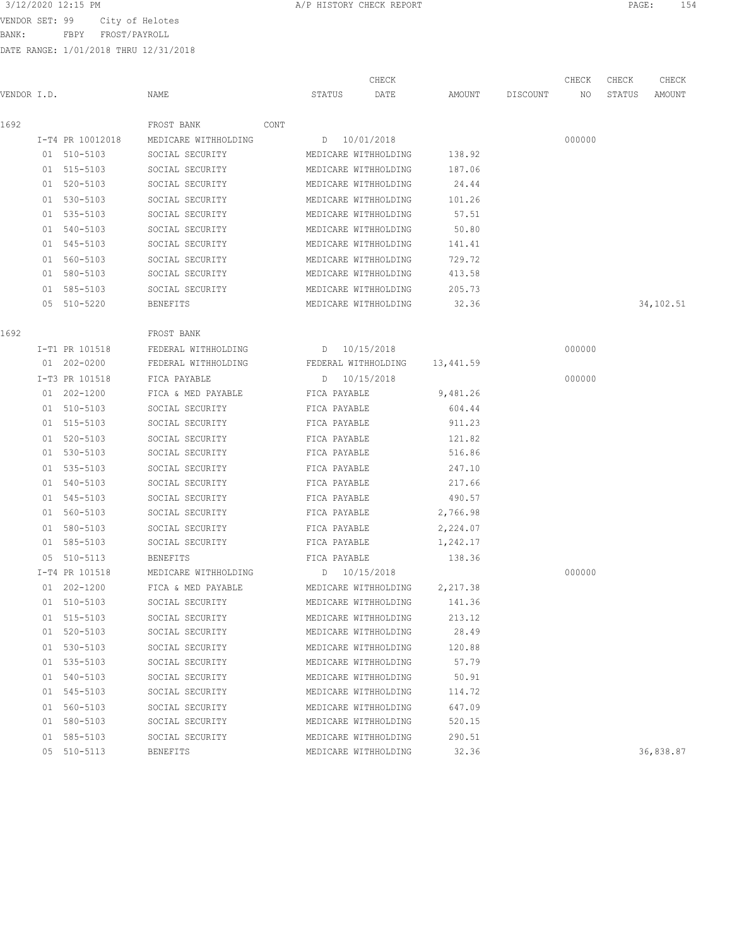BANK: FBPY FROST/PAYROLL

| 3/12/2020 12:15 PM<br>PAGE<br>A/P HISTORY CHECK REPORT |  |
|--------------------------------------------------------|--|
|--------------------------------------------------------|--|

| VENDOR I.D. |                  | NAME                 | STATUS       | CHECK<br>DATE               | AMOUNT    | DISCOUNT | CHECK<br>NO | CHECK<br>STATUS | CHECK<br>AMOUNT |
|-------------|------------------|----------------------|--------------|-----------------------------|-----------|----------|-------------|-----------------|-----------------|
|             |                  |                      |              |                             |           |          |             |                 |                 |
| 1692        |                  | FROST BANK<br>CONT   |              |                             |           |          |             |                 |                 |
|             | I-T4 PR 10012018 | MEDICARE WITHHOLDING |              | D 10/01/2018                |           |          | 000000      |                 |                 |
|             | 01 510-5103      | SOCIAL SECURITY      |              | MEDICARE WITHHOLDING        | 138.92    |          |             |                 |                 |
|             | 01 515-5103      | SOCIAL SECURITY      |              | MEDICARE WITHHOLDING        | 187.06    |          |             |                 |                 |
|             | 01 520-5103      | SOCIAL SECURITY      |              | MEDICARE WITHHOLDING        | 24.44     |          |             |                 |                 |
|             | 01 530-5103      | SOCIAL SECURITY      |              | MEDICARE WITHHOLDING        | 101.26    |          |             |                 |                 |
|             | 01 535-5103      | SOCIAL SECURITY      |              | MEDICARE WITHHOLDING        | 57.51     |          |             |                 |                 |
|             | 01 540-5103      | SOCIAL SECURITY      |              | MEDICARE WITHHOLDING        | 50.80     |          |             |                 |                 |
|             | 01 545-5103      | SOCIAL SECURITY      |              | MEDICARE WITHHOLDING        | 141.41    |          |             |                 |                 |
|             | 01 560-5103      | SOCIAL SECURITY      |              | MEDICARE WITHHOLDING        | 729.72    |          |             |                 |                 |
|             | 01 580-5103      | SOCIAL SECURITY      |              | MEDICARE WITHHOLDING        | 413.58    |          |             |                 |                 |
|             | 01 585-5103      | SOCIAL SECURITY      |              | MEDICARE WITHHOLDING        | 205.73    |          |             |                 |                 |
|             | 05 510-5220      | BENEFITS             |              | MEDICARE WITHHOLDING        | 32.36     |          |             |                 | 34,102.51       |
| 1692        |                  | FROST BANK           |              |                             |           |          |             |                 |                 |
|             | I-T1 PR 101518   | FEDERAL WITHHOLDING  |              | D 10/15/2018                |           |          | 000000      |                 |                 |
|             | 01 202-0200      | FEDERAL WITHHOLDING  |              | FEDERAL WITHHOLDING         | 13,441.59 |          |             |                 |                 |
|             | I-T3 PR 101518   | FICA PAYABLE         |              | D 10/15/2018                |           |          | 000000      |                 |                 |
|             | 01 202-1200      | FICA & MED PAYABLE   | FICA PAYABLE |                             | 9,481.26  |          |             |                 |                 |
|             | 01 510-5103      | SOCIAL SECURITY      | FICA PAYABLE |                             | 604.44    |          |             |                 |                 |
|             | 01 515-5103      | SOCIAL SECURITY      | FICA PAYABLE |                             | 911.23    |          |             |                 |                 |
|             | 01 520-5103      | SOCIAL SECURITY      | FICA PAYABLE |                             | 121.82    |          |             |                 |                 |
|             | 01 530-5103      | SOCIAL SECURITY      | FICA PAYABLE |                             | 516.86    |          |             |                 |                 |
|             | 01 535-5103      | SOCIAL SECURITY      | FICA PAYABLE |                             | 247.10    |          |             |                 |                 |
|             | 01 540-5103      | SOCIAL SECURITY      | FICA PAYABLE |                             | 217.66    |          |             |                 |                 |
|             | 01 545-5103      | SOCIAL SECURITY      | FICA PAYABLE |                             | 490.57    |          |             |                 |                 |
|             | 01 560-5103      | SOCIAL SECURITY      | FICA PAYABLE |                             | 2,766.98  |          |             |                 |                 |
|             | 01 580-5103      | SOCIAL SECURITY      | FICA PAYABLE |                             | 2,224.07  |          |             |                 |                 |
|             | 01 585-5103      | SOCIAL SECURITY      | FICA PAYABLE |                             | 1,242.17  |          |             |                 |                 |
|             | 05 510-5113      | <b>BENEFITS</b>      | FICA PAYABLE |                             | 138.36    |          |             |                 |                 |
|             | I-T4 PR 101518   | MEDICARE WITHHOLDING | D 10/15/2018 |                             |           |          | 000000      |                 |                 |
|             | 01 202-1200      | FICA & MED PAYABLE   |              | MEDICARE WITHHOLDING        | 2,217.38  |          |             |                 |                 |
|             | 01 510-5103      | SOCIAL SECURITY      |              | MEDICARE WITHHOLDING 141.36 |           |          |             |                 |                 |
|             | 01 515-5103      | SOCIAL SECURITY      |              | MEDICARE WITHHOLDING        | 213.12    |          |             |                 |                 |
|             | 01 520-5103      | SOCIAL SECURITY      |              | MEDICARE WITHHOLDING        | 28.49     |          |             |                 |                 |
|             | 01 530-5103      | SOCIAL SECURITY      |              | MEDICARE WITHHOLDING        | 120.88    |          |             |                 |                 |
|             | 01 535-5103      | SOCIAL SECURITY      |              | MEDICARE WITHHOLDING        | 57.79     |          |             |                 |                 |
|             | 01 540-5103      | SOCIAL SECURITY      |              | MEDICARE WITHHOLDING        | 50.91     |          |             |                 |                 |
|             | 01 545-5103      | SOCIAL SECURITY      |              | MEDICARE WITHHOLDING        | 114.72    |          |             |                 |                 |
|             | 01 560-5103      | SOCIAL SECURITY      |              | MEDICARE WITHHOLDING        | 647.09    |          |             |                 |                 |
|             | 01 580-5103      | SOCIAL SECURITY      |              | MEDICARE WITHHOLDING        | 520.15    |          |             |                 |                 |
|             | 01 585-5103      | SOCIAL SECURITY      |              | MEDICARE WITHHOLDING        | 290.51    |          |             |                 |                 |
|             | 05 510-5113      | BENEFITS             |              | MEDICARE WITHHOLDING        | 32.36     |          |             |                 | 36,838.87       |
|             |                  |                      |              |                             |           |          |             |                 |                 |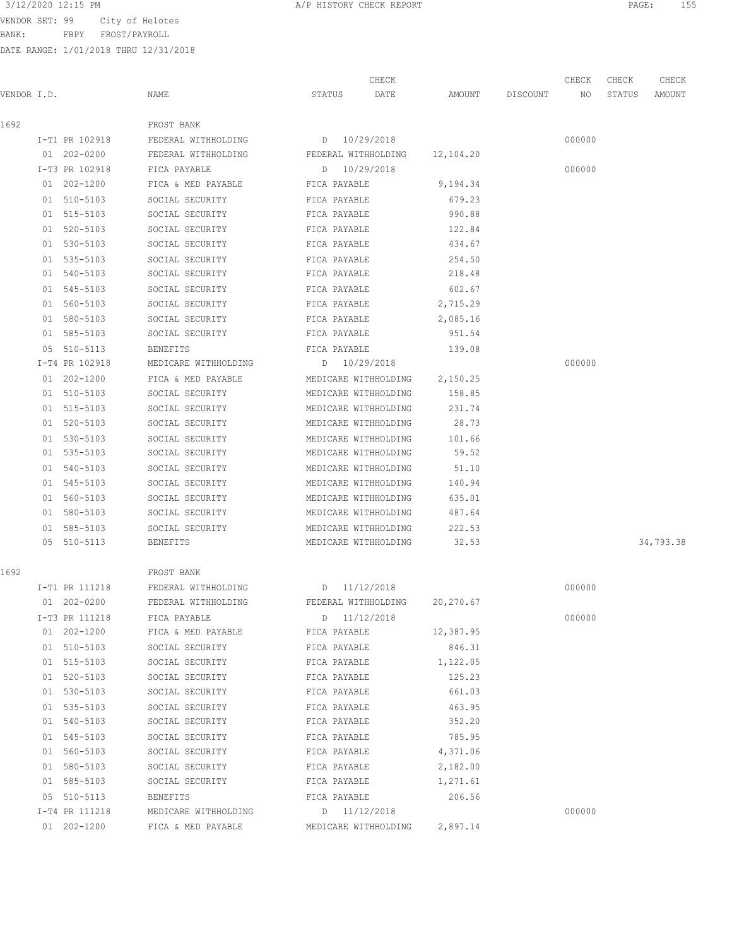BANK: FBPY FROST/PAYROLL

|             |                |                      |                      | CHECK |           |          | CHECK  | CHECK  | CHECK     |
|-------------|----------------|----------------------|----------------------|-------|-----------|----------|--------|--------|-----------|
| VENDOR I.D. |                | NAME                 | STATUS               | DATE  | AMOUNT    | DISCOUNT | NO     | STATUS | AMOUNT    |
| 1692        |                | FROST BANK           |                      |       |           |          |        |        |           |
|             | I-T1 PR 102918 | FEDERAL WITHHOLDING  | D 10/29/2018         |       |           |          | 000000 |        |           |
|             | 01 202-0200    | FEDERAL WITHHOLDING  | FEDERAL WITHHOLDING  |       | 12,104.20 |          |        |        |           |
|             | I-T3 PR 102918 | FICA PAYABLE         | D 10/29/2018         |       |           |          | 000000 |        |           |
|             | 01 202-1200    | FICA & MED PAYABLE   | FICA PAYABLE         |       | 9,194.34  |          |        |        |           |
|             | 01 510-5103    | SOCIAL SECURITY      | FICA PAYABLE         |       | 679.23    |          |        |        |           |
|             | 01 515-5103    | SOCIAL SECURITY      | FICA PAYABLE         |       | 990.88    |          |        |        |           |
|             | 01 520-5103    | SOCIAL SECURITY      | FICA PAYABLE         |       | 122.84    |          |        |        |           |
|             | 01 530-5103    | SOCIAL SECURITY      | FICA PAYABLE         |       | 434.67    |          |        |        |           |
|             | 01 535-5103    | SOCIAL SECURITY      | FICA PAYABLE         |       | 254.50    |          |        |        |           |
|             | 01 540-5103    | SOCIAL SECURITY      | FICA PAYABLE         |       | 218.48    |          |        |        |           |
|             | 01 545-5103    | SOCIAL SECURITY      | FICA PAYABLE         |       | 602.67    |          |        |        |           |
|             | 01 560-5103    | SOCIAL SECURITY      | FICA PAYABLE         |       | 2,715.29  |          |        |        |           |
|             | 01 580-5103    | SOCIAL SECURITY      | FICA PAYABLE         |       | 2,085.16  |          |        |        |           |
|             | 01 585-5103    | SOCIAL SECURITY      | FICA PAYABLE         |       | 951.54    |          |        |        |           |
|             | 05 510-5113    | <b>BENEFITS</b>      | FICA PAYABLE         |       | 139.08    |          |        |        |           |
|             | I-T4 PR 102918 | MEDICARE WITHHOLDING | D 10/29/2018         |       |           |          | 000000 |        |           |
|             | 01 202-1200    | FICA & MED PAYABLE   | MEDICARE WITHHOLDING |       | 2,150.25  |          |        |        |           |
|             | 01 510-5103    | SOCIAL SECURITY      | MEDICARE WITHHOLDING |       | 158.85    |          |        |        |           |
|             | 01 515-5103    | SOCIAL SECURITY      | MEDICARE WITHHOLDING |       | 231.74    |          |        |        |           |
|             | 01 520-5103    | SOCIAL SECURITY      | MEDICARE WITHHOLDING |       | 28.73     |          |        |        |           |
|             | 01 530-5103    | SOCIAL SECURITY      | MEDICARE WITHHOLDING |       | 101.66    |          |        |        |           |
|             | 01 535-5103    | SOCIAL SECURITY      | MEDICARE WITHHOLDING |       | 59.52     |          |        |        |           |
|             | 01 540-5103    | SOCIAL SECURITY      | MEDICARE WITHHOLDING |       | 51.10     |          |        |        |           |
|             | 01 545-5103    | SOCIAL SECURITY      | MEDICARE WITHHOLDING |       | 140.94    |          |        |        |           |
|             | 01 560-5103    | SOCIAL SECURITY      | MEDICARE WITHHOLDING |       | 635.01    |          |        |        |           |
|             | 01 580-5103    | SOCIAL SECURITY      | MEDICARE WITHHOLDING |       | 487.64    |          |        |        |           |
|             | 01 585-5103    | SOCIAL SECURITY      | MEDICARE WITHHOLDING |       | 222.53    |          |        |        |           |
|             | 05 510-5113    | <b>BENEFITS</b>      | MEDICARE WITHHOLDING |       | 32.53     |          |        |        | 34,793.38 |
| 1692        |                | FROST BANK           |                      |       |           |          |        |        |           |
|             | I-T1 PR 111218 | FEDERAL WITHHOLDING  | D 11/12/2018         |       |           |          | 000000 |        |           |
|             | 01 202-0200    | FEDERAL WITHHOLDING  | FEDERAL WITHHOLDING  |       | 20,270.67 |          |        |        |           |
|             | I-T3 PR 111218 | FICA PAYABLE         | D 11/12/2018         |       |           |          | 000000 |        |           |
|             | 01 202-1200    | FICA & MED PAYABLE   | FICA PAYABLE         |       | 12,387.95 |          |        |        |           |
|             | 01 510-5103    | SOCIAL SECURITY      | FICA PAYABLE         |       | 846.31    |          |        |        |           |
|             | 01 515-5103    | SOCIAL SECURITY      | FICA PAYABLE         |       | 1,122.05  |          |        |        |           |
|             | 01 520-5103    | SOCIAL SECURITY      | FICA PAYABLE         |       | 125.23    |          |        |        |           |
|             | 01 530-5103    | SOCIAL SECURITY      | FICA PAYABLE         |       | 661.03    |          |        |        |           |
|             | 01 535-5103    | SOCIAL SECURITY      | FICA PAYABLE         |       | 463.95    |          |        |        |           |
|             | 01 540-5103    | SOCIAL SECURITY      | FICA PAYABLE         |       | 352.20    |          |        |        |           |
|             | 01 545-5103    | SOCIAL SECURITY      | FICA PAYABLE         |       | 785.95    |          |        |        |           |
|             | 01 560-5103    | SOCIAL SECURITY      | FICA PAYABLE         |       | 4,371.06  |          |        |        |           |
|             | 01 580-5103    | SOCIAL SECURITY      | FICA PAYABLE         |       | 2,182.00  |          |        |        |           |
|             | 01 585-5103    | SOCIAL SECURITY      | FICA PAYABLE         |       | 1,271.61  |          |        |        |           |
|             | 05 510-5113    | BENEFITS             | FICA PAYABLE         |       | 206.56    |          |        |        |           |
|             | I-T4 PR 111218 | MEDICARE WITHHOLDING | D 11/12/2018         |       |           |          | 000000 |        |           |
|             | 01 202-1200    | FICA & MED PAYABLE   | MEDICARE WITHHOLDING |       | 2,897.14  |          |        |        |           |
|             |                |                      |                      |       |           |          |        |        |           |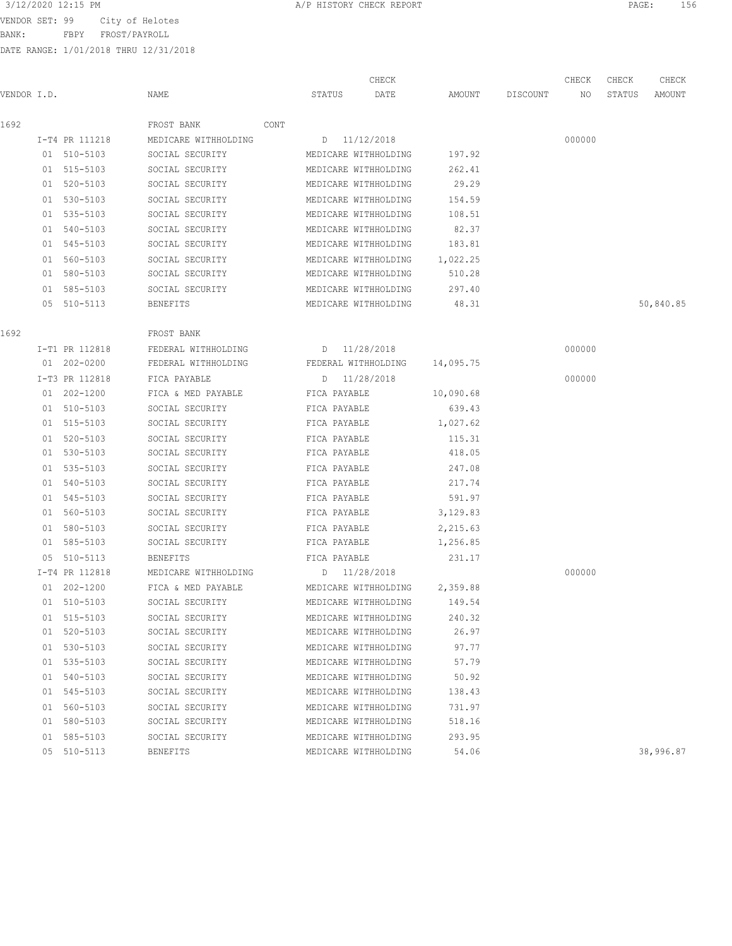BANK: FBPY FROST/PAYROLL

|             |                 |                      |      |              | CHECK                |           |          | CHECK  | CHECK  | CHECK     |
|-------------|-----------------|----------------------|------|--------------|----------------------|-----------|----------|--------|--------|-----------|
| VENDOR I.D. |                 | NAME                 |      | STATUS       | DATE                 | AMOUNT    | DISCOUNT | NO     | STATUS | AMOUNT    |
| 1692        |                 | FROST BANK           | CONT |              |                      |           |          |        |        |           |
|             | I-T4 PR 111218  | MEDICARE WITHHOLDING |      |              | D 11/12/2018         |           |          | 000000 |        |           |
|             | 01 510-5103     | SOCIAL SECURITY      |      |              | MEDICARE WITHHOLDING | 197.92    |          |        |        |           |
|             | 01 515-5103     | SOCIAL SECURITY      |      |              | MEDICARE WITHHOLDING | 262.41    |          |        |        |           |
|             | 01 520-5103     | SOCIAL SECURITY      |      |              | MEDICARE WITHHOLDING | 29.29     |          |        |        |           |
|             | 01 530-5103     | SOCIAL SECURITY      |      |              | MEDICARE WITHHOLDING | 154.59    |          |        |        |           |
|             | 01 535-5103     | SOCIAL SECURITY      |      |              | MEDICARE WITHHOLDING | 108.51    |          |        |        |           |
|             | 01 540-5103     | SOCIAL SECURITY      |      |              | MEDICARE WITHHOLDING | 82.37     |          |        |        |           |
|             | 01 545-5103     | SOCIAL SECURITY      |      |              | MEDICARE WITHHOLDING | 183.81    |          |        |        |           |
|             | 01 560-5103     | SOCIAL SECURITY      |      |              | MEDICARE WITHHOLDING | 1,022.25  |          |        |        |           |
|             | 01 580-5103     | SOCIAL SECURITY      |      |              | MEDICARE WITHHOLDING | 510.28    |          |        |        |           |
|             | 01 585-5103     | SOCIAL SECURITY      |      |              | MEDICARE WITHHOLDING | 297.40    |          |        |        |           |
|             | 05 510-5113     | <b>BENEFITS</b>      |      |              | MEDICARE WITHHOLDING | 48.31     |          |        |        | 50,840.85 |
| 1692        |                 | FROST BANK           |      |              |                      |           |          |        |        |           |
|             | I-T1 PR 112818  | FEDERAL WITHHOLDING  |      | D 11/28/2018 |                      |           |          | 000000 |        |           |
|             | 01 202-0200     | FEDERAL WITHHOLDING  |      |              | FEDERAL WITHHOLDING  | 14,095.75 |          |        |        |           |
|             | I-T3 PR 112818  | FICA PAYABLE         |      |              | D 11/28/2018         |           |          | 000000 |        |           |
|             | $01 202 - 1200$ | FICA & MED PAYABLE   |      | FICA PAYABLE |                      | 10,090.68 |          |        |        |           |
|             | 01 510-5103     | SOCIAL SECURITY      |      | FICA PAYABLE |                      | 639.43    |          |        |        |           |
|             | 01 515-5103     | SOCIAL SECURITY      |      | FICA PAYABLE |                      | 1,027.62  |          |        |        |           |
|             | 01 520-5103     | SOCIAL SECURITY      |      | FICA PAYABLE |                      | 115.31    |          |        |        |           |
|             | 01 530-5103     | SOCIAL SECURITY      |      | FICA PAYABLE |                      | 418.05    |          |        |        |           |
|             | 01 535-5103     | SOCIAL SECURITY      |      | FICA PAYABLE |                      | 247.08    |          |        |        |           |
|             | 01 540-5103     | SOCIAL SECURITY      |      | FICA PAYABLE |                      | 217.74    |          |        |        |           |
|             | 01 545-5103     | SOCIAL SECURITY      |      | FICA PAYABLE |                      | 591.97    |          |        |        |           |
|             | 01 560-5103     | SOCIAL SECURITY      |      | FICA PAYABLE |                      | 3,129.83  |          |        |        |           |
|             | 01 580-5103     | SOCIAL SECURITY      |      | FICA PAYABLE |                      | 2,215.63  |          |        |        |           |
|             | 01 585-5103     | SOCIAL SECURITY      |      | FICA PAYABLE |                      | 1,256.85  |          |        |        |           |
|             | 05 510-5113     | <b>BENEFITS</b>      |      | FICA PAYABLE |                      | 231.17    |          |        |        |           |
|             | I-T4 PR 112818  | MEDICARE WITHHOLDING |      | D 11/28/2018 |                      |           |          | 000000 |        |           |
|             | $01 202 - 1200$ | FICA & MED PAYABLE   |      |              | MEDICARE WITHHOLDING | 2,359.88  |          |        |        |           |
|             | 01 510-5103     | SOCIAL SECURITY      |      |              | MEDICARE WITHHOLDING | 149.54    |          |        |        |           |
|             | 01 515-5103     | SOCIAL SECURITY      |      |              | MEDICARE WITHHOLDING | 240.32    |          |        |        |           |
|             | 01 520-5103     | SOCIAL SECURITY      |      |              | MEDICARE WITHHOLDING | 26.97     |          |        |        |           |
|             | 01 530-5103     | SOCIAL SECURITY      |      |              | MEDICARE WITHHOLDING | 97.77     |          |        |        |           |
|             | 01 535-5103     | SOCIAL SECURITY      |      |              | MEDICARE WITHHOLDING | 57.79     |          |        |        |           |
|             | 01 540-5103     | SOCIAL SECURITY      |      |              | MEDICARE WITHHOLDING | 50.92     |          |        |        |           |
|             | 01 545-5103     | SOCIAL SECURITY      |      |              | MEDICARE WITHHOLDING | 138.43    |          |        |        |           |
|             | 01 560-5103     | SOCIAL SECURITY      |      |              | MEDICARE WITHHOLDING | 731.97    |          |        |        |           |
|             | 01 580-5103     | SOCIAL SECURITY      |      |              | MEDICARE WITHHOLDING | 518.16    |          |        |        |           |
|             | 01 585-5103     | SOCIAL SECURITY      |      |              | MEDICARE WITHHOLDING | 293.95    |          |        |        |           |
|             | 05 510-5113     | <b>BENEFITS</b>      |      |              | MEDICARE WITHHOLDING | 54.06     |          |        |        | 38,996.87 |
|             |                 |                      |      |              |                      |           |          |        |        |           |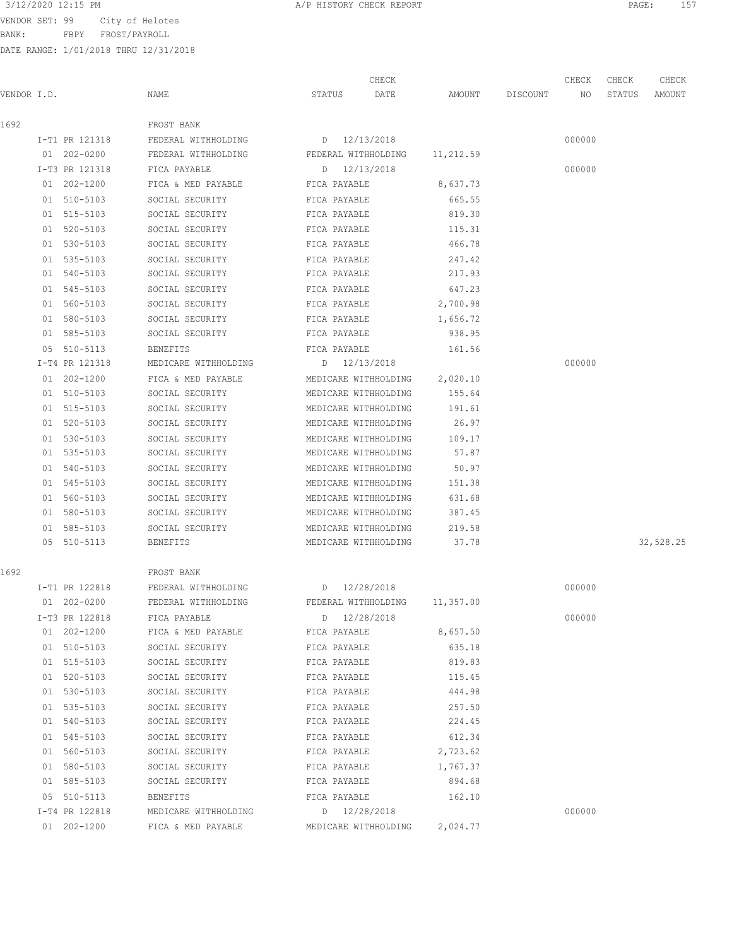BANK: FBPY FROST/PAYROLL

|             |                 |                      |                      | CHECK |           |                 | CHECK  | CHECK  | CHECK     |
|-------------|-----------------|----------------------|----------------------|-------|-----------|-----------------|--------|--------|-----------|
| VENDOR I.D. |                 | NAME                 | STATUS               | DATE  |           | AMOUNT DISCOUNT | NO     | STATUS | AMOUNT    |
| 1692        |                 | FROST BANK           |                      |       |           |                 |        |        |           |
|             | I-T1 PR 121318  | FEDERAL WITHHOLDING  | D 12/13/2018         |       |           |                 | 000000 |        |           |
|             | 01 202-0200     | FEDERAL WITHHOLDING  | FEDERAL WITHHOLDING  |       | 11,212.59 |                 |        |        |           |
|             | I-T3 PR 121318  | FICA PAYABLE         | D 12/13/2018         |       |           |                 | 000000 |        |           |
|             | 01 202-1200     | FICA & MED PAYABLE   | FICA PAYABLE         |       | 8,637.73  |                 |        |        |           |
|             | 01 510-5103     | SOCIAL SECURITY      | FICA PAYABLE         |       | 665.55    |                 |        |        |           |
|             | 01 515-5103     | SOCIAL SECURITY      | FICA PAYABLE         |       | 819.30    |                 |        |        |           |
|             | 01 520-5103     | SOCIAL SECURITY      | FICA PAYABLE         |       | 115.31    |                 |        |        |           |
|             | 01 530-5103     | SOCIAL SECURITY      | FICA PAYABLE         |       | 466.78    |                 |        |        |           |
|             | 01 535-5103     | SOCIAL SECURITY      | FICA PAYABLE         |       | 247.42    |                 |        |        |           |
|             | 01 540-5103     | SOCIAL SECURITY      | FICA PAYABLE         |       | 217.93    |                 |        |        |           |
|             | 01 545-5103     | SOCIAL SECURITY      | FICA PAYABLE         |       | 647.23    |                 |        |        |           |
|             | 01 560-5103     | SOCIAL SECURITY      | FICA PAYABLE         |       | 2,700.98  |                 |        |        |           |
|             | 01 580-5103     | SOCIAL SECURITY      | FICA PAYABLE         |       | 1,656.72  |                 |        |        |           |
|             | 01 585-5103     | SOCIAL SECURITY      | FICA PAYABLE         |       | 938.95    |                 |        |        |           |
|             | 05 510-5113     | <b>BENEFITS</b>      | FICA PAYABLE         |       | 161.56    |                 |        |        |           |
|             | I-T4 PR 121318  | MEDICARE WITHHOLDING | D 12/13/2018         |       |           |                 | 000000 |        |           |
|             | 01 202-1200     | FICA & MED PAYABLE   | MEDICARE WITHHOLDING |       | 2,020.10  |                 |        |        |           |
|             | 01 510-5103     | SOCIAL SECURITY      | MEDICARE WITHHOLDING |       | 155.64    |                 |        |        |           |
|             | 01 515-5103     | SOCIAL SECURITY      | MEDICARE WITHHOLDING |       | 191.61    |                 |        |        |           |
|             | 01 520-5103     | SOCIAL SECURITY      | MEDICARE WITHHOLDING |       | 26.97     |                 |        |        |           |
|             | 01 530-5103     | SOCIAL SECURITY      | MEDICARE WITHHOLDING |       | 109.17    |                 |        |        |           |
|             | 01 535-5103     | SOCIAL SECURITY      | MEDICARE WITHHOLDING |       | 57.87     |                 |        |        |           |
|             | 01 540-5103     | SOCIAL SECURITY      | MEDICARE WITHHOLDING |       | 50.97     |                 |        |        |           |
|             | 01 545-5103     | SOCIAL SECURITY      | MEDICARE WITHHOLDING |       | 151.38    |                 |        |        |           |
|             | 01 560-5103     | SOCIAL SECURITY      | MEDICARE WITHHOLDING |       | 631.68    |                 |        |        |           |
|             | 01 580-5103     | SOCIAL SECURITY      | MEDICARE WITHHOLDING |       | 387.45    |                 |        |        |           |
|             | 01 585-5103     | SOCIAL SECURITY      | MEDICARE WITHHOLDING |       | 219.58    |                 |        |        |           |
|             | 05 510-5113     | BENEFITS             | MEDICARE WITHHOLDING |       | 37.78     |                 |        |        | 32,528.25 |
| 1692        |                 | FROST BANK           |                      |       |           |                 |        |        |           |
|             | I-T1 PR 122818  | FEDERAL WITHHOLDING  | D 12/28/2018         |       |           |                 | 000000 |        |           |
|             | $01 202 - 0200$ | FEDERAL WITHHOLDING  | FEDERAL WITHHOLDING  |       | 11,357.00 |                 |        |        |           |
|             | I-T3 PR 122818  | FICA PAYABLE         | D 12/28/2018         |       |           |                 | 000000 |        |           |
|             | 01 202-1200     | FICA & MED PAYABLE   | FICA PAYABLE         |       | 8,657.50  |                 |        |        |           |
|             | 01 510-5103     | SOCIAL SECURITY      | FICA PAYABLE         |       | 635.18    |                 |        |        |           |
|             | 01 515-5103     | SOCIAL SECURITY      | FICA PAYABLE         |       | 819.83    |                 |        |        |           |
|             | 01 520-5103     | SOCIAL SECURITY      | FICA PAYABLE         |       | 115.45    |                 |        |        |           |
|             | 01 530-5103     | SOCIAL SECURITY      | FICA PAYABLE         |       | 444.98    |                 |        |        |           |
|             | 01 535-5103     | SOCIAL SECURITY      | FICA PAYABLE         |       | 257.50    |                 |        |        |           |
|             | 01 540-5103     | SOCIAL SECURITY      | FICA PAYABLE         |       | 224.45    |                 |        |        |           |
|             | 01 545-5103     | SOCIAL SECURITY      | FICA PAYABLE         |       | 612.34    |                 |        |        |           |
|             | 01 560-5103     | SOCIAL SECURITY      | FICA PAYABLE         |       | 2,723.62  |                 |        |        |           |
|             | 01 580-5103     | SOCIAL SECURITY      | FICA PAYABLE         |       | 1,767.37  |                 |        |        |           |
|             | 01 585-5103     | SOCIAL SECURITY      | FICA PAYABLE         |       | 894.68    |                 |        |        |           |
|             | 05 510-5113     | BENEFITS             | FICA PAYABLE         |       | 162.10    |                 |        |        |           |
|             | I-T4 PR 122818  | MEDICARE WITHHOLDING | D 12/28/2018         |       |           |                 | 000000 |        |           |
|             | 01 202-1200     | FICA & MED PAYABLE   | MEDICARE WITHHOLDING |       | 2,024.77  |                 |        |        |           |
|             |                 |                      |                      |       |           |                 |        |        |           |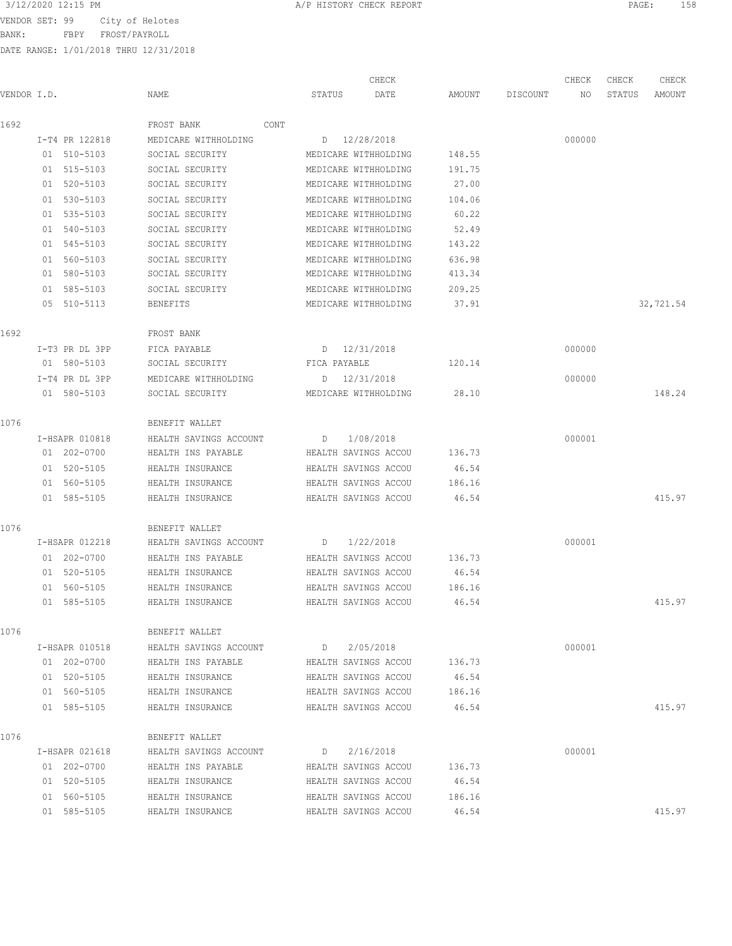VENDOR SET: 99 City of Helotes

BANK: FBPY FROST/PAYROLL

|             |                |                        |      |                   | CHECK                |        |          | CHECK  | CHECK  | CHECK     |
|-------------|----------------|------------------------|------|-------------------|----------------------|--------|----------|--------|--------|-----------|
| VENDOR I.D. |                | NAME                   |      | STATUS            | DATE                 | AMOUNT | DISCOUNT | NO     | STATUS | AMOUNT    |
| 1692        |                | FROST BANK             | CONT |                   |                      |        |          |        |        |           |
|             | I-T4 PR 122818 | MEDICARE WITHHOLDING   |      |                   | D 12/28/2018         |        |          | 000000 |        |           |
|             | 01 510-5103    | SOCIAL SECURITY        |      |                   | MEDICARE WITHHOLDING | 148.55 |          |        |        |           |
|             | 01 515-5103    | SOCIAL SECURITY        |      |                   | MEDICARE WITHHOLDING | 191.75 |          |        |        |           |
|             | 01 520-5103    | SOCIAL SECURITY        |      |                   | MEDICARE WITHHOLDING | 27.00  |          |        |        |           |
|             | 01 530-5103    | SOCIAL SECURITY        |      |                   | MEDICARE WITHHOLDING | 104.06 |          |        |        |           |
|             | 01 535-5103    | SOCIAL SECURITY        |      |                   | MEDICARE WITHHOLDING | 60.22  |          |        |        |           |
|             | 01 540-5103    | SOCIAL SECURITY        |      |                   | MEDICARE WITHHOLDING | 52.49  |          |        |        |           |
|             | 01 545-5103    | SOCIAL SECURITY        |      |                   | MEDICARE WITHHOLDING | 143.22 |          |        |        |           |
|             | 01 560-5103    | SOCIAL SECURITY        |      |                   | MEDICARE WITHHOLDING | 636.98 |          |        |        |           |
|             | 01 580-5103    | SOCIAL SECURITY        |      |                   | MEDICARE WITHHOLDING | 413.34 |          |        |        |           |
|             | 01 585-5103    | SOCIAL SECURITY        |      |                   | MEDICARE WITHHOLDING | 209.25 |          |        |        |           |
|             | 05 510-5113    | BENEFITS               |      |                   | MEDICARE WITHHOLDING | 37.91  |          |        |        | 32,721.54 |
| 1692        |                | FROST BANK             |      |                   |                      |        |          |        |        |           |
|             | I-T3 PR DL 3PP | FICA PAYABLE           |      |                   | D 12/31/2018         |        |          | 000000 |        |           |
|             | 01 580-5103    | SOCIAL SECURITY        |      |                   | FICA PAYABLE         | 120.14 |          |        |        |           |
|             | I-T4 PR DL 3PP | MEDICARE WITHHOLDING   |      |                   | D 12/31/2018         |        |          | 000000 |        |           |
|             | 01 580-5103    | SOCIAL SECURITY        |      |                   | MEDICARE WITHHOLDING | 28.10  |          |        |        | 148.24    |
| 1076        |                | BENEFIT WALLET         |      |                   |                      |        |          |        |        |           |
|             | I-HSAPR 010818 | HEALTH SAVINGS ACCOUNT |      | D                 | 1/08/2018            |        |          | 000001 |        |           |
|             | 01 202-0700    | HEALTH INS PAYABLE     |      |                   | HEALTH SAVINGS ACCOU | 136.73 |          |        |        |           |
|             | 01 520-5105    | HEALTH INSURANCE       |      |                   | HEALTH SAVINGS ACCOU | 46.54  |          |        |        |           |
|             | 01 560-5105    | HEALTH INSURANCE       |      |                   | HEALTH SAVINGS ACCOU | 186.16 |          |        |        |           |
|             | 01 585-5105    | HEALTH INSURANCE       |      |                   | HEALTH SAVINGS ACCOU | 46.54  |          |        |        | 415.97    |
| 1076        |                | BENEFIT WALLET         |      |                   |                      |        |          |        |        |           |
|             | I-HSAPR 012218 | HEALTH SAVINGS ACCOUNT |      | D                 | 1/22/2018            |        |          | 000001 |        |           |
|             | 01 202-0700    | HEALTH INS PAYABLE     |      |                   | HEALTH SAVINGS ACCOU | 136.73 |          |        |        |           |
|             | 01 520-5105    | HEALTH INSURANCE       |      |                   | HEALTH SAVINGS ACCOU | 46.54  |          |        |        |           |
|             | 01 560-5105    | HEALTH INSURANCE       |      |                   | HEALTH SAVINGS ACCOU | 186.16 |          |        |        |           |
|             | 01 585-5105    | HEALTH INSURANCE       |      |                   | HEALTH SAVINGS ACCOU | 46.54  |          |        |        | 415.97    |
| 1076        |                | BENEFIT WALLET         |      |                   |                      |        |          |        |        |           |
|             | I-HSAPR 010518 | HEALTH SAVINGS ACCOUNT |      |                   | D 2/05/2018          |        |          | 000001 |        |           |
|             | 01 202-0700    | HEALTH INS PAYABLE     |      |                   | HEALTH SAVINGS ACCOU | 136.73 |          |        |        |           |
|             | 01 520-5105    | HEALTH INSURANCE       |      |                   | HEALTH SAVINGS ACCOU | 46.54  |          |        |        |           |
|             | 01 560-5105    | HEALTH INSURANCE       |      |                   | HEALTH SAVINGS ACCOU | 186.16 |          |        |        |           |
|             | 01 585-5105    | HEALTH INSURANCE       |      |                   | HEALTH SAVINGS ACCOU | 46.54  |          |        |        | 415.97    |
| 1076        |                | BENEFIT WALLET         |      |                   |                      |        |          |        |        |           |
|             | I-HSAPR 021618 | HEALTH SAVINGS ACCOUNT |      | $D \rightarrow 0$ | 2/16/2018            |        |          | 000001 |        |           |
|             | 01 202-0700    | HEALTH INS PAYABLE     |      |                   | HEALTH SAVINGS ACCOU | 136.73 |          |        |        |           |
|             | 01 520-5105    | HEALTH INSURANCE       |      |                   | HEALTH SAVINGS ACCOU | 46.54  |          |        |        |           |
|             | 01 560-5105    | HEALTH INSURANCE       |      |                   | HEALTH SAVINGS ACCOU | 186.16 |          |        |        |           |
|             | 01 585-5105    | HEALTH INSURANCE       |      |                   | HEALTH SAVINGS ACCOU | 46.54  |          |        |        | 415.97    |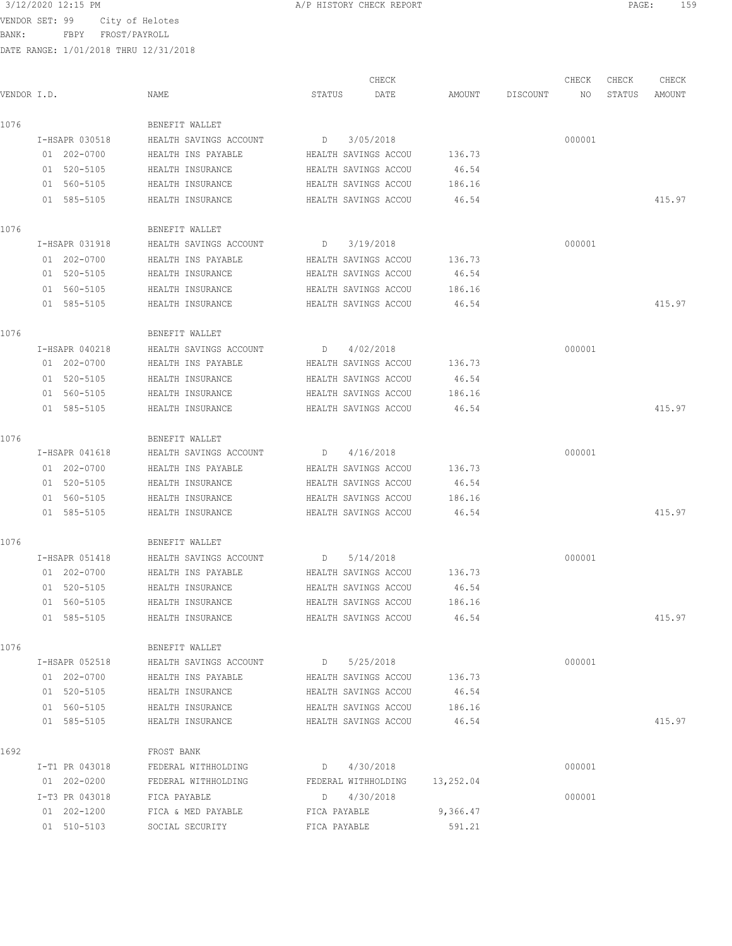VENDOR SET: 99 City of Helotes

BANK: FBPY FROST/PAYROLL

|             |                |                        | CHECK                         |          |          | CHECK  | CHECK  | CHECK  |
|-------------|----------------|------------------------|-------------------------------|----------|----------|--------|--------|--------|
| VENDOR I.D. |                | NAME                   | STATUS<br>DATE                | AMOUNT   | DISCOUNT | NO     | STATUS | AMOUNT |
| 1076        |                | BENEFIT WALLET         |                               |          |          |        |        |        |
|             | I-HSAPR 030518 | HEALTH SAVINGS ACCOUNT | 3/05/2018<br>D                |          |          | 000001 |        |        |
|             | 01 202-0700    | HEALTH INS PAYABLE     | HEALTH SAVINGS ACCOU          | 136.73   |          |        |        |        |
|             | 01 520-5105    | HEALTH INSURANCE       | HEALTH SAVINGS ACCOU          | 46.54    |          |        |        |        |
|             | 01 560-5105    | HEALTH INSURANCE       | HEALTH SAVINGS ACCOU          | 186.16   |          |        |        |        |
|             | 01 585-5105    | HEALTH INSURANCE       | HEALTH SAVINGS ACCOU          | 46.54    |          |        |        | 415.97 |
| 1076        |                | BENEFIT WALLET         |                               |          |          |        |        |        |
|             | I-HSAPR 031918 | HEALTH SAVINGS ACCOUNT | 3/19/2018<br>D                |          |          | 000001 |        |        |
|             | 01 202-0700    | HEALTH INS PAYABLE     | HEALTH SAVINGS ACCOU          | 136.73   |          |        |        |        |
|             | 01 520-5105    | HEALTH INSURANCE       | HEALTH SAVINGS ACCOU          | 46.54    |          |        |        |        |
|             | 01 560-5105    | HEALTH INSURANCE       | HEALTH SAVINGS ACCOU          | 186.16   |          |        |        |        |
|             | 01 585-5105    | HEALTH INSURANCE       | HEALTH SAVINGS ACCOU          | 46.54    |          |        |        | 415.97 |
| 1076        |                | BENEFIT WALLET         |                               |          |          |        |        |        |
|             | I-HSAPR 040218 | HEALTH SAVINGS ACCOUNT | 4/02/2018<br>D                |          |          | 000001 |        |        |
|             | 01 202-0700    | HEALTH INS PAYABLE     | HEALTH SAVINGS ACCOU          | 136.73   |          |        |        |        |
|             | 01 520-5105    | HEALTH INSURANCE       | HEALTH SAVINGS ACCOU          | 46.54    |          |        |        |        |
|             | 01 560-5105    | HEALTH INSURANCE       | HEALTH SAVINGS ACCOU          | 186.16   |          |        |        |        |
|             | 01 585-5105    | HEALTH INSURANCE       | HEALTH SAVINGS ACCOU          | 46.54    |          |        |        | 415.97 |
| 1076        |                | BENEFIT WALLET         |                               |          |          |        |        |        |
|             | I-HSAPR 041618 | HEALTH SAVINGS ACCOUNT | 4/16/2018<br>D                |          |          | 000001 |        |        |
|             | 01 202-0700    | HEALTH INS PAYABLE     | HEALTH SAVINGS ACCOU          | 136.73   |          |        |        |        |
|             | 01 520-5105    | HEALTH INSURANCE       | HEALTH SAVINGS ACCOU          | 46.54    |          |        |        |        |
|             | 01 560-5105    | HEALTH INSURANCE       | HEALTH SAVINGS ACCOU          | 186.16   |          |        |        |        |
|             | 01 585-5105    | HEALTH INSURANCE       | HEALTH SAVINGS ACCOU          | 46.54    |          |        |        | 415.97 |
| 1076        |                | BENEFIT WALLET         |                               |          |          |        |        |        |
|             | I-HSAPR 051418 | HEALTH SAVINGS ACCOUNT | 5/14/2018<br>D                |          |          | 000001 |        |        |
|             | 01 202-0700    | HEALTH INS PAYABLE     | HEALTH SAVINGS ACCOU          | 136.73   |          |        |        |        |
|             | 01 520-5105    | HEALTH INSURANCE       | HEALTH SAVINGS ACCOU          | 46.54    |          |        |        |        |
|             | 01 560-5105    | HEALTH INSURANCE       | HEALTH SAVINGS ACCOU          | 186.16   |          |        |        |        |
|             | 01 585-5105    | HEALTH INSURANCE       | HEALTH SAVINGS ACCOU          | 46.54    |          |        |        | 415.97 |
| 1076        |                | BENEFIT WALLET         |                               |          |          |        |        |        |
|             | I-HSAPR 052518 | HEALTH SAVINGS ACCOUNT | $D = 5/25/2018$               |          |          | 000001 |        |        |
|             | 01 202-0700    | HEALTH INS PAYABLE     | HEALTH SAVINGS ACCOU          | 136.73   |          |        |        |        |
|             | 01 520-5105    | HEALTH INSURANCE       | HEALTH SAVINGS ACCOU          | 46.54    |          |        |        |        |
|             | 01 560-5105    | HEALTH INSURANCE       | HEALTH SAVINGS ACCOU          | 186.16   |          |        |        |        |
|             | 01 585-5105    | HEALTH INSURANCE       | HEALTH SAVINGS ACCOU          | 46.54    |          |        |        | 415.97 |
| 1692        |                | FROST BANK             |                               |          |          |        |        |        |
|             | I-T1 PR 043018 | FEDERAL WITHHOLDING    | D 4/30/2018                   |          |          | 000001 |        |        |
|             | 01 202-0200    | FEDERAL WITHHOLDING    | FEDERAL WITHHOLDING 13,252.04 |          |          |        |        |        |
|             | I-T3 PR 043018 | FICA PAYABLE           | D 4/30/2018                   |          |          | 000001 |        |        |
|             | 01 202-1200    | FICA & MED PAYABLE     | FICA PAYABLE                  | 9,366.47 |          |        |        |        |
|             | 01 510-5103    | SOCIAL SECURITY        | FICA PAYABLE                  | 591.21   |          |        |        |        |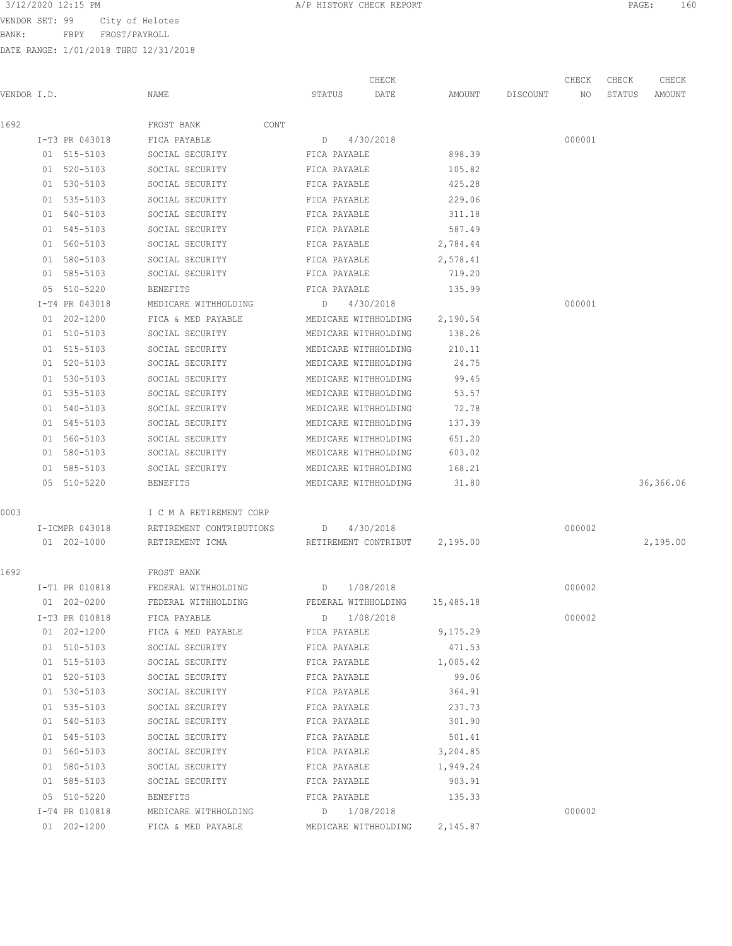VENDOR SET: 99 City of Helotes BANK: FBPY FROST/PAYROLL

|             |                |                                                   | CHECK                |          |          | CHECK  | CHECK  | CHECK     |
|-------------|----------------|---------------------------------------------------|----------------------|----------|----------|--------|--------|-----------|
| VENDOR I.D. |                | NAME                                              | STATUS<br>DATE       | AMOUNT   | DISCOUNT | NO     | STATUS | AMOUNT    |
| 1692        |                | FROST BANK<br>CONT                                |                      |          |          |        |        |           |
|             | I-T3 PR 043018 | FICA PAYABLE                                      | 4/30/2018<br>D       |          |          | 000001 |        |           |
|             | 01 515-5103    | SOCIAL SECURITY                                   | FICA PAYABLE         | 898.39   |          |        |        |           |
|             | 01 520-5103    | SOCIAL SECURITY                                   | FICA PAYABLE         | 105.82   |          |        |        |           |
|             | 01 530-5103    | SOCIAL SECURITY                                   | FICA PAYABLE         | 425.28   |          |        |        |           |
|             | 01 535-5103    | SOCIAL SECURITY                                   | FICA PAYABLE         | 229.06   |          |        |        |           |
|             | 01 540-5103    | SOCIAL SECURITY                                   | FICA PAYABLE         | 311.18   |          |        |        |           |
|             | 01 545-5103    | SOCIAL SECURITY                                   | FICA PAYABLE         | 587.49   |          |        |        |           |
|             | 01 560-5103    | SOCIAL SECURITY                                   | FICA PAYABLE         | 2,784.44 |          |        |        |           |
|             | 01 580-5103    | SOCIAL SECURITY                                   | FICA PAYABLE         | 2,578.41 |          |        |        |           |
|             | 01 585-5103    | SOCIAL SECURITY                                   | FICA PAYABLE         | 719.20   |          |        |        |           |
|             | 05 510-5220    | BENEFITS                                          | FICA PAYABLE         | 135.99   |          |        |        |           |
|             | I-T4 PR 043018 | MEDICARE WITHHOLDING                              | D<br>4/30/2018       |          |          | 000001 |        |           |
|             | 01 202-1200    | FICA & MED PAYABLE                                | MEDICARE WITHHOLDING | 2,190.54 |          |        |        |           |
|             | 01 510-5103    | SOCIAL SECURITY                                   | MEDICARE WITHHOLDING | 138.26   |          |        |        |           |
|             | 01 515-5103    | SOCIAL SECURITY                                   | MEDICARE WITHHOLDING | 210.11   |          |        |        |           |
|             | 01 520-5103    | SOCIAL SECURITY                                   | MEDICARE WITHHOLDING | 24.75    |          |        |        |           |
|             | 01 530-5103    | SOCIAL SECURITY                                   | MEDICARE WITHHOLDING | 99.45    |          |        |        |           |
|             | 01 535-5103    | SOCIAL SECURITY                                   | MEDICARE WITHHOLDING | 53.57    |          |        |        |           |
|             | 01 540-5103    | SOCIAL SECURITY                                   | MEDICARE WITHHOLDING | 72.78    |          |        |        |           |
|             | 01 545-5103    | SOCIAL SECURITY                                   | MEDICARE WITHHOLDING | 137.39   |          |        |        |           |
|             | 01 560-5103    | SOCIAL SECURITY                                   | MEDICARE WITHHOLDING | 651.20   |          |        |        |           |
|             | 01 580-5103    | SOCIAL SECURITY                                   | MEDICARE WITHHOLDING | 603.02   |          |        |        |           |
|             | 01 585-5103    | SOCIAL SECURITY                                   | MEDICARE WITHHOLDING | 168.21   |          |        |        |           |
|             | 05 510-5220    | BENEFITS                                          | MEDICARE WITHHOLDING | 31.80    |          |        |        | 36,366.06 |
| 0003        |                | I C M A RETIREMENT CORP                           |                      |          |          |        |        |           |
|             | I-ICMPR 043018 | RETIREMENT CONTRIBUTIONS                          | 4/30/2018<br>D       |          |          | 000002 |        |           |
|             | 01 202-1000    | RETIREMENT ICMA                                   | RETIREMENT CONTRIBUT | 2,195.00 |          |        |        | 2,195.00  |
| 1692        |                | FROST BANK                                        |                      |          |          |        |        |           |
|             | I-T1 PR 010818 | FEDERAL WITHHOLDING                               | 1/08/2018<br>D       |          |          | 000002 |        |           |
|             | 01 202-0200    | FEDERAL WITHHOLDING FEDERAL WITHHOLDING 15,485.18 |                      |          |          |        |        |           |
|             | I-T3 PR 010818 | FICA PAYABLE                                      | D 1/08/2018          |          |          | 000002 |        |           |
|             | 01 202-1200    | FICA & MED PAYABLE                                | FICA PAYABLE         | 9,175.29 |          |        |        |           |
|             | 01 510-5103    | SOCIAL SECURITY                                   | FICA PAYABLE         | 471.53   |          |        |        |           |
|             | 01 515-5103    | SOCIAL SECURITY                                   | FICA PAYABLE         | 1,005.42 |          |        |        |           |
|             | 01 520-5103    | SOCIAL SECURITY                                   | FICA PAYABLE         | 99.06    |          |        |        |           |
|             | 01 530-5103    | SOCIAL SECURITY                                   | FICA PAYABLE         | 364.91   |          |        |        |           |
|             | 01 535-5103    | SOCIAL SECURITY                                   | FICA PAYABLE         | 237.73   |          |        |        |           |
|             | 01 540-5103    | SOCIAL SECURITY                                   | FICA PAYABLE         | 301.90   |          |        |        |           |
|             | 01 545-5103    | SOCIAL SECURITY                                   | FICA PAYABLE         | 501.41   |          |        |        |           |
|             | 01 560-5103    | SOCIAL SECURITY                                   | FICA PAYABLE         | 3,204.85 |          |        |        |           |
|             | 01 580-5103    | SOCIAL SECURITY                                   | FICA PAYABLE         | 1,949.24 |          |        |        |           |
|             | 01 585-5103    | SOCIAL SECURITY                                   | FICA PAYABLE         | 903.91   |          |        |        |           |
|             | 05 510-5220    | BENEFITS                                          | FICA PAYABLE         | 135.33   |          |        |        |           |
|             | I-T4 PR 010818 | MEDICARE WITHHOLDING                              | D 1/08/2018          |          |          | 000002 |        |           |
|             | 01 202-1200    | FICA & MED PAYABLE                                | MEDICARE WITHHOLDING | 2,145.87 |          |        |        |           |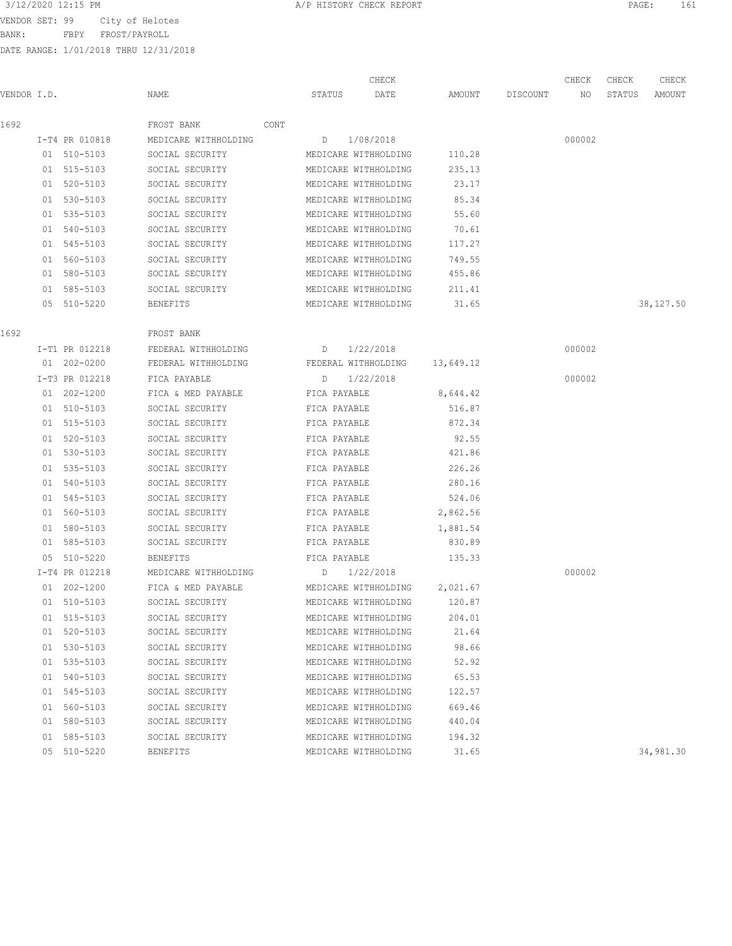BANK: FBPY FROST/PAYROLL

| 3/12/2020 12:15 PM<br>A/P HISTORY CHECK REPORT<br>PAGE | 161 |
|--------------------------------------------------------|-----|
|--------------------------------------------------------|-----|

| VENDOR I.D. |                | NAME                 | CHECK<br>STATUS<br>DATE       | AMOUNT          | DISCOUNT | CHECK<br>NO | CHECK<br>STATUS | CHECK<br>AMOUNT |
|-------------|----------------|----------------------|-------------------------------|-----------------|----------|-------------|-----------------|-----------------|
|             |                |                      |                               |                 |          |             |                 |                 |
| 1692        |                | FROST BANK<br>CONT   |                               |                 |          |             |                 |                 |
|             | I-T4 PR 010818 | MEDICARE WITHHOLDING | D 1/08/2018                   |                 |          | 000002      |                 |                 |
|             | 01 510-5103    | SOCIAL SECURITY      | MEDICARE WITHHOLDING          | 110.28          |          |             |                 |                 |
|             | 01 515-5103    | SOCIAL SECURITY      | MEDICARE WITHHOLDING          | 235.13          |          |             |                 |                 |
|             | 01 520-5103    | SOCIAL SECURITY      | MEDICARE WITHHOLDING          | 23.17           |          |             |                 |                 |
|             | 01 530-5103    | SOCIAL SECURITY      | MEDICARE WITHHOLDING          | 85.34           |          |             |                 |                 |
|             | 01 535-5103    | SOCIAL SECURITY      | MEDICARE WITHHOLDING          | 55.60           |          |             |                 |                 |
|             | 01 540-5103    | SOCIAL SECURITY      | MEDICARE WITHHOLDING          | 70.61<br>117.27 |          |             |                 |                 |
|             | 01 545-5103    | SOCIAL SECURITY      | MEDICARE WITHHOLDING          |                 |          |             |                 |                 |
|             | 01 560-5103    | SOCIAL SECURITY      | MEDICARE WITHHOLDING          | 749.55          |          |             |                 |                 |
|             | 01 580-5103    | SOCIAL SECURITY      | MEDICARE WITHHOLDING          | 455.86          |          |             |                 |                 |
|             | 01 585-5103    | SOCIAL SECURITY      | MEDICARE WITHHOLDING          | 211.41          |          |             |                 | 38,127.50       |
|             | 05 510-5220    | BENEFITS             | MEDICARE WITHHOLDING          | 31.65           |          |             |                 |                 |
| 1692        |                | FROST BANK           |                               |                 |          |             |                 |                 |
|             | I-T1 PR 012218 | FEDERAL WITHHOLDING  | 1/22/2018<br>D                |                 |          | 000002      |                 |                 |
|             | 01 202-0200    | FEDERAL WITHHOLDING  | FEDERAL WITHHOLDING 13,649.12 |                 |          |             |                 |                 |
|             | I-T3 PR 012218 | FICA PAYABLE         | 1/22/2018<br>D                |                 |          | 000002      |                 |                 |
|             | 01 202-1200    | FICA & MED PAYABLE   | FICA PAYABLE                  | 8,644.42        |          |             |                 |                 |
|             | 01 510-5103    | SOCIAL SECURITY      | FICA PAYABLE                  | 516.87          |          |             |                 |                 |
|             | 01 515-5103    | SOCIAL SECURITY      | FICA PAYABLE                  | 872.34          |          |             |                 |                 |
|             | 01 520-5103    | SOCIAL SECURITY      | FICA PAYABLE                  | 92.55           |          |             |                 |                 |
|             | 01 530-5103    | SOCIAL SECURITY      | FICA PAYABLE                  | 421.86          |          |             |                 |                 |
|             | 01 535-5103    | SOCIAL SECURITY      | FICA PAYABLE                  | 226.26          |          |             |                 |                 |
|             | 01 540-5103    | SOCIAL SECURITY      | FICA PAYABLE                  | 280.16          |          |             |                 |                 |
|             | 01 545-5103    | SOCIAL SECURITY      | FICA PAYABLE                  | 524.06          |          |             |                 |                 |
|             | 01 560-5103    | SOCIAL SECURITY      | FICA PAYABLE                  | 2,862.56        |          |             |                 |                 |
|             | 01 580-5103    | SOCIAL SECURITY      | FICA PAYABLE                  | 1,881.54        |          |             |                 |                 |
|             | 01 585-5103    | SOCIAL SECURITY      | FICA PAYABLE                  | 830.89          |          |             |                 |                 |
|             | 05 510-5220    | <b>BENEFITS</b>      | FICA PAYABLE                  | 135.33          |          |             |                 |                 |
|             | I-T4 PR 012218 | MEDICARE WITHHOLDING | $D = 1/22/2018$               |                 |          | 000002      |                 |                 |
|             | 01 202-1200    | FICA & MED PAYABLE   | MEDICARE WITHHOLDING          | 2,021.67        |          |             |                 |                 |
|             | 01 510-5103    | SOCIAL SECURITY      | MEDICARE WITHHOLDING 120.87   |                 |          |             |                 |                 |
|             | 01 515-5103    | SOCIAL SECURITY      | MEDICARE WITHHOLDING          | 204.01          |          |             |                 |                 |
|             | 01 520-5103    | SOCIAL SECURITY      | MEDICARE WITHHOLDING          | 21.64           |          |             |                 |                 |
|             | 01 530-5103    | SOCIAL SECURITY      | MEDICARE WITHHOLDING          | 98.66           |          |             |                 |                 |
|             | 01 535-5103    | SOCIAL SECURITY      | MEDICARE WITHHOLDING          | 52.92           |          |             |                 |                 |
|             | 01 540-5103    | SOCIAL SECURITY      | MEDICARE WITHHOLDING          | 65.53           |          |             |                 |                 |
|             | 01 545-5103    | SOCIAL SECURITY      | MEDICARE WITHHOLDING          | 122.57          |          |             |                 |                 |
|             | 01 560-5103    | SOCIAL SECURITY      | MEDICARE WITHHOLDING          | 669.46          |          |             |                 |                 |
|             | 01 580-5103    | SOCIAL SECURITY      | MEDICARE WITHHOLDING          | 440.04          |          |             |                 |                 |
|             | 01 585-5103    | SOCIAL SECURITY      | MEDICARE WITHHOLDING          | 194.32          |          |             |                 |                 |
|             | 05 510-5220    | <b>BENEFITS</b>      | MEDICARE WITHHOLDING          | 31.65           |          |             |                 | 34,981.30       |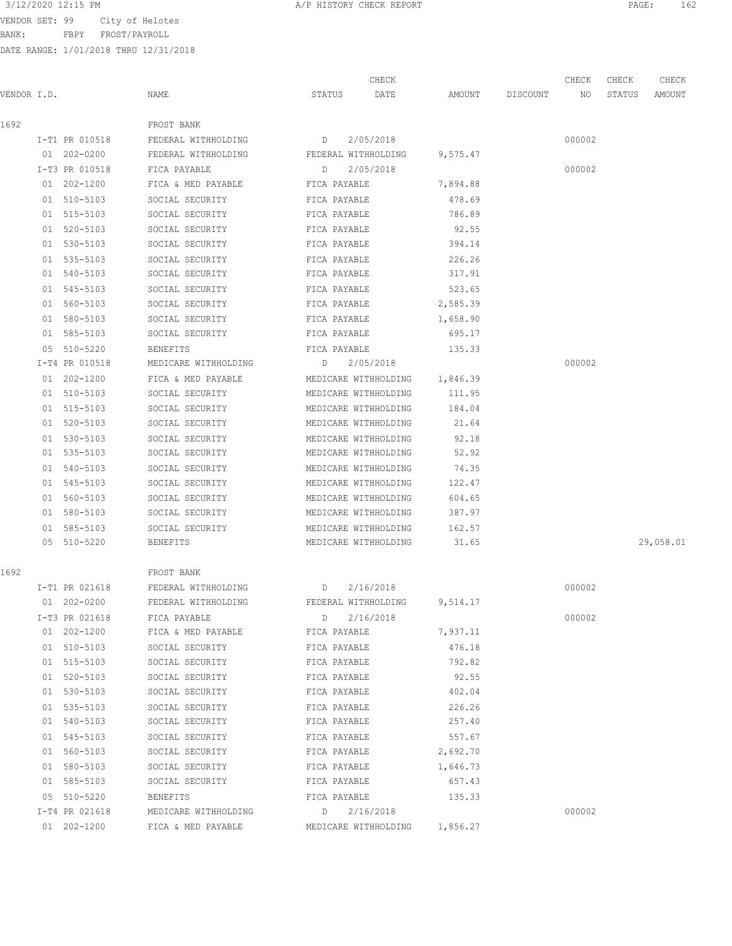BANK: FBPY FROST/PAYROLL

| VENDOR I.D. |                               | NAME                                            | STATUS       | CHECK<br>DATE                    | AMOUNT   | DISCOUNT | CHECK<br>NO | CHECK<br>STATUS | CHECK<br>AMOUNT |
|-------------|-------------------------------|-------------------------------------------------|--------------|----------------------------------|----------|----------|-------------|-----------------|-----------------|
| 1692        |                               |                                                 |              |                                  |          |          |             |                 |                 |
|             |                               | FROST BANK                                      |              |                                  |          |          |             |                 |                 |
|             | I-T1 PR 010518<br>01 202-0200 | FEDERAL WITHHOLDING<br>D<br>FEDERAL WITHHOLDING |              | 2/05/2018<br>FEDERAL WITHHOLDING | 9,575.47 |          | 000002      |                 |                 |
|             | I-T3 PR 010518                | FICA PAYABLE                                    | D            | 2/05/2018                        |          |          | 000002      |                 |                 |
|             | 01 202-1200                   | FICA & MED PAYABLE                              | FICA PAYABLE |                                  | 7,894.88 |          |             |                 |                 |
|             |                               |                                                 |              |                                  |          |          |             |                 |                 |
|             | 01 510-5103                   | SOCIAL SECURITY                                 | FICA PAYABLE |                                  | 478.69   |          |             |                 |                 |
|             | 01 515-5103                   | SOCIAL SECURITY                                 | FICA PAYABLE |                                  | 786.89   |          |             |                 |                 |
|             | 01 520-5103                   | SOCIAL SECURITY                                 | FICA PAYABLE |                                  | 92.55    |          |             |                 |                 |
|             | 01 530-5103                   | SOCIAL SECURITY                                 | FICA PAYABLE |                                  | 394.14   |          |             |                 |                 |
|             | 01 535-5103                   | SOCIAL SECURITY                                 | FICA PAYABLE |                                  | 226.26   |          |             |                 |                 |
|             | 01 540-5103                   | SOCIAL SECURITY                                 | FICA PAYABLE |                                  | 317.91   |          |             |                 |                 |
|             | 01 545-5103                   | SOCIAL SECURITY                                 | FICA PAYABLE |                                  | 523.65   |          |             |                 |                 |
|             | 01 560-5103                   | SOCIAL SECURITY                                 | FICA PAYABLE |                                  | 2,585.39 |          |             |                 |                 |
|             | 01 580-5103                   | SOCIAL SECURITY                                 | FICA PAYABLE |                                  | 1,658.90 |          |             |                 |                 |
|             | 01 585-5103                   | SOCIAL SECURITY                                 | FICA PAYABLE |                                  | 695.17   |          |             |                 |                 |
|             | 05 510-5220                   | <b>BENEFITS</b>                                 | FICA PAYABLE |                                  | 135.33   |          |             |                 |                 |
|             | I-T4 PR 010518                | MEDICARE WITHHOLDING                            | D            | 2/05/2018                        |          |          | 000002      |                 |                 |
|             | 01 202-1200                   | FICA & MED PAYABLE                              |              | MEDICARE WITHHOLDING             | 1,846.39 |          |             |                 |                 |
|             | 01 510-5103                   | SOCIAL SECURITY                                 |              | MEDICARE WITHHOLDING             | 111.95   |          |             |                 |                 |
|             | 01 515-5103                   | SOCIAL SECURITY                                 |              | MEDICARE WITHHOLDING             | 184.04   |          |             |                 |                 |
|             | 01 520-5103                   | SOCIAL SECURITY                                 |              | MEDICARE WITHHOLDING             | 21.64    |          |             |                 |                 |
|             | 01 530-5103                   | SOCIAL SECURITY                                 |              | MEDICARE WITHHOLDING             | 92.18    |          |             |                 |                 |
|             | 01 535-5103                   | SOCIAL SECURITY                                 |              | MEDICARE WITHHOLDING             | 52.92    |          |             |                 |                 |
|             | 01 540-5103                   | SOCIAL SECURITY                                 |              | MEDICARE WITHHOLDING             | 74.35    |          |             |                 |                 |
|             | 01 545-5103                   | SOCIAL SECURITY                                 |              | MEDICARE WITHHOLDING             | 122.47   |          |             |                 |                 |
|             | 01 560-5103                   | SOCIAL SECURITY                                 |              | MEDICARE WITHHOLDING             | 604.65   |          |             |                 |                 |
|             | 01 580-5103                   | SOCIAL SECURITY                                 |              | MEDICARE WITHHOLDING             | 387.97   |          |             |                 |                 |
|             | 01 585-5103                   | SOCIAL SECURITY                                 |              | MEDICARE WITHHOLDING             | 162.57   |          |             |                 |                 |
|             | 05 510-5220                   | BENEFITS                                        |              | MEDICARE WITHHOLDING             | 31.65    |          |             |                 | 29,058.01       |
| 1692        |                               | FROST BANK                                      |              |                                  |          |          |             |                 |                 |
|             | I-T1 PR 021618                | FEDERAL WITHHOLDING                             |              | D 2/16/2018                      |          |          | 000002      |                 |                 |
|             | 01 202-0200                   | FEDERAL WITHHOLDING FEDERAL WITHHOLDING         |              |                                  | 9,514.17 |          |             |                 |                 |
|             | I-T3 PR 021618                | FICA PAYABLE                                    |              | D 2/16/2018                      |          |          | 000002      |                 |                 |
|             | 01 202-1200                   | FICA & MED PAYABLE                              |              | FICA PAYABLE                     | 7,937.11 |          |             |                 |                 |
|             | 01 510-5103                   | SOCIAL SECURITY FICA PAYABLE                    |              |                                  | 476.18   |          |             |                 |                 |
|             | 01 515-5103                   | SOCIAL SECURITY FICA PAYABLE                    |              |                                  | 792.82   |          |             |                 |                 |
|             | 01 520-5103                   | SOCIAL SECURITY                                 |              | FICA PAYABLE                     | 92.55    |          |             |                 |                 |
|             | 01 530-5103                   | SOCIAL SECURITY                                 | FICA PAYABLE |                                  | 402.04   |          |             |                 |                 |
|             | 01 535-5103                   | SOCIAL SECURITY                                 | FICA PAYABLE |                                  | 226.26   |          |             |                 |                 |
|             | 01 540-5103                   | SOCIAL SECURITY                                 | FICA PAYABLE |                                  | 257.40   |          |             |                 |                 |
|             | 01 545-5103                   | SOCIAL SECURITY                                 | FICA PAYABLE |                                  | 557.67   |          |             |                 |                 |
|             | 01 560-5103                   | SOCIAL SECURITY                                 | FICA PAYABLE |                                  | 2,692.70 |          |             |                 |                 |
|             | 01 580-5103                   | SOCIAL SECURITY                                 | FICA PAYABLE |                                  | 1,646.73 |          |             |                 |                 |
|             | 01 585-5103                   | SOCIAL SECURITY                                 | FICA PAYABLE |                                  | 657.43   |          |             |                 |                 |
|             |                               |                                                 |              |                                  |          |          |             |                 |                 |
|             | 05 510-5220<br>I-T4 PR 021618 | BENEFITS<br>MEDICARE WITHHOLDING                |              | FICA PAYABLE<br>$D = 2/16/2018$  | 135.33   |          | 000002      |                 |                 |
|             |                               |                                                 |              |                                  |          |          |             |                 |                 |
|             | 01 202-1200                   | FICA & MED PAYABLE                              |              | MEDICARE WITHHOLDING 1,856.27    |          |          |             |                 |                 |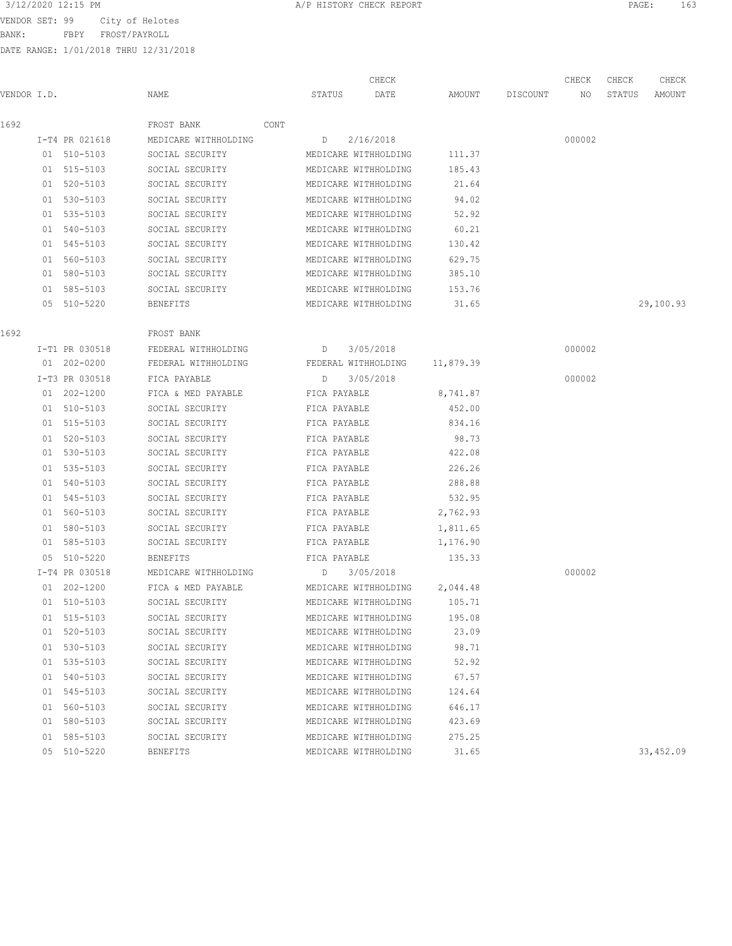BANK: FBPY FROST/PAYROLL

| 3/12/2020 12:15 PM | A/P HISTORY CHECK REPORT | PAGE<br>エロコ |
|--------------------|--------------------------|-------------|
|--------------------|--------------------------|-------------|

|             |                |                      |      |                     | CHECK                       |           |          | CHECK  | CHECK  | CHECK     |
|-------------|----------------|----------------------|------|---------------------|-----------------------------|-----------|----------|--------|--------|-----------|
| VENDOR I.D. |                | NAME                 |      | STATUS              | DATE                        | AMOUNT    | DISCOUNT | NO     | STATUS | AMOUNT    |
| 1692        |                | FROST BANK           | CONT |                     |                             |           |          |        |        |           |
|             | I-T4 PR 021618 | MEDICARE WITHHOLDING |      | D 2/16/2018         |                             |           |          | 000002 |        |           |
|             | 01 510-5103    | SOCIAL SECURITY      |      |                     | MEDICARE WITHHOLDING        | 111.37    |          |        |        |           |
|             | 01 515-5103    | SOCIAL SECURITY      |      |                     | MEDICARE WITHHOLDING        | 185.43    |          |        |        |           |
|             | 01 520-5103    | SOCIAL SECURITY      |      |                     | MEDICARE WITHHOLDING        | 21.64     |          |        |        |           |
|             | 01 530-5103    | SOCIAL SECURITY      |      |                     | MEDICARE WITHHOLDING        | 94.02     |          |        |        |           |
|             | 01 535-5103    | SOCIAL SECURITY      |      |                     | MEDICARE WITHHOLDING        | 52.92     |          |        |        |           |
|             | 01 540-5103    | SOCIAL SECURITY      |      |                     | MEDICARE WITHHOLDING        | 60.21     |          |        |        |           |
|             | 01 545-5103    | SOCIAL SECURITY      |      |                     | MEDICARE WITHHOLDING        | 130.42    |          |        |        |           |
|             | 01 560-5103    | SOCIAL SECURITY      |      |                     | MEDICARE WITHHOLDING        | 629.75    |          |        |        |           |
|             | 01 580-5103    | SOCIAL SECURITY      |      |                     | MEDICARE WITHHOLDING        | 385.10    |          |        |        |           |
|             | 01 585-5103    | SOCIAL SECURITY      |      |                     | MEDICARE WITHHOLDING        | 153.76    |          |        |        |           |
|             | 05 510-5220    | BENEFITS             |      |                     | MEDICARE WITHHOLDING        | 31.65     |          |        |        | 29,100.93 |
| 1692        |                | FROST BANK           |      |                     |                             |           |          |        |        |           |
|             | I-T1 PR 030518 | FEDERAL WITHHOLDING  |      | D                   | 3/05/2018                   |           |          | 000002 |        |           |
|             | 01 202-0200    | FEDERAL WITHHOLDING  |      | FEDERAL WITHHOLDING |                             | 11,879.39 |          |        |        |           |
|             | I-T3 PR 030518 | FICA PAYABLE         |      | D                   | 3/05/2018                   |           |          | 000002 |        |           |
|             | 01 202-1200    | FICA & MED PAYABLE   |      | FICA PAYABLE        |                             | 8,741.87  |          |        |        |           |
|             | 01 510-5103    | SOCIAL SECURITY      |      | FICA PAYABLE        |                             | 452.00    |          |        |        |           |
|             | 01 515-5103    | SOCIAL SECURITY      |      | FICA PAYABLE        |                             | 834.16    |          |        |        |           |
|             | 01 520-5103    | SOCIAL SECURITY      |      | FICA PAYABLE        |                             | 98.73     |          |        |        |           |
|             | 01 530-5103    | SOCIAL SECURITY      |      | FICA PAYABLE        |                             | 422.08    |          |        |        |           |
|             | 01 535-5103    | SOCIAL SECURITY      |      | FICA PAYABLE        |                             | 226.26    |          |        |        |           |
|             | 01 540-5103    | SOCIAL SECURITY      |      | FICA PAYABLE        |                             | 288.88    |          |        |        |           |
|             | 01 545-5103    | SOCIAL SECURITY      |      | FICA PAYABLE        |                             | 532.95    |          |        |        |           |
|             | 01 560-5103    | SOCIAL SECURITY      |      | FICA PAYABLE        |                             | 2,762.93  |          |        |        |           |
|             | 01 580-5103    | SOCIAL SECURITY      |      | FICA PAYABLE        |                             | 1,811.65  |          |        |        |           |
|             | 01 585-5103    | SOCIAL SECURITY      |      | FICA PAYABLE        |                             | 1,176.90  |          |        |        |           |
|             | 05 510-5220    | <b>BENEFITS</b>      |      | FICA PAYABLE        |                             | 135.33    |          |        |        |           |
|             | I-T4 PR 030518 | MEDICARE WITHHOLDING |      | D 3/05/2018         |                             |           |          | 000002 |        |           |
|             | 01 202-1200    | FICA & MED PAYABLE   |      |                     | MEDICARE WITHHOLDING        | 2,044.48  |          |        |        |           |
|             | 01 510-5103    | SOCIAL SECURITY      |      |                     | MEDICARE WITHHOLDING 105.71 |           |          |        |        |           |
|             | 01 515-5103    | SOCIAL SECURITY      |      |                     | MEDICARE WITHHOLDING        | 195.08    |          |        |        |           |
|             | 01 520-5103    | SOCIAL SECURITY      |      |                     | MEDICARE WITHHOLDING        | 23.09     |          |        |        |           |
|             | 01 530-5103    | SOCIAL SECURITY      |      |                     | MEDICARE WITHHOLDING        | 98.71     |          |        |        |           |
|             | 01 535-5103    | SOCIAL SECURITY      |      |                     | MEDICARE WITHHOLDING        | 52.92     |          |        |        |           |
|             | 01 540-5103    | SOCIAL SECURITY      |      |                     | MEDICARE WITHHOLDING        | 67.57     |          |        |        |           |
|             | 01 545-5103    | SOCIAL SECURITY      |      |                     | MEDICARE WITHHOLDING        | 124.64    |          |        |        |           |
|             | 01 560-5103    | SOCIAL SECURITY      |      |                     | MEDICARE WITHHOLDING        | 646.17    |          |        |        |           |
|             | 01 580-5103    | SOCIAL SECURITY      |      |                     | MEDICARE WITHHOLDING        | 423.69    |          |        |        |           |
|             | 01 585-5103    | SOCIAL SECURITY      |      |                     | MEDICARE WITHHOLDING        | 275.25    |          |        |        |           |
|             | 05 510-5220    | <b>BENEFITS</b>      |      |                     | MEDICARE WITHHOLDING        | 31.65     |          |        |        | 33,452.09 |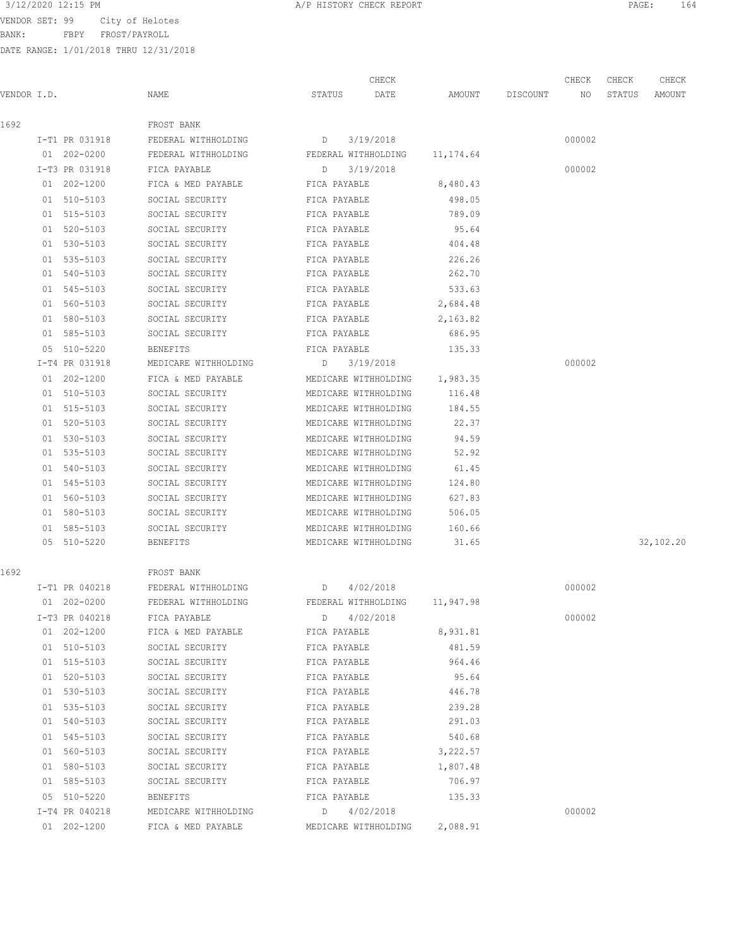BANK: FBPY FROST/PAYROLL

|             |                |                                 |                      | CHECK                |           |                 | CHECK  | CHECK  | CHECK     |
|-------------|----------------|---------------------------------|----------------------|----------------------|-----------|-----------------|--------|--------|-----------|
| VENDOR I.D. |                | NAME                            | STATUS               | DATE                 |           | AMOUNT DISCOUNT | NO     | STATUS | AMOUNT    |
| 1692        |                | FROST BANK                      |                      |                      |           |                 |        |        |           |
|             | I-T1 PR 031918 | FEDERAL WITHHOLDING             | D                    | 3/19/2018            |           |                 | 000002 |        |           |
|             | 01 202-0200    | FEDERAL WITHHOLDING             | FEDERAL WITHHOLDING  |                      | 11,174.64 |                 |        |        |           |
|             | I-T3 PR 031918 | FICA PAYABLE                    | D                    | 3/19/2018            |           |                 | 000002 |        |           |
|             | 01 202-1200    | FICA & MED PAYABLE              | FICA PAYABLE         |                      | 8,480.43  |                 |        |        |           |
|             | 01 510-5103    | SOCIAL SECURITY                 | FICA PAYABLE         |                      | 498.05    |                 |        |        |           |
|             | 01 515-5103    | SOCIAL SECURITY                 | FICA PAYABLE         |                      | 789.09    |                 |        |        |           |
|             | 01 520-5103    | SOCIAL SECURITY                 | FICA PAYABLE         |                      | 95.64     |                 |        |        |           |
|             | 01 530-5103    | SOCIAL SECURITY                 | FICA PAYABLE         |                      | 404.48    |                 |        |        |           |
|             | 01 535-5103    | SOCIAL SECURITY                 | FICA PAYABLE         |                      | 226.26    |                 |        |        |           |
|             | 01 540-5103    | SOCIAL SECURITY                 | FICA PAYABLE         |                      | 262.70    |                 |        |        |           |
|             | 01 545-5103    | SOCIAL SECURITY                 | FICA PAYABLE         |                      | 533.63    |                 |        |        |           |
|             | 01 560-5103    | SOCIAL SECURITY                 | FICA PAYABLE         |                      | 2,684.48  |                 |        |        |           |
|             | 01 580-5103    | SOCIAL SECURITY                 | FICA PAYABLE         |                      | 2,163.82  |                 |        |        |           |
|             | 01 585-5103    | SOCIAL SECURITY                 | FICA PAYABLE         |                      | 686.95    |                 |        |        |           |
|             | 05 510-5220    | <b>BENEFITS</b>                 | FICA PAYABLE         |                      | 135.33    |                 |        |        |           |
|             | I-T4 PR 031918 | MEDICARE WITHHOLDING            | D 3/19/2018          |                      |           |                 | 000002 |        |           |
|             | 01 202-1200    | FICA & MED PAYABLE              | MEDICARE WITHHOLDING |                      | 1,983.35  |                 |        |        |           |
|             | 01 510-5103    | SOCIAL SECURITY                 | MEDICARE WITHHOLDING |                      | 116.48    |                 |        |        |           |
|             | 01 515-5103    | SOCIAL SECURITY                 | MEDICARE WITHHOLDING |                      | 184.55    |                 |        |        |           |
|             | 01 520-5103    | SOCIAL SECURITY                 | MEDICARE WITHHOLDING |                      | 22.37     |                 |        |        |           |
|             | 01 530-5103    | SOCIAL SECURITY                 | MEDICARE WITHHOLDING |                      | 94.59     |                 |        |        |           |
|             | 01 535-5103    | SOCIAL SECURITY                 | MEDICARE WITHHOLDING |                      | 52.92     |                 |        |        |           |
|             | 01 540-5103    | SOCIAL SECURITY                 | MEDICARE WITHHOLDING |                      | 61.45     |                 |        |        |           |
|             | 01 545-5103    | SOCIAL SECURITY                 | MEDICARE WITHHOLDING |                      | 124.80    |                 |        |        |           |
|             | 01 560-5103    | SOCIAL SECURITY                 | MEDICARE WITHHOLDING |                      | 627.83    |                 |        |        |           |
|             | 01 580-5103    | SOCIAL SECURITY                 | MEDICARE WITHHOLDING |                      | 506.05    |                 |        |        |           |
|             | 01 585-5103    | SOCIAL SECURITY                 | MEDICARE WITHHOLDING |                      | 160.66    |                 |        |        |           |
|             | 05 510-5220    | BENEFITS                        | MEDICARE WITHHOLDING |                      | 31.65     |                 |        |        | 32,102.20 |
| 1692        |                | FROST BANK                      |                      |                      |           |                 |        |        |           |
|             | I-T1 PR 040218 | FEDERAL WITHHOLDING<br>$\Box$   |                      | 4/02/2018            |           |                 | 000002 |        |           |
|             | 01 202-0200    | FEDERAL WITHHOLDING             |                      | FEDERAL WITHHOLDING  | 11,947.98 |                 |        |        |           |
|             | I-T3 PR 040218 | FICA PAYABLE                    | $D \qquad \qquad$    | 4/02/2018            |           |                 | 000002 |        |           |
|             | 01 202-1200    | FICA & MED PAYABLE FICA PAYABLE |                      |                      | 8,931.81  |                 |        |        |           |
|             | 01 510-5103    | SOCIAL SECURITY                 | FICA PAYABLE         |                      | 481.59    |                 |        |        |           |
|             | 01 515-5103    | SOCIAL SECURITY                 | FICA PAYABLE         |                      | 964.46    |                 |        |        |           |
|             | 01 520-5103    | SOCIAL SECURITY                 | FICA PAYABLE         |                      | 95.64     |                 |        |        |           |
|             | 01 530-5103    | SOCIAL SECURITY                 | FICA PAYABLE         |                      | 446.78    |                 |        |        |           |
|             | 01 535-5103    | SOCIAL SECURITY                 | FICA PAYABLE         |                      | 239.28    |                 |        |        |           |
|             | 01 540-5103    | SOCIAL SECURITY                 | FICA PAYABLE         |                      | 291.03    |                 |        |        |           |
|             | 01 545-5103    | SOCIAL SECURITY                 | FICA PAYABLE         |                      | 540.68    |                 |        |        |           |
|             | 01 560-5103    | SOCIAL SECURITY                 | FICA PAYABLE         |                      | 3,222.57  |                 |        |        |           |
|             | 01 580-5103    | SOCIAL SECURITY                 | FICA PAYABLE         |                      | 1,807.48  |                 |        |        |           |
|             | 01 585-5103    | SOCIAL SECURITY FICA PAYABLE    |                      |                      | 706.97    |                 |        |        |           |
|             | 05 510-5220    | BENEFITS                        | FICA PAYABLE         |                      | 135.33    |                 |        |        |           |
|             | I-T4 PR 040218 | MEDICARE WITHHOLDING            | D 4/02/2018          |                      |           |                 | 000002 |        |           |
|             | 01 202-1200    | FICA & MED PAYABLE              |                      | MEDICARE WITHHOLDING | 2,088.91  |                 |        |        |           |
|             |                |                                 |                      |                      |           |                 |        |        |           |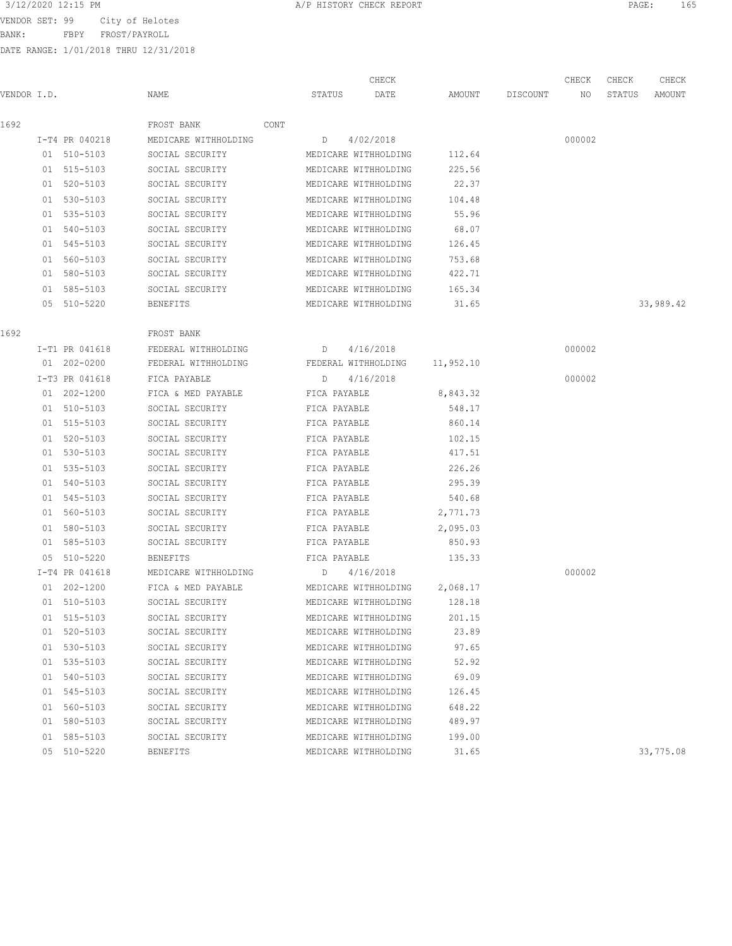BANK: FBPY FROST/PAYROLL

| 3/12/2020 12:15 PM | A/P HISTORY CHECK REPORT | PAGE<br>165 |
|--------------------|--------------------------|-------------|
|--------------------|--------------------------|-------------|

|             |                 |                      |                      | CHECK                |           |          | CHECK  | CHECK  | CHECK     |
|-------------|-----------------|----------------------|----------------------|----------------------|-----------|----------|--------|--------|-----------|
| VENDOR I.D. |                 | NAME                 | STATUS               | DATE                 | AMOUNT    | DISCOUNT | NO     | STATUS | AMOUNT    |
| 1692        |                 | FROST BANK<br>CONT   |                      |                      |           |          |        |        |           |
|             | I-T4 PR 040218  | MEDICARE WITHHOLDING | D                    | 4/02/2018            |           |          | 000002 |        |           |
|             | 01 510-5103     | SOCIAL SECURITY      |                      | MEDICARE WITHHOLDING | 112.64    |          |        |        |           |
|             | 01 515-5103     | SOCIAL SECURITY      |                      | MEDICARE WITHHOLDING | 225.56    |          |        |        |           |
|             | 01 520-5103     | SOCIAL SECURITY      |                      | MEDICARE WITHHOLDING | 22.37     |          |        |        |           |
|             | 01 530-5103     | SOCIAL SECURITY      |                      | MEDICARE WITHHOLDING | 104.48    |          |        |        |           |
|             | 01 535-5103     | SOCIAL SECURITY      |                      | MEDICARE WITHHOLDING | 55.96     |          |        |        |           |
|             | 01 540-5103     | SOCIAL SECURITY      |                      | MEDICARE WITHHOLDING | 68.07     |          |        |        |           |
|             | 01 545-5103     | SOCIAL SECURITY      |                      | MEDICARE WITHHOLDING | 126.45    |          |        |        |           |
|             | 01 560-5103     | SOCIAL SECURITY      | MEDICARE WITHHOLDING |                      | 753.68    |          |        |        |           |
|             | 01 580-5103     | SOCIAL SECURITY      | MEDICARE WITHHOLDING |                      | 422.71    |          |        |        |           |
|             | 01 585-5103     | SOCIAL SECURITY      | MEDICARE WITHHOLDING |                      | 165.34    |          |        |        |           |
|             | 05 510-5220     | BENEFITS             |                      | MEDICARE WITHHOLDING | 31.65     |          |        |        | 33,989.42 |
| 1692        |                 | FROST BANK           |                      |                      |           |          |        |        |           |
|             | I-T1 PR 041618  | FEDERAL WITHHOLDING  | D 4/16/2018          |                      |           |          | 000002 |        |           |
|             | 01 202-0200     | FEDERAL WITHHOLDING  | FEDERAL WITHHOLDING  |                      | 11,952.10 |          |        |        |           |
|             | I-T3 PR 041618  | FICA PAYABLE         | D                    | 4/16/2018            |           |          | 000002 |        |           |
|             | 01 202-1200     | FICA & MED PAYABLE   | FICA PAYABLE         |                      | 8,843.32  |          |        |        |           |
|             | 01 510-5103     | SOCIAL SECURITY      | FICA PAYABLE         |                      | 548.17    |          |        |        |           |
|             | 01 515-5103     | SOCIAL SECURITY      | FICA PAYABLE         |                      | 860.14    |          |        |        |           |
|             | 01 520-5103     | SOCIAL SECURITY      | FICA PAYABLE         |                      | 102.15    |          |        |        |           |
|             | 01 530-5103     | SOCIAL SECURITY      | FICA PAYABLE         |                      | 417.51    |          |        |        |           |
|             | 01 535-5103     | SOCIAL SECURITY      | FICA PAYABLE         |                      | 226.26    |          |        |        |           |
|             | 01 540-5103     | SOCIAL SECURITY      | FICA PAYABLE         |                      | 295.39    |          |        |        |           |
|             | 01 545-5103     | SOCIAL SECURITY      | FICA PAYABLE         |                      | 540.68    |          |        |        |           |
|             | 01 560-5103     | SOCIAL SECURITY      | FICA PAYABLE         |                      | 2,771.73  |          |        |        |           |
|             | 01 580-5103     | SOCIAL SECURITY      | FICA PAYABLE         |                      | 2,095.03  |          |        |        |           |
|             | 01 585-5103     | SOCIAL SECURITY      | FICA PAYABLE         |                      | 850.93    |          |        |        |           |
|             | 05 510-5220     | BENEFITS             | FICA PAYABLE         |                      | 135.33    |          |        |        |           |
|             | I-T4 PR 041618  | MEDICARE WITHHOLDING | D 4/16/2018          |                      |           |          | 000002 |        |           |
|             | $01 202 - 1200$ | FICA & MED PAYABLE   | MEDICARE WITHHOLDING |                      | 2,068.17  |          |        |        |           |
|             | 01 510-5103     | SOCIAL SECURITY      |                      | MEDICARE WITHHOLDING | 128.18    |          |        |        |           |
|             | 01 515-5103     | SOCIAL SECURITY      |                      | MEDICARE WITHHOLDING | 201.15    |          |        |        |           |
|             | 01 520-5103     | SOCIAL SECURITY      |                      | MEDICARE WITHHOLDING | 23.89     |          |        |        |           |
|             | 01 530-5103     | SOCIAL SECURITY      |                      | MEDICARE WITHHOLDING | 97.65     |          |        |        |           |
|             | 01 535-5103     | SOCIAL SECURITY      |                      | MEDICARE WITHHOLDING | 52.92     |          |        |        |           |
|             | 01 540-5103     | SOCIAL SECURITY      |                      | MEDICARE WITHHOLDING | 69.09     |          |        |        |           |
|             | 01 545-5103     | SOCIAL SECURITY      |                      | MEDICARE WITHHOLDING | 126.45    |          |        |        |           |
|             | 01 560-5103     | SOCIAL SECURITY      |                      | MEDICARE WITHHOLDING | 648.22    |          |        |        |           |
|             | 01 580-5103     | SOCIAL SECURITY      |                      | MEDICARE WITHHOLDING | 489.97    |          |        |        |           |
|             | 01 585-5103     | SOCIAL SECURITY      |                      | MEDICARE WITHHOLDING | 199.00    |          |        |        |           |
|             | 05 510-5220     | BENEFITS             |                      | MEDICARE WITHHOLDING | 31.65     |          |        |        | 33,775.08 |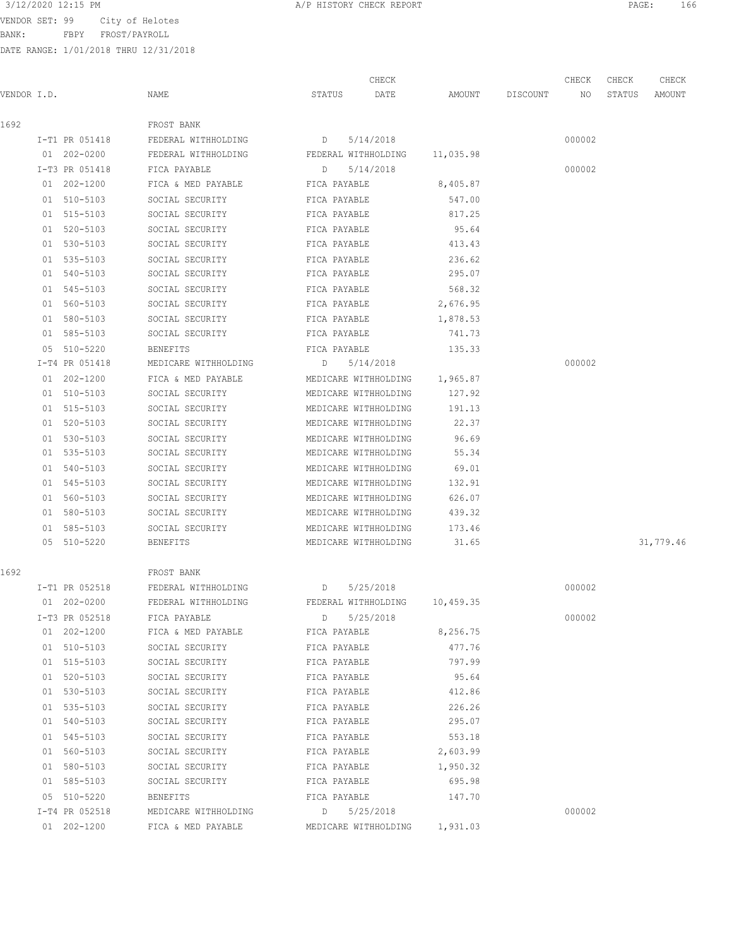VENDOR SET: 99 City of Helotes

BANK: FBPY FROST/PAYROLL

DATE RANGE: 1/01/2018 THRU 12/31/2018

CHECK CHECK CHECK CHECK

| VENDOR I.D. |                | NAME                                                  | STATUS |              | DATE                 | AMOUNT                        | DISCOUNT | NO     | STATUS | AMOUNT    |
|-------------|----------------|-------------------------------------------------------|--------|--------------|----------------------|-------------------------------|----------|--------|--------|-----------|
| 1692        |                | FROST BANK                                            |        |              |                      |                               |          |        |        |           |
|             |                | $D = 5/14/2018$<br>I-T1 PR 051418 FEDERAL WITHHOLDING |        |              |                      |                               |          | 000002 |        |           |
|             | 01 202-0200    | FEDERAL WITHHOLDING FEDERAL WITHHOLDING 11,035.98     |        |              |                      |                               |          |        |        |           |
|             | I-T3 PR 051418 | FICA PAYABLE                                          | D      |              | 5/14/2018            |                               |          | 000002 |        |           |
|             | 01 202-1200    | FICA & MED PAYABLE                                    |        | FICA PAYABLE |                      | 8,405.87                      |          |        |        |           |
|             | 01 510-5103    | SOCIAL SECURITY                                       |        | FICA PAYABLE |                      | 547.00                        |          |        |        |           |
|             | 01 515-5103    | SOCIAL SECURITY                                       |        | FICA PAYABLE |                      | 817.25                        |          |        |        |           |
|             | 01 520-5103    | SOCIAL SECURITY                                       |        | FICA PAYABLE |                      | 95.64                         |          |        |        |           |
|             | 01 530-5103    | SOCIAL SECURITY                                       |        | FICA PAYABLE |                      | 413.43                        |          |        |        |           |
|             | 01 535-5103    | SOCIAL SECURITY                                       |        | FICA PAYABLE |                      | 236.62                        |          |        |        |           |
|             | 01 540-5103    | SOCIAL SECURITY                                       |        | FICA PAYABLE |                      | 295.07                        |          |        |        |           |
|             | 01 545-5103    | SOCIAL SECURITY                                       |        | FICA PAYABLE |                      | 568.32                        |          |        |        |           |
|             | 01 560-5103    | SOCIAL SECURITY                                       |        | FICA PAYABLE |                      | 2,676.95                      |          |        |        |           |
|             | 01 580-5103    | SOCIAL SECURITY                                       |        | FICA PAYABLE |                      | 1,878.53                      |          |        |        |           |
|             | 01 585-5103    | FICA PAYABLE<br>SOCIAL SECURITY                       |        |              |                      | 741.73                        |          |        |        |           |
|             | 05 510-5220    | BENEFITS                                              |        | FICA PAYABLE |                      | 135.33                        |          |        |        |           |
|             | I-T4 PR 051418 | MEDICARE WITHHOLDING                                  |        | D 5/14/2018  |                      |                               |          | 000002 |        |           |
|             | 01 202-1200    | FICA & MED PAYABLE                                    |        |              |                      | MEDICARE WITHHOLDING 1,965.87 |          |        |        |           |
|             | 01 510-5103    | SOCIAL SECURITY                                       |        |              | MEDICARE WITHHOLDING | 127.92                        |          |        |        |           |
|             | 01 515-5103    | SOCIAL SECURITY                                       |        |              | MEDICARE WITHHOLDING | 191.13                        |          |        |        |           |
|             | 01 520-5103    | SOCIAL SECURITY                                       |        |              | MEDICARE WITHHOLDING | 22.37                         |          |        |        |           |
|             | 01 530-5103    | SOCIAL SECURITY                                       |        |              | MEDICARE WITHHOLDING | 96.69                         |          |        |        |           |
|             | 01 535-5103    | SOCIAL SECURITY                                       |        |              | MEDICARE WITHHOLDING | 55.34                         |          |        |        |           |
|             | 01 540-5103    | SOCIAL SECURITY                                       |        |              | MEDICARE WITHHOLDING | 69.01                         |          |        |        |           |
|             | 01 545-5103    | SOCIAL SECURITY                                       |        |              | MEDICARE WITHHOLDING | 132.91                        |          |        |        |           |
|             | 01 560-5103    | SOCIAL SECURITY                                       |        |              | MEDICARE WITHHOLDING | 626.07                        |          |        |        |           |
|             | 01 580-5103    | SOCIAL SECURITY                                       |        |              | MEDICARE WITHHOLDING | 439.32                        |          |        |        |           |
|             | 01 585-5103    | SOCIAL SECURITY                                       |        |              | MEDICARE WITHHOLDING | 173.46                        |          |        |        |           |
|             | 05 510-5220    | BENEFITS                                              |        |              | MEDICARE WITHHOLDING | 31.65                         |          |        |        | 31,779.46 |
| 1692        |                | FROST BANK                                            |        |              |                      |                               |          |        |        |           |
|             | I-T1 PR 052518 | FEDERAL WITHHOLDING                                   | D      |              | 5/25/2018            |                               |          | 000002 |        |           |
|             | 01 202-0200    | FEDERAL WITHHOLDING                                   |        |              |                      | FEDERAL WITHHOLDING 10,459.35 |          |        |        |           |
|             | I-T3 PR 052518 | FICA PAYABLE                                          | D      |              | 5/25/2018            |                               |          | 000002 |        |           |
|             | 01 202-1200    | FICA & MED PAYABLE                                    |        | FICA PAYABLE |                      | 8,256.75                      |          |        |        |           |
|             | 01 510-5103    | SOCIAL SECURITY                                       |        | FICA PAYABLE |                      | 477.76                        |          |        |        |           |
|             | 01 515-5103    | SOCIAL SECURITY                                       |        | FICA PAYABLE |                      | 797.99                        |          |        |        |           |
|             | 01 520-5103    | SOCIAL SECURITY                                       |        | FICA PAYABLE |                      | 95.64                         |          |        |        |           |
|             | 01 530-5103    | SOCIAL SECURITY                                       |        | FICA PAYABLE |                      | 412.86                        |          |        |        |           |
|             | 01 535-5103    | SOCIAL SECURITY                                       |        | FICA PAYABLE |                      | 226.26                        |          |        |        |           |
|             | 01 540-5103    | SOCIAL SECURITY                                       |        | FICA PAYABLE |                      | 295.07                        |          |        |        |           |
|             | 01 545-5103    | SOCIAL SECURITY                                       |        | FICA PAYABLE |                      | 553.18                        |          |        |        |           |
|             | 01 560-5103    | SOCIAL SECURITY                                       |        | FICA PAYABLE |                      | 2,603.99                      |          |        |        |           |
|             | 01 580-5103    | SOCIAL SECURITY                                       |        | FICA PAYABLE |                      | 1,950.32                      |          |        |        |           |
|             | 01 585-5103    | SOCIAL SECURITY                                       |        | FICA PAYABLE |                      | 695.98                        |          |        |        |           |
|             | 05 510-5220    | BENEFITS                                              |        | FICA PAYABLE |                      | 147.70                        |          |        |        |           |
|             | I-T4 PR 052518 | MEDICARE WITHHOLDING                                  |        | D 5/25/2018  |                      |                               |          | 000002 |        |           |

01 202-1200 FICA & MED PAYABLE MEDICARE WITHHOLDING 1,931.03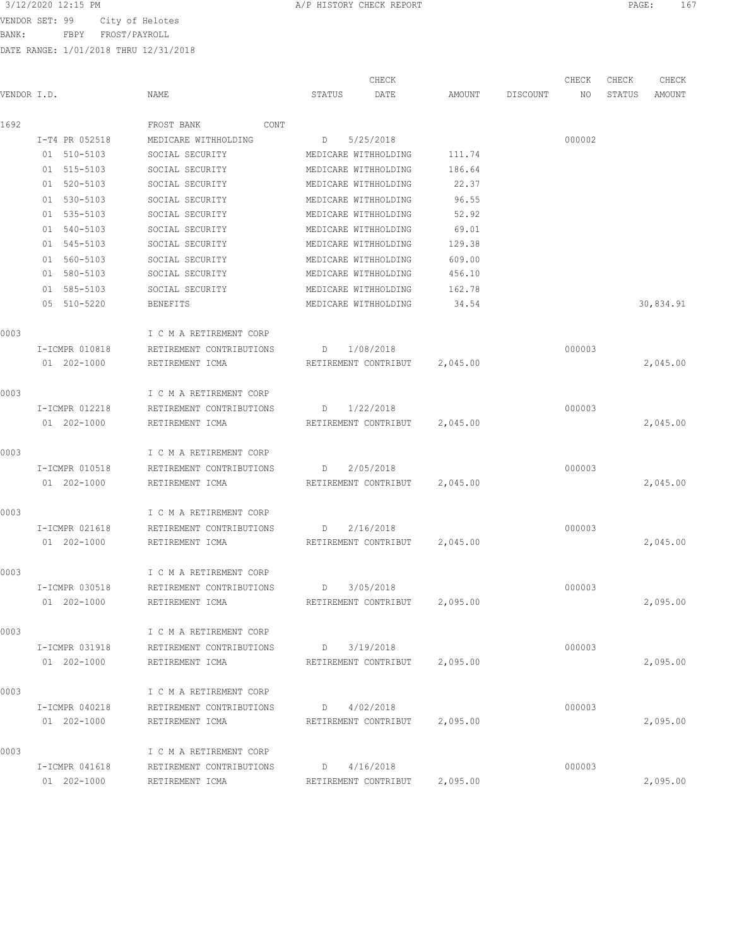VENDOR SET: 99 City of Helotes

BANK: FBPY FROST/PAYROLL

|                |                            | CHECK                          |          |          | CHECK  | CHECK  | CHECK     |
|----------------|----------------------------|--------------------------------|----------|----------|--------|--------|-----------|
| VENDOR I.D.    | NAME                       | DATE<br>STATUS                 | AMOUNT   | DISCOUNT | NO     | STATUS | AMOUNT    |
| 1692           | FROST BANK<br>CONT         |                                |          |          |        |        |           |
| I-T4 PR 052518 | MEDICARE WITHHOLDING       | 5/25/2018<br>D                 |          |          | 000002 |        |           |
| 01 510-5103    | SOCIAL SECURITY            | MEDICARE WITHHOLDING           | 111.74   |          |        |        |           |
| 01 515-5103    | SOCIAL SECURITY            | MEDICARE WITHHOLDING           | 186.64   |          |        |        |           |
| 01 520-5103    | SOCIAL SECURITY            | MEDICARE WITHHOLDING           | 22.37    |          |        |        |           |
| 01 530-5103    | SOCIAL SECURITY            | MEDICARE WITHHOLDING           | 96.55    |          |        |        |           |
| 01 535-5103    | SOCIAL SECURITY            | MEDICARE WITHHOLDING           | 52.92    |          |        |        |           |
| 01 540-5103    | SOCIAL SECURITY            | MEDICARE WITHHOLDING           | 69.01    |          |        |        |           |
| 01 545-5103    | SOCIAL SECURITY            | MEDICARE WITHHOLDING           | 129.38   |          |        |        |           |
| 01 560-5103    | SOCIAL SECURITY            | MEDICARE WITHHOLDING           | 609.00   |          |        |        |           |
| 01 580-5103    | SOCIAL SECURITY            | MEDICARE WITHHOLDING           | 456.10   |          |        |        |           |
| 01 585-5103    | SOCIAL SECURITY            | MEDICARE WITHHOLDING           | 162.78   |          |        |        |           |
| 05 510-5220    | <b>BENEFITS</b>            | MEDICARE WITHHOLDING           | 34.54    |          |        |        | 30,834.91 |
|                |                            |                                |          |          |        |        |           |
| 0003           | I C M A RETIREMENT CORP    |                                |          |          |        |        |           |
| I-ICMPR 010818 | RETIREMENT CONTRIBUTIONS   | 1/08/2018<br>D                 |          |          | 000003 |        |           |
| 01 202-1000    | RETIREMENT ICMA            | RETIREMENT CONTRIBUT 2,045.00  |          |          |        |        | 2,045.00  |
| 0003           | I C M A RETIREMENT CORP    |                                |          |          |        |        |           |
| I-ICMPR 012218 | RETIREMENT CONTRIBUTIONS   | D 1/22/2018                    |          |          | 000003 |        |           |
| 01 202-1000    | RETIREMENT ICMA            | RETIREMENT CONTRIBUT 2,045.00  |          |          |        |        | 2,045.00  |
|                |                            |                                |          |          |        |        |           |
| 0003           | I C M A RETIREMENT CORP    |                                |          |          |        |        |           |
| I-ICMPR 010518 | RETIREMENT CONTRIBUTIONS   | 2/05/2018<br>D                 |          |          | 000003 |        |           |
| 01 202-1000    | RETIREMENT ICMA            | RETIREMENT CONTRIBUT 2,045.00  |          |          |        |        | 2,045.00  |
| 0003           |                            |                                |          |          |        |        |           |
|                | I C M A RETIREMENT CORP    |                                |          |          |        |        |           |
| I-ICMPR 021618 | RETIREMENT CONTRIBUTIONS   | 2/16/2018<br>D                 |          |          | 000003 |        |           |
| 01 202-1000    | RETIREMENT ICMA            | RETIREMENT CONTRIBUT 2,045.00  |          |          |        |        | 2,045.00  |
| 0003           | I C M A RETIREMENT CORP    |                                |          |          |        |        |           |
| I-ICMPR 030518 | RETIREMENT CONTRIBUTIONS D | 3/05/2018                      |          |          | 000003 |        |           |
| 01 202-1000    | RETIREMENT ICMA            | RETIREMENT CONTRIBUT           | 2,095.00 |          |        |        | 2,095.00  |
| 0003           | I C M A RETIREMENT CORP    |                                |          |          |        |        |           |
| I-ICMPR 031918 | RETIREMENT CONTRIBUTIONS   | 3/19/2018<br>$D \qquad \qquad$ |          |          | 000003 |        |           |
| 01 202-1000    | RETIREMENT ICMA            | RETIREMENT CONTRIBUT 2,095.00  |          |          |        |        | 2,095.00  |
|                |                            |                                |          |          |        |        |           |
| 0003           | I C M A RETIREMENT CORP    |                                |          |          |        |        |           |
| I-ICMPR 040218 | RETIREMENT CONTRIBUTIONS   | 4/02/2018<br>D                 |          |          | 000003 |        |           |
| 01 202-1000    | RETIREMENT ICMA            | RETIREMENT CONTRIBUT 2,095.00  |          |          |        |        | 2,095.00  |
| 0003           | I C M A RETIREMENT CORP    |                                |          |          |        |        |           |
| I-ICMPR 041618 | RETIREMENT CONTRIBUTIONS   | D 4/16/2018                    |          |          | 000003 |        |           |
| 01 202-1000    | RETIREMENT ICMA            | RETIREMENT CONTRIBUT           | 2,095.00 |          |        |        | 2,095.00  |
|                |                            |                                |          |          |        |        |           |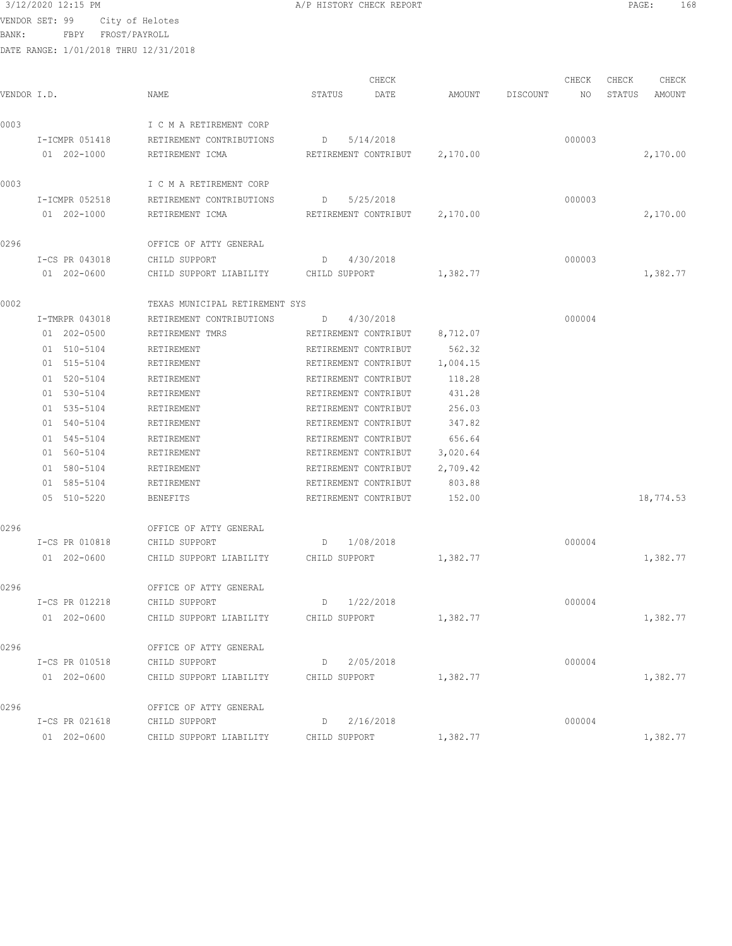VENDOR SET: 99 City of Helotes

BANK: FBPY FROST/PAYROLL

|  | A/P HISTORY CHECK REPORT |  |  |
|--|--------------------------|--|--|
|  |                          |  |  |

| VENDOR I.D. |                | NAME                           | CHECK<br>STATUS<br>DATE | AMOUNT   | DISCOUNT | CHECK<br>NO | CHECK<br>STATUS | CHECK<br>AMOUNT |
|-------------|----------------|--------------------------------|-------------------------|----------|----------|-------------|-----------------|-----------------|
| 0003        |                | I C M A RETIREMENT CORP        |                         |          |          |             |                 |                 |
|             | I-ICMPR 051418 | RETIREMENT CONTRIBUTIONS       | 5/14/2018<br>D          |          |          | 000003      |                 |                 |
|             | 01 202-1000    | RETIREMENT ICMA                | RETIREMENT CONTRIBUT    | 2,170.00 |          |             |                 | 2,170.00        |
| 0003        |                | I C M A RETIREMENT CORP        |                         |          |          |             |                 |                 |
|             | I-ICMPR 052518 | RETIREMENT CONTRIBUTIONS       | 5/25/2018<br>D          |          |          | 000003      |                 |                 |
|             | 01 202-1000    | RETIREMENT ICMA                | RETIREMENT CONTRIBUT    | 2,170.00 |          |             |                 | 2,170.00        |
| 0296        |                | OFFICE OF ATTY GENERAL         |                         |          |          |             |                 |                 |
|             | I-CS PR 043018 | CHILD SUPPORT                  | 4/30/2018<br>D          |          |          | 000003      |                 |                 |
|             | 01 202-0600    | CHILD SUPPORT LIABILITY        | CHILD SUPPORT           | 1,382.77 |          |             |                 | 1,382.77        |
| 0002        |                | TEXAS MUNICIPAL RETIREMENT SYS |                         |          |          |             |                 |                 |
|             | I-TMRPR 043018 | RETIREMENT CONTRIBUTIONS       | 4/30/2018<br>D          |          |          | 000004      |                 |                 |
|             | 01 202-0500    | RETIREMENT TMRS                | RETIREMENT CONTRIBUT    | 8,712.07 |          |             |                 |                 |
|             | 01 510-5104    | RETIREMENT                     | RETIREMENT CONTRIBUT    | 562.32   |          |             |                 |                 |
|             | 01 515-5104    | RETIREMENT                     | RETIREMENT CONTRIBUT    | 1,004.15 |          |             |                 |                 |
|             | 01 520-5104    | RETIREMENT                     | RETIREMENT CONTRIBUT    | 118.28   |          |             |                 |                 |
|             | 01 530-5104    | RETIREMENT                     | RETIREMENT CONTRIBUT    | 431.28   |          |             |                 |                 |
|             | 01 535-5104    | RETIREMENT                     | RETIREMENT CONTRIBUT    | 256.03   |          |             |                 |                 |
|             | 01 540-5104    | RETIREMENT                     | RETIREMENT CONTRIBUT    | 347.82   |          |             |                 |                 |
|             | 01 545-5104    | RETIREMENT                     | RETIREMENT CONTRIBUT    | 656.64   |          |             |                 |                 |
|             | 01 560-5104    | RETIREMENT                     | RETIREMENT CONTRIBUT    | 3,020.64 |          |             |                 |                 |
|             | 01 580-5104    | RETIREMENT                     | RETIREMENT CONTRIBUT    | 2,709.42 |          |             |                 |                 |
|             | 01 585-5104    | RETIREMENT                     | RETIREMENT CONTRIBUT    | 803.88   |          |             |                 |                 |
|             | 05 510-5220    | <b>BENEFITS</b>                | RETIREMENT CONTRIBUT    | 152.00   |          |             |                 | 18,774.53       |
| 0296        |                | OFFICE OF ATTY GENERAL         |                         |          |          |             |                 |                 |
|             | I-CS PR 010818 | CHILD SUPPORT                  | 1/08/2018<br>D          |          |          | 000004      |                 |                 |
|             | 01 202-0600    | CHILD SUPPORT LIABILITY        | CHILD SUPPORT           | 1,382.77 |          |             |                 | 1,382.77        |
| 0296        |                | OFFICE OF ATTY GENERAL         |                         |          |          |             |                 |                 |
|             | I-CS PR 012218 | CHILD SUPPORT                  | 1/22/2018<br>D          |          |          | 000004      |                 |                 |
|             | 01 202-0600    | CHILD SUPPORT LIABILITY        | CHILD SUPPORT           | 1,382.77 |          |             |                 | 1,382.77        |
| 0296        |                | OFFICE OF ATTY GENERAL         |                         |          |          |             |                 |                 |
|             | I-CS PR 010518 | CHILD SUPPORT                  | 2/05/2018<br>D          |          |          | 000004      |                 |                 |
|             | 01 202-0600    | CHILD SUPPORT LIABILITY        | CHILD SUPPORT           | 1,382.77 |          |             |                 | 1,382.77        |
| 0296        |                | OFFICE OF ATTY GENERAL         |                         |          |          |             |                 |                 |
|             | I-CS PR 021618 | CHILD SUPPORT                  | 2/16/2018<br>D          |          |          | 000004      |                 |                 |
|             | 01 202-0600    | CHILD SUPPORT LIABILITY        | CHILD SUPPORT           | 1,382.77 |          |             |                 | 1,382.77        |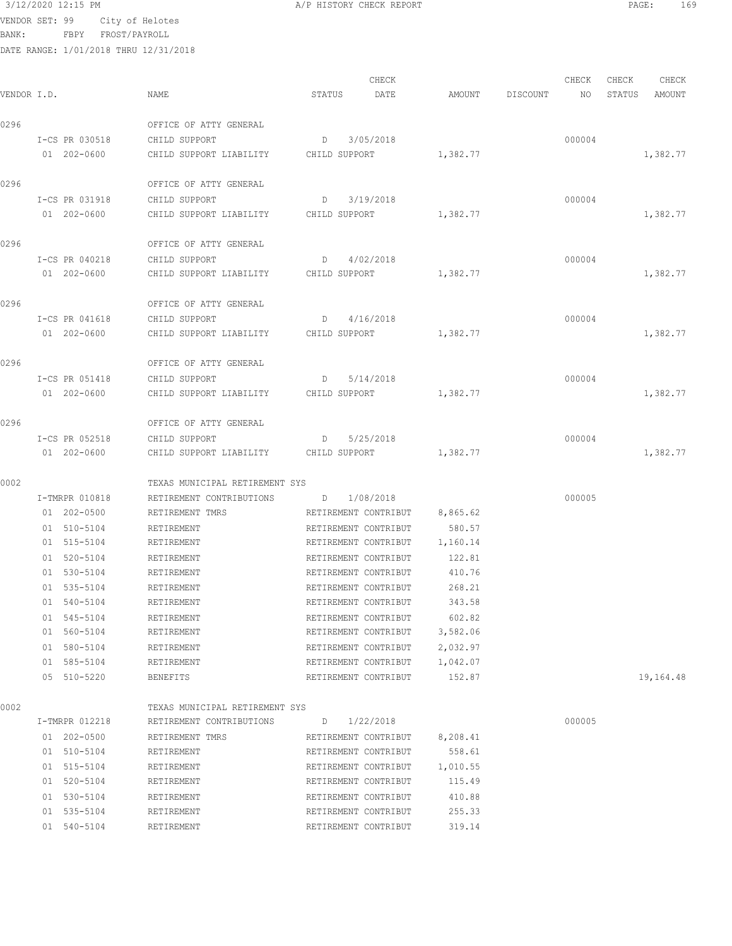VENDOR SET: 99 City of Helotes

BANK: FBPY FROST/PAYROLL

DATE RANGE: 1/01/2018 THRU 12/31/2018

| /P HISTORY CHECK REPORT |  |  |
|-------------------------|--|--|
|                         |  |  |

CHECK CHECK CHECK CHECK CHECK CHECK CHECK CHECK CHECK CHECK CHECK CHECK CHECK CHECK CHECK CHECK CHECK CHECK CHECK CHECK CHECK CHECK CHECK CHECK CHECK CHECK CHECK CHECK CHECK CHECK CHECK CHECK CHECK CHECK CHECK CHECK CHECK VENDOR I.D. NAME STATUS DATE AMOUNT DISCOUNT NO STATUS AMOUNT 0296 OFFICE OF ATTY GENERAL I-CS PR 030518 CHILD SUPPORT D 3/05/2018 000004 01 202-0600 CHILD SUPPORT LIABILITY CHILD SUPPORT 1,382.77 1,382.77 1,382.77 0296 OFFICE OF ATTY GENERAL I-CS PR 031918 CHILD SUPPORT D 3/19/2018 000004 01 202-0600 CHILD SUPPORT LIABILITY CHILD SUPPORT 1,382.77 1,382.77 1,382.77 0296 OFFICE OF ATTY GENERAL I-CS PR 040218 CHILD SUPPORT D 4/02/2018 000004 01 202-0600 CHILD SUPPORT LIABILITY CHILD SUPPORT 1,382.77 1,382.77 1,382.77 0296 OFFICE OF ATTY GENERAL I-CS PR 041618 CHILD SUPPORT D 4/16/2018 000004 01 202-0600 CHILD SUPPORT LIABILITY CHILD SUPPORT 1,382.77 1,382.77 1,382.77 0296 OFFICE OF ATTY GENERAL I-CS PR 051418 CHILD SUPPORT D 5/14/2018 000004 01 202-0600 CHILD SUPPORT LIABILITY CHILD SUPPORT 1,382.77 1,382.77 1,382.77 0296 **OFFICE OF ATTY GENERAL**  I-CS PR 052518 CHILD SUPPORT D 5/25/2018 000004 01 202-0600 CHILD SUPPORT LIABILITY CHILD SUPPORT 1,382.77 1,382.77 0002 TEXAS MUNICIPAL RETIREMENT SYS I-TMRPR 010818 RETIREMENT CONTRIBUTIONS D 1/08/2018 000005 01 202-0500 RETIREMENT TMRS RETIREMENT CONTRIBUT 8,865.62 01 510-5104 RETIREMENT RETIREMENT CONTRIBUT 580.57 01 515-5104 RETIREMENT RETIREMENT CONTRIBUT 1,160.14 01 520-5104 RETIREMENT RETIREMENT RETIREMENT CONTRIBUT 122.81 01 530-5104 RETIREMENT RETIREMENT CONTRIBUT 410.76 01 535-5104 RETIREMENT RETIREMENT CONTRIBUT 268.21 01 540-5104 RETIREMENT RETIREMENT CONTRIBUT 343.58 01 545-5104 RETIREMENT RETIREMENT CONTRIBUT 602.82 01 560-5104 RETIREMENT RETIREMENT CONTRIBUT 3,582.06 01 580-5104 RETIREMENT RETIREMENT RETIREMENT CONTRIBUT 2,032.97 01 585-5104 RETIREMENT RETIREMENT RETIREMENT CONTRIBUT 1,042.07 05 510-5220 BENEFITS RETIREMENT CONTRIBUT 152.87 19,164.48 0002 TEXAS MUNICIPAL RETIREMENT SYS I-TMRPR 012218 RETIREMENT CONTRIBUTIONS D 1/22/2018 000005 01 202-0500 RETIREMENT TMRS RETIREMENT CONTRIBUT 8,208.41 01 510-5104 RETIREMENT RETIREMENT CONTRIBUT 558.61 01 515-5104 RETIREMENT RETIREMENT CONTRIBUT 1,010.55 01 520-5104 RETIREMENT RETIREMENT RETIREMENT CONTRIBUT 115.49 01 530-5104 RETIREMENT RETIREMENT CONTRIBUT 410.88 01 535-5104 RETIREMENT RETIREMENT RETIREMENT CONTRIBUT 255.33 01 540-5104 RETIREMENT RETIREMENT CONTRIBUT 319.14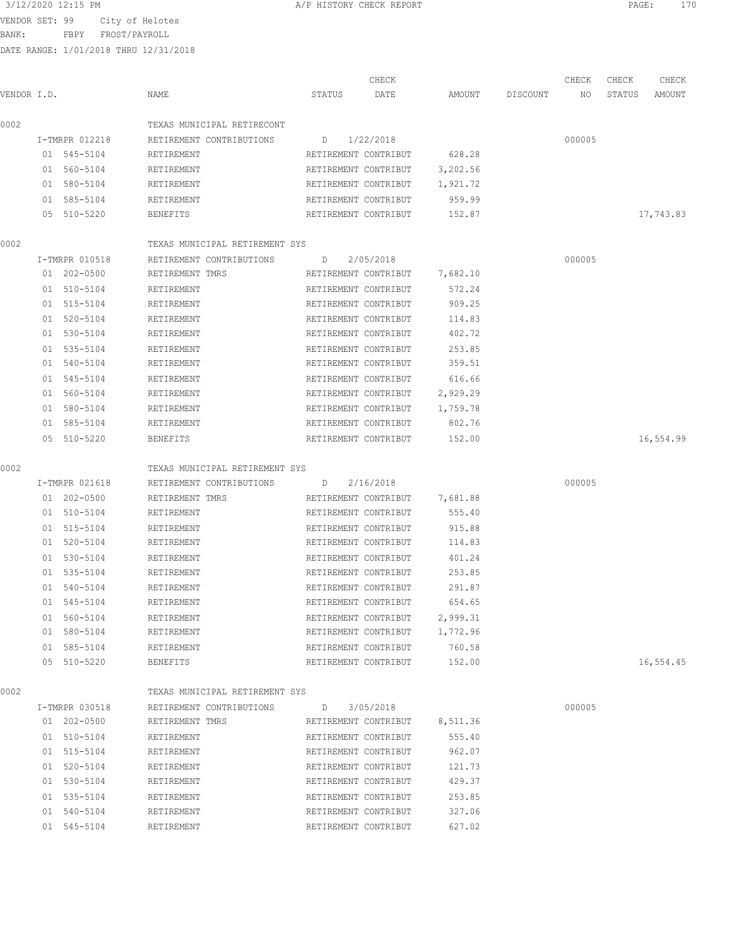BANK: FBPY FROST/PAYROLL

| VENDOR I.D. |    |                               | NAME                                   | STATUS | CHECK<br>DATE                                | AMOUNT               | DISCOUNT | CHECK<br>NO | CHECK<br>STATUS | CHECK<br>AMOUNT |
|-------------|----|-------------------------------|----------------------------------------|--------|----------------------------------------------|----------------------|----------|-------------|-----------------|-----------------|
| 0002        |    |                               | TEXAS MUNICIPAL RETIRECONT             |        |                                              |                      |          |             |                 |                 |
|             |    |                               |                                        |        |                                              |                      |          |             |                 |                 |
|             |    | I-TMRPR 012218<br>01 545-5104 | RETIREMENT CONTRIBUTIONS<br>RETIREMENT | D      | 1/22/2018<br>RETIREMENT CONTRIBUT            | 628.28               |          | 000005      |                 |                 |
|             |    |                               |                                        |        |                                              |                      |          |             |                 |                 |
|             |    | 01 560-5104<br>01 580-5104    | RETIREMENT<br>RETIREMENT               |        | RETIREMENT CONTRIBUT<br>RETIREMENT CONTRIBUT | 3,202.56<br>1,921.72 |          |             |                 |                 |
|             |    | 01 585-5104                   | RETIREMENT                             |        | RETIREMENT CONTRIBUT                         | 959.99               |          |             |                 |                 |
|             |    | 05 510-5220                   | <b>BENEFITS</b>                        |        | RETIREMENT CONTRIBUT                         | 152.87               |          |             |                 | 17,743.83       |
| 0002        |    |                               | TEXAS MUNICIPAL RETIREMENT SYS         |        |                                              |                      |          |             |                 |                 |
|             |    | I-TMRPR 010518                | RETIREMENT CONTRIBUTIONS               | D      | 2/05/2018                                    |                      |          | 000005      |                 |                 |
|             |    | 01 202-0500                   | RETIREMENT TMRS                        |        | RETIREMENT CONTRIBUT                         | 7,682.10             |          |             |                 |                 |
|             |    | 01 510-5104                   | RETIREMENT                             |        | RETIREMENT CONTRIBUT                         | 572.24               |          |             |                 |                 |
|             |    | 01 515-5104                   | RETIREMENT                             |        | RETIREMENT CONTRIBUT                         | 909.25               |          |             |                 |                 |
|             |    | 01 520-5104                   | RETIREMENT                             |        | RETIREMENT CONTRIBUT                         | 114.83               |          |             |                 |                 |
|             |    | 01 530-5104                   | RETIREMENT                             |        | RETIREMENT CONTRIBUT                         | 402.72               |          |             |                 |                 |
|             |    | $01 535 - 5104$               | RETIREMENT                             |        | RETIREMENT CONTRIBUT                         | 253.85               |          |             |                 |                 |
|             |    | 01 540-5104                   | RETIREMENT                             |        | RETIREMENT CONTRIBUT                         | 359.51               |          |             |                 |                 |
|             |    | 01 545-5104                   | RETIREMENT                             |        | RETIREMENT CONTRIBUT                         | 616.66               |          |             |                 |                 |
|             |    | 01 560-5104                   | RETIREMENT                             |        | RETIREMENT CONTRIBUT                         | 2,929.29             |          |             |                 |                 |
|             | 01 | 580-5104                      | RETIREMENT                             |        | RETIREMENT CONTRIBUT                         | 1,759.78             |          |             |                 |                 |
|             |    | 01 585-5104                   | RETIREMENT                             |        | RETIREMENT CONTRIBUT                         | 802.76               |          |             |                 |                 |
|             |    | 05 510-5220                   | <b>BENEFITS</b>                        |        | RETIREMENT CONTRIBUT                         | 152.00               |          |             |                 | 16,554.99       |
| 0002        |    |                               | TEXAS MUNICIPAL RETIREMENT SYS         |        |                                              |                      |          |             |                 |                 |
|             |    | I-TMRPR 021618                | RETIREMENT CONTRIBUTIONS               | D      | 2/16/2018                                    |                      |          | 000005      |                 |                 |
|             |    | 01 202-0500                   | RETIREMENT TMRS                        |        | RETIREMENT CONTRIBUT                         | 7,681.88             |          |             |                 |                 |
|             |    | 01 510-5104                   | RETIREMENT                             |        | RETIREMENT CONTRIBUT                         | 555.40               |          |             |                 |                 |
|             |    | 01 515-5104                   | RETIREMENT                             |        | RETIREMENT CONTRIBUT                         | 915.88               |          |             |                 |                 |
|             |    | 01 520-5104                   | RETIREMENT                             |        | RETIREMENT CONTRIBUT                         | 114.83               |          |             |                 |                 |
|             |    | 01 530-5104                   | RETIREMENT                             |        | RETIREMENT CONTRIBUT                         | 401.24               |          |             |                 |                 |
|             |    | 01 535-5104                   | RETIREMENT                             |        | RETIREMENT CONTRIBUT                         | 253.85               |          |             |                 |                 |
|             |    | 01 540-5104                   | RETIREMENT                             |        | RETIREMENT CONTRIBUT                         | 291.87               |          |             |                 |                 |
|             |    | 01 545-5104                   | RETIREMENT                             |        | RETIREMENT CONTRIBUT                         | 654.65               |          |             |                 |                 |
|             |    | 01 560-5104                   | RETIREMENT                             |        | RETIREMENT CONTRIBUT                         | 2,999.31             |          |             |                 |                 |
|             |    | 01 580-5104                   | RETIREMENT                             |        | RETIREMENT CONTRIBUT                         | 1,772.96             |          |             |                 |                 |
|             |    | 01 585-5104                   | RETIREMENT                             |        | RETIREMENT CONTRIBUT                         | 760.58               |          |             |                 |                 |
|             |    | 05 510-5220                   | BENEFITS                               |        | RETIREMENT CONTRIBUT                         | 152.00               |          |             |                 | 16,554.45       |
| 0002        |    |                               | TEXAS MUNICIPAL RETIREMENT SYS         |        |                                              |                      |          |             |                 |                 |
|             |    | I-TMRPR 030518                | RETIREMENT CONTRIBUTIONS               |        | $D$ 3/05/2018                                |                      |          | 000005      |                 |                 |
|             |    | 01 202-0500                   | RETIREMENT TMRS                        |        | RETIREMENT CONTRIBUT                         | 8,511.36             |          |             |                 |                 |
|             |    | 01 510-5104                   | RETIREMENT                             |        | RETIREMENT CONTRIBUT                         | 555.40               |          |             |                 |                 |
|             |    | 01 515-5104                   | RETIREMENT                             |        | RETIREMENT CONTRIBUT                         | 962.07               |          |             |                 |                 |
|             |    | 01 520-5104                   | RETIREMENT                             |        | RETIREMENT CONTRIBUT                         | 121.73               |          |             |                 |                 |
|             |    | 01 530-5104                   | RETIREMENT                             |        | RETIREMENT CONTRIBUT                         | 429.37               |          |             |                 |                 |
|             |    | 01 535-5104                   | RETIREMENT                             |        | RETIREMENT CONTRIBUT                         | 253.85               |          |             |                 |                 |
|             |    | 01 540-5104                   | RETIREMENT                             |        | RETIREMENT CONTRIBUT                         | 327.06               |          |             |                 |                 |
|             |    | 01 545-5104                   | RETIREMENT                             |        | RETIREMENT CONTRIBUT                         | 627.02               |          |             |                 |                 |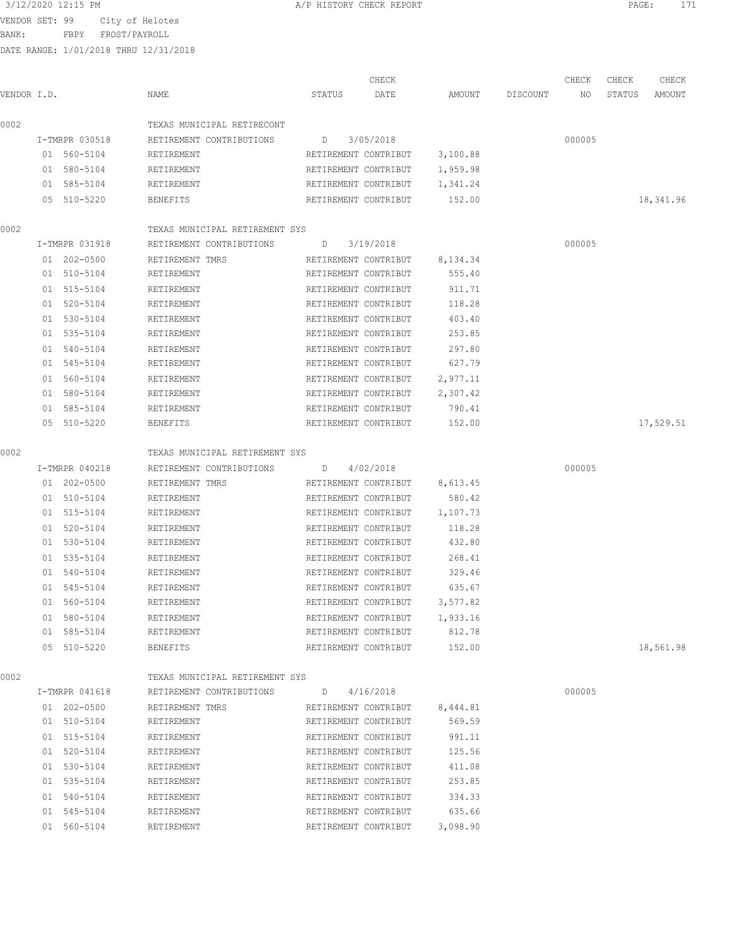VENDOR SET: 99 City of Helotes

BANK: FBPY FROST/PAYROLL

DATE RANGE: 1/01/2018 THRU 12/31/2018

|             |                            |                                                            | CHECK                                               |          |          | CHECK  | CHECK  | CHECK     |
|-------------|----------------------------|------------------------------------------------------------|-----------------------------------------------------|----------|----------|--------|--------|-----------|
| VENDOR I.D. |                            | NAME                                                       | STATUS<br>DATE                                      | AMOUNT   | DISCOUNT | NO.    | STATUS | AMOUNT    |
| 0002        |                            | TEXAS MUNICIPAL RETIRECONT                                 |                                                     |          |          |        |        |           |
|             | I-TMRPR 030518             | RETIREMENT CONTRIBUTIONS                                   | 3/05/2018<br>D                                      |          |          | 000005 |        |           |
|             | 01 560-5104                | RETIREMENT                                                 | RETIREMENT CONTRIBUT                                | 3,100.88 |          |        |        |           |
|             | 01 580-5104                | RETIREMENT                                                 | RETIREMENT CONTRIBUT                                | 1,959.98 |          |        |        |           |
|             | 01 585-5104                | RETIREMENT                                                 | RETIREMENT CONTRIBUT                                | 1,341.24 |          |        |        |           |
|             | 05 510-5220                | <b>BENEFITS</b>                                            | RETIREMENT CONTRIBUT                                | 152.00   |          |        |        | 18,341.96 |
| 0002        |                            | TEXAS MUNICIPAL RETIREMENT SYS                             |                                                     |          |          |        |        |           |
|             | I-TMRPR 031918             | RETIREMENT CONTRIBUTIONS                                   | 3/19/2018<br>D                                      |          |          | 000005 |        |           |
|             | 01 202-0500                | RETIREMENT TMRS                                            | RETIREMENT CONTRIBUT                                | 8,134.34 |          |        |        |           |
|             | 01 510-5104                | RETIREMENT                                                 | RETIREMENT CONTRIBUT                                | 555.40   |          |        |        |           |
|             | 01 515-5104                | RETIREMENT                                                 | RETIREMENT CONTRIBUT                                | 911.71   |          |        |        |           |
|             | 01 520-5104                | RETIREMENT                                                 | RETIREMENT CONTRIBUT                                | 118.28   |          |        |        |           |
|             | 01 530-5104                | RETIREMENT                                                 | RETIREMENT CONTRIBUT                                | 403.40   |          |        |        |           |
|             | 01 535-5104                | RETIREMENT                                                 | RETIREMENT CONTRIBUT                                | 253.85   |          |        |        |           |
|             | 01 540-5104                | RETIREMENT                                                 | RETIREMENT CONTRIBUT                                | 297.80   |          |        |        |           |
|             | 01 545-5104                | RETIREMENT                                                 | RETIREMENT CONTRIBUT                                | 627.79   |          |        |        |           |
|             | 01 560-5104                | RETIREMENT                                                 | RETIREMENT CONTRIBUT                                | 2,977.11 |          |        |        |           |
|             | 01 580-5104                | RETIREMENT                                                 | RETIREMENT CONTRIBUT                                | 2,307.42 |          |        |        |           |
|             | 01 585-5104                | RETIREMENT                                                 | RETIREMENT CONTRIBUT                                | 790.41   |          |        |        |           |
|             | 05 510-5220                | BENEFITS                                                   | RETIREMENT CONTRIBUT                                | 152.00   |          |        |        | 17,529.51 |
| 0002        |                            | TEXAS MUNICIPAL RETIREMENT SYS                             |                                                     |          |          |        |        |           |
|             | I-TMRPR 040218             | RETIREMENT CONTRIBUTIONS D                                 | 4/02/2018                                           |          |          | 000005 |        |           |
|             | 01 202-0500                | RETIREMENT TMRS                                            | RETIREMENT CONTRIBUT                                | 8,613.45 |          |        |        |           |
|             | 01 510-5104                | RETIREMENT                                                 | RETIREMENT CONTRIBUT                                | 580.42   |          |        |        |           |
|             | 01 515-5104                | RETIREMENT                                                 | RETIREMENT CONTRIBUT                                | 1,107.73 |          |        |        |           |
|             | 01 520-5104                | RETIREMENT                                                 | RETIREMENT CONTRIBUT                                | 118.28   |          |        |        |           |
|             | 01 530-5104                | RETIREMENT                                                 | RETIREMENT CONTRIBUT                                | 432.80   |          |        |        |           |
|             | 01 535-5104                | RETIREMENT                                                 | RETIREMENT CONTRIBUT                                | 268.41   |          |        |        |           |
|             | 01 540-5104                | RETIREMENT                                                 | RETIREMENT CONTRIBUT                                | 329.46   |          |        |        |           |
|             | 01 545-5104                | RETIREMENT                                                 | RETIREMENT CONTRIBUT                                | 635.67   |          |        |        |           |
|             | 01 560-5104                | RETIREMENT                                                 | RETIREMENT CONTRIBUT                                | 3,577.82 |          |        |        |           |
|             |                            |                                                            |                                                     |          |          |        |        |           |
|             | 01 580-5104<br>01 585-5104 | RETIREMENT<br>RETIREMENT                                   | RETIREMENT CONTRIBUT 1,933.16                       | 812.78   |          |        |        |           |
|             | 05 510-5220                | BENEFITS                                                   | RETIREMENT CONTRIBUT<br>RETIREMENT CONTRIBUT 152.00 |          |          |        |        | 18,561.98 |
|             |                            |                                                            |                                                     |          |          |        |        |           |
| 0002        | I-TMRPR 041618             | TEXAS MUNICIPAL RETIREMENT SYS<br>RETIREMENT CONTRIBUTIONS | $D = 4/16/2018$                                     |          |          | 000005 |        |           |
|             | 01 202-0500                | RETIREMENT TMRS                                            | RETIREMENT CONTRIBUT 8,444.81                       |          |          |        |        |           |
|             | 01 510-5104                | RETIREMENT                                                 | RETIREMENT CONTRIBUT                                | 569.59   |          |        |        |           |
|             | 01 515-5104                | RETIREMENT                                                 | RETIREMENT CONTRIBUT                                | 991.11   |          |        |        |           |
|             | 01 520-5104                | RETIREMENT                                                 | RETIREMENT CONTRIBUT                                | 125.56   |          |        |        |           |
|             | 01 530-5104                | RETIREMENT                                                 | RETIREMENT CONTRIBUT                                | 411.08   |          |        |        |           |
|             | 01 535-5104                | RETIREMENT                                                 | RETIREMENT CONTRIBUT                                | 253.85   |          |        |        |           |
|             | 01 540-5104                | RETIREMENT                                                 | RETIREMENT CONTRIBUT                                | 334.33   |          |        |        |           |
|             | 01 545-5104                | RETIREMENT                                                 | RETIREMENT CONTRIBUT                                | 635.66   |          |        |        |           |
|             |                            |                                                            |                                                     |          |          |        |        |           |

01 560-5104 RETIREMENT RETIREMENT RETIREMENT CONTRIBUT 3,098.90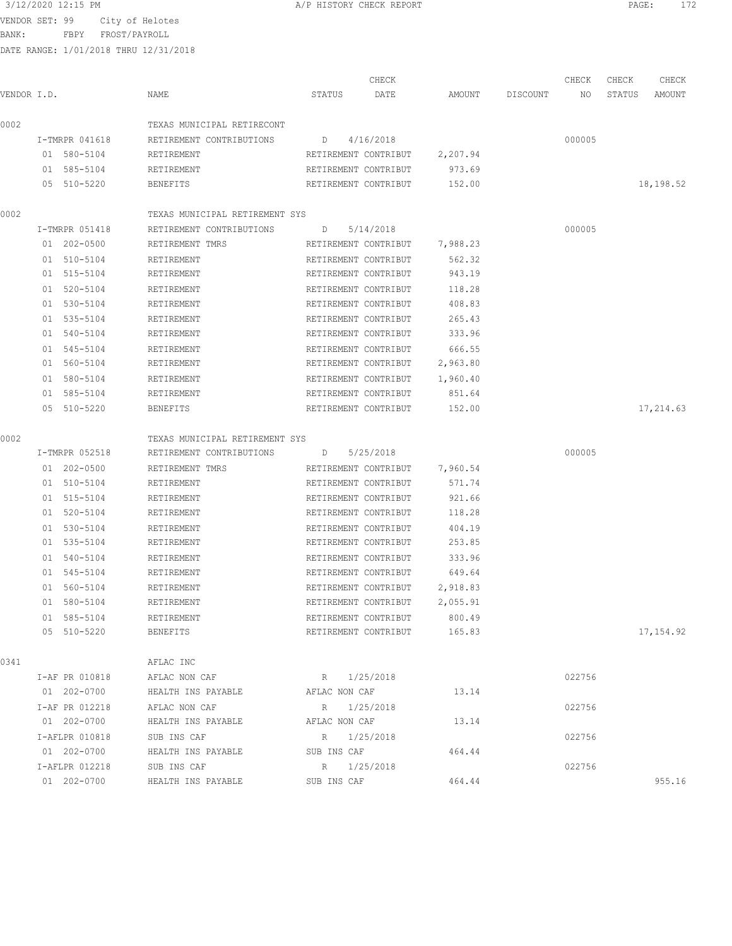BANK: FBPY FROST/PAYROLL

|             |                |                                |                   | CHECK                |          |          | CHECK  | CHECK  | CHECK     |
|-------------|----------------|--------------------------------|-------------------|----------------------|----------|----------|--------|--------|-----------|
| VENDOR I.D. |                | NAME                           | STATUS            | DATE                 | AMOUNT   | DISCOUNT | NO     | STATUS | AMOUNT    |
| 0002        |                | TEXAS MUNICIPAL RETIRECONT     |                   |                      |          |          |        |        |           |
|             | I-TMRPR 041618 | RETIREMENT CONTRIBUTIONS       | D                 | 4/16/2018            |          |          | 000005 |        |           |
|             | 01 580-5104    | RETIREMENT                     |                   | RETIREMENT CONTRIBUT | 2,207.94 |          |        |        |           |
|             | 01 585-5104    | RETIREMENT                     |                   | RETIREMENT CONTRIBUT | 973.69   |          |        |        |           |
|             | 05 510-5220    | BENEFITS                       |                   | RETIREMENT CONTRIBUT | 152.00   |          |        |        | 18,198.52 |
| 0002        |                | TEXAS MUNICIPAL RETIREMENT SYS |                   |                      |          |          |        |        |           |
|             | I-TMRPR 051418 | RETIREMENT CONTRIBUTIONS       | $D \qquad \qquad$ | 5/14/2018            |          |          | 000005 |        |           |
|             | 01 202-0500    | RETIREMENT TMRS                |                   | RETIREMENT CONTRIBUT | 7,988.23 |          |        |        |           |
|             | 01 510-5104    | RETIREMENT                     |                   | RETIREMENT CONTRIBUT | 562.32   |          |        |        |           |
|             | 01 515-5104    | RETIREMENT                     |                   | RETIREMENT CONTRIBUT | 943.19   |          |        |        |           |
|             | 01 520-5104    | RETIREMENT                     |                   | RETIREMENT CONTRIBUT | 118.28   |          |        |        |           |
|             | 01 530-5104    | RETIREMENT                     |                   | RETIREMENT CONTRIBUT | 408.83   |          |        |        |           |
|             | 01 535-5104    | RETIREMENT                     |                   | RETIREMENT CONTRIBUT | 265.43   |          |        |        |           |
|             | 01 540-5104    | RETIREMENT                     |                   | RETIREMENT CONTRIBUT | 333.96   |          |        |        |           |
|             | 01 545-5104    | RETIREMENT                     |                   | RETIREMENT CONTRIBUT | 666.55   |          |        |        |           |
|             | 01 560-5104    | RETIREMENT                     |                   | RETIREMENT CONTRIBUT | 2,963.80 |          |        |        |           |
|             | 01 580-5104    | RETIREMENT                     |                   | RETIREMENT CONTRIBUT | 1,960.40 |          |        |        |           |
|             | 01 585-5104    | RETIREMENT                     |                   | RETIREMENT CONTRIBUT | 851.64   |          |        |        |           |
|             | 05 510-5220    | <b>BENEFITS</b>                |                   | RETIREMENT CONTRIBUT | 152.00   |          |        |        | 17,214.63 |
| 0002        |                | TEXAS MUNICIPAL RETIREMENT SYS |                   |                      |          |          |        |        |           |
|             | I-TMRPR 052518 | RETIREMENT CONTRIBUTIONS       | D                 | 5/25/2018            |          |          | 000005 |        |           |
|             | 01 202-0500    | RETIREMENT TMRS                |                   | RETIREMENT CONTRIBUT | 7,960.54 |          |        |        |           |
|             | 01 510-5104    | RETIREMENT                     |                   | RETIREMENT CONTRIBUT | 571.74   |          |        |        |           |
|             | 01 515-5104    | RETIREMENT                     |                   | RETIREMENT CONTRIBUT | 921.66   |          |        |        |           |
|             | 01 520-5104    | RETIREMENT                     |                   | RETIREMENT CONTRIBUT | 118.28   |          |        |        |           |
|             | 01 530-5104    | RETIREMENT                     |                   | RETIREMENT CONTRIBUT | 404.19   |          |        |        |           |
|             | 01 535-5104    | RETIREMENT                     |                   | RETIREMENT CONTRIBUT | 253.85   |          |        |        |           |
|             | 01 540-5104    | RETIREMENT                     |                   | RETIREMENT CONTRIBUT | 333.96   |          |        |        |           |
|             | 01 545-5104    | RETIREMENT                     |                   | RETIREMENT CONTRIBUT | 649.64   |          |        |        |           |
|             | 01 560-5104    | RETIREMENT                     |                   | RETIREMENT CONTRIBUT | 2,918.83 |          |        |        |           |
|             | 01 580-5104    | RETIREMENT                     |                   | RETIREMENT CONTRIBUT | 2,055.91 |          |        |        |           |
|             | 01 585-5104    | RETIREMENT                     |                   | RETIREMENT CONTRIBUT | 800.49   |          |        |        |           |
|             | 05 510-5220    | BENEFITS                       |                   | RETIREMENT CONTRIBUT | 165.83   |          |        |        | 17,154.92 |
| 0341        |                | AFLAC INC                      |                   |                      |          |          |        |        |           |
|             | I-AF PR 010818 | AFLAC NON CAF                  | R 1/25/2018       |                      |          |          | 022756 |        |           |
|             | 01 202-0700    | HEALTH INS PAYABLE             | AFLAC NON CAF     |                      | 13.14    |          |        |        |           |
|             | I-AF PR 012218 | AFLAC NON CAF                  | R 1/25/2018       |                      |          |          | 022756 |        |           |
|             | 01 202-0700    | HEALTH INS PAYABLE             | AFLAC NON CAF     |                      | 13.14    |          |        |        |           |
|             | I-AFLPR 010818 | SUB INS CAF                    | R 1/25/2018       |                      |          |          | 022756 |        |           |
|             | 01 202-0700    | HEALTH INS PAYABLE             | SUB INS CAF       |                      | 464.44   |          |        |        |           |
|             | I-AFLPR 012218 | SUB INS CAF                    | R 1/25/2018       |                      |          |          | 022756 |        |           |
|             | 01 202-0700    | HEALTH INS PAYABLE             | SUB INS CAF       |                      | 464.44   |          |        |        | 955.16    |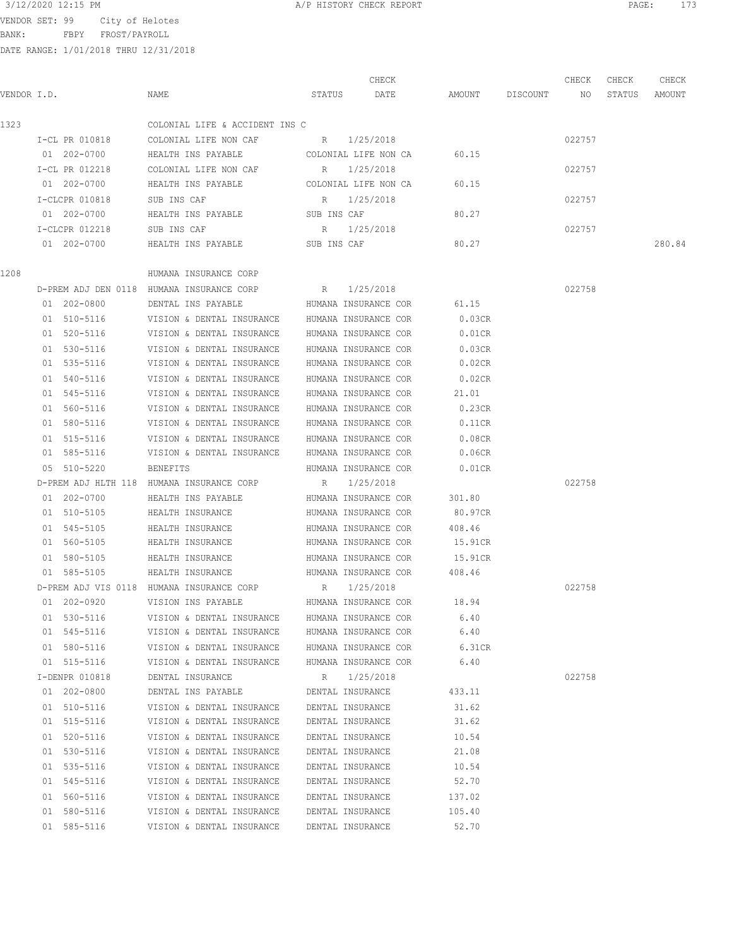3/12/2020 12:15 PM **A/P HISTORY CHECK REPORT PAGE:** 173

BANK: FBPY FROST/PAYROLL

|             |                |                                           |                      | CHECK                |         |          | CHECK  | CHECK  | CHECK  |
|-------------|----------------|-------------------------------------------|----------------------|----------------------|---------|----------|--------|--------|--------|
| VENDOR I.D. |                | NAME                                      | STATUS               | DATE                 | AMOUNT  | DISCOUNT | NO     | STATUS | AMOUNT |
| 1323        |                | COLONIAL LIFE & ACCIDENT INS C            |                      |                      |         |          |        |        |        |
|             | I-CL PR 010818 | COLONIAL LIFE NON CAF                     | R 1/25/2018          |                      |         |          | 022757 |        |        |
|             | 01 202-0700    | HEALTH INS PAYABLE                        |                      | COLONIAL LIFE NON CA | 60.15   |          |        |        |        |
|             | I-CL PR 012218 | COLONIAL LIFE NON CAF                     | R                    | 1/25/2018            |         |          | 022757 |        |        |
|             | 01 202-0700    | HEALTH INS PAYABLE                        | COLONIAL LIFE NON CA |                      | 60.15   |          |        |        |        |
|             | I-CLCPR 010818 | SUB INS CAF                               | R                    | 1/25/2018            |         |          | 022757 |        |        |
|             | 01 202-0700    | HEALTH INS PAYABLE                        | SUB INS CAF          |                      | 80.27   |          |        |        |        |
|             | I-CLCPR 012218 | SUB INS CAF                               | R                    | 1/25/2018            |         |          | 022757 |        |        |
|             | 01 202-0700    | HEALTH INS PAYABLE                        | SUB INS CAF          |                      | 80.27   |          |        |        | 280.84 |
| 1208        |                |                                           |                      |                      |         |          |        |        |        |
|             |                | HUMANA INSURANCE CORP                     |                      |                      |         |          |        |        |        |
|             |                | D-PREM ADJ DEN 0118 HUMANA INSURANCE CORP | R                    | 1/25/2018            |         |          | 022758 |        |        |
|             | 01 202-0800    | DENTAL INS PAYABLE                        |                      | HUMANA INSURANCE COR | 61.15   |          |        |        |        |
|             | 01 510-5116    | VISION & DENTAL INSURANCE                 | HUMANA INSURANCE COR |                      | 0.03CR  |          |        |        |        |
|             | 01 520-5116    | VISION & DENTAL INSURANCE                 | HUMANA INSURANCE COR |                      | 0.01CR  |          |        |        |        |
|             | $01$ 530-5116  | VISION & DENTAL INSURANCE                 | HUMANA INSURANCE COR |                      | 0.03CR  |          |        |        |        |
|             | 01 535-5116    | VISION & DENTAL INSURANCE                 | HUMANA INSURANCE COR |                      | 0.02CR  |          |        |        |        |
|             | 01 540-5116    | VISION & DENTAL INSURANCE                 |                      | HUMANA INSURANCE COR | 0.02CR  |          |        |        |        |
|             | 01 545-5116    | VISION & DENTAL INSURANCE                 |                      | HUMANA INSURANCE COR | 21.01   |          |        |        |        |
|             | 01 560-5116    | VISION & DENTAL INSURANCE                 |                      | HUMANA INSURANCE COR | 0.23CR  |          |        |        |        |
|             | 01 580-5116    | VISION & DENTAL INSURANCE                 |                      | HUMANA INSURANCE COR | 0.11CR  |          |        |        |        |
|             | 01 515-5116    | VISION & DENTAL INSURANCE                 |                      | HUMANA INSURANCE COR | 0.08CR  |          |        |        |        |
|             | 01 585-5116    | VISION & DENTAL INSURANCE                 |                      | HUMANA INSURANCE COR | 0.06CR  |          |        |        |        |
|             | 05 510-5220    | <b>BENEFITS</b>                           |                      | HUMANA INSURANCE COR | 0.01CR  |          |        |        |        |
|             |                | D-PREM ADJ HLTH 118 HUMANA INSURANCE CORP | R                    | 1/25/2018            |         |          | 022758 |        |        |
|             | 01 202-0700    | HEALTH INS PAYABLE                        |                      | HUMANA INSURANCE COR | 301.80  |          |        |        |        |
|             | 01 510-5105    | HEALTH INSURANCE                          |                      | HUMANA INSURANCE COR | 80.97CR |          |        |        |        |
|             | 01 545-5105    | HEALTH INSURANCE                          |                      | HUMANA INSURANCE COR | 408.46  |          |        |        |        |
|             | 01 560-5105    | HEALTH INSURANCE                          |                      | HUMANA INSURANCE COR | 15.91CR |          |        |        |        |
|             | 01 580-5105    | HEALTH INSURANCE                          |                      | HUMANA INSURANCE COR | 15.91CR |          |        |        |        |
|             | 01 585-5105    | HEALTH INSURANCE                          |                      | HUMANA INSURANCE COR | 408.46  |          |        |        |        |
|             |                | D-PREM ADJ VIS 0118 HUMANA INSURANCE CORP | R                    | 1/25/2018            |         |          | 022758 |        |        |
|             | 01 202-0920    | VISION INS PAYABLE                        |                      | HUMANA INSURANCE COR | 18.94   |          |        |        |        |
|             | 01 530-5116    | VISION & DENTAL INSURANCE                 |                      | HUMANA INSURANCE COR | 6.40    |          |        |        |        |
|             | 01 545-5116    | VISION & DENTAL INSURANCE                 |                      | HUMANA INSURANCE COR | 6.40    |          |        |        |        |
|             | 01 580-5116    | VISION & DENTAL INSURANCE                 |                      | HUMANA INSURANCE COR | 6.31CR  |          |        |        |        |
|             | 01 515-5116    | VISION & DENTAL INSURANCE                 |                      | HUMANA INSURANCE COR | 6.40    |          |        |        |        |
|             | I-DENPR 010818 | DENTAL INSURANCE                          | R 1/25/2018          |                      |         |          | 022758 |        |        |
|             | 01 202-0800    | DENTAL INS PAYABLE                        | DENTAL INSURANCE     |                      | 433.11  |          |        |        |        |
|             | 01 510-5116    | VISION & DENTAL INSURANCE                 | DENTAL INSURANCE     |                      | 31.62   |          |        |        |        |
|             | 01 515-5116    | VISION & DENTAL INSURANCE                 | DENTAL INSURANCE     |                      | 31.62   |          |        |        |        |
|             | 01 520-5116    | VISION & DENTAL INSURANCE                 | DENTAL INSURANCE     |                      | 10.54   |          |        |        |        |
|             | 01 530-5116    | VISION & DENTAL INSURANCE                 | DENTAL INSURANCE     |                      | 21.08   |          |        |        |        |
|             | 01 535-5116    | VISION & DENTAL INSURANCE                 | DENTAL INSURANCE     |                      | 10.54   |          |        |        |        |
|             | 01 545-5116    | VISION & DENTAL INSURANCE                 | DENTAL INSURANCE     |                      | 52.70   |          |        |        |        |
|             | 01 560-5116    | VISION & DENTAL INSURANCE                 | DENTAL INSURANCE     |                      | 137.02  |          |        |        |        |
|             | 01 580-5116    | VISION & DENTAL INSURANCE                 | DENTAL INSURANCE     |                      | 105.40  |          |        |        |        |
|             | 01 585-5116    | VISION & DENTAL INSURANCE                 | DENTAL INSURANCE     |                      | 52.70   |          |        |        |        |
|             |                |                                           |                      |                      |         |          |        |        |        |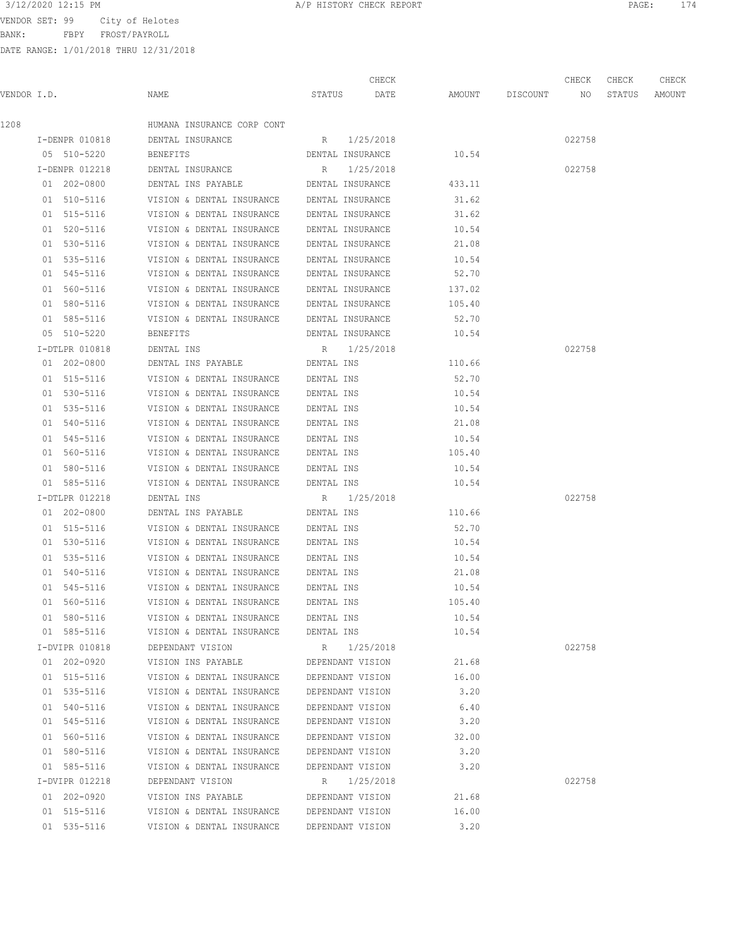BANK: FBPY FROST/PAYROLL

| 3/12/2020 12:15 PM | CHECK REPORT<br>HISTORY<br>---------- | PAGE | $\sim$ $ -$ |
|--------------------|---------------------------------------|------|-------------|
|                    |                                       |      |             |

|             |                |                                            |                  | CHECK       |                    | CHECK  | CHECK  | CHECK  |
|-------------|----------------|--------------------------------------------|------------------|-------------|--------------------|--------|--------|--------|
| VENDOR I.D. |                | NAME                                       | STATUS DATE      |             | AMOUNT DISCOUNT NO |        | STATUS | AMOUNT |
| 1208        |                | HUMANA INSURANCE CORP CONT                 |                  |             |                    |        |        |        |
|             | I-DENPR 010818 | DENTAL INSURANCE                           | R 1/25/2018      |             |                    | 022758 |        |        |
|             | 05 510-5220    | BENEFITS                                   | DENTAL INSURANCE |             | 10.54              |        |        |        |
|             | I-DENPR 012218 | DENTAL INSURANCE                           | R                | 1/25/2018   |                    | 022758 |        |        |
|             | 01 202-0800    | DENTAL INS PAYABLE                         | DENTAL INSURANCE |             | 433.11             |        |        |        |
|             | 01 510-5116    | VISION & DENTAL INSURANCE DENTAL INSURANCE |                  |             | 31.62              |        |        |        |
|             | 01 515-5116    | VISION & DENTAL INSURANCE DENTAL INSURANCE |                  |             | 31.62              |        |        |        |
|             | 01 520-5116    | VISION & DENTAL INSURANCE DENTAL INSURANCE |                  |             | 10.54              |        |        |        |
|             | 01 530-5116    | VISION & DENTAL INSURANCE DENTAL INSURANCE |                  |             | 21.08              |        |        |        |
|             | 01 535-5116    | VISION & DENTAL INSURANCE DENTAL INSURANCE |                  |             | 10.54              |        |        |        |
|             | 01 545-5116    | VISION & DENTAL INSURANCE DENTAL INSURANCE |                  |             | 52.70              |        |        |        |
|             | 01 560-5116    | VISION & DENTAL INSURANCE DENTAL INSURANCE |                  |             | 137.02             |        |        |        |
|             | 01 580-5116    | VISION & DENTAL INSURANCE DENTAL INSURANCE |                  |             | 105.40             |        |        |        |
|             | 01 585-5116    | VISION & DENTAL INSURANCE DENTAL INSURANCE |                  |             | 52.70              |        |        |        |
|             | 05 510-5220    | BENEFITS                                   | DENTAL INSURANCE |             | 10.54              |        |        |        |
|             | I-DTLPR 010818 | DENTAL INS                                 | R 1/25/2018      |             |                    | 022758 |        |        |
|             | 01 202-0800    | DENTAL INS PAYABLE                         | DENTAL INS       |             | 110.66             |        |        |        |
|             | 01 515-5116    | VISION & DENTAL INSURANCE                  | DENTAL INS       |             | 52.70              |        |        |        |
|             | 01 530-5116    | VISION & DENTAL INSURANCE DENTAL INS       |                  |             | 10.54              |        |        |        |
|             | 01 535-5116    | VISION & DENTAL INSURANCE                  | DENTAL INS       |             | 10.54              |        |        |        |
|             | 01 540-5116    | VISION & DENTAL INSURANCE                  | DENTAL INS       |             | 21.08              |        |        |        |
|             | 01 545-5116    | VISION & DENTAL INSURANCE                  | DENTAL INS       |             | 10.54              |        |        |        |
|             | 01 560-5116    | VISION & DENTAL INSURANCE                  | DENTAL INS       |             | 105.40             |        |        |        |
|             | 01 580-5116    | VISION & DENTAL INSURANCE DENTAL INS       |                  |             | 10.54              |        |        |        |
|             | 01 585-5116    | VISION & DENTAL INSURANCE DENTAL INS       |                  |             | 10.54              |        |        |        |
|             | I-DTLPR 012218 | DENTAL INS                                 | R 1/25/2018      |             |                    | 022758 |        |        |
|             | 01 202-0800    | DENTAL INS PAYABLE                         | DENTAL INS       |             | 110.66             |        |        |        |
|             | 01 515-5116    | VISION & DENTAL INSURANCE                  | DENTAL INS       |             | 52.70              |        |        |        |
|             | 01 530-5116    | VISION & DENTAL INSURANCE DENTAL INS       |                  |             | 10.54              |        |        |        |
|             | 01 535-5116    | VISION & DENTAL INSURANCE DENTAL INS       |                  |             | 10.54              |        |        |        |
|             | 01 540-5116    | VISION & DENTAL INSURANCE DENTAL INS       |                  |             | 21.08              |        |        |        |
|             | 01 545-5116    | VISION & DENTAL INSURANCE                  | DENTAL INS       |             | 10.54              |        |        |        |
|             | 01 560-5116    | VISION & DENTAL INSURANCE                  | DENTAL INS       |             | 105.40             |        |        |        |
|             | 01 580-5116    | VISION & DENTAL INSURANCE                  | DENTAL INS       |             | 10.54              |        |        |        |
|             | 01 585-5116    | VISION & DENTAL INSURANCE                  | DENTAL INS       |             | 10.54              |        |        |        |
|             | I-DVIPR 010818 | DEPENDANT VISION                           |                  | R 1/25/2018 |                    | 022758 |        |        |
|             | 01 202-0920    | VISION INS PAYABLE                         | DEPENDANT VISION |             | 21.68              |        |        |        |
|             | 01 515-5116    | VISION & DENTAL INSURANCE                  | DEPENDANT VISION |             | 16.00              |        |        |        |
|             | 01 535-5116    | VISION & DENTAL INSURANCE                  | DEPENDANT VISION |             | 3.20               |        |        |        |
|             | 01 540-5116    | VISION & DENTAL INSURANCE                  | DEPENDANT VISION |             | 6.40               |        |        |        |
|             | 01 545-5116    | VISION & DENTAL INSURANCE                  | DEPENDANT VISION |             | 3.20               |        |        |        |
|             | 01 560-5116    | VISION & DENTAL INSURANCE                  | DEPENDANT VISION |             | 32.00              |        |        |        |
|             | 01 580-5116    | VISION & DENTAL INSURANCE                  | DEPENDANT VISION |             | 3.20               |        |        |        |
|             | 01 585-5116    | VISION & DENTAL INSURANCE                  | DEPENDANT VISION |             | 3.20               |        |        |        |
|             | I-DVIPR 012218 | DEPENDANT VISION                           |                  | R 1/25/2018 |                    | 022758 |        |        |
|             | 01 202-0920    | VISION INS PAYABLE                         | DEPENDANT VISION |             | 21.68              |        |        |        |
|             | 01 515-5116    | VISION & DENTAL INSURANCE                  | DEPENDANT VISION |             | 16.00              |        |        |        |
|             | 01 535-5116    | VISION & DENTAL INSURANCE                  | DEPENDANT VISION |             | 3.20               |        |        |        |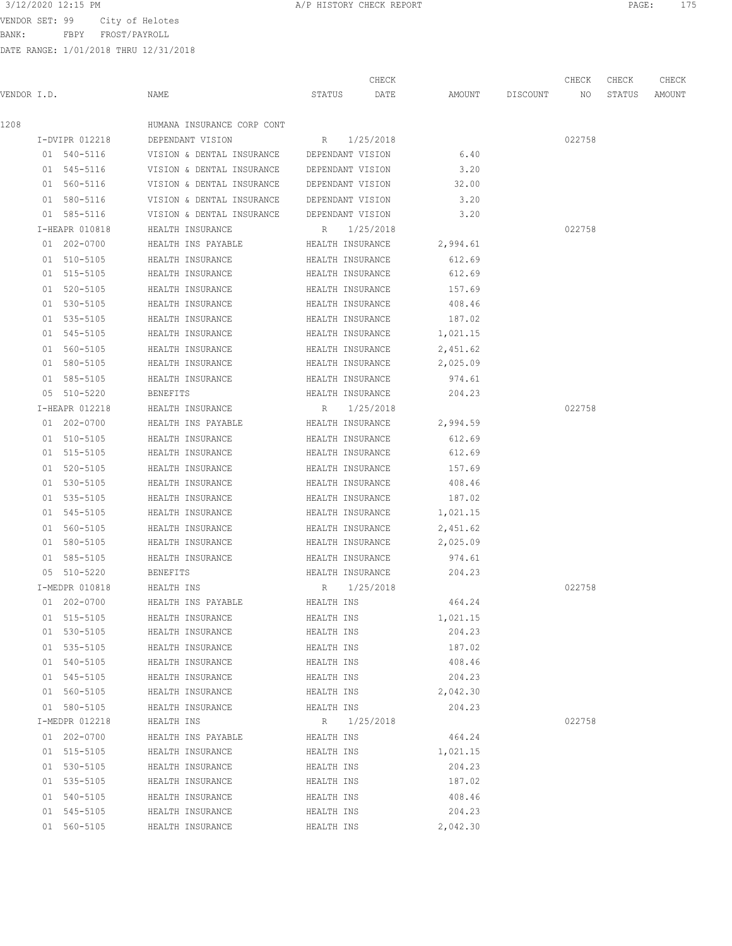VENDOR SET: 99 City of Helotes

BANK: FBPY FROST/PAYROLL

|             |                |                                            | CHECK            |          |          | CHECK  | CHECK  | CHECK  |
|-------------|----------------|--------------------------------------------|------------------|----------|----------|--------|--------|--------|
| VENDOR I.D. |                | NAME                                       | STATUS<br>DATE   | AMOUNT   | DISCOUNT | NO     | STATUS | AMOUNT |
| 1208        |                | HUMANA INSURANCE CORP CONT                 |                  |          |          |        |        |        |
|             | I-DVIPR 012218 | DEPENDANT VISION                           | R 1/25/2018      |          |          | 022758 |        |        |
|             | 01 540-5116    | VISION & DENTAL INSURANCE                  | DEPENDANT VISION | 6.40     |          |        |        |        |
|             | 01 545-5116    | VISION & DENTAL INSURANCE DEPENDANT VISION |                  | 3.20     |          |        |        |        |
|             | 01 560-5116    | VISION & DENTAL INSURANCE                  | DEPENDANT VISION | 32.00    |          |        |        |        |
|             | 01 580-5116    | VISION & DENTAL INSURANCE DEPENDANT VISION |                  | 3.20     |          |        |        |        |
|             | 01 585-5116    | VISION & DENTAL INSURANCE DEPENDANT VISION |                  | 3.20     |          |        |        |        |
|             | I-HEAPR 010818 | HEALTH INSURANCE                           | 1/25/2018<br>R   |          |          | 022758 |        |        |
|             | 01 202-0700    | HEALTH INS PAYABLE                         | HEALTH INSURANCE | 2,994.61 |          |        |        |        |
|             | 01 510-5105    | HEALTH INSURANCE                           | HEALTH INSURANCE | 612.69   |          |        |        |        |
|             | 01 515-5105    | HEALTH INSURANCE                           | HEALTH INSURANCE | 612.69   |          |        |        |        |
|             | 01 520-5105    | HEALTH INSURANCE                           | HEALTH INSURANCE | 157.69   |          |        |        |        |
|             | 01 530-5105    | HEALTH INSURANCE                           | HEALTH INSURANCE | 408.46   |          |        |        |        |
|             | 01 535-5105    | HEALTH INSURANCE                           | HEALTH INSURANCE | 187.02   |          |        |        |        |
|             | 01 545-5105    | HEALTH INSURANCE                           | HEALTH INSURANCE | 1,021.15 |          |        |        |        |
|             | 01 560-5105    | HEALTH INSURANCE                           | HEALTH INSURANCE | 2,451.62 |          |        |        |        |
|             | 01 580-5105    | HEALTH INSURANCE                           | HEALTH INSURANCE | 2,025.09 |          |        |        |        |
|             | 01 585-5105    | HEALTH INSURANCE                           | HEALTH INSURANCE | 974.61   |          |        |        |        |
|             | 05 510-5220    | <b>BENEFITS</b>                            | HEALTH INSURANCE | 204.23   |          |        |        |        |
|             | I-HEAPR 012218 | HEALTH INSURANCE                           | 1/25/2018<br>R   |          |          | 022758 |        |        |
|             | 01 202-0700    | HEALTH INS PAYABLE                         | HEALTH INSURANCE | 2,994.59 |          |        |        |        |
|             | 01 510-5105    | HEALTH INSURANCE                           | HEALTH INSURANCE | 612.69   |          |        |        |        |
|             | 01 515-5105    | HEALTH INSURANCE                           | HEALTH INSURANCE | 612.69   |          |        |        |        |
|             | 01 520-5105    | HEALTH INSURANCE                           | HEALTH INSURANCE | 157.69   |          |        |        |        |
|             | 01 530-5105    | HEALTH INSURANCE                           | HEALTH INSURANCE | 408.46   |          |        |        |        |
|             | 01 535-5105    | HEALTH INSURANCE                           | HEALTH INSURANCE | 187.02   |          |        |        |        |
|             | 01 545-5105    | HEALTH INSURANCE                           | HEALTH INSURANCE | 1,021.15 |          |        |        |        |
|             | 01 560-5105    | HEALTH INSURANCE                           | HEALTH INSURANCE | 2,451.62 |          |        |        |        |
|             | 01 580-5105    | HEALTH INSURANCE                           | HEALTH INSURANCE | 2,025.09 |          |        |        |        |
|             | 01 585-5105    | HEALTH INSURANCE                           | HEALTH INSURANCE | 974.61   |          |        |        |        |
|             | 05 510-5220    | <b>BENEFITS</b>                            | HEALTH INSURANCE | 204.23   |          |        |        |        |
|             | I-MEDPR 010818 | HEALTH INS                                 | 1/25/2018<br>R   |          |          | 022758 |        |        |
|             | 01 202-0700    | HEALTH INS PAYABLE                         | HEALTH INS       | 464.24   |          |        |        |        |
|             | 01 515-5105    | HEALTH INSURANCE                           | HEALTH INS       | 1,021.15 |          |        |        |        |
|             | 01 530-5105    | HEALTH INSURANCE                           | HEALTH INS       | 204.23   |          |        |        |        |
|             | 01 535-5105    | HEALTH INSURANCE                           | HEALTH INS       | 187.02   |          |        |        |        |
|             | 01 540-5105    | HEALTH INSURANCE                           | HEALTH INS       | 408.46   |          |        |        |        |
|             | 01 545-5105    | HEALTH INSURANCE                           | HEALTH INS       | 204.23   |          |        |        |        |
|             | 01 560-5105    | HEALTH INSURANCE                           | HEALTH INS       | 2,042.30 |          |        |        |        |
|             | 01 580-5105    | HEALTH INSURANCE                           | HEALTH INS       | 204.23   |          |        |        |        |
|             | I-MEDPR 012218 | HEALTH INS                                 | R 1/25/2018      |          |          | 022758 |        |        |
|             | 01 202-0700    | HEALTH INS PAYABLE                         | HEALTH INS       | 464.24   |          |        |        |        |
|             | 01 515-5105    | HEALTH INSURANCE                           | HEALTH INS       | 1,021.15 |          |        |        |        |
|             | 01 530-5105    | HEALTH INSURANCE                           | HEALTH INS       | 204.23   |          |        |        |        |
|             | 01 535-5105    | HEALTH INSURANCE                           | HEALTH INS       | 187.02   |          |        |        |        |
|             | 01 540-5105    | HEALTH INSURANCE                           | HEALTH INS       | 408.46   |          |        |        |        |
|             | 01 545-5105    | HEALTH INSURANCE                           | HEALTH INS       | 204.23   |          |        |        |        |
|             | 01 560-5105    | HEALTH INSURANCE                           | HEALTH INS       | 2,042.30 |          |        |        |        |
|             |                |                                            |                  |          |          |        |        |        |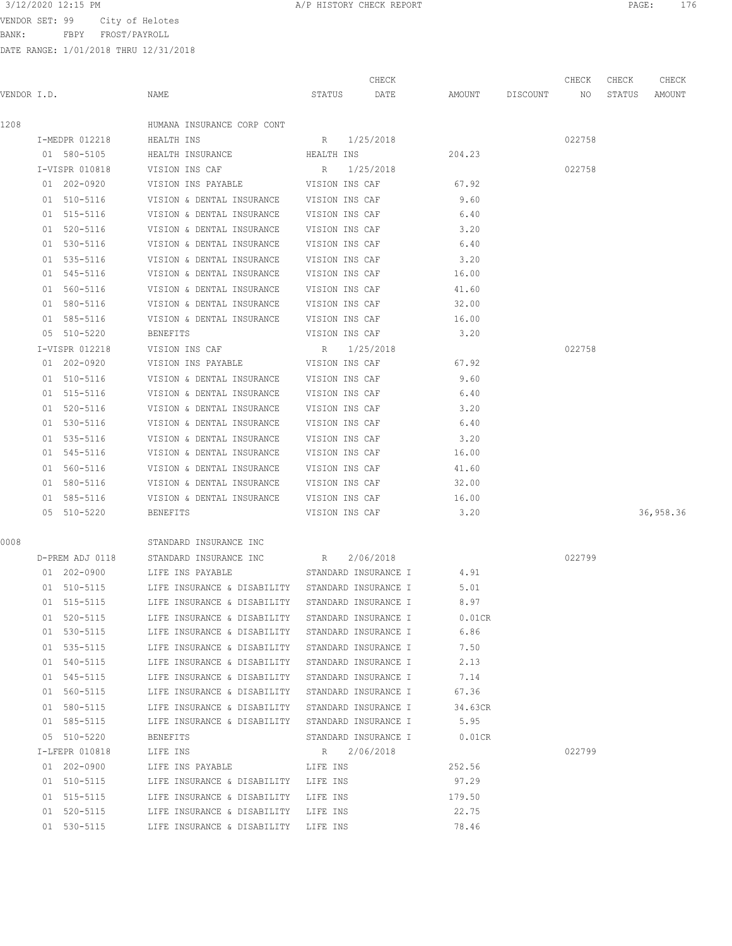BANK: FBPY FROST/PAYROLL

| 3/12/2020 12:15 PM                  | A/P HISTORY CHECK REPORT | 176<br>PAGE |  |
|-------------------------------------|--------------------------|-------------|--|
| ממ בחסים ממתזמת<br>ممطمأماا كمابيات |                          |             |  |

|             |                 |                                                              |                | CHECK                |                    | CHECK  | CHECK  | CHECK     |
|-------------|-----------------|--------------------------------------------------------------|----------------|----------------------|--------------------|--------|--------|-----------|
| VENDOR I.D. |                 | NAME                                                         |                | STATUS DATE          | AMOUNT DISCOUNT NO |        | STATUS | AMOUNT    |
| 1208        |                 | HUMANA INSURANCE CORP CONT                                   |                |                      |                    |        |        |           |
|             | I-MEDPR 012218  | HEALTH INS                                                   |                | R 1/25/2018          |                    | 022758 |        |           |
|             | 01 580-5105     | HEALTH INSURANCE                                             | HEALTH INS     |                      | 204.23             |        |        |           |
|             | I-VISPR 010818  | VISION INS CAF                                               | R 1/25/2018    |                      |                    | 022758 |        |           |
|             | 01 202-0920     | VISION INS PAYABLE <b>WARD VISION INS CAF</b>                |                |                      | 67.92              |        |        |           |
|             | 01 510-5116     | VISION & DENTAL INSURANCE VISION INS CAF                     |                |                      | 9.60               |        |        |           |
|             |                 | 01 515-5116 VISION & DENTAL INSURANCE VISION INS CAF         |                |                      | 6.40               |        |        |           |
|             | 01 520-5116     | VISION & DENTAL INSURANCE VISION INS CAF                     |                |                      | 3.20               |        |        |           |
|             | 01 530-5116     | VISION & DENTAL INSURANCE VISION INS CAF                     |                |                      | 6.40               |        |        |           |
|             | 01 535-5116     | VISION & DENTAL INSURANCE VISION INS CAF                     |                |                      | 3,20               |        |        |           |
|             | 01 545-5116     | VISION & DENTAL INSURANCE VISION INS CAF                     |                |                      | 16.00              |        |        |           |
|             | 01 560-5116     | VISION & DENTAL INSURANCE VISION INS CAF                     |                |                      | 41.60              |        |        |           |
|             |                 |                                                              |                |                      | 32.00              |        |        |           |
|             | 01 585-5116     | VISION & DENTAL INSURANCE VISION INS CAF                     |                |                      | 16.00              |        |        |           |
|             | 05 510-5220     | BENEFITS                                                     | VISION INS CAF |                      | 3.20               |        |        |           |
|             | I-VISPR 012218  | VISION INS CAF                                               | R 1/25/2018    |                      |                    | 022758 |        |           |
|             | 01 202-0920     | VISION INS PAYABLE                                           | VISION INS CAF |                      | 67.92              |        |        |           |
|             |                 | 01 510-5116 VISION & DENTAL INSURANCE VISION INS CAF         |                |                      | 9.60               |        |        |           |
|             |                 | 01 515-5116 VISION & DENTAL INSURANCE VISION INS CAF         |                |                      | 6.40               |        |        |           |
|             | 01 520-5116     | VISION & DENTAL INSURANCE VISION INS CAF                     |                |                      | 3.20               |        |        |           |
|             |                 | 01 530-5116 VISION & DENTAL INSURANCE VISION INS CAF         |                |                      | 6.40               |        |        |           |
|             |                 | 01 535-5116 VISION & DENTAL INSURANCE VISION INS CAF         |                |                      | 3.20               |        |        |           |
|             |                 | 01 545-5116 VISION & DENTAL INSURANCE VISION INS CAF         |                |                      | 16.00              |        |        |           |
|             |                 | 01 560-5116 VISION & DENTAL INSURANCE VISION INS CAF         |                |                      | 41.60              |        |        |           |
|             |                 | 01 580-5116 VISION & DENTAL INSURANCE VISION INS CAF         |                |                      | 32.00              |        |        |           |
|             | 01 585-5116     | VISION & DENTAL INSURANCE VISION INS CAF                     |                |                      | 16.00              |        |        |           |
|             | 05 510-5220     | BENEFITS                                                     | VISION INS CAF |                      | 3.20               |        |        | 36,958.36 |
| 0008        |                 | STANDARD INSURANCE INC                                       |                |                      |                    |        |        |           |
|             | D-PREM ADJ 0118 | STANDARD INSURANCE INC B R 2/06/2018                         |                |                      |                    | 022799 |        |           |
|             |                 | 01  202-0900   LIFE INS PAYABLE   STANDARD INSURANCE I       |                |                      | 4.91               |        |        |           |
|             |                 | 01 510-5115 LIFE INSURANCE & DISABILITY STANDARD INSURANCE I |                |                      | 5.01               |        |        |           |
|             | 01 515-5115     | LIFE INSURANCE & DISABILITY STANDARD INSURANCE I             |                |                      | 8.97               |        |        |           |
|             | 01 520-5115     | LIFE INSURANCE & DISABILITY STANDARD INSURANCE I             |                |                      | $0.01$ CR          |        |        |           |
|             | 01 530-5115     | LIFE INSURANCE & DISABILITY STANDARD INSURANCE I             |                |                      | 6.86               |        |        |           |
|             | 01 535-5115     | LIFE INSURANCE & DISABILITY STANDARD INSURANCE I             |                |                      | 7.50               |        |        |           |
|             | 01 540-5115     | LIFE INSURANCE & DISABILITY STANDARD INSURANCE I             |                |                      | 2.13               |        |        |           |
|             | 01 545-5115     | LIFE INSURANCE & DISABILITY STANDARD INSURANCE I             |                |                      | 7.14               |        |        |           |
|             | 01 560-5115     | LIFE INSURANCE & DISABILITY STANDARD INSURANCE I             |                |                      | 67.36              |        |        |           |
|             | 01 580-5115     | LIFE INSURANCE & DISABILITY STANDARD INSURANCE I             |                |                      | 34.63CR            |        |        |           |
|             | 01 585-5115     | LIFE INSURANCE & DISABILITY STANDARD INSURANCE I             |                |                      | 5.95               |        |        |           |
|             | 05 510-5220     | BENEFITS                                                     |                | STANDARD INSURANCE I | $0.01$ CR          |        |        |           |
|             | I-LFEPR 010818  | LIFE INS                                                     | R 2/06/2018    |                      |                    | 022799 |        |           |
|             | 01 202-0900     | LIFE INS PAYABLE THE INS                                     |                |                      | 252.56             |        |        |           |
|             | 01 510-5115     | LIFE INSURANCE & DISABILITY LIFE INS                         |                |                      | 97.29              |        |        |           |
|             | 01 515-5115     | LIFE INSURANCE & DISABILITY LIFE INS                         |                |                      | 179.50             |        |        |           |
|             | 01 520-5115     | LIFE INSURANCE & DISABILITY LIFE INS                         |                |                      | 22.75              |        |        |           |
|             | 01 530-5115     | LIFE INSURANCE & DISABILITY LIFE INS                         |                |                      | 78.46              |        |        |           |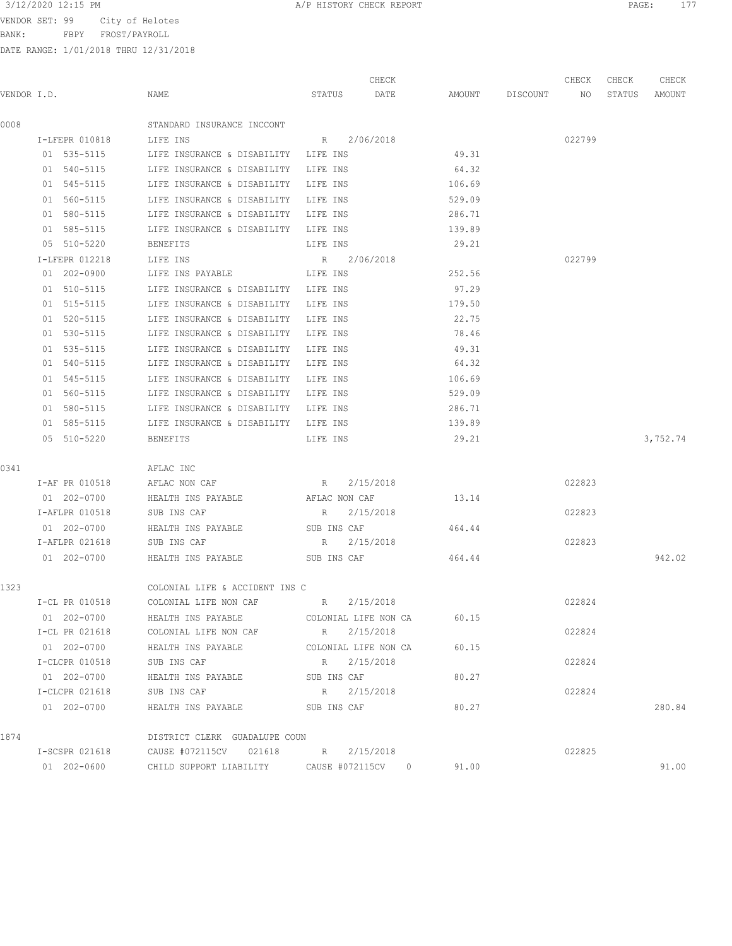BANK: FBPY FROST/PAYROLL

|--|

| VENDOR I.D.<br>NAME<br>STATUS<br>DATE<br>AMOUNT<br>DISCOUNT<br>NO<br>0008<br>STANDARD INSURANCE INCCONT | STATUS<br>AMOUNT |
|---------------------------------------------------------------------------------------------------------|------------------|
|                                                                                                         |                  |
|                                                                                                         |                  |
| R 2/06/2018<br>022799<br>I-LFEPR 010818<br>LIFE INS                                                     |                  |
| 49.31<br>01 535-5115<br>LIFE INSURANCE & DISABILITY<br>LIFE INS                                         |                  |
| 01 540-5115<br>64.32<br>LIFE INSURANCE & DISABILITY<br>LIFE INS                                         |                  |
| 01 545-5115<br>LIFE INSURANCE & DISABILITY<br>LIFE INS<br>106.69                                        |                  |
| 01 560-5115<br>529.09<br>LIFE INSURANCE & DISABILITY LIFE INS                                           |                  |
| 01 580-5115<br>LIFE INSURANCE & DISABILITY LIFE INS<br>286.71                                           |                  |
| 139.89<br>01 585-5115<br>LIFE INSURANCE & DISABILITY LIFE INS                                           |                  |
| 05 510-5220<br><b>BENEFITS</b><br>LIFE INS<br>29.21                                                     |                  |
| 022799<br>I-LFEPR 012218<br>LIFE INS<br>R 2/06/2018                                                     |                  |
| 01 202-0900<br>252.56<br>LIFE INS PAYABLE<br>LIFE INS                                                   |                  |
| 97.29<br>01 510-5115<br>LIFE INSURANCE & DISABILITY LIFE INS                                            |                  |
| 01 515-5115<br>LIFE INSURANCE & DISABILITY LIFE INS<br>179.50                                           |                  |
| 22.75<br>01 520-5115<br>LIFE INSURANCE & DISABILITY LIFE INS                                            |                  |
| 01 530-5115<br>LIFE INSURANCE & DISABILITY LIFE INS<br>78.46                                            |                  |
| 49.31<br>01 535-5115<br>LIFE INSURANCE & DISABILITY<br>LIFE INS                                         |                  |
| 01 540-5115<br>LIFE INSURANCE & DISABILITY LIFE INS<br>64.32                                            |                  |
| 01 545-5115<br>106.69<br>LIFE INSURANCE & DISABILITY<br>LIFE INS                                        |                  |
| 529.09<br>01 560-5115<br>LIFE INSURANCE & DISABILITY LIFE INS                                           |                  |
| 01 580-5115<br>LIFE INSURANCE & DISABILITY LIFE INS<br>286.71                                           |                  |
| 01 585-5115<br>LIFE INSURANCE & DISABILITY LIFE INS<br>139.89                                           |                  |
| 29.21<br>05 510-5220<br>BENEFITS<br>LIFE INS                                                            | 3,752.74         |
| 0341<br>AFLAC INC                                                                                       |                  |
| 2/15/2018<br>022823<br>I-AF PR 010518<br>AFLAC NON CAF<br>R                                             |                  |
| 01 202-0700<br>HEALTH INS PAYABLE<br>AFLAC NON CAF<br>13.14                                             |                  |
| 022823<br>I-AFLPR 010518<br>SUB INS CAF<br>R<br>2/15/2018                                               |                  |
| 01 202-0700<br>HEALTH INS PAYABLE<br>SUB INS CAF<br>464.44                                              |                  |
| 022823<br>I-AFLPR 021618<br>SUB INS CAF<br>R<br>2/15/2018                                               |                  |
| 01 202-0700<br>464.44<br>HEALTH INS PAYABLE<br>SUB INS CAF                                              | 942.02           |
| 1323<br>COLONIAL LIFE & ACCIDENT INS C                                                                  |                  |
| 2/15/2018<br>022824<br>I-CL PR 010518<br>COLONIAL LIFE NON CAF<br>R                                     |                  |
| 01 202-0700<br>HEALTH INS PAYABLE<br>COLONIAL LIFE NON CA<br>60.15                                      |                  |
| I-CL PR 021618<br>2/15/2018<br>022824<br>COLONIAL LIFE NON CAF<br>R                                     |                  |
| 01 202-0700<br>60.15<br>HEALTH INS PAYABLE<br>COLONIAL LIFE NON CA                                      |                  |
| 2/15/2018<br>022824<br>I-CLCPR 010518<br>SUB INS CAF<br>R                                               |                  |
| 01 202-0700<br>80.27<br>HEALTH INS PAYABLE<br>SUB INS CAF                                               |                  |
| 022824<br>I-CLCPR 021618<br>SUB INS CAF<br>2/15/2018<br>R                                               |                  |
| 01 202-0700<br>HEALTH INS PAYABLE<br>SUB INS CAF<br>80.27                                               | 280.84           |
| 1874<br>DISTRICT CLERK GUADALUPE COUN                                                                   |                  |
| 2/15/2018<br>022825<br>I-SCSPR 021618<br>CAUSE #072115CV 021618<br>R                                    |                  |
| 01 202-0600<br>91.00<br>CHILD SUPPORT LIABILITY<br>CAUSE #072115CV<br>$\circ$                           | 91.00            |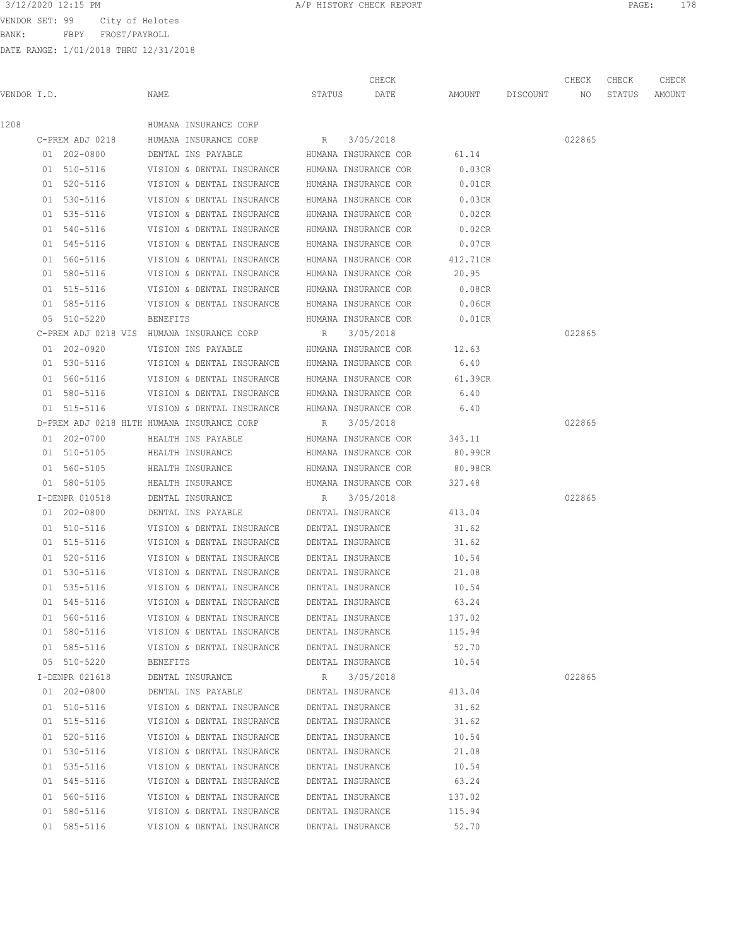BANK: FBPY FROST/PAYROLL

|             |                 |                                                |        | CHECK                |                    | CHECK  | CHECK  | CHECK  |
|-------------|-----------------|------------------------------------------------|--------|----------------------|--------------------|--------|--------|--------|
| VENDOR I.D. |                 | NAME                                           | STATUS | DATE                 | AMOUNT DISCOUNT NO |        | STATUS | AMOUNT |
| 1208        |                 | HUMANA INSURANCE CORP                          |        |                      |                    |        |        |        |
|             | C-PREM ADJ 0218 | HUMANA INSURANCE CORP R                        |        | 3/05/2018            |                    | 022865 |        |        |
|             | 01 202-0800     | DENTAL INS PAYABLE                             |        | HUMANA INSURANCE COR | 61.14              |        |        |        |
|             | 01 510-5116     | VISION & DENTAL INSURANCE HUMANA INSURANCE COR |        |                      | 0.03CR             |        |        |        |
|             | 01 520-5116     | VISION & DENTAL INSURANCE                      |        | HUMANA INSURANCE COR | $0.01$ CR          |        |        |        |
|             | 01 530-5116     | VISION & DENTAL INSURANCE                      |        | HUMANA INSURANCE COR | 0.03CR             |        |        |        |
|             | 01 535-5116     | VISION & DENTAL INSURANCE                      |        | HUMANA INSURANCE COR | 0.02CR             |        |        |        |
|             | 01 540-5116     | VISION & DENTAL INSURANCE                      |        | HUMANA INSURANCE COR | 0.02CR             |        |        |        |
|             | 01 545-5116     | VISION & DENTAL INSURANCE                      |        | HUMANA INSURANCE COR | 0.07CR             |        |        |        |
|             | 01 560-5116     | VISION & DENTAL INSURANCE                      |        | HUMANA INSURANCE COR | 412.71CR           |        |        |        |
|             | 01 580-5116     | VISION & DENTAL INSURANCE                      |        | HUMANA INSURANCE COR | 20.95              |        |        |        |
|             | 01 515-5116     | VISION & DENTAL INSURANCE HUMANA INSURANCE COR |        |                      | 0.08CR             |        |        |        |
|             | 01 585-5116     | VISION & DENTAL INSURANCE HUMANA INSURANCE COR |        |                      | 0.06CR             |        |        |        |
|             | 05 510-5220     | <b>BENEFITS</b>                                |        | HUMANA INSURANCE COR | $0.01$ CR          |        |        |        |
|             |                 | C-PREM ADJ 0218 VIS HUMANA INSURANCE CORP      |        | R 3/05/2018          |                    | 022865 |        |        |
|             | 01 202-0920     | VISION INS PAYABLE THUMANA INSURANCE COR       |        |                      | 12.63              |        |        |        |
|             | 01 530-5116     | VISION & DENTAL INSURANCE HUMANA INSURANCE COR |        |                      | 6.40               |        |        |        |
|             | 01 560-5116     | VISION & DENTAL INSURANCE HUMANA INSURANCE COR |        |                      | 61.39CR            |        |        |        |
|             | 01 580-5116     | VISION & DENTAL INSURANCE HUMANA INSURANCE COR |        |                      | 6.40               |        |        |        |
|             | 01 515-5116     | VISION & DENTAL INSURANCE HUMANA INSURANCE COR |        |                      | 6.40               |        |        |        |
|             |                 | D-PREM ADJ 0218 HLTH HUMANA INSURANCE CORP     |        | R 3/05/2018          |                    | 022865 |        |        |
|             | 01 202-0700     | HEALTH INS PAYABLE                             |        | HUMANA INSURANCE COR | 343.11             |        |        |        |
|             | 01 510-5105     | HEALTH INSURANCE                               |        | HUMANA INSURANCE COR | 80.99CR            |        |        |        |
|             | 01 560-5105     | HEALTH INSURANCE                               |        | HUMANA INSURANCE COR | 80.98CR            |        |        |        |
|             | 01 580-5105     | HEALTH INSURANCE                               |        | HUMANA INSURANCE COR | 327.48             |        |        |        |
|             | I-DENPR 010518  | DENTAL INSURANCE                               | R      | 3/05/2018            |                    | 022865 |        |        |
|             | 01 202-0800     | DENTAL INS PAYABLE                             |        | DENTAL INSURANCE     | 413.04             |        |        |        |
|             | 01 510-5116     | VISION & DENTAL INSURANCE                      |        | DENTAL INSURANCE     | 31.62              |        |        |        |
|             | 01 515-5116     | VISION & DENTAL INSURANCE                      |        | DENTAL INSURANCE     | 31.62              |        |        |        |
|             | 01 520-5116     | VISION & DENTAL INSURANCE                      |        | DENTAL INSURANCE     | 10.54              |        |        |        |
|             | 01 530-5116     | VISION & DENTAL INSURANCE                      |        | DENTAL INSURANCE     | 21.08              |        |        |        |
|             | 01 535-5116     | VISION & DENTAL INSURANCE                      |        | DENTAL INSURANCE     | 10.54              |        |        |        |
|             | 01 545-5116     | VISION & DENTAL INSURANCE                      |        | DENTAL INSURANCE     | 63.24              |        |        |        |
|             | 01 560-5116     | VISION & DENTAL INSURANCE                      |        | DENTAL INSURANCE     | 137.02             |        |        |        |
|             | 01 580-5116     | VISION & DENTAL INSURANCE                      |        | DENTAL INSURANCE     | 115.94             |        |        |        |
|             | 01 585-5116     | VISION & DENTAL INSURANCE                      |        | DENTAL INSURANCE     | 52.70              |        |        |        |
|             | 05 510-5220     | <b>BENEFITS</b>                                |        | DENTAL INSURANCE     | 10.54              |        |        |        |
|             | I-DENPR 021618  | DENTAL INSURANCE                               | R      | 3/05/2018            |                    | 022865 |        |        |
|             | 01 202-0800     | DENTAL INS PAYABLE                             |        | DENTAL INSURANCE     | 413.04             |        |        |        |
|             | 01 510-5116     | VISION & DENTAL INSURANCE                      |        | DENTAL INSURANCE     | 31.62              |        |        |        |
|             | 01 515-5116     | VISION & DENTAL INSURANCE                      |        | DENTAL INSURANCE     | 31.62              |        |        |        |
|             | 01 520-5116     | VISION & DENTAL INSURANCE                      |        | DENTAL INSURANCE     | 10.54              |        |        |        |
|             | 01 530-5116     | VISION & DENTAL INSURANCE                      |        | DENTAL INSURANCE     | 21.08              |        |        |        |
|             | 01 535-5116     | VISION & DENTAL INSURANCE                      |        | DENTAL INSURANCE     | 10.54              |        |        |        |
|             | 01 545-5116     | VISION & DENTAL INSURANCE                      |        | DENTAL INSURANCE     | 63.24              |        |        |        |
|             | 01 560-5116     | VISION & DENTAL INSURANCE                      |        | DENTAL INSURANCE     | 137.02             |        |        |        |
|             | 01 580-5116     | VISION & DENTAL INSURANCE                      |        | DENTAL INSURANCE     | 115.94             |        |        |        |
|             | 01 585-5116     | VISION & DENTAL INSURANCE                      |        | DENTAL INSURANCE     | 52.70              |        |        |        |
|             |                 |                                                |        |                      |                    |        |        |        |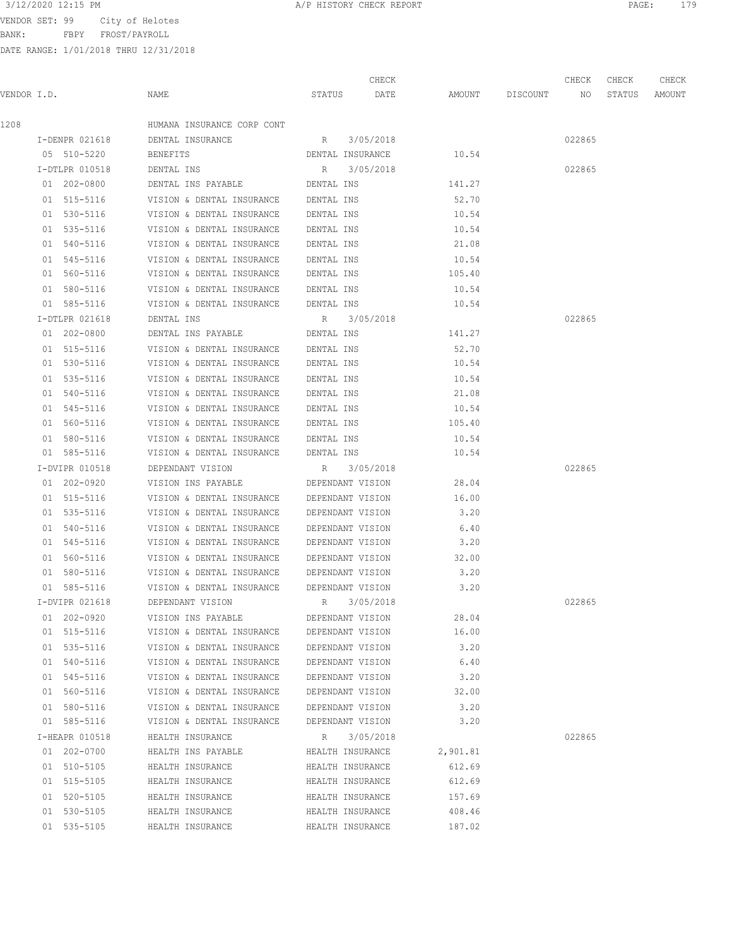BANK: FBPY FROST/PAYROLL

DATE RANGE: 1/01/2018 THRU 12/31/2018

| 3/12/2020 12:15 PM<br>the contract of the contract of the contract of the contract of the contract of the contract of the contract of | A/P HISTORY CHECK REPORT | PAGE | 170 |
|---------------------------------------------------------------------------------------------------------------------------------------|--------------------------|------|-----|
|---------------------------------------------------------------------------------------------------------------------------------------|--------------------------|------|-----|

|             |                |                                                        |                                 | CHECK     |                    | CHECK  | CHECK  | CHECK  |
|-------------|----------------|--------------------------------------------------------|---------------------------------|-----------|--------------------|--------|--------|--------|
| VENDOR I.D. |                | NAME                                                   | STATUS DATE                     |           | AMOUNT DISCOUNT NO |        | STATUS | AMOUNT |
| 1208        |                | HUMANA INSURANCE CORP CONT                             |                                 |           |                    |        |        |        |
|             | I-DENPR 021618 | DENTAL INSURANCE                                       | R 3/05/2018                     |           |                    | 022865 |        |        |
|             | 05 510-5220    | BENEFITS                                               | DENTAL INSURANCE                |           | 10.54              |        |        |        |
|             | I-DTLPR 010518 | DENTAL INS                                             | R 3/05/2018                     |           |                    | 022865 |        |        |
|             | 01 202-0800    | DENTAL INS PAYABLE <b>DENTAL INS</b>                   |                                 |           | 141.27             |        |        |        |
|             | 01 515-5116    | VISION & DENTAL INSURANCE DENTAL INS                   |                                 |           | 52.70              |        |        |        |
|             | 01 530-5116    | VISION & DENTAL INSURANCE DENTAL INS                   |                                 |           | 10.54              |        |        |        |
|             | 01 535-5116    | VISION & DENTAL INSURANCE DENTAL INS                   |                                 |           | 10.54              |        |        |        |
|             | 01 540-5116    | VISION & DENTAL INSURANCE DENTAL INS                   |                                 |           | 21.08              |        |        |        |
|             | 01 545-5116    | VISION & DENTAL INSURANCE DENTAL INS                   |                                 |           | 10.54              |        |        |        |
|             |                | 01 560-5116 VISION & DENTAL INSURANCE DENTAL INS       |                                 |           | 105.40             |        |        |        |
|             | 01 580-5116    | VISION & DENTAL INSURANCE DENTAL INS                   |                                 |           | 10.54              |        |        |        |
|             | 01 585-5116    | VISION & DENTAL INSURANCE DENTAL INS                   |                                 |           | 10.54              |        |        |        |
|             | I-DTLPR 021618 | DENTAL INS                                             | R 3/05/2018                     |           |                    | 022865 |        |        |
|             | 01 202-0800    | DENTAL INS PAYABLE THE DENTAL INS                      |                                 |           | 141.27             |        |        |        |
|             |                | 01 515-5116 VISION & DENTAL INSURANCE DENTAL INS       |                                 |           | 52.70              |        |        |        |
|             |                | 01 530-5116 VISION & DENTAL INSURANCE DENTAL INS       |                                 |           | 10.54              |        |        |        |
|             |                | 01 535-5116 VISION & DENTAL INSURANCE DENTAL INS       |                                 |           | 10.54              |        |        |        |
|             |                | 01 540-5116 VISION & DENTAL INSURANCE DENTAL INS       |                                 |           | 21.08              |        |        |        |
|             |                | 01 545-5116 VISION & DENTAL INSURANCE DENTAL INS       |                                 |           | 10.54              |        |        |        |
|             |                | 01 560-5116 VISION & DENTAL INSURANCE DENTAL INS       |                                 |           | 105.40             |        |        |        |
|             |                | 01 580-5116 VISION & DENTAL INSURANCE DENTAL INS       |                                 |           |                    |        |        |        |
|             | 01 585-5116    | VISION & DENTAL INSURANCE DENTAL INS                   |                                 |           | 10.54<br>10.54     |        |        |        |
|             |                |                                                        |                                 |           |                    |        |        |        |
|             | I-DVIPR 010518 | DEPENDANT VISION<br>VISION INS PAYABLE                 | R 3/05/2018<br>DEPENDANT VISION |           | 28.04              | 022865 |        |        |
|             | 01 202-0920    |                                                        |                                 |           |                    |        |        |        |
|             | 01 515-5116    | VISION & DENTAL INSURANCE DEPENDANT VISION             |                                 |           | 16.00              |        |        |        |
|             |                | 01 535-5116 VISION & DENTAL INSURANCE DEPENDANT VISION |                                 |           | 3.20               |        |        |        |
|             | 01 540-5116    | VISION & DENTAL INSURANCE DEPENDANT VISION             |                                 |           | 6.40               |        |        |        |
|             |                | 01 545-5116 VISION & DENTAL INSURANCE DEPENDANT VISION |                                 |           | 3.20               |        |        |        |
|             | 01 560-5116    | VISION & DENTAL INSURANCE DEPENDANT VISION             |                                 |           | 32.00              |        |        |        |
|             |                | 01 580-5116 VISION & DENTAL INSURANCE DEPENDANT VISION |                                 |           | 3.20               |        |        |        |
|             | 01 585-5116    | VISION & DENTAL INSURANCE DEPENDANT VISION             |                                 |           | 3.20               |        |        |        |
|             | I-DVIPR 021618 | DEPENDANT VISION R 3/05/2018                           |                                 |           |                    | 022865 |        |        |
|             | 01 202-0920    | VISION INS PAYABLE                                     | DEPENDANT VISION                |           | 28.04              |        |        |        |
|             | 01 515-5116    | VISION & DENTAL INSURANCE DEPENDANT VISION             |                                 |           | 16.00              |        |        |        |
|             | 01 535-5116    | VISION & DENTAL INSURANCE                              | DEPENDANT VISION                |           | 3.20               |        |        |        |
|             | 01 540-5116    | VISION & DENTAL INSURANCE                              | DEPENDANT VISION                |           | 6.40               |        |        |        |
|             | 01 545-5116    | VISION & DENTAL INSURANCE                              | DEPENDANT VISION                |           | 3.20               |        |        |        |
|             | 01 560-5116    | VISION & DENTAL INSURANCE                              | DEPENDANT VISION                |           | 32.00              |        |        |        |
|             | 01 580-5116    | VISION & DENTAL INSURANCE                              | DEPENDANT VISION                |           | 3.20               |        |        |        |
|             | 01 585-5116    | VISION & DENTAL INSURANCE                              | DEPENDANT VISION                |           | 3.20               |        |        |        |
|             | I-HEAPR 010518 | HEALTH INSURANCE                                       | R                               | 3/05/2018 |                    | 022865 |        |        |
|             | 01 202-0700    | HEALTH INS PAYABLE                                     | HEALTH INSURANCE                |           | 2,901.81           |        |        |        |
|             | 01 510-5105    | HEALTH INSURANCE                                       | HEALTH INSURANCE                |           | 612.69             |        |        |        |
|             | 01 515-5105    | HEALTH INSURANCE                                       | HEALTH INSURANCE                |           | 612.69             |        |        |        |
|             | 01 520-5105    | HEALTH INSURANCE                                       | HEALTH INSURANCE                |           | 157.69             |        |        |        |

 01 530-5105 HEALTH INSURANCE HEALTH INSURANCE 408.46 01 535-5105 HEALTH INSURANCE HEALTH INSURANCE 187.02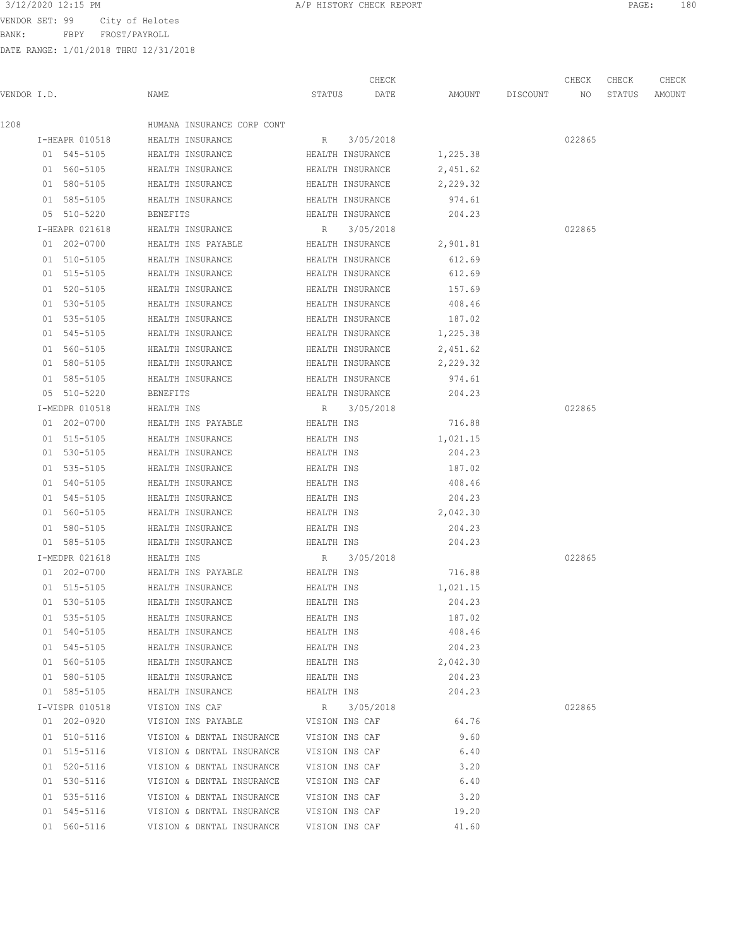BANK: FBPY FROST/PAYROLL

| 3/12/2020 12:15 PM<br>A/P HISTORY CHECK REPORT<br>PAGE | 180 |
|--------------------------------------------------------|-----|
|--------------------------------------------------------|-----|

|             |                |                 |                            |                | CHECK            |          |                 | CHECK  | CHECK  | CHECK  |
|-------------|----------------|-----------------|----------------------------|----------------|------------------|----------|-----------------|--------|--------|--------|
| VENDOR I.D. |                | NAME            |                            | STATUS         | DATE             |          | AMOUNT DISCOUNT | NO     | STATUS | AMOUNT |
| 1208        |                |                 | HUMANA INSURANCE CORP CONT |                |                  |          |                 |        |        |        |
|             | I-HEAPR 010518 |                 | HEALTH INSURANCE           | R              | 3/05/2018        |          |                 | 022865 |        |        |
|             | 01 545-5105    |                 | HEALTH INSURANCE           |                | HEALTH INSURANCE | 1,225.38 |                 |        |        |        |
|             | 01 560-5105    |                 | HEALTH INSURANCE           |                | HEALTH INSURANCE | 2,451.62 |                 |        |        |        |
|             | 01 580-5105    |                 | HEALTH INSURANCE           |                | HEALTH INSURANCE | 2,229.32 |                 |        |        |        |
|             | 01 585-5105    |                 | HEALTH INSURANCE           |                | HEALTH INSURANCE | 974.61   |                 |        |        |        |
|             | 05 510-5220    | <b>BENEFITS</b> |                            |                | HEALTH INSURANCE | 204.23   |                 |        |        |        |
|             | I-HEAPR 021618 |                 | HEALTH INSURANCE           | R              | 3/05/2018        |          |                 | 022865 |        |        |
|             | 01 202-0700    |                 | HEALTH INS PAYABLE         |                | HEALTH INSURANCE | 2,901.81 |                 |        |        |        |
|             | 01 510-5105    |                 | HEALTH INSURANCE           |                | HEALTH INSURANCE | 612.69   |                 |        |        |        |
|             | 01 515-5105    |                 | HEALTH INSURANCE           |                | HEALTH INSURANCE | 612.69   |                 |        |        |        |
|             | 01 520-5105    |                 | HEALTH INSURANCE           |                | HEALTH INSURANCE | 157.69   |                 |        |        |        |
|             | 01 530-5105    |                 | HEALTH INSURANCE           |                | HEALTH INSURANCE | 408.46   |                 |        |        |        |
|             | 01 535-5105    |                 | HEALTH INSURANCE           |                | HEALTH INSURANCE | 187.02   |                 |        |        |        |
|             | 01 545-5105    |                 | HEALTH INSURANCE           |                | HEALTH INSURANCE | 1,225.38 |                 |        |        |        |
|             | 01 560-5105    |                 | HEALTH INSURANCE           |                | HEALTH INSURANCE | 2,451.62 |                 |        |        |        |
|             | 01 580-5105    |                 | HEALTH INSURANCE           |                | HEALTH INSURANCE | 2,229.32 |                 |        |        |        |
|             | 01 585-5105    |                 | HEALTH INSURANCE           |                | HEALTH INSURANCE | 974.61   |                 |        |        |        |
|             | 05 510-5220    | <b>BENEFITS</b> |                            |                | HEALTH INSURANCE | 204.23   |                 |        |        |        |
|             | I-MEDPR 010518 | HEALTH INS      |                            | R              | 3/05/2018        |          |                 | 022865 |        |        |
|             | 01 202-0700    |                 | HEALTH INS PAYABLE         | HEALTH INS     |                  | 716.88   |                 |        |        |        |
|             | 01 515-5105    |                 | HEALTH INSURANCE           | HEALTH INS     |                  | 1,021.15 |                 |        |        |        |
|             | 01 530-5105    |                 | HEALTH INSURANCE           | HEALTH INS     |                  | 204.23   |                 |        |        |        |
|             | 01 535-5105    |                 | HEALTH INSURANCE           | HEALTH INS     |                  | 187.02   |                 |        |        |        |
|             | 01 540-5105    |                 | HEALTH INSURANCE           | HEALTH INS     |                  | 408.46   |                 |        |        |        |
|             | 01 545-5105    |                 | HEALTH INSURANCE           | HEALTH INS     |                  | 204.23   |                 |        |        |        |
|             | 01 560-5105    |                 | HEALTH INSURANCE           | HEALTH INS     |                  | 2,042.30 |                 |        |        |        |
|             | 01 580-5105    |                 | HEALTH INSURANCE           | HEALTH INS     |                  | 204.23   |                 |        |        |        |
|             | 01 585-5105    |                 | HEALTH INSURANCE           | HEALTH INS     |                  | 204.23   |                 |        |        |        |
|             | I-MEDPR 021618 | HEALTH INS      |                            | R              | 3/05/2018        |          |                 | 022865 |        |        |
|             | 01 202-0700    |                 | HEALTH INS PAYABLE         | HEALTH INS     |                  | 716.88   |                 |        |        |        |
|             | 01 515-5105    |                 | HEALTH INSURANCE           | HEALTH INS     |                  | 1,021.15 |                 |        |        |        |
|             | 01 530-5105    |                 | HEALTH INSURANCE           | HEALTH INS     |                  | 204.23   |                 |        |        |        |
|             | 01 535-5105    |                 | HEALTH INSURANCE           | HEALTH INS     |                  | 187.02   |                 |        |        |        |
|             | 01 540-5105    |                 | HEALTH INSURANCE           | HEALTH INS     |                  | 408.46   |                 |        |        |        |
|             | 01 545-5105    |                 | HEALTH INSURANCE           | HEALTH INS     |                  | 204.23   |                 |        |        |        |
|             | 01 560-5105    |                 | HEALTH INSURANCE           | HEALTH INS     |                  | 2,042.30 |                 |        |        |        |
|             | 01 580-5105    |                 | HEALTH INSURANCE           | HEALTH INS     |                  | 204.23   |                 |        |        |        |
|             | 01 585-5105    |                 | HEALTH INSURANCE           | HEALTH INS     |                  | 204.23   |                 |        |        |        |
|             | I-VISPR 010518 |                 | VISION INS CAF             | R              | 3/05/2018        |          |                 | 022865 |        |        |
|             | 01 202-0920    |                 | VISION INS PAYABLE         |                | VISION INS CAF   | 64.76    |                 |        |        |        |
|             | 01 510-5116    |                 | VISION & DENTAL INSURANCE  |                | VISION INS CAF   | 9.60     |                 |        |        |        |
|             | 01 515-5116    |                 | VISION & DENTAL INSURANCE  | VISION INS CAF |                  | 6.40     |                 |        |        |        |
|             | 01 520-5116    |                 | VISION & DENTAL INSURANCE  | VISION INS CAF |                  | 3.20     |                 |        |        |        |
|             | 01 530-5116    |                 | VISION & DENTAL INSURANCE  | VISION INS CAF |                  | 6.40     |                 |        |        |        |
|             | 01 535-5116    |                 | VISION & DENTAL INSURANCE  | VISION INS CAF |                  | 3.20     |                 |        |        |        |
|             | 01 545-5116    |                 | VISION & DENTAL INSURANCE  | VISION INS CAF |                  | 19.20    |                 |        |        |        |
|             | 01 560-5116    |                 | VISION & DENTAL INSURANCE  |                | VISION INS CAF   | 41.60    |                 |        |        |        |
|             |                |                 |                            |                |                  |          |                 |        |        |        |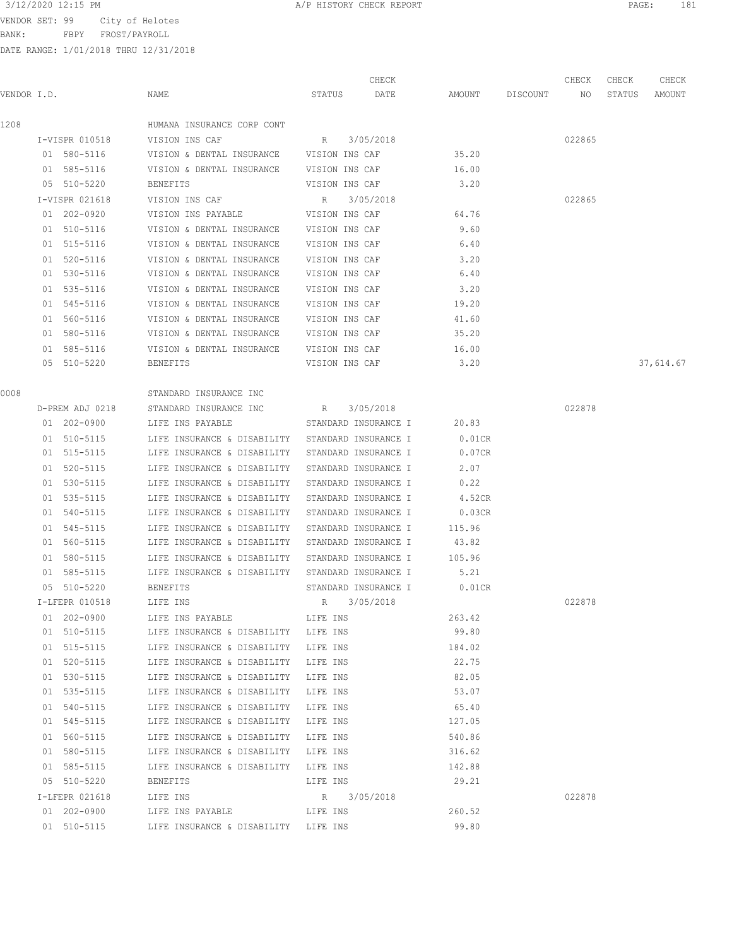BANK: FBPY FROST/PAYROLL

|             |                 |                                                  |                      | CHECK                |           |          | CHECK  | CHECK  | CHECK     |
|-------------|-----------------|--------------------------------------------------|----------------------|----------------------|-----------|----------|--------|--------|-----------|
| VENDOR I.D. |                 | NAME                                             | STATUS               | DATE                 | AMOUNT    | DISCOUNT | NO     | STATUS | AMOUNT    |
| 1208        |                 | HUMANA INSURANCE CORP CONT                       |                      |                      |           |          |        |        |           |
|             | I-VISPR 010518  | VISION INS CAF                                   | R 3/05/2018          |                      |           |          | 022865 |        |           |
|             | 01 580-5116     | VISION & DENTAL INSURANCE VISION INS CAF         |                      |                      | 35.20     |          |        |        |           |
|             | 01 585-5116     | VISION & DENTAL INSURANCE VISION INS CAF         |                      |                      | 16.00     |          |        |        |           |
|             | 05 510-5220     | BENEFITS                                         | VISION INS CAF       |                      | 3.20      |          |        |        |           |
|             | I-VISPR 021618  | VISION INS CAF                                   | R                    | 3/05/2018            |           |          | 022865 |        |           |
|             | 01 202-0920     | VISION INS PAYABLE VISION INS CAF                |                      |                      | 64.76     |          |        |        |           |
|             | 01 510-5116     | VISION & DENTAL INSURANCE VISION INS CAF         |                      |                      | 9.60      |          |        |        |           |
|             | 01 515-5116     | VISION & DENTAL INSURANCE                        | VISION INS CAF       |                      | 6.40      |          |        |        |           |
|             | 01 520-5116     | VISION & DENTAL INSURANCE                        | VISION INS CAF       |                      | 3.20      |          |        |        |           |
|             | 01 530-5116     | VISION & DENTAL INSURANCE                        | VISION INS CAF       |                      | 6.40      |          |        |        |           |
|             | 01 535-5116     | VISION & DENTAL INSURANCE                        | VISION INS CAF       |                      | 3.20      |          |        |        |           |
|             | 01 545-5116     | VISION & DENTAL INSURANCE                        | VISION INS CAF       |                      | 19.20     |          |        |        |           |
|             | 01 560-5116     | VISION & DENTAL INSURANCE                        | VISION INS CAF       |                      | 41.60     |          |        |        |           |
|             | 01 580-5116     | VISION & DENTAL INSURANCE                        | VISION INS CAF       |                      | 35.20     |          |        |        |           |
|             | 01 585-5116     | VISION & DENTAL INSURANCE                        | VISION INS CAF       |                      | 16.00     |          |        |        |           |
|             | 05 510-5220     | BENEFITS                                         | VISION INS CAF       |                      | 3.20      |          |        |        | 37,614.67 |
|             |                 |                                                  |                      |                      |           |          |        |        |           |
| 0008        |                 | STANDARD INSURANCE INC                           |                      |                      |           |          |        |        |           |
|             | D-PREM ADJ 0218 | STANDARD INSURANCE INC                           | R                    | 3/05/2018            |           |          | 022878 |        |           |
|             | 01 202-0900     | LIFE INS PAYABLE                                 |                      | STANDARD INSURANCE I | 20.83     |          |        |        |           |
|             | 01 510-5115     | LIFE INSURANCE & DISABILITY STANDARD INSURANCE I |                      |                      | $0.01$ CR |          |        |        |           |
|             | 01 515-5115     | LIFE INSURANCE & DISABILITY                      | STANDARD INSURANCE I |                      | 0.07CR    |          |        |        |           |
|             | 01 520-5115     | LIFE INSURANCE & DISABILITY                      | STANDARD INSURANCE I |                      | 2.07      |          |        |        |           |
|             | 01 530-5115     | LIFE INSURANCE & DISABILITY                      | STANDARD INSURANCE I |                      | 0.22      |          |        |        |           |
|             | 01 535-5115     | LIFE INSURANCE & DISABILITY                      | STANDARD INSURANCE I |                      | 4.52CR    |          |        |        |           |
|             | 01 540-5115     | LIFE INSURANCE & DISABILITY                      | STANDARD INSURANCE I |                      | 0.03CR    |          |        |        |           |
|             | 01 545-5115     | LIFE INSURANCE & DISABILITY                      | STANDARD INSURANCE I |                      | 115.96    |          |        |        |           |
|             | 01 560-5115     | LIFE INSURANCE & DISABILITY                      | STANDARD INSURANCE I |                      | 43.82     |          |        |        |           |
|             | 01 580-5115     | LIFE INSURANCE & DISABILITY STANDARD INSURANCE I |                      |                      | 105.96    |          |        |        |           |
|             | 01 585-5115     | LIFE INSURANCE & DISABILITY STANDARD INSURANCE I |                      |                      | 5.21      |          |        |        |           |
|             | 05 510-5220     | BENEFITS                                         | STANDARD INSURANCE I |                      | $0.01$ CR |          |        |        |           |
|             | I-LFEPR 010518  | LIFE INS                                         | R 3/05/2018          |                      |           |          | 022878 |        |           |
|             | 01 202-0900     | LIFE INS PAYABLE                                 | LIFE INS             |                      | 263.42    |          |        |        |           |
|             | 01 510-5115     | LIFE INSURANCE & DISABILITY                      | LIFE INS             |                      | 99.80     |          |        |        |           |
|             | 01 515-5115     | LIFE INSURANCE & DISABILITY                      | LIFE INS             |                      | 184.02    |          |        |        |           |
|             | 01 520-5115     | LIFE INSURANCE & DISABILITY                      | LIFE INS             |                      | 22.75     |          |        |        |           |
|             | 01 530-5115     | LIFE INSURANCE & DISABILITY                      | LIFE INS             |                      | 82.05     |          |        |        |           |
|             | 01 535-5115     | LIFE INSURANCE & DISABILITY                      | LIFE INS             |                      | 53.07     |          |        |        |           |
|             | 01 540-5115     | LIFE INSURANCE & DISABILITY                      | LIFE INS             |                      | 65.40     |          |        |        |           |
|             | 01 545-5115     | LIFE INSURANCE & DISABILITY                      | LIFE INS             |                      | 127.05    |          |        |        |           |
|             | 01 560-5115     | LIFE INSURANCE & DISABILITY                      | LIFE INS             |                      | 540.86    |          |        |        |           |
|             | 01 580-5115     | LIFE INSURANCE & DISABILITY                      | LIFE INS             |                      | 316.62    |          |        |        |           |
|             | 01 585-5115     | LIFE INSURANCE & DISABILITY                      | LIFE INS             |                      | 142.88    |          |        |        |           |
|             | 05 510-5220     | <b>BENEFITS</b>                                  | LIFE INS             |                      | 29.21     |          |        |        |           |
|             | I-LFEPR 021618  | LIFE INS                                         | R                    | 3/05/2018            |           |          | 022878 |        |           |
|             | 01 202-0900     | LIFE INS PAYABLE                                 | LIFE INS             |                      | 260.52    |          |        |        |           |
|             | 01 510-5115     | LIFE INSURANCE & DISABILITY LIFE INS             |                      |                      | 99.80     |          |        |        |           |
|             |                 |                                                  |                      |                      |           |          |        |        |           |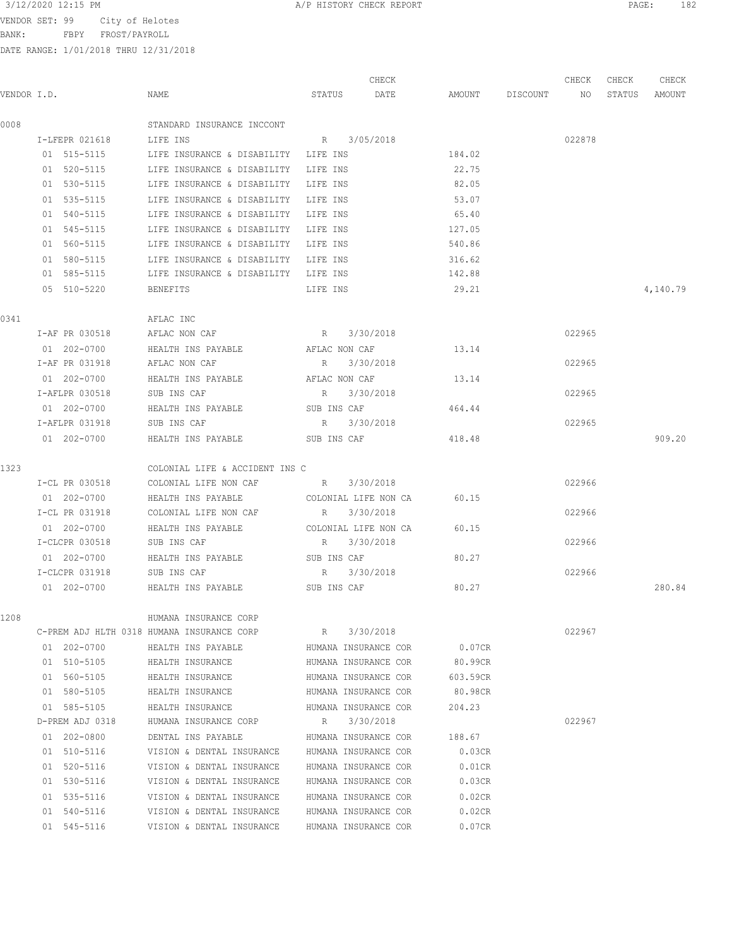BANK: FBPY FROST/PAYROLL

| 3/12/2020 12:15 PM<br>PAGE<br>A/P HISTORY CHECK REPORT | 100 |
|--------------------------------------------------------|-----|
|--------------------------------------------------------|-----|

|      | VENDOR I.D.                | NAME                                                   | CHECK<br>STATUS<br>DATE                      | AMOUNT DISCOUNT  | CHECK<br>NO | CHECK<br>STATUS | CHECK<br>AMOUNT |
|------|----------------------------|--------------------------------------------------------|----------------------------------------------|------------------|-------------|-----------------|-----------------|
| 0008 |                            | STANDARD INSURANCE INCCONT                             |                                              |                  |             |                 |                 |
|      | I-LFEPR 021618             | LIFE INS                                               | R 3/05/2018                                  |                  | 022878      |                 |                 |
|      | 01 515-5115                | LIFE INSURANCE & DISABILITY LIFE INS                   |                                              | 184.02           |             |                 |                 |
|      | 01 520-5115                | LIFE INSURANCE & DISABILITY                            | LIFE INS                                     | 22.75            |             |                 |                 |
|      | 01 530-5115                | LIFE INSURANCE & DISABILITY                            | LIFE INS                                     | 82.05            |             |                 |                 |
|      | 01 535-5115                | LIFE INSURANCE & DISABILITY                            | LIFE INS                                     | 53.07            |             |                 |                 |
|      | 01 540-5115                | LIFE INSURANCE & DISABILITY                            | LIFE INS                                     | 65.40            |             |                 |                 |
|      | 01 545-5115                | LIFE INSURANCE & DISABILITY LIFE INS                   |                                              | 127.05           |             |                 |                 |
|      | 01 560-5115                | LIFE INSURANCE & DISABILITY LIFE INS                   |                                              | 540.86           |             |                 |                 |
|      | 01 580-5115                | LIFE INSURANCE & DISABILITY LIFE INS                   |                                              | 316.62           |             |                 |                 |
|      | 01 585-5115                | LIFE INSURANCE & DISABILITY LIFE INS                   |                                              | 142.88           |             |                 |                 |
|      | 05 510-5220                | BENEFITS                                               | LIFE INS                                     | 29.21            |             |                 | 4,140.79        |
| 0341 |                            | AFLAC INC                                              |                                              |                  |             |                 |                 |
|      | I-AF PR 030518             | AFLAC NON CAF                                          | 3/30/2018<br>R                               |                  | 022965      |                 |                 |
|      | 01 202-0700                | HEALTH INS PAYABLE                                     | AFLAC NON CAF                                | 13.14            |             |                 |                 |
|      | I-AF PR 031918             | AFLAC NON CAF                                          | 3/30/2018<br>R                               |                  | 022965      |                 |                 |
|      | 01 202-0700                | HEALTH INS PAYABLE                                     | AFLAC NON CAF                                | 13.14            |             |                 |                 |
|      | I-AFLPR 030518             | SUB INS CAF                                            | R 3/30/2018                                  |                  | 022965      |                 |                 |
|      | 01 202-0700                | HEALTH INS PAYABLE                                     | SUB INS CAF                                  | 464.44           |             |                 |                 |
|      | I-AFLPR 031918             | SUB INS CAF                                            | R 3/30/2018                                  |                  | 022965      |                 |                 |
|      | 01 202-0700                | HEALTH INS PAYABLE SUB INS CAF                         |                                              | 418.48           |             |                 | 909.20          |
| 1323 |                            | COLONIAL LIFE & ACCIDENT INS C                         |                                              |                  |             |                 |                 |
|      | I-CL PR 030518             | COLONIAL LIFE NON CAF R                                | 3/30/2018                                    |                  | 022966      |                 |                 |
|      | 01 202-0700                | HEALTH INS PAYABLE <b>The COLONIAL LIFE NON CA</b>     |                                              | 60.15            |             |                 |                 |
|      | I-CL PR 031918             | COLONIAL LIFE NON CAF                                  | R<br>3/30/2018                               |                  | 022966      |                 |                 |
|      | 01 202-0700                | HEALTH INS PAYABLE                                     | COLONIAL LIFE NON CA                         | 60.15            |             |                 |                 |
|      | I-CLCPR 030518             | SUB INS CAF                                            | 3/30/2018<br>R                               |                  | 022966      |                 |                 |
|      | 01 202-0700                | HEALTH INS PAYABLE                                     | SUB INS CAF                                  | 80.27            |             |                 |                 |
|      | I-CLCPR 031918             | SUB INS CAF                                            | R<br>3/30/2018                               |                  | 022966      |                 |                 |
|      | 01 202-0700                | HEALTH INS PAYABLE                                     | SUB INS CAF                                  | 80.27            |             |                 | 280.84          |
| 1208 |                            | HUMANA INSURANCE CORP                                  |                                              |                  |             |                 |                 |
|      |                            | C-PREM ADJ HLTH 0318 HUMANA INSURANCE CORP             | 3/30/2018<br>R                               |                  | 022967      |                 |                 |
|      | 01 202-0700                | HEALTH INS PAYABLE                                     | HUMANA INSURANCE COR                         | 0.07CR           |             |                 |                 |
|      | 01 510-5105                | HEALTH INSURANCE                                       | HUMANA INSURANCE COR                         | 80.99CR          |             |                 |                 |
|      | 01 560-5105                | HEALTH INSURANCE                                       | HUMANA INSURANCE COR                         | 603.59CR         |             |                 |                 |
|      | 01 580-5105                | HEALTH INSURANCE                                       | HUMANA INSURANCE COR                         | 80.98CR          |             |                 |                 |
|      | 01 585-5105                | HEALTH INSURANCE                                       | HUMANA INSURANCE COR                         | 204.23           |             |                 |                 |
|      | D-PREM ADJ 0318            | HUMANA INSURANCE CORP                                  | 3/30/2018<br>R<br>HUMANA INSURANCE COR       |                  | 022967      |                 |                 |
|      | 01 202-0800                | DENTAL INS PAYABLE                                     |                                              | 188.67           |             |                 |                 |
|      | 01 510-5116                | VISION & DENTAL INSURANCE                              | HUMANA INSURANCE COR                         | 0.03CR           |             |                 |                 |
|      | 01 520-5116<br>01 530-5116 | VISION & DENTAL INSURANCE<br>VISION & DENTAL INSURANCE | HUMANA INSURANCE COR<br>HUMANA INSURANCE COR | 0.01CR<br>0.03CR |             |                 |                 |
|      |                            |                                                        |                                              |                  |             |                 |                 |
|      | 01 535-5116<br>01 540-5116 | VISION & DENTAL INSURANCE<br>VISION & DENTAL INSURANCE | HUMANA INSURANCE COR<br>HUMANA INSURANCE COR | 0.02CR<br>0.02CR |             |                 |                 |
|      | 01 545-5116                | VISION & DENTAL INSURANCE                              | HUMANA INSURANCE COR                         | 0.07CR           |             |                 |                 |
|      |                            |                                                        |                                              |                  |             |                 |                 |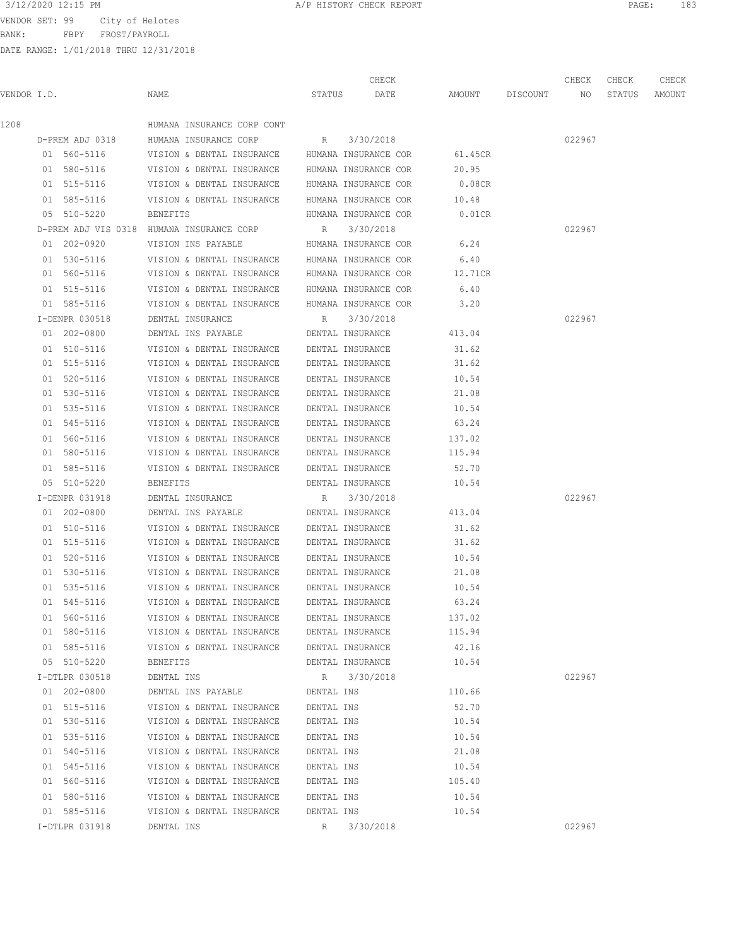BANK: FBPY FROST/PAYROLL

| 3/12/2020 12:15 PM       | 183  |
|--------------------------|------|
| A/P HISTORY CHECK REPORT | PAGE |

|             |                 |                                                            |            | CHECK                |                    | CHECK  | CHECK  | CHECK  |
|-------------|-----------------|------------------------------------------------------------|------------|----------------------|--------------------|--------|--------|--------|
| VENDOR I.D. |                 | NAME                                                       |            | STATUS DATE          | AMOUNT DISCOUNT NO |        | STATUS | AMOUNT |
| 1208        |                 | HUMANA INSURANCE CORP CONT                                 |            |                      |                    |        |        |        |
|             | D-PREM ADJ 0318 | HUMANA INSURANCE CORP R 3/30/2018                          |            |                      |                    | 022967 |        |        |
|             |                 | 01 560-5116 VISION & DENTAL INSURANCE HUMANA INSURANCE COR |            |                      | 61.45CR            |        |        |        |
|             | 01 580-5116     | VISION & DENTAL INSURANCE HUMANA INSURANCE COR             |            |                      | 20.95              |        |        |        |
|             | 01 515-5116     | VISION & DENTAL INSURANCE HUMANA INSURANCE COR             |            |                      | $0.08$ CR          |        |        |        |
|             | 01 585-5116     | VISION & DENTAL INSURANCE HUMANA INSURANCE COR             |            |                      | 10.48              |        |        |        |
|             | 05 510-5220     | BENEFITS                                                   |            | HUMANA INSURANCE COR | $0.01$ CR          |        |        |        |
|             |                 | D-PREM ADJ VIS 0318 HUMANA INSURANCE CORP                  |            | R 3/30/2018          |                    | 022967 |        |        |
|             | 01 202-0920     | VISION INS PAYABLE MUMANA INSURANCE COR 6.24               |            |                      |                    |        |        |        |
|             | 01 530-5116     | VISION & DENTAL INSURANCE HUMANA INSURANCE COR             |            |                      | 6.40               |        |        |        |
|             | 01 560-5116     | VISION & DENTAL INSURANCE HUMANA INSURANCE COR             |            |                      | 12.71CR            |        |        |        |
|             | 01 515-5116     | VISION & DENTAL INSURANCE HUMANA INSURANCE COR             |            |                      | 6.40               |        |        |        |
|             | 01 585-5116     | VISION & DENTAL INSURANCE HUMANA INSURANCE COR             |            |                      | 3.20               |        |        |        |
|             | I-DENPR 030518  | DENTAL INSURANCE                                           |            | R 3/30/2018          |                    | 022967 |        |        |
|             | 01 202-0800     | DENTAL INS PAYABLE                                         |            | DENTAL INSURANCE     | 413.04             |        |        |        |
|             | 01 510-5116     | VISION & DENTAL INSURANCE DENTAL INSURANCE                 |            |                      | 31.62              |        |        |        |
|             | 01 515-5116     | VISION & DENTAL INSURANCE DENTAL INSURANCE                 |            |                      | 31.62              |        |        |        |
|             | 01 520-5116     | VISION & DENTAL INSURANCE DENTAL INSURANCE                 |            |                      | 10.54              |        |        |        |
|             | 01 530-5116     | VISION & DENTAL INSURANCE DENTAL INSURANCE                 |            |                      | 21.08              |        |        |        |
|             | 01 535-5116     | VISION & DENTAL INSURANCE DENTAL INSURANCE                 |            |                      | 10.54              |        |        |        |
|             | 01 545-5116     | VISION & DENTAL INSURANCE DENTAL INSURANCE                 |            |                      | 63.24              |        |        |        |
|             | 01 560-5116     | VISION & DENTAL INSURANCE DENTAL INSURANCE                 |            |                      | 137.02             |        |        |        |
|             | 01 580-5116     | VISION & DENTAL INSURANCE DENTAL INSURANCE                 |            |                      | 115.94             |        |        |        |
|             | 01 585-5116     | VISION & DENTAL INSURANCE DENTAL INSURANCE                 |            |                      | 52.70              |        |        |        |
|             | 05 510-5220     | BENEFITS                                                   |            | DENTAL INSURANCE     | 10.54              |        |        |        |
|             | I-DENPR 031918  | DENTAL INSURANCE                                           |            | R 3/30/2018          |                    | 022967 |        |        |
|             | 01 202-0800     | DENTAL INS PAYABLE                                         |            | DENTAL INSURANCE     | 413.04             |        |        |        |
|             | 01 510-5116     | VISION & DENTAL INSURANCE DENTAL INSURANCE                 |            |                      | 31.62              |        |        |        |
|             | 01 515-5116     | VISION & DENTAL INSURANCE DENTAL INSURANCE                 |            |                      | 31.62              |        |        |        |
|             | 01 520-5116     | VISION & DENTAL INSURANCE DENTAL INSURANCE                 |            |                      | 10.54              |        |        |        |
|             | 01 530-5116     | VISION & DENTAL INSURANCE DENTAL INSURANCE                 |            |                      | 21.08              |        |        |        |
|             | 01 535-5116     | VISION & DENTAL INSURANCE                                  |            | DENTAL INSURANCE     | 10.54              |        |        |        |
|             | 01 545-5116     | VISION & DENTAL INSURANCE                                  |            | DENTAL INSURANCE     | 63.24              |        |        |        |
|             | 01 560-5116     | VISION & DENTAL INSURANCE                                  |            | DENTAL INSURANCE     | 137.02             |        |        |        |
|             | 01 580-5116     | VISION & DENTAL INSURANCE DENTAL INSURANCE                 |            |                      | 115.94             |        |        |        |
|             | 01 585-5116     | VISION & DENTAL INSURANCE                                  |            | DENTAL INSURANCE     | 42.16              |        |        |        |
|             | 05 510-5220     | BENEFITS                                                   |            | DENTAL INSURANCE     | 10.54              |        |        |        |
|             | I-DTLPR 030518  | DENTAL INS                                                 |            | R 3/30/2018          |                    | 022967 |        |        |
|             | 01 202-0800     | DENTAL INS PAYABLE                                         | DENTAL INS |                      | 110.66             |        |        |        |
|             | 01 515-5116     | VISION & DENTAL INSURANCE                                  | DENTAL INS |                      | 52.70              |        |        |        |
|             | 01 530-5116     | VISION & DENTAL INSURANCE                                  | DENTAL INS |                      | 10.54              |        |        |        |
|             | 01 535-5116     | VISION & DENTAL INSURANCE                                  | DENTAL INS |                      | 10.54              |        |        |        |
|             | 01 540-5116     | VISION & DENTAL INSURANCE                                  | DENTAL INS |                      | 21.08              |        |        |        |
|             | 01 545-5116     | VISION & DENTAL INSURANCE                                  | DENTAL INS |                      | 10.54              |        |        |        |
|             | 01 560-5116     | VISION & DENTAL INSURANCE                                  | DENTAL INS |                      | 105.40             |        |        |        |
|             | 01 580-5116     | VISION & DENTAL INSURANCE                                  | DENTAL INS |                      | 10.54              |        |        |        |
|             | 01 585-5116     | VISION & DENTAL INSURANCE                                  | DENTAL INS |                      | 10.54              |        |        |        |
|             | I-DTLPR 031918  | DENTAL INS                                                 | R          | 3/30/2018            |                    | 022967 |        |        |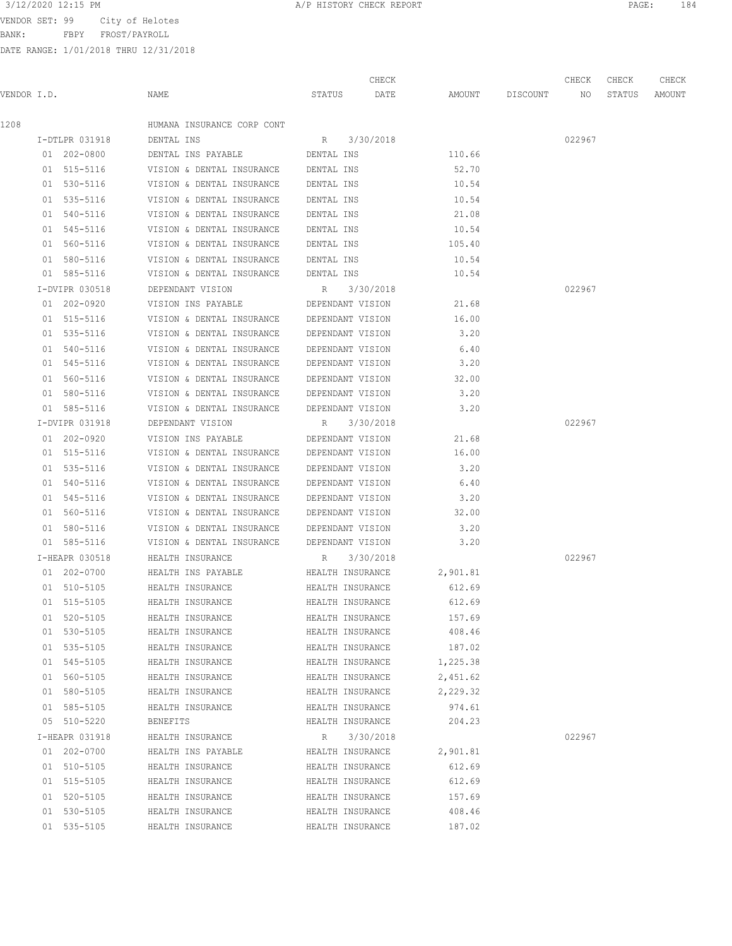BANK: FBPY FROST/PAYROLL

| 3/12/2020 12:15 PM<br>A/P HISTORY CHECK REPORT | PAGE. |
|------------------------------------------------|-------|
|------------------------------------------------|-------|

|             |                            |                                                                                          |                                      | CHECK     |                  |                    | CHECK  | CHECK  | CHECK  |
|-------------|----------------------------|------------------------------------------------------------------------------------------|--------------------------------------|-----------|------------------|--------------------|--------|--------|--------|
| VENDOR I.D. |                            | NAME                                                                                     | STATUS                               | DATE      |                  | AMOUNT DISCOUNT NO |        | STATUS | AMOUNT |
| 1208        |                            | HUMANA INSURANCE CORP CONT                                                               |                                      |           |                  |                    |        |        |        |
|             | I-DTLPR 031918             | DENTAL INS                                                                               | R 3/30/2018                          |           |                  |                    | 022967 |        |        |
|             | 01 202-0800                | DENTAL INS PAYABLE                                                                       | DENTAL INS                           |           | 110.66           |                    |        |        |        |
|             | 01 515-5116                | VISION & DENTAL INSURANCE                                                                | DENTAL INS                           |           | 52.70            |                    |        |        |        |
|             | 01 530-5116                | VISION & DENTAL INSURANCE                                                                | DENTAL INS                           |           | 10.54            |                    |        |        |        |
|             | 01 535-5116                | VISION & DENTAL INSURANCE                                                                | DENTAL INS                           |           | 10.54            |                    |        |        |        |
|             | 01 540-5116                | VISION & DENTAL INSURANCE                                                                | DENTAL INS                           |           | 21.08            |                    |        |        |        |
|             | 01 545-5116                | VISION & DENTAL INSURANCE                                                                | DENTAL INS                           |           | 10.54            |                    |        |        |        |
|             | 01 560-5116                | VISION & DENTAL INSURANCE                                                                | DENTAL INS                           |           | 105.40           |                    |        |        |        |
|             | 01 580-5116                | VISION & DENTAL INSURANCE                                                                | DENTAL INS                           |           | 10.54            |                    |        |        |        |
|             | 01 585-5116                | VISION & DENTAL INSURANCE                                                                | DENTAL INS                           |           | 10.54            |                    |        |        |        |
|             | I-DVIPR 030518             | DEPENDANT VISION                                                                         | R 3/30/2018                          |           |                  |                    | 022967 |        |        |
|             | 01 202-0920                | VISION INS PAYABLE                                                                       | DEPENDANT VISION                     |           | 21.68            |                    |        |        |        |
|             | 01 515-5116                | VISION & DENTAL INSURANCE DEPENDANT VISION                                               |                                      |           | 16.00            |                    |        |        |        |
|             | 01 535-5116                | VISION & DENTAL INSURANCE DEPENDANT VISION                                               |                                      |           | 3.20             |                    |        |        |        |
|             | 01 540-5116                | VISION & DENTAL INSURANCE                                                                | DEPENDANT VISION                     |           | 6.40             |                    |        |        |        |
|             | 01 545-5116                | VISION & DENTAL INSURANCE                                                                | DEPENDANT VISION                     |           | 3.20             |                    |        |        |        |
|             | 01 560-5116                | VISION & DENTAL INSURANCE                                                                | DEPENDANT VISION                     |           | 32.00            |                    |        |        |        |
|             | 01 580-5116                | VISION & DENTAL INSURANCE DEPENDANT VISION                                               |                                      |           | 3.20             |                    |        |        |        |
|             | 01 585-5116                | VISION & DENTAL INSURANCE DEPENDANT VISION                                               |                                      |           | 3.20             |                    |        |        |        |
|             | I-DVIPR 031918             | DEPENDANT VISION                                                                         | R 3/30/2018                          |           |                  |                    | 022967 |        |        |
|             | 01 202-0920                | VISION INS PAYABLE                                                                       | DEPENDANT VISION                     |           | 21.68            |                    |        |        |        |
|             | 01 515-5116                | VISION & DENTAL INSURANCE DEPENDANT VISION                                               |                                      |           | 16.00            |                    |        |        |        |
|             | 01 535-5116                | VISION & DENTAL INSURANCE                                                                | DEPENDANT VISION                     |           | 3.20             |                    |        |        |        |
|             | 01 540-5116                | VISION & DENTAL INSURANCE                                                                | DEPENDANT VISION                     |           | 6.40             |                    |        |        |        |
|             | 01 545-5116                | VISION & DENTAL INSURANCE                                                                | DEPENDANT VISION                     |           | 3.20             |                    |        |        |        |
|             | 01 560-5116                | VISION & DENTAL INSURANCE                                                                | DEPENDANT VISION                     |           | 32.00            |                    |        |        |        |
|             | 01 580-5116                |                                                                                          |                                      |           | 3.20             |                    |        |        |        |
|             | 01 585-5116                | VISION & DENTAL INSURANCE DEPENDANT VISION<br>VISION & DENTAL INSURANCE DEPENDANT VISION |                                      |           | 3.20             |                    |        |        |        |
|             | I-HEAPR 030518             | HEALTH INSURANCE                                                                         |                                      | 3/30/2018 |                  |                    | 022967 |        |        |
|             | 01 202-0700                | HEALTH INS PAYABLE <b>HEALTH</b> INSURANCE                                               | $R_{\rm c}$                          |           | 2,901.81         |                    |        |        |        |
|             |                            |                                                                                          |                                      |           |                  |                    |        |        |        |
|             | 01 510-5105<br>01 515-5105 | HEALTH INSURANCE<br>HEALTH INSURANCE                                                     | HEALTH INSURANCE<br>HEALTH INSURANCE |           | 612.69<br>612.69 |                    |        |        |        |
|             |                            |                                                                                          |                                      |           |                  |                    |        |        |        |
|             | 01 520-5105<br>01 530-5105 | HEALTH INSURANCE                                                                         | HEALTH INSURANCE                     |           | 157.69<br>408.46 |                    |        |        |        |
|             | 01 535-5105                | HEALTH INSURANCE<br>HEALTH INSURANCE                                                     | HEALTH INSURANCE<br>HEALTH INSURANCE |           |                  |                    |        |        |        |
|             | 01 545-5105                | HEALTH INSURANCE                                                                         | HEALTH INSURANCE                     |           | 187.02           |                    |        |        |        |
|             | 01 560-5105                |                                                                                          |                                      |           | 1,225.38         |                    |        |        |        |
|             | 01 580-5105                | HEALTH INSURANCE                                                                         | HEALTH INSURANCE<br>HEALTH INSURANCE |           | 2,451.62         |                    |        |        |        |
|             |                            | HEALTH INSURANCE                                                                         |                                      |           | 2,229.32         |                    |        |        |        |
|             | 01 585-5105                | HEALTH INSURANCE                                                                         | HEALTH INSURANCE                     |           | 974.61           |                    |        |        |        |
|             | 05 510-5220                | <b>BENEFITS</b>                                                                          | HEALTH INSURANCE                     |           | 204.23           |                    |        |        |        |
|             | I-HEAPR 031918             | HEALTH INSURANCE                                                                         | R                                    | 3/30/2018 |                  |                    | 022967 |        |        |
|             | 01 202-0700                | HEALTH INS PAYABLE                                                                       | HEALTH INSURANCE                     |           | 2,901.81         |                    |        |        |        |
|             | 01 510-5105                | HEALTH INSURANCE                                                                         | HEALTH INSURANCE                     |           | 612.69           |                    |        |        |        |
|             | 01 515-5105                | HEALTH INSURANCE                                                                         | HEALTH INSURANCE                     |           | 612.69           |                    |        |        |        |
|             | 01 520-5105                | HEALTH INSURANCE                                                                         | HEALTH INSURANCE                     |           | 157.69           |                    |        |        |        |
|             | 01 530-5105                | HEALTH INSURANCE                                                                         | HEALTH INSURANCE                     |           | 408.46           |                    |        |        |        |
|             | 01 535-5105                | HEALTH INSURANCE                                                                         | HEALTH INSURANCE                     |           | 187.02           |                    |        |        |        |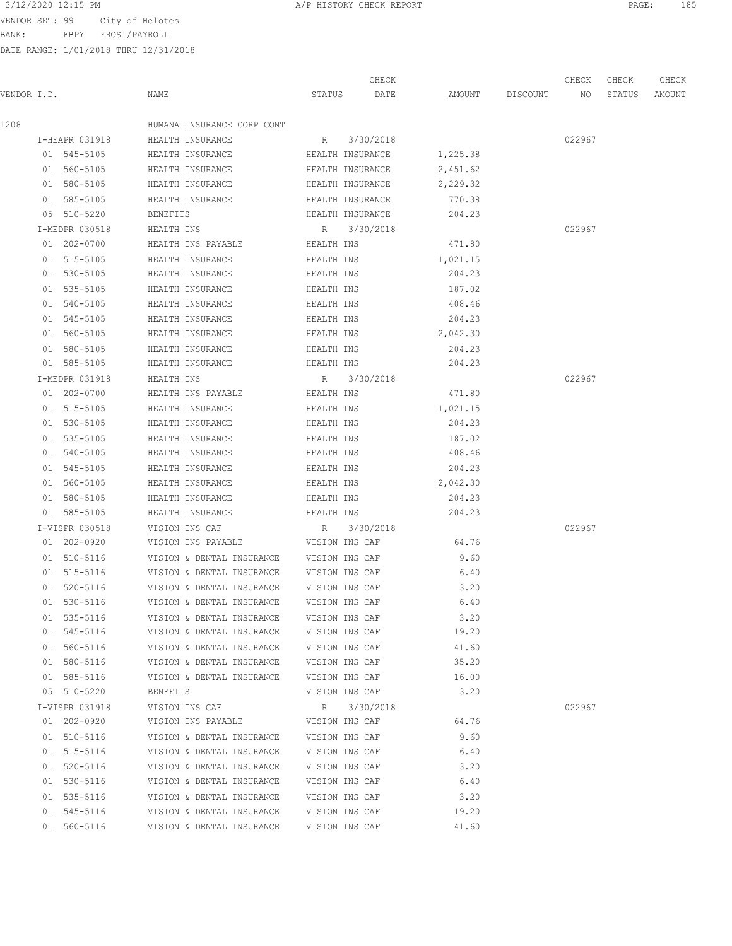BANK: FBPY FROST/PAYROLL

|             |                |                                          |             | CHECK            |                    | CHECK  | CHECK  | CHECK         |
|-------------|----------------|------------------------------------------|-------------|------------------|--------------------|--------|--------|---------------|
| VENDOR I.D. |                | NAME                                     | STATUS      | DATE             | AMOUNT DISCOUNT NO |        | STATUS | <b>AMOUNT</b> |
| 1208        |                | HUMANA INSURANCE CORP CONT               |             |                  |                    |        |        |               |
|             | I-HEAPR 031918 | HEALTH INSURANCE                         |             | R 3/30/2018      |                    | 022967 |        |               |
|             | 01 545-5105    | HEALTH INSURANCE                         |             | HEALTH INSURANCE | 1,225.38           |        |        |               |
|             | 01 560-5105    | HEALTH INSURANCE                         |             | HEALTH INSURANCE | 2,451.62           |        |        |               |
|             | 01 580-5105    | HEALTH INSURANCE                         |             | HEALTH INSURANCE | 2,229.32           |        |        |               |
|             | 01 585-5105    | HEALTH INSURANCE                         |             | HEALTH INSURANCE | 770.38             |        |        |               |
|             | 05 510-5220    | BENEFITS                                 |             | HEALTH INSURANCE | 204.23             |        |        |               |
|             | I-MEDPR 030518 | HEALTH INS                               | $R_{\rm c}$ | 3/30/2018        |                    | 022967 |        |               |
|             | 01 202-0700    | HEALTH INS PAYABLE <b>HEALTH</b> INS     |             |                  | 471.80             |        |        |               |
|             | 01 515-5105    | HEALTH INSURANCE<br>HEALTH INS           |             |                  | 1,021.15           |        |        |               |
|             | 01 530-5105    | HEALTH INSURANCE                         | HEALTH INS  |                  | 204.23             |        |        |               |
|             | 01 535-5105    | HEALTH INSURANCE                         | HEALTH INS  |                  | 187.02             |        |        |               |
|             | 01 540-5105    | HEALTH INSURANCE                         | HEALTH INS  |                  | 408.46             |        |        |               |
|             | 01 545-5105    | HEALTH INSURANCE                         | HEALTH INS  |                  | 204.23             |        |        |               |
|             | 01 560-5105    | HEALTH INSURANCE                         | HEALTH INS  |                  | 2,042.30           |        |        |               |
|             | 01 580-5105    | HEALTH INSURANCE                         | HEALTH INS  |                  | 204.23             |        |        |               |
|             | 01 585-5105    | HEALTH INSURANCE                         | HEALTH INS  |                  | 204.23             |        |        |               |
|             | I-MEDPR 031918 | HEALTH INS                               |             | R 3/30/2018      |                    | 022967 |        |               |
|             | 01 202-0700    | HEALTH INS PAYABLE                       | HEALTH INS  |                  | 471.80             |        |        |               |
|             | 01 515-5105    | HEALTH INSURANCE                         | HEALTH INS  |                  | 1,021.15           |        |        |               |
|             | 01 530-5105    | HEALTH INSURANCE<br>HEALTH INS           |             |                  | 204.23             |        |        |               |
|             | 01 535-5105    | HEALTH INSURANCE                         | HEALTH INS  |                  | 187.02             |        |        |               |
|             | 01 540-5105    | HEALTH INSURANCE                         | HEALTH INS  |                  | 408.46             |        |        |               |
|             | 01 545-5105    | HEALTH INSURANCE                         | HEALTH INS  |                  | 204.23             |        |        |               |
|             | 01 560-5105    | HEALTH INSURANCE                         | HEALTH INS  |                  | 2,042.30           |        |        |               |
|             | 01 580-5105    | HEALTH INSURANCE                         | HEALTH INS  |                  | 204.23             |        |        |               |
|             | 01 585-5105    | HEALTH INSURANCE                         | HEALTH INS  |                  | 204.23             |        |        |               |
|             | I-VISPR 030518 | VISION INS CAF                           |             | R 3/30/2018      |                    | 022967 |        |               |
|             | 01 202-0920    | VISION INS PAYABLE                       |             | VISION INS CAF   | 64.76              |        |        |               |
|             | 01 510-5116    | VISION & DENTAL INSURANCE VISION INS CAF |             |                  | 9.60               |        |        |               |
|             | 01 515-5116    | VISION & DENTAL INSURANCE VISION INS CAF |             |                  | 6.40               |        |        |               |
|             | 01 520-5116    | VISION & DENTAL INSURANCE VISION INS CAF |             |                  | 3.20               |        |        |               |
|             | 01 530-5116    | VISION & DENTAL INSURANCE                |             | VISION INS CAF   | 6.40               |        |        |               |
|             | 01 535-5116    | VISION & DENTAL INSURANCE                |             | VISION INS CAF   | 3.20               |        |        |               |
|             | 01 545-5116    | VISION & DENTAL INSURANCE                |             | VISION INS CAF   | 19.20              |        |        |               |
|             | 01 560-5116    | VISION & DENTAL INSURANCE                |             | VISION INS CAF   | 41.60              |        |        |               |
|             | 01 580-5116    | VISION & DENTAL INSURANCE                |             | VISION INS CAF   | 35.20              |        |        |               |
|             | 01 585-5116    | VISION & DENTAL INSURANCE                |             | VISION INS CAF   | 16.00              |        |        |               |
|             | 05 510-5220    | BENEFITS                                 |             | VISION INS CAF   | 3.20               |        |        |               |
|             | I-VISPR 031918 | VISION INS CAF                           | R           | 3/30/2018        |                    | 022967 |        |               |
|             | 01 202-0920    | VISION INS PAYABLE                       |             | VISION INS CAF   | 64.76              |        |        |               |
|             | 01 510-5116    | VISION & DENTAL INSURANCE                |             | VISION INS CAF   | 9.60               |        |        |               |
|             | 01 515-5116    | VISION & DENTAL INSURANCE                |             | VISION INS CAF   | 6.40               |        |        |               |
|             | 01 520-5116    | VISION & DENTAL INSURANCE                |             | VISION INS CAF   | 3.20               |        |        |               |
|             | 01 530-5116    | VISION & DENTAL INSURANCE                |             | VISION INS CAF   | 6.40               |        |        |               |
|             | 01 535-5116    | VISION & DENTAL INSURANCE                |             | VISION INS CAF   | 3.20               |        |        |               |
|             | 01 545-5116    | VISION & DENTAL INSURANCE                |             | VISION INS CAF   | 19.20              |        |        |               |
|             | 01 560-5116    | VISION & DENTAL INSURANCE                |             | VISION INS CAF   | 41.60              |        |        |               |
|             |                |                                          |             |                  |                    |        |        |               |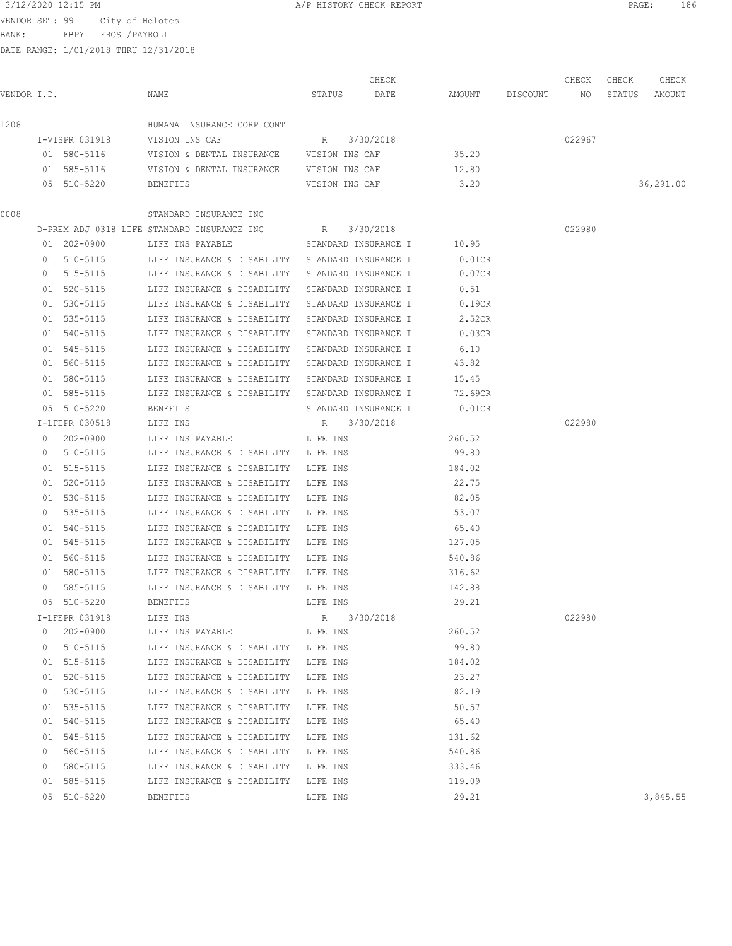BANK: FBPY FROST/PAYROLL

|             |                |                                                         |                | CHECK                |                    | CHECK  | CHECK  | CHECK     |
|-------------|----------------|---------------------------------------------------------|----------------|----------------------|--------------------|--------|--------|-----------|
| VENDOR I.D. |                | NAME                                                    | STATUS         | DATE                 | AMOUNT DISCOUNT NO |        | STATUS | AMOUNT    |
| 1208        |                | HUMANA INSURANCE CORP CONT                              |                |                      |                    |        |        |           |
|             | I-VISPR 031918 | VISION INS CAF                                          | R 3/30/2018    |                      |                    | 022967 |        |           |
|             | 01 580-5116    | VISION & DENTAL INSURANCE VISION INS CAF                |                |                      | 35.20              |        |        |           |
|             | 01 585-5116    | VISION & DENTAL INSURANCE VISION INS CAF                |                |                      | 12.80              |        |        |           |
|             | 05 510-5220    | BENEFITS                                                | VISION INS CAF |                      | 3.20               |        |        | 36,291.00 |
| 0008        |                | STANDARD INSURANCE INC                                  |                |                      |                    |        |        |           |
|             |                | D-PREM ADJ 0318 LIFE STANDARD INSURANCE INC R 3/30/2018 |                |                      |                    | 022980 |        |           |
|             | 01 202-0900    | LIFE INS PAYABLE STANDARD INSURANCE I                   |                |                      | 10.95              |        |        |           |
|             | 01 510-5115    | LIFE INSURANCE & DISABILITY STANDARD INSURANCE I        |                |                      | $0.01$ CR          |        |        |           |
|             | 01 515-5115    | LIFE INSURANCE & DISABILITY STANDARD INSURANCE I        |                |                      | 0.07CR             |        |        |           |
|             | 01 520-5115    | LIFE INSURANCE & DISABILITY                             |                | STANDARD INSURANCE I | 0.51               |        |        |           |
|             | 01 530-5115    | LIFE INSURANCE & DISABILITY                             |                | STANDARD INSURANCE I | 0.19CR             |        |        |           |
|             | 01 535-5115    | LIFE INSURANCE & DISABILITY                             |                | STANDARD INSURANCE I | 2.52CR             |        |        |           |
|             | 01 540-5115    | LIFE INSURANCE & DISABILITY                             |                | STANDARD INSURANCE I | 0.03CR             |        |        |           |
|             | 01 545-5115    | LIFE INSURANCE & DISABILITY                             |                | STANDARD INSURANCE I | 6.10               |        |        |           |
|             | 01 560-5115    | LIFE INSURANCE & DISABILITY                             |                | STANDARD INSURANCE I | 43.82              |        |        |           |
|             | 01 580-5115    | LIFE INSURANCE & DISABILITY STANDARD INSURANCE I        |                |                      | 15.45              |        |        |           |
|             | 01 585-5115    | LIFE INSURANCE & DISABILITY STANDARD INSURANCE I        |                |                      | 72.69CR            |        |        |           |
|             |                |                                                         |                |                      |                    |        |        |           |
|             | 05 510-5220    | BENEFITS                                                |                | STANDARD INSURANCE I | $0.01$ CR          |        |        |           |
|             | I-LFEPR 030518 | LIFE INS                                                | R 3/30/2018    |                      |                    | 022980 |        |           |
|             | 01 202-0900    | LIFE INS PAYABLE                                        | LIFE INS       |                      | 260.52             |        |        |           |
|             | 01 510-5115    | LIFE INSURANCE & DISABILITY LIFE INS                    |                |                      | 99.80              |        |        |           |
|             | 01 515-5115    | LIFE INSURANCE & DISABILITY                             | LIFE INS       |                      | 184.02             |        |        |           |
|             | 01 520-5115    | LIFE INSURANCE & DISABILITY                             | LIFE INS       |                      | 22.75              |        |        |           |
|             | 01 530-5115    | LIFE INSURANCE & DISABILITY                             | LIFE INS       |                      | 82.05              |        |        |           |
|             | 01 535-5115    | LIFE INSURANCE & DISABILITY                             | LIFE INS       |                      | 53.07              |        |        |           |
|             | 01 540-5115    | LIFE INSURANCE & DISABILITY                             | LIFE INS       |                      | 65.40              |        |        |           |
|             | 01 545-5115    | LIFE INSURANCE & DISABILITY                             | LIFE INS       |                      | 127.05             |        |        |           |
|             | 01 560-5115    | LIFE INSURANCE & DISABILITY                             | LIFE INS       |                      | 540.86             |        |        |           |
|             | 01 580-5115    | LIFE INSURANCE & DISABILITY LIFE INS                    |                |                      | 316.62             |        |        |           |
|             | 01 585-5115    | LIFE INSURANCE & DISABILITY LIFE INS                    |                |                      | 142.88             |        |        |           |
|             | 05 510-5220    | <b>BENEFITS</b>                                         | LIFE INS       |                      | 29.21              |        |        |           |
|             | I-LFEPR 031918 | LIFE INS                                                | R              | 3/30/2018            |                    | 022980 |        |           |
|             | 01 202-0900    | LIFE INS PAYABLE                                        | LIFE INS       |                      | 260.52             |        |        |           |
|             | 01 510-5115    | LIFE INSURANCE & DISABILITY LIFE INS                    |                |                      | 99.80              |        |        |           |
|             | 01 515-5115    | LIFE INSURANCE & DISABILITY                             | LIFE INS       |                      | 184.02             |        |        |           |
|             | 01 520-5115    | LIFE INSURANCE & DISABILITY                             | LIFE INS       |                      | 23.27              |        |        |           |
|             | 01 530-5115    | LIFE INSURANCE & DISABILITY                             | LIFE INS       |                      | 82.19              |        |        |           |
|             | 01 535-5115    | LIFE INSURANCE & DISABILITY                             | LIFE INS       |                      | 50.57              |        |        |           |
|             | 01 540-5115    | LIFE INSURANCE & DISABILITY                             | LIFE INS       |                      | 65.40              |        |        |           |
|             | 01 545-5115    | LIFE INSURANCE & DISABILITY                             | LIFE INS       |                      | 131.62             |        |        |           |
|             | 01 560-5115    | LIFE INSURANCE & DISABILITY                             | LIFE INS       |                      | 540.86             |        |        |           |
|             | 01 580-5115    | LIFE INSURANCE & DISABILITY                             | LIFE INS       |                      | 333.46             |        |        |           |
|             | 01 585-5115    | LIFE INSURANCE & DISABILITY                             | LIFE INS       |                      | 119.09             |        |        |           |
|             | 05 510-5220    | BENEFITS                                                | LIFE INS       |                      | 29.21              |        |        | 3,845.55  |
|             |                |                                                         |                |                      |                    |        |        |           |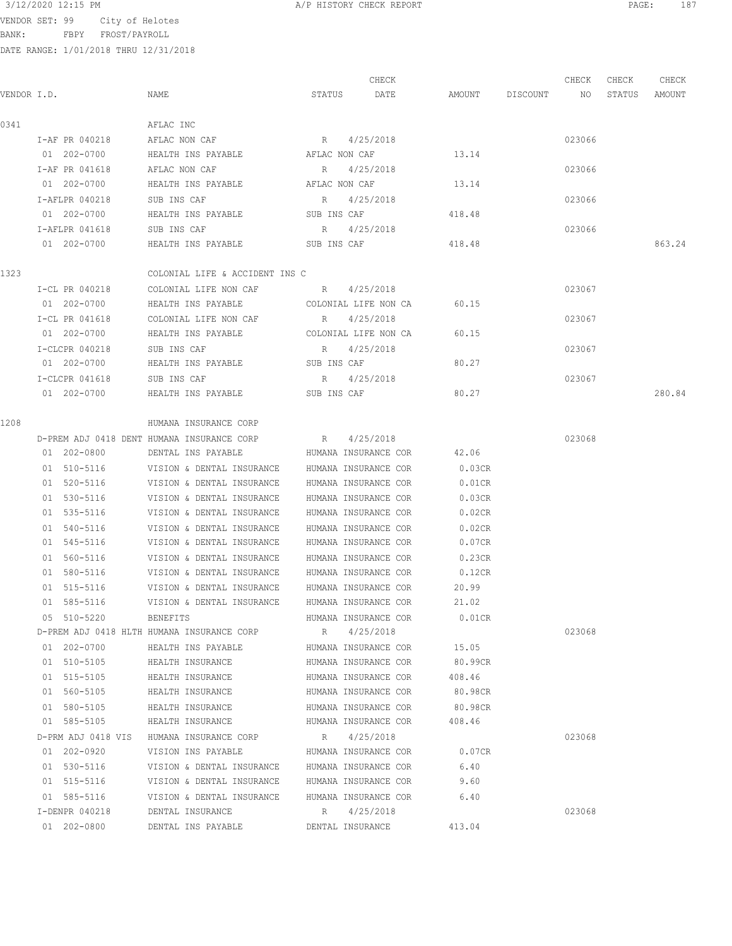BANK: FBPY FROST/PAYROLL

| VENDOR I.D. |                    | NAME                                       |               | CHECK<br>STATUS DATE | AMOUNT    | DISCOUNT | CHECK<br>NO | CHECK<br>STATUS | CHECK<br>AMOUNT |
|-------------|--------------------|--------------------------------------------|---------------|----------------------|-----------|----------|-------------|-----------------|-----------------|
| 0341        |                    | AFLAC INC                                  |               |                      |           |          |             |                 |                 |
|             | I-AF PR 040218     | AFLAC NON CAF                              |               | R 4/25/2018          |           |          | 023066      |                 |                 |
|             | 01 202-0700        | HEALTH INS PAYABLE THE AFLAC NON CAF       |               |                      | 13.14     |          |             |                 |                 |
|             | I-AF PR 041618     | AFLAC NON CAF                              | R             | 4/25/2018            |           |          | 023066      |                 |                 |
|             | 01 202-0700        | HEALTH INS PAYABLE                         | AFLAC NON CAF |                      | 13.14     |          |             |                 |                 |
|             | I-AFLPR 040218     | SUB INS CAF                                | R             | 4/25/2018            |           |          | 023066      |                 |                 |
|             | 01 202-0700        | HEALTH INS PAYABLE                         | SUB INS CAF   |                      | 418.48    |          |             |                 |                 |
|             | I-AFLPR 041618     | SUB INS CAF                                |               | R 4/25/2018          |           |          | 023066      |                 |                 |
|             | 01 202-0700        | HEALTH INS PAYABLE                         | SUB INS CAF   |                      | 418.48    |          |             |                 | 863.24          |
| 1323        |                    | COLONIAL LIFE & ACCIDENT INS C             |               |                      |           |          |             |                 |                 |
|             | I-CL PR 040218     | COLONIAL LIFE NON CAF                      | R             | 4/25/2018            |           |          | 023067      |                 |                 |
|             | 01 202-0700        | HEALTH INS PAYABLE                         |               | COLONIAL LIFE NON CA | 60.15     |          |             |                 |                 |
|             | I-CL PR 041618     | COLONIAL LIFE NON CAF                      | R 4/25/2018   |                      |           |          | 023067      |                 |                 |
|             | 01 202-0700        |                                            |               |                      | 60.15     |          |             |                 |                 |
|             | I-CLCPR 040218     | SUB INS CAF                                | R 4/25/2018   |                      |           |          | 023067      |                 |                 |
|             | 01 202-0700        | HEALTH INS PAYABLE SUB INS CAF             |               |                      | 80.27     |          |             |                 |                 |
|             | I-CLCPR 041618     | SUB INS CAF                                |               | R 4/25/2018          |           |          | 023067      |                 |                 |
|             | 01 202-0700        | HEALTH INS PAYABLE                         |               | SUB INS CAF          | 80.27     |          |             |                 | 280.84          |
| 1208        |                    | HUMANA INSURANCE CORP                      |               |                      |           |          |             |                 |                 |
|             |                    | D-PREM ADJ 0418 DENT HUMANA INSURANCE CORP |               | R 4/25/2018          |           |          | 023068      |                 |                 |
|             | 01 202-0800        | DENTAL INS PAYABLE                         |               | HUMANA INSURANCE COR | 42.06     |          |             |                 |                 |
|             | 01 510-5116        | VISION & DENTAL INSURANCE                  |               | HUMANA INSURANCE COR | 0.03CR    |          |             |                 |                 |
|             | 01 520-5116        | VISION & DENTAL INSURANCE                  |               | HUMANA INSURANCE COR | $0.01$ CR |          |             |                 |                 |
|             | 01 530-5116        | VISION & DENTAL INSURANCE                  |               | HUMANA INSURANCE COR | 0.03CR    |          |             |                 |                 |
|             | 01 535-5116        | VISION & DENTAL INSURANCE                  |               | HUMANA INSURANCE COR | 0.02CR    |          |             |                 |                 |
|             | 01 540-5116        | VISION & DENTAL INSURANCE                  |               | HUMANA INSURANCE COR | 0.02CR    |          |             |                 |                 |
|             | 01 545-5116        | VISION & DENTAL INSURANCE                  |               | HUMANA INSURANCE COR | 0.07CR    |          |             |                 |                 |
|             | 01 560-5116        | VISION & DENTAL INSURANCE                  |               | HUMANA INSURANCE COR | 0.23CR    |          |             |                 |                 |
|             | 01 580-5116        | VISION & DENTAL INSURANCE                  |               | HUMANA INSURANCE COR | 0.12CR    |          |             |                 |                 |
|             | 01 515-5116        | VISION & DENTAL INSURANCE                  |               | HUMANA INSURANCE COR | 20.99     |          |             |                 |                 |
|             | 01 585-5116        | VISION & DENTAL INSURANCE                  |               | HUMANA INSURANCE COR | 21.02     |          |             |                 |                 |
|             | 05 510-5220        | BENEFITS                                   |               | HUMANA INSURANCE COR | 0.01CR    |          |             |                 |                 |
|             |                    | D-PREM ADJ 0418 HLTH HUMANA INSURANCE CORP |               | R 4/25/2018          |           |          | 023068      |                 |                 |
|             | 01 202-0700        | HEALTH INS PAYABLE                         |               | HUMANA INSURANCE COR | 15.05     |          |             |                 |                 |
|             | 01 510-5105        | HEALTH INSURANCE                           |               | HUMANA INSURANCE COR | 80.99CR   |          |             |                 |                 |
|             | 01 515-5105        | HEALTH INSURANCE                           |               | HUMANA INSURANCE COR | 408.46    |          |             |                 |                 |
|             | 01 560-5105        | HEALTH INSURANCE                           |               | HUMANA INSURANCE COR | 80.98CR   |          |             |                 |                 |
|             | 01 580-5105        | HEALTH INSURANCE                           |               | HUMANA INSURANCE COR | 80.98CR   |          |             |                 |                 |
|             | 01 585-5105        | HEALTH INSURANCE                           |               | HUMANA INSURANCE COR | 408.46    |          |             |                 |                 |
|             | D-PRM ADJ 0418 VIS | HUMANA INSURANCE CORP                      | R             | 4/25/2018            |           |          | 023068      |                 |                 |
|             | 01 202-0920        | VISION INS PAYABLE                         |               | HUMANA INSURANCE COR | 0.07CR    |          |             |                 |                 |
|             | 01 530-5116        | VISION & DENTAL INSURANCE                  |               | HUMANA INSURANCE COR | 6.40      |          |             |                 |                 |
|             | 01 515-5116        | VISION & DENTAL INSURANCE                  |               | HUMANA INSURANCE COR | 9.60      |          |             |                 |                 |
|             | 01 585-5116        | VISION & DENTAL INSURANCE                  |               | HUMANA INSURANCE COR | 6.40      |          |             |                 |                 |
|             | I-DENPR 040218     | DENTAL INSURANCE                           | R             | 4/25/2018            |           |          | 023068      |                 |                 |
|             | 01 202-0800        | DENTAL INS PAYABLE                         |               | DENTAL INSURANCE     | 413.04    |          |             |                 |                 |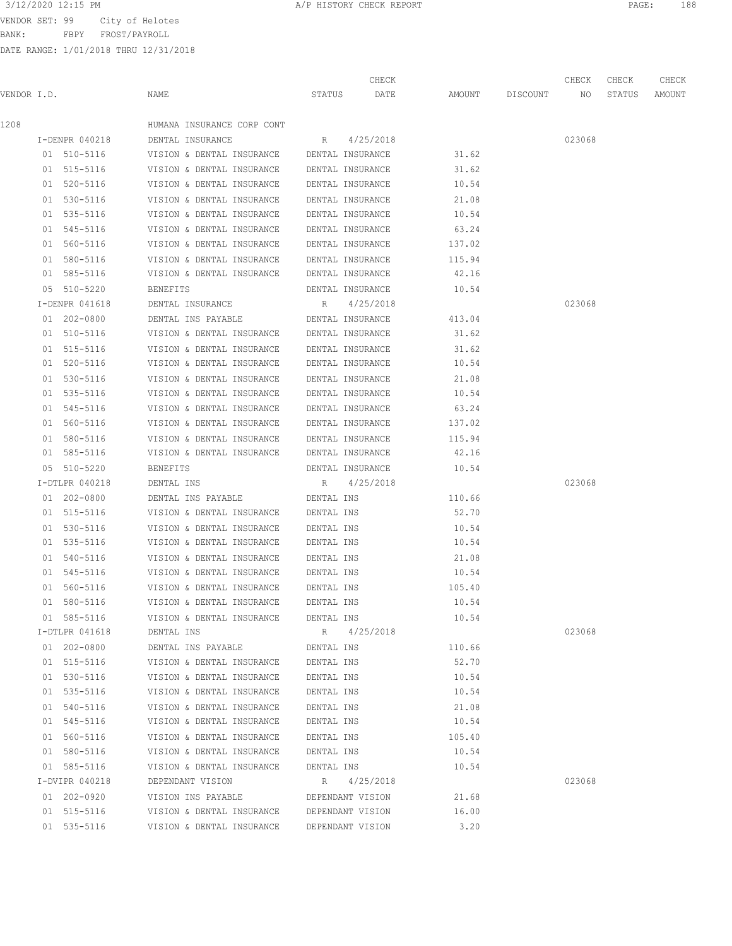BANK: FBPY FROST/PAYROLL

DATE RANGE: 1/01/2018 THRU 12/31/2018

| 3/12/2020 12:15 PM<br>A/P HISTORY CHECK REPORT<br>PAGE | 188 |
|--------------------------------------------------------|-----|
|--------------------------------------------------------|-----|

CHECK CHECK CHECK CHECK

| VENDOR I.D. |                | NAME                                       | STATUS           | DATE      | AMOUNT | DISCOUNT | NO     | STATUS | AMOUNT |
|-------------|----------------|--------------------------------------------|------------------|-----------|--------|----------|--------|--------|--------|
| 1208        |                | HUMANA INSURANCE CORP CONT                 |                  |           |        |          |        |        |        |
|             | I-DENPR 040218 | DENTAL INSURANCE                           | R 4/25/2018      |           |        |          | 023068 |        |        |
|             | 01 510-5116    | VISION & DENTAL INSURANCE                  | DENTAL INSURANCE |           | 31.62  |          |        |        |        |
|             | 01 515-5116    | VISION & DENTAL INSURANCE DENTAL INSURANCE |                  |           | 31.62  |          |        |        |        |
|             | 01 520-5116    | VISION & DENTAL INSURANCE                  | DENTAL INSURANCE |           | 10.54  |          |        |        |        |
|             | 01 530-5116    | VISION & DENTAL INSURANCE DENTAL INSURANCE |                  |           | 21.08  |          |        |        |        |
|             | 01 535-5116    | VISION & DENTAL INSURANCE DENTAL INSURANCE |                  |           | 10.54  |          |        |        |        |
|             | 01 545-5116    | VISION & DENTAL INSURANCE                  | DENTAL INSURANCE |           | 63.24  |          |        |        |        |
|             | 01 560-5116    | VISION & DENTAL INSURANCE                  | DENTAL INSURANCE |           | 137.02 |          |        |        |        |
|             | 01 580-5116    | VISION & DENTAL INSURANCE DENTAL INSURANCE |                  |           | 115.94 |          |        |        |        |
|             | 01 585-5116    | VISION & DENTAL INSURANCE DENTAL INSURANCE |                  |           | 42.16  |          |        |        |        |
|             | 05 510-5220    | BENEFITS                                   | DENTAL INSURANCE |           | 10.54  |          |        |        |        |
|             | I-DENPR 041618 | DENTAL INSURANCE                           | R 4/25/2018      |           |        |          | 023068 |        |        |
|             | 01 202-0800    | DENTAL INS PAYABLE DENTAL INSURANCE        |                  |           | 413.04 |          |        |        |        |
|             | 01 510-5116    | VISION & DENTAL INSURANCE DENTAL INSURANCE |                  |           | 31.62  |          |        |        |        |
|             | 01 515-5116    | VISION & DENTAL INSURANCE DENTAL INSURANCE |                  |           | 31.62  |          |        |        |        |
|             | 01 520-5116    | VISION & DENTAL INSURANCE DENTAL INSURANCE |                  |           | 10.54  |          |        |        |        |
|             | 01 530-5116    | VISION & DENTAL INSURANCE DENTAL INSURANCE |                  |           | 21.08  |          |        |        |        |
|             | 01 535-5116    | VISION & DENTAL INSURANCE                  | DENTAL INSURANCE |           | 10.54  |          |        |        |        |
|             | 01 545-5116    | VISION & DENTAL INSURANCE                  | DENTAL INSURANCE |           | 63.24  |          |        |        |        |
|             | 01 560-5116    | VISION & DENTAL INSURANCE DENTAL INSURANCE |                  |           | 137.02 |          |        |        |        |
|             | 01 580-5116    | VISION & DENTAL INSURANCE DENTAL INSURANCE |                  |           | 115.94 |          |        |        |        |
|             | 01 585-5116    | VISION & DENTAL INSURANCE DENTAL INSURANCE |                  |           | 42.16  |          |        |        |        |
|             | 05 510-5220    | BENEFITS                                   | DENTAL INSURANCE |           | 10.54  |          |        |        |        |
|             | I-DTLPR 040218 | DENTAL INS                                 | R 4/25/2018      |           |        |          | 023068 |        |        |
|             | 01 202-0800    | DENTAL INS PAYABLE                         | DENTAL INS       |           | 110.66 |          |        |        |        |
|             | 01 515-5116    | VISION & DENTAL INSURANCE                  | DENTAL INS       |           | 52.70  |          |        |        |        |
|             | 01 530-5116    | VISION & DENTAL INSURANCE                  | DENTAL INS       |           | 10.54  |          |        |        |        |
|             | 01 535-5116    | VISION & DENTAL INSURANCE                  | DENTAL INS       |           | 10.54  |          |        |        |        |
|             | 01 540-5116    | VISION & DENTAL INSURANCE                  | DENTAL INS       |           | 21.08  |          |        |        |        |
|             | 01 545-5116    | VISION & DENTAL INSURANCE                  | DENTAL INS       |           | 10.54  |          |        |        |        |
|             | 01 560-5116    | VISION & DENTAL INSURANCE                  | DENTAL INS       |           | 105.40 |          |        |        |        |
|             | 01 580-5116    | VISION & DENTAL INSURANCE                  | DENTAL INS       |           | 10.54  |          |        |        |        |
|             | 01 585-5116    | VISION & DENTAL INSURANCE                  | DENTAL INS       |           | 10.54  |          |        |        |        |
|             | I-DTLPR 041618 | DENTAL INS                                 | R                | 4/25/2018 |        |          | 023068 |        |        |
|             | 01 202-0800    | DENTAL INS PAYABLE                         | DENTAL INS       |           | 110.66 |          |        |        |        |
|             | 01 515-5116    | VISION & DENTAL INSURANCE                  | DENTAL INS       |           | 52.70  |          |        |        |        |
|             | 01 530-5116    | VISION & DENTAL INSURANCE                  | DENTAL INS       |           | 10.54  |          |        |        |        |
|             | 01 535-5116    | VISION & DENTAL INSURANCE                  | DENTAL INS       |           | 10.54  |          |        |        |        |
|             | 01 540-5116    | VISION & DENTAL INSURANCE                  | DENTAL INS       |           | 21.08  |          |        |        |        |
|             | 01 545-5116    | VISION & DENTAL INSURANCE                  | DENTAL INS       |           | 10.54  |          |        |        |        |
|             | 01 560-5116    | VISION & DENTAL INSURANCE                  | DENTAL INS       |           | 105.40 |          |        |        |        |
|             | 01 580-5116    | VISION & DENTAL INSURANCE                  | DENTAL INS       |           | 10.54  |          |        |        |        |
|             | 01 585-5116    | VISION & DENTAL INSURANCE                  | DENTAL INS       |           | 10.54  |          |        |        |        |
|             | I-DVIPR 040218 | DEPENDANT VISION                           | R                | 4/25/2018 |        |          | 023068 |        |        |
|             | 01 202-0920    | VISION INS PAYABLE                         | DEPENDANT VISION |           | 21.68  |          |        |        |        |
|             | 01 515-5116    | VISION & DENTAL INSURANCE                  | DEPENDANT VISION |           | 16.00  |          |        |        |        |
|             | 01 535-5116    | VISION & DENTAL INSURANCE                  | DEPENDANT VISION |           | 3.20   |          |        |        |        |
|             |                |                                            |                  |           |        |          |        |        |        |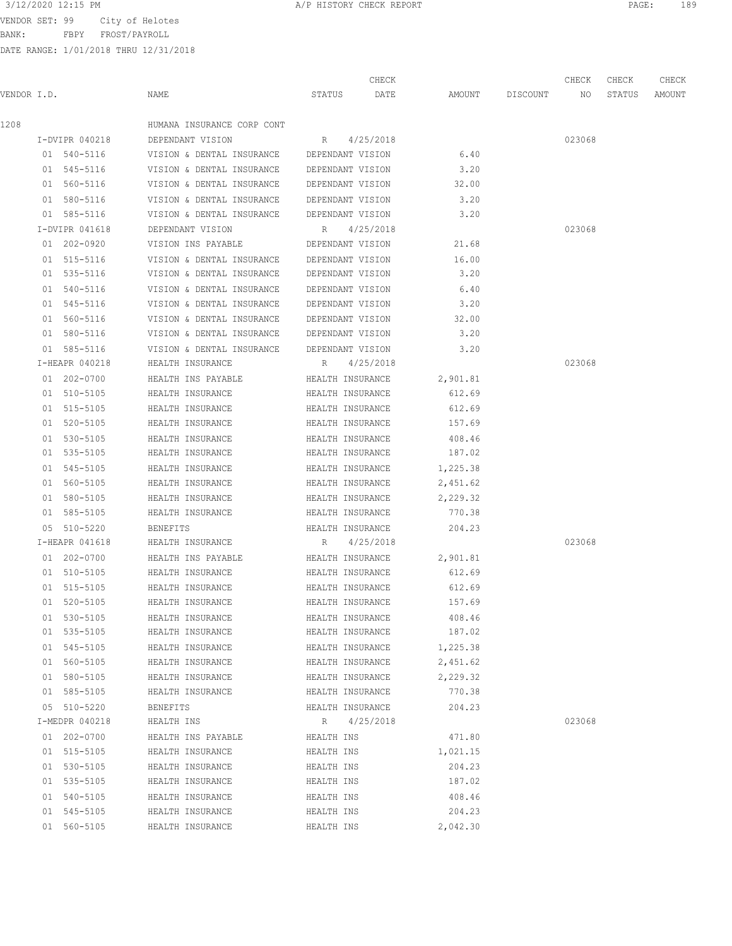3/12/2020 12:15 PM **A/P HISTORY CHECK REPORT PAGE:** 189

BANK: FBPY FROST/PAYROLL

|  |                                                                                                                                                                                                                                                                                                                                                                                                                                                                                                                                                                                                                                                                                                                                                             |        | CHECK |                                                                                                                                                                                                                                                                                                                                                                                                                                                                                                                                                                                                                                                                                                                                                                                                                                                                                                                                                                                                                                   |          | CHECK  | CHECK  | CHECK  |
|--|-------------------------------------------------------------------------------------------------------------------------------------------------------------------------------------------------------------------------------------------------------------------------------------------------------------------------------------------------------------------------------------------------------------------------------------------------------------------------------------------------------------------------------------------------------------------------------------------------------------------------------------------------------------------------------------------------------------------------------------------------------------|--------|-------|-----------------------------------------------------------------------------------------------------------------------------------------------------------------------------------------------------------------------------------------------------------------------------------------------------------------------------------------------------------------------------------------------------------------------------------------------------------------------------------------------------------------------------------------------------------------------------------------------------------------------------------------------------------------------------------------------------------------------------------------------------------------------------------------------------------------------------------------------------------------------------------------------------------------------------------------------------------------------------------------------------------------------------------|----------|--------|--------|--------|
|  | NAME                                                                                                                                                                                                                                                                                                                                                                                                                                                                                                                                                                                                                                                                                                                                                        | STATUS | DATE  | AMOUNT                                                                                                                                                                                                                                                                                                                                                                                                                                                                                                                                                                                                                                                                                                                                                                                                                                                                                                                                                                                                                            | DISCOUNT | NO     | STATUS | AMOUNT |
|  | HUMANA INSURANCE CORP CONT                                                                                                                                                                                                                                                                                                                                                                                                                                                                                                                                                                                                                                                                                                                                  |        |       |                                                                                                                                                                                                                                                                                                                                                                                                                                                                                                                                                                                                                                                                                                                                                                                                                                                                                                                                                                                                                                   |          |        |        |        |
|  | DEPENDANT VISION                                                                                                                                                                                                                                                                                                                                                                                                                                                                                                                                                                                                                                                                                                                                            |        |       |                                                                                                                                                                                                                                                                                                                                                                                                                                                                                                                                                                                                                                                                                                                                                                                                                                                                                                                                                                                                                                   |          | 023068 |        |        |
|  | VISION & DENTAL INSURANCE                                                                                                                                                                                                                                                                                                                                                                                                                                                                                                                                                                                                                                                                                                                                   |        |       | 6.40                                                                                                                                                                                                                                                                                                                                                                                                                                                                                                                                                                                                                                                                                                                                                                                                                                                                                                                                                                                                                              |          |        |        |        |
|  | VISION & DENTAL INSURANCE                                                                                                                                                                                                                                                                                                                                                                                                                                                                                                                                                                                                                                                                                                                                   |        |       | 3.20                                                                                                                                                                                                                                                                                                                                                                                                                                                                                                                                                                                                                                                                                                                                                                                                                                                                                                                                                                                                                              |          |        |        |        |
|  | VISION & DENTAL INSURANCE                                                                                                                                                                                                                                                                                                                                                                                                                                                                                                                                                                                                                                                                                                                                   |        |       | 32.00                                                                                                                                                                                                                                                                                                                                                                                                                                                                                                                                                                                                                                                                                                                                                                                                                                                                                                                                                                                                                             |          |        |        |        |
|  |                                                                                                                                                                                                                                                                                                                                                                                                                                                                                                                                                                                                                                                                                                                                                             |        |       | 3.20                                                                                                                                                                                                                                                                                                                                                                                                                                                                                                                                                                                                                                                                                                                                                                                                                                                                                                                                                                                                                              |          |        |        |        |
|  |                                                                                                                                                                                                                                                                                                                                                                                                                                                                                                                                                                                                                                                                                                                                                             |        |       | 3.20                                                                                                                                                                                                                                                                                                                                                                                                                                                                                                                                                                                                                                                                                                                                                                                                                                                                                                                                                                                                                              |          |        |        |        |
|  | DEPENDANT VISION                                                                                                                                                                                                                                                                                                                                                                                                                                                                                                                                                                                                                                                                                                                                            | R      |       |                                                                                                                                                                                                                                                                                                                                                                                                                                                                                                                                                                                                                                                                                                                                                                                                                                                                                                                                                                                                                                   |          | 023068 |        |        |
|  | VISION INS PAYABLE                                                                                                                                                                                                                                                                                                                                                                                                                                                                                                                                                                                                                                                                                                                                          |        |       | 21.68                                                                                                                                                                                                                                                                                                                                                                                                                                                                                                                                                                                                                                                                                                                                                                                                                                                                                                                                                                                                                             |          |        |        |        |
|  |                                                                                                                                                                                                                                                                                                                                                                                                                                                                                                                                                                                                                                                                                                                                                             |        |       | 16.00                                                                                                                                                                                                                                                                                                                                                                                                                                                                                                                                                                                                                                                                                                                                                                                                                                                                                                                                                                                                                             |          |        |        |        |
|  | VISION & DENTAL INSURANCE                                                                                                                                                                                                                                                                                                                                                                                                                                                                                                                                                                                                                                                                                                                                   |        |       | 3.20                                                                                                                                                                                                                                                                                                                                                                                                                                                                                                                                                                                                                                                                                                                                                                                                                                                                                                                                                                                                                              |          |        |        |        |
|  | VISION & DENTAL INSURANCE                                                                                                                                                                                                                                                                                                                                                                                                                                                                                                                                                                                                                                                                                                                                   |        |       | 6.40                                                                                                                                                                                                                                                                                                                                                                                                                                                                                                                                                                                                                                                                                                                                                                                                                                                                                                                                                                                                                              |          |        |        |        |
|  | VISION & DENTAL INSURANCE                                                                                                                                                                                                                                                                                                                                                                                                                                                                                                                                                                                                                                                                                                                                   |        |       | 3.20                                                                                                                                                                                                                                                                                                                                                                                                                                                                                                                                                                                                                                                                                                                                                                                                                                                                                                                                                                                                                              |          |        |        |        |
|  | VISION & DENTAL INSURANCE                                                                                                                                                                                                                                                                                                                                                                                                                                                                                                                                                                                                                                                                                                                                   |        |       | 32.00                                                                                                                                                                                                                                                                                                                                                                                                                                                                                                                                                                                                                                                                                                                                                                                                                                                                                                                                                                                                                             |          |        |        |        |
|  |                                                                                                                                                                                                                                                                                                                                                                                                                                                                                                                                                                                                                                                                                                                                                             |        |       | 3.20                                                                                                                                                                                                                                                                                                                                                                                                                                                                                                                                                                                                                                                                                                                                                                                                                                                                                                                                                                                                                              |          |        |        |        |
|  |                                                                                                                                                                                                                                                                                                                                                                                                                                                                                                                                                                                                                                                                                                                                                             |        |       | 3.20                                                                                                                                                                                                                                                                                                                                                                                                                                                                                                                                                                                                                                                                                                                                                                                                                                                                                                                                                                                                                              |          |        |        |        |
|  | HEALTH INSURANCE                                                                                                                                                                                                                                                                                                                                                                                                                                                                                                                                                                                                                                                                                                                                            |        |       |                                                                                                                                                                                                                                                                                                                                                                                                                                                                                                                                                                                                                                                                                                                                                                                                                                                                                                                                                                                                                                   |          | 023068 |        |        |
|  | HEALTH INS PAYABLE                                                                                                                                                                                                                                                                                                                                                                                                                                                                                                                                                                                                                                                                                                                                          |        |       | 2,901.81                                                                                                                                                                                                                                                                                                                                                                                                                                                                                                                                                                                                                                                                                                                                                                                                                                                                                                                                                                                                                          |          |        |        |        |
|  | HEALTH INSURANCE                                                                                                                                                                                                                                                                                                                                                                                                                                                                                                                                                                                                                                                                                                                                            |        |       | 612.69                                                                                                                                                                                                                                                                                                                                                                                                                                                                                                                                                                                                                                                                                                                                                                                                                                                                                                                                                                                                                            |          |        |        |        |
|  | HEALTH INSURANCE                                                                                                                                                                                                                                                                                                                                                                                                                                                                                                                                                                                                                                                                                                                                            |        |       | 612.69                                                                                                                                                                                                                                                                                                                                                                                                                                                                                                                                                                                                                                                                                                                                                                                                                                                                                                                                                                                                                            |          |        |        |        |
|  | HEALTH INSURANCE                                                                                                                                                                                                                                                                                                                                                                                                                                                                                                                                                                                                                                                                                                                                            |        |       | 157.69                                                                                                                                                                                                                                                                                                                                                                                                                                                                                                                                                                                                                                                                                                                                                                                                                                                                                                                                                                                                                            |          |        |        |        |
|  | HEALTH INSURANCE                                                                                                                                                                                                                                                                                                                                                                                                                                                                                                                                                                                                                                                                                                                                            |        |       | 408.46                                                                                                                                                                                                                                                                                                                                                                                                                                                                                                                                                                                                                                                                                                                                                                                                                                                                                                                                                                                                                            |          |        |        |        |
|  | HEALTH INSURANCE                                                                                                                                                                                                                                                                                                                                                                                                                                                                                                                                                                                                                                                                                                                                            |        |       | 187.02                                                                                                                                                                                                                                                                                                                                                                                                                                                                                                                                                                                                                                                                                                                                                                                                                                                                                                                                                                                                                            |          |        |        |        |
|  | HEALTH INSURANCE                                                                                                                                                                                                                                                                                                                                                                                                                                                                                                                                                                                                                                                                                                                                            |        |       | 1,225.38                                                                                                                                                                                                                                                                                                                                                                                                                                                                                                                                                                                                                                                                                                                                                                                                                                                                                                                                                                                                                          |          |        |        |        |
|  | HEALTH INSURANCE                                                                                                                                                                                                                                                                                                                                                                                                                                                                                                                                                                                                                                                                                                                                            |        |       | 2,451.62                                                                                                                                                                                                                                                                                                                                                                                                                                                                                                                                                                                                                                                                                                                                                                                                                                                                                                                                                                                                                          |          |        |        |        |
|  | HEALTH INSURANCE                                                                                                                                                                                                                                                                                                                                                                                                                                                                                                                                                                                                                                                                                                                                            |        |       | 2,229.32                                                                                                                                                                                                                                                                                                                                                                                                                                                                                                                                                                                                                                                                                                                                                                                                                                                                                                                                                                                                                          |          |        |        |        |
|  | HEALTH INSURANCE                                                                                                                                                                                                                                                                                                                                                                                                                                                                                                                                                                                                                                                                                                                                            |        |       | 770.38                                                                                                                                                                                                                                                                                                                                                                                                                                                                                                                                                                                                                                                                                                                                                                                                                                                                                                                                                                                                                            |          |        |        |        |
|  | <b>BENEFITS</b>                                                                                                                                                                                                                                                                                                                                                                                                                                                                                                                                                                                                                                                                                                                                             |        |       | 204.23                                                                                                                                                                                                                                                                                                                                                                                                                                                                                                                                                                                                                                                                                                                                                                                                                                                                                                                                                                                                                            |          |        |        |        |
|  | HEALTH INSURANCE                                                                                                                                                                                                                                                                                                                                                                                                                                                                                                                                                                                                                                                                                                                                            | R      |       |                                                                                                                                                                                                                                                                                                                                                                                                                                                                                                                                                                                                                                                                                                                                                                                                                                                                                                                                                                                                                                   |          | 023068 |        |        |
|  | HEALTH INS PAYABLE                                                                                                                                                                                                                                                                                                                                                                                                                                                                                                                                                                                                                                                                                                                                          |        |       | 2,901.81                                                                                                                                                                                                                                                                                                                                                                                                                                                                                                                                                                                                                                                                                                                                                                                                                                                                                                                                                                                                                          |          |        |        |        |
|  | HEALTH INSURANCE                                                                                                                                                                                                                                                                                                                                                                                                                                                                                                                                                                                                                                                                                                                                            |        |       | 612.69                                                                                                                                                                                                                                                                                                                                                                                                                                                                                                                                                                                                                                                                                                                                                                                                                                                                                                                                                                                                                            |          |        |        |        |
|  | HEALTH INSURANCE                                                                                                                                                                                                                                                                                                                                                                                                                                                                                                                                                                                                                                                                                                                                            |        |       | 612.69                                                                                                                                                                                                                                                                                                                                                                                                                                                                                                                                                                                                                                                                                                                                                                                                                                                                                                                                                                                                                            |          |        |        |        |
|  | HEALTH INSURANCE                                                                                                                                                                                                                                                                                                                                                                                                                                                                                                                                                                                                                                                                                                                                            |        |       | 157.69                                                                                                                                                                                                                                                                                                                                                                                                                                                                                                                                                                                                                                                                                                                                                                                                                                                                                                                                                                                                                            |          |        |        |        |
|  | HEALTH INSURANCE                                                                                                                                                                                                                                                                                                                                                                                                                                                                                                                                                                                                                                                                                                                                            |        |       | 408.46                                                                                                                                                                                                                                                                                                                                                                                                                                                                                                                                                                                                                                                                                                                                                                                                                                                                                                                                                                                                                            |          |        |        |        |
|  | HEALTH INSURANCE                                                                                                                                                                                                                                                                                                                                                                                                                                                                                                                                                                                                                                                                                                                                            |        |       | 187.02                                                                                                                                                                                                                                                                                                                                                                                                                                                                                                                                                                                                                                                                                                                                                                                                                                                                                                                                                                                                                            |          |        |        |        |
|  | HEALTH INSURANCE                                                                                                                                                                                                                                                                                                                                                                                                                                                                                                                                                                                                                                                                                                                                            |        |       | 1,225.38                                                                                                                                                                                                                                                                                                                                                                                                                                                                                                                                                                                                                                                                                                                                                                                                                                                                                                                                                                                                                          |          |        |        |        |
|  | HEALTH INSURANCE                                                                                                                                                                                                                                                                                                                                                                                                                                                                                                                                                                                                                                                                                                                                            |        |       | 2,451.62                                                                                                                                                                                                                                                                                                                                                                                                                                                                                                                                                                                                                                                                                                                                                                                                                                                                                                                                                                                                                          |          |        |        |        |
|  | HEALTH INSURANCE                                                                                                                                                                                                                                                                                                                                                                                                                                                                                                                                                                                                                                                                                                                                            |        |       | 2,229.32                                                                                                                                                                                                                                                                                                                                                                                                                                                                                                                                                                                                                                                                                                                                                                                                                                                                                                                                                                                                                          |          |        |        |        |
|  | HEALTH INSURANCE                                                                                                                                                                                                                                                                                                                                                                                                                                                                                                                                                                                                                                                                                                                                            |        |       | 770.38                                                                                                                                                                                                                                                                                                                                                                                                                                                                                                                                                                                                                                                                                                                                                                                                                                                                                                                                                                                                                            |          |        |        |        |
|  | <b>BENEFITS</b>                                                                                                                                                                                                                                                                                                                                                                                                                                                                                                                                                                                                                                                                                                                                             |        |       | 204.23                                                                                                                                                                                                                                                                                                                                                                                                                                                                                                                                                                                                                                                                                                                                                                                                                                                                                                                                                                                                                            |          |        |        |        |
|  | HEALTH INS                                                                                                                                                                                                                                                                                                                                                                                                                                                                                                                                                                                                                                                                                                                                                  | R      |       |                                                                                                                                                                                                                                                                                                                                                                                                                                                                                                                                                                                                                                                                                                                                                                                                                                                                                                                                                                                                                                   |          | 023068 |        |        |
|  | HEALTH INS PAYABLE                                                                                                                                                                                                                                                                                                                                                                                                                                                                                                                                                                                                                                                                                                                                          |        |       | 471.80                                                                                                                                                                                                                                                                                                                                                                                                                                                                                                                                                                                                                                                                                                                                                                                                                                                                                                                                                                                                                            |          |        |        |        |
|  | HEALTH INSURANCE                                                                                                                                                                                                                                                                                                                                                                                                                                                                                                                                                                                                                                                                                                                                            |        |       | 1,021.15                                                                                                                                                                                                                                                                                                                                                                                                                                                                                                                                                                                                                                                                                                                                                                                                                                                                                                                                                                                                                          |          |        |        |        |
|  | HEALTH INSURANCE                                                                                                                                                                                                                                                                                                                                                                                                                                                                                                                                                                                                                                                                                                                                            |        |       | 204.23                                                                                                                                                                                                                                                                                                                                                                                                                                                                                                                                                                                                                                                                                                                                                                                                                                                                                                                                                                                                                            |          |        |        |        |
|  | HEALTH INSURANCE                                                                                                                                                                                                                                                                                                                                                                                                                                                                                                                                                                                                                                                                                                                                            |        |       | 187.02                                                                                                                                                                                                                                                                                                                                                                                                                                                                                                                                                                                                                                                                                                                                                                                                                                                                                                                                                                                                                            |          |        |        |        |
|  | HEALTH INSURANCE                                                                                                                                                                                                                                                                                                                                                                                                                                                                                                                                                                                                                                                                                                                                            |        |       | 408.46                                                                                                                                                                                                                                                                                                                                                                                                                                                                                                                                                                                                                                                                                                                                                                                                                                                                                                                                                                                                                            |          |        |        |        |
|  | HEALTH INSURANCE                                                                                                                                                                                                                                                                                                                                                                                                                                                                                                                                                                                                                                                                                                                                            |        |       | 204.23                                                                                                                                                                                                                                                                                                                                                                                                                                                                                                                                                                                                                                                                                                                                                                                                                                                                                                                                                                                                                            |          |        |        |        |
|  | HEALTH INSURANCE                                                                                                                                                                                                                                                                                                                                                                                                                                                                                                                                                                                                                                                                                                                                            |        |       | 2,042.30                                                                                                                                                                                                                                                                                                                                                                                                                                                                                                                                                                                                                                                                                                                                                                                                                                                                                                                                                                                                                          |          |        |        |        |
|  | VENDOR I.D.<br>I-DVIPR 040218<br>01 540-5116<br>01 545-5116<br>01 560-5116<br>01 580-5116<br>01 585-5116<br>I-DVIPR 041618<br>01 202-0920<br>01 515-5116<br>01 535-5116<br>01 540-5116<br>01 545-5116<br>01 560-5116<br>01 580-5116<br>01 585-5116<br>I-HEAPR 040218<br>01 202-0700<br>01 510-5105<br>01 515-5105<br>01 520-5105<br>01 530-5105<br>01 535-5105<br>01 545-5105<br>01 560-5105<br>01 580-5105<br>01 585-5105<br>05 510-5220<br>I-HEAPR 041618<br>01 202-0700<br>01 510-5105<br>01 515-5105<br>01 520-5105<br>01 530-5105<br>01 535-5105<br>01 545-5105<br>01 560-5105<br>01 580-5105<br>01 585-5105<br>05 510-5220<br>I-MEDPR 040218<br>01 202-0700<br>01 515-5105<br>01 530-5105<br>01 535-5105<br>01 540-5105<br>01 545-5105<br>01 560-5105 |        |       | R 4/25/2018<br>DEPENDANT VISION<br>DEPENDANT VISION<br>DEPENDANT VISION<br>VISION & DENTAL INSURANCE DEPENDANT VISION<br>VISION & DENTAL INSURANCE DEPENDANT VISION<br>4/25/2018<br>DEPENDANT VISION<br>VISION & DENTAL INSURANCE DEPENDANT VISION<br>DEPENDANT VISION<br>DEPENDANT VISION<br>DEPENDANT VISION<br>DEPENDANT VISION<br>VISION & DENTAL INSURANCE DEPENDANT VISION<br>VISION & DENTAL INSURANCE DEPENDANT VISION<br>R 4/25/2018<br>HEALTH INSURANCE<br>HEALTH INSURANCE<br>HEALTH INSURANCE<br>HEALTH INSURANCE<br>HEALTH INSURANCE<br>HEALTH INSURANCE<br>HEALTH INSURANCE<br>HEALTH INSURANCE<br>HEALTH INSURANCE<br>HEALTH INSURANCE<br>HEALTH INSURANCE<br>4/25/2018<br>HEALTH INSURANCE<br>HEALTH INSURANCE<br>HEALTH INSURANCE<br>HEALTH INSURANCE<br>HEALTH INSURANCE<br>HEALTH INSURANCE<br>HEALTH INSURANCE<br>HEALTH INSURANCE<br>HEALTH INSURANCE<br>HEALTH INSURANCE<br>HEALTH INSURANCE<br>4/25/2018<br>HEALTH INS<br>HEALTH INS<br>HEALTH INS<br>HEALTH INS<br>HEALTH INS<br>HEALTH INS<br>HEALTH INS |          |        |        |        |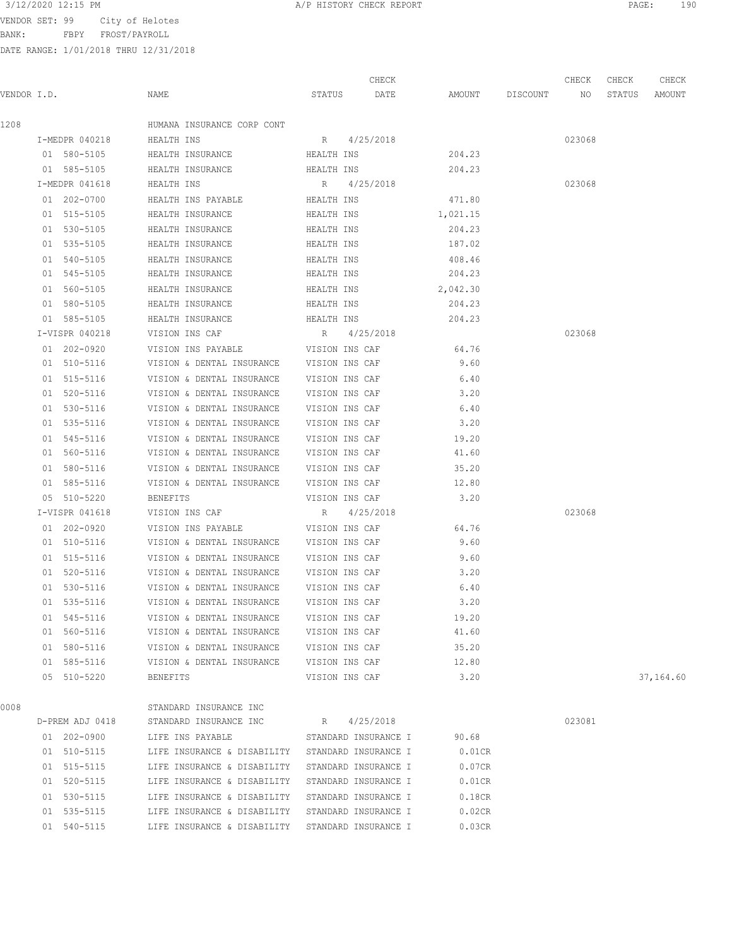BANK: FBPY FROST/PAYROLL

DATE RANGE: 1/01/2018 THRU 12/31/2018

| 3/12/2020 12:15 PM<br>11/ L | A/P HISTORY CHECK REPORT | PAGE | 190 |
|-----------------------------|--------------------------|------|-----|
|                             |                          |      |     |

|             |                 |                                                  |                      | CHECK     |                    | CHECK  | CHECK  | CHECK     |
|-------------|-----------------|--------------------------------------------------|----------------------|-----------|--------------------|--------|--------|-----------|
| VENDOR I.D. |                 | NAME                                             | STATUS DATE          |           | AMOUNT DISCOUNT NO |        | STATUS | AMOUNT    |
| 1208        |                 | HUMANA INSURANCE CORP CONT                       |                      |           |                    |        |        |           |
|             | I-MEDPR 040218  | HEALTH INS                                       | R 4/25/2018          |           |                    | 023068 |        |           |
|             | 01 580-5105     | HEALTH INSURANCE                                 | HEALTH INS           | 204.23    |                    |        |        |           |
|             | 01 585-5105     | HEALTH INSURANCE                                 | HEALTH INS           | 204.23    |                    |        |        |           |
|             | I-MEDPR 041618  | HEALTH INS                                       | R 4/25/2018          |           |                    | 023068 |        |           |
|             | 01 202-0700     | HEALTH INS PAYABLE <b>HEALTH</b> INS             |                      | 471.80    |                    |        |        |           |
|             | 01 515-5105     | HEALTH INSURANCE HEALTH INS                      |                      | 1,021.15  |                    |        |        |           |
|             | 01 530-5105     | HEALTH INSURANCE                                 | HEALTH INS           | 204.23    |                    |        |        |           |
|             | 01 535-5105     | HEALTH INSURANCE                                 | HEALTH INS           | 187.02    |                    |        |        |           |
|             | 01 540-5105     | HEALTH INSURANCE                                 | HEALTH INS           | 408.46    |                    |        |        |           |
|             | 01 545-5105     | HEALTH INSURANCE                                 | HEALTH INS           | 204.23    |                    |        |        |           |
|             | 01 560-5105     | HEALTH INSURANCE                                 | HEALTH INS           | 2,042.30  |                    |        |        |           |
|             | 01 580-5105     | HEALTH INSURANCE                                 | HEALTH INS           | 204.23    |                    |        |        |           |
|             | 01 585-5105     | HEALTH INSURANCE                                 | HEALTH INS           | 204.23    |                    |        |        |           |
|             | I-VISPR 040218  | VISION INS CAF                                   | R 4/25/2018          |           |                    | 023068 |        |           |
|             | 01 202-0920     | VISION INS PAYABLE                               | VISION INS CAF       | 64.76     |                    |        |        |           |
|             | 01 510-5116     | VISION & DENTAL INSURANCE VISION INS CAF         |                      | 9.60      |                    |        |        |           |
|             | 01 515-5116     | VISION & DENTAL INSURANCE VISION INS CAF         |                      | 6.40      |                    |        |        |           |
|             | 01 520-5116     | VISION & DENTAL INSURANCE VISION INS CAF         |                      | 3.20      |                    |        |        |           |
|             | 01 530-5116     | VISION & DENTAL INSURANCE VISION INS CAF         |                      | 6.40      |                    |        |        |           |
|             | 01 535-5116     | VISION & DENTAL INSURANCE VISION INS CAF         |                      | 3.20      |                    |        |        |           |
|             | 01 545-5116     | VISION & DENTAL INSURANCE VISION INS CAF         |                      | 19.20     |                    |        |        |           |
|             | 01 560-5116     | VISION & DENTAL INSURANCE VISION INS CAF         |                      | 41.60     |                    |        |        |           |
|             | 01 580-5116     | VISION & DENTAL INSURANCE VISION INS CAF         |                      | 35.20     |                    |        |        |           |
|             | 01 585-5116     | VISION & DENTAL INSURANCE VISION INS CAF         |                      | 12.80     |                    |        |        |           |
|             | 05 510-5220     | BENEFITS                                         | VISION INS CAF       | 3.20      |                    |        |        |           |
|             | I-VISPR 041618  | VISION INS CAF                                   | R 4/25/2018          |           |                    | 023068 |        |           |
|             | 01 202-0920     | VISION INS PAYABLE                               | VISION INS CAF       | 64.76     |                    |        |        |           |
|             | 01 510-5116     | VISION & DENTAL INSURANCE VISION INS CAF         |                      | 9.60      |                    |        |        |           |
|             | 01 515-5116     | VISION & DENTAL INSURANCE VISION INS CAF         |                      | 9.60      |                    |        |        |           |
|             | 01 520-5116     | VISION & DENTAL INSURANCE VISION INS CAF         |                      | 3.20      |                    |        |        |           |
|             | 01 530-5116     | VISION & DENTAL INSURANCE                        | VISION INS CAF       | 6.40      |                    |        |        |           |
|             | 01 535-5116     | VISION & DENTAL INSURANCE                        | VISION INS CAF       | 3.20      |                    |        |        |           |
|             | 01 545-5116     | VISION & DENTAL INSURANCE                        | VISION INS CAF       | 19.20     |                    |        |        |           |
|             | 01 560-5116     | VISION & DENTAL INSURANCE                        | VISION INS CAF       | 41.60     |                    |        |        |           |
|             | 01 580-5116     | VISION & DENTAL INSURANCE                        | VISION INS CAF       | 35.20     |                    |        |        |           |
|             | 01 585-5116     | VISION & DENTAL INSURANCE                        | VISION INS CAF       | 12.80     |                    |        |        |           |
|             | 05 510-5220     | BENEFITS                                         | VISION INS CAF       | 3.20      |                    |        |        | 37,164.60 |
| 0008        |                 | STANDARD INSURANCE INC                           |                      |           |                    |        |        |           |
|             | D-PREM ADJ 0418 | STANDARD INSURANCE INC                           | R                    | 4/25/2018 |                    | 023081 |        |           |
|             | 01 202-0900     | LIFE INS PAYABLE                                 | STANDARD INSURANCE I | 90.68     |                    |        |        |           |
|             | 01 510-5115     | LIFE INSURANCE & DISABILITY STANDARD INSURANCE I |                      | $0.01$ CR |                    |        |        |           |
|             | 01 515-5115     | LIFE INSURANCE & DISABILITY STANDARD INSURANCE I |                      | 0.07CR    |                    |        |        |           |
|             | 01 520-5115     | LIFE INSURANCE & DISABILITY STANDARD INSURANCE I |                      | 0.01CR    |                    |        |        |           |
|             | 01 530-5115     | LIFE INSURANCE & DISABILITY STANDARD INSURANCE I |                      | 0.18CR    |                    |        |        |           |

 01 535-5115 LIFE INSURANCE & DISABILITY STANDARD INSURANCE I 0.02CR 01 540-5115 LIFE INSURANCE & DISABILITY STANDARD INSURANCE I 0.03CR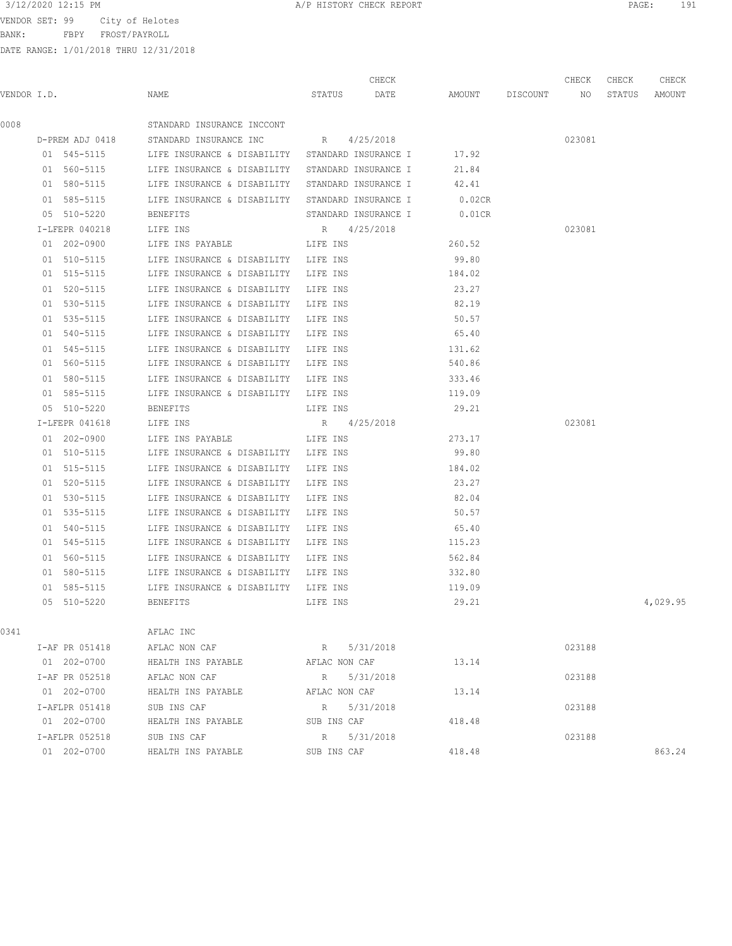BANK: FBPY FROST/PAYROLL

| 3/12/2020 12:15 PM<br>PAGE<br>A/P HISTORY CHECK REPORT |  |
|--------------------------------------------------------|--|
|--------------------------------------------------------|--|

|             |                 |                                                  | CHECK                |                 | CHECK           | CHECK  | CHECK    |
|-------------|-----------------|--------------------------------------------------|----------------------|-----------------|-----------------|--------|----------|
| VENDOR I.D. |                 | NAME                                             | STATUS<br>DATE       | AMOUNT DISCOUNT | NO <sub>N</sub> | STATUS | AMOUNT   |
| 0008        |                 | STANDARD INSURANCE INCCONT                       |                      |                 |                 |        |          |
|             | D-PREM ADJ 0418 | STANDARD INSURANCE INC                           | R 4/25/2018          |                 | 023081          |        |          |
|             | 01 545-5115     | LIFE INSURANCE & DISABILITY STANDARD INSURANCE I |                      | 17.92           |                 |        |          |
|             | 01 560-5115     | LIFE INSURANCE & DISABILITY STANDARD INSURANCE I |                      | 21.84           |                 |        |          |
|             | 01 580-5115     | LIFE INSURANCE & DISABILITY STANDARD INSURANCE I |                      | 42.41           |                 |        |          |
|             | 01 585-5115     | LIFE INSURANCE & DISABILITY STANDARD INSURANCE I |                      | $0.02$ CR       |                 |        |          |
|             | 05 510-5220     | BENEFITS                                         | STANDARD INSURANCE I | $0.01$ CR       |                 |        |          |
|             | I-LFEPR 040218  | LIFE INS                                         | R 4/25/2018          |                 | 023081          |        |          |
|             | 01 202-0900     | LIFE INS PAYABLE                                 | LIFE INS             | 260.52          |                 |        |          |
|             | 01 510-5115     | LIFE INSURANCE & DISABILITY LIFE INS             |                      | 99.80           |                 |        |          |
|             | 01 515-5115     | LIFE INSURANCE & DISABILITY                      | LIFE INS             | 184.02          |                 |        |          |
|             | 01 520-5115     | LIFE INSURANCE & DISABILITY                      | LIFE INS             | 23.27           |                 |        |          |
|             | 01 530-5115     | LIFE INSURANCE & DISABILITY                      | LIFE INS             | 82.19           |                 |        |          |
|             | 01 535-5115     | LIFE INSURANCE & DISABILITY                      | LIFE INS             | 50.57           |                 |        |          |
|             | 01 540-5115     | LIFE INSURANCE & DISABILITY                      | LIFE INS             | 65.40           |                 |        |          |
|             | 01 545-5115     | LIFE INSURANCE & DISABILITY                      | LIFE INS             | 131.62          |                 |        |          |
|             | 01 560-5115     | LIFE INSURANCE & DISABILITY LIFE INS             |                      | 540.86          |                 |        |          |
|             | 01 580-5115     | LIFE INSURANCE & DISABILITY LIFE INS             |                      | 333.46          |                 |        |          |
|             | 01 585-5115     | LIFE INSURANCE & DISABILITY LIFE INS             |                      | 119.09          |                 |        |          |
|             | 05 510-5220     | BENEFITS                                         | LIFE INS             | 29.21           |                 |        |          |
|             | I-LFEPR 041618  | LIFE INS                                         | R 4/25/2018          |                 | 023081          |        |          |
|             | 01 202-0900     | LIFE INS PAYABLE                                 | LIFE INS             | 273.17          |                 |        |          |
|             | 01 510-5115     | LIFE INSURANCE & DISABILITY LIFE INS             |                      | 99.80           |                 |        |          |
|             | 01 515-5115     | LIFE INSURANCE & DISABILITY                      | LIFE INS             | 184.02          |                 |        |          |
|             | 01 520-5115     | LIFE INSURANCE & DISABILITY                      | LIFE INS             | 23.27           |                 |        |          |
|             | 01 530-5115     | LIFE INSURANCE & DISABILITY                      | LIFE INS             | 82.04           |                 |        |          |
|             | 01 535-5115     | LIFE INSURANCE & DISABILITY                      | LIFE INS             | 50.57           |                 |        |          |
|             | 01 540-5115     | LIFE INSURANCE & DISABILITY                      | LIFE INS             | 65.40           |                 |        |          |
|             | 01 545-5115     | LIFE INSURANCE & DISABILITY                      | LIFE INS             | 115.23          |                 |        |          |
|             | 01 560-5115     | LIFE INSURANCE & DISABILITY                      | LIFE INS             | 562.84          |                 |        |          |
|             | 01 580-5115     | LIFE INSURANCE & DISABILITY                      | LIFE INS             | 332.80          |                 |        |          |
|             | 01 585-5115     | LIFE INSURANCE & DISABILITY                      | LIFE INS             | 119.09          |                 |        |          |
|             | 05 510-5220     | <b>BENEFITS</b>                                  | LIFE INS             | 29.21           |                 |        | 4,029.95 |
| 0341        |                 | AFLAC INC                                        |                      |                 |                 |        |          |
|             | I-AF PR 051418  | AFLAC NON CAF                                    | 5/31/2018<br>R       |                 | 023188          |        |          |
|             | 01 202-0700     | HEALTH INS PAYABLE                               | AFLAC NON CAF        | 13.14           |                 |        |          |
|             | I-AF PR 052518  | AFLAC NON CAF                                    | R 5/31/2018          |                 | 023188          |        |          |
|             | 01 202-0700     | HEALTH INS PAYABLE                               | AFLAC NON CAF        | 13.14           |                 |        |          |
|             | I-AFLPR 051418  | SUB INS CAF                                      | R<br>5/31/2018       |                 | 023188          |        |          |
|             | 01 202-0700     | HEALTH INS PAYABLE                               | SUB INS CAF          | 418.48          |                 |        |          |
|             | I-AFLPR 052518  | SUB INS CAF                                      | R 5/31/2018          |                 | 023188          |        |          |
|             | 01 202-0700     | HEALTH INS PAYABLE                               | SUB INS CAF          | 418.48          |                 |        | 863.24   |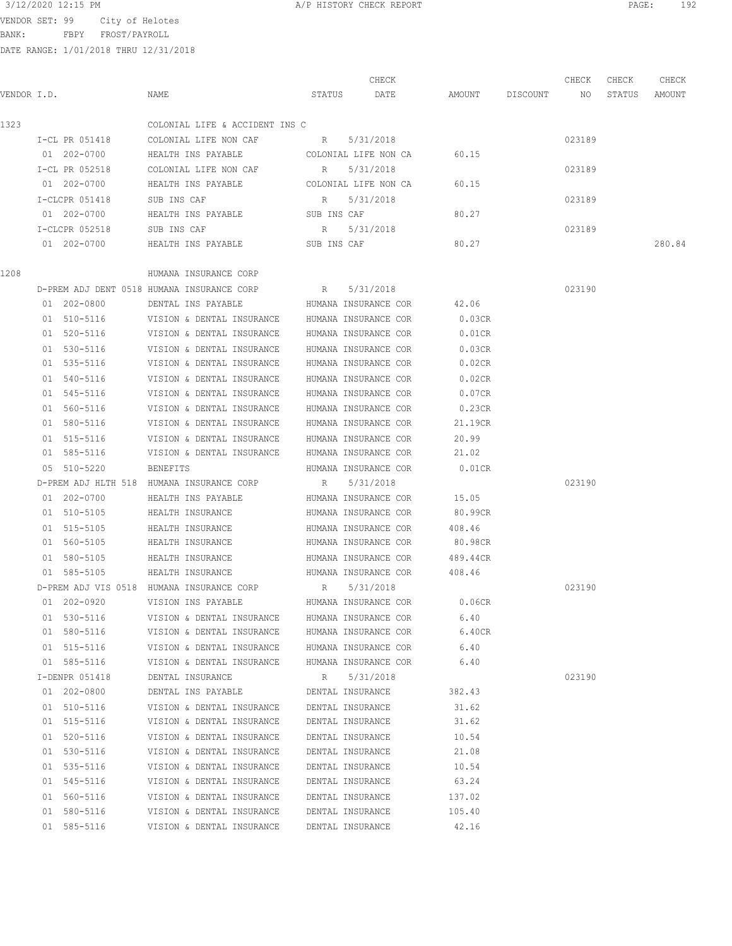3/12/2020 12:15 PM **A/P HISTORY CHECK REPORT PAGE:** 192

BANK: FBPY FROST/PAYROLL

|             |                |                                            |             | CHECK                |           |          | CHECK  | CHECK  | CHECK  |
|-------------|----------------|--------------------------------------------|-------------|----------------------|-----------|----------|--------|--------|--------|
| VENDOR I.D. |                | NAME                                       | STATUS      | DATE                 | AMOUNT    | DISCOUNT | NO     | STATUS | AMOUNT |
| 1323        |                | COLONIAL LIFE & ACCIDENT INS C             |             |                      |           |          |        |        |        |
|             | I-CL PR 051418 | COLONIAL LIFE NON CAF                      | R           | 5/31/2018            |           |          | 023189 |        |        |
|             | 01 202-0700    | HEALTH INS PAYABLE                         |             | COLONIAL LIFE NON CA | 60.15     |          |        |        |        |
|             | I-CL PR 052518 | COLONIAL LIFE NON CAF                      | R           | 5/31/2018            |           |          | 023189 |        |        |
|             | 01 202-0700    | HEALTH INS PAYABLE                         |             | COLONIAL LIFE NON CA | 60.15     |          |        |        |        |
|             | I-CLCPR 051418 | SUB INS CAF                                | R           | 5/31/2018            |           |          | 023189 |        |        |
|             | 01 202-0700    | HEALTH INS PAYABLE                         | SUB INS CAF |                      | 80.27     |          |        |        |        |
|             | I-CLCPR 052518 | SUB INS CAF                                | R           | 5/31/2018            |           |          | 023189 |        |        |
|             | 01 202-0700    | HEALTH INS PAYABLE                         | SUB INS CAF |                      | 80.27     |          |        |        | 280.84 |
| 1208        |                | HUMANA INSURANCE CORP                      |             |                      |           |          |        |        |        |
|             |                | D-PREM ADJ DENT 0518 HUMANA INSURANCE CORP | R           | 5/31/2018            |           |          | 023190 |        |        |
|             | 01 202-0800    | DENTAL INS PAYABLE                         |             | HUMANA INSURANCE COR | 42.06     |          |        |        |        |
|             | 01 510-5116    | VISION & DENTAL INSURANCE                  |             | HUMANA INSURANCE COR | 0.03CR    |          |        |        |        |
|             | 01 520-5116    | VISION & DENTAL INSURANCE                  |             | HUMANA INSURANCE COR | $0.01$ CR |          |        |        |        |
|             | 01 530-5116    | VISION & DENTAL INSURANCE                  |             | HUMANA INSURANCE COR | 0.03CR    |          |        |        |        |
|             | 01 535-5116    | VISION & DENTAL INSURANCE                  |             | HUMANA INSURANCE COR | 0.02CR    |          |        |        |        |
|             | 01 540-5116    | VISION & DENTAL INSURANCE                  |             | HUMANA INSURANCE COR | 0.02CR    |          |        |        |        |
|             | 01 545-5116    | VISION & DENTAL INSURANCE                  |             | HUMANA INSURANCE COR | 0.07CR    |          |        |        |        |
|             | 01 560-5116    | VISION & DENTAL INSURANCE                  |             | HUMANA INSURANCE COR | 0.23CR    |          |        |        |        |
|             | 01 580-5116    | VISION & DENTAL INSURANCE                  |             | HUMANA INSURANCE COR | 21.19CR   |          |        |        |        |
|             | 01 515-5116    | VISION & DENTAL INSURANCE                  |             | HUMANA INSURANCE COR | 20.99     |          |        |        |        |
|             | 01 585-5116    | VISION & DENTAL INSURANCE                  |             | HUMANA INSURANCE COR | 21.02     |          |        |        |        |
|             | 05 510-5220    | BENEFITS                                   |             | HUMANA INSURANCE COR | $0.01$ CR |          |        |        |        |
|             |                | D-PREM ADJ HLTH 518 HUMANA INSURANCE CORP  | R           | 5/31/2018            |           |          | 023190 |        |        |
|             | 01 202-0700    | HEALTH INS PAYABLE                         |             | HUMANA INSURANCE COR | 15.05     |          |        |        |        |
|             | 01 510-5105    | HEALTH INSURANCE                           |             | HUMANA INSURANCE COR | 80.99CR   |          |        |        |        |
|             | 01 515-5105    | HEALTH INSURANCE                           |             | HUMANA INSURANCE COR | 408.46    |          |        |        |        |
|             | 01 560-5105    | HEALTH INSURANCE                           |             | HUMANA INSURANCE COR | 80.98CR   |          |        |        |        |
|             | 01 580-5105    | HEALTH INSURANCE                           |             | HUMANA INSURANCE COR | 489.44CR  |          |        |        |        |
|             | 01 585-5105    | HEALTH INSURANCE                           |             | HUMANA INSURANCE COR | 408.46    |          |        |        |        |
|             |                | D-PREM ADJ VIS 0518 HUMANA INSURANCE CORP  | R           | 5/31/2018            |           |          | 023190 |        |        |
|             | 01 202-0920    | VISION INS PAYABLE                         |             | HUMANA INSURANCE COR | 0.06CR    |          |        |        |        |
|             | 01 530-5116    | VISION & DENTAL INSURANCE                  |             | HUMANA INSURANCE COR | 6.40      |          |        |        |        |
|             | 01 580-5116    | VISION & DENTAL INSURANCE                  |             | HUMANA INSURANCE COR | 6.40CR    |          |        |        |        |
|             | 01 515-5116    | VISION & DENTAL INSURANCE                  |             | HUMANA INSURANCE COR | 6.40      |          |        |        |        |
|             | 01 585-5116    | VISION & DENTAL INSURANCE                  |             | HUMANA INSURANCE COR | 6.40      |          |        |        |        |
|             | I-DENPR 051418 | DENTAL INSURANCE                           | R           | 5/31/2018            |           |          | 023190 |        |        |
|             | 01 202-0800    | DENTAL INS PAYABLE                         |             | DENTAL INSURANCE     | 382.43    |          |        |        |        |
|             | 01 510-5116    | VISION & DENTAL INSURANCE                  |             | DENTAL INSURANCE     | 31.62     |          |        |        |        |
|             | 01 515-5116    | VISION & DENTAL INSURANCE                  |             | DENTAL INSURANCE     | 31.62     |          |        |        |        |
|             | 01 520-5116    | VISION & DENTAL INSURANCE                  |             | DENTAL INSURANCE     | 10.54     |          |        |        |        |
|             | 01 530-5116    | VISION & DENTAL INSURANCE                  |             | DENTAL INSURANCE     | 21.08     |          |        |        |        |
|             | 01 535-5116    | VISION & DENTAL INSURANCE                  |             | DENTAL INSURANCE     | 10.54     |          |        |        |        |
|             | 01 545-5116    | VISION & DENTAL INSURANCE                  |             | DENTAL INSURANCE     | 63.24     |          |        |        |        |
|             | 01 560-5116    | VISION & DENTAL INSURANCE                  |             | DENTAL INSURANCE     | 137.02    |          |        |        |        |
|             | 01 580-5116    | VISION & DENTAL INSURANCE                  |             | DENTAL INSURANCE     | 105.40    |          |        |        |        |
|             | 01 585-5116    | VISION & DENTAL INSURANCE                  |             | DENTAL INSURANCE     | 42.16     |          |        |        |        |
|             |                |                                            |             |                      |           |          |        |        |        |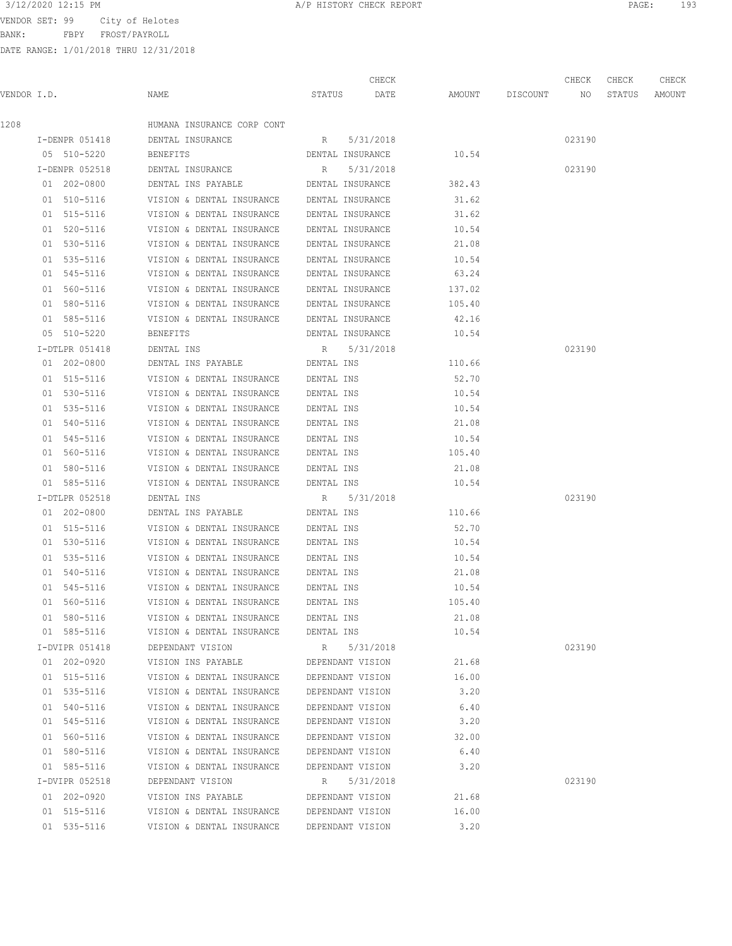BANK: FBPY FROST/PAYROLL

| 3/12/2020 12:15 PM | CHECK REPORT<br>HISTORY<br>CHECK REPORT<br>11/ L | PAGE | $\sim$ $\sim$<br>. .<br>∸ン) |
|--------------------|--------------------------------------------------|------|-----------------------------|
|                    |                                                  |      |                             |

|             |                |                                                              |                  | CHECK                  |                    | CHECK  | CHECK  | CHECK  |
|-------------|----------------|--------------------------------------------------------------|------------------|------------------------|--------------------|--------|--------|--------|
| VENDOR I.D. |                | NAME                                                         | STATUS           | DATE                   | AMOUNT DISCOUNT NO |        | STATUS | AMOUNT |
| 1208        |                | HUMANA INSURANCE CORP CONT                                   |                  |                        |                    |        |        |        |
|             | I-DENPR 051418 | DENTAL INSURANCE                                             | R 5/31/2018      |                        |                    | 023190 |        |        |
|             | 05 510-5220    | BENEFITS                                                     |                  | DENTAL INSURANCE 10.54 |                    |        |        |        |
|             | I-DENPR 052518 | DENTAL INSURANCE                                             | R 5/31/2018      |                        |                    | 023190 |        |        |
|             | 01 202-0800    | DENTAL INS PAYABLE <b>DENTAL INSURANCE</b> 382.43            |                  |                        |                    |        |        |        |
|             | 01 510-5116    | VISION & DENTAL INSURANCE DENTAL INSURANCE                   |                  |                        | 31.62              |        |        |        |
|             | 01 515-5116    | VISION & DENTAL INSURANCE DENTAL INSURANCE                   |                  |                        | 31.62              |        |        |        |
|             | 01 520-5116    | VISION & DENTAL INSURANCE DENTAL INSURANCE                   |                  |                        | 10.54              |        |        |        |
|             | 01 530-5116    | VISION & DENTAL INSURANCE DENTAL INSURANCE                   |                  |                        | 21.08              |        |        |        |
|             | 01 535-5116    | VISION & DENTAL INSURANCE DENTAL INSURANCE                   |                  |                        | 10.54              |        |        |        |
|             | 01 545-5116    | VISION & DENTAL INSURANCE                                    | DENTAL INSURANCE |                        | 63.24              |        |        |        |
|             | 01 560-5116    | VISION & DENTAL INSURANCE                                    | DENTAL INSURANCE |                        | 137.02             |        |        |        |
|             | 01 580-5116    | VISION & DENTAL INSURANCE DENTAL INSURANCE                   |                  |                        | 105.40             |        |        |        |
|             | 01 585-5116    | VISION & DENTAL INSURANCE DENTAL INSURANCE                   |                  |                        | 42.16              |        |        |        |
|             | 05 510-5220    | BENEFITS                                                     | DENTAL INSURANCE |                        | 10.54              |        |        |        |
|             | I-DTLPR 051418 | DENTAL INS                                                   |                  | R 5/31/2018            |                    | 023190 |        |        |
|             | 01 202-0800    | DENTAL INS PAYABLE <b>The DENTAL INS</b>                     |                  |                        | 110.66             |        |        |        |
|             | 01 515-5116    | VISION & DENTAL INSURANCE                                    | DENTAL INS       |                        | 52.70              |        |        |        |
|             | 01 530-5116    | VISION & DENTAL INSURANCE                                    | DENTAL INS       |                        | 10.54              |        |        |        |
|             | 01 535-5116    | VISION & DENTAL INSURANCE                                    | DENTAL INS       |                        | 10.54              |        |        |        |
|             | 01 540-5116    | VISION & DENTAL INSURANCE DENTAL INS                         |                  |                        | 21.08              |        |        |        |
|             | 01 545-5116    | VISION & DENTAL INSURANCE                                    | DENTAL INS       |                        | 10.54              |        |        |        |
|             | 01 560-5116    | VISION & DENTAL INSURANCE DENTAL INS                         |                  |                        | 105.40             |        |        |        |
|             | 01 580-5116    | VISION & DENTAL INSURANCE DENTAL INS                         |                  |                        | 21.08              |        |        |        |
|             | 01 585-5116    | VISION & DENTAL INSURANCE DENTAL INS                         |                  |                        | 10.54              |        |        |        |
|             | I-DTLPR 052518 | DENTAL INS                                                   | R 5/31/2018      |                        |                    | 023190 |        |        |
|             | 01 202-0800    | DENTAL INS PAYABLE DENTAL INS                                |                  |                        | 110.66             |        |        |        |
|             | 01 515-5116    | VISION & DENTAL INSURANCE DENTAL INS                         |                  |                        | 52.70              |        |        |        |
|             | 01 530-5116    | VISION & DENTAL INSURANCE                                    | DENTAL INS       |                        | 10.54              |        |        |        |
|             | 01 535-5116    | VISION & DENTAL INSURANCE                                    | DENTAL INS       |                        | 10.54              |        |        |        |
|             | 01 540-5116    | VISION & DENTAL INSURANCE                                    | DENTAL INS       |                        | 21.08              |        |        |        |
|             | 01 545-5116    | VISION & DENTAL INSURANCE                                    | DENTAL INS       |                        | 10.54              |        |        |        |
|             | 01 560-5116    | VISION & DENTAL INSURANCE                                    | DENTAL INS       |                        | 105.40             |        |        |        |
|             | 01 580-5116    | VISION & DENTAL INSURANCE DENTAL INS                         |                  |                        | 21.08              |        |        |        |
|             | 01 585-5116    | VISION & DENTAL INSURANCE DENTAL INS                         |                  |                        | 10.54              |        |        |        |
|             | I-DVIPR 051418 | DEPENDANT VISION                                             | R 5/31/2018      |                        |                    | 023190 |        |        |
|             | 01 202-0920    | VISION INS PAYABLE DEPENDANT VISION                          |                  |                        | 21.68              |        |        |        |
|             |                | 01 515-5116 VISION & DENTAL INSURANCE DEPENDANT VISION 16.00 |                  |                        |                    |        |        |        |
|             |                | 01 535-5116 VISION & DENTAL INSURANCE DEPENDANT VISION       |                  |                        | 3.20               |        |        |        |
|             | 01 540-5116    | VISION & DENTAL INSURANCE DEPENDANT VISION 6.40              |                  |                        |                    |        |        |        |
|             | 01 545-5116    | VISION & DENTAL INSURANCE DEPENDANT VISION 3.20              |                  |                        |                    |        |        |        |
|             | 01 560-5116    | VISION & DENTAL INSURANCE DEPENDANT VISION                   |                  |                        | 32.00              |        |        |        |
|             | 01 580-5116    | VISION & DENTAL INSURANCE DEPENDANT VISION                   |                  |                        | 6.40               |        |        |        |
|             | 01 585-5116    | VISION & DENTAL INSURANCE DEPENDANT VISION                   |                  |                        | 3.20               |        |        |        |
|             | I-DVIPR 052518 | DEPENDANT VISION                                             | R 5/31/2018      |                        |                    | 023190 |        |        |
|             | 01 202-0920    | VISION INS PAYABLE DEPENDANT VISION                          |                  |                        | 21.68              |        |        |        |
|             |                |                                                              |                  |                        |                    |        |        |        |
|             | 01 515-5116    | VISION & DENTAL INSURANCE DEPENDANT VISION                   |                  |                        | 16.00              |        |        |        |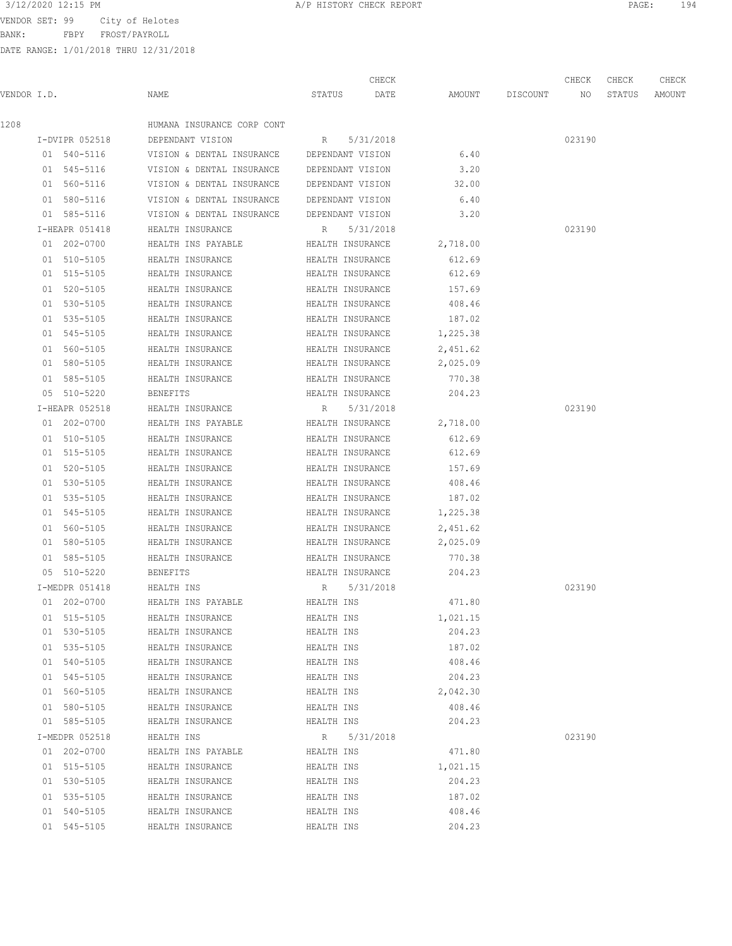# 3/12/2020 12:15 PM **A/P HISTORY CHECK REPORT PAGE:** 194

VENDOR SET: 99 City of Helotes

BANK: FBPY FROST/PAYROLL

|             |                |                                            |                  | CHECK            |          |          | CHECK  | CHECK  | CHECK  |
|-------------|----------------|--------------------------------------------|------------------|------------------|----------|----------|--------|--------|--------|
| VENDOR I.D. |                | NAME                                       | STATUS           | DATE             | AMOUNT   | DISCOUNT | NO     | STATUS | AMOUNT |
| 1208        |                | HUMANA INSURANCE CORP CONT                 |                  |                  |          |          |        |        |        |
|             | I-DVIPR 052518 | DEPENDANT VISION                           | R                | 5/31/2018        |          |          | 023190 |        |        |
|             | 01 540-5116    | VISION & DENTAL INSURANCE                  | DEPENDANT VISION |                  | 6.40     |          |        |        |        |
|             | 01 545-5116    | VISION & DENTAL INSURANCE                  | DEPENDANT VISION |                  | 3.20     |          |        |        |        |
|             | 01 560-5116    | VISION & DENTAL INSURANCE                  | DEPENDANT VISION |                  | 32.00    |          |        |        |        |
|             | 01 580-5116    | VISION & DENTAL INSURANCE DEPENDANT VISION |                  |                  | 6.40     |          |        |        |        |
|             | 01 585-5116    | VISION & DENTAL INSURANCE DEPENDANT VISION |                  |                  | 3.20     |          |        |        |        |
|             | I-HEAPR 051418 | HEALTH INSURANCE                           | R                | 5/31/2018        |          |          | 023190 |        |        |
|             | 01 202-0700    | HEALTH INS PAYABLE                         | HEALTH INSURANCE |                  | 2,718.00 |          |        |        |        |
|             | 01 510-5105    | HEALTH INSURANCE                           |                  | HEALTH INSURANCE | 612.69   |          |        |        |        |
|             | 01 515-5105    | HEALTH INSURANCE                           |                  | HEALTH INSURANCE | 612.69   |          |        |        |        |
|             | 01 520-5105    | HEALTH INSURANCE                           |                  | HEALTH INSURANCE | 157.69   |          |        |        |        |
|             | 01 530-5105    | HEALTH INSURANCE                           |                  | HEALTH INSURANCE | 408.46   |          |        |        |        |
|             | 01 535-5105    | HEALTH INSURANCE                           | HEALTH INSURANCE |                  | 187.02   |          |        |        |        |
|             | 01 545-5105    | HEALTH INSURANCE                           | HEALTH INSURANCE |                  | 1,225.38 |          |        |        |        |
|             | 01 560-5105    | HEALTH INSURANCE                           |                  | HEALTH INSURANCE | 2,451.62 |          |        |        |        |
|             | 01 580-5105    | HEALTH INSURANCE                           |                  | HEALTH INSURANCE | 2,025.09 |          |        |        |        |
|             | 01 585-5105    | HEALTH INSURANCE                           | HEALTH INSURANCE |                  | 770.38   |          |        |        |        |
|             | 05 510-5220    | BENEFITS                                   |                  | HEALTH INSURANCE | 204.23   |          |        |        |        |
|             | I-HEAPR 052518 | HEALTH INSURANCE                           | R                | 5/31/2018        |          |          | 023190 |        |        |
|             | 01 202-0700    | HEALTH INS PAYABLE                         |                  | HEALTH INSURANCE | 2,718.00 |          |        |        |        |
|             | 01 510-5105    | HEALTH INSURANCE                           |                  | HEALTH INSURANCE | 612.69   |          |        |        |        |
|             | 01 515-5105    | HEALTH INSURANCE                           |                  | HEALTH INSURANCE | 612.69   |          |        |        |        |
|             | 01 520-5105    | HEALTH INSURANCE                           |                  | HEALTH INSURANCE | 157.69   |          |        |        |        |
|             | 01 530-5105    | HEALTH INSURANCE                           |                  | HEALTH INSURANCE | 408.46   |          |        |        |        |
|             | 01 535-5105    | HEALTH INSURANCE                           |                  | HEALTH INSURANCE | 187.02   |          |        |        |        |
|             | 01 545-5105    | HEALTH INSURANCE                           |                  | HEALTH INSURANCE | 1,225.38 |          |        |        |        |
|             | 01 560-5105    | HEALTH INSURANCE                           |                  | HEALTH INSURANCE | 2,451.62 |          |        |        |        |
|             | 01 580-5105    | HEALTH INSURANCE                           |                  | HEALTH INSURANCE | 2,025.09 |          |        |        |        |
|             | 01 585-5105    | HEALTH INSURANCE                           |                  | HEALTH INSURANCE | 770.38   |          |        |        |        |
|             | 05 510-5220    | <b>BENEFITS</b>                            |                  | HEALTH INSURANCE | 204.23   |          |        |        |        |
|             | I-MEDPR 051418 | HEALTH INS                                 | R                | 5/31/2018        |          |          | 023190 |        |        |
|             | 01 202-0700    | HEALTH INS PAYABLE                         | HEALTH INS       |                  | 471.80   |          |        |        |        |
|             | 01 515-5105    | HEALTH INSURANCE                           | HEALTH INS       |                  | 1,021.15 |          |        |        |        |
|             | 01 530-5105    | HEALTH INSURANCE                           | HEALTH INS       |                  | 204.23   |          |        |        |        |
|             | 01 535-5105    | HEALTH INSURANCE                           | HEALTH INS       |                  | 187.02   |          |        |        |        |
|             | 01 540-5105    | HEALTH INSURANCE                           | HEALTH INS       |                  | 408.46   |          |        |        |        |
|             | 01 545-5105    | HEALTH INSURANCE                           | HEALTH INS       |                  | 204.23   |          |        |        |        |
|             | 01 560-5105    | HEALTH INSURANCE                           | HEALTH INS       |                  | 2,042.30 |          |        |        |        |
|             | 01 580-5105    | HEALTH INSURANCE                           | HEALTH INS       |                  | 408.46   |          |        |        |        |
|             | 01 585-5105    | HEALTH INSURANCE                           | HEALTH INS       |                  | 204.23   |          |        |        |        |
|             | I-MEDPR 052518 | HEALTH INS                                 | R                | 5/31/2018        |          |          | 023190 |        |        |
|             | 01 202-0700    | HEALTH INS PAYABLE                         | HEALTH INS       |                  | 471.80   |          |        |        |        |
|             | 01 515-5105    | HEALTH INSURANCE                           | HEALTH INS       |                  | 1,021.15 |          |        |        |        |
|             | 01 530-5105    | HEALTH INSURANCE                           | HEALTH INS       |                  | 204.23   |          |        |        |        |
|             | 01 535-5105    | HEALTH INSURANCE                           | HEALTH INS       |                  | 187.02   |          |        |        |        |
|             | 01 540-5105    | HEALTH INSURANCE                           | HEALTH INS       |                  | 408.46   |          |        |        |        |
|             | 01 545-5105    | HEALTH INSURANCE                           | HEALTH INS       |                  | 204.23   |          |        |        |        |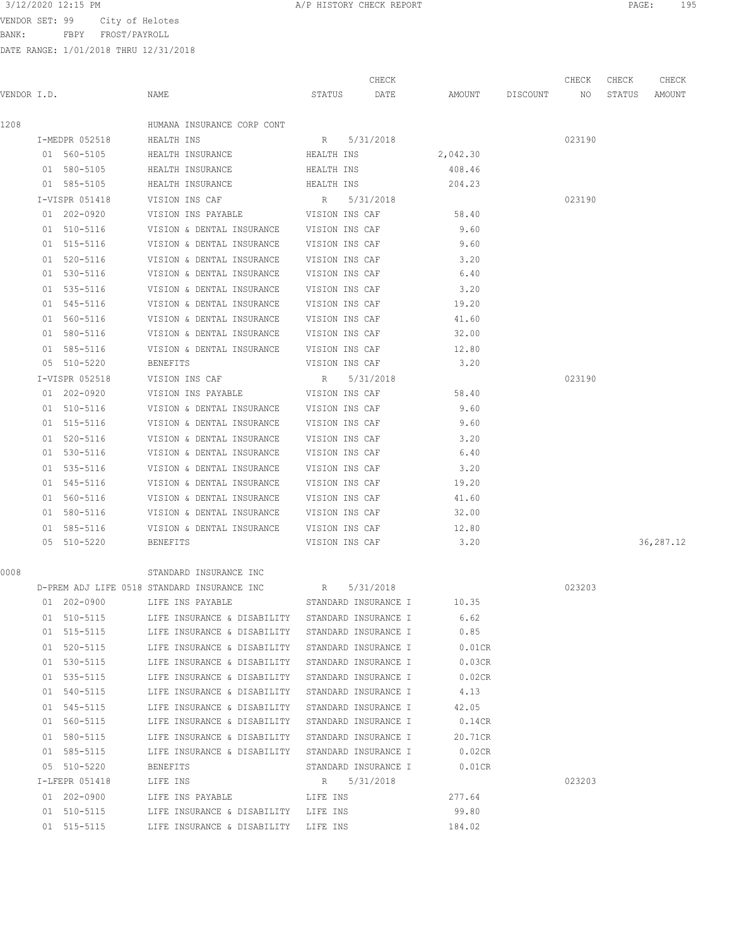BANK: FBPY FROST/PAYROLL

| 3/12/2020 12:15 PM |                                | A/P HISTORY CHECK REPORT | PAGE: | 195 |
|--------------------|--------------------------------|--------------------------|-------|-----|
|                    | VENDOR SET: 99 City of Helotes |                          |       |     |

|             |                            |                                                          |                | CHECK                |                 |                    | CHECK  | CHECK  | CHECK     |
|-------------|----------------------------|----------------------------------------------------------|----------------|----------------------|-----------------|--------------------|--------|--------|-----------|
| VENDOR I.D. |                            | NAME                                                     | STATUS         | DATE                 |                 | AMOUNT DISCOUNT NO |        | STATUS | AMOUNT    |
| 1208        |                            | HUMANA INSURANCE CORP CONT                               |                |                      |                 |                    |        |        |           |
|             | I-MEDPR 052518             | HEALTH INS                                               |                | R 5/31/2018          |                 |                    | 023190 |        |           |
|             | 01 560-5105                | HEALTH INSURANCE                                         | HEALTH INS     |                      | 2,042.30        |                    |        |        |           |
|             | 01 580-5105                | HEALTH INSURANCE                                         | HEALTH INS     |                      | 408.46          |                    |        |        |           |
|             | 01 585-5105                | HEALTH INSURANCE                                         | HEALTH INS     |                      | 204.23          |                    |        |        |           |
|             | I-VISPR 051418             | VISION INS CAF                                           | R 5/31/2018    |                      |                 |                    | 023190 |        |           |
|             | 01 202-0920                | VISION INS PAYABLE VISION INS CAF                        |                |                      | 58.40           |                    |        |        |           |
|             | 01 510-5116                | VISION & DENTAL INSURANCE VISION INS CAF                 |                |                      | 9.60            |                    |        |        |           |
|             | 01 515-5116                | VISION & DENTAL INSURANCE VISION INS CAF                 |                |                      | 9.60            |                    |        |        |           |
|             | 01 520-5116                | VISION & DENTAL INSURANCE VISION INS CAF                 |                |                      | 3.20            |                    |        |        |           |
|             | 01 530-5116                | VISION & DENTAL INSURANCE VISION INS CAF                 |                |                      | 6.40            |                    |        |        |           |
|             | 01 535-5116                | VISION & DENTAL INSURANCE                                | VISION INS CAF |                      | 3.20            |                    |        |        |           |
|             | 01 545-5116                | VISION & DENTAL INSURANCE                                | VISION INS CAF |                      | 19.20           |                    |        |        |           |
|             | 01 560-5116                | VISION & DENTAL INSURANCE                                | VISION INS CAF |                      | 41.60           |                    |        |        |           |
|             | 01 580-5116                | VISION & DENTAL INSURANCE                                | VISION INS CAF |                      | 32.00           |                    |        |        |           |
|             | 01 585-5116                | VISION & DENTAL INSURANCE VISION INS CAF                 |                |                      | 12.80           |                    |        |        |           |
|             | 05 510-5220                | BENEFITS                                                 | VISION INS CAF |                      | 3.20            |                    |        |        |           |
|             | I-VISPR 052518             | VISION INS CAF                                           | $R_{\rm c}$    | 5/31/2018            |                 |                    | 023190 |        |           |
|             | 01 202-0920                | VISION INS PAYABLE VISION INS CAF                        |                |                      | 58.40           |                    |        |        |           |
|             | 01 510-5116                | VISION & DENTAL INSURANCE VISION INS CAF                 |                |                      | 9.60            |                    |        |        |           |
|             | 01 515-5116                | VISION & DENTAL INSURANCE VISION INS CAF                 |                |                      | 9.60            |                    |        |        |           |
|             | 01 520-5116                | VISION & DENTAL INSURANCE                                | VISION INS CAF |                      | 3.20            |                    |        |        |           |
|             | 01 530-5116                | VISION & DENTAL INSURANCE                                | VISION INS CAF |                      | 6.40            |                    |        |        |           |
|             | 01 535-5116                | VISION & DENTAL INSURANCE                                | VISION INS CAF |                      | 3.20            |                    |        |        |           |
|             | 01 545-5116                | VISION & DENTAL INSURANCE VISION INS CAF                 |                |                      | 19.20           |                    |        |        |           |
|             | 01 560-5116                | VISION & DENTAL INSURANCE                                | VISION INS CAF |                      | 41.60           |                    |        |        |           |
|             | 01 580-5116                | VISION & DENTAL INSURANCE VISION INS CAF                 |                |                      | 32.00           |                    |        |        |           |
|             | 01 585-5116                | VISION & DENTAL INSURANCE VISION INS CAF                 |                |                      | 12.80           |                    |        |        |           |
|             | 05 510-5220                | BENEFITS                                                 |                | VISION INS CAF       | 3.20            |                    |        |        | 36,287.12 |
| 0008        |                            | STANDARD INSURANCE INC                                   |                |                      |                 |                    |        |        |           |
|             |                            | D-PREM ADJ LIFE 0518 STANDARD INSURANCE INC              | $R$ and $R$    | 5/31/2018            |                 |                    | 023203 |        |           |
|             |                            | 01 202-0900 LIFE INS PAYABLE STANDARD INSURANCE I 10.35  |                |                      |                 |                    |        |        |           |
|             | 01 510-5115                | LIFE INSURANCE & DISABILITY STANDARD INSURANCE I         |                |                      | 6.62            |                    |        |        |           |
|             | 01 515-5115                | LIFE INSURANCE & DISABILITY STANDARD INSURANCE I         |                |                      | 0.85            |                    |        |        |           |
|             | 01 520-5115                | LIFE INSURANCE & DISABILITY STANDARD INSURANCE I         |                |                      | $0.01$ CR       |                    |        |        |           |
|             | 01 530-5115                | LIFE INSURANCE & DISABILITY STANDARD INSURANCE I         |                |                      | 0.03CR          |                    |        |        |           |
|             | 01 535-5115                | LIFE INSURANCE & DISABILITY STANDARD INSURANCE I         |                |                      | 0.02CR          |                    |        |        |           |
|             | 01 540-5115                | LIFE INSURANCE & DISABILITY STANDARD INSURANCE I         |                |                      | 4.13            |                    |        |        |           |
|             | 01 545-5115                | LIFE INSURANCE & DISABILITY STANDARD INSURANCE I         |                |                      | 42.05           |                    |        |        |           |
|             | 01 560-5115                | LIFE INSURANCE & DISABILITY STANDARD INSURANCE I         |                |                      | 0.14CR          |                    |        |        |           |
|             | 01 580-5115                | LIFE INSURANCE & DISABILITY STANDARD INSURANCE I         |                |                      | 20.71CR         |                    |        |        |           |
|             | 01 585-5115                | LIFE INSURANCE & DISABILITY STANDARD INSURANCE I         |                |                      | $0.02$ CR       |                    |        |        |           |
|             | 05 510-5220                | BENEFITS                                                 |                | STANDARD INSURANCE I | 0.01CR          |                    |        |        |           |
|             | I-LFEPR 051418             | LIFE INS                                                 |                | R 5/31/2018          |                 |                    | 023203 |        |           |
|             | 01 202-0900<br>01 510-5115 | LIFE INS PAYABLE<br>LIFE INSURANCE & DISABILITY LIFE INS | LIFE INS       |                      | 277.64<br>99.80 |                    |        |        |           |
|             | 01 515-5115                | LIFE INSURANCE & DISABILITY LIFE INS                     |                |                      | 184.02          |                    |        |        |           |
|             |                            |                                                          |                |                      |                 |                    |        |        |           |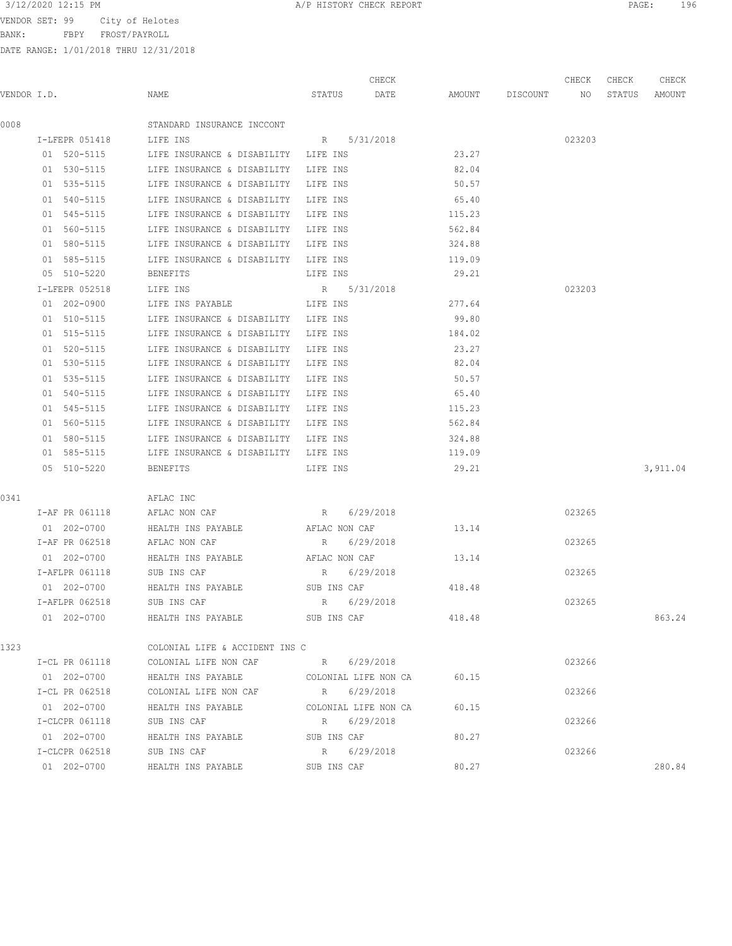VENDOR SET: 99 City of

| VENDOR SET: 99                        |                | City of Helotes |          |                             |          |           |       |        |          |        |        |        |  |
|---------------------------------------|----------------|-----------------|----------|-----------------------------|----------|-----------|-------|--------|----------|--------|--------|--------|--|
| BANK:                                 | FBPY           | FROST/PAYROLL   |          |                             |          |           |       |        |          |        |        |        |  |
| DATE RANGE: 1/01/2018 THRU 12/31/2018 |                |                 |          |                             |          |           |       |        |          |        |        |        |  |
|                                       |                |                 |          |                             |          |           |       |        |          |        |        |        |  |
|                                       |                |                 |          |                             |          |           | CHECK |        |          | CHECK  | CHECK  | CHECK  |  |
| VENDOR I.D.                           |                |                 | NAME     |                             | STATUS   |           | DATE  | AMOUNT | DISCOUNT | NO     | STATUS | AMOUNT |  |
|                                       |                |                 |          |                             |          |           |       |        |          |        |        |        |  |
| 0008                                  |                |                 |          | STANDARD INSURANCE INCCONT  |          |           |       |        |          |        |        |        |  |
|                                       | I-LFEPR 051418 |                 | LIFE INS |                             | R        | 5/31/2018 |       |        |          | 023203 |        |        |  |
|                                       | 01 520-5115    |                 |          | LIFE INSURANCE & DISABILITY | LIFE INS |           |       | 23.27  |          |        |        |        |  |
|                                       | 01 530-5115    |                 |          | LIFE INSURANCE & DISABILITY | LIFE INS |           |       | 82.04  |          |        |        |        |  |
|                                       | 01 535-5115    |                 |          | LIFE INSURANCE & DISABILITY | LIFE INS |           |       | 50.57  |          |        |        |        |  |
|                                       | 01 540-5115    |                 |          | LIFE INSURANCE & DISABILITY | LIFE INS |           |       | 65.40  |          |        |        |        |  |
|                                       | 01 545-5115    |                 |          | LIFE INSURANCE & DISABILITY | LIFE INS |           |       | 115.23 |          |        |        |        |  |
|                                       | 01 560-5115    |                 |          | LIFE INSURANCE & DISABILITY | LIFE INS |           |       | 562.84 |          |        |        |        |  |
|                                       | 01 580-5115    |                 |          | LIFE INSURANCE & DISABILITY | LIFE INS |           |       | 324.88 |          |        |        |        |  |
|                                       | 01 585-5115    |                 |          | LIFE INSURANCE & DISABILITY | LIFE INS |           |       | 119.09 |          |        |        |        |  |
|                                       | 05 510-5220    |                 | BENEFITS |                             | LIFE INS |           |       | 29.21  |          |        |        |        |  |

|    | T-LEEPR 052518        | LIFE INS                    | 5/31/2018<br>R |        | 023203 |
|----|-----------------------|-----------------------------|----------------|--------|--------|
| 01 | 202-0900              | LIFE INS PAYABLE            | LIFE INS       | 277.64 |        |
| 01 | 510-5115              | LIFE INSURANCE & DISABILITY | LIFE INS       | 99.80  |        |
|    | $01 \quad 515 - 5115$ | LIFE INSURANCE & DISABILITY | LIFE INS       | 184.02 |        |
| 01 | 520-5115              | LIFE INSURANCE & DISABILITY | LIFE INS       | 23.27  |        |
| 01 | 530-5115              | LIFE INSURANCE & DISABILITY | LIFE INS       | 82.04  |        |
| 01 | 535-5115              | LIFE INSURANCE & DISABILITY | LIFE INS       | 50.57  |        |
| 01 | 540-5115              | LIFE INSURANCE & DISABILITY | LIFE INS       | 65.40  |        |
|    | $01 \quad 545 - 5115$ | LIFE INSURANCE & DISABILITY | LIFE INS       | 115.23 |        |
| 01 | 560-5115              | LIFE INSURANCE & DISABILITY | LIFE INS       | 562.84 |        |
| 01 | 580-5115              | LIFE INSURANCE & DISABILITY | LIFE INS       | 324.88 |        |
| 01 | 585-5115              | LIFE INSURANCE & DISABILITY | LIFE INS       | 119.09 |        |

|      | 05 510-5220 | <b>BENEFITS</b> | LIFE INS | 29.21 | 3,911.04 |
|------|-------------|-----------------|----------|-------|----------|
|      |             |                 |          |       |          |
| 0341 |             | AFLAC INC       |          |       |          |

| I-AF PR 061118      | AFLAC NON CAF      | 6/29/2018<br>R |        | 023265 |        |
|---------------------|--------------------|----------------|--------|--------|--------|
| $202 - 0700$<br>01. | HEALTH INS PAYABLE | AFLAC NON CAF  | 13.14  |        |        |
| I-AF PR 062518      | AFLAC NON CAF      | 6/29/2018<br>R |        | 023265 |        |
| $202 - 0700$<br>01  | HEALTH INS PAYABLE | AFLAC NON CAF  | 13.14  |        |        |
| I-AFLPR 061118      | SUB INS CAF        | 6/29/2018<br>R |        | 023265 |        |
| 202-0700<br>01.     | HEALTH INS PAYABLE | SUB INS CAF    | 418.48 |        |        |
| I-AFLPR 062518      | SUB INS CAF        | 6/29/2018<br>R |        | 023265 |        |
| $202 - 0700$<br>01  | HEALTH INS PAYABLE | SUB INS CAF    | 418.48 |        | 863.24 |
|                     |                    |                |        |        |        |

| 1323 |                 | COLONIAL LIFE & ACCIDENT INS C |             |                      |       |        |        |
|------|-----------------|--------------------------------|-------------|----------------------|-------|--------|--------|
|      | I-CL PR 061118  | COLONIAL LIFE NON CAF          | R           | 6/29/2018            |       | 023266 |        |
|      | 202-0700<br>01. | HEALTH INS PAYABLE             |             | COLONIAL LIFE NON CA | 60.15 |        |        |
|      | I-CL PR 062518  | COLONIAL LIFE NON CAF          | R           | 6/29/2018            |       | 023266 |        |
|      | 202-0700<br>01. | HEALTH INS PAYABLE             |             | COLONIAL LIFE NON CA | 60.15 |        |        |
|      | I-CLCPR 061118  | SUB INS CAF                    | R           | 6/29/2018            |       | 023266 |        |
|      | 202-0700<br>01. | HEALTH INS PAYABLE             | SUB INS CAF |                      | 80.27 |        |        |
|      | I-CLCPR 062518  | SUB INS CAF                    | R           | 6/29/2018            |       | 023266 |        |
|      | 202-0700<br>01  | HEALTH INS PAYABLE             | SUB INS CAF |                      | 80.27 |        | 280.84 |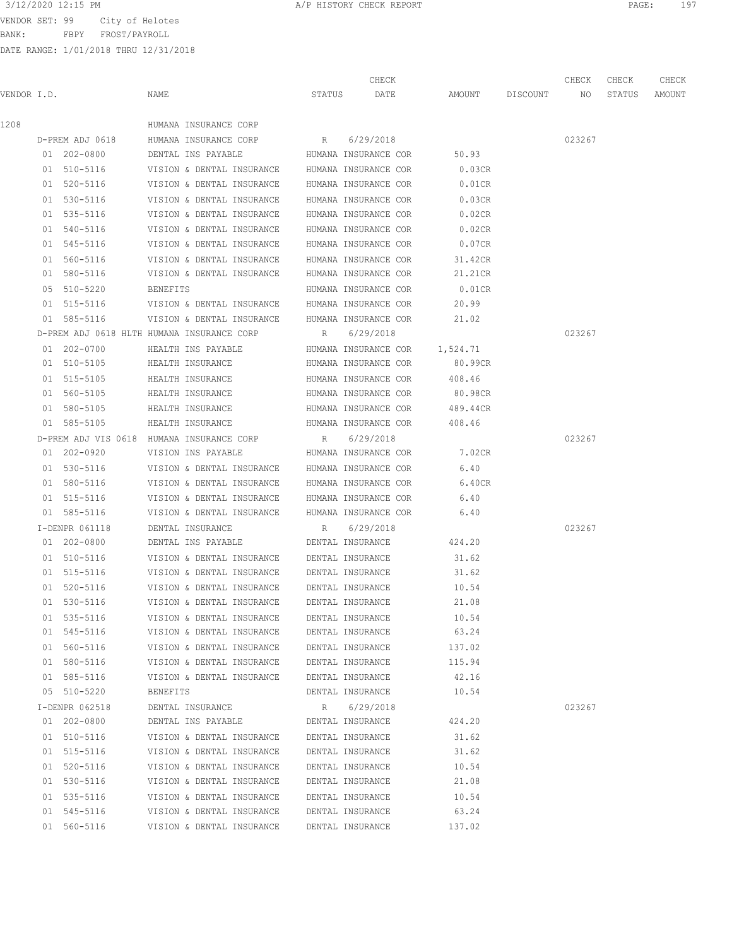BANK: FBPY FROST/PAYROLL

| 3/12/2020 12:15 PM<br>A/P HISTORY CHECK REPORT | PAGE: |
|------------------------------------------------|-------|
|------------------------------------------------|-------|

|             |                 |                                                |        | CHECK                |                    | CHECK  | CHECK  | CHECK  |
|-------------|-----------------|------------------------------------------------|--------|----------------------|--------------------|--------|--------|--------|
| VENDOR I.D. |                 | NAME                                           | STATUS | DATE                 | AMOUNT DISCOUNT NO |        | STATUS | AMOUNT |
| 1208        |                 | HUMANA INSURANCE CORP                          |        |                      |                    |        |        |        |
|             | D-PREM ADJ 0618 | HUMANA INSURANCE CORP                          | R      | 6/29/2018            |                    | 023267 |        |        |
|             | 01 202-0800     | DENTAL INS PAYABLE                             |        | HUMANA INSURANCE COR | 50.93              |        |        |        |
|             | 01 510-5116     | VISION & DENTAL INSURANCE HUMANA INSURANCE COR |        |                      | 0.03CR             |        |        |        |
|             | 01 520-5116     | VISION & DENTAL INSURANCE HUMANA INSURANCE COR |        |                      | $0.01$ CR          |        |        |        |
|             | 01 530-5116     | VISION & DENTAL INSURANCE                      |        | HUMANA INSURANCE COR | 0.03CR             |        |        |        |
|             | 01 535-5116     | VISION & DENTAL INSURANCE HUMANA INSURANCE COR |        |                      | 0.02CR             |        |        |        |
|             | 01 540-5116     | VISION & DENTAL INSURANCE                      |        | HUMANA INSURANCE COR | 0.02CR             |        |        |        |
|             | 01 545-5116     | VISION & DENTAL INSURANCE HUMANA INSURANCE COR |        |                      | 0.07CR             |        |        |        |
|             | 01 560-5116     | VISION & DENTAL INSURANCE HUMANA INSURANCE COR |        |                      | 31.42CR            |        |        |        |
|             | 01 580-5116     | VISION & DENTAL INSURANCE HUMANA INSURANCE COR |        |                      | 21.21CR            |        |        |        |
|             | 05 510-5220     | BENEFITS                                       |        | HUMANA INSURANCE COR | $0.01$ CR          |        |        |        |
|             | 01 515-5116     | VISION & DENTAL INSURANCE HUMANA INSURANCE COR |        |                      | 20.99              |        |        |        |
|             | 01 585-5116     | VISION & DENTAL INSURANCE                      |        | HUMANA INSURANCE COR | 21.02              |        |        |        |
|             |                 | D-PREM ADJ 0618 HLTH HUMANA INSURANCE CORP     |        | R 6/29/2018          |                    | 023267 |        |        |
|             | 01 202-0700     | HEALTH INS PAYABLE                             |        | HUMANA INSURANCE COR | 1,524.71           |        |        |        |
|             | 01 510-5105     | HEALTH INSURANCE                               |        | HUMANA INSURANCE COR | 80.99CR            |        |        |        |
|             | 01 515-5105     | HEALTH INSURANCE                               |        | HUMANA INSURANCE COR | 408.46             |        |        |        |
|             | 01 560-5105     | HEALTH INSURANCE                               |        | HUMANA INSURANCE COR | 80.98CR            |        |        |        |
|             | 01 580-5105     | HEALTH INSURANCE                               |        | HUMANA INSURANCE COR | 489.44CR           |        |        |        |
|             | 01 585-5105     | HEALTH INSURANCE                               |        | HUMANA INSURANCE COR | 408.46             |        |        |        |
|             |                 | D-PREM ADJ VIS 0618 HUMANA INSURANCE CORP      | R      | 6/29/2018            |                    | 023267 |        |        |
|             | 01 202-0920     | VISION INS PAYABLE                             |        | HUMANA INSURANCE COR | 7.02CR             |        |        |        |
|             | 01 530-5116     | VISION & DENTAL INSURANCE HUMANA INSURANCE COR |        |                      | 6.40               |        |        |        |
|             | 01 580-5116     | VISION & DENTAL INSURANCE HUMANA INSURANCE COR |        |                      | 6.40CR             |        |        |        |
|             | 01 515-5116     | VISION & DENTAL INSURANCE HUMANA INSURANCE COR |        |                      | 6.40               |        |        |        |
|             | 01 585-5116     | VISION & DENTAL INSURANCE HUMANA INSURANCE COR |        |                      | 6.40               |        |        |        |
|             | I-DENPR 061118  | DENTAL INSURANCE                               | R      | 6/29/2018            |                    | 023267 |        |        |
|             | 01 202-0800     | DENTAL INS PAYABLE                             |        | DENTAL INSURANCE     | 424.20             |        |        |        |
|             | 01 510-5116     | VISION & DENTAL INSURANCE                      |        | DENTAL INSURANCE     | 31.62              |        |        |        |
|             | 01 515-5116     | VISION & DENTAL INSURANCE                      |        | DENTAL INSURANCE     | 31.62              |        |        |        |
|             | 01 520-5116     | VISION & DENTAL INSURANCE                      |        | DENTAL INSURANCE     | 10.54              |        |        |        |
|             | 01 530-5116     | VISION & DENTAL INSURANCE                      |        | DENTAL INSURANCE     | 21.08              |        |        |        |
|             | 01 535-5116     | VISION & DENTAL INSURANCE                      |        | DENTAL INSURANCE     | 10.54              |        |        |        |
|             | 01 545-5116     | VISION & DENTAL INSURANCE DENTAL INSURANCE     |        |                      | 63.24              |        |        |        |
|             | 01 560-5116     | VISION & DENTAL INSURANCE DENTAL INSURANCE     |        |                      | 137.02             |        |        |        |
|             | 01 580-5116     | VISION & DENTAL INSURANCE DENTAL INSURANCE     |        |                      | 115.94             |        |        |        |
|             | 01 585-5116     | VISION & DENTAL INSURANCE                      |        | DENTAL INSURANCE     | 42.16              |        |        |        |
|             | 05 510-5220     | BENEFITS                                       |        | DENTAL INSURANCE     | 10.54              |        |        |        |
|             | I-DENPR 062518  | DENTAL INSURANCE                               |        | R 6/29/2018          |                    | 023267 |        |        |
|             | 01 202-0800     | DENTAL INS PAYABLE                             |        | DENTAL INSURANCE     | 424.20             |        |        |        |
|             | 01 510-5116     | VISION & DENTAL INSURANCE                      |        | DENTAL INSURANCE     | 31.62              |        |        |        |
|             | 01 515-5116     | VISION & DENTAL INSURANCE                      |        | DENTAL INSURANCE     | 31.62              |        |        |        |
|             | 01 520-5116     | VISION & DENTAL INSURANCE                      |        | DENTAL INSURANCE     | 10.54              |        |        |        |
|             | 01 530-5116     | VISION & DENTAL INSURANCE                      |        | DENTAL INSURANCE     | 21.08              |        |        |        |
|             | 01 535-5116     | VISION & DENTAL INSURANCE                      |        | DENTAL INSURANCE     | 10.54              |        |        |        |
|             | 01 545-5116     | VISION & DENTAL INSURANCE                      |        | DENTAL INSURANCE     | 63.24              |        |        |        |
|             | 01 560-5116     | VISION & DENTAL INSURANCE                      |        | DENTAL INSURANCE     | 137.02             |        |        |        |
|             |                 |                                                |        |                      |                    |        |        |        |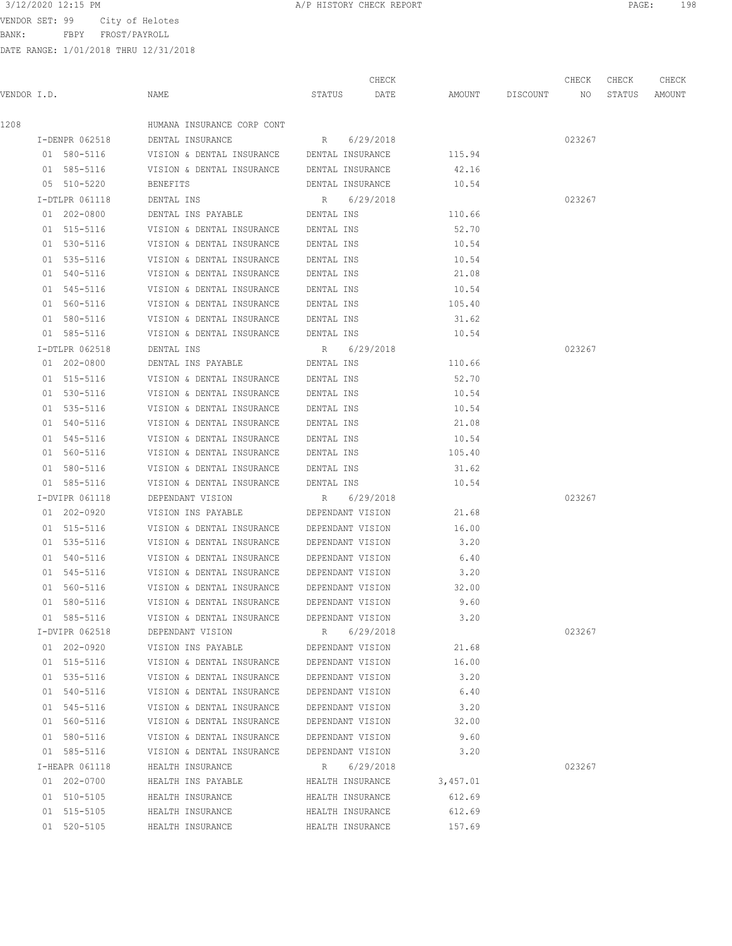3/12/2020 12:15 PM **A/P HISTORY CHECK REPORT PAGE:** 198

BANK: FBPY FROST/PAYROLL

|      |                |                                            |                  | CHECK     |                    | CHECK  | CHECK  | CHECK  |
|------|----------------|--------------------------------------------|------------------|-----------|--------------------|--------|--------|--------|
|      | VENDOR I.D.    | NAME                                       | STATUS DATE      |           | AMOUNT DISCOUNT NO |        | STATUS | AMOUNT |
| 1208 |                | HUMANA INSURANCE CORP CONT                 |                  |           |                    |        |        |        |
|      | I-DENPR 062518 | DENTAL INSURANCE                           | R 6/29/2018      |           |                    | 023267 |        |        |
|      | 01 580-5116    | VISION & DENTAL INSURANCE DENTAL INSURANCE |                  |           | 115.94             |        |        |        |
|      | 01 585-5116    | VISION & DENTAL INSURANCE DENTAL INSURANCE |                  |           | 42.16              |        |        |        |
|      | 05 510-5220    | <b>BENEFITS</b>                            | DENTAL INSURANCE |           | 10.54              |        |        |        |
|      | I-DTLPR 061118 | DENTAL INS                                 | R 6/29/2018      |           |                    | 023267 |        |        |
|      | 01 202-0800    | DENTAL INS PAYABLE                         | DENTAL INS       |           | 110.66             |        |        |        |
|      | 01 515-5116    | VISION & DENTAL INSURANCE DENTAL INS       |                  |           | 52.70              |        |        |        |
|      | 01 530-5116    | VISION & DENTAL INSURANCE DENTAL INS       |                  |           | 10.54              |        |        |        |
|      | 01 535-5116    | VISION & DENTAL INSURANCE                  | DENTAL INS       |           | 10.54              |        |        |        |
|      | 01 540-5116    | VISION & DENTAL INSURANCE                  | DENTAL INS       |           | 21.08              |        |        |        |
|      | 01 545-5116    | VISION & DENTAL INSURANCE DENTAL INS       |                  |           | 10.54              |        |        |        |
|      | 01 560-5116    | VISION & DENTAL INSURANCE DENTAL INS       |                  |           | 105.40             |        |        |        |
|      | 01 580-5116    | VISION & DENTAL INSURANCE DENTAL INS       |                  |           | 31.62              |        |        |        |
|      | 01 585-5116    | VISION & DENTAL INSURANCE                  | DENTAL INS       |           | 10.54              |        |        |        |
|      | I-DTLPR 062518 | DENTAL INS                                 | R 6/29/2018      |           |                    | 023267 |        |        |
|      | 01 202-0800    | DENTAL INS PAYABLE <b>DENTAL INS</b>       |                  |           | 110.66             |        |        |        |
|      | 01 515-5116    | VISION & DENTAL INSURANCE DENTAL INS       |                  |           | 52.70              |        |        |        |
|      | 01 530-5116    | VISION & DENTAL INSURANCE DENTAL INS       |                  |           | 10.54              |        |        |        |
|      | 01 535-5116    | VISION & DENTAL INSURANCE DENTAL INS       |                  |           | 10.54              |        |        |        |
|      | 01 540-5116    | VISION & DENTAL INSURANCE                  | DENTAL INS       |           | 21.08              |        |        |        |
|      | 01 545-5116    | VISION & DENTAL INSURANCE DENTAL INS       |                  |           | 10.54              |        |        |        |
|      | 01 560-5116    | VISION & DENTAL INSURANCE DENTAL INS       |                  |           | 105.40             |        |        |        |
|      | 01 580-5116    | VISION & DENTAL INSURANCE DENTAL INS       |                  |           | 31.62              |        |        |        |
|      | 01 585-5116    | VISION & DENTAL INSURANCE DENTAL INS       |                  |           | 10.54              |        |        |        |
|      | I-DVIPR 061118 | DEPENDANT VISION R                         |                  | 6/29/2018 |                    | 023267 |        |        |
|      | 01 202-0920    | VISION INS PAYABLE DEPENDANT VISION        |                  |           | 21.68              |        |        |        |
|      | 01 515-5116    | VISION & DENTAL INSURANCE DEPENDANT VISION |                  |           | 16.00              |        |        |        |
|      | 01 535-5116    | VISION & DENTAL INSURANCE                  | DEPENDANT VISION |           | 3.20               |        |        |        |
|      | 01 540-5116    | VISION & DENTAL INSURANCE                  | DEPENDANT VISION |           | 6.40               |        |        |        |
|      | 01 545-5116    | VISION & DENTAL INSURANCE DEPENDANT VISION |                  |           | 3.20               |        |        |        |
|      | 01 560-5116    | VISION & DENTAL INSURANCE DEPENDANT VISION |                  |           | 32.00              |        |        |        |
|      | 01 580-5116    | VISION & DENTAL INSURANCE                  | DEPENDANT VISION |           | 9.60               |        |        |        |
|      | 01 585-5116    | VISION & DENTAL INSURANCE                  | DEPENDANT VISION |           | 3.20               |        |        |        |
|      | I-DVIPR 062518 | DEPENDANT VISION                           | R                | 6/29/2018 |                    | 023267 |        |        |
|      | 01 202-0920    | VISION INS PAYABLE                         | DEPENDANT VISION |           | 21.68              |        |        |        |
|      | 01 515-5116    | VISION & DENTAL INSURANCE                  | DEPENDANT VISION |           | 16.00              |        |        |        |
|      | 01 535-5116    | VISION & DENTAL INSURANCE                  | DEPENDANT VISION |           | 3.20               |        |        |        |
|      | 01 540-5116    | VISION & DENTAL INSURANCE                  | DEPENDANT VISION |           | 6.40               |        |        |        |
|      | 01 545-5116    | VISION & DENTAL INSURANCE                  | DEPENDANT VISION |           | 3.20               |        |        |        |
|      | 01 560-5116    | VISION & DENTAL INSURANCE                  | DEPENDANT VISION |           | 32.00              |        |        |        |
|      | 01 580-5116    | VISION & DENTAL INSURANCE                  | DEPENDANT VISION |           | 9.60               |        |        |        |
|      | 01 585-5116    | VISION & DENTAL INSURANCE                  | DEPENDANT VISION |           | 3.20               |        |        |        |
|      | I-HEAPR 061118 | HEALTH INSURANCE                           | R 6/29/2018      |           |                    | 023267 |        |        |
|      | 01 202-0700    | HEALTH INS PAYABLE                         | HEALTH INSURANCE |           | 3,457.01           |        |        |        |
|      | 01 510-5105    | HEALTH INSURANCE                           | HEALTH INSURANCE |           | 612.69             |        |        |        |
|      | 01 515-5105    | HEALTH INSURANCE                           | HEALTH INSURANCE |           | 612.69             |        |        |        |
|      | 01 520-5105    | HEALTH INSURANCE                           | HEALTH INSURANCE |           | 157.69             |        |        |        |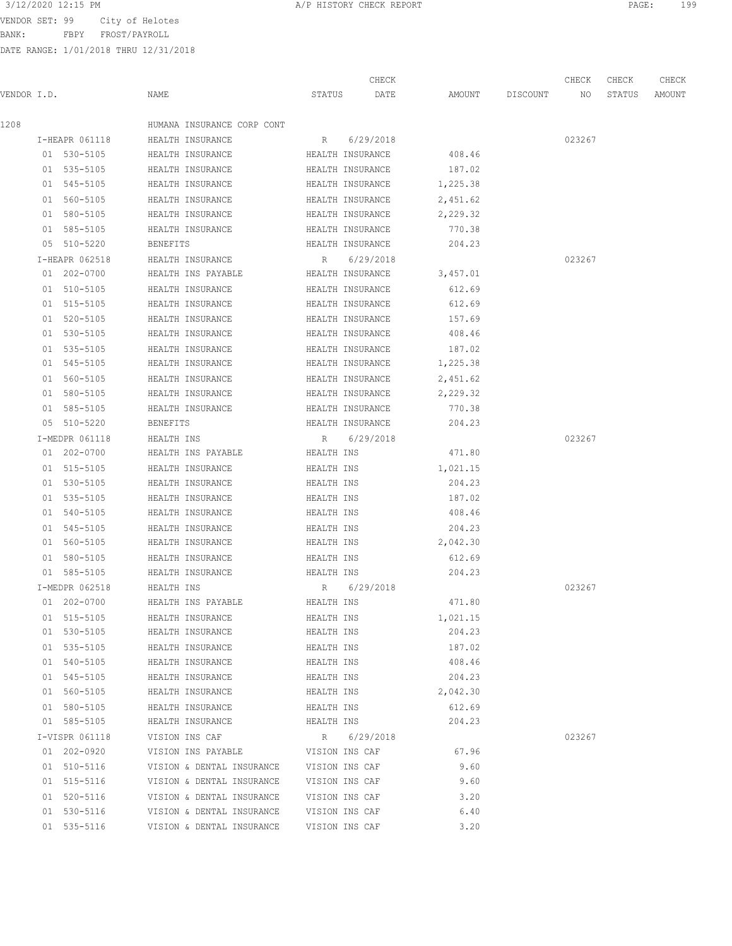BANK: FBPY FROST/PAYROLL

|             |                |                                          |                | CHECK            |          |                 | CHECK  | CHECK  | CHECK  |
|-------------|----------------|------------------------------------------|----------------|------------------|----------|-----------------|--------|--------|--------|
| VENDOR I.D. |                | NAME                                     | STATUS         | DATE             |          | AMOUNT DISCOUNT | NO     | STATUS | AMOUNT |
| 1208        |                | HUMANA INSURANCE CORP CONT               |                |                  |          |                 |        |        |        |
|             | I-HEAPR 061118 | HEALTH INSURANCE                         | R              | 6/29/2018        |          |                 | 023267 |        |        |
|             | 01 530-5105    | HEALTH INSURANCE                         |                | HEALTH INSURANCE | 408.46   |                 |        |        |        |
|             | 01 535-5105    | HEALTH INSURANCE                         |                | HEALTH INSURANCE | 187.02   |                 |        |        |        |
|             | 01 545-5105    | HEALTH INSURANCE                         |                | HEALTH INSURANCE | 1,225.38 |                 |        |        |        |
|             | 01 560-5105    | HEALTH INSURANCE                         |                | HEALTH INSURANCE | 2,451.62 |                 |        |        |        |
|             | 01 580-5105    | HEALTH INSURANCE                         |                | HEALTH INSURANCE | 2,229.32 |                 |        |        |        |
|             | 01 585-5105    | HEALTH INSURANCE                         |                | HEALTH INSURANCE | 770.38   |                 |        |        |        |
|             | 05 510-5220    | BENEFITS                                 |                | HEALTH INSURANCE | 204.23   |                 |        |        |        |
|             | I-HEAPR 062518 | HEALTH INSURANCE                         |                | R 6/29/2018      |          |                 | 023267 |        |        |
|             | 01 202-0700    | HEALTH INS PAYABLE                       |                | HEALTH INSURANCE | 3,457.01 |                 |        |        |        |
|             | 01 510-5105    | HEALTH INSURANCE                         |                | HEALTH INSURANCE | 612.69   |                 |        |        |        |
|             | 01 515-5105    | HEALTH INSURANCE                         |                | HEALTH INSURANCE | 612.69   |                 |        |        |        |
|             | 01 520-5105    | HEALTH INSURANCE                         |                | HEALTH INSURANCE | 157.69   |                 |        |        |        |
|             | 01 530-5105    | HEALTH INSURANCE                         |                | HEALTH INSURANCE | 408.46   |                 |        |        |        |
|             | 01 535-5105    | HEALTH INSURANCE                         |                | HEALTH INSURANCE | 187.02   |                 |        |        |        |
|             | 01 545-5105    | HEALTH INSURANCE                         |                | HEALTH INSURANCE | 1,225.38 |                 |        |        |        |
|             | 01 560-5105    | HEALTH INSURANCE                         |                | HEALTH INSURANCE | 2,451.62 |                 |        |        |        |
|             | 01 580-5105    | HEALTH INSURANCE                         |                | HEALTH INSURANCE | 2,229.32 |                 |        |        |        |
|             | 01 585-5105    | HEALTH INSURANCE                         |                | HEALTH INSURANCE | 770.38   |                 |        |        |        |
|             | 05 510-5220    | <b>BENEFITS</b>                          |                | HEALTH INSURANCE | 204.23   |                 |        |        |        |
|             | I-MEDPR 061118 | HEALTH INS                               | R              | 6/29/2018        |          |                 | 023267 |        |        |
|             | 01 202-0700    | HEALTH INS PAYABLE                       | HEALTH INS     |                  | 471.80   |                 |        |        |        |
|             | 01 515-5105    | HEALTH INSURANCE                         | HEALTH INS     |                  | 1,021.15 |                 |        |        |        |
|             | 01 530-5105    | HEALTH INSURANCE                         | HEALTH INS     |                  | 204.23   |                 |        |        |        |
|             | 01 535-5105    | HEALTH INSURANCE                         | HEALTH INS     |                  | 187.02   |                 |        |        |        |
|             | 01 540-5105    | HEALTH INSURANCE                         | HEALTH INS     |                  | 408.46   |                 |        |        |        |
|             | 01 545-5105    | HEALTH INSURANCE                         | HEALTH INS     |                  | 204.23   |                 |        |        |        |
|             | 01 560-5105    | HEALTH INSURANCE                         | HEALTH INS     |                  | 2,042.30 |                 |        |        |        |
|             | 01 580-5105    | HEALTH INSURANCE                         | HEALTH INS     |                  | 612.69   |                 |        |        |        |
|             | 01 585-5105    | HEALTH INSURANCE                         | HEALTH INS     |                  | 204.23   |                 |        |        |        |
|             | I-MEDPR 062518 | HEALTH INS                               |                | R 6/29/2018      |          |                 | 023267 |        |        |
|             | 01 202-0700    | HEALTH INS PAYABLE                       | HEALTH INS     |                  | 471.80   |                 |        |        |        |
|             | 01 515-5105    | HEALTH INSURANCE                         | HEALTH INS     |                  | 1,021.15 |                 |        |        |        |
|             | 01 530-5105    | HEALTH INSURANCE                         | HEALTH INS     |                  | 204.23   |                 |        |        |        |
|             | 01 535-5105    | HEALTH INSURANCE                         | HEALTH INS     |                  | 187.02   |                 |        |        |        |
|             | 01 540-5105    | HEALTH INSURANCE                         | HEALTH INS     |                  | 408.46   |                 |        |        |        |
|             | 01 545-5105    | HEALTH INSURANCE                         | HEALTH INS     |                  | 204.23   |                 |        |        |        |
|             | 01 560-5105    | HEALTH INSURANCE                         | HEALTH INS     |                  | 2,042.30 |                 |        |        |        |
|             | 01 580-5105    | HEALTH INSURANCE                         | HEALTH INS     |                  | 612.69   |                 |        |        |        |
|             | 01 585-5105    | HEALTH INSURANCE                         | HEALTH INS     |                  | 204.23   |                 |        |        |        |
|             | I-VISPR 061118 | VISION INS CAF                           |                | R 6/29/2018      |          |                 | 023267 |        |        |
|             | 01 202-0920    | VISION INS PAYABLE                       | VISION INS CAF |                  | 67.96    |                 |        |        |        |
|             | 01 510-5116    | VISION & DENTAL INSURANCE VISION INS CAF |                |                  | 9.60     |                 |        |        |        |
|             | 01 515-5116    | VISION & DENTAL INSURANCE VISION INS CAF |                |                  | 9.60     |                 |        |        |        |
|             | 01 520-5116    | VISION & DENTAL INSURANCE                | VISION INS CAF |                  | 3.20     |                 |        |        |        |
|             | 01 530-5116    | VISION & DENTAL INSURANCE VISION INS CAF |                |                  | 6.40     |                 |        |        |        |
|             | 01 535-5116    | VISION & DENTAL INSURANCE                |                | VISION INS CAF   | 3.20     |                 |        |        |        |
|             |                |                                          |                |                  |          |                 |        |        |        |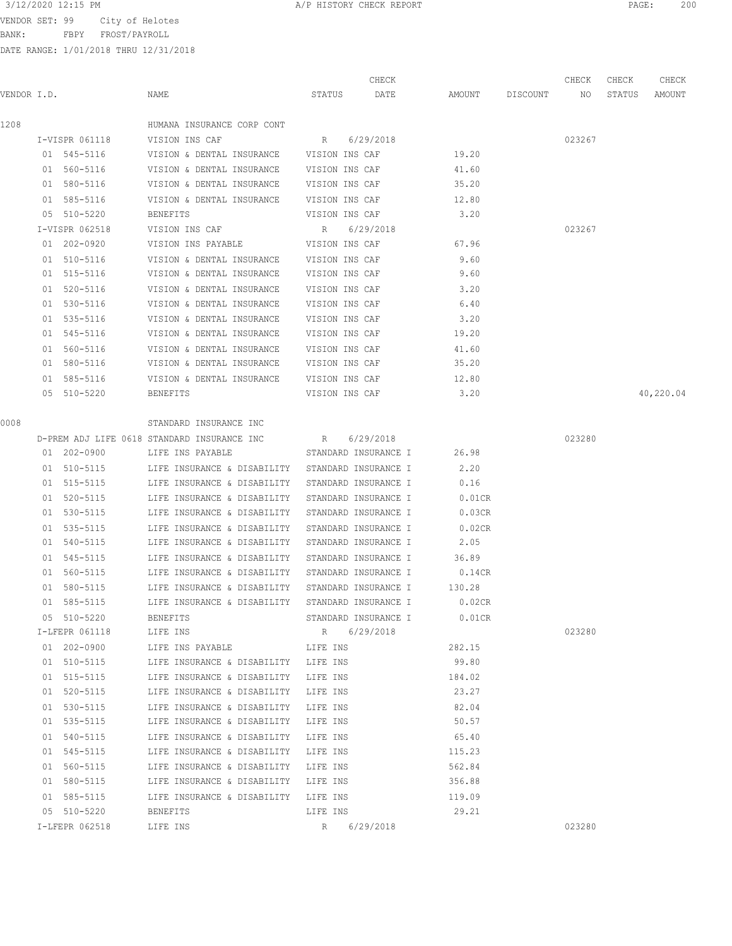BANK: FBPY FROST/PAYROLL

DATE RANGE: 1/01/2018 THRU 12/31/2018

| 3/12/2020 12:15 PM<br>A/P HISTORY CHECK REPORT | PAGE | 200 |
|------------------------------------------------|------|-----|
|------------------------------------------------|------|-----|

CHECK CHECK CHECK CHECK

| VENDOR I.D. |                               | NAME                                                         |                | STATUS DATE AMOUNT DISCOUNT NO |           |        | STATUS | AMOUNT    |
|-------------|-------------------------------|--------------------------------------------------------------|----------------|--------------------------------|-----------|--------|--------|-----------|
| 1208        |                               | HUMANA INSURANCE CORP CONT                                   |                |                                |           |        |        |           |
|             | I-VISPR 061118 VISION INS CAF |                                                              |                | R 6/29/2018                    |           | 023267 |        |           |
|             |                               | 01 545-5116 VISION & DENTAL INSURANCE VISION INS CAF         |                |                                | 19.20     |        |        |           |
|             |                               | 01 560-5116 VISION & DENTAL INSURANCE VISION INS CAF         |                |                                | 41.60     |        |        |           |
|             | 01 580-5116                   | VISION & DENTAL INSURANCE VISION INS CAF                     |                |                                | 35.20     |        |        |           |
|             | 01 585-5116                   | VISION & DENTAL INSURANCE VISION INS CAF                     |                |                                | 12.80     |        |        |           |
|             | 05 510-5220                   | BENEFITS                                                     | VISION INS CAF |                                | 3.20      |        |        |           |
|             | I-VISPR 062518                | VISION INS CAF                                               |                | R 6/29/2018                    |           | 023267 |        |           |
|             | 01 202-0920                   | VISION INS PAYABLE VISION INS CAF                            |                |                                | 67.96     |        |        |           |
|             | 01 510-5116                   | VISION & DENTAL INSURANCE VISION INS CAF                     |                |                                | 9.60      |        |        |           |
|             | 01 515-5116                   | VISION & DENTAL INSURANCE VISION INS CAF                     |                |                                | 9.60      |        |        |           |
|             | 01 520-5116                   | VISION & DENTAL INSURANCE VISION INS CAF                     |                |                                | 3.20      |        |        |           |
|             | 01 530-5116                   | VISION & DENTAL INSURANCE VISION INS CAF                     |                |                                | 6.40      |        |        |           |
|             | 01 535-5116                   | VISION & DENTAL INSURANCE VISION INS CAF                     |                |                                | 3.20      |        |        |           |
|             | 01 545-5116                   | VISION & DENTAL INSURANCE VISION INS CAF                     |                |                                | 19.20     |        |        |           |
|             | 01 560-5116                   | VISION & DENTAL INSURANCE VISION INS CAF                     |                |                                | 41.60     |        |        |           |
|             | 01 580-5116                   | VISION & DENTAL INSURANCE VISION INS CAF                     |                |                                | 35.20     |        |        |           |
|             | 01 585-5116                   | VISION & DENTAL INSURANCE VISION INS CAF                     |                |                                | 12.80     |        |        |           |
|             | 05 510-5220                   | BENEFITS                                                     | VISION INS CAF |                                | 3.20      |        |        | 40,220.04 |
| 0008        |                               | STANDARD INSURANCE INC                                       |                |                                |           |        |        |           |
|             |                               | D-PREM ADJ LIFE 0618 STANDARD INSURANCE INC                  |                | R 6/29/2018                    |           | 023280 |        |           |
|             | 01 202-0900                   | LIFE INS PAYABLE                                             |                | STANDARD INSURANCE I           | 26.98     |        |        |           |
|             |                               | 01 510-5115 LIFE INSURANCE & DISABILITY STANDARD INSURANCE I |                |                                | 2.20      |        |        |           |
|             | 01 515-5115                   | LIFE INSURANCE & DISABILITY STANDARD INSURANCE I             |                |                                | 0.16      |        |        |           |
|             | 01 520-5115                   | LIFE INSURANCE & DISABILITY STANDARD INSURANCE I             |                |                                | $0.01$ CR |        |        |           |
|             | 01 530-5115                   | LIFE INSURANCE & DISABILITY STANDARD INSURANCE I             |                |                                | 0.03CR    |        |        |           |
|             | 01 535-5115                   | LIFE INSURANCE & DISABILITY                                  |                | STANDARD INSURANCE I           | $0.02$ CR |        |        |           |
|             | 01 540-5115                   | LIFE INSURANCE & DISABILITY                                  |                | STANDARD INSURANCE I           | 2.05      |        |        |           |
|             | 01 545-5115                   | LIFE INSURANCE & DISABILITY                                  |                | STANDARD INSURANCE I           | 36.89     |        |        |           |
|             | 01 560-5115                   | LIFE INSURANCE & DISABILITY STANDARD INSURANCE I             |                |                                | $0.14$ CR |        |        |           |
|             | 01 580-5115                   | LIFE INSURANCE & DISABILITY STANDARD INSURANCE I             |                |                                | 130.28    |        |        |           |
|             | 01 585-5115                   | LIFE INSURANCE & DISABILITY STANDARD INSURANCE I             |                |                                | $0.02$ CR |        |        |           |
|             | 05 510-5220                   | BENEFITS                                                     |                | STANDARD INSURANCE I           | $0.01$ CR |        |        |           |
|             | I-LFEPR 061118                | LIFE INS                                                     | R              | 6/29/2018                      |           | 023280 |        |           |
|             | 01 202-0900                   | LIFE INS PAYABLE                                             | LIFE INS       |                                | 282.15    |        |        |           |
|             | 01 510-5115                   | LIFE INSURANCE & DISABILITY LIFE INS                         |                |                                | 99.80     |        |        |           |
|             | 01 515-5115                   | LIFE INSURANCE & DISABILITY                                  | LIFE INS       |                                | 184.02    |        |        |           |
|             | 01 520-5115                   | LIFE INSURANCE & DISABILITY                                  | LIFE INS       |                                | 23.27     |        |        |           |
|             | 01 530-5115                   | LIFE INSURANCE & DISABILITY                                  | LIFE INS       |                                | 82.04     |        |        |           |
|             | 01 535-5115                   | LIFE INSURANCE & DISABILITY                                  | LIFE INS       |                                | 50.57     |        |        |           |
|             | 01 540-5115                   | LIFE INSURANCE & DISABILITY                                  | LIFE INS       |                                | 65.40     |        |        |           |
|             | 01 545-5115                   | LIFE INSURANCE & DISABILITY                                  | LIFE INS       |                                | 115.23    |        |        |           |
|             | 01 560-5115                   | LIFE INSURANCE & DISABILITY                                  | LIFE INS       |                                | 562.84    |        |        |           |
|             | 01 580-5115                   | LIFE INSURANCE & DISABILITY                                  | LIFE INS       |                                | 356.88    |        |        |           |
|             | 01 585-5115                   | LIFE INSURANCE & DISABILITY                                  | LIFE INS       |                                | 119.09    |        |        |           |
|             | 05 510-5220                   | BENEFITS                                                     | LIFE INS       |                                | 29.21     |        |        |           |
|             | I-LFEPR 062518                | LIFE INS                                                     | R              | 6/29/2018                      |           | 023280 |        |           |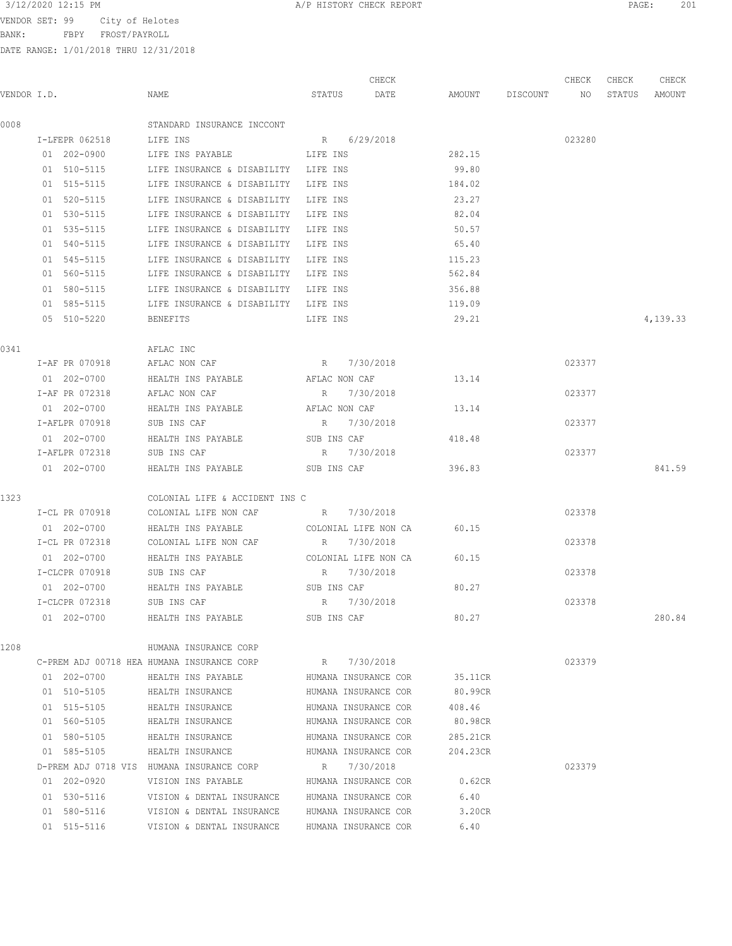3/12/2020 12:15 PM **A/P HISTORY CHECK REPORT PAGE:** 201

BANK: FBPY FROST/PAYROLL

| VENDOR I.D. |                | NAME                                       | STATUS               | CHECK<br>DATE |          | AMOUNT DISCOUNT NO | CHECK  | CHECK<br>STATUS | CHECK<br>AMOUNT |
|-------------|----------------|--------------------------------------------|----------------------|---------------|----------|--------------------|--------|-----------------|-----------------|
| 0008        |                | STANDARD INSURANCE INCCONT                 |                      |               |          |                    |        |                 |                 |
|             | I-LFEPR 062518 | LIFE INS                                   | R 6/29/2018          |               |          |                    | 023280 |                 |                 |
|             | 01 202-0900    | LIFE INS PAYABLE                           | LIFE INS             |               | 282.15   |                    |        |                 |                 |
|             | 01 510-5115    | LIFE INSURANCE & DISABILITY LIFE INS       |                      |               | 99.80    |                    |        |                 |                 |
|             | 01 515-5115    | LIFE INSURANCE & DISABILITY                | LIFE INS             |               | 184.02   |                    |        |                 |                 |
|             | 01 520-5115    | LIFE INSURANCE & DISABILITY                | LIFE INS             |               | 23.27    |                    |        |                 |                 |
|             | 01 530-5115    | LIFE INSURANCE & DISABILITY                | LIFE INS             |               | 82.04    |                    |        |                 |                 |
|             | 01 535-5115    | LIFE INSURANCE & DISABILITY                | LIFE INS             |               | 50.57    |                    |        |                 |                 |
|             | 01 540-5115    | LIFE INSURANCE & DISABILITY LIFE INS       |                      |               | 65.40    |                    |        |                 |                 |
|             | 01 545-5115    | LIFE INSURANCE & DISABILITY                | LIFE INS             |               | 115.23   |                    |        |                 |                 |
|             | 01 560-5115    | LIFE INSURANCE & DISABILITY LIFE INS       |                      |               | 562.84   |                    |        |                 |                 |
|             | 01 580-5115    | LIFE INSURANCE & DISABILITY                | LIFE INS             |               | 356.88   |                    |        |                 |                 |
|             | 01 585-5115    | LIFE INSURANCE & DISABILITY                | LIFE INS             |               | 119.09   |                    |        |                 |                 |
|             | 05 510-5220    | BENEFITS                                   | LIFE INS             |               | 29.21    |                    |        |                 | 4,139.33        |
| 0341        |                | AFLAC INC                                  |                      |               |          |                    |        |                 |                 |
|             | I-AF PR 070918 | AFLAC NON CAF                              | R 7/30/2018          |               |          |                    | 023377 |                 |                 |
|             | 01 202-0700    | HEALTH INS PAYABLE                         | AFLAC NON CAF        |               | 13.14    |                    |        |                 |                 |
|             | I-AF PR 072318 | AFLAC NON CAF                              | 7/30/2018<br>R       |               |          |                    | 023377 |                 |                 |
|             | 01 202-0700    | HEALTH INS PAYABLE                         | AFLAC NON CAF        |               | 13.14    |                    |        |                 |                 |
|             | I-AFLPR 070918 | SUB INS CAF                                | 7/30/2018<br>R       |               |          |                    | 023377 |                 |                 |
|             | 01 202-0700    | HEALTH INS PAYABLE                         | SUB INS CAF          |               | 418.48   |                    |        |                 |                 |
|             | I-AFLPR 072318 | SUB INS CAF                                | R 7/30/2018          |               |          |                    | 023377 |                 |                 |
|             | 01 202-0700    | HEALTH INS PAYABLE                         | SUB INS CAF          |               | 396.83   |                    |        |                 | 841.59          |
| 1323        |                | COLONIAL LIFE & ACCIDENT INS C             |                      |               |          |                    |        |                 |                 |
|             | I-CL PR 070918 | COLONIAL LIFE NON CAF                      | R 7/30/2018          |               |          |                    | 023378 |                 |                 |
|             | 01 202-0700    | HEALTH INS PAYABLE                         | COLONIAL LIFE NON CA |               | 60.15    |                    |        |                 |                 |
|             | I-CL PR 072318 | COLONIAL LIFE NON CAF                      | R 7/30/2018          |               |          |                    | 023378 |                 |                 |
|             | 01 202-0700    | HEALTH INS PAYABLE                         | COLONIAL LIFE NON CA |               | 60.15    |                    |        |                 |                 |
|             | I-CLCPR 070918 | SUB INS CAF                                | R 7/30/2018          |               |          |                    | 023378 |                 |                 |
|             | 01 202-0700    | HEALTH INS PAYABLE                         | SUB INS CAF          |               | 80.27    |                    |        |                 |                 |
|             | I-CLCPR 072318 | SUB INS CAF                                | R 7/30/2018          |               |          |                    | 023378 |                 |                 |
|             | 01 202-0700    | HEALTH INS PAYABLE                         | SUB INS CAF          |               | 80.27    |                    |        |                 | 280.84          |
| 1208        |                | HUMANA INSURANCE CORP                      |                      |               |          |                    |        |                 |                 |
|             |                | C-PREM ADJ 00718 HEA HUMANA INSURANCE CORP | R 7/30/2018          |               |          |                    | 023379 |                 |                 |
|             | 01 202-0700    | HEALTH INS PAYABLE                         | HUMANA INSURANCE COR |               | 35.11CR  |                    |        |                 |                 |
|             | 01 510-5105    | HEALTH INSURANCE                           | HUMANA INSURANCE COR |               | 80.99CR  |                    |        |                 |                 |
|             | 01 515-5105    | HEALTH INSURANCE                           | HUMANA INSURANCE COR |               | 408.46   |                    |        |                 |                 |
|             | 01 560-5105    | HEALTH INSURANCE                           | HUMANA INSURANCE COR |               | 80.98CR  |                    |        |                 |                 |
|             | 01 580-5105    | HEALTH INSURANCE                           | HUMANA INSURANCE COR |               | 285.21CR |                    |        |                 |                 |
|             | 01 585-5105    | HEALTH INSURANCE                           | HUMANA INSURANCE COR |               | 204.23CR |                    |        |                 |                 |
|             |                | D-PREM ADJ 0718 VIS HUMANA INSURANCE CORP  | R 7/30/2018          |               |          |                    | 023379 |                 |                 |
|             | 01 202-0920    | VISION INS PAYABLE                         | HUMANA INSURANCE COR |               | 0.62CR   |                    |        |                 |                 |
|             | 01 530-5116    | VISION & DENTAL INSURANCE                  | HUMANA INSURANCE COR |               | 6.40     |                    |        |                 |                 |
|             | 01 580-5116    | VISION & DENTAL INSURANCE                  | HUMANA INSURANCE COR |               | 3.20CR   |                    |        |                 |                 |
|             | 01 515-5116    | VISION & DENTAL INSURANCE                  | HUMANA INSURANCE COR |               | 6.40     |                    |        |                 |                 |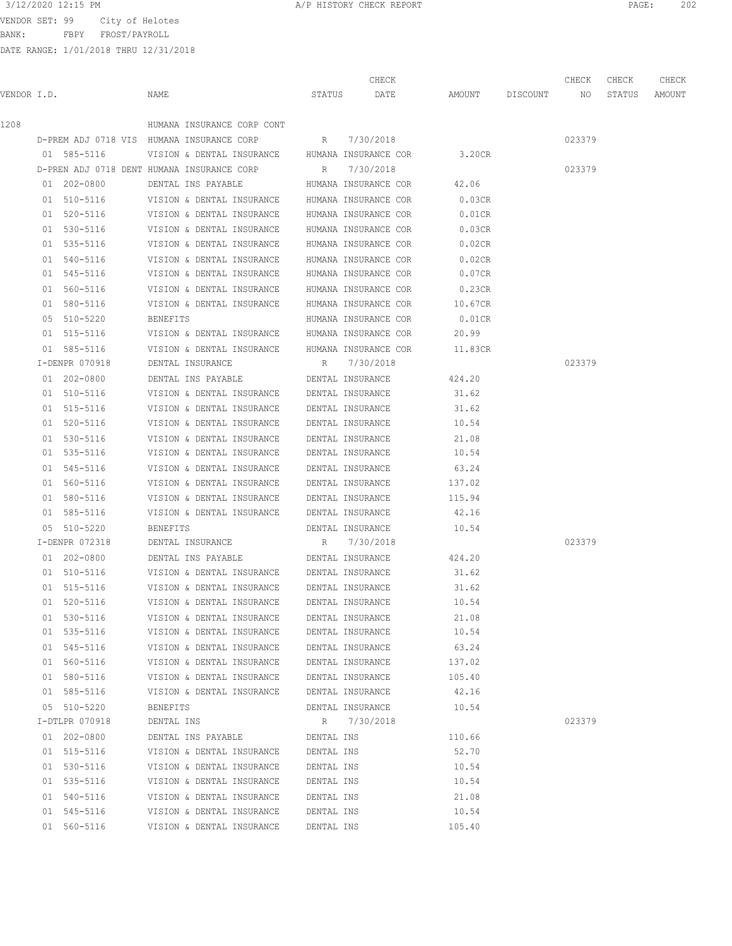BANK: FBPY FROST/PAYROLL

|             |                |                                                       |            | CHECK                |           |             | CHECK  | CHECK  | CHECK  |
|-------------|----------------|-------------------------------------------------------|------------|----------------------|-----------|-------------|--------|--------|--------|
| VENDOR I.D. |                | NAME                                                  | STATUS     | DATE                 | AMOUNT    | DISCOUNT NO |        | STATUS | AMOUNT |
| 1208        |                | HUMANA INSURANCE CORP CONT                            |            |                      |           |             |        |        |        |
|             |                | D-PREM ADJ 0718 VIS HUMANA INSURANCE CORP R 7/30/2018 |            |                      |           |             | 023379 |        |        |
|             | 01 585-5116    | VISION & DENTAL INSURANCE HUMANA INSURANCE COR        |            |                      | 3.20CR    |             |        |        |        |
|             |                | D-PREN ADJ 0718 DENT HUMANA INSURANCE CORP            | R          | 7/30/2018            |           |             | 023379 |        |        |
|             | 01 202-0800    | DENTAL INS PAYABLE                                    |            | HUMANA INSURANCE COR | 42.06     |             |        |        |        |
|             | 01 510-5116    | VISION & DENTAL INSURANCE HUMANA INSURANCE COR        |            |                      | 0.03CR    |             |        |        |        |
|             | 01 520-5116    | VISION & DENTAL INSURANCE                             |            | HUMANA INSURANCE COR | $0.01$ CR |             |        |        |        |
|             | 01 530-5116    | VISION & DENTAL INSURANCE                             |            | HUMANA INSURANCE COR | 0.03CR    |             |        |        |        |
|             | 01 535-5116    | VISION & DENTAL INSURANCE                             |            | HUMANA INSURANCE COR | 0.02CR    |             |        |        |        |
|             | 01 540-5116    | VISION & DENTAL INSURANCE                             |            | HUMANA INSURANCE COR | 0.02CR    |             |        |        |        |
|             | 01 545-5116    | VISION & DENTAL INSURANCE                             |            | HUMANA INSURANCE COR | 0.07CR    |             |        |        |        |
|             | 01 560-5116    | VISION & DENTAL INSURANCE                             |            | HUMANA INSURANCE COR | 0.23CR    |             |        |        |        |
|             | 01 580-5116    | VISION & DENTAL INSURANCE                             |            | HUMANA INSURANCE COR | 10.67CR   |             |        |        |        |
|             | 05 510-5220    | BENEFITS                                              |            | HUMANA INSURANCE COR | 0.01CR    |             |        |        |        |
|             | 01 515-5116    | VISION & DENTAL INSURANCE HUMANA INSURANCE COR        |            |                      | 20.99     |             |        |        |        |
|             | 01 585-5116    | VISION & DENTAL INSURANCE HUMANA INSURANCE COR        |            |                      | 11.83CR   |             |        |        |        |
|             | I-DENPR 070918 | DENTAL INSURANCE                                      |            | R 7/30/2018          |           |             | 023379 |        |        |
|             | 01 202-0800    | DENTAL INS PAYABLE DENTAL INSURANCE                   |            |                      | 424.20    |             |        |        |        |
|             | 01 510-5116    | VISION & DENTAL INSURANCE                             |            | DENTAL INSURANCE     | 31.62     |             |        |        |        |
|             | 01 515-5116    | VISION & DENTAL INSURANCE                             |            | DENTAL INSURANCE     | 31.62     |             |        |        |        |
|             | 01 520-5116    | VISION & DENTAL INSURANCE                             |            | DENTAL INSURANCE     | 10.54     |             |        |        |        |
|             | 01 530-5116    | VISION & DENTAL INSURANCE                             |            | DENTAL INSURANCE     | 21.08     |             |        |        |        |
|             | 01 535-5116    | VISION & DENTAL INSURANCE                             |            | DENTAL INSURANCE     | 10.54     |             |        |        |        |
|             | 01 545-5116    | VISION & DENTAL INSURANCE                             |            | DENTAL INSURANCE     | 63.24     |             |        |        |        |
|             | 01 560-5116    | VISION & DENTAL INSURANCE                             |            | DENTAL INSURANCE     | 137.02    |             |        |        |        |
|             | 01 580-5116    | VISION & DENTAL INSURANCE                             |            | DENTAL INSURANCE     | 115.94    |             |        |        |        |
|             | 01 585-5116    | VISION & DENTAL INSURANCE                             |            | DENTAL INSURANCE     | 42.16     |             |        |        |        |
|             | 05 510-5220    | <b>BENEFITS</b>                                       |            | DENTAL INSURANCE     | 10.54     |             |        |        |        |
|             | I-DENPR 072318 | DENTAL INSURANCE                                      | R          | 7/30/2018            |           |             | 023379 |        |        |
|             | 01 202-0800    | DENTAL INS PAYABLE                                    |            | DENTAL INSURANCE     | 424.20    |             |        |        |        |
|             | 01 510-5116    | VISION & DENTAL INSURANCE                             |            | DENTAL INSURANCE     | 31.62     |             |        |        |        |
|             | 01 515-5116    | VISION & DENTAL INSURANCE                             |            | DENTAL INSURANCE     | 31.62     |             |        |        |        |
|             | 01 520-5116    | VISION & DENTAL INSURANCE                             |            | DENTAL INSURANCE     | 10.54     |             |        |        |        |
|             | 01 530-5116    | VISION & DENTAL INSURANCE                             |            | DENTAL INSURANCE     | 21.08     |             |        |        |        |
|             | 01 535-5116    | VISION & DENTAL INSURANCE                             |            | DENTAL INSURANCE     | 10.54     |             |        |        |        |
|             | 01 545-5116    | VISION & DENTAL INSURANCE                             |            | DENTAL INSURANCE     | 63.24     |             |        |        |        |
|             | 01 560-5116    | VISION & DENTAL INSURANCE                             |            | DENTAL INSURANCE     | 137.02    |             |        |        |        |
|             | 01 580-5116    | VISION & DENTAL INSURANCE                             |            | DENTAL INSURANCE     | 105.40    |             |        |        |        |
|             | 01 585-5116    | VISION & DENTAL INSURANCE                             |            | DENTAL INSURANCE     | 42.16     |             |        |        |        |
|             | 05 510-5220    | <b>BENEFITS</b>                                       |            | DENTAL INSURANCE     | 10.54     |             |        |        |        |
|             | I-DTLPR 070918 | DENTAL INS                                            | R          | 7/30/2018            |           |             | 023379 |        |        |
|             | 01 202-0800    | DENTAL INS PAYABLE                                    | DENTAL INS |                      | 110.66    |             |        |        |        |
|             | 01 515-5116    | VISION & DENTAL INSURANCE                             | DENTAL INS |                      | 52.70     |             |        |        |        |
|             | 01 530-5116    | VISION & DENTAL INSURANCE                             | DENTAL INS |                      | 10.54     |             |        |        |        |
|             | 01 535-5116    | VISION & DENTAL INSURANCE                             | DENTAL INS |                      | 10.54     |             |        |        |        |
|             | 01 540-5116    | VISION & DENTAL INSURANCE                             | DENTAL INS |                      | 21.08     |             |        |        |        |
|             | 01 545-5116    | VISION & DENTAL INSURANCE                             | DENTAL INS |                      | 10.54     |             |        |        |        |
|             | 01 560-5116    | VISION & DENTAL INSURANCE                             | DENTAL INS |                      | 105.40    |             |        |        |        |
|             |                |                                                       |            |                      |           |             |        |        |        |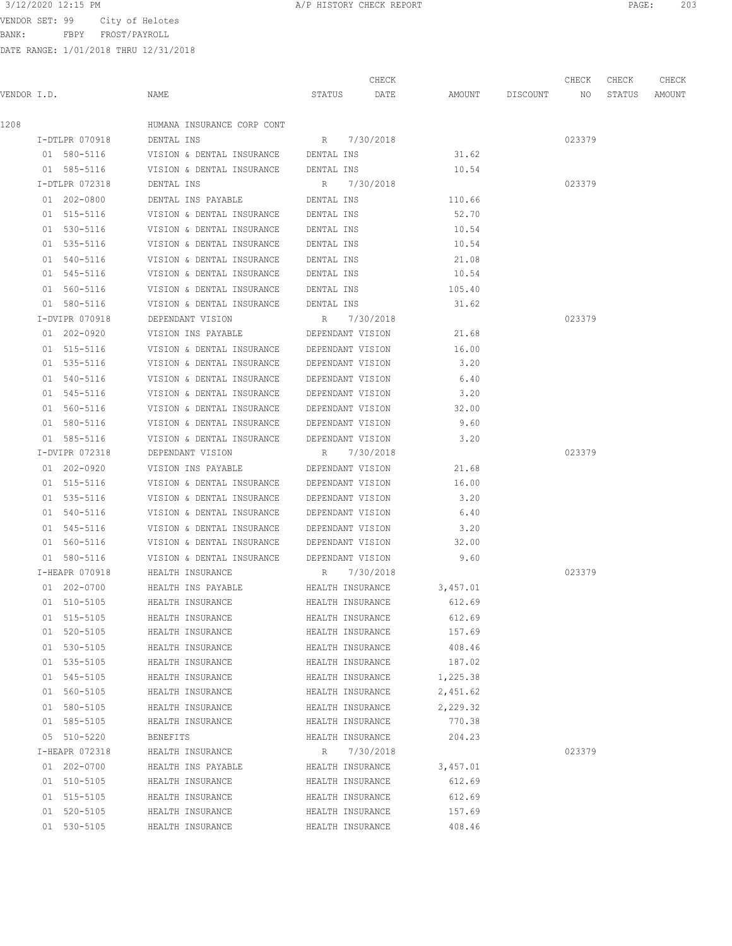BANK: FBPY FROST/PAYROLL

DATE RANGE: 1/01/2018 THRU 12/31/2018

| 203 |
|-----|
|     |

CHECK CHECK CHECK CHECK

| VENDOR I.D. |                           | NAME                                                   |                  |           | STATUS DATE AMOUNT DISCOUNT NO |        | STATUS AMOUNT |  |
|-------------|---------------------------|--------------------------------------------------------|------------------|-----------|--------------------------------|--------|---------------|--|
| 1208        |                           | HUMANA INSURANCE CORP CONT                             |                  |           |                                |        |               |  |
|             | I-DTLPR 070918 DENTAL INS |                                                        | R 7/30/2018      |           |                                | 023379 |               |  |
|             |                           | 01 580-5116 VISION & DENTAL INSURANCE DENTAL INS 31.62 |                  |           |                                |        |               |  |
|             | 01 585-5116               | VISION & DENTAL INSURANCE DENTAL INS                   |                  |           | 10.54                          |        |               |  |
|             | I-DTLPR 072318            | DENTAL INS                                             | R 7/30/2018      |           |                                | 023379 |               |  |
|             | 01 202-0800               | DENTAL INS PAYABLE <b>SECURE DENTAL INS</b>            |                  |           | 110.66                         |        |               |  |
|             | 01 515-5116               | VISION & DENTAL INSURANCE DENTAL INS                   |                  |           | 52.70                          |        |               |  |
|             | 01 530-5116               | VISION & DENTAL INSURANCE DENTAL INS                   |                  |           | 10.54                          |        |               |  |
|             | 01 535-5116               | VISION & DENTAL INSURANCE DENTAL INS                   |                  |           | 10.54                          |        |               |  |
|             | 01 540-5116               | VISION & DENTAL INSURANCE DENTAL INS                   |                  |           | 21.08                          |        |               |  |
|             | 01 545-5116               | VISION & DENTAL INSURANCE DENTAL INS                   |                  |           | 10.54                          |        |               |  |
|             | 01 560-5116               | VISION & DENTAL INSURANCE DENTAL INS                   |                  |           | 105.40                         |        |               |  |
|             | 01 580-5116               | VISION & DENTAL INSURANCE DENTAL INS                   |                  |           | 31.62                          |        |               |  |
|             | I-DVIPR 070918            | DEPENDANT VISION R 7/30/2018                           |                  |           |                                | 023379 |               |  |
|             | 01 202-0920               | VISION INS PAYABLE DEPENDANT VISION 21.68              |                  |           |                                |        |               |  |
|             | 01 515-5116               | VISION & DENTAL INSURANCE DEPENDANT VISION 16.00       |                  |           |                                |        |               |  |
|             | 01 535-5116               | VISION & DENTAL INSURANCE DEPENDANT VISION             |                  |           | 3.20                           |        |               |  |
|             | 01 540-5116               | VISION & DENTAL INSURANCE DEPENDANT VISION             |                  |           | 6.40                           |        |               |  |
|             | 01 545-5116               | VISION & DENTAL INSURANCE DEPENDANT VISION             |                  |           | 3.20                           |        |               |  |
|             | 01 560-5116               | VISION & DENTAL INSURANCE DEPENDANT VISION             |                  |           | 32.00                          |        |               |  |
|             | 01 580-5116               | VISION & DENTAL INSURANCE DEPENDANT VISION             |                  |           | 9.60                           |        |               |  |
|             | 01 585-5116               | VISION & DENTAL INSURANCE DEPENDANT VISION             |                  |           | 3.20                           |        |               |  |
|             | I-DVIPR 072318            | DEPENDANT VISION                                       | R 7/30/2018      |           |                                | 023379 |               |  |
|             | 01 202-0920               | VISION INS PAYABLE DEPENDANT VISION                    |                  |           | 21.68                          |        |               |  |
|             | 01 515-5116               | VISION & DENTAL INSURANCE DEPENDANT VISION             |                  |           | 16.00                          |        |               |  |
|             | 01 535-5116               | VISION & DENTAL INSURANCE DEPENDANT VISION             |                  |           | 3.20                           |        |               |  |
|             | 01 540-5116               | VISION & DENTAL INSURANCE DEPENDANT VISION             |                  |           | 6.40                           |        |               |  |
|             | 01 545-5116               | VISION & DENTAL INSURANCE DEPENDANT VISION             |                  |           | 3.20                           |        |               |  |
|             | 01 560-5116               | VISION & DENTAL INSURANCE DEPENDANT VISION             |                  |           | 32.00                          |        |               |  |
|             | 01 580-5116               | VISION & DENTAL INSURANCE DEPENDANT VISION             |                  |           | 9.60                           |        |               |  |
|             | I-HEAPR 070918            | HEALTH INSURANCE                                       | R 7/30/2018      |           |                                | 023379 |               |  |
|             | 01 202-0700               | HEALTH INS PAYABLE                                     | HEALTH INSURANCE |           | 3,457.01                       |        |               |  |
|             | 01 510-5105               | HEALTH INSURANCE                                       | HEALTH INSURANCE |           | 612.69                         |        |               |  |
|             | 01 515-5105               | HEALTH INSURANCE                                       | HEALTH INSURANCE |           | 612.69                         |        |               |  |
|             | 01 520-5105               | HEALTH INSURANCE                                       | HEALTH INSURANCE |           | 157.69                         |        |               |  |
|             | 01 530-5105               | HEALTH INSURANCE                                       | HEALTH INSURANCE |           | 408.46                         |        |               |  |
|             | 01 535-5105               | HEALTH INSURANCE                                       | HEALTH INSURANCE |           | 187.02                         |        |               |  |
|             | 01 545-5105               | HEALTH INSURANCE                                       | HEALTH INSURANCE |           | 1,225.38                       |        |               |  |
|             | 01 560-5105               | HEALTH INSURANCE                                       | HEALTH INSURANCE |           | 2,451.62                       |        |               |  |
|             | 01 580-5105               | HEALTH INSURANCE                                       | HEALTH INSURANCE |           | 2,229.32                       |        |               |  |
|             | 01 585-5105               | HEALTH INSURANCE                                       | HEALTH INSURANCE |           | 770.38                         |        |               |  |
|             | 05 510-5220               | BENEFITS                                               | HEALTH INSURANCE |           | 204.23                         |        |               |  |
|             | I-HEAPR 072318            | HEALTH INSURANCE                                       | R                | 7/30/2018 |                                | 023379 |               |  |
|             | 01 202-0700               | HEALTH INS PAYABLE                                     | HEALTH INSURANCE |           | 3,457.01                       |        |               |  |
|             | 01 510-5105               | HEALTH INSURANCE                                       | HEALTH INSURANCE |           | 612.69                         |        |               |  |
|             | 01 515-5105               | HEALTH INSURANCE                                       | HEALTH INSURANCE |           | 612.69                         |        |               |  |
|             | 01 520-5105               | HEALTH INSURANCE                                       | HEALTH INSURANCE |           | 157.69                         |        |               |  |
|             | 01 530-5105               | HEALTH INSURANCE                                       | HEALTH INSURANCE |           | 408.46                         |        |               |  |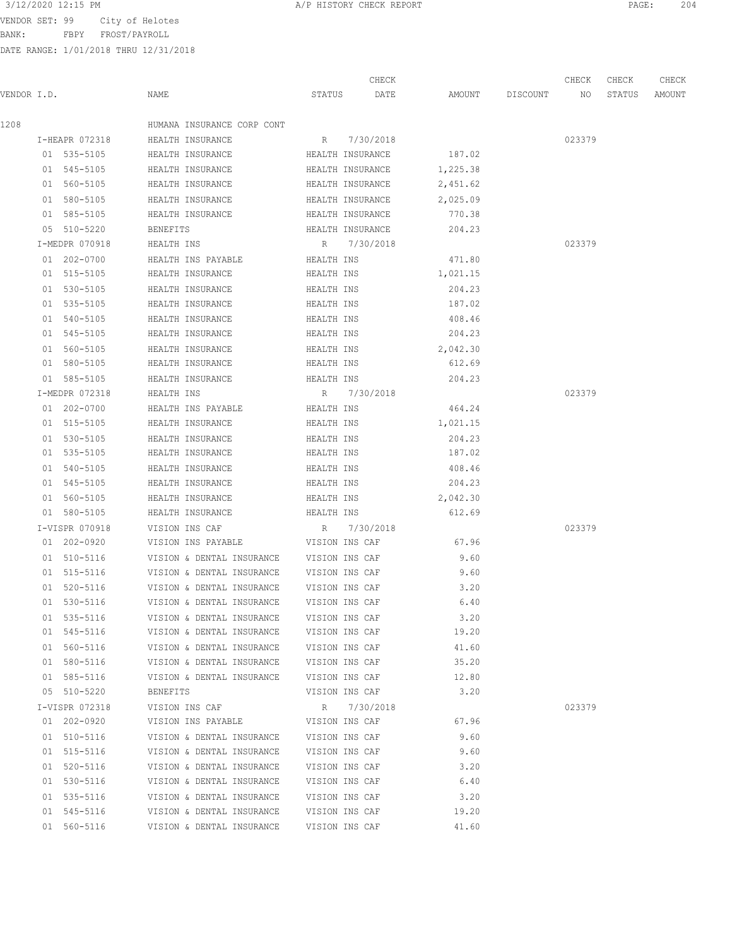3/12/2020 12:15 PM **A/P HISTORY CHECK REPORT PAGE:** 204

BANK: FBPY FROST/PAYROLL

|             |                |                                          |                  | CHECK     |                 | CHECK  | CHECK  | CHECK  |
|-------------|----------------|------------------------------------------|------------------|-----------|-----------------|--------|--------|--------|
| VENDOR I.D. |                | NAME                                     | STATUS           | DATE      | AMOUNT DISCOUNT | NO     | STATUS | AMOUNT |
| 1208        |                | HUMANA INSURANCE CORP CONT               |                  |           |                 |        |        |        |
|             | I-HEAPR 072318 | HEALTH INSURANCE                         | R 7/30/2018      |           |                 | 023379 |        |        |
|             | 01 535-5105    | HEALTH INSURANCE                         | HEALTH INSURANCE |           | 187.02          |        |        |        |
|             | 01 545-5105    | HEALTH INSURANCE                         | HEALTH INSURANCE |           | 1,225.38        |        |        |        |
|             | 01 560-5105    | HEALTH INSURANCE                         | HEALTH INSURANCE |           | 2,451.62        |        |        |        |
|             | 01 580-5105    | HEALTH INSURANCE                         | HEALTH INSURANCE |           | 2,025.09        |        |        |        |
|             | 01 585-5105    | HEALTH INSURANCE                         | HEALTH INSURANCE |           | 770.38          |        |        |        |
|             | 05 510-5220    | BENEFITS                                 | HEALTH INSURANCE |           | 204.23          |        |        |        |
|             | I-MEDPR 070918 | HEALTH INS                               | R 7/30/2018      |           |                 | 023379 |        |        |
|             | 01 202-0700    | HEALTH INS PAYABLE                       | HEALTH INS       |           | 471.80          |        |        |        |
|             | 01 515-5105    | HEALTH INSURANCE                         | HEALTH INS       |           | 1,021.15        |        |        |        |
|             | 01 530-5105    | HEALTH INSURANCE                         | HEALTH INS       |           | 204.23          |        |        |        |
|             | 01 535-5105    | HEALTH INSURANCE                         | HEALTH INS       |           | 187.02          |        |        |        |
|             | 01 540-5105    | HEALTH INSURANCE                         | HEALTH INS       |           | 408.46          |        |        |        |
|             | 01 545-5105    | HEALTH INSURANCE                         | HEALTH INS       |           | 204.23          |        |        |        |
|             | 01 560-5105    | HEALTH INSURANCE                         | HEALTH INS       |           | 2,042.30        |        |        |        |
|             | 01 580-5105    | HEALTH INSURANCE                         | HEALTH INS       |           | 612.69          |        |        |        |
|             | 01 585-5105    | HEALTH INSURANCE                         | HEALTH INS       |           | 204.23          |        |        |        |
|             | I-MEDPR 072318 | HEALTH INS                               | R 7/30/2018      |           |                 | 023379 |        |        |
|             | 01 202-0700    | HEALTH INS PAYABLE                       | HEALTH INS       |           | 464.24          |        |        |        |
|             | 01 515-5105    | HEALTH INSURANCE                         | HEALTH INS       |           | 1,021.15        |        |        |        |
|             | 01 530-5105    | HEALTH INSURANCE                         | HEALTH INS       |           | 204.23          |        |        |        |
|             | 01 535-5105    | HEALTH INSURANCE                         | HEALTH INS       |           | 187.02          |        |        |        |
|             | 01 540-5105    | HEALTH INSURANCE                         | HEALTH INS       |           | 408.46          |        |        |        |
|             | 01 545-5105    | HEALTH INSURANCE                         | HEALTH INS       |           | 204.23          |        |        |        |
|             | 01 560-5105    | HEALTH INSURANCE                         | HEALTH INS       |           | 2,042.30        |        |        |        |
|             | 01 580-5105    | HEALTH INSURANCE                         | HEALTH INS       |           | 612.69          |        |        |        |
|             | I-VISPR 070918 | VISION INS CAF                           | R                | 7/30/2018 |                 | 023379 |        |        |
|             | 01 202-0920    | VISION INS PAYABLE                       | VISION INS CAF   |           | 67.96           |        |        |        |
|             | 01 510-5116    | VISION & DENTAL INSURANCE VISION INS CAF |                  |           | 9.60            |        |        |        |
|             | 01 515-5116    | VISION & DENTAL INSURANCE VISION INS CAF |                  |           | 9.60            |        |        |        |
|             | 01 520-5116    | VISION & DENTAL INSURANCE                | VISION INS CAF   |           | 3.20            |        |        |        |
|             | 01 530-5116    | VISION & DENTAL INSURANCE                | VISION INS CAF   |           | 6.40            |        |        |        |
|             | 01 535-5116    | VISION & DENTAL INSURANCE                | VISION INS CAF   |           | 3.20            |        |        |        |
|             | 01 545-5116    | VISION & DENTAL INSURANCE                | VISION INS CAF   |           | 19.20           |        |        |        |
|             | 01 560-5116    | VISION & DENTAL INSURANCE                | VISION INS CAF   |           | 41.60           |        |        |        |
|             | 01 580-5116    | VISION & DENTAL INSURANCE                | VISION INS CAF   |           | 35.20           |        |        |        |
|             | 01 585-5116    | VISION & DENTAL INSURANCE                | VISION INS CAF   |           | 12.80           |        |        |        |
|             | 05 510-5220    | BENEFITS                                 | VISION INS CAF   |           | 3.20            |        |        |        |
|             | I-VISPR 072318 | VISION INS CAF                           | R                | 7/30/2018 |                 | 023379 |        |        |
|             | 01 202-0920    | VISION INS PAYABLE                       | VISION INS CAF   |           | 67.96           |        |        |        |
|             | 01 510-5116    | VISION & DENTAL INSURANCE                | VISION INS CAF   |           | 9.60            |        |        |        |
|             | 01 515-5116    | VISION & DENTAL INSURANCE                | VISION INS CAF   |           | 9.60            |        |        |        |
|             | 01 520-5116    | VISION & DENTAL INSURANCE                | VISION INS CAF   |           | 3.20            |        |        |        |
|             | 01 530-5116    | VISION & DENTAL INSURANCE                | VISION INS CAF   |           | 6.40            |        |        |        |
|             | 01 535-5116    | VISION & DENTAL INSURANCE                | VISION INS CAF   |           | 3.20            |        |        |        |
|             | 01 545-5116    | VISION & DENTAL INSURANCE                | VISION INS CAF   |           | 19.20           |        |        |        |
|             | 01 560-5116    | VISION & DENTAL INSURANCE                | VISION INS CAF   |           | 41.60           |        |        |        |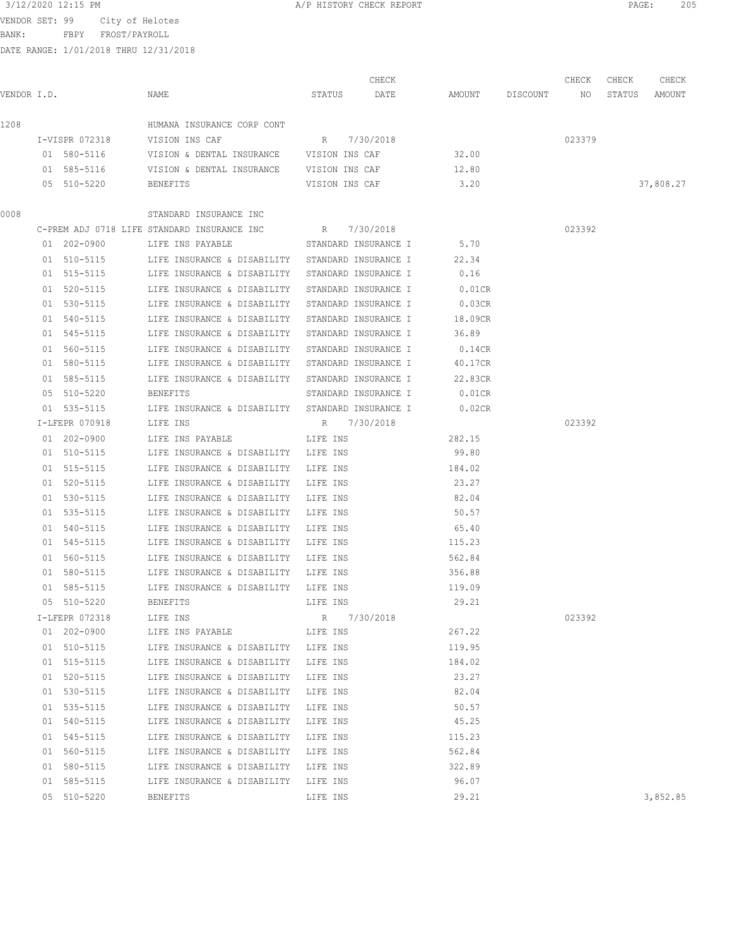BANK: FBPY FROST/PAYROLL

| VENDOR I.D. |                | NAME                                                       | STATUS               | CHECK<br>DATE |                 | AMOUNT DISCOUNT NO STATUS | CHECK  | CHECK | CHECK<br>AMOUNT |
|-------------|----------------|------------------------------------------------------------|----------------------|---------------|-----------------|---------------------------|--------|-------|-----------------|
| 1208        |                | HUMANA INSURANCE CORP CONT                                 |                      |               |                 |                           |        |       |                 |
|             | I-VISPR 072318 | VISION INS CAF                                             | R 7/30/2018          |               |                 |                           | 023379 |       |                 |
|             | 01 580-5116    | VISION & DENTAL INSURANCE VISION INS CAF                   |                      |               | 32.00           |                           |        |       |                 |
|             | 01 585-5116    | VISION & DENTAL INSURANCE VISION INS CAF                   |                      |               | 12.80           |                           |        |       |                 |
|             | 05 510-5220    | BENEFITS                                                   | VISION INS CAF       |               | 3.20            |                           |        |       | 37,808.27       |
| 0008        |                | STANDARD INSURANCE INC                                     |                      |               |                 |                           |        |       |                 |
|             |                | C-PREM ADJ 0718 LIFE STANDARD INSURANCE INC                | R 7/30/2018          |               |                 |                           | 023392 |       |                 |
|             | 01 202-0900    | LIFE INS PAYABLE                                           | STANDARD INSURANCE I |               | 5.70            |                           |        |       |                 |
|             | 01 510-5115    | LIFE INSURANCE & DISABILITY STANDARD INSURANCE I           |                      |               | 22.34           |                           |        |       |                 |
|             | 01 515-5115    | LIFE INSURANCE & DISABILITY STANDARD INSURANCE I           |                      |               | 0.16            |                           |        |       |                 |
|             | 01 520-5115    | LIFE INSURANCE & DISABILITY STANDARD INSURANCE I           |                      |               | $0.01$ CR       |                           |        |       |                 |
|             | 01 530-5115    | LIFE INSURANCE & DISABILITY STANDARD INSURANCE I           |                      |               | 0.03CR          |                           |        |       |                 |
|             | 01 540-5115    | LIFE INSURANCE & DISABILITY STANDARD INSURANCE I           |                      |               | 18.09CR         |                           |        |       |                 |
|             | 01 545-5115    | LIFE INSURANCE & DISABILITY STANDARD INSURANCE I           |                      |               | 36.89           |                           |        |       |                 |
|             | 01 560-5115    | LIFE INSURANCE & DISABILITY STANDARD INSURANCE I           |                      |               | 0.14CR          |                           |        |       |                 |
|             | 01 580-5115    | LIFE INSURANCE & DISABILITY STANDARD INSURANCE I           |                      |               | 40.17CR         |                           |        |       |                 |
|             | 01 585-5115    | LIFE INSURANCE & DISABILITY STANDARD INSURANCE I           |                      |               | 22.83CR         |                           |        |       |                 |
|             | 05 510-5220    | BENEFITS                                                   | STANDARD INSURANCE I |               | $0.01$ CR       |                           |        |       |                 |
|             | 01 535-5115    | LIFE INSURANCE & DISABILITY STANDARD INSURANCE I           |                      |               | 0.02CR          |                           |        |       |                 |
|             | I-LFEPR 070918 | LIFE INS                                                   | R 7/30/2018          |               |                 |                           | 023392 |       |                 |
|             | 01 202-0900    | LIFE INS PAYABLE                                           | LIFE INS             |               | 282.15          |                           |        |       |                 |
|             | 01 510-5115    | LIFE INSURANCE & DISABILITY LIFE INS                       |                      |               | 99.80           |                           |        |       |                 |
|             | 01 515-5115    | LIFE INSURANCE & DISABILITY LIFE INS                       |                      |               | 184.02          |                           |        |       |                 |
|             | 01 520-5115    | LIFE INSURANCE & DISABILITY LIFE INS                       |                      |               | 23.27           |                           |        |       |                 |
|             | 01 530-5115    | LIFE INSURANCE & DISABILITY LIFE INS                       |                      |               | 82.04           |                           |        |       |                 |
|             | 01 535-5115    | LIFE INSURANCE & DISABILITY LIFE INS                       |                      |               | 50.57           |                           |        |       |                 |
|             | 01 540-5115    |                                                            |                      |               | 65.40           |                           |        |       |                 |
|             | 01 545-5115    | LIFE INSURANCE & DISABILITY<br>LIFE INSURANCE & DISABILITY | LIFE INS<br>LIFE INS |               | 115.23          |                           |        |       |                 |
|             | 01 560-5115    | LIFE INSURANCE & DISABILITY                                |                      |               | 562.84          |                           |        |       |                 |
|             | 01 580-5115    | LIFE INSURANCE & DISABILITY LIFE INS                       | LIFE INS             |               | 356.88          |                           |        |       |                 |
|             |                |                                                            |                      |               |                 |                           |        |       |                 |
|             | 01 585-5115    | LIFE INSURANCE & DISABILITY LIFE INS                       |                      |               | 119.09<br>29.21 |                           |        |       |                 |
|             | 05 510-5220    | BENEFITS                                                   | LIFE INS             |               |                 |                           |        |       |                 |
|             | I-LFEPR 072318 | LIFE INS                                                   | R 7/30/2018          |               |                 |                           | 023392 |       |                 |
|             | 01 202-0900    | LIFE INS PAYABLE THE INS                                   |                      |               | 267.22          |                           |        |       |                 |
|             | 01 510-5115    | LIFE INSURANCE & DISABILITY LIFE INS                       |                      |               | 119.95          |                           |        |       |                 |
|             | 01 515-5115    | LIFE INSURANCE & DISABILITY LIFE INS                       |                      |               | 184.02          |                           |        |       |                 |
|             | 01 520-5115    | LIFE INSURANCE & DISABILITY LIFE INS                       |                      |               | 23.27           |                           |        |       |                 |
|             | 01 530-5115    | LIFE INSURANCE & DISABILITY LIFE INS                       |                      |               | 82.04           |                           |        |       |                 |
|             | 01 535-5115    | LIFE INSURANCE & DISABILITY LIFE INS                       |                      |               | 50.57           |                           |        |       |                 |
|             | 01 540-5115    | LIFE INSURANCE & DISABILITY LIFE INS                       |                      |               | 45.25           |                           |        |       |                 |
|             | 01 545-5115    | LIFE INSURANCE & DISABILITY LIFE INS                       |                      |               | 115.23          |                           |        |       |                 |
|             | 01 560-5115    | LIFE INSURANCE & DISABILITY LIFE INS                       |                      |               | 562.84          |                           |        |       |                 |
|             | 01 580-5115    | LIFE INSURANCE & DISABILITY LIFE INS                       |                      |               | 322.89          |                           |        |       |                 |
|             | 01 585-5115    | LIFE INSURANCE & DISABILITY LIFE INS                       |                      |               | 96.07           |                           |        |       |                 |
|             | 05 510-5220    | BENEFITS                                                   | LIFE INS             |               | 29.21           |                           |        |       | 3,852.85        |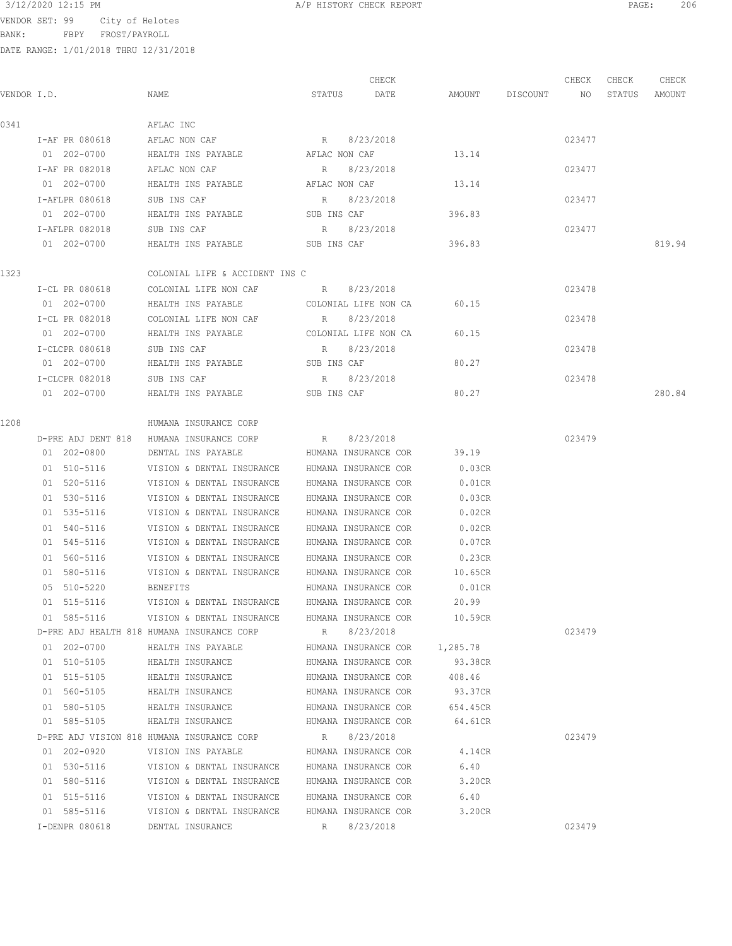# 3/12/2020 12:15 PM **A/P HISTORY CHECK REPORT PAGE:** 206

VENDOR SET: 99 City of Helotes

BANK: FBPY FROST/PAYROLL

|             |                |                                                      |               | CHECK                         |                    | CHECK  | CHECK  | CHECK  |
|-------------|----------------|------------------------------------------------------|---------------|-------------------------------|--------------------|--------|--------|--------|
| VENDOR I.D. |                | NAME                                                 | STATUS        | DATE                          | AMOUNT DISCOUNT NO |        | STATUS | AMOUNT |
| 0341        |                | AFLAC INC                                            |               |                               |                    |        |        |        |
|             | I-AF PR 080618 | AFLAC NON CAF                                        |               | R 8/23/2018                   |                    | 023477 |        |        |
|             | 01 202-0700    | HEALTH INS PAYABLE                                   | AFLAC NON CAF |                               | 13.14              |        |        |        |
|             | I-AF PR 082018 | AFLAC NON CAF                                        | $R_{\perp}$   | 8/23/2018                     |                    | 023477 |        |        |
|             | 01 202-0700    | HEALTH INS PAYABLE                                   | AFLAC NON CAF |                               | 13.14              |        |        |        |
|             | I-AFLPR 080618 | SUB INS CAF                                          |               | R 8/23/2018                   |                    | 023477 |        |        |
|             | 01 202-0700    | HEALTH INS PAYABLE                                   | SUB INS CAF   |                               | 396.83             |        |        |        |
|             | I-AFLPR 082018 | SUB INS CAF                                          |               | R 8/23/2018                   |                    | 023477 |        |        |
|             | 01 202-0700    | HEALTH INS PAYABLE SUB INS CAF                       |               |                               | 396.83             |        |        | 819.94 |
| 1323        |                | COLONIAL LIFE & ACCIDENT INS C                       |               |                               |                    |        |        |        |
|             | I-CL PR 080618 | COLONIAL LIFE NON CAF B/23/2018                      |               |                               |                    | 023478 |        |        |
|             | 01 202-0700    | HEALTH INS PAYABLE COLONIAL LIFE NON CA              |               |                               | 60.15              |        |        |        |
|             | I-CL PR 082018 | COLONIAL LIFE NON CAF                                |               | R 8/23/2018                   |                    | 023478 |        |        |
|             | 01 202-0700    | HEALTH INS PAYABLE                                   |               | COLONIAL LIFE NON CA          | 60.15              |        |        |        |
|             | I-CLCPR 080618 | SUB INS CAF                                          |               | R 8/23/2018                   |                    | 023478 |        |        |
|             | 01 202-0700    | HEALTH INS PAYABLE                                   | SUB INS CAF   |                               | 80.27              |        |        |        |
|             | I-CLCPR 082018 | SUB INS CAF                                          |               | R 8/23/2018                   |                    | 023478 |        |        |
|             | 01 202-0700    | HEALTH INS PAYABLE                                   | SUB INS CAF   |                               | 80.27              |        |        | 280.84 |
| 1208        |                | HUMANA INSURANCE CORP                                |               |                               |                    |        |        |        |
|             |                | D-PRE ADJ DENT 818 HUMANA INSURANCE CORP R 8/23/2018 |               |                               |                    | 023479 |        |        |
|             | 01 202-0800    | DENTAL INS PAYABLE                                   |               | HUMANA INSURANCE COR          | 39.19              |        |        |        |
|             | 01 510-5116    | VISION & DENTAL INSURANCE HUMANA INSURANCE COR       |               |                               | 0.03CR             |        |        |        |
|             | 01 520-5116    | VISION & DENTAL INSURANCE HUMANA INSURANCE COR       |               |                               | $0.01$ CR          |        |        |        |
|             | 01 530-5116    | VISION & DENTAL INSURANCE                            |               | HUMANA INSURANCE COR          | 0.03CR             |        |        |        |
|             | 01 535-5116    | VISION & DENTAL INSURANCE                            |               | HUMANA INSURANCE COR          | 0.02CR             |        |        |        |
|             | 01 540-5116    | VISION & DENTAL INSURANCE                            |               | HUMANA INSURANCE COR          | 0.02CR             |        |        |        |
|             | 01 545-5116    | VISION & DENTAL INSURANCE                            |               | HUMANA INSURANCE COR          | 0.07CR             |        |        |        |
|             | 01 560-5116    | VISION & DENTAL INSURANCE                            |               | HUMANA INSURANCE COR          | 0.23CR             |        |        |        |
|             | 01 580-5116    | VISION & DENTAL INSURANCE                            |               | HUMANA INSURANCE COR          | 10.65CR            |        |        |        |
|             | 05 510-5220    | BENEFITS                                             |               | HUMANA INSURANCE COR          | $0.01$ CR          |        |        |        |
|             | 01 515-5116    | VISION & DENTAL INSURANCE                            |               | HUMANA INSURANCE COR          | 20.99              |        |        |        |
|             | 01 585-5116    | VISION & DENTAL INSURANCE                            |               | HUMANA INSURANCE COR          | 10.59CR            |        |        |        |
|             |                | D-PRE ADJ HEALTH 818 HUMANA INSURANCE CORP           | R             | 8/23/2018                     |                    | 023479 |        |        |
|             | 01 202-0700    | HEALTH INS PAYABLE                                   |               | HUMANA INSURANCE COR 1,285.78 |                    |        |        |        |
|             | 01 510-5105    | HEALTH INSURANCE                                     |               | HUMANA INSURANCE COR          | 93.38CR            |        |        |        |
|             | 01 515-5105    | HEALTH INSURANCE                                     |               | HUMANA INSURANCE COR          | 408.46             |        |        |        |
|             | 01 560-5105    | HEALTH INSURANCE                                     |               | HUMANA INSURANCE COR          | 93.37CR            |        |        |        |
|             | 01 580-5105    | HEALTH INSURANCE                                     |               | HUMANA INSURANCE COR          | 654.45CR           |        |        |        |
|             | 01 585-5105    | HEALTH INSURANCE                                     |               | HUMANA INSURANCE COR          | 64.61CR            |        |        |        |
|             |                | D-PRE ADJ VISION 818 HUMANA INSURANCE CORP           |               | R 8/23/2018                   |                    | 023479 |        |        |
|             | 01 202-0920    | VISION INS PAYABLE                                   |               | HUMANA INSURANCE COR          | 4.14CR             |        |        |        |
|             | 01 530-5116    | VISION & DENTAL INSURANCE                            |               | HUMANA INSURANCE COR          | 6.40               |        |        |        |
|             | 01 580-5116    | VISION & DENTAL INSURANCE HUMANA INSURANCE COR       |               |                               | 3.20CR             |        |        |        |
|             | 01 515-5116    | VISION & DENTAL INSURANCE                            |               | HUMANA INSURANCE COR          | 6.40               |        |        |        |
|             | 01 585-5116    | VISION & DENTAL INSURANCE                            |               | HUMANA INSURANCE COR          | 3.20CR             |        |        |        |
|             | I-DENPR 080618 | DENTAL INSURANCE                                     |               | R 8/23/2018                   |                    | 023479 |        |        |
|             |                |                                                      |               |                               |                    |        |        |        |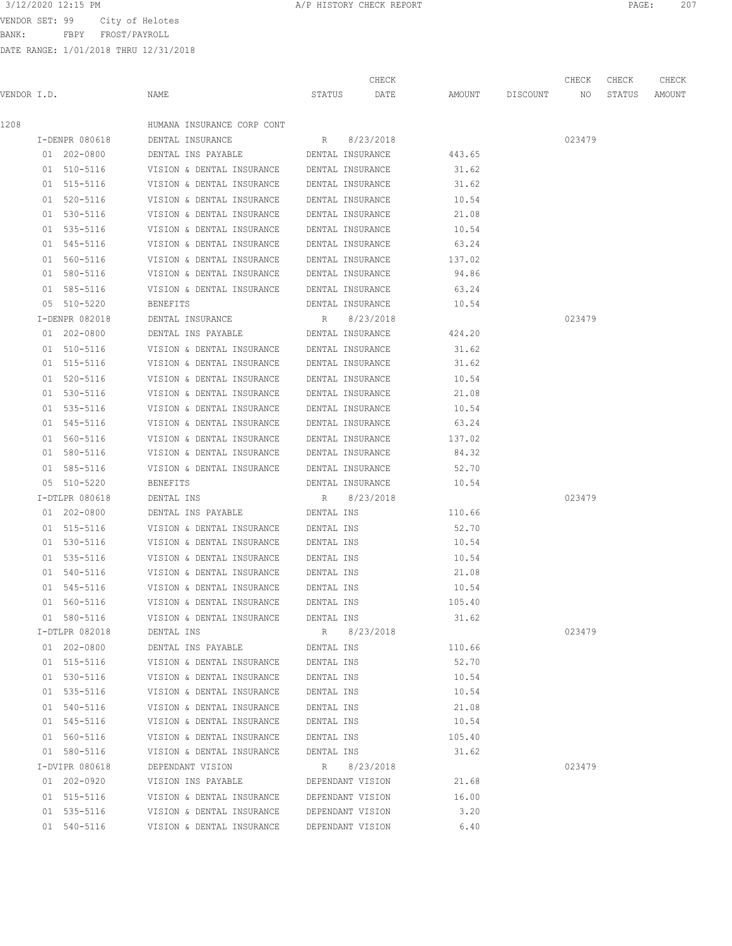BANK: FBPY FROST/PAYROLL

| 3/12/2020 12:15 PM | A/P HISTORY CHECK REPORT | PAGE | $\cap$ $\cap$ |
|--------------------|--------------------------|------|---------------|
|                    |                          |      |               |

|             |                            |                                                        |                          | CHECK            |                 |             | CHECK  | CHECK  | CHECK  |
|-------------|----------------------------|--------------------------------------------------------|--------------------------|------------------|-----------------|-------------|--------|--------|--------|
| VENDOR I.D. |                            | NAME                                                   | STATUS                   | DATE             | AMOUNT          | DISCOUNT NO |        | STATUS | AMOUNT |
| 1208        |                            | HUMANA INSURANCE CORP CONT                             |                          |                  |                 |             |        |        |        |
|             | I-DENPR 080618             | DENTAL INSURANCE                                       | R                        | 8/23/2018        |                 |             | 023479 |        |        |
|             | 01 202-0800                | DENTAL INS PAYABLE DENTAL INSURANCE                    |                          |                  | 443.65          |             |        |        |        |
|             | 01 510-5116                | VISION & DENTAL INSURANCE DENTAL INSURANCE             |                          |                  | 31.62           |             |        |        |        |
|             | 01 515-5116                | VISION & DENTAL INSURANCE                              |                          | DENTAL INSURANCE | 31.62           |             |        |        |        |
|             | 01 520-5116                | VISION & DENTAL INSURANCE                              |                          | DENTAL INSURANCE | 10.54           |             |        |        |        |
|             | 01 530-5116                | VISION & DENTAL INSURANCE                              |                          | DENTAL INSURANCE | 21.08           |             |        |        |        |
|             | 01 535-5116                | VISION & DENTAL INSURANCE                              |                          | DENTAL INSURANCE | 10.54           |             |        |        |        |
|             | 01 545-5116                | VISION & DENTAL INSURANCE                              |                          | DENTAL INSURANCE | 63.24           |             |        |        |        |
|             | 01 560-5116                | VISION & DENTAL INSURANCE                              |                          | DENTAL INSURANCE | 137.02          |             |        |        |        |
|             | 01 580-5116                | VISION & DENTAL INSURANCE                              |                          | DENTAL INSURANCE | 94.86           |             |        |        |        |
|             | 01 585-5116                | VISION & DENTAL INSURANCE DENTAL INSURANCE             |                          |                  | 63.24           |             |        |        |        |
|             | 05 510-5220                | BENEFITS                                               |                          | DENTAL INSURANCE | 10.54           |             |        |        |        |
|             | I-DENPR 082018             | DENTAL INSURANCE                                       | $R \sim$                 | 8/23/2018        |                 |             | 023479 |        |        |
|             | 01 202-0800                | DENTAL INS PAYABLE DENTAL INSURANCE                    |                          |                  | 424.20          |             |        |        |        |
|             | 01 510-5116                | VISION & DENTAL INSURANCE DENTAL INSURANCE             |                          |                  | 31.62           |             |        |        |        |
|             | 01 515-5116                | VISION & DENTAL INSURANCE                              |                          | DENTAL INSURANCE | 31.62           |             |        |        |        |
|             | 01 520-5116                | VISION & DENTAL INSURANCE                              |                          | DENTAL INSURANCE | 10.54           |             |        |        |        |
|             | 01 530-5116                | VISION & DENTAL INSURANCE                              |                          | DENTAL INSURANCE | 21.08           |             |        |        |        |
|             | 01 535-5116                | VISION & DENTAL INSURANCE                              |                          | DENTAL INSURANCE | 10.54           |             |        |        |        |
|             | 01 545-5116                | VISION & DENTAL INSURANCE                              |                          | DENTAL INSURANCE | 63.24           |             |        |        |        |
|             | 01 560-5116                | VISION & DENTAL INSURANCE                              |                          | DENTAL INSURANCE | 137.02          |             |        |        |        |
|             | 01 580-5116                | VISION & DENTAL INSURANCE                              |                          | DENTAL INSURANCE | 84.32           |             |        |        |        |
|             | 01 585-5116                | VISION & DENTAL INSURANCE DENTAL INSURANCE             |                          |                  | 52.70           |             |        |        |        |
|             | 05 510-5220                | BENEFITS                                               |                          | DENTAL INSURANCE | 10.54           |             |        |        |        |
|             | I-DTLPR 080618             | DENTAL INS                                             | R                        | 8/23/2018        |                 |             | 023479 |        |        |
|             | 01 202-0800                | DENTAL INS PAYABLE                                     | DENTAL INS               |                  | 110.66          |             |        |        |        |
|             | 01 515-5116                | VISION & DENTAL INSURANCE                              | DENTAL INS               |                  | 52.70           |             |        |        |        |
|             | 01 530-5116                | VISION & DENTAL INSURANCE                              | DENTAL INS               |                  | 10.54           |             |        |        |        |
|             | 01 535-5116                | VISION & DENTAL INSURANCE                              | DENTAL INS               |                  | 10.54           |             |        |        |        |
|             | 01 540-5116                | VISION & DENTAL INSURANCE                              | DENTAL INS               |                  | 21.08           |             |        |        |        |
|             | 01 545-5116                | VISION & DENTAL INSURANCE                              | DENTAL INS               |                  | 10.54           |             |        |        |        |
|             | 01 560-5116                | VISION & DENTAL INSURANCE                              | DENTAL INS               |                  | 105.40          |             |        |        |        |
|             | 01 580-5116                | VISION & DENTAL INSURANCE                              | DENTAL INS               |                  | 31.62           |             |        |        |        |
|             | I-DTLPR 082018             | DENTAL INS                                             | R                        | 8/23/2018        |                 |             | 023479 |        |        |
|             | 01 202-0800                | DENTAL INS PAYABLE                                     | DENTAL INS               |                  | 110.66          |             |        |        |        |
|             | 01 515-5116                | VISION & DENTAL INSURANCE                              | DENTAL INS               |                  | 52.70           |             |        |        |        |
|             | 01 530-5116                | VISION & DENTAL INSURANCE                              | DENTAL INS               |                  | 10.54           |             |        |        |        |
|             | 01 535-5116                | VISION & DENTAL INSURANCE                              | DENTAL INS               |                  | 10.54           |             |        |        |        |
|             |                            |                                                        |                          |                  |                 |             |        |        |        |
|             | 01 540-5116<br>01 545-5116 | VISION & DENTAL INSURANCE<br>VISION & DENTAL INSURANCE | DENTAL INS               |                  | 21.08<br>10.54  |             |        |        |        |
|             |                            | VISION & DENTAL INSURANCE                              | DENTAL INS<br>DENTAL INS |                  |                 |             |        |        |        |
|             | 01 560-5116                |                                                        | DENTAL INS               |                  | 105.40<br>31.62 |             |        |        |        |
|             | 01 580-5116                | VISION & DENTAL INSURANCE                              |                          |                  |                 |             |        |        |        |
|             | I-DVIPR 080618             | DEPENDANT VISION                                       | R                        | 8/23/2018        |                 |             | 023479 |        |        |
|             | 01 202-0920                | VISION INS PAYABLE                                     |                          | DEPENDANT VISION | 21.68           |             |        |        |        |
|             | 01 515-5116                | VISION & DENTAL INSURANCE                              |                          | DEPENDANT VISION | 16.00           |             |        |        |        |
|             | 01 535-5116                | VISION & DENTAL INSURANCE                              |                          | DEPENDANT VISION | 3.20            |             |        |        |        |
|             | 01 540-5116                | VISION & DENTAL INSURANCE                              |                          | DEPENDANT VISION | 6.40            |             |        |        |        |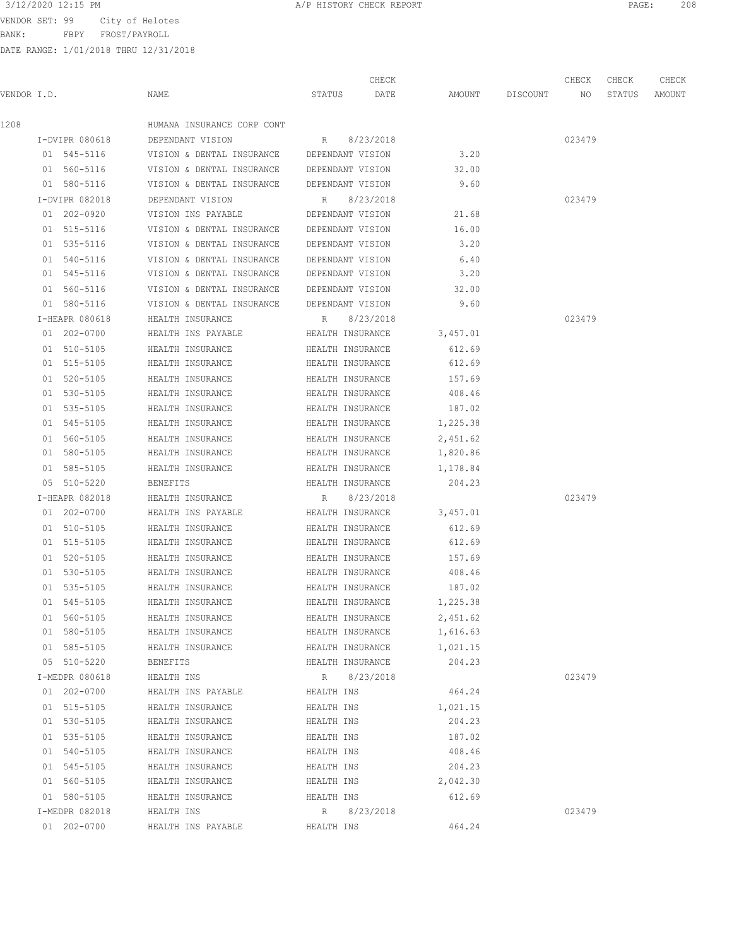BANK: FBPY FROST/PAYROLL

DATE RANGE: 1/01/2018 THRU 12/31/2018

| 3/12/2020 12:15 PM<br>PAGE<br>HISTORY CHECK REPORT<br>the contract of the contract of the contract of the contract of the contract of the contract of the contract of | 208 |
|-----------------------------------------------------------------------------------------------------------------------------------------------------------------------|-----|
|-----------------------------------------------------------------------------------------------------------------------------------------------------------------------|-----|

CHECK CHECK CHECK CHECK

| VENDOR I.D. |                | NAME                                                   |            | DATE<br>STATUS   | AMOUNT   | DISCOUNT NO |        | STATUS | AMOUNT |
|-------------|----------------|--------------------------------------------------------|------------|------------------|----------|-------------|--------|--------|--------|
| 1208        |                | HUMANA INSURANCE CORP CONT                             |            |                  |          |             |        |        |        |
|             | I-DVIPR 080618 | DEPENDANT VISION                                       |            | R 8/23/2018      |          |             | 023479 |        |        |
|             |                | 01 545-5116 VISION & DENTAL INSURANCE DEPENDANT VISION |            |                  | 3,20     |             |        |        |        |
|             | 01 560-5116    | VISION & DENTAL INSURANCE DEPENDANT VISION             |            |                  | 32.00    |             |        |        |        |
|             | 01 580-5116    | VISION & DENTAL INSURANCE DEPENDANT VISION             |            |                  | 9.60     |             |        |        |        |
|             | I-DVIPR 082018 | DEPENDANT VISION                                       |            | R 8/23/2018      |          |             | 023479 |        |        |
|             | 01 202-0920    | VISION INS PAYABLE DEPENDANT VISION                    |            |                  | 21.68    |             |        |        |        |
|             | 01 515-5116    | VISION & DENTAL INSURANCE DEPENDANT VISION             |            |                  | 16.00    |             |        |        |        |
|             | 01 535-5116    | VISION & DENTAL INSURANCE DEPENDANT VISION             |            |                  | 3.20     |             |        |        |        |
|             | 01 540-5116    | VISION & DENTAL INSURANCE                              |            | DEPENDANT VISION | 6.40     |             |        |        |        |
|             | 01 545-5116    | VISION & DENTAL INSURANCE DEPENDANT VISION             |            |                  | 3.20     |             |        |        |        |
|             | 01 560-5116    | VISION & DENTAL INSURANCE DEPENDANT VISION             |            |                  | 32.00    |             |        |        |        |
|             | 01 580-5116    | VISION & DENTAL INSURANCE DEPENDANT VISION             |            |                  | 9.60     |             |        |        |        |
|             | I-HEAPR 080618 | HEALTH INSURANCE                                       |            | R 8/23/2018      |          |             | 023479 |        |        |
|             | 01 202-0700    | HEALTH INS PAYABLE <b>HEALTH INSURANCE</b>             |            |                  | 3,457.01 |             |        |        |        |
|             | 01 510-5105    | HEALTH INSURANCE                                       |            | HEALTH INSURANCE | 612.69   |             |        |        |        |
|             | 01 515-5105    | HEALTH INSURANCE                                       |            | HEALTH INSURANCE | 612.69   |             |        |        |        |
|             | 01 520-5105    | HEALTH INSURANCE                                       |            | HEALTH INSURANCE | 157.69   |             |        |        |        |
|             | 01 530-5105    | HEALTH INSURANCE                                       |            | HEALTH INSURANCE | 408.46   |             |        |        |        |
|             | 01 535-5105    | HEALTH INSURANCE                                       |            | HEALTH INSURANCE | 187.02   |             |        |        |        |
|             | 01 545-5105    | HEALTH INSURANCE                                       |            | HEALTH INSURANCE | 1,225.38 |             |        |        |        |
|             | 01 560-5105    | HEALTH INSURANCE                                       |            | HEALTH INSURANCE | 2,451.62 |             |        |        |        |
|             | 01 580-5105    | HEALTH INSURANCE                                       |            | HEALTH INSURANCE | 1,820.86 |             |        |        |        |
|             | 01 585-5105    | HEALTH INSURANCE                                       |            | HEALTH INSURANCE | 1,178.84 |             |        |        |        |
|             | 05 510-5220    | BENEFITS                                               |            | HEALTH INSURANCE | 204.23   |             |        |        |        |
|             | I-HEAPR 082018 | HEALTH INSURANCE                                       | R          | 8/23/2018        |          |             | 023479 |        |        |
|             | 01 202-0700    | HEALTH INS PAYABLE                                     |            | HEALTH INSURANCE | 3,457.01 |             |        |        |        |
|             | 01 510-5105    | HEALTH INSURANCE                                       |            | HEALTH INSURANCE | 612.69   |             |        |        |        |
|             | 01 515-5105    | HEALTH INSURANCE                                       |            | HEALTH INSURANCE | 612.69   |             |        |        |        |
|             | 01 520-5105    | HEALTH INSURANCE                                       |            | HEALTH INSURANCE | 157.69   |             |        |        |        |
|             | 01 530-5105    | HEALTH INSURANCE                                       |            | HEALTH INSURANCE | 408.46   |             |        |        |        |
|             | 01 535-5105    | HEALTH INSURANCE                                       |            | HEALTH INSURANCE | 187.02   |             |        |        |        |
|             | 01 545-5105    | HEALTH INSURANCE                                       |            | HEALTH INSURANCE | 1,225.38 |             |        |        |        |
|             | 01 560-5105    | HEALTH INSURANCE                                       |            | HEALTH INSURANCE | 2,451.62 |             |        |        |        |
|             | 01 580-5105    | HEALTH INSURANCE                                       |            | HEALTH INSURANCE | 1,616.63 |             |        |        |        |
|             | 01 585-5105    | HEALTH INSURANCE                                       |            | HEALTH INSURANCE | 1,021.15 |             |        |        |        |
|             | 05 510-5220    | BENEFITS                                               |            | HEALTH INSURANCE | 204.23   |             |        |        |        |
|             | I-MEDPR 080618 | HEALTH INS                                             |            | R 8/23/2018      |          |             | 023479 |        |        |
|             | 01 202-0700    | HEALTH INS PAYABLE                                     | HEALTH INS |                  | 464.24   |             |        |        |        |
|             | 01 515-5105    | HEALTH INSURANCE                                       | HEALTH INS |                  | 1,021.15 |             |        |        |        |
|             | 01 530-5105    | HEALTH INSURANCE                                       | HEALTH INS |                  | 204.23   |             |        |        |        |
|             | 01 535-5105    | HEALTH INSURANCE                                       | HEALTH INS |                  | 187.02   |             |        |        |        |
|             | 01 540-5105    | HEALTH INSURANCE                                       | HEALTH INS |                  | 408.46   |             |        |        |        |
|             | 01 545-5105    | HEALTH INSURANCE                                       | HEALTH INS |                  | 204.23   |             |        |        |        |
|             | 01 560-5105    | HEALTH INSURANCE                                       | HEALTH INS |                  | 2,042.30 |             |        |        |        |
|             | 01 580-5105    | HEALTH INSURANCE                                       | HEALTH INS |                  | 612.69   |             |        |        |        |
|             | I-MEDPR 082018 | HEALTH INS                                             |            | R 8/23/2018      |          |             | 023479 |        |        |
|             | 01 202-0700    | HEALTH INS PAYABLE                                     | HEALTH INS |                  | 464.24   |             |        |        |        |
|             |                |                                                        |            |                  |          |             |        |        |        |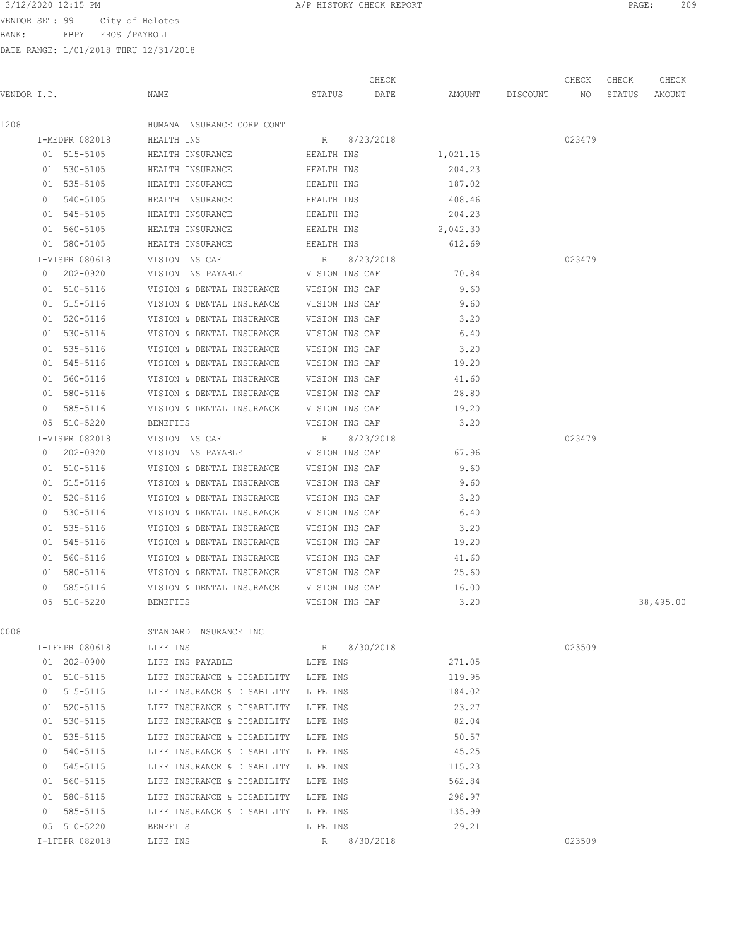3/12/2020 12:15 PM **A/P HISTORY CHECK REPORT PAGE:** 209

VENDOR SET: 99 City of Helotes BANK: FBPY FROST/PAYROLL

|             |                |                                          |                | CHECK     |          |          | CHECK  | CHECK  | CHECK     |
|-------------|----------------|------------------------------------------|----------------|-----------|----------|----------|--------|--------|-----------|
| VENDOR I.D. |                | NAME                                     | STATUS         | DATE      | AMOUNT   | DISCOUNT | NO     | STATUS | AMOUNT    |
| 1208        |                | HUMANA INSURANCE CORP CONT               |                |           |          |          |        |        |           |
|             | I-MEDPR 082018 | HEALTH INS                               | R 8/23/2018    |           |          |          | 023479 |        |           |
|             | 01 515-5105    | HEALTH INSURANCE                         | HEALTH INS     |           | 1,021.15 |          |        |        |           |
|             | 01 530-5105    | HEALTH INSURANCE                         | HEALTH INS     |           | 204.23   |          |        |        |           |
|             | 01 535-5105    | HEALTH INSURANCE                         | HEALTH INS     |           | 187.02   |          |        |        |           |
|             | 01 540-5105    | HEALTH INSURANCE                         | HEALTH INS     |           | 408.46   |          |        |        |           |
|             | 01 545-5105    | HEALTH INSURANCE                         | HEALTH INS     |           | 204.23   |          |        |        |           |
|             | 01 560-5105    | HEALTH INSURANCE                         | HEALTH INS     |           | 2,042.30 |          |        |        |           |
|             | 01 580-5105    | HEALTH INSURANCE                         | HEALTH INS     |           | 612.69   |          |        |        |           |
|             | I-VISPR 080618 | VISION INS CAF                           | R              | 8/23/2018 |          |          | 023479 |        |           |
|             | 01 202-0920    | VISION INS PAYABLE                       | VISION INS CAF |           | 70.84    |          |        |        |           |
|             | 01 510-5116    | VISION & DENTAL INSURANCE                | VISION INS CAF |           | 9.60     |          |        |        |           |
|             | 01 515-5116    | VISION & DENTAL INSURANCE                | VISION INS CAF |           | 9.60     |          |        |        |           |
|             | 01 520-5116    | VISION & DENTAL INSURANCE                | VISION INS CAF |           | 3.20     |          |        |        |           |
|             | 01 530-5116    | VISION & DENTAL INSURANCE                | VISION INS CAF |           | 6.40     |          |        |        |           |
|             | 01 535-5116    | VISION & DENTAL INSURANCE                | VISION INS CAF |           | 3.20     |          |        |        |           |
|             | 01 545-5116    | VISION & DENTAL INSURANCE                | VISION INS CAF |           | 19.20    |          |        |        |           |
|             | 01 560-5116    | VISION & DENTAL INSURANCE                | VISION INS CAF |           | 41.60    |          |        |        |           |
|             | 01 580-5116    | VISION & DENTAL INSURANCE                | VISION INS CAF |           | 28.80    |          |        |        |           |
|             | 01 585-5116    | VISION & DENTAL INSURANCE VISION INS CAF |                |           | 19.20    |          |        |        |           |
|             | 05 510-5220    | <b>BENEFITS</b>                          | VISION INS CAF |           | 3.20     |          |        |        |           |
|             | I-VISPR 082018 | VISION INS CAF                           | R              | 8/23/2018 |          |          | 023479 |        |           |
|             | 01 202-0920    | VISION INS PAYABLE                       | VISION INS CAF |           | 67.96    |          |        |        |           |
|             | 01 510-5116    | VISION & DENTAL INSURANCE VISION INS CAF |                |           | 9.60     |          |        |        |           |
|             | 01 515-5116    | VISION & DENTAL INSURANCE                | VISION INS CAF |           | 9.60     |          |        |        |           |
|             | 01 520-5116    | VISION & DENTAL INSURANCE                | VISION INS CAF |           | 3.20     |          |        |        |           |
|             | 01 530-5116    | VISION & DENTAL INSURANCE                | VISION INS CAF |           | 6.40     |          |        |        |           |
|             | 01 535-5116    | VISION & DENTAL INSURANCE                | VISION INS CAF |           | 3.20     |          |        |        |           |
|             | 01 545-5116    | VISION & DENTAL INSURANCE                | VISION INS CAF |           | 19.20    |          |        |        |           |
|             | 01 560-5116    | VISION & DENTAL INSURANCE                | VISION INS CAF |           | 41.60    |          |        |        |           |
|             | 01 580-5116    | VISION & DENTAL INSURANCE                | VISION INS CAF |           | 25.60    |          |        |        |           |
|             | 01 585-5116    | VISION & DENTAL INSURANCE                | VISION INS CAF |           | 16.00    |          |        |        |           |
|             | 05 510-5220    | <b>BENEFITS</b>                          | VISION INS CAF |           | 3.20     |          |        |        | 38,495.00 |
| 0008        |                | STANDARD INSURANCE INC                   |                |           |          |          |        |        |           |
|             | I-LFEPR 080618 | LIFE INS                                 | R              | 8/30/2018 |          |          | 023509 |        |           |
|             | 01 202-0900    | LIFE INS PAYABLE                         | LIFE INS       |           | 271.05   |          |        |        |           |
|             | 01 510-5115    | LIFE INSURANCE & DISABILITY LIFE INS     |                |           | 119.95   |          |        |        |           |
|             | 01 515-5115    | LIFE INSURANCE & DISABILITY LIFE INS     |                |           | 184.02   |          |        |        |           |
|             | 01 520-5115    | LIFE INSURANCE & DISABILITY LIFE INS     |                |           | 23.27    |          |        |        |           |
|             | 01 530-5115    | LIFE INSURANCE & DISABILITY              | LIFE INS       |           | 82.04    |          |        |        |           |
|             | 01 535-5115    | LIFE INSURANCE & DISABILITY LIFE INS     |                |           | 50.57    |          |        |        |           |
|             | 01 540-5115    | LIFE INSURANCE & DISABILITY              | LIFE INS       |           | 45.25    |          |        |        |           |
|             | 01 545-5115    | LIFE INSURANCE & DISABILITY LIFE INS     |                |           | 115.23   |          |        |        |           |
|             | 01 560-5115    | LIFE INSURANCE & DISABILITY LIFE INS     |                |           | 562.84   |          |        |        |           |
|             | 01 580-5115    | LIFE INSURANCE & DISABILITY LIFE INS     |                |           | 298.97   |          |        |        |           |
|             | 01 585-5115    | LIFE INSURANCE & DISABILITY              | LIFE INS       |           | 135.99   |          |        |        |           |
|             | 05 510-5220    | BENEFITS                                 | LIFE INS       |           | 29.21    |          |        |        |           |
|             | I-LFEPR 082018 | LIFE INS                                 | R              | 8/30/2018 |          |          | 023509 |        |           |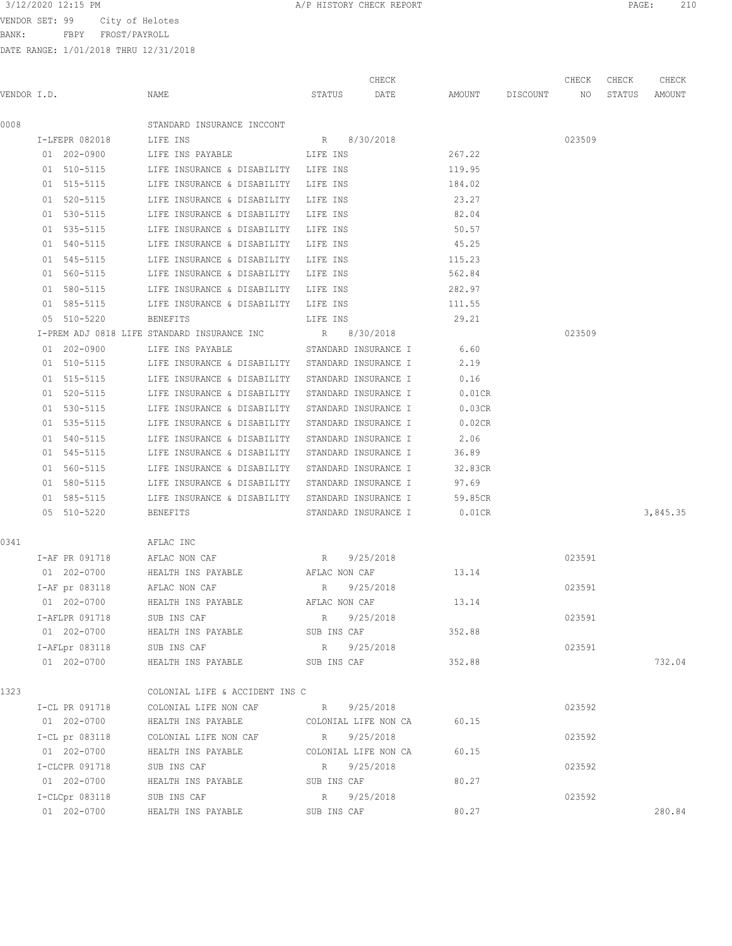BANK: FBPY FROST/PAYROLL

| 3/12/2020 12:15 PM<br>010<br>PAGE<br>A/P HISTORY CHECK REPORT<br>2 T.V |
|------------------------------------------------------------------------|
|------------------------------------------------------------------------|

|      |                |                |                                                  |               |             | CHECK                |                    | CHECK  | CHECK  | CHECK    |
|------|----------------|----------------|--------------------------------------------------|---------------|-------------|----------------------|--------------------|--------|--------|----------|
|      | VENDOR I.D.    |                | NAME                                             | STATUS        |             | DATE                 | AMOUNT DISCOUNT NO |        | STATUS | AMOUNT   |
| 0008 |                |                | STANDARD INSURANCE INCCONT                       |               |             |                      |                    |        |        |          |
|      |                | I-LFEPR 082018 | LIFE INS                                         |               |             | R 8/30/2018          |                    | 023509 |        |          |
|      | 01 202-0900    |                | LIFE INS PAYABLE                                 | LIFE INS      |             |                      | 267.22             |        |        |          |
|      |                | 01 510-5115    | LIFE INSURANCE & DISABILITY LIFE INS             |               |             |                      | 119.95             |        |        |          |
|      | 01 515-5115    |                | LIFE INSURANCE & DISABILITY LIFE INS             |               |             |                      | 184.02             |        |        |          |
|      | 01 520-5115    |                | LIFE INSURANCE & DISABILITY LIFE INS             |               |             |                      | 23.27              |        |        |          |
|      |                | 01 530-5115    | LIFE INSURANCE & DISABILITY LIFE INS             |               |             |                      | 82.04              |        |        |          |
|      |                | 01 535-5115    | LIFE INSURANCE & DISABILITY LIFE INS             |               |             |                      | 50.57              |        |        |          |
|      |                | 01 540-5115    | LIFE INSURANCE & DISABILITY LIFE INS             |               |             |                      | 45.25              |        |        |          |
|      | 01 545-5115    |                | LIFE INSURANCE & DISABILITY LIFE INS             |               |             |                      | 115.23             |        |        |          |
|      | 01 560-5115    |                | LIFE INSURANCE & DISABILITY LIFE INS             |               |             |                      | 562.84             |        |        |          |
|      | 01 580-5115    |                | LIFE INSURANCE & DISABILITY LIFE INS             |               |             |                      | 282.97             |        |        |          |
|      |                | 01 585-5115    | LIFE INSURANCE & DISABILITY LIFE INS             |               |             |                      | 111.55             |        |        |          |
|      | 05 510-5220    |                | BENEFITS                                         |               |             | LIFE INS             | 29.21              |        |        |          |
|      |                |                | I-PREM ADJ 0818 LIFE STANDARD INSURANCE INC      |               |             | R 8/30/2018          |                    | 023509 |        |          |
|      | 01 202-0900    |                | LIFE INS PAYABLE                                 |               |             | STANDARD INSURANCE I | 6.60               |        |        |          |
|      |                | 01 510-5115    | LIFE INSURANCE & DISABILITY STANDARD INSURANCE I |               |             |                      | 2.19               |        |        |          |
|      |                | 01 515-5115    | LIFE INSURANCE & DISABILITY STANDARD INSURANCE I |               |             |                      | 0.16               |        |        |          |
|      |                | 01 520-5115    | LIFE INSURANCE & DISABILITY STANDARD INSURANCE I |               |             |                      | 0.01CR             |        |        |          |
|      |                | 01 530-5115    | LIFE INSURANCE & DISABILITY STANDARD INSURANCE I |               |             |                      | 0.03CR             |        |        |          |
|      |                | 01 535-5115    | LIFE INSURANCE & DISABILITY STANDARD INSURANCE I |               |             |                      | 0.02CR             |        |        |          |
|      | 01 540-5115    |                | LIFE INSURANCE & DISABILITY STANDARD INSURANCE I |               |             |                      | 2.06               |        |        |          |
|      | 01 545-5115    |                | LIFE INSURANCE & DISABILITY STANDARD INSURANCE I |               |             |                      | 36.89              |        |        |          |
|      | 01 560-5115    |                | LIFE INSURANCE & DISABILITY STANDARD INSURANCE I |               |             |                      | 32.83CR            |        |        |          |
|      |                | 01 580-5115    | LIFE INSURANCE & DISABILITY STANDARD INSURANCE I |               |             |                      | 97.69              |        |        |          |
|      |                | 01 585-5115    | LIFE INSURANCE & DISABILITY STANDARD INSURANCE I |               |             |                      | 59.85CR            |        |        |          |
|      | 05 510-5220    |                | BENEFITS                                         |               |             | STANDARD INSURANCE I | $0.01$ CR          |        |        | 3,845.35 |
| 0341 |                |                | AFLAC INC                                        |               |             |                      |                    |        |        |          |
|      |                | I-AF PR 091718 | AFLAC NON CAF                                    | R             |             | 9/25/2018            |                    | 023591 |        |          |
|      |                | 01 202-0700    | HEALTH INS PAYABLE                               |               |             | AFLAC NON CAF        | 13.14              |        |        |          |
|      |                |                | I-AF pr 083118 AFLAC NON CAF                     | $R_{\perp}$   |             | 9/25/2018            |                    | 023591 |        |          |
|      | 01 202-0700    |                | HEALTH INS PAYABLE                               | AFLAC NON CAF |             |                      | 13.14              |        |        |          |
|      | I-AFLPR 091718 |                | SUB INS CAF                                      | R             |             | 9/25/2018            |                    | 023591 |        |          |
|      |                | 01 202-0700    | HEALTH INS PAYABLE SUB INS CAF                   |               |             |                      | 352.88             |        |        |          |
|      |                | I-AFLpr 083118 | SUB INS CAF                                      | R             |             | 9/25/2018            |                    | 023591 |        |          |
|      | 01 202-0700    |                | HEALTH INS PAYABLE                               | SUB INS CAF   |             |                      | 352.88             |        |        | 732.04   |
| 1323 |                |                | COLONIAL LIFE & ACCIDENT INS C                   |               |             |                      |                    |        |        |          |
|      | I-CL PR 091718 |                | COLONIAL LIFE NON CAF                            | R             |             | 9/25/2018            |                    | 023592 |        |          |
|      |                | 01 202-0700    | HEALTH INS PAYABLE                               |               |             | COLONIAL LIFE NON CA | 60.15              |        |        |          |
|      | I-CL pr 083118 |                | COLONIAL LIFE NON CAF                            | R             |             | 9/25/2018            |                    | 023592 |        |          |
|      | 01 202-0700    |                | HEALTH INS PAYABLE                               |               |             | COLONIAL LIFE NON CA | 60.15              |        |        |          |
|      | I-CLCPR 091718 |                | SUB INS CAF                                      |               |             | R 9/25/2018          |                    | 023592 |        |          |
|      | 01 202-0700    |                | HEALTH INS PAYABLE                               |               | SUB INS CAF |                      | 80.27              |        |        |          |
|      | I-CLCpr 083118 |                | SUB INS CAF                                      | R             |             | 9/25/2018            |                    | 023592 |        |          |
|      | 01 202-0700    |                | HEALTH INS PAYABLE                               |               | SUB INS CAF |                      | 80.27              |        |        | 280.84   |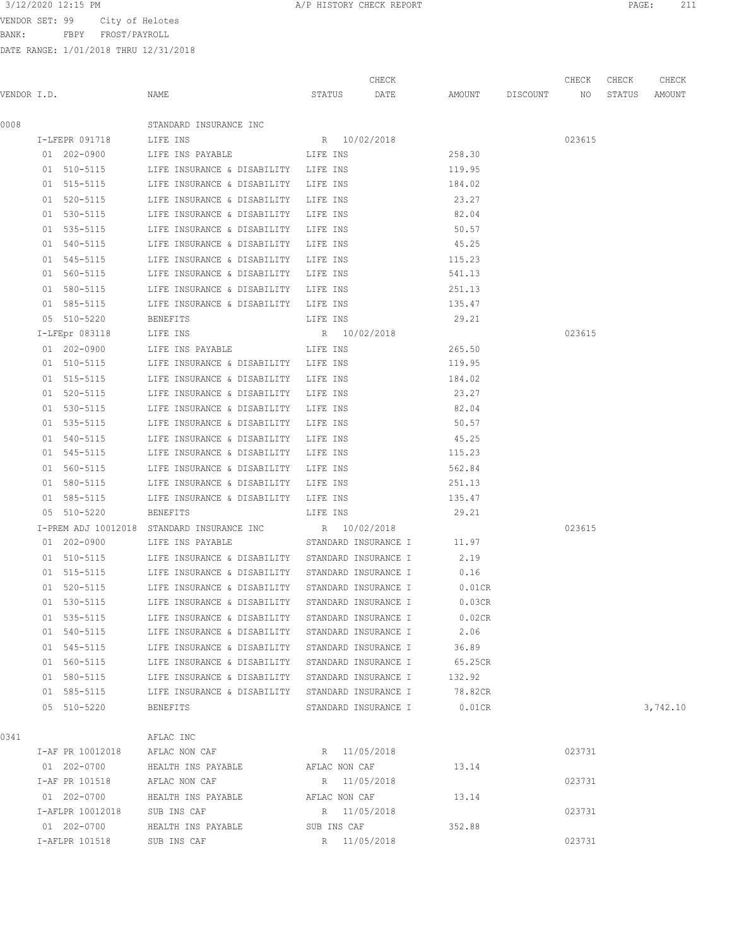VENDOR SET: 99 City of Helotes

BANK: FBPY FROST/PAYROLL

| 3/12/2020 12:15 PM<br>PAGE<br>HISTORY CHECK REPORT<br>the contract of the contract of the contract of the contract of the contract of the contract of the contract of | --- |
|-----------------------------------------------------------------------------------------------------------------------------------------------------------------------|-----|
|-----------------------------------------------------------------------------------------------------------------------------------------------------------------------|-----|

|             |                  |                                                  |                      | CHECK                |           |             | CHECK  | CHECK  | CHECK    |
|-------------|------------------|--------------------------------------------------|----------------------|----------------------|-----------|-------------|--------|--------|----------|
| VENDOR I.D. |                  | NAME                                             | STATUS               | DATE                 | AMOUNT    | DISCOUNT NO |        | STATUS | AMOUNT   |
| 0008        |                  | STANDARD INSURANCE INC                           |                      |                      |           |             |        |        |          |
|             | I-LFEPR 091718   | LIFE INS                                         | R 10/02/2018         |                      |           |             | 023615 |        |          |
|             | $01 202 - 0900$  | LIFE INS PAYABLE                                 | LIFE INS             |                      | 258.30    |             |        |        |          |
|             | 01 510-5115      | LIFE INSURANCE & DISABILITY LIFE INS             |                      |                      | 119.95    |             |        |        |          |
|             | 01 515-5115      | LIFE INSURANCE & DISABILITY LIFE INS             |                      |                      | 184.02    |             |        |        |          |
|             | 01 520-5115      | LIFE INSURANCE & DISABILITY LIFE INS             |                      |                      | 23.27     |             |        |        |          |
|             | 01 530-5115      | LIFE INSURANCE & DISABILITY                      | LIFE INS             |                      | 82.04     |             |        |        |          |
|             | 01 535-5115      | LIFE INSURANCE & DISABILITY                      | LIFE INS             |                      | 50.57     |             |        |        |          |
|             | 01 540-5115      | LIFE INSURANCE & DISABILITY                      | LIFE INS             |                      | 45.25     |             |        |        |          |
|             | 01 545-5115      | LIFE INSURANCE & DISABILITY                      | LIFE INS             |                      | 115.23    |             |        |        |          |
|             | 01 560-5115      | LIFE INSURANCE & DISABILITY LIFE INS             |                      |                      | 541.13    |             |        |        |          |
|             | 01 580-5115      | LIFE INSURANCE & DISABILITY LIFE INS             |                      |                      | 251.13    |             |        |        |          |
|             | 01 585-5115      | LIFE INSURANCE & DISABILITY LIFE INS             |                      |                      | 135.47    |             |        |        |          |
|             | 05 510-5220      | BENEFITS                                         | LIFE INS             |                      | 29.21     |             |        |        |          |
|             | $I-LFEpr 083118$ | LIFE INS                                         | R 10/02/2018         |                      |           |             | 023615 |        |          |
|             | 01 202-0900      | LIFE INS PAYABLE                                 | LIFE INS             |                      | 265.50    |             |        |        |          |
|             | 01 510-5115      | LIFE INSURANCE & DISABILITY LIFE INS             |                      |                      | 119.95    |             |        |        |          |
|             | 01 515-5115      | LIFE INSURANCE & DISABILITY LIFE INS             |                      |                      | 184.02    |             |        |        |          |
|             | 01 520-5115      | LIFE INSURANCE & DISABILITY LIFE INS             |                      |                      | 23.27     |             |        |        |          |
|             | 01 530-5115      | LIFE INSURANCE & DISABILITY                      | LIFE INS             |                      | 82.04     |             |        |        |          |
|             | 01 535-5115      | LIFE INSURANCE & DISABILITY                      | LIFE INS             |                      | 50.57     |             |        |        |          |
|             | 01 540-5115      | LIFE INSURANCE & DISABILITY                      | LIFE INS             |                      | 45.25     |             |        |        |          |
|             | 01 545-5115      | LIFE INSURANCE & DISABILITY                      | LIFE INS             |                      | 115.23    |             |        |        |          |
|             | 01 560-5115      | LIFE INSURANCE & DISABILITY LIFE INS             |                      |                      | 562.84    |             |        |        |          |
|             | 01 580-5115      | LIFE INSURANCE & DISABILITY LIFE INS             |                      |                      | 251.13    |             |        |        |          |
|             | 01 585-5115      | LIFE INSURANCE & DISABILITY LIFE INS             |                      |                      | 135.47    |             |        |        |          |
|             | 05 510-5220      | <b>BENEFITS</b>                                  | LIFE INS             |                      | 29.21     |             |        |        |          |
|             |                  | I-PREM ADJ 10012018 STANDARD INSURANCE INC       | R 10/02/2018         |                      |           |             | 023615 |        |          |
|             | 01 202-0900      | LIFE INS PAYABLE                                 | STANDARD INSURANCE I |                      | 11.97     |             |        |        |          |
|             | 01 510-5115      | LIFE INSURANCE & DISABILITY STANDARD INSURANCE I |                      |                      | 2.19      |             |        |        |          |
|             | 01 515-5115      | LIFE INSURANCE & DISABILITY STANDARD INSURANCE I |                      |                      | 0.16      |             |        |        |          |
|             | 01 520-5115      | LIFE INSURANCE & DISABILITY STANDARD INSURANCE I |                      |                      | $0.01$ CR |             |        |        |          |
|             | 01 530-5115      | LIFE INSURANCE & DISABILITY STANDARD INSURANCE I |                      |                      | 0.03CR    |             |        |        |          |
|             | 01 535-5115      | LIFE INSURANCE & DISABILITY                      | STANDARD INSURANCE I |                      | 0.02CR    |             |        |        |          |
|             | 01 540-5115      | LIFE INSURANCE & DISABILITY                      |                      | STANDARD INSURANCE I | 2.06      |             |        |        |          |
|             | 01 545-5115      | LIFE INSURANCE & DISABILITY                      |                      | STANDARD INSURANCE I | 36.89     |             |        |        |          |
|             | 01 560-5115      | LIFE INSURANCE & DISABILITY                      |                      | STANDARD INSURANCE I | 65.25CR   |             |        |        |          |
|             | 01 580-5115      | LIFE INSURANCE & DISABILITY                      |                      | STANDARD INSURANCE I | 132.92    |             |        |        |          |
|             | 01 585-5115      | LIFE INSURANCE & DISABILITY                      | STANDARD INSURANCE I |                      | 78.82CR   |             |        |        |          |
|             | 05 510-5220      | BENEFITS                                         |                      | STANDARD INSURANCE I | $0.01$ CR |             |        |        | 3,742.10 |
| 0341        |                  | AFLAC INC                                        |                      |                      |           |             |        |        |          |
|             | I-AF PR 10012018 | AFLAC NON CAF                                    | R 11/05/2018         |                      |           |             | 023731 |        |          |
|             | 01 202-0700      | HEALTH INS PAYABLE                               | AFLAC NON CAF        |                      | 13.14     |             |        |        |          |
|             | I-AF PR 101518   | AFLAC NON CAF                                    | R 11/05/2018         |                      |           |             | 023731 |        |          |
|             | 01 202-0700      | HEALTH INS PAYABLE                               | AFLAC NON CAF        |                      | 13.14     |             |        |        |          |
|             | I-AFLPR 10012018 | SUB INS CAF                                      | R 11/05/2018         |                      |           |             | 023731 |        |          |
|             | 01 202-0700      | HEALTH INS PAYABLE                               | SUB INS CAF          |                      | 352.88    |             |        |        |          |
|             | I-AFLPR 101518   | SUB INS CAF                                      | R 11/05/2018         |                      |           |             | 023731 |        |          |
|             |                  |                                                  |                      |                      |           |             |        |        |          |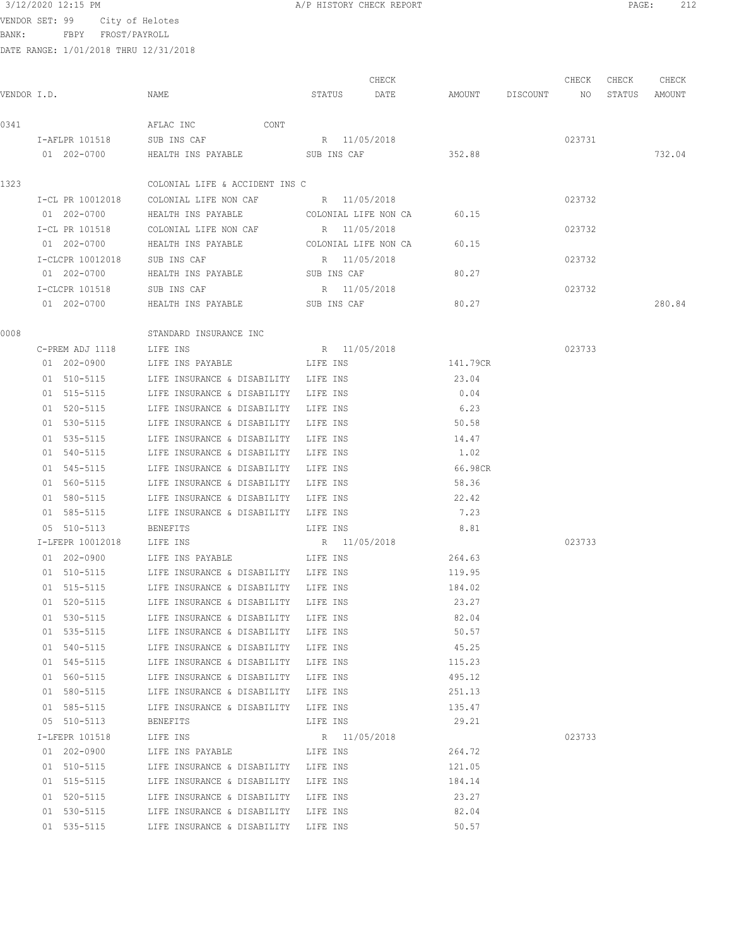# 3/12/2020 12:15 PM A/P HISTORY CHECK REPORT PAGE: 212

VENDOR SET: 99 City of Helotes

BANK: FBPY FROST/PAYROLL

| /P HISTORY CHECK REPORT |  |  |
|-------------------------|--|--|
|                         |  |  |

| VENDOR I.D. |                              | NAME                                    | STATUS DATE  | CHECK                | AMOUNT DISCOUNT NO | CHECK  | CHECK<br>STATUS | CHECK<br>AMOUNT |
|-------------|------------------------------|-----------------------------------------|--------------|----------------------|--------------------|--------|-----------------|-----------------|
| 0341        |                              | AFLAC INC CONT                          |              |                      |                    |        |                 |                 |
|             | I-AFLPR 101518               | SUB INS CAF                             | R 11/05/2018 |                      |                    | 023731 |                 |                 |
|             | 01 202-0700                  | HEALTH INS PAYABLE                      | SUB INS CAF  |                      | 352.88             |        |                 | 732.04          |
| 1323        |                              | COLONIAL LIFE & ACCIDENT INS C          |              |                      |                    |        |                 |                 |
|             | I-CL PR 10012018             | COLONIAL LIFE NON CAF B R 11/05/2018    |              |                      |                    | 023732 |                 |                 |
|             | 01 202-0700                  | HEALTH INS PAYABLE                      |              | COLONIAL LIFE NON CA | 60.15              |        |                 |                 |
|             |                              | I-CL PR 101518 COLONIAL LIFE NON CAF    | R 11/05/2018 |                      |                    | 023732 |                 |                 |
|             | 01 202-0700                  | HEALTH INS PAYABLE COLONIAL LIFE NON CA |              |                      | 60.15              |        |                 |                 |
|             | I-CLCPR 10012018 SUB INS CAF |                                         | R 11/05/2018 |                      |                    | 023732 |                 |                 |
|             | 01 202-0700                  | HEALTH INS PAYABLE SUB INS CAF          |              |                      | 80.27              |        |                 |                 |
|             | I-CLCPR 101518               | SUB INS CAF                             | R 11/05/2018 |                      |                    | 023732 |                 |                 |
|             | 01 202-0700                  | HEALTH INS PAYABLE                      | SUB INS CAF  |                      | 80.27              |        |                 | 280.84          |
| 0008        |                              | STANDARD INSURANCE INC                  |              |                      |                    |        |                 |                 |
|             | C-PREM ADJ 1118              | LIFE INS                                | R 11/05/2018 |                      |                    | 023733 |                 |                 |
|             | 01 202-0900                  | LIFE INS PAYABLE                        | LIFE INS     |                      | 141.79CR           |        |                 |                 |
|             | 01 510-5115                  | LIFE INSURANCE & DISABILITY LIFE INS    |              |                      | 23.04              |        |                 |                 |
|             | 01 515-5115                  | LIFE INSURANCE & DISABILITY LIFE INS    |              |                      | 0.04               |        |                 |                 |
|             | 01 520-5115                  | LIFE INSURANCE & DISABILITY LIFE INS    |              |                      | 6.23               |        |                 |                 |
|             | 01 530-5115                  | LIFE INSURANCE & DISABILITY LIFE INS    |              |                      | 50.58              |        |                 |                 |
|             | 01 535-5115                  | LIFE INSURANCE & DISABILITY             | LIFE INS     |                      | 14.47              |        |                 |                 |
|             | 01 540-5115                  | LIFE INSURANCE & DISABILITY             | LIFE INS     |                      | 1.02               |        |                 |                 |
|             | 01 545-5115                  | LIFE INSURANCE & DISABILITY             | LIFE INS     |                      | 66.98CR            |        |                 |                 |
|             | 01 560-5115                  | LIFE INSURANCE & DISABILITY             | LIFE INS     |                      | 58.36              |        |                 |                 |
|             | 01 580-5115                  | LIFE INSURANCE & DISABILITY             | LIFE INS     |                      | 22.42              |        |                 |                 |
|             | 01 585-5115                  | LIFE INSURANCE & DISABILITY LIFE INS    |              |                      | 7.23               |        |                 |                 |
|             | 05 510-5113                  | BENEFITS                                | LIFE INS     |                      | 8.81               |        |                 |                 |
|             | I-LFEPR 10012018             | LIFE INS                                | R 11/05/2018 |                      |                    | 023733 |                 |                 |
|             | 01 202-0900                  | LIFE INS PAYABLE                        | LIFE INS     |                      | 264.63             |        |                 |                 |
|             | 01 510-5115                  | LIFE INSURANCE & DISABILITY LIFE INS    |              |                      | 119.95             |        |                 |                 |
|             | 01 515-5115                  | LIFE INSURANCE & DISABILITY LIFE INS    |              |                      | 184.02             |        |                 |                 |
|             | 01 520-5115                  | LIFE INSURANCE & DISABILITY             | LIFE INS     |                      | 23.27              |        |                 |                 |
|             | 01 530-5115                  | LIFE INSURANCE & DISABILITY LIFE INS    |              |                      | 82.04              |        |                 |                 |
|             | 01 535-5115                  | LIFE INSURANCE & DISABILITY LIFE INS    |              |                      | 50.57              |        |                 |                 |
|             | 01 540-5115                  | LIFE INSURANCE & DISABILITY LIFE INS    |              |                      | 45.25              |        |                 |                 |
|             | 01 545-5115                  | LIFE INSURANCE & DISABILITY             | LIFE INS     |                      | 115.23             |        |                 |                 |
|             | 01 560-5115                  | LIFE INSURANCE & DISABILITY             | LIFE INS     |                      | 495.12             |        |                 |                 |
|             | 01 580-5115                  | LIFE INSURANCE & DISABILITY LIFE INS    |              |                      | 251.13             |        |                 |                 |
|             | 01 585-5115                  | LIFE INSURANCE & DISABILITY LIFE INS    |              |                      | 135.47             |        |                 |                 |
|             | 05 510-5113                  | BENEFITS                                | LIFE INS     |                      | 29.21              |        |                 |                 |
|             | I-LFEPR 101518               | LIFE INS                                | R 11/05/2018 |                      |                    | 023733 |                 |                 |
|             | 01 202-0900                  | LIFE INS PAYABLE                        | LIFE INS     |                      | 264.72             |        |                 |                 |
|             | 01 510-5115                  | LIFE INSURANCE & DISABILITY LIFE INS    |              |                      | 121.05             |        |                 |                 |
|             | 01 515-5115                  | LIFE INSURANCE & DISABILITY LIFE INS    |              |                      | 184.14             |        |                 |                 |
|             | 01 520-5115                  | LIFE INSURANCE & DISABILITY LIFE INS    |              |                      | 23.27              |        |                 |                 |
|             | 01 530-5115                  | LIFE INSURANCE & DISABILITY LIFE INS    |              |                      | 82.04              |        |                 |                 |
|             | 01 535-5115                  | LIFE INSURANCE & DISABILITY LIFE INS    |              |                      | 50.57              |        |                 |                 |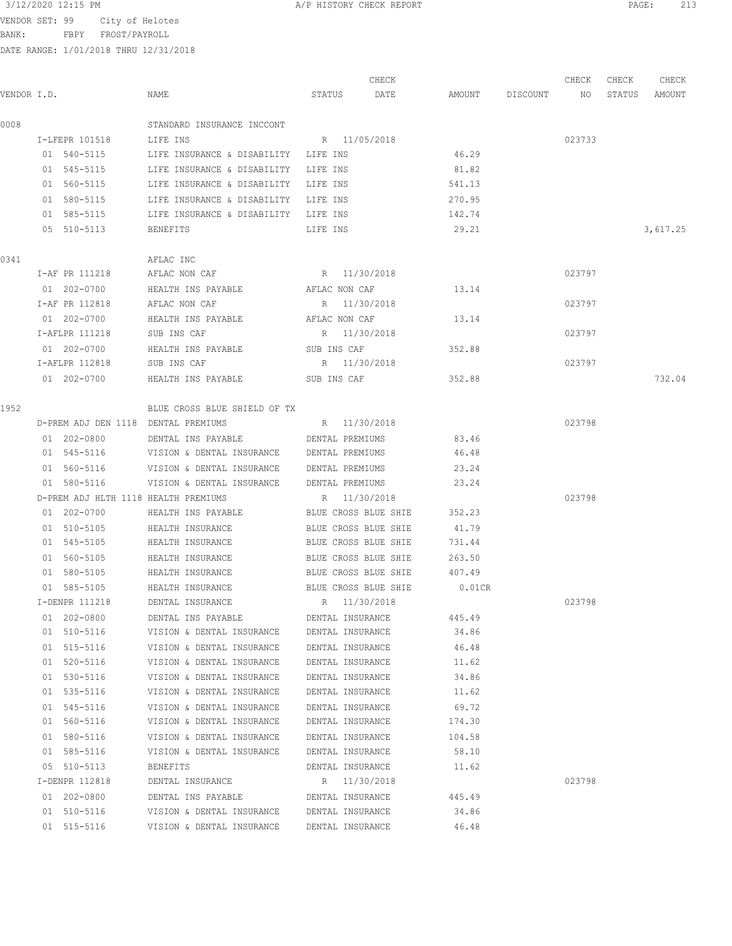BANK: FBPY FROST/PAYROLL

DATE RANGE: 1/01/2018 THRU 12/31/2018

|             |                |                                           | CHECK                |           |          | CHECK  | CHECK  | CHECK    |
|-------------|----------------|-------------------------------------------|----------------------|-----------|----------|--------|--------|----------|
| VENDOR I.D. |                | NAME                                      | STATUS<br>DATE       | AMOUNT    | DISCOUNT | NO     | STATUS | AMOUNT   |
| 0008        |                | STANDARD INSURANCE INCCONT                |                      |           |          |        |        |          |
|             | I-LFEPR 101518 | LIFE INS                                  | R 11/05/2018         |           |          | 023733 |        |          |
|             | 01 540-5115    | LIFE INSURANCE & DISABILITY               | LIFE INS             | 46.29     |          |        |        |          |
|             | 01 545-5115    | LIFE INSURANCE & DISABILITY               | LIFE INS             | 81.82     |          |        |        |          |
|             | 01 560-5115    | LIFE INSURANCE & DISABILITY               | LIFE INS             | 541.13    |          |        |        |          |
|             | 01 580-5115    | LIFE INSURANCE & DISABILITY LIFE INS      |                      | 270.95    |          |        |        |          |
|             | 01 585-5115    | LIFE INSURANCE & DISABILITY LIFE INS      |                      | 142.74    |          |        |        |          |
|             | 05 510-5113    | <b>BENEFITS</b>                           | LIFE INS             | 29.21     |          |        |        | 3,617.25 |
| 0341        |                | AFLAC INC                                 |                      |           |          |        |        |          |
|             | I-AF PR 111218 | AFLAC NON CAF                             | R 11/30/2018         |           |          | 023797 |        |          |
|             | 01 202-0700    | HEALTH INS PAYABLE                        | AFLAC NON CAF        | 13.14     |          |        |        |          |
|             | I-AF PR 112818 | AFLAC NON CAF                             | R 11/30/2018         |           |          | 023797 |        |          |
|             | 01 202-0700    | HEALTH INS PAYABLE                        | AFLAC NON CAF        | 13.14     |          |        |        |          |
|             | I-AFLPR 111218 | SUB INS CAF                               | R 11/30/2018         |           |          | 023797 |        |          |
|             | 01 202-0700    | HEALTH INS PAYABLE                        | SUB INS CAF          | 352.88    |          |        |        |          |
|             | I-AFLPR 112818 | SUB INS CAF                               | R 11/30/2018         |           |          | 023797 |        |          |
|             | 01 202-0700    | HEALTH INS PAYABLE                        | SUB INS CAF          | 352.88    |          |        |        | 732.04   |
| 1952        |                | BLUE CROSS BLUE SHIELD OF TX              |                      |           |          |        |        |          |
|             |                | D-PREM ADJ DEN 1118 DENTAL PREMIUMS       | R 11/30/2018         |           |          | 023798 |        |          |
|             | 01 202-0800    | DENTAL INS PAYABLE                        | DENTAL PREMIUMS      | 83.46     |          |        |        |          |
|             | 01 545-5116    | VISION & DENTAL INSURANCE DENTAL PREMIUMS |                      | 46.48     |          |        |        |          |
|             | 01 560-5116    | VISION & DENTAL INSURANCE DENTAL PREMIUMS |                      | 23.24     |          |        |        |          |
|             | 01 580-5116    | VISION & DENTAL INSURANCE                 | DENTAL PREMIUMS      | 23.24     |          |        |        |          |
|             |                | D-PREM ADJ HLTH 1118 HEALTH PREMIUMS      | R 11/30/2018         |           |          | 023798 |        |          |
|             | 01 202-0700    | HEALTH INS PAYABLE                        | BLUE CROSS BLUE SHIE | 352.23    |          |        |        |          |
|             | 01 510-5105    | HEALTH INSURANCE                          | BLUE CROSS BLUE SHIE | 41.79     |          |        |        |          |
|             | 01 545-5105    | HEALTH INSURANCE                          | BLUE CROSS BLUE SHIE | 731.44    |          |        |        |          |
|             | 01 560-5105    | HEALTH INSURANCE                          | BLUE CROSS BLUE SHIE | 263.50    |          |        |        |          |
|             | 01 580-5105    | HEALTH INSURANCE                          | BLUE CROSS BLUE SHIE | 407.49    |          |        |        |          |
|             | 01 585-5105    | HEALTH INSURANCE                          | BLUE CROSS BLUE SHIE | $0.01$ CR |          |        |        |          |
|             | I-DENPR 111218 | DENTAL INSURANCE                          | R 11/30/2018         |           |          | 023798 |        |          |
|             | 01 202-0800    | DENTAL INS PAYABLE                        | DENTAL INSURANCE     | 445.49    |          |        |        |          |
|             | 01 510-5116    | VISION & DENTAL INSURANCE                 | DENTAL INSURANCE     | 34.86     |          |        |        |          |
|             | 01 515-5116    | VISION & DENTAL INSURANCE                 | DENTAL INSURANCE     | 46.48     |          |        |        |          |
|             | 01 520-5116    | VISION & DENTAL INSURANCE                 | DENTAL INSURANCE     | 11.62     |          |        |        |          |
|             | 01 530-5116    | VISION & DENTAL INSURANCE                 | DENTAL INSURANCE     | 34.86     |          |        |        |          |
|             | 01 535-5116    | VISION & DENTAL INSURANCE                 | DENTAL INSURANCE     | 11.62     |          |        |        |          |
|             | 01 545-5116    | VISION & DENTAL INSURANCE                 | DENTAL INSURANCE     | 69.72     |          |        |        |          |
|             | 01 560-5116    | VISION & DENTAL INSURANCE                 | DENTAL INSURANCE     | 174.30    |          |        |        |          |
|             | 01 580-5116    | VISION & DENTAL INSURANCE                 | DENTAL INSURANCE     | 104.58    |          |        |        |          |
|             | 01 585-5116    | VISION & DENTAL INSURANCE                 | DENTAL INSURANCE     | 58.10     |          |        |        |          |
|             | 05 510-5113    | <b>BENEFITS</b>                           | DENTAL INSURANCE     | 11.62     |          |        |        |          |
|             | I-DENPR 112818 | DENTAL INSURANCE                          | R 11/30/2018         |           |          | 023798 |        |          |
|             | 01 202-0800    | DENTAL INS PAYABLE                        | DENTAL INSURANCE     | 445.49    |          |        |        |          |
|             | 01 510-5116    | VISION & DENTAL INSURANCE                 | DENTAL INSURANCE     | 34.86     |          |        |        |          |

01 515-5116 VISION & DENTAL INSURANCE DENTAL INSURANCE 46.48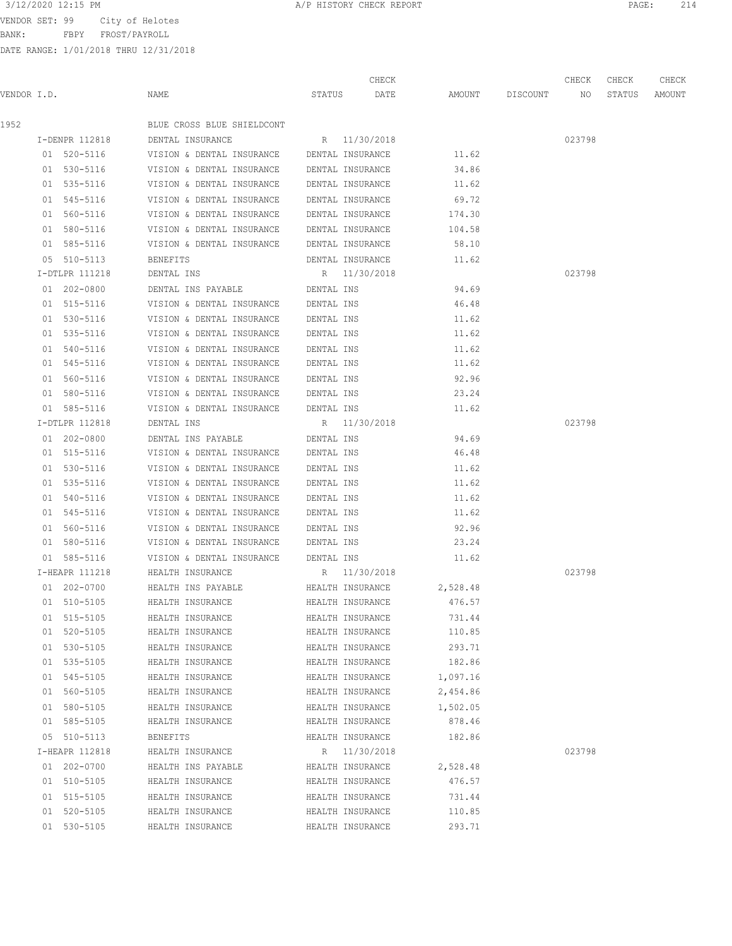BANK: FBPY FROST/PAYROLL

| 3/12/2020 12:15 PM<br>A/P HISTORY CHECK REPORT<br>PAGE | 2 1 T |
|--------------------------------------------------------|-------|
|--------------------------------------------------------|-------|

|             |                |                            |            | CHECK            |          |          | CHECK  | CHECK  | CHECK  |
|-------------|----------------|----------------------------|------------|------------------|----------|----------|--------|--------|--------|
| VENDOR I.D. |                | NAME                       | STATUS     | DATE             | AMOUNT   | DISCOUNT | NO     | STATUS | AMOUNT |
| 1952        |                | BLUE CROSS BLUE SHIELDCONT |            |                  |          |          |        |        |        |
|             | I-DENPR 112818 | DENTAL INSURANCE           |            | R 11/30/2018     |          |          | 023798 |        |        |
|             | 01 520-5116    | VISION & DENTAL INSURANCE  |            | DENTAL INSURANCE | 11.62    |          |        |        |        |
|             | 01 530-5116    | VISION & DENTAL INSURANCE  |            | DENTAL INSURANCE | 34.86    |          |        |        |        |
|             | 01 535-5116    | VISION & DENTAL INSURANCE  |            | DENTAL INSURANCE | 11.62    |          |        |        |        |
|             | 01 545-5116    | VISION & DENTAL INSURANCE  |            | DENTAL INSURANCE | 69.72    |          |        |        |        |
|             | 01 560-5116    | VISION & DENTAL INSURANCE  |            | DENTAL INSURANCE | 174.30   |          |        |        |        |
|             | 01 580-5116    | VISION & DENTAL INSURANCE  |            | DENTAL INSURANCE | 104.58   |          |        |        |        |
|             | 01 585-5116    | VISION & DENTAL INSURANCE  |            | DENTAL INSURANCE | 58.10    |          |        |        |        |
|             | 05 510-5113    | BENEFITS                   |            | DENTAL INSURANCE | 11.62    |          |        |        |        |
|             | I-DTLPR 111218 | DENTAL INS                 |            | R 11/30/2018     |          |          | 023798 |        |        |
|             | 01 202-0800    | DENTAL INS PAYABLE         | DENTAL INS |                  | 94.69    |          |        |        |        |
|             | 01 515-5116    | VISION & DENTAL INSURANCE  | DENTAL INS |                  | 46.48    |          |        |        |        |
|             | 01 530-5116    | VISION & DENTAL INSURANCE  | DENTAL INS |                  | 11.62    |          |        |        |        |
|             | 01 535-5116    | VISION & DENTAL INSURANCE  | DENTAL INS |                  | 11.62    |          |        |        |        |
|             | 01 540-5116    | VISION & DENTAL INSURANCE  | DENTAL INS |                  | 11.62    |          |        |        |        |
|             | 01 545-5116    | VISION & DENTAL INSURANCE  | DENTAL INS |                  | 11.62    |          |        |        |        |
|             | 01 560-5116    | VISION & DENTAL INSURANCE  | DENTAL INS |                  | 92.96    |          |        |        |        |
|             | 01 580-5116    | VISION & DENTAL INSURANCE  | DENTAL INS |                  | 23.24    |          |        |        |        |
|             | 01 585-5116    | VISION & DENTAL INSURANCE  | DENTAL INS |                  | 11.62    |          |        |        |        |
|             | I-DTLPR 112818 | DENTAL INS                 |            | R 11/30/2018     |          |          | 023798 |        |        |
|             | 01 202-0800    | DENTAL INS PAYABLE         | DENTAL INS |                  | 94.69    |          |        |        |        |
|             | 01 515-5116    | VISION & DENTAL INSURANCE  | DENTAL INS |                  | 46.48    |          |        |        |        |
|             | 01 530-5116    | VISION & DENTAL INSURANCE  | DENTAL INS |                  | 11.62    |          |        |        |        |
|             | 01 535-5116    | VISION & DENTAL INSURANCE  | DENTAL INS |                  | 11.62    |          |        |        |        |
|             | 01 540-5116    | VISION & DENTAL INSURANCE  | DENTAL INS |                  | 11.62    |          |        |        |        |
|             | 01 545-5116    | VISION & DENTAL INSURANCE  | DENTAL INS |                  | 11.62    |          |        |        |        |
|             | 01 560-5116    | VISION & DENTAL INSURANCE  | DENTAL INS |                  | 92.96    |          |        |        |        |
|             | 01 580-5116    | VISION & DENTAL INSURANCE  | DENTAL INS |                  | 23.24    |          |        |        |        |
|             | 01 585-5116    | VISION & DENTAL INSURANCE  | DENTAL INS |                  | 11.62    |          |        |        |        |
|             | I-HEAPR 111218 | HEALTH INSURANCE           |            | R 11/30/2018     |          |          | 023798 |        |        |
|             | 01 202-0700    | HEALTH INS PAYABLE         |            | HEALTH INSURANCE | 2,528.48 |          |        |        |        |
|             | 01 510-5105    | HEALTH INSURANCE           |            | HEALTH INSURANCE | 476.57   |          |        |        |        |
|             | 01 515-5105    | HEALTH INSURANCE           |            | HEALTH INSURANCE | 731.44   |          |        |        |        |
|             | 01 520-5105    | HEALTH INSURANCE           |            | HEALTH INSURANCE | 110.85   |          |        |        |        |
|             | 01 530-5105    | HEALTH INSURANCE           |            | HEALTH INSURANCE | 293.71   |          |        |        |        |
|             | 01 535-5105    | HEALTH INSURANCE           |            | HEALTH INSURANCE | 182.86   |          |        |        |        |
|             | 01 545-5105    | HEALTH INSURANCE           |            | HEALTH INSURANCE | 1,097.16 |          |        |        |        |
|             | 01 560-5105    | HEALTH INSURANCE           |            | HEALTH INSURANCE | 2,454.86 |          |        |        |        |
|             | 01 580-5105    | HEALTH INSURANCE           |            | HEALTH INSURANCE | 1,502.05 |          |        |        |        |
|             | 01 585-5105    | HEALTH INSURANCE           |            | HEALTH INSURANCE | 878.46   |          |        |        |        |
|             | 05 510-5113    | BENEFITS                   |            | HEALTH INSURANCE | 182.86   |          |        |        |        |
|             | I-HEAPR 112818 | HEALTH INSURANCE           |            | R 11/30/2018     |          |          | 023798 |        |        |
|             | 01 202-0700    | HEALTH INS PAYABLE         |            | HEALTH INSURANCE | 2,528.48 |          |        |        |        |
|             | 01 510-5105    | HEALTH INSURANCE           |            | HEALTH INSURANCE | 476.57   |          |        |        |        |
|             | 01 515-5105    | HEALTH INSURANCE           |            | HEALTH INSURANCE | 731.44   |          |        |        |        |
|             | 01 520-5105    | HEALTH INSURANCE           |            | HEALTH INSURANCE | 110.85   |          |        |        |        |
|             | 01 530-5105    | HEALTH INSURANCE           |            | HEALTH INSURANCE | 293.71   |          |        |        |        |
|             |                |                            |            |                  |          |          |        |        |        |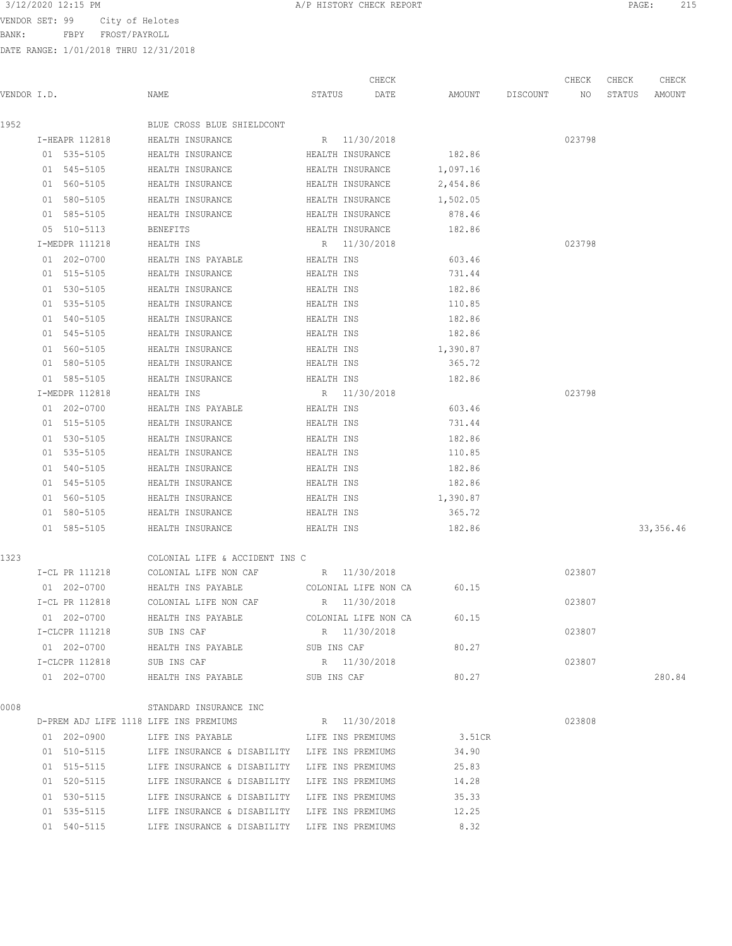BANK: FBPY FROST/PAYROLL

|             |                |                                                           |             | CHECK            |                 | CHECK  | CHECK  | CHECK      |
|-------------|----------------|-----------------------------------------------------------|-------------|------------------|-----------------|--------|--------|------------|
| VENDOR I.D. |                | NAME                                                      | STATUS      | DATE             | AMOUNT DISCOUNT | NO     | STATUS | AMOUNT     |
| 1952        |                | BLUE CROSS BLUE SHIELDCONT                                |             |                  |                 |        |        |            |
|             | I-HEAPR 112818 | HEALTH INSURANCE                                          |             | R 11/30/2018     |                 | 023798 |        |            |
|             | 01 535-5105    | HEALTH INSURANCE                                          |             | HEALTH INSURANCE | 182.86          |        |        |            |
|             | 01 545-5105    | HEALTH INSURANCE                                          |             | HEALTH INSURANCE | 1,097.16        |        |        |            |
|             | 01 560-5105    | HEALTH INSURANCE                                          |             | HEALTH INSURANCE | 2,454.86        |        |        |            |
|             | 01 580-5105    | HEALTH INSURANCE                                          |             | HEALTH INSURANCE | 1,502.05        |        |        |            |
|             | 01 585-5105    | HEALTH INSURANCE                                          |             | HEALTH INSURANCE | 878.46          |        |        |            |
|             | 05 510-5113    | BENEFITS                                                  |             | HEALTH INSURANCE | 182.86          |        |        |            |
|             | I-MEDPR 111218 | HEALTH INS                                                |             | R 11/30/2018     |                 | 023798 |        |            |
|             | 01 202-0700    | HEALTH INS PAYABLE                                        | HEALTH INS  |                  | 603.46          |        |        |            |
|             | 01 515-5105    | HEALTH INSURANCE                                          | HEALTH INS  |                  | 731.44          |        |        |            |
|             | 01 530-5105    | HEALTH INSURANCE                                          | HEALTH INS  |                  | 182.86          |        |        |            |
|             | 01 535-5105    | HEALTH INSURANCE                                          | HEALTH INS  |                  | 110.85          |        |        |            |
|             | 01 540-5105    | HEALTH INSURANCE                                          | HEALTH INS  |                  | 182.86          |        |        |            |
|             | 01 545-5105    | HEALTH INSURANCE                                          | HEALTH INS  |                  | 182.86          |        |        |            |
|             | 01 560-5105    | HEALTH INSURANCE                                          | HEALTH INS  |                  | 1,390.87        |        |        |            |
|             | 01 580-5105    | HEALTH INSURANCE                                          | HEALTH INS  |                  | 365.72          |        |        |            |
|             | 01 585-5105    | HEALTH INSURANCE                                          | HEALTH INS  |                  | 182.86          |        |        |            |
|             | I-MEDPR 112818 | HEALTH INS                                                |             | R 11/30/2018     |                 | 023798 |        |            |
|             | 01 202-0700    | HEALTH INS PAYABLE                                        | HEALTH INS  |                  | 603.46          |        |        |            |
|             | 01 515-5105    | HEALTH INSURANCE                                          | HEALTH INS  |                  | 731.44          |        |        |            |
|             | 01 530-5105    | HEALTH INSURANCE                                          | HEALTH INS  |                  | 182.86          |        |        |            |
|             | 01 535-5105    | HEALTH INSURANCE                                          | HEALTH INS  |                  | 110.85          |        |        |            |
|             | 01 540-5105    | HEALTH INSURANCE                                          | HEALTH INS  |                  | 182.86          |        |        |            |
|             | 01 545-5105    | HEALTH INSURANCE                                          | HEALTH INS  |                  | 182.86          |        |        |            |
|             | 01 560-5105    | HEALTH INSURANCE                                          | HEALTH INS  |                  | 1,390.87        |        |        |            |
|             | 01 580-5105    | HEALTH INSURANCE                                          | HEALTH INS  |                  | 365.72          |        |        |            |
|             | 01 585-5105    | HEALTH INSURANCE                                          | HEALTH INS  |                  | 182.86          |        |        | 33, 356.46 |
| 1323        |                | COLONIAL LIFE & ACCIDENT INS C                            |             |                  |                 |        |        |            |
|             | I-CL PR 111218 | COLONIAL LIFE NON CAF R 11/30/2018                        |             |                  |                 | 023807 |        |            |
|             | 01 202-0700    | HEALTH INS PAYABLE COLONIAL LIFE NON CA                   |             |                  | 60.15           |        |        |            |
|             | I-CL PR 112818 | COLONIAL LIFE NON CAF                                     |             | R 11/30/2018     |                 | 023807 |        |            |
|             | 01 202-0700    | HEALTH INS PAYABLE COLONIAL LIFE NON CA                   |             |                  | 60.15           |        |        |            |
|             | I-CLCPR 111218 | SUB INS CAF                                               |             | R 11/30/2018     |                 | 023807 |        |            |
|             | 01 202-0700    | HEALTH INS PAYABLE                                        |             | SUB INS CAF      | 80.27           |        |        |            |
|             | I-CLCPR 112818 | SUB INS CAF                                               |             | R 11/30/2018     |                 | 023807 |        |            |
|             | 01 202-0700    | HEALTH INS PAYABLE                                        | SUB INS CAF |                  | 80.27           |        |        | 280.84     |
| 0008        |                | STANDARD INSURANCE INC                                    |             |                  |                 |        |        |            |
|             |                | D-PREM ADJ LIFE 1118 LIFE INS PREMIUMS                    |             | R 11/30/2018     |                 | 023808 |        |            |
|             |                | 01  202-0900  LIFE INS PAYABLE  LIFE INS PREMIUMS         |             |                  | 3.51CR          |        |        |            |
|             |                | 01 510-5115 LIFE INSURANCE & DISABILITY LIFE INS PREMIUMS |             |                  | 34.90           |        |        |            |
|             |                | 01 515-5115 LIFE INSURANCE & DISABILITY LIFE INS PREMIUMS |             |                  | 25.83           |        |        |            |
|             |                | 01 520-5115 LIFE INSURANCE & DISABILITY LIFE INS PREMIUMS |             |                  | 14.28           |        |        |            |
|             | 01 530-5115    | LIFE INSURANCE & DISABILITY LIFE INS PREMIUMS             |             |                  | 35.33           |        |        |            |
|             | 01 535-5115    | LIFE INSURANCE & DISABILITY LIFE INS PREMIUMS             |             |                  | 12.25           |        |        |            |
|             | 01 540-5115    | LIFE INSURANCE & DISABILITY LIFE INS PREMIUMS             |             |                  | 8.32            |        |        |            |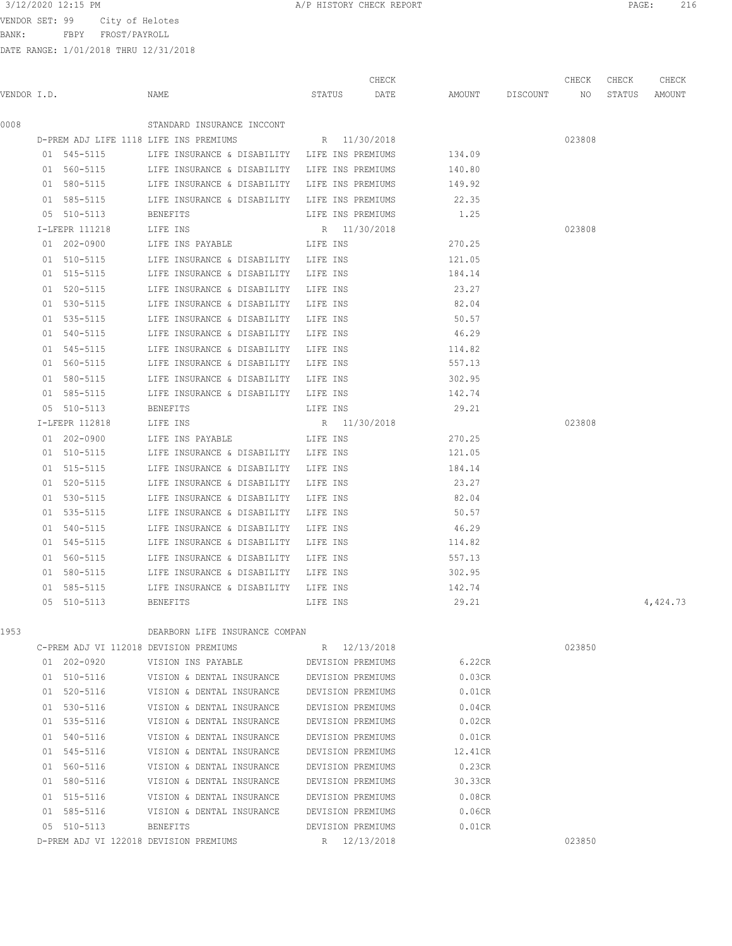# 3/12/2020 12:15 PM **A/P HISTORY CHECK REPORT PAGE:** 216

VENDOR SET: 99 City of Helotes

BANK: FBPY FROST/PAYROLL

|             |                            |                                                                              |                   | CHECK        |                    | CHECK  | CHECK  | CHECK    |
|-------------|----------------------------|------------------------------------------------------------------------------|-------------------|--------------|--------------------|--------|--------|----------|
| VENDOR I.D. |                            | NAME                                                                         |                   | STATUS DATE  | AMOUNT DISCOUNT NO |        | STATUS | AMOUNT   |
| 0008        |                            | STANDARD INSURANCE INCCONT                                                   |                   |              |                    |        |        |          |
|             |                            | D-PREM ADJ LIFE 1118 LIFE INS PREMIUMS                                       |                   | R 11/30/2018 |                    | 023808 |        |          |
|             | 01 545-5115                | LIFE INSURANCE & DISABILITY LIFE INS PREMIUMS                                |                   |              | 134.09             |        |        |          |
|             | 01 560-5115                | LIFE INSURANCE & DISABILITY LIFE INS PREMIUMS                                |                   |              | 140.80             |        |        |          |
|             | 01 580-5115                | LIFE INSURANCE & DISABILITY LIFE INS PREMIUMS                                |                   |              | 149.92             |        |        |          |
|             | 01 585-5115                | LIFE INSURANCE & DISABILITY LIFE INS PREMIUMS                                |                   |              | 22.35              |        |        |          |
|             | 05 510-5113                | BENEFITS                                                                     | LIFE INS PREMIUMS |              | 1.25               |        |        |          |
|             | I-LFEPR 111218             | LIFE INS                                                                     | R 11/30/2018      |              |                    | 023808 |        |          |
|             | 01 202-0900                | LIFE INS PAYABLE LIFE INS                                                    |                   |              | 270.25             |        |        |          |
|             | 01 510-5115                | LIFE INSURANCE & DISABILITY LIFE INS                                         |                   |              | 121.05             |        |        |          |
|             | 01 515-5115                | LIFE INSURANCE & DISABILITY LIFE INS                                         |                   |              | 184.14             |        |        |          |
|             | 01 520-5115                | LIFE INSURANCE & DISABILITY LIFE INS                                         |                   |              | 23.27              |        |        |          |
|             | 01 530-5115                | LIFE INSURANCE & DISABILITY LIFE INS                                         |                   |              | 82.04              |        |        |          |
|             | 01 535-5115                | LIFE INSURANCE & DISABILITY                                                  | LIFE INS          |              | 50.57              |        |        |          |
|             | 01 540-5115                | LIFE INSURANCE & DISABILITY                                                  | LIFE INS          |              | 46.29              |        |        |          |
|             | 01 545-5115                | LIFE INSURANCE & DISABILITY                                                  | LIFE INS          |              | 114.82             |        |        |          |
|             | 01 560-5115                | LIFE INSURANCE & DISABILITY                                                  | LIFE INS          |              | 557.13             |        |        |          |
|             | 01 580-5115                | LIFE INSURANCE & DISABILITY LIFE INS                                         |                   |              | 302.95             |        |        |          |
|             | 01 585-5115                | LIFE INSURANCE & DISABILITY LIFE INS                                         |                   |              | 142.74             |        |        |          |
|             | 05 510-5113                | BENEFITS                                                                     | LIFE INS          |              | 29.21              |        |        |          |
|             | I-LFEPR 112818             | LIFE INS                                                                     | R 11/30/2018      |              |                    | 023808 |        |          |
|             | 01 202-0900                | LIFE INS PAYABLE                                                             | LIFE INS          |              | 270.25             |        |        |          |
|             | 01 510-5115                | LIFE INSURANCE & DISABILITY LIFE INS                                         |                   |              | 121.05             |        |        |          |
|             | 01 515-5115                | LIFE INSURANCE & DISABILITY LIFE INS                                         |                   |              | 184.14             |        |        |          |
|             | 01 520-5115                | LIFE INSURANCE & DISABILITY                                                  | LIFE INS          |              | 23.27              |        |        |          |
|             | 01 530-5115                | LIFE INSURANCE & DISABILITY                                                  | LIFE INS          |              | 82.04              |        |        |          |
|             | 01 535-5115                | LIFE INSURANCE & DISABILITY                                                  | LIFE INS          |              | 50.57              |        |        |          |
|             | 01 540-5115                | LIFE INSURANCE & DISABILITY                                                  | LIFE INS          |              | 46.29              |        |        |          |
|             | 01 545-5115                | LIFE INSURANCE & DISABILITY LIFE INS                                         |                   |              | 114.82             |        |        |          |
|             | 01 560-5115<br>01 580-5115 | LIFE INSURANCE & DISABILITY LIFE INS                                         |                   |              | 557.13<br>302.95   |        |        |          |
|             | 01 585-5115                | LIFE INSURANCE & DISABILITY LIFE INS<br>LIFE INSURANCE & DISABILITY LIFE INS |                   |              | 142.74             |        |        |          |
|             | 05 510-5113                | <b>BENEFITS</b>                                                              | LIFE INS          |              | 29.21              |        |        | 4,424.73 |
|             |                            |                                                                              |                   |              |                    |        |        |          |
| 1953        |                            | DEARBORN LIFE INSURANCE COMPAN                                               |                   |              |                    |        |        |          |
|             |                            | C-PREM ADJ VI 112018 DEVISION PREMIUMS                                       |                   | R 12/13/2018 |                    | 023850 |        |          |
|             | 01 202-0920                | VISION INS PAYABLE                                                           | DEVISION PREMIUMS |              | 6.22CR             |        |        |          |
|             | 01 510-5116                | VISION & DENTAL INSURANCE                                                    | DEVISION PREMIUMS |              | 0.03CR             |        |        |          |
|             | 01 520-5116                | VISION & DENTAL INSURANCE                                                    | DEVISION PREMIUMS |              | 0.01CR             |        |        |          |
|             | 01 530-5116                | VISION & DENTAL INSURANCE                                                    | DEVISION PREMIUMS |              | 0.04CR             |        |        |          |
|             | 01 535-5116                | VISION & DENTAL INSURANCE                                                    | DEVISION PREMIUMS |              | 0.02CR             |        |        |          |
|             | 01 540-5116                | VISION & DENTAL INSURANCE                                                    | DEVISION PREMIUMS |              | 0.01CR             |        |        |          |
|             | 01 545-5116                | VISION & DENTAL INSURANCE                                                    | DEVISION PREMIUMS |              | 12.41CR            |        |        |          |
|             | 01 560-5116                | VISION & DENTAL INSURANCE                                                    | DEVISION PREMIUMS |              | 0.23CR             |        |        |          |
|             | 01 580-5116                | VISION & DENTAL INSURANCE                                                    | DEVISION PREMIUMS |              | 30.33CR            |        |        |          |
|             | 01 515-5116                | VISION & DENTAL INSURANCE                                                    | DEVISION PREMIUMS |              | 0.08CR             |        |        |          |
|             | 01 585-5116                | VISION & DENTAL INSURANCE                                                    | DEVISION PREMIUMS |              | 0.06CR             |        |        |          |
|             | 05 510-5113                | <b>BENEFITS</b>                                                              | DEVISION PREMIUMS |              | 0.01CR             |        |        |          |
|             |                            | D-PREM ADJ VI 122018 DEVISION PREMIUMS                                       |                   | R 12/13/2018 |                    | 023850 |        |          |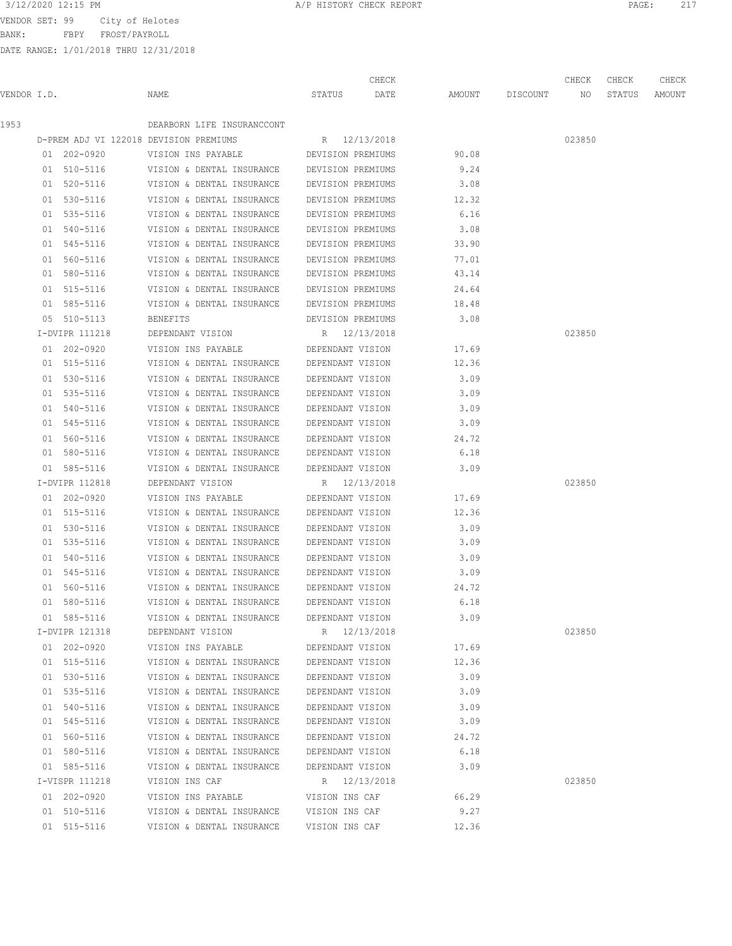VENDOR SET: 99 City of Helot

BANK: FBPY FROST/PAYROL

| btes    |       |       |       |       |
|---------|-------|-------|-------|-------|
| ïГ.     |       |       |       |       |
| 31/2018 |       |       |       |       |
|         |       |       |       |       |
|         | CHECK | CHECK | CHECK | CHECK |

| VENDOR I.D. |                | NAME                                        | STATUS            | DATE              |       | AMOUNT DISCOUNT | NO NO  | STATUS AMOUNT |  |
|-------------|----------------|---------------------------------------------|-------------------|-------------------|-------|-----------------|--------|---------------|--|
| 1953        |                | DEARBORN LIFE INSURANCCONT                  |                   |                   |       |                 |        |               |  |
|             |                | D-PREM ADJ VI 122018 DEVISION PREMIUMS      | R 12/13/2018      |                   |       |                 | 023850 |               |  |
|             | 01 202-0920    | VISION INS PAYABLE                          | DEVISION PREMIUMS |                   | 90.08 |                 |        |               |  |
|             | 01 510-5116    | VISION & DENTAL INSURANCE DEVISION PREMIUMS |                   |                   | 9.24  |                 |        |               |  |
|             | 01 520-5116    | VISION & DENTAL INSURANCE DEVISION PREMIUMS |                   |                   | 3.08  |                 |        |               |  |
|             | 01 530-5116    | VISION & DENTAL INSURANCE                   | DEVISION PREMIUMS |                   | 12.32 |                 |        |               |  |
|             | 01 535-5116    | VISION & DENTAL INSURANCE                   | DEVISION PREMIUMS |                   | 6.16  |                 |        |               |  |
|             | 01 540-5116    | VISION & DENTAL INSURANCE DEVISION PREMIUMS |                   |                   | 3.08  |                 |        |               |  |
|             | 01 545-5116    | VISION & DENTAL INSURANCE                   |                   | DEVISION PREMIUMS | 33.90 |                 |        |               |  |
|             | 01 560-5116    | VISION & DENTAL INSURANCE                   | DEVISION PREMIUMS |                   | 77.01 |                 |        |               |  |
|             | 01 580-5116    | VISION & DENTAL INSURANCE                   | DEVISION PREMIUMS |                   | 43.14 |                 |        |               |  |
|             | 01 515-5116    | VISION & DENTAL INSURANCE DEVISION PREMIUMS |                   |                   | 24.64 |                 |        |               |  |
|             | 01 585-5116    | VISION & DENTAL INSURANCE DEVISION PREMIUMS |                   |                   | 18.48 |                 |        |               |  |
|             | 05 510-5113    | BENEFITS                                    | DEVISION PREMIUMS |                   | 3.08  |                 |        |               |  |
|             | I-DVIPR 111218 | DEPENDANT VISION                            | R 12/13/2018      |                   |       |                 | 023850 |               |  |
|             | 01 202-0920    | VISION INS PAYABLE DEPENDANT VISION         |                   |                   | 17.69 |                 |        |               |  |
|             | 01 515-5116    | VISION & DENTAL INSURANCE DEPENDANT VISION  |                   |                   | 12.36 |                 |        |               |  |
|             | 01 530-5116    | VISION & DENTAL INSURANCE DEPENDANT VISION  |                   |                   | 3.09  |                 |        |               |  |
|             | 01 535-5116    | VISION & DENTAL INSURANCE DEPENDANT VISION  |                   |                   | 3.09  |                 |        |               |  |
|             | 01 540-5116    | VISION & DENTAL INSURANCE DEPENDANT VISION  |                   |                   | 3.09  |                 |        |               |  |
|             | 01 545-5116    | VISION & DENTAL INSURANCE DEPENDANT VISION  |                   |                   | 3.09  |                 |        |               |  |
|             | 01 560-5116    | VISION & DENTAL INSURANCE DEPENDANT VISION  |                   |                   | 24.72 |                 |        |               |  |
|             | 01 580-5116    | VISION & DENTAL INSURANCE DEPENDANT VISION  |                   |                   | 6.18  |                 |        |               |  |
|             | 01 585-5116    | VISION & DENTAL INSURANCE DEPENDANT VISION  |                   |                   | 3.09  |                 |        |               |  |
|             | I-DVIPR 112818 | DEPENDANT VISION                            |                   | R 12/13/2018      |       |                 | 023850 |               |  |
|             | 01 202-0920    | VISION INS PAYABLE                          | DEPENDANT VISION  |                   | 17.69 |                 |        |               |  |
|             | 01 515-5116    | VISION & DENTAL INSURANCE                   | DEPENDANT VISION  |                   | 12.36 |                 |        |               |  |
|             | 01 530-5116    | VISION & DENTAL INSURANCE                   | DEPENDANT VISION  |                   | 3.09  |                 |        |               |  |
|             | 01 535-5116    | VISION & DENTAL INSURANCE                   | DEPENDANT VISION  |                   | 3.09  |                 |        |               |  |
|             | 01 540-5116    | VISION & DENTAL INSURANCE                   | DEPENDANT VISION  |                   | 3.09  |                 |        |               |  |
|             | 01 545-5116    | VISION & DENTAL INSURANCE                   | DEPENDANT VISION  |                   | 3.09  |                 |        |               |  |
|             | 01 560-5116    | VISION & DENTAL INSURANCE                   | DEPENDANT VISION  |                   | 24.72 |                 |        |               |  |
|             | 01 580-5116    | VISION & DENTAL INSURANCE DEPENDANT VISION  |                   |                   | 6.18  |                 |        |               |  |
|             | 01 585-5116    | VISION & DENTAL INSURANCE                   | DEPENDANT VISION  |                   | 3.09  |                 |        |               |  |
|             | I-DVIPR 121318 | DEPENDANT VISION                            |                   | R 12/13/2018      |       |                 | 023850 |               |  |
|             | 01 202-0920    | VISION INS PAYABLE                          | DEPENDANT VISION  |                   | 17.69 |                 |        |               |  |
|             | 01 515-5116    | VISION & DENTAL INSURANCE                   | DEPENDANT VISION  |                   | 12.36 |                 |        |               |  |
|             | 01 530-5116    | VISION & DENTAL INSURANCE                   | DEPENDANT VISION  |                   | 3.09  |                 |        |               |  |
|             | 01 535-5116    | VISION & DENTAL INSURANCE                   | DEPENDANT VISION  |                   | 3.09  |                 |        |               |  |
|             | 01 540-5116    | VISION & DENTAL INSURANCE                   | DEPENDANT VISION  |                   | 3.09  |                 |        |               |  |
|             | 01 545-5116    | VISION & DENTAL INSURANCE                   | DEPENDANT VISION  |                   | 3.09  |                 |        |               |  |
|             | 01 560-5116    | VISION & DENTAL INSURANCE                   | DEPENDANT VISION  |                   | 24.72 |                 |        |               |  |
|             | 01 580-5116    | VISION & DENTAL INSURANCE                   | DEPENDANT VISION  |                   | 6.18  |                 |        |               |  |
|             | 01 585-5116    | VISION & DENTAL INSURANCE                   | DEPENDANT VISION  |                   | 3.09  |                 |        |               |  |
|             | I-VISPR 111218 | VISION INS CAF                              |                   | R 12/13/2018      |       |                 | 023850 |               |  |
|             | 01 202-0920    | VISION INS PAYABLE                          | VISION INS CAF    |                   | 66.29 |                 |        |               |  |
|             | 01 510-5116    | VISION & DENTAL INSURANCE                   | VISION INS CAF    |                   | 9.27  |                 |        |               |  |
|             | 01 515-5116    | VISION & DENTAL INSURANCE                   | VISION INS CAF    |                   | 12.36 |                 |        |               |  |
|             |                |                                             |                   |                   |       |                 |        |               |  |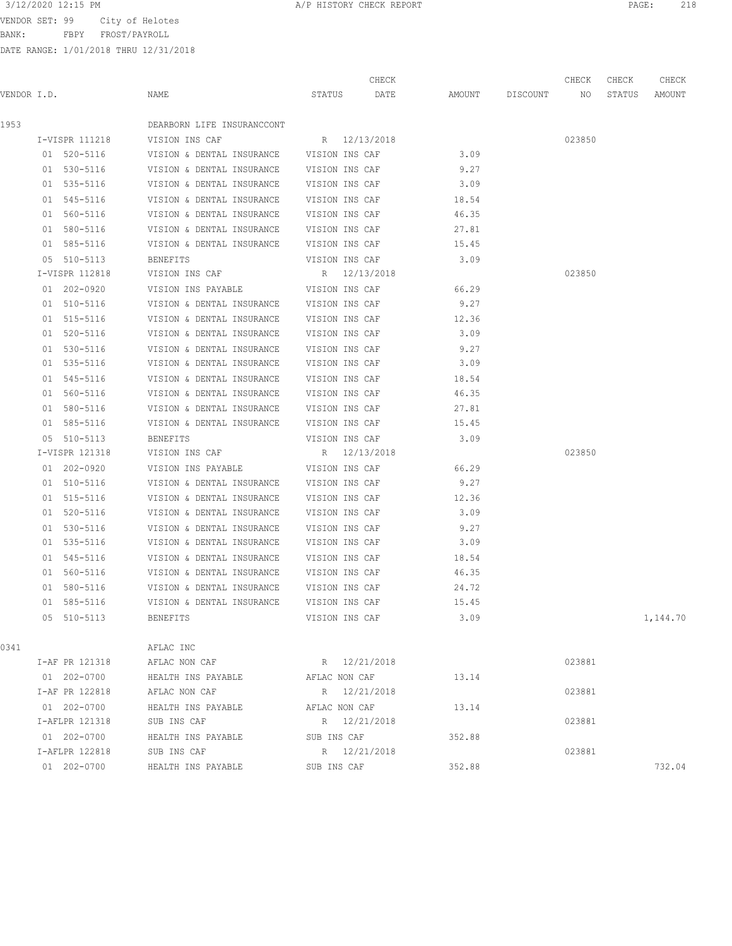BANK: FBPY FROST/PAYROLL

| 3/12/2020 12:15 PM<br>PAGE:<br>A/P HISTORY CHECK REPORT |  |
|---------------------------------------------------------|--|
|---------------------------------------------------------|--|

|      | VENDOR I.D.    | NAME                                     | STATUS DATE    | CHECK        | AMOUNT DISCOUNT NO | CHECK  | CHECK<br>STATUS | CHECK<br>AMOUNT |
|------|----------------|------------------------------------------|----------------|--------------|--------------------|--------|-----------------|-----------------|
|      |                |                                          |                |              |                    |        |                 |                 |
| 1953 |                | DEARBORN LIFE INSURANCCONT               |                |              |                    |        |                 |                 |
|      | I-VISPR 111218 | VISION INS CAF                           | R 12/13/2018   |              |                    | 023850 |                 |                 |
|      | 01 520-5116    | VISION & DENTAL INSURANCE VISION INS CAF |                |              | 3.09               |        |                 |                 |
|      | 01 530-5116    | VISION & DENTAL INSURANCE                | VISION INS CAF |              | 9.27               |        |                 |                 |
|      | 01 535-5116    | VISION & DENTAL INSURANCE VISION INS CAF |                |              | 3.09               |        |                 |                 |
|      | 01 545-5116    | VISION & DENTAL INSURANCE VISION INS CAF |                |              | 18.54              |        |                 |                 |
|      | 01 560-5116    | VISION & DENTAL INSURANCE VISION INS CAF |                |              | 46.35              |        |                 |                 |
|      | 01 580-5116    | VISION & DENTAL INSURANCE VISION INS CAF |                |              | 27.81              |        |                 |                 |
|      | 01 585-5116    | VISION & DENTAL INSURANCE VISION INS CAF |                |              | 15.45              |        |                 |                 |
|      | 05 510-5113    | BENEFITS                                 | VISION INS CAF |              | 3.09               |        |                 |                 |
|      | I-VISPR 112818 | VISION INS CAF                           | R 12/13/2018   |              |                    | 023850 |                 |                 |
|      | 01 202-0920    | VISION INS PAYABLE                       | VISION INS CAF |              | 66.29              |        |                 |                 |
|      | 01 510-5116    | VISION & DENTAL INSURANCE                | VISION INS CAF |              | 9.27               |        |                 |                 |
|      | 01 515-5116    | VISION & DENTAL INSURANCE                | VISION INS CAF |              | 12.36              |        |                 |                 |
|      | 01 520-5116    | VISION & DENTAL INSURANCE                | VISION INS CAF |              | 3.09               |        |                 |                 |
|      | 01 530-5116    | VISION & DENTAL INSURANCE                | VISION INS CAF |              | 9.27               |        |                 |                 |
|      | 01 535-5116    | VISION & DENTAL INSURANCE                | VISION INS CAF |              | 3.09               |        |                 |                 |
|      | 01 545-5116    | VISION & DENTAL INSURANCE                | VISION INS CAF |              | 18.54              |        |                 |                 |
|      | 01 560-5116    | VISION & DENTAL INSURANCE                | VISION INS CAF |              | 46.35              |        |                 |                 |
|      | 01 580-5116    | VISION & DENTAL INSURANCE VISION INS CAF |                |              | 27.81              |        |                 |                 |
|      | 01 585-5116    | VISION & DENTAL INSURANCE VISION INS CAF |                |              | 15.45              |        |                 |                 |
|      | 05 510-5113    | BENEFITS                                 | VISION INS CAF |              | 3.09               |        |                 |                 |
|      | I-VISPR 121318 | VISION INS CAF                           | R 12/13/2018   |              |                    | 023850 |                 |                 |
|      | 01 202-0920    | VISION INS PAYABLE                       | VISION INS CAF |              | 66.29              |        |                 |                 |
|      | 01 510-5116    | VISION & DENTAL INSURANCE VISION INS CAF |                |              | 9.27               |        |                 |                 |
|      | 01 515-5116    | VISION & DENTAL INSURANCE                | VISION INS CAF |              | 12.36              |        |                 |                 |
|      | 01 520-5116    | VISION & DENTAL INSURANCE                | VISION INS CAF |              | 3.09               |        |                 |                 |
|      | 01 530-5116    | VISION & DENTAL INSURANCE                | VISION INS CAF |              | 9.27               |        |                 |                 |
|      | 01 535-5116    | VISION & DENTAL INSURANCE                | VISION INS CAF |              | 3.09               |        |                 |                 |
|      | 01 545-5116    | VISION & DENTAL INSURANCE                | VISION INS CAF |              | 18.54              |        |                 |                 |
|      | 01 560-5116    | VISION & DENTAL INSURANCE VISION INS CAF |                |              | 46.35              |        |                 |                 |
|      | 01 580-5116    | VISION & DENTAL INSURANCE                | VISION INS CAF |              | 24.72              |        |                 |                 |
|      | 01 585-5116    | VISION & DENTAL INSURANCE                | VISION INS CAF |              | 15.45              |        |                 |                 |
|      | 05 510-5113    | BENEFITS                                 | VISION INS CAF |              | 3.09               |        |                 | 1,144.70        |
| 0341 |                | AFLAC INC                                |                |              |                    |        |                 |                 |
|      | I-AF PR 121318 | AFLAC NON CAF                            | R 12/21/2018   |              |                    | 023881 |                 |                 |
|      | 01 202-0700    | HEALTH INS PAYABLE                       | AFLAC NON CAF  |              | 13.14              |        |                 |                 |
|      | I-AF PR 122818 | AFLAC NON CAF                            |                | R 12/21/2018 |                    | 023881 |                 |                 |
|      | 01 202-0700    | HEALTH INS PAYABLE                       | AFLAC NON CAF  |              | 13.14              |        |                 |                 |
|      | I-AFLPR 121318 | SUB INS CAF                              |                | R 12/21/2018 |                    | 023881 |                 |                 |
|      | 01 202-0700    | HEALTH INS PAYABLE                       | SUB INS CAF    |              | 352.88             |        |                 |                 |
|      | I-AFLPR 122818 | SUB INS CAF                              |                | R 12/21/2018 |                    | 023881 |                 |                 |
|      | 01 202-0700    | HEALTH INS PAYABLE                       | SUB INS CAF    |              | 352.88             |        |                 | 732.04          |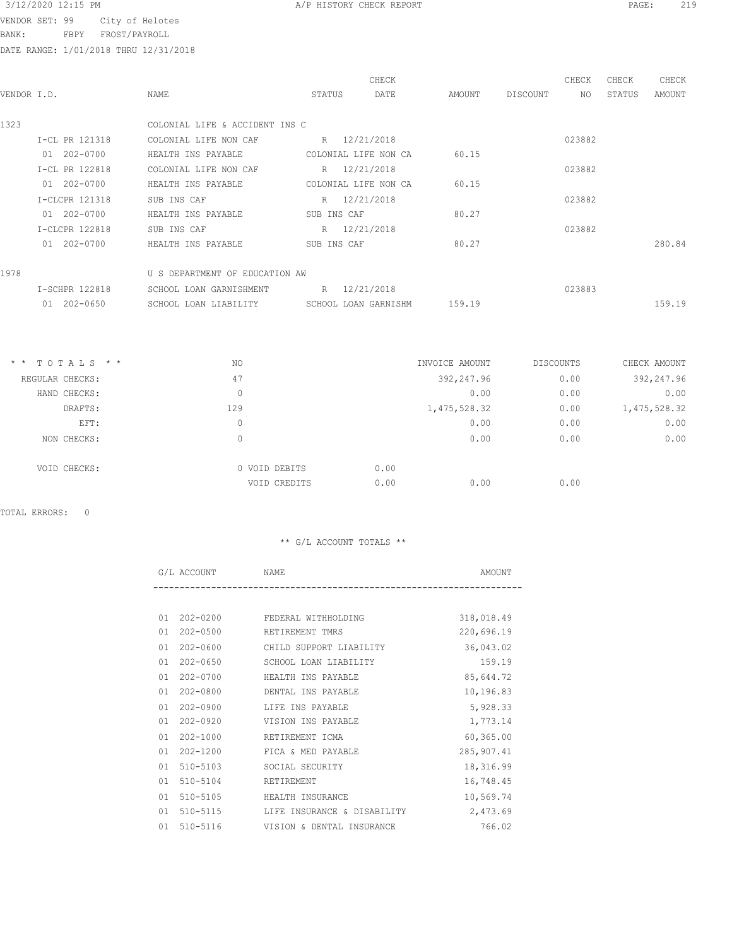VENDOR SET: 99 City of He

BANK: FBPY FROST/PAY

DATE RANGE: 1/01/2018 THRU 12/31/2018

| Helotes |  |  |  |
|---------|--|--|--|
| YROLL   |  |  |  |

|                |                         |                                                                  |                                                                                                                                                                                                       |          | CHECK  | CHECK  | CHECK  |
|----------------|-------------------------|------------------------------------------------------------------|-------------------------------------------------------------------------------------------------------------------------------------------------------------------------------------------------------|----------|--------|--------|--------|
|                | NAME                    | DATE                                                             | AMOUNT                                                                                                                                                                                                | DISCOUNT | NO.    | STATUS | AMOUNT |
|                |                         |                                                                  |                                                                                                                                                                                                       |          |        |        |        |
|                |                         |                                                                  |                                                                                                                                                                                                       |          |        |        |        |
| I-CL PR 121318 | COLONIAL LIFE NON CAF   |                                                                  |                                                                                                                                                                                                       |          | 023882 |        |        |
| 01 202-0700    | HEALTH INS PAYABLE      |                                                                  | 60.15                                                                                                                                                                                                 |          |        |        |        |
| I-CL PR 122818 | COLONIAL LIFE NON CAF   |                                                                  |                                                                                                                                                                                                       |          | 023882 |        |        |
| 01 202-0700    | HEALTH INS PAYABLE      |                                                                  | 60.15                                                                                                                                                                                                 |          |        |        |        |
| I-CLCPR 121318 | SUB INS CAF             |                                                                  |                                                                                                                                                                                                       |          | 023882 |        |        |
| 01 202-0700    | HEALTH INS PAYABLE      |                                                                  | 80.27                                                                                                                                                                                                 |          |        |        |        |
| I-CLCPR 122818 | SUB INS CAF             |                                                                  |                                                                                                                                                                                                       |          | 023882 |        |        |
| 01 202-0700    | HEALTH INS PAYABLE      |                                                                  |                                                                                                                                                                                                       |          |        |        | 280.84 |
|                |                         |                                                                  |                                                                                                                                                                                                       |          |        |        |        |
|                |                         |                                                                  |                                                                                                                                                                                                       |          |        |        |        |
| I-SCHPR 122818 | SCHOOL LOAN GARNISHMENT |                                                                  |                                                                                                                                                                                                       |          | 023883 |        |        |
| 01 202-0650    | SCHOOL LOAN LIABILITY   |                                                                  | 159.19                                                                                                                                                                                                |          |        |        | 159.19 |
|                | VENDOR I.D.             | COLONIAL LIFE & ACCIDENT INS C<br>U S DEPARTMENT OF EDUCATION AW | CHECK<br>STATUS<br>R 12/21/2018<br>COLONIAL LIFE NON CA<br>R 12/21/2018<br>COLONIAL LIFE NON CA<br>R 12/21/2018<br>SUB INS CAF<br>R 12/21/2018<br>SUB INS CAF<br>R 12/21/2018<br>SCHOOL LOAN GARNISHM | 80.27    |        |        |        |

| 392,247.96<br>47<br>0.00<br>REGULAR CHECKS:<br>0.00<br>0.00<br>HAND CHECKS:<br>0<br>0.00<br>129<br>1, 475, 528.32<br>DRAFTS:<br>0.00<br>0.00<br>EFT:<br>0<br>0.00<br>0.00<br>0<br>NON CHECKS:<br>0.00<br>0 VOID DEBITS<br>VOID CHECKS:<br>0.00<br>0.00<br>0.00<br>VOID CREDITS | $*$ * TOTALS * * | NO | INVOICE AMOUNT | <b>DISCOUNTS</b> | CHECK AMOUNT |
|--------------------------------------------------------------------------------------------------------------------------------------------------------------------------------------------------------------------------------------------------------------------------------|------------------|----|----------------|------------------|--------------|
|                                                                                                                                                                                                                                                                                |                  |    |                |                  | 392,247.96   |
|                                                                                                                                                                                                                                                                                |                  |    |                |                  | 0.00         |
|                                                                                                                                                                                                                                                                                |                  |    |                |                  | 1,475,528.32 |
|                                                                                                                                                                                                                                                                                |                  |    |                |                  | 0.00         |
|                                                                                                                                                                                                                                                                                |                  |    |                |                  | 0.00         |
|                                                                                                                                                                                                                                                                                |                  |    |                |                  |              |
|                                                                                                                                                                                                                                                                                |                  |    |                |                  |              |

TOTAL ERRORS: 0

|    | G/L ACCOUNT  | <b>NAME</b>                 | AMOUNT     |
|----|--------------|-----------------------------|------------|
|    |              |                             |            |
| 01 | $202 - 0200$ | FEDERAL WITHHOLDING         | 318,018.49 |
| 01 | 202-0500     | RETIREMENT TMRS             | 220,696.19 |
| 01 | 202-0600     | CHILD SUPPORT LIABILITY     | 36,043.02  |
| 01 | 202-0650     | SCHOOL LOAN LIABILITY       | 159.19     |
| 01 | $202 - 0700$ | HEALTH INS PAYABLE          | 85,644.72  |
| 01 | $202 - 0800$ | DENTAL INS PAYABLE          | 10,196.83  |
| 01 | $202 - 0900$ | LIFE INS PAYABLE            | 5,928.33   |
| 01 | $202 - 0920$ | VISION INS PAYABLE          | 1,773.14   |
| 01 | 202-1000     | RETIREMENT ICMA             | 60, 365.00 |
| 01 | 202-1200     | FICA & MED PAYABLE          | 285,907.41 |
| 01 | 510-5103     | SOCIAL SECURITY             | 18,316.99  |
| 01 | 510-5104     | RETIREMENT                  | 16,748.45  |
| 01 | $510 - 5105$ | HEALTH INSURANCE            | 10,569.74  |
| 01 | 510-5115     | LIFE INSURANCE & DISABILITY | 2,473.69   |
| 01 | 510-5116     | VISION & DENTAL INSURANCE   | 766.02     |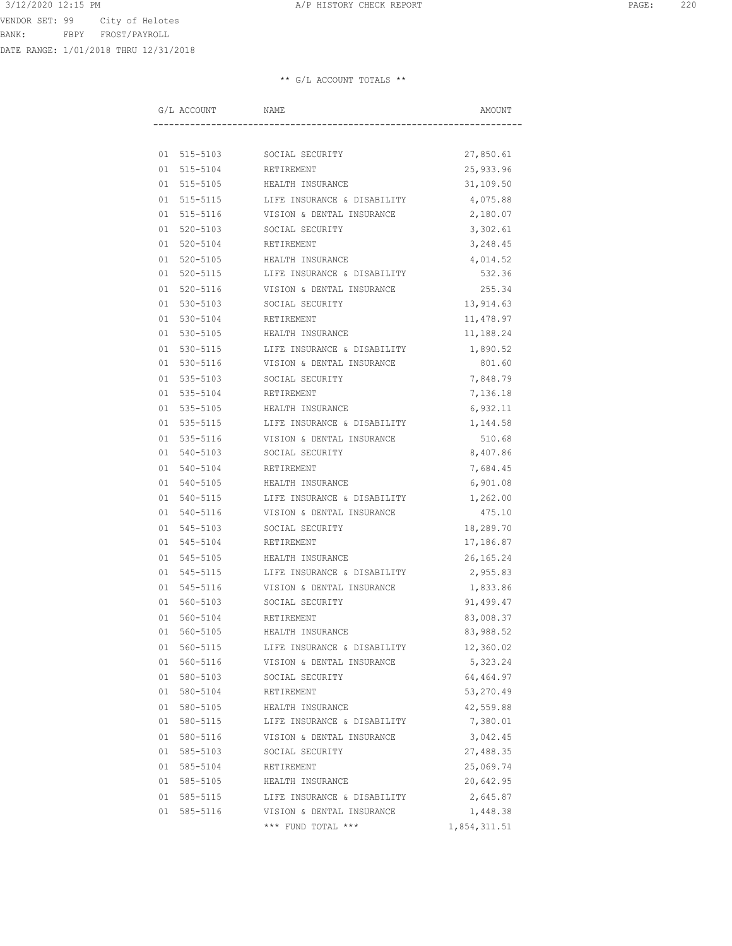VENDOR SET: 99 City of Helotes BANK: FBPY FROST/PAYROLL

DATE RANGE: 1/01/2018 THRU 12/31/2018

| G/L ACCOUNT | NAME                        | AMOUNT       |
|-------------|-----------------------------|--------------|
|             |                             |              |
|             | 01 515-5103 SOCIAL SECURITY | 27,850.61    |
|             | 01 515-5104 RETIREMENT      | 25,933.96    |
| 01 515-5105 | HEALTH INSURANCE            | 31,109.50    |
| 01 515-5115 | LIFE INSURANCE & DISABILITY | 4,075.88     |
| 01 515-5116 | VISION & DENTAL INSURANCE   | 2,180.07     |
| 01 520-5103 | SOCIAL SECURITY             | 3,302.61     |
| 01 520-5104 | RETIREMENT                  | 3,248.45     |
| 01 520-5105 | HEALTH INSURANCE            | 4,014.52     |
| 01 520-5115 | LIFE INSURANCE & DISABILITY | 532.36       |
| 01 520-5116 | VISION & DENTAL INSURANCE   | 255.34       |
| 01 530-5103 | SOCIAL SECURITY             | 13,914.63    |
| 01 530-5104 | RETIREMENT                  | 11,478.97    |
| 01 530-5105 | HEALTH INSURANCE            | 11,188.24    |
| 01 530-5115 | LIFE INSURANCE & DISABILITY | 1,890.52     |
| 01 530-5116 | VISION & DENTAL INSURANCE   | 801.60       |
| 01 535-5103 | SOCIAL SECURITY             | 7,848.79     |
| 01 535-5104 | RETIREMENT                  | 7,136.18     |
| 01 535-5105 | HEALTH INSURANCE            | 6,932.11     |
| 01 535-5115 | LIFE INSURANCE & DISABILITY | 1,144.58     |
| 01 535-5116 | VISION & DENTAL INSURANCE   | 510.68       |
| 01 540-5103 | SOCIAL SECURITY             | 8,407.86     |
| 01 540-5104 | RETIREMENT                  | 7,684.45     |
| 01 540-5105 | HEALTH INSURANCE            | 6,901.08     |
| 01 540-5115 | LIFE INSURANCE & DISABILITY | 1,262.00     |
| 01 540-5116 | VISION & DENTAL INSURANCE   | 475.10       |
| 01 545-5103 | SOCIAL SECURITY             | 18,289.70    |
| 01 545-5104 | RETIREMENT                  | 17,186.87    |
| 01 545-5105 | HEALTH INSURANCE            | 26, 165. 24  |
| 01 545-5115 | LIFE INSURANCE & DISABILITY | 2,955.83     |
| 01 545-5116 | VISION & DENTAL INSURANCE   | 1,833.86     |
| 01 560-5103 | SOCIAL SECURITY             | 91,499.47    |
| 01 560-5104 | RETIREMENT                  | 83,008.37    |
| 01 560-5105 | HEALTH INSURANCE            | 83,988.52    |
| 01 560-5115 | LIFE INSURANCE & DISABILITY | 12,360.02    |
| 01 560-5116 | VISION & DENTAL INSURANCE   | 5,323.24     |
| 01 580-5103 | SOCIAL SECURITY             | 64,464.97    |
| 01 580-5104 | RETIREMENT                  | 53,270.49    |
| 01 580-5105 | HEALTH INSURANCE            | 42,559.88    |
| 01 580-5115 | LIFE INSURANCE & DISABILITY | 7,380.01     |
| 01 580-5116 | VISION & DENTAL INSURANCE   | 3,042.45     |
| 01 585-5103 | SOCIAL SECURITY             | 27,488.35    |
| 01 585-5104 | RETIREMENT                  | 25,069.74    |
| 01 585-5105 | HEALTH INSURANCE            | 20,642.95    |
| 01 585-5115 | LIFE INSURANCE & DISABILITY | 2,645.87     |
| 01 585-5116 | VISION & DENTAL INSURANCE   | 1,448.38     |
|             | *** FUND TOTAL ***          | 1,854,311.51 |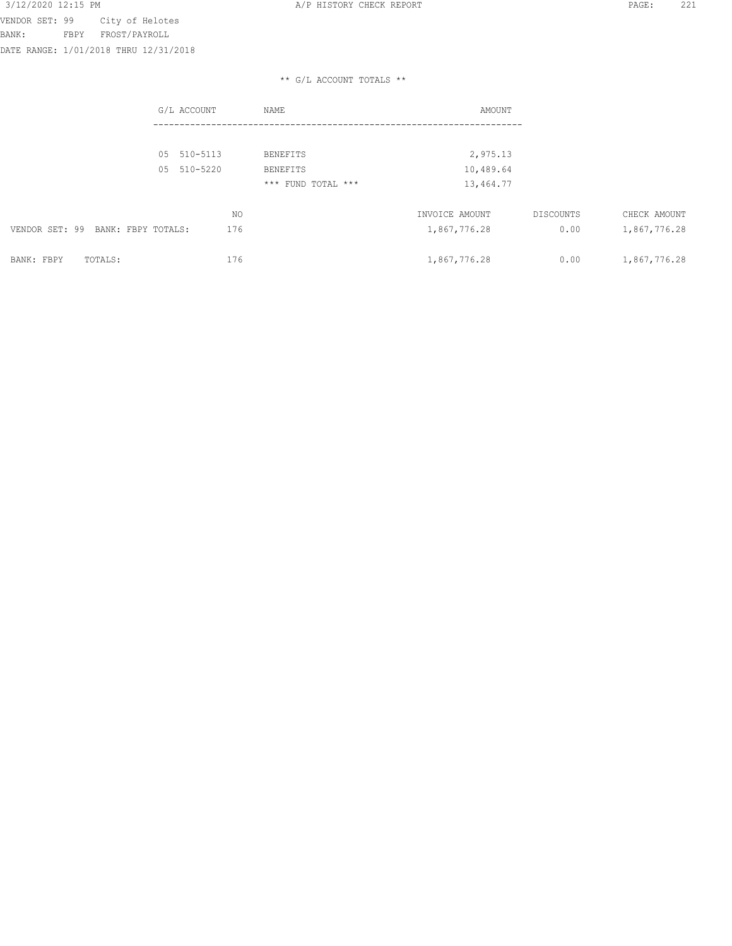VENDOR SET: 99 City of Helotes BANK: FBPY FROST/PAYROLL

DATE RANGE: 1/01/2018 THRU 12/31/2018

|                                   | G/L ACCOUNT    | NAME               | AMOUNT         |           |              |
|-----------------------------------|----------------|--------------------|----------------|-----------|--------------|
|                                   |                |                    |                |           |              |
|                                   | 510-5113<br>05 | <b>BENEFITS</b>    | 2,975.13       |           |              |
|                                   | 510-5220<br>05 | <b>BENEFITS</b>    | 10,489.64      |           |              |
|                                   |                | *** FUND TOTAL *** | 13,464.77      |           |              |
|                                   | NO             |                    | INVOICE AMOUNT | DISCOUNTS | CHECK AMOUNT |
| VENDOR SET: 99 BANK: FBPY TOTALS: | 176            |                    | 1,867,776.28   | 0.00      | 1,867,776.28 |
| BANK: FBPY<br>TOTALS:             | 176            |                    | 1,867,776.28   | 0.00      | 1,867,776.28 |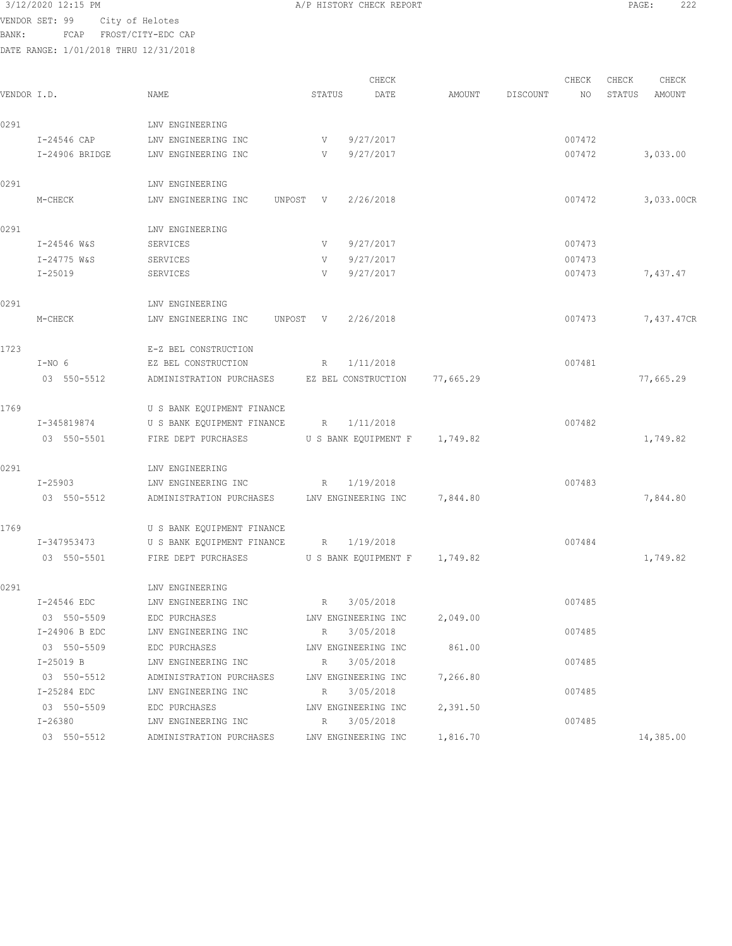BANK: FCAP FROST/CITY-EDC CAP

|             |                |                               |                 | CHECK                         |           |          | CHECK  | CHECK  | CHECK      |
|-------------|----------------|-------------------------------|-----------------|-------------------------------|-----------|----------|--------|--------|------------|
| VENDOR I.D. |                | NAME                          | STATUS          | DATE                          | AMOUNT    | DISCOUNT | NO     | STATUS | AMOUNT     |
| 0291        |                | LNV ENGINEERING               |                 |                               |           |          |        |        |            |
|             | I-24546 CAP    | LNV ENGINEERING INC           | V               | 9/27/2017                     |           |          | 007472 |        |            |
|             | I-24906 BRIDGE | LNV ENGINEERING INC           | V               | 9/27/2017                     |           |          | 007472 |        | 3,033.00   |
| 0291        |                | LNV ENGINEERING               |                 |                               |           |          |        |        |            |
|             | M-CHECK        | LNV ENGINEERING INC           | UNPOST V        | 2/26/2018                     |           |          | 007472 |        | 3,033.00CR |
| 0291        |                | LNV ENGINEERING               |                 |                               |           |          |        |        |            |
|             | I-24546 W&S    | SERVICES                      | V               | 9/27/2017                     |           |          | 007473 |        |            |
|             | I-24775 W&S    | SERVICES                      | V               | 9/27/2017                     |           |          | 007473 |        |            |
|             | $I - 25019$    | SERVICES                      | V               | 9/27/2017                     |           |          | 007473 |        | 7,437.47   |
| 0291        |                | LNV ENGINEERING               |                 |                               |           |          |        |        |            |
|             | M-CHECK        | LNV ENGINEERING INC<br>UNPOST | V               | 2/26/2018                     |           |          | 007473 |        | 7,437.47CR |
| 1723        |                | E-Z BEL CONSTRUCTION          |                 |                               |           |          |        |        |            |
|             | $I-NO 6$       | EZ BEL CONSTRUCTION           | R               | 1/11/2018                     |           |          | 007481 |        |            |
|             | 03 550-5512    | ADMINISTRATION PURCHASES      |                 | EZ BEL CONSTRUCTION           | 77,665.29 |          |        |        | 77,665.29  |
| 1769        |                | U S BANK EQUIPMENT FINANCE    |                 |                               |           |          |        |        |            |
|             | I-345819874    | U S BANK EQUIPMENT FINANCE    | R               | 1/11/2018                     |           |          | 007482 |        |            |
|             | 03 550-5501    | FIRE DEPT PURCHASES           |                 | U S BANK EQUIPMENT F          | 1,749.82  |          |        |        | 1,749.82   |
| 0291        |                | LNV ENGINEERING               |                 |                               |           |          |        |        |            |
|             | $I - 25903$    | LNV ENGINEERING INC           | R               | 1/19/2018                     |           |          | 007483 |        |            |
|             | 03 550-5512    | ADMINISTRATION PURCHASES      |                 | LNV ENGINEERING INC           | 7,844.80  |          |        |        | 7,844.80   |
| 1769        |                | U S BANK EQUIPMENT FINANCE    |                 |                               |           |          |        |        |            |
|             | I-347953473    | U S BANK EQUIPMENT FINANCE    | $R_{\parallel}$ | 1/19/2018                     |           |          | 007484 |        |            |
|             | 03 550-5501    | FIRE DEPT PURCHASES           |                 | U S BANK EQUIPMENT F 1,749.82 |           |          |        |        | 1,749.82   |
| 0291        |                | LNV ENGINEERING               |                 |                               |           |          |        |        |            |
|             | I-24546 EDC    | LNV ENGINEERING INC           | R               | 3/05/2018                     |           |          | 007485 |        |            |
|             | 03 550-5509    | EDC PURCHASES                 |                 | LNV ENGINEERING INC           | 2,049.00  |          |        |        |            |
|             | I-24906 B EDC  | LNV ENGINEERING INC           | R               | 3/05/2018                     |           |          | 007485 |        |            |
|             | 03 550-5509    | EDC PURCHASES                 |                 | LNV ENGINEERING INC           | 861.00    |          |        |        |            |
|             | I-25019 B      | LNV ENGINEERING INC           | R               | 3/05/2018                     |           |          | 007485 |        |            |
|             | 03 550-5512    | ADMINISTRATION PURCHASES      |                 | LNV ENGINEERING INC           | 7,266.80  |          |        |        |            |
|             | I-25284 EDC    | LNV ENGINEERING INC           | R               | 3/05/2018                     |           |          | 007485 |        |            |
|             | 03 550-5509    | EDC PURCHASES                 |                 | LNV ENGINEERING INC           | 2,391.50  |          |        |        |            |
|             | $I - 26380$    | LNV ENGINEERING INC           | $\mathbb{R}$    | 3/05/2018                     |           |          | 007485 |        |            |
|             | 03 550-5512    | ADMINISTRATION PURCHASES      |                 | LNV ENGINEERING INC           | 1,816.70  |          |        |        | 14,385.00  |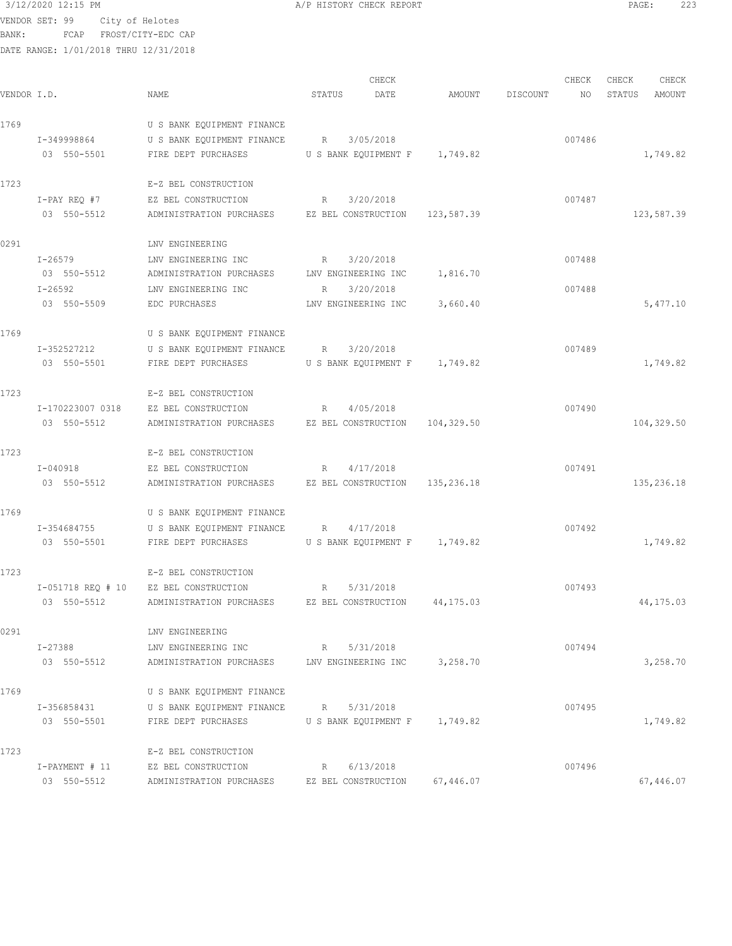```
3/12/2020 12:15 PM A/P HISTORY CHECK REPORT PAGE: 223
```
BANK: FCAP FROST/CITY-EDC CAP

|             | DATE RANGE: 1/01/2018 THRU 12/31/2018 |                                                                    |                                       |                 |        |        |            |
|-------------|---------------------------------------|--------------------------------------------------------------------|---------------------------------------|-----------------|--------|--------|------------|
|             |                                       |                                                                    | CHECK                                 |                 | CHECK  | CHECK  | CHECK      |
| VENDOR I.D. |                                       | NAME                                                               | STATUS<br>DATE                        | AMOUNT DISCOUNT | NO     | STATUS | AMOUNT     |
| 1769        |                                       | U S BANK EQUIPMENT FINANCE                                         |                                       |                 |        |        |            |
|             | I-349998864                           | U S BANK EQUIPMENT FINANCE R                                       | 3/05/2018                             |                 | 007486 |        |            |
|             | 03 550-5501                           | FIRE DEPT PURCHASES                                                | U S BANK EQUIPMENT F 1,749.82         |                 |        |        | 1,749.82   |
| 1723        |                                       | E-Z BEL CONSTRUCTION                                               |                                       |                 |        |        |            |
|             | I-PAY REO #7                          | EZ BEL CONSTRUCTION                                                | 3/20/2018<br>$R_{\rm{1}}$             |                 | 007487 |        |            |
|             | 03 550-5512                           | ADMINISTRATION PURCHASES EZ BEL CONSTRUCTION 123,587.39            |                                       |                 |        |        | 123,587.39 |
| 0291        |                                       | LNV ENGINEERING                                                    |                                       |                 |        |        |            |
|             | $I - 26579$                           | LNV ENGINEERING INC<br>$R = \frac{1}{2}$                           | 3/20/2018                             |                 | 007488 |        |            |
|             |                                       | 03 550-5512 ADMINISTRATION PURCHASES LNV ENGINEERING INC 1,816.70  |                                       |                 |        |        |            |
|             | $I - 26592$<br>03 550-5509            | LNV ENGINEERING INC                                                | 3/20/2018<br>R<br>LNV ENGINEERING INC | 3,660.40        | 007488 |        | 5,477.10   |
|             |                                       | EDC PURCHASES                                                      |                                       |                 |        |        |            |
| 1769        |                                       | U S BANK EQUIPMENT FINANCE                                         |                                       |                 |        |        |            |
|             | I-352527212                           | U S BANK EQUIPMENT FINANCE R 3/20/2018                             |                                       |                 | 007489 |        |            |
|             | 03 550-5501                           | FIRE DEPT PURCHASES                                                | U S BANK EQUIPMENT F 1,749.82         |                 |        |        | 1,749.82   |
| 1723        |                                       | E-Z BEL CONSTRUCTION                                               |                                       |                 |        |        |            |
|             | I-170223007 0318                      | EZ BEL CONSTRUCTION                                                | R 4/05/2018                           |                 | 007490 |        |            |
|             | 03 550-5512                           | ADMINISTRATION PURCHASES EZ BEL CONSTRUCTION 104,329.50            |                                       |                 |        |        | 104,329.50 |
| 1723        |                                       | E-Z BEL CONSTRUCTION                                               |                                       |                 |        |        |            |
|             | I-040918                              | EZ BEL CONSTRUCTION                                                | R<br>4/17/2018                        |                 | 007491 |        |            |
|             | 03 550-5512                           | ADMINISTRATION PURCHASES EZ BEL CONSTRUCTION 135,236.18            |                                       |                 |        |        | 135,236.18 |
| 1769        |                                       | U S BANK EQUIPMENT FINANCE                                         |                                       |                 |        |        |            |
|             | I-354684755                           | U S BANK EQUIPMENT FINANCE R 4/17/2018                             |                                       |                 | 007492 |        |            |
|             | 03 550-5501                           | FIRE DEPT PURCHASES US BANK EQUIPMENT F 1,749.82                   |                                       |                 |        |        | 1,749.82   |
| 1723        |                                       | E-Z BEL CONSTRUCTION                                               |                                       |                 |        |        |            |
|             |                                       | I-051718 REQ # 10 EZ BEL CONSTRUCTION                              | 5/31/2018<br>R                        |                 | 007493 |        |            |
|             |                                       | 03 550-5512 ADMINISTRATION PURCHASES EZ BEL CONSTRUCTION 44,175.03 |                                       |                 |        |        | 44,175.03  |
| 0291        |                                       | LNV ENGINEERING                                                    |                                       |                 |        |        |            |
|             | I-27388                               | LNV ENGINEERING INC                                                | 5/31/2018<br>$R$ and $R$              |                 | 007494 |        |            |
|             | 03 550-5512                           | ADMINISTRATION PURCHASES LNV ENGINEERING INC                       |                                       | 3,258.70        |        |        | 3,258.70   |
| 1769        |                                       | U S BANK EQUIPMENT FINANCE                                         |                                       |                 |        |        |            |
|             | I-356858431                           | U S BANK EQUIPMENT FINANCE                                         | 5/31/2018<br>R                        |                 | 007495 |        |            |
|             | 03 550-5501                           | FIRE DEPT PURCHASES                                                | U S BANK EQUIPMENT F 1,749.82         |                 |        |        | 1,749.82   |
| 1723        |                                       | E-Z BEL CONSTRUCTION                                               |                                       |                 |        |        |            |
|             | I-PAYMENT # 11                        | EZ BEL CONSTRUCTION                                                | R 6/13/2018                           |                 | 007496 |        |            |
|             |                                       | 03 550-5512 ADMINISTRATION PURCHASES EZ BEL CONSTRUCTION 67,446.07 |                                       |                 |        |        | 67,446.07  |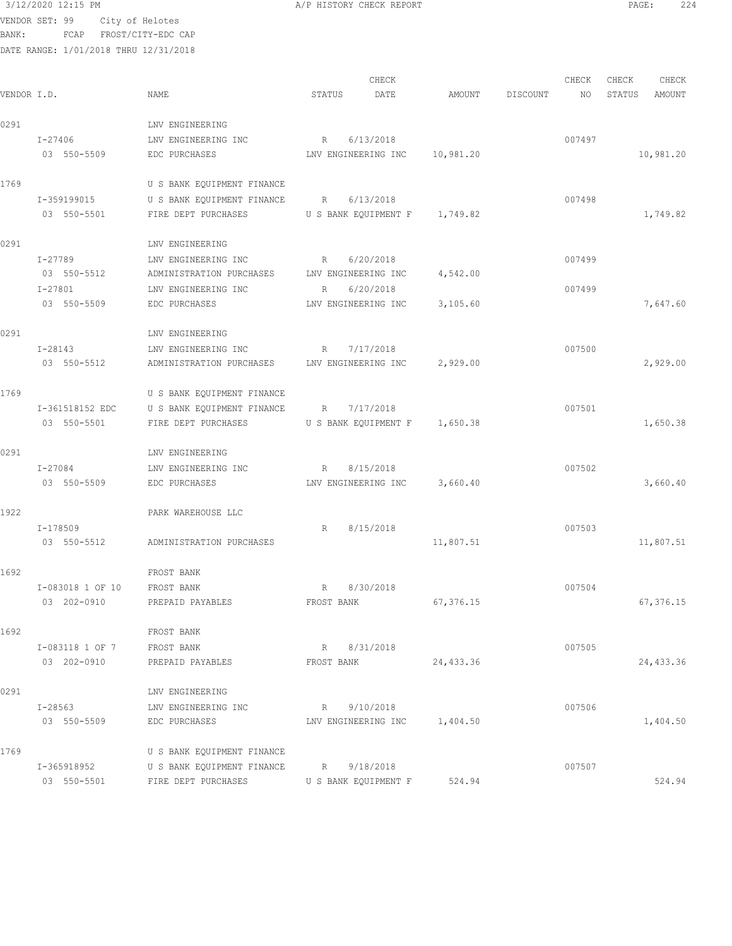BANK: FCAP FROST/CITY-EDC CAP

| 3/12/2020 12<br>$12:15$ PM | CHECK REPORT<br>1170000011<br>$\overline{1}$<br>---------- | PAGE: | 221<br>. |
|----------------------------|------------------------------------------------------------|-------|----------|
|                            |                                                            |       |          |

|             |                  |                                                       |                               | CHECK |           |          | CHECK  | CHECK  | CHECK     |
|-------------|------------------|-------------------------------------------------------|-------------------------------|-------|-----------|----------|--------|--------|-----------|
| VENDOR I.D. |                  | <b>NAME</b>                                           | STATUS                        | DATE  | AMOUNT    | DISCOUNT | NO     | STATUS | AMOUNT    |
| 0291        |                  | LNV ENGINEERING                                       |                               |       |           |          |        |        |           |
|             | I-27406          | LNV ENGINEERING INC                                   | 6/13/2018<br>R                |       |           |          | 007497 |        |           |
|             | 03 550-5509      | EDC PURCHASES                                         | LNV ENGINEERING INC           |       | 10,981.20 |          |        |        | 10,981.20 |
|             |                  |                                                       |                               |       |           |          |        |        |           |
| 1769        |                  | U S BANK EQUIPMENT FINANCE                            |                               |       |           |          |        |        |           |
|             | I-359199015      | U S BANK EQUIPMENT FINANCE R                          | 6/13/2018                     |       |           |          | 007498 |        |           |
|             | 03 550-5501      | FIRE DEPT PURCHASES U S BANK EQUIPMENT F 1,749.82     |                               |       |           |          |        |        | 1,749.82  |
| 0291        |                  | LNV ENGINEERING                                       |                               |       |           |          |        |        |           |
|             | I-27789          | LNV ENGINEERING INC<br>R                              | 6/20/2018                     |       |           |          | 007499 |        |           |
|             | 03 550-5512      | ADMINISTRATION PURCHASES LNV ENGINEERING INC          |                               |       | 4,542.00  |          |        |        |           |
|             | $I - 27801$      | LNV ENGINEERING INC                                   | R 6/20/2018                   |       |           |          | 007499 |        |           |
|             | 03 550-5509      | EDC PURCHASES                                         | LNV ENGINEERING INC           |       | 3,105.60  |          |        |        | 7,647.60  |
|             |                  |                                                       |                               |       |           |          |        |        |           |
| 0291        |                  | LNV ENGINEERING                                       |                               |       |           |          |        |        |           |
|             | I-28143          | LNV ENGINEERING INC                                   | R 7/17/2018                   |       |           |          | 007500 |        |           |
|             | 03 550-5512      | ADMINISTRATION PURCHASES LNV ENGINEERING INC 2,929.00 |                               |       |           |          |        |        | 2,929.00  |
| 1769        |                  | U S BANK EQUIPMENT FINANCE                            |                               |       |           |          |        |        |           |
|             | I-361518152 EDC  | U S BANK EQUIPMENT FINANCE R 7/17/2018                |                               |       |           |          | 007501 |        |           |
|             | 03 550-5501      | FIRE DEPT PURCHASES                                   | U S BANK EQUIPMENT F 1,650.38 |       |           |          |        |        | 1,650.38  |
|             |                  |                                                       |                               |       |           |          |        |        |           |
| 0291        |                  | LNV ENGINEERING                                       |                               |       |           |          |        |        |           |
|             | I-27084          | LNV ENGINEERING INC                                   | R 8/15/2018                   |       |           |          | 007502 |        |           |
|             | 03 550-5509      | EDC PURCHASES                                         | LNV ENGINEERING INC 3,660.40  |       |           |          |        |        | 3,660.40  |
| 1922        |                  | PARK WAREHOUSE LLC                                    |                               |       |           |          |        |        |           |
|             | I-178509         |                                                       | 8/15/2018<br>$R_{\parallel}$  |       |           |          | 007503 |        |           |
|             | 03 550-5512      | ADMINISTRATION PURCHASES                              |                               |       | 11,807.51 |          |        |        | 11,807.51 |
|             |                  |                                                       |                               |       |           |          |        |        |           |
| 1692        |                  | FROST BANK                                            |                               |       |           |          |        |        |           |
|             | I-083018 1 OF 10 | FROST BANK                                            | 8/30/2018<br>R                |       |           |          | 007504 |        |           |
|             | 03 202-0910      | PREPAID PAYABLES                                      | FROST BANK                    |       | 67,376.15 |          |        |        | 67,376.15 |
| 1692        |                  | FROST BANK                                            |                               |       |           |          |        |        |           |
|             | I-083118 1 OF 7  | FROST BANK                                            | R 8/31/2018                   |       |           |          | 007505 |        |           |
|             | 03 202-0910      | PREPAID PAYABLES                                      | FROST BANK                    |       | 24,433.36 |          |        |        | 24,433.36 |
|             |                  |                                                       |                               |       |           |          |        |        |           |
| 0291        |                  | LNV ENGINEERING                                       |                               |       |           |          |        |        |           |
|             | I-28563          | LNV ENGINEERING INC                                   | R 9/10/2018                   |       |           |          | 007506 |        |           |
|             | 03 550-5509      | EDC PURCHASES                                         | LNV ENGINEERING INC           |       | 1,404.50  |          |        |        | 1,404.50  |
| 1769        |                  | U S BANK EQUIPMENT FINANCE                            |                               |       |           |          |        |        |           |
|             | I-365918952      | U S BANK EQUIPMENT FINANCE                            | R 9/18/2018                   |       |           |          | 007507 |        |           |
|             | 03 550-5501      | FIRE DEPT PURCHASES                                   | U S BANK EQUIPMENT F 524.94   |       |           |          |        |        | 524.94    |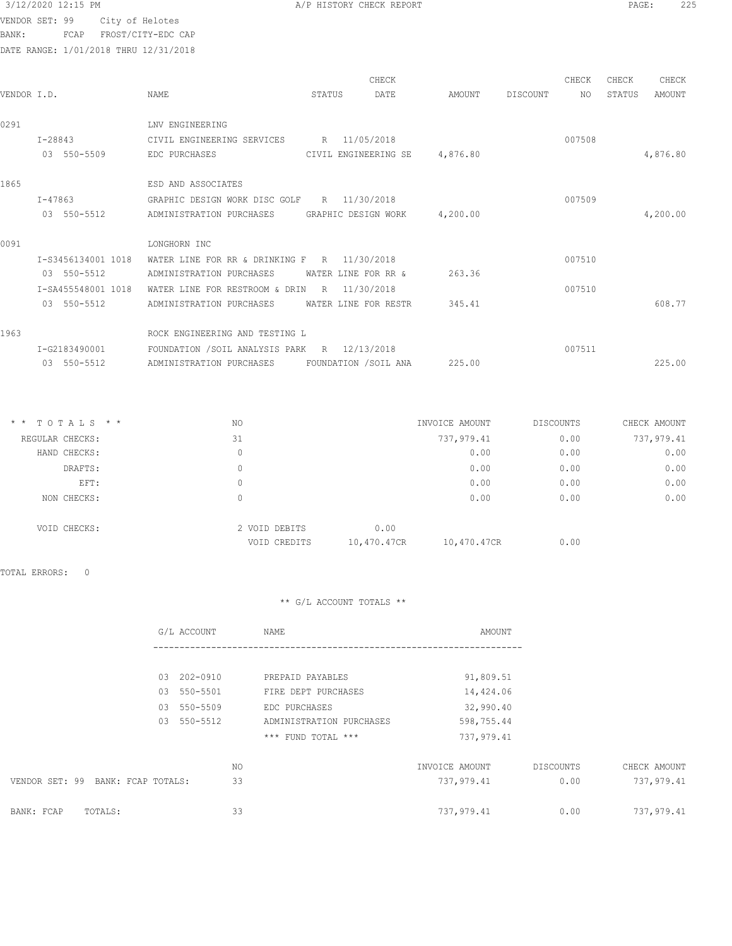BANK: FCAP FROST/CITY-EDC CAP

DATE RANGE: 1/01/2018 THRU 12/31/2018

| 3/12/2020 12:15 PM<br>PAGE<br>A/P HISTORY CHECK REPORT | つつに |
|--------------------------------------------------------|-----|
|--------------------------------------------------------|-----|

|                    |                               |   | CHECK                                                                                               |                                                                                                                                                                                                                       |                                                      | CHECK  | CHECK  | CHECK    |
|--------------------|-------------------------------|---|-----------------------------------------------------------------------------------------------------|-----------------------------------------------------------------------------------------------------------------------------------------------------------------------------------------------------------------------|------------------------------------------------------|--------|--------|----------|
| VENDOR I.D.        | <b>NAME</b>                   |   | DATE                                                                                                | AMOUNT                                                                                                                                                                                                                | DISCOUNT                                             | NO.    | STATUS | AMOUNT   |
|                    |                               |   |                                                                                                     |                                                                                                                                                                                                                       |                                                      |        |        |          |
|                    | LNV ENGINEERING               |   |                                                                                                     |                                                                                                                                                                                                                       |                                                      |        |        |          |
| $I - 28843$        |                               |   |                                                                                                     |                                                                                                                                                                                                                       |                                                      | 007508 |        |          |
| 03 550-5509        | EDC PURCHASES                 |   |                                                                                                     | 4,876.80                                                                                                                                                                                                              |                                                      |        |        | 4,876.80 |
|                    |                               |   |                                                                                                     |                                                                                                                                                                                                                       |                                                      |        |        |          |
|                    | ESD AND ASSOCIATES            |   |                                                                                                     |                                                                                                                                                                                                                       |                                                      |        |        |          |
| I-47863            | GRAPHIC DESIGN WORK DISC GOLF |   |                                                                                                     |                                                                                                                                                                                                                       |                                                      | 007509 |        |          |
| 03 550-5512        | ADMINISTRATION PURCHASES      |   |                                                                                                     |                                                                                                                                                                                                                       |                                                      |        |        | 4,200.00 |
|                    |                               |   |                                                                                                     |                                                                                                                                                                                                                       |                                                      |        |        |          |
|                    | LONGHORN INC                  |   |                                                                                                     |                                                                                                                                                                                                                       |                                                      |        |        |          |
| I-S3456134001 1018 |                               |   |                                                                                                     |                                                                                                                                                                                                                       |                                                      | 007510 |        |          |
| 03 550-5512        | ADMINISTRATION PURCHASES      |   |                                                                                                     | 263.36                                                                                                                                                                                                                |                                                      |        |        |          |
| I-SA455548001 1018 |                               | R |                                                                                                     |                                                                                                                                                                                                                       |                                                      | 007510 |        |          |
| 03 550-5512        | ADMINISTRATION PURCHASES      |   |                                                                                                     | 345.41                                                                                                                                                                                                                |                                                      |        |        | 608.77   |
|                    |                               |   |                                                                                                     |                                                                                                                                                                                                                       |                                                      |        |        |          |
|                    |                               |   |                                                                                                     |                                                                                                                                                                                                                       |                                                      |        |        |          |
| I-G2183490001      |                               |   |                                                                                                     |                                                                                                                                                                                                                       |                                                      | 007511 |        |          |
| 03 550-5512        | ADMINISTRATION PURCHASES      |   |                                                                                                     | 225.00                                                                                                                                                                                                                |                                                      |        |        | 225.00   |
|                    |                               |   | WATER LINE FOR RESTROOM & DRIN<br>ROCK ENGINEERING AND TESTING L<br>FOUNDATION / SOIL ANALYSIS PARK | STATUS<br>CIVIL ENGINEERING SERVICES R 11/05/2018<br>R 11/30/2018<br>WATER LINE FOR RR & DRINKING F R 11/30/2018<br>WATER LINE FOR RR &<br>11/30/2018<br>WATER LINE FOR RESTR<br>R 12/13/2018<br>FOUNDATION /SOIL ANA | CIVIL ENGINEERING SE<br>GRAPHIC DESIGN WORK 4,200.00 |        |        |          |

| $*$ * TOTALS * * | NO            | INVOICE AMOUNT             | DISCOUNTS | CHECK AMOUNT |
|------------------|---------------|----------------------------|-----------|--------------|
| REGULAR CHECKS:  | 31            | 737,979.41                 | 0.00      | 737,979.41   |
| HAND CHECKS:     | 0             | 0.00                       | 0.00      | 0.00         |
| DRAFTS:          | 0             | 0.00                       | 0.00      | 0.00         |
| EFT:             | 0             | 0.00                       | 0.00      | 0.00         |
| NON CHECKS:      | 0             | 0.00                       | 0.00      | 0.00         |
| VOID CHECKS:     | 2 VOID DEBITS | 0.00                       |           |              |
|                  | VOID CREDITS  | 10,470.47CR<br>10,470.47CR | 0.00      |              |
|                  |               |                            |           |              |

TOTAL ERRORS: 0

|                                      | G/L ACCOUNT    |    | NAME                     | AMOUNT         |           |              |
|--------------------------------------|----------------|----|--------------------------|----------------|-----------|--------------|
|                                      |                |    |                          |                |           |              |
|                                      | 202-0910<br>03 |    | PREPAID PAYABLES         | 91,809.51      |           |              |
|                                      | 550-5501<br>03 |    | FIRE DEPT PURCHASES      | 14,424.06      |           |              |
|                                      | 03 550-5509    |    | EDC PURCHASES            | 32,990.40      |           |              |
|                                      | 550-5512<br>03 |    | ADMINISTRATION PURCHASES | 598,755.44     |           |              |
|                                      |                |    | *** FUND TOTAL ***       | 737,979.41     |           |              |
|                                      |                | NO |                          | INVOICE AMOUNT | DISCOUNTS | CHECK AMOUNT |
| VENDOR SET: 99<br>BANK: FCAP TOTALS: |                | 33 |                          | 737,979.41     | 0.00      | 737,979.41   |
| BANK: FCAP<br>TOTALS:                |                | 33 |                          | 737,979.41     | 0.00      | 737,979.41   |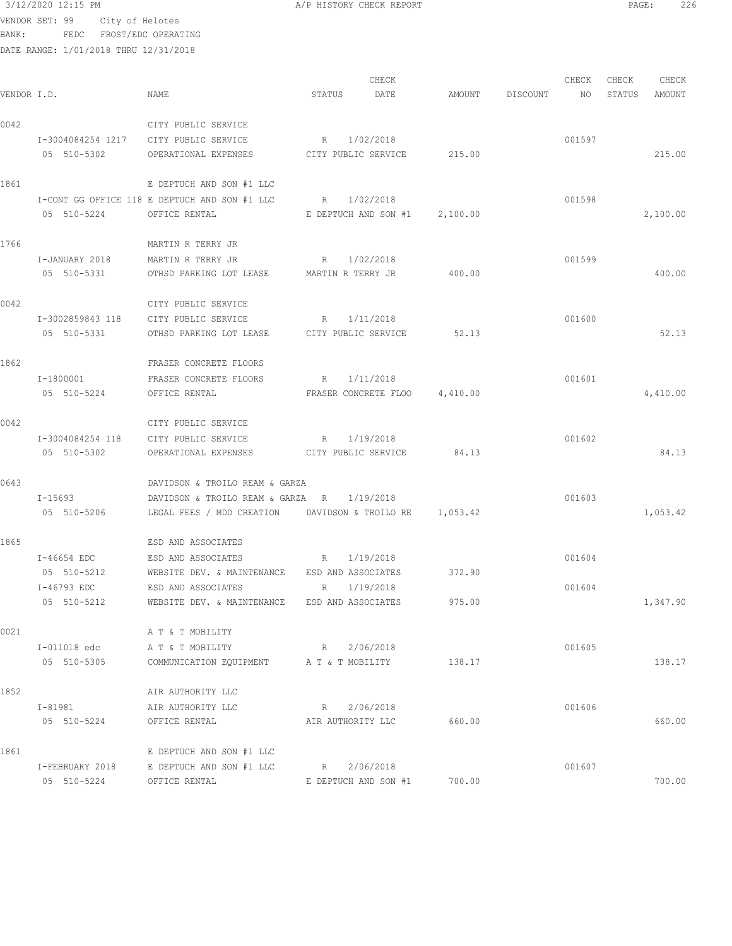|             | DATE RANGE: 1/01/2018 THRU 12/31/2018 |                                                         |                                 |           |                 |        |        |          |
|-------------|---------------------------------------|---------------------------------------------------------|---------------------------------|-----------|-----------------|--------|--------|----------|
|             |                                       |                                                         |                                 | CHECK     |                 | CHECK  | CHECK  | CHECK    |
| VENDOR I.D. |                                       | NAME                                                    | STATUS                          | DATE      | AMOUNT DISCOUNT | NO     | STATUS | AMOUNT   |
| 0042        |                                       | CITY PUBLIC SERVICE                                     |                                 |           |                 |        |        |          |
|             | I-3004084254 1217 CITY PUBLIC SERVICE |                                                         | R 1/02/2018                     |           |                 | 001597 |        |          |
|             | 05 510-5302                           | OPERATIONAL EXPENSES                                    | CITY PUBLIC SERVICE 215.00      |           |                 |        |        | 215.00   |
| 1861        |                                       | E DEPTUCH AND SON #1 LLC                                |                                 |           |                 |        |        |          |
|             |                                       | I-CONT GG OFFICE 118 E DEPTUCH AND SON #1 LLC           | R 1/02/2018                     |           |                 | 001598 |        |          |
|             | 05 510-5224 OFFICE RENTAL             |                                                         | E DEPTUCH AND SON $#1$ 2,100.00 |           |                 |        |        | 2,100.00 |
| 1766        |                                       | MARTIN R TERRY JR                                       |                                 |           |                 |        |        |          |
|             | I-JANUARY 2018                        | MARTIN R TERRY JR                                       | R 1/02/2018                     |           |                 | 001599 |        |          |
|             |                                       | 05 510-5331 OTHSD PARKING LOT LEASE MARTIN R TERRY JR   |                                 |           | 400.00          |        |        | 400.00   |
| 0042        |                                       | CITY PUBLIC SERVICE                                     |                                 |           |                 |        |        |          |
|             | I-3002859843 118 CITY PUBLIC SERVICE  |                                                         | R 1/11/2018                     |           |                 | 001600 |        |          |
|             | 05 510-5331                           | OTHSD PARKING LOT LEASE CITY PUBLIC SERVICE             |                                 |           | 52.13           |        |        | 52.13    |
| 1862        |                                       | FRASER CONCRETE FLOORS                                  |                                 |           |                 |        |        |          |
|             | I-1800001                             | FRASER CONCRETE FLOORS                                  | R 1/11/2018                     |           |                 | 001601 |        |          |
|             | 05 510-5224                           | OFFICE RENTAL                                           | FRASER CONCRETE FLOO 4,410.00   |           |                 |        |        | 4,410.00 |
| 0042        |                                       | CITY PUBLIC SERVICE                                     |                                 |           |                 |        |        |          |
|             | I-3004084254 118                      | CITY PUBLIC SERVICE                                     | R 1/19/2018                     |           |                 | 001602 |        |          |
|             | 05 510-5302                           | OPERATIONAL EXPENSES CITY PUBLIC SERVICE                |                                 |           | 84.13           |        |        | 84.13    |
| 0643        |                                       | DAVIDSON & TROILO REAM & GARZA                          |                                 |           |                 |        |        |          |
|             | $I - 15693$                           | DAVIDSON & TROILO REAM & GARZA R 1/19/2018              |                                 |           |                 | 001603 |        |          |
|             | 05 510-5206                           | LEGAL FEES / MDD CREATION DAVIDSON & TROILO RE 1,053.42 |                                 |           |                 |        |        | 1,053.42 |
| 1865        |                                       | ESD AND ASSOCIATES                                      |                                 |           |                 |        |        |          |
|             | I-46654 EDC                           | ESD AND ASSOCIATES<br>R                                 | 1/19/2018                       |           |                 | 001604 |        |          |
|             | 05 510-5212                           | WEBSITE DEV. & MAINTENANCE ESD AND ASSOCIATES 372.90    |                                 |           |                 |        |        |          |
|             | I-46793 EDC                           | ESD AND ASSOCIATES                                      | R                               | 1/19/2018 |                 | 001604 |        |          |
|             | 05 510-5212                           | WEBSITE DEV. & MAINTENANCE ESD AND ASSOCIATES           |                                 |           | 975.00          |        |        | 1,347.90 |
| 0021        |                                       | A T & T MOBILITY                                        |                                 |           |                 |        |        |          |
|             | I-011018 edc                          | A T & T MOBILITY                                        | R                               | 2/06/2018 |                 | 001605 |        |          |
|             | 05 510-5305                           | COMMUNICATION EQUIPMENT A T & T MOBILITY                |                                 |           | 138.17          |        |        | 138.17   |
| 1852        |                                       | AIR AUTHORITY LLC                                       |                                 |           |                 |        |        |          |
|             | I-81981                               | AIR AUTHORITY LLC                                       | R                               | 2/06/2018 |                 | 001606 |        |          |
|             | 05 510-5224                           | OFFICE RENTAL                                           | AIR AUTHORITY LLC               |           | 660.00          |        |        | 660.00   |
| 1861        |                                       | E DEPTUCH AND SON #1 LLC                                |                                 |           |                 |        |        |          |
|             | I-FEBRUARY 2018                       | E DEPTUCH AND SON #1 LLC                                | R                               | 2/06/2018 |                 | 001607 |        |          |
|             | 05 510-5224                           | OFFICE RENTAL                                           | E DEPTUCH AND SON #1            |           | 700.00          |        |        | 700.00   |

VENDOR SET: 99 City of Helotes BANK: FEDC FROST/EDC OPERATING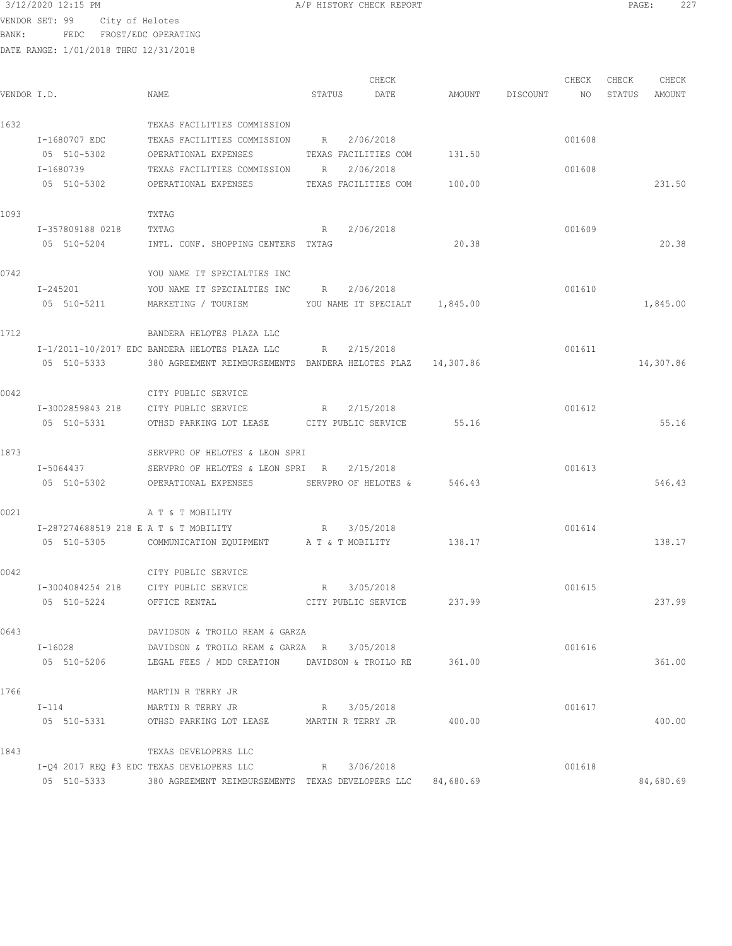BANK: FEDC FROST/EDC OPERATING

DATE RANGE: 1/01/2018 THRU 12/31/2018

CHECK CHECK CHECK CHECK VENDOR I.D. NAME STATUS DATE AMOUNT DISCOUNT NO STATUS AMOUNT 1632 TEXAS FACILITIES COMMISSION I-1680707 EDC TEXAS FACILITIES COMMISSION R 2/06/2018<br>05 510-5302 OPERATIONAL EXPENSES TEXAS FACILITIES COM 131.50 OPERATIONAL EXPENSES TEXAS FACILITIES COM 131.50 I-1680739 TEXAS FACILITIES COMMISSION R 2/06/2018 001608 05 510-5302 OPERATIONAL EXPENSES TEXAS FACILITIES COM 100.00 231.50 1093 TXTAG I-357809188 0218 TXTAG R 2/06/2018 001609 05 510-5204 INTL. CONF. SHOPPING CENTERS TXTAG 20.38 20.38 0742 YOU NAME IT SPECIALTIES INC I-245201 YOU NAME IT SPECIALTIES INC R 2/06/2018 05 510-5211 MARKETING / TOURISM YOU NAME IT SPECIALT 1,845.00 1,845.00 1,845.00 1712 BANDERA HELOTES PLAZA LLC I-1/2011-10/2017 EDC BANDERA HELOTES PLAZA LLC R 2/15/2018 001611 05 510-5333 380 AGREEMENT REIMBURSEMENTS BANDERA HELOTES PLAZ 14,307.86 14,307.86 14,307.86 0042 CITY PUBLIC SERVICE I-3002859843 218 CITY PUBLIC SERVICE R 2/15/2018 001612 05 510-5331 OTHSD PARKING LOT LEASE CITY PUBLIC SERVICE 55.16 55.16 55.16 55.16 1873 SERVPRO OF HELOTES & LEON SPRI I-5064437 SERVPRO OF HELOTES & LEON SPRI R 2/15/2018 001613 05 510-5302 OPERATIONAL EXPENSES SERVPRO OF HELOTES & 546.43 0021 A T & T MOBILITY I-287274688519 218 E A T & T MOBILITY R 3/05/2018 001614 05 510-5305 COMMUNICATION EQUIPMENT A T & T MOBILITY 138.17 138.17 138.17 0042 CITY PUBLIC SERVICE I-3004084254 218 CITY PUBLIC SERVICE R 3/05/2018 001615 05 510-5224 OFFICE RENTAL CITY PUBLIC SERVICE 237.99 237.99 0643 DAVIDSON & TROILO REAM & GARZA I-16028 DAVIDSON & TROILO REAM & GARZA R 3/05/2018 001616 05 510-5206 LEGAL FEES / MDD CREATION DAVIDSON & TROILO RE 361.00 361.00 1766 MARTIN R TERRY JR I-114 MARTIN R TERRY JR R 3/05/2018 001617 05 510-5331 OTHSD PARKING LOT LEASE MARTIN R TERRY JR 400.00 400.00 1843 TEXAS DEVELOPERS LLC I-Q4 2017 REQ #3 EDC TEXAS DEVELOPERS LLC R 3/06/2018 001618 05 510-5333 380 AGREEMENT REIMBURSEMENTS TEXAS DEVELOPERS LLC 84,680.69 84,680.69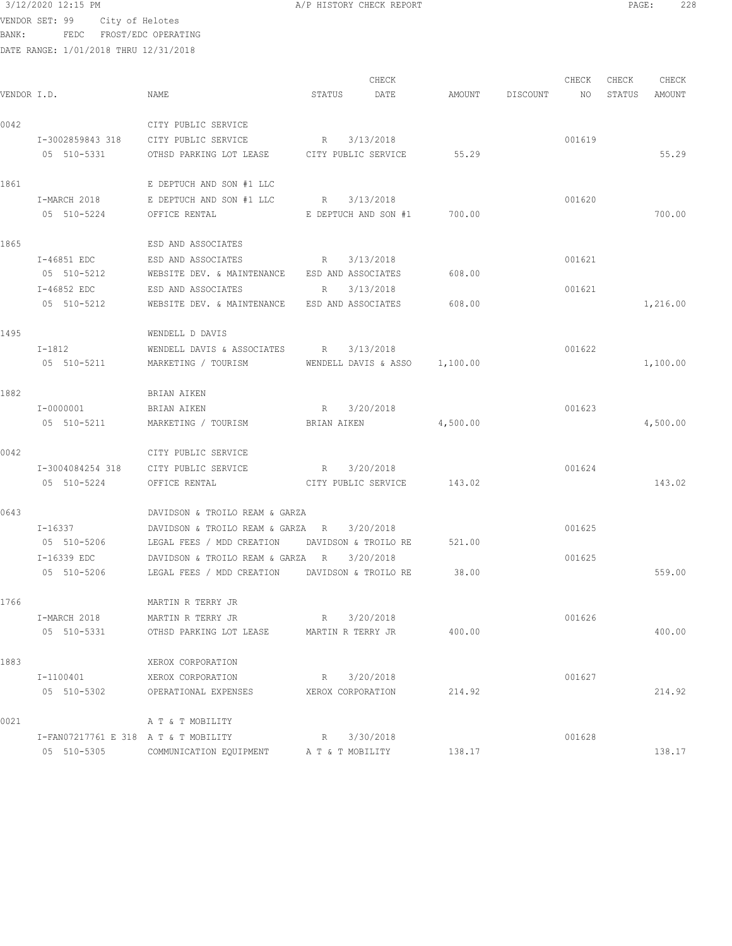BANK: FEDC FROST/EDC OPERATING

|             |                                      |                                                                         |                   | CHECK                         |        |                 | CHECK  | CHECK  | CHECK    |
|-------------|--------------------------------------|-------------------------------------------------------------------------|-------------------|-------------------------------|--------|-----------------|--------|--------|----------|
| VENDOR I.D. |                                      | NAME                                                                    | STATUS            | DATE                          |        | AMOUNT DISCOUNT | NO     | STATUS | AMOUNT   |
| 0042        |                                      | CITY PUBLIC SERVICE                                                     |                   |                               |        |                 |        |        |          |
|             | I-3002859843 318                     | CITY PUBLIC SERVICE                                                     | R                 | 3/13/2018                     |        |                 | 001619 |        |          |
|             | 05 510-5331                          | OTHSD PARKING LOT LEASE CITY PUBLIC SERVICE                             |                   |                               | 55.29  |                 |        |        | 55.29    |
| 1861        |                                      | E DEPTUCH AND SON #1 LLC                                                |                   |                               |        |                 |        |        |          |
|             | I-MARCH 2018                         | E DEPTUCH AND SON #1 LLC                                                | R 3/13/2018       |                               |        |                 | 001620 |        |          |
|             | 05 510-5224                          | $E$ DEPTUCH AND SON #1 $700.00$<br>OFFICE RENTAL                        |                   |                               |        |                 |        |        | 700.00   |
| 1865        |                                      | ESD AND ASSOCIATES                                                      |                   |                               |        |                 |        |        |          |
|             | I-46851 EDC                          | ESD AND ASSOCIATES                                                      | R 3/13/2018       |                               |        |                 | 001621 |        |          |
|             | 05 510-5212                          | WEBSITE DEV. & MAINTENANCE ESD AND ASSOCIATES                           |                   |                               | 608.00 |                 |        |        |          |
|             | I-46852 EDC                          | ESD AND ASSOCIATES                                                      | R 3/13/2018       |                               |        |                 | 001621 |        |          |
|             | 05 510-5212                          | WEBSITE DEV. & MAINTENANCE ESD AND ASSOCIATES                           |                   |                               | 608.00 |                 |        |        | 1,216.00 |
| 1495        |                                      | WENDELL D DAVIS                                                         |                   |                               |        |                 |        |        |          |
|             | $I-1812$                             | WENDELL DAVIS & ASSOCIATES $R = 3/13/2018$                              |                   |                               |        |                 | 001622 |        |          |
|             | 05 510-5211                          | MARKETING / TOURISM                                                     |                   | WENDELL DAVIS & ASSO 1,100.00 |        |                 |        |        | 1,100.00 |
| 1882        |                                      | BRIAN AIKEN                                                             |                   |                               |        |                 |        |        |          |
|             | I-0000001                            | BRIAN AIKEN                                                             | R 3/20/2018       |                               |        |                 | 001623 |        |          |
|             | 05 510-5211                          | MARKETING / TOURISM                                                     |                   | BRIAN AIKEN 4,500.00          |        |                 |        |        | 4,500.00 |
| 0042        |                                      | CITY PUBLIC SERVICE                                                     |                   |                               |        |                 |        |        |          |
|             | I-3004084254 318                     | CITY PUBLIC SERVICE                                                     | R 3/20/2018       |                               |        |                 | 001624 |        |          |
|             | 05 510-5224                          | OFFICE RENTAL                                                           |                   | CITY PUBLIC SERVICE 143.02    |        |                 |        |        | 143.02   |
| 0643        |                                      | DAVIDSON & TROILO REAM & GARZA                                          |                   |                               |        |                 |        |        |          |
|             | I-16337                              | DAVIDSON & TROILO REAM & GARZA R $3/20/2018$                            |                   |                               |        |                 | 001625 |        |          |
|             | 05 510-5206                          | LEGAL FEES / MDD CREATION DAVIDSON & TROILO RE                          |                   |                               | 521.00 |                 |        |        |          |
|             | I-16339 EDC                          | DAVIDSON & TROILO REAM & GARZA R                                        |                   | 3/20/2018                     |        |                 | 001625 |        |          |
|             |                                      | 05 510-5206         LEGAL FEES / MDD CREATION      DAVIDSON & TROILO RE |                   |                               | 38.00  |                 |        |        | 559.00   |
| 1766        |                                      | MARTIN R TERRY JR                                                       |                   |                               |        |                 |        |        |          |
|             | I-MARCH 2018                         | MARTIN R TERRY JR                                                       | R 3/20/2018       |                               |        |                 | 001626 |        |          |
|             | 05 510-5331                          | OTHSD PARKING LOT LEASE                                                 | MARTIN R TERRY JR |                               | 400.00 |                 |        |        | 400.00   |
| 1883        |                                      | XEROX CORPORATION                                                       |                   |                               |        |                 |        |        |          |
|             | I-1100401                            | XEROX CORPORATION                                                       | R                 | 3/20/2018                     |        |                 | 001627 |        |          |
|             | 05 510-5302                          | OPERATIONAL EXPENSES                                                    | XEROX CORPORATION |                               | 214.92 |                 |        |        | 214.92   |
| 0021        |                                      | A T & T MOBILITY                                                        |                   |                               |        |                 |        |        |          |
|             | I-FAN07217761 E 318 A T & T MOBILITY |                                                                         | R                 | 3/30/2018                     |        |                 | 001628 |        |          |
|             | 05 510-5305                          | COMMUNICATION EQUIPMENT                                                 | A T & T MOBILITY  |                               | 138.17 |                 |        |        | 138.17   |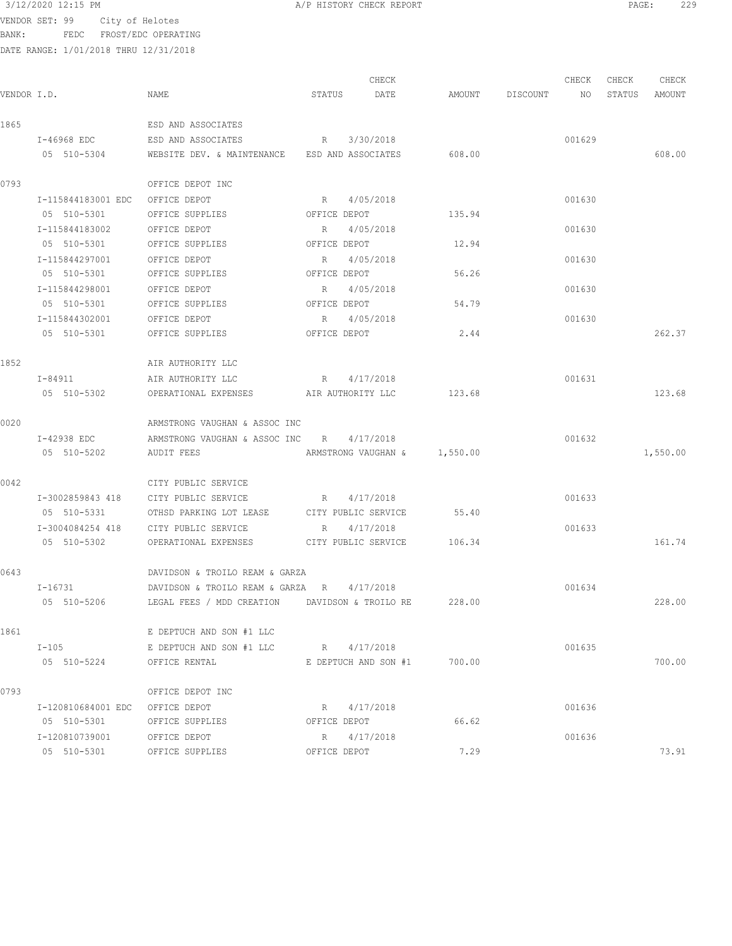A/P HISTORY CHECK REPORT **PAGE:** 229

VENDOR SET: 99 City of Helotes BANK: FEDC FROST/EDC OPERATING

|             |                                 |                                                        |               | CHECK                        |                    |  | CHECK  | CHECK  | CHECK    |
|-------------|---------------------------------|--------------------------------------------------------|---------------|------------------------------|--------------------|--|--------|--------|----------|
| VENDOR I.D. |                                 | NAME                                                   | STATUS        | DATE                         | AMOUNT DISCOUNT NO |  |        | STATUS | AMOUNT   |
| 1865        |                                 | ESD AND ASSOCIATES                                     |               |                              |                    |  |        |        |          |
|             | I-46968 EDC                     | ESD AND ASSOCIATES                                     |               | R 3/30/2018                  |                    |  | 001629 |        |          |
|             | 05 510-5304                     | WEBSITE DEV. & MAINTENANCE ESD AND ASSOCIATES 608.00   |               |                              |                    |  |        |        | 608.00   |
| 0793        |                                 | OFFICE DEPOT INC                                       |               |                              |                    |  |        |        |          |
|             | I-115844183001 EDC OFFICE DEPOT |                                                        |               | R 4/05/2018                  |                    |  | 001630 |        |          |
|             | 05 510-5301                     | OFFICE SUPPLIES                                        |               | OFFICE DEPOT                 | 135.94             |  |        |        |          |
|             | I-115844183002                  | OFFICE DEPOT                                           |               | R 4/05/2018                  |                    |  | 001630 |        |          |
|             | 05 510-5301                     | OFFICE SUPPLIES                                        |               | OFFICE DEPOT                 | 12.94              |  |        |        |          |
|             | I-115844297001                  | OFFICE DEPOT                                           |               | R 4/05/2018                  |                    |  | 001630 |        |          |
|             | 05 510-5301                     | OFFICE SUPPLIES                                        |               | OFFICE DEPOT                 | 56.26              |  |        |        |          |
|             | I-115844298001                  | OFFICE DEPOT                                           |               | R 4/05/2018                  |                    |  | 001630 |        |          |
|             | 05 510-5301                     | OFFICE SUPPLIES                                        |               | OFFICE DEPOT                 | 54.79              |  |        |        |          |
|             | I-115844302001                  | OFFICE DEPOT                                           |               | R 4/05/2018                  |                    |  | 001630 |        |          |
|             | 05 510-5301                     | OFFICE SUPPLIES                                        | OFFICE DEPOT  |                              | 2.44               |  |        |        | 262.37   |
| 1852        |                                 | AIR AUTHORITY LLC                                      |               |                              |                    |  |        |        |          |
|             | $I - 84911$                     | AIR AUTHORITY LLC                                      |               | R 4/17/2018                  |                    |  | 001631 |        |          |
|             |                                 | 05 510-5302 OPERATIONAL EXPENSES AIR AUTHORITY LLC     |               |                              | 123.68             |  |        |        | 123.68   |
| 0020        |                                 | ARMSTRONG VAUGHAN & ASSOC INC                          |               |                              |                    |  |        |        |          |
|             | I-42938 EDC                     | ARMSTRONG VAUGHAN & ASSOC INC R 4/17/2018              |               |                              |                    |  | 001632 |        |          |
|             | 05 510-5202                     | AUDIT FEES                                             |               | ARMSTRONG VAUGHAN & 1,550.00 |                    |  |        |        | 1,550.00 |
| 0042        |                                 | CITY PUBLIC SERVICE                                    |               |                              |                    |  |        |        |          |
|             |                                 | I-3002859843 418 CITY PUBLIC SERVICE                   |               | R 4/17/2018                  |                    |  | 001633 |        |          |
|             | 05 510-5331                     | OTHSD PARKING LOT LEASE                                |               | CITY PUBLIC SERVICE          | 55.40              |  |        |        |          |
|             |                                 | I-3004084254 418 CITY PUBLIC SERVICE                   |               | R 4/17/2018                  |                    |  | 001633 |        |          |
|             | 05 510-5302                     | OPERATIONAL EXPENSES CITY PUBLIC SERVICE 106.34        |               |                              |                    |  |        |        | 161.74   |
| 0643        |                                 | DAVIDSON & TROILO REAM & GARZA                         |               |                              |                    |  |        |        |          |
|             |                                 | $I-16731$ DAVIDSON & TROILO REAM & GARZA R $4/17/2018$ |               |                              |                    |  | 001634 |        |          |
|             | 05 510-5206                     | LEGAL FEES / MDD CREATION DAVIDSON & TROILO RE         |               |                              | 228.00             |  |        |        | 228.00   |
| 1861        |                                 | E DEPTUCH AND SON #1 LLC                               |               |                              |                    |  |        |        |          |
|             | $I-105$                         | E DEPTUCH AND SON #1 LLC                               | $R_{\rm max}$ | 4/17/2018                    |                    |  | 001635 |        |          |
|             | 05 510-5224                     | OFFICE RENTAL                                          |               | E DEPTUCH AND SON #1         | 700.00             |  |        |        | 700.00   |
| 0793        |                                 | OFFICE DEPOT INC                                       |               |                              |                    |  |        |        |          |
|             | I-120810684001 EDC              | OFFICE DEPOT                                           | R             | 4/17/2018                    |                    |  | 001636 |        |          |
|             | 05 510-5301                     | OFFICE SUPPLIES                                        | OFFICE DEPOT  |                              | 66.62              |  |        |        |          |
|             | I-120810739001                  | OFFICE DEPOT                                           | R             | 4/17/2018                    |                    |  | 001636 |        |          |
|             | 05 510-5301                     | OFFICE SUPPLIES                                        | OFFICE DEPOT  |                              | 7.29               |  |        |        | 73.91    |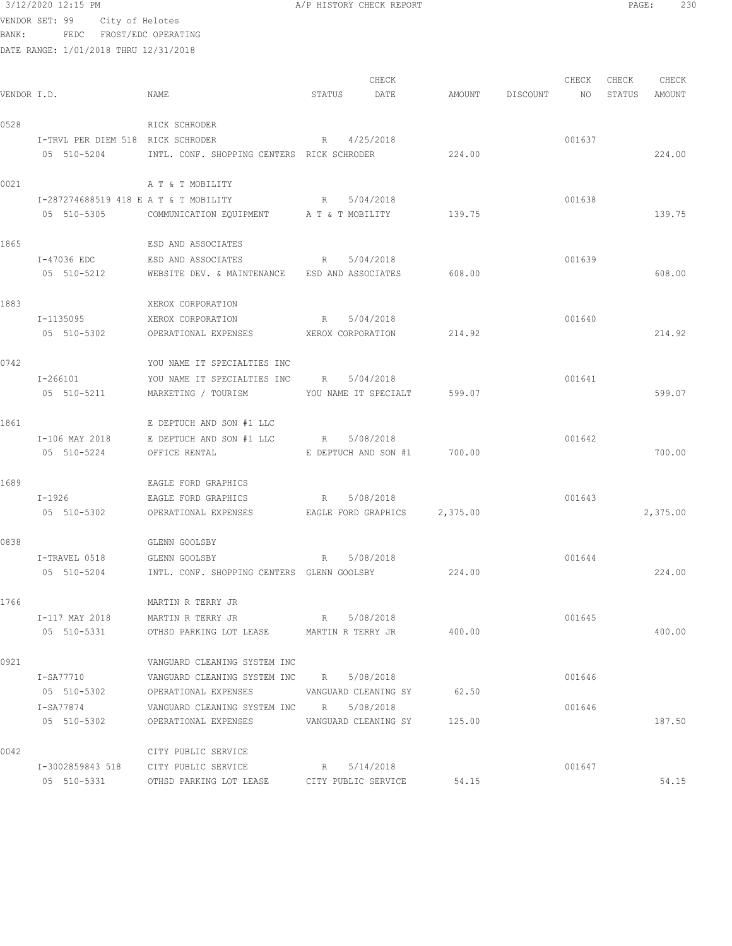| BANK:       | VENDOR SET: 99 City of Helotes<br>FEDC FROST/EDC OPERATING |                                                              |                             |        |                    |        |        |                 |
|-------------|------------------------------------------------------------|--------------------------------------------------------------|-----------------------------|--------|--------------------|--------|--------|-----------------|
|             | DATE RANGE: 1/01/2018 THRU 12/31/2018                      |                                                              |                             |        |                    |        |        |                 |
|             |                                                            |                                                              |                             |        |                    | CHECK  | CHECK  |                 |
| VENDOR I.D. |                                                            | NAME                                                         | CHECK<br>STATUS<br>DATE     |        | AMOUNT DISCOUNT NO |        | STATUS | CHECK<br>AMOUNT |
| 0528        |                                                            | RICK SCHRODER                                                |                             |        |                    |        |        |                 |
|             | I-TRVL PER DIEM 518 RICK SCHRODER                          | R                                                            | 4/25/2018                   |        |                    | 001637 |        |                 |
|             |                                                            | 05 510-5204 INTL. CONF. SHOPPING CENTERS RICK SCHRODER       |                             | 224.00 |                    |        |        | 224.00          |
| 0021        |                                                            | A T & T MOBILITY                                             |                             |        |                    |        |        |                 |
|             | I-287274688519 418 E A T & T MOBILITY                      |                                                              | R 5/04/2018                 |        |                    | 001638 |        |                 |
|             |                                                            | 05 510-5305 COMMUNICATION EQUIPMENT A T & T MOBILITY 139.75  |                             |        |                    |        |        | 139.75          |
| 1865        |                                                            | ESD AND ASSOCIATES                                           |                             |        |                    |        |        |                 |
|             | I-47036 EDC                                                | ESD AND ASSOCIATES                                           | R 5/04/2018                 |        |                    | 001639 |        |                 |
|             | 05 510-5212                                                | WEBSITE DEV. & MAINTENANCE ESD AND ASSOCIATES                |                             | 608.00 |                    |        |        | 608.00          |
| 1883        |                                                            | XEROX CORPORATION                                            |                             |        |                    |        |        |                 |
|             | I-1135095                                                  | XEROX CORPORATION                                            | R 5/04/2018                 |        |                    | 001640 |        |                 |
|             | 05 510-5302                                                | OPERATIONAL EXPENSES TEROX CORPORATION                       |                             | 214.92 |                    |        |        | 214.92          |
| 0742        |                                                            | YOU NAME IT SPECIALTIES INC                                  |                             |        |                    |        |        |                 |
|             | $I - 266101$                                               | YOU NAME IT SPECIALTIES INC R                                | 5/04/2018                   |        |                    | 001641 |        |                 |
|             | 05 510-5211                                                | MARKETING / TOURISM                                          | YOU NAME IT SPECIALT 599.07 |        |                    |        |        | 599.07          |
| 1861        |                                                            | E DEPTUCH AND SON #1 LLC                                     |                             |        |                    |        |        |                 |
|             | I-106 MAY 2018                                             | E DEPTUCH AND SON #1 LLC R                                   | 5/08/2018                   |        |                    | 001642 |        |                 |
|             | 05 510-5224                                                | OFFICE RENTAL                                                | E DEPTUCH AND SON #1 700.00 |        |                    |        |        | 700.00          |
| 1689        |                                                            | EAGLE FORD GRAPHICS                                          |                             |        |                    |        |        |                 |
|             | $I-1926$                                                   | EAGLE FORD GRAPHICS                                          | R 5/08/2018                 |        |                    | 001643 |        |                 |
|             | 05 510-5302                                                | OPERATIONAL EXPENSES EAGLE FORD GRAPHICS 2,375.00            |                             |        |                    |        |        | 2,375.00        |
| 0838        |                                                            | GLENN GOOLSBY                                                |                             |        |                    |        |        |                 |
|             | I-TRAVEL 0518                                              | GLENN GOOLSBY                                                | 5/08/2018<br>R              |        |                    | 001644 |        |                 |
|             |                                                            | 05 510-5204 INTL. CONF. SHOPPING CENTERS GLENN GOOLSBY       |                             | 224.00 |                    |        |        | 224.00          |
| 1766        |                                                            | MARTIN R TERRY JR                                            |                             |        |                    |        |        |                 |
|             | I-117 MAY 2018                                             | MARTIN R TERRY JR                                            | R 5/08/2018                 |        |                    | 001645 |        |                 |
|             | 05 510-5331                                                | OTHSD PARKING LOT LEASE       MARTIN R TERRY JR              |                             | 400.00 |                    |        |        | 400.00          |
| 0921        |                                                            | VANGUARD CLEANING SYSTEM INC                                 |                             |        |                    |        |        |                 |
|             | I-SA77710                                                  | VANGUARD CLEANING SYSTEM INC R 5/08/2018                     |                             |        |                    | 001646 |        |                 |
|             |                                                            | 05 510-5302 OPERATIONAL EXPENSES VANGUARD CLEANING SY 62.50  |                             |        |                    |        |        |                 |
|             |                                                            | I-SA77874 VANGUARD CLEANING SYSTEM INC R 5/08/2018           |                             |        |                    | 001646 |        |                 |
|             |                                                            | 05 510-5302 OPERATIONAL EXPENSES VANGUARD CLEANING SY 125.00 |                             |        |                    |        |        | 187.50          |
| 0042        |                                                            | CITY PUBLIC SERVICE                                          |                             |        |                    |        |        |                 |
|             |                                                            | I-3002859843 518 CITY PUBLIC SERVICE                         | 5/14/2018<br>R              |        |                    | 001647 |        |                 |
|             | 05 510-5331                                                | OTHSD PARKING LOT LEASE                                      | CITY PUBLIC SERVICE         | 54.15  |                    |        |        | 54.15           |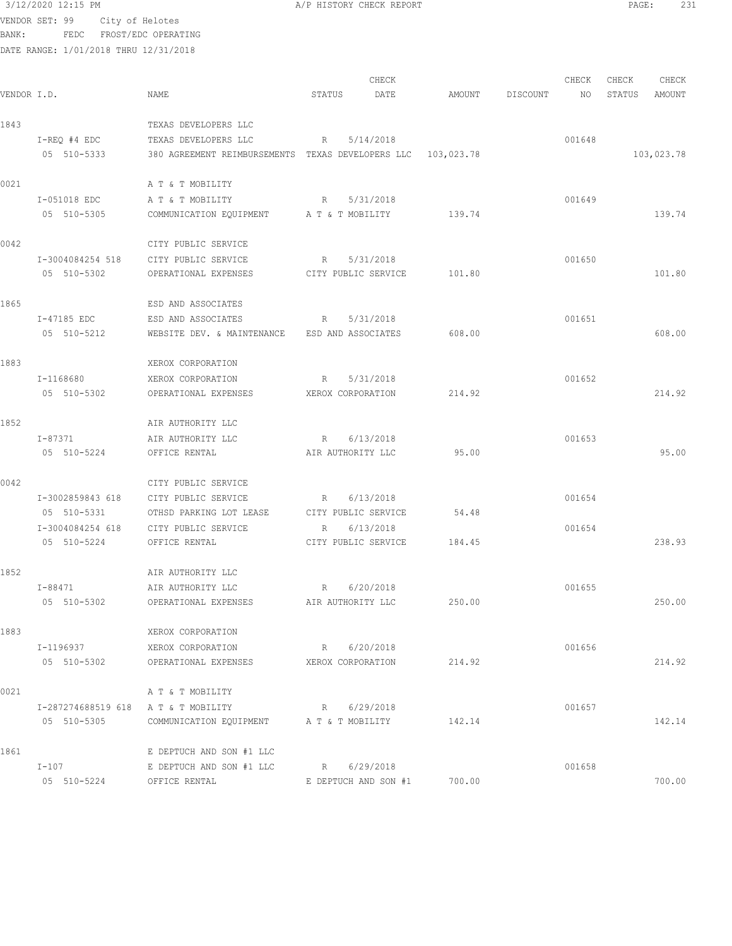VENDOR SET: 99 City of Helotes BANK: FEDC FROST/EDC OPERATING DATE RANGE: 1/01/2018 THRU 12/31/2018 CHECK CHECK CHECK CHECK CHECK CHECK CHECK CHECK CHECK CHECK CHECK CHECK CHECK CHECK CHECK CHECK CHECK CHECK CHECK CHECK CHECK CHECK CHECK CHECK CHECK CHECK CHECK CHECK CHECK CHECK CHECK CHECK CHECK CHECK CHECK CHECK CHECK VENDOR I.D. NAME STATUS DATE AMOUNT DISCOUNT NO STATUS AMOUNT 1843 TEXAS DEVELOPERS LLC I-REQ #4 EDC TEXAS DEVELOPERS LLC R 5/14/2018<br>05 510-5333 380 AGREEMENT REIMBURSEMENTS TEXAS DEVELOPERS LLC 103,023.78 05 380 AGREEMENT REIMBURSEMENTS TEXAS DEVELOPERS LLC 103,023.78 103,023.78 0021 A T & T MOBILITY I-051018 EDC A T & T MOBILITY R 5/31/2018 001649 05 510-5305 COMMUNICATION EQUIPMENT A T & T MOBILITY 139.74 139.74 139.74 0042 CITY PUBLIC SERVICE I-3004084254 518 CITY PUBLIC SERVICE R 5/31/2018 001650 05 510-5302 OPERATIONAL EXPENSES CITY PUBLIC SERVICE 101.80 101.80 1865 ESD AND ASSOCIATES I-47185 EDC ESD AND ASSOCIATES R 5/31/2018 001651 05 510-5212 WEBSITE DEV. & MAINTENANCE ESD AND ASSOCIATES 608.00 608.00 1883 XEROX CORPORATION I-1168680 XEROX CORPORATION R 5/31/2018 001652 05 510-5302 OPERATIONAL EXPENSES XEROX CORPORATION 214.92 214.92 1852 **AIR AUTHORITY LLC**<br>I-87371 **AIR AUTHORITY** LLC I-87371 AIR AUTHORITY LLC R 6/13/2018 001653 05 510-5224 OFFICE RENTAL AIR AUTHORITY LLC 95.00 95.00 0042 CITY PUBLIC SERVICE I-3002859843 618 CITY PUBLIC SERVICE R 6/13/2018 001654 05 510-5331 OTHSD PARKING LOT LEASE CITY PUBLIC SERVICE 54.48 I-3004084254 618 CITY PUBLIC SERVICE R 6/13/2018 001654 05 510-5224 OFFICE RENTAL CITY PUBLIC SERVICE 184.45 238.93 1852 <br>
1-88471 <br>
AIR AUTHORITY LLC AIR AUTHORITY LLC  $R = 6/20/2018$  001655 05 510-5302 OPERATIONAL EXPENSES AIR AUTHORITY LLC 250.00 250.00 1883 XEROX CORPORATION I-1196937 XEROX CORPORATION R 6/20/2018 001656 05 510-5302 OPERATIONAL EXPENSES XEROX CORPORATION 214.92 214.92 0021 A T & T MOBILITY I-287274688519 618 A T & T MOBILITY R 6/29/2018 001657 05 510-5305 COMMUNICATION EQUIPMENT A T & T MOBILITY 142.14 142.14 142.14 1861 E DEPTUCH AND SON #1 LLC<br>I-107 E DEPTUCH AND SON #1 LLC E DEPTUCH AND SON #1 LLC R 6/29/2018 CO1658 05 510-5224 OFFICE RENTAL E DEPTUCH AND SON #1 700.00 700.00

3/12/2020 12:15 PM A/P HISTORY CHECK REPORT PAGE: 231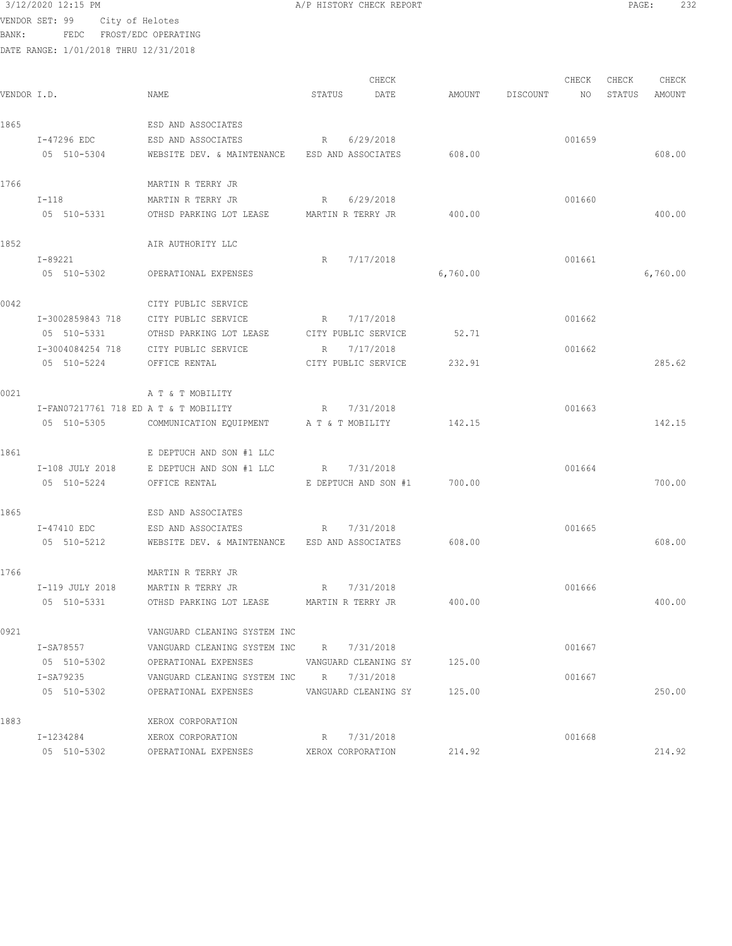```
 3/12/2020 12:15 PM A/P HISTORY CHECK REPORT PAGE: 232
```
VENDOR SET: 99 City of Helotes BANK: FEDC FROST/EDC OPERATING

DATE RANGE: 1/01/2018 THRU 12/31/2018

CHECK CHECK CHECK CHECK CHECK CHECK CHECK CHECK CHECK CHECK CHECK CHECK CHECK CHECK CHECK CHECK CHECK CHECK CHECK CHECK CHECK CHECK CHECK CHECK CHECK CHECK CHECK CHECK CHECK CHECK CHECK CHECK CHECK CHECK CHECK CHECK CHECK VENDOR I.D. NAME STATUS DATE AMOUNT DISCOUNT NO STATUS AMOUNT 1865 ESD AND ASSOCIATES I-47296 EDC ESD AND ASSOCIATES R 6/29/2018 001659 05 510-5304 WEBSITE DEV. & MAINTENANCE ESD AND ASSOCIATES 608.00 608.00 1766 MARTIN R TERRY JR I-118 MARTIN R TERRY JR R 6/29/2018 CO1660 05 510-5331 OTHSD PARKING LOT LEASE MARTIN R TERRY JR 400.00 400.00 1852 **AIR AUTHORITY LLC**  I-89221 R 7/17/2018 001661 05 510-5302 OPERATIONAL EXPENSES 6,760.00 6,760.00 0042 CITY PUBLIC SERVICE I-3002859843 718 CITY PUBLIC SERVICE R 7/17/2018 001662 05 510-5331 OTHSD PARKING LOT LEASE CITY PUBLIC SERVICE 52.71 I-3004084254 718 CITY PUBLIC SERVICE R 7/17/2018 001662 05 510-5224 OFFICE RENTAL CITY PUBLIC SERVICE 232.91 285.62 0021 A T & T MOBILITY I-FAN07217761 718 ED A T & T MOBILITY R 7/31/2018 001663 05 510-5305 COMMUNICATION EQUIPMENT A T & T MOBILITY 142.15 142.15 1861 E DEPTUCH AND SON #1 LLC I-108 JULY 2018 E DEPTUCH AND SON #1 LLC R 7/31/2018 001664 05 510-5224 OFFICE RENTAL E DEPTUCH AND SON #1 700.00 700.00 1865 ESD AND ASSOCIATES I-47410 EDC ESD AND ASSOCIATES R 7/31/2018 001665 05 510-5212 WEBSITE DEV. & MAINTENANCE ESD AND ASSOCIATES 608.00 608.00 608.00 608.00 1766 MARTIN R TERRY JR I-119 JULY 2018 MARTIN R TERRY JR R 7/31/2018 CO1666 05 510-5331 OTHSD PARKING LOT LEASE MARTIN R TERRY JR 400.00 400.00 0921 VANGUARD CLEANING SYSTEM INC I-SA78557 VANGUARD CLEANING SYSTEM INC R 7/31/2018 001667 OPERATIONAL EXPENSES VANGUARD CLEANING SY 125.00 I-SA79235 VANGUARD CLEANING SYSTEM INC R 7/31/2018 001667 05 510-5302 OPERATIONAL EXPENSES VANGUARD CLEANING SY 125.00 250.00 1883 XEROX CORPORATION I-1234284 XEROX CORPORATION R 7/31/2018 001668 05 510-5302 OPERATIONAL EXPENSES XEROX CORPORATION 214.92 214.92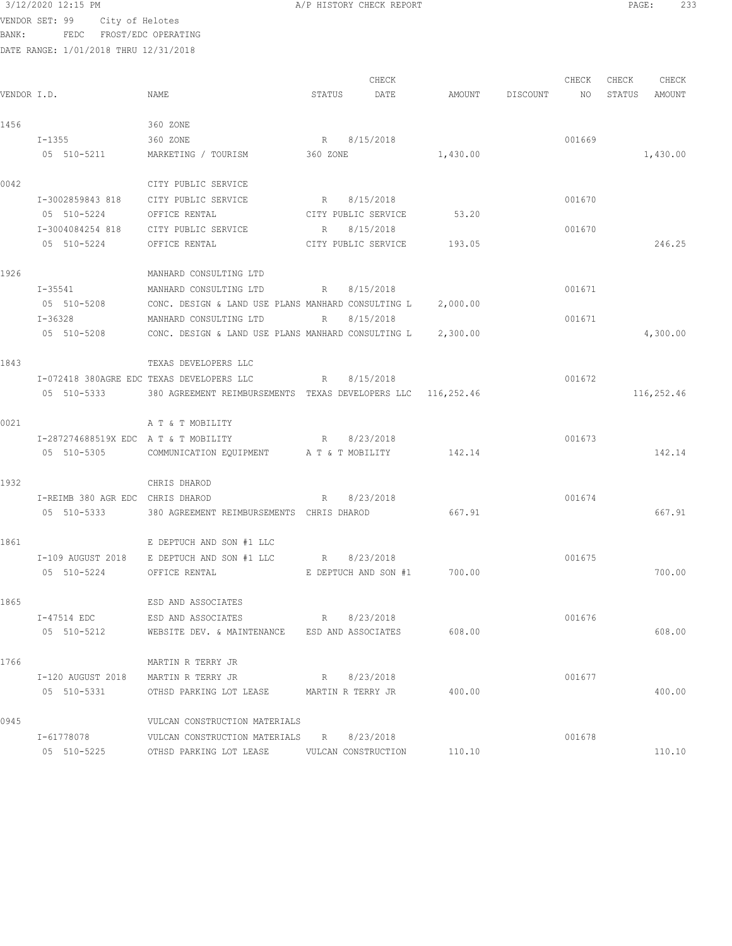VENDOR SET: 99 City of Helotes BANK: FEDC FROST/EDC OPERATING

DATE RANGE: 1/01/2018 THRU 12/31/2018

CHECK CHECK CHECK CHECK CHECK CHECK CHECK CHECK CHECK CHECK CHECK CHECK CHECK CHECK CHECK CHECK CHECK CHECK CHECK CHECK CHECK CHECK CHECK CHECK CHECK CHECK CHECK CHECK CHECK CHECK CHECK CHECK CHECK CHECK CHECK CHECK CHECK VENDOR I.D. NAME STATUS DATE AMOUNT DISCOUNT NO STATUS AMOUNT 1456 360 ZONE I-1355 360 ZONE R 8/15/2018 8005659 05 510-5211 MARKETING / TOURISM 360 ZONE 1,430.00 1,430.00 0042 CITY PUBLIC SERVICE I-3002859843 818 CITY PUBLIC SERVICE R 8/15/2018 001670 05 510-5224 OFFICE RENTAL CITY PUBLIC SERVICE 53.20 I-3004084254 818 CITY PUBLIC SERVICE R 8/15/2018 001670 05 510-5224 OFFICE RENTAL CITY PUBLIC SERVICE 193.05 246.25 1926 MANHARD CONSULTING LTD<br>I-35541 MANHARD CONSULTING LTD MANHARD CONSULTING LTD  $R$  8/15/2018 001671 05 510-5208 CONC. DESIGN & LAND USE PLANS MANHARD CONSULTING L 2,000.00 I-36328 MANHARD CONSULTING LTD R 8/15/2018 001671 05 510-5208 CONC. DESIGN & LAND USE PLANS MANHARD CONSULTING L 2,300.00 4,300.00 1843 TEXAS DEVELOPERS LLC I-072418 380AGRE EDC TEXAS DEVELOPERS LLC R 8/15/2018 001672 05 510-5333 380 AGREEMENT REIMBURSEMENTS TEXAS DEVELOPERS LLC 116,252.46 116,252.46 0021 A T & T MOBILITY I-287274688519X EDC A T & T MOBILITY R 8/23/2018 001673 05 510-5305 COMMUNICATION EQUIPMENT A T & T MOBILITY 142.14 142.14 1932 CHRIS DHAROD I-REIMB 380 AGR EDC CHRIS DHAROD R 8/23/2018 001674 05 510-5333 380 AGREEMENT REIMBURSEMENTS CHRIS DHAROD 667.91 667.91 1861 E DEPTUCH AND SON #1 LLC I-109 AUGUST 2018 E DEPTUCH AND SON #1 LLC R 8/23/2018 001675 05 510-5224 OFFICE RENTAL E DEPTUCH AND SON #1 700.00 700.00 1865 ESD AND ASSOCIATES I-47514 EDC ESD AND ASSOCIATES R 8/23/2018 001676 05 510-5212 WEBSITE DEV. & MAINTENANCE ESD AND ASSOCIATES 608.00 608.00 1766 MARTIN R TERRY JR I-120 AUGUST 2018 MARTIN R TERRY JR R 8/23/2018 001677 05 510-5331 OTHSD PARKING LOT LEASE MARTIN R TERRY JR 400.00 400.00 0945 VULCAN CONSTRUCTION MATERIALS I-61778078 VULCAN CONSTRUCTION MATERIALS R 8/23/2018<br>
05 510-5225 OTHSD PARKING LOT LEASE VULCAN CONSTRUCTION 110.10 05 510-5225 OTHSD PARKING LOT LEASE VULCAN CONSTRUCTION 110.10 110.10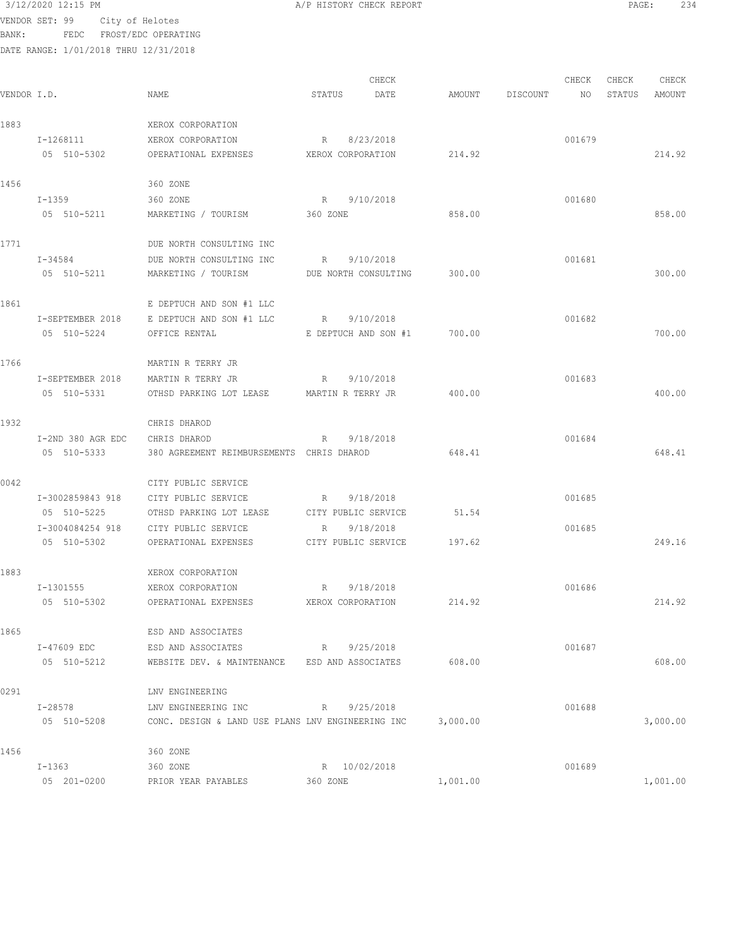| 3/12/2020 12:15 PM |  |
|--------------------|--|
|                    |  |

VENDOR SET: 99 City of Helotes BANK: FEDC FROST/EDC OPERATING

| VENDOR I.D. |                   | NAME                                                       | STATUS       |              | CHECK<br>DATE        | AMOUNT   | DISCOUNT | CHECK<br>NO | CHECK<br>STATUS | CHECK<br>AMOUNT |
|-------------|-------------------|------------------------------------------------------------|--------------|--------------|----------------------|----------|----------|-------------|-----------------|-----------------|
| 1883        |                   | XEROX CORPORATION                                          |              |              |                      |          |          |             |                 |                 |
|             | I-1268111         | XEROX CORPORATION                                          | R            |              | 8/23/2018            |          |          | 001679      |                 |                 |
|             | 05 510-5302       | OPERATIONAL EXPENSES                                       |              |              | XEROX CORPORATION    | 214.92   |          |             |                 | 214.92          |
| 1456        |                   | 360 ZONE                                                   |              |              |                      |          |          |             |                 |                 |
|             | $I-1359$          | 360 ZONE                                                   |              | R 9/10/2018  |                      |          |          | 001680      |                 |                 |
|             | 05 510-5211       | MARKETING / TOURISM                                        | 360 ZONE     |              |                      | 858.00   |          |             |                 | 858.00          |
| 1771        |                   | DUE NORTH CONSULTING INC                                   |              |              |                      |          |          |             |                 |                 |
|             | $I - 34584$       | DUE NORTH CONSULTING INC                                   | $R_{\rm{1}}$ |              | 9/10/2018            |          |          | 001681      |                 |                 |
|             | 05 510-5211       | MARKETING / TOURISM                                        |              |              | DUE NORTH CONSULTING | 300.00   |          |             |                 | 300.00          |
| 1861        |                   | E DEPTUCH AND SON #1 LLC                                   |              |              |                      |          |          |             |                 |                 |
|             | I-SEPTEMBER 2018  | E DEPTUCH AND SON #1 LLC                                   | R            |              | 9/10/2018            |          |          | 001682      |                 |                 |
|             | 05 510-5224       | OFFICE RENTAL                                              |              |              | E DEPTUCH AND SON #1 | 700.00   |          |             |                 | 700.00          |
| 1766        |                   | MARTIN R TERRY JR                                          |              |              |                      |          |          |             |                 |                 |
|             | I-SEPTEMBER 2018  | MARTIN R TERRY JR                                          | R            |              | 9/10/2018            |          |          | 001683      |                 |                 |
|             | 05 510-5331       | OTHSD PARKING LOT LEASE MARTIN R TERRY JR                  |              |              |                      | 400.00   |          |             |                 | 400.00          |
| 1932        |                   | CHRIS DHAROD                                               |              |              |                      |          |          |             |                 |                 |
|             | I-2ND 380 AGR EDC | CHRIS DHAROD                                               | R            |              | 9/18/2018            |          |          | 001684      |                 |                 |
|             | 05 510-5333       | 380 AGREEMENT REIMBURSEMENTS CHRIS DHAROD                  |              |              |                      | 648.41   |          |             |                 | 648.41          |
| 0042        |                   | CITY PUBLIC SERVICE                                        |              |              |                      |          |          |             |                 |                 |
|             | I-3002859843 918  | CITY PUBLIC SERVICE                                        | R            |              | 9/18/2018            |          |          | 001685      |                 |                 |
|             | 05 510-5225       | OTHSD PARKING LOT LEASE                                    |              |              | CITY PUBLIC SERVICE  | 51.54    |          |             |                 |                 |
|             | I-3004084254 918  | CITY PUBLIC SERVICE                                        | R            |              | 9/18/2018            |          |          | 001685      |                 |                 |
|             | 05 510-5302       | OPERATIONAL EXPENSES                                       |              |              | CITY PUBLIC SERVICE  | 197.62   |          |             |                 | 249.16          |
| 1883        |                   | XEROX CORPORATION                                          |              |              |                      |          |          |             |                 |                 |
|             | I-1301555         | XEROX CORPORATION                                          | R            |              | 9/18/2018            |          |          | 001686      |                 |                 |
|             | 05 510-5302       | OPERATIONAL EXPENSES                                       |              |              | XEROX CORPORATION    | 214.92   |          |             |                 | 214.92          |
| 1865        |                   | ESD AND ASSOCIATES                                         |              |              |                      |          |          |             |                 |                 |
|             |                   | I-47609 EDC ESD AND ASSOCIATES<br>R 9/25/2018              |              |              |                      |          |          | 001687      |                 |                 |
|             | 05 510-5212       | WEBSITE DEV. & MAINTENANCE ESD AND ASSOCIATES              |              |              |                      | 608.00   |          |             |                 | 608.00          |
| 0291        |                   | LNV ENGINEERING                                            |              |              |                      |          |          |             |                 |                 |
|             | I-28578           | R 9/25/2018<br>LNV ENGINEERING INC                         |              |              |                      |          |          | 001688      |                 |                 |
|             | 05 510-5208       | CONC. DESIGN & LAND USE PLANS LNV ENGINEERING INC 3,000.00 |              |              |                      |          |          |             |                 | 3,000.00        |
| 1456        |                   | 360 ZONE                                                   |              |              |                      |          |          |             |                 |                 |
|             | $I - 1363$        | 360 ZONE                                                   |              | R 10/02/2018 |                      |          |          | 001689      |                 |                 |
|             | 05 201-0200       | PRIOR YEAR PAYABLES                                        | 360 ZONE     |              |                      | 1,001.00 |          |             |                 | 1,001.00        |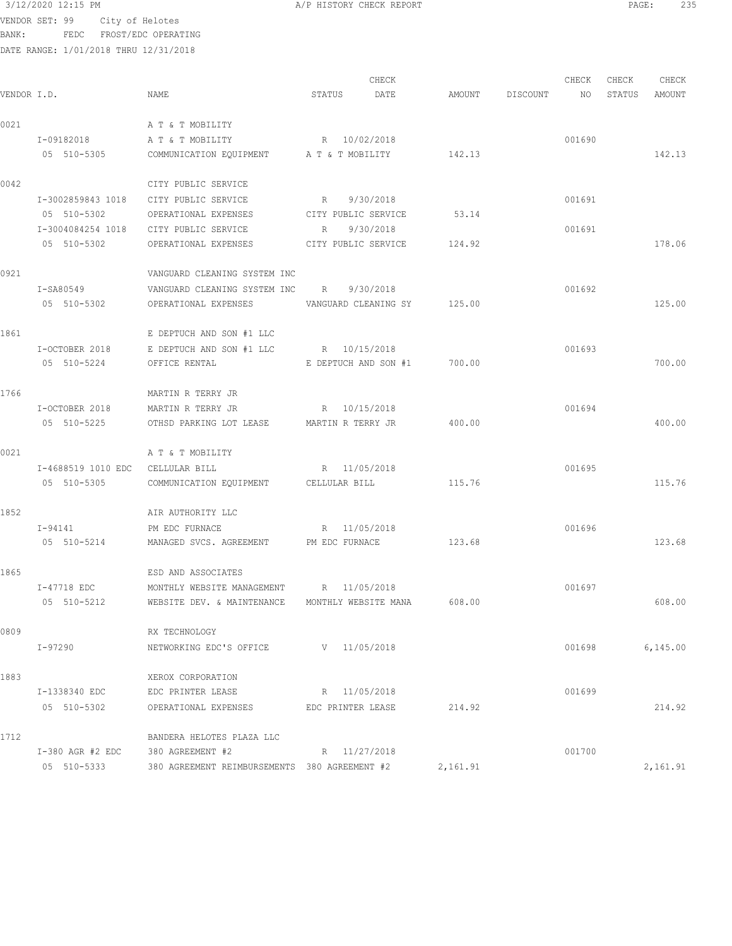```
 3/12/2020 12:15 PM A/P HISTORY CHECK REPORT PAGE: 235
VENDOR SET: 99 City of Helotes
BANK: FEDC FROST/EDC OPERATING
```
DATE RANGE: 1/01/2018 THRU 12/31/2018

CHECK CHECK CHECK CHECK CHECK CHECK CHECK CHECK CHECK CHECK CHECK CHECK CHECK CHECK CHECK CHECK CHECK CHECK CHECK CHECK CHECK CHECK CHECK CHECK CHECK CHECK CHECK CHECK CHECK CHECK CHECK CHECK CHECK CHECK CHECK CHECK CHECK VENDOR I.D. NAME STATUS DATE AMOUNT DISCOUNT NO STATUS AMOUNT 0021 A T & T MOBILITY I-09182018 A T & T MOBILITY R 10/02/2018 001690 05 510-5305 COMMUNICATION EQUIPMENT A T & T MOBILITY 142.13 142.13 142.13 0042 CITY PUBLIC SERVICE I-3002859843 1018 CITY PUBLIC SERVICE R 9/30/2018 001691 05 510-5302 OPERATIONAL EXPENSES CITY PUBLIC SERVICE 53.14 I-3004084254 1018 CITY PUBLIC SERVICE R 9/30/2018 001691 05 510-5302 OPERATIONAL EXPENSES CITY PUBLIC SERVICE 124.92 178.06 0921 VANGUARD CLEANING SYSTEM INC I-SA80549 VANGUARD CLEANING SYSTEM INC R 9/30/2018 001692 05 510-5302 OPERATIONAL EXPENSES VANGUARD CLEANING SY 125.00 125.00 1861 E DEPTUCH AND SON #1 LLC I-OCTOBER 2018 E DEPTUCH AND SON #1 LLC R 10/15/2018 001693 05 510-5224 OFFICE RENTAL E DEPTUCH AND SON #1 700.00 700.00 1766 MARTIN R TERRY JR I-OCTOBER 2018 MARTIN R TERRY JR R 10/15/2018 001694 05 510-5225 OTHSD PARKING LOT LEASE MARTIN R TERRY JR 400.00 400.00 0021 A T & T MOBILITY I-4688519 1010 EDC CELLULAR BILL R 11/05/2018 001695 05 510-5305 COMMUNICATION EQUIPMENT CELLULAR BILL 115.76 115.76 115.76 1852 AIR AUTHORITY LLC I-94141 PM EDC FURNACE R 11/05/2018 001696 05 510-5214 MANAGED SVCS. AGREEMENT PM EDC FURNACE 123.68 123.68 123.68 1865 ESD AND ASSOCIATES I-47718 EDC MONTHLY WEBSITE MANAGEMENT R 11/05/2018 001697 05 510-5212 WEBSITE DEV. & MAINTENANCE MONTHLY WEBSITE MANA 608.00 608.00 0809 RX TECHNOLOGY I-97290 NETWORKING EDC'S OFFICE V 11/05/2018 001698 6,145.00 1883 XEROX CORPORATION I-1338340 EDC EDC PRINTER LEASE R 11/05/2018 001699 05 510-5302 OPERATIONAL EXPENSES EDC PRINTER LEASE 214.92 214.92 1712 BANDERA HELOTES PLAZA LLC I-380 AGR #2 EDC 380 AGREEMENT #2 R 11/27/2018 001700 05 510-5333 380 AGREEMENT REIMBURSEMENTS 380 AGREEMENT #2 2,161.91 2,161.91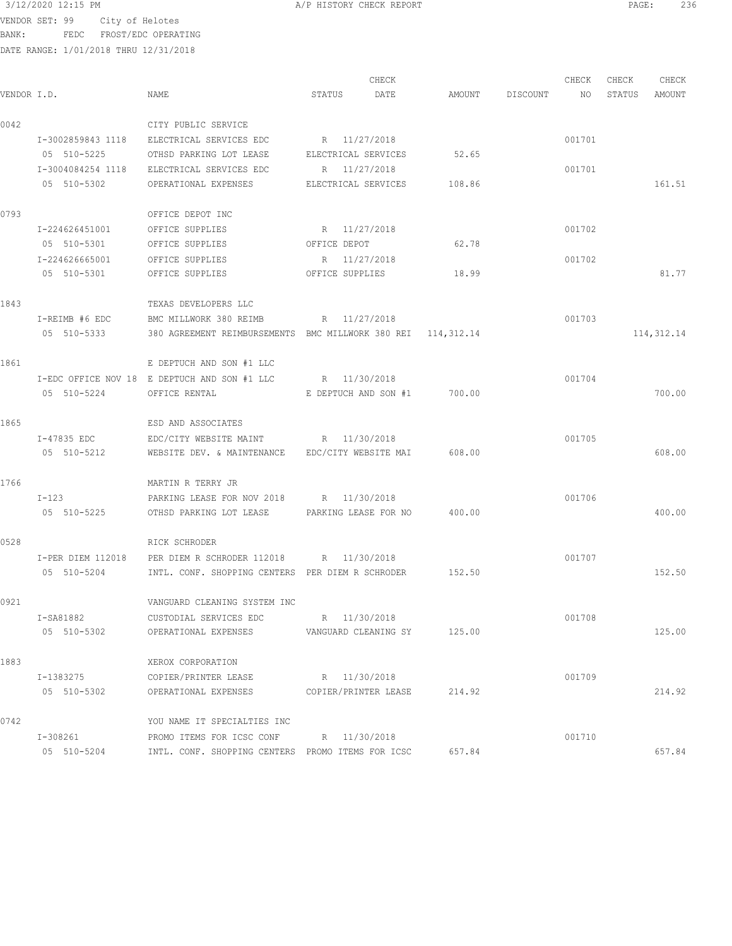BANK: FEDC FROST/EDC OPERATING

|             |                   |                                                              |                      | CHECK |                             |                 | CHECK  | CHECK<br>CHECK |             |
|-------------|-------------------|--------------------------------------------------------------|----------------------|-------|-----------------------------|-----------------|--------|----------------|-------------|
| VENDOR I.D. |                   | NAME                                                         | STATUS               | DATE  |                             | AMOUNT DISCOUNT | NO     | STATUS         | AMOUNT      |
| 0042        |                   | CITY PUBLIC SERVICE                                          |                      |       |                             |                 |        |                |             |
|             | I-3002859843 1118 | ELECTRICAL SERVICES EDC                                      | R 11/27/2018         |       |                             |                 | 001701 |                |             |
|             | 05 510-5225       | OTHSD PARKING LOT LEASE                                      | ELECTRICAL SERVICES  |       | 52.65                       |                 |        |                |             |
|             | I-3004084254 1118 | ELECTRICAL SERVICES EDC                                      | R 11/27/2018         |       |                             |                 | 001701 |                |             |
|             | 05 510-5302       | OPERATIONAL EXPENSES                                         | ELECTRICAL SERVICES  |       | 108.86                      |                 |        |                | 161.51      |
| 0793        |                   | OFFICE DEPOT INC                                             |                      |       |                             |                 |        |                |             |
|             | I-224626451001    | OFFICE SUPPLIES                                              | R 11/27/2018         |       |                             |                 | 001702 |                |             |
|             | 05 510-5301       | OFFICE SUPPLIES                                              | OFFICE DEPOT         |       | 62.78                       |                 |        |                |             |
|             | I-224626665001    | OFFICE SUPPLIES                                              | R 11/27/2018         |       |                             |                 | 001702 |                |             |
|             | 05 510-5301       | OFFICE SUPPLIES                                              | OFFICE SUPPLIES      |       | 18.99                       |                 |        |                | 81.77       |
| 1843        |                   | TEXAS DEVELOPERS LLC                                         |                      |       |                             |                 |        |                |             |
|             | I-REIMB #6 EDC    | BMC MILLWORK 380 REIMB                                       | R 11/27/2018         |       |                             |                 | 001703 |                |             |
|             | 05 510-5333       | 380 AGREEMENT REIMBURSEMENTS BMC MILLWORK 380 REI 114,312.14 |                      |       |                             |                 |        |                | 114, 312.14 |
| 1861        |                   | E DEPTUCH AND SON #1 LLC                                     |                      |       |                             |                 |        |                |             |
|             |                   | I-EDC OFFICE NOV 18 E DEPTUCH AND SON #1 LLC                 | R 11/30/2018         |       |                             |                 | 001704 |                |             |
|             | 05 510-5224       | OFFICE RENTAL                                                |                      |       | E DEPTUCH AND SON #1 700.00 |                 |        |                | 700.00      |
| 1865        |                   | ESD AND ASSOCIATES                                           |                      |       |                             |                 |        |                |             |
|             | I-47835 EDC       | EDC/CITY WEBSITE MAINT R 11/30/2018                          |                      |       |                             |                 | 001705 |                |             |
|             | 05 510-5212       | WEBSITE DEV. & MAINTENANCE EDC/CITY WEBSITE MAI 608.00       |                      |       |                             |                 |        |                | 608.00      |
| 1766        |                   | MARTIN R TERRY JR                                            |                      |       |                             |                 |        |                |             |
|             | I-123             | PARKING LEASE FOR NOV 2018 R 11/30/2018                      |                      |       |                             |                 | 001706 |                |             |
|             | 05 510-5225       | OTHSD PARKING LOT LEASE 6 PARKING LEASE FOR NO 400.00        |                      |       |                             |                 |        |                | 400.00      |
| 0528        |                   | RICK SCHRODER                                                |                      |       |                             |                 |        |                |             |
|             |                   | I-PER DIEM 112018 PER DIEM R SCHRODER 112018 R 11/30/2018    |                      |       |                             |                 | 001707 |                |             |
|             | 05 510-5204       | INTL. CONF. SHOPPING CENTERS PER DIEM R SCHRODER             |                      |       | 152.50                      |                 |        |                | 152.50      |
| 0921        |                   | VANGUARD CLEANING SYSTEM INC                                 |                      |       |                             |                 |        |                |             |
|             | I-SA81882         | CUSTODIAL SERVICES EDC                                       | R 11/30/2018         |       |                             |                 | 001708 |                |             |
|             | 05 510-5302       | OPERATIONAL EXPENSES                                         |                      |       | VANGUARD CLEANING SY 125.00 |                 |        |                | 125.00      |
| 1883        |                   | XEROX CORPORATION                                            |                      |       |                             |                 |        |                |             |
|             | I-1383275         | COPIER/PRINTER LEASE                                         | R 11/30/2018         |       |                             |                 | 001709 |                |             |
|             | 05 510-5302       | OPERATIONAL EXPENSES                                         | COPIER/PRINTER LEASE |       | 214.92                      |                 |        |                | 214.92      |
| 0742        |                   | YOU NAME IT SPECIALTIES INC                                  |                      |       |                             |                 |        |                |             |
|             | I-308261          | PROMO ITEMS FOR ICSC CONF R 11/30/2018                       |                      |       |                             |                 | 001710 |                |             |
|             | 05 510-5204       | INTL. CONF. SHOPPING CENTERS PROMO ITEMS FOR ICSC            |                      |       | 657.84                      |                 |        |                | 657.84      |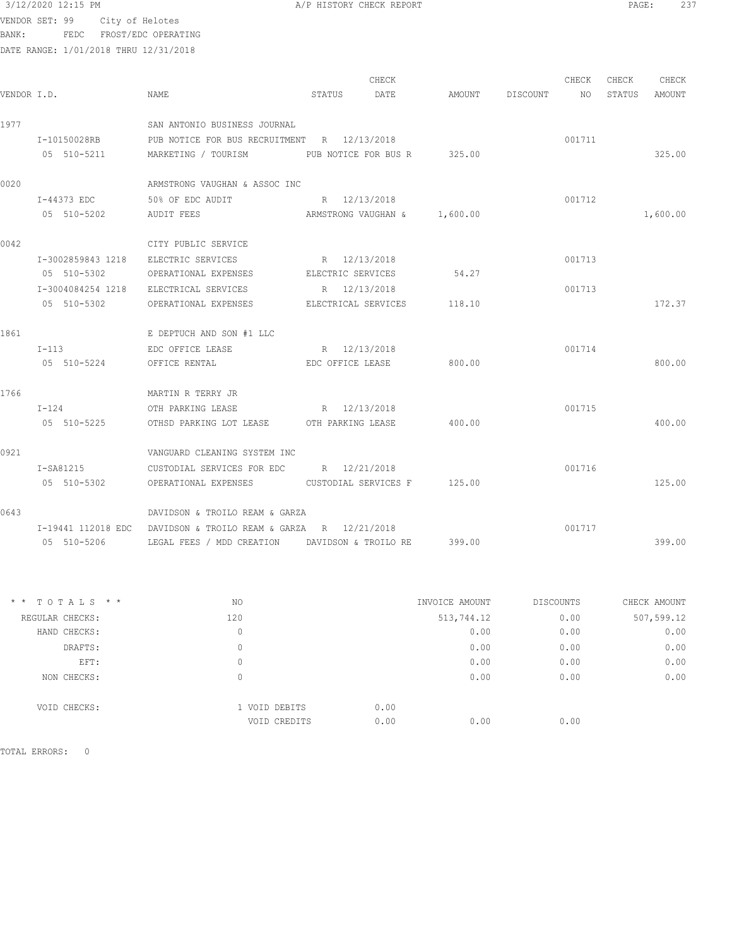BANK: FEDC FROST/EDC OPERATING

DATE RANGE: 1/01/2018 THRU 12/31/2018

| VENDOR I.D. |                   | NAME                                                             | STATUS              | CHECK<br>DATE                |        | AMOUNT DISCOUNT | CHECK<br>NO | CHECK<br>STATUS | CHECK<br>AMOUNT |
|-------------|-------------------|------------------------------------------------------------------|---------------------|------------------------------|--------|-----------------|-------------|-----------------|-----------------|
| 1977        |                   | SAN ANTONIO BUSINESS JOURNAL                                     |                     |                              |        |                 |             |                 |                 |
|             | I-10150028RB      | PUB NOTICE FOR BUS RECRUITMENT R 12/13/2018                      |                     |                              |        |                 | 001711      |                 |                 |
|             | 05 510-5211       | MARKETING / TOURISM                                              |                     | PUB NOTICE FOR BUS R 325.00  |        |                 |             |                 | 325.00          |
| 0020        |                   | ARMSTRONG VAUGHAN & ASSOC INC                                    |                     |                              |        |                 |             |                 |                 |
|             | I-44373 EDC       | 50% OF EDC AUDIT                                                 | R 12/13/2018        |                              |        |                 | 001712      |                 |                 |
|             | 05 510-5202       | AUDIT FEES                                                       |                     | ARMSTRONG VAUGHAN & 1,600.00 |        |                 |             |                 | 1,600.00        |
| 0042        |                   | CITY PUBLIC SERVICE                                              |                     |                              |        |                 |             |                 |                 |
|             | I-3002859843 1218 | ELECTRIC SERVICES                                                | R 12/13/2018        |                              |        |                 | 001713      |                 |                 |
|             | 05 510-5302       | OPERATIONAL EXPENSES                                             | ELECTRIC SERVICES   |                              | 54.27  |                 |             |                 |                 |
|             | I-3004084254 1218 | ELECTRICAL SERVICES                                              | R 12/13/2018        |                              |        |                 | 001713      |                 |                 |
|             | 05 510-5302       | OPERATIONAL EXPENSES                                             | ELECTRICAL SERVICES |                              | 118.10 |                 |             |                 | 172.37          |
| 1861        |                   | E DEPTUCH AND SON #1 LLC                                         |                     |                              |        |                 |             |                 |                 |
|             | $I-113$           | EDC OFFICE LEASE                                                 | R 12/13/2018        |                              |        |                 | 001714      |                 |                 |
|             | 05 510-5224       | OFFICE RENTAL                                                    | EDC OFFICE LEASE    |                              | 800.00 |                 |             |                 | 800.00          |
| 1766        |                   | MARTIN R TERRY JR                                                |                     |                              |        |                 |             |                 |                 |
|             | $I-124$           | OTH PARKING LEASE                                                | R 12/13/2018        |                              |        |                 | 001715      |                 |                 |
|             | 05 510-5225       | OTHSD PARKING LOT LEASE OTH PARKING LEASE                        |                     |                              | 400.00 |                 |             |                 | 400.00          |
| 0921        |                   | VANGUARD CLEANING SYSTEM INC                                     |                     |                              |        |                 |             |                 |                 |
|             | $I-SA81215$       | CUSTODIAL SERVICES FOR EDC R 12/21/2018                          |                     |                              |        |                 | 001716      |                 |                 |
|             | 05 510-5302       | OPERATIONAL EXPENSES CUSTODIAL SERVICES F 125.00                 |                     |                              |        |                 |             |                 | 125.00          |
| 0643        |                   | DAVIDSON & TROILO REAM & GARZA                                   |                     |                              |        |                 |             |                 |                 |
|             |                   | $I-19441$ 112018 EDC DAVIDSON & TROILO REAM & GARZA R 12/21/2018 |                     |                              |        |                 | 001717      |                 |                 |
|             | 05 510-5206       | LEGAL FEES / MDD CREATION     DAVIDSON & TROILO RE               |                     |                              | 399.00 |                 |             |                 | 399.00          |

| $*$ * TOTALS * * | ΝO            | INVOICE AMOUNT | <b>DISCOUNTS</b> | CHECK AMOUNT |
|------------------|---------------|----------------|------------------|--------------|
| REGULAR CHECKS:  | 120           | 513,744.12     | 0.00             | 507,599.12   |
| HAND CHECKS:     | 0             | 0.00           | 0.00             | 0.00         |
| DRAFTS:          | 0             | 0.00           | 0.00             | 0.00         |
| EFT:             | 0             | 0.00           | 0.00             | 0.00         |
| NON CHECKS:      | 0             | 0.00           | 0.00             | 0.00         |
| VOID CHECKS:     | 1 VOID DEBITS | 0.00           |                  |              |
|                  | VOID CREDITS  | 0.00<br>0.00   | 0.00             |              |
|                  |               |                |                  |              |

TOTAL ERRORS: 0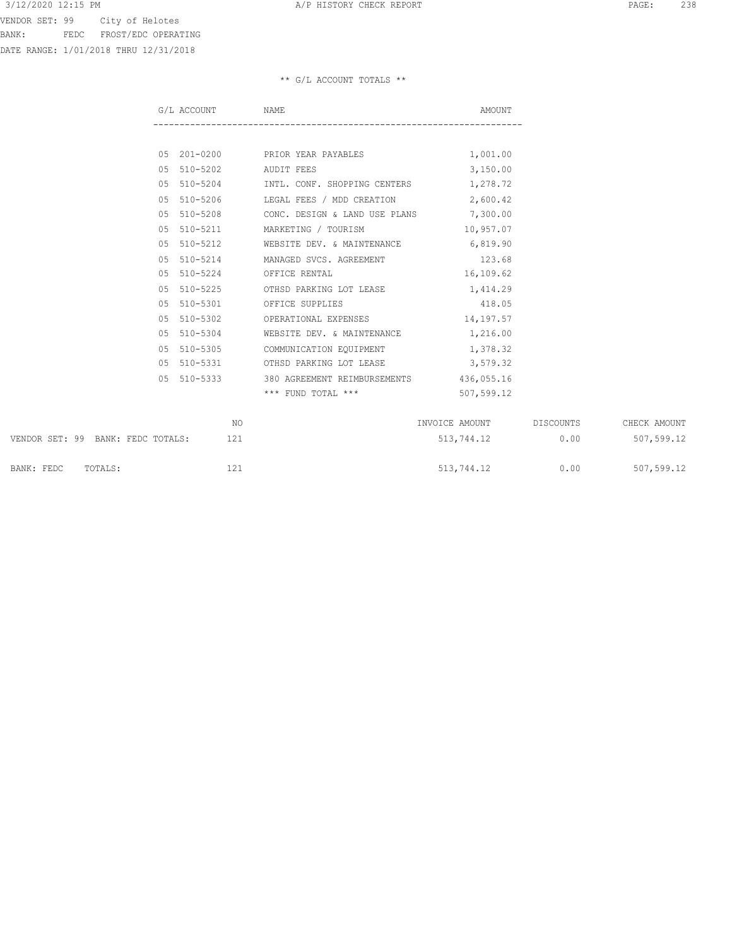VENDOR SET: 99 City of Helotes BANK: FEDC FROST/EDC OPERATING

DATE RANGE: 1/01/2018 THRU 12/31/2018

|     | G/L ACCOUNT NAME            |                                                     | AMOUNT     |
|-----|-----------------------------|-----------------------------------------------------|------------|
|     |                             |                                                     |            |
|     |                             | 05 201-0200 PRIOR YEAR PAYABLES                     | 1,001.00   |
|     | 05 510-5202 AUDIT FEES      |                                                     | 3,150.00   |
| 0.5 |                             | 510-5204 INTL. CONF. SHOPPING CENTERS               | 1,278.72   |
| 0.5 | 510-5206                    | LEGAL FEES / MDD CREATION                           | 2,600.42   |
| 0.5 | 510-5208                    | CONC. DESIGN & LAND USE PLANS 7,300.00              |            |
| 0.5 | 510-5211                    | MARKETING / TOURISM                                 | 10,957.07  |
| 0.5 | 510-5212                    | WEBSITE DEV. & MAINTENANCE 6,819.90                 |            |
| 0.5 | 510-5214                    | MANAGED SVCS. AGREEMENT                             | 123.68     |
| 0.5 | 510-5224 OFFICE RENTAL      |                                                     | 16,109.62  |
| 0.5 |                             | 510-5225 OTHSD PARKING LOT LEASE 1,414.29           |            |
|     | 05 510-5301 OFFICE SUPPLIES |                                                     | 418.05     |
| 0.5 | 510-5302                    | OPERATIONAL EXPENSES                                | 14,197.57  |
| 0.5 | 510-5304                    | WEBSITE DEV. & MAINTENANCE                          | 1,216.00   |
| 0.5 | 510-5305                    | COMMUNICATION EQUIPMENT                             | 1,378.32   |
| 0.5 |                             | 510-5331 OTHSD PARKING LOT LEASE 3,579.32           |            |
|     |                             | 05 510-5333 380 AGREEMENT REIMBURSEMENTS 436,055.16 |            |
|     |                             | $***$ FUND TOTAL $***$                              | 507,599.12 |
|     |                             |                                                     |            |

|                                   | NΟ  | INVOICE AMOUNT | DISCOUNTS | CHECK AMOUNT |
|-----------------------------------|-----|----------------|-----------|--------------|
| VENDOR SET: 99 BANK: FEDC TOTALS: | 121 | 513,744.12     | 0.00      | 507,599.12   |
| BANK: FEDC<br>TOTALS:             | 121 | 513,744.12     | 0.00      | 507,599.12   |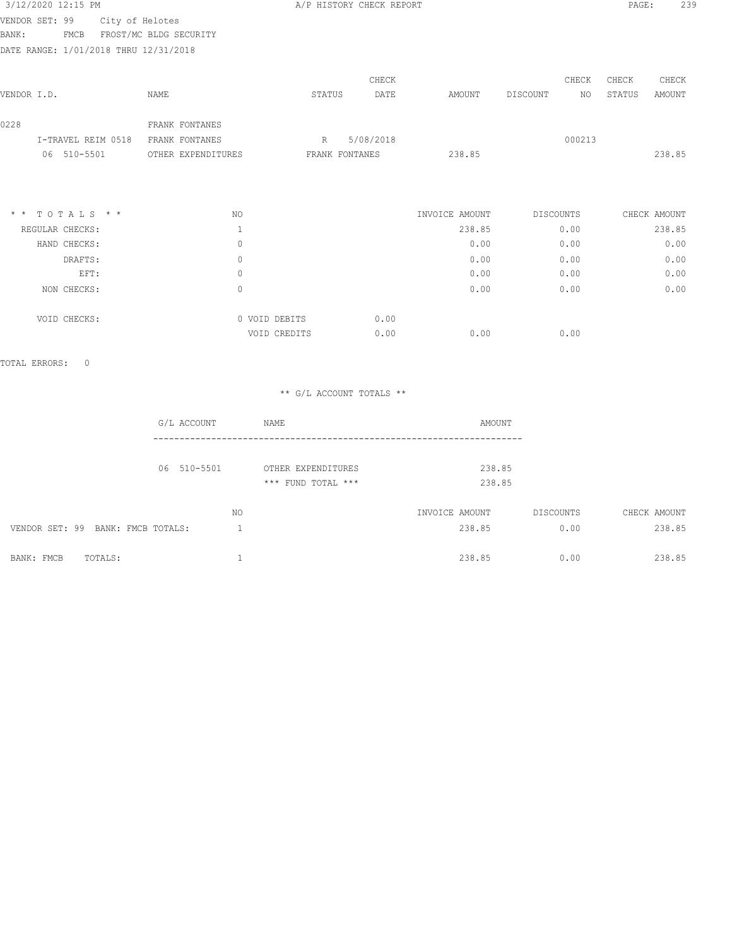| 3/12/2020 12:15 PM                    |                        |                    | A/P HISTORY CHECK REPORT |           |                |           |        | PAGE:  | 239          |
|---------------------------------------|------------------------|--------------------|--------------------------|-----------|----------------|-----------|--------|--------|--------------|
| VENDOR SET: 99                        | City of Helotes        |                    |                          |           |                |           |        |        |              |
| FMCB<br>BANK:                         | FROST/MC BLDG SECURITY |                    |                          |           |                |           |        |        |              |
| DATE RANGE: 1/01/2018 THRU 12/31/2018 |                        |                    |                          |           |                |           |        |        |              |
|                                       |                        |                    |                          | CHECK     |                |           | CHECK  | CHECK  | CHECK        |
| VENDOR I.D.                           | NAME                   |                    | STATUS                   | DATE      | AMOUNT         | DISCOUNT  | NO.    | STATUS | AMOUNT       |
| 0228                                  |                        | FRANK FONTANES     |                          |           |                |           |        |        |              |
| I-TRAVEL REIM 0518                    |                        | FRANK FONTANES     | R                        | 5/08/2018 |                |           | 000213 |        |              |
| 510-5501<br>06                        |                        | OTHER EXPENDITURES | FRANK FONTANES           |           | 238.85         |           |        |        | 238.85       |
|                                       |                        |                    |                          |           |                |           |        |        |              |
| * * TOTALS * *                        |                        | NO                 |                          |           | INVOICE AMOUNT | DISCOUNTS |        |        | CHECK AMOUNT |
| REGULAR CHECKS:                       |                        | $\mathbf{1}$       |                          |           | 238.85         |           | 0.00   |        | 238.85       |
| HAND CHECKS:                          |                        | 0                  |                          |           | 0.00           |           | 0.00   |        | 0.00         |
| DRAFTS:                               |                        | 0                  |                          |           | 0.00           |           | 0.00   |        | 0.00         |

 EFT: 0 0.00 0.00 0.00 NON CHECKS: 0 0.00 0.00 0.00

 $0.00$  0.00 0.00

VOID CHECKS: 0 0 VOID DEBITS 0.00<br>VOID CREDITS 0.00

TOTAL ERRORS: 0

| G/L ACCOUNT                       |     | NAME                                     | AMOUNT                   |                   |                        |
|-----------------------------------|-----|------------------------------------------|--------------------------|-------------------|------------------------|
| 06 510-5501                       |     | OTHER EXPENDITURES<br>*** FUND TOTAL *** | 238.85<br>238.85         |                   |                        |
| VENDOR SET: 99 BANK: FMCB TOTALS: | NO. |                                          | INVOICE AMOUNT<br>238.85 | DISCOUNTS<br>0.00 | CHECK AMOUNT<br>238.85 |
| TOTALS:<br>BANK: FMCB             |     |                                          | 238.85                   | 0.00              | 238.85                 |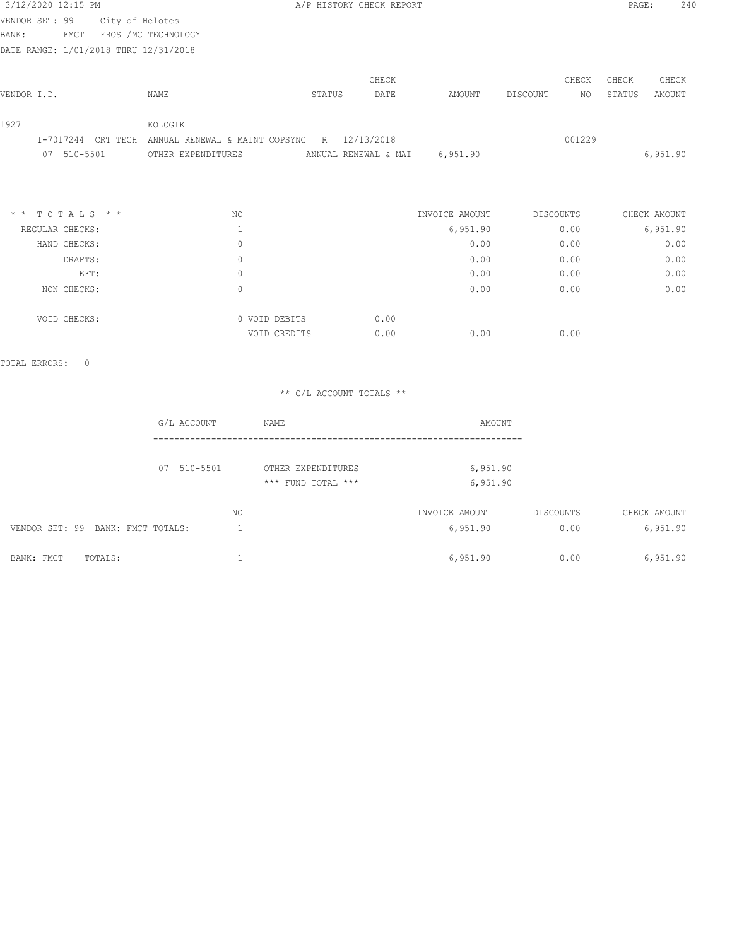|             | 3/12/2020 12:15 PM                    |                 |                                | A/P HISTORY CHECK REPORT |            |          |          |        | PAGE:  | 240      |
|-------------|---------------------------------------|-----------------|--------------------------------|--------------------------|------------|----------|----------|--------|--------|----------|
|             | VENDOR SET: 99                        | City of Helotes |                                |                          |            |          |          |        |        |          |
| BANK:       | FMCT                                  |                 | FROST/MC TECHNOLOGY            |                          |            |          |          |        |        |          |
|             | DATE RANGE: 1/01/2018 THRU 12/31/2018 |                 |                                |                          |            |          |          |        |        |          |
|             |                                       |                 |                                |                          | CHECK      |          |          | CHECK  | CHECK  | CHECK    |
| VENDOR I.D. |                                       |                 | NAME                           | STATUS                   | DATE       | AMOUNT   | DISCOUNT | NO.    | STATUS | AMOUNT   |
| 1927        |                                       |                 | KOLOGIK                        |                          |            |          |          |        |        |          |
|             | I-7017244                             | CRT TECH        | ANNUAL RENEWAL & MAINT COPSYNC | R                        | 12/13/2018 |          |          | 001229 |        |          |
|             | 510-5501<br>07                        |                 | OTHER EXPENDITURES             | ANNUAL RENEWAL & MAI     |            | 6,951.90 |          |        |        | 6,951.90 |

| $*$ * TOTALS * * | NO            | INVOICE AMOUNT | DISCOUNTS | CHECK AMOUNT |
|------------------|---------------|----------------|-----------|--------------|
| REGULAR CHECKS:  |               | 6,951.90       | 0.00      | 6,951.90     |
| HAND CHECKS:     | 0             | 0.00           | 0.00      | 0.00         |
| DRAFTS:          | 0             | 0.00           | 0.00      | 0.00         |
| EFT:             | 0             | 0.00           | 0.00      | 0.00         |
| NON CHECKS:      | $\Omega$      | 0.00           | 0.00      | 0.00         |
| VOID CHECKS:     | 0 VOID DEBITS | 0.00           |           |              |
|                  | VOID CREDITS  | 0.00<br>0.00   | 0.00      |              |

TOTAL ERRORS: 0

|                  |           | AMOUNT               | NAME                                     |     | G/L ACCOUNT                       |         |            |
|------------------|-----------|----------------------|------------------------------------------|-----|-----------------------------------|---------|------------|
|                  |           | 6,951.90<br>6,951.90 | OTHER EXPENDITURES<br>*** FUND TOTAL *** |     | 07 510-5501                       |         |            |
| CHECK AMOUNT     | DISCOUNTS | INVOICE AMOUNT       |                                          | NO. |                                   |         |            |
| 6,951.90<br>0.00 |           | 6,951.90             |                                          |     | VENDOR SET: 99 BANK: FMCT TOTALS: |         |            |
| 6,951.90<br>0.00 |           | 6,951.90             |                                          |     |                                   | TOTALS: | BANK: FMCT |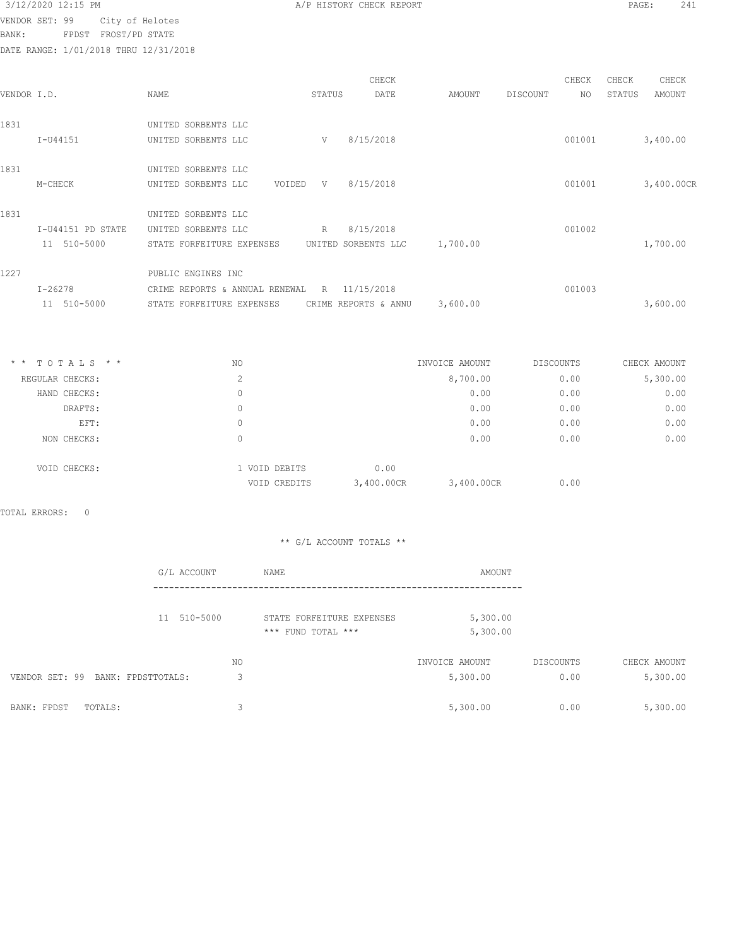BANK: FPDST FROST/PD STATE

|             | DATE RANGE: 1/01/2018 THRU 12/31/2018 |                                                                                                        |        |               |          |          |              |                 |                 |
|-------------|---------------------------------------|--------------------------------------------------------------------------------------------------------|--------|---------------|----------|----------|--------------|-----------------|-----------------|
| VENDOR I.D. |                                       | NAME                                                                                                   | STATUS | CHECK<br>DATE | AMOUNT   | DISCOUNT | CHECK<br>NO. | CHECK<br>STATUS | CHECK<br>AMOUNT |
| 1831        | I-U44151                              | UNITED SORBENTS LLC<br>UNITED SORBENTS LLC                                                             | V      | 8/15/2018     |          |          | 001001       |                 | 3,400.00        |
| 1831        | M-CHECK                               | UNITED SORBENTS LLC<br>UNITED SORBENTS LLC<br>VOIDED                                                   |        | V 8/15/2018   |          |          | 001001       |                 | 3,400.00CR      |
| 1831        | I-U44151 PD STATE<br>11 510-5000      | UNITED SORBENTS LLC<br>UNITED SORBENTS LLC<br>STATE FORFEITURE EXPENSES UNITED SORBENTS LLC            | R      | 8/15/2018     | 1,700.00 |          | 001002       |                 | 1,700.00        |
| 1227        | $I - 26278$<br>11 510-5000            | PUBLIC ENGINES INC<br>CRIME REPORTS & ANNUAL RENEWAL<br>STATE FORFEITURE EXPENSES CRIME REPORTS & ANNU |        | R 11/15/2018  | 3,600.00 |          | 001003       |                 | 3,600.00        |

| TOTALS * *<br>NO. |              |               |            | CHECK AMOUNT                             |           |
|-------------------|--------------|---------------|------------|------------------------------------------|-----------|
| 2                 |              |               |            | 0.00                                     | 5,300.00  |
| 0                 |              |               | 0.00       | 0.00                                     | 0.00      |
| 0                 |              |               | 0.00       | 0.00                                     | 0.00      |
| 0                 |              |               | 0.00       | 0.00                                     | 0.00      |
| $\Omega$          |              |               | 0.00       | 0.00                                     | 0.00      |
|                   | VOID CREDITS | 0.00          |            | 0.00                                     |           |
|                   |              | 1 VOID DEBITS | 3,400.00CR | INVOICE AMOUNT<br>8,700.00<br>3,400.00CR | DISCOUNTS |

TOTAL ERRORS: 0

| G/L ACCOUNT                       |         | NAME                                            | AMOUNT                     |                   |                          |
|-----------------------------------|---------|-------------------------------------------------|----------------------------|-------------------|--------------------------|
| 11 510-5000                       |         | STATE FORFEITURE EXPENSES<br>*** FUND TOTAL *** | 5,300.00<br>5,300.00       |                   |                          |
| VENDOR SET: 99 BANK: FPDSTTOTALS: | NO<br>3 |                                                 | INVOICE AMOUNT<br>5,300.00 | DISCOUNTS<br>0.00 | CHECK AMOUNT<br>5,300.00 |
| BANK: FPDST<br>TOTALS:            | 3       |                                                 | 5,300.00                   | 0.00              | 5,300.00                 |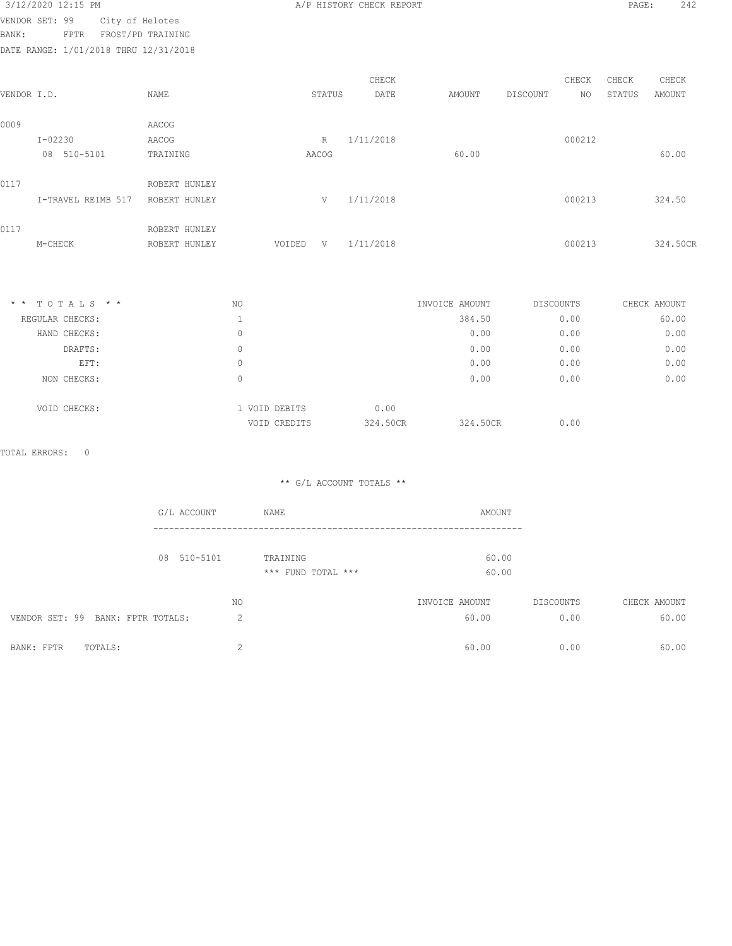| VENDOR SET: 99<br>FPTR | 3/12/2020 12:15 PM | City of Helotes<br>FROST/PD TRAINI |
|------------------------|--------------------|------------------------------------|

A/P HISTORY CHECK REPORT **PAGE:** 242

NING

DATE RANGE: 1/01/2018 THRU 12/31/2018

| VENDOR I.D. |                               | NAME                           |        | STATUS | CHECK<br>DATE | AMOUNT | DISCOUNT | CHECK<br>NO. | CHECK<br>STATUS | CHECK<br>AMOUNT |
|-------------|-------------------------------|--------------------------------|--------|--------|---------------|--------|----------|--------------|-----------------|-----------------|
| 0009        | $I - 02230$<br>510-5101<br>08 | AACOG<br>AACOG<br>TRAINING     | AACOG  | R      | 1/11/2018     | 60.00  |          | 000212       |                 | 60.00           |
| 0117        | I-TRAVEL REIMB 517            | ROBERT HUNLEY<br>ROBERT HUNLEY |        | V      | 1/11/2018     |        |          | 000213       |                 | 324.50          |
| 0117        | M-CHECK                       | ROBERT HUNLEY<br>ROBERT HUNLEY | VOIDED | V      | 1/11/2018     |        |          | 000213       |                 | 324.50CR        |

| $*$ * TOTALS * * | NO            | INVOICE AMOUNT       | DISCOUNTS | CHECK AMOUNT |
|------------------|---------------|----------------------|-----------|--------------|
| REGULAR CHECKS:  |               | 384.50               | 0.00      | 60.00        |
| HAND CHECKS:     | 0             | 0.00                 | 0.00      | 0.00         |
| DRAFTS:          | 0             | 0.00                 | 0.00      | 0.00         |
| EFT:             | 0             | 0.00                 | 0.00      | 0.00         |
| NON CHECKS:      | 0             | 0.00                 | 0.00      | 0.00         |
| VOID CHECKS:     | 1 VOID DEBITS | 0.00                 |           |              |
|                  | VOID CREDITS  | 324.50CR<br>324.50CR | 0.00      |              |

TOTAL ERRORS: 0

| G/L ACCOUNT                       |        | NAME               | AMOUNT         |           |              |
|-----------------------------------|--------|--------------------|----------------|-----------|--------------|
| 08 510-5101                       |        | TRAINING           |                | 60.00     |              |
|                                   |        | *** FUND TOTAL *** |                | 60.00     |              |
|                                   | NO.    |                    | INVOICE AMOUNT | DISCOUNTS | CHECK AMOUNT |
| VENDOR SET: 99 BANK: FPTR TOTALS: | 2      |                    | 60.00          | 0.00      | 60.00        |
| TOTALS:<br>BANK: FPTR             | $\sim$ |                    | 60.00          | 0.00      | 60.00        |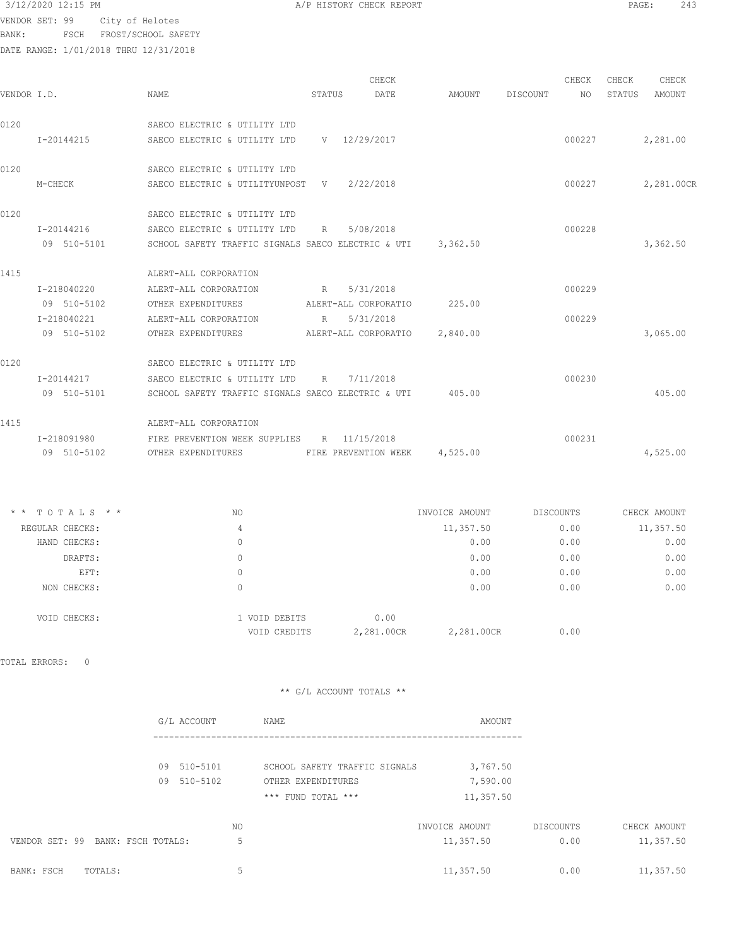VENDOR SET: 99 City of Helotes

BANK: FSCH FROST/SCHOOL SAFETY

| /P HISTORY CHECK REPORT |  |  |
|-------------------------|--|--|
|                         |  |  |

| VENDOR I.D. |                                   | NAME                                                        |                    | STATUS | CHECK<br>DATE                 | AMOUNT         | DISCOUNT | CHECK<br>NO | CHECK<br>STATUS | CHECK<br>AMOUNT |
|-------------|-----------------------------------|-------------------------------------------------------------|--------------------|--------|-------------------------------|----------------|----------|-------------|-----------------|-----------------|
| 0120        |                                   | SAECO ELECTRIC & UTILITY LTD                                |                    |        |                               |                |          |             |                 |                 |
|             | I-20144215                        | SAECO ELECTRIC & UTILITY LTD                                |                    |        | V 12/29/2017                  |                |          | 000227      |                 | 2,281.00        |
| 0120        |                                   | SAECO ELECTRIC & UTILITY LTD                                |                    |        |                               |                |          |             |                 |                 |
|             | M-CHECK                           | SAECO ELECTRIC & UTILITYUNPOST V 2/22/2018                  |                    |        |                               |                |          | 000227      |                 | 2,281.00CR      |
| 0120        |                                   | SAECO ELECTRIC & UTILITY LTD                                |                    |        |                               |                |          |             |                 |                 |
|             | I-20144216                        | SAECO ELECTRIC & UTILITY LTD                                |                    | R      | 5/08/2018                     |                |          | 000228      |                 |                 |
|             | 09 510-5101                       | SCHOOL SAFETY TRAFFIC SIGNALS SAECO ELECTRIC & UTI 3,362.50 |                    |        |                               |                |          |             |                 | 3,362.50        |
| 1415        |                                   | ALERT-ALL CORPORATION                                       |                    |        |                               |                |          |             |                 |                 |
|             | I-218040220                       | ALERT-ALL CORPORATION                                       |                    |        | R 5/31/2018                   |                |          | 000229      |                 |                 |
|             | 09 510-5102                       | OTHER EXPENDITURES                                          |                    |        | ALERT-ALL CORPORATIO          | 225.00         |          |             |                 |                 |
|             | I-218040221                       | ALERT-ALL CORPORATION                                       |                    | R      | 5/31/2018                     |                |          | 000229      |                 |                 |
|             | 09 510-5102                       | OTHER EXPENDITURES                                          |                    |        | ALERT-ALL CORPORATIO          | 2,840.00       |          |             |                 | 3,065.00        |
| 0120        |                                   | SAECO ELECTRIC & UTILITY LTD                                |                    |        |                               |                |          |             |                 |                 |
|             | I-20144217                        | SAECO ELECTRIC & UTILITY LTD                                |                    |        | R 7/11/2018                   |                |          | 000230      |                 |                 |
|             | 09 510-5101                       | SCHOOL SAFETY TRAFFIC SIGNALS SAECO ELECTRIC & UTI          |                    |        |                               | 405.00         |          |             |                 | 405.00          |
| 1415        |                                   | ALERT-ALL CORPORATION                                       |                    |        |                               |                |          |             |                 |                 |
|             | I-218091980                       | FIRE PREVENTION WEEK SUPPLIES R 11/15/2018                  |                    |        |                               |                |          | 000231      |                 |                 |
|             | 09 510-5102                       | OTHER EXPENDITURES FIRE PREVENTION WEEK                     |                    |        |                               | 4,525.00       |          |             |                 | 4,525.00        |
|             | * * TOTALS * *                    | NO                                                          |                    |        |                               | INVOICE AMOUNT |          | DISCOUNTS   |                 | CHECK AMOUNT    |
|             | REGULAR CHECKS:                   | $\overline{4}$                                              |                    |        |                               | 11,357.50      |          | 0.00        |                 | 11,357.50       |
|             | HAND CHECKS:                      | $\mathbf{0}$                                                |                    |        |                               | 0.00           |          | 0.00        |                 | 0.00            |
|             | DRAFTS:                           | $\mathbf{0}$                                                |                    |        |                               | 0.00           |          | 0.00        |                 | 0.00            |
|             | EFT:                              | $\mathbf{0}$                                                |                    |        |                               | 0.00           |          | 0.00        |                 | 0.00            |
|             | NON CHECKS:                       | $\mathbf{0}$                                                |                    |        |                               | 0.00           |          | 0.00        |                 | 0.00            |
|             | VOID CHECKS:                      |                                                             | 1 VOID DEBITS      |        | 0.00                          |                |          |             |                 |                 |
|             |                                   |                                                             | VOID CREDITS       |        | 2,281.00CR                    | 2,281.00CR     |          | 0.00        |                 |                 |
|             | TOTAL ERRORS:<br>$\mathbf 0$      |                                                             |                    |        |                               |                |          |             |                 |                 |
|             |                                   |                                                             |                    |        | ** G/L ACCOUNT TOTALS **      |                |          |             |                 |                 |
|             |                                   |                                                             |                    |        |                               |                |          |             |                 |                 |
|             |                                   | G/L ACCOUNT                                                 | NAME               |        |                               | AMOUNT         |          |             |                 |                 |
|             |                                   | 09 510-5101                                                 |                    |        | SCHOOL SAFETY TRAFFIC SIGNALS | 3,767.50       |          |             |                 |                 |
|             |                                   | 09 510-5102                                                 | OTHER EXPENDITURES |        |                               | 7,590.00       |          |             |                 |                 |
|             |                                   |                                                             | *** FUND TOTAL *** |        |                               | 11,357.50      |          |             |                 |                 |
|             |                                   | ΝO                                                          |                    |        |                               | INVOICE AMOUNT |          | DISCOUNTS   |                 | CHECK AMOUNT    |
|             | VENDOR SET: 99 BANK: FSCH TOTALS: | 5                                                           |                    |        |                               | 11,357.50      |          | 0.00        |                 | 11,357.50       |

|                    | <u> DINNIS I DVII I VIIIDUS</u> | <u>--1001.00</u> | .    | --------- |
|--------------------|---------------------------------|------------------|------|-----------|
| BANK: FSCH TOTALS: |                                 | 11,357.50        | 0.00 | 11,357.50 |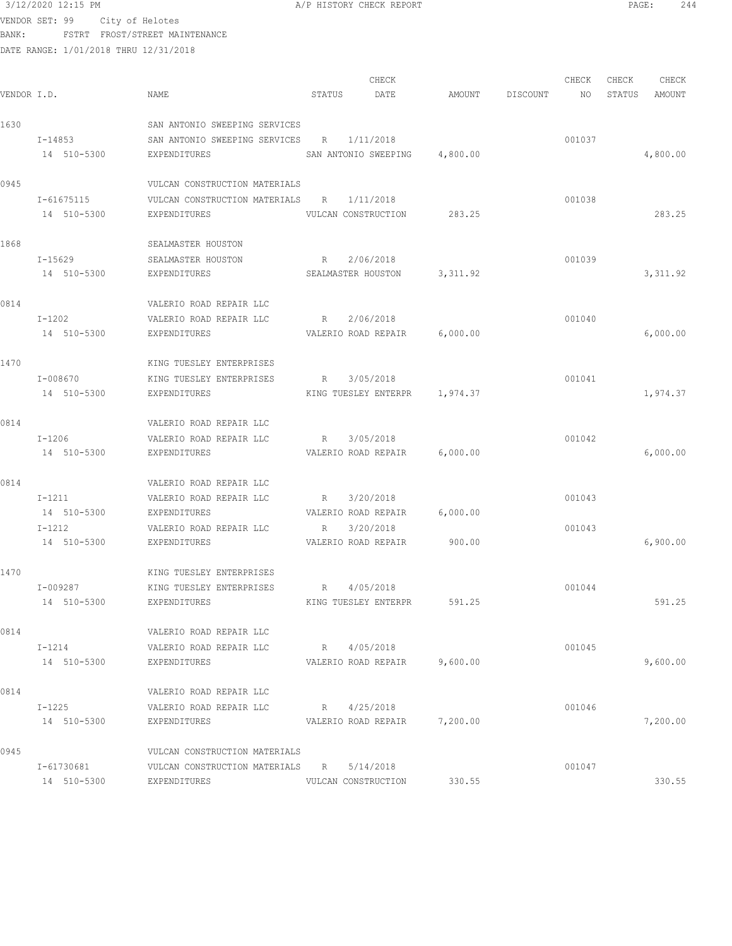$3/12/2020$  12:15 PM  $A/P$  HISTORY CHECK REPORT  $\blacksquare$  PAGE: 244 VENDOR SET: 99 City of Helotes

BANK: FSTRT FROST/STREET MAINTENANCE

|             |             |                                           |                     | CHECK                         |                 | CHECK           | CHECK  | CHECK     |
|-------------|-------------|-------------------------------------------|---------------------|-------------------------------|-----------------|-----------------|--------|-----------|
| VENDOR I.D. |             | NAME                                      | STATUS              | DATE                          | AMOUNT DISCOUNT | NO <sub>1</sub> | STATUS | AMOUNT    |
| 1630        |             | SAN ANTONIO SWEEPING SERVICES             |                     |                               |                 |                 |        |           |
|             | I-14853     | SAN ANTONIO SWEEPING SERVICES R 1/11/2018 |                     |                               |                 | 001037          |        |           |
|             | 14 510-5300 | EXPENDITURES                              |                     | SAN ANTONIO SWEEPING 4,800.00 |                 |                 |        | 4,800.00  |
| 0945        |             | VULCAN CONSTRUCTION MATERIALS             |                     |                               |                 |                 |        |           |
|             | I-61675115  | VULCAN CONSTRUCTION MATERIALS R           |                     | 1/11/2018                     |                 | 001038          |        |           |
|             | 14 510-5300 | EXPENDITURES                              |                     | VULCAN CONSTRUCTION 283.25    |                 |                 |        | 283.25    |
| 1868        |             | SEALMASTER HOUSTON                        |                     |                               |                 |                 |        |           |
|             | I-15629     | SEALMASTER HOUSTON                        | R 2/06/2018         |                               |                 | 001039          |        |           |
|             | 14 510-5300 | EXPENDITURES                              |                     | SEALMASTER HOUSTON 3,311.92   |                 |                 |        | 3, 311.92 |
| 0814        |             | VALERIO ROAD REPAIR LLC                   |                     |                               |                 |                 |        |           |
|             | $I-1202$    | VALERIO ROAD REPAIR LLC                   | R 2/06/2018         |                               |                 | 001040          |        |           |
|             | 14 510-5300 | EXPENDITURES                              |                     | VALERIO ROAD REPAIR 6,000.00  |                 |                 |        | 6,000.00  |
| 1470        |             | KING TUESLEY ENTERPRISES                  |                     |                               |                 |                 |        |           |
|             | I-008670    | KING TUESLEY ENTERPRISES                  | R 3/05/2018         |                               |                 | 001041          |        |           |
|             | 14 510-5300 | EXPENDITURES                              |                     | KING TUESLEY ENTERPR 1,974.37 |                 |                 |        | 1,974.37  |
| 0814        |             | VALERIO ROAD REPAIR LLC                   |                     |                               |                 |                 |        |           |
|             | $I-1206$    | VALERIO ROAD REPAIR LLC                   | R 3/05/2018         |                               |                 | 001042          |        |           |
|             | 14 510-5300 | EXPENDITURES                              |                     | VALERIO ROAD REPAIR 6,000.00  |                 |                 |        | 6,000.00  |
| 0814        |             | VALERIO ROAD REPAIR LLC                   |                     |                               |                 |                 |        |           |
|             | I-1211      | VALERIO ROAD REPAIR LLC                   | R                   | 3/20/2018                     |                 | 001043          |        |           |
|             | 14 510-5300 | EXPENDITURES                              |                     | VALERIO ROAD REPAIR 6,000.00  |                 |                 |        |           |
|             | $I-1212$    | VALERIO ROAD REPAIR LLC                   | R                   | 3/20/2018                     |                 | 001043          |        |           |
|             | 14 510-5300 | EXPENDITURES                              |                     | VALERIO ROAD REPAIR 900.00    |                 |                 |        | 6,900.00  |
| 1470        |             | KING TUESLEY ENTERPRISES                  |                     |                               |                 |                 |        |           |
|             | I-009287    | KING TUESLEY ENTERPRISES R 4/05/2018      |                     |                               |                 | 001044          |        |           |
|             | 14 510-5300 | EXPENDITURES                              |                     | KING TUESLEY ENTERPR          | 591.25          |                 |        | 591.25    |
| 0814        |             | VALERIO ROAD REPAIR LLC                   |                     |                               |                 |                 |        |           |
|             | $I-1214$    | VALERIO ROAD REPAIR LLC                   | R 4/05/2018         |                               |                 | 001045          |        |           |
|             | 14 510-5300 | EXPENDITURES                              |                     | VALERIO ROAD REPAIR 9,600.00  |                 |                 |        | 9,600.00  |
| 0814        |             | VALERIO ROAD REPAIR LLC                   |                     |                               |                 |                 |        |           |
|             | I-1225      | VALERIO ROAD REPAIR LLC                   | R 4/25/2018         |                               |                 | 001046          |        |           |
|             | 14 510-5300 | EXPENDITURES                              |                     | VALERIO ROAD REPAIR 7,200.00  |                 |                 |        | 7,200.00  |
| 0945        |             | VULCAN CONSTRUCTION MATERIALS             |                     |                               |                 |                 |        |           |
|             | I-61730681  | VULCAN CONSTRUCTION MATERIALS R 5/14/2018 |                     |                               |                 | 001047          |        |           |
|             | 14 510-5300 | EXPENDITURES                              | VULCAN CONSTRUCTION |                               | 330.55          |                 |        | 330.55    |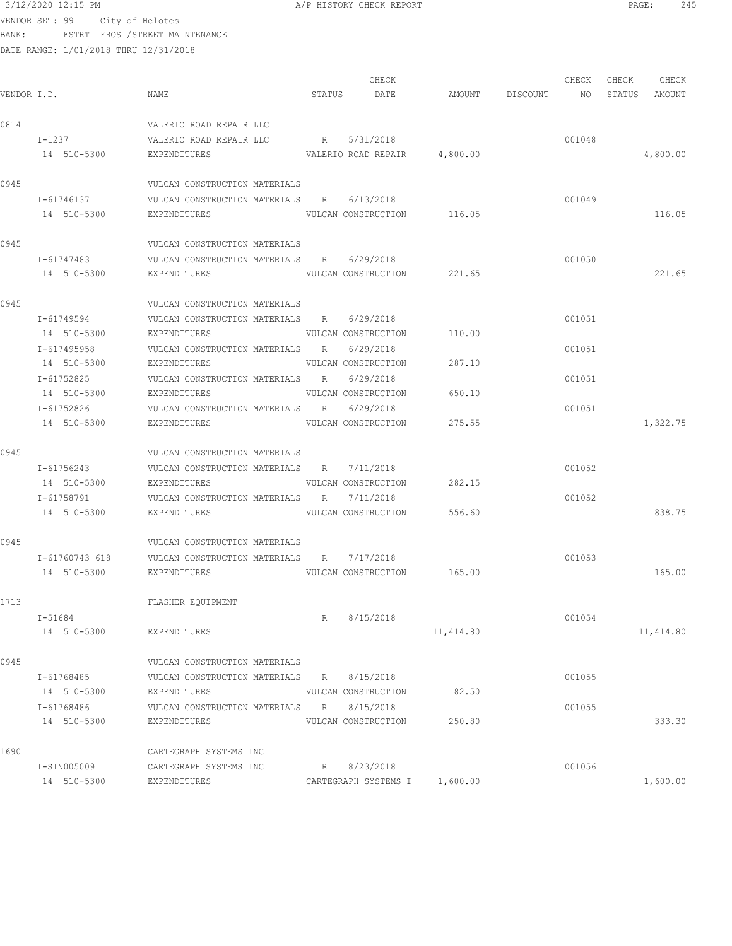| 3/12/2020 12:15 PM |  |
|--------------------|--|
|--------------------|--|

A/P HISTORY CHECK REPORT **PAGE:** 245

VENDOR SET: 99 City of Helotes BANK: FSTRT FROST/STREET MAINTENANCE

| VENDOR I.D. |                               | NAME                                                                                 |   | CHECK<br>STATUS DATE                         | AMOUNT DISCOUNT NO STATUS AMOUNT | CHECK  | CHECK | CHECK     |
|-------------|-------------------------------|--------------------------------------------------------------------------------------|---|----------------------------------------------|----------------------------------|--------|-------|-----------|
| 0814        |                               | VALERIO ROAD REPAIR LLC                                                              |   |                                              |                                  |        |       |           |
|             | $I-1237$<br>14 510-5300       | VALERIO ROAD REPAIR LLC R 5/31/2018<br>EXPENDITURES VALERIO ROAD REPAIR 4,800.00     |   |                                              |                                  | 001048 |       | 4,800.00  |
| 0945        |                               | VULCAN CONSTRUCTION MATERIALS                                                        |   |                                              |                                  |        |       |           |
|             | I-61746137<br>14 510-5300     | VULCAN CONSTRUCTION MATERIALS R 6/13/2018<br>EXPENDITURES                            |   | VULCAN CONSTRUCTION 116.05                   |                                  | 001049 |       | 116.05    |
| 0945        |                               | VULCAN CONSTRUCTION MATERIALS                                                        |   |                                              |                                  |        |       |           |
|             | I-61747483<br>14 510-5300     | VULCAN CONSTRUCTION MATERIALS R 6/29/2018<br>EXPENDITURES                            |   | VULCAN CONSTRUCTION 221.65                   |                                  | 001050 |       | 221.65    |
| 0945        |                               | VULCAN CONSTRUCTION MATERIALS                                                        |   |                                              |                                  |        |       |           |
|             | I-61749594<br>14 510-5300     | VULCAN CONSTRUCTION MATERIALS R<br>EXPENDITURES                                      |   | 6/29/2018<br>VULCAN CONSTRUCTION 110.00      |                                  | 001051 |       |           |
|             | I-617495958<br>14 510-5300    | VULCAN CONSTRUCTION MATERIALS R<br>EXPENDITURES                                      |   | 6/29/2018<br>VULCAN CONSTRUCTION             | 287.10                           | 001051 |       |           |
|             | I-61752825<br>14 510-5300     | VULCAN CONSTRUCTION MATERIALS R<br>EXPENDITURES                                      |   | 6/29/2018<br>VULCAN CONSTRUCTION             | 650.10                           | 001051 |       |           |
|             | I-61752826<br>14 510-5300     | VULCAN CONSTRUCTION MATERIALS R 6/29/2018<br>EXPENDITURES VULCAN CONSTRUCTION 275.55 |   |                                              |                                  | 001051 |       | 1,322.75  |
| 0945        |                               | VULCAN CONSTRUCTION MATERIALS                                                        |   |                                              |                                  |        |       |           |
|             | I-61756243                    | VULCAN CONSTRUCTION MATERIALS R 7/11/2018                                            |   |                                              |                                  | 001052 |       |           |
|             | 14 510-5300<br>I-61758791     | EXPENDITURES VULCAN CONSTRUCTION 282.15<br>VULCAN CONSTRUCTION MATERIALS R 7/11/2018 |   |                                              |                                  | 001052 |       |           |
|             | 14 510-5300                   | EXPENDITURES VULCAN CONSTRUCTION 556.60                                              |   |                                              |                                  |        |       | 838.75    |
| 0945        |                               | VULCAN CONSTRUCTION MATERIALS                                                        |   |                                              |                                  |        |       |           |
|             | I-61760743 618<br>14 510-5300 | VULCAN CONSTRUCTION MATERIALS R 7/17/2018<br>EXPENDITURES                            |   | VULCAN CONSTRUCTION 165.00                   |                                  | 001053 |       | 165.00    |
| 1713        |                               | FLASHER EQUIPMENT                                                                    |   |                                              |                                  |        |       |           |
|             | I-51684<br>14 510-5300        | EXPENDITURES                                                                         | R | 8/15/2018                                    | 11,414.80                        | 001054 |       | 11,414.80 |
| 0945        |                               | VULCAN CONSTRUCTION MATERIALS                                                        |   |                                              |                                  |        |       |           |
|             | I-61768485<br>14 510-5300     | VULCAN CONSTRUCTION MATERIALS R 8/15/2018<br>EXPENDITURES                            |   | VULCAN CONSTRUCTION                          | 82.50                            | 001055 |       |           |
|             | I-61768486<br>14 510-5300     | VULCAN CONSTRUCTION MATERIALS R 8/15/2018<br>EXPENDITURES                            |   | VULCAN CONSTRUCTION                          | 250.80                           | 001055 |       | 333.30    |
|             |                               |                                                                                      |   |                                              |                                  |        |       |           |
| 1690        | I-SIN005009<br>14 510-5300    | CARTEGRAPH SYSTEMS INC<br>CARTEGRAPH SYSTEMS INC<br>EXPENDITURES                     |   | R 8/23/2018<br>CARTEGRAPH SYSTEMS I 1,600.00 |                                  | 001056 |       | 1,600.00  |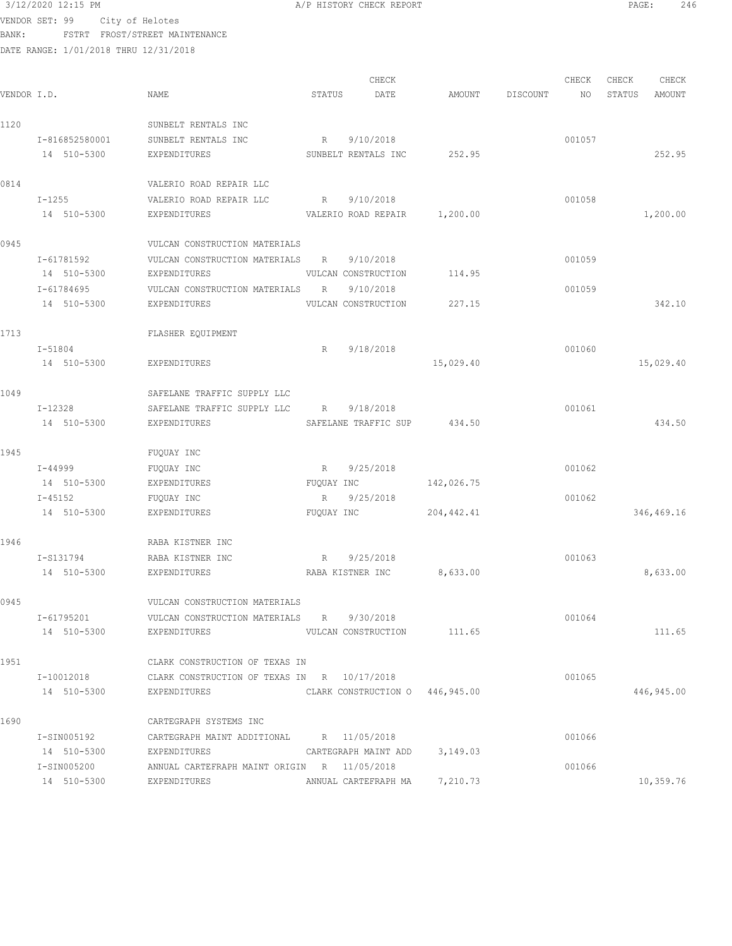VENDOR SET: 99 City of Helotes BANK: FSTRT FROST/STREET MAINTENANCE

|             |                |                                             |                      | CHECK     |                                 |          | CHECK  | CHECK  | CHECK      |  |
|-------------|----------------|---------------------------------------------|----------------------|-----------|---------------------------------|----------|--------|--------|------------|--|
| VENDOR I.D. |                | NAME                                        | STATUS               | DATE      | AMOUNT                          | DISCOUNT | NO     | STATUS | AMOUNT     |  |
| 1120        |                | SUNBELT RENTALS INC                         |                      |           |                                 |          |        |        |            |  |
|             | I-816852580001 | SUNBELT RENTALS INC                         | R                    | 9/10/2018 |                                 |          | 001057 |        |            |  |
|             | 14 510-5300    | <b>EXPENDITURES</b>                         | SUNBELT RENTALS INC  |           | 252.95                          |          |        |        | 252.95     |  |
| 0814        |                | VALERIO ROAD REPAIR LLC                     |                      |           |                                 |          |        |        |            |  |
|             | $I - 1255$     | VALERIO ROAD REPAIR LLC                     | R                    | 9/10/2018 |                                 |          | 001058 |        |            |  |
|             | 14 510-5300    | EXPENDITURES                                | VALERIO ROAD REPAIR  |           | 1,200.00                        |          |        |        | 1,200.00   |  |
| 0945        |                | VULCAN CONSTRUCTION MATERIALS               |                      |           |                                 |          |        |        |            |  |
|             | I-61781592     | VULCAN CONSTRUCTION MATERIALS               | R                    | 9/10/2018 |                                 |          | 001059 |        |            |  |
|             | 14 510-5300    | EXPENDITURES                                | VULCAN CONSTRUCTION  |           | 114.95                          |          |        |        |            |  |
|             | I-61784695     | VULCAN CONSTRUCTION MATERIALS R             |                      | 9/10/2018 |                                 |          | 001059 |        |            |  |
|             | 14 510-5300    | EXPENDITURES                                | VULCAN CONSTRUCTION  |           | 227.15                          |          |        |        | 342.10     |  |
| 1713        |                | FLASHER EQUIPMENT                           |                      |           |                                 |          |        |        |            |  |
|             | I-51804        |                                             | R                    | 9/18/2018 |                                 |          | 001060 |        |            |  |
|             | 14 510-5300    | EXPENDITURES                                |                      |           | 15,029.40                       |          |        |        | 15,029.40  |  |
| 1049        |                | SAFELANE TRAFFIC SUPPLY LLC                 |                      |           |                                 |          |        |        |            |  |
|             | I-12328        | SAFELANE TRAFFIC SUPPLY LLC                 | R                    | 9/18/2018 |                                 |          | 001061 |        |            |  |
|             | 14 510-5300    | EXPENDITURES                                | SAFELANE TRAFFIC SUP |           | 434.50                          |          |        |        | 434.50     |  |
| 1945        |                | FUQUAY INC                                  |                      |           |                                 |          |        |        |            |  |
|             | I-44999        | FUQUAY INC                                  | R                    | 9/25/2018 |                                 |          | 001062 |        |            |  |
|             | 14 510-5300    | EXPENDITURES                                | FUQUAY INC           |           | 142,026.75                      |          |        |        |            |  |
|             | $I - 45152$    | FUQUAY INC                                  | R                    | 9/25/2018 |                                 |          | 001062 |        |            |  |
|             | 14 510-5300    | EXPENDITURES                                | FUQUAY INC           |           | 204, 442.41                     |          |        |        | 346,469.16 |  |
| 1946        |                | RABA KISTNER INC                            |                      |           |                                 |          |        |        |            |  |
|             | I-S131794      | RABA KISTNER INC                            | R                    | 9/25/2018 |                                 |          | 001063 |        |            |  |
|             | 14 510-5300    | EXPENDITURES                                | RABA KISTNER INC     |           | 8,633.00                        |          |        |        | 8,633.00   |  |
| 0945        |                | VULCAN CONSTRUCTION MATERIALS               |                      |           |                                 |          |        |        |            |  |
|             | I-61795201     | VULCAN CONSTRUCTION MATERIALS R 9/30/2018   |                      |           |                                 |          | 001064 |        |            |  |
|             | 14 510-5300    | EXPENDITURES                                |                      |           | VULCAN CONSTRUCTION 111.65      |          |        |        | 111.65     |  |
| 1951        |                | CLARK CONSTRUCTION OF TEXAS IN              |                      |           |                                 |          |        |        |            |  |
|             | I-10012018     | CLARK CONSTRUCTION OF TEXAS IN R 10/17/2018 |                      |           |                                 |          | 001065 |        |            |  |
|             | 14 510-5300    | EXPENDITURES                                |                      |           | CLARK CONSTRUCTION 0 446,945.00 |          |        |        | 446,945.00 |  |
| 1690        |                | CARTEGRAPH SYSTEMS INC                      |                      |           |                                 |          |        |        |            |  |
|             | I-SIN005192    | CARTEGRAPH MAINT ADDITIONAL R 11/05/2018    |                      |           |                                 |          | 001066 |        |            |  |
|             | 14 510-5300    | EXPENDITURES                                |                      |           | CARTEGRAPH MAINT ADD 3,149.03   |          |        |        |            |  |
|             | I-SIN005200    | ANNUAL CARTEFRAPH MAINT ORIGIN R 11/05/2018 |                      |           |                                 |          | 001066 |        |            |  |
|             | 14 510-5300    | EXPENDITURES                                |                      |           | ANNUAL CARTEFRAPH MA 7,210.73   |          |        |        | 10,359.76  |  |
|             |                |                                             |                      |           |                                 |          |        |        |            |  |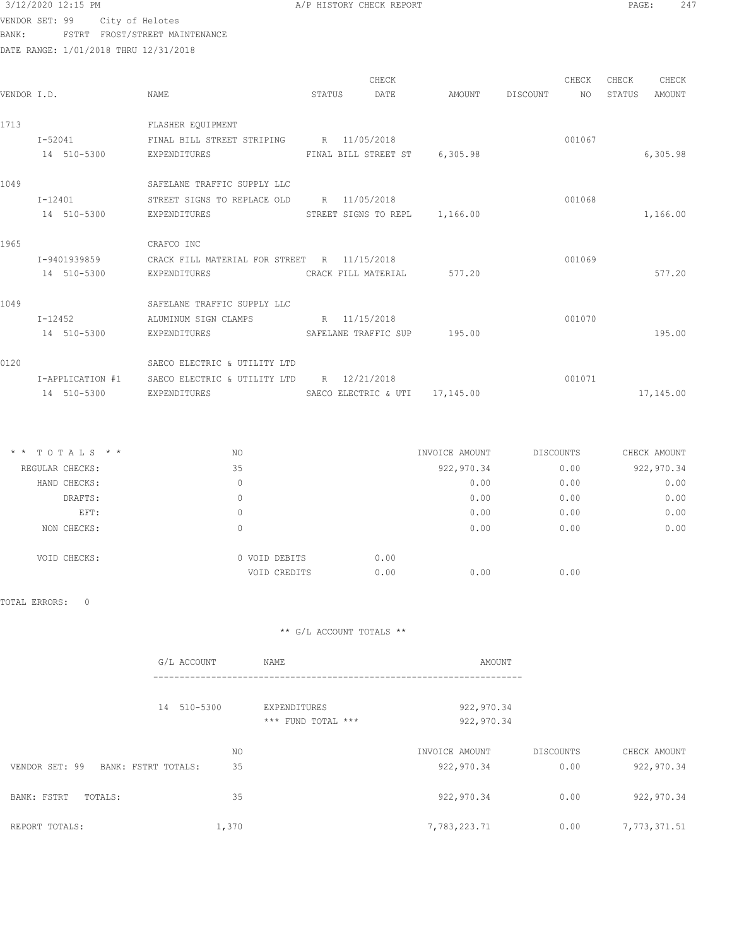| 3/12/2020 12:15 PM |
|--------------------|
|--------------------|

A/P HISTORY CHECK REPORT **PAGE:** 247

VENDOR SET: 99 City of Helotes BANK: FSTRT FROST/STREET MAINTENANCE

DATE RANGE: 1/01/2018 THRU 12/31/2018

| VENDOR I.D. |                  | <b>NAME</b>                                     | STATUS | CHECK<br>DATE                 | AMOUNT    | DISCOUNT | CHECK<br><b>NO</b> | CHECK<br>STATUS | CHECK<br>AMOUNT |
|-------------|------------------|-------------------------------------------------|--------|-------------------------------|-----------|----------|--------------------|-----------------|-----------------|
| 1713        | $I - 52041$      | FLASHER EQUIPMENT<br>FINAL BILL STREET STRIPING |        | R 11/05/2018                  |           |          | 001067             |                 |                 |
|             | 14 510-5300      | EXPENDITURES                                    |        | FINAL BILL STREET ST          | 6,305.98  |          |                    |                 | 6,305.98        |
| 1049        |                  | SAFELANE TRAFFIC SUPPLY LLC                     |        |                               |           |          |                    |                 |                 |
|             | $I - 12401$      | STREET SIGNS TO REPLACE OLD                     | R      | 11/05/2018                    |           |          | 001068             |                 |                 |
|             | 14 510-5300      | EXPENDITURES                                    |        | STREET SIGNS TO REPL 1,166.00 |           |          |                    |                 | 1,166.00        |
| 1965        |                  | CRAFCO INC                                      |        |                               |           |          |                    |                 |                 |
|             | I-9401939859     | CRACK FILL MATERIAL FOR STREET R 11/15/2018     |        |                               |           |          | 001069             |                 |                 |
|             | 14 510-5300      | EXPENDITURES                                    |        | CRACK FILL MATERIAL           | 577.20    |          |                    |                 | 577.20          |
| 1049        |                  | SAFELANE TRAFFIC SUPPLY LLC                     |        |                               |           |          |                    |                 |                 |
|             | $I - 12452$      | ALUMINUM SIGN CLAMPS                            |        | R 11/15/2018                  |           |          | 001070             |                 |                 |
|             | 14 510-5300      | EXPENDITURES                                    |        | SAFELANE TRAFFIC SUP          | 195.00    |          |                    |                 | 195.00          |
| 0120        |                  | SAECO ELECTRIC & UTILITY LTD                    |        |                               |           |          |                    |                 |                 |
|             | I-APPLICATION #1 | SAECO ELECTRIC & UTILITY LTD                    | R      | 12/21/2018                    |           |          | 001071             |                 |                 |
|             | 14 510-5300      | EXPENDITURES                                    |        | SAECO ELECTRIC & UTI          | 17,145.00 |          |                    |                 | 17,145.00       |

| $*$ * TOTALS * * | NO            | INVOICE AMOUNT | DISCOUNTS | CHECK AMOUNT |
|------------------|---------------|----------------|-----------|--------------|
| REGULAR CHECKS:  | 35            | 922, 970.34    | 0.00      | 922,970.34   |
| HAND CHECKS:     | 0             | 0.00           | 0.00      | 0.00         |
| DRAFTS:          | 0             | 0.00           | 0.00      | 0.00         |
| EFT:             | 0             | 0.00           | 0.00      | 0.00         |
| NON CHECKS:      | 0             | 0.00           | 0.00      | 0.00         |
| VOID CHECKS:     | 0 VOID DEBITS | 0.00           |           |              |
|                  | VOID CREDITS  | 0.00<br>0.00   | 0.00      |              |

TOTAL ERRORS: 0

|                                       | G/L ACCOUNT | NAME                               | AMOUNT                       |                   |                            |
|---------------------------------------|-------------|------------------------------------|------------------------------|-------------------|----------------------------|
|                                       | 14 510-5300 | EXPENDITURES<br>*** FUND TOTAL *** | 922,970.34<br>922,970.34     |                   |                            |
| VENDOR SET: 99<br>BANK: FSTRT TOTALS: | NO<br>35    |                                    | INVOICE AMOUNT<br>922,970.34 | DISCOUNTS<br>0.00 | CHECK AMOUNT<br>922,970.34 |
| BANK: FSTRT<br>TOTALS:                | 35          |                                    | 922,970.34                   | 0.00              | 922,970.34                 |
| REPORT TOTALS:                        | 1,370       |                                    | 7,783,223.71                 | 0.00              | 7,773,371.51               |